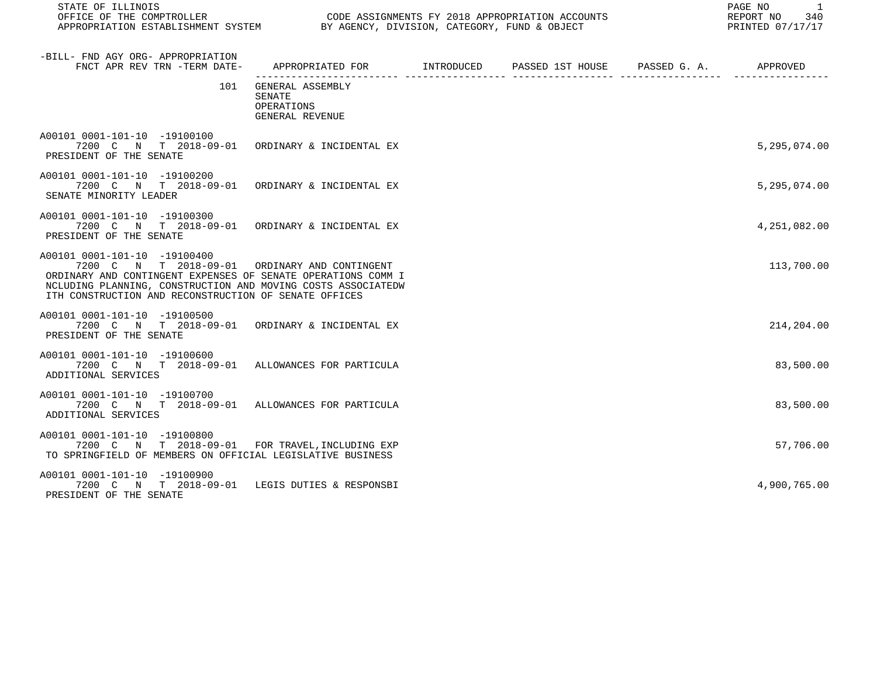STATE OF ILLINOIS PAGE NO 1

CODE ASSIGNMENTS FY 2018 APPROPRIATION ACCOUNTS FOR THE REPORT NO 340 REPORT NO 340 SAN AGENCY, DIVISION, CATEGORY, FUND & OBJECT APPROPRIATION ESTABLISHMENT SYSTEM BY AGENCY, DIVISION, CATEGORY, FUND & OBJECT

| -BILL- FND AGY ORG- APPROPRIATION<br>FNCT APR REV TRN -TERM DATE-                                                                                                                                                                                                      | APPROPRIATED FOR INTRODUCED                                        | PASSED 1ST HOUSE PASSED G. A. | APPROVED     |
|------------------------------------------------------------------------------------------------------------------------------------------------------------------------------------------------------------------------------------------------------------------------|--------------------------------------------------------------------|-------------------------------|--------------|
| 101                                                                                                                                                                                                                                                                    | GENERAL ASSEMBLY<br><b>SENATE</b><br>OPERATIONS<br>GENERAL REVENUE |                               |              |
| A00101 0001-101-10 -19100100<br>7200 C N T 2018-09-01 ORDINARY & INCIDENTAL EX<br>PRESIDENT OF THE SENATE                                                                                                                                                              |                                                                    |                               | 5,295,074.00 |
| A00101 0001-101-10 -19100200<br>7200 C N T 2018-09-01 ORDINARY & INCIDENTAL EX<br>SENATE MINORITY LEADER                                                                                                                                                               |                                                                    |                               | 5,295,074.00 |
| A00101 0001-101-10 -19100300<br>7200 C N T 2018-09-01 ORDINARY & INCIDENTAL EX<br>PRESIDENT OF THE SENATE                                                                                                                                                              |                                                                    |                               | 4,251,082.00 |
| A00101 0001-101-10 -19100400<br>7200 C N T 2018-09-01 ORDINARY AND CONTINGENT<br>ORDINARY AND CONTINGENT EXPENSES OF SENATE OPERATIONS COMM I<br>NCLUDING PLANNING, CONSTRUCTION AND MOVING COSTS ASSOCIATEDW<br>ITH CONSTRUCTION AND RECONSTRUCTION OF SENATE OFFICES |                                                                    |                               | 113,700.00   |
| A00101 0001-101-10 -19100500<br>7200 C N T 2018-09-01 ORDINARY & INCIDENTAL EX<br>PRESIDENT OF THE SENATE                                                                                                                                                              |                                                                    |                               | 214,204.00   |
| A00101 0001-101-10 -19100600<br>7200 C N T 2018-09-01 ALLOWANCES FOR PARTICULA<br>ADDITIONAL SERVICES                                                                                                                                                                  |                                                                    |                               | 83,500.00    |
| A00101 0001-101-10 -19100700<br>7200 C N T 2018-09-01 ALLOWANCES FOR PARTICULA<br>ADDITIONAL SERVICES                                                                                                                                                                  |                                                                    |                               | 83,500.00    |
| A00101 0001-101-10 -19100800<br>7200 C N T 2018-09-01 FOR TRAVEL, INCLUDING EXP<br>TO SPRINGFIELD OF MEMBERS ON OFFICIAL LEGISLATIVE BUSINESS                                                                                                                          |                                                                    |                               | 57,706.00    |
| A00101 0001-101-10 -19100900<br>7200 C N T 2018-09-01<br>PRESIDENT OF THE SENATE                                                                                                                                                                                       | LEGIS DUTIES & RESPONSBI                                           |                               | 4,900,765.00 |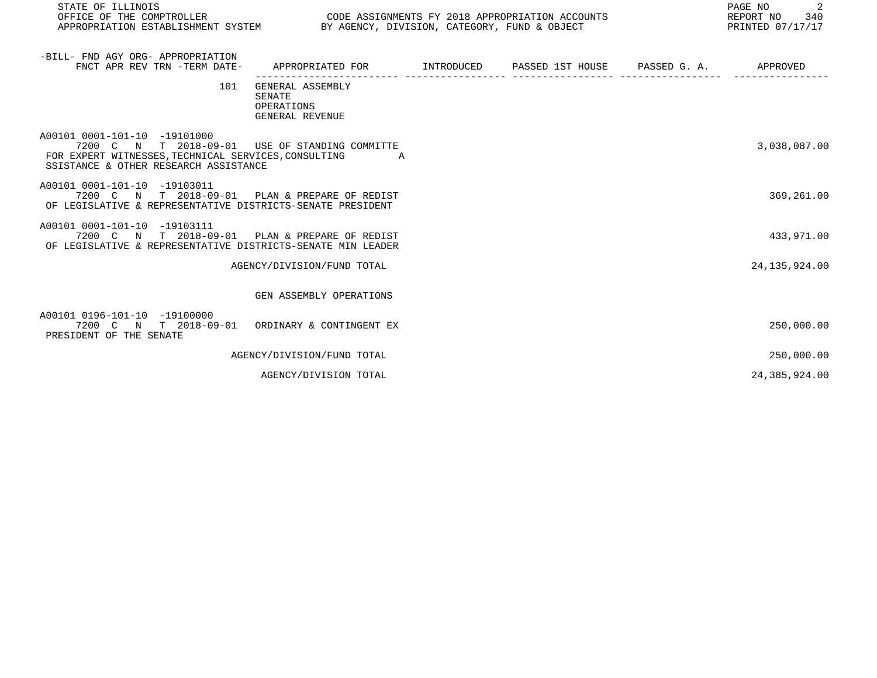| STATE OF ILLINOIS<br>OFFICE OF THE COMPTROLLER<br>APPROPRIATION ESTABLISHMENT SYSTEM BY AGENCY, DIVISION, CATEGORY, FUND & OBJECT                                               | CODE ASSIGNMENTS FY 2018 APPROPRIATION ACCOUNTS                                 |  | 2<br>PAGE NO<br>REPORT NO 340<br>PRINTED 07/17/17 |
|---------------------------------------------------------------------------------------------------------------------------------------------------------------------------------|---------------------------------------------------------------------------------|--|---------------------------------------------------|
| -BILL- FND AGY ORG- APPROPRIATION<br>FNCT APR REV TRN -TERM DATE-                                                                                                               | APPROPRIATED FOR      INTRODUCED   PASSED 1ST HOUSE    PASSED G.A.     APPROVED |  |                                                   |
| 101                                                                                                                                                                             | GENERAL ASSEMBLY<br>SENATE<br>OPERATIONS<br>GENERAL REVENUE                     |  |                                                   |
| A00101 0001-101-10 -19101000<br>7200 C N T 2018-09-01 USE OF STANDING COMMITTE<br>FOR EXPERT WITNESSES, TECHNICAL SERVICES, CONSULTING<br>SSISTANCE & OTHER RESEARCH ASSISTANCE | <b>A</b>                                                                        |  | 3,038,087.00                                      |
| A00101 0001-101-10 -19103011<br>7200 C N T 2018-09-01 PLAN & PREPARE OF REDIST<br>OF LEGISLATIVE & REPRESENTATIVE DISTRICTS-SENATE PRESIDENT                                    |                                                                                 |  | 369, 261.00                                       |
| A00101 0001-101-10 -19103111<br>7200 C N T 2018-09-01 PLAN & PREPARE OF REDIST<br>OF LEGISLATIVE & REPRESENTATIVE DISTRICTS-SENATE MIN LEADER                                   |                                                                                 |  | 433,971.00                                        |
|                                                                                                                                                                                 | AGENCY/DIVISION/FUND TOTAL                                                      |  | 24, 135, 924.00                                   |
|                                                                                                                                                                                 | GEN ASSEMBLY OPERATIONS                                                         |  |                                                   |
| A00101 0196-101-10 -19100000<br>7200 C N T 2018-09-01 ORDINARY & CONTINGENT EX<br>PRESIDENT OF THE SENATE                                                                       |                                                                                 |  | 250,000.00                                        |
|                                                                                                                                                                                 | AGENCY/DIVISION/FUND TOTAL                                                      |  | 250,000.00                                        |
|                                                                                                                                                                                 | AGENCY/DIVISION TOTAL                                                           |  | 24,385,924.00                                     |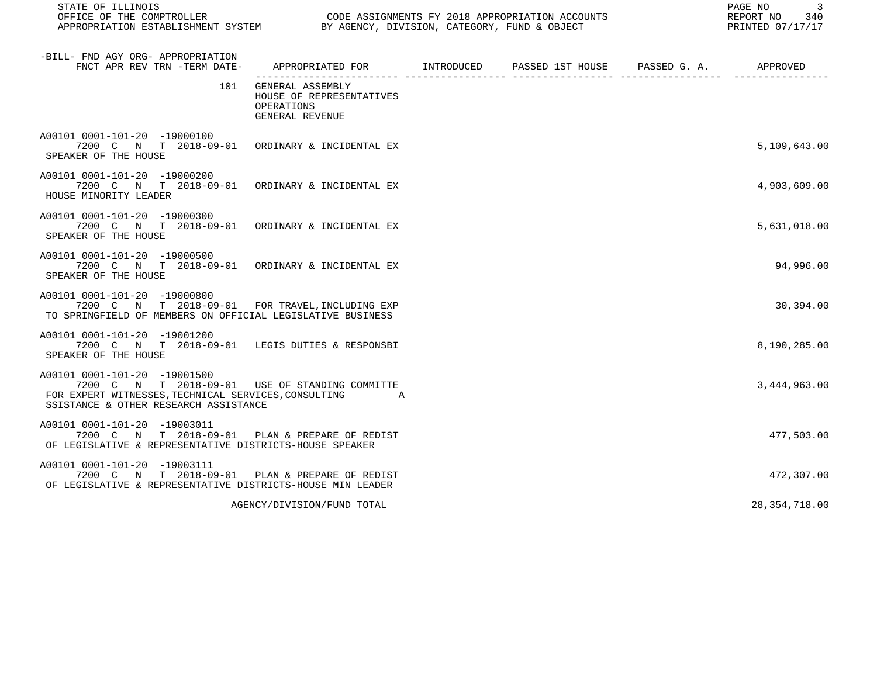| STATE OF ILLINOIS                                                                                                                                                               |                                                                                          |  |  |  |                 |
|---------------------------------------------------------------------------------------------------------------------------------------------------------------------------------|------------------------------------------------------------------------------------------|--|--|--|-----------------|
| -BILL- FND AGY ORG- APPROPRIATION<br>FNCT APR REV TRN -TERM DATE-                                                                                                               | APPROPRIATED FOR       INTRODUCED     PASSED 1ST HOUSE     PASSED G. A.         APPROVED |  |  |  |                 |
| 101                                                                                                                                                                             | GENERAL ASSEMBLY<br>HOUSE OF REPRESENTATIVES<br>OPERATIONS<br>GENERAL REVENUE            |  |  |  |                 |
| A00101 0001-101-20 -19000100<br>7200 C N T 2018-09-01 ORDINARY & INCIDENTAL EX<br>SPEAKER OF THE HOUSE                                                                          |                                                                                          |  |  |  | 5,109,643.00    |
| A00101 0001-101-20 -19000200<br>7200 C N T 2018-09-01 ORDINARY & INCIDENTAL EX<br>HOUSE MINORITY LEADER                                                                         |                                                                                          |  |  |  | 4,903,609.00    |
| A00101 0001-101-20 -19000300<br>7200 C N T 2018-09-01 ORDINARY & INCIDENTAL EX<br>SPEAKER OF THE HOUSE                                                                          |                                                                                          |  |  |  | 5,631,018.00    |
| A00101 0001-101-20 -19000500<br>7200 C N T 2018-09-01 ORDINARY & INCIDENTAL EX<br>SPEAKER OF THE HOUSE                                                                          |                                                                                          |  |  |  | 94,996.00       |
| A00101 0001-101-20 -19000800<br>7200 C N T 2018-09-01 FOR TRAVEL, INCLUDING EXP<br>TO SPRINGFIELD OF MEMBERS ON OFFICIAL LEGISLATIVE BUSINESS                                   |                                                                                          |  |  |  | 30,394.00       |
| A00101 0001-101-20 -19001200<br>7200 C N T 2018-09-01 LEGIS DUTIES & RESPONSBI<br>SPEAKER OF THE HOUSE                                                                          |                                                                                          |  |  |  | 8,190,285.00    |
| A00101 0001-101-20 -19001500<br>7200 C N T 2018-09-01 USE OF STANDING COMMITTE<br>FOR EXPERT WITNESSES, TECHNICAL SERVICES, CONSULTING<br>SSISTANCE & OTHER RESEARCH ASSISTANCE | <b>A</b>                                                                                 |  |  |  | 3,444,963.00    |
| A00101 0001-101-20 -19003011<br>7200 C N T 2018-09-01 PLAN & PREPARE OF REDIST<br>OF LEGISLATIVE & REPRESENTATIVE DISTRICTS-HOUSE SPEAKER                                       |                                                                                          |  |  |  | 477,503.00      |
| A00101 0001-101-20 -19003111<br>7200 C N T 2018-09-01 PLAN & PREPARE OF REDIST<br>OF LEGISLATIVE & REPRESENTATIVE DISTRICTS-HOUSE MIN LEADER                                    |                                                                                          |  |  |  | 472,307.00      |
|                                                                                                                                                                                 | AGENCY/DIVISION/FUND TOTAL                                                               |  |  |  | 28, 354, 718.00 |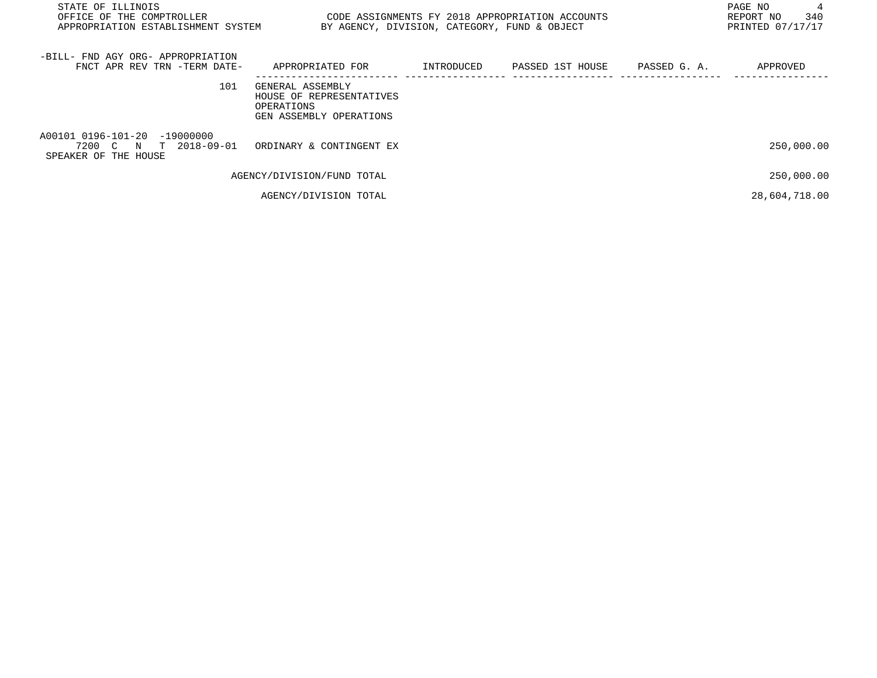| STATE OF ILLINOIS<br>OFFICE OF THE COMPTROLLER<br>APPROPRIATION ESTABLISHMENT SYSTEM | CODE ASSIGNMENTS FY 2018 APPROPRIATION ACCOUNTS<br>BY AGENCY, DIVISION, CATEGORY, FUND & OBJECT |            |                  |              | PAGE NO<br>REPORT NO<br>340<br>PRINTED 07/17/17 |
|--------------------------------------------------------------------------------------|-------------------------------------------------------------------------------------------------|------------|------------------|--------------|-------------------------------------------------|
| -BILL- FND AGY ORG- APPROPRIATION<br>FNCT APR REV TRN -TERM DATE-                    | APPROPRIATED FOR                                                                                | INTRODUCED | PASSED 1ST HOUSE | PASSED G. A. | APPROVED                                        |
| 101                                                                                  | GENERAL ASSEMBLY<br>HOUSE OF REPRESENTATIVES<br>OPERATIONS<br>GEN ASSEMBLY OPERATIONS           |            |                  |              |                                                 |
| A00101 0196-101-20 -19000000<br>7200 C N T 2018-09-01<br>SPEAKER OF THE HOUSE        | ORDINARY & CONTINGENT EX                                                                        |            |                  |              | 250,000.00                                      |
|                                                                                      | AGENCY/DIVISION/FUND TOTAL                                                                      |            |                  |              | 250,000.00                                      |
|                                                                                      | AGENCY/DIVISION TOTAL                                                                           |            |                  |              | 28,604,718.00                                   |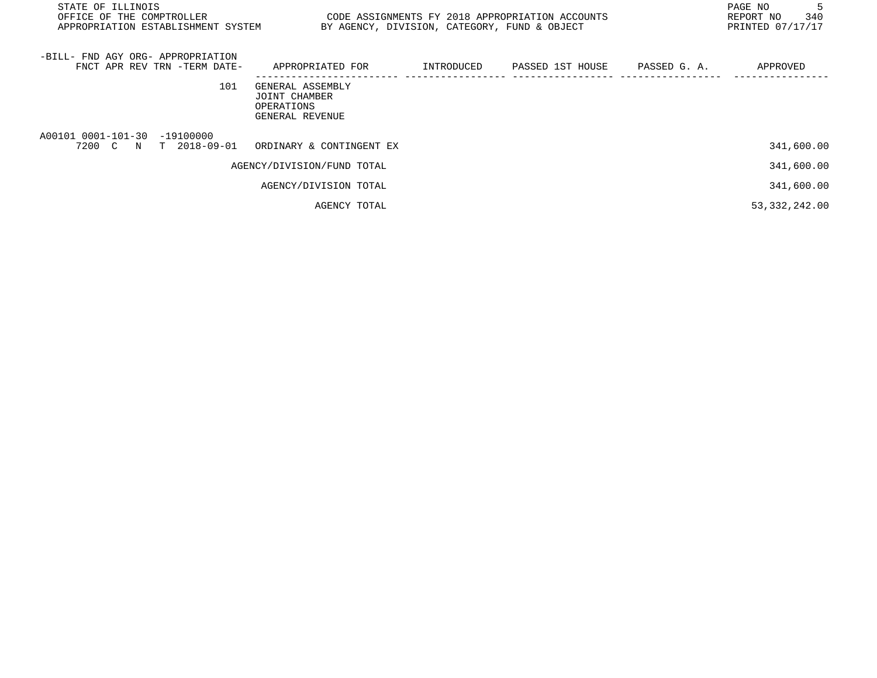| STATE OF ILLINOIS<br>OFFICE OF THE COMPTROLLER<br>APPROPRIATION ESTABLISHMENT SYSTEM |                                                                    |            | CODE ASSIGNMENTS FY 2018 APPROPRIATION ACCOUNTS<br>BY AGENCY, DIVISION, CATEGORY, FUND & OBJECT |              | PAGE NO<br>-5<br>REPORT NO<br>340<br>PRINTED 07/17/17 |
|--------------------------------------------------------------------------------------|--------------------------------------------------------------------|------------|-------------------------------------------------------------------------------------------------|--------------|-------------------------------------------------------|
| -BILL- FND AGY ORG- APPROPRIATION<br>FNCT APR REV TRN -TERM DATE-                    | APPROPRIATED FOR                                                   | INTRODUCED | PASSED 1ST HOUSE                                                                                | PASSED G. A. | APPROVED                                              |
| 101                                                                                  | GENERAL ASSEMBLY<br>JOINT CHAMBER<br>OPERATIONS<br>GENERAL REVENUE |            |                                                                                                 |              |                                                       |
| A00101 0001-101-30<br>-19100000<br>$T$ 2018-09-01<br>7200 C<br>$_{\rm N}$            | ORDINARY & CONTINGENT EX                                           |            |                                                                                                 |              | 341,600.00                                            |
|                                                                                      | AGENCY/DIVISION/FUND TOTAL                                         |            |                                                                                                 |              | 341,600.00                                            |
|                                                                                      | AGENCY/DIVISION TOTAL                                              |            |                                                                                                 |              | 341,600.00                                            |
|                                                                                      | AGENCY TOTAL                                                       |            |                                                                                                 |              | 53, 332, 242.00                                       |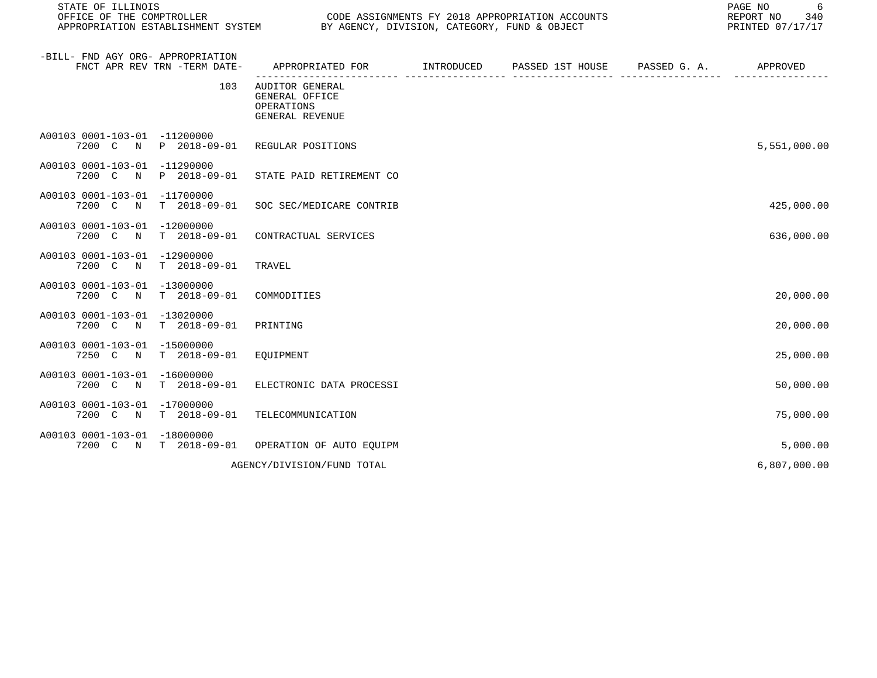| STATE OF ILLINOIS<br>OFFICE OF THE COMPTROLLER        |                              | CODE ASSIGNMENTS FY 2018 APPROPRIATION ACCOUNTS<br>APPROPRIATION ESTABLISHMENT SYSTEM BY AGENCY, DIVISION, CATEGORY, FUND & OBJECT | 6<br>PAGE NO<br>340<br>REPORT NO<br>PRINTED 07/17/17   |  |              |
|-------------------------------------------------------|------------------------------|------------------------------------------------------------------------------------------------------------------------------------|--------------------------------------------------------|--|--------------|
| -BILL- FND AGY ORG- APPROPRIATION                     | FNCT APR REV TRN -TERM DATE- | APPROPRIATED FOR                                                                                                                   | INTRODUCED PASSED 1ST HOUSE PASSED G. A.<br>---- ----- |  | APPROVED     |
|                                                       | 103                          | AUDITOR GENERAL<br>GENERAL OFFICE<br>OPERATIONS<br>GENERAL REVENUE                                                                 |                                                        |  |              |
| A00103 0001-103-01 -11200000                          | 7200 C N P 2018-09-01        | REGULAR POSITIONS                                                                                                                  |                                                        |  | 5,551,000.00 |
| A00103 0001-103-01 -11290000<br>7200 C<br>N           | P 2018-09-01                 | STATE PAID RETIREMENT CO                                                                                                           |                                                        |  |              |
| A00103 0001-103-01 -11700000<br>7200 C<br>$\mathbb N$ | $T = 2018 - 09 - 01$         | SOC SEC/MEDICARE CONTRIB                                                                                                           |                                                        |  | 425,000.00   |
| A00103 0001-103-01 -12000000<br>7200 C N              | T 2018-09-01                 | CONTRACTUAL SERVICES                                                                                                               |                                                        |  | 636,000.00   |
| A00103 0001-103-01 -12900000<br>7200 C N              | $T = 2018 - 09 - 01$         | TRAVEL                                                                                                                             |                                                        |  |              |
| A00103 0001-103-01 -13000000<br>7200 C<br>$\mathbb N$ | $T = 2018 - 09 - 01$         | COMMODITIES                                                                                                                        |                                                        |  | 20,000.00    |
| A00103 0001-103-01 -13020000<br>7200 C N              | $T = 2018 - 09 - 01$         | PRINTING                                                                                                                           |                                                        |  | 20,000.00    |
| A00103 0001-103-01 -15000000<br>7250 C<br>N           | T 2018-09-01                 | EOUIPMENT                                                                                                                          |                                                        |  | 25,000.00    |
| A00103 0001-103-01 -16000000<br>7200 C N              | $T = 2018 - 09 - 01$         | ELECTRONIC DATA PROCESSI                                                                                                           |                                                        |  | 50,000.00    |
| A00103 0001-103-01 -17000000<br>7200 C N              | $T = 2018 - 09 - 01$         | TELECOMMUNICATION                                                                                                                  |                                                        |  | 75,000.00    |
| A00103 0001-103-01 -18000000                          | 7200 C N T 2018-09-01        | OPERATION OF AUTO EOUIPM                                                                                                           |                                                        |  | 5,000.00     |
|                                                       |                              | AGENCY/DIVISION/FUND TOTAL                                                                                                         |                                                        |  | 6,807,000.00 |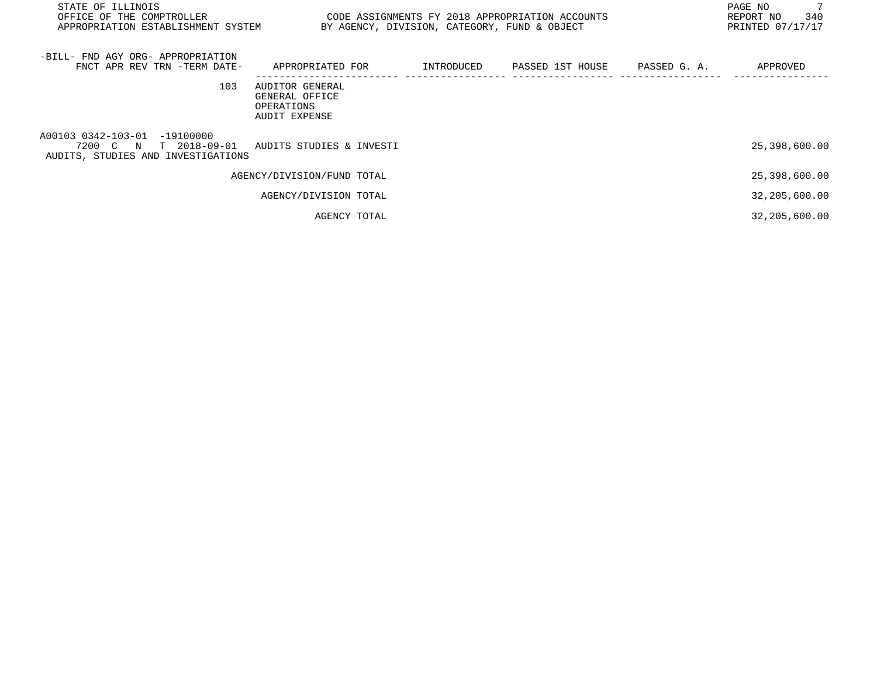| STATE OF ILLINOIS<br>OFFICE OF THE COMPTROLLER CONDUCTED TO CODE ASSIGNMENTS FY 2018 APPROPRIATION ACCOUNTS<br>APPROPRIATION ESTABLISHMENT SYSTEM BY AGENCY, DIVISION, CATEGORY, FUND & OBJECT |                                                                  |                                                                   | PAGE NO<br>340<br>REPORT NO<br>PRINTED 07/17/17 |
|------------------------------------------------------------------------------------------------------------------------------------------------------------------------------------------------|------------------------------------------------------------------|-------------------------------------------------------------------|-------------------------------------------------|
| -BILL- FND AGY ORG- APPROPRIATION<br>FNCT APR REV TRN -TERM DATE-                                                                                                                              |                                                                  | APPROPRIATED FOR      INTRODUCED   PASSED 1ST HOUSE   PASSED G.A. | APPROVED                                        |
| 103                                                                                                                                                                                            | AUDITOR GENERAL<br>GENERAL OFFICE<br>OPERATIONS<br>AUDIT EXPENSE |                                                                   |                                                 |
| A00103 0342-103-01 -19100000<br>7200 C N T 2018-09-01 AUDITS STUDIES & INVESTI<br>AUDITS, STUDIES AND INVESTIGATIONS                                                                           |                                                                  |                                                                   | 25,398,600.00                                   |
|                                                                                                                                                                                                | AGENCY/DIVISION/FUND TOTAL                                       |                                                                   | 25,398,600.00                                   |
|                                                                                                                                                                                                | AGENCY/DIVISION TOTAL                                            |                                                                   | 32,205,600.00                                   |
|                                                                                                                                                                                                | AGENCY TOTAL                                                     |                                                                   | 32,205,600.00                                   |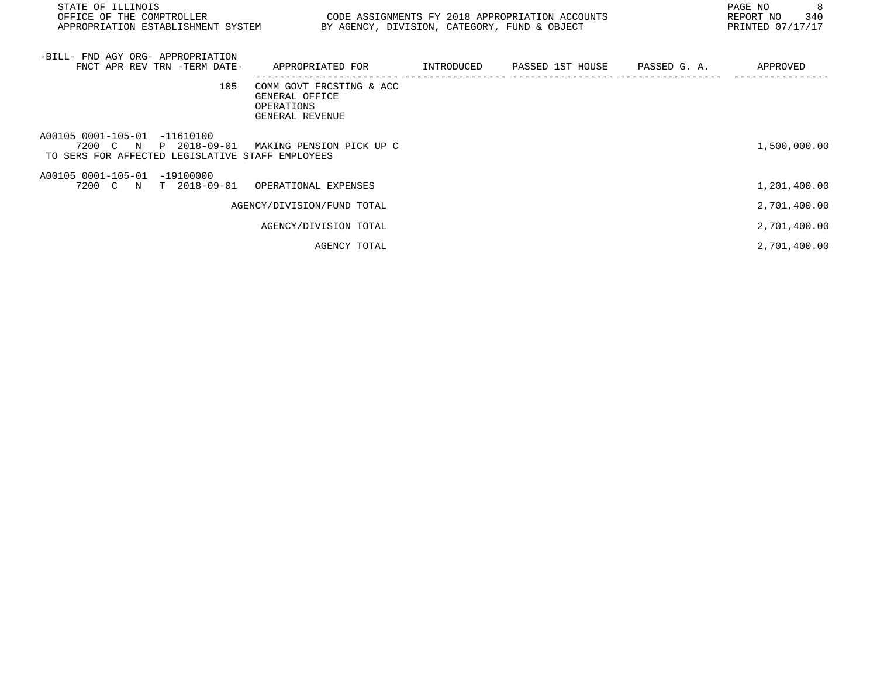| STATE OF ILLINOIS<br>OFFICE OF THE COMPTROLLER<br>APPROPRIATION ESTABLISHMENT SYSTEM BY AGENCY, DIVISION, CATEGORY, FUND & OBJECT  | CODE ASSIGNMENTS FY 2018 APPROPRIATION ACCOUNTS                             |  | 8<br>PAGE NO<br>REPORT NO 340<br>PRINTED 07/17/17 |
|------------------------------------------------------------------------------------------------------------------------------------|-----------------------------------------------------------------------------|--|---------------------------------------------------|
| -BILL- FND AGY ORG- APPROPRIATION<br>FNCT APR REV TRN -TERM DATE-                                                                  | APPROPRIATED FOR      INTRODUCED   PASSED 1ST HOUSE    PASSED G.A.          |  | APPROVED                                          |
| 105                                                                                                                                | COMM GOVT FRCSTING & ACC<br>GENERAL OFFICE<br>OPERATIONS<br>GENERAL REVENUE |  |                                                   |
| A00105 0001-105-01 -11610100<br>7200 C N P 2018-09-01 MAKING PENSION PICK UP C<br>TO SERS FOR AFFECTED LEGISLATIVE STAFF EMPLOYEES |                                                                             |  | 1,500,000.00                                      |
| A00105 0001-105-01 -19100000<br>7200 C N T 2018-09-01 OPERATIONAL EXPENSES                                                         |                                                                             |  | 1,201,400.00                                      |
|                                                                                                                                    | AGENCY/DIVISION/FUND TOTAL                                                  |  | 2,701,400.00                                      |
|                                                                                                                                    | AGENCY/DIVISION TOTAL                                                       |  | 2,701,400.00                                      |
|                                                                                                                                    | AGENCY TOTAL                                                                |  | 2,701,400.00                                      |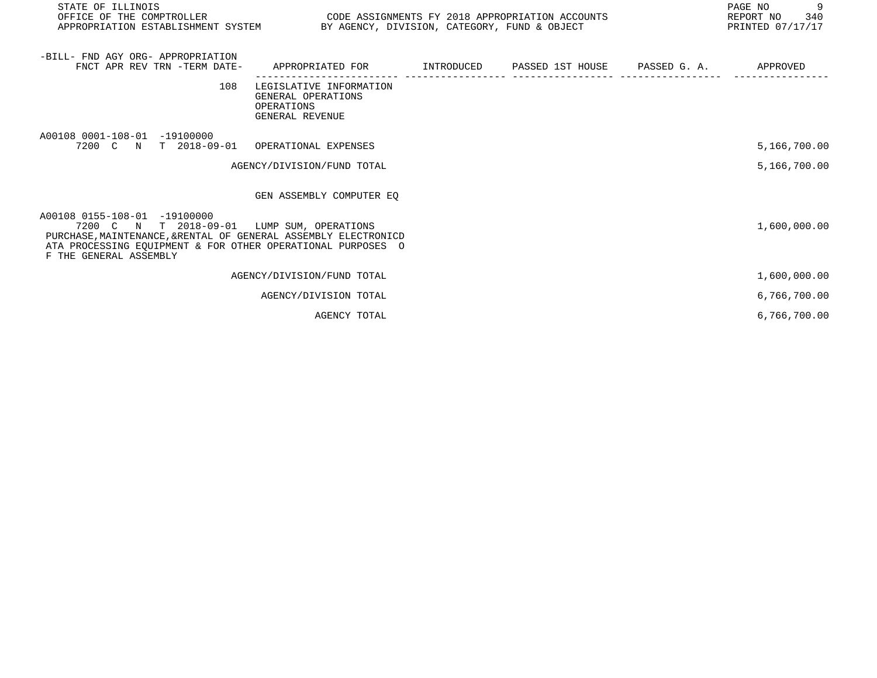| STATE OF ILLINOIS<br>OFFICE OF THE COMPTROLLER                                                                                                                                                                                         | CODE ASSIGNMENTS FY 2018 APPROPRIATION ACCOUNTS<br>APPROPRIATION ESTABLISHMENT SYSTEM BY AGENCY, DIVISION, CATEGORY, FUND & OBJECT |  |  |  | 9<br>PAGE NO<br>REPORT NO 340<br>PRINTED 07/17/17 |
|----------------------------------------------------------------------------------------------------------------------------------------------------------------------------------------------------------------------------------------|------------------------------------------------------------------------------------------------------------------------------------|--|--|--|---------------------------------------------------|
| -BILL- FND AGY ORG- APPROPRIATION<br>FNCT APR REV TRN -TERM DATE-                                                                                                                                                                      | APPROPRIATED FOR                                                                                                                   |  |  |  | APPROVED                                          |
| 108                                                                                                                                                                                                                                    | LEGISLATIVE INFORMATION<br>GENERAL OPERATIONS<br>OPERATIONS<br>GENERAL REVENUE                                                     |  |  |  |                                                   |
| A00108 0001-108-01 -19100000<br>7200 C N T 2018-09-01 OPERATIONAL EXPENSES                                                                                                                                                             |                                                                                                                                    |  |  |  | 5,166,700.00                                      |
|                                                                                                                                                                                                                                        | AGENCY/DIVISION/FUND TOTAL                                                                                                         |  |  |  | 5,166,700.00                                      |
|                                                                                                                                                                                                                                        | GEN ASSEMBLY COMPUTER EO                                                                                                           |  |  |  |                                                   |
| A00108 0155-108-01 -19100000<br>7200 C N T 2018-09-01 LUMP SUM, OPERATIONS<br>PURCHASE, MAINTENANCE, & RENTAL OF GENERAL ASSEMBLY ELECTRONICD<br>ATA PROCESSING EOUIPMENT & FOR OTHER OPERATIONAL PURPOSES O<br>F THE GENERAL ASSEMBLY |                                                                                                                                    |  |  |  | 1,600,000.00                                      |
|                                                                                                                                                                                                                                        | AGENCY/DIVISION/FUND TOTAL                                                                                                         |  |  |  | 1,600,000.00                                      |
|                                                                                                                                                                                                                                        | AGENCY/DIVISION TOTAL                                                                                                              |  |  |  | 6,766,700.00                                      |
|                                                                                                                                                                                                                                        | AGENCY TOTAL                                                                                                                       |  |  |  | 6,766,700.00                                      |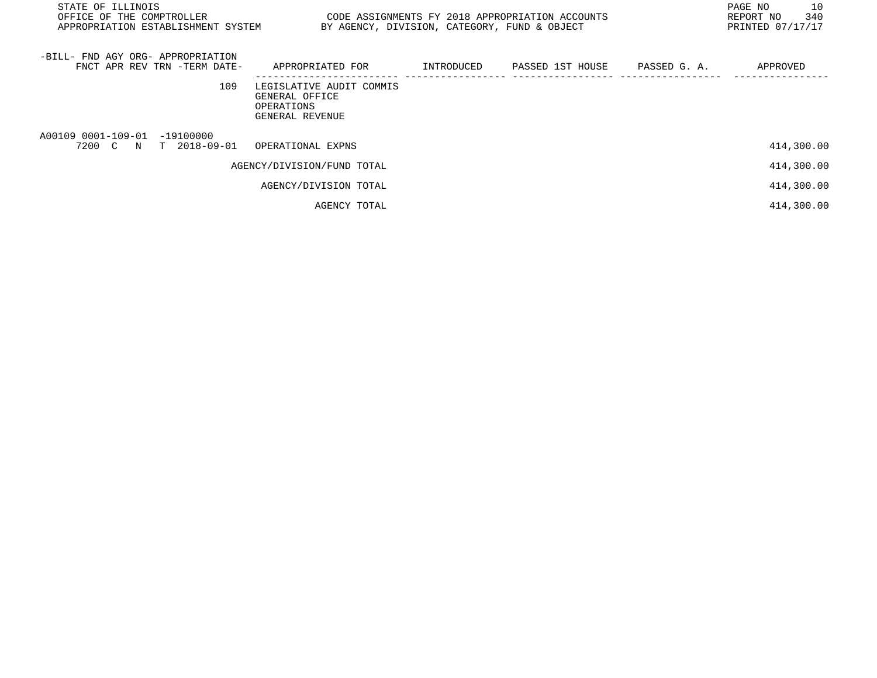| STATE OF ILLINOIS<br>OFFICE OF THE COMPTROLLER<br>APPROPRIATION ESTABLISHMENT SYSTEM | CODE ASSIGNMENTS FY 2018 APPROPRIATION ACCOUNTS                             | BY AGENCY, DIVISION, CATEGORY, FUND & OBJECT |                  |              | 10<br>PAGE NO<br>340<br>REPORT NO<br>PRINTED 07/17/17 |
|--------------------------------------------------------------------------------------|-----------------------------------------------------------------------------|----------------------------------------------|------------------|--------------|-------------------------------------------------------|
| -BILL- FND AGY ORG- APPROPRIATION<br>FNCT APR REV TRN -TERM DATE-                    | APPROPRIATED FOR                                                            | INTRODUCED                                   | PASSED 1ST HOUSE | PASSED G. A. | APPROVED                                              |
| 109                                                                                  | LEGISLATIVE AUDIT COMMIS<br>GENERAL OFFICE<br>OPERATIONS<br>GENERAL REVENUE |                                              |                  |              |                                                       |
| A00109 0001-109-01 -19100000<br>7200 C N T 2018-09-01                                | OPERATIONAL EXPNS                                                           |                                              |                  |              | 414,300.00                                            |
|                                                                                      | AGENCY/DIVISION/FUND TOTAL                                                  |                                              |                  |              | 414,300.00                                            |
|                                                                                      | AGENCY/DIVISION TOTAL                                                       |                                              |                  |              | 414,300.00                                            |
|                                                                                      | AGENCY TOTAL                                                                |                                              |                  |              | 414,300.00                                            |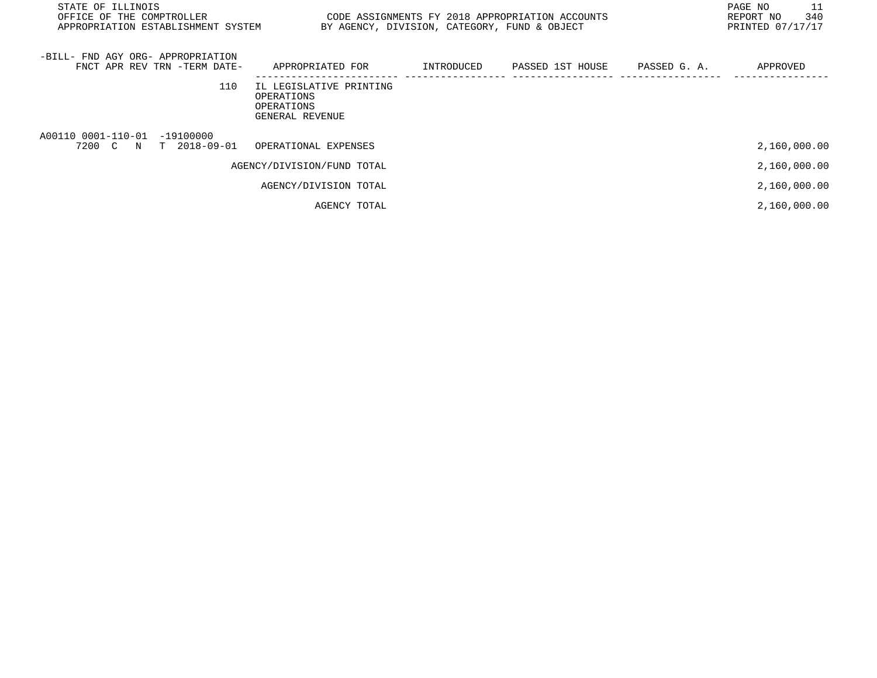| STATE OF ILLINOIS<br>OFFICE OF THE COMPTROLLER<br>APPROPRIATION ESTABLISHMENT SYSTEM |                                                                        | BY AGENCY, DIVISION, CATEGORY, FUND & OBJECT | CODE ASSIGNMENTS FY 2018 APPROPRIATION ACCOUNTS |              | 11<br>PAGE NO<br>340<br>REPORT NO<br>PRINTED 07/17/17 |
|--------------------------------------------------------------------------------------|------------------------------------------------------------------------|----------------------------------------------|-------------------------------------------------|--------------|-------------------------------------------------------|
| -BILL- FND AGY ORG- APPROPRIATION<br>FNCT APR REV TRN -TERM DATE-                    | APPROPRIATED FOR                                                       | INTRODUCED                                   | PASSED 1ST HOUSE                                | PASSED G. A. | APPROVED                                              |
| 110                                                                                  | IL LEGISLATIVE PRINTING<br>OPERATIONS<br>OPERATIONS<br>GENERAL REVENUE |                                              |                                                 |              |                                                       |
| A00110 0001-110-01<br>-19100000<br>$T$ 2018-09-01<br>7200 C<br>N                     | OPERATIONAL EXPENSES                                                   |                                              |                                                 |              | 2,160,000.00                                          |
|                                                                                      | AGENCY/DIVISION/FUND TOTAL                                             |                                              |                                                 |              | 2,160,000.00                                          |
|                                                                                      | AGENCY/DIVISION TOTAL                                                  |                                              |                                                 |              | 2,160,000.00                                          |
|                                                                                      | AGENCY TOTAL                                                           |                                              |                                                 |              | 2,160,000.00                                          |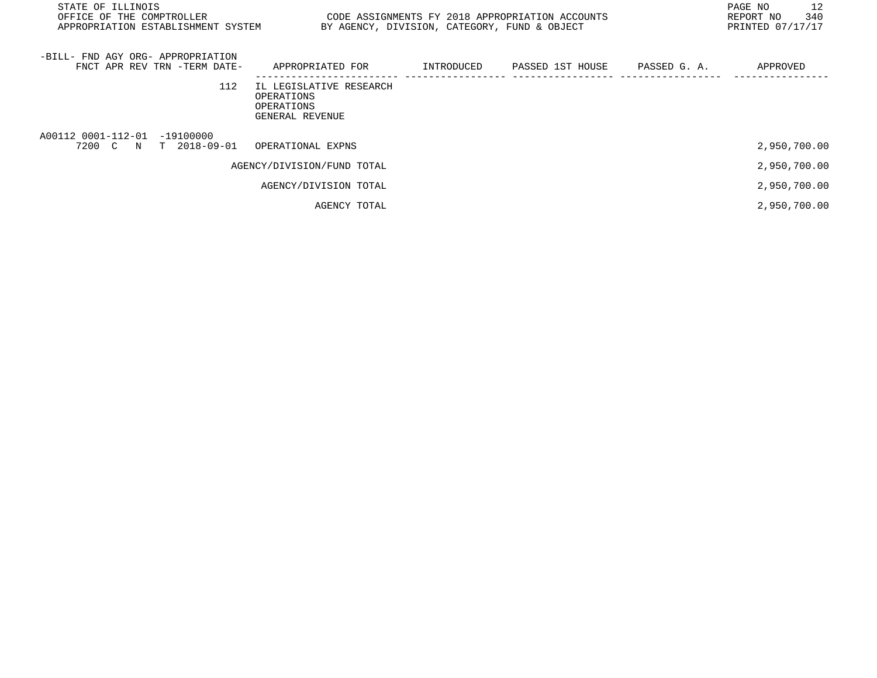| STATE OF ILLINOIS<br>OFFICE OF THE COMPTROLLER<br>APPROPRIATION ESTABLISHMENT SYSTEM |                                                                        | BY AGENCY, DIVISION, CATEGORY, FUND & OBJECT | CODE ASSIGNMENTS FY 2018 APPROPRIATION ACCOUNTS |              | 12<br>PAGE NO<br>340<br>REPORT NO<br>PRINTED 07/17/17 |
|--------------------------------------------------------------------------------------|------------------------------------------------------------------------|----------------------------------------------|-------------------------------------------------|--------------|-------------------------------------------------------|
| -BILL- FND AGY ORG- APPROPRIATION<br>FNCT APR REV TRN -TERM DATE-                    | APPROPRIATED FOR                                                       | INTRODUCED                                   | PASSED 1ST HOUSE                                | PASSED G. A. | APPROVED                                              |
| 112                                                                                  | IL LEGISLATIVE RESEARCH<br>OPERATIONS<br>OPERATIONS<br>GENERAL REVENUE |                                              |                                                 |              |                                                       |
| A00112 0001-112-01 -19100000<br>N T 2018-09-01<br>7200 C                             | OPERATIONAL EXPNS                                                      |                                              |                                                 |              | 2,950,700.00                                          |
|                                                                                      | AGENCY/DIVISION/FUND TOTAL                                             |                                              |                                                 |              | 2,950,700.00                                          |
|                                                                                      | AGENCY/DIVISION TOTAL                                                  |                                              |                                                 |              | 2,950,700.00                                          |
|                                                                                      | AGENCY TOTAL                                                           |                                              |                                                 |              | 2,950,700.00                                          |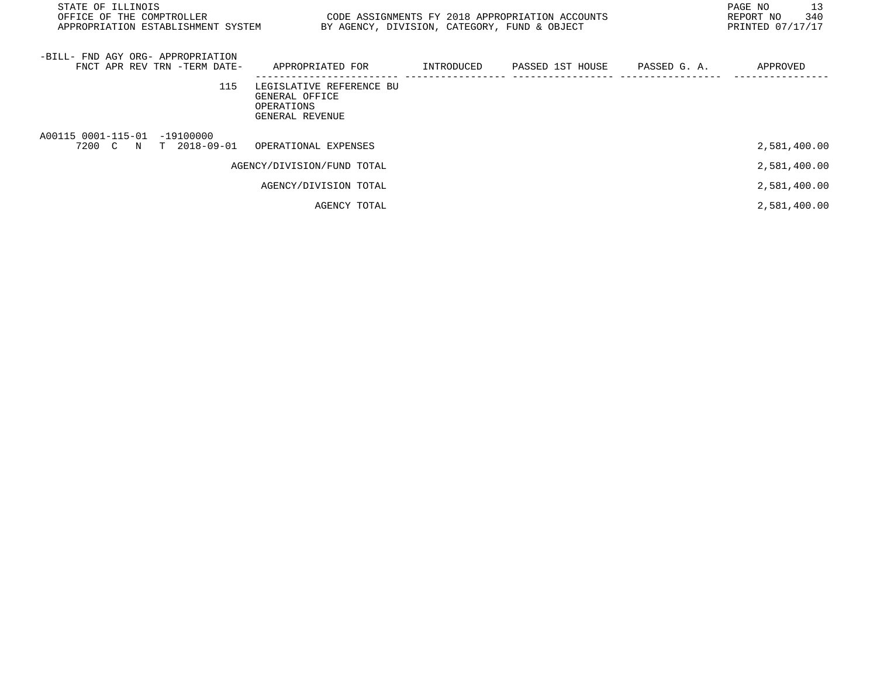| STATE OF ILLINOIS<br>OFFICE OF THE COMPTROLLER<br>APPROPRIATION ESTABLISHMENT SYSTEM | BY AGENCY, DIVISION, CATEGORY, FUND & OBJECT                                |            | CODE ASSIGNMENTS FY 2018 APPROPRIATION ACCOUNTS |              | 13<br>PAGE NO<br>340<br>REPORT NO<br>PRINTED 07/17/17 |
|--------------------------------------------------------------------------------------|-----------------------------------------------------------------------------|------------|-------------------------------------------------|--------------|-------------------------------------------------------|
| -BILL- FND AGY ORG- APPROPRIATION<br>FNCT APR REV TRN -TERM DATE-                    | APPROPRIATED FOR                                                            | INTRODUCED | PASSED 1ST HOUSE                                | PASSED G. A. | APPROVED                                              |
| 115                                                                                  | LEGISLATIVE REFERENCE BU<br>GENERAL OFFICE<br>OPERATIONS<br>GENERAL REVENUE |            |                                                 |              |                                                       |
| A00115 0001-115-01 -19100000<br>7200 C<br>T 2018-09-01<br>N                          | OPERATIONAL EXPENSES                                                        |            |                                                 |              | 2,581,400.00                                          |
|                                                                                      | AGENCY/DIVISION/FUND TOTAL                                                  |            |                                                 |              | 2,581,400.00                                          |
|                                                                                      | AGENCY/DIVISION TOTAL                                                       |            |                                                 |              | 2,581,400.00                                          |
|                                                                                      | AGENCY TOTAL                                                                |            |                                                 |              | 2,581,400.00                                          |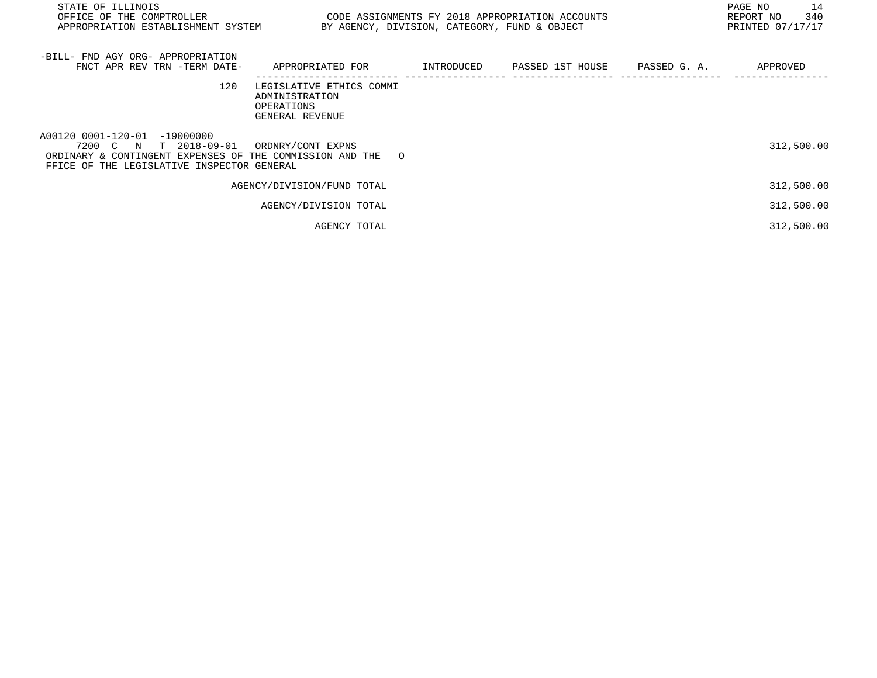| STATE OF ILLINOIS<br>OFFICE OF THE COMPTROLLER<br>APPROPRIATION ESTABLISHMENT SYSTEM                                                                            | CODE ASSIGNMENTS FY 2018 APPROPRIATION ACCOUNTS                             | BY AGENCY, DIVISION, CATEGORY, FUND & OBJECT |  | PAGE NO<br>14<br>340<br>REPORT NO<br>PRINTED 07/17/17 |
|-----------------------------------------------------------------------------------------------------------------------------------------------------------------|-----------------------------------------------------------------------------|----------------------------------------------|--|-------------------------------------------------------|
| -BILL- FND AGY ORG- APPROPRIATION<br>FNCT APR REV TRN -TERM DATE-                                                                                               | APPROPRIATED FOR        INTRODUCED     PASSED 1ST HOUSE     PASSED G. A.    |                                              |  | APPROVED                                              |
| 120                                                                                                                                                             | LEGISLATIVE ETHICS COMMI<br>ADMINISTRATION<br>OPERATIONS<br>GENERAL REVENUE |                                              |  |                                                       |
| A00120 0001-120-01 -19000000<br>7200 C N T 2018-09-01<br>ORDINARY & CONTINGENT EXPENSES OF THE COMMISSION AND THE<br>FFICE OF THE LEGISLATIVE INSPECTOR GENERAL | ORDNRY/CONT EXPNS<br>$\Omega$                                               |                                              |  | 312,500.00                                            |
|                                                                                                                                                                 | AGENCY/DIVISION/FUND TOTAL                                                  |                                              |  | 312,500.00                                            |
|                                                                                                                                                                 | AGENCY/DIVISION TOTAL                                                       |                                              |  | 312,500.00                                            |
|                                                                                                                                                                 | AGENCY TOTAL                                                                |                                              |  | 312,500.00                                            |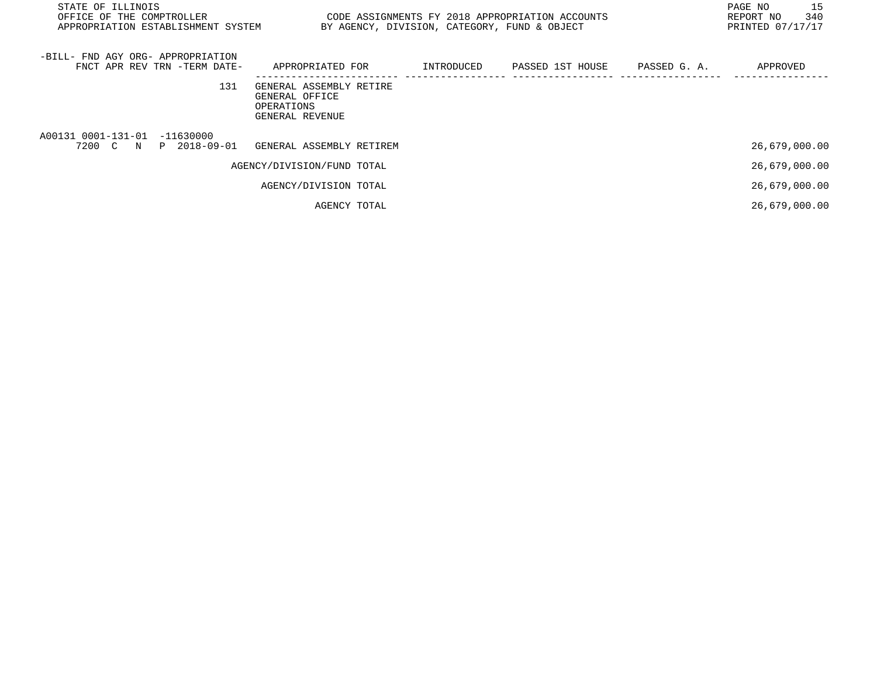| STATE OF ILLINOIS<br>OFFICE OF THE COMPTROLLER<br>APPROPRIATION ESTABLISHMENT SYSTEM BY AGENCY, DIVISION, CATEGORY, FUND & OBJECT |                                                                            |  | CODE ASSIGNMENTS FY 2018 APPROPRIATION ACCOUNTS                      | 15<br>PAGE NO<br>340<br>REPORT NO<br>PRINTED 07/17/17 |
|-----------------------------------------------------------------------------------------------------------------------------------|----------------------------------------------------------------------------|--|----------------------------------------------------------------------|-------------------------------------------------------|
| -BILL- FND AGY ORG- APPROPRIATION<br>FNCT APR REV TRN -TERM DATE-                                                                 |                                                                            |  | APPROPRIATED FOR      INTRODUCED    PASSED 1ST HOUSE    PASSED G. A. | APPROVED                                              |
| 131                                                                                                                               | GENERAL ASSEMBLY RETIRE<br>GENERAL OFFICE<br>OPERATIONS<br>GENERAL REVENUE |  |                                                                      |                                                       |
| A00131 0001-131-01 -11630000<br>7200 C N P 2018-09-01                                                                             | GENERAL ASSEMBLY RETIREM                                                   |  |                                                                      | 26,679,000.00                                         |
|                                                                                                                                   | AGENCY/DIVISION/FUND TOTAL                                                 |  |                                                                      | 26,679,000.00                                         |
|                                                                                                                                   | AGENCY/DIVISION TOTAL                                                      |  |                                                                      | 26,679,000.00                                         |
|                                                                                                                                   | AGENCY TOTAL                                                               |  |                                                                      | 26,679,000.00                                         |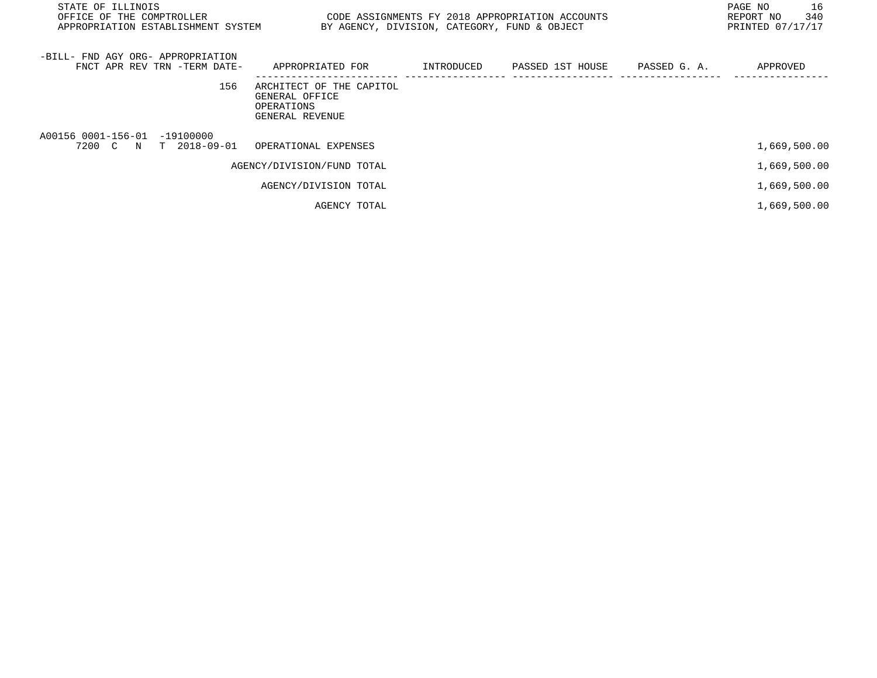| STATE OF ILLINOIS<br>OFFICE OF THE COMPTROLLER<br>APPROPRIATION ESTABLISHMENT SYSTEM | CODE ASSIGNMENTS FY 2018 APPROPRIATION ACCOUNTS                             |            | BY AGENCY, DIVISION, CATEGORY, FUND & OBJECT | 16<br>PAGE NO<br>340<br>REPORT NO<br>PRINTED 07/17/17 |
|--------------------------------------------------------------------------------------|-----------------------------------------------------------------------------|------------|----------------------------------------------|-------------------------------------------------------|
| -BILL- FND AGY ORG- APPROPRIATION<br>FNCT APR REV TRN -TERM DATE-                    | APPROPRIATED FOR                                                            | INTRODUCED | PASSED 1ST HOUSE PASSED G. A.                | APPROVED                                              |
| 156                                                                                  | ARCHITECT OF THE CAPITOL<br>GENERAL OFFICE<br>OPERATIONS<br>GENERAL REVENUE |            |                                              |                                                       |
| A00156 0001-156-01 -19100000<br>7200 C N T 2018-09-01                                | OPERATIONAL EXPENSES                                                        |            |                                              | 1,669,500.00                                          |
|                                                                                      | AGENCY/DIVISION/FUND TOTAL                                                  |            |                                              | 1,669,500.00                                          |
|                                                                                      | AGENCY/DIVISION TOTAL                                                       |            |                                              | 1,669,500.00                                          |
|                                                                                      | AGENCY TOTAL                                                                |            |                                              | 1,669,500.00                                          |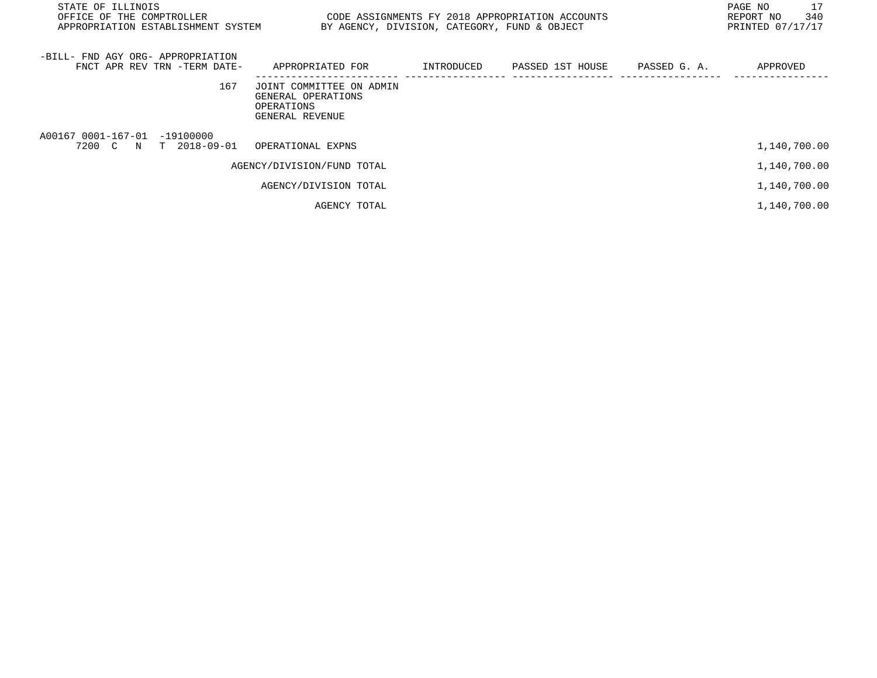| STATE OF ILLINOIS<br>OFFICE OF THE COMPTROLLER<br>APPROPRIATION ESTABLISHMENT SYSTEM | BY AGENCY, DIVISION, CATEGORY, FUND & OBJECT                                    |            | CODE ASSIGNMENTS FY 2018 APPROPRIATION ACCOUNTS |              | 17<br>PAGE NO<br>340<br>REPORT NO<br>PRINTED 07/17/17 |
|--------------------------------------------------------------------------------------|---------------------------------------------------------------------------------|------------|-------------------------------------------------|--------------|-------------------------------------------------------|
| -BILL- FND AGY ORG- APPROPRIATION<br>FNCT APR REV TRN -TERM DATE-                    | APPROPRIATED FOR                                                                | INTRODUCED | PASSED 1ST HOUSE                                | PASSED G. A. | APPROVED                                              |
| 167                                                                                  | JOINT COMMITTEE ON ADMIN<br>GENERAL OPERATIONS<br>OPERATIONS<br>GENERAL REVENUE |            |                                                 |              |                                                       |
| A00167 0001-167-01 -19100000<br>7200 C<br>T 2018-09-01<br>N                          | OPERATIONAL EXPNS                                                               |            |                                                 |              | 1,140,700.00                                          |
|                                                                                      | AGENCY/DIVISION/FUND TOTAL                                                      |            |                                                 |              | 1,140,700.00                                          |
|                                                                                      | AGENCY/DIVISION TOTAL                                                           |            |                                                 |              | 1,140,700.00                                          |
|                                                                                      | AGENCY TOTAL                                                                    |            |                                                 |              | 1,140,700.00                                          |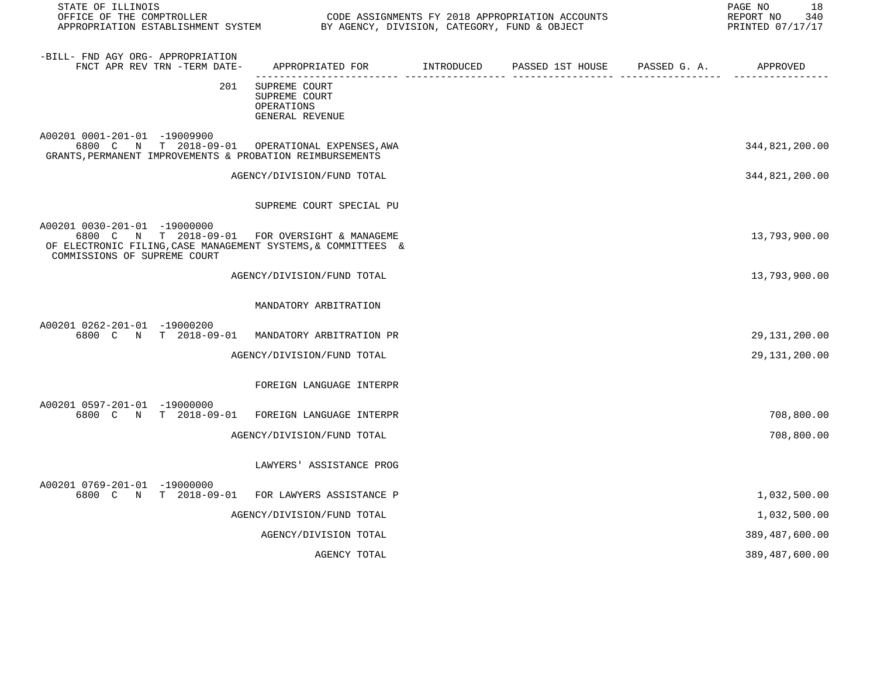| STATE OF ILLINOIS<br>OFFICE OF THE COMPTROLLER<br>APPROPRIATION ESTABLISHMENT SYSTEM BY AGENCY, DIVISION, CATEGORY, FUND & OBJECT                                               |                                                                                           | CODE ASSIGNMENTS FY 2018 APPROPRIATION ACCOUNTS | 18<br>PAGE NO<br>REPORT NO<br>340<br>PRINTED 07/17/17 |
|---------------------------------------------------------------------------------------------------------------------------------------------------------------------------------|-------------------------------------------------------------------------------------------|-------------------------------------------------|-------------------------------------------------------|
| -BILL- FND AGY ORG- APPROPRIATION<br>FNCT APR REV TRN -TERM DATE-                                                                                                               | APPROPRIATED FOR        INTRODUCED     PASSED 1ST HOUSE     PASSED G. A.         APPROVED |                                                 |                                                       |
| 201                                                                                                                                                                             | SUPREME COURT<br>SUPREME COURT<br>OPERATIONS<br>GENERAL REVENUE                           |                                                 |                                                       |
| A00201 0001-201-01 -19009900<br>6800 C N T 2018-09-01 OPERATIONAL EXPENSES, AWA<br>GRANTS, PERMANENT IMPROVEMENTS & PROBATION REIMBURSEMENTS                                    |                                                                                           |                                                 | 344,821,200.00                                        |
|                                                                                                                                                                                 | AGENCY/DIVISION/FUND TOTAL                                                                |                                                 | 344,821,200.00                                        |
|                                                                                                                                                                                 | SUPREME COURT SPECIAL PU                                                                  |                                                 |                                                       |
| A00201 0030-201-01 -19000000<br>6800 C N T 2018-09-01 FOR OVERSIGHT & MANAGEME<br>OF ELECTRONIC FILING, CASE MANAGEMENT SYSTEMS, & COMMITTEES &<br>COMMISSIONS OF SUPREME COURT |                                                                                           |                                                 | 13,793,900.00                                         |
|                                                                                                                                                                                 | AGENCY/DIVISION/FUND TOTAL                                                                |                                                 | 13,793,900.00                                         |
|                                                                                                                                                                                 | MANDATORY ARBITRATION                                                                     |                                                 |                                                       |
| A00201 0262-201-01 -19000200<br>6800 C N T 2018-09-01 MANDATORY ARBITRATION PR                                                                                                  |                                                                                           |                                                 | 29, 131, 200.00                                       |
|                                                                                                                                                                                 | AGENCY/DIVISION/FUND TOTAL                                                                |                                                 | 29,131,200.00                                         |
|                                                                                                                                                                                 | FOREIGN LANGUAGE INTERPR                                                                  |                                                 |                                                       |
| A00201 0597-201-01 -19000000<br>6800 C N T 2018-09-01                                                                                                                           | FOREIGN LANGUAGE INTERPR                                                                  |                                                 | 708,800.00                                            |
|                                                                                                                                                                                 | AGENCY/DIVISION/FUND TOTAL                                                                |                                                 | 708,800.00                                            |
|                                                                                                                                                                                 | LAWYERS' ASSISTANCE PROG                                                                  |                                                 |                                                       |
| A00201 0769-201-01 -19000000<br>6800 C N T 2018-09-01                                                                                                                           | FOR LAWYERS ASSISTANCE P                                                                  |                                                 | 1,032,500.00                                          |
|                                                                                                                                                                                 | AGENCY/DIVISION/FUND TOTAL                                                                |                                                 | 1,032,500.00                                          |
|                                                                                                                                                                                 | AGENCY/DIVISION TOTAL                                                                     |                                                 | 389,487,600.00                                        |
|                                                                                                                                                                                 | AGENCY TOTAL                                                                              |                                                 | 389, 487, 600.00                                      |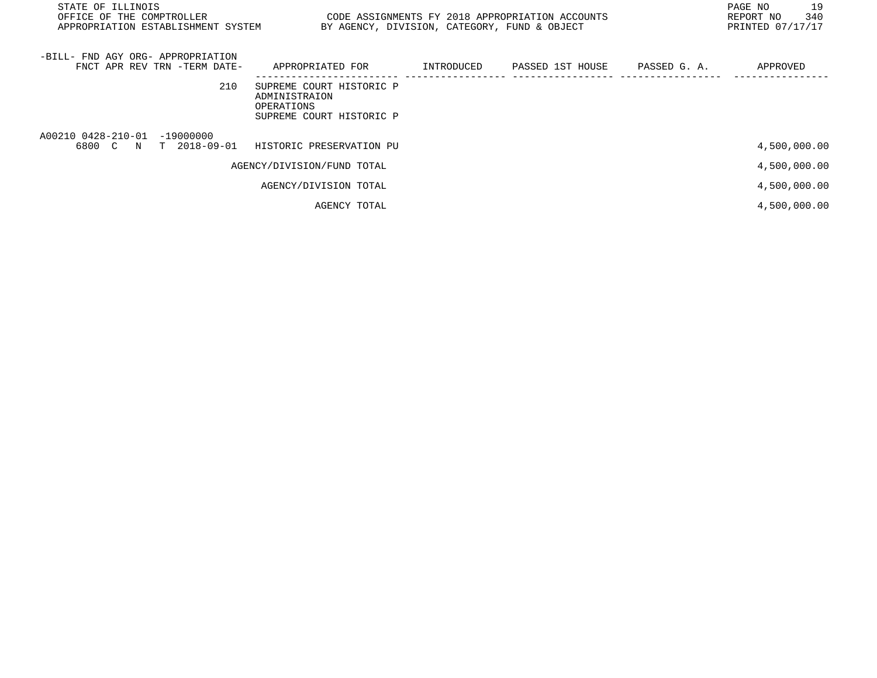| STATE OF ILLINOIS<br>OFFICE OF THE COMPTROLLER CODE ASSIGNMENTS FY 2018 APPROPRIATION ACCOUNTS<br>APPROPRIATION ESTABLISHMENT SYSTEM | BY AGENCY, DIVISION, CATEGORY, FUND & OBJECT                                        |  | 19<br>PAGE NO<br>340<br>REPORT NO<br>PRINTED 07/17/17 |
|--------------------------------------------------------------------------------------------------------------------------------------|-------------------------------------------------------------------------------------|--|-------------------------------------------------------|
| -BILL- FND AGY ORG- APPROPRIATION<br>FNCT APR REV TRN -TERM DATE-                                                                    | APPROPRIATED FOR      INTRODUCED    PASSED 1ST HOUSE    PASSED G. A.                |  | APPROVED                                              |
| 210                                                                                                                                  | SUPREME COURT HISTORIC P<br>ADMINISTRAION<br>OPERATIONS<br>SUPREME COURT HISTORIC P |  |                                                       |
| A00210 0428-210-01 -19000000<br>6800 C N T 2018-09-01                                                                                | HISTORIC PRESERVATION PU                                                            |  | 4,500,000.00                                          |
|                                                                                                                                      | AGENCY/DIVISION/FUND TOTAL                                                          |  | 4,500,000.00                                          |
|                                                                                                                                      | AGENCY/DIVISION TOTAL                                                               |  | 4,500,000.00                                          |
|                                                                                                                                      | AGENCY TOTAL                                                                        |  | 4,500,000.00                                          |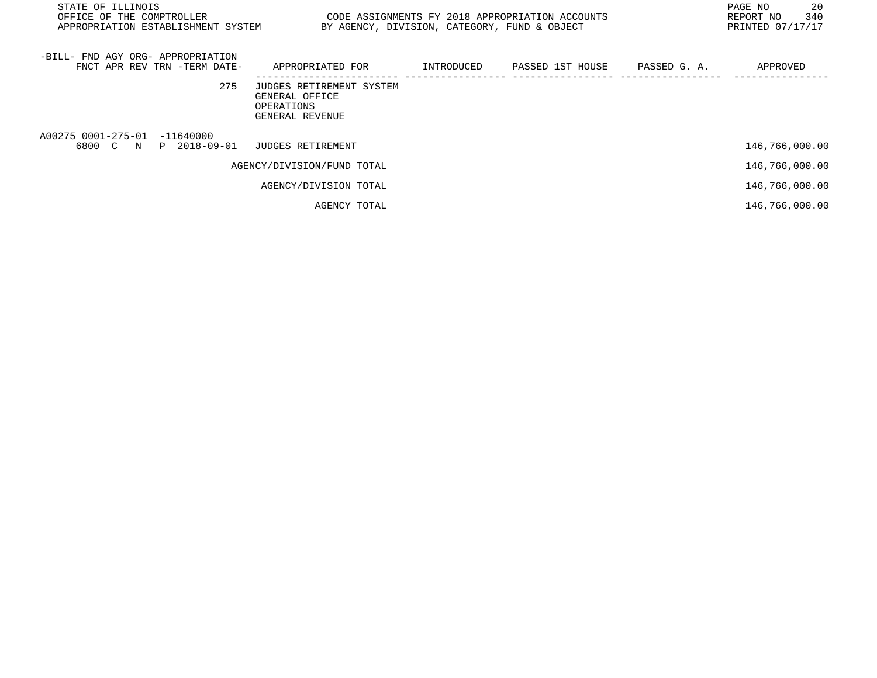| STATE OF ILLINOIS<br>OFFICE OF THE COMPTROLLER<br>APPROPRIATION ESTABLISHMENT SYSTEM BY AGENCY, DIVISION, CATEGORY, FUND & OBJECT | CODE ASSIGNMENTS FY 2018 APPROPRIATION ACCOUNTS                             |                                         | PAGE NO<br>340<br>REPORT NO<br>PRINTED 07/17/17 | 20 |
|-----------------------------------------------------------------------------------------------------------------------------------|-----------------------------------------------------------------------------|-----------------------------------------|-------------------------------------------------|----|
| -BILL- FND AGY ORG- APPROPRIATION<br>FNCT APR REV TRN -TERM DATE-                                                                 | APPROPRIATED FOR                                                            | INTRODUCED PASSED 1ST HOUSE PASSED G.A. | APPROVED                                        |    |
| 275                                                                                                                               | JUDGES RETIREMENT SYSTEM<br>GENERAL OFFICE<br>OPERATIONS<br>GENERAL REVENUE |                                         |                                                 |    |
| A00275 0001-275-01 -11640000<br>6800 C N P 2018-09-01                                                                             | JUDGES RETIREMENT                                                           |                                         | 146,766,000.00                                  |    |
|                                                                                                                                   | AGENCY/DIVISION/FUND TOTAL                                                  |                                         | 146,766,000.00                                  |    |
|                                                                                                                                   | AGENCY/DIVISION TOTAL                                                       |                                         | 146,766,000.00                                  |    |
|                                                                                                                                   | AGENCY TOTAL                                                                |                                         | 146,766,000.00                                  |    |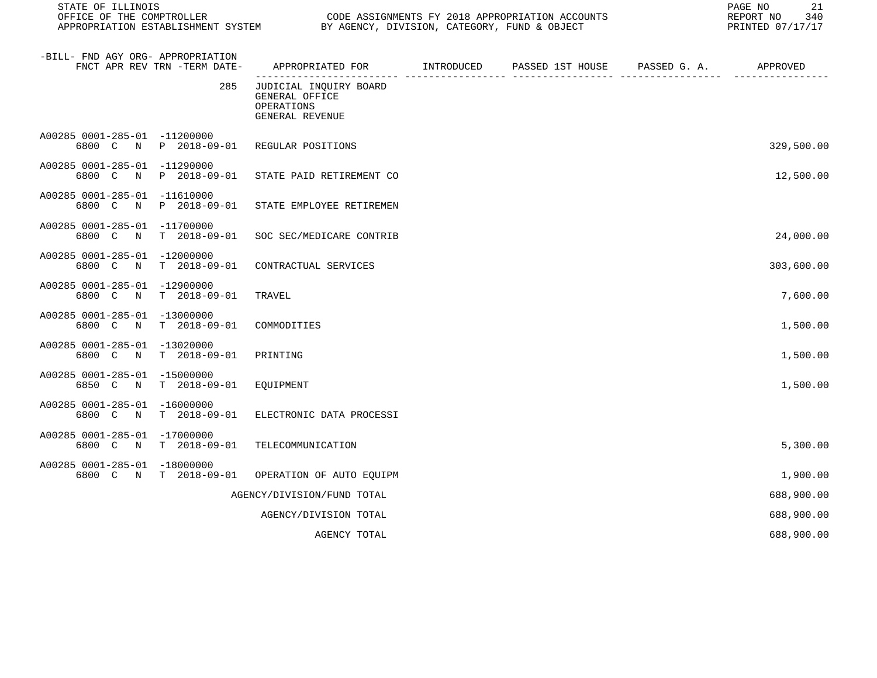STATE OF ILLINOIS PAGE NO 21

CODE ASSIGNMENTS FY 2018 APPROPRIATION ACCOUNTS FOR THE REPORT NO 340 (2018)<br>BY AGENCY, DIVISION, CATEGORY, FUND & OBJECT APPROPRIATION ESTABLISHMENT SYSTEM BY AGENCY, DIVISION, CATEGORY, FUND & OBJECT

| -BILL- FND AGY ORG- APPROPRIATION<br>FNCT APR REV TRN -TERM DATE-                  | APPROPRIATED FOR                                                          | INTRODUCED | PASSED 1ST HOUSE | PASSED G. A. | APPROVED   |
|------------------------------------------------------------------------------------|---------------------------------------------------------------------------|------------|------------------|--------------|------------|
| 285                                                                                | JUDICIAL INQUIRY BOARD<br>GENERAL OFFICE<br>OPERATIONS<br>GENERAL REVENUE |            |                  |              |            |
| A00285 0001-285-01 -11200000<br>6800 C<br>P 2018-09-01<br>N                        | REGULAR POSITIONS                                                         |            |                  |              | 329,500.00 |
| A00285 0001-285-01<br>$-11290000$<br>P 2018-09-01<br>6800 C<br>N                   | STATE PAID RETIREMENT CO                                                  |            |                  |              | 12,500.00  |
| A00285 0001-285-01<br>$-11610000$<br>P 2018-09-01<br>6800 C N                      | STATE EMPLOYEE RETIREMEN                                                  |            |                  |              |            |
| A00285 0001-285-01<br>$-11700000$<br>$T = 2018 - 09 - 01$<br>6800 C<br>$\mathbf N$ | SOC SEC/MEDICARE CONTRIB                                                  |            |                  |              | 24,000.00  |
| A00285 0001-285-01<br>$-12000000$<br>$T = 2018 - 09 - 01$<br>6800 C<br>N           | CONTRACTUAL SERVICES                                                      |            |                  |              | 303,600.00 |
| A00285 0001-285-01<br>$-12900000$<br>6800 C<br>$T = 2018 - 09 - 01$<br>$_{\rm N}$  | TRAVEL                                                                    |            |                  |              | 7,600.00   |
| A00285 0001-285-01<br>$-13000000$<br>6800 C<br>$T = 2018 - 09 - 01$<br>$\mathbb N$ | COMMODITIES                                                               |            |                  |              | 1,500.00   |
| A00285 0001-285-01<br>$-13020000$<br>6800 C<br>$T = 2018 - 09 - 01$<br>$\mathbb N$ | PRINTING                                                                  |            |                  |              | 1,500.00   |
| A00285 0001-285-01<br>$-15000000$<br>6850 C<br>$\mathbb N$<br>$T = 2018 - 09 - 01$ | EQUIPMENT                                                                 |            |                  |              | 1,500.00   |
| A00285 0001-285-01<br>$-16000000$<br>$T = 2018 - 09 - 01$<br>6800 C<br>$_{\rm N}$  | ELECTRONIC DATA PROCESSI                                                  |            |                  |              |            |
| A00285 0001-285-01<br>$-17000000$<br>$T = 2018 - 09 - 01$<br>6800 C<br>N           | TELECOMMUNICATION                                                         |            |                  |              | 5,300.00   |
| A00285 0001-285-01<br>$-18000000$<br>6800 C<br>$T = 2018 - 09 - 01$<br>$\mathbb N$ | OPERATION OF AUTO EQUIPM                                                  |            |                  |              | 1,900.00   |
|                                                                                    | AGENCY/DIVISION/FUND TOTAL                                                |            |                  |              | 688,900.00 |
|                                                                                    | AGENCY/DIVISION TOTAL                                                     |            |                  |              | 688,900.00 |
|                                                                                    | AGENCY TOTAL                                                              |            |                  |              | 688,900.00 |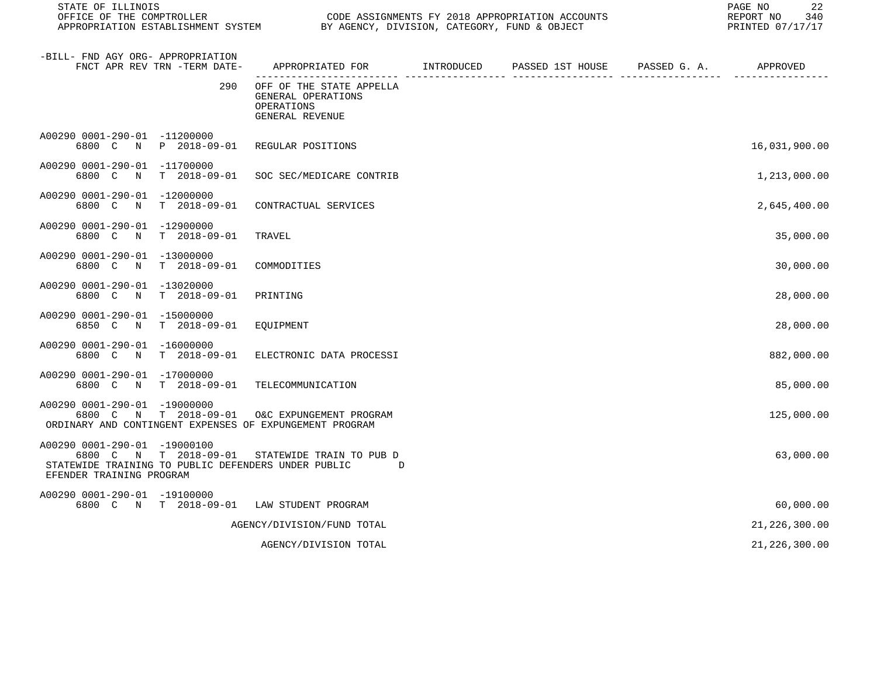| STATE OF ILLINOIS<br>CODE ASSIGNMENTS FY 2018 APPROPRIATION ACCOUNTS<br>OFFICE OF THE COMPTROLLER<br>APPROPRIATION ESTABLISHMENT SYSTEM BY AGENCY, DIVISION, CATEGORY, FUND & OBJECT |                              |                                                                                                          |  |  |  | 22<br>PAGE NO<br>REPORT NO<br>340<br>PRINTED 07/17/17 |
|--------------------------------------------------------------------------------------------------------------------------------------------------------------------------------------|------------------------------|----------------------------------------------------------------------------------------------------------|--|--|--|-------------------------------------------------------|
| -BILL- FND AGY ORG- APPROPRIATION                                                                                                                                                    | FNCT APR REV TRN -TERM DATE- | APPROPRIATED FOR        INTRODUCED      PASSED 1ST HOUSE     PASSED G. A.         APPROVED               |  |  |  |                                                       |
|                                                                                                                                                                                      | 290                          | OFF OF THE STATE APPELLA<br>GENERAL OPERATIONS<br>OPERATIONS<br>GENERAL REVENUE                          |  |  |  |                                                       |
| A00290 0001-290-01 -11200000                                                                                                                                                         |                              | 6800 C N P 2018-09-01 REGULAR POSITIONS                                                                  |  |  |  | 16,031,900.00                                         |
| A00290 0001-290-01 -11700000                                                                                                                                                         |                              | 6800 C N T 2018-09-01 SOC SEC/MEDICARE CONTRIB                                                           |  |  |  | 1,213,000.00                                          |
| A00290 0001-290-01 -12000000                                                                                                                                                         | 6800 C N T 2018-09-01        | CONTRACTUAL SERVICES                                                                                     |  |  |  | 2,645,400.00                                          |
| A00290 0001-290-01 -12900000                                                                                                                                                         | 6800 C N T 2018-09-01        | TRAVEL                                                                                                   |  |  |  | 35,000.00                                             |
| A00290 0001-290-01 -13000000                                                                                                                                                         | 6800 C N T 2018-09-01        | COMMODITIES                                                                                              |  |  |  | 30,000.00                                             |
| A00290 0001-290-01 -13020000                                                                                                                                                         | 6800 C N T 2018-09-01        | PRINTING                                                                                                 |  |  |  | 28,000.00                                             |
| A00290 0001-290-01 -15000000                                                                                                                                                         | 6850 C N T 2018-09-01        | EQUIPMENT                                                                                                |  |  |  | 28,000.00                                             |
| A00290 0001-290-01 -16000000                                                                                                                                                         | 6800 C N T 2018-09-01        | ELECTRONIC DATA PROCESSI                                                                                 |  |  |  | 882,000.00                                            |
| A00290 0001-290-01 -17000000                                                                                                                                                         |                              | 6800 C N T 2018-09-01 TELECOMMUNICATION                                                                  |  |  |  | 85,000.00                                             |
| A00290 0001-290-01 -19000000                                                                                                                                                         |                              | 6800 C N T 2018-09-01 O&C EXPUNGEMENT PROGRAM<br>ORDINARY AND CONTINGENT EXPENSES OF EXPUNGEMENT PROGRAM |  |  |  | 125,000.00                                            |
| A00290 0001-290-01 -19000100<br>EFENDER TRAINING PROGRAM                                                                                                                             |                              | 6800 C N T 2018-09-01 STATEWIDE TRAIN TO PUB D<br>STATEWIDE TRAINING TO PUBLIC DEFENDERS UNDER PUBLIC D  |  |  |  | 63,000.00                                             |
| A00290 0001-290-01 -19100000                                                                                                                                                         |                              | 6800 C N T 2018-09-01 LAW STUDENT PROGRAM                                                                |  |  |  | 60,000.00                                             |
|                                                                                                                                                                                      |                              | AGENCY/DIVISION/FUND TOTAL                                                                               |  |  |  | 21, 226, 300.00                                       |

AGENCY/DIVISION TOTAL 226, 200.00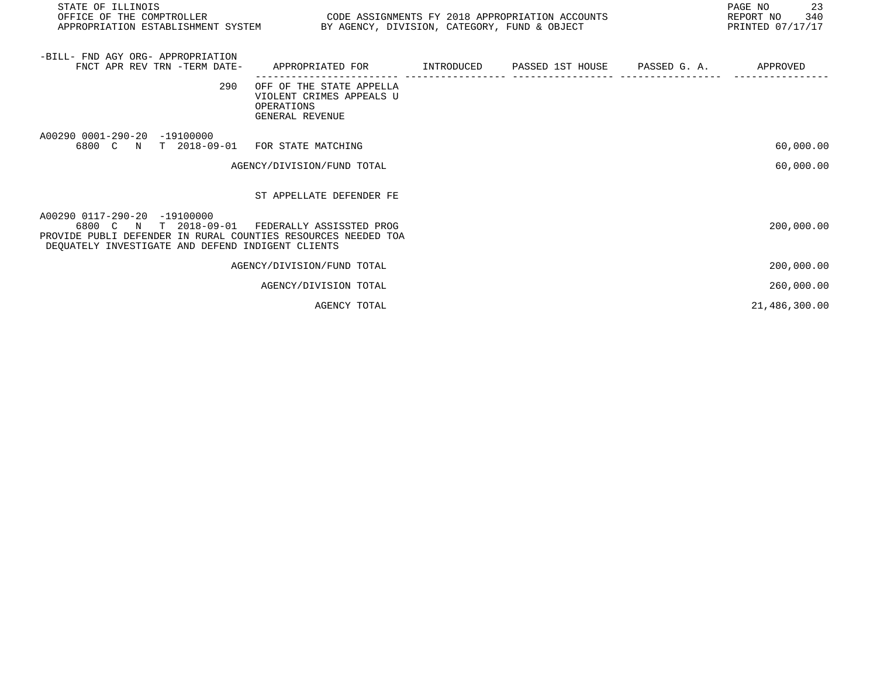| STATE OF ILLINOIS<br>OFFICE OF THE COMPTROLLER                                                                                                                                 | CODE ASSIGNMENTS FY 2018 APPROPRIATION ACCOUNTS<br>APPROPRIATION ESTABLISHMENT SYSTEM BY AGENCY, DIVISION, CATEGORY, FUND & OBJECT |  |  |  | PAGE NO<br>23<br>340<br>REPORT NO<br>PRINTED 07/17/17 |
|--------------------------------------------------------------------------------------------------------------------------------------------------------------------------------|------------------------------------------------------------------------------------------------------------------------------------|--|--|--|-------------------------------------------------------|
| -BILL- FND AGY ORG- APPROPRIATION<br>FNCT APR REV TRN -TERM DATE-                                                                                                              | APPROPRIATED FOR          INTRODUCED      PASSED 1ST HOUSE      PASSED G. A.                                                       |  |  |  | APPROVED                                              |
| 290                                                                                                                                                                            | OFF OF THE STATE APPELLA<br>VIOLENT CRIMES APPEALS U<br>OPERATIONS<br>GENERAL REVENUE                                              |  |  |  |                                                       |
| A00290 0001-290-20 -19100000<br>6800 C N T 2018-09-01                                                                                                                          | FOR STATE MATCHING                                                                                                                 |  |  |  | 60,000.00                                             |
|                                                                                                                                                                                | AGENCY/DIVISION/FUND TOTAL                                                                                                         |  |  |  | 60,000.00                                             |
|                                                                                                                                                                                | ST APPELLATE DEFENDER FE                                                                                                           |  |  |  |                                                       |
| A00290 0117-290-20 -19100000<br>N T 2018-09-01<br>6800 C<br>PROVIDE PUBLI DEFENDER IN RURAL COUNTIES RESOURCES NEEDED TOA<br>DEQUATELY INVESTIGATE AND DEFEND INDIGENT CLIENTS | FEDERALLY ASSISSTED PROG                                                                                                           |  |  |  | 200,000.00                                            |
|                                                                                                                                                                                | AGENCY/DIVISION/FUND TOTAL                                                                                                         |  |  |  | 200,000.00                                            |
|                                                                                                                                                                                | AGENCY/DIVISION TOTAL                                                                                                              |  |  |  | 260,000.00                                            |
|                                                                                                                                                                                | AGENCY TOTAL                                                                                                                       |  |  |  | 21,486,300.00                                         |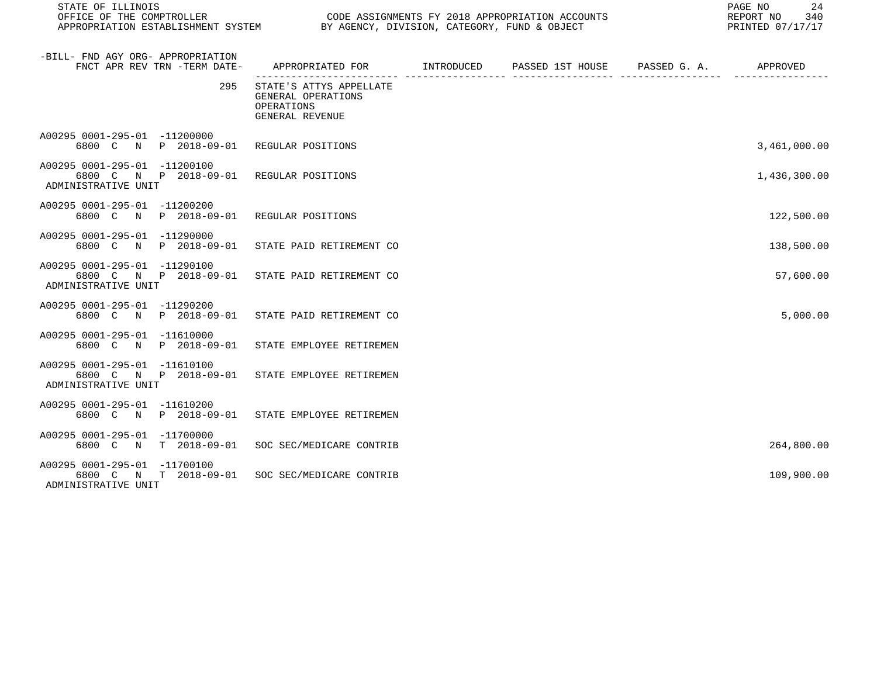| STATE OF ILLINOIS<br>OFFICE OF THE COMPTROLLER<br>APPROPRIATION ESTABLISHMENT SYSTEM BY AGENCY, DIVISION, CATEGORY, FUND & OBJECT | CODE ASSIGNMENTS FY 2018 APPROPRIATION ACCOUNTS                                             |  | PAGE NO<br>24<br>340<br>REPORT NO<br>PRINTED 07/17/17 |
|-----------------------------------------------------------------------------------------------------------------------------------|---------------------------------------------------------------------------------------------|--|-------------------------------------------------------|
| -BILL- FND AGY ORG- APPROPRIATION<br>FNCT APR REV TRN -TERM DATE-                                                                 | APPROPRIATED FOR         INTRODUCED      PASSED 1ST HOUSE     PASSED G. A.         APPROVED |  |                                                       |
| 295                                                                                                                               | STATE'S ATTYS APPELLATE<br>GENERAL OPERATIONS<br>OPERATIONS<br>GENERAL REVENUE              |  |                                                       |
| A00295 0001-295-01 -11200000<br>6800 C N P 2018-09-01 REGULAR POSITIONS                                                           |                                                                                             |  | 3,461,000.00                                          |
| A00295 0001-295-01 -11200100<br>6800 C N P 2018-09-01 REGULAR POSITIONS<br>ADMINISTRATIVE UNIT                                    |                                                                                             |  | 1,436,300.00                                          |
| A00295 0001-295-01 -11200200<br>6800 C N P 2018-09-01 REGULAR POSITIONS                                                           |                                                                                             |  | 122,500.00                                            |
| A00295 0001-295-01 -11290000<br>6800 C N P 2018-09-01 STATE PAID RETIREMENT CO                                                    |                                                                                             |  | 138,500.00                                            |
| A00295 0001-295-01 -11290100<br>6800 C N P 2018-09-01 STATE PAID RETIREMENT CO<br>ADMINISTRATIVE UNIT                             |                                                                                             |  | 57,600.00                                             |
| A00295 0001-295-01 -11290200<br>6800 C N P 2018-09-01 STATE PAID RETIREMENT CO                                                    |                                                                                             |  | 5,000.00                                              |
| A00295 0001-295-01 -11610000<br>6800 C N P 2018-09-01 STATE EMPLOYEE RETIREMEN                                                    |                                                                                             |  |                                                       |
| A00295 0001-295-01 -11610100<br>6800 C N P 2018-09-01 STATE EMPLOYEE RETIREMEN<br>ADMINISTRATIVE UNIT                             |                                                                                             |  |                                                       |

A00295 0001-295-01 -11610200 6800 C N P 2018-09-01 STATE EMPLOYEE RETIREMEN A00295 0001-295-01 -11700000 6800 C N T 2018-09-01 SOC SEC/MEDICARE CONTRIB 264,800.00 A00295 0001-295-01 -11700100

 6800 C N T 2018-09-01 SOC SEC/MEDICARE CONTRIB 109,900.00 ADMINISTRATIVE UNIT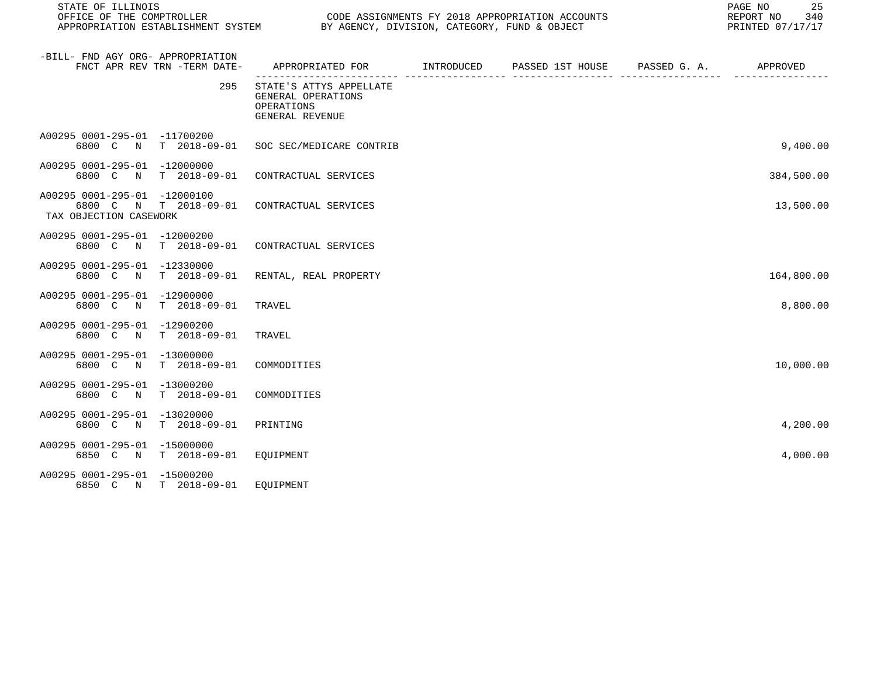| STATE OF ILLINOIS<br>OFFICE OF THE COMPTROLLER         |                              | APPROPRIATION ESTABLISHMENT SYSTEM BY AGENCY, DIVISION, CATEGORY, FUND & OBJECT                            |               | CODE ASSIGNMENTS FY 2018 APPROPRIATION ACCOUNTS |                              | 25<br>PAGE NO<br>REPORT NO<br>340<br>PRINTED 07/17/17 |
|--------------------------------------------------------|------------------------------|------------------------------------------------------------------------------------------------------------|---------------|-------------------------------------------------|------------------------------|-------------------------------------------------------|
| -BILL- FND AGY ORG- APPROPRIATION                      | FNCT APR REV TRN -TERM DATE- | APPROPRIATED FOR        INTRODUCED     PASSED 1ST HOUSE     PASSED G. A.         APPROVED                  |               |                                                 |                              |                                                       |
|                                                        | 295                          | ------------------- ----<br>STATE'S ATTYS APPELLATE<br>GENERAL OPERATIONS<br>OPERATIONS<br>GENERAL REVENUE | ----------- - |                                                 | ____________________________ |                                                       |
| A00295 0001-295-01 -11700200                           | 6800 C N T 2018-09-01        | SOC SEC/MEDICARE CONTRIB                                                                                   |               |                                                 |                              | 9,400.00                                              |
| A00295 0001-295-01 -12000000                           | 6800 C N T 2018-09-01        | CONTRACTUAL SERVICES                                                                                       |               |                                                 |                              | 384,500.00                                            |
| A00295 0001-295-01 -12000100<br>TAX OBJECTION CASEWORK | 6800 C N T 2018-09-01        | CONTRACTUAL SERVICES                                                                                       |               |                                                 |                              | 13,500.00                                             |
| A00295 0001-295-01 -12000200                           | 6800 C N T 2018-09-01        | CONTRACTUAL SERVICES                                                                                       |               |                                                 |                              |                                                       |
| A00295 0001-295-01 -12330000                           | 6800 C N T 2018-09-01        | RENTAL, REAL PROPERTY                                                                                      |               |                                                 |                              | 164,800.00                                            |
| A00295 0001-295-01 -12900000<br>6800 C N               | T 2018-09-01                 | TRAVEL                                                                                                     |               |                                                 |                              | 8,800.00                                              |
| A00295 0001-295-01 -12900200                           | 6800 C N T 2018-09-01        | TRAVEL                                                                                                     |               |                                                 |                              |                                                       |
| A00295 0001-295-01 -13000000                           | 6800 C N T 2018-09-01        | COMMODITIES                                                                                                |               |                                                 |                              | 10,000.00                                             |
| A00295 0001-295-01 -13000200                           | 6800 C N T 2018-09-01        | COMMODITIES                                                                                                |               |                                                 |                              |                                                       |
| A00295 0001-295-01 -13020000<br>6800 C N               | T 2018-09-01                 | PRINTING                                                                                                   |               |                                                 |                              | 4,200.00                                              |
| A00295 0001-295-01 -15000000                           | 6850 C N T 2018-09-01        | EQUIPMENT                                                                                                  |               |                                                 |                              | 4,000.00                                              |
| A00295 0001-295-01 -15000200                           | 6850 C N T 2018-09-01        | EQUIPMENT                                                                                                  |               |                                                 |                              |                                                       |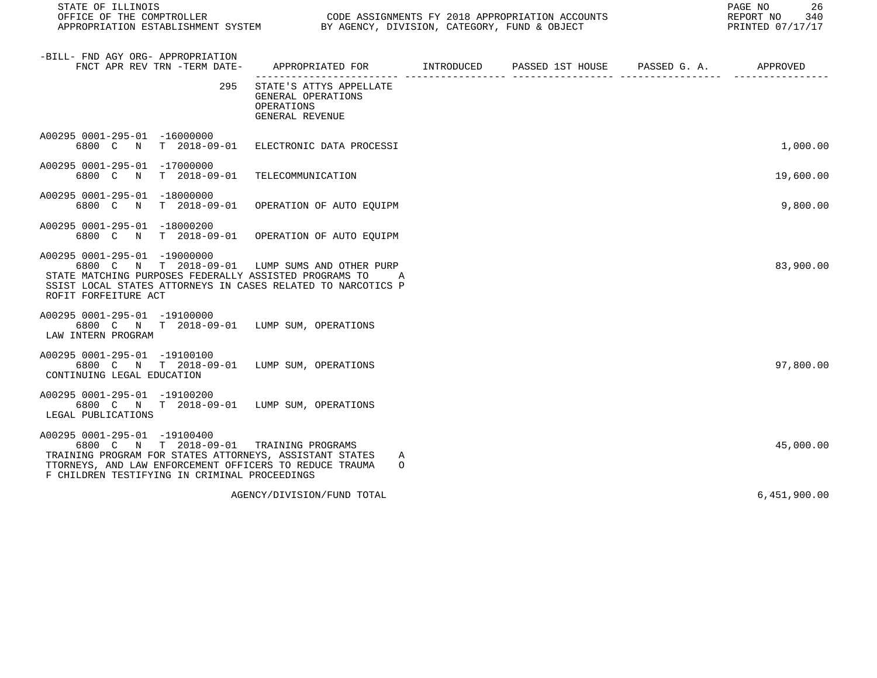| STATE OF ILLINOIS<br>OFFICE OF THE COMPTROLLER<br>CODE ASSIGNMENTS FY 2018 APPROPRIATION ACCOUNTS<br>APPROPRIATION ESTABLISHMENT SYSTEM BY AGENCY, DIVISION, CATEGORY, FUND & OBJECT                                                           |                                                                                         |  |  |  | PAGE NO<br>26<br>REPORT NO<br>340<br>PRINTED 07/17/17 |
|------------------------------------------------------------------------------------------------------------------------------------------------------------------------------------------------------------------------------------------------|-----------------------------------------------------------------------------------------|--|--|--|-------------------------------------------------------|
| -BILL- FND AGY ORG- APPROPRIATION<br>FNCT APR REV TRN -TERM DATE-                                                                                                                                                                              | APPROPRIATED FOR        INTRODUCED     PASSED 1ST HOUSE    PASSED G. A.        APPROVED |  |  |  |                                                       |
| 295                                                                                                                                                                                                                                            | STATE'S ATTYS APPELLATE<br>GENERAL OPERATIONS<br>OPERATIONS<br>GENERAL REVENUE          |  |  |  |                                                       |
| A00295 0001-295-01 -16000000<br>6800 C N T 2018-09-01 ELECTRONIC DATA PROCESSI                                                                                                                                                                 |                                                                                         |  |  |  | 1,000.00                                              |
| A00295 0001-295-01 -17000000<br>6800 C N T 2018-09-01 TELECOMMUNICATION                                                                                                                                                                        |                                                                                         |  |  |  | 19,600.00                                             |
| A00295 0001-295-01 -18000000<br>6800 C N T 2018-09-01 OPERATION OF AUTO EQUIPM                                                                                                                                                                 |                                                                                         |  |  |  | 9,800.00                                              |
| A00295 0001-295-01 -18000200<br>6800 C N T 2018-09-01 OPERATION OF AUTO EQUIPM                                                                                                                                                                 |                                                                                         |  |  |  |                                                       |
| A00295 0001-295-01 -19000000<br>6800 C N T 2018-09-01 LUMP SUMS AND OTHER PURP<br>STATE MATCHING PURPOSES FEDERALLY ASSISTED PROGRAMS TO<br>SSIST LOCAL STATES ATTORNEYS IN CASES RELATED TO NARCOTICS P<br>ROFIT FORFEITURE ACT               | Α                                                                                       |  |  |  | 83,900.00                                             |
| A00295 0001-295-01 -19100000<br>6800 C N T 2018-09-01 LUMP SUM, OPERATIONS<br>LAW INTERN PROGRAM                                                                                                                                               |                                                                                         |  |  |  |                                                       |
| A00295 0001-295-01 -19100100<br>6800 C N T 2018-09-01 LUMP SUM, OPERATIONS<br>CONTINUING LEGAL EDUCATION                                                                                                                                       |                                                                                         |  |  |  | 97,800.00                                             |
| A00295 0001-295-01 -19100200<br>6800 C N T 2018-09-01 LUMP SUM, OPERATIONS<br>LEGAL PUBLICATIONS                                                                                                                                               |                                                                                         |  |  |  |                                                       |
| A00295 0001-295-01 -19100400<br>6800 C N T 2018-09-01 TRAINING PROGRAMS<br>TRAINING PROGRAM FOR STATES ATTORNEYS, ASSISTANT STATES<br>TTORNEYS, AND LAW ENFORCEMENT OFFICERS TO REDUCE TRAUMA<br>F CHILDREN TESTIFYING IN CRIMINAL PROCEEDINGS | A<br>$\circ$                                                                            |  |  |  | 45,000.00                                             |
|                                                                                                                                                                                                                                                | AGENCY/DIVISION/FUND TOTAL                                                              |  |  |  | 6,451,900.00                                          |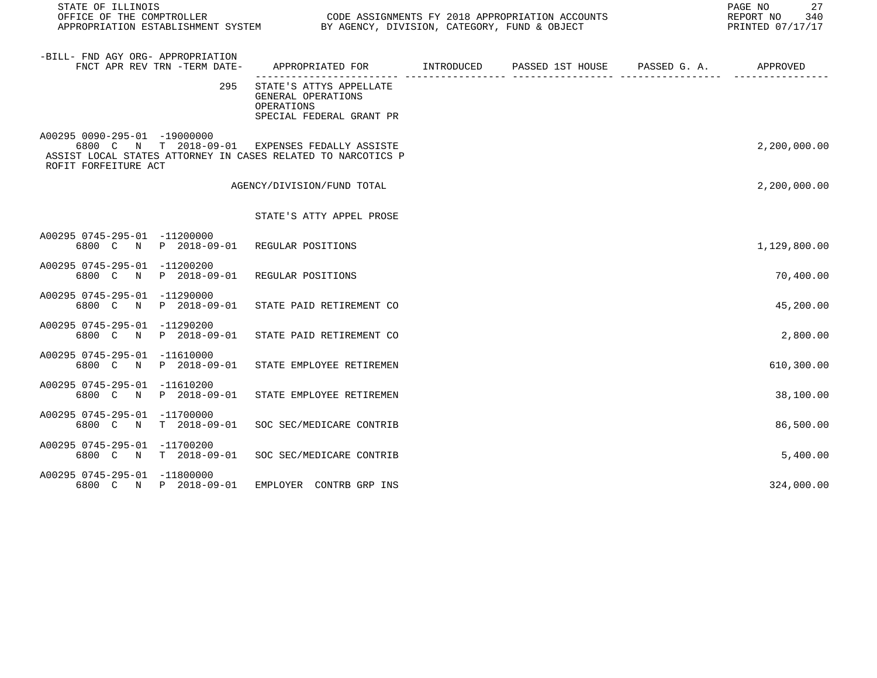| STATE OF ILLINOIS                                    |                              |                                                                                                                |  | 27<br>PAGE NO<br>REPORT NO 340<br>PRINTED 07/17/17 |
|------------------------------------------------------|------------------------------|----------------------------------------------------------------------------------------------------------------|--|----------------------------------------------------|
| -BILL- FND AGY ORG- APPROPRIATION                    | FNCT APR REV TRN -TERM DATE- | APPROPRIATED FOR        INTRODUCED     PASSED 1ST HOUSE     PASSED G. A.         APPROVED                      |  |                                                    |
|                                                      | 295                          | STATE'S ATTYS APPELLATE<br>GENERAL OPERATIONS<br>OPERATIONS<br>SPECIAL FEDERAL GRANT PR                        |  |                                                    |
| A00295 0090-295-01 -19000000<br>ROFIT FORFEITURE ACT |                              | 6800 C N T 2018-09-01 EXPENSES FEDALLY ASSISTE<br>ASSIST LOCAL STATES ATTORNEY IN CASES RELATED TO NARCOTICS P |  | 2,200,000.00                                       |
|                                                      |                              | AGENCY/DIVISION/FUND TOTAL                                                                                     |  | 2,200,000.00                                       |
|                                                      |                              | STATE'S ATTY APPEL PROSE                                                                                       |  |                                                    |
| A00295 0745-295-01 -11200000                         |                              | 6800 C N P 2018-09-01 REGULAR POSITIONS                                                                        |  | 1,129,800.00                                       |
| A00295 0745-295-01 -11200200                         | 6800 C N P 2018-09-01        | REGULAR POSITIONS                                                                                              |  | 70,400.00                                          |
| A00295 0745-295-01 -11290000                         | 6800 C N P 2018-09-01        | STATE PAID RETIREMENT CO                                                                                       |  | 45,200.00                                          |
| A00295 0745-295-01 -11290200<br>6800 C               | N P 2018-09-01               | STATE PAID RETIREMENT CO                                                                                       |  | 2,800.00                                           |
| A00295 0745-295-01 -11610000                         | 6800 C N P 2018-09-01        | STATE EMPLOYEE RETIREMEN                                                                                       |  | 610,300.00                                         |
| A00295 0745-295-01 -11610200                         | 6800 C N P 2018-09-01        | STATE EMPLOYEE RETIREMEN                                                                                       |  | 38,100.00                                          |
| A00295 0745-295-01 -11700000                         | 6800 C N T 2018-09-01        | SOC SEC/MEDICARE CONTRIB                                                                                       |  | 86,500.00                                          |
| A00295 0745-295-01 -11700200                         | 6800 C N T 2018-09-01        | SOC SEC/MEDICARE CONTRIB                                                                                       |  | 5,400.00                                           |
| A00295 0745-295-01 -11800000                         | 6800 C N P 2018-09-01        | EMPLOYER CONTRB GRP INS                                                                                        |  | 324,000.00                                         |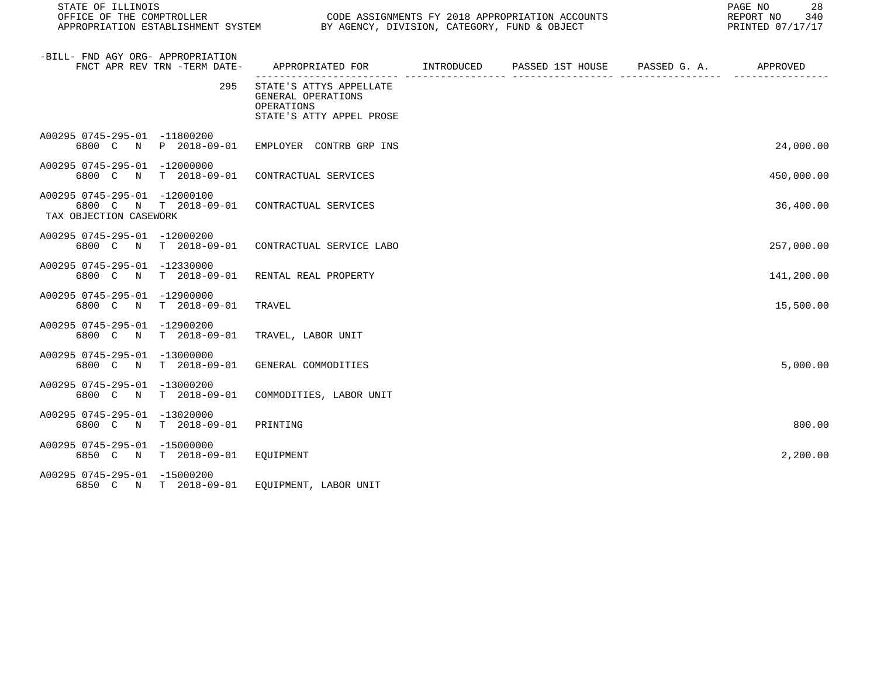| STATE OF ILLINOIS                                                                                    |                                                                                         |  |  |  | 28<br>PAGE NO<br>REPORT NO 340<br>PRINTED 07/17/17 |  |  |
|------------------------------------------------------------------------------------------------------|-----------------------------------------------------------------------------------------|--|--|--|----------------------------------------------------|--|--|
| -BILL- FND AGY ORG- APPROPRIATION<br>FNCT APR REV TRN -TERM DATE-                                    | APPROPRIATED FOR TINTRODUCED PASSED 1ST HOUSE PASSED G.A. APPROVED                      |  |  |  |                                                    |  |  |
| 295                                                                                                  | STATE'S ATTYS APPELLATE<br>GENERAL OPERATIONS<br>OPERATIONS<br>STATE'S ATTY APPEL PROSE |  |  |  |                                                    |  |  |
| A00295 0745-295-01 -11800200<br>6800 C N P 2018-09-01 EMPLOYER CONTRB GRP INS                        |                                                                                         |  |  |  | 24,000.00                                          |  |  |
| A00295 0745-295-01 -12000000<br>6800 C N T 2018-09-01 CONTRACTUAL SERVICES                           |                                                                                         |  |  |  | 450,000.00                                         |  |  |
| A00295 0745-295-01 -12000100<br>6800 C N T 2018-09-01 CONTRACTUAL SERVICES<br>TAX OBJECTION CASEWORK |                                                                                         |  |  |  | 36,400.00                                          |  |  |
| A00295 0745-295-01 -12000200<br>6800 C N T 2018-09-01 CONTRACTUAL SERVICE LABO                       |                                                                                         |  |  |  | 257,000.00                                         |  |  |
| A00295 0745-295-01 -12330000<br>6800 C N T 2018-09-01                                                | RENTAL REAL PROPERTY                                                                    |  |  |  | 141,200.00                                         |  |  |
| A00295 0745-295-01 -12900000<br>6800 C N T 2018-09-01                                                | TRAVEL                                                                                  |  |  |  | 15,500.00                                          |  |  |
| A00295 0745-295-01 -12900200<br>6800 C N T 2018-09-01                                                | TRAVEL, LABOR UNIT                                                                      |  |  |  |                                                    |  |  |
| A00295 0745-295-01 -13000000<br>6800 C N T 2018-09-01 GENERAL COMMODITIES                            |                                                                                         |  |  |  | 5,000.00                                           |  |  |
| A00295 0745-295-01 -13000200<br>6800 C N T 2018-09-01                                                | COMMODITIES, LABOR UNIT                                                                 |  |  |  |                                                    |  |  |
| A00295 0745-295-01 -13020000<br>6800 C N T 2018-09-01                                                | PRINTING                                                                                |  |  |  | 800.00                                             |  |  |
| A00295 0745-295-01 -15000000<br>6850 C N T 2018-09-01 EQUIPMENT                                      |                                                                                         |  |  |  | 2,200.00                                           |  |  |
| A00295 0745-295-01 -15000200<br>6850 C N T 2018-09-01 EQUIPMENT, LABOR UNIT                          |                                                                                         |  |  |  |                                                    |  |  |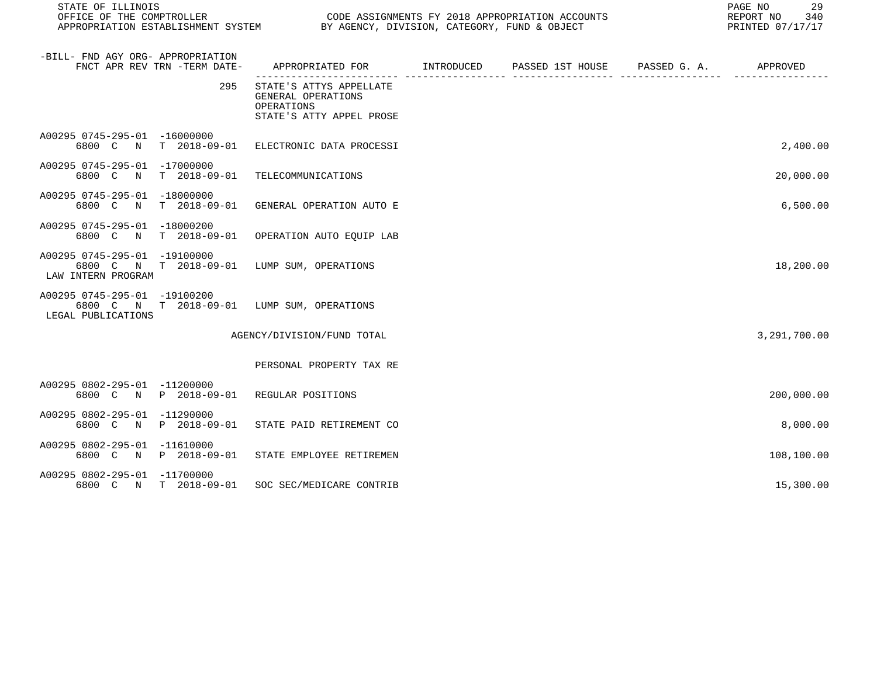| STATE OF ILLINOIS<br>OFFICE OF THE COMPTROLLER     |                              | CODE ASSIGNMENTS FY 2018 APPROPRIATION ACCOUNTS<br>APPROPRIATION ESTABLISHMENT SYSTEM BY AGENCY, DIVISION, CATEGORY, FUND & OBJECT | 29<br>PAGE NO<br>REPORT NO 340<br>PRINTED 07/17/17 |  |              |
|----------------------------------------------------|------------------------------|------------------------------------------------------------------------------------------------------------------------------------|----------------------------------------------------|--|--------------|
| -BILL- FND AGY ORG- APPROPRIATION                  | FNCT APR REV TRN -TERM DATE- | APPROPRIATED FOR       INTRODUCED     PASSED 1ST HOUSE     PASSED G. A.        APPROVED                                            |                                                    |  |              |
|                                                    | 295                          | STATE'S ATTYS APPELLATE<br>GENERAL OPERATIONS<br>OPERATIONS<br>STATE'S ATTY APPEL PROSE                                            |                                                    |  |              |
| A00295 0745-295-01 -16000000                       |                              | 6800 C N T 2018-09-01 ELECTRONIC DATA PROCESSI                                                                                     |                                                    |  | 2,400.00     |
| A00295 0745-295-01 -17000000                       |                              | 6800 C N T 2018-09-01 TELECOMMUNICATIONS                                                                                           |                                                    |  | 20,000.00    |
| A00295 0745-295-01 -18000000                       |                              | 6800 C N T 2018-09-01 GENERAL OPERATION AUTO E                                                                                     |                                                    |  | 6,500.00     |
| A00295 0745-295-01 -18000200                       |                              | 6800 C N T 2018-09-01 OPERATION AUTO EQUIP LAB                                                                                     |                                                    |  |              |
| A00295 0745-295-01 -19100000<br>LAW INTERN PROGRAM |                              | 6800 C N T 2018-09-01 LUMP SUM, OPERATIONS                                                                                         |                                                    |  | 18,200.00    |
| A00295 0745-295-01 -19100200<br>LEGAL PUBLICATIONS |                              | 6800 C N T 2018-09-01 LUMP SUM, OPERATIONS                                                                                         |                                                    |  |              |
|                                                    |                              | AGENCY/DIVISION/FUND TOTAL                                                                                                         |                                                    |  | 3,291,700.00 |
|                                                    |                              | PERSONAL PROPERTY TAX RE                                                                                                           |                                                    |  |              |
| A00295 0802-295-01 -11200000                       |                              | 6800 C N P 2018-09-01 REGULAR POSITIONS                                                                                            |                                                    |  | 200,000.00   |
| A00295 0802-295-01 -11290000                       |                              | 6800 C N P 2018-09-01 STATE PAID RETIREMENT CO                                                                                     |                                                    |  | 8,000.00     |
| A00295 0802-295-01 -11610000                       |                              | 6800 C N P 2018-09-01 STATE EMPLOYEE RETIREMEN                                                                                     |                                                    |  | 108,100.00   |
| A00295 0802-295-01 -11700000                       |                              | 6800 C N T 2018-09-01 SOC SEC/MEDICARE CONTRIB                                                                                     |                                                    |  | 15,300.00    |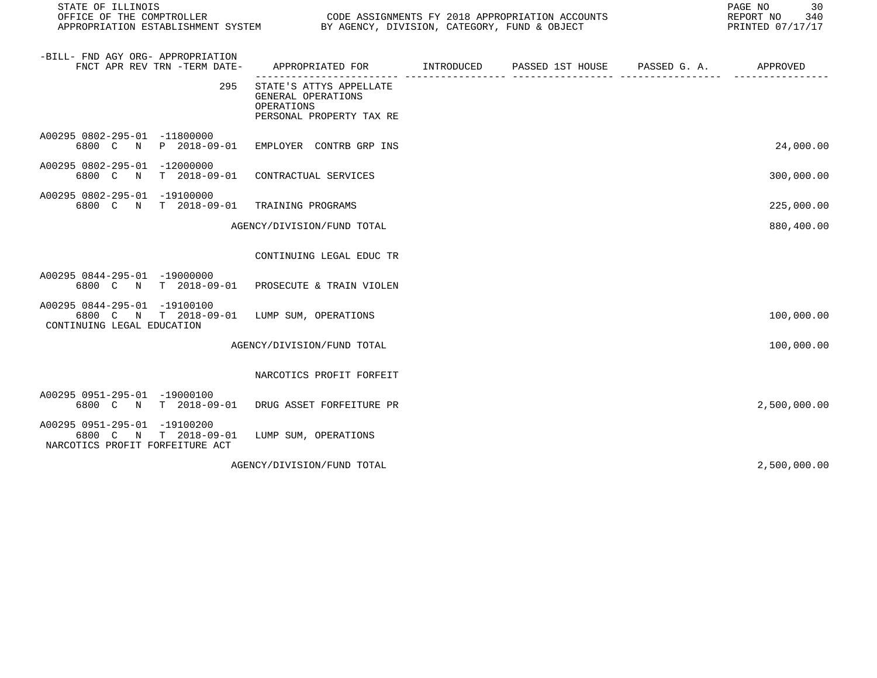| STATE OF ILLINOIS<br>OFFICE OF THE COMPTROLLER<br>APPROPRIATION ESTABLISHMENT SYSTEM                     |                                                                                         | CODE ASSIGNMENTS FY 2018 APPROPRIATION ACCOUNTS<br>BY AGENCY, DIVISION, CATEGORY, FUND & OBJECT |                  |              |              |  |
|----------------------------------------------------------------------------------------------------------|-----------------------------------------------------------------------------------------|-------------------------------------------------------------------------------------------------|------------------|--------------|--------------|--|
| -BILL- FND AGY ORG- APPROPRIATION<br>FNCT APR REV TRN -TERM DATE-                                        | APPROPRIATED FOR INTRODUCED                                                             |                                                                                                 | PASSED 1ST HOUSE | PASSED G. A. | APPROVED     |  |
| 295                                                                                                      | STATE'S ATTYS APPELLATE<br>GENERAL OPERATIONS<br>OPERATIONS<br>PERSONAL PROPERTY TAX RE |                                                                                                 |                  |              |              |  |
| A00295 0802-295-01 -11800000<br>6800 C N                                                                 | P 2018-09-01 EMPLOYER CONTRB GRP INS                                                    |                                                                                                 |                  |              | 24,000.00    |  |
| A00295 0802-295-01 -12000000<br>6800 C N<br>T 2018-09-01                                                 | CONTRACTUAL SERVICES                                                                    |                                                                                                 |                  |              | 300,000.00   |  |
| A00295 0802-295-01 -19100000<br>6800 C N T 2018-09-01                                                    | TRAINING PROGRAMS                                                                       |                                                                                                 |                  |              | 225,000.00   |  |
|                                                                                                          | AGENCY/DIVISION/FUND TOTAL                                                              |                                                                                                 |                  |              | 880,400.00   |  |
|                                                                                                          | CONTINUING LEGAL EDUC TR                                                                |                                                                                                 |                  |              |              |  |
| A00295 0844-295-01 -19000000<br>6800 C N T 2018-09-01 PROSECUTE & TRAIN VIOLEN                           |                                                                                         |                                                                                                 |                  |              |              |  |
| A00295 0844-295-01 -19100100<br>6800 C N T 2018-09-01<br>CONTINUING LEGAL EDUCATION                      | LUMP SUM, OPERATIONS                                                                    |                                                                                                 |                  |              | 100,000.00   |  |
|                                                                                                          | AGENCY/DIVISION/FUND TOTAL                                                              |                                                                                                 |                  |              | 100,000.00   |  |
|                                                                                                          | NARCOTICS PROFIT FORFEIT                                                                |                                                                                                 |                  |              |              |  |
| A00295 0951-295-01 -19000100<br>6800 C N T 2018-09-01                                                    | DRUG ASSET FORFEITURE PR                                                                |                                                                                                 |                  |              | 2,500,000.00 |  |
| A00295 0951-295-01 -19100200<br>6800 C<br>$\mathbb N$<br>T 2018-09-01<br>NARCOTICS PROFIT FORFEITURE ACT | LUMP SUM, OPERATIONS                                                                    |                                                                                                 |                  |              |              |  |
|                                                                                                          | AGENCY/DIVISION/FUND TOTAL                                                              |                                                                                                 |                  |              | 2,500,000.00 |  |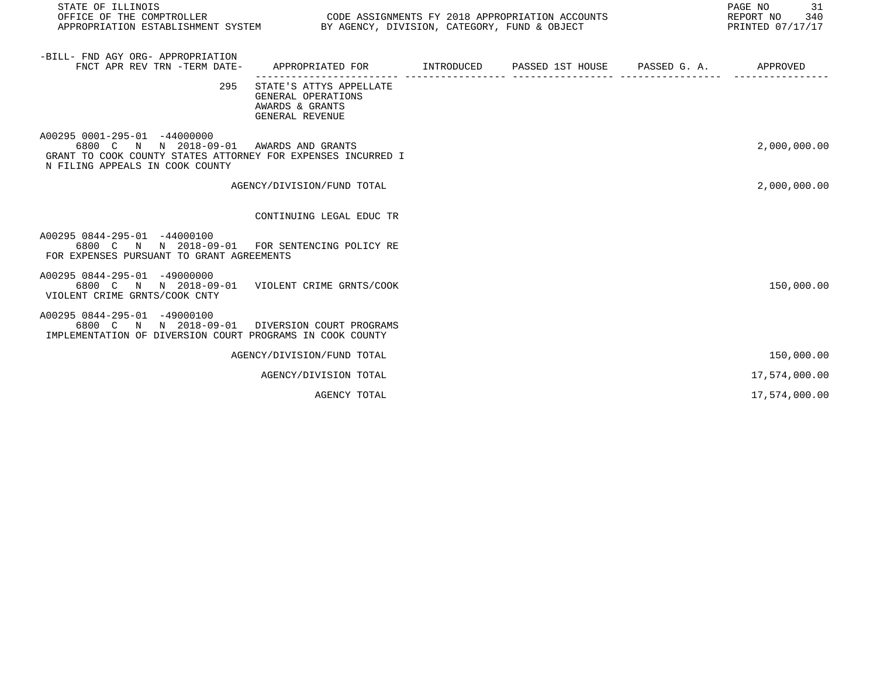| STATE OF ILLINOIS                                                                                                                                                          |                                                                                     |  |  | PRINTED 07/17/17 |               |  |
|----------------------------------------------------------------------------------------------------------------------------------------------------------------------------|-------------------------------------------------------------------------------------|--|--|------------------|---------------|--|
| -BILL- FND AGY ORG- APPROPRIATION<br>FNCT APR REV TRN -TERM DATE-                                                                                                          | APPROPRIATED FOR TINTRODUCED PASSED 1ST HOUSE PASSED G.A.                           |  |  |                  | APPROVED      |  |
| 295                                                                                                                                                                        | STATE'S ATTYS APPELLATE<br>GENERAL OPERATIONS<br>AWARDS & GRANTS<br>GENERAL REVENUE |  |  |                  |               |  |
| A00295 0001-295-01 -44000000<br>6800 C N N 2018-09-01 AWARDS AND GRANTS<br>GRANT TO COOK COUNTY STATES ATTORNEY FOR EXPENSES INCURRED I<br>N FILING APPEALS IN COOK COUNTY |                                                                                     |  |  |                  | 2,000,000.00  |  |
|                                                                                                                                                                            | AGENCY/DIVISION/FUND TOTAL                                                          |  |  |                  | 2,000,000.00  |  |
|                                                                                                                                                                            | CONTINUING LEGAL EDUC TR                                                            |  |  |                  |               |  |
| A00295 0844-295-01 -44000100<br>6800 C N N 2018-09-01 FOR SENTENCING POLICY RE<br>FOR EXPENSES PURSUANT TO GRANT AGREEMENTS                                                |                                                                                     |  |  |                  |               |  |
| A00295 0844-295-01 -49000000<br>6800 C N N 2018-09-01 VIOLENT CRIME GRNTS/COOK<br>VIOLENT CRIME GRNTS/COOK CNTY                                                            |                                                                                     |  |  |                  | 150,000.00    |  |
| A00295 0844-295-01 -49000100<br>6800 C N N 2018-09-01 DIVERSION COURT PROGRAMS<br>IMPLEMENTATION OF DIVERSION COURT PROGRAMS IN COOK COUNTY                                |                                                                                     |  |  |                  |               |  |
|                                                                                                                                                                            | AGENCY/DIVISION/FUND TOTAL                                                          |  |  |                  | 150,000.00    |  |
|                                                                                                                                                                            | AGENCY/DIVISION TOTAL                                                               |  |  |                  | 17,574,000.00 |  |
|                                                                                                                                                                            | AGENCY TOTAL                                                                        |  |  |                  | 17,574,000.00 |  |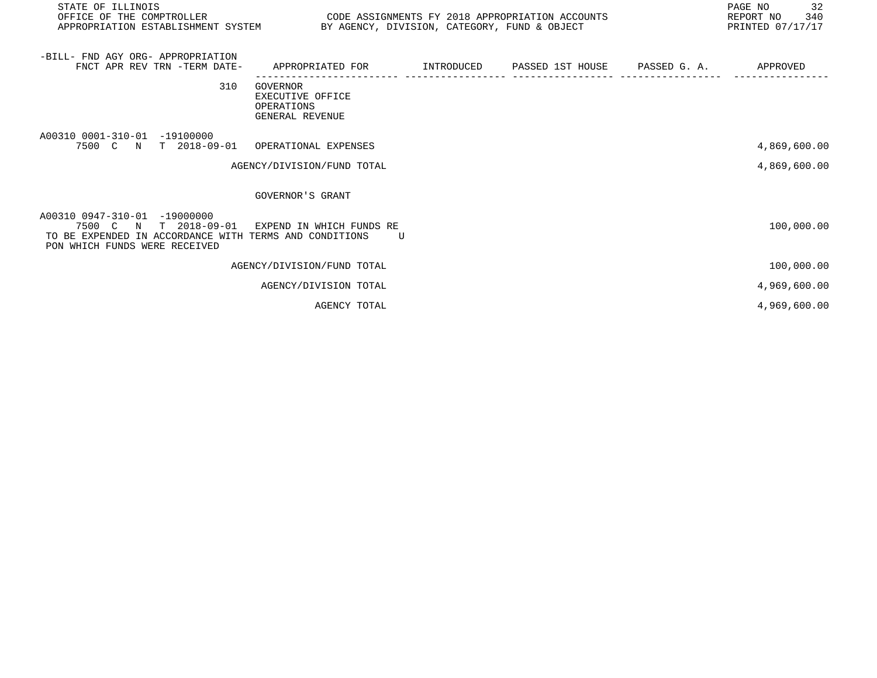| STATE OF ILLINOIS<br>OFFICE OF THE COMPTROLLER<br>APPROPRIATION ESTABLISHMENT SYSTEM BY AGENCY, DIVISION, CATEGORY, FUND & OBJECT                                         | CODE ASSIGNMENTS FY 2018 APPROPRIATION ACCOUNTS                             |  | 32<br>PAGE NO<br>REPORT NO 340<br>PRINTED 07/17/17 |
|---------------------------------------------------------------------------------------------------------------------------------------------------------------------------|-----------------------------------------------------------------------------|--|----------------------------------------------------|
| -BILL- FND AGY ORG- APPROPRIATION<br>FNCT APR REV TRN -TERM DATE-                                                                                                         | APPROPRIATED FOR         INTRODUCED      PASSED 1ST HOUSE      PASSED G. A. |  | APPROVED                                           |
| 310                                                                                                                                                                       | GOVERNOR<br>EXECUTIVE OFFICE<br>OPERATIONS<br>GENERAL REVENUE               |  |                                                    |
| A00310 0001-310-01 -19100000<br>7500 C N T 2018-09-01 OPERATIONAL EXPENSES                                                                                                |                                                                             |  | 4,869,600.00                                       |
|                                                                                                                                                                           | AGENCY/DIVISION/FUND TOTAL                                                  |  | 4,869,600.00                                       |
|                                                                                                                                                                           | GOVERNOR'S GRANT                                                            |  |                                                    |
| A00310 0947-310-01 -19000000<br>7500 C N T 2018-09-01 EXPEND IN WHICH FUNDS RE<br>TO BE EXPENDED IN ACCORDANCE WITH TERMS AND CONDITIONS<br>PON WHICH FUNDS WERE RECEIVED | $\overline{U}$                                                              |  | 100,000.00                                         |
|                                                                                                                                                                           | AGENCY/DIVISION/FUND TOTAL                                                  |  | 100,000.00                                         |
|                                                                                                                                                                           | AGENCY/DIVISION TOTAL                                                       |  | 4,969,600.00                                       |
|                                                                                                                                                                           | AGENCY TOTAL                                                                |  | 4,969,600.00                                       |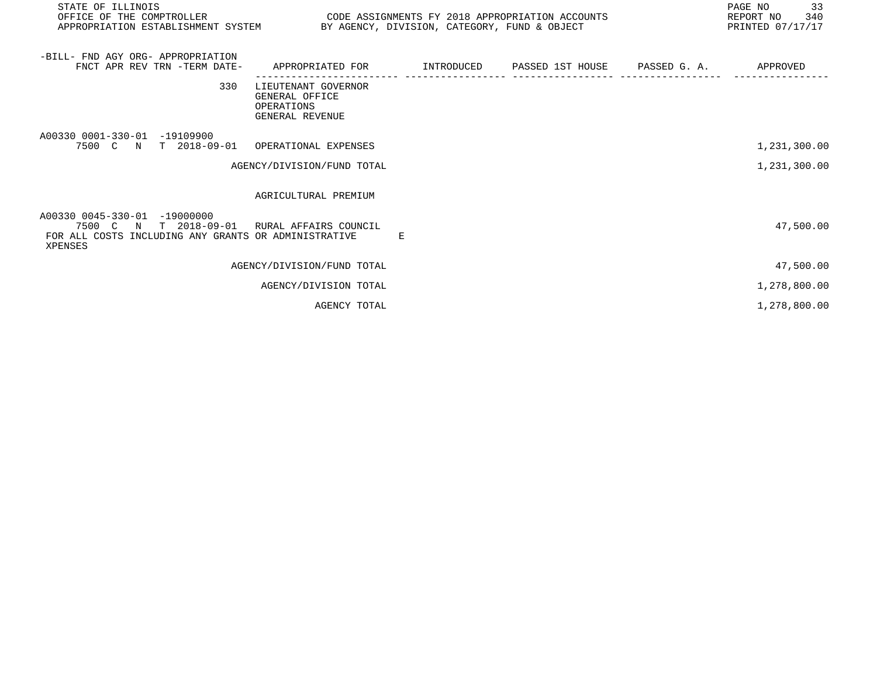| STATE OF ILLINOIS<br>OFFICE OF THE COMPTROLLER<br>APPROPRIATION ESTABLISHMENT SYSTEM BY AGENCY, DIVISION, CATEGORY, FUND & OBJECT              | CODE ASSIGNMENTS FY 2018 APPROPRIATION ACCOUNTS                                              |   |  | PAGE NO 33<br>REPORT NO 340<br>PRINTED 07/17/17 |
|------------------------------------------------------------------------------------------------------------------------------------------------|----------------------------------------------------------------------------------------------|---|--|-------------------------------------------------|
| -BILL- FND AGY ORG- APPROPRIATION<br>FNCT APR REV TRN -TERM DATE-                                                                              | APPROPRIATED FOR          INTRODUCED      PASSED 1ST HOUSE     PASSED G. A.         APPROVED |   |  |                                                 |
| 330                                                                                                                                            | LIEUTENANT GOVERNOR<br>GENERAL OFFICE<br>OPERATIONS<br>GENERAL REVENUE                       |   |  |                                                 |
| A00330 0001-330-01 -19109900<br>7500 C N T 2018-09-01 OPERATIONAL EXPENSES                                                                     |                                                                                              |   |  | 1,231,300.00                                    |
|                                                                                                                                                | AGENCY/DIVISION/FUND TOTAL                                                                   |   |  | 1,231,300.00                                    |
|                                                                                                                                                | AGRICULTURAL PREMIUM                                                                         |   |  |                                                 |
| A00330 0045-330-01 -19000000<br>7500 C N T 2018-09-01 RURAL AFFAIRS COUNCIL<br>FOR ALL COSTS INCLUDING ANY GRANTS OR ADMINISTRATIVE<br>XPENSES |                                                                                              | E |  | 47,500.00                                       |
|                                                                                                                                                | AGENCY/DIVISION/FUND TOTAL                                                                   |   |  | 47,500.00                                       |
|                                                                                                                                                | AGENCY/DIVISION TOTAL                                                                        |   |  | 1,278,800.00                                    |
|                                                                                                                                                | AGENCY TOTAL                                                                                 |   |  | 1,278,800.00                                    |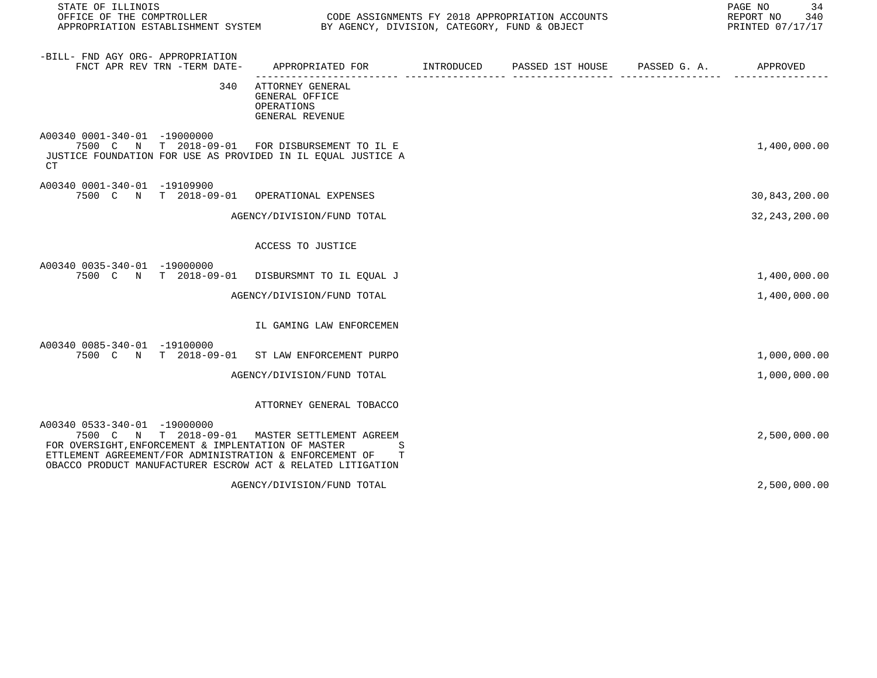| STATE OF ILLINOIS<br>OFFICE OF THE COMPTROLLER<br>APPROPRIATION ESTABLISHMENT SYSTEM BY AGENCY, DIVISION, CATEGORY, FUND & OBJECT                                                                                                                               |                                                                     | CODE ASSIGNMENTS FY 2018 APPROPRIATION ACCOUNTS | 34<br>PAGE NO<br>REPORT NO<br>340<br>PRINTED 07/17/17 |
|-----------------------------------------------------------------------------------------------------------------------------------------------------------------------------------------------------------------------------------------------------------------|---------------------------------------------------------------------|-------------------------------------------------|-------------------------------------------------------|
| -BILL- FND AGY ORG- APPROPRIATION<br>FNCT APR REV TRN -TERM DATE-                                                                                                                                                                                               | APPROPRIATED FOR INTRODUCED                                         | PASSED 1ST HOUSE PASSED G. A.                   | APPROVED                                              |
| 340                                                                                                                                                                                                                                                             | ATTORNEY GENERAL<br>GENERAL OFFICE<br>OPERATIONS<br>GENERAL REVENUE |                                                 |                                                       |
| A00340 0001-340-01 -19000000<br>7500 C N T 2018-09-01<br>JUSTICE FOUNDATION FOR USE AS PROVIDED IN IL EOUAL JUSTICE A<br>CT                                                                                                                                     | FOR DISBURSEMENT TO IL E                                            |                                                 | 1,400,000.00                                          |
| A00340 0001-340-01 -19109900<br>7500 C N T 2018-09-01 OPERATIONAL EXPENSES                                                                                                                                                                                      |                                                                     |                                                 | 30,843,200.00                                         |
|                                                                                                                                                                                                                                                                 | AGENCY/DIVISION/FUND TOTAL                                          |                                                 | 32, 243, 200.00                                       |
|                                                                                                                                                                                                                                                                 | ACCESS TO JUSTICE                                                   |                                                 |                                                       |
| A00340 0035-340-01 -19000000<br>7500 C N T 2018-09-01 DISBURSMNT TO IL EQUAL J                                                                                                                                                                                  |                                                                     |                                                 | 1,400,000.00                                          |
|                                                                                                                                                                                                                                                                 | AGENCY/DIVISION/FUND TOTAL                                          |                                                 | 1,400,000.00                                          |
|                                                                                                                                                                                                                                                                 | IL GAMING LAW ENFORCEMEN                                            |                                                 |                                                       |
| A00340 0085-340-01 -19100000<br>7500 C N T 2018-09-01 ST LAW ENFORCEMENT PURPO                                                                                                                                                                                  |                                                                     |                                                 | 1,000,000.00                                          |
|                                                                                                                                                                                                                                                                 | AGENCY/DIVISION/FUND TOTAL                                          |                                                 | 1,000,000.00                                          |
|                                                                                                                                                                                                                                                                 | ATTORNEY GENERAL TOBACCO                                            |                                                 |                                                       |
| A00340 0533-340-01 -19000000<br>7500 C N T 2018-09-01 MASTER SETTLEMENT AGREEM<br>FOR OVERSIGHT, ENFORCEMENT & IMPLENTATION OF MASTER<br>ETTLEMENT AGREEMENT/FOR ADMINISTRATION & ENFORCEMENT OF<br>OBACCO PRODUCT MANUFACTURER ESCROW ACT & RELATED LITIGATION | S<br>т                                                              |                                                 | 2,500,000.00                                          |
|                                                                                                                                                                                                                                                                 | AGENCY/DIVISION/FUND TOTAL                                          |                                                 | 2,500,000.00                                          |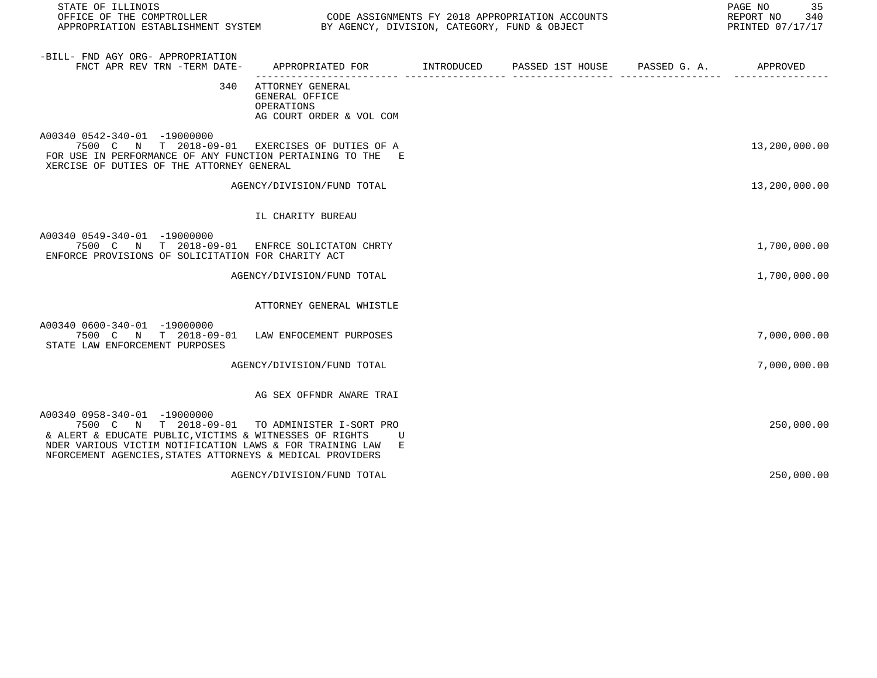| STATE OF ILLINOIS                                                                                                                                                                                                                         |                                                                              |  |                       | 35<br>PAGE NO<br>REPORT NO<br>340<br>PRINTED 07/17/17 |
|-------------------------------------------------------------------------------------------------------------------------------------------------------------------------------------------------------------------------------------------|------------------------------------------------------------------------------|--|-----------------------|-------------------------------------------------------|
| -BILL- FND AGY ORG- APPROPRIATION<br>FNCT APR REV TRN -TERM DATE-                                                                                                                                                                         | APPROPRIATED FOR TNTRODUCED PASSED 1ST HOUSE                                 |  | PASSED G. A. APPROVED |                                                       |
| 340                                                                                                                                                                                                                                       | ATTORNEY GENERAL<br>GENERAL OFFICE<br>OPERATIONS<br>AG COURT ORDER & VOL COM |  |                       |                                                       |
| A00340 0542-340-01 -19000000<br>7500 C N T 2018-09-01 EXERCISES OF DUTIES OF A<br>FOR USE IN PERFORMANCE OF ANY FUNCTION PERTAINING TO THE E<br>XERCISE OF DUTIES OF THE ATTORNEY GENERAL                                                 |                                                                              |  |                       | 13,200,000.00                                         |
|                                                                                                                                                                                                                                           | AGENCY/DIVISION/FUND TOTAL                                                   |  |                       | 13,200,000.00                                         |
|                                                                                                                                                                                                                                           | IL CHARITY BUREAU                                                            |  |                       |                                                       |
| A00340 0549-340-01 -19000000<br>7500 C N T 2018-09-01<br>ENFORCE PROVISIONS OF SOLICITATION FOR CHARITY ACT                                                                                                                               | ENFRCE SOLICTATON CHRTY                                                      |  |                       | 1,700,000.00                                          |
|                                                                                                                                                                                                                                           | AGENCY/DIVISION/FUND TOTAL                                                   |  |                       | 1,700,000.00                                          |
|                                                                                                                                                                                                                                           | ATTORNEY GENERAL WHISTLE                                                     |  |                       |                                                       |
| A00340 0600-340-01 -19000000<br>7500 C N T 2018-09-01<br>STATE LAW ENFORCEMENT PURPOSES                                                                                                                                                   | LAW ENFOCEMENT PURPOSES                                                      |  |                       | 7,000,000.00                                          |
|                                                                                                                                                                                                                                           | AGENCY/DIVISION/FUND TOTAL                                                   |  |                       | 7,000,000.00                                          |
|                                                                                                                                                                                                                                           | AG SEX OFFNDR AWARE TRAI                                                     |  |                       |                                                       |
| A00340 0958-340-01 -19000000<br>7500 C N T 2018-09-01<br>& ALERT & EDUCATE PUBLIC, VICTIMS & WITNESSES OF RIGHTS<br>NDER VARIOUS VICTIM NOTIFICATION LAWS & FOR TRAINING LAW<br>NFORCEMENT AGENCIES, STATES ATTORNEYS & MEDICAL PROVIDERS | TO ADMINISTER I-SORT PRO<br>U<br>E                                           |  |                       | 250,000.00                                            |
|                                                                                                                                                                                                                                           | AGENCY/DIVISION/FUND TOTAL                                                   |  |                       | 250,000.00                                            |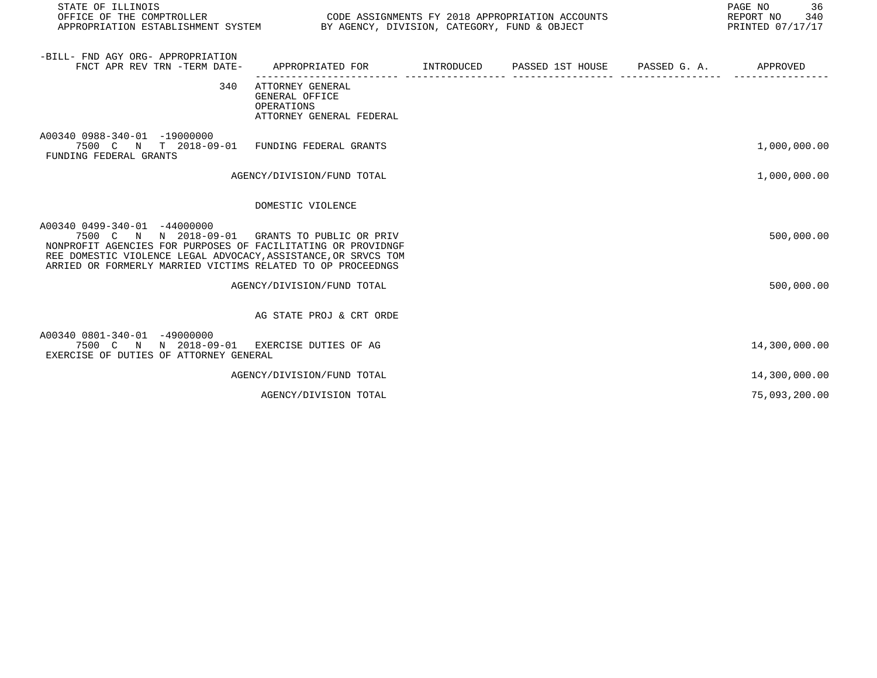| STATE OF ILLINOIS<br>OFFICE OF THE COMPTROLLER                                                                                                                                                                                                                                  |                                                                              | CODE ASSIGNMENTS FY 2018 APPROPRIATION ACCOUNTS<br>APPROPRIATION ESTABLISHMENT SYSTEM BY AGENCY, DIVISION, CATEGORY, FUND & OBJECT |                             |              |               |
|---------------------------------------------------------------------------------------------------------------------------------------------------------------------------------------------------------------------------------------------------------------------------------|------------------------------------------------------------------------------|------------------------------------------------------------------------------------------------------------------------------------|-----------------------------|--------------|---------------|
| -BILL- FND AGY ORG- APPROPRIATION<br>FNCT APR REV TRN -TERM DATE-                                                                                                                                                                                                               | APPROPRIATED FOR                                                             |                                                                                                                                    | INTRODUCED PASSED 1ST HOUSE | PASSED G. A. | APPROVED      |
| 340                                                                                                                                                                                                                                                                             | ATTORNEY GENERAL<br>GENERAL OFFICE<br>OPERATIONS<br>ATTORNEY GENERAL FEDERAL |                                                                                                                                    |                             |              |               |
| A00340 0988-340-01 -19000000<br>7500 C N T 2018-09-01 FUNDING FEDERAL GRANTS<br>FUNDING FEDERAL GRANTS                                                                                                                                                                          |                                                                              |                                                                                                                                    |                             |              | 1,000,000.00  |
|                                                                                                                                                                                                                                                                                 | AGENCY/DIVISION/FUND TOTAL                                                   |                                                                                                                                    |                             |              | 1,000,000.00  |
|                                                                                                                                                                                                                                                                                 | DOMESTIC VIOLENCE                                                            |                                                                                                                                    |                             |              |               |
| A00340 0499-340-01 -44000000<br>7500 C N N 2018-09-01 GRANTS TO PUBLIC OR PRIV<br>NONPROFIT AGENCIES FOR PURPOSES OF FACILITATING OR PROVIDNGF<br>REE DOMESTIC VIOLENCE LEGAL ADVOCACY, ASSISTANCE, OR SRVCS TOM<br>ARRIED OR FORMERLY MARRIED VICTIMS RELATED TO OP PROCEEDNGS |                                                                              |                                                                                                                                    |                             |              | 500,000.00    |
|                                                                                                                                                                                                                                                                                 | AGENCY/DIVISION/FUND TOTAL                                                   |                                                                                                                                    |                             |              | 500,000.00    |
|                                                                                                                                                                                                                                                                                 | AG STATE PROJ & CRT ORDE                                                     |                                                                                                                                    |                             |              |               |
| A00340 0801-340-01 -49000000<br>7500 C N N 2018-09-01 EXERCISE DUTIES OF AG<br>EXERCISE OF DUTIES OF ATTORNEY GENERAL                                                                                                                                                           |                                                                              |                                                                                                                                    |                             |              | 14,300,000.00 |
|                                                                                                                                                                                                                                                                                 | AGENCY/DIVISION/FUND TOTAL                                                   |                                                                                                                                    |                             |              | 14,300,000.00 |
|                                                                                                                                                                                                                                                                                 | AGENCY/DIVISION TOTAL                                                        |                                                                                                                                    |                             |              | 75,093,200.00 |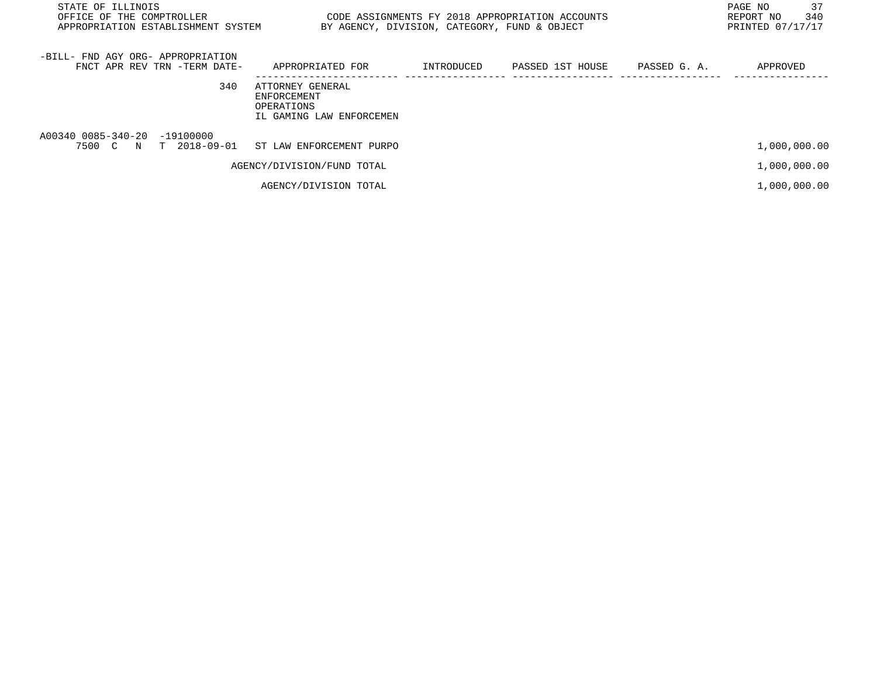| STATE OF ILLINOIS<br>OFFICE OF THE COMPTROLLER<br>APPROPRIATION ESTABLISHMENT SYSTEM | BY AGENCY, DIVISION, CATEGORY, FUND & OBJECT                              |            | CODE ASSIGNMENTS FY 2018 APPROPRIATION ACCOUNTS |              | 37<br>PAGE NO<br>340<br>REPORT NO<br>PRINTED 07/17/17 |
|--------------------------------------------------------------------------------------|---------------------------------------------------------------------------|------------|-------------------------------------------------|--------------|-------------------------------------------------------|
| -BILL- FND AGY ORG- APPROPRIATION<br>FNCT APR REV TRN -TERM DATE-                    | APPROPRIATED FOR                                                          | INTRODUCED | PASSED 1ST HOUSE                                | PASSED G. A. | APPROVED                                              |
| 340                                                                                  | ATTORNEY GENERAL<br>ENFORCEMENT<br>OPERATIONS<br>IL GAMING LAW ENFORCEMEN |            |                                                 |              |                                                       |
| A00340 0085-340-20 -19100000<br>7500 C N T 2018-09-01                                | ST LAW ENFORCEMENT PURPO                                                  |            |                                                 |              | 1,000,000.00                                          |
|                                                                                      | AGENCY/DIVISION/FUND TOTAL                                                |            |                                                 |              | 1,000,000.00                                          |
|                                                                                      | AGENCY/DIVISION TOTAL                                                     |            |                                                 |              | 1,000,000.00                                          |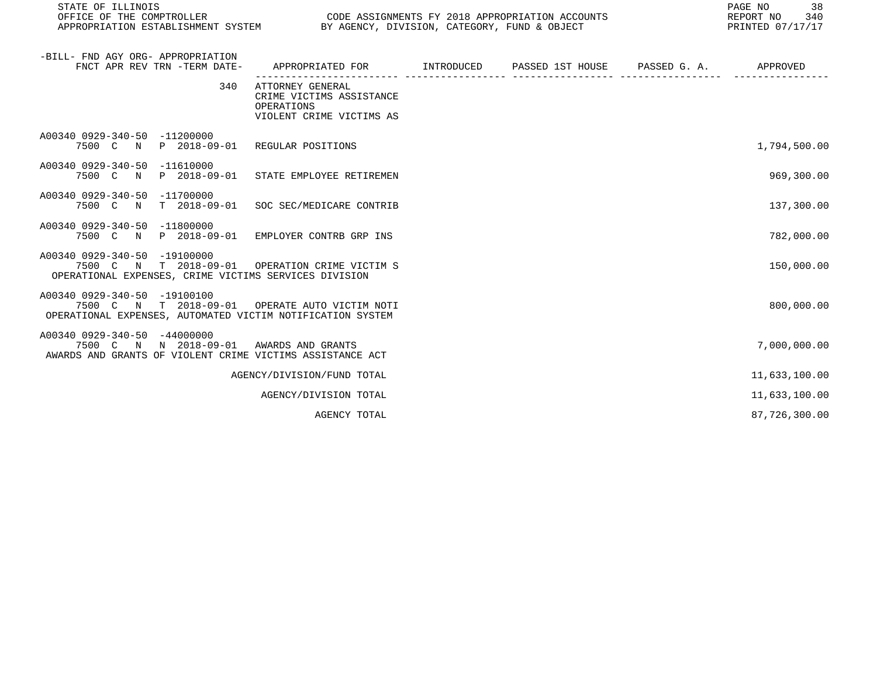| STATE OF ILLINOIS<br>OFFICE OF THE COMPTROLLER<br>CODE ASSIGNMENTS FY 2018 APPROPRIATION ACCOUNTS<br>APPROPRIATION ESTABLISHMENT SYSTEM BY AGENCY, DIVISION, CATEGORY, FUND & OBJECT |                                                                                            |  |  | PAGE NO<br>38<br>REPORT NO 340<br>PRINTED 07/17/17 |               |
|--------------------------------------------------------------------------------------------------------------------------------------------------------------------------------------|--------------------------------------------------------------------------------------------|--|--|----------------------------------------------------|---------------|
| -BILL- FND AGY ORG- APPROPRIATION<br>FNCT APR REV TRN -TERM DATE-                                                                                                                    | APPROPRIATED FOR        INTRODUCED      PASSED 1ST HOUSE     PASSED G. A.         APPROVED |  |  |                                                    |               |
| 340                                                                                                                                                                                  | ATTORNEY GENERAL<br>CRIME VICTIMS ASSISTANCE<br>OPERATIONS<br>VIOLENT CRIME VICTIMS AS     |  |  |                                                    |               |
| A00340 0929-340-50 -11200000<br>7500 C N P 2018-09-01 REGULAR POSITIONS                                                                                                              |                                                                                            |  |  |                                                    | 1,794,500.00  |
| A00340 0929-340-50 -11610000<br>7500 C N P 2018-09-01 STATE EMPLOYEE RETIREMEN                                                                                                       |                                                                                            |  |  |                                                    | 969,300.00    |
| A00340 0929-340-50 -11700000<br>7500 C N T 2018-09-01                                                                                                                                | SOC SEC/MEDICARE CONTRIB                                                                   |  |  |                                                    | 137,300.00    |
| A00340 0929-340-50 -11800000<br>7500 C N P 2018-09-01 EMPLOYER CONTRB GRP INS                                                                                                        |                                                                                            |  |  |                                                    | 782,000.00    |
| A00340 0929-340-50 -19100000<br>7500 C N T 2018-09-01 OPERATION CRIME VICTIM S<br>OPERATIONAL EXPENSES, CRIME VICTIMS SERVICES DIVISION                                              |                                                                                            |  |  |                                                    | 150,000.00    |
| A00340 0929-340-50 -19100100<br>7500 C N T 2018-09-01 OPERATE AUTO VICTIM NOTI<br>OPERATIONAL EXPENSES, AUTOMATED VICTIM NOTIFICATION SYSTEM                                         |                                                                                            |  |  |                                                    | 800,000.00    |
| A00340 0929-340-50 -44000000<br>7500 C N N 2018-09-01 AWARDS AND GRANTS<br>AWARDS AND GRANTS OF VIOLENT CRIME VICTIMS ASSISTANCE ACT                                                 |                                                                                            |  |  |                                                    | 7,000,000.00  |
|                                                                                                                                                                                      | AGENCY/DIVISION/FUND TOTAL                                                                 |  |  |                                                    | 11,633,100.00 |
|                                                                                                                                                                                      | AGENCY/DIVISION TOTAL                                                                      |  |  |                                                    | 11,633,100.00 |
|                                                                                                                                                                                      | AGENCY TOTAL                                                                               |  |  |                                                    | 87,726,300.00 |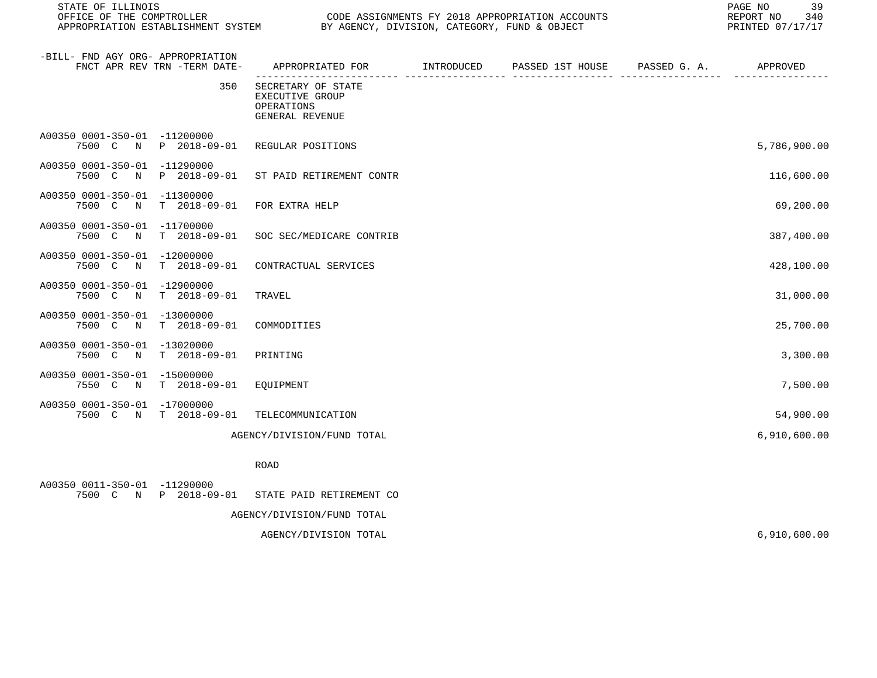| STATE OF ILLINOIS<br>OFFICE OF THE COMPTROLLER<br>APPROPRIATION ESTABLISHMENT SYSTEM |                              | PAGE NO<br>CODE ASSIGNMENTS FY 2018 APPROPRIATION ACCOUNTS<br>REPORT NO<br>BY AGENCY, DIVISION, CATEGORY, FUND & OBJECT<br>PRINTED 07/17/17 |            |                  |              |              |
|--------------------------------------------------------------------------------------|------------------------------|---------------------------------------------------------------------------------------------------------------------------------------------|------------|------------------|--------------|--------------|
| -BILL- FND AGY ORG- APPROPRIATION                                                    | FNCT APR REV TRN -TERM DATE- | APPROPRIATED FOR                                                                                                                            | INTRODUCED | PASSED 1ST HOUSE | PASSED G. A. | APPROVED     |
|                                                                                      | 350                          | SECRETARY OF STATE<br><b>EXECUTIVE GROUP</b><br>OPERATIONS<br>GENERAL REVENUE                                                               |            |                  |              |              |
| A00350 0001-350-01 -11200000                                                         | 7500 C N P 2018-09-01        | REGULAR POSITIONS                                                                                                                           |            |                  |              | 5,786,900.00 |
| A00350 0001-350-01 -11290000<br>7500 C<br>$\mathbb N$                                | P 2018-09-01                 | ST PAID RETIREMENT CONTR                                                                                                                    |            |                  |              | 116,600.00   |
| A00350 0001-350-01 -11300000<br>7500 C N                                             | T 2018-09-01                 | FOR EXTRA HELP                                                                                                                              |            |                  |              | 69,200.00    |
| A00350 0001-350-01 -11700000                                                         | 7500 C N T 2018-09-01        | SOC SEC/MEDICARE CONTRIB                                                                                                                    |            |                  |              | 387,400.00   |
| A00350 0001-350-01 -12000000<br>7500 C N                                             | T 2018-09-01                 | CONTRACTUAL SERVICES                                                                                                                        |            |                  |              | 428,100.00   |
| A00350 0001-350-01 -12900000<br>7500 C N                                             | $T = 2018 - 09 - 01$         | TRAVEL                                                                                                                                      |            |                  |              | 31,000.00    |
| A00350 0001-350-01 -13000000<br>7500 C<br>N                                          | T 2018-09-01                 | COMMODITIES                                                                                                                                 |            |                  |              | 25,700.00    |
| A00350 0001-350-01 -13020000<br>7500 C N                                             | $T = 2018 - 09 - 01$         | PRINTING                                                                                                                                    |            |                  |              | 3,300.00     |
| A00350 0001-350-01 -15000000                                                         | 7550 C N T 2018-09-01        | EQUIPMENT                                                                                                                                   |            |                  |              | 7,500.00     |
| A00350 0001-350-01 -17000000                                                         | 7500 C N T 2018-09-01        | TELECOMMUNICATION                                                                                                                           |            |                  |              | 54,900.00    |
|                                                                                      |                              | AGENCY/DIVISION/FUND TOTAL                                                                                                                  |            |                  |              | 6,910,600.00 |
|                                                                                      |                              | ROAD                                                                                                                                        |            |                  |              |              |
| A00350 0011-350-01 -11290000                                                         |                              | 7500 C N P 2018-09-01 STATE PAID RETIREMENT CO                                                                                              |            |                  |              |              |
|                                                                                      |                              | AGENCY/DIVISION/FUND TOTAL                                                                                                                  |            |                  |              |              |

AGENCY/DIVISION TOTAL 6,910,600.00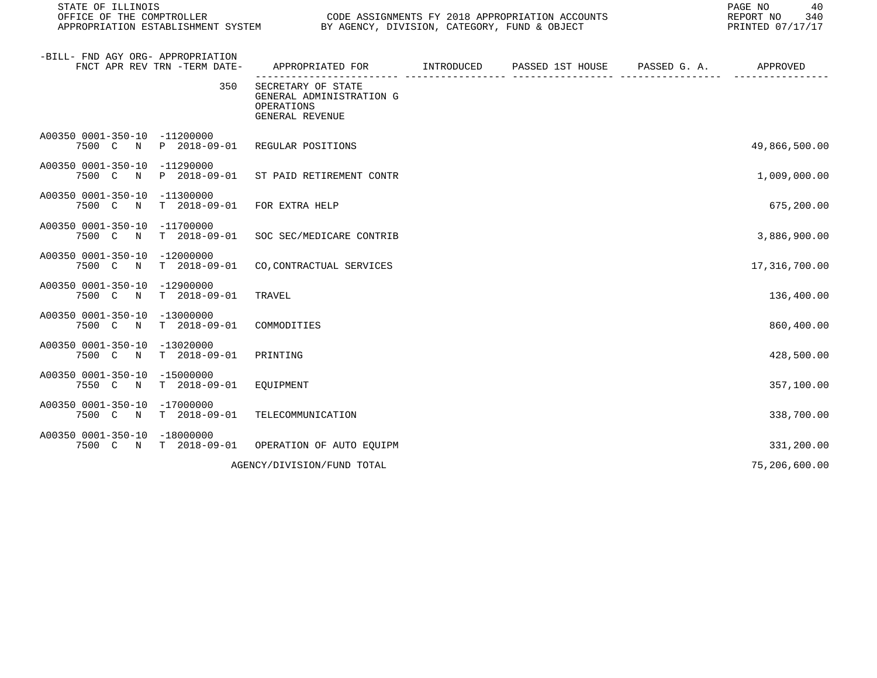| STATE OF ILLINOIS<br>OFFICE OF THE COMPTROLLER<br>APPROPRIATION ESTABLISHMENT SYSTEM |                                                                                 | PAGE NO<br>CODE ASSIGNMENTS FY 2018 APPROPRIATION ACCOUNTS<br>REPORT NO<br>BY AGENCY, DIVISION, CATEGORY, FUND & OBJECT<br>PRINTED 07/17/17 |                  |              |               |  |
|--------------------------------------------------------------------------------------|---------------------------------------------------------------------------------|---------------------------------------------------------------------------------------------------------------------------------------------|------------------|--------------|---------------|--|
| -BILL- FND AGY ORG- APPROPRIATION<br>FNCT APR REV TRN -TERM DATE-                    | APPROPRIATED FOR                                                                | INTRODUCED                                                                                                                                  | PASSED 1ST HOUSE | PASSED G. A. | APPROVED      |  |
| 350                                                                                  | SECRETARY OF STATE<br>GENERAL ADMINISTRATION G<br>OPERATIONS<br>GENERAL REVENUE |                                                                                                                                             |                  |              |               |  |
| A00350 0001-350-10 -11200000<br>7500 C<br>P 2018-09-01<br>N                          | REGULAR POSITIONS                                                               |                                                                                                                                             |                  |              | 49,866,500.00 |  |
| A00350 0001-350-10 -11290000<br>7500 C N<br>P 2018-09-01                             | ST PAID RETIREMENT CONTR                                                        |                                                                                                                                             |                  |              | 1,009,000.00  |  |
| A00350 0001-350-10 -11300000<br>7500 C N<br>$T = 2018 - 09 - 01$                     | FOR EXTRA HELP                                                                  |                                                                                                                                             |                  |              | 675,200.00    |  |
| A00350 0001-350-10 -11700000<br>$T$ 2018-09-01<br>7500 C<br>$\mathbb N$              | SOC SEC/MEDICARE CONTRIB                                                        |                                                                                                                                             |                  |              | 3,886,900.00  |  |
| A00350 0001-350-10<br>$-12000000$<br>7500 C N<br>T 2018-09-01                        | CO, CONTRACTUAL SERVICES                                                        |                                                                                                                                             |                  |              | 17,316,700.00 |  |
| A00350 0001-350-10 -12900000<br>T 2018-09-01<br>7500 C<br>$\mathbb N$                | TRAVEL                                                                          |                                                                                                                                             |                  |              | 136,400.00    |  |
| A00350 0001-350-10 -13000000<br>7500 C N<br>T 2018-09-01                             | COMMODITIES                                                                     |                                                                                                                                             |                  |              | 860,400.00    |  |
| A00350 0001-350-10 -13020000<br>$T = 2018 - 09 - 01$<br>7500 C N                     | PRINTING                                                                        |                                                                                                                                             |                  |              | 428,500.00    |  |
| A00350 0001-350-10<br>-15000000<br>7550 C<br>$T = 2018 - 09 - 01$<br>$\mathbb N$     | EQUIPMENT                                                                       |                                                                                                                                             |                  |              | 357,100.00    |  |
| A00350 0001-350-10<br>$-17000000$<br>$T = 2018 - 09 - 01$<br>7500 C N                | TELECOMMUNICATION                                                               |                                                                                                                                             |                  |              | 338,700.00    |  |
| A00350 0001-350-10 -18000000<br>7500 C N<br>T 2018-09-01                             | OPERATION OF AUTO EQUIPM                                                        |                                                                                                                                             |                  |              | 331,200.00    |  |
|                                                                                      | AGENCY/DIVISION/FUND TOTAL                                                      |                                                                                                                                             |                  |              | 75,206,600.00 |  |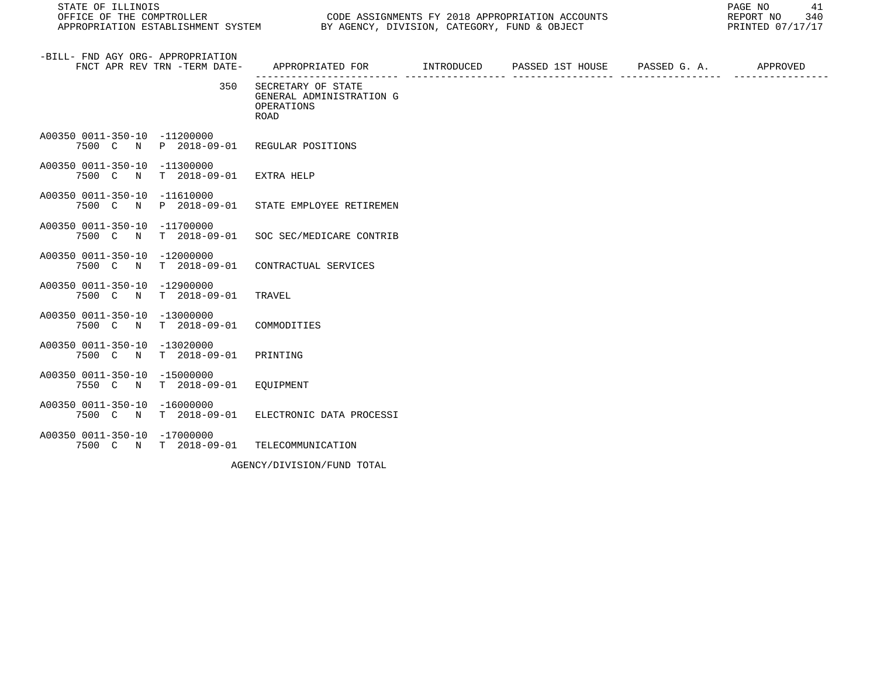| STATE OF ILLINOIS<br>OFFICE OF THE COMPTROLLER |                                   | APPROPRIATION ESTABLISHMENT SYSTEM BY AGENCY, DIVISION, CATEGORY, FUND & OBJECT            | CODE ASSIGNMENTS FY 2018 APPROPRIATION ACCOUNTS | 41<br>PAGE NO<br>340<br>REPORT NO<br>PRINTED 07/17/17 |
|------------------------------------------------|-----------------------------------|--------------------------------------------------------------------------------------------|-------------------------------------------------|-------------------------------------------------------|
| -BILL- FND AGY ORG- APPROPRIATION              | FNCT APR REV TRN -TERM DATE-      | APPROPRIATED FOR         INTRODUCED     PASSED 1ST HOUSE     PASSED G. A.         APPROVED |                                                 |                                                       |
|                                                | 350                               | SECRETARY OF STATE<br>GENERAL ADMINISTRATION G<br>OPERATIONS<br><b>ROAD</b>                |                                                 |                                                       |
| A00350 0011-350-10 -11200000                   | 7500 C N P 2018-09-01             | REGULAR POSITIONS                                                                          |                                                 |                                                       |
| A00350 0011-350-10 -11300000                   | 7500 C N T 2018-09-01 EXTRA HELP  |                                                                                            |                                                 |                                                       |
| A00350 0011-350-10 -11610000                   |                                   | 7500 C N P 2018-09-01 STATE EMPLOYEE RETIREMEN                                             |                                                 |                                                       |
| A00350 0011-350-10 -11700000                   |                                   | 7500 C N T 2018-09-01 SOC SEC/MEDICARE CONTRIB                                             |                                                 |                                                       |
| A00350 0011-350-10 -12000000                   |                                   | 7500 C N T 2018-09-01 CONTRACTUAL SERVICES                                                 |                                                 |                                                       |
| A00350 0011-350-10 -12900000                   | 7500 C N T 2018-09-01             | TRAVEL                                                                                     |                                                 |                                                       |
| A00350 0011-350-10 -13000000                   | 7500 C N T 2018-09-01 COMMODITIES |                                                                                            |                                                 |                                                       |
| A00350 0011-350-10 -13020000                   | 7500 C N T 2018-09-01             | PRINTING                                                                                   |                                                 |                                                       |
| A00350 0011-350-10 -15000000                   | 7550 C N T 2018-09-01 EOUIPMENT   |                                                                                            |                                                 |                                                       |
| A00350 0011-350-10 -16000000                   |                                   | 7500 C N T 2018-09-01 ELECTRONIC DATA PROCESSI                                             |                                                 |                                                       |
| A00350 0011-350-10 -17000000                   | 7500 C N T 2018-09-01             | TELECOMMUNICATION                                                                          |                                                 |                                                       |

AGENCY/DIVISION/FUND TOTAL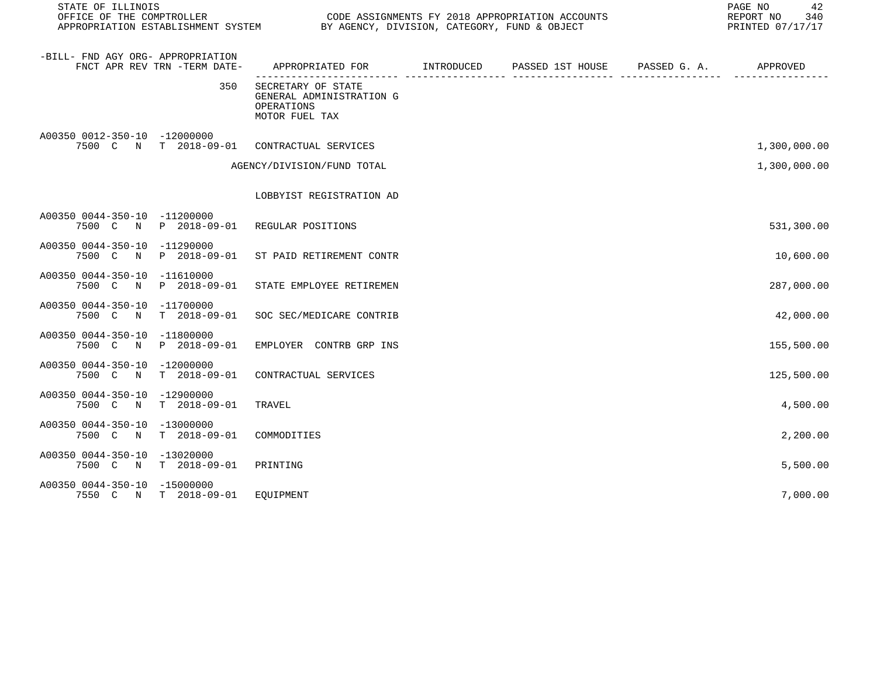| STATE OF ILLINOIS<br>OFFICE OF THE COMPTROLLER |                              | CODE ASSIGNMENTS FY 2018 APPROPRIATION ACCOUNTS<br>OFFICE OF THE COMPTROLLER<br>APPROPRIATION ESTABLISHMENT SYSTEM BY AGENCY, DIVISION, CATEGORY, FUND & OBJECT | 42<br>PAGE NO<br>REPORT NO<br>340<br>PRINTED 07/17/17 |  |              |
|------------------------------------------------|------------------------------|-----------------------------------------------------------------------------------------------------------------------------------------------------------------|-------------------------------------------------------|--|--------------|
| -BILL- FND AGY ORG- APPROPRIATION              | FNCT APR REV TRN -TERM DATE- | APPROPRIATED FOR       INTRODUCED     PASSED 1ST HOUSE     PASSED G. A.        APPROVED                                                                         |                                                       |  |              |
|                                                | 350                          | SECRETARY OF STATE<br>GENERAL ADMINISTRATION G<br>OPERATIONS<br>MOTOR FUEL TAX                                                                                  |                                                       |  |              |
| A00350 0012-350-10 -12000000                   |                              | 7500 C N T 2018-09-01 CONTRACTUAL SERVICES                                                                                                                      |                                                       |  | 1,300,000.00 |
|                                                |                              | AGENCY/DIVISION/FUND TOTAL                                                                                                                                      |                                                       |  | 1,300,000.00 |
|                                                |                              | LOBBYIST REGISTRATION AD                                                                                                                                        |                                                       |  |              |
| A00350 0044-350-10 -11200000                   |                              | 7500 C N P 2018-09-01 REGULAR POSITIONS                                                                                                                         |                                                       |  | 531,300.00   |
| A00350 0044-350-10 -11290000                   |                              | 7500 C N P 2018-09-01 ST PAID RETIREMENT CONTR                                                                                                                  |                                                       |  | 10,600.00    |
| A00350 0044-350-10 -11610000<br>7500 C N       | P 2018-09-01                 | STATE EMPLOYEE RETIREMEN                                                                                                                                        |                                                       |  | 287,000.00   |
| A00350 0044-350-10 -11700000                   | 7500 C N T 2018-09-01        | SOC SEC/MEDICARE CONTRIB                                                                                                                                        |                                                       |  | 42,000.00    |
| A00350 0044-350-10 -11800000                   | 7500 C N P 2018-09-01        | EMPLOYER CONTRB GRP INS                                                                                                                                         |                                                       |  | 155,500.00   |
| A00350 0044-350-10 -12000000                   | 7500 C N T 2018-09-01        | CONTRACTUAL SERVICES                                                                                                                                            |                                                       |  | 125,500.00   |
| A00350 0044-350-10 -12900000<br>7500 C N       | $T = 2018 - 09 - 01$         | TRAVEL                                                                                                                                                          |                                                       |  | 4,500.00     |
| A00350 0044-350-10 -13000000<br>7500 C N       | T 2018-09-01                 | COMMODITIES                                                                                                                                                     |                                                       |  | 2,200.00     |
| A00350 0044-350-10 -13020000<br>7500 C N       | T 2018-09-01                 | PRINTING                                                                                                                                                        |                                                       |  | 5,500.00     |
| A00350 0044-350-10 -15000000                   | 7550 C N T 2018-09-01        | EOUIPMENT                                                                                                                                                       |                                                       |  | 7,000.00     |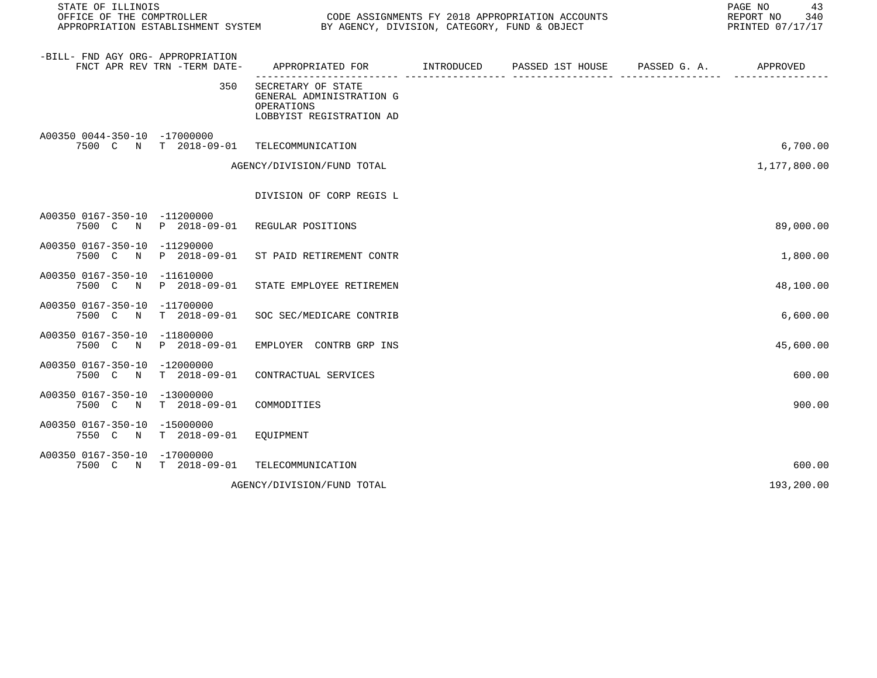| STATE OF ILLINOIS<br>OFFICE OF THE COMPTROLLER |                              | CODE ASSIGNMENTS FY 2018 APPROPRIATION ACCOUNTS<br>APPROPRIATION ESTABLISHMENT SYSTEM BY AGENCY, DIVISION, CATEGORY, FUND & OBJECT | PAGE NO<br>43<br>REPORT NO<br>340<br>PRINTED 07/17/17 |  |              |
|------------------------------------------------|------------------------------|------------------------------------------------------------------------------------------------------------------------------------|-------------------------------------------------------|--|--------------|
| -BILL- FND AGY ORG- APPROPRIATION              | FNCT APR REV TRN -TERM DATE- | APPROPRIATED FOR INTRODUCED                                                                                                        | PASSED 1ST HOUSE PASSED G. A.                         |  | APPROVED     |
|                                                | 350                          | SECRETARY OF STATE<br>GENERAL ADMINISTRATION G<br>OPERATIONS<br>LOBBYIST REGISTRATION AD                                           |                                                       |  |              |
| A00350 0044-350-10 -17000000                   | 7500 C N T 2018-09-01        | TELECOMMUNICATION                                                                                                                  |                                                       |  | 6,700.00     |
|                                                |                              | AGENCY/DIVISION/FUND TOTAL                                                                                                         |                                                       |  | 1,177,800.00 |
|                                                |                              | DIVISION OF CORP REGIS L                                                                                                           |                                                       |  |              |
| A00350 0167-350-10 -11200000                   | 7500 C N P 2018-09-01        | REGULAR POSITIONS                                                                                                                  |                                                       |  | 89,000.00    |
| A00350 0167-350-10 -11290000<br>7500 C N       | P 2018-09-01                 | ST PAID RETIREMENT CONTR                                                                                                           |                                                       |  | 1,800.00     |
| A00350 0167-350-10 -11610000                   | 7500 C N P 2018-09-01        | STATE EMPLOYEE RETIREMEN                                                                                                           |                                                       |  | 48,100.00    |
| A00350 0167-350-10 -11700000<br>7500 C<br>N    | $T = 2018 - 09 - 01$         | SOC SEC/MEDICARE CONTRIB                                                                                                           |                                                       |  | 6,600.00     |
| A00350 0167-350-10 -11800000<br>7500 C<br>N    | P 2018-09-01                 | EMPLOYER CONTRB GRP INS                                                                                                            |                                                       |  | 45,600.00    |
| A00350 0167-350-10 -12000000<br>7500 C N       | $T = 2018 - 09 - 01$         | CONTRACTUAL SERVICES                                                                                                               |                                                       |  | 600.00       |
| A00350 0167-350-10 -13000000<br>7500 C N       | T 2018-09-01                 | COMMODITIES                                                                                                                        |                                                       |  | 900.00       |
| A00350 0167-350-10 -15000000<br>7550 C N       | T 2018-09-01                 | EOUIPMENT                                                                                                                          |                                                       |  |              |
| A00350 0167-350-10 -17000000                   | 7500 C N T 2018-09-01        | TELECOMMUNICATION                                                                                                                  |                                                       |  | 600.00       |
|                                                |                              | AGENCY/DIVISION/FUND TOTAL                                                                                                         |                                                       |  | 193,200.00   |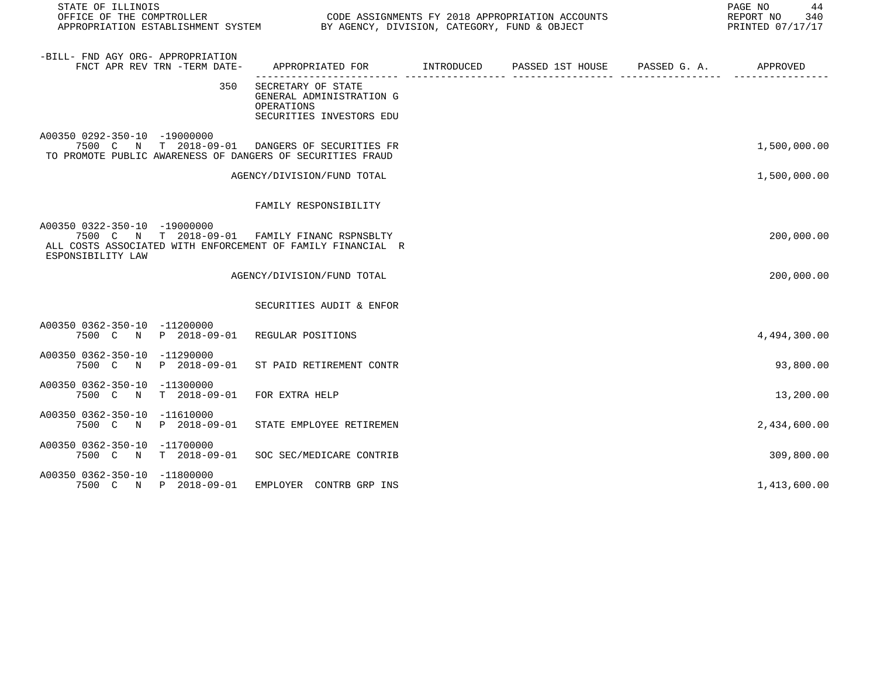| STATE OF ILLINOIS                                                                                                                                                 |                                                                                           |  | PAGE NO<br>44<br>REPORT NO<br>340<br>PRINTED 07/17/17 |
|-------------------------------------------------------------------------------------------------------------------------------------------------------------------|-------------------------------------------------------------------------------------------|--|-------------------------------------------------------|
| -BILL- FND AGY ORG- APPROPRIATION<br>FNCT APR REV TRN -TERM DATE-                                                                                                 | APPROPRIATED FOR        INTRODUCED     PASSED 1ST HOUSE     PASSED G. A.         APPROVED |  |                                                       |
| 350                                                                                                                                                               | SECRETARY OF STATE<br>GENERAL ADMINISTRATION G<br>OPERATIONS<br>SECURITIES INVESTORS EDU  |  |                                                       |
| A00350 0292-350-10 -19000000<br>7500 C N T 2018-09-01 DANGERS OF SECURITIES FR<br>TO PROMOTE PUBLIC AWARENESS OF DANGERS OF SECURITIES FRAUD                      |                                                                                           |  | 1,500,000.00                                          |
|                                                                                                                                                                   | AGENCY/DIVISION/FUND TOTAL                                                                |  | 1,500,000.00                                          |
|                                                                                                                                                                   | FAMILY RESPONSIBILITY                                                                     |  |                                                       |
| A00350 0322-350-10 -19000000<br>7500 C N T 2018-09-01 FAMILY FINANC RSPNSBLTY<br>ALL COSTS ASSOCIATED WITH ENFORCEMENT OF FAMILY FINANCIAL R<br>ESPONSIBILITY LAW |                                                                                           |  | 200,000.00                                            |
|                                                                                                                                                                   | AGENCY/DIVISION/FUND TOTAL                                                                |  | 200,000.00                                            |
|                                                                                                                                                                   | SECURITIES AUDIT & ENFOR                                                                  |  |                                                       |
| A00350 0362-350-10 -11200000<br>7500 C N P 2018-09-01 REGULAR POSITIONS                                                                                           |                                                                                           |  | 4,494,300.00                                          |
| A00350 0362-350-10 -11290000<br>7500 C N P 2018-09-01 ST PAID RETIREMENT CONTR                                                                                    |                                                                                           |  | 93,800.00                                             |
| A00350 0362-350-10 -11300000<br>7500 C N T 2018-09-01                                                                                                             | FOR EXTRA HELP                                                                            |  | 13,200.00                                             |
| A00350 0362-350-10 -11610000<br>7500 C N P 2018-09-01                                                                                                             | STATE EMPLOYEE RETIREMEN                                                                  |  | 2,434,600.00                                          |
| A00350 0362-350-10 -11700000<br>7500 C N T 2018-09-01                                                                                                             | SOC SEC/MEDICARE CONTRIB                                                                  |  | 309,800.00                                            |
| A00350 0362-350-10 -11800000<br>7500 C N P 2018-09-01                                                                                                             | EMPLOYER CONTRB GRP INS                                                                   |  | 1,413,600.00                                          |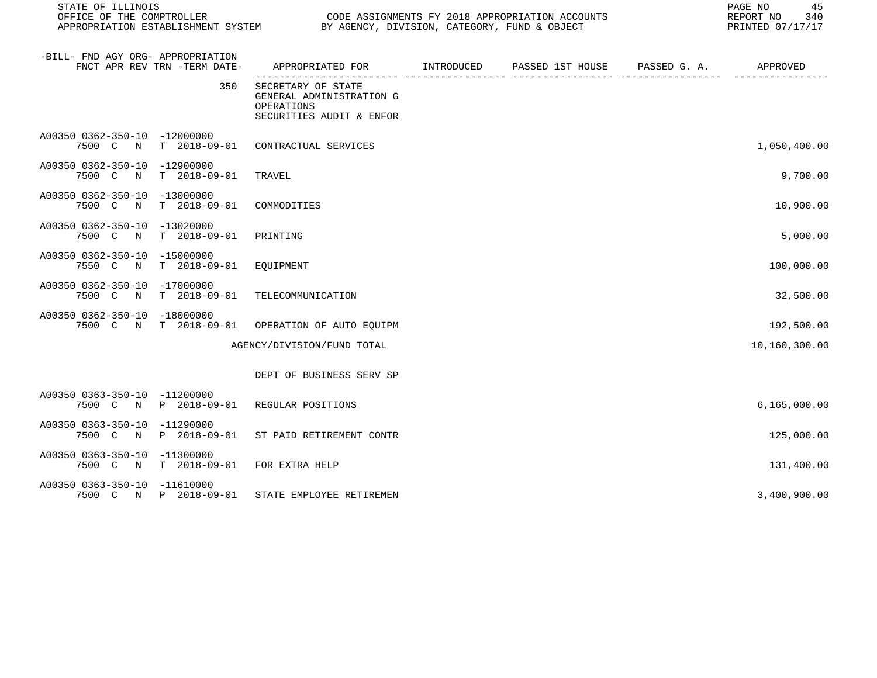| STATE OF ILLINOIS                                                              |                                                                                           |  |  |  | 45<br>PAGE NO<br>REPORT NO 340<br>PRINTED 07/17/17 |
|--------------------------------------------------------------------------------|-------------------------------------------------------------------------------------------|--|--|--|----------------------------------------------------|
| -BILL- FND AGY ORG- APPROPRIATION<br>FNCT APR REV TRN -TERM DATE-              | APPROPRIATED FOR        INTRODUCED     PASSED 1ST HOUSE     PASSED G. A.         APPROVED |  |  |  |                                                    |
| 350                                                                            | SECRETARY OF STATE<br>GENERAL ADMINISTRATION G<br>OPERATIONS<br>SECURITIES AUDIT & ENFOR  |  |  |  |                                                    |
| A00350 0362-350-10 -12000000<br>7500 C N T 2018-09-01 CONTRACTUAL SERVICES     |                                                                                           |  |  |  | 1,050,400.00                                       |
| A00350 0362-350-10 -12900000<br>7500 C N T 2018-09-01                          | TRAVEL                                                                                    |  |  |  | 9,700.00                                           |
| A00350 0362-350-10 -13000000<br>7500 C N T 2018-09-01 COMMODITIES              |                                                                                           |  |  |  | 10,900.00                                          |
| A00350 0362-350-10 -13020000<br>7500 C N<br>T 2018-09-01                       | PRINTING                                                                                  |  |  |  | 5,000.00                                           |
| A00350 0362-350-10 -15000000<br>7550 C N T 2018-09-01                          | EQUIPMENT                                                                                 |  |  |  | 100,000.00                                         |
| A00350 0362-350-10 -17000000<br>7500 C N T 2018-09-01                          | TELECOMMUNICATION                                                                         |  |  |  | 32,500.00                                          |
| A00350 0362-350-10 -18000000<br>7500 C N T 2018-09-01 OPERATION OF AUTO EQUIPM |                                                                                           |  |  |  | 192,500.00                                         |
|                                                                                | AGENCY/DIVISION/FUND TOTAL                                                                |  |  |  | 10,160,300.00                                      |
|                                                                                | DEPT OF BUSINESS SERV SP                                                                  |  |  |  |                                                    |
| A00350 0363-350-10 -11200000<br>7500 C N P 2018-09-01 REGULAR POSITIONS        |                                                                                           |  |  |  | 6, 165, 000.00                                     |
| A00350 0363-350-10 -11290000<br>7500 C N P 2018-09-01 ST PAID RETIREMENT CONTR |                                                                                           |  |  |  | 125,000.00                                         |
| A00350 0363-350-10 -11300000<br>7500 C N T 2018-09-01 FOR EXTRA HELP           |                                                                                           |  |  |  | 131,400.00                                         |
| A00350 0363-350-10 -11610000<br>7500 C N P 2018-09-01                          | STATE EMPLOYEE RETIREMEN                                                                  |  |  |  | 3,400,900.00                                       |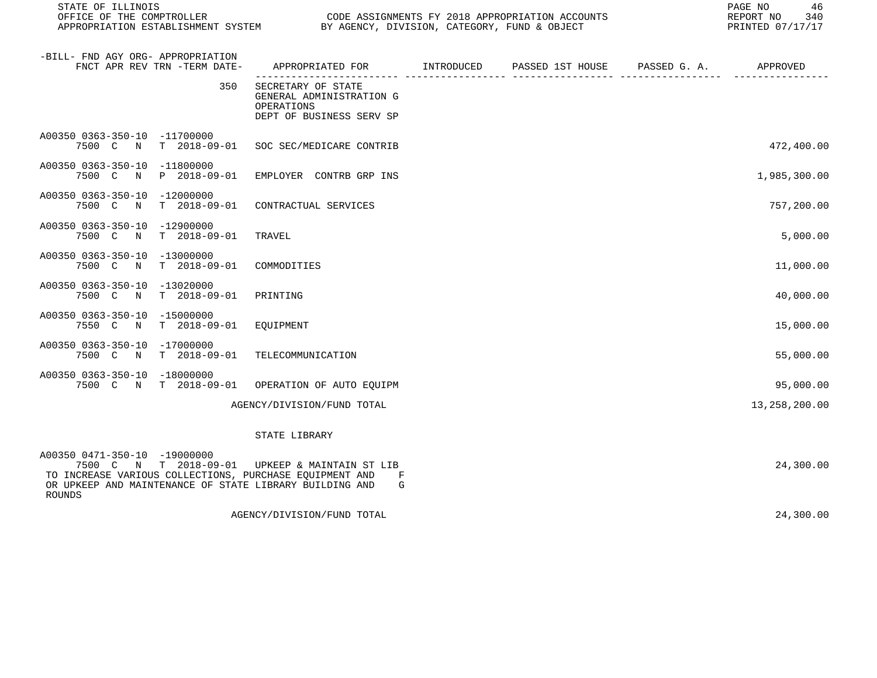| STATE OF ILLINOIS<br>OFFICE OF THE COMPTROLLER        |                              |                                                                                                                                                                                | PAGE NO<br>CODE ASSIGNMENTS FY 2018 APPROPRIATION ACCOUNTS<br>REPORT NO<br>APPROPRIATION ESTABLISHMENT SYSTEM BY AGENCY, DIVISION, CATEGORY, FUND & OBJECT<br>PRINTED 07/17/17 |  |  |               |  |
|-------------------------------------------------------|------------------------------|--------------------------------------------------------------------------------------------------------------------------------------------------------------------------------|--------------------------------------------------------------------------------------------------------------------------------------------------------------------------------|--|--|---------------|--|
| -BILL- FND AGY ORG- APPROPRIATION                     | FNCT APR REV TRN -TERM DATE- | APPROPRIATED FOR TINTRODUCED PASSED 1ST HOUSE PASSED G.A.                                                                                                                      |                                                                                                                                                                                |  |  | APPROVED      |  |
|                                                       | 350                          | SECRETARY OF STATE<br>GENERAL ADMINISTRATION G<br>OPERATIONS<br>DEPT OF BUSINESS SERV SP                                                                                       |                                                                                                                                                                                |  |  |               |  |
| A00350 0363-350-10 -11700000<br>7500 C<br>N           | $T = 2018 - 09 - 01$         | SOC SEC/MEDICARE CONTRIB                                                                                                                                                       |                                                                                                                                                                                |  |  | 472,400.00    |  |
| A00350 0363-350-10 -11800000<br>7500 C N P 2018-09-01 |                              | EMPLOYER CONTRB GRP INS                                                                                                                                                        |                                                                                                                                                                                |  |  | 1,985,300.00  |  |
| A00350 0363-350-10 -12000000<br>7500 C N              | T 2018-09-01                 | CONTRACTUAL SERVICES                                                                                                                                                           |                                                                                                                                                                                |  |  | 757,200.00    |  |
| A00350 0363-350-10 -12900000<br>7500 C N              | $T = 2018 - 09 - 01$         | TRAVEL                                                                                                                                                                         |                                                                                                                                                                                |  |  | 5,000.00      |  |
| A00350 0363-350-10 -13000000<br>7500 C<br>$\mathbb N$ | $T = 2018 - 09 - 01$         | COMMODITIES                                                                                                                                                                    |                                                                                                                                                                                |  |  | 11,000.00     |  |
| A00350 0363-350-10 -13020000<br>7500 C N              | T 2018-09-01                 | PRINTING                                                                                                                                                                       |                                                                                                                                                                                |  |  | 40,000.00     |  |
| A00350 0363-350-10 -15000000<br>7550 C N              | T 2018-09-01                 | EQUIPMENT                                                                                                                                                                      |                                                                                                                                                                                |  |  | 15,000.00     |  |
| A00350 0363-350-10 -17000000<br>7500 C N              | $T = 2018 - 09 - 01$         | TELECOMMUNICATION                                                                                                                                                              |                                                                                                                                                                                |  |  | 55,000.00     |  |
| A00350 0363-350-10 -18000000<br>7500 C N T 2018-09-01 |                              | OPERATION OF AUTO EQUIPM                                                                                                                                                       |                                                                                                                                                                                |  |  | 95,000.00     |  |
|                                                       |                              | AGENCY/DIVISION/FUND TOTAL                                                                                                                                                     |                                                                                                                                                                                |  |  | 13,258,200.00 |  |
|                                                       |                              | STATE LIBRARY                                                                                                                                                                  |                                                                                                                                                                                |  |  |               |  |
| A00350 0471-350-10 -19000000<br>ROUNDS                |                              | 7500 C N T 2018-09-01 UPKEEP & MAINTAIN ST LIB<br>TO INCREASE VARIOUS COLLECTIONS, PURCHASE EQUIPMENT AND<br>F<br>OR UPKEEP AND MAINTENANCE OF STATE LIBRARY BUILDING AND<br>G |                                                                                                                                                                                |  |  | 24,300.00     |  |

AGENCY/DIVISION/FUND TOTAL 24,300.00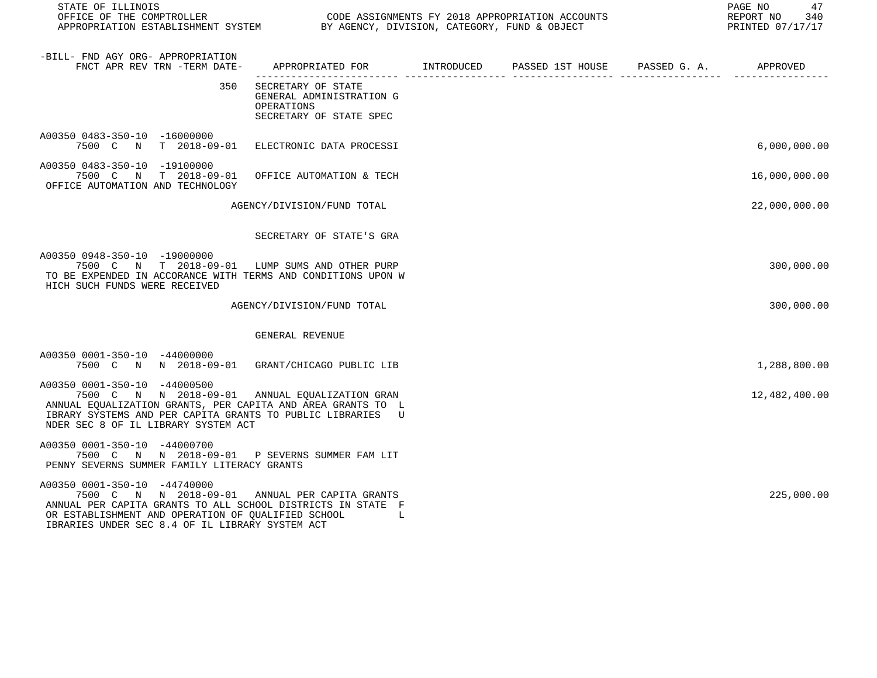| STATE OF ILLINOIS<br>OFFICE OF THE COMPTROLLER CODE ASSIGNMENTS FY 2018 APPROPRIATION ACCOUNTS<br>APPROPRIATION ESTABLISHMENT SYSTEM BY AGENCY, DIVISION, CATEGORY, FUND & OBJECT                                                                      |                                                                                            |  | PAGE NO 47<br>REPORT NO 340<br>PRINTED 07/17/17 |
|--------------------------------------------------------------------------------------------------------------------------------------------------------------------------------------------------------------------------------------------------------|--------------------------------------------------------------------------------------------|--|-------------------------------------------------|
| -BILL- FND AGY ORG- APPROPRIATION<br>FNCT APR REV TRN -TERM DATE-                                                                                                                                                                                      | APPROPRIATED FOR        INTRODUCED      PASSED 1ST HOUSE     PASSED G. A.         APPROVED |  |                                                 |
| 350                                                                                                                                                                                                                                                    | SECRETARY OF STATE<br>GENERAL ADMINISTRATION G<br>OPERATIONS<br>SECRETARY OF STATE SPEC    |  |                                                 |
| A00350 0483-350-10 -16000000<br>7500 C N T 2018-09-01 ELECTRONIC DATA PROCESSI                                                                                                                                                                         |                                                                                            |  | 6,000,000.00                                    |
| A00350 0483-350-10 -19100000<br>7500 C N T 2018-09-01<br>OFFICE AUTOMATION AND TECHNOLOGY                                                                                                                                                              | OFFICE AUTOMATION & TECH                                                                   |  | 16,000,000.00                                   |
|                                                                                                                                                                                                                                                        | AGENCY/DIVISION/FUND TOTAL                                                                 |  | 22,000,000.00                                   |
|                                                                                                                                                                                                                                                        | SECRETARY OF STATE'S GRA                                                                   |  |                                                 |
| A00350 0948-350-10 -19000000<br>7500 C N T 2018-09-01 LUMP SUMS AND OTHER PURP<br>TO BE EXPENDED IN ACCORANCE WITH TERMS AND CONDITIONS UPON W<br>HICH SUCH FUNDS WERE RECEIVED                                                                        |                                                                                            |  | 300,000.00                                      |
|                                                                                                                                                                                                                                                        | AGENCY/DIVISION/FUND TOTAL                                                                 |  | 300,000.00                                      |
|                                                                                                                                                                                                                                                        | GENERAL REVENUE                                                                            |  |                                                 |
| A00350 0001-350-10 -44000000<br>7500 C N N 2018-09-01 GRANT/CHICAGO PUBLIC LIB                                                                                                                                                                         |                                                                                            |  | 1,288,800.00                                    |
| A00350 0001-350-10 -44000500<br>7500 C N N 2018-09-01 ANNUAL EQUALIZATION GRAN<br>ANNUAL EQUALIZATION GRANTS, PER CAPITA AND AREA GRANTS TO L<br>IBRARY SYSTEMS AND PER CAPITA GRANTS TO PUBLIC LIBRARIES U<br>NDER SEC 8 OF IL LIBRARY SYSTEM ACT     |                                                                                            |  | 12,482,400.00                                   |
| A00350 0001-350-10 -44000700<br>7500 C N N 2018-09-01 P SEVERNS SUMMER FAM LIT<br>PENNY SEVERNS SUMMER FAMILY LITERACY GRANTS                                                                                                                          |                                                                                            |  |                                                 |
| A00350 0001-350-10 -44740000<br>7500 C N N 2018-09-01 ANNUAL PER CAPITA GRANTS<br>ANNUAL PER CAPITA GRANTS TO ALL SCHOOL DISTRICTS IN STATE F<br>OR ESTABLISHMENT AND OPERATION OF QUALIFIED SCHOOL<br>IBRARIES UNDER SEC 8.4 OF IL LIBRARY SYSTEM ACT | and the first part of the                                                                  |  | 225,000.00                                      |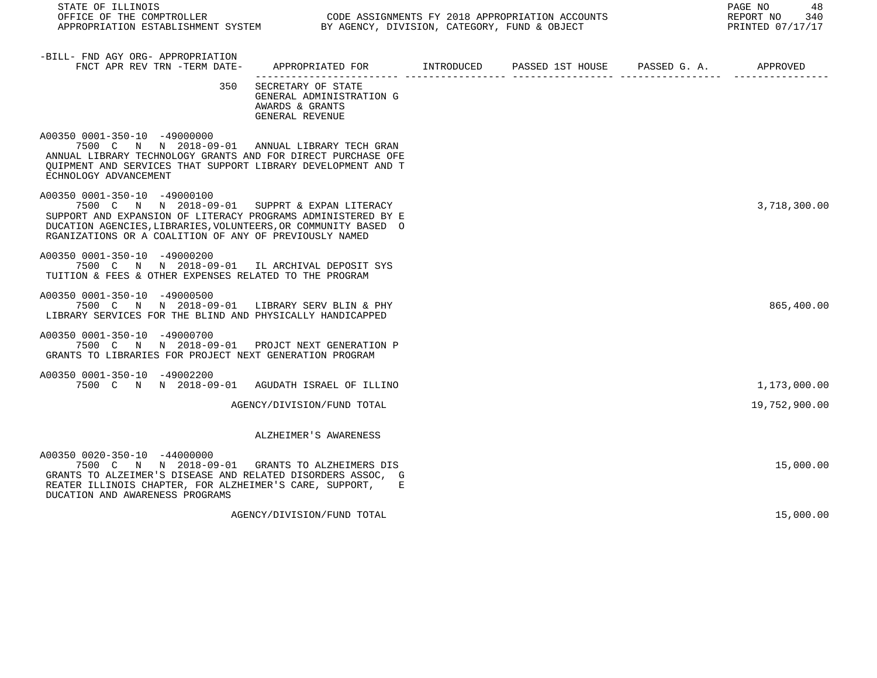| STATE OF ILLINOIS<br>OFFICE OF THE COMPTROLLER<br>OUDE ASSIGNMENTS FI 2016 APPROPRIATION ACCORDINATION ESTABLISHMENT SYSTEM BY AGENCY, DIVISION, CATEGORY, FUND & OBJECT                                                                                                  | CODE ASSIGNMENTS FY 2018 APPROPRIATION ACCOUNTS                                         | 48<br>PAGE NO<br>REPORT NO 340<br>PRINTED 07/17/17 |  |               |
|---------------------------------------------------------------------------------------------------------------------------------------------------------------------------------------------------------------------------------------------------------------------------|-----------------------------------------------------------------------------------------|----------------------------------------------------|--|---------------|
| -BILL- FND AGY ORG- APPROPRIATION<br>FNCT APR REV TRN -TERM DATE-                                                                                                                                                                                                         | APPROPRIATED FOR        INTRODUCED     PASSED 1ST HOUSE    PASSED G. A.        APPROVED |                                                    |  |               |
| 350                                                                                                                                                                                                                                                                       | SECRETARY OF STATE<br>GENERAL ADMINISTRATION G<br>AWARDS & GRANTS<br>GENERAL REVENUE    |                                                    |  |               |
| A00350 0001-350-10 -49000000<br>7500 C N N 2018-09-01 ANNUAL LIBRARY TECH GRAN<br>ANNUAL LIBRARY TECHNOLOGY GRANTS AND FOR DIRECT PURCHASE OFE<br>OUIPMENT AND SERVICES THAT SUPPORT LIBRARY DEVELOPMENT AND T<br>ECHNOLOGY ADVANCEMENT                                   |                                                                                         |                                                    |  |               |
| A00350 0001-350-10 -49000100<br>7500 C N N 2018-09-01 SUPPRT & EXPAN LITERACY<br>SUPPORT AND EXPANSION OF LITERACY PROGRAMS ADMINISTERED BY E<br>DUCATION AGENCIES, LIBRARIES, VOLUNTEERS, OR COMMUNITY BASED O<br>RGANIZATIONS OR A COALITION OF ANY OF PREVIOUSLY NAMED |                                                                                         |                                                    |  | 3,718,300.00  |
| A00350 0001-350-10 -49000200<br>7500 C N N 2018-09-01 IL ARCHIVAL DEPOSIT SYS<br>TUITION & FEES & OTHER EXPENSES RELATED TO THE PROGRAM                                                                                                                                   |                                                                                         |                                                    |  |               |
| A00350 0001-350-10 -49000500<br>7500 C N N 2018-09-01 LIBRARY SERV BLIN & PHY<br>LIBRARY SERVICES FOR THE BLIND AND PHYSICALLY HANDICAPPED                                                                                                                                |                                                                                         |                                                    |  | 865,400.00    |
| A00350 0001-350-10 -49000700<br>7500 C N N 2018-09-01 PROJCT NEXT GENERATION P<br>GRANTS TO LIBRARIES FOR PROJECT NEXT GENERATION PROGRAM                                                                                                                                 |                                                                                         |                                                    |  |               |
| A00350 0001-350-10 -49002200<br>7500 C N N 2018-09-01 AGUDATH ISRAEL OF ILLINO                                                                                                                                                                                            |                                                                                         |                                                    |  | 1,173,000.00  |
|                                                                                                                                                                                                                                                                           | AGENCY/DIVISION/FUND TOTAL                                                              |                                                    |  | 19,752,900.00 |
|                                                                                                                                                                                                                                                                           | ALZHEIMER'S AWARENESS                                                                   |                                                    |  |               |
| A00350 0020-350-10 -44000000<br>7500 C N N 2018-09-01 GRANTS TO ALZHEIMERS DIS<br>GRANTS TO ALZEIMER'S DISEASE AND RELATED DISORDERS ASSOC, G<br>REATER ILLINOIS CHAPTER, FOR ALZHEIMER'S CARE, SUPPORT, E<br>DUCATION AND AWARENESS PROGRAMS                             |                                                                                         |                                                    |  | 15,000.00     |
|                                                                                                                                                                                                                                                                           | AGENCY/DIVISION/FUND TOTAL                                                              |                                                    |  | 15,000.00     |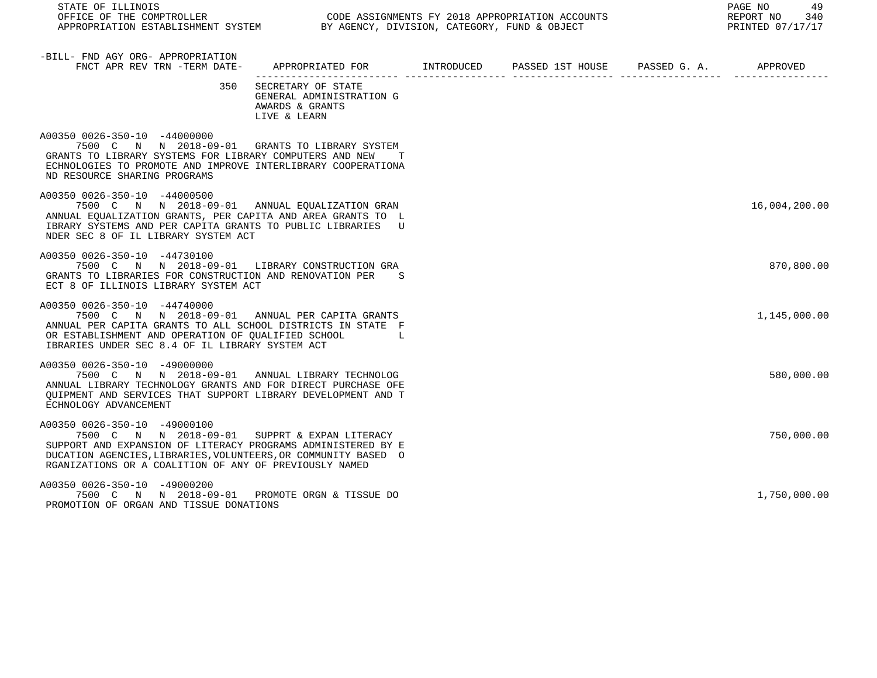| STATE OF ILLINOIS<br>OFFICE OF THE COMPTROLLER<br>APPROPRIATION ESTABLISHMENT SYSTEM<br>BY AGENCY, DIVISION, CATEGORY, FUND & OBJECT                                                                                                                                      |                                                                                                                                                                                                                                |  | 49<br>PAGE NO<br>REPORT NO<br>340<br>PRINTED 07/17/17 |
|---------------------------------------------------------------------------------------------------------------------------------------------------------------------------------------------------------------------------------------------------------------------------|--------------------------------------------------------------------------------------------------------------------------------------------------------------------------------------------------------------------------------|--|-------------------------------------------------------|
| -BILL- FND AGY ORG- APPROPRIATION<br>FNCT APR REV TRN -TERM DATE- APPROPRIATED FOR METRODUCED PASSED 1ST HOUSE PASSED G. A. APPROVED                                                                                                                                      |                                                                                                                                                                                                                                |  |                                                       |
|                                                                                                                                                                                                                                                                           | 350 SECRETARY OF STATE<br>GENERAL ADMINISTRATION G<br>AWARDS & GRANTS<br>LIVE & LEARN                                                                                                                                          |  |                                                       |
| A00350 0026-350-10 -44000000<br>7500 C N N 2018-09-01 GRANTS TO LIBRARY SYSTEM<br>GRANTS TO LIBRARY SYSTEMS FOR LIBRARY COMPUTERS AND NEW<br>ECHNOLOGIES TO PROMOTE AND IMPROVE INTERLIBRARY COOPERATIONA<br>ND RESOURCE SHARING PROGRAMS                                 | т                                                                                                                                                                                                                              |  |                                                       |
| A00350 0026-350-10 -44000500<br>7500 C N N 2018-09-01 ANNUAL EQUALIZATION GRAN<br>ANNUAL EOUALIZATION GRANTS, PER CAPITA AND AREA GRANTS TO L<br>IBRARY SYSTEMS AND PER CAPITA GRANTS TO PUBLIC LIBRARIES U<br>NDER SEC 8 OF IL LIBRARY SYSTEM ACT                        |                                                                                                                                                                                                                                |  | 16,004,200.00                                         |
| A00350 0026-350-10 -44730100<br>7500 C N N 2018-09-01 LIBRARY CONSTRUCTION GRA<br>GRANTS TO LIBRARIES FOR CONSTRUCTION AND RENOVATION PER<br>ECT 8 OF ILLINOIS LIBRARY SYSTEM ACT                                                                                         | S.                                                                                                                                                                                                                             |  | 870,800.00                                            |
| A00350 0026-350-10 -44740000<br>7500 C N N 2018-09-01 ANNUAL PER CAPITA GRANTS<br>ANNUAL PER CAPITA GRANTS TO ALL SCHOOL DISTRICTS IN STATE F<br>OR ESTABLISHMENT AND OPERATION OF QUALIFIED SCHOOL<br>IBRARIES UNDER SEC 8.4 OF IL LIBRARY SYSTEM ACT                    | in a company in the base of the state of the state of the state of the state of the state of the state of the state of the state of the state of the state of the state of the state of the state of the state of the state of |  | 1,145,000.00                                          |
| A00350 0026-350-10 -49000000<br>7500 C N N 2018-09-01 ANNUAL LIBRARY TECHNOLOG<br>ANNUAL LIBRARY TECHNOLOGY GRANTS AND FOR DIRECT PURCHASE OFE<br>OUIPMENT AND SERVICES THAT SUPPORT LIBRARY DEVELOPMENT AND T<br>ECHNOLOGY ADVANCEMENT                                   |                                                                                                                                                                                                                                |  | 580,000.00                                            |
| A00350 0026-350-10 -49000100<br>7500 C N N 2018-09-01 SUPPRT & EXPAN LITERACY<br>SUPPORT AND EXPANSION OF LITERACY PROGRAMS ADMINISTERED BY E<br>DUCATION AGENCIES, LIBRARIES, VOLUNTEERS, OR COMMUNITY BASED O<br>RGANIZATIONS OR A COALITION OF ANY OF PREVIOUSLY NAMED |                                                                                                                                                                                                                                |  | 750,000.00                                            |
| A00350 0026-350-10 -49000200<br>7500 C N N 2018-09-01 PROMOTE ORGN & TISSUE DO<br>PROMOTION OF ORGAN AND TISSUE DONATIONS                                                                                                                                                 |                                                                                                                                                                                                                                |  | 1,750,000.00                                          |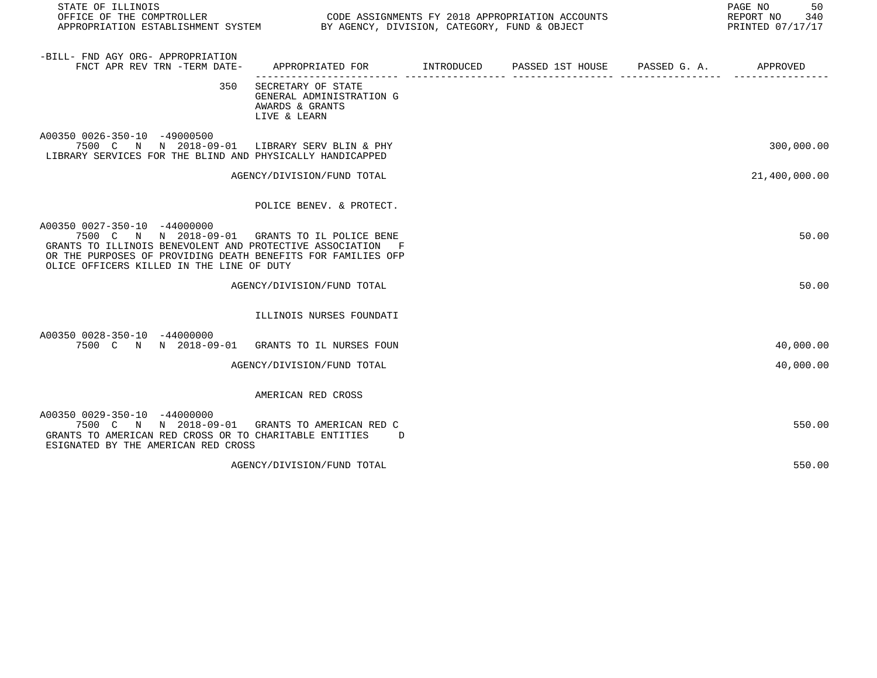| STATE OF ILLINOIS<br>OFFICE OF THE COMPTROLLER<br>APPROPRIATION ESTABLISHMENT SYSTEM BY AGENCY, DIVISION, CATEGORY, FUND & OBJECT                                                                                                                         |                                                                                   | CODE ASSIGNMENTS FY 2018 APPROPRIATION ACCOUNTS | 50<br>PAGE NO<br>REPORT NO 340<br>PRINTED 07/17/17 |
|-----------------------------------------------------------------------------------------------------------------------------------------------------------------------------------------------------------------------------------------------------------|-----------------------------------------------------------------------------------|-------------------------------------------------|----------------------------------------------------|
| -BILL- FND AGY ORG- APPROPRIATION<br>FNCT APR REV TRN -TERM DATE-                                                                                                                                                                                         | APPROPRIATED FOR        INTRODUCED      PASSED 1ST HOUSE     PASSED G. A.         |                                                 | APPROVED                                           |
| 350                                                                                                                                                                                                                                                       | SECRETARY OF STATE<br>GENERAL ADMINISTRATION G<br>AWARDS & GRANTS<br>LIVE & LEARN |                                                 |                                                    |
| A00350 0026-350-10 -49000500<br>7500 C N N 2018-09-01 LIBRARY SERV BLIN & PHY<br>LIBRARY SERVICES FOR THE BLIND AND PHYSICALLY HANDICAPPED                                                                                                                |                                                                                   |                                                 | 300,000.00                                         |
|                                                                                                                                                                                                                                                           | AGENCY/DIVISION/FUND TOTAL                                                        |                                                 | 21,400,000.00                                      |
|                                                                                                                                                                                                                                                           | POLICE BENEV. & PROTECT.                                                          |                                                 |                                                    |
| A00350 0027-350-10 -44000000<br>7500 C N N 2018-09-01 GRANTS TO IL POLICE BENE<br>GRANTS TO ILLINOIS BENEVOLENT AND PROTECTIVE ASSOCIATION F<br>OR THE PURPOSES OF PROVIDING DEATH BENEFITS FOR FAMILIES OFP<br>OLICE OFFICERS KILLED IN THE LINE OF DUTY |                                                                                   |                                                 | 50.00                                              |
|                                                                                                                                                                                                                                                           | AGENCY/DIVISION/FUND TOTAL                                                        |                                                 | 50.00                                              |
|                                                                                                                                                                                                                                                           | ILLINOIS NURSES FOUNDATI                                                          |                                                 |                                                    |
| A00350 0028-350-10 -44000000<br>7500 C N N 2018-09-01 GRANTS TO IL NURSES FOUN                                                                                                                                                                            |                                                                                   |                                                 | 40,000.00                                          |
|                                                                                                                                                                                                                                                           | AGENCY/DIVISION/FUND TOTAL                                                        |                                                 | 40,000.00                                          |
|                                                                                                                                                                                                                                                           | AMERICAN RED CROSS                                                                |                                                 |                                                    |
| A00350 0029-350-10 -44000000<br>7500 C N N 2018-09-01 GRANTS TO AMERICAN RED C<br>GRANTS TO AMERICAN RED CROSS OR TO CHARITABLE ENTITIES<br>ESIGNATED BY THE AMERICAN RED CROSS                                                                           | $\Box$                                                                            |                                                 | 550.00                                             |
|                                                                                                                                                                                                                                                           | AGENCY/DIVISION/FUND TOTAL                                                        |                                                 | 550.00                                             |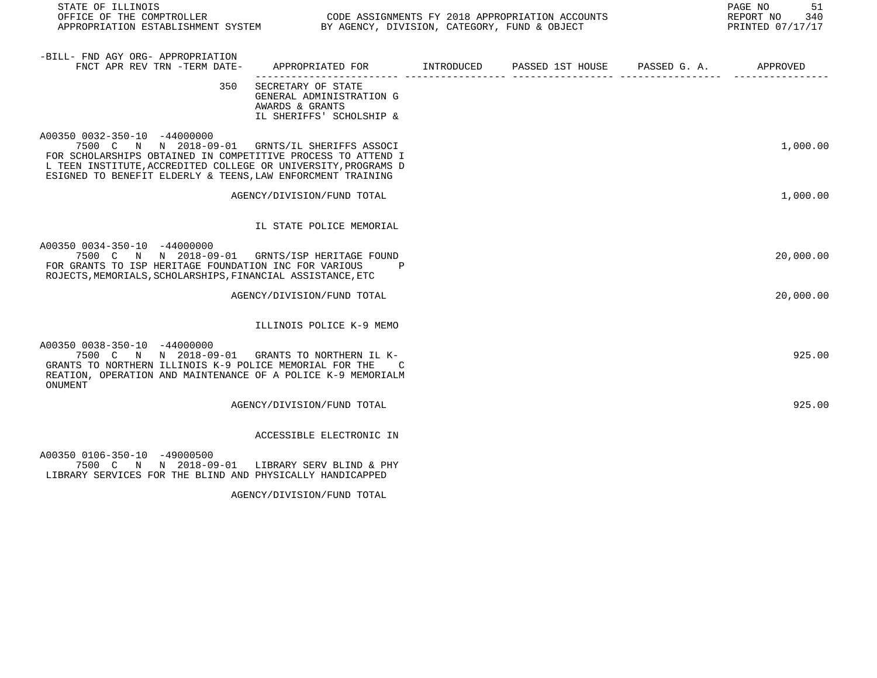| STATE OF ILLINOIS<br>PAGE NO<br>REPORT NO<br>PRINTED 07/17/17                                                                                                                                                                                                                   |                                                                                               |  |  |  |           |
|---------------------------------------------------------------------------------------------------------------------------------------------------------------------------------------------------------------------------------------------------------------------------------|-----------------------------------------------------------------------------------------------|--|--|--|-----------|
| -BILL- FND AGY ORG- APPROPRIATION<br>FNCT APR REV TRN -TERM DATE-                                                                                                                                                                                                               | APPROPRIATED FOR        INTRODUCED      PASSED 1ST HOUSE     PASSED G. A.        APPROVED     |  |  |  |           |
| 350                                                                                                                                                                                                                                                                             | SECRETARY OF STATE<br>GENERAL ADMINISTRATION G<br>AWARDS & GRANTS<br>IL SHERIFFS' SCHOLSHIP & |  |  |  |           |
| A00350 0032-350-10 -44000000<br>7500 C N N 2018-09-01 GRNTS/IL SHERIFFS ASSOCI<br>FOR SCHOLARSHIPS OBTAINED IN COMPETITIVE PROCESS TO ATTEND I<br>L TEEN INSTITUTE, ACCREDITED COLLEGE OR UNIVERSITY, PROGRAMS D<br>ESIGNED TO BENEFIT ELDERLY & TEENS, LAW ENFORCMENT TRAINING |                                                                                               |  |  |  | 1,000.00  |
|                                                                                                                                                                                                                                                                                 | AGENCY/DIVISION/FUND TOTAL                                                                    |  |  |  | 1,000.00  |
|                                                                                                                                                                                                                                                                                 | IL STATE POLICE MEMORIAL                                                                      |  |  |  |           |
| A00350 0034-350-10 -44000000<br>7500 C N N 2018-09-01 GRNTS/ISP HERITAGE FOUND<br>FOR GRANTS TO ISP HERITAGE FOUNDATION INC FOR VARIOUS<br>ROJECTS, MEMORIALS, SCHOLARSHIPS, FINANCIAL ASSISTANCE, ETC                                                                          | P                                                                                             |  |  |  | 20,000.00 |
|                                                                                                                                                                                                                                                                                 | AGENCY/DIVISION/FUND TOTAL                                                                    |  |  |  | 20,000.00 |
|                                                                                                                                                                                                                                                                                 | ILLINOIS POLICE K-9 MEMO                                                                      |  |  |  |           |
| A00350 0038-350-10 -44000000<br>7500 C N N 2018-09-01 GRANTS TO NORTHERN IL K-<br>GRANTS TO NORTHERN ILLINOIS K-9 POLICE MEMORIAL FOR THE<br>REATION, OPERATION AND MAINTENANCE OF A POLICE K-9 MEMORIALM<br>ONUMENT                                                            | C                                                                                             |  |  |  | 925.00    |
|                                                                                                                                                                                                                                                                                 | AGENCY/DIVISION/FUND TOTAL                                                                    |  |  |  | 925.00    |
|                                                                                                                                                                                                                                                                                 | ACCESSIBLE ELECTRONIC IN                                                                      |  |  |  |           |
| A00350 0106-350-10 -49000500<br>7500 $C$ N $N$ 2018-09-01 LIBRARY SERV BLIND & DHY                                                                                                                                                                                              |                                                                                               |  |  |  |           |

 7500 C N N 2018-09-01 LIBRARY SERV BLIND & PHY LIBRARY SERVICES FOR THE BLIND AND PHYSICALLY HANDICAPPED

AGENCY/DIVISION/FUND TOTAL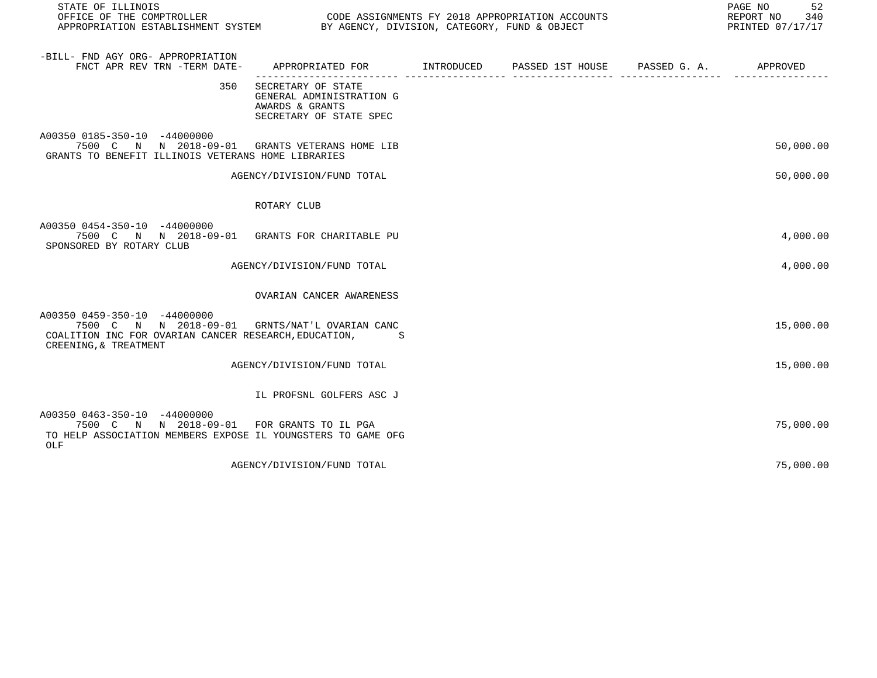| STATE OF ILLINOIS<br>OFFICE OF THE COMPTROLLER CODE ASSIGNMENTS FY 2018 APPROPRIATION ACCOUNTS<br>APPROPRIATION ESTABLISHMENT SYSTEM BY AGENCY, DIVISION, CATEGORY, FUND & OBJECT |                                                                                              |  | 52<br>PAGE NO<br>REPORT NO<br>340<br>PRINTED 07/17/17 |
|-----------------------------------------------------------------------------------------------------------------------------------------------------------------------------------|----------------------------------------------------------------------------------------------|--|-------------------------------------------------------|
| -BILL- FND AGY ORG- APPROPRIATION<br>FNCT APR REV TRN -TERM DATE-                                                                                                                 | APPROPRIATED FOR       INTRODUCED     PASSED 1ST HOUSE     PASSED G. A.         APPROVED     |  |                                                       |
| 350                                                                                                                                                                               | SECRETARY OF STATE<br>GENERAL ADMINISTRATION G<br>AWARDS & GRANTS<br>SECRETARY OF STATE SPEC |  |                                                       |
| A00350 0185-350-10 -44000000<br>7500 C N N 2018-09-01 GRANTS VETERANS HOME LIB<br>GRANTS TO BENEFIT ILLINOIS VETERANS HOME LIBRARIES                                              |                                                                                              |  | 50,000.00                                             |
|                                                                                                                                                                                   | AGENCY/DIVISION/FUND TOTAL                                                                   |  | 50,000.00                                             |
|                                                                                                                                                                                   | ROTARY CLUB                                                                                  |  |                                                       |
| A00350 0454-350-10 -44000000<br>7500 C N N 2018-09-01 GRANTS FOR CHARITABLE PU<br>SPONSORED BY ROTARY CLUB                                                                        |                                                                                              |  | 4,000.00                                              |
|                                                                                                                                                                                   | AGENCY/DIVISION/FUND TOTAL                                                                   |  | 4,000.00                                              |
|                                                                                                                                                                                   | OVARIAN CANCER AWARENESS                                                                     |  |                                                       |
| A00350 0459-350-10 -44000000<br>7500 C N N 2018-09-01 GRNTS/NAT'L OVARIAN CANC<br>COALITION INC FOR OVARIAN CANCER RESEARCH, EDUCATION,<br>CREENING, & TREATMENT                  | .S                                                                                           |  | 15,000.00                                             |
|                                                                                                                                                                                   | AGENCY/DIVISION/FUND TOTAL                                                                   |  | 15,000.00                                             |
|                                                                                                                                                                                   | IL PROFSNL GOLFERS ASC J                                                                     |  |                                                       |
| A00350 0463-350-10 -44000000<br>7500 C N N 2018-09-01 FOR GRANTS TO IL PGA<br>TO HELP ASSOCIATION MEMBERS EXPOSE IL YOUNGSTERS TO GAME OFG<br>OLF                                 |                                                                                              |  | 75,000.00                                             |
|                                                                                                                                                                                   | AGENCY/DIVISION/FUND TOTAL                                                                   |  | 75,000.00                                             |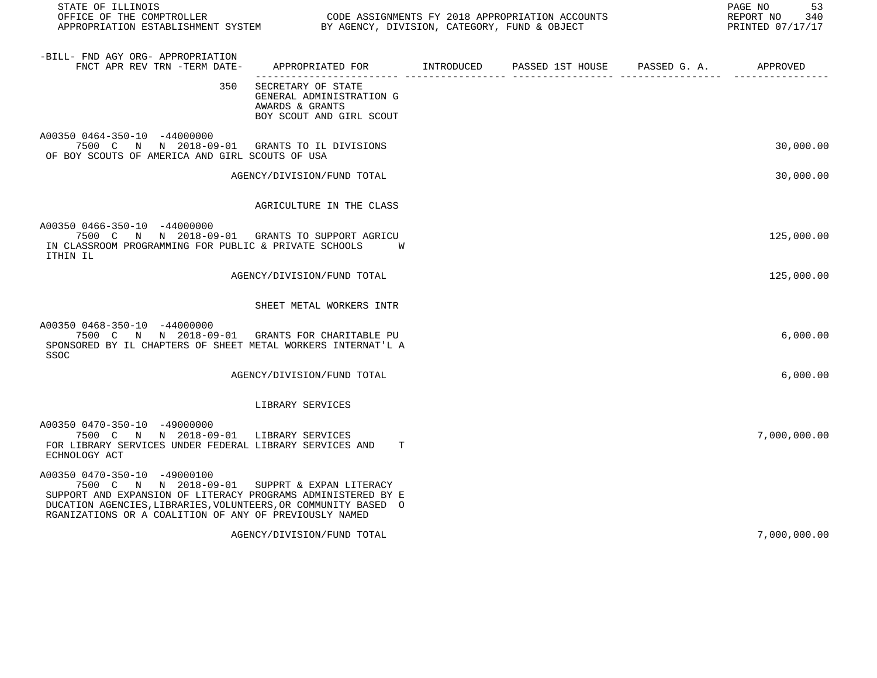| STATE OF ILLINOIS                                                                                                                                                                                                                                                         |                                                                                               |                                        | PAGE NO<br>53<br>REPORT NO<br>340<br>PRINTED 07/17/17 |
|---------------------------------------------------------------------------------------------------------------------------------------------------------------------------------------------------------------------------------------------------------------------------|-----------------------------------------------------------------------------------------------|----------------------------------------|-------------------------------------------------------|
| -BILL- FND AGY ORG- APPROPRIATION<br>FNCT APR REV TRN -TERM DATE-                                                                                                                                                                                                         | APPROPRIATED FOR INTRODUCED                                                                   | PASSED 1ST HOUSE PASSED G. A. APPROVED |                                                       |
| 350                                                                                                                                                                                                                                                                       | SECRETARY OF STATE<br>GENERAL ADMINISTRATION G<br>AWARDS & GRANTS<br>BOY SCOUT AND GIRL SCOUT |                                        |                                                       |
| A00350 0464-350-10 -44000000<br>7500 C N N 2018-09-01 GRANTS TO IL DIVISIONS<br>OF BOY SCOUTS OF AMERICA AND GIRL SCOUTS OF USA                                                                                                                                           |                                                                                               |                                        | 30,000.00                                             |
|                                                                                                                                                                                                                                                                           | AGENCY/DIVISION/FUND TOTAL                                                                    |                                        | 30,000.00                                             |
|                                                                                                                                                                                                                                                                           | AGRICULTURE IN THE CLASS                                                                      |                                        |                                                       |
| A00350 0466-350-10 -44000000<br>7500 C N N 2018-09-01 GRANTS TO SUPPORT AGRICU<br>IN CLASSROOM PROGRAMMING FOR PUBLIC & PRIVATE SCHOOLS<br>ITHIN IL                                                                                                                       | W                                                                                             |                                        | 125,000.00                                            |
|                                                                                                                                                                                                                                                                           | AGENCY/DIVISION/FUND TOTAL                                                                    |                                        | 125,000.00                                            |
|                                                                                                                                                                                                                                                                           | SHEET METAL WORKERS INTR                                                                      |                                        |                                                       |
| A00350 0468-350-10 -44000000<br>7500 C N N 2018-09-01 GRANTS FOR CHARITABLE PU<br>SPONSORED BY IL CHAPTERS OF SHEET METAL WORKERS INTERNAT'L A<br>SSOC                                                                                                                    |                                                                                               |                                        | 6,000.00                                              |
|                                                                                                                                                                                                                                                                           | AGENCY/DIVISION/FUND TOTAL                                                                    |                                        | 6,000.00                                              |
|                                                                                                                                                                                                                                                                           | LIBRARY SERVICES                                                                              |                                        |                                                       |
| A00350 0470-350-10 -49000000<br>7500 C N N 2018-09-01 LIBRARY SERVICES<br>FOR LIBRARY SERVICES UNDER FEDERAL LIBRARY SERVICES AND<br>ECHNOLOGY ACT                                                                                                                        | т                                                                                             |                                        | 7,000,000.00                                          |
| A00350 0470-350-10 -49000100<br>7500 C N N 2018-09-01 SUPPRT & EXPAN LITERACY<br>SUPPORT AND EXPANSION OF LITERACY PROGRAMS ADMINISTERED BY E<br>DUCATION AGENCIES, LIBRARIES, VOLUNTEERS, OR COMMUNITY BASED O<br>RGANIZATIONS OR A COALITION OF ANY OF PREVIOUSLY NAMED |                                                                                               |                                        |                                                       |
|                                                                                                                                                                                                                                                                           | AGENCY/DIVISION/FUND TOTAL                                                                    |                                        | 7,000,000.00                                          |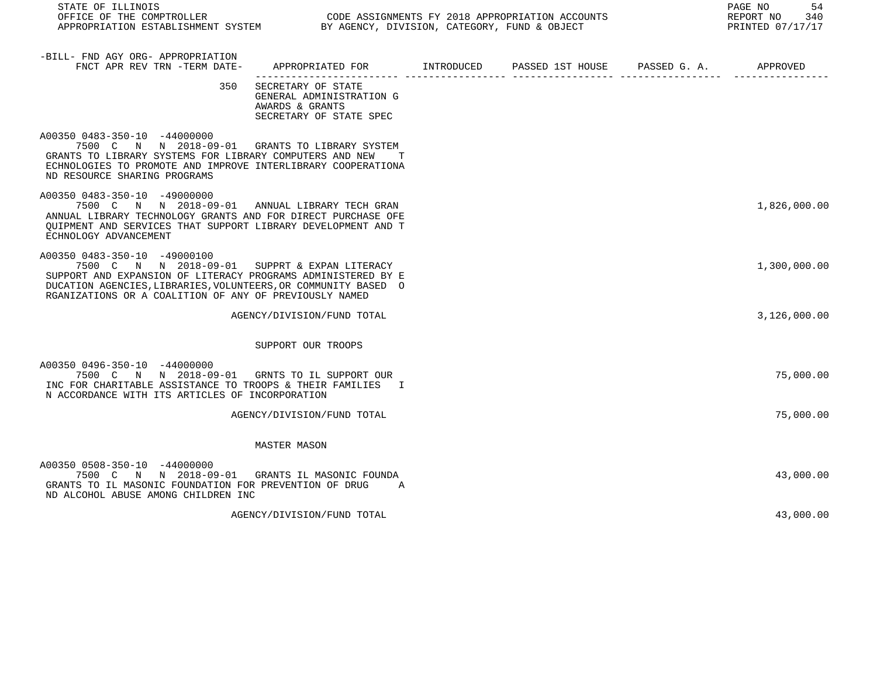| STATE OF ILLINOIS<br>OFFICE OF THE COMPTROLLER<br>APPROPRIATION ESTABLISHMENT SYSTEM BY AGENCY, DIVISION, CATEGORY, FUND & OBJECT                                                                                                                                         |                                                                                              | CODE ASSIGNMENTS FY 2018 APPROPRIATION ACCOUNTS | PAGE NO<br>54<br>REPORT NO<br>340<br>PRINTED 07/17/17 |
|---------------------------------------------------------------------------------------------------------------------------------------------------------------------------------------------------------------------------------------------------------------------------|----------------------------------------------------------------------------------------------|-------------------------------------------------|-------------------------------------------------------|
| -BILL- FND AGY ORG- APPROPRIATION<br>FNCT APR REV TRN -TERM DATE-                                                                                                                                                                                                         | APPROPRIATED FOR        INTRODUCED      PASSED 1ST HOUSE     PASSED G. A.         APPROVED   |                                                 |                                                       |
| 350                                                                                                                                                                                                                                                                       | SECRETARY OF STATE<br>GENERAL ADMINISTRATION G<br>AWARDS & GRANTS<br>SECRETARY OF STATE SPEC |                                                 |                                                       |
| A00350 0483-350-10 -44000000<br>7500 C N N 2018-09-01 GRANTS TO LIBRARY SYSTEM<br>GRANTS TO LIBRARY SYSTEMS FOR LIBRARY COMPUTERS AND NEW<br>ECHNOLOGIES TO PROMOTE AND IMPROVE INTERLIBRARY COOPERATIONA<br>ND RESOURCE SHARING PROGRAMS                                 | T                                                                                            |                                                 |                                                       |
| A00350 0483-350-10 -49000000<br>7500 C N N 2018-09-01 ANNUAL LIBRARY TECH GRAN<br>ANNUAL LIBRARY TECHNOLOGY GRANTS AND FOR DIRECT PURCHASE OFE<br>OUIPMENT AND SERVICES THAT SUPPORT LIBRARY DEVELOPMENT AND T<br>ECHNOLOGY ADVANCEMENT                                   |                                                                                              |                                                 | 1,826,000.00                                          |
| A00350 0483-350-10 -49000100<br>7500 C N N 2018-09-01 SUPPRT & EXPAN LITERACY<br>SUPPORT AND EXPANSION OF LITERACY PROGRAMS ADMINISTERED BY E<br>DUCATION AGENCIES, LIBRARIES, VOLUNTEERS, OR COMMUNITY BASED O<br>RGANIZATIONS OR A COALITION OF ANY OF PREVIOUSLY NAMED |                                                                                              |                                                 | 1,300,000.00                                          |
|                                                                                                                                                                                                                                                                           | AGENCY/DIVISION/FUND TOTAL                                                                   |                                                 | 3,126,000.00                                          |
|                                                                                                                                                                                                                                                                           | SUPPORT OUR TROOPS                                                                           |                                                 |                                                       |
| A00350 0496-350-10 -44000000<br>7500 C N N 2018-09-01 GRNTS TO IL SUPPORT OUR<br>INC FOR CHARITABLE ASSISTANCE TO TROOPS & THEIR FAMILIES I<br>N ACCORDANCE WITH ITS ARTICLES OF INCORPORATION                                                                            |                                                                                              |                                                 | 75,000.00                                             |
|                                                                                                                                                                                                                                                                           | AGENCY/DIVISION/FUND TOTAL                                                                   |                                                 | 75,000.00                                             |
|                                                                                                                                                                                                                                                                           | <b>MASTER MASON</b>                                                                          |                                                 |                                                       |
| A00350 0508-350-10 -44000000<br>7500 C N N 2018-09-01 GRANTS IL MASONIC FOUNDA<br>GRANTS TO IL MASONIC FOUNDATION FOR PREVENTION OF DRUG<br>ND ALCOHOL ABUSE AMONG CHILDREN INC                                                                                           | A                                                                                            |                                                 | 43,000.00                                             |

AGENCY/DIVISION/FUND TOTAL 43,000.00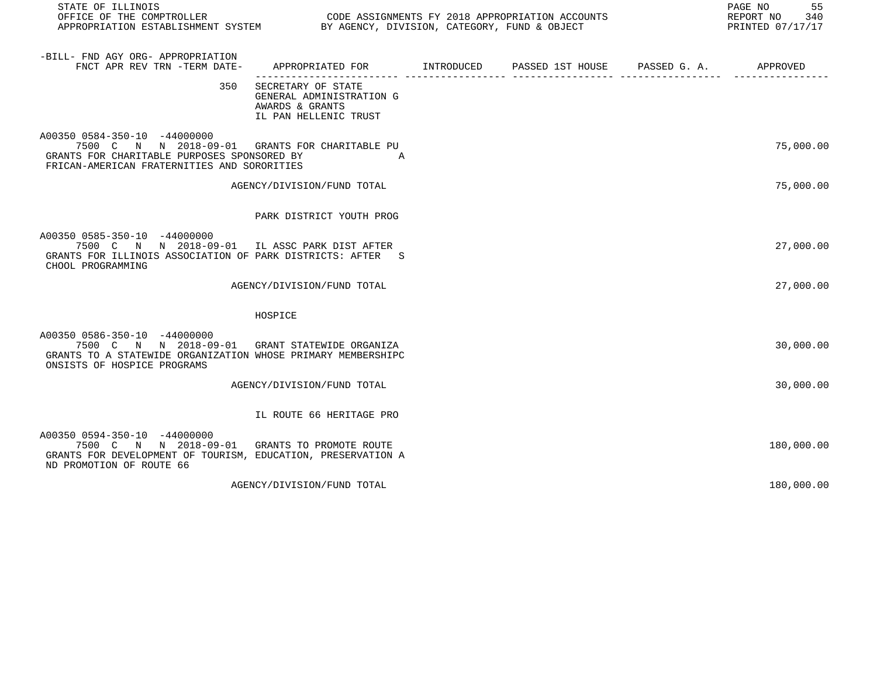| STATE OF ILLINOIS<br>OFFICE OF THE COMPTROLLER<br>APPROPRIATION ESTABLISHMENT SYSTEM BY AGENCY, DIVISION, CATEGORY, FUND & OBJECT                                             | CODE ASSIGNMENTS FY 2018 APPROPRIATION ACCOUNTS                                            |  | PAGE NO <sub>55</sub><br>REPORT NO 340<br>PRINTED 07/17/17 |
|-------------------------------------------------------------------------------------------------------------------------------------------------------------------------------|--------------------------------------------------------------------------------------------|--|------------------------------------------------------------|
| -BILL- FND AGY ORG- APPROPRIATION<br>FNCT APR REV TRN -TERM DATE-                                                                                                             | APPROPRIATED FOR INTRODUCED PASSED 1ST HOUSE PASSED G. A.                                  |  | APPROVED                                                   |
| 350                                                                                                                                                                           | SECRETARY OF STATE<br>GENERAL ADMINISTRATION G<br>AWARDS & GRANTS<br>IL PAN HELLENIC TRUST |  |                                                            |
| A00350 0584-350-10 -44000000<br>7500 C N N 2018-09-01 GRANTS FOR CHARITABLE PU<br>GRANTS FOR CHARITABLE PURPOSES SPONSORED BY<br>FRICAN-AMERICAN FRATERNITIES AND SORORITIES  | A                                                                                          |  | 75,000.00                                                  |
|                                                                                                                                                                               | AGENCY/DIVISION/FUND TOTAL                                                                 |  | 75,000.00                                                  |
|                                                                                                                                                                               | PARK DISTRICT YOUTH PROG                                                                   |  |                                                            |
| A00350 0585-350-10 -44000000<br>7500 C N N 2018-09-01 IL ASSC PARK DIST AFTER<br>GRANTS FOR ILLINOIS ASSOCIATION OF PARK DISTRICTS: AFTER S<br>CHOOL PROGRAMMING              |                                                                                            |  | 27,000.00                                                  |
|                                                                                                                                                                               | AGENCY/DIVISION/FUND TOTAL                                                                 |  | 27,000.00                                                  |
|                                                                                                                                                                               | HOSPICE                                                                                    |  |                                                            |
| A00350 0586-350-10 -44000000<br>7500 C N N 2018-09-01 GRANT STATEWIDE ORGANIZA<br>GRANTS TO A STATEWIDE ORGANIZATION WHOSE PRIMARY MEMBERSHIPC<br>ONSISTS OF HOSPICE PROGRAMS |                                                                                            |  | 30,000.00                                                  |
|                                                                                                                                                                               | AGENCY/DIVISION/FUND TOTAL                                                                 |  | 30,000.00                                                  |
|                                                                                                                                                                               | IL ROUTE 66 HERITAGE PRO                                                                   |  |                                                            |
| A00350 0594-350-10 -44000000<br>7500 C N N 2018-09-01 GRANTS TO PROMOTE ROUTE<br>GRANTS FOR DEVELOPMENT OF TOURISM, EDUCATION, PRESERVATION A<br>ND PROMOTION OF ROUTE 66     |                                                                                            |  | 180,000.00                                                 |
|                                                                                                                                                                               | AGENCY/DIVISION/FUND TOTAL                                                                 |  | 180,000.00                                                 |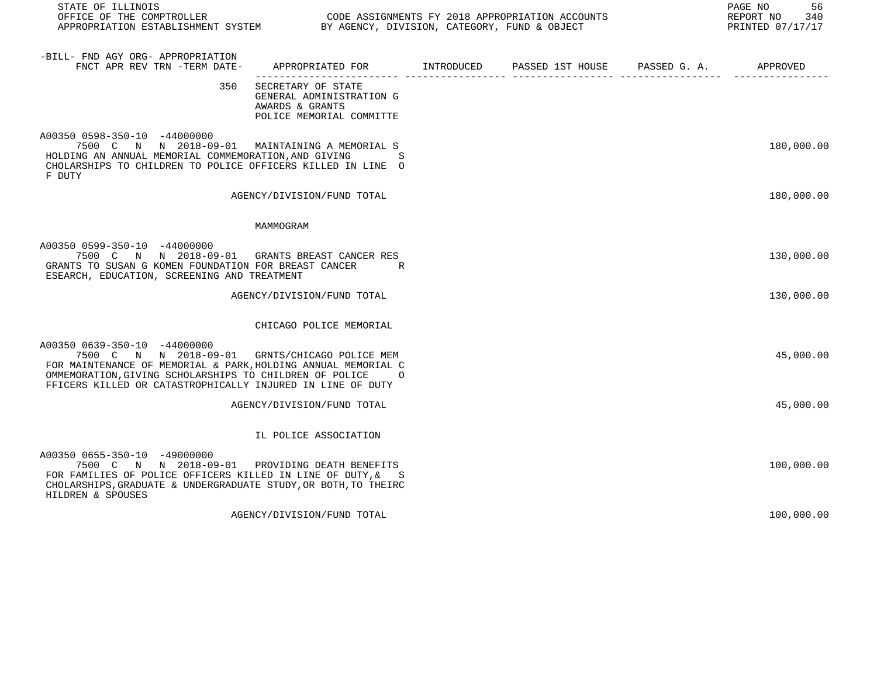| STATE OF ILLINOIS                                                                                                                                                                                                                                                        |                                                                                               |                               | 56<br>PAGE NO<br>REPORT NO<br>340<br>PRINTED 07/17/17 |
|--------------------------------------------------------------------------------------------------------------------------------------------------------------------------------------------------------------------------------------------------------------------------|-----------------------------------------------------------------------------------------------|-------------------------------|-------------------------------------------------------|
| -BILL- FND AGY ORG- APPROPRIATION<br>FNCT APR REV TRN -TERM DATE-                                                                                                                                                                                                        | APPROPRIATED FOR INTRODUCED                                                                   | PASSED 1ST HOUSE PASSED G. A. | APPROVED                                              |
| 350                                                                                                                                                                                                                                                                      | SECRETARY OF STATE<br>GENERAL ADMINISTRATION G<br>AWARDS & GRANTS<br>POLICE MEMORIAL COMMITTE |                               |                                                       |
| A00350 0598-350-10 -44000000<br>7500 C N N 2018-09-01 MAINTAINING A MEMORIAL S<br>HOLDING AN ANNUAL MEMORIAL COMMEMORATION, AND GIVING<br>CHOLARSHIPS TO CHILDREN TO POLICE OFFICERS KILLED IN LINE O<br>F DUTY                                                          | S                                                                                             |                               | 180,000.00                                            |
|                                                                                                                                                                                                                                                                          | AGENCY/DIVISION/FUND TOTAL                                                                    |                               | 180,000.00                                            |
|                                                                                                                                                                                                                                                                          | MAMMOGRAM                                                                                     |                               |                                                       |
| A00350 0599-350-10 -44000000<br>7500 C N N 2018-09-01 GRANTS BREAST CANCER RES<br>GRANTS TO SUSAN G KOMEN FOUNDATION FOR BREAST CANCER<br>ESEARCH, EDUCATION, SCREENING AND TREATMENT                                                                                    | R                                                                                             |                               | 130,000.00                                            |
|                                                                                                                                                                                                                                                                          | AGENCY/DIVISION/FUND TOTAL                                                                    |                               | 130,000.00                                            |
|                                                                                                                                                                                                                                                                          | CHICAGO POLICE MEMORIAL                                                                       |                               |                                                       |
| A00350 0639-350-10 -44000000<br>7500 C N N 2018-09-01 GRNTS/CHICAGO POLICE MEM<br>FOR MAINTENANCE OF MEMORIAL & PARK, HOLDING ANNUAL MEMORIAL C<br>OMMEMORATION, GIVING SCHOLARSHIPS TO CHILDREN OF POLICE<br>FFICERS KILLED OR CATASTROPHICALLY INJURED IN LINE OF DUTY | $\circ$                                                                                       |                               | 45,000.00                                             |
|                                                                                                                                                                                                                                                                          | AGENCY/DIVISION/FUND TOTAL                                                                    |                               | 45,000.00                                             |
|                                                                                                                                                                                                                                                                          | IL POLICE ASSOCIATION                                                                         |                               |                                                       |
| A00350 0655-350-10 -49000000<br>7500 C N N 2018-09-01 PROVIDING DEATH BENEFITS<br>FOR FAMILIES OF POLICE OFFICERS KILLED IN LINE OF DUTY, & S<br>CHOLARSHIPS, GRADUATE & UNDERGRADUATE STUDY, OR BOTH, TO THEIRC<br>HILDREN & SPOUSES                                    |                                                                                               |                               | 100,000.00                                            |
|                                                                                                                                                                                                                                                                          | AGENCY/DIVISION/FUND TOTAL                                                                    |                               | 100,000.00                                            |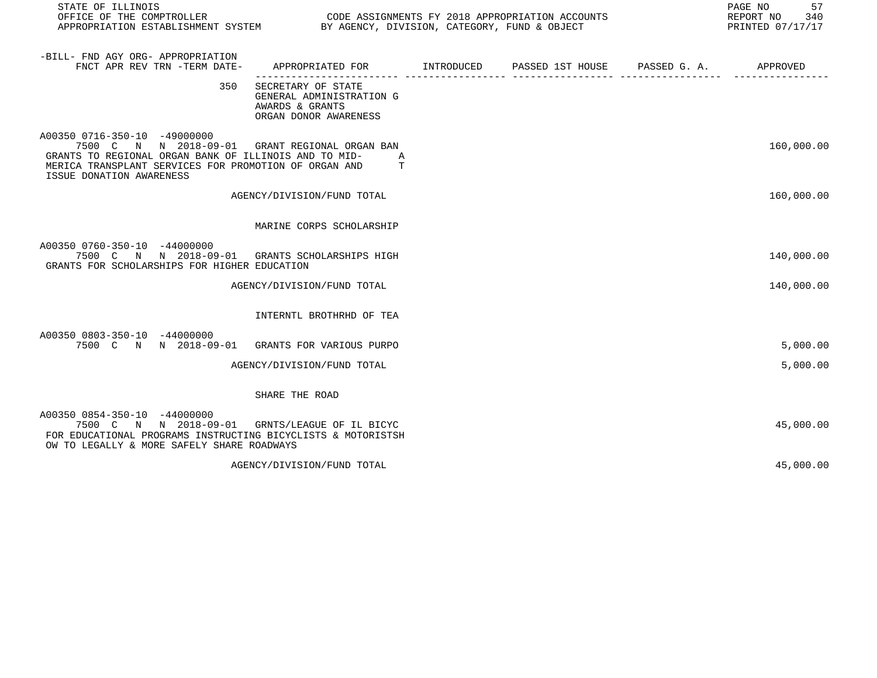| STATE OF ILLINOIS<br>OFFICE OF THE COMPTROLLER<br>APPROPRIATION ESTABLISHMENT SYSTEM BY AGENCY, DIVISION, CATEGORY, FUND & OBJECT                                                                   | CODE ASSIGNMENTS FY 2018 APPROPRIATION ACCOUNTS                                            |  | PAGE NO<br>57<br>REPORT NO 340<br>PRINTED 07/17/17 |
|-----------------------------------------------------------------------------------------------------------------------------------------------------------------------------------------------------|--------------------------------------------------------------------------------------------|--|----------------------------------------------------|
| -BILL- FND AGY ORG- APPROPRIATION<br>FNCT APR REV TRN -TERM DATE-                                                                                                                                   | APPROPRIATED FOR TINTRODUCED PASSED 1ST HOUSE PASSED G. A.                                 |  | APPROVED                                           |
| 350                                                                                                                                                                                                 | SECRETARY OF STATE<br>GENERAL ADMINISTRATION G<br>AWARDS & GRANTS<br>ORGAN DONOR AWARENESS |  |                                                    |
| A00350 0716-350-10 -49000000<br>7500 C N N 2018-09-01<br>GRANTS TO REGIONAL ORGAN BANK OF ILLINOIS AND TO MID-<br>MERICA TRANSPLANT SERVICES FOR PROMOTION OF ORGAN AND<br>ISSUE DONATION AWARENESS | GRANT REGIONAL ORGAN BAN<br>A<br>T                                                         |  | 160,000.00                                         |
|                                                                                                                                                                                                     | AGENCY/DIVISION/FUND TOTAL                                                                 |  | 160,000.00                                         |
|                                                                                                                                                                                                     | MARINE CORPS SCHOLARSHIP                                                                   |  |                                                    |
| A00350 0760-350-10 -44000000<br>7500 C N N 2018-09-01 GRANTS SCHOLARSHIPS HIGH<br>GRANTS FOR SCHOLARSHIPS FOR HIGHER EDUCATION                                                                      |                                                                                            |  | 140,000.00                                         |
|                                                                                                                                                                                                     | AGENCY/DIVISION/FUND TOTAL                                                                 |  | 140,000.00                                         |
|                                                                                                                                                                                                     | INTERNTL BROTHRHD OF TEA                                                                   |  |                                                    |
| A00350 0803-350-10 -44000000<br>7500 C N N 2018-09-01 GRANTS FOR VARIOUS PURPO                                                                                                                      |                                                                                            |  | 5,000.00                                           |
|                                                                                                                                                                                                     | AGENCY/DIVISION/FUND TOTAL                                                                 |  | 5,000.00                                           |
|                                                                                                                                                                                                     | SHARE THE ROAD                                                                             |  |                                                    |
| A00350 0854-350-10 -44000000<br>7500 C N N 2018-09-01 GRNTS/LEAGUE OF IL BICYC<br>FOR EDUCATIONAL PROGRAMS INSTRUCTING BICYCLISTS & MOTORISTSH<br>OW TO LEGALLY & MORE SAFELY SHARE ROADWAYS        |                                                                                            |  | 45,000.00                                          |
|                                                                                                                                                                                                     | AGENCY/DIVISION/FUND TOTAL                                                                 |  | 45,000.00                                          |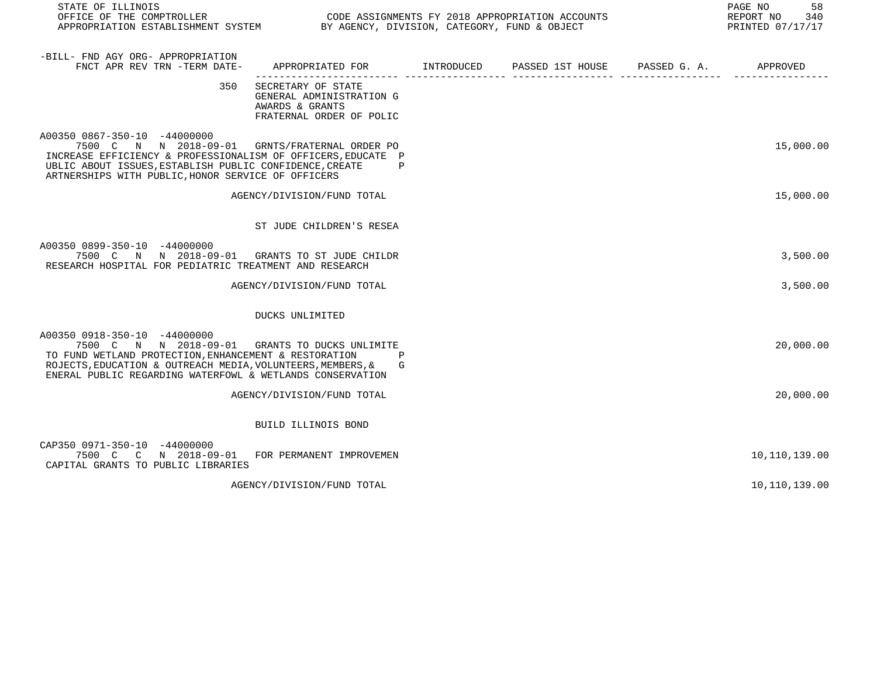| STATE OF ILLINOIS<br>OFFICE OF THE COMPTROLLER CONDUCTER CODE ASSIGNMENTS FY 2018 APPROPRIATION ACCOUNTS<br>APPROPRIATION ESTABLISHMENT SYSTEM BY AGENCY, DIVISION, CATEGORY, FUND & OBJECT                                                                     |                                                                                               |  | PAGE NO<br>58<br>REPORT NO<br>340<br>PRINTED 07/17/17 |
|-----------------------------------------------------------------------------------------------------------------------------------------------------------------------------------------------------------------------------------------------------------------|-----------------------------------------------------------------------------------------------|--|-------------------------------------------------------|
| -BILL- FND AGY ORG- APPROPRIATION<br>FNCT APR REV TRN -TERM DATE-                                                                                                                                                                                               | APPROPRIATED FOR        INTRODUCED     PASSED 1ST HOUSE     PASSED G. A.        APPROVED      |  |                                                       |
| 350                                                                                                                                                                                                                                                             | SECRETARY OF STATE<br>GENERAL ADMINISTRATION G<br>AWARDS & GRANTS<br>FRATERNAL ORDER OF POLIC |  |                                                       |
| A00350 0867-350-10 -44000000<br>7500 C N N 2018-09-01 GRNTS/FRATERNAL ORDER PO<br>INCREASE EFFICIENCY & PROFESSIONALISM OF OFFICERS, EDUCATE P<br>UBLIC ABOUT ISSUES, ESTABLISH PUBLIC CONFIDENCE, CREATE<br>ARTNERSHIPS WITH PUBLIC, HONOR SERVICE OF OFFICERS | $\mathbf{P}$                                                                                  |  | 15,000.00                                             |
|                                                                                                                                                                                                                                                                 | AGENCY/DIVISION/FUND TOTAL                                                                    |  | 15,000.00                                             |
|                                                                                                                                                                                                                                                                 | ST JUDE CHILDREN'S RESEA                                                                      |  |                                                       |
| A00350 0899-350-10 -44000000<br>7500 C N N 2018-09-01 GRANTS TO ST JUDE CHILDR<br>RESEARCH HOSPITAL FOR PEDIATRIC TREATMENT AND RESEARCH                                                                                                                        |                                                                                               |  | 3,500.00                                              |
|                                                                                                                                                                                                                                                                 | AGENCY/DIVISION/FUND TOTAL                                                                    |  | 3,500.00                                              |
|                                                                                                                                                                                                                                                                 | DUCKS UNLIMITED                                                                               |  |                                                       |
| A00350 0918-350-10 -44000000<br>7500 C N N 2018-09-01<br>TO FUND WETLAND PROTECTION, ENHANCEMENT & RESTORATION<br>ROJECTS, EDUCATION & OUTREACH MEDIA, VOLUNTEERS, MEMBERS, &<br>ENERAL PUBLIC REGARDING WATERFOWL & WETLANDS CONSERVATION                      | GRANTS TO DUCKS UNLIMITE<br>G                                                                 |  | 20,000.00                                             |
|                                                                                                                                                                                                                                                                 | AGENCY/DIVISION/FUND TOTAL                                                                    |  | 20,000.00                                             |
|                                                                                                                                                                                                                                                                 | BUILD ILLINOIS BOND                                                                           |  |                                                       |
| CAP350 0971-350-10 -44000000<br>7500 C C N 2018-09-01 FOR PERMANENT IMPROVEMEN<br>CAPITAL GRANTS TO PUBLIC LIBRARIES                                                                                                                                            |                                                                                               |  | 10,110,139.00                                         |
|                                                                                                                                                                                                                                                                 | AGENCY/DIVISION/FUND TOTAL                                                                    |  | 10,110,139.00                                         |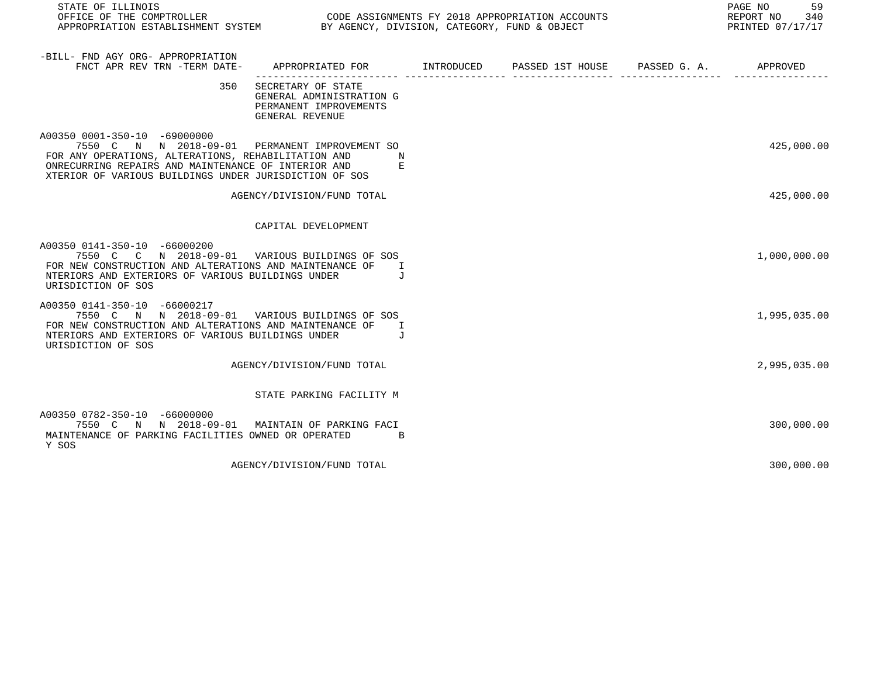| STATE OF ILLINOIS                                                                                                                                                                                                                                      |                                                                                             |  | PAGE NO 59<br>REPORT NO 340<br>PRINTED 07/17/17 |
|--------------------------------------------------------------------------------------------------------------------------------------------------------------------------------------------------------------------------------------------------------|---------------------------------------------------------------------------------------------|--|-------------------------------------------------|
| -BILL- FND AGY ORG- APPROPRIATION<br>FNCT APR REV TRN -TERM DATE-                                                                                                                                                                                      | APPROPRIATED FOR        INTRODUCED      PASSED 1ST HOUSE     PASSED G. A.         APPROVED  |  |                                                 |
| 350                                                                                                                                                                                                                                                    | SECRETARY OF STATE<br>GENERAL ADMINISTRATION G<br>PERMANENT IMPROVEMENTS<br>GENERAL REVENUE |  |                                                 |
| A00350 0001-350-10 -69000000<br>7550 C N N 2018-09-01 PERMANENT IMPROVEMENT SO<br>FOR ANY OPERATIONS, ALTERATIONS, REHABILITATION AND<br>ONRECURRING REPAIRS AND MAINTENANCE OF INTERIOR AND<br>XTERIOR OF VARIOUS BUILDINGS UNDER JURISDICTION OF SOS | N<br>E                                                                                      |  | 425,000.00                                      |
|                                                                                                                                                                                                                                                        | AGENCY/DIVISION/FUND TOTAL                                                                  |  | 425,000.00                                      |
|                                                                                                                                                                                                                                                        | CAPITAL DEVELOPMENT                                                                         |  |                                                 |
| A00350 0141-350-10 -66000200<br>7550 C C N 2018-09-01 VARIOUS BUILDINGS OF SOS<br>FOR NEW CONSTRUCTION AND ALTERATIONS AND MAINTENANCE OF<br>NTERIORS AND EXTERIORS OF VARIOUS BUILDINGS UNDER<br>URISDICTION OF SOS                                   | $\mathbf I$<br>$\overline{J}$                                                               |  | 1,000,000.00                                    |
| A00350 0141-350-10 -66000217<br>7550 C N N 2018-09-01 VARIOUS BUILDINGS OF SOS<br>FOR NEW CONSTRUCTION AND ALTERATIONS AND MAINTENANCE OF<br>NTERIORS AND EXTERIORS OF VARIOUS BUILDINGS UNDER<br>URISDICTION OF SOS                                   | T<br>$\overline{J}$                                                                         |  | 1,995,035.00                                    |
|                                                                                                                                                                                                                                                        | AGENCY/DIVISION/FUND TOTAL                                                                  |  | 2,995,035.00                                    |
|                                                                                                                                                                                                                                                        | STATE PARKING FACILITY M                                                                    |  |                                                 |
| A00350 0782-350-10 -66000000<br>7550 C N N 2018-09-01<br>MAINTENANCE OF PARKING FACILITIES OWNED OR OPERATED<br>Y SOS                                                                                                                                  | MAINTAIN OF PARKING FACI<br>$\overline{B}$                                                  |  | 300,000.00                                      |
|                                                                                                                                                                                                                                                        | AGENCY/DIVISION/FUND TOTAL                                                                  |  | 300,000.00                                      |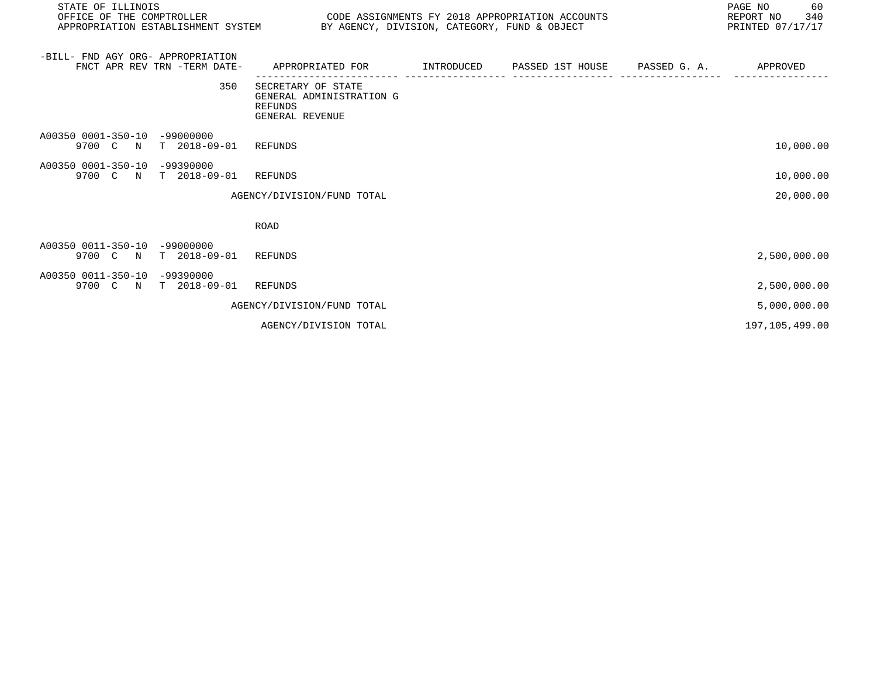| STATE OF ILLINOIS<br>OFFICE OF THE COMPTROLLER                    |                                                                                           | PAGE NO<br>REPORT NO 340<br>CODE ASSIGNMENTS FY 2018 APPROPRIATION ACCOUNTS<br>APPROPRIATION ESTABLISHMENT SYSTEM BY AGENCY, DIVISION, CATEGORY, FUND & OBJECT<br>PRINTED 07/17/17 |  |  |                |
|-------------------------------------------------------------------|-------------------------------------------------------------------------------------------|------------------------------------------------------------------------------------------------------------------------------------------------------------------------------------|--|--|----------------|
| -BILL- FND AGY ORG- APPROPRIATION<br>FNCT APR REV TRN -TERM DATE- | APPROPRIATED FOR        INTRODUCED     PASSED 1ST HOUSE     PASSED G. A.         APPROVED |                                                                                                                                                                                    |  |  |                |
| 350                                                               | SECRETARY OF STATE<br>GENERAL ADMINISTRATION G<br>REFUNDS<br>GENERAL REVENUE              |                                                                                                                                                                                    |  |  |                |
| A00350 0001-350-10 -99000000<br>9700 C N T 2018-09-01 REFUNDS     |                                                                                           |                                                                                                                                                                                    |  |  | 10,000.00      |
| A00350 0001-350-10 -99390000<br>9700 C N T 2018-09-01 REFUNDS     |                                                                                           |                                                                                                                                                                                    |  |  | 10,000.00      |
|                                                                   | AGENCY/DIVISION/FUND TOTAL                                                                |                                                                                                                                                                                    |  |  | 20,000.00      |
|                                                                   | <b>ROAD</b>                                                                               |                                                                                                                                                                                    |  |  |                |
| A00350 0011-350-10 -99000000<br>9700 C N T 2018-09-01 REFUNDS     |                                                                                           |                                                                                                                                                                                    |  |  | 2,500,000.00   |
| A00350 0011-350-10 -99390000<br>9700 C N T 2018-09-01 REFUNDS     |                                                                                           |                                                                                                                                                                                    |  |  | 2,500,000.00   |
|                                                                   | AGENCY/DIVISION/FUND TOTAL                                                                |                                                                                                                                                                                    |  |  | 5,000,000.00   |
|                                                                   | AGENCY/DIVISION TOTAL                                                                     |                                                                                                                                                                                    |  |  | 197,105,499.00 |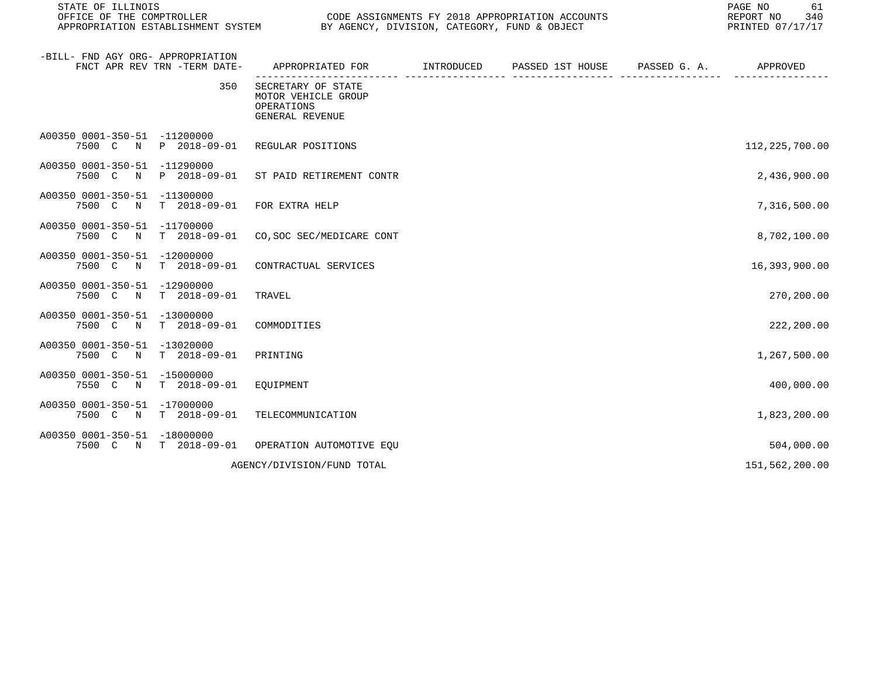| STATE OF ILLINOIS<br>OFFICE OF THE COMPTROLLER | APPROPRIATION ESTABLISHMENT SYSTEM | CODE ASSIGNMENTS FY 2018 APPROPRIATION ACCOUNTS<br>BY AGENCY, DIVISION, CATEGORY, FUND & OBJECT | PAGE NO<br>61<br>REPORT NO<br>340<br>PRINTED 07/17/17 |                  |              |                  |
|------------------------------------------------|------------------------------------|-------------------------------------------------------------------------------------------------|-------------------------------------------------------|------------------|--------------|------------------|
| -BILL- FND AGY ORG- APPROPRIATION              | FNCT APR REV TRN -TERM DATE-       | APPROPRIATED FOR                                                                                | INTRODUCED                                            | PASSED 1ST HOUSE | PASSED G. A. | APPROVED         |
|                                                | 350                                | SECRETARY OF STATE<br>MOTOR VEHICLE GROUP<br>OPERATIONS<br>GENERAL REVENUE                      |                                                       |                  |              |                  |
| A00350 0001-350-51 -11200000<br>7500 C N       | P 2018-09-01                       | REGULAR POSITIONS                                                                               |                                                       |                  |              | 112, 225, 700.00 |
| A00350 0001-350-51 -11290000<br>7500 C N       | P 2018-09-01                       | ST PAID RETIREMENT CONTR                                                                        |                                                       |                  |              | 2,436,900.00     |
| A00350 0001-350-51 -11300000<br>7500 C N       | $T = 2018 - 09 - 01$               | FOR EXTRA HELP                                                                                  |                                                       |                  |              | 7,316,500.00     |
| A00350 0001-350-51 -11700000<br>7500 C N       | $T = 2018 - 09 - 01$               | CO, SOC SEC/MEDICARE CONT                                                                       |                                                       |                  |              | 8,702,100.00     |
| A00350 0001-350-51<br>7500 C N                 | -12000000<br>$T = 2018 - 09 - 01$  | CONTRACTUAL SERVICES                                                                            |                                                       |                  |              | 16,393,900.00    |
| A00350 0001-350-51 -12900000<br>7500 C N       | $T = 2018 - 09 - 01$               | TRAVEL                                                                                          |                                                       |                  |              | 270,200.00       |
| A00350 0001-350-51 -13000000<br>7500 C N       | $T = 2018 - 09 - 01$               | COMMODITIES                                                                                     |                                                       |                  |              | 222,200.00       |
| A00350 0001-350-51 -13020000<br>7500 C N       | $T = 2018 - 09 - 01$               | PRINTING                                                                                        |                                                       |                  |              | 1,267,500.00     |
| A00350 0001-350-51 -15000000<br>7550 C N       | $T = 2018 - 09 - 01$               | EOUIPMENT                                                                                       |                                                       |                  |              | 400,000.00       |
| A00350 0001-350-51 -17000000<br>7500 C N       | T 2018-09-01                       | TELECOMMUNICATION                                                                               |                                                       |                  |              | 1,823,200.00     |
| A00350 0001-350-51 -18000000<br>7500 C N       | T 2018-09-01                       | OPERATION AUTOMOTIVE EQU                                                                        |                                                       |                  |              | 504,000.00       |
|                                                |                                    | AGENCY/DIVISION/FUND TOTAL                                                                      |                                                       |                  |              | 151,562,200.00   |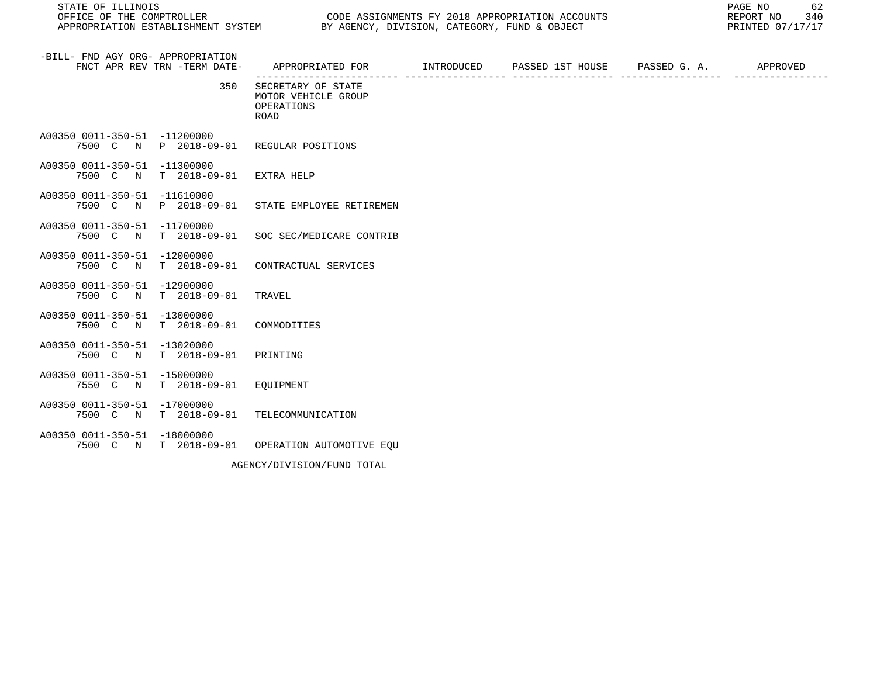STATE OF ILLINOIS PAGE NO 62 APPROPRIATION ESTABLISHMENT SYSTEM BY AGENCY, DIVISION, CATEGORY, FUND & OBJECT

| -BILL- FND AGY ORG- APPROPRIATION<br>FNCT APR REV TRN -TERM DATE-              | APPROPRIATED FOR      INTRODUCED   PASSED IST HOUSE   PASSED G. A. |  | APPROVED |
|--------------------------------------------------------------------------------|--------------------------------------------------------------------|--|----------|
| 350                                                                            | SECRETARY OF STATE<br>MOTOR VEHICLE GROUP<br>OPERATIONS<br>ROAD    |  |          |
| A00350 0011-350-51 -11200000<br>7500 C N P 2018-09-01 REGULAR POSITIONS        |                                                                    |  |          |
| A00350 0011-350-51 -11300000<br>7500 C N<br>$T = 2018 - 09 - 01$               | EXTRA HELP                                                         |  |          |
| A00350 0011-350-51 -11610000<br>7500 C N P 2018-09-01                          | STATE EMPLOYEE RETIREMEN                                           |  |          |
| A00350 0011-350-51 -11700000<br>7500 C N                                       | T 2018-09-01 SOC SEC/MEDICARE CONTRIB                              |  |          |
| A00350 0011-350-51 -12000000<br>7500 C N                                       | T 2018-09-01 CONTRACTUAL SERVICES                                  |  |          |
| A00350 0011-350-51 -12900000<br>7500 C N T 2018-09-01                          | TRAVEL                                                             |  |          |
| A00350 0011-350-51 -13000000<br>7500 C N<br>T 2018-09-01 COMMODITIES           |                                                                    |  |          |
| A00350 0011-350-51 -13020000<br>7500 C N<br>$T = 2018 - 09 - 01$               | PRINTING                                                           |  |          |
| A00350 0011-350-51 -15000000<br>7550 C N T 2018-09-01                          | EOUIPMENT                                                          |  |          |
| A00350 0011-350-51 -17000000<br>7500 C N                                       | T 2018-09-01 TELECOMMUNICATION                                     |  |          |
| A00350 0011-350-51 -18000000<br>7500 C N T 2018-09-01 OPERATION AUTOMOTIVE EOU |                                                                    |  |          |
|                                                                                | AGENCY/DIVISION/FUND TOTAL                                         |  |          |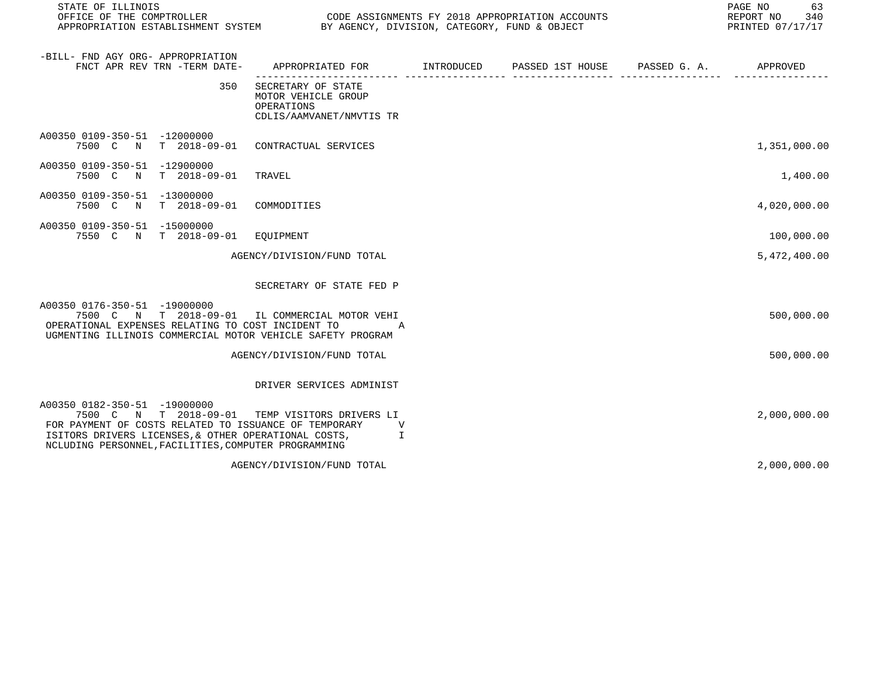| STATE OF ILLINOIS                                                                                                                                                                                     |     | OFFICE OF THE COMPTROLLER CODE ASSIGNMENTS FY 2018 APPROPRIATION ACCOUNTS<br>APPROPRIATION ESTABLISHMENT SYSTEM BY AGENCY, DIVISION, CATEGORY, FUND & OBJECT |  | PAGE NO 63<br>REPORT NO 340<br>PRINTED 07/17/17 |
|-------------------------------------------------------------------------------------------------------------------------------------------------------------------------------------------------------|-----|--------------------------------------------------------------------------------------------------------------------------------------------------------------|--|-------------------------------------------------|
| -BILL- FND AGY ORG- APPROPRIATION<br>FNCT APR REV TRN -TERM DATE-                                                                                                                                     |     | APPROPRIATED FOR         INTRODUCED      PASSED 1ST HOUSE     PASSED G. A.         APPROVED                                                                  |  |                                                 |
|                                                                                                                                                                                                       | 350 | SECRETARY OF STATE<br>MOTOR VEHICLE GROUP<br>OPERATIONS<br>CDLIS/AAMVANET/NMVTIS TR                                                                          |  |                                                 |
| A00350 0109-350-51 -12000000                                                                                                                                                                          |     | 7500 C N T 2018-09-01 CONTRACTUAL SERVICES                                                                                                                   |  | 1,351,000.00                                    |
| A00350 0109-350-51 -12900000<br>7500 C N T 2018-09-01                                                                                                                                                 |     | TRAVEL                                                                                                                                                       |  | 1,400.00                                        |
| A00350 0109-350-51 -13000000<br>7500 C N T 2018-09-01 COMMODITIES                                                                                                                                     |     |                                                                                                                                                              |  | 4,020,000.00                                    |
| A00350 0109-350-51 -15000000<br>7550 C N T 2018-09-01 EOUIPMENT                                                                                                                                       |     |                                                                                                                                                              |  | 100,000.00                                      |
|                                                                                                                                                                                                       |     | AGENCY/DIVISION/FUND TOTAL                                                                                                                                   |  | 5,472,400.00                                    |
|                                                                                                                                                                                                       |     | SECRETARY OF STATE FED P                                                                                                                                     |  |                                                 |
| A00350 0176-350-51 -19000000<br>OPERATIONAL EXPENSES RELATING TO COST INCIDENT TO                                                                                                                     |     | 7500 C N T 2018-09-01 IL COMMERCIAL MOTOR VEHI<br>A<br>UGMENTING ILLINOIS COMMERCIAL MOTOR VEHICLE SAFETY PROGRAM                                            |  | 500,000.00                                      |
|                                                                                                                                                                                                       |     | AGENCY/DIVISION/FUND TOTAL                                                                                                                                   |  | 500,000.00                                      |
|                                                                                                                                                                                                       |     | DRIVER SERVICES ADMINIST                                                                                                                                     |  |                                                 |
| A00350 0182-350-51 -19000000<br>FOR PAYMENT OF COSTS RELATED TO ISSUANCE OF TEMPORARY<br>ISITORS DRIVERS LICENSES, & OTHER OPERATIONAL COSTS,<br>NCLUDING PERSONNEL, FACILITIES, COMPUTER PROGRAMMING |     | 7500 C N T 2018-09-01 TEMP VISITORS DRIVERS LI<br>V<br>I.                                                                                                    |  | 2,000,000.00                                    |
|                                                                                                                                                                                                       |     | AGENCY/DIVISION/FUND TOTAL                                                                                                                                   |  | 2,000,000.00                                    |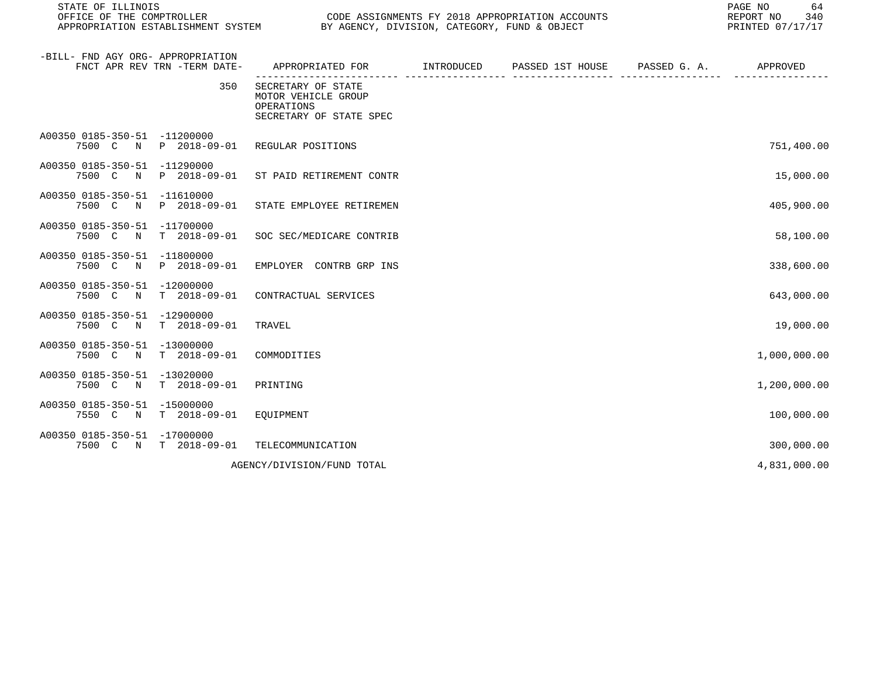| STATE OF ILLINOIS<br>OFFICE OF THE COMPTROLLER                    |                                   | APPROPRIATION ESTABLISHMENT SYSTEM BY AGENCY, DIVISION, CATEGORY, FUND & OBJECT    |            | CODE ASSIGNMENTS FY 2018 APPROPRIATION ACCOUNTS | PAGE NO<br>64<br>REPORT NO<br>340<br>PRINTED 07/17/17 |
|-------------------------------------------------------------------|-----------------------------------|------------------------------------------------------------------------------------|------------|-------------------------------------------------|-------------------------------------------------------|
| -BILL- FND AGY ORG- APPROPRIATION<br>FNCT APR REV TRN -TERM DATE- |                                   | APPROPRIATED FOR                                                                   | INTRODUCED | PASSED 1ST HOUSE PASSED G. A.                   | APPROVED                                              |
|                                                                   | 350                               | SECRETARY OF STATE<br>MOTOR VEHICLE GROUP<br>OPERATIONS<br>SECRETARY OF STATE SPEC |            |                                                 |                                                       |
| A00350 0185-350-51 -11200000<br>7500 C<br>$\mathbb N$             | P 2018-09-01                      | REGULAR POSITIONS                                                                  |            |                                                 | 751,400.00                                            |
| A00350 0185-350-51 -11290000<br>7500 C N                          | P 2018-09-01                      | ST PAID RETIREMENT CONTR                                                           |            |                                                 | 15,000.00                                             |
| A00350 0185-350-51 -11610000<br>7500 C<br>N                       | P 2018-09-01                      | STATE EMPLOYEE RETIREMEN                                                           |            |                                                 | 405,900.00                                            |
| A00350 0185-350-51 -11700000<br>7500 C N                          | T 2018-09-01                      | SOC SEC/MEDICARE CONTRIB                                                           |            |                                                 | 58,100.00                                             |
| A00350 0185-350-51 -11800000<br>7500 C<br>$\mathbb N$             | P 2018-09-01                      | EMPLOYER CONTRB GRP INS                                                            |            |                                                 | 338,600.00                                            |
| A00350 0185-350-51 -12000000<br>7500 C<br>$\mathbb N$             | $T = 2018 - 09 - 01$              | CONTRACTUAL SERVICES                                                               |            |                                                 | 643,000.00                                            |
| A00350 0185-350-51<br>7500 C<br>$\mathbb N$                       | -12900000<br>$T = 2018 - 09 - 01$ | TRAVEL                                                                             |            |                                                 | 19,000.00                                             |
| A00350 0185-350-51 -13000000<br>7500 C N                          | $T = 2018 - 09 - 01$              | COMMODITIES                                                                        |            |                                                 | 1,000,000.00                                          |
| A00350 0185-350-51 -13020000<br>7500 C N                          | $T = 2018 - 09 - 01$              | PRINTING                                                                           |            |                                                 | 1,200,000.00                                          |
| A00350 0185-350-51 -15000000<br>7550 C N                          | T 2018-09-01                      | EQUIPMENT                                                                          |            |                                                 | 100,000.00                                            |
| A00350 0185-350-51 -17000000<br>7500 C N T 2018-09-01             |                                   | TELECOMMUNICATION                                                                  |            |                                                 | 300,000.00                                            |
|                                                                   |                                   | AGENCY/DIVISION/FUND TOTAL                                                         |            |                                                 | 4,831,000.00                                          |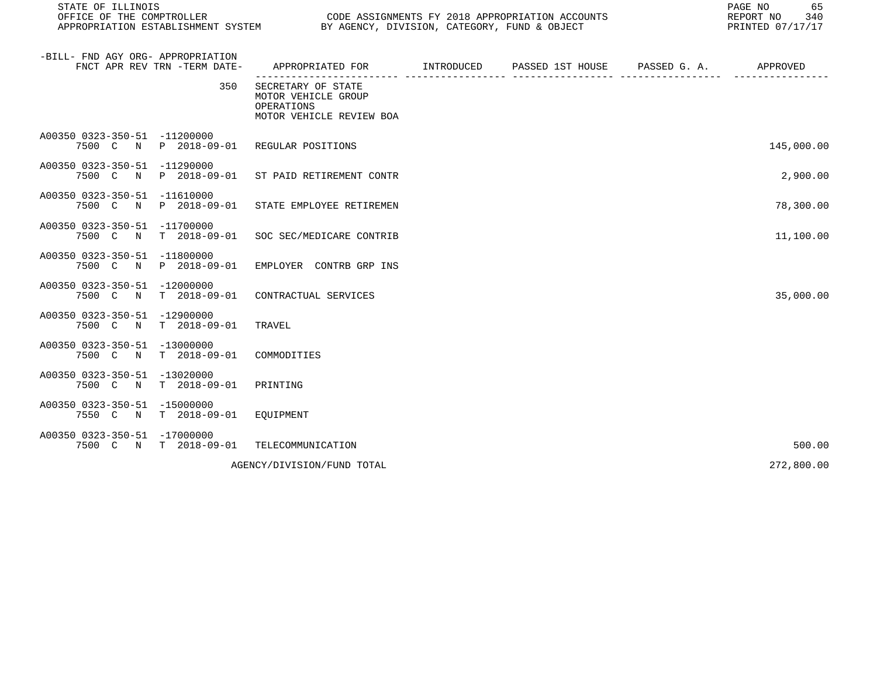| STATE OF ILLINOIS                                                                  |                                                                                            | PAGE NO<br>REPORT NO<br>PRINTED 07/17/17 |                             |              |            |  |
|------------------------------------------------------------------------------------|--------------------------------------------------------------------------------------------|------------------------------------------|-----------------------------|--------------|------------|--|
| -BILL- FND AGY ORG- APPROPRIATION<br>FNCT APR REV TRN -TERM DATE-                  | APPROPRIATED FOR                                                                           |                                          | INTRODUCED PASSED 1ST HOUSE | PASSED G. A. | APPROVED   |  |
|                                                                                    | 350<br>SECRETARY OF STATE<br>MOTOR VEHICLE GROUP<br>OPERATIONS<br>MOTOR VEHICLE REVIEW BOA |                                          |                             |              |            |  |
| A00350 0323-350-51 -11200000<br>P 2018-09-01<br>7500 C N                           | REGULAR POSITIONS                                                                          |                                          |                             |              | 145,000.00 |  |
| A00350 0323-350-51<br>$-11290000$<br>P 2018-09-01<br>7500 C<br>N                   | ST PAID RETIREMENT CONTR                                                                   |                                          |                             |              | 2,900.00   |  |
| A00350 0323-350-51 -11610000<br>7500 C N<br>P 2018-09-01                           | STATE EMPLOYEE RETIREMEN                                                                   |                                          |                             |              | 78,300.00  |  |
| A00350 0323-350-51 -11700000<br>$T$ 2018-09-01<br>7500 C N                         | SOC SEC/MEDICARE CONTRIB                                                                   |                                          |                             |              | 11,100.00  |  |
| A00350 0323-350-51 -11800000<br>P 2018-09-01<br>7500 C<br>$\mathbb N$              | EMPLOYER CONTRB GRP INS                                                                    |                                          |                             |              |            |  |
| A00350 0323-350-51 -12000000<br>7500 C N<br>$T = 2018 - 09 - 01$                   | CONTRACTUAL SERVICES                                                                       |                                          |                             |              | 35,000.00  |  |
| A00350 0323-350-51<br>$-12900000$<br>7500 C<br>$T = 2018 - 09 - 01$<br>$\mathbb N$ | TRAVEL                                                                                     |                                          |                             |              |            |  |
| A00350 0323-350-51 -13000000<br>$T = 2018 - 09 - 01$<br>7500 C N                   | COMMODITIES                                                                                |                                          |                             |              |            |  |
| A00350 0323-350-51<br>$-13020000$<br>7500 C N<br>$T = 2018 - 09 - 01$              | PRINTING                                                                                   |                                          |                             |              |            |  |
| A00350 0323-350-51 -15000000<br>7550 C N<br>T 2018-09-01                           | EQUIPMENT                                                                                  |                                          |                             |              |            |  |
| A00350 0323-350-51 -17000000<br>7500 C N T 2018-09-01                              | TELECOMMUNICATION                                                                          |                                          |                             |              | 500.00     |  |
|                                                                                    | AGENCY/DIVISION/FUND TOTAL                                                                 |                                          |                             |              | 272,800.00 |  |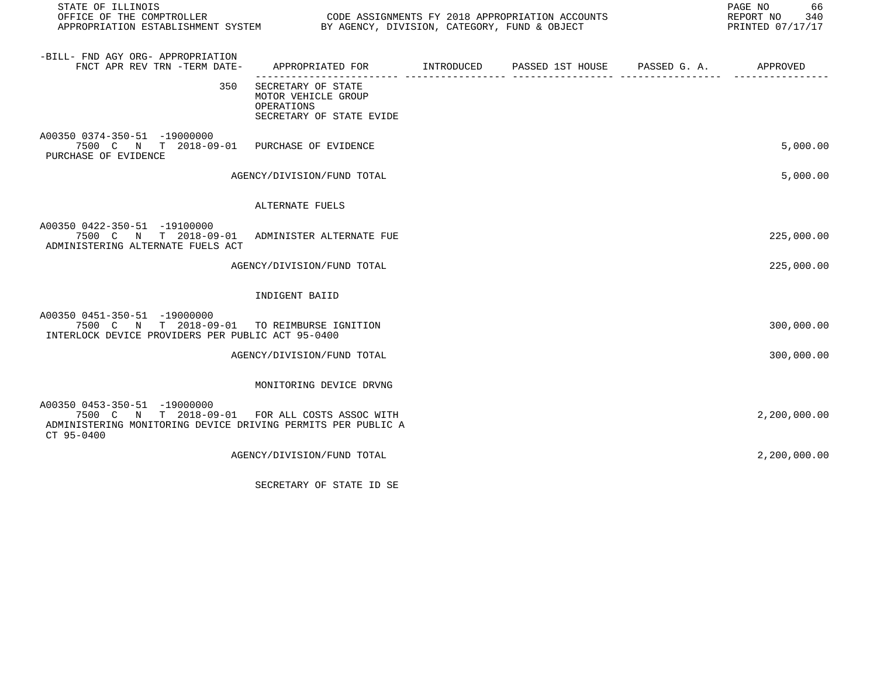| STATE OF ILLINOIS                                                                                                                                            |                                                                                            |  | 66<br>PAGE NO<br>REPORT NO 340<br>PRINTED 07/17/17 |
|--------------------------------------------------------------------------------------------------------------------------------------------------------------|--------------------------------------------------------------------------------------------|--|----------------------------------------------------|
| -BILL- FND AGY ORG- APPROPRIATION<br>FNCT APR REV TRN -TERM DATE-                                                                                            | APPROPRIATED FOR        INTRODUCED      PASSED 1ST HOUSE     PASSED G. A.         APPROVED |  |                                                    |
| 350                                                                                                                                                          | SECRETARY OF STATE<br>MOTOR VEHICLE GROUP<br>OPERATIONS<br>SECRETARY OF STATE EVIDE        |  |                                                    |
| A00350 0374-350-51 -19000000<br>7500 C N T 2018-09-01 PURCHASE OF EVIDENCE<br>PURCHASE OF EVIDENCE                                                           |                                                                                            |  | 5,000.00                                           |
|                                                                                                                                                              | AGENCY/DIVISION/FUND TOTAL                                                                 |  | 5,000.00                                           |
|                                                                                                                                                              | ALTERNATE FUELS                                                                            |  |                                                    |
| A00350 0422-350-51 -19100000<br>7500 C N T 2018-09-01 ADMINISTER ALTERNATE FUE<br>ADMINISTERING ALTERNATE FUELS ACT                                          |                                                                                            |  | 225,000.00                                         |
|                                                                                                                                                              | AGENCY/DIVISION/FUND TOTAL                                                                 |  | 225,000.00                                         |
|                                                                                                                                                              | INDIGENT BAIID                                                                             |  |                                                    |
| A00350 0451-350-51 -19000000<br>7500 C N T 2018-09-01 TO REIMBURSE IGNITION<br>INTERLOCK DEVICE PROVIDERS PER PUBLIC ACT 95-0400                             |                                                                                            |  | 300,000.00                                         |
|                                                                                                                                                              | AGENCY/DIVISION/FUND TOTAL                                                                 |  | 300,000.00                                         |
|                                                                                                                                                              | MONITORING DEVICE DRVNG                                                                    |  |                                                    |
| A00350 0453-350-51 -19000000<br>7500 C N T 2018-09-01 FOR ALL COSTS ASSOC WITH<br>ADMINISTERING MONITORING DEVICE DRIVING PERMITS PER PUBLIC A<br>CT 95-0400 |                                                                                            |  | 2,200,000.00                                       |
|                                                                                                                                                              | AGENCY/DIVISION/FUND TOTAL                                                                 |  | 2,200,000.00                                       |
|                                                                                                                                                              | SECRETARY OF STATE ID SE                                                                   |  |                                                    |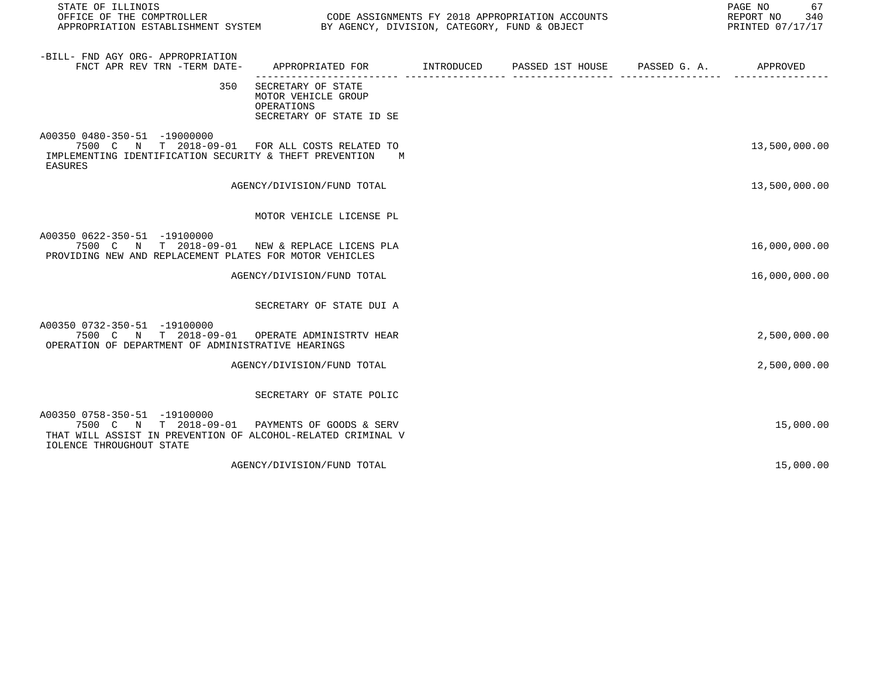| STATE OF ILLINOIS<br>OFFICE OF THE COMPTROLLER CONDUCTER CODE ASSIGNMENTS FY 2018 APPROPRIATION ACCOUNTS<br>APPROPRIATION ESTABLISHMENT SYSTEM BY AGENCY, DIVISION, CATEGORY, FUND & OBJECT |                                                                                     |                   |                                        | PAGE NO<br>67<br>REPORT NO<br>340<br>PRINTED 07/17/17 |
|---------------------------------------------------------------------------------------------------------------------------------------------------------------------------------------------|-------------------------------------------------------------------------------------|-------------------|----------------------------------------|-------------------------------------------------------|
| -BILL- FND AGY ORG- APPROPRIATION<br>FNCT APR REV TRN -TERM DATE-                                                                                                                           | APPROPRIATED FOR                                                                    | <b>INTRODUCED</b> | PASSED 1ST HOUSE PASSED G. A. APPROVED |                                                       |
| 350                                                                                                                                                                                         | SECRETARY OF STATE<br>MOTOR VEHICLE GROUP<br>OPERATIONS<br>SECRETARY OF STATE ID SE |                   |                                        |                                                       |
| A00350 0480-350-51 -19000000<br>7500 C N T 2018-09-01<br>IMPLEMENTING IDENTIFICATION SECURITY & THEFT PREVENTION<br>EASURES                                                                 | FOR ALL COSTS RELATED TO<br>M                                                       |                   |                                        | 13,500,000.00                                         |
|                                                                                                                                                                                             | AGENCY/DIVISION/FUND TOTAL                                                          |                   |                                        | 13,500,000.00                                         |
|                                                                                                                                                                                             | MOTOR VEHICLE LICENSE PL                                                            |                   |                                        |                                                       |
| A00350 0622-350-51 -19100000<br>7500 C N T 2018-09-01<br>PROVIDING NEW AND REPLACEMENT PLATES FOR MOTOR VEHICLES                                                                            | NEW & REPLACE LICENS PLA                                                            |                   |                                        | 16,000,000.00                                         |
|                                                                                                                                                                                             | AGENCY/DIVISION/FUND TOTAL                                                          |                   |                                        | 16,000,000.00                                         |
|                                                                                                                                                                                             | SECRETARY OF STATE DUI A                                                            |                   |                                        |                                                       |
| A00350 0732-350-51 -19100000<br>7500 C N T 2018-09-01<br>OPERATION OF DEPARTMENT OF ADMINISTRATIVE HEARINGS                                                                                 | OPERATE ADMINISTRTV HEAR                                                            |                   |                                        | 2,500,000.00                                          |
|                                                                                                                                                                                             | AGENCY/DIVISION/FUND TOTAL                                                          |                   |                                        | 2,500,000.00                                          |
|                                                                                                                                                                                             | SECRETARY OF STATE POLIC                                                            |                   |                                        |                                                       |
| A00350 0758-350-51 -19100000<br>7500 C N T 2018-09-01<br>THAT WILL ASSIST IN PREVENTION OF ALCOHOL-RELATED CRIMINAL V<br><b>IOLENCE THROUGHOUT STATE</b>                                    | PAYMENTS OF GOODS & SERV                                                            |                   |                                        | 15,000.00                                             |
|                                                                                                                                                                                             | AGENCY/DIVISION/FUND TOTAL                                                          |                   |                                        | 15,000.00                                             |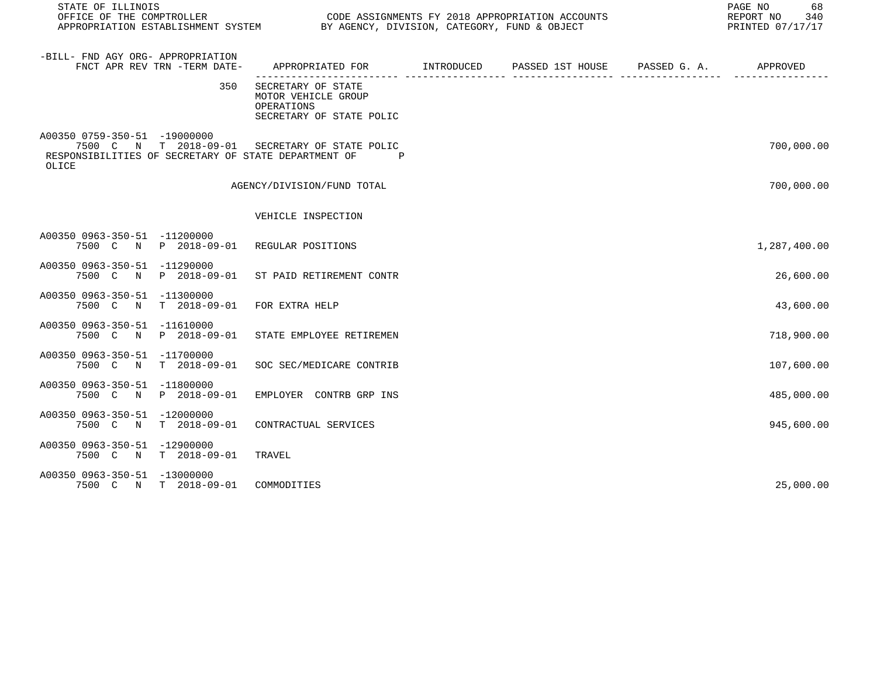| STATE OF ILLINOIS<br>OFFICE OF THE COMPTROLLER |                              | APPROPRIATION ESTABLISHMENT SYSTEM BY AGENCY, DIVISION, CATEGORY, FUND & OBJECT                                       | CODE ASSIGNMENTS FY 2018 APPROPRIATION ACCOUNTS | PAGE NO<br>68<br>REPORT NO<br>340<br>PRINTED 07/17/17 |
|------------------------------------------------|------------------------------|-----------------------------------------------------------------------------------------------------------------------|-------------------------------------------------|-------------------------------------------------------|
| -BILL- FND AGY ORG- APPROPRIATION              | FNCT APR REV TRN -TERM DATE- | APPROPRIATED FOR INTRODUCED                                                                                           | PASSED 1ST HOUSE PASSED G. A.                   | APPROVED                                              |
|                                                | 350                          | SECRETARY OF STATE<br>MOTOR VEHICLE GROUP<br>OPERATIONS<br>SECRETARY OF STATE POLIC                                   |                                                 |                                                       |
| A00350 0759-350-51 -19000000<br>OLICE          |                              | 7500 C N T 2018-09-01 SECRETARY OF STATE POLIC<br>RESPONSIBILITIES OF SECRETARY OF STATE DEPARTMENT OF<br>$\mathbb P$ |                                                 | 700,000.00                                            |
|                                                |                              | AGENCY/DIVISION/FUND TOTAL                                                                                            |                                                 | 700,000.00                                            |
|                                                |                              | VEHICLE INSPECTION                                                                                                    |                                                 |                                                       |
| A00350 0963-350-51 -11200000                   |                              | 7500 C N P 2018-09-01 REGULAR POSITIONS                                                                               |                                                 | 1,287,400.00                                          |
| A00350 0963-350-51 -11290000                   | 7500 C N P 2018-09-01        | ST PAID RETIREMENT CONTR                                                                                              |                                                 | 26,600.00                                             |
| A00350 0963-350-51 -11300000                   | 7500 C N T 2018-09-01        | FOR EXTRA HELP                                                                                                        |                                                 | 43,600.00                                             |
| A00350 0963-350-51 -11610000                   | 7500 C N P 2018-09-01        | STATE EMPLOYEE RETIREMEN                                                                                              |                                                 | 718,900.00                                            |
| A00350 0963-350-51 -11700000                   |                              | 7500 C N T 2018-09-01 SOC SEC/MEDICARE CONTRIB                                                                        |                                                 | 107,600.00                                            |
| A00350 0963-350-51 -11800000                   | 7500 C N P 2018-09-01        | EMPLOYER CONTRB GRP INS                                                                                               |                                                 | 485,000.00                                            |
| A00350 0963-350-51 -12000000                   | 7500 C N T 2018-09-01        | CONTRACTUAL SERVICES                                                                                                  |                                                 | 945,600.00                                            |
| A00350 0963-350-51 -12900000                   | 7500 C N T 2018-09-01        | TRAVEL                                                                                                                |                                                 |                                                       |
| A00350 0963-350-51 -13000000                   | 7500 C N T 2018-09-01        | COMMODITIES                                                                                                           |                                                 | 25,000.00                                             |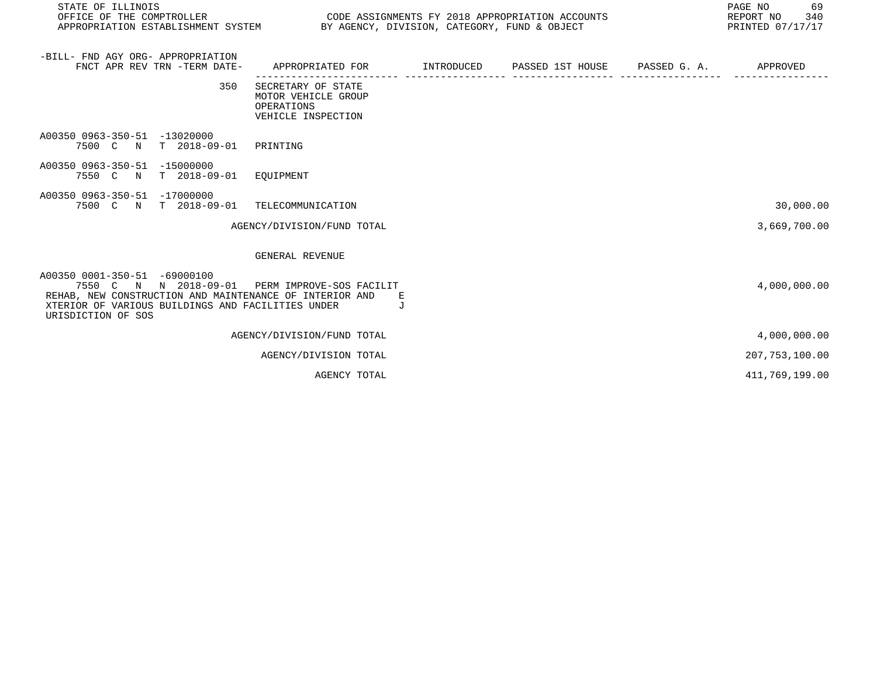| STATE OF ILLINOIS                                                                                                                                                                                                      |                                                                                                           |                                                                                                                 |   |                                                                                           | PAGE NO 69<br>REPORT NO 340<br>PRINTED 07/17/17 |
|------------------------------------------------------------------------------------------------------------------------------------------------------------------------------------------------------------------------|-----------------------------------------------------------------------------------------------------------|-----------------------------------------------------------------------------------------------------------------|---|-------------------------------------------------------------------------------------------|-------------------------------------------------|
| -BILL- FND AGY ORG- APPROPRIATION<br>FNCT APR REV TRN -TERM DATE-                                                                                                                                                      |                                                                                                           |                                                                                                                 |   | APPROPRIATED FOR        INTRODUCED     PASSED 1ST HOUSE     PASSED G. A.         APPROVED |                                                 |
| 350                                                                                                                                                                                                                    | ------------------ -----<br>SECRETARY OF STATE<br>MOTOR VEHICLE GROUP<br>OPERATIONS<br>VEHICLE INSPECTION |                                                                                                                 | . |                                                                                           |                                                 |
| A00350 0963-350-51 -13020000<br>7500 C N T 2018-09-01 PRINTING                                                                                                                                                         |                                                                                                           |                                                                                                                 |   |                                                                                           |                                                 |
| A00350 0963-350-51 -15000000<br>7550 C N T 2018-09-01 EQUIPMENT                                                                                                                                                        |                                                                                                           |                                                                                                                 |   |                                                                                           |                                                 |
| A00350 0963-350-51 -17000000<br>7500 C N T 2018-09-01 TELECOMMUNICATION                                                                                                                                                |                                                                                                           |                                                                                                                 |   |                                                                                           | 30,000.00                                       |
|                                                                                                                                                                                                                        | AGENCY/DIVISION/FUND TOTAL                                                                                |                                                                                                                 |   |                                                                                           | 3,669,700.00                                    |
|                                                                                                                                                                                                                        | GENERAL REVENUE                                                                                           |                                                                                                                 |   |                                                                                           |                                                 |
| A00350 0001-350-51 -69000100<br>7550 C N N 2018-09-01 PERM IMPROVE-SOS FACILIT<br>REHAB, NEW CONSTRUCTION AND MAINTENANCE OF INTERIOR AND E<br>XTERIOR OF VARIOUS BUILDINGS AND FACILITIES UNDER<br>URISDICTION OF SOS |                                                                                                           | and the state of the state of the state of the state of the state of the state of the state of the state of the |   |                                                                                           | 4,000,000.00                                    |
|                                                                                                                                                                                                                        | AGENCY/DIVISION/FUND TOTAL                                                                                |                                                                                                                 |   |                                                                                           | 4,000,000.00                                    |
|                                                                                                                                                                                                                        | AGENCY/DIVISION TOTAL                                                                                     |                                                                                                                 |   |                                                                                           | 207, 753, 100.00                                |
|                                                                                                                                                                                                                        | AGENCY TOTAL                                                                                              |                                                                                                                 |   |                                                                                           | 411,769,199.00                                  |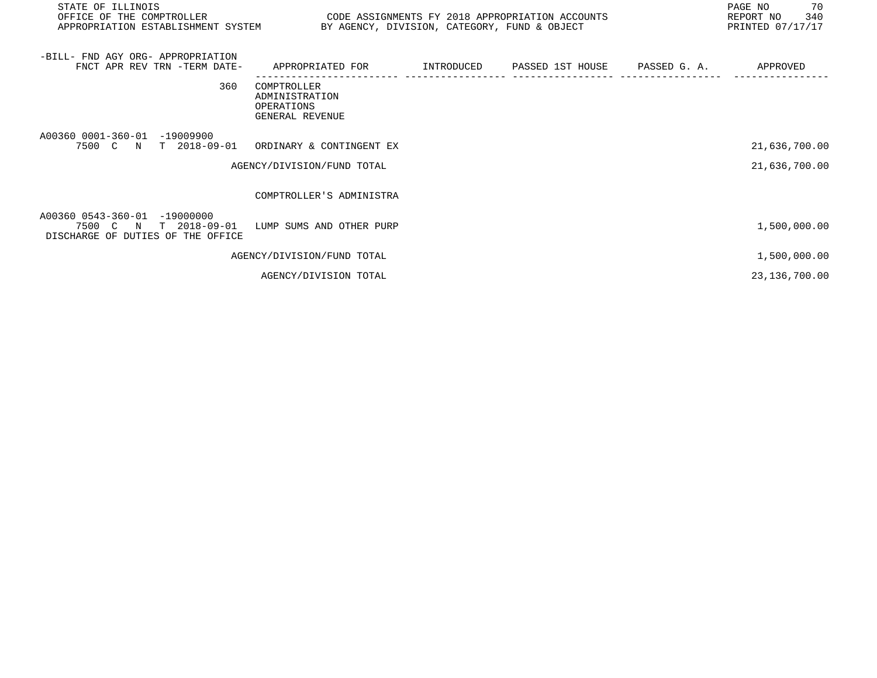| STATE OF ILLINOIS<br>OFFICE OF THE COMPTROLLER<br>APPROPRIATION ESTABLISHMENT SYSTEM BY AGENCY, DIVISION, CATEGORY, FUND & OBJECT | CODE ASSIGNMENTS FY 2018 APPROPRIATION ACCOUNTS                |                               | 70<br>PAGE NO<br>REPORT NO 340<br>PRINTED 07/17/17 |
|-----------------------------------------------------------------------------------------------------------------------------------|----------------------------------------------------------------|-------------------------------|----------------------------------------------------|
| -BILL- FND AGY ORG- APPROPRIATION<br>FNCT APR REV TRN -TERM DATE-                                                                 | APPROPRIATED FOR TNTRODUCED                                    | PASSED 1ST HOUSE PASSED G. A. | APPROVED                                           |
| 360                                                                                                                               | COMPTROLLER<br>ADMINISTRATION<br>OPERATIONS<br>GENERAL REVENUE |                               |                                                    |
| A00360 0001-360-01<br>$-19009900$<br>7500 C N T 2018-09-01 ORDINARY & CONTINGENT EX                                               | AGENCY/DIVISION/FUND TOTAL                                     |                               | 21,636,700.00<br>21,636,700.00                     |
|                                                                                                                                   | COMPTROLLER'S ADMINISTRA                                       |                               |                                                    |
| A00360 0543-360-01 -19000000<br>7500 C N T 2018-09-01<br>DISCHARGE OF DUTIES OF THE OFFICE                                        | LUMP SUMS AND OTHER PURP                                       |                               | 1,500,000.00                                       |
|                                                                                                                                   | AGENCY/DIVISION/FUND TOTAL                                     |                               | 1,500,000.00                                       |
|                                                                                                                                   | AGENCY/DIVISION TOTAL                                          |                               | 23, 136, 700.00                                    |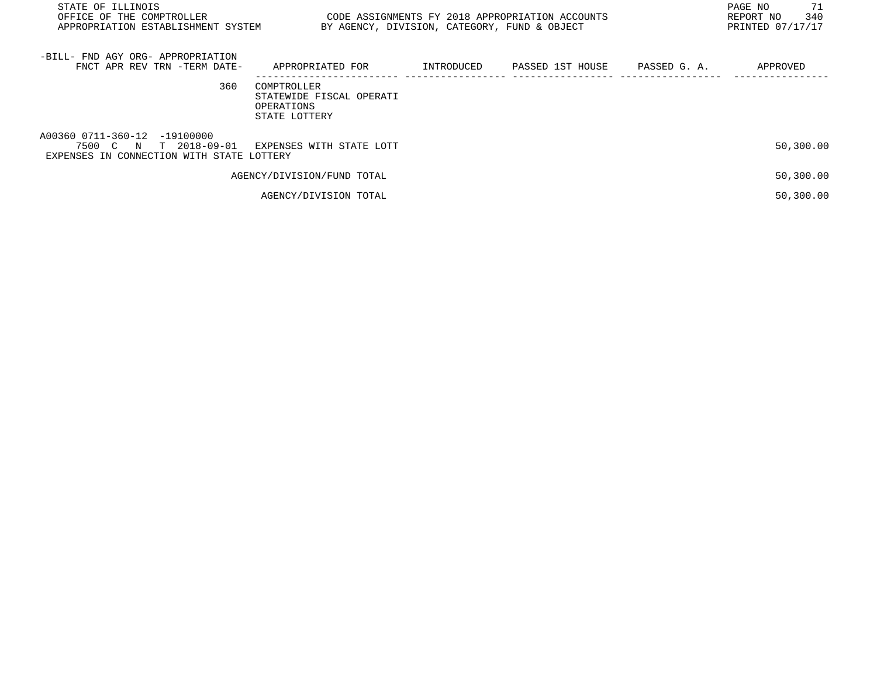| STATE OF ILLINOIS<br>OFFICE OF THE COMPTROLLER<br>APPROPRIATION ESTABLISHMENT SYSTEM               | CODE ASSIGNMENTS FY 2018 APPROPRIATION ACCOUNTS<br>BY AGENCY, DIVISION, CATEGORY, FUND & OBJECT |            |                  |              | 71<br>PAGE NO<br>340<br>REPORT NO<br>PRINTED 07/17/17 |
|----------------------------------------------------------------------------------------------------|-------------------------------------------------------------------------------------------------|------------|------------------|--------------|-------------------------------------------------------|
| -BILL- FND AGY ORG- APPROPRIATION<br>FNCT APR REV TRN -TERM DATE-                                  | APPROPRIATED FOR                                                                                | INTRODUCED | PASSED 1ST HOUSE | PASSED G. A. | APPROVED                                              |
| 360                                                                                                | COMPTROLLER<br>STATEWIDE FISCAL OPERATI<br>OPERATIONS<br>STATE LOTTERY                          |            |                  |              |                                                       |
| A00360 0711-360-12 -19100000<br>7500 C N T 2018-09-01<br>EXPENSES IN CONNECTION WITH STATE LOTTERY | EXPENSES WITH STATE LOTT                                                                        |            |                  |              | 50,300.00                                             |
|                                                                                                    | AGENCY/DIVISION/FUND TOTAL                                                                      |            |                  |              | 50,300.00                                             |
|                                                                                                    | AGENCY/DIVISION TOTAL                                                                           |            |                  |              | 50,300.00                                             |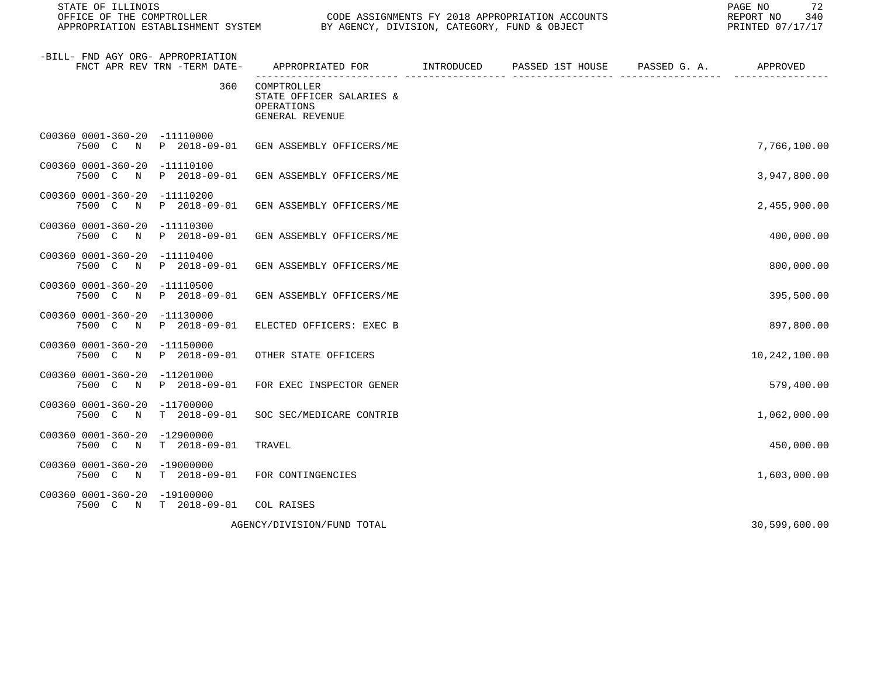STATE OF ILLINOIS PAGE NO 72

CODE ASSIGNMENTS FY 2018 APPROPRIATION ACCOUNTS FOR THE REPORT NO 340 REPORT NO 340 SAN AGENCY, DIVISION, CATEGORY, FUND & OBJECT APPROPRIATION ESTABLISHMENT SYSTEM BY AGENCY, DIVISION, CATEGORY, FUND & OBJECT

| -BILL- FND AGY ORG- APPROPRIATION<br>FNCT APR REV TRN -TERM DATE-            | APPROPRIATED FOR                                                         | INTRODUCED | PASSED 1ST HOUSE | PASSED G. A. | APPROVED      |
|------------------------------------------------------------------------------|--------------------------------------------------------------------------|------------|------------------|--------------|---------------|
| 360                                                                          | COMPTROLLER<br>STATE OFFICER SALARIES &<br>OPERATIONS<br>GENERAL REVENUE |            |                  |              |               |
| C00360 0001-360-20<br>-11110000<br>P 2018-09-01<br>7500 C<br>N               | GEN ASSEMBLY OFFICERS/ME                                                 |            |                  |              | 7,766,100.00  |
| C00360 0001-360-20<br>$-11110100$<br>P 2018-09-01<br>7500 C N                | GEN ASSEMBLY OFFICERS/ME                                                 |            |                  |              | 3,947,800.00  |
| C00360 0001-360-20<br>$-11110200$<br>7500 C N<br>P 2018-09-01                | GEN ASSEMBLY OFFICERS/ME                                                 |            |                  |              | 2,455,900.00  |
| C00360 0001-360-20<br>-11110300<br>P 2018-09-01<br>7500 C<br>$\mathbb N$     | GEN ASSEMBLY OFFICERS/ME                                                 |            |                  |              | 400,000.00    |
| C00360 0001-360-20<br>-11110400<br>7500 C N<br>P 2018-09-01                  | GEN ASSEMBLY OFFICERS/ME                                                 |            |                  |              | 800,000.00    |
| C00360 0001-360-20<br>$-11110500$<br>$P$ 2018-09-01<br>7500 C<br>$\mathbb N$ | GEN ASSEMBLY OFFICERS/ME                                                 |            |                  |              | 395,500.00    |
| C00360 0001-360-20<br>$-11130000$<br>7500 C<br>P 2018-09-01<br>$\mathbb N$   | ELECTED OFFICERS: EXEC B                                                 |            |                  |              | 897,800.00    |
| C00360 0001-360-20<br>$-11150000$<br>P 2018-09-01<br>7500 C N                | OTHER STATE OFFICERS                                                     |            |                  |              | 10,242,100.00 |
| C00360 0001-360-20<br>-11201000<br>P 2018-09-01<br>7500 C<br>N               | FOR EXEC INSPECTOR GENER                                                 |            |                  |              | 579,400.00    |
| C00360 0001-360-20<br>$-11700000$<br>7500 C N<br>$T = 2018 - 09 - 01$        | SOC SEC/MEDICARE CONTRIB                                                 |            |                  |              | 1,062,000.00  |
| C00360 0001-360-20<br>$-12900000$<br>7500 C N<br>$T = 2018 - 09 - 01$        | TRAVEL                                                                   |            |                  |              | 450,000.00    |
| C00360 0001-360-20<br>$-19000000$<br>7500 C N<br>$T = 2018 - 09 - 01$        | FOR CONTINGENCIES                                                        |            |                  |              | 1,603,000.00  |
| C00360 0001-360-20<br>$-19100000$<br>$T$ 2018-09-01<br>7500 C N              | COL RAISES                                                               |            |                  |              |               |
|                                                                              | AGENCY/DIVISION/FUND TOTAL                                               |            |                  |              | 30,599,600.00 |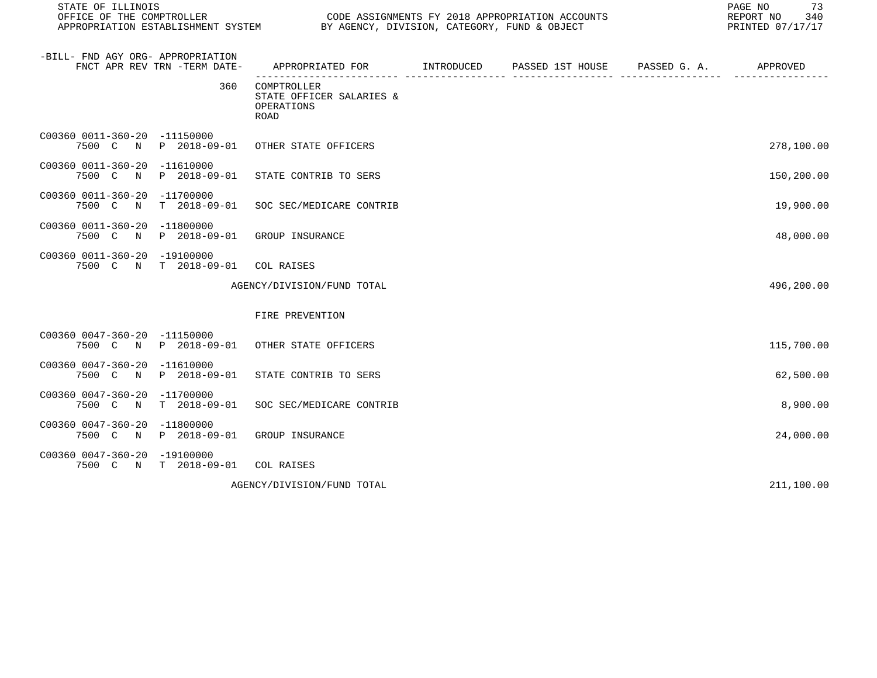| STATE OF ILLINOIS<br>OFFICE OF THE COMPTROLLER<br>APPROPRIATION ESTABLISHMENT SYSTEM |                              |                                                                      | CODE ASSIGNMENTS FY 2018 APPROPRIATION ACCOUNTS<br>BY AGENCY, DIVISION, CATEGORY, FUND & OBJECT |                               |  |            |  |
|--------------------------------------------------------------------------------------|------------------------------|----------------------------------------------------------------------|-------------------------------------------------------------------------------------------------|-------------------------------|--|------------|--|
| -BILL- FND AGY ORG- APPROPRIATION                                                    | FNCT APR REV TRN -TERM DATE- | APPROPRIATED FOR                                                     | INTRODUCED                                                                                      | PASSED 1ST HOUSE PASSED G. A. |  | APPROVED   |  |
|                                                                                      | 360                          | COMPTROLLER<br>STATE OFFICER SALARIES &<br>OPERATIONS<br><b>ROAD</b> |                                                                                                 |                               |  |            |  |
| C00360 0011-360-20 -11150000                                                         | 7500 C N P 2018-09-01        | OTHER STATE OFFICERS                                                 |                                                                                                 |                               |  | 278,100.00 |  |
| C00360 0011-360-20 -11610000<br>7500 C N                                             | P 2018-09-01                 | STATE CONTRIB TO SERS                                                |                                                                                                 |                               |  | 150,200.00 |  |
| C00360 0011-360-20 -11700000<br>7500 C N                                             | $T = 2018 - 09 - 01$         | SOC SEC/MEDICARE CONTRIB                                             |                                                                                                 |                               |  | 19,900.00  |  |
| C00360 0011-360-20 -11800000<br>7500 C                                               | N P 2018-09-01               | GROUP INSURANCE                                                      |                                                                                                 |                               |  | 48,000.00  |  |
| C00360 0011-360-20 -19100000                                                         | 7500 C N T 2018-09-01        | COL RAISES                                                           |                                                                                                 |                               |  |            |  |
|                                                                                      |                              | AGENCY/DIVISION/FUND TOTAL                                           |                                                                                                 |                               |  | 496,200.00 |  |
|                                                                                      |                              | FIRE PREVENTION                                                      |                                                                                                 |                               |  |            |  |
| C00360 0047-360-20 -11150000                                                         | 7500 C N P 2018-09-01        | OTHER STATE OFFICERS                                                 |                                                                                                 |                               |  | 115,700.00 |  |
| C00360 0047-360-20 -11610000<br>7500 C N                                             | P 2018-09-01                 | STATE CONTRIB TO SERS                                                |                                                                                                 |                               |  | 62,500.00  |  |
| C00360 0047-360-20 -11700000<br>7500 C N                                             | $T = 2018 - 09 - 01$         | SOC SEC/MEDICARE CONTRIB                                             |                                                                                                 |                               |  | 8,900.00   |  |
| C00360 0047-360-20 -11800000                                                         | 7500 C N P 2018-09-01        | GROUP INSURANCE                                                      |                                                                                                 |                               |  | 24,000.00  |  |
| C00360 0047-360-20 -19100000                                                         | 7500 C N T 2018-09-01        | COL RAISES                                                           |                                                                                                 |                               |  |            |  |
|                                                                                      |                              | AGENCY/DIVISION/FUND TOTAL                                           |                                                                                                 |                               |  | 211,100.00 |  |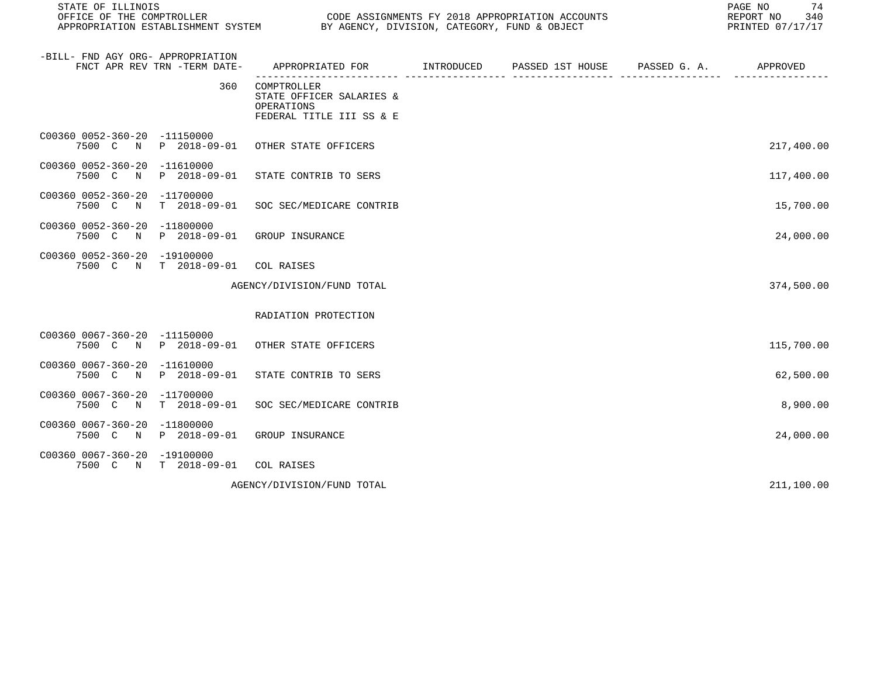| STATE OF ILLINOIS<br>OFFICE OF THE COMPTROLLER        |                                  | APPROPRIATION ESTABLISHMENT SYSTEM BY AGENCY, DIVISION, CATEGORY, FUND & OBJECT           | CODE ASSIGNMENTS FY 2018 APPROPRIATION ACCOUNTS | 74<br>PAGE NO<br>REPORT NO<br>340<br>PRINTED 07/17/17 |
|-------------------------------------------------------|----------------------------------|-------------------------------------------------------------------------------------------|-------------------------------------------------|-------------------------------------------------------|
| -BILL- FND AGY ORG- APPROPRIATION                     | FNCT APR REV TRN -TERM DATE-     | APPROPRIATED FOR        INTRODUCED     PASSED 1ST HOUSE     PASSED G. A.         APPROVED |                                                 |                                                       |
|                                                       | 360                              | COMPTROLLER<br>STATE OFFICER SALARIES &<br>OPERATIONS<br>FEDERAL TITLE III SS & E         |                                                 |                                                       |
| C00360 0052-360-20 -11150000                          |                                  | 7500 C N P 2018-09-01 OTHER STATE OFFICERS                                                |                                                 | 217,400.00                                            |
| C00360 0052-360-20 -11610000<br>7500 C<br>$\mathbb N$ | P 2018-09-01                     | STATE CONTRIB TO SERS                                                                     |                                                 | 117,400.00                                            |
| C00360 0052-360-20 -11700000<br>7500 C N              | T 2018-09-01                     | SOC SEC/MEDICARE CONTRIB                                                                  |                                                 | 15,700.00                                             |
| C00360 0052-360-20 -11800000                          | 7500 C N P 2018-09-01            | GROUP INSURANCE                                                                           |                                                 | 24,000.00                                             |
| C00360 0052-360-20 -19100000                          | 7500 C N T 2018-09-01 COL RAISES |                                                                                           |                                                 |                                                       |
|                                                       |                                  | AGENCY/DIVISION/FUND TOTAL                                                                |                                                 | 374,500.00                                            |
|                                                       |                                  | RADIATION PROTECTION                                                                      |                                                 |                                                       |
| C00360 0067-360-20 -11150000                          |                                  | 7500 C N P 2018-09-01 OTHER STATE OFFICERS                                                |                                                 | 115,700.00                                            |
| C00360 0067-360-20 -11610000                          | 7500 C N P 2018-09-01            | STATE CONTRIB TO SERS                                                                     |                                                 | 62,500.00                                             |
| C00360 0067-360-20 -11700000<br>7500 C N              | $T = 2018 - 09 - 01$             | SOC SEC/MEDICARE CONTRIB                                                                  |                                                 | 8,900.00                                              |
| C00360 0067-360-20 -11800000<br>7500 C N              | P 2018-09-01                     | GROUP INSURANCE                                                                           |                                                 | 24,000.00                                             |
| C00360 0067-360-20 -19100000                          | 7500 C N T 2018-09-01 COL RAISES |                                                                                           |                                                 |                                                       |
|                                                       |                                  | AGENCY/DIVISION/FUND TOTAL                                                                |                                                 | 211,100.00                                            |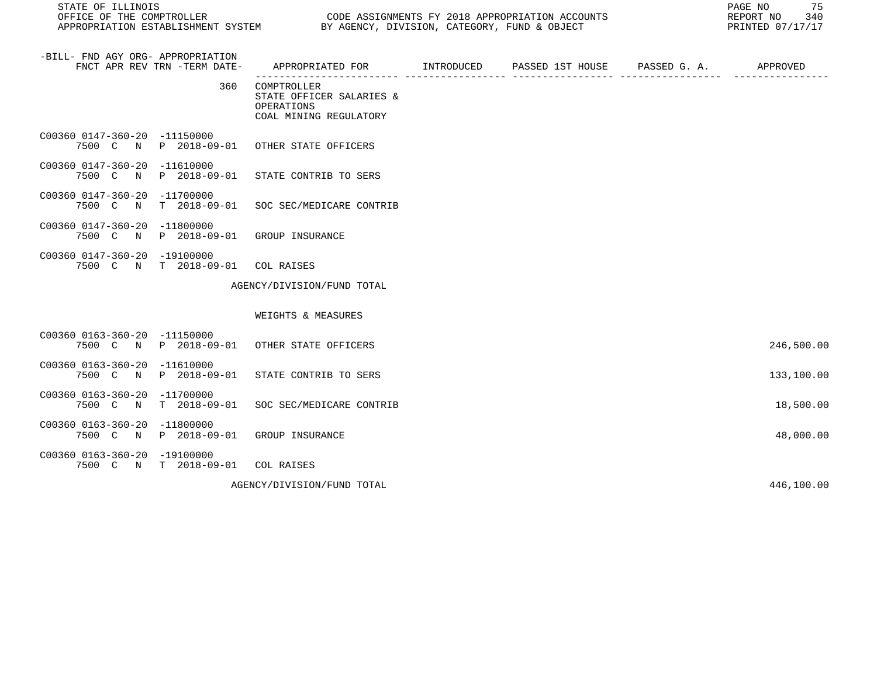STATE OF ILLINOIS PAGE NO 75 APPROPRIATION ESTABLISHMENT SYSTEM BY AGENCY, DIVISION, CATEGORY, FUND & OBJECT

CODE ASSIGNMENTS FY 2018 APPROPRIATION ACCOUNTS FOR THE REPORT NO 340 (2018)<br>BY AGENCY, DIVISION, CATEGORY, FUND & OBJECT FOR REPORT THE PRINTED 07/17/17

| -BILL- FND AGY ORG- APPROPRIATION<br>FNCT APR REV TRN -TERM DATE-     | APPROPRIATED FOR INTRODUCED                                                            | PASSED 1ST HOUSE PASSED G. A. | APPROVED   |
|-----------------------------------------------------------------------|----------------------------------------------------------------------------------------|-------------------------------|------------|
|                                                                       | 360<br>COMPTROLLER<br>STATE OFFICER SALARIES &<br>OPERATIONS<br>COAL MINING REGULATORY |                               |            |
| C00360 0147-360-20 -11150000<br>7500 C N<br>P 2018-09-01              | OTHER STATE OFFICERS                                                                   |                               |            |
| C00360 0147-360-20 -11610000<br>7500 C<br>P 2018-09-01<br>$\mathbb N$ | STATE CONTRIB TO SERS                                                                  |                               |            |
| C00360 0147-360-20<br>-11700000<br>$T = 2018 - 09 - 01$<br>7500 C N   | SOC SEC/MEDICARE CONTRIB                                                               |                               |            |
| C00360 0147-360-20<br>$-11800000$<br>7500 C N<br>P 2018-09-01         | GROUP INSURANCE                                                                        |                               |            |
| C00360 0147-360-20 -19100000<br>7500 C N<br>$T$ 2018-09-01            | COL RAISES                                                                             |                               |            |
|                                                                       | AGENCY/DIVISION/FUND TOTAL                                                             |                               |            |
|                                                                       | WEIGHTS & MEASURES                                                                     |                               |            |
| C00360 0163-360-20 -11150000<br>P 2018-09-01<br>7500 C N              | OTHER STATE OFFICERS                                                                   |                               | 246,500.00 |
| C00360 0163-360-20<br>-11610000<br>P 2018-09-01<br>7500 C N           | STATE CONTRIB TO SERS                                                                  |                               | 133,100.00 |
| C00360 0163-360-20<br>$-11700000$<br>$T = 2018 - 09 - 01$<br>7500 C N | SOC SEC/MEDICARE CONTRIB                                                               |                               | 18,500.00  |
| C00360 0163-360-20<br>$-11800000$<br>P 2018-09-01<br>7500 C N         | GROUP INSURANCE                                                                        |                               | 48,000.00  |
| C00360 0163-360-20 -19100000<br>7500 C N T 2018-09-01                 | COL RAISES                                                                             |                               |            |
|                                                                       | AGENCY/DIVISION/FUND TOTAL                                                             |                               | 446,100.00 |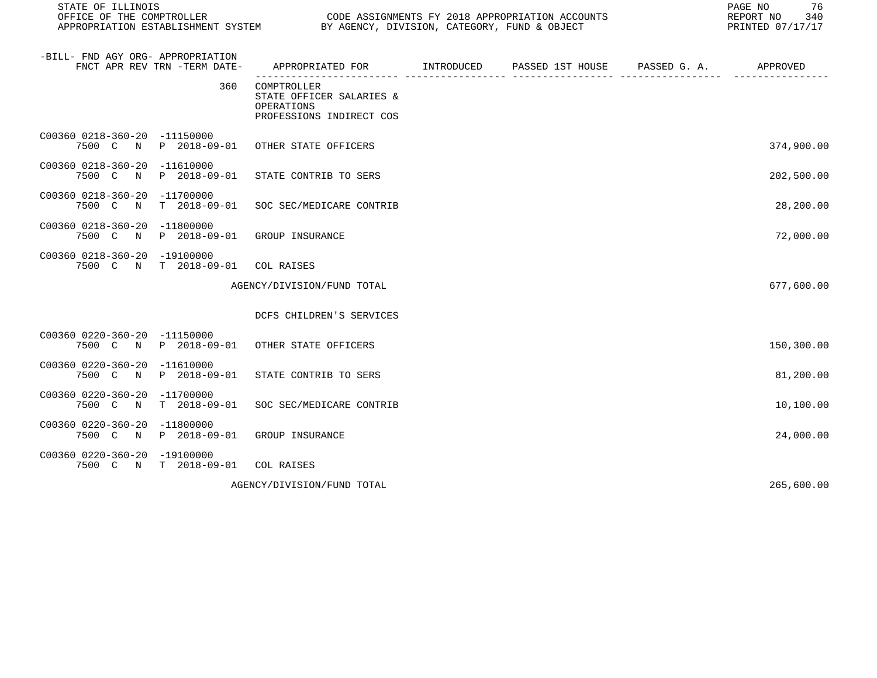| STATE OF ILLINOIS<br>OFFICE OF THE COMPTROLLER<br>CODE ASSIGNMENTS FY 2018 APPROPRIATION ACCOUNTS<br>APPROPRIATION ESTABLISHMENT SYSTEM BY AGENCY, DIVISION, CATEGORY, FUND & OBJECT |                              |                                                                                                                                       |  |  |  | 76<br>PAGE NO<br>REPORT NO<br>340<br>PRINTED 07/17/17 |
|--------------------------------------------------------------------------------------------------------------------------------------------------------------------------------------|------------------------------|---------------------------------------------------------------------------------------------------------------------------------------|--|--|--|-------------------------------------------------------|
| -BILL- FND AGY ORG- APPROPRIATION                                                                                                                                                    | FNCT APR REV TRN -TERM DATE- | APPROPRIATED FOR         INTRODUCED      PASSED 1ST HOUSE      PASSED G. A.           APPROVED<br>---------------- ------------------ |  |  |  |                                                       |
|                                                                                                                                                                                      | 360                          | COMPTROLLER<br>STATE OFFICER SALARIES &<br>OPERATIONS<br>PROFESSIONS INDIRECT COS                                                     |  |  |  |                                                       |
| C00360 0218-360-20 -11150000                                                                                                                                                         |                              | 7500 C N P 2018-09-01 OTHER STATE OFFICERS                                                                                            |  |  |  | 374,900.00                                            |
| C00360 0218-360-20 -11610000<br>7500 C N                                                                                                                                             | P 2018-09-01                 | STATE CONTRIB TO SERS                                                                                                                 |  |  |  | 202,500.00                                            |
| C00360 0218-360-20 -11700000<br>7500 C N                                                                                                                                             | T 2018-09-01                 | SOC SEC/MEDICARE CONTRIB                                                                                                              |  |  |  | 28,200.00                                             |
| C00360 0218-360-20 -11800000<br>7500 C N                                                                                                                                             | P 2018-09-01                 | GROUP INSURANCE                                                                                                                       |  |  |  | 72,000.00                                             |
| C00360 0218-360-20 -19100000                                                                                                                                                         | 7500 C N T 2018-09-01        | COL RAISES                                                                                                                            |  |  |  |                                                       |
|                                                                                                                                                                                      |                              | AGENCY/DIVISION/FUND TOTAL                                                                                                            |  |  |  | 677,600.00                                            |
|                                                                                                                                                                                      |                              | DCFS CHILDREN'S SERVICES                                                                                                              |  |  |  |                                                       |
| C00360 0220-360-20 -11150000                                                                                                                                                         |                              | 7500 C N P 2018-09-01 OTHER STATE OFFICERS                                                                                            |  |  |  | 150,300.00                                            |
| C00360 0220-360-20 -11610000                                                                                                                                                         | 7500 C N P 2018-09-01        | STATE CONTRIB TO SERS                                                                                                                 |  |  |  | 81,200.00                                             |
| C00360 0220-360-20 -11700000<br>7500 C N                                                                                                                                             | T 2018-09-01                 | SOC SEC/MEDICARE CONTRIB                                                                                                              |  |  |  | 10,100.00                                             |
| C00360 0220-360-20 -11800000<br>7500 C N                                                                                                                                             | P 2018-09-01                 | GROUP INSURANCE                                                                                                                       |  |  |  | 24,000.00                                             |
| C00360 0220-360-20 -19100000                                                                                                                                                         | 7500 C N T 2018-09-01        | COL RAISES                                                                                                                            |  |  |  |                                                       |
|                                                                                                                                                                                      |                              | AGENCY/DIVISION/FUND TOTAL                                                                                                            |  |  |  | 265,600.00                                            |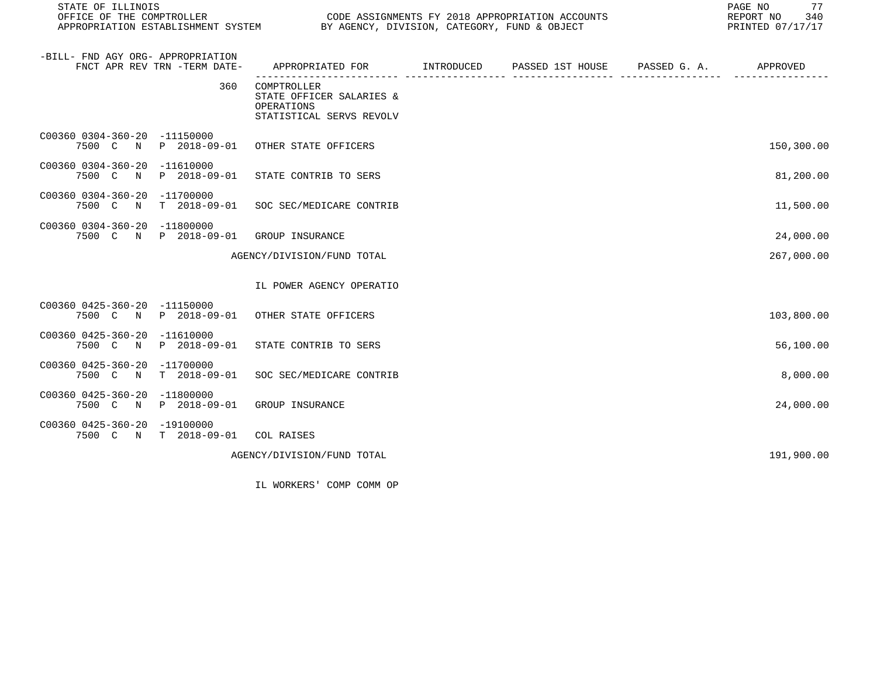| STATE OF ILLINOIS<br>OFFICE OF THE COMPTROLLER |                              |                                                                                           | CODE ASSIGNMENTS FY 2018 APPROPRIATION ACCOUNTS<br>APPROPRIATION ESTABLISHMENT SYSTEM BY AGENCY, DIVISION, CATEGORY, FUND & OBJECT<br>PRINTED 07/17/17 |  |                                 |            |  |
|------------------------------------------------|------------------------------|-------------------------------------------------------------------------------------------|--------------------------------------------------------------------------------------------------------------------------------------------------------|--|---------------------------------|------------|--|
| -BILL- FND AGY ORG- APPROPRIATION              | FNCT APR REV TRN -TERM DATE- | APPROPRIATED FOR        INTRODUCED     PASSED 1ST HOUSE     PASSED G. A.         APPROVED | . _ _ _ _ _ _ _ _ _ _ _ _                                                                                                                              |  | . _ _ _ _ _ _ _ _ _ _ _ _ _ _ _ |            |  |
|                                                | 360                          | COMPTROLLER<br>STATE OFFICER SALARIES &<br>OPERATIONS<br>STATISTICAL SERVS REVOLV         |                                                                                                                                                        |  |                                 |            |  |
| C00360 0304-360-20 -11150000                   |                              | 7500 C N P 2018-09-01 OTHER STATE OFFICERS                                                |                                                                                                                                                        |  |                                 | 150,300.00 |  |
| C00360 0304-360-20 -11610000                   | 7500 C N P 2018-09-01        | STATE CONTRIB TO SERS                                                                     |                                                                                                                                                        |  |                                 | 81,200.00  |  |
| C00360 0304-360-20 -11700000                   |                              | 7500 C N T 2018-09-01 SOC SEC/MEDICARE CONTRIB                                            |                                                                                                                                                        |  |                                 | 11,500.00  |  |
| C00360 0304-360-20 -11800000                   |                              | 7500 C N P 2018-09-01 GROUP INSURANCE                                                     |                                                                                                                                                        |  |                                 | 24,000.00  |  |
|                                                |                              | AGENCY/DIVISION/FUND TOTAL                                                                |                                                                                                                                                        |  |                                 | 267,000.00 |  |
|                                                |                              | IL POWER AGENCY OPERATIO                                                                  |                                                                                                                                                        |  |                                 |            |  |
| C00360 0425-360-20 -11150000                   |                              | 7500 C N P 2018-09-01 OTHER STATE OFFICERS                                                |                                                                                                                                                        |  |                                 | 103,800.00 |  |
| C00360 0425-360-20 -11610000                   | 7500 C N P 2018-09-01        | STATE CONTRIB TO SERS                                                                     |                                                                                                                                                        |  |                                 | 56,100.00  |  |
| C00360 0425-360-20 -11700000<br>7500 C N       |                              | T 2018-09-01 SOC SEC/MEDICARE CONTRIB                                                     |                                                                                                                                                        |  |                                 | 8,000.00   |  |
| C00360 0425-360-20 -11800000                   |                              | 7500 C N P 2018-09-01 GROUP INSURANCE                                                     |                                                                                                                                                        |  |                                 | 24,000.00  |  |
| C00360 0425-360-20 -19100000                   | 7500 C N T 2018-09-01        | COL RAISES                                                                                |                                                                                                                                                        |  |                                 |            |  |
|                                                |                              | AGENCY/DIVISION/FUND TOTAL                                                                |                                                                                                                                                        |  |                                 | 191,900.00 |  |

IL WORKERS' COMP COMM OP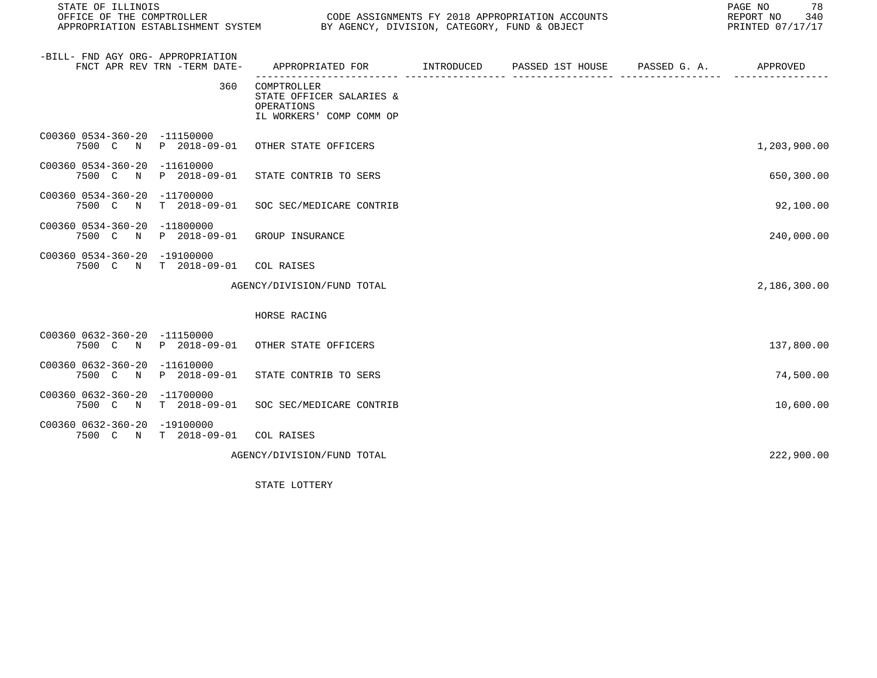| STATE OF ILLINOIS<br>OFFICE OF THE COMPTROLLER                    |                |                                                                                   | CODE ASSIGNMENTS FY 2018 APPROPRIATION ACCOUNTS<br>APPROPRIATION ESTABLISHMENT SYSTEM BY AGENCY, DIVISION, CATEGORY, FUND & OBJECT |                               |                       |              |  |
|-------------------------------------------------------------------|----------------|-----------------------------------------------------------------------------------|------------------------------------------------------------------------------------------------------------------------------------|-------------------------------|-----------------------|--------------|--|
| -BILL- FND AGY ORG- APPROPRIATION<br>FNCT APR REV TRN -TERM DATE- |                | APPROPRIATED FOR INTRODUCED                                                       |                                                                                                                                    | PASSED 1ST HOUSE PASSED G. A. | <u>---- ---------</u> | APPROVED     |  |
|                                                                   | 360            | COMPTROLLER<br>STATE OFFICER SALARIES &<br>OPERATIONS<br>IL WORKERS' COMP COMM OP |                                                                                                                                    |                               |                       |              |  |
| C00360 0534-360-20 -11150000                                      |                | 7500 C N P 2018-09-01 OTHER STATE OFFICERS                                        |                                                                                                                                    |                               |                       | 1,203,900.00 |  |
| C00360 0534-360-20 -11610000<br>7500 C N                          | P 2018-09-01   | STATE CONTRIB TO SERS                                                             |                                                                                                                                    |                               |                       | 650,300.00   |  |
| C00360 0534-360-20 -11700000<br>7500 C<br>$\mathbb N$             |                | T 2018-09-01 SOC SEC/MEDICARE CONTRIB                                             |                                                                                                                                    |                               |                       | 92,100.00    |  |
| C00360 0534-360-20 -11800000                                      |                | 7500 C N P 2018-09-01 GROUP INSURANCE                                             |                                                                                                                                    |                               |                       | 240,000.00   |  |
| C00360 0534-360-20 -19100000<br>7500 C N T 2018-09-01             |                | COL RAISES                                                                        |                                                                                                                                    |                               |                       |              |  |
|                                                                   |                | AGENCY/DIVISION/FUND TOTAL                                                        |                                                                                                                                    |                               |                       | 2,186,300.00 |  |
|                                                                   |                | HORSE RACING                                                                      |                                                                                                                                    |                               |                       |              |  |
| C00360 0632-360-20 -11150000                                      |                | 7500 C N P 2018-09-01 OTHER STATE OFFICERS                                        |                                                                                                                                    |                               |                       | 137,800.00   |  |
| C00360 0632-360-20 -11610000<br>7500 C N P 2018-09-01             |                | STATE CONTRIB TO SERS                                                             |                                                                                                                                    |                               |                       | 74,500.00    |  |
| C00360 0632-360-20 -11700000<br>7500 C                            | N T 2018-09-01 | SOC SEC/MEDICARE CONTRIB                                                          |                                                                                                                                    |                               |                       | 10,600.00    |  |
| C00360 0632-360-20 -19100000<br>7500 C N T 2018-09-01 COL RAISES  |                |                                                                                   |                                                                                                                                    |                               |                       |              |  |
|                                                                   |                | AGENCY/DIVISION/FUND TOTAL                                                        |                                                                                                                                    |                               |                       | 222,900.00   |  |

STATE LOTTERY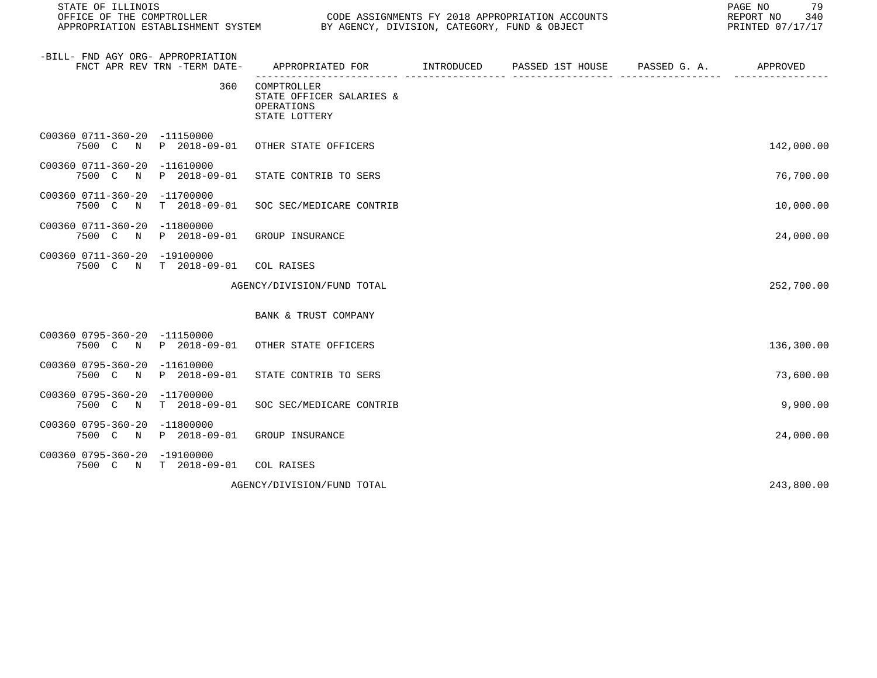| STATE OF ILLINOIS                        |                              |                                                                        |  | 79<br>PAGE NO<br>REPORT NO 340<br>PRINTED 07/17/17 |
|------------------------------------------|------------------------------|------------------------------------------------------------------------|--|----------------------------------------------------|
| -BILL- FND AGY ORG- APPROPRIATION        | FNCT APR REV TRN -TERM DATE- | APPROPRIATED FOR TINTRODUCED PASSED 1ST HOUSE PASSED G. A. APPROVED    |  |                                                    |
|                                          | 360                          | COMPTROLLER<br>STATE OFFICER SALARIES &<br>OPERATIONS<br>STATE LOTTERY |  |                                                    |
| C00360 0711-360-20 -11150000             |                              | 7500 C N P 2018-09-01 OTHER STATE OFFICERS                             |  | 142,000.00                                         |
| C00360 0711-360-20 -11610000             | 7500 C N P 2018-09-01        | STATE CONTRIB TO SERS                                                  |  | 76,700.00                                          |
| C00360 0711-360-20 -11700000<br>7500 C N | T 2018-09-01                 | SOC SEC/MEDICARE CONTRIB                                               |  | 10,000.00                                          |
| C00360 0711-360-20 -11800000             | 7500 C N P 2018-09-01        | GROUP INSURANCE                                                        |  | 24,000.00                                          |
| C00360 0711-360-20 -19100000             | 7500 C N T 2018-09-01        | COL RAISES                                                             |  |                                                    |
|                                          |                              | AGENCY/DIVISION/FUND TOTAL                                             |  | 252,700.00                                         |
|                                          |                              | BANK & TRUST COMPANY                                                   |  |                                                    |
| C00360 0795-360-20 -11150000             |                              | 7500 C N P 2018-09-01 OTHER STATE OFFICERS                             |  | 136,300.00                                         |
| C00360 0795-360-20 -11610000             | 7500 C N P 2018-09-01        | STATE CONTRIB TO SERS                                                  |  | 73,600.00                                          |
| C00360 0795-360-20 -11700000             | 7500 C N T 2018-09-01        | SOC SEC/MEDICARE CONTRIB                                               |  | 9,900.00                                           |
| C00360 0795-360-20 -11800000             | 7500 C N P 2018-09-01        | GROUP INSURANCE                                                        |  | 24,000.00                                          |
| C00360 0795-360-20 -19100000             | 7500 C N T 2018-09-01        | COL RAISES                                                             |  |                                                    |
|                                          |                              | AGENCY/DIVISION/FUND TOTAL                                             |  | 243,800.00                                         |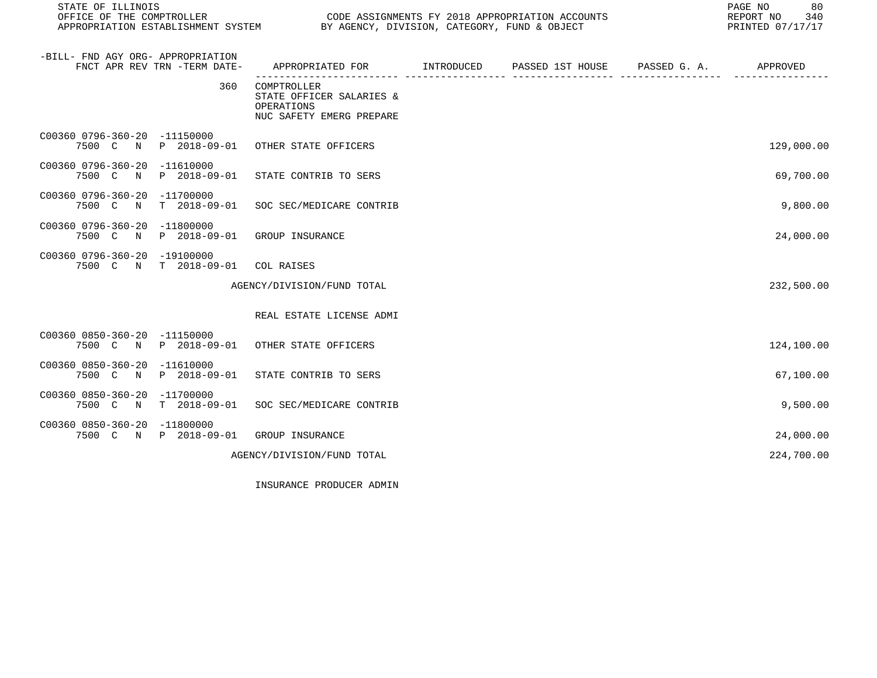| STATE OF ILLINOIS<br>OFFICE OF THE COMPTROLLER                    |                             |                                                                                   | CODE ASSIGNMENTS FY 2018 APPROPRIATION ACCOUNTS<br>APPROPRIATION ESTABLISHMENT SYSTEM BY AGENCY, DIVISION, CATEGORY, FUND & OBJECT |             |  |            |  |
|-------------------------------------------------------------------|-----------------------------|-----------------------------------------------------------------------------------|------------------------------------------------------------------------------------------------------------------------------------|-------------|--|------------|--|
| -BILL- FND AGY ORG- APPROPRIATION<br>FNCT APR REV TRN -TERM DATE- |                             | APPROPRIATED FOR TINTRODUCED PASSED 1ST HOUSE PASSED G.A. APPROVED                | ------------                                                                                                                       | adaada adaa |  |            |  |
|                                                                   | 360                         | COMPTROLLER<br>STATE OFFICER SALARIES &<br>OPERATIONS<br>NUC SAFETY EMERG PREPARE |                                                                                                                                    |             |  |            |  |
| C00360 0796-360-20 -11150000                                      |                             | 7500 C N P 2018-09-01 OTHER STATE OFFICERS                                        |                                                                                                                                    |             |  | 129,000.00 |  |
| C00360 0796-360-20 -11610000<br>7500 C<br>$\mathbb N$             | P 2018-09-01                | STATE CONTRIB TO SERS                                                             |                                                                                                                                    |             |  | 69,700.00  |  |
| C00360 0796-360-20 -11700000<br>7500 C<br>N                       | $T = 2018 - 09 - 01$        | SOC SEC/MEDICARE CONTRIB                                                          |                                                                                                                                    |             |  | 9,800.00   |  |
| C00360 0796-360-20 -11800000<br>7500 C N                          | P 2018-09-01                | GROUP INSURANCE                                                                   |                                                                                                                                    |             |  | 24,000.00  |  |
| C00360 0796-360-20 -19100000<br>7500 C N T 2018-09-01             |                             | COL RAISES                                                                        |                                                                                                                                    |             |  |            |  |
|                                                                   |                             | AGENCY/DIVISION/FUND TOTAL                                                        |                                                                                                                                    |             |  | 232,500.00 |  |
|                                                                   |                             | REAL ESTATE LICENSE ADMI                                                          |                                                                                                                                    |             |  |            |  |
| C00360 0850-360-20 -11150000<br>7500 C N                          | P 2018-09-01                | OTHER STATE OFFICERS                                                              |                                                                                                                                    |             |  | 124,100.00 |  |
| C00360 0850-360-20<br>7500 C N                                    | $-11610000$<br>P 2018-09-01 | STATE CONTRIB TO SERS                                                             |                                                                                                                                    |             |  | 67,100.00  |  |
| C00360 0850-360-20 -11700000<br>7500 C N                          | $T$ 2018-09-01              | SOC SEC/MEDICARE CONTRIB                                                          |                                                                                                                                    |             |  | 9,500.00   |  |
| C00360 0850-360-20 -11800000<br>7500 C N P 2018-09-01             |                             | GROUP INSURANCE                                                                   |                                                                                                                                    |             |  | 24,000.00  |  |
|                                                                   |                             | AGENCY/DIVISION/FUND TOTAL                                                        |                                                                                                                                    |             |  | 224,700.00 |  |

INSURANCE PRODUCER ADMIN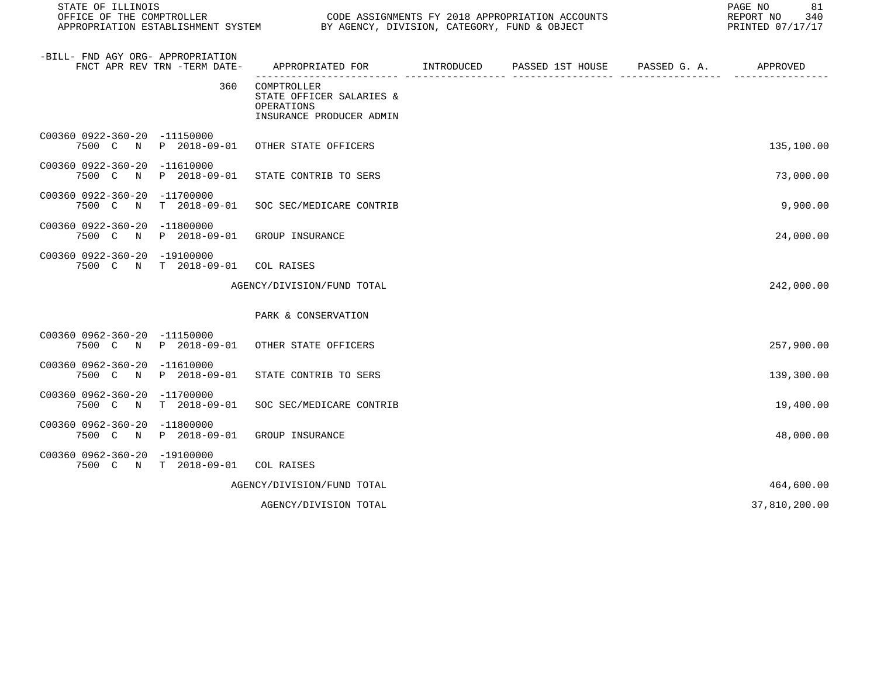| STATE OF ILLINOIS<br>OFFICE OF THE COMPTROLLER<br>CODE ASSIGNMENTS FY 2018 APPROPRIATION ACCOUNTS<br>APPROPRIATION ESTABLISHMENT SYSTEM BY AGENCY, DIVISION, CATEGORY, FUND & OBJECT |              |                                                                                   |  |                               | 81<br>PAGE NO<br>REPORT NO<br>340<br>PRINTED 07/17/17 |  |
|--------------------------------------------------------------------------------------------------------------------------------------------------------------------------------------|--------------|-----------------------------------------------------------------------------------|--|-------------------------------|-------------------------------------------------------|--|
| -BILL- FND AGY ORG- APPROPRIATION<br>FNCT APR REV TRN -TERM DATE-                                                                                                                    |              | APPROPRIATED FOR INTRODUCED                                                       |  | PASSED 1ST HOUSE PASSED G. A. | APPROVED                                              |  |
|                                                                                                                                                                                      | 360          | COMPTROLLER<br>STATE OFFICER SALARIES &<br>OPERATIONS<br>INSURANCE PRODUCER ADMIN |  |                               |                                                       |  |
| C00360 0922-360-20 -11150000                                                                                                                                                         |              | 7500 C N P 2018-09-01 OTHER STATE OFFICERS                                        |  |                               | 135,100.00                                            |  |
| C00360 0922-360-20 -11610000<br>7500 C N P 2018-09-01                                                                                                                                |              | STATE CONTRIB TO SERS                                                             |  |                               | 73,000.00                                             |  |
| C00360 0922-360-20 -11700000<br>7500 C N                                                                                                                                             | T 2018-09-01 | SOC SEC/MEDICARE CONTRIB                                                          |  |                               | 9,900.00                                              |  |
| C00360 0922-360-20 -11800000<br>7500 C                                                                                                                                               |              | N P 2018-09-01 GROUP INSURANCE                                                    |  |                               | 24,000.00                                             |  |
| C00360 0922-360-20 -19100000<br>7500 C N T 2018-09-01 COL RAISES                                                                                                                     |              |                                                                                   |  |                               |                                                       |  |
|                                                                                                                                                                                      |              | AGENCY/DIVISION/FUND TOTAL                                                        |  |                               | 242,000.00                                            |  |
|                                                                                                                                                                                      |              | PARK & CONSERVATION                                                               |  |                               |                                                       |  |
| C00360 0962-360-20 -11150000                                                                                                                                                         |              | 7500 C N P 2018-09-01 OTHER STATE OFFICERS                                        |  |                               | 257,900.00                                            |  |
| C00360 0962-360-20 -11610000<br>7500 C N P 2018-09-01                                                                                                                                |              | STATE CONTRIB TO SERS                                                             |  |                               | 139,300.00                                            |  |
| C00360 0962-360-20 -11700000                                                                                                                                                         |              | 7500 C N T 2018-09-01 SOC SEC/MEDICARE CONTRIB                                    |  |                               | 19,400.00                                             |  |
| C00360 0962-360-20 -11800000<br>7500 C N P 2018-09-01                                                                                                                                |              | GROUP INSURANCE                                                                   |  |                               | 48,000.00                                             |  |
| C00360 0962-360-20 -19100000<br>7500 C N T 2018-09-01                                                                                                                                |              | COL RAISES                                                                        |  |                               |                                                       |  |
|                                                                                                                                                                                      |              | AGENCY/DIVISION/FUND TOTAL                                                        |  |                               | 464,600.00                                            |  |
|                                                                                                                                                                                      |              | AGENCY/DIVISION TOTAL                                                             |  |                               | 37,810,200.00                                         |  |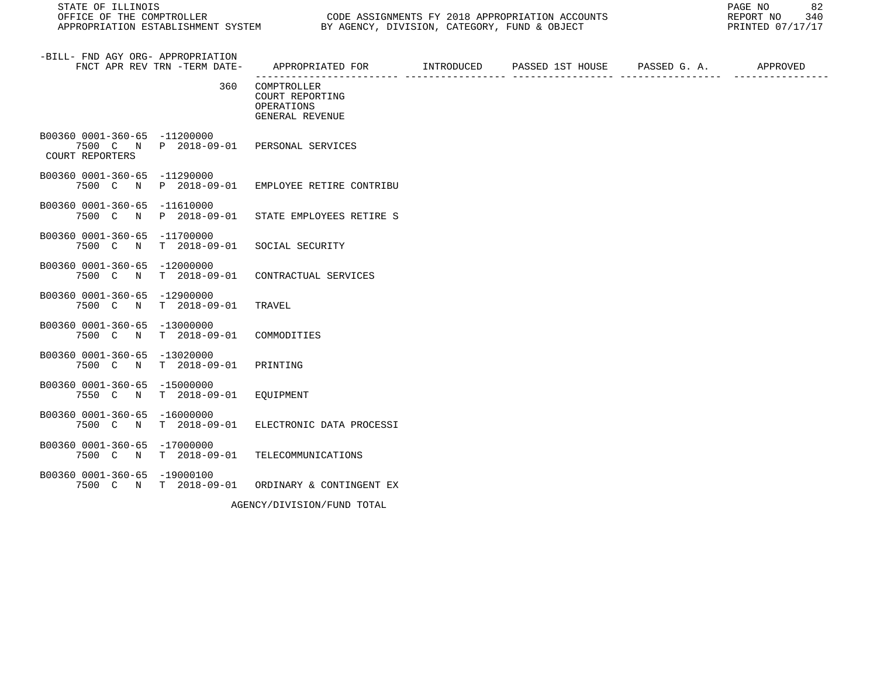STATE OF ILLINOIS<br>
STATE OF THE COMPTROLLER
OULLER
OULLER
OULLER
OULLER
OULLER
SURFICE OF THE COMPTROLLER
SURFICE OF THE COMPTROLLER
OULLER
OULLER
SURFICE OF THE COMPTROLLER
SURFICE OF THE COMPTROLLER
SURFICE OF THE COMPTR

| -BILL- FND AGY ORG- APPROPRIATION<br>FNCT APR REV TRN -TERM DATE- |                          | APPROPRIATED FOR        INTRODUCED     PASSED 1ST HOUSE     PASSED G. A.         APPROVED                                                                                                                                                                                                                                                                                                    |  |  |
|-------------------------------------------------------------------|--------------------------|----------------------------------------------------------------------------------------------------------------------------------------------------------------------------------------------------------------------------------------------------------------------------------------------------------------------------------------------------------------------------------------------|--|--|
|                                                                   | 360                      | COMPTROLLER<br>COURT REPORTING<br>OPERATIONS<br>GENERAL REVENUE                                                                                                                                                                                                                                                                                                                              |  |  |
| B00360 0001-360-65 -11200000<br>COURT REPORTERS                   |                          | 7500 C N P 2018-09-01 PERSONAL SERVICES                                                                                                                                                                                                                                                                                                                                                      |  |  |
| B00360 0001-360-65 -11290000                                      |                          | 7500 C N P 2018-09-01 EMPLOYEE RETIRE CONTRIBU                                                                                                                                                                                                                                                                                                                                               |  |  |
| B00360 0001-360-65 -11610000                                      |                          | 7500 C N P 2018-09-01 STATE EMPLOYEES RETIRE S                                                                                                                                                                                                                                                                                                                                               |  |  |
| B00360 0001-360-65 -11700000                                      |                          | 7500 C N T 2018-09-01 SOCIAL SECURITY                                                                                                                                                                                                                                                                                                                                                        |  |  |
| B00360 0001-360-65 -12000000<br>7500 C N                          |                          | T 2018-09-01 CONTRACTUAL SERVICES                                                                                                                                                                                                                                                                                                                                                            |  |  |
| B00360 0001-360-65 -12900000<br>7500 C N                          | $T$ 2018-09-01           | TRAVEL                                                                                                                                                                                                                                                                                                                                                                                       |  |  |
| B00360 0001-360-65 -13000000<br>7500 C N                          | T 2018-09-01 COMMODITIES |                                                                                                                                                                                                                                                                                                                                                                                              |  |  |
| B00360 0001-360-65 -13020000<br>7500 C N T 2018-09-01             |                          | PRINTING                                                                                                                                                                                                                                                                                                                                                                                     |  |  |
| B00360 0001-360-65 -15000000<br>7550 C N                          | T 2018-09-01 EQUIPMENT   |                                                                                                                                                                                                                                                                                                                                                                                              |  |  |
| B00360 0001-360-65 -16000000                                      |                          | 7500 C N T 2018-09-01 ELECTRONIC DATA PROCESSI                                                                                                                                                                                                                                                                                                                                               |  |  |
| B00360 0001-360-65 -17000000                                      |                          | 7500 C N T 2018-09-01 TELECOMMUNICATIONS                                                                                                                                                                                                                                                                                                                                                     |  |  |
| B00360 0001-360-65 -19000100                                      |                          | 7500 C N T 2018-09-01 ORDINARY & CONTINGENT EX                                                                                                                                                                                                                                                                                                                                               |  |  |
|                                                                   |                          | $\frac{1}{2} \frac{1}{2} \frac{1}{2} \frac{1}{2} \frac{1}{2} \frac{1}{2} \frac{1}{2} \frac{1}{2} \frac{1}{2} \frac{1}{2} \frac{1}{2} \frac{1}{2} \frac{1}{2} \frac{1}{2} \frac{1}{2} \frac{1}{2} \frac{1}{2} \frac{1}{2} \frac{1}{2} \frac{1}{2} \frac{1}{2} \frac{1}{2} \frac{1}{2} \frac{1}{2} \frac{1}{2} \frac{1}{2} \frac{1}{2} \frac{1}{2} \frac{1}{2} \frac{1}{2} \frac{1}{2} \frac{$ |  |  |

AGENCY/DIVISION/FUND TOTAL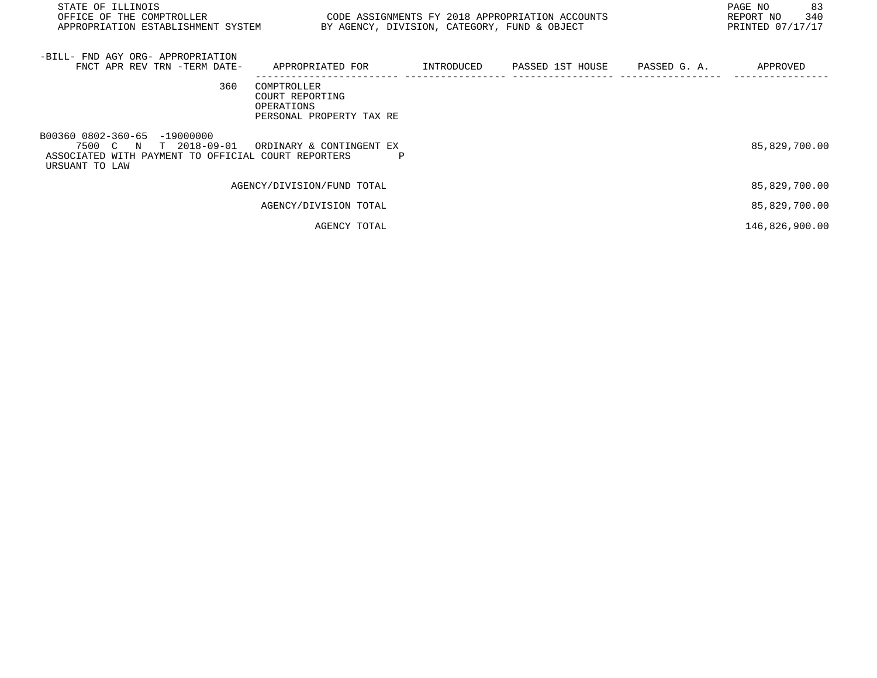| STATE OF ILLINOIS<br>OFFICE OF THE COMPTROLLER<br>APPROPRIATION ESTABLISHMENT SYSTEM                                              | CODE ASSIGNMENTS FY 2018 APPROPRIATION ACCOUNTS                          |   | BY AGENCY, DIVISION, CATEGORY, FUND & OBJECT |                  |              | 83<br>PAGE NO<br>340<br>REPORT NO<br>PRINTED 07/17/17 |
|-----------------------------------------------------------------------------------------------------------------------------------|--------------------------------------------------------------------------|---|----------------------------------------------|------------------|--------------|-------------------------------------------------------|
| -BILL- FND AGY ORG- APPROPRIATION<br>FNCT APR REV TRN -TERM DATE-                                                                 | APPROPRIATED FOR                                                         |   | INTRODUCED                                   | PASSED 1ST HOUSE | PASSED G. A. | APPROVED                                              |
| 360                                                                                                                               | COMPTROLLER<br>COURT REPORTING<br>OPERATIONS<br>PERSONAL PROPERTY TAX RE |   |                                              |                  |              |                                                       |
| B00360 0802-360-65 -19000000<br>7500 C N<br>T 2018-09-01<br>ASSOCIATED WITH PAYMENT TO OFFICIAL COURT REPORTERS<br>URSUANT TO LAW | ORDINARY & CONTINGENT EX                                                 | Ρ |                                              |                  |              | 85,829,700.00                                         |
|                                                                                                                                   | AGENCY/DIVISION/FUND TOTAL                                               |   |                                              |                  |              | 85,829,700.00                                         |
|                                                                                                                                   | AGENCY/DIVISION TOTAL                                                    |   |                                              |                  |              | 85,829,700.00                                         |
|                                                                                                                                   | AGENCY TOTAL                                                             |   |                                              |                  |              | 146,826,900.00                                        |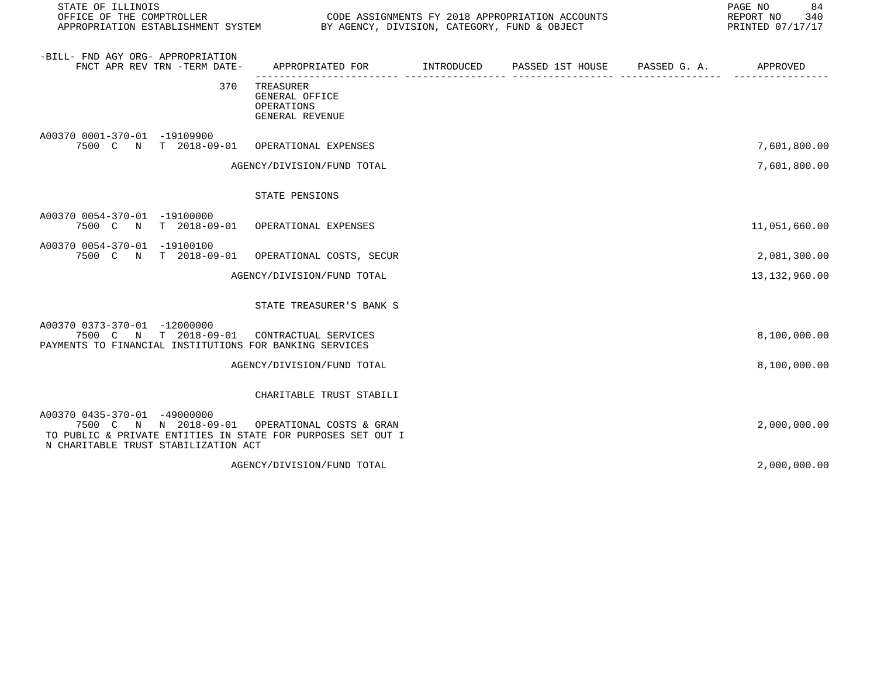| STATE OF ILLINOIS                                                                                                                                                                      |                                                              | 84<br>PAGE NO<br>REPORT NO 340<br>PRINTED 07/17/17 |  |               |
|----------------------------------------------------------------------------------------------------------------------------------------------------------------------------------------|--------------------------------------------------------------|----------------------------------------------------|--|---------------|
| -BILL- FND AGY ORG- APPROPRIATION<br>FNCT APR REV TRN -TERM DATE-                                                                                                                      | APPROPRIATED FOR INTRODUCED                                  | PASSED 1ST HOUSE PASSED G. A.                      |  | APPROVED      |
| 370                                                                                                                                                                                    | TREASURER<br>GENERAL OFFICE<br>OPERATIONS<br>GENERAL REVENUE |                                                    |  |               |
| A00370 0001-370-01 -19109900<br>7500 C N T 2018-09-01 OPERATIONAL EXPENSES                                                                                                             |                                                              |                                                    |  | 7,601,800.00  |
|                                                                                                                                                                                        | AGENCY/DIVISION/FUND TOTAL                                   |                                                    |  | 7,601,800.00  |
|                                                                                                                                                                                        | STATE PENSIONS                                               |                                                    |  |               |
| A00370 0054-370-01 -19100000<br>7500 C N T 2018-09-01 OPERATIONAL EXPENSES                                                                                                             |                                                              |                                                    |  | 11,051,660.00 |
| A00370 0054-370-01 -19100100<br>7500 C N T 2018-09-01                                                                                                                                  | OPERATIONAL COSTS, SECUR                                     |                                                    |  | 2,081,300.00  |
|                                                                                                                                                                                        | AGENCY/DIVISION/FUND TOTAL                                   |                                                    |  | 13,132,960.00 |
|                                                                                                                                                                                        | STATE TREASURER'S BANK S                                     |                                                    |  |               |
| A00370 0373-370-01 -12000000<br>7500 C N T 2018-09-01 CONTRACTUAL SERVICES<br>PAYMENTS TO FINANCIAL INSTITUTIONS FOR BANKING SERVICES                                                  |                                                              |                                                    |  | 8,100,000.00  |
|                                                                                                                                                                                        | AGENCY/DIVISION/FUND TOTAL                                   |                                                    |  | 8,100,000.00  |
|                                                                                                                                                                                        | CHARITABLE TRUST STABILI                                     |                                                    |  |               |
| A00370 0435-370-01 -49000000<br>7500 C N N 2018-09-01 OPERATIONAL COSTS & GRAN<br>TO PUBLIC & PRIVATE ENTITIES IN STATE FOR PURPOSES SET OUT I<br>N CHARITABLE TRUST STABILIZATION ACT |                                                              |                                                    |  | 2,000,000.00  |
|                                                                                                                                                                                        | AGENCY/DIVISION/FUND TOTAL                                   |                                                    |  | 2,000,000.00  |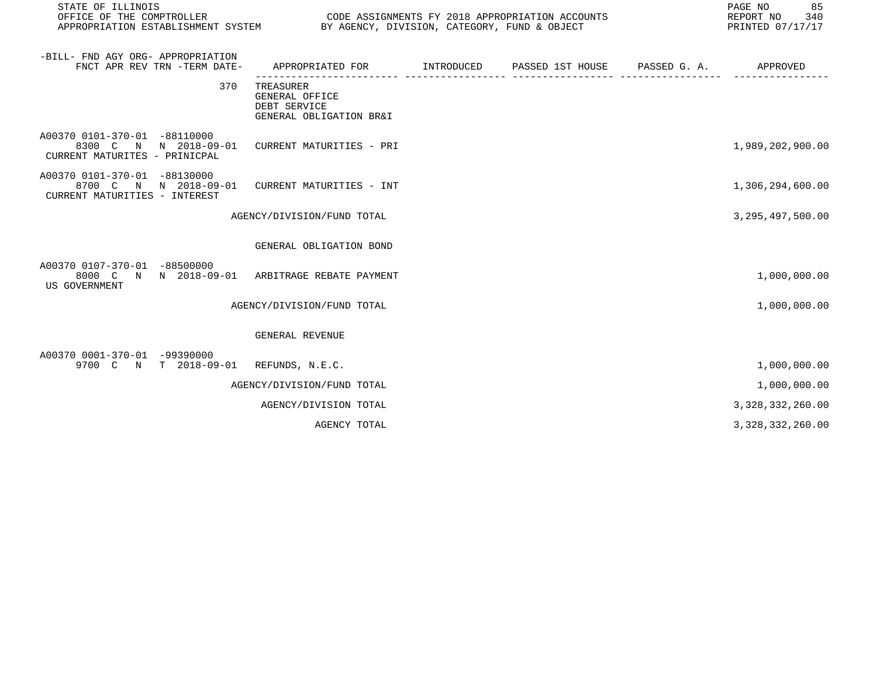| STATE OF ILLINOIS<br>OFFICE OF THE COMPTROLLER<br>APPROPRIATION ESTABLISHMENT SYSTEM BY AGENCY, DIVISION, CATEGORY, FUND & OBJECT |                                                                        |            | CODE ASSIGNMENTS FY 2018 APPROPRIATION ACCOUNTS | 85<br>PAGE NO<br>REPORT NO<br>340<br>PRINTED 07/17/17 |
|-----------------------------------------------------------------------------------------------------------------------------------|------------------------------------------------------------------------|------------|-------------------------------------------------|-------------------------------------------------------|
| -BILL- FND AGY ORG- APPROPRIATION<br>FNCT APR REV TRN -TERM DATE-                                                                 | APPROPRIATED FOR                                                       | INTRODUCED | PASSED 1ST HOUSE PASSED G. A.                   | APPROVED                                              |
| 370                                                                                                                               | TREASURER<br>GENERAL OFFICE<br>DEBT SERVICE<br>GENERAL OBLIGATION BR&I |            |                                                 |                                                       |
| A00370 0101-370-01 -88110000<br>8300 C N N 2018-09-01<br>CURRENT MATURITES - PRINICPAL                                            | CURRENT MATURITIES - PRI                                               |            |                                                 | 1,989,202,900.00                                      |
| A00370 0101-370-01 -88130000<br>8700 C N N 2018-09-01<br>CURRENT MATURITIES - INTEREST                                            | CURRENT MATURITIES - INT                                               |            |                                                 | 1,306,294,600.00                                      |
|                                                                                                                                   | AGENCY/DIVISION/FUND TOTAL                                             |            |                                                 | 3, 295, 497, 500.00                                   |
|                                                                                                                                   | GENERAL OBLIGATION BOND                                                |            |                                                 |                                                       |
| A00370 0107-370-01 -88500000<br>8000 C N N 2018-09-01<br><b>US GOVERNMENT</b>                                                     | ARBITRAGE REBATE PAYMENT                                               |            |                                                 | 1,000,000.00                                          |
|                                                                                                                                   | AGENCY/DIVISION/FUND TOTAL                                             |            |                                                 | 1,000,000.00                                          |
|                                                                                                                                   | GENERAL REVENUE                                                        |            |                                                 |                                                       |
| A00370 0001-370-01 -99390000<br>9700 C N T 2018-09-01 REFUNDS, N.E.C.                                                             |                                                                        |            |                                                 | 1,000,000.00                                          |
|                                                                                                                                   | AGENCY/DIVISION/FUND TOTAL                                             |            |                                                 | 1,000,000.00                                          |
|                                                                                                                                   | AGENCY/DIVISION TOTAL                                                  |            |                                                 | 3, 328, 332, 260.00                                   |
|                                                                                                                                   | AGENCY TOTAL                                                           |            |                                                 | 3, 328, 332, 260.00                                   |
|                                                                                                                                   |                                                                        |            |                                                 |                                                       |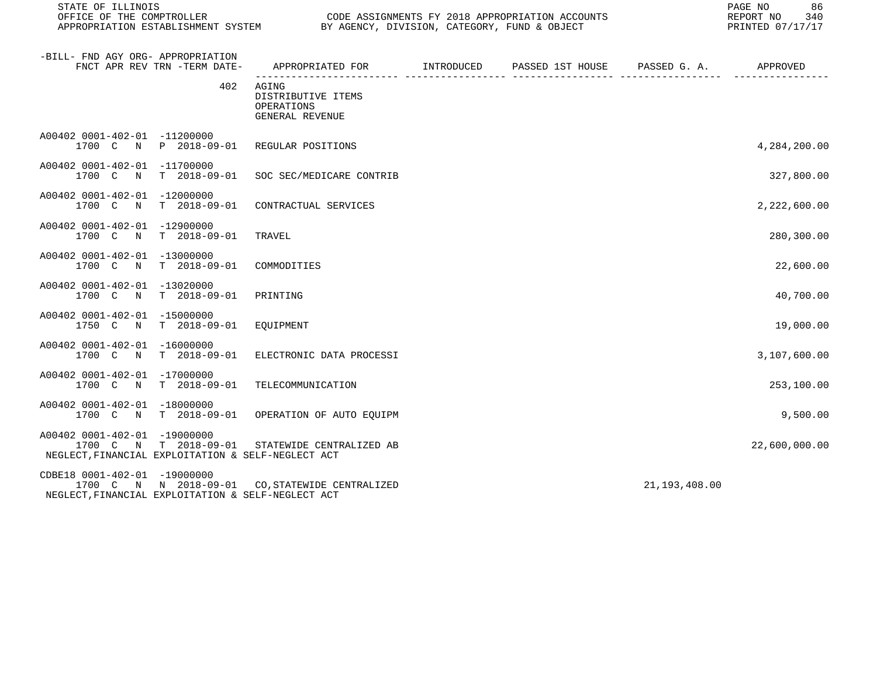STATE OF ILLINOIS<br>
STATE OF THE COMPTROLLER
OF THE COMPTROLLER

OFFICE OF THE COMPTROLLER

SUCERILLY LEGAL CODE ASSIGNMENTS FY 2018 APPROPRIATION ACCOUNTS

| -BILL- FND AGY ORG- APPROPRIATION<br>FNCT APR REV TRN -TERM DATE-                                                                     | APPROPRIATED FOR                                             | INTRODUCED                      | PASSED 1ST HOUSE PASSED G. A. |                 | APPROVED      |
|---------------------------------------------------------------------------------------------------------------------------------------|--------------------------------------------------------------|---------------------------------|-------------------------------|-----------------|---------------|
| 402                                                                                                                                   | AGING<br>DISTRIBUTIVE ITEMS<br>OPERATIONS<br>GENERAL REVENUE | __________ ____________________ |                               |                 |               |
| A00402 0001-402-01 -11200000<br>1700 C<br>P 2018-09-01<br>N                                                                           | REGULAR POSITIONS                                            |                                 |                               |                 | 4,284,200.00  |
| A00402 0001-402-01 -11700000<br>$T = 2018 - 09 - 01$<br>1700 C<br>N                                                                   | SOC SEC/MEDICARE CONTRIB                                     |                                 |                               |                 | 327,800.00    |
| A00402 0001-402-01<br>$-12000000$<br>1700 C<br>T 2018-09-01<br>$\mathbb N$                                                            | CONTRACTUAL SERVICES                                         |                                 |                               |                 | 2,222,600.00  |
| A00402 0001-402-01 -12900000<br>1700 C<br>N<br>$T = 2018 - 09 - 01$                                                                   | TRAVEL                                                       |                                 |                               |                 | 280,300.00    |
| A00402 0001-402-01<br>$-13000000$<br>1700 C<br>$T = 2018 - 09 - 01$<br>$\mathbb N$                                                    | COMMODITIES                                                  |                                 |                               |                 | 22,600.00     |
| A00402 0001-402-01 -13020000<br>1700 C<br>$\mathbb N$<br>$T = 2018 - 09 - 01$                                                         | PRINTING                                                     |                                 |                               |                 | 40,700.00     |
| A00402 0001-402-01<br>$-15000000$<br>1750 C<br>$T$ 2018-09-01<br>$\mathbb N$                                                          | EOUIPMENT                                                    |                                 |                               |                 | 19,000.00     |
| A00402 0001-402-01 -16000000<br>1700 C<br>$T$ 2018-09-01<br>$\mathbb N$                                                               | ELECTRONIC DATA PROCESSI                                     |                                 |                               |                 | 3,107,600.00  |
| A00402 0001-402-01<br>$-17000000$<br>1700 C N<br>T 2018-09-01                                                                         | TELECOMMUNICATION                                            |                                 |                               |                 | 253,100.00    |
| A00402 0001-402-01 -18000000<br>1700 C<br>$T = 2018 - 09 - 01$<br>$\mathbb N$                                                         | OPERATION OF AUTO EQUIPM                                     |                                 |                               |                 | 9,500.00      |
| A00402 0001-402-01<br>$-19000000$<br>1700 C<br>N T 2018-09-01<br>NEGLECT, FINANCIAL EXPLOITATION & SELF-NEGLECT ACT                   | STATEWIDE CENTRALIZED AB                                     |                                 |                               |                 | 22,600,000.00 |
| CDBE18 0001-402-01 -19000000<br>1700 C N N 2018-09-01 CO, STATEWIDE CENTRALIZED<br>NEGLECT, FINANCIAL EXPLOITATION & SELF-NEGLECT ACT |                                                              |                                 |                               | 21, 193, 408.00 |               |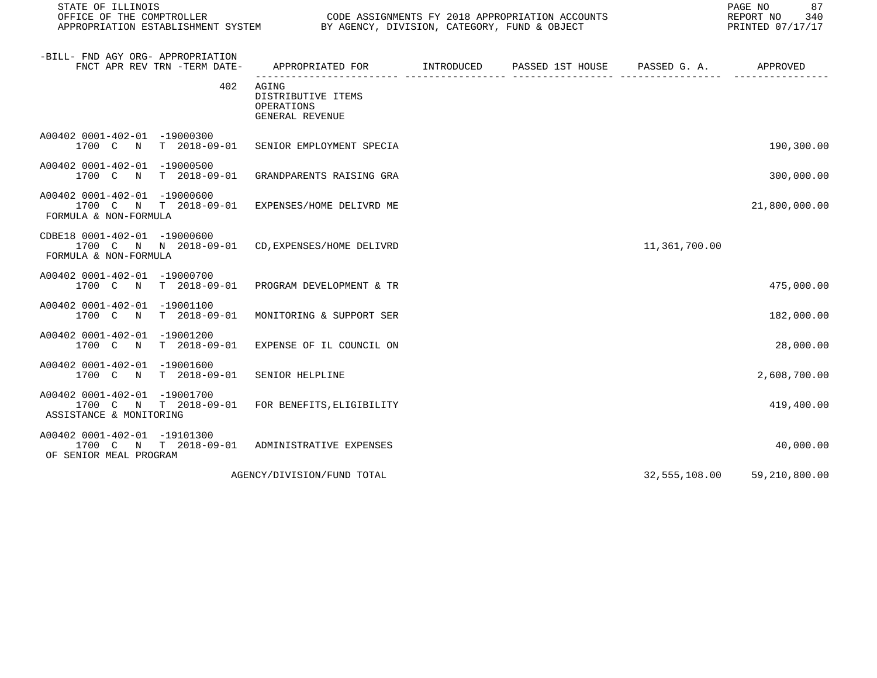STATE OF ILLINOIS<br>
STATE OF THE COMPTROLLER
OULLER
OULLER
OULLER
OULLER
OULLER
SURFICE OF THE COMPTROLLER
OULLER
OULLER
OULLER
OULLER

| -BILL- FND AGY ORG- APPROPRIATION<br>FNCT APR REV TRN -TERM DATE-                  | APPROPRIATED FOR                                             | INTRODUCED | PASSED 1ST HOUSE PASSED G. A. |               | APPROVED      |
|------------------------------------------------------------------------------------|--------------------------------------------------------------|------------|-------------------------------|---------------|---------------|
| 402                                                                                | AGING<br>DISTRIBUTIVE ITEMS<br>OPERATIONS<br>GENERAL REVENUE |            |                               |               |               |
| A00402 0001-402-01 -19000300<br>1700 C N<br>T 2018-09-01                           | SENIOR EMPLOYMENT SPECIA                                     |            |                               |               | 190,300.00    |
| A00402 0001-402-01 -19000500<br>1700 C N<br>T 2018-09-01                           | GRANDPARENTS RAISING GRA                                     |            |                               |               | 300,000.00    |
| A00402 0001-402-01 -19000600<br>1700 C<br>N T 2018-09-01<br>FORMULA & NON-FORMULA  | EXPENSES/HOME DELIVRD ME                                     |            |                               |               | 21,800,000.00 |
| CDBE18 0001-402-01 -19000600<br>1700 C N N 2018-09-01<br>FORMULA & NON-FORMULA     | CD, EXPENSES/HOME DELIVRD                                    |            |                               | 11,361,700.00 |               |
| A00402 0001-402-01 -19000700<br>1700 C<br>$T = 2018 - 09 - 01$<br>$\mathbb N$      | PROGRAM DEVELOPMENT & TR                                     |            |                               |               | 475,000.00    |
| A00402 0001-402-01<br>$-19001100$<br>$T = 2018 - 09 - 01$<br>1700 C N              | MONITORING & SUPPORT SER                                     |            |                               |               | 182,000.00    |
| A00402 0001-402-01 -19001200<br>$T = 2018 - 09 - 01$<br>1700 C<br>$\mathbb N$      | EXPENSE OF IL COUNCIL ON                                     |            |                               |               | 28,000.00     |
| A00402 0001-402-01 -19001600<br>$T$ 2018-09-01<br>1700 C N                         | SENIOR HELPLINE                                              |            |                               |               | 2,608,700.00  |
| A00402 0001-402-01 -19001700<br>1700 C N T 2018-09-01<br>ASSISTANCE & MONITORING   | FOR BENEFITS, ELIGIBILITY                                    |            |                               |               | 419,400.00    |
| A00402 0001-402-01 -19101300<br>1700 C N<br>T 2018-09-01<br>OF SENIOR MEAL PROGRAM | ADMINISTRATIVE EXPENSES                                      |            |                               |               | 40,000.00     |
|                                                                                    | AGENCY/DIVISION/FUND TOTAL                                   |            |                               | 32,555,108.00 | 59,210,800.00 |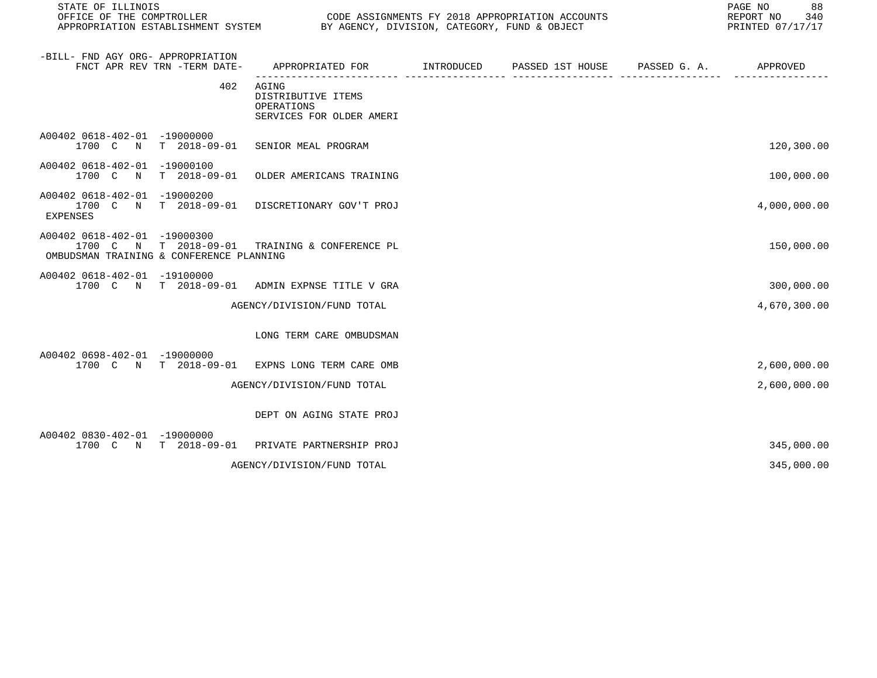STATE OF ILLINOIS<br>
STATE OF THE COMPTROLLER
OF THE COMPTROLLER

OFFICE OF THE COMPTROLLER

SUCERILLY LEGAL CODE ASSIGNMENTS FY 2018 APPROPRIATION ACCOUNTS

| -BILL- FND AGY ORG- APPROPRIATION                                                    | FNCT APR REV TRN -TERM DATE-        | APPROPRIATED FOR                                                      | INTRODUCED | PASSED 1ST HOUSE | PASSED G. A. | APPROVED     |
|--------------------------------------------------------------------------------------|-------------------------------------|-----------------------------------------------------------------------|------------|------------------|--------------|--------------|
|                                                                                      | 402                                 | AGING<br>DISTRIBUTIVE ITEMS<br>OPERATIONS<br>SERVICES FOR OLDER AMERI |            |                  |              |              |
| A00402 0618-402-01 -19000000<br>1700 C<br>$\mathbb N$                                | $T = 2018 - 09 - 01$                | SENIOR MEAL PROGRAM                                                   |            |                  |              | 120,300.00   |
| A00402 0618-402-01 -19000100<br>1700 C N                                             | $T = 2018 - 09 - 01$                | OLDER AMERICANS TRAINING                                              |            |                  |              | 100,000.00   |
| A00402 0618-402-01<br>1700 C<br>$\mathbb N$<br><b>EXPENSES</b>                       | $-19000200$<br>$T = 2018 - 09 - 01$ | DISCRETIONARY GOV'T PROJ                                              |            |                  |              | 4,000,000.00 |
| A00402 0618-402-01 -19000300<br>1700 C N<br>OMBUDSMAN TRAINING & CONFERENCE PLANNING | $T = 2018 - 09 - 01$                | TRAINING & CONFERENCE PL                                              |            |                  |              | 150,000.00   |
| A00402 0618-402-01<br>1700 C N                                                       | $-19100000$<br>$T = 2018 - 09 - 01$ | ADMIN EXPNSE TITLE V GRA                                              |            |                  |              | 300,000.00   |
|                                                                                      |                                     | AGENCY/DIVISION/FUND TOTAL                                            |            |                  |              | 4,670,300.00 |
|                                                                                      |                                     | LONG TERM CARE OMBUDSMAN                                              |            |                  |              |              |
| A00402 0698-402-01 -19000000<br>1700 C<br>$\mathbb N$                                | $T$ 2018-09-01                      | EXPNS LONG TERM CARE OMB                                              |            |                  |              | 2,600,000.00 |
|                                                                                      |                                     | AGENCY/DIVISION/FUND TOTAL                                            |            |                  |              | 2,600,000.00 |
|                                                                                      |                                     | DEPT ON AGING STATE PROJ                                              |            |                  |              |              |
| A00402 0830-402-01 -19000000<br>1700 C N                                             | $T = 2018 - 09 - 01$                | PRIVATE PARTNERSHIP PROJ                                              |            |                  |              | 345,000.00   |
|                                                                                      |                                     | AGENCY/DIVISION/FUND TOTAL                                            |            |                  |              | 345,000.00   |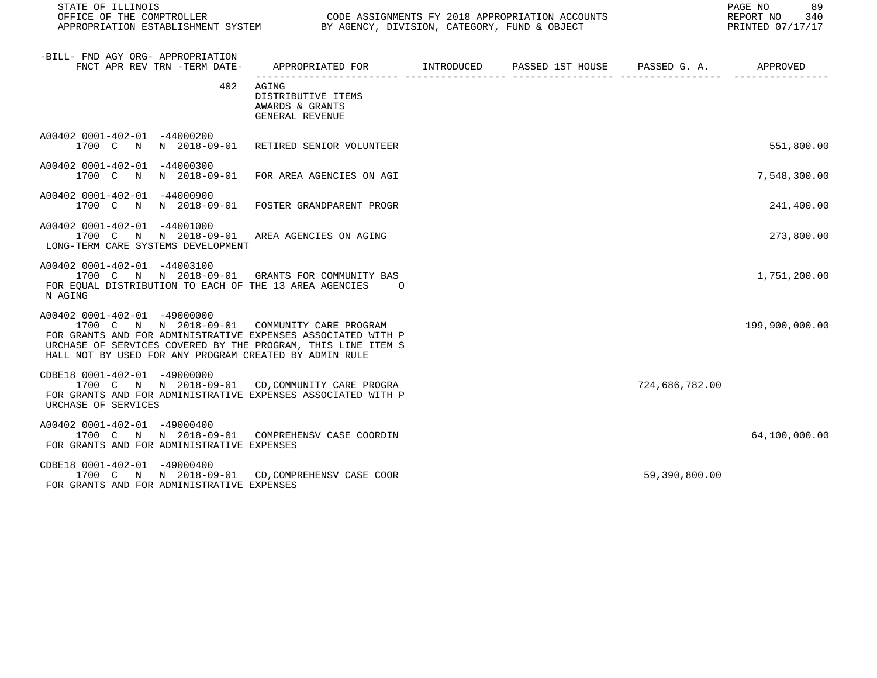STATE OF ILLINOIS<br>
STATE OF THE COMPTROLLER
OF THE COMPTROLLER

OFFICE OF THE COMPTROLLER

SUCERILLY LINE OF THE COMPTROLLER

UNITELLY AND CODE ASSIGNMENTS FY 2018 APPROPRIATION ACCOUNTS

| -BILL- FND AGY ORG- APPROPRIATION<br>FNCT APR REV TRN -TERM DATE-                                                                                                                                                                                                      | APPROPRIATED FOR INTRODUCED                                       | PASSED 1ST HOUSE PASSED G. A. |                | APPROVED       |
|------------------------------------------------------------------------------------------------------------------------------------------------------------------------------------------------------------------------------------------------------------------------|-------------------------------------------------------------------|-------------------------------|----------------|----------------|
| 402                                                                                                                                                                                                                                                                    | AGING<br>DISTRIBUTIVE ITEMS<br>AWARDS & GRANTS<br>GENERAL REVENUE |                               |                |                |
| A00402 0001-402-01 -44000200<br>1700 C N N 2018-09-01 RETIRED SENIOR VOLUNTEER                                                                                                                                                                                         |                                                                   |                               |                | 551,800.00     |
| A00402 0001-402-01 -44000300<br>1700 C                                                                                                                                                                                                                                 | N N 2018-09-01 FOR AREA AGENCIES ON AGI                           |                               |                | 7,548,300.00   |
| A00402 0001-402-01 -44000900<br>1700 C N N 2018-09-01                                                                                                                                                                                                                  | FOSTER GRANDPARENT PROGR                                          |                               |                | 241,400.00     |
| A00402 0001-402-01 -44001000<br>1700 C<br>LONG-TERM CARE SYSTEMS DEVELOPMENT                                                                                                                                                                                           | N N 2018-09-01 AREA AGENCIES ON AGING                             |                               |                | 273,800.00     |
| A00402 0001-402-01 -44003100<br>1700 C N N 2018-09-01 GRANTS FOR COMMUNITY BAS<br>FOR EOUAL DISTRIBUTION TO EACH OF THE 13 AREA AGENCIES<br>N AGING                                                                                                                    | $\Omega$                                                          |                               |                | 1,751,200.00   |
| A00402 0001-402-01 -49000000<br>1700 C N N 2018-09-01 COMMUNITY CARE PROGRAM<br>FOR GRANTS AND FOR ADMINISTRATIVE EXPENSES ASSOCIATED WITH P<br>URCHASE OF SERVICES COVERED BY THE PROGRAM, THIS LINE ITEM S<br>HALL NOT BY USED FOR ANY PROGRAM CREATED BY ADMIN RULE |                                                                   |                               |                | 199,900,000.00 |
| CDBE18 0001-402-01 -49000000<br>1700 C N N 2018-09-01 CD, COMMUNITY CARE PROGRA<br>FOR GRANTS AND FOR ADMINISTRATIVE EXPENSES ASSOCIATED WITH P<br>URCHASE OF SERVICES                                                                                                 |                                                                   |                               | 724,686,782.00 |                |
| A00402 0001-402-01 -49000400<br>1700 C N N 2018-09-01<br>FOR GRANTS AND FOR ADMINISTRATIVE EXPENSES                                                                                                                                                                    | COMPREHENSV CASE COORDIN                                          |                               |                | 64,100,000.00  |
| CDBE18 0001-402-01 -49000400<br>1700 C N N 2018-09-01 CD, COMPREHENSV CASE COOR<br>FOR GRANTS AND FOR ADMINISTRATIVE EXPENSES                                                                                                                                          |                                                                   |                               | 59,390,800.00  |                |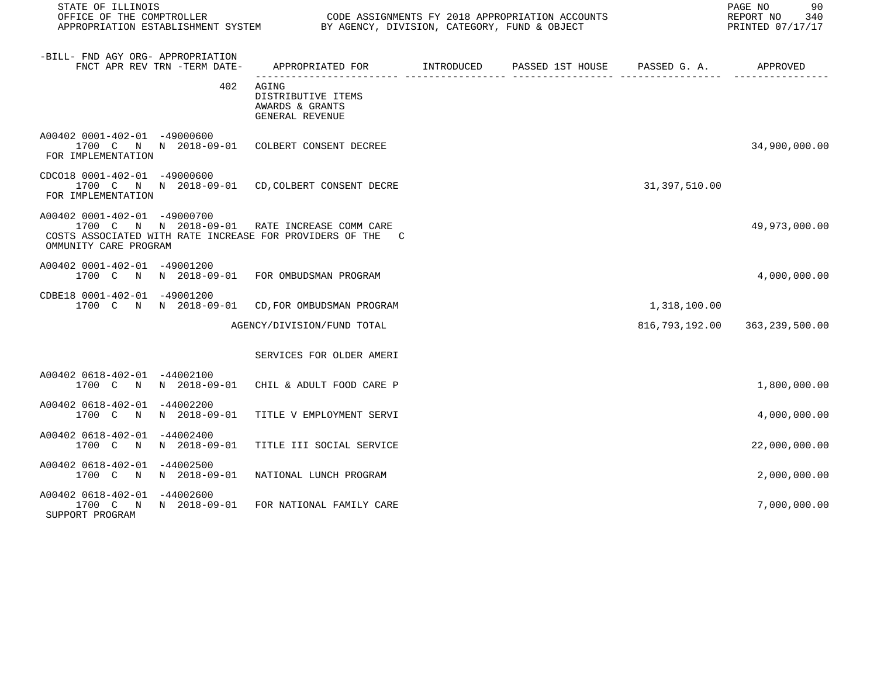| STATE OF ILLINOIS                                                 |                |                                                                                                             |  |                | PAGE NO<br>90<br>REPORT NO 340<br>PRINTED 07/17/17 |
|-------------------------------------------------------------------|----------------|-------------------------------------------------------------------------------------------------------------|--|----------------|----------------------------------------------------|
| -BILL- FND AGY ORG- APPROPRIATION<br>FNCT APR REV TRN -TERM DATE- |                | APPROPRIATED FOR        INTRODUCED     PASSED 1ST HOUSE     PASSED G. A.         APPROVED                   |  |                |                                                    |
|                                                                   | 402            | AGING<br>DISTRIBUTIVE ITEMS<br>AWARDS & GRANTS<br>GENERAL REVENUE                                           |  |                |                                                    |
| A00402 0001-402-01 -49000600<br>FOR IMPLEMENTATION                |                | 1700 C N N 2018-09-01 COLBERT CONSENT DECREE                                                                |  |                | 34,900,000.00                                      |
| CDC018 0001-402-01 -49000600<br>FOR IMPLEMENTATION                |                | 1700 C N N 2018-09-01 CD, COLBERT CONSENT DECRE                                                             |  | 31,397,510.00  |                                                    |
| A00402 0001-402-01 -49000700<br>OMMUNITY CARE PROGRAM             |                | 1700 C N N 2018-09-01 RATE INCREASE COMM CARE<br>COSTS ASSOCIATED WITH RATE INCREASE FOR PROVIDERS OF THE C |  |                | 49,973,000.00                                      |
| A00402 0001-402-01 -49001200                                      |                | 1700 C N N 2018-09-01 FOR OMBUDSMAN PROGRAM                                                                 |  |                | 4,000,000.00                                       |
| CDBE18 0001-402-01 -49001200                                      |                | 1700 C N N 2018-09-01 CD, FOR OMBUDSMAN PROGRAM                                                             |  | 1,318,100.00   |                                                    |
|                                                                   |                | AGENCY/DIVISION/FUND TOTAL                                                                                  |  | 816,793,192.00 | 363,239,500.00                                     |
|                                                                   |                | SERVICES FOR OLDER AMERI                                                                                    |  |                |                                                    |
| A00402 0618-402-01 -44002100<br>1700 C N N 2018-09-01             |                | CHIL & ADULT FOOD CARE P                                                                                    |  |                | 1,800,000.00                                       |
| A00402 0618-402-01 -44002200<br>1700 C                            | N N 2018-09-01 | TITLE V EMPLOYMENT SERVI                                                                                    |  |                | 4,000,000.00                                       |
| A00402 0618-402-01 -44002400<br>1700 C                            | N N 2018-09-01 | TITLE III SOCIAL SERVICE                                                                                    |  |                | 22,000,000.00                                      |
| A00402 0618-402-01 -44002500<br>1700 C N N 2018-09-01             |                | NATIONAL LUNCH PROGRAM                                                                                      |  |                | 2,000,000.00                                       |
| A00402 0618-402-01 -44002600<br>1700 C N N 2018-09-01             |                | FOR NATIONAL FAMILY CARE                                                                                    |  |                | 7,000,000.00                                       |

SUPPORT PROGRAM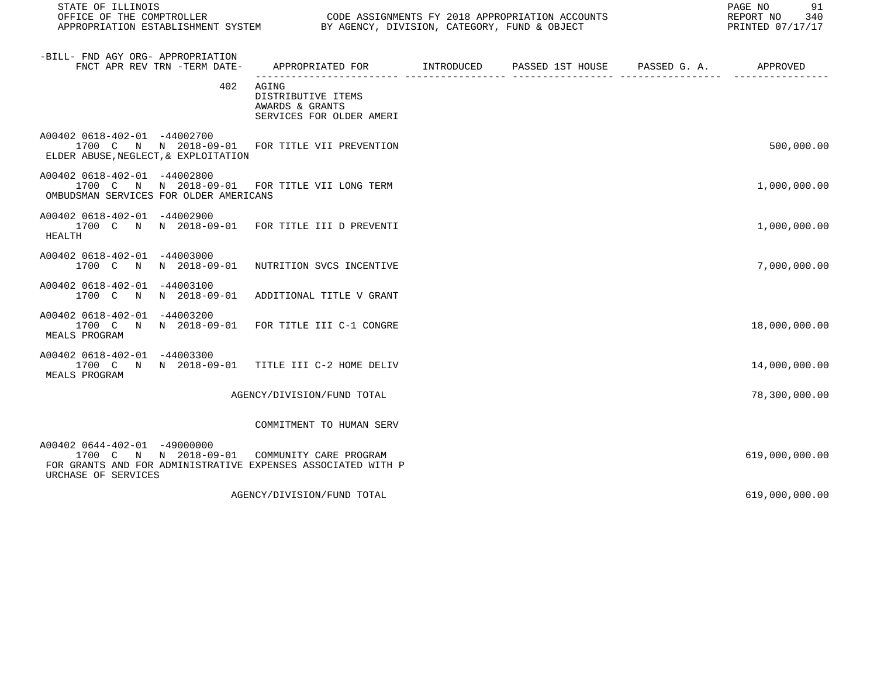STATE OF ILLINOIS<br>
STATE OF THE COMPTROLLER
OULLER
OULLER
OULLER
OULLER
OULLER
SURFICE OF THE COMPTROLLER
SURFICE OF THE COMPTROLLER
OULLER
OULLERIELLER
SURFICE OF THE COMPTROLLER
SURFICE OF THE COMPTROLLER
SURFICE OF THE

CODE ASSIGNMENTS FY 2018 APPROPRIATION ACCOUNTS FOR THE REPORT NO 340 REPORT NO 340 SANTED 07/17/17 APPROPRIATION ESTABLISHMENT SYSTEM BY AGENCY, DIVISION, CATEGORY, FUND & OBJECT

| -BILL- FND AGY ORG- APPROPRIATION<br>FNCT APR REV TRN -TERM DATE-                                                                            | APPROPRIATED FOR                                                           | INTRODUCED | PASSED 1ST HOUSE PASSED G. A. | APPROVED       |
|----------------------------------------------------------------------------------------------------------------------------------------------|----------------------------------------------------------------------------|------------|-------------------------------|----------------|
| 402                                                                                                                                          | AGING<br>DISTRIBUTIVE ITEMS<br>AWARDS & GRANTS<br>SERVICES FOR OLDER AMERI |            |                               |                |
| A00402 0618-402-01 -44002700<br>1700 C N N 2018-09-01 FOR TITLE VII PREVENTION<br>ELDER ABUSE, NEGLECT, & EXPLOITATION                       |                                                                            |            |                               | 500,000.00     |
| A00402 0618-402-01 -44002800<br>1700 C N N 2018-09-01 FOR TITLE VII LONG TERM<br>OMBUDSMAN SERVICES FOR OLDER AMERICANS                      |                                                                            |            |                               | 1,000,000.00   |
| A00402 0618-402-01 -44002900<br>1700 C N N 2018-09-01 FOR TITLE III D PREVENTI<br>HEALTH                                                     |                                                                            |            |                               | 1,000,000.00   |
| A00402 0618-402-01 -44003000<br>1700 C N N 2018-09-01 NUTRITION SVCS INCENTIVE                                                               |                                                                            |            |                               | 7,000,000.00   |
| A00402 0618-402-01 -44003100<br>1700 C N N 2018-09-01                                                                                        | ADDITIONAL TITLE V GRANT                                                   |            |                               |                |
| A00402 0618-402-01 -44003200<br>1700 C N N 2018-09-01 FOR TITLE III C-1 CONGRE<br>MEALS PROGRAM                                              |                                                                            |            |                               | 18,000,000.00  |
| A00402 0618-402-01 -44003300<br>1700 C N N 2018-09-01<br>MEALS PROGRAM                                                                       | TITLE III C-2 HOME DELIV                                                   |            |                               | 14,000,000.00  |
|                                                                                                                                              | AGENCY/DIVISION/FUND TOTAL                                                 |            |                               | 78,300,000.00  |
|                                                                                                                                              | COMMITMENT TO HUMAN SERV                                                   |            |                               |                |
| A00402 0644-402-01 -49000000<br>1700 C N N 2018-09-01<br>FOR GRANTS AND FOR ADMINISTRATIVE EXPENSES ASSOCIATED WITH P<br>URCHASE OF SERVICES | COMMUNITY CARE PROGRAM                                                     |            |                               | 619,000,000.00 |
|                                                                                                                                              | AGENCY/DIVISION/FUND TOTAL                                                 |            |                               | 619,000,000.00 |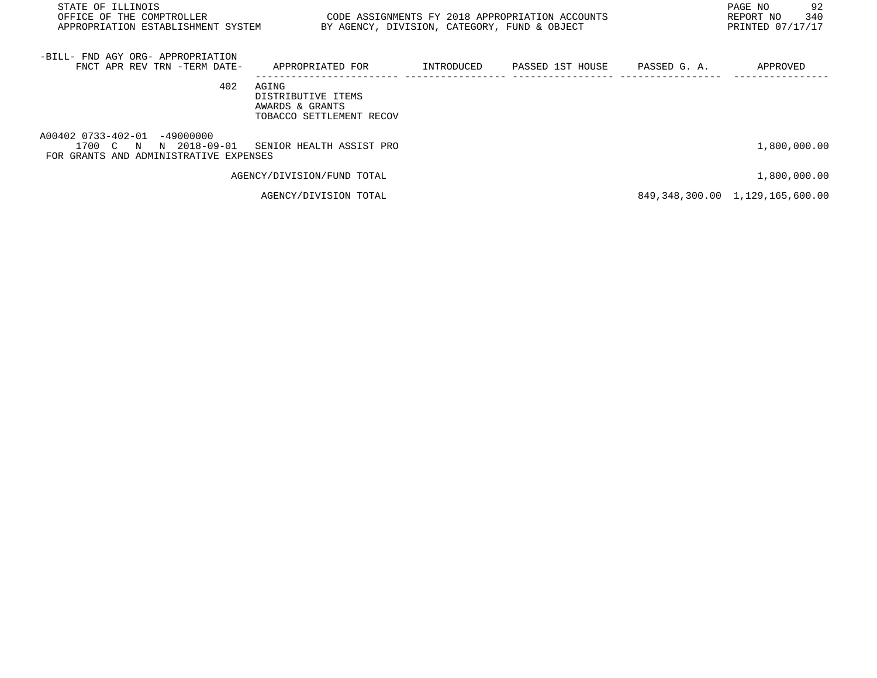| STATE OF ILLINOIS<br>OFFICE OF THE COMPTROLLER<br>APPROPRIATION ESTABLISHMENT SYSTEM                                     | BY AGENCY, DIVISION, CATEGORY, FUND & OBJECT                               | CODE ASSIGNMENTS FY 2018 APPROPRIATION ACCOUNTS |              | 92<br>PAGE NO<br>340<br>REPORT NO<br>PRINTED 07/17/17 |
|--------------------------------------------------------------------------------------------------------------------------|----------------------------------------------------------------------------|-------------------------------------------------|--------------|-------------------------------------------------------|
| -BILL- FND AGY ORG- APPROPRIATION<br>FNCT APR REV TRN -TERM DATE-                                                        | APPROPRIATED FOR                                                           | INTRODUCED PASSED 1ST HOUSE                     | PASSED G. A. | APPROVED                                              |
| 402                                                                                                                      | AGING<br>DISTRIBUTIVE ITEMS<br>AWARDS & GRANTS<br>TOBACCO SETTLEMENT RECOV |                                                 |              |                                                       |
| A00402 0733-402-01 -49000000<br>1700 C N N 2018-09-01 SENIOR HEALTH ASSIST PRO<br>FOR GRANTS AND ADMINISTRATIVE EXPENSES |                                                                            |                                                 |              | 1,800,000.00                                          |
|                                                                                                                          | AGENCY/DIVISION/FUND TOTAL                                                 |                                                 |              | 1,800,000.00                                          |
|                                                                                                                          | AGENCY/DIVISION TOTAL                                                      |                                                 |              | 849, 348, 300.00 1, 129, 165, 600.00                  |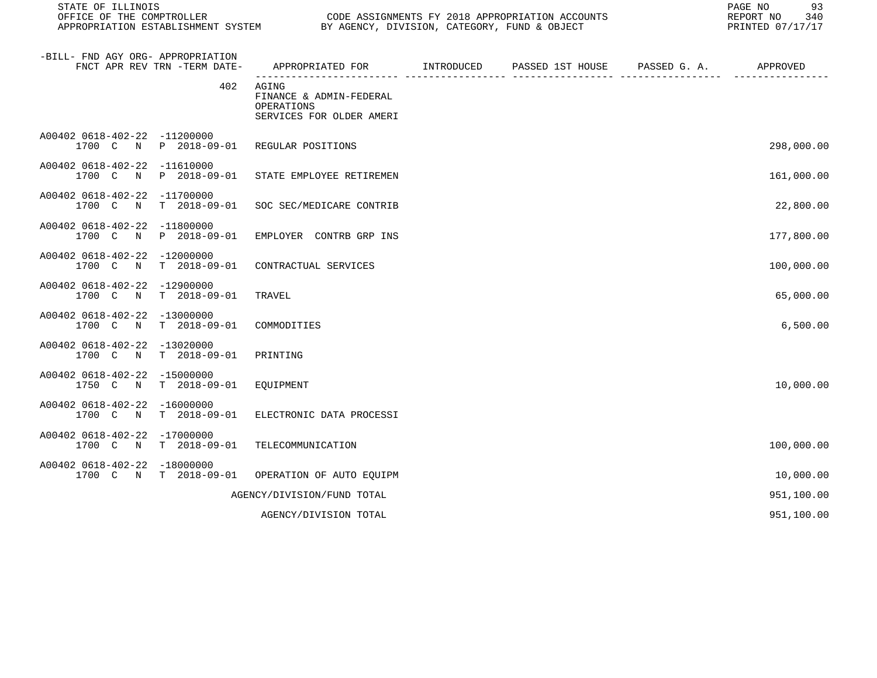STATE OF ILLINOIS PAGE NO 93

| -BILL- FND AGY ORG- APPROPRIATION<br>FNCT APR REV TRN -TERM DATE-          | APPROPRIATED FOR                                                           | INTRODUCED | PASSED 1ST HOUSE | PASSED G. A. | APPROVED   |
|----------------------------------------------------------------------------|----------------------------------------------------------------------------|------------|------------------|--------------|------------|
| 402                                                                        | AGING<br>FINANCE & ADMIN-FEDERAL<br>OPERATIONS<br>SERVICES FOR OLDER AMERI |            |                  |              |            |
| A00402 0618-402-22 -11200000<br>1700 C<br>P 2018-09-01<br>N                | REGULAR POSITIONS                                                          |            |                  |              | 298,000.00 |
| A00402 0618-402-22<br>$-11610000$<br>1700 C<br>$\mathbf N$<br>P 2018-09-01 | STATE EMPLOYEE RETIREMEN                                                   |            |                  |              | 161,000.00 |
| A00402 0618-402-22 -11700000<br>1700 C<br>N<br>$T = 2018 - 09 - 01$        | SOC SEC/MEDICARE CONTRIB                                                   |            |                  |              | 22,800.00  |
| A00402 0618-402-22<br>$-11800000$<br>1700 C<br>P 2018-09-01<br>$\mathbb N$ | EMPLOYER CONTRB GRP INS                                                    |            |                  |              | 177,800.00 |
| A00402 0618-402-22 -12000000<br>$T = 2018 - 09 - 01$<br>1700 C<br>N        | CONTRACTUAL SERVICES                                                       |            |                  |              | 100,000.00 |
| $-12900000$<br>A00402 0618-402-22<br>1700 C N<br>$T = 2018 - 09 - 01$      | TRAVEL                                                                     |            |                  |              | 65,000.00  |
| A00402 0618-402-22<br>$-13000000$<br>1700 C<br>$T = 2018 - 09 - 01$<br>N   | COMMODITIES                                                                |            |                  |              | 6,500.00   |
| A00402 0618-402-22<br>$-13020000$<br>1700 C N<br>$T = 2018 - 09 - 01$      | PRINTING                                                                   |            |                  |              |            |
| A00402 0618-402-22<br>$-15000000$<br>1750 C N<br>$T$ 2018-09-01            | EQUIPMENT                                                                  |            |                  |              | 10,000.00  |
| A00402 0618-402-22<br>$-16000000$<br>1700 C<br>$T = 2018 - 09 - 01$<br>N   | ELECTRONIC DATA PROCESSI                                                   |            |                  |              |            |
| A00402 0618-402-22<br>$-17000000$<br>1700 C N<br>$T$ 2018-09-01            | TELECOMMUNICATION                                                          |            |                  |              | 100,000.00 |
| A00402 0618-402-22<br>$-18000000$<br>1700 C N<br>$T$ 2018-09-01            | OPERATION OF AUTO EQUIPM                                                   |            |                  |              | 10,000.00  |
|                                                                            | AGENCY/DIVISION/FUND TOTAL                                                 |            |                  |              | 951,100.00 |
|                                                                            | AGENCY/DIVISION TOTAL                                                      |            |                  |              | 951,100.00 |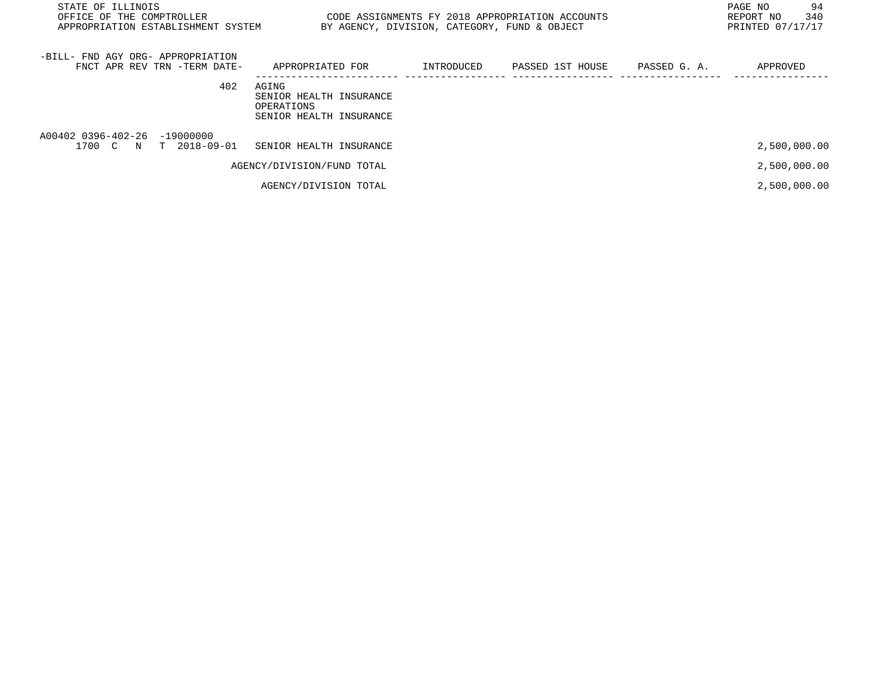| STATE OF ILLINOIS<br>OFFICE OF THE COMPTROLLER<br>APPROPRIATION ESTABLISHMENT SYSTEM |                                                                           | BY AGENCY, DIVISION, CATEGORY, FUND & OBJECT | CODE ASSIGNMENTS FY 2018 APPROPRIATION ACCOUNTS |              | 94<br>PAGE NO<br>340<br>REPORT NO<br>PRINTED 07/17/17 |
|--------------------------------------------------------------------------------------|---------------------------------------------------------------------------|----------------------------------------------|-------------------------------------------------|--------------|-------------------------------------------------------|
| -BILL- FND AGY ORG- APPROPRIATION<br>FNCT APR REV TRN -TERM DATE-                    | APPROPRIATED FOR                                                          |                                              | INTRODUCED PASSED 1ST HOUSE                     | PASSED G. A. | APPROVED                                              |
| 402                                                                                  | AGING<br>SENIOR HEALTH INSURANCE<br>OPERATIONS<br>SENIOR HEALTH INSURANCE |                                              |                                                 |              |                                                       |
| A00402 0396-402-26 -19000000<br>1700 C N T 2018-09-01                                | SENIOR HEALTH INSURANCE                                                   |                                              |                                                 |              | 2,500,000.00                                          |
|                                                                                      | AGENCY/DIVISION/FUND TOTAL                                                |                                              |                                                 |              | 2,500,000.00                                          |
|                                                                                      | AGENCY/DIVISION TOTAL                                                     |                                              |                                                 |              | 2,500,000.00                                          |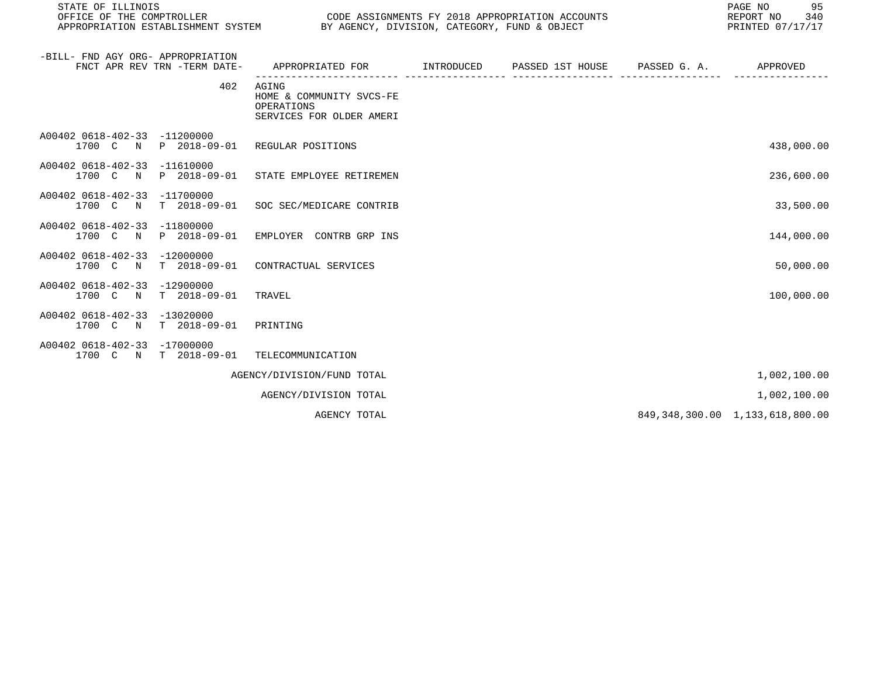| STATE OF ILLINOIS                                                                   |                                                                                |                               |  | 95<br>PAGE NO<br>REPORT NO<br>340<br>PRINTED 07/17/17 |
|-------------------------------------------------------------------------------------|--------------------------------------------------------------------------------|-------------------------------|--|-------------------------------------------------------|
| -BILL- FND AGY ORG- APPROPRIATION<br>FNCT APR REV TRN -TERM DATE-                   | APPROPRIATED FOR      INTRODUCED   PASSED 1ST HOUSE   PASSED G.A.     APPROVED |                               |  |                                                       |
| 402                                                                                 | AGING<br>HOME & COMMUNITY SVCS-FE<br>OPERATIONS<br>SERVICES FOR OLDER AMERI    | __________ __________________ |  |                                                       |
| A00402 0618-402-33 -11200000<br>1700 C N                                            | P 2018-09-01 REGULAR POSITIONS                                                 |                               |  | 438,000.00                                            |
| A00402 0618-402-33 -11610000<br>1700 C N P 2018-09-01 STATE EMPLOYEE RETIREMEN      |                                                                                |                               |  | 236,600.00                                            |
| A00402 0618-402-33<br>$-11700000$<br>1700 C N T 2018-09-01 SOC SEC/MEDICARE CONTRIB |                                                                                |                               |  | 33,500.00                                             |
| A00402 0618-402-33 -11800000<br>1700 C N P 2018-09-01 EMPLOYER CONTRB GRP INS       |                                                                                |                               |  | 144,000.00                                            |
| A00402 0618-402-33 -12000000<br>1700 C N                                            | T 2018-09-01 CONTRACTUAL SERVICES                                              |                               |  | 50,000.00                                             |
| A00402 0618-402-33 -12900000<br>T 2018-09-01 TRAVEL<br>1700 C N                     |                                                                                |                               |  | 100,000.00                                            |
| A00402 0618-402-33 -13020000<br>1700 C N T 2018-09-01                               | PRINTING                                                                       |                               |  |                                                       |
| A00402 0618-402-33 -17000000<br>1700 C N T 2018-09-01 TELECOMMUNICATION             |                                                                                |                               |  |                                                       |
|                                                                                     | AGENCY/DIVISION/FUND TOTAL                                                     |                               |  | 1,002,100.00                                          |

AGENCY/DIVISION TOTAL 1,002,100.00

AGENCY TOTAL 849,348,300.00 1,133,618,800.00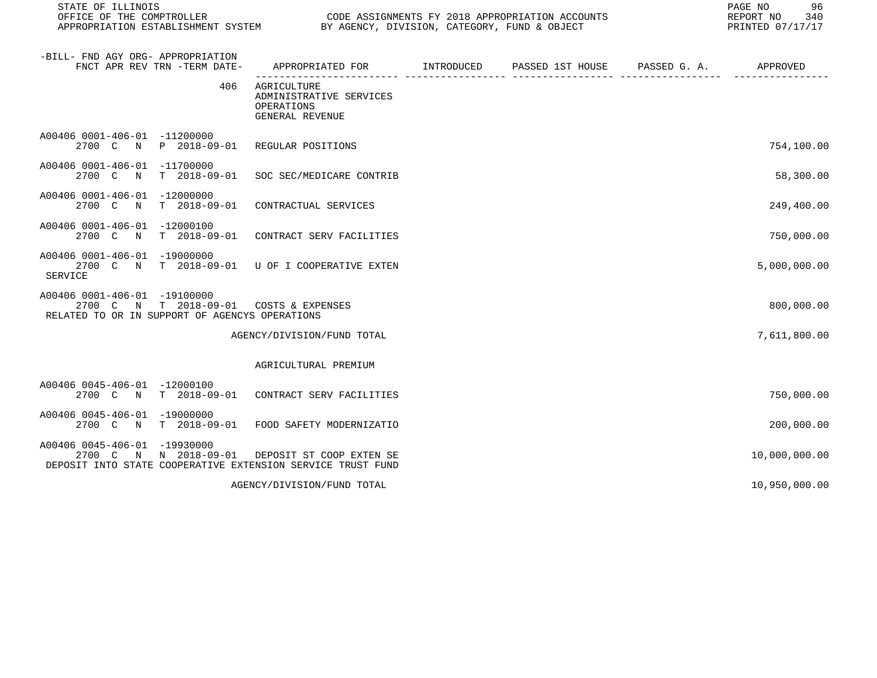| STATE OF ILLINOIS<br>OFFICE OF THE COMPTROLLER                                                          |                              | APPROPRIATION ESTABLISHMENT SYSTEM BY AGENCY, DIVISION, CATEGORY, FUND & OBJECT         | CODE ASSIGNMENTS FY 2018 APPROPRIATION ACCOUNTS | 96<br>PAGE NO<br>REPORT NO<br>340<br>PRINTED 07/17/17 |
|---------------------------------------------------------------------------------------------------------|------------------------------|-----------------------------------------------------------------------------------------|-------------------------------------------------|-------------------------------------------------------|
| -BILL- FND AGY ORG- APPROPRIATION                                                                       | FNCT APR REV TRN -TERM DATE- | APPROPRIATED FOR TINTRODUCED PASSED 1ST HOUSE PASSED G.A.                               |                                                 | APPROVED                                              |
|                                                                                                         | 406                          | AGRICULTURE<br>ADMINISTRATIVE SERVICES<br>OPERATIONS<br>GENERAL REVENUE                 |                                                 |                                                       |
| A00406 0001-406-01 -11200000                                                                            |                              | 2700 C N P 2018-09-01 REGULAR POSITIONS                                                 |                                                 | 754,100.00                                            |
| A00406 0001-406-01 -11700000<br>2700 C N                                                                | T 2018-09-01                 | SOC SEC/MEDICARE CONTRIB                                                                |                                                 | 58,300.00                                             |
| A00406 0001-406-01 -12000000<br>2700 C N                                                                | $T = 2018 - 09 - 01$         | CONTRACTUAL SERVICES                                                                    |                                                 | 249,400.00                                            |
| A00406 0001-406-01 -12000100<br>2700 C<br>$\mathbb N$                                                   |                              | T 2018-09-01 CONTRACT SERV FACILITIES                                                   |                                                 | 750,000.00                                            |
| A00406 0001-406-01 -19000000<br><b>SERVICE</b>                                                          |                              | 2700 C N T 2018-09-01 U OF I COOPERATIVE EXTEN                                          |                                                 | 5,000,000.00                                          |
| A00406 0001-406-01 -19100000<br>2700 C<br>$\mathbb N$<br>RELATED TO OR IN SUPPORT OF AGENCYS OPERATIONS | T 2018-09-01                 | COSTS & EXPENSES                                                                        |                                                 | 800,000.00                                            |
|                                                                                                         |                              | AGENCY/DIVISION/FUND TOTAL                                                              |                                                 | 7,611,800.00                                          |
|                                                                                                         |                              | AGRICULTURAL PREMIUM                                                                    |                                                 |                                                       |
| A00406 0045-406-01 -12000100                                                                            |                              | 2700 C N T 2018-09-01 CONTRACT SERV FACILITIES                                          |                                                 | 750,000.00                                            |
| A00406 0045-406-01 -19000000<br>2700 C N                                                                | T 2018-09-01                 | FOOD SAFETY MODERNIZATIO                                                                |                                                 | 200,000.00                                            |
| A00406 0045-406-01 -19930000                                                                            | 2700 C N N 2018-09-01        | DEPOSIT ST COOP EXTEN SE<br>DEPOSIT INTO STATE COOPERATIVE EXTENSION SERVICE TRUST FUND |                                                 | 10,000,000.00                                         |
|                                                                                                         |                              | AGENCY/DIVISION/FUND TOTAL                                                              |                                                 | 10,950,000.00                                         |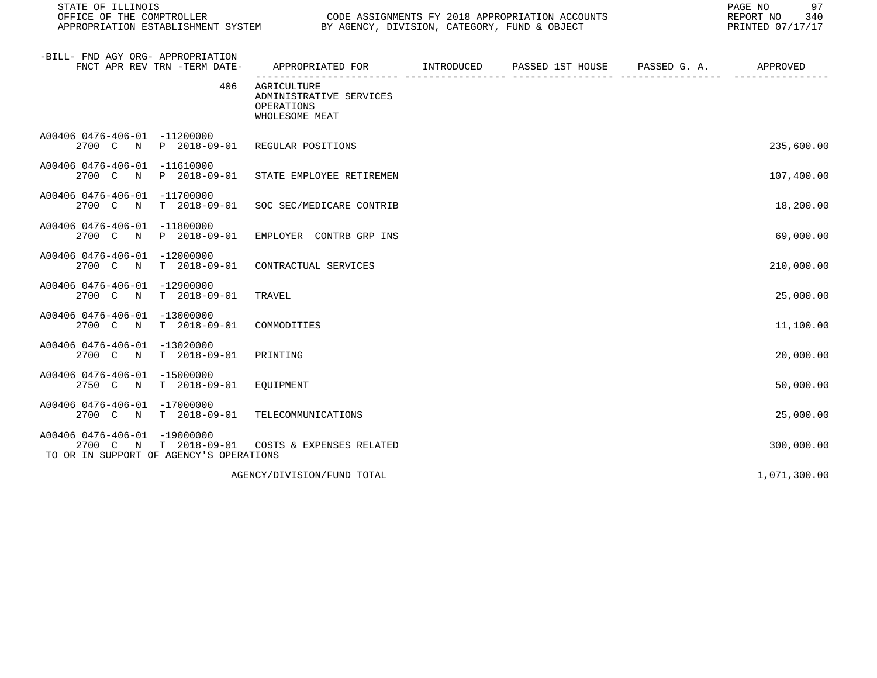STATE OF ILLINOIS<br>
STATE OF THE COMPTROLLER
OULLER
OULLER
OULLER
OULLER
OULLER
SURFICE OF THE COMPTROLLER
SURFICE OF THE COMPTROLLER
OULLER
OULLERIELLER
SURFICE OF THE COMPTROLLER
SURFICE OF THE COMPTROLLER APPROPRIATION ESTABLISHMENT SYSTEM BY AGENCY, DIVISION, CATEGORY, FUND & OBJECT

| -BILL- FND AGY ORG- APPROPRIATION<br>FNCT APR REV TRN -TERM DATE-                                             | APPROPRIATED FOR                                                       | INTRODUCED | PASSED 1ST HOUSE | PASSED G. A. | APPROVED     |
|---------------------------------------------------------------------------------------------------------------|------------------------------------------------------------------------|------------|------------------|--------------|--------------|
| 406                                                                                                           | AGRICULTURE<br>ADMINISTRATIVE SERVICES<br>OPERATIONS<br>WHOLESOME MEAT |            |                  |              |              |
| A00406 0476-406-01 -11200000<br>2700 C<br>P 2018-09-01<br>N                                                   | REGULAR POSITIONS                                                      |            |                  |              | 235,600.00   |
| $-11610000$<br>A00406 0476-406-01<br>P 2018-09-01<br>2700 C<br>N                                              | STATE EMPLOYEE RETIREMEN                                               |            |                  |              | 107,400.00   |
| A00406 0476-406-01<br>$-11700000$<br>2700 C<br>$T = 2018 - 09 - 01$<br>N                                      | SOC SEC/MEDICARE CONTRIB                                               |            |                  |              | 18,200.00    |
| A00406 0476-406-01<br>$-11800000$<br>2700 C<br>P 2018-09-01<br>N                                              | EMPLOYER CONTRB GRP INS                                                |            |                  |              | 69,000.00    |
| A00406 0476-406-01<br>$-12000000$<br>$T = 2018 - 09 - 01$<br>2700 C<br>$\mathbb N$                            | CONTRACTUAL SERVICES                                                   |            |                  |              | 210,000.00   |
| A00406 0476-406-01<br>$-12900000$<br>$T$ 2018-09-01<br>2700 C<br>N                                            | TRAVEL                                                                 |            |                  |              | 25,000.00    |
| A00406 0476-406-01<br>$-13000000$<br>2700 C<br>$T = 2018 - 09 - 01$<br>N                                      | COMMODITIES                                                            |            |                  |              | 11,100.00    |
| A00406 0476-406-01<br>$-13020000$<br>2700 C<br>$T = 2018 - 09 - 01$<br>N                                      | PRINTING                                                               |            |                  |              | 20,000.00    |
| A00406 0476-406-01<br>$-15000000$<br>2750 C<br>$T$ 2018-09-01<br>N                                            | EQUIPMENT                                                              |            |                  |              | 50,000.00    |
| A00406 0476-406-01<br>$-17000000$<br>2700 C N<br>$T$ 2018-09-01                                               | TELECOMMUNICATIONS                                                     |            |                  |              | 25,000.00    |
| A00406 0476-406-01<br>$-19000000$<br>2700 C<br>$T$ 2018-09-01<br>N<br>TO OR IN SUPPORT OF AGENCY'S OPERATIONS | COSTS & EXPENSES RELATED                                               |            |                  |              | 300,000.00   |
|                                                                                                               | AGENCY/DIVISION/FUND TOTAL                                             |            |                  |              | 1,071,300.00 |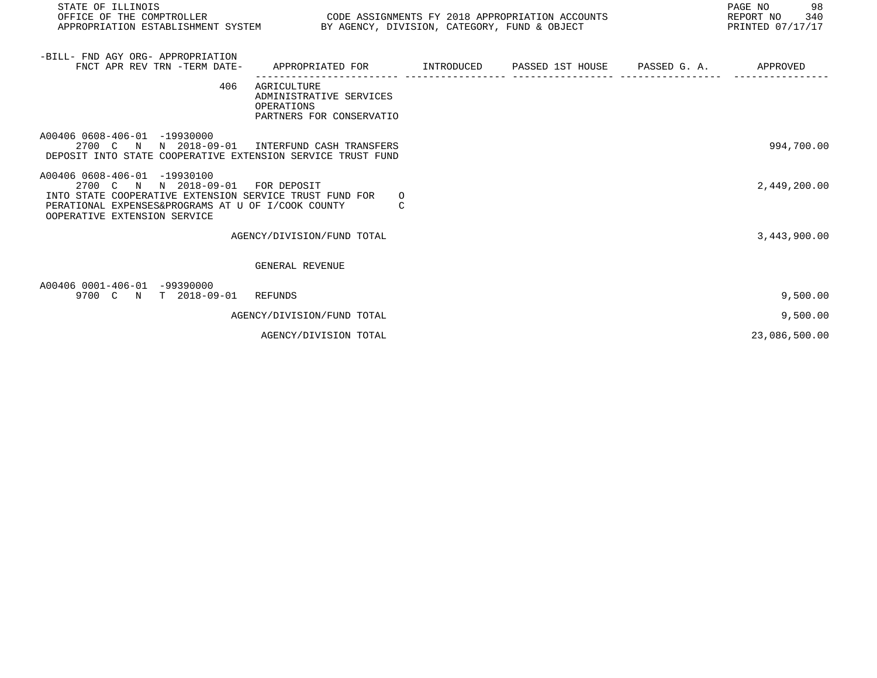| STATE OF ILLINOIS<br>OFFICE OF THE COMPTROLLER COLORENT CODE ASSIGNMENTS FY 2018 APPROPRIATION ACCOUNTS<br>APPROPRIATION ESTABLISHMENT SYSTEM BY AGENCY, DIVISION, CATEGORY, FUND & OBJECT                         |                                                                                           |  | 98<br>PAGE NO<br>REPORT NO 340<br>PRINTED 07/17/17 |
|--------------------------------------------------------------------------------------------------------------------------------------------------------------------------------------------------------------------|-------------------------------------------------------------------------------------------|--|----------------------------------------------------|
| -BILL- FND AGY ORG- APPROPRIATION<br>FNCT APR REV TRN -TERM DATE-                                                                                                                                                  | APPROPRIATED FOR        INTRODUCED     PASSED 1ST HOUSE     PASSED G. A.         APPROVED |  |                                                    |
| 406                                                                                                                                                                                                                | AGRICULTURE<br>ADMINISTRATIVE SERVICES<br>OPERATIONS<br>PARTNERS FOR CONSERVATIO          |  |                                                    |
| A00406 0608-406-01 -19930000<br>2700 C N N 2018-09-01 INTERFUND CASH TRANSFERS<br>DEPOSIT INTO STATE COOPERATIVE EXTENSION SERVICE TRUST FUND                                                                      |                                                                                           |  | 994,700.00                                         |
| A00406 0608-406-01 -19930100<br>2700 C N N 2018-09-01 FOR DEPOSIT<br>INTO STATE COOPERATIVE EXTENSION SERVICE TRUST FUND FOR<br>PERATIONAL EXPENSES&PROGRAMS AT U OF I/COOK COUNTY<br>OOPERATIVE EXTENSION SERVICE | $\Omega$<br>C                                                                             |  | 2,449,200.00                                       |
|                                                                                                                                                                                                                    | AGENCY/DIVISION/FUND TOTAL                                                                |  | 3,443,900.00                                       |
|                                                                                                                                                                                                                    | GENERAL REVENUE                                                                           |  |                                                    |
| A00406 0001-406-01 -99390000<br>9700 C N T 2018-09-01                                                                                                                                                              | REFUNDS                                                                                   |  | 9,500.00                                           |
|                                                                                                                                                                                                                    | AGENCY/DIVISION/FUND TOTAL                                                                |  | 9,500.00                                           |

AGENCY/DIVISION TOTAL 23,086,500.00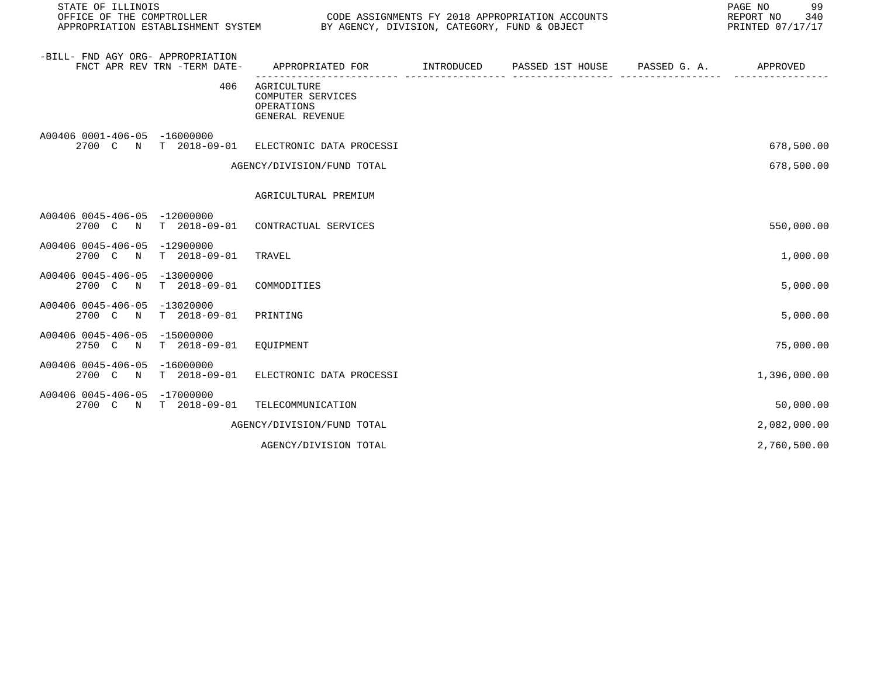| STATE OF ILLINOIS<br>OFFICE OF THE COMPTROLLER<br>APPROPRIATION ESTABLISHMENT SYSTEM BY AGENCY, DIVISION, CATEGORY, FUND & OBJECT | CODE ASSIGNMENTS FY 2018 APPROPRIATION ACCOUNTS                          |                                                                                           |  | 99<br>PAGE NO<br>REPORT NO 340<br>PRINTED 07/17/17 |
|-----------------------------------------------------------------------------------------------------------------------------------|--------------------------------------------------------------------------|-------------------------------------------------------------------------------------------|--|----------------------------------------------------|
| -BILL- FND AGY ORG- APPROPRIATION<br>FNCT APR REV TRN -TERM DATE-                                                                 |                                                                          | APPROPRIATED FOR        INTRODUCED     PASSED 1ST HOUSE     PASSED G. A.         APPROVED |  |                                                    |
|                                                                                                                                   | 406<br>AGRICULTURE<br>COMPUTER SERVICES<br>OPERATIONS<br>GENERAL REVENUE |                                                                                           |  |                                                    |
| A00406 0001-406-05 -16000000                                                                                                      | 2700 C N T 2018-09-01 ELECTRONIC DATA PROCESSI                           |                                                                                           |  | 678,500.00                                         |
|                                                                                                                                   | AGENCY/DIVISION/FUND TOTAL                                               |                                                                                           |  | 678,500.00                                         |
|                                                                                                                                   | AGRICULTURAL PREMIUM                                                     |                                                                                           |  |                                                    |
| A00406 0045-406-05 -12000000                                                                                                      | 2700 C N T 2018-09-01 CONTRACTUAL SERVICES                               |                                                                                           |  | 550,000.00                                         |
| A00406 0045-406-05 -12900000<br>2700 C N T 2018-09-01 TRAVEL                                                                      |                                                                          |                                                                                           |  | 1,000.00                                           |
| A00406 0045-406-05 -13000000<br>2700 C N T 2018-09-01 COMMODITIES                                                                 |                                                                          |                                                                                           |  | 5,000.00                                           |
| A00406 0045-406-05 -13020000<br>2700 C N T 2018-09-01                                                                             | PRINTING                                                                 |                                                                                           |  | 5,000.00                                           |
| A00406 0045-406-05 -15000000<br>2750 C N T 2018-09-01 EQUIPMENT                                                                   |                                                                          |                                                                                           |  | 75,000.00                                          |
| A00406 0045-406-05 -16000000                                                                                                      | 2700 C N T 2018-09-01 ELECTRONIC DATA PROCESSI                           |                                                                                           |  | 1,396,000.00                                       |

| A00406 0045-406-05 -17000000 |                                         |              |
|------------------------------|-----------------------------------------|--------------|
|                              | 2700 C N T 2018-09-01 TELECOMMUNICATION | 50,000.00    |
|                              | AGENCY/DIVISION/FUND TOTAL              | 2,082,000.00 |

AGENCY/DIVISION TOTAL 2, 2, 2000.00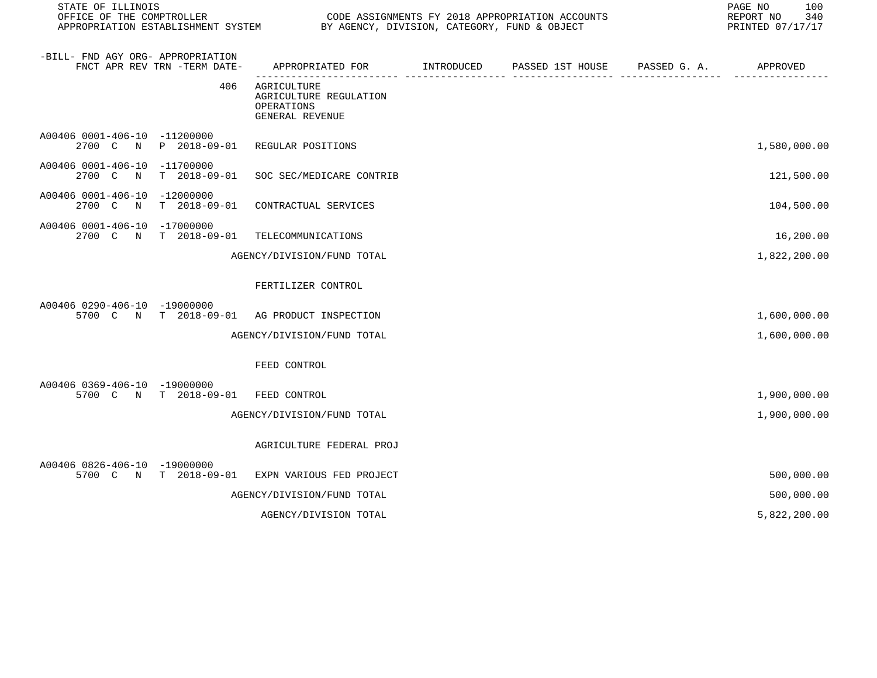| STATE OF ILLINOIS<br>OFFICE OF THE COMPTROLLER<br>APPROPRIATION ESTABLISHMENT SYSTEM | CODE ASSIGNMENTS FY 2018 APPROPRIATION ACCOUNTS<br>BY AGENCY, DIVISION, CATEGORY, FUND & OBJECT |            |                  | 100<br>PAGE NO<br>REPORT NO<br>340<br>PRINTED 07/17/17 |              |
|--------------------------------------------------------------------------------------|-------------------------------------------------------------------------------------------------|------------|------------------|--------------------------------------------------------|--------------|
| -BILL- FND AGY ORG- APPROPRIATION<br>FNCT APR REV TRN -TERM DATE-                    | APPROPRIATED FOR                                                                                | INTRODUCED | PASSED 1ST HOUSE | PASSED G. A.                                           | APPROVED     |
| 406                                                                                  | AGRICULTURE<br>AGRICULTURE REGULATION<br>OPERATIONS<br>GENERAL REVENUE                          |            |                  |                                                        |              |
| A00406 0001-406-10 -11200000<br>2700 C<br>P 2018-09-01<br>$\mathbf N$                | REGULAR POSITIONS                                                                               |            |                  |                                                        | 1,580,000.00 |
| A00406 0001-406-10 -11700000<br>2700 C<br>$\mathbb N$<br>T 2018-09-01                | SOC SEC/MEDICARE CONTRIB                                                                        |            |                  |                                                        | 121,500.00   |
| A00406 0001-406-10<br>-12000000<br>2700 C<br>$\mathbb N$<br>$T = 2018 - 09 - 01$     | CONTRACTUAL SERVICES                                                                            |            |                  |                                                        | 104,500.00   |
| A00406 0001-406-10<br>-17000000<br>2700 C N<br>T 2018-09-01                          | TELECOMMUNICATIONS                                                                              |            |                  |                                                        | 16,200.00    |
|                                                                                      | AGENCY/DIVISION/FUND TOTAL                                                                      |            |                  |                                                        | 1,822,200.00 |
|                                                                                      | FERTILIZER CONTROL                                                                              |            |                  |                                                        |              |
| A00406 0290-406-10 -19000000<br>5700 C N<br>T 2018-09-01                             | AG PRODUCT INSPECTION                                                                           |            |                  |                                                        | 1,600,000.00 |
|                                                                                      | AGENCY/DIVISION/FUND TOTAL                                                                      |            |                  |                                                        | 1,600,000.00 |
|                                                                                      | FEED CONTROL                                                                                    |            |                  |                                                        |              |
| A00406 0369-406-10 -19000000<br>5700 C N T 2018-09-01                                | FEED CONTROL                                                                                    |            |                  |                                                        | 1,900,000.00 |
|                                                                                      | AGENCY/DIVISION/FUND TOTAL                                                                      |            |                  |                                                        | 1,900,000.00 |
|                                                                                      | AGRICULTURE FEDERAL PROJ                                                                        |            |                  |                                                        |              |
| A00406 0826-406-10 -19000000<br>$T$ 2018-09-01<br>5700 C N                           | EXPN VARIOUS FED PROJECT                                                                        |            |                  |                                                        | 500,000.00   |
|                                                                                      | AGENCY/DIVISION/FUND TOTAL                                                                      |            |                  |                                                        | 500,000.00   |
|                                                                                      | AGENCY/DIVISION TOTAL                                                                           |            |                  |                                                        | 5,822,200.00 |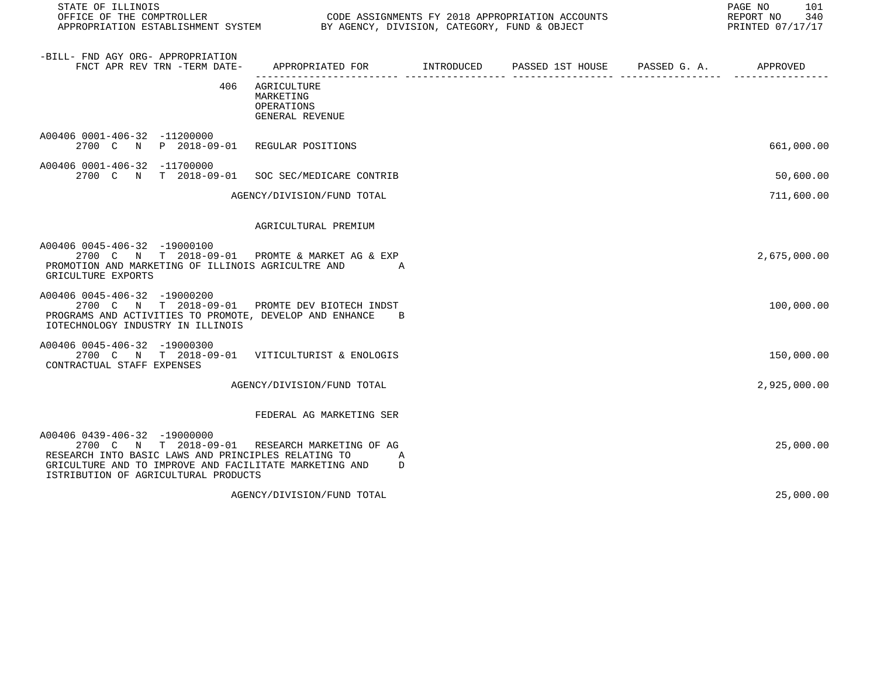STATE OF ILLINOIS PAGE NO 101

CODE ASSIGNMENTS FY 2018 APPROPRIATION ACCOUNTS FOR THE REPORT NO 340 (2018)<br>BY AGENCY, DIVISION, CATEGORY, FUND & OBJECT APPROPRIATION ESTABLISHMENT SYSTEM BY AGENCY, DIVISION, CATEGORY, FUND & OBJECT

| -BILL- FND AGY ORG- APPROPRIATION<br>FNCT APR REV TRN -TERM DATE-                                                                                                                                                         | APPROPRIATED FOR                                          | INTRODUCED | PASSED 1ST HOUSE | PASSED G. A. | APPROVED     |
|---------------------------------------------------------------------------------------------------------------------------------------------------------------------------------------------------------------------------|-----------------------------------------------------------|------------|------------------|--------------|--------------|
| 406                                                                                                                                                                                                                       | AGRICULTURE<br>MARKETING<br>OPERATIONS<br>GENERAL REVENUE |            |                  |              |              |
| A00406 0001-406-32 -11200000<br>2700 C N P 2018-09-01                                                                                                                                                                     | REGULAR POSITIONS                                         |            |                  |              | 661,000.00   |
| A00406 0001-406-32 -11700000<br>2700 C N<br>T 2018-09-01                                                                                                                                                                  | SOC SEC/MEDICARE CONTRIB                                  |            |                  |              | 50,600.00    |
|                                                                                                                                                                                                                           | AGENCY/DIVISION/FUND TOTAL                                |            |                  |              | 711,600.00   |
|                                                                                                                                                                                                                           | AGRICULTURAL PREMIUM                                      |            |                  |              |              |
| A00406 0045-406-32 -19000100<br>2700 C N T 2018-09-01<br>PROMOTION AND MARKETING OF ILLINOIS AGRICULTRE AND<br>GRICULTURE EXPORTS                                                                                         | PROMTE & MARKET AG & EXP<br>$\overline{A}$                |            |                  |              | 2,675,000.00 |
| A00406 0045-406-32 -19000200<br>2700 C N T 2018-09-01<br>PROGRAMS AND ACTIVITIES TO PROMOTE, DEVELOP AND ENHANCE<br>IOTECHNOLOGY INDUSTRY IN ILLINOIS                                                                     | PROMTE DEV BIOTECH INDST<br>B                             |            |                  |              | 100,000.00   |
| A00406 0045-406-32 -19000300<br>2700 C N T 2018-09-01<br>CONTRACTUAL STAFF EXPENSES                                                                                                                                       | VITICULTURIST & ENOLOGIS                                  |            |                  |              | 150,000.00   |
|                                                                                                                                                                                                                           | AGENCY/DIVISION/FUND TOTAL                                |            |                  |              | 2,925,000.00 |
|                                                                                                                                                                                                                           | FEDERAL AG MARKETING SER                                  |            |                  |              |              |
| A00406 0439-406-32 -19000000<br>$T = 2018 - 09 - 01$<br>2700 C N<br>RESEARCH INTO BASIC LAWS AND PRINCIPLES RELATING TO<br>GRICULTURE AND TO IMPROVE AND FACILITATE MARKETING AND<br>ISTRIBUTION OF AGRICULTURAL PRODUCTS | RESEARCH MARKETING OF AG<br>Α<br>D                        |            |                  |              | 25,000.00    |
|                                                                                                                                                                                                                           | AGENCY/DIVISION/FUND TOTAL                                |            |                  |              | 25,000.00    |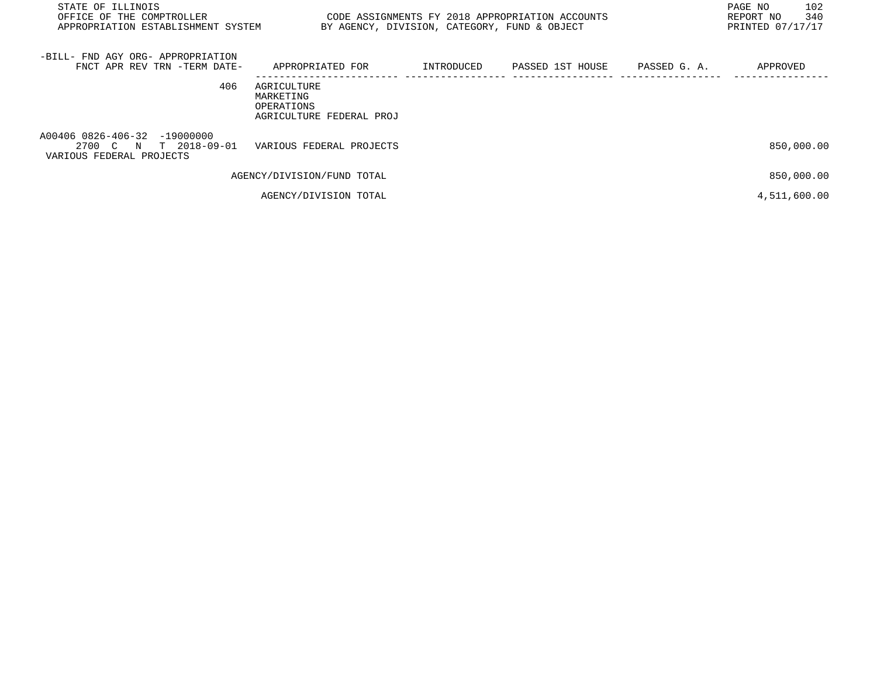| STATE OF ILLINOIS<br>OFFICE OF THE COMPTROLLER<br>APPROPRIATION ESTABLISHMENT SYSTEM | BY AGENCY, DIVISION, CATEGORY, FUND & OBJECT                       |            | CODE ASSIGNMENTS FY 2018 APPROPRIATION ACCOUNTS |              | PAGE NO<br>102<br>340<br>REPORT NO<br>PRINTED 07/17/17 |
|--------------------------------------------------------------------------------------|--------------------------------------------------------------------|------------|-------------------------------------------------|--------------|--------------------------------------------------------|
| -BILL- FND AGY ORG- APPROPRIATION<br>FNCT APR REV TRN -TERM DATE-                    | APPROPRIATED FOR                                                   | INTRODUCED | PASSED 1ST HOUSE                                | PASSED G. A. | APPROVED                                               |
| 406                                                                                  | AGRICULTURE<br>MARKETING<br>OPERATIONS<br>AGRICULTURE FEDERAL PROJ |            |                                                 |              |                                                        |
| A00406 0826-406-32 -19000000<br>2700 C N T 2018-09-01<br>VARIOUS FEDERAL PROJECTS    | VARIOUS FEDERAL PROJECTS                                           |            |                                                 |              | 850,000.00                                             |
|                                                                                      | AGENCY/DIVISION/FUND TOTAL                                         |            |                                                 |              | 850,000.00                                             |
|                                                                                      | AGENCY/DIVISION TOTAL                                              |            |                                                 |              | 4,511,600.00                                           |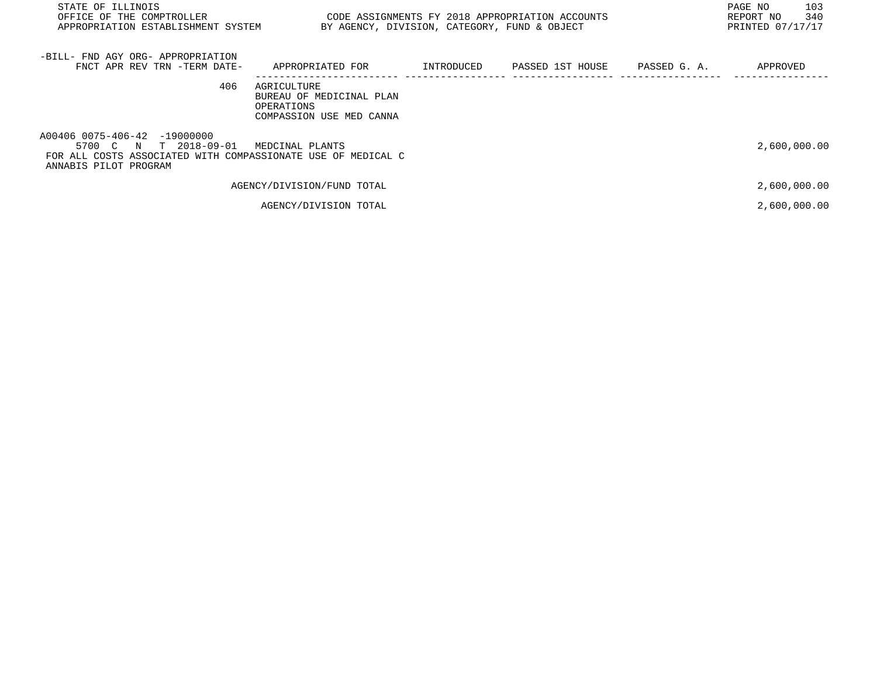| STATE OF ILLINOIS<br>OFFICE OF THE COMPTROLLER<br>APPROPRIATION ESTABLISHMENT SYSTEM                                                           | BY AGENCY, DIVISION, CATEGORY, FUND & OBJECT                                      |            | CODE ASSIGNMENTS FY 2018 APPROPRIATION ACCOUNTS |              | 103<br>PAGE NO<br>340<br>REPORT NO<br>PRINTED 07/17/17 |
|------------------------------------------------------------------------------------------------------------------------------------------------|-----------------------------------------------------------------------------------|------------|-------------------------------------------------|--------------|--------------------------------------------------------|
| -BILL- FND AGY ORG- APPROPRIATION<br>FNCT APR REV TRN -TERM DATE-                                                                              | APPROPRIATED FOR                                                                  | INTRODUCED | PASSED 1ST HOUSE                                | PASSED G. A. | APPROVED                                               |
| 406                                                                                                                                            | AGRICULTURE<br>BUREAU OF MEDICINAL PLAN<br>OPERATIONS<br>COMPASSION USE MED CANNA |            |                                                 |              |                                                        |
| A00406 0075-406-42 -19000000<br>5700 C N T 2018-09-01<br>FOR ALL COSTS ASSOCIATED WITH COMPASSIONATE USE OF MEDICAL C<br>ANNABIS PILOT PROGRAM | MEDCINAL PLANTS                                                                   |            |                                                 |              | 2,600,000.00                                           |
|                                                                                                                                                | AGENCY/DIVISION/FUND TOTAL                                                        |            |                                                 |              | 2,600,000.00                                           |
|                                                                                                                                                | AGENCY/DIVISION TOTAL                                                             |            |                                                 |              | 2,600,000.00                                           |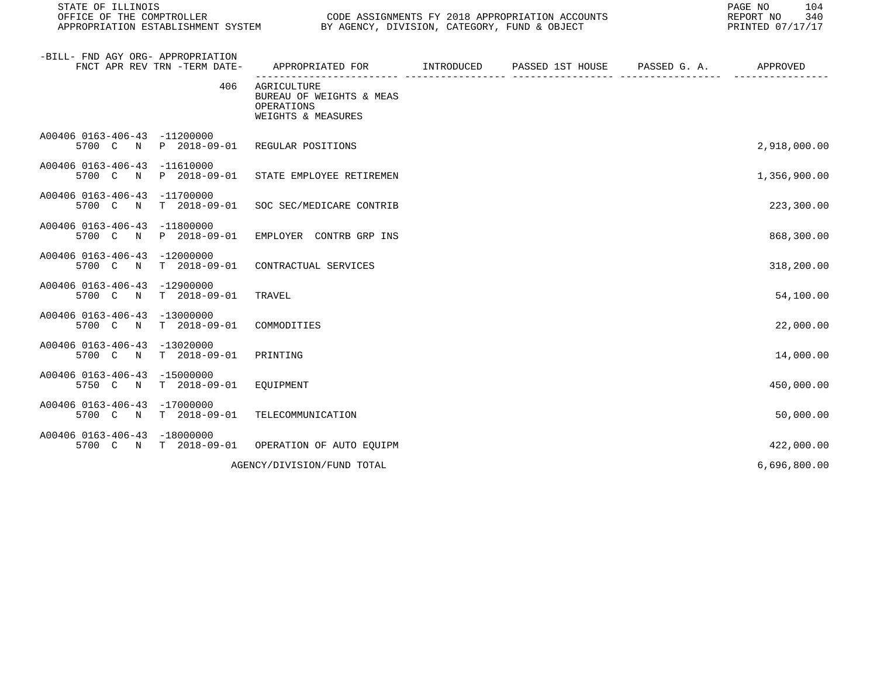| STATE OF ILLINOIS<br>OFFICE OF THE COMPTROLLER                                 |                                                                             | CODE ASSIGNMENTS FY 2018 APPROPRIATION ACCOUNTS<br>APPROPRIATION ESTABLISHMENT SYSTEM BY AGENCY, DIVISION, CATEGORY, FUND & OBJECT |  |  |              |
|--------------------------------------------------------------------------------|-----------------------------------------------------------------------------|------------------------------------------------------------------------------------------------------------------------------------|--|--|--------------|
| -BILL- FND AGY ORG- APPROPRIATION<br>FNCT APR REV TRN -TERM DATE-              | APPROPRIATED FOR TNTRODUCED PASSED 1ST HOUSE PASSED G.A.                    |                                                                                                                                    |  |  | APPROVED     |
| 406                                                                            | AGRICULTURE<br>BUREAU OF WEIGHTS & MEAS<br>OPERATIONS<br>WEIGHTS & MEASURES |                                                                                                                                    |  |  |              |
| A00406 0163-406-43 -11200000<br>5700 C N P 2018-09-01                          | REGULAR POSITIONS                                                           |                                                                                                                                    |  |  | 2,918,000.00 |
| A00406 0163-406-43 -11610000<br>5700 C N P 2018-09-01                          | STATE EMPLOYEE RETIREMEN                                                    |                                                                                                                                    |  |  | 1,356,900.00 |
| A00406 0163-406-43 -11700000<br>5700 C N                                       | T 2018-09-01 SOC SEC/MEDICARE CONTRIB                                       |                                                                                                                                    |  |  | 223,300.00   |
| A00406 0163-406-43 -11800000<br>5700 C N P 2018-09-01                          | EMPLOYER CONTRB GRP INS                                                     |                                                                                                                                    |  |  | 868,300.00   |
| A00406 0163-406-43 -12000000<br>5700 C N T 2018-09-01                          | CONTRACTUAL SERVICES                                                        |                                                                                                                                    |  |  | 318,200.00   |
| A00406 0163-406-43 -12900000<br>5700 C N<br>T 2018-09-01                       | TRAVEL                                                                      |                                                                                                                                    |  |  | 54,100.00    |
| A00406 0163-406-43 -13000000<br>5700 C N T 2018-09-01                          | COMMODITIES                                                                 |                                                                                                                                    |  |  | 22,000.00    |
| A00406 0163-406-43 -13020000<br>5700 C N T 2018-09-01                          | PRINTING                                                                    |                                                                                                                                    |  |  | 14,000.00    |
| A00406 0163-406-43 -15000000<br>5750 C N T 2018-09-01                          | EOUIPMENT                                                                   |                                                                                                                                    |  |  | 450,000.00   |
| A00406 0163-406-43 -17000000<br>5700 C N T 2018-09-01                          | TELECOMMUNICATION                                                           |                                                                                                                                    |  |  | 50,000.00    |
| A00406 0163-406-43 -18000000<br>5700 C N T 2018-09-01 OPERATION OF AUTO EOUIPM |                                                                             |                                                                                                                                    |  |  | 422,000.00   |
|                                                                                | AGENCY/DIVISION/FUND TOTAL                                                  |                                                                                                                                    |  |  | 6,696,800.00 |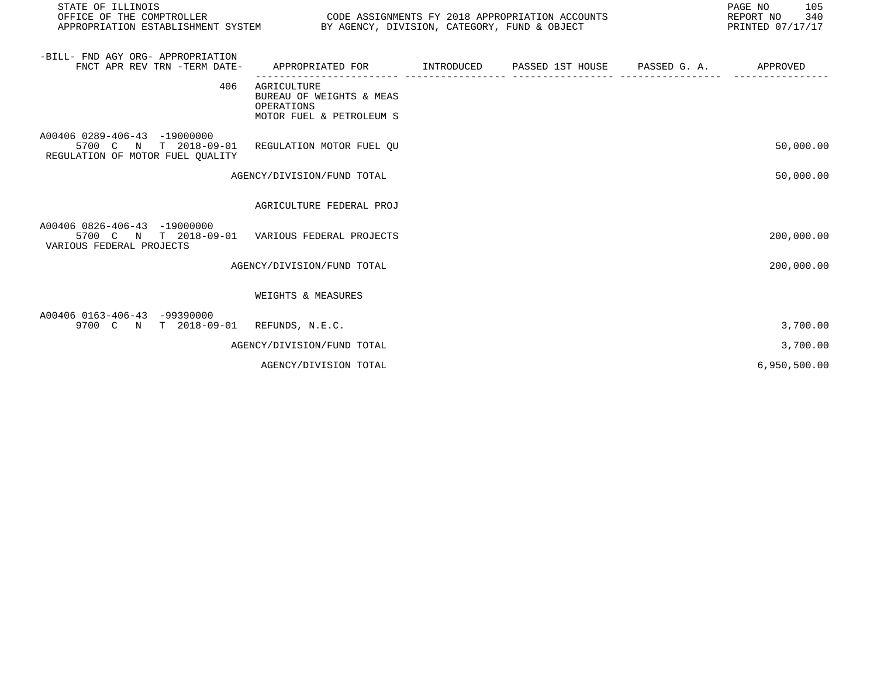| STATE OF ILLINOIS<br>OFFICE OF THE COMPTROLLER<br>APPROPRIATION ESTABLISHMENT SYSTEM                               | BY AGENCY, DIVISION, CATEGORY, FUND & OBJECT                                      | CODE ASSIGNMENTS FY 2018 APPROPRIATION ACCOUNTS | 105<br>PAGE NO<br>REPORT NO<br>340<br>PRINTED 07/17/17 |
|--------------------------------------------------------------------------------------------------------------------|-----------------------------------------------------------------------------------|-------------------------------------------------|--------------------------------------------------------|
| -BILL- FND AGY ORG- APPROPRIATION<br>FNCT APR REV TRN -TERM DATE-                                                  | APPROPRIATED FOR                                                                  |                                                 | APPROVED                                               |
| 406                                                                                                                | AGRICULTURE<br>BUREAU OF WEIGHTS & MEAS<br>OPERATIONS<br>MOTOR FUEL & PETROLEUM S |                                                 |                                                        |
| A00406 0289-406-43 -19000000<br>5700 C N T 2018-09-01 REGULATION MOTOR FUEL OU<br>REGULATION OF MOTOR FUEL QUALITY |                                                                                   |                                                 | 50,000.00                                              |
|                                                                                                                    | AGENCY/DIVISION/FUND TOTAL                                                        |                                                 | 50,000.00                                              |
|                                                                                                                    | AGRICULTURE FEDERAL PROJ                                                          |                                                 |                                                        |
| A00406 0826-406-43 -19000000<br>5700 C N T 2018-09-01 VARIOUS FEDERAL PROJECTS<br>VARIOUS FEDERAL PROJECTS         |                                                                                   |                                                 | 200,000.00                                             |
|                                                                                                                    | AGENCY/DIVISION/FUND TOTAL                                                        |                                                 | 200,000.00                                             |
|                                                                                                                    | WEIGHTS & MEASURES                                                                |                                                 |                                                        |
| A00406 0163-406-43 -99390000<br>9700 C N T 2018-09-01 REFUNDS, N.E.C.                                              |                                                                                   |                                                 | 3,700.00                                               |
|                                                                                                                    | AGENCY/DIVISION/FUND TOTAL                                                        |                                                 | 3,700.00                                               |
|                                                                                                                    | AGENCY/DIVISION TOTAL                                                             |                                                 | 6,950,500.00                                           |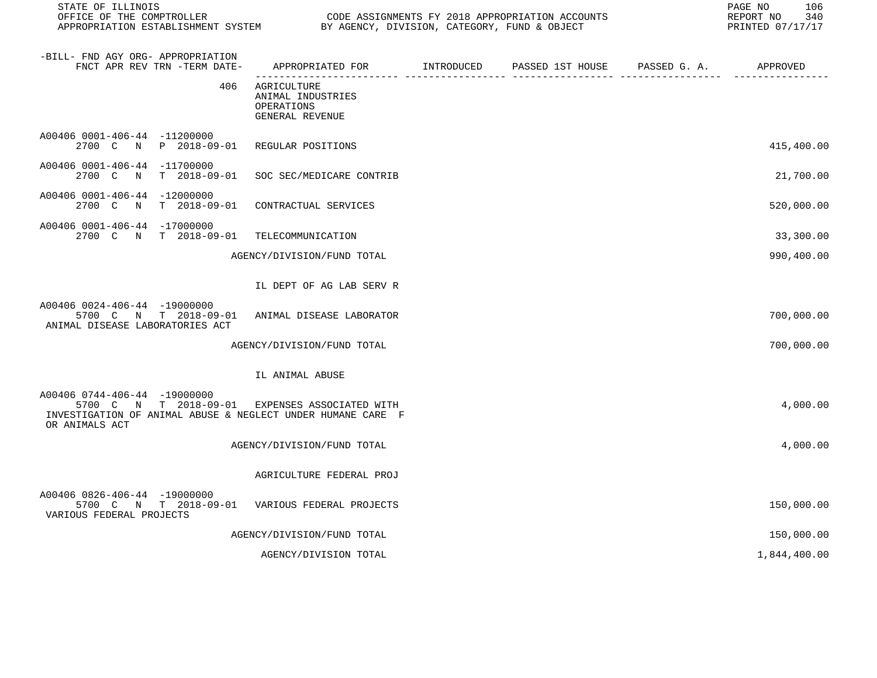| STATE OF ILLINOIS                                                                                                                                               |                                                                                           |  |  |  |            |
|-----------------------------------------------------------------------------------------------------------------------------------------------------------------|-------------------------------------------------------------------------------------------|--|--|--|------------|
| -BILL- FND AGY ORG- APPROPRIATION<br>FNCT APR REV TRN -TERM DATE-                                                                                               | APPROPRIATED FOR        INTRODUCED     PASSED 1ST HOUSE     PASSED G. A.         APPROVED |  |  |  |            |
| 406                                                                                                                                                             | AGRICULTURE<br>ANIMAL INDUSTRIES<br>OPERATIONS<br>GENERAL REVENUE                         |  |  |  |            |
| A00406 0001-406-44 -11200000<br>2700 C N P 2018-09-01 REGULAR POSITIONS                                                                                         |                                                                                           |  |  |  | 415,400.00 |
| A00406 0001-406-44 -11700000<br>2700 C                                                                                                                          | N T 2018-09-01 SOC SEC/MEDICARE CONTRIB                                                   |  |  |  | 21,700.00  |
| A00406 0001-406-44 -12000000<br>2700 C N T 2018-09-01 CONTRACTUAL SERVICES                                                                                      |                                                                                           |  |  |  | 520,000.00 |
| A00406 0001-406-44 -17000000<br>2700 C N T 2018-09-01 TELECOMMUNICATION                                                                                         |                                                                                           |  |  |  | 33,300.00  |
|                                                                                                                                                                 | AGENCY/DIVISION/FUND TOTAL                                                                |  |  |  | 990,400.00 |
|                                                                                                                                                                 | IL DEPT OF AG LAB SERV R                                                                  |  |  |  |            |
| A00406 0024-406-44 -19000000<br>5700 C N T 2018-09-01 ANIMAL DISEASE LABORATOR<br>ANIMAL DISEASE LABORATORIES ACT                                               |                                                                                           |  |  |  | 700,000.00 |
|                                                                                                                                                                 | AGENCY/DIVISION/FUND TOTAL                                                                |  |  |  | 700,000.00 |
|                                                                                                                                                                 | IL ANIMAL ABUSE                                                                           |  |  |  |            |
| A00406 0744-406-44 -19000000<br>5700 C N T 2018-09-01 EXPENSES ASSOCIATED WITH<br>INVESTIGATION OF ANIMAL ABUSE & NEGLECT UNDER HUMANE CARE F<br>OR ANIMALS ACT |                                                                                           |  |  |  | 4,000.00   |
|                                                                                                                                                                 | AGENCY/DIVISION/FUND TOTAL                                                                |  |  |  | 4,000.00   |

AGRICULTURE FEDERAL PROJ

| A00406 0826-406-44 -19000000<br>5700 C N T 2018-09-01<br>VARIOUS FEDERAL PROJECTS<br>VARIOUS FEDERAL PROJECTS | 150,000.00 |
|---------------------------------------------------------------------------------------------------------------|------------|
| AGENCY/DIVISION/FUND TOTAL                                                                                    | 150,000.00 |

AGENCY/DIVISION TOTAL 1,844,400.00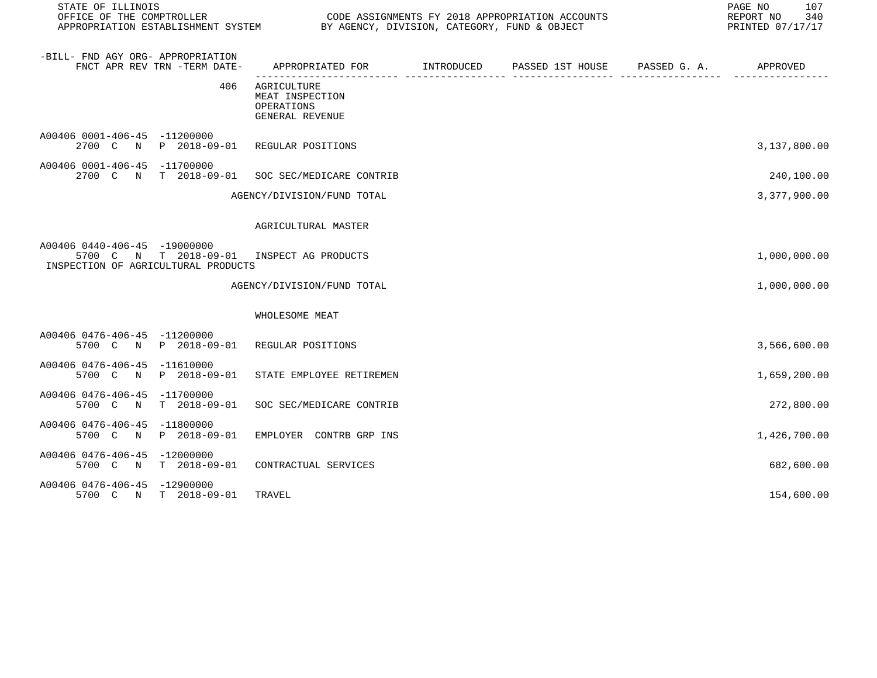| STATE OF ILLINOIS<br>OFFICE OF THE COMPTROLLER                                                                   | CODE ASSIGNMENTS FY 2018 APPROPRIATION ACCOUNTS<br>APPROPRIATION ESTABLISHMENT SYSTEM BY AGENCY, DIVISION, CATEGORY, FUND & OBJECT |  |  |  |              |
|------------------------------------------------------------------------------------------------------------------|------------------------------------------------------------------------------------------------------------------------------------|--|--|--|--------------|
| -BILL- FND AGY ORG- APPROPRIATION<br>FNCT APR REV TRN -TERM DATE-                                                | APPROPRIATED FOR         INTRODUCED      PASSED 1ST HOUSE     PASSED G. A.           APPROVED                                      |  |  |  |              |
| 406                                                                                                              | AGRICULTURE<br>MEAT INSPECTION<br>OPERATIONS<br>GENERAL REVENUE                                                                    |  |  |  |              |
| A00406 0001-406-45 -11200000<br>2700 C N P 2018-09-01 REGULAR POSITIONS                                          |                                                                                                                                    |  |  |  | 3,137,800.00 |
| A00406 0001-406-45 -11700000<br>2700 C N T 2018-09-01 SOC SEC/MEDICARE CONTRIB                                   |                                                                                                                                    |  |  |  | 240,100.00   |
|                                                                                                                  | AGENCY/DIVISION/FUND TOTAL                                                                                                         |  |  |  | 3,377,900.00 |
|                                                                                                                  | AGRICULTURAL MASTER                                                                                                                |  |  |  |              |
| A00406 0440-406-45 -19000000<br>5700 C N T 2018-09-01 INSPECT AG PRODUCTS<br>INSPECTION OF AGRICULTURAL PRODUCTS |                                                                                                                                    |  |  |  | 1,000,000.00 |
|                                                                                                                  | AGENCY/DIVISION/FUND TOTAL                                                                                                         |  |  |  | 1,000,000.00 |
|                                                                                                                  | WHOLESOME MEAT                                                                                                                     |  |  |  |              |
| A00406 0476-406-45 -11200000<br>5700 C N P 2018-09-01 REGULAR POSITIONS                                          |                                                                                                                                    |  |  |  | 3,566,600.00 |
| A00406 0476-406-45 -11610000<br>5700 C N                                                                         | P 2018-09-01 STATE EMPLOYEE RETIREMEN                                                                                              |  |  |  | 1,659,200.00 |
| A00406 0476-406-45 -11700000<br>5700 C N T 2018-09-01 SOC SEC/MEDICARE CONTRIB                                   |                                                                                                                                    |  |  |  | 272,800.00   |
| A00406 0476-406-45 -11800000<br>5700 C N P 2018-09-01 EMPLOYER CONTRB GRP INS                                    |                                                                                                                                    |  |  |  | 1,426,700.00 |
| A00406 0476-406-45 -12000000<br>5700 C N T 2018-09-01 CONTRACTUAL SERVICES                                       |                                                                                                                                    |  |  |  | 682,600.00   |
| A00406 0476-406-45 -12900000<br>5700 C N T 2018-09-01                                                            | TRAVEL                                                                                                                             |  |  |  | 154,600.00   |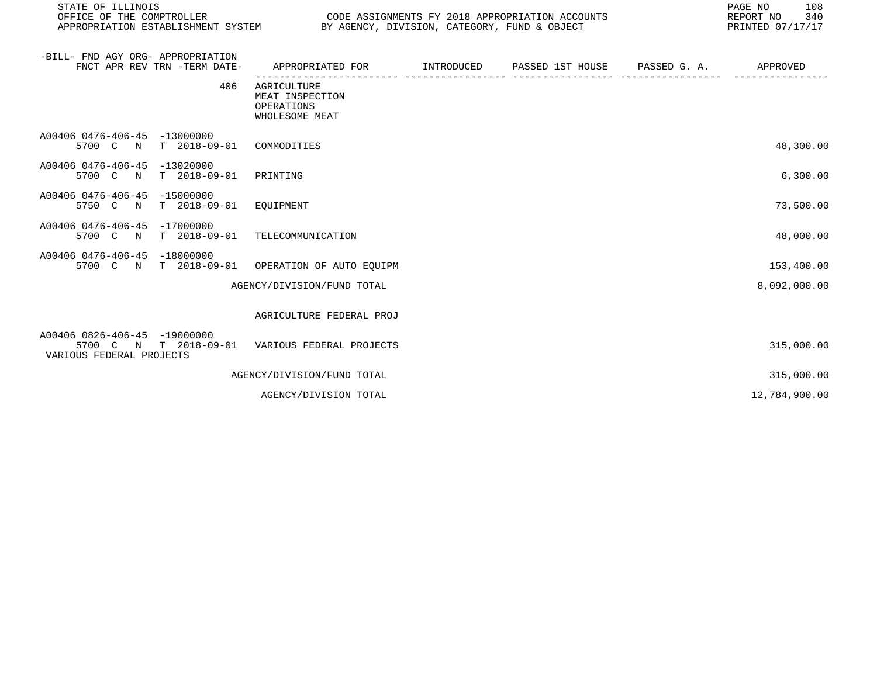| STATE OF ILLINOIS<br>OFFICE OF THE COMPTROLLER<br>APPROPRIATION ESTABLISHMENT SYSTEM BY AGENCY, DIVISION, CATEGORY, FUND & OBJECT |                                                                | CODE ASSIGNMENTS FY 2018 APPROPRIATION ACCOUNTS | 108<br>PAGE NO<br>REPORT NO<br>340<br>PRINTED 07/17/17 |
|-----------------------------------------------------------------------------------------------------------------------------------|----------------------------------------------------------------|-------------------------------------------------|--------------------------------------------------------|
| -BILL- FND AGY ORG- APPROPRIATION<br>FNCT APR REV TRN -TERM DATE-                                                                 | APPROPRIATED FOR                                               | INTRODUCED PASSED 1ST HOUSE PASSED G.A.         | APPROVED                                               |
| 406                                                                                                                               | AGRICULTURE<br>MEAT INSPECTION<br>OPERATIONS<br>WHOLESOME MEAT |                                                 |                                                        |
| A00406 0476-406-45 -13000000<br>T 2018-09-01 COMMODITIES<br>5700 C N                                                              |                                                                |                                                 | 48,300.00                                              |
| A00406 0476-406-45 -13020000<br>5700 C N<br>T 2018-09-01                                                                          | PRINTING                                                       |                                                 | 6,300.00                                               |
| A00406 0476-406-45 -15000000<br>T 2018-09-01<br>5750 C N                                                                          | EQUIPMENT                                                      |                                                 | 73,500.00                                              |
| A00406 0476-406-45 -17000000<br>5700 C N T 2018-09-01 TELECOMMUNICATION                                                           |                                                                |                                                 | 48,000.00                                              |
| A00406 0476-406-45 -18000000<br>5700 C N T 2018-09-01 OPERATION OF AUTO EQUIPM                                                    |                                                                |                                                 | 153,400.00                                             |
|                                                                                                                                   | AGENCY/DIVISION/FUND TOTAL                                     |                                                 | 8,092,000.00                                           |
|                                                                                                                                   | AGRICULTURE FEDERAL PROJ                                       |                                                 |                                                        |
| A00406 0826-406-45 -19000000<br>5700 C N T 2018-09-01 VARIOUS FEDERAL PROJECTS<br>VARIOUS FEDERAL PROJECTS                        |                                                                |                                                 | 315,000.00                                             |
|                                                                                                                                   | AGENCY/DIVISION/FUND TOTAL                                     |                                                 | 315,000.00                                             |
|                                                                                                                                   | AGENCY/DIVISION TOTAL                                          |                                                 | 12,784,900.00                                          |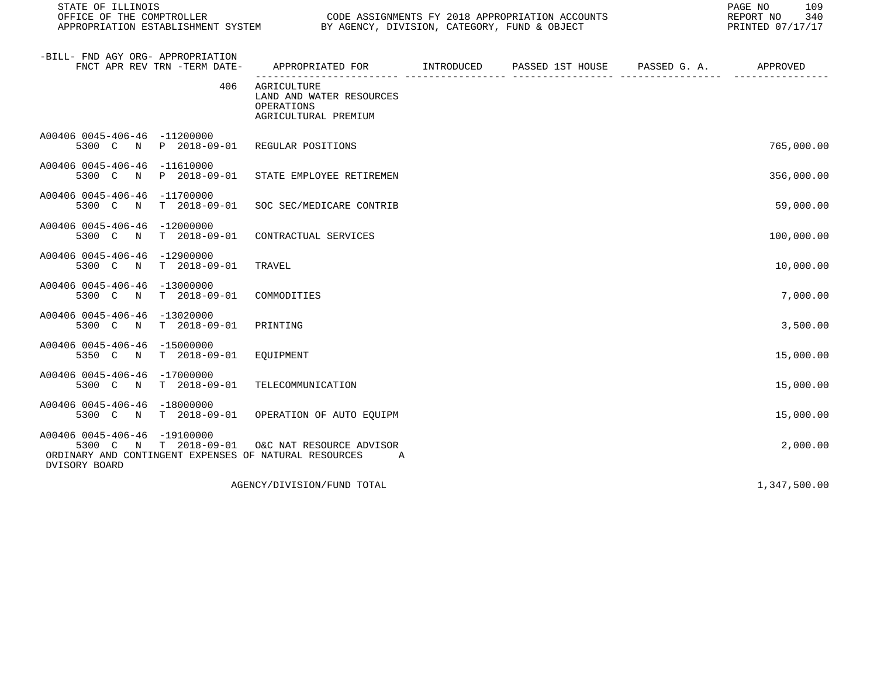| STATE OF ILLINOIS                                                                                                               |                                                                                             |  |  |  |              |
|---------------------------------------------------------------------------------------------------------------------------------|---------------------------------------------------------------------------------------------|--|--|--|--------------|
| -BILL- FND AGY ORG- APPROPRIATION<br>FNCT APR REV TRN -TERM DATE-                                                               | APPROPRIATED FOR         INTRODUCED      PASSED 1ST HOUSE     PASSED G. A.         APPROVED |  |  |  |              |
| 406                                                                                                                             | AGRICULTURE<br>LAND AND WATER RESOURCES<br>OPERATIONS<br>AGRICULTURAL PREMIUM               |  |  |  |              |
| A00406 0045-406-46 -11200000<br>5300 C N P 2018-09-01                                                                           | REGULAR POSITIONS                                                                           |  |  |  | 765,000.00   |
| A00406 0045-406-46 -11610000<br>5300 C N P 2018-09-01                                                                           | STATE EMPLOYEE RETIREMEN                                                                    |  |  |  | 356,000.00   |
| A00406 0045-406-46 -11700000<br>5300 C<br>$\mathbb N$<br>T 2018-09-01                                                           | SOC SEC/MEDICARE CONTRIB                                                                    |  |  |  | 59,000.00    |
| A00406 0045-406-46 -12000000<br>5300 C N T 2018-09-01                                                                           | CONTRACTUAL SERVICES                                                                        |  |  |  | 100,000.00   |
| A00406 0045-406-46 -12900000<br>5300 C N<br>T 2018-09-01                                                                        | TRAVEL                                                                                      |  |  |  | 10,000.00    |
| A00406 0045-406-46 -13000000<br>$T = 2018 - 09 - 01$<br>5300 C N                                                                | COMMODITIES                                                                                 |  |  |  | 7,000.00     |
| A00406 0045-406-46 -13020000<br>5300 C N T 2018-09-01                                                                           | PRINTING                                                                                    |  |  |  | 3,500.00     |
| A00406 0045-406-46 -15000000<br>5350 C N T 2018-09-01                                                                           | EQUIPMENT                                                                                   |  |  |  | 15,000.00    |
| A00406 0045-406-46 -17000000<br>5300 C N<br>T 2018-09-01                                                                        | TELECOMMUNICATION                                                                           |  |  |  | 15,000.00    |
| A00406 0045-406-46 -18000000<br>5300 C N T 2018-09-01                                                                           | OPERATION OF AUTO EQUIPM                                                                    |  |  |  | 15,000.00    |
| A00406 0045-406-46 -19100000<br>5300 C N T 2018-09-01<br>ORDINARY AND CONTINGENT EXPENSES OF NATURAL RESOURCES<br>DVISORY BOARD | O&C NAT RESOURCE ADVISOR<br><b>A</b>                                                        |  |  |  | 2,000.00     |
|                                                                                                                                 | AGENCY/DIVISION/FUND TOTAL                                                                  |  |  |  | 1,347,500.00 |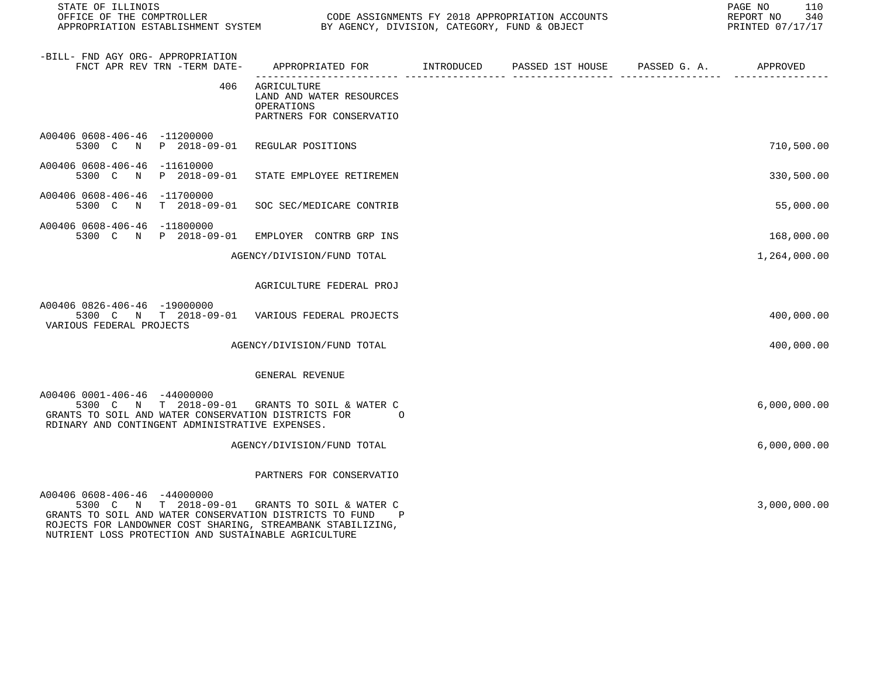| STATE OF ILLINOIS<br>OFFICE OF THE COMPTROLLER                                                                                                                                           |                                                                                   | CODE ASSIGNMENTS FY 2018 APPROPRIATION ACCOUNTS |                  |              |              |  |
|------------------------------------------------------------------------------------------------------------------------------------------------------------------------------------------|-----------------------------------------------------------------------------------|-------------------------------------------------|------------------|--------------|--------------|--|
| -BILL- FND AGY ORG- APPROPRIATION<br>FNCT APR REV TRN -TERM DATE-                                                                                                                        | APPROPRIATED FOR                                                                  | INTRODUCED                                      | PASSED 1ST HOUSE | PASSED G. A. | APPROVED     |  |
| 406                                                                                                                                                                                      | AGRICULTURE<br>LAND AND WATER RESOURCES<br>OPERATIONS<br>PARTNERS FOR CONSERVATIO |                                                 |                  |              |              |  |
| A00406 0608-406-46 -11200000<br>5300 C N                                                                                                                                                 | P 2018-09-01 REGULAR POSITIONS                                                    |                                                 |                  |              | 710,500.00   |  |
| A00406 0608-406-46 -11610000<br>P 2018-09-01<br>5300 C<br>$\mathbb N$                                                                                                                    | STATE EMPLOYEE RETIREMEN                                                          |                                                 |                  |              | 330,500.00   |  |
| A00406 0608-406-46 -11700000<br>5300 C N T 2018-09-01                                                                                                                                    | SOC SEC/MEDICARE CONTRIB                                                          |                                                 |                  |              | 55,000.00    |  |
| A00406 0608-406-46 -11800000<br>5300 C N P 2018-09-01                                                                                                                                    | EMPLOYER CONTRB GRP INS                                                           |                                                 |                  |              | 168,000.00   |  |
|                                                                                                                                                                                          | AGENCY/DIVISION/FUND TOTAL                                                        |                                                 |                  |              | 1,264,000.00 |  |
|                                                                                                                                                                                          | AGRICULTURE FEDERAL PROJ                                                          |                                                 |                  |              |              |  |
| A00406 0826-406-46 -19000000<br>5300 C N T 2018-09-01 VARIOUS FEDERAL PROJECTS<br>VARIOUS FEDERAL PROJECTS                                                                               |                                                                                   |                                                 |                  |              | 400,000.00   |  |
|                                                                                                                                                                                          | AGENCY/DIVISION/FUND TOTAL                                                        |                                                 |                  |              | 400,000.00   |  |
|                                                                                                                                                                                          | GENERAL REVENUE                                                                   |                                                 |                  |              |              |  |
| A00406 0001-406-46 -44000000<br>5300 C N T 2018-09-01 GRANTS TO SOIL & WATER C<br>GRANTS TO SOIL AND WATER CONSERVATION DISTRICTS FOR<br>RDINARY AND CONTINGENT ADMINISTRATIVE EXPENSES. | $\Omega$                                                                          |                                                 |                  |              | 6,000,000.00 |  |
|                                                                                                                                                                                          | AGENCY/DIVISION/FUND TOTAL                                                        |                                                 |                  |              | 6,000,000.00 |  |
|                                                                                                                                                                                          | PARTNERS FOR CONSERVATIO                                                          |                                                 |                  |              |              |  |
| A00406 0608-406-46 -44000000<br>5300 C N T 2018-09-01 GRANTS TO SOIL & WATER C<br>GRANTS TO SOIL AND WATER CONSERVATION DISTRICTS TO FUND                                                | P                                                                                 |                                                 |                  |              | 3,000,000.00 |  |

ROJECTS FOR LANDOWNER COST SHARING, STREAMBANK STABILIZING,

NUTRIENT LOSS PROTECTION AND SUSTAINABLE AGRICULTURE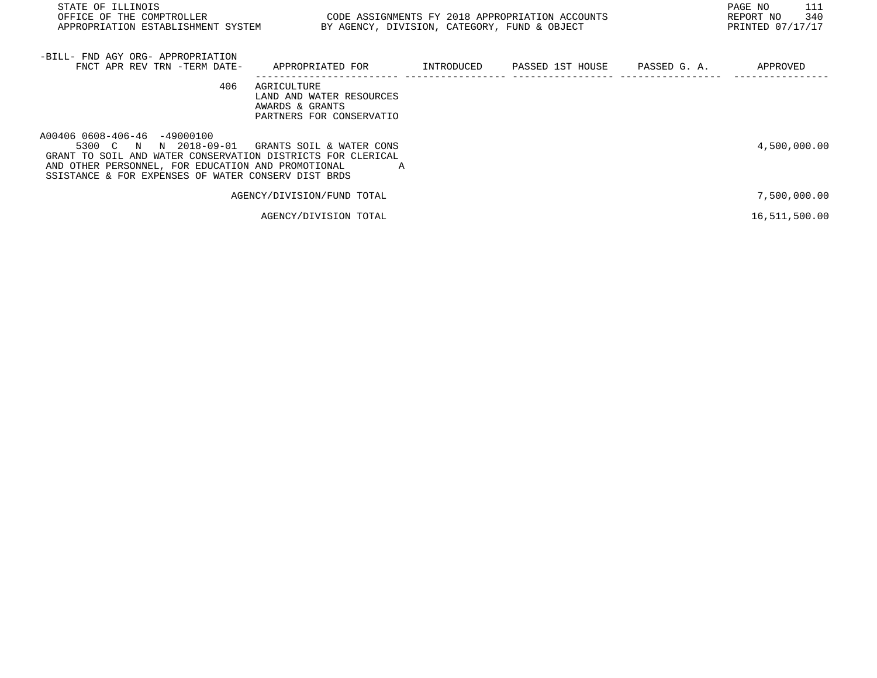| STATE OF ILLINOIS<br>OFFICE OF THE COMPTROLLER                                                                                                                                                                                       |                                                                                        |                                                                                                 |  |  | PAGE NO<br>111<br>REPORT NO<br>340 |  |
|--------------------------------------------------------------------------------------------------------------------------------------------------------------------------------------------------------------------------------------|----------------------------------------------------------------------------------------|-------------------------------------------------------------------------------------------------|--|--|------------------------------------|--|
| APPROPRIATION ESTABLISHMENT SYSTEM                                                                                                                                                                                                   |                                                                                        | CODE ASSIGNMENTS FY 2018 APPROPRIATION ACCOUNTS<br>BY AGENCY, DIVISION, CATEGORY, FUND & OBJECT |  |  |                                    |  |
| -BILL- FND AGY ORG- APPROPRIATION                                                                                                                                                                                                    |                                                                                        |                                                                                                 |  |  |                                    |  |
| FNCT APR REV TRN -TERM DATE-                                                                                                                                                                                                         | APPROPRIATED FOR                                                                       |                                                                                                 |  |  | APPROVED                           |  |
| 406                                                                                                                                                                                                                                  | AGRICULTURE<br>LAND AND WATER RESOURCES<br>AWARDS & GRANTS<br>PARTNERS FOR CONSERVATIO |                                                                                                 |  |  |                                    |  |
| A00406 0608-406-46 -49000100<br>N 2018-09-01<br>5300 C N<br>GRANT TO SOIL AND WATER CONSERVATION DISTRICTS FOR CLERICAL<br>AND OTHER PERSONNEL, FOR EDUCATION AND PROMOTIONAL<br>SSISTANCE & FOR EXPENSES OF WATER CONSERV DIST BRDS | GRANTS SOIL & WATER CONS<br>A                                                          |                                                                                                 |  |  | 4,500,000.00                       |  |
|                                                                                                                                                                                                                                      | AGENCY/DIVISION/FUND TOTAL                                                             |                                                                                                 |  |  | 7,500,000.00                       |  |
|                                                                                                                                                                                                                                      | AGENCY/DIVISION TOTAL                                                                  |                                                                                                 |  |  | 16,511,500.00                      |  |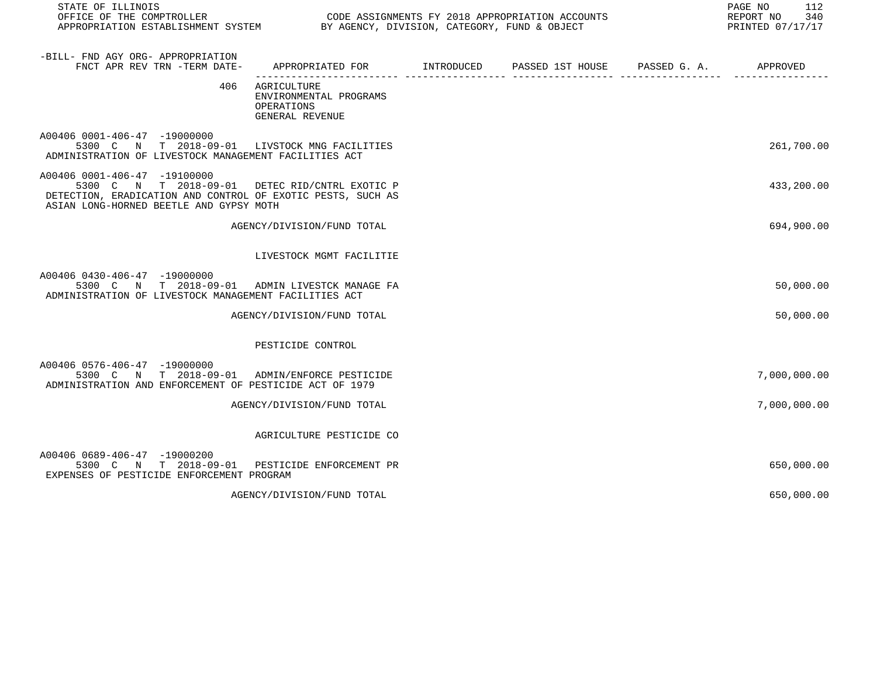| STATE OF ILLINOIS<br>OFFICE OF THE COMPTROLLER<br>OFFICE OF THE COMPTROLLER<br>APPROPRIATION ESTABLISHMENT SYSTEM BY AGENCY, DIVISION, CATEGORY, FUND & OBJECT                           |                                                                                             | CODE ASSIGNMENTS FY 2018 APPROPRIATION ACCOUNTS | PAGE NO<br>112<br>REPORT NO<br>340<br>PRINTED 07/17/17 |
|------------------------------------------------------------------------------------------------------------------------------------------------------------------------------------------|---------------------------------------------------------------------------------------------|-------------------------------------------------|--------------------------------------------------------|
| -BILL- FND AGY ORG- APPROPRIATION<br>FNCT APR REV TRN -TERM DATE-                                                                                                                        | APPROPRIATED FOR        INTRODUCED      PASSED 1ST HOUSE     PASSED G. A.          APPROVED |                                                 |                                                        |
|                                                                                                                                                                                          | 406 AGRICULTURE<br>ENVIRONMENTAL PROGRAMS<br>OPERATIONS<br>GENERAL REVENUE                  |                                                 |                                                        |
| A00406 0001-406-47 -19000000<br>5300 C N T 2018-09-01 LIVSTOCK MNG FACILITIES<br>ADMINISTRATION OF LIVESTOCK MANAGEMENT FACILITIES ACT                                                   |                                                                                             |                                                 | 261,700.00                                             |
| A00406 0001-406-47 -19100000<br>5300 C N T 2018-09-01 DETEC RID/CNTRL EXOTIC P<br>DETECTION, ERADICATION AND CONTROL OF EXOTIC PESTS, SUCH AS<br>ASIAN LONG-HORNED BEETLE AND GYPSY MOTH |                                                                                             |                                                 | 433,200.00                                             |
|                                                                                                                                                                                          | AGENCY/DIVISION/FUND TOTAL                                                                  |                                                 | 694,900.00                                             |
|                                                                                                                                                                                          | LIVESTOCK MGMT FACILITIE                                                                    |                                                 |                                                        |
| A00406 0430-406-47 -19000000<br>5300 C N T 2018-09-01 ADMIN LIVESTCK MANAGE FA<br>ADMINISTRATION OF LIVESTOCK MANAGEMENT FACILITIES ACT                                                  |                                                                                             |                                                 | 50,000.00                                              |
|                                                                                                                                                                                          | AGENCY/DIVISION/FUND TOTAL                                                                  |                                                 | 50,000.00                                              |
|                                                                                                                                                                                          | PESTICIDE CONTROL                                                                           |                                                 |                                                        |
| A00406 0576-406-47 -19000000<br>5300 C N T 2018-09-01 ADMIN/ENFORCE PESTICIDE<br>ADMINISTRATION AND ENFORCEMENT OF PESTICIDE ACT OF 1979                                                 |                                                                                             |                                                 | 7,000,000.00                                           |
|                                                                                                                                                                                          | AGENCY/DIVISION/FUND TOTAL                                                                  |                                                 | 7,000,000.00                                           |
|                                                                                                                                                                                          | AGRICULTURE PESTICIDE CO                                                                    |                                                 |                                                        |
| A00406 0689-406-47 -19000200<br>5300 C N T 2018-09-01 PESTICIDE ENFORCEMENT PR<br>EXPENSES OF PESTICIDE ENFORCEMENT PROGRAM                                                              |                                                                                             |                                                 | 650,000.00                                             |
|                                                                                                                                                                                          | AGENCY/DIVISION/FUND TOTAL                                                                  |                                                 | 650,000.00                                             |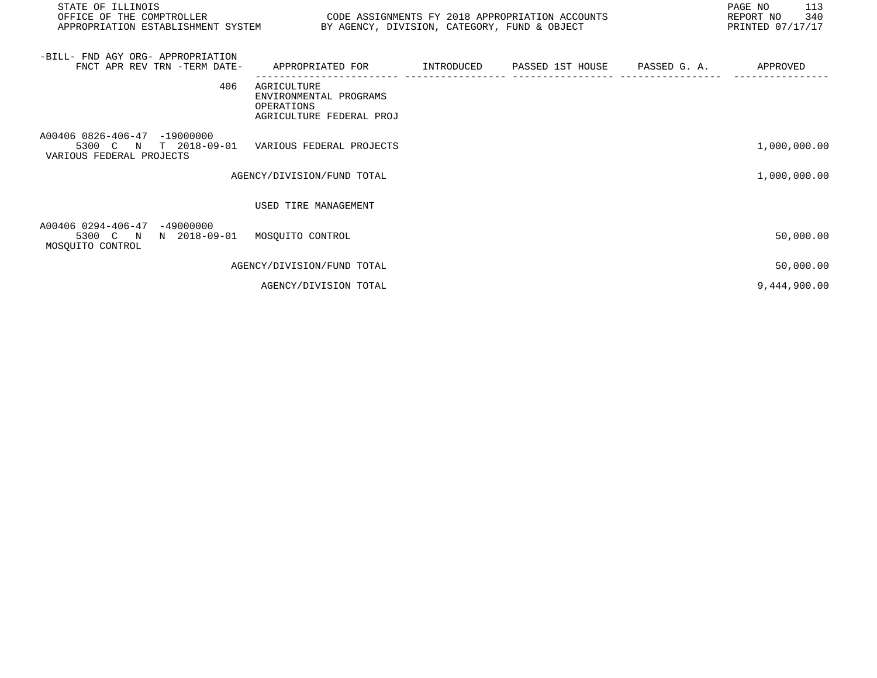| STATE OF ILLINOIS<br>OFFICE OF THE COMPTROLLER<br>APPROPRIATION ESTABLISHMENT SYSTEM BY AGENCY, DIVISION, CATEGORY, FUND & OBJECT | CODE ASSIGNMENTS FY 2018 APPROPRIATION ACCOUNTS                                 |  | PAGE NO<br>113<br>REPORT NO 340<br>PRINTED 07/17/17 |
|-----------------------------------------------------------------------------------------------------------------------------------|---------------------------------------------------------------------------------|--|-----------------------------------------------------|
| -BILL- FND AGY ORG- APPROPRIATION<br>FNCT APR REV TRN -TERM DATE-                                                                 | APPROPRIATED FOR      INTRODUCED   PASSED 1ST HOUSE   PASSED G.A.     APPROVED  |  |                                                     |
| 406                                                                                                                               | AGRICULTURE<br>ENVIRONMENTAL PROGRAMS<br>OPERATIONS<br>AGRICULTURE FEDERAL PROJ |  |                                                     |
| A00406 0826-406-47 -19000000<br>5300 C N T 2018-09-01 VARIOUS FEDERAL PROJECTS<br>VARIOUS FEDERAL PROJECTS                        |                                                                                 |  | 1,000,000.00                                        |
|                                                                                                                                   | AGENCY/DIVISION/FUND TOTAL                                                      |  | 1,000,000.00                                        |
|                                                                                                                                   | USED TIRE MANAGEMENT                                                            |  |                                                     |
| A00406 0294-406-47<br>-49000000<br>5300 C N N 2018-09-01 MOSQUITO CONTROL<br>MOSQUITO CONTROL                                     |                                                                                 |  | 50,000.00                                           |
|                                                                                                                                   | AGENCY/DIVISION/FUND TOTAL                                                      |  | 50,000.00                                           |
|                                                                                                                                   | AGENCY/DIVISION TOTAL                                                           |  | 9,444,900.00                                        |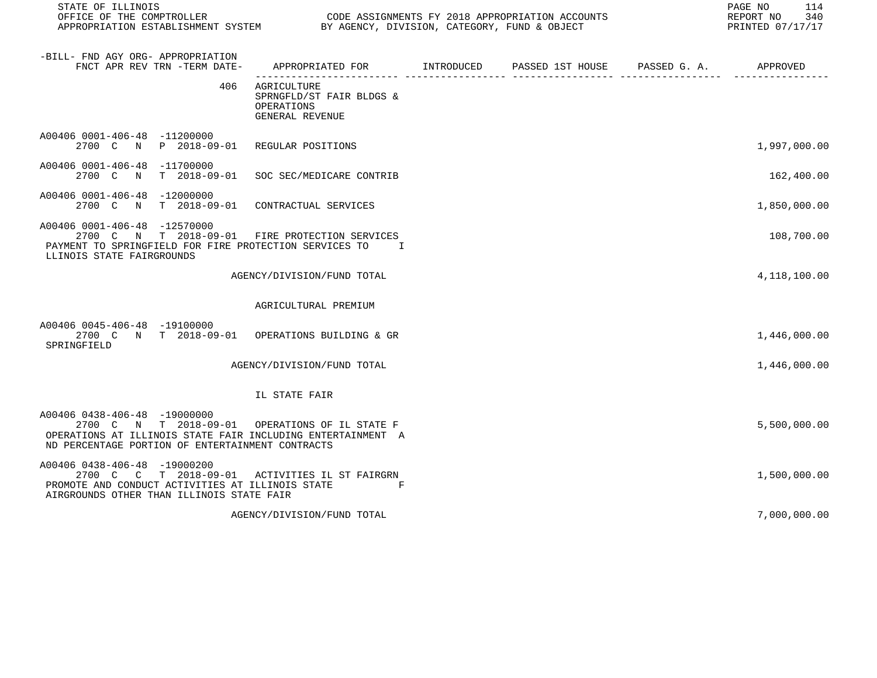| STATE OF ILLINOIS<br>OFFICE OF THE COMPTROLLER<br>OFFICE OF THE COMPTROLLER<br>APPROPRIATION ESTABLISHMENT SYSTEM BY AGENCY, DIVISION, CATEGORY, FUND & OBJECT                                    | CODE ASSIGNMENTS FY 2018 APPROPRIATION ACCOUNTS                          | PAGE NO<br>114<br>REPORT NO<br>340<br>PRINTED 07/17/17 |  |              |
|---------------------------------------------------------------------------------------------------------------------------------------------------------------------------------------------------|--------------------------------------------------------------------------|--------------------------------------------------------|--|--------------|
| -BILL- FND AGY ORG- APPROPRIATION<br>FNCT APR REV TRN -TERM DATE-                                                                                                                                 | APPROPRIATED FOR INTRODUCED                                              | PASSED 1ST HOUSE      PASSED G. A.         APPROVED    |  |              |
| 406                                                                                                                                                                                               | AGRICULTURE<br>SPRNGFLD/ST FAIR BLDGS &<br>OPERATIONS<br>GENERAL REVENUE |                                                        |  |              |
| A00406 0001-406-48 -11200000<br>2700 C N P 2018-09-01 REGULAR POSITIONS                                                                                                                           |                                                                          |                                                        |  | 1,997,000.00 |
| A00406 0001-406-48 -11700000<br>2700 C N                                                                                                                                                          | T 2018-09-01 SOC SEC/MEDICARE CONTRIB                                    |                                                        |  | 162,400.00   |
| A00406 0001-406-48 -12000000<br>2700 C N T 2018-09-01 CONTRACTUAL SERVICES                                                                                                                        |                                                                          |                                                        |  | 1,850,000.00 |
| A00406 0001-406-48 -12570000<br>2700 C N T 2018-09-01 FIRE PROTECTION SERVICES<br>PAYMENT TO SPRINGFIELD FOR FIRE PROTECTION SERVICES TO<br>LLINOIS STATE FAIRGROUNDS                             | $\mathbf{I}$                                                             |                                                        |  | 108,700.00   |
|                                                                                                                                                                                                   | AGENCY/DIVISION/FUND TOTAL                                               |                                                        |  | 4,118,100.00 |
|                                                                                                                                                                                                   | AGRICULTURAL PREMIUM                                                     |                                                        |  |              |
| A00406 0045-406-48 -19100000<br>2700 C N T 2018-09-01 OPERATIONS BUILDING & GR<br>SPRINGFIELD                                                                                                     |                                                                          |                                                        |  | 1,446,000.00 |
|                                                                                                                                                                                                   | AGENCY/DIVISION/FUND TOTAL                                               |                                                        |  | 1,446,000.00 |
|                                                                                                                                                                                                   | IL STATE FAIR                                                            |                                                        |  |              |
| A00406 0438-406-48 -19000000<br>2700 C N T 2018-09-01 OPERATIONS OF IL STATE F<br>OPERATIONS AT ILLINOIS STATE FAIR INCLUDING ENTERTAINMENT A<br>ND PERCENTAGE PORTION OF ENTERTAINMENT CONTRACTS |                                                                          |                                                        |  | 5,500,000.00 |
| A00406 0438-406-48 -19000200<br>2700 C C T 2018-09-01 ACTIVITIES IL ST FAIRGRN<br>PROMOTE AND CONDUCT ACTIVITIES AT ILLINOIS STATE<br>AIRGROUNDS OTHER THAN ILLINOIS STATE FAIR                   | F                                                                        |                                                        |  | 1,500,000.00 |
|                                                                                                                                                                                                   | AGENCY/DIVISION/FUND TOTAL                                               |                                                        |  | 7,000,000.00 |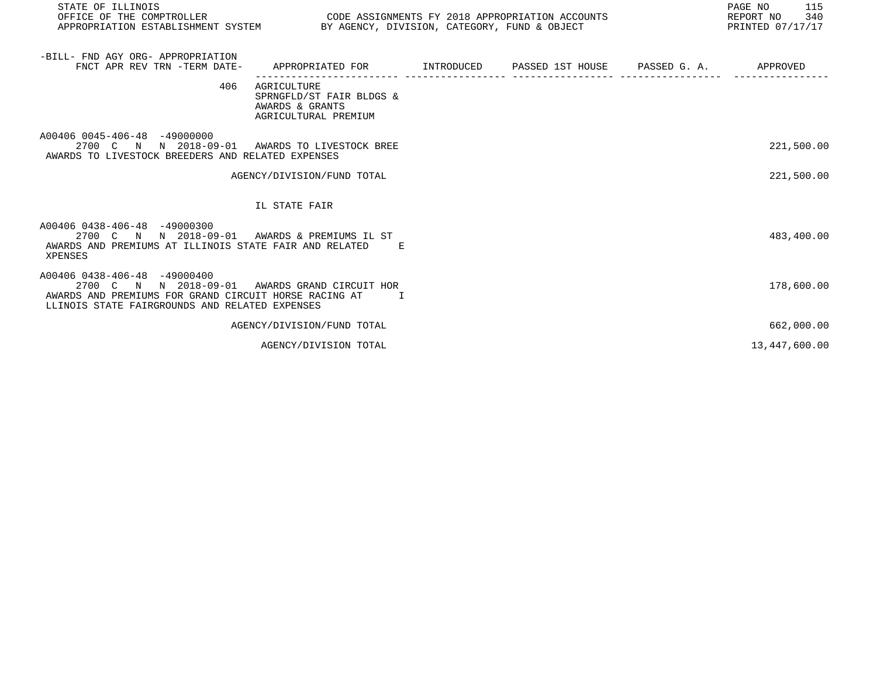| STATE OF ILLINOIS<br>OFFICE OF THE COMPTROLLER<br>APPROPRIATION ESTABLISHMENT SYSTEM BY AGENCY, DIVISION, CATEGORY, FUND & OBJECT                                                         | CODE ASSIGNMENTS FY 2018 APPROPRIATION ACCOUNTS                                           |  | PAGE NO<br>115<br>REPORT NO 340<br>PRINTED 07/17/17 |
|-------------------------------------------------------------------------------------------------------------------------------------------------------------------------------------------|-------------------------------------------------------------------------------------------|--|-----------------------------------------------------|
|                                                                                                                                                                                           |                                                                                           |  |                                                     |
| -BILL- FND AGY ORG- APPROPRIATION<br>FNCT APR REV TRN -TERM DATE-                                                                                                                         | APPROPRIATED FOR        INTRODUCED     PASSED 1ST HOUSE     PASSED G. A.         APPROVED |  |                                                     |
| 406                                                                                                                                                                                       | AGRICULTURE<br>SPRNGFLD/ST FAIR BLDGS &<br>AWARDS & GRANTS<br>AGRICULTURAL PREMIUM        |  |                                                     |
| A00406 0045-406-48 -49000000<br>2700 C N N 2018-09-01 AWARDS TO LIVESTOCK BREE<br>AWARDS TO LIVESTOCK BREEDERS AND RELATED EXPENSES                                                       |                                                                                           |  | 221,500.00                                          |
|                                                                                                                                                                                           | AGENCY/DIVISION/FUND TOTAL                                                                |  | 221,500.00                                          |
|                                                                                                                                                                                           | IL STATE FAIR                                                                             |  |                                                     |
| A00406 0438-406-48 -49000300<br>2700 C N N 2018-09-01 AWARDS & PREMIUMS IL ST<br>AWARDS AND PREMIUMS AT ILLINOIS STATE FAIR AND RELATED E<br>XPENSES                                      |                                                                                           |  | 483,400.00                                          |
| A00406 0438-406-48 -49000400<br>2700 C N N 2018-09-01 AWARDS GRAND CIRCUIT HOR<br>AWARDS AND PREMIUMS FOR GRAND CIRCUIT HORSE RACING AT<br>LLINOIS STATE FAIRGROUNDS AND RELATED EXPENSES | $\mathbf{I}$ and $\mathbf{I}$                                                             |  | 178,600.00                                          |
|                                                                                                                                                                                           | AGENCY/DIVISION/FUND TOTAL                                                                |  | 662,000.00                                          |
|                                                                                                                                                                                           | AGENCY/DIVISION TOTAL                                                                     |  | 13,447,600.00                                       |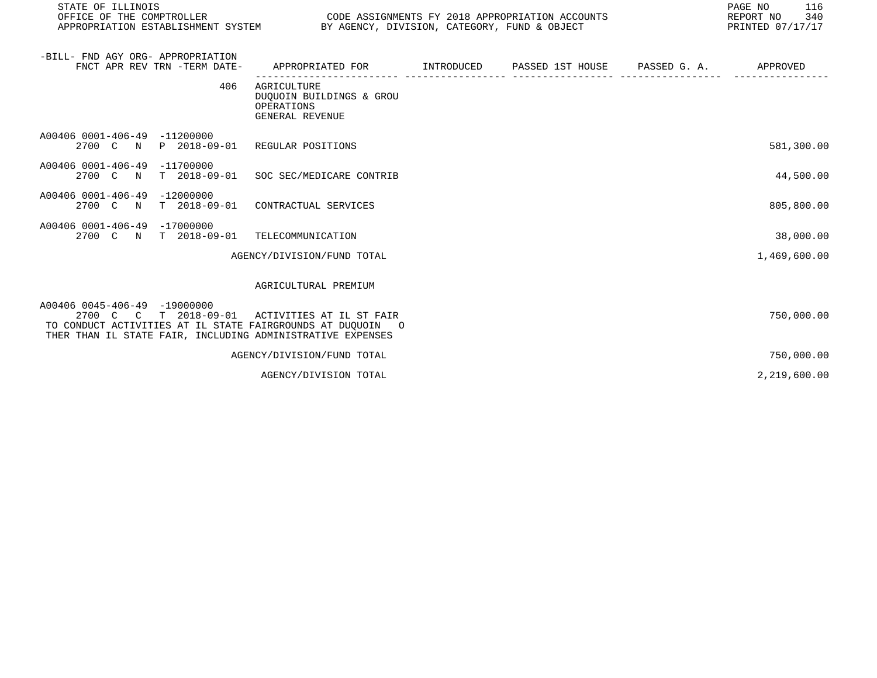| STATE OF ILLINOIS<br>OFFICE OF THE COMPTROLLER<br>APPROPRIATION ESTABLISHMENT SYSTEM BY AGENCY, DIVISION, CATEGORY, FUND & OBJECT                                                 | CODE ASSIGNMENTS FY 2018 APPROPRIATION ACCOUNTS                          |                             |                       | PAGE NO<br>116<br>REPORT NO<br>340<br>PRINTED 07/17/17 |
|-----------------------------------------------------------------------------------------------------------------------------------------------------------------------------------|--------------------------------------------------------------------------|-----------------------------|-----------------------|--------------------------------------------------------|
| -BILL- FND AGY ORG- APPROPRIATION<br>FNCT APR REV TRN -TERM DATE-                                                                                                                 | APPROPRIATED FOR                                                         | INTRODUCED PASSED 1ST HOUSE | PASSED G. A. APPROVED |                                                        |
| 406                                                                                                                                                                               | AGRICULTURE<br>DUQUOIN BUILDINGS & GROU<br>OPERATIONS<br>GENERAL REVENUE |                             |                       |                                                        |
| A00406 0001-406-49 -11200000<br>2700 C N P 2018-09-01 REGULAR POSITIONS                                                                                                           |                                                                          |                             |                       | 581,300.00                                             |
| A00406 0001-406-49 -11700000<br>2700 C N T 2018-09-01 SOC SEC/MEDICARE CONTRIB                                                                                                    |                                                                          |                             |                       | 44,500.00                                              |
| A00406 0001-406-49 -12000000<br>2700 C N T 2018-09-01 CONTRACTUAL SERVICES                                                                                                        |                                                                          |                             |                       | 805,800.00                                             |
| A00406 0001-406-49 -17000000<br>2700 C N T 2018-09-01 TELECOMMUNICATION                                                                                                           |                                                                          |                             |                       | 38,000.00                                              |
|                                                                                                                                                                                   | AGENCY/DIVISION/FUND TOTAL                                               |                             |                       | 1,469,600.00                                           |
|                                                                                                                                                                                   | AGRICULTURAL PREMIUM                                                     |                             |                       |                                                        |
| A00406 0045-406-49 -19000000<br>2700 C C T 2018-09-01<br>TO CONDUCT ACTIVITIES AT IL STATE FAIRGROUNDS AT DUQUOIN O<br>THER THAN IL STATE FAIR, INCLUDING ADMINISTRATIVE EXPENSES | ACTIVITIES AT IL ST FAIR                                                 |                             |                       | 750,000.00                                             |
|                                                                                                                                                                                   | AGENCY/DIVISION/FUND TOTAL                                               |                             |                       | 750,000.00                                             |
|                                                                                                                                                                                   | AGENCY/DIVISION TOTAL                                                    |                             |                       | 2,219,600.00                                           |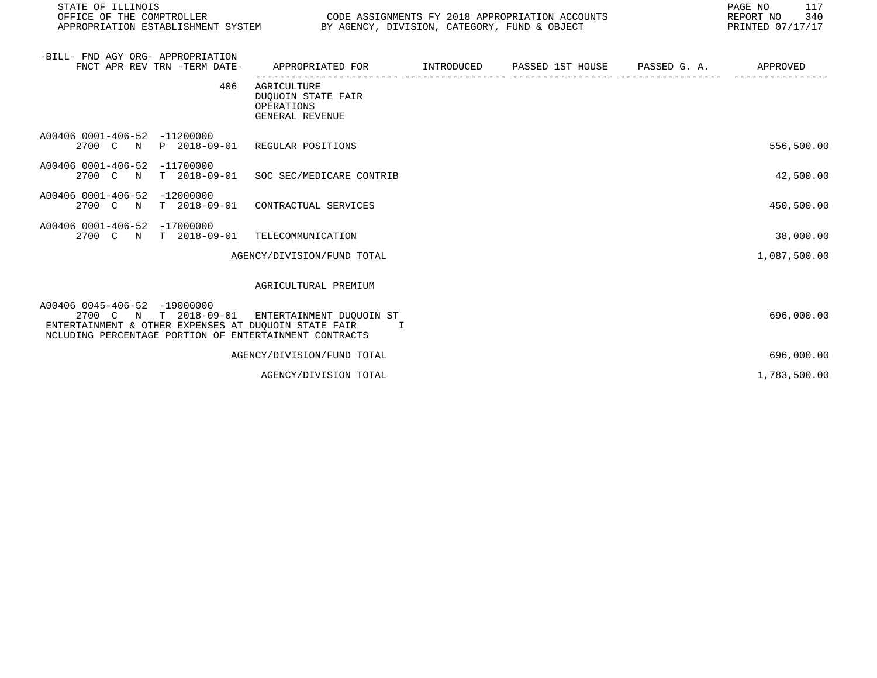| STATE OF ILLINOIS<br>OFFICE OF THE COMPTROLLER<br>APPROPRIATION ESTABLISHMENT SYSTEM BY AGENCY, DIVISION, CATEGORY, FUND & OBJECT                                                                   | CODE ASSIGNMENTS FY 2018 APPROPRIATION ACCOUNTS                                           |  | PAGE NO<br>117<br>REPORT NO 340<br>PRINTED 07/17/17 |
|-----------------------------------------------------------------------------------------------------------------------------------------------------------------------------------------------------|-------------------------------------------------------------------------------------------|--|-----------------------------------------------------|
| -BILL- FND AGY ORG- APPROPRIATION<br>FNCT APR REV TRN -TERM DATE-                                                                                                                                   | APPROPRIATED FOR        INTRODUCED      PASSED 1ST HOUSE     PASSED G. A.        APPROVED |  |                                                     |
| 406                                                                                                                                                                                                 | AGRICULTURE<br><b>DUOUOIN STATE FAIR</b><br>OPERATIONS<br>GENERAL REVENUE                 |  |                                                     |
| A00406 0001-406-52 -11200000<br>2700 C N P 2018-09-01 REGULAR POSITIONS                                                                                                                             |                                                                                           |  | 556,500.00                                          |
| A00406 0001-406-52 -11700000<br>2700 C N T 2018-09-01 SOC SEC/MEDICARE CONTRIB                                                                                                                      |                                                                                           |  | 42,500.00                                           |
| A00406 0001-406-52 -12000000<br>2700 C N T 2018-09-01 CONTRACTUAL SERVICES                                                                                                                          |                                                                                           |  | 450,500.00                                          |
| A00406 0001-406-52 -17000000<br>2700 C N T 2018-09-01 TELECOMMUNICATION                                                                                                                             |                                                                                           |  | 38,000.00                                           |
|                                                                                                                                                                                                     | AGENCY/DIVISION/FUND TOTAL                                                                |  | 1,087,500.00                                        |
|                                                                                                                                                                                                     | AGRICULTURAL PREMIUM                                                                      |  |                                                     |
| A00406 0045-406-52 -19000000<br>2700 C N T 2018-09-01 ENTERTAINMENT DUOUOIN ST<br>ENTERTAINMENT & OTHER EXPENSES AT DUOUOIN STATE FAIR TI<br>NCLUDING PERCENTAGE PORTION OF ENTERTAINMENT CONTRACTS |                                                                                           |  | 696,000.00                                          |
|                                                                                                                                                                                                     | AGENCY/DIVISION/FUND TOTAL                                                                |  | 696,000.00                                          |

AGENCY/DIVISION TOTAL 1, 193, 500.00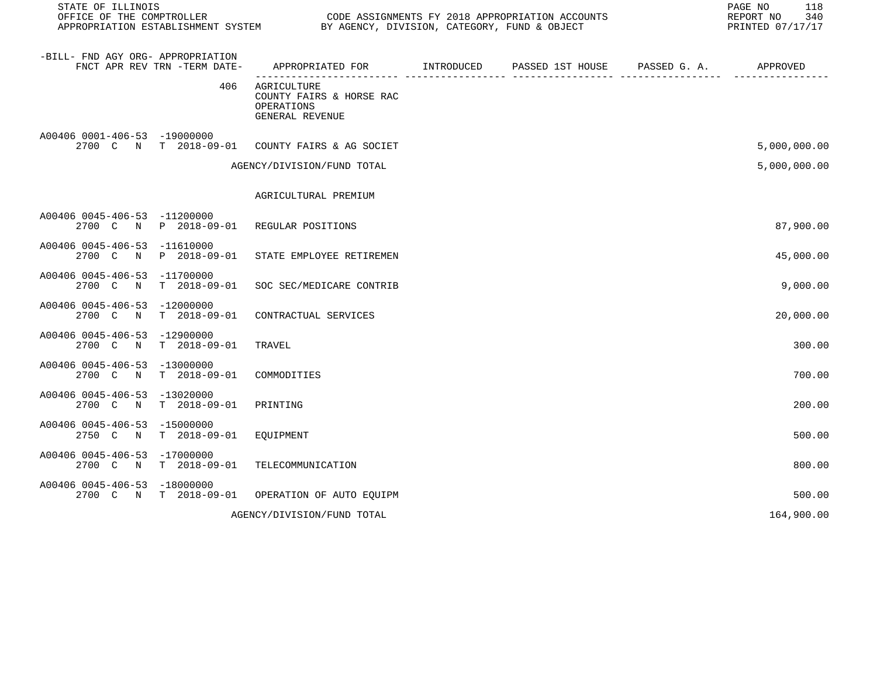| STATE OF ILLINOIS<br>OFFICE OF THE COMPTROLLER                                 | CODE ASSIGNMENTS FY 2018 APPROPRIATION ACCOUNTS<br>APPROPRIATION ESTABLISHMENT SYSTEM BY AGENCY, DIVISION, CATEGORY, FUND & OBJECT |            |                                        |                | PAGE NO<br>118<br>REPORT NO<br>340<br>PRINTED 07/17/17 |
|--------------------------------------------------------------------------------|------------------------------------------------------------------------------------------------------------------------------------|------------|----------------------------------------|----------------|--------------------------------------------------------|
| -BILL- FND AGY ORG- APPROPRIATION<br>FNCT APR REV TRN -TERM DATE-              | APPROPRIATED FOR                                                                                                                   | INTRODUCED | PASSED 1ST HOUSE PASSED G. A. APPROVED | _____ ________ |                                                        |
| 406                                                                            | AGRICULTURE<br>COUNTY FAIRS & HORSE RAC<br>OPERATIONS<br>GENERAL REVENUE                                                           |            |                                        |                |                                                        |
| A00406 0001-406-53 -19000000<br>2700 C N T 2018-09-01 COUNTY FAIRS & AG SOCIET |                                                                                                                                    |            |                                        |                | 5,000,000.00                                           |
|                                                                                | AGENCY/DIVISION/FUND TOTAL                                                                                                         |            |                                        |                | 5,000,000.00                                           |
|                                                                                | AGRICULTURAL PREMIUM                                                                                                               |            |                                        |                |                                                        |
| A00406 0045-406-53 -11200000<br>P 2018-09-01<br>2700 C N                       | REGULAR POSITIONS                                                                                                                  |            |                                        |                | 87,900.00                                              |
| A00406 0045-406-53 -11610000<br>2700 C N<br>P 2018-09-01                       | STATE EMPLOYEE RETIREMEN                                                                                                           |            |                                        |                | 45,000.00                                              |
| A00406 0045-406-53 -11700000<br>T 2018-09-01<br>2700 C N                       | SOC SEC/MEDICARE CONTRIB                                                                                                           |            |                                        |                | 9,000.00                                               |
| A00406 0045-406-53 -12000000<br>2700 C N<br>T 2018-09-01                       | CONTRACTUAL SERVICES                                                                                                               |            |                                        |                | 20,000.00                                              |
| A00406 0045-406-53 -12900000<br>2700 C N T 2018-09-01                          | TRAVEL                                                                                                                             |            |                                        |                | 300.00                                                 |
| A00406 0045-406-53 -13000000<br>2700 C N T 2018-09-01                          | COMMODITIES                                                                                                                        |            |                                        |                | 700.00                                                 |
| A00406 0045-406-53 -13020000<br>$T = 2018 - 09 - 01$<br>2700 C N               | PRINTING                                                                                                                           |            |                                        |                | 200.00                                                 |
| A00406 0045-406-53 -15000000<br>2750 C N<br>T 2018-09-01                       | EQUIPMENT                                                                                                                          |            |                                        |                | 500.00                                                 |
| A00406 0045-406-53 -17000000<br>2700 C N T 2018-09-01                          | TELECOMMUNICATION                                                                                                                  |            |                                        |                | 800.00                                                 |
| A00406 0045-406-53 -18000000<br>2700 C N T 2018-09-01 OPERATION OF AUTO EQUIPM |                                                                                                                                    |            |                                        |                | 500.00                                                 |
|                                                                                | AGENCY/DIVISION/FUND TOTAL                                                                                                         |            |                                        |                | 164,900.00                                             |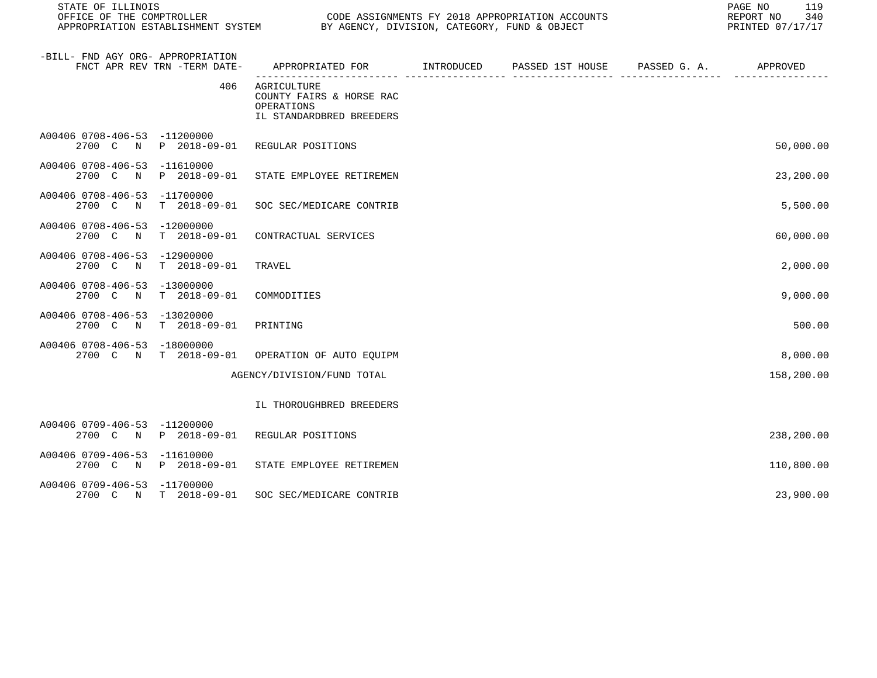| STATE OF ILLINOIS                           | OFFICE OF THE COMPTROLLER<br>CODE ASSIGNMENTS FY 2018 APPROPRIATION ACCOUNTS<br>APPROPRIATION ESTABLISHMENT SYSTEM BY AGENCY, DIVISION, CATEGORY, FUND & OBJECT |                                                                                   |  |  |  | 119<br>PAGE NO<br>REPORT NO<br>340<br>PRINTED 07/17/17 |
|---------------------------------------------|-----------------------------------------------------------------------------------------------------------------------------------------------------------------|-----------------------------------------------------------------------------------|--|--|--|--------------------------------------------------------|
| -BILL- FND AGY ORG- APPROPRIATION           | FNCT APR REV TRN -TERM DATE-                                                                                                                                    | APPROPRIATED FOR         INTRODUCED      PASSED 1ST HOUSE      PASSED G. A.       |  |  |  | APPROVED                                               |
|                                             | 406                                                                                                                                                             | AGRICULTURE<br>COUNTY FAIRS & HORSE RAC<br>OPERATIONS<br>IL STANDARDBRED BREEDERS |  |  |  |                                                        |
| A00406 0708-406-53 -11200000                | 2700 C N P 2018-09-01                                                                                                                                           | REGULAR POSITIONS                                                                 |  |  |  | 50,000.00                                              |
| A00406 0708-406-53 -11610000<br>2700 C N    | P 2018-09-01                                                                                                                                                    | STATE EMPLOYEE RETIREMEN                                                          |  |  |  | 23,200.00                                              |
| A00406 0708-406-53 -11700000<br>2700 C N    | $T = 2018 - 09 - 01$                                                                                                                                            | SOC SEC/MEDICARE CONTRIB                                                          |  |  |  | 5,500.00                                               |
| A00406 0708-406-53 -12000000<br>2700 C<br>N | $T = 2018 - 09 - 01$                                                                                                                                            | CONTRACTUAL SERVICES                                                              |  |  |  | 60,000.00                                              |
| A00406 0708-406-53<br>2700 C N              | -12900000<br>$T = 2018 - 09 - 01$                                                                                                                               | TRAVEL                                                                            |  |  |  | 2,000.00                                               |
| A00406 0708-406-53 -13000000<br>2700 C N    | $T = 2018 - 09 - 01$                                                                                                                                            | COMMODITIES                                                                       |  |  |  | 9,000.00                                               |
| A00406 0708-406-53 -13020000<br>2700 C N    | $T = 2018 - 09 - 01$                                                                                                                                            | PRINTING                                                                          |  |  |  | 500.00                                                 |
| A00406 0708-406-53 -18000000<br>2700 C N    | T 2018-09-01                                                                                                                                                    | OPERATION OF AUTO EQUIPM                                                          |  |  |  | 8,000.00                                               |
|                                             |                                                                                                                                                                 | AGENCY/DIVISION/FUND TOTAL                                                        |  |  |  | 158,200.00                                             |
|                                             |                                                                                                                                                                 | IL THOROUGHBRED BREEDERS                                                          |  |  |  |                                                        |
| A00406 0709-406-53 -11200000<br>2700 C N    | P 2018-09-01                                                                                                                                                    | REGULAR POSITIONS                                                                 |  |  |  | 238,200.00                                             |
| A00406 0709-406-53 -11610000                | 2700 C N P 2018-09-01                                                                                                                                           | STATE EMPLOYEE RETIREMEN                                                          |  |  |  | 110,800.00                                             |
| A00406 0709-406-53 -11700000                | 2700 C N T 2018-09-01                                                                                                                                           | SOC SEC/MEDICARE CONTRIB                                                          |  |  |  | 23,900.00                                              |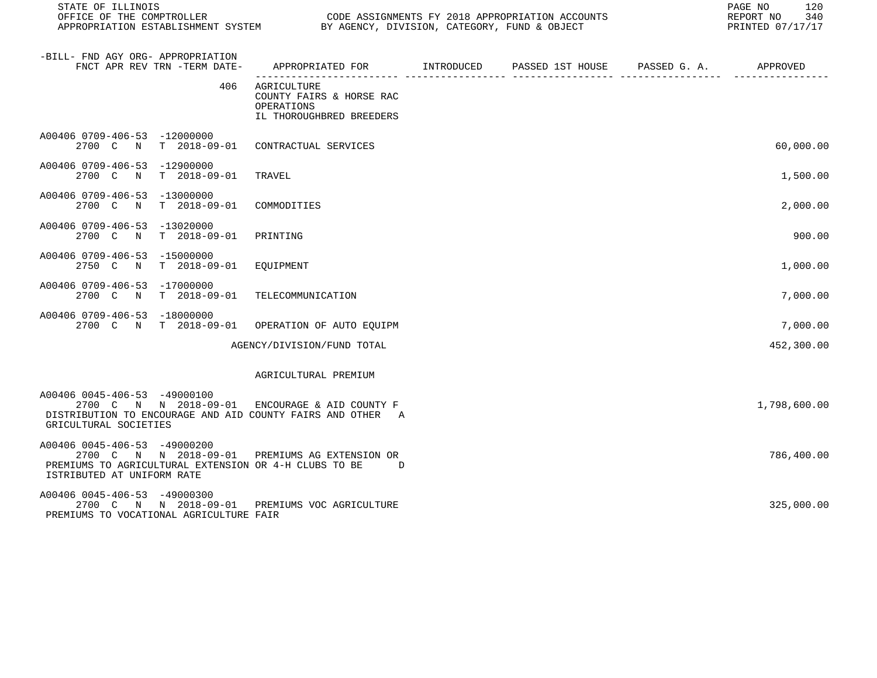| STATE OF ILLINOIS<br>OFFICE OF THE COMPTROLLER<br>APPROPRIATION ESTABLISHMENT SYSTEM BY AGENCY, DIVISION, CATEGORY, FUND & OBJECT                                     |                                                                                   | CODE ASSIGNMENTS FY 2018 APPROPRIATION ACCOUNTS |                       | PAGE NO<br>120<br>REPORT NO<br>340<br>PRINTED 07/17/17 |
|-----------------------------------------------------------------------------------------------------------------------------------------------------------------------|-----------------------------------------------------------------------------------|-------------------------------------------------|-----------------------|--------------------------------------------------------|
| -BILL- FND AGY ORG- APPROPRIATION<br>FNCT APR REV TRN -TERM DATE-                                                                                                     | APPROPRIATED FOR INTRODUCED                                                       | PASSED 1ST HOUSE                                | PASSED G. A. APPROVED |                                                        |
| 406                                                                                                                                                                   | AGRICULTURE<br>COUNTY FAIRS & HORSE RAC<br>OPERATIONS<br>IL THOROUGHBRED BREEDERS |                                                 |                       |                                                        |
| A00406 0709-406-53 -12000000<br>2700 C<br>$\mathbb N$                                                                                                                 | T 2018-09-01 CONTRACTUAL SERVICES                                                 |                                                 |                       | 60,000.00                                              |
| A00406 0709-406-53 -12900000<br>$T = 2018 - 09 - 01$<br>2700 C<br>$\mathbb N$                                                                                         | TRAVEL                                                                            |                                                 |                       | 1,500.00                                               |
| A00406 0709-406-53 -13000000<br>2700 C N<br>$T = 2018 - 09 - 01$                                                                                                      | COMMODITIES                                                                       |                                                 |                       | 2,000.00                                               |
| A00406 0709-406-53 -13020000<br>$T = 2018 - 09 - 01$<br>2700 C<br>$\mathbb N$                                                                                         | PRINTING                                                                          |                                                 |                       | 900.00                                                 |
| A00406 0709-406-53 -15000000<br>2750 C N<br>T 2018-09-01                                                                                                              | EQUIPMENT                                                                         |                                                 |                       | 1,000.00                                               |
| A00406 0709-406-53 -17000000<br>2700 C N<br>$T = 2018 - 09 - 01$                                                                                                      | TELECOMMUNICATION                                                                 |                                                 |                       | 7,000.00                                               |
| A00406 0709-406-53 -18000000<br>2700 C N T 2018-09-01                                                                                                                 | OPERATION OF AUTO EQUIPM                                                          |                                                 |                       | 7,000.00                                               |
|                                                                                                                                                                       | AGENCY/DIVISION/FUND TOTAL                                                        |                                                 |                       | 452,300.00                                             |
|                                                                                                                                                                       | AGRICULTURAL PREMIUM                                                              |                                                 |                       |                                                        |
| A00406 0045-406-53 -49000100<br>2700 C N N 2018-09-01<br>DISTRIBUTION TO ENCOURAGE AND AID COUNTY FAIRS AND OTHER A<br>GRICULTURAL SOCIETIES                          | ENCOURAGE & AID COUNTY F                                                          |                                                 |                       | 1,798,600.00                                           |
| A00406 0045-406-53 -49000200<br>2700 C N N 2018-09-01 PREMIUMS AG EXTENSION OR<br>PREMIUMS TO AGRICULTURAL EXTENSION OR 4-H CLUBS TO BE<br>ISTRIBUTED AT UNIFORM RATE | D                                                                                 |                                                 |                       | 786,400.00                                             |
| A00406 0045-406-53 -49000300<br>2700 C N N 2018-09-01 PREMIUMS VOC AGRICULTURE<br>PREMIUMS TO VOCATIONAL AGRICULTURE FAIR                                             |                                                                                   |                                                 |                       | 325,000.00                                             |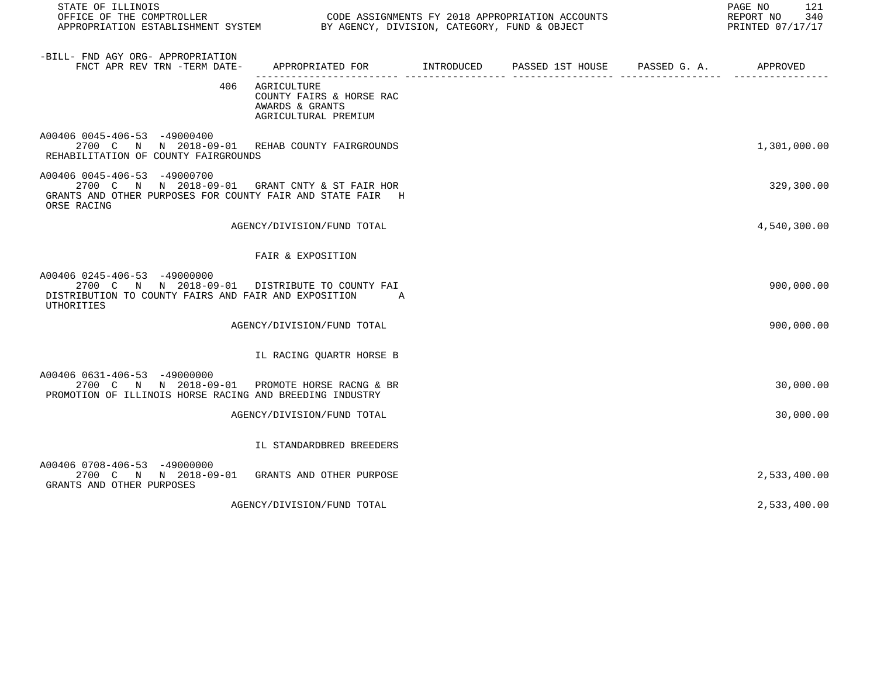| STATE OF ILLINOIS<br>OFFICE OF THE COMPTROLLER CONDUCTER CODE ASSIGNMENTS FY 2018 APPROPRIATION ACCOUNTS<br>APPROPRIATION ESTABLISHMENT SYSTEM BY AGENCY, DIVISION, CATEGORY, FUND & OBJECT |                                                                                           |  | PAGE NO<br>121<br>REPORT NO 340<br>PRINTED 07/17/17 |
|---------------------------------------------------------------------------------------------------------------------------------------------------------------------------------------------|-------------------------------------------------------------------------------------------|--|-----------------------------------------------------|
| -BILL- FND AGY ORG- APPROPRIATION<br>FNCT APR REV TRN -TERM DATE-                                                                                                                           | APPROPRIATED FOR        INTRODUCED     PASSED 1ST HOUSE     PASSED G. A.         APPROVED |  |                                                     |
|                                                                                                                                                                                             | 406 AGRICULTURE<br>COUNTY FAIRS & HORSE RAC<br>AWARDS & GRANTS<br>AGRICULTURAL PREMIUM    |  |                                                     |
| A00406 0045-406-53 -49000400<br>2700 C N N 2018-09-01 REHAB COUNTY FAIRGROUNDS<br>REHABILITATION OF COUNTY FAIRGROUNDS                                                                      |                                                                                           |  | 1,301,000.00                                        |
| A00406 0045-406-53 -49000700<br>2700 C N N 2018-09-01 GRANT CNTY & ST FAIR HOR<br>GRANTS AND OTHER PURPOSES FOR COUNTY FAIR AND STATE FAIR H<br>ORSE RACING                                 |                                                                                           |  | 329,300.00                                          |
|                                                                                                                                                                                             | AGENCY/DIVISION/FUND TOTAL                                                                |  | 4,540,300.00                                        |
|                                                                                                                                                                                             | FAIR & EXPOSITION                                                                         |  |                                                     |
| A00406 0245-406-53 -49000000<br>2700 C N N 2018-09-01 DISTRIBUTE TO COUNTY FAI<br>DISTRIBUTION TO COUNTY FAIRS AND FAIR AND EXPOSITION A<br><b>UTHORITIES</b>                               |                                                                                           |  | 900,000.00                                          |
|                                                                                                                                                                                             | AGENCY/DIVISION/FUND TOTAL                                                                |  | 900,000.00                                          |
|                                                                                                                                                                                             | IL RACING QUARTR HORSE B                                                                  |  |                                                     |
| A00406 0631-406-53 -49000000<br>2700 C N N 2018-09-01 PROMOTE HORSE RACNG & BR<br>PROMOTION OF ILLINOIS HORSE RACING AND BREEDING INDUSTRY                                                  |                                                                                           |  | 30,000.00                                           |
|                                                                                                                                                                                             | AGENCY/DIVISION/FUND TOTAL                                                                |  | 30,000.00                                           |
|                                                                                                                                                                                             | IL STANDARDBRED BREEDERS                                                                  |  |                                                     |
| A00406 0708-406-53 -49000000<br>2700 C N N 2018-09-01 GRANTS AND OTHER PURPOSE<br>GRANTS AND OTHER PURPOSES                                                                                 |                                                                                           |  | 2,533,400.00                                        |
|                                                                                                                                                                                             | AGENCY/DIVISION/FUND TOTAL                                                                |  | 2,533,400.00                                        |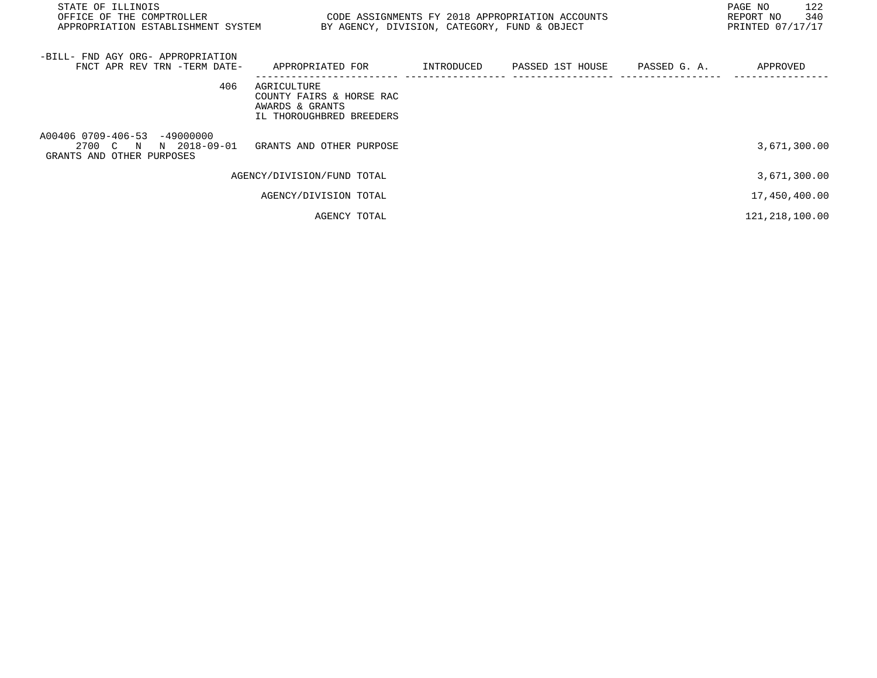| STATE OF ILLINOIS<br>OFFICE OF THE COMPTROLLER<br>CODE ASSIGNMENTS FY 2018 APPROPRIATION ACCOUNTS<br>APPROPRIATION ESTABLISHMENT SYSTEM<br>BY AGENCY, DIVISION, CATEGORY, FUND & OBJECT |                                                        |  |  |                  |                                                                                         |
|-----------------------------------------------------------------------------------------------------------------------------------------------------------------------------------------|--------------------------------------------------------|--|--|------------------|-----------------------------------------------------------------------------------------|
| APPROPRIATED FOR                                                                                                                                                                        | INTRODUCED                                             |  |  | APPROVED         |                                                                                         |
| AGRICULTURE<br>COUNTY FAIRS & HORSE RAC<br>AWARDS & GRANTS<br>IL THOROUGHBRED BREEDERS                                                                                                  |                                                        |  |  |                  |                                                                                         |
|                                                                                                                                                                                         |                                                        |  |  | 3,671,300.00     |                                                                                         |
|                                                                                                                                                                                         |                                                        |  |  | 3,671,300.00     |                                                                                         |
| AGENCY/DIVISION TOTAL                                                                                                                                                                   |                                                        |  |  | 17,450,400.00    |                                                                                         |
| AGENCY TOTAL                                                                                                                                                                            |                                                        |  |  | 121, 218, 100.00 |                                                                                         |
| FNCT APR REV TRN -TERM DATE-                                                                                                                                                            | GRANTS AND OTHER PURPOSE<br>AGENCY/DIVISION/FUND TOTAL |  |  |                  | PAGE NO<br>122<br>340<br>REPORT NO<br>PRINTED 07/17/17<br>PASSED 1ST HOUSE PASSED G. A. |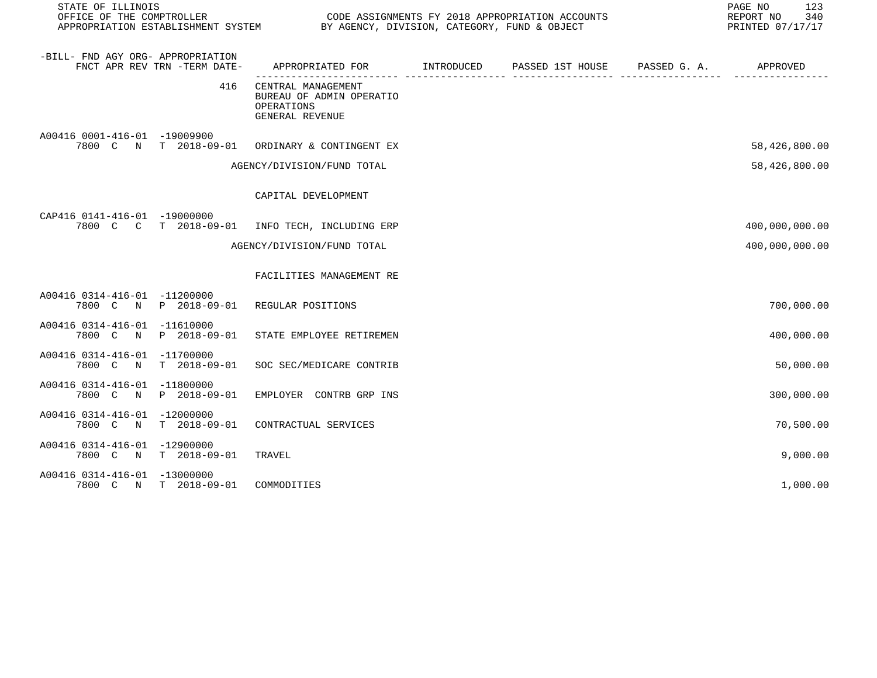| STATE OF ILLINOIS                        | OFFICE OF THE COMPTROLLER<br>CODE ASSIGNMENTS FY 2018 APPROPRIATION ACCOUNTS |                                                                                           |  |  |  | 123<br>PAGE NO<br>REPORT NO<br>340<br>PRINTED 07/17/17 |
|------------------------------------------|------------------------------------------------------------------------------|-------------------------------------------------------------------------------------------|--|--|--|--------------------------------------------------------|
| -BILL- FND AGY ORG- APPROPRIATION        | FNCT APR REV TRN -TERM DATE-                                                 | APPROPRIATED FOR        INTRODUCED     PASSED 1ST HOUSE     PASSED G. A.         APPROVED |  |  |  |                                                        |
|                                          | 416                                                                          | CENTRAL MANAGEMENT<br>BUREAU OF ADMIN OPERATIO<br>OPERATIONS<br>GENERAL REVENUE           |  |  |  |                                                        |
| A00416 0001-416-01 -19009900             |                                                                              | 7800 C N T 2018-09-01 ORDINARY & CONTINGENT EX                                            |  |  |  | 58,426,800.00                                          |
|                                          |                                                                              | AGENCY/DIVISION/FUND TOTAL                                                                |  |  |  | 58,426,800.00                                          |
|                                          |                                                                              | CAPITAL DEVELOPMENT                                                                       |  |  |  |                                                        |
| CAP416 0141-416-01 -19000000             |                                                                              | 7800 C C T 2018-09-01 INFO TECH, INCLUDING ERP                                            |  |  |  | 400,000,000.00                                         |
|                                          |                                                                              | AGENCY/DIVISION/FUND TOTAL                                                                |  |  |  | 400,000,000.00                                         |
|                                          |                                                                              | FACILITIES MANAGEMENT RE                                                                  |  |  |  |                                                        |
| A00416 0314-416-01 -11200000             |                                                                              | 7800 C N P 2018-09-01 REGULAR POSITIONS                                                   |  |  |  | 700,000.00                                             |
| A00416 0314-416-01 -11610000             |                                                                              | 7800 C N P 2018-09-01 STATE EMPLOYEE RETIREMEN                                            |  |  |  | 400,000.00                                             |
| A00416 0314-416-01 -11700000<br>7800 C N | T 2018-09-01                                                                 | SOC SEC/MEDICARE CONTRIB                                                                  |  |  |  | 50,000.00                                              |
| A00416 0314-416-01 -11800000             | 7800 C N P 2018-09-01                                                        | EMPLOYER CONTRB GRP INS                                                                   |  |  |  | 300,000.00                                             |
| A00416 0314-416-01 -12000000             | 7800 C N T 2018-09-01                                                        | CONTRACTUAL SERVICES                                                                      |  |  |  | 70,500.00                                              |
| A00416 0314-416-01 -12900000             | 7800 C N T 2018-09-01                                                        | TRAVEL                                                                                    |  |  |  | 9,000.00                                               |
| A00416 0314-416-01 -13000000             | 7800 C N T 2018-09-01                                                        | COMMODITIES                                                                               |  |  |  | 1,000.00                                               |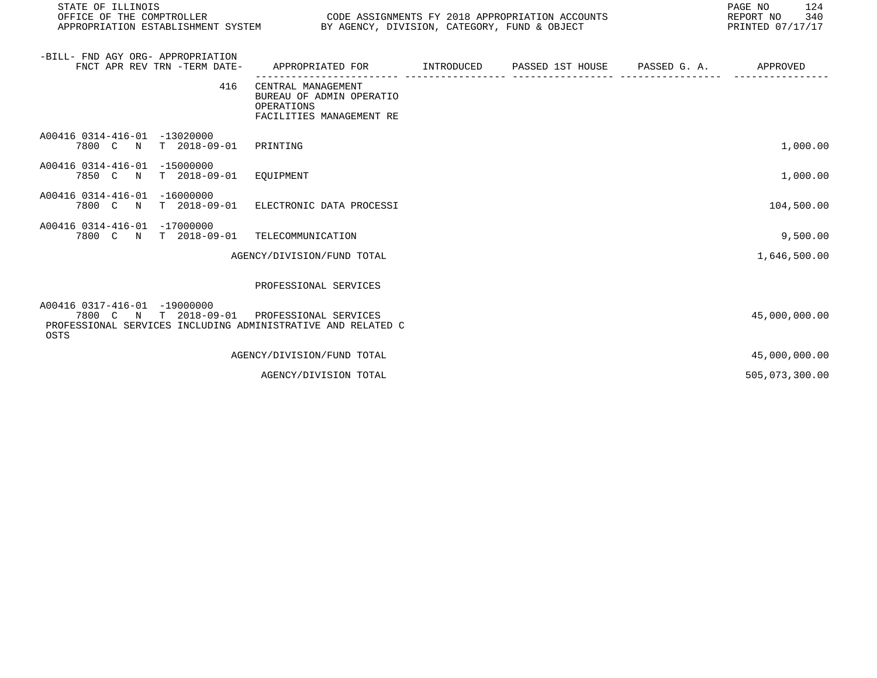| STATE OF ILLINOIS<br>OFFICE OF THE COMPTROLLER<br>APPROPRIATION ESTABLISHMENT SYSTEM BY AGENCY, DIVISION, CATEGORY, FUND & OBJECT | CODE ASSIGNMENTS FY 2018 APPROPRIATION ACCOUNTS                                          |  | PAGE NO<br>124<br>REPORT NO<br>340<br>PRINTED 07/17/17 |
|-----------------------------------------------------------------------------------------------------------------------------------|------------------------------------------------------------------------------------------|--|--------------------------------------------------------|
| -BILL- FND AGY ORG- APPROPRIATION<br>FNCT APR REV TRN -TERM DATE-                                                                 | APPROPRIATED FOR                                                                         |  | APPROVED                                               |
| 416                                                                                                                               | CENTRAL MANAGEMENT<br>BUREAU OF ADMIN OPERATIO<br>OPERATIONS<br>FACILITIES MANAGEMENT RE |  |                                                        |
| A00416 0314-416-01 -13020000<br>7800 C N<br>T 2018-09-01 PRINTING                                                                 |                                                                                          |  | 1,000.00                                               |
| A00416 0314-416-01 -15000000<br>T 2018-09-01 EQUIPMENT<br>7850 C N                                                                |                                                                                          |  | 1,000.00                                               |
| A00416 0314-416-01 -16000000<br>T 2018-09-01<br>7800 C N                                                                          | ELECTRONIC DATA PROCESSI                                                                 |  | 104,500.00                                             |
| A00416 0314-416-01 -17000000<br>7800 C N T 2018-09-01 TELECOMMUNICATION                                                           |                                                                                          |  | 9,500.00                                               |
|                                                                                                                                   | AGENCY/DIVISION/FUND TOTAL                                                               |  | 1,646,500.00                                           |
|                                                                                                                                   | PROFESSIONAL SERVICES                                                                    |  |                                                        |
| A00416 0317-416-01 -19000000<br>7800 C N T 2018-09-01<br>PROFESSIONAL SERVICES INCLUDING ADMINISTRATIVE AND RELATED C<br>OSTS     | PROFESSIONAL SERVICES                                                                    |  | 45,000,000.00                                          |
|                                                                                                                                   | AGENCY/DIVISION/FUND TOTAL                                                               |  | 45,000,000.00                                          |
|                                                                                                                                   | AGENCY/DIVISION TOTAL                                                                    |  | 505,073,300.00                                         |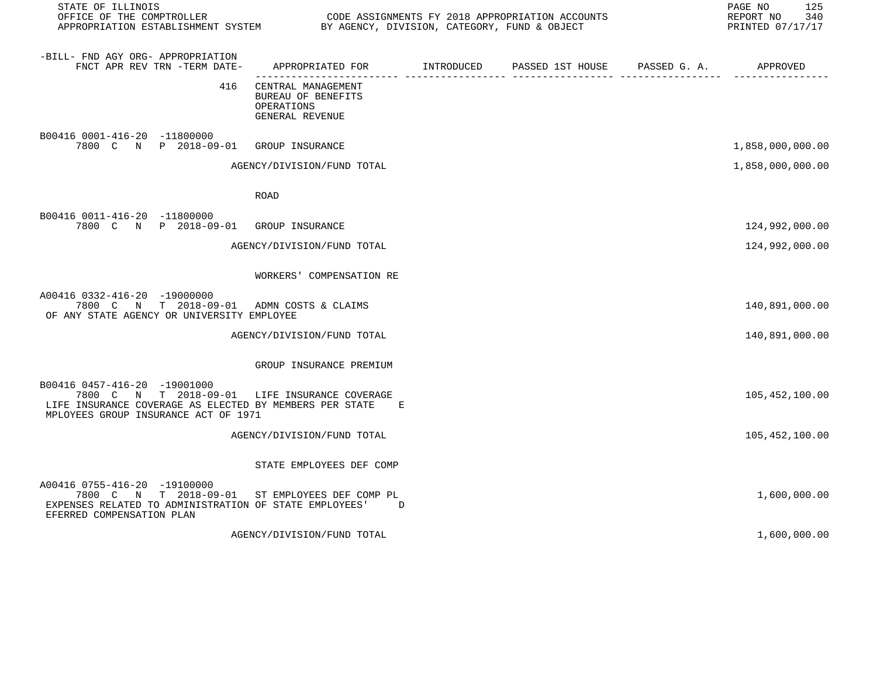| STATE OF ILLINOIS<br>OFFICE OF THE COMPTROLLER<br>APPROPRIATION ESTABLISHMENT SYSTEM BY AGENCY, DIVISION, CATEGORY, FUND & OBJECT                                                |                                                                                              | CODE ASSIGNMENTS FY 2018 APPROPRIATION ACCOUNTS | 125<br>PAGE NO<br>REPORT NO<br>340<br>PRINTED 07/17/17 |
|----------------------------------------------------------------------------------------------------------------------------------------------------------------------------------|----------------------------------------------------------------------------------------------|-------------------------------------------------|--------------------------------------------------------|
| -BILL- FND AGY ORG- APPROPRIATION<br>FNCT APR REV TRN -TERM DATE-                                                                                                                | APPROPRIATED FOR        INTRODUCED      PASSED 1ST HOUSE      PASSED G. A.          APPROVED |                                                 |                                                        |
| 416                                                                                                                                                                              | CENTRAL MANAGEMENT<br><b>BUREAU OF BENEFITS</b><br>OPERATIONS<br>GENERAL REVENUE             |                                                 |                                                        |
| B00416 0001-416-20 -11800000<br>7800 C N P 2018-09-01                                                                                                                            | GROUP INSURANCE                                                                              |                                                 | 1,858,000,000.00                                       |
|                                                                                                                                                                                  | AGENCY/DIVISION/FUND TOTAL                                                                   |                                                 | 1,858,000,000.00                                       |
|                                                                                                                                                                                  | <b>ROAD</b>                                                                                  |                                                 |                                                        |
| B00416 0011-416-20 -11800000<br>7800 C N P 2018-09-01 GROUP INSURANCE                                                                                                            |                                                                                              |                                                 | 124,992,000.00                                         |
|                                                                                                                                                                                  | AGENCY/DIVISION/FUND TOTAL                                                                   |                                                 | 124,992,000.00                                         |
|                                                                                                                                                                                  | WORKERS' COMPENSATION RE                                                                     |                                                 |                                                        |
| A00416 0332-416-20 -19000000<br>7800 C N T 2018-09-01<br>OF ANY STATE AGENCY OR UNIVERSITY EMPLOYEE                                                                              | ADMN COSTS & CLAIMS                                                                          |                                                 | 140,891,000.00                                         |
|                                                                                                                                                                                  | AGENCY/DIVISION/FUND TOTAL                                                                   |                                                 | 140,891,000.00                                         |
|                                                                                                                                                                                  | GROUP INSURANCE PREMIUM                                                                      |                                                 |                                                        |
| B00416 0457-416-20 -19001000<br>7800 C N T 2018-09-01 LIFE INSURANCE COVERAGE<br>LIFE INSURANCE COVERAGE AS ELECTED BY MEMBERS PER STATE<br>MPLOYEES GROUP INSURANCE ACT OF 1971 | Е                                                                                            |                                                 | 105,452,100.00                                         |
|                                                                                                                                                                                  | AGENCY/DIVISION/FUND TOTAL                                                                   |                                                 | 105, 452, 100.00                                       |
|                                                                                                                                                                                  | STATE EMPLOYEES DEF COMP                                                                     |                                                 |                                                        |
| A00416 0755-416-20 -19100000<br>7800 C N T 2018-09-01 ST EMPLOYEES DEF COMP PL<br>EXPENSES RELATED TO ADMINISTRATION OF STATE EMPLOYEES'<br>EFERRED COMPENSATION PLAN            | D                                                                                            |                                                 | 1,600,000.00                                           |
|                                                                                                                                                                                  | AGENCY/DIVISION/FUND TOTAL                                                                   |                                                 | 1,600,000.00                                           |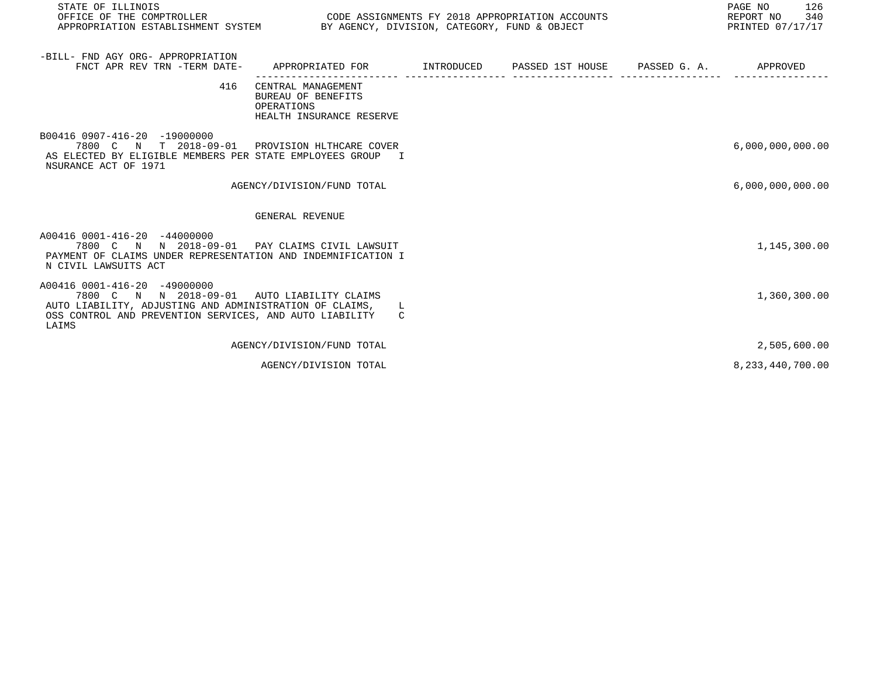| STATE OF ILLINOIS<br>OFFICE OF THE COMPTROLLER<br>APPROPRIATION ESTABLISHMENT SYSTEM BY AGENCY, DIVISION, CATEGORY, FUND & OBJECT                                                                          | CODE ASSIGNMENTS FY 2018 APPROPRIATION ACCOUNTS                                               |  | PAGE NO<br>126<br>340<br>REPORT NO<br>PRINTED 07/17/17 |
|------------------------------------------------------------------------------------------------------------------------------------------------------------------------------------------------------------|-----------------------------------------------------------------------------------------------|--|--------------------------------------------------------|
|                                                                                                                                                                                                            |                                                                                               |  |                                                        |
| -BILL- FND AGY ORG- APPROPRIATION<br>FNCT APR REV TRN -TERM DATE- APPROPRIATED FOR METRODUCED PASSED 1ST HOUSE PASSED G. A. APPROVED                                                                       |                                                                                               |  |                                                        |
|                                                                                                                                                                                                            | 416 CENTRAL MANAGEMENT<br><b>BUREAU OF BENEFITS</b><br>OPERATIONS<br>HEALTH INSURANCE RESERVE |  |                                                        |
| B00416 0907-416-20 -19000000<br>7800 C N T 2018-09-01 PROVISION HLTHCARE COVER<br>AS ELECTED BY ELIGIBLE MEMBERS PER STATE EMPLOYEES GROUP I<br>NSURANCE ACT OF 1971                                       |                                                                                               |  | 6,000,000,000.00                                       |
|                                                                                                                                                                                                            | AGENCY/DIVISION/FUND TOTAL                                                                    |  | 6,000,000,000.00                                       |
|                                                                                                                                                                                                            |                                                                                               |  |                                                        |
|                                                                                                                                                                                                            | GENERAL REVENUE                                                                               |  |                                                        |
| A00416 0001-416-20 -44000000<br>7800 C N N 2018-09-01 PAY CLAIMS CIVIL LAWSUIT<br>PAYMENT OF CLAIMS UNDER REPRESENTATION AND INDEMNIFICATION I<br>N CIVIL LAWSUITS ACT                                     |                                                                                               |  | 1,145,300.00                                           |
| A00416 0001-416-20 -49000000<br>7800 C N N 2018-09-01 AUTO LIABILITY CLAIMS<br>AUTO LIABILITY, ADJUSTING AND ADMINISTRATION OF CLAIMS,<br>OSS CONTROL AND PREVENTION SERVICES, AND AUTO LIABILITY<br>LAIMS | L.<br>C.                                                                                      |  | 1,360,300.00                                           |
|                                                                                                                                                                                                            | AGENCY/DIVISION/FUND TOTAL                                                                    |  | 2,505,600.00                                           |
|                                                                                                                                                                                                            | AGENCY/DIVISION TOTAL                                                                         |  | 8, 233, 440, 700.00                                    |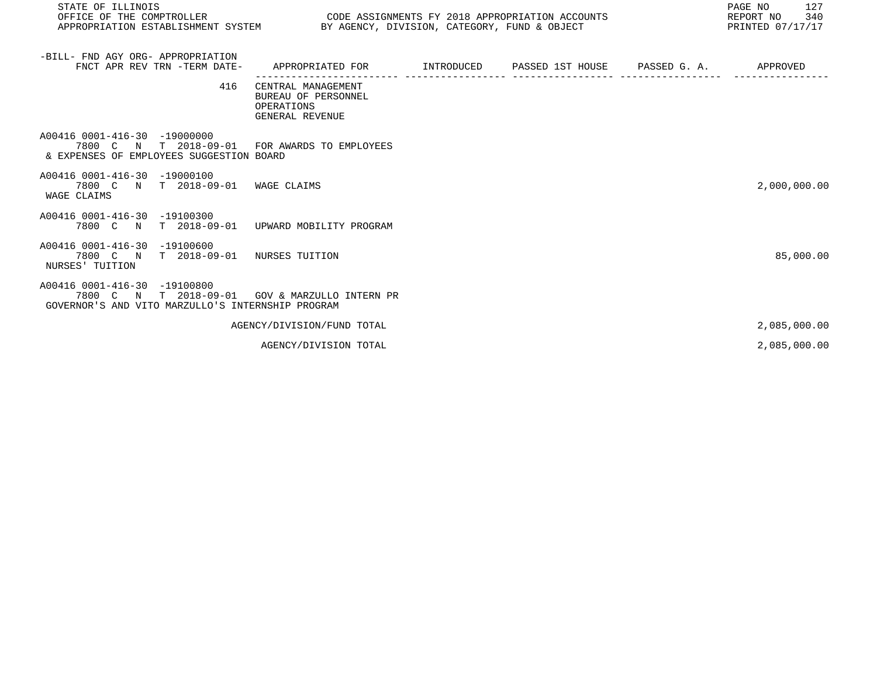| STATE OF ILLINOIS<br>OFFICE OF THE COMPTROLLER<br>APPROPRIATION ESTABLISHMENT SYSTEM BY AGENCY, DIVISION, CATEGORY, FUND & OBJECT | CODE ASSIGNMENTS FY 2018 APPROPRIATION ACCOUNTS                            |  | PAGE NO<br>127<br>REPORT NO<br>340<br>PRINTED 07/17/17 |
|-----------------------------------------------------------------------------------------------------------------------------------|----------------------------------------------------------------------------|--|--------------------------------------------------------|
| -BILL- FND AGY ORG- APPROPRIATION<br>FNCT APR REV TRN -TERM DATE-                                                                 | APPROPRIATED FOR                                                           |  | APPROVED                                               |
| 416                                                                                                                               | CENTRAL MANAGEMENT<br>BUREAU OF PERSONNEL<br>OPERATIONS<br>GENERAL REVENUE |  |                                                        |
| A00416 0001-416-30 -19000000<br>7800 C N T 2018-09-01<br>& EXPENSES OF EMPLOYEES SUGGESTION BOARD                                 | FOR AWARDS TO EMPLOYEES                                                    |  |                                                        |
| A00416 0001-416-30 -19000100<br>7800 C N<br>$T = 2018 - 09 - 01$<br>WAGE CLAIMS                                                   | WAGE CLAIMS                                                                |  | 2,000,000.00                                           |
| A00416 0001-416-30 -19100300<br>7800 C N<br>$T = 2018 - 09 - 01$                                                                  | UPWARD MOBILITY PROGRAM                                                    |  |                                                        |
| A00416 0001-416-30 -19100600<br>7800 C N T 2018-09-01 NURSES TUITION<br>NURSES' TUITION                                           |                                                                            |  | 85,000.00                                              |
| A00416 0001-416-30 -19100800<br>$T$ 2018-09-01<br>7800 C N<br>GOVERNOR'S AND VITO MARZULLO'S INTERNSHIP PROGRAM                   | GOV & MARZULLO INTERN PR                                                   |  |                                                        |
|                                                                                                                                   | AGENCY/DIVISION/FUND TOTAL                                                 |  | 2,085,000.00                                           |
|                                                                                                                                   | AGENCY/DIVISION TOTAL                                                      |  | 2,085,000.00                                           |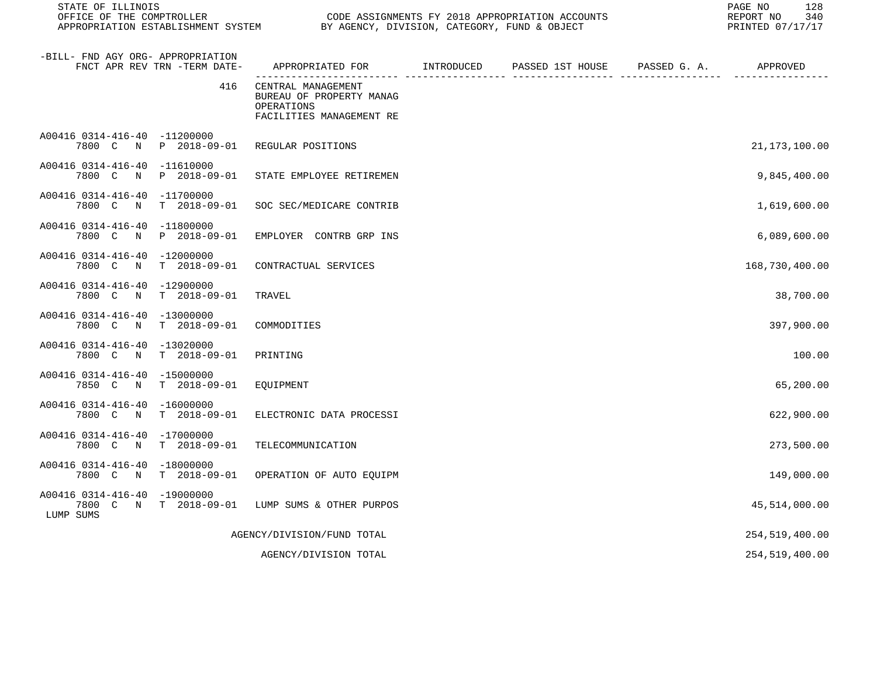| STATE OF ILLINOIS<br>OFFICE OF THE COMPTROLLER<br>APPROPRIATION ESTABLISHMENT SYSTEM BY AGENCY, DIVISION, CATEGORY, FUND & OBJECT |                                                                                             | CODE ASSIGNMENTS FY 2018 APPROPRIATION ACCOUNTS | 128<br>PAGE NO<br>340<br>REPORT NO<br>PRINTED 07/17/17 |
|-----------------------------------------------------------------------------------------------------------------------------------|---------------------------------------------------------------------------------------------|-------------------------------------------------|--------------------------------------------------------|
| -BILL- FND AGY ORG- APPROPRIATION<br>FNCT APR REV TRN -TERM DATE-                                                                 | APPROPRIATED FOR         INTRODUCED      PASSED 1ST HOUSE     PASSED G. A.         APPROVED |                                                 |                                                        |
| 416                                                                                                                               | CENTRAL MANAGEMENT<br>BUREAU OF PROPERTY MANAG<br>OPERATIONS<br>FACILITIES MANAGEMENT RE    |                                                 |                                                        |
| A00416 0314-416-40 -11200000<br>7800 C<br>N P 2018-09-01 REGULAR POSITIONS                                                        |                                                                                             |                                                 | 21, 173, 100.00                                        |
| A00416 0314-416-40 -11610000<br>7800 C<br>N<br>P 2018-09-01                                                                       | STATE EMPLOYEE RETIREMEN                                                                    |                                                 | 9,845,400.00                                           |
| A00416 0314-416-40 -11700000<br>7800 C<br>$T = 2018 - 09 - 01$<br>$\mathbb N$                                                     | SOC SEC/MEDICARE CONTRIB                                                                    |                                                 | 1,619,600.00                                           |
| A00416 0314-416-40 -11800000<br>P 2018-09-01<br>7800 C N                                                                          | EMPLOYER CONTRB GRP INS                                                                     |                                                 | 6,089,600.00                                           |
| A00416 0314-416-40 -12000000<br>$T = 2018 - 09 - 01$<br>7800 C N                                                                  | CONTRACTUAL SERVICES                                                                        |                                                 | 168,730,400.00                                         |
| A00416 0314-416-40 -12900000<br>7800 C N<br>$T = 2018 - 09 - 01$                                                                  | TRAVEL                                                                                      |                                                 | 38,700.00                                              |
| A00416 0314-416-40 -13000000<br>7800 C N<br>$T = 2018 - 09 - 01$                                                                  | COMMODITIES                                                                                 |                                                 | 397,900.00                                             |
| A00416 0314-416-40 -13020000<br>7800 C N<br>$T = 2018 - 09 - 01$                                                                  | PRINTING                                                                                    |                                                 | 100.00                                                 |
| A00416 0314-416-40 -15000000<br>7850 C N<br>$T = 2018 - 09 - 01$                                                                  | EQUIPMENT                                                                                   |                                                 | 65,200.00                                              |
| A00416 0314-416-40 -16000000<br>7800 C N<br>$T = 2018 - 09 - 01$                                                                  | ELECTRONIC DATA PROCESSI                                                                    |                                                 | 622,900.00                                             |
| A00416 0314-416-40 -17000000<br>7800 C N<br>$T = 2018 - 09 - 01$                                                                  | TELECOMMUNICATION                                                                           |                                                 | 273,500.00                                             |
| A00416 0314-416-40 -18000000<br>7800 C N<br>T 2018-09-01                                                                          | OPERATION OF AUTO EQUIPM                                                                    |                                                 | 149,000.00                                             |
| A00416 0314-416-40 -19000000<br>7800 C N T 2018-09-01<br>LUMP SUMS                                                                | LUMP SUMS & OTHER PURPOS                                                                    |                                                 | 45,514,000.00                                          |
|                                                                                                                                   | AGENCY/DIVISION/FUND TOTAL                                                                  |                                                 | 254,519,400.00                                         |
|                                                                                                                                   | AGENCY/DIVISION TOTAL                                                                       |                                                 | 254,519,400.00                                         |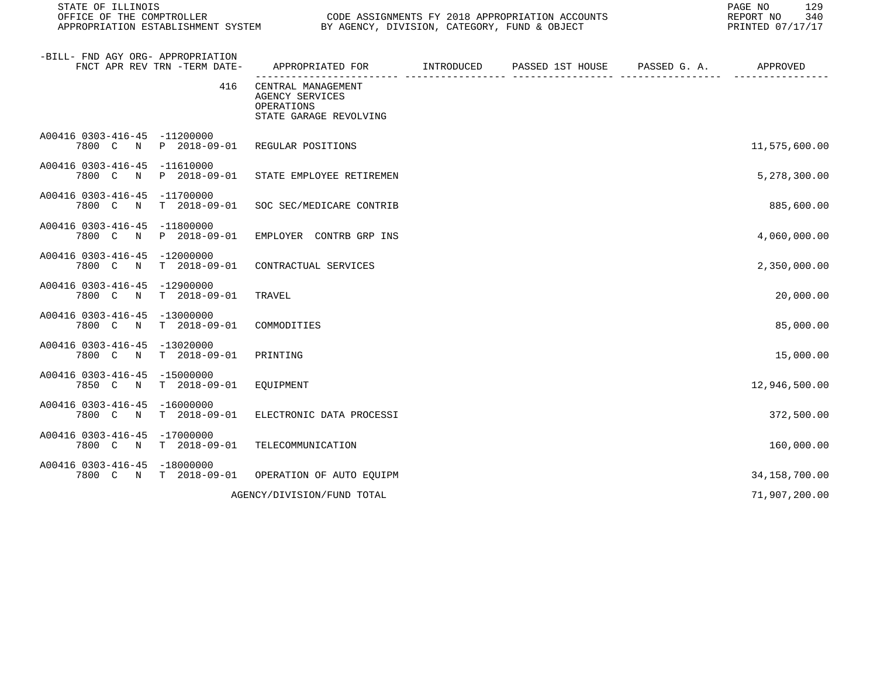| STATE OF ILLINOIS                                     | OFFICE OF THE COMPTROLLER<br>CODE ASSIGNMENTS FY 2018 APPROPRIATION ACCOUNTS<br>APPROPRIATION ESTABLISHMENT SYSTEM<br>BY AGENCY, DIVISION, CATEGORY, FUND & OBJECT |                                                                               |            |                  |              |                 |
|-------------------------------------------------------|--------------------------------------------------------------------------------------------------------------------------------------------------------------------|-------------------------------------------------------------------------------|------------|------------------|--------------|-----------------|
| -BILL- FND AGY ORG- APPROPRIATION                     | FNCT APR REV TRN -TERM DATE-                                                                                                                                       | APPROPRIATED FOR                                                              | INTRODUCED | PASSED 1ST HOUSE | PASSED G. A. | APPROVED        |
|                                                       | 416                                                                                                                                                                | CENTRAL MANAGEMENT<br>AGENCY SERVICES<br>OPERATIONS<br>STATE GARAGE REVOLVING |            |                  |              |                 |
| A00416 0303-416-45 -11200000<br>7800 C N              | P 2018-09-01                                                                                                                                                       | REGULAR POSITIONS                                                             |            |                  |              | 11,575,600.00   |
| A00416 0303-416-45<br>7800 C N                        | -11610000<br>P 2018-09-01                                                                                                                                          | STATE EMPLOYEE RETIREMEN                                                      |            |                  |              | 5,278,300.00    |
| A00416 0303-416-45 -11700000<br>7800 C N              | $T = 2018 - 09 - 01$                                                                                                                                               | SOC SEC/MEDICARE CONTRIB                                                      |            |                  |              | 885,600.00      |
| A00416 0303-416-45<br>7800 C<br>$\mathbb N$           | $-11800000$<br>P 2018-09-01                                                                                                                                        | EMPLOYER CONTRB GRP INS                                                       |            |                  |              | 4,060,000.00    |
| A00416 0303-416-45<br>7800 C N                        | $-12000000$<br>$T = 2018 - 09 - 01$                                                                                                                                | CONTRACTUAL SERVICES                                                          |            |                  |              | 2,350,000.00    |
| A00416 0303-416-45<br>7800 C<br>$\mathbb N$           | $-12900000$<br>$T = 2018 - 09 - 01$                                                                                                                                | TRAVEL                                                                        |            |                  |              | 20,000.00       |
| A00416 0303-416-45 -13000000<br>7800 C<br>$\mathbb N$ | $T = 2018 - 09 - 01$                                                                                                                                               | COMMODITIES                                                                   |            |                  |              | 85,000.00       |
| A00416 0303-416-45 -13020000<br>7800 C<br>$\mathbb N$ | $T = 2018 - 09 - 01$                                                                                                                                               | PRINTING                                                                      |            |                  |              | 15,000.00       |
| A00416 0303-416-45<br>7850 C<br>$\mathbb N$           | $-15000000$<br>$T = 2018 - 09 - 01$                                                                                                                                | EQUIPMENT                                                                     |            |                  |              | 12,946,500.00   |
| A00416 0303-416-45<br>7800 C N                        | $-16000000$<br>$T = 2018 - 09 - 01$                                                                                                                                | ELECTRONIC DATA PROCESSI                                                      |            |                  |              | 372,500.00      |
| A00416 0303-416-45<br>7800 C N                        | $-17000000$<br>$T = 2018 - 09 - 01$                                                                                                                                | TELECOMMUNICATION                                                             |            |                  |              | 160,000.00      |
| A00416 0303-416-45 -18000000<br>7800 C N              | $T = 2018 - 09 - 01$                                                                                                                                               | OPERATION OF AUTO EQUIPM                                                      |            |                  |              | 34, 158, 700.00 |
|                                                       |                                                                                                                                                                    | AGENCY/DIVISION/FUND TOTAL                                                    |            |                  |              | 71,907,200.00   |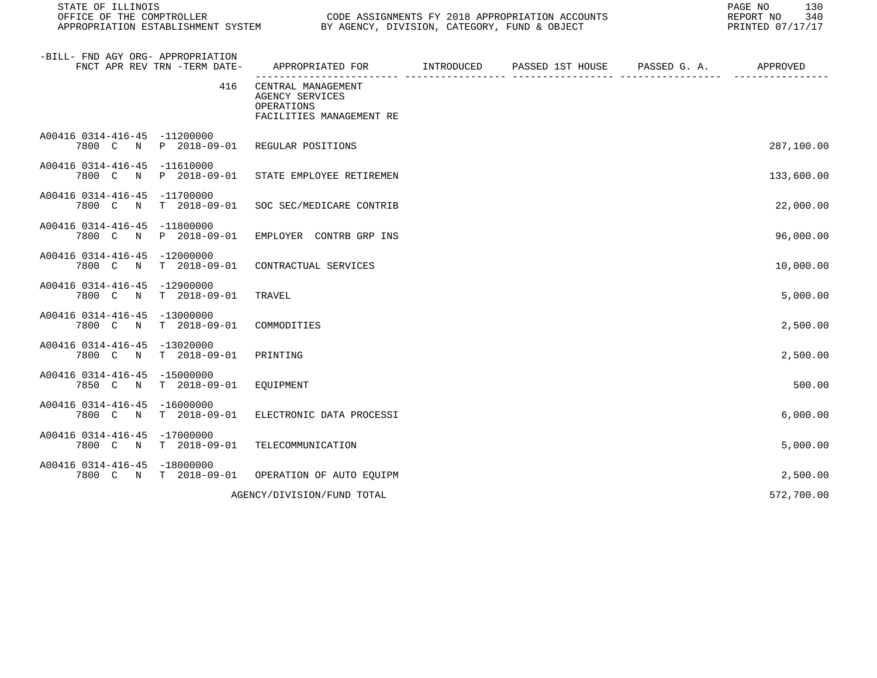| STATE OF ILLINOIS<br>OFFICE OF THE COMPTROLLER<br>APPROPRIATION ESTABLISHMENT SYSTEM |                                     | CODE ASSIGNMENTS FY 2018 APPROPRIATION ACCOUNTS<br>EUDE ASSIGNMENTS FI 2010 AFFINGENTITION AND | PAGE NO<br>130<br>REPORT NO<br>340<br>PRINTED 07/17/17 |  |            |
|--------------------------------------------------------------------------------------|-------------------------------------|------------------------------------------------------------------------------------------------|--------------------------------------------------------|--|------------|
| -BILL- FND AGY ORG- APPROPRIATION<br>FNCT APR REV TRN -TERM DATE-                    |                                     | APPROPRIATED FOR INTRODUCED                                                                    | PASSED 1ST HOUSE PASSED G. A.                          |  | APPROVED   |
|                                                                                      | 416                                 | CENTRAL MANAGEMENT<br>AGENCY SERVICES<br>OPERATIONS<br>FACILITIES MANAGEMENT RE                |                                                        |  |            |
| A00416 0314-416-45 -11200000<br>7800 C N P 2018-09-01                                |                                     | REGULAR POSITIONS                                                                              |                                                        |  | 287,100.00 |
| A00416 0314-416-45 -11610000<br>7800 C N                                             | P 2018-09-01                        | STATE EMPLOYEE RETIREMEN                                                                       |                                                        |  | 133,600.00 |
| A00416 0314-416-45 -11700000<br>7800 C<br>N                                          | $T = 2018 - 09 - 01$                | SOC SEC/MEDICARE CONTRIB                                                                       |                                                        |  | 22,000.00  |
| A00416 0314-416-45 -11800000<br>7800 C<br>$\mathbb N$                                | P 2018-09-01                        | EMPLOYER CONTRB GRP INS                                                                        |                                                        |  | 96,000.00  |
| A00416 0314-416-45 -12000000<br>7800 C N                                             | T 2018-09-01                        | CONTRACTUAL SERVICES                                                                           |                                                        |  | 10,000.00  |
| A00416 0314-416-45 -12900000<br>7800 C N                                             | $T = 2018 - 09 - 01$                | TRAVEL                                                                                         |                                                        |  | 5,000.00   |
| A00416 0314-416-45 -13000000<br>7800 C N                                             | $T = 2018 - 09 - 01$                | COMMODITIES                                                                                    |                                                        |  | 2,500.00   |
| A00416 0314-416-45<br>7800 C<br>$\mathbb N$                                          | -13020000<br>$T$ 2018-09-01         | PRINTING                                                                                       |                                                        |  | 2,500.00   |
| A00416 0314-416-45<br>7850 C N                                                       | -15000000<br>$T = 2018 - 09 - 01$   | EOUIPMENT                                                                                      |                                                        |  | 500.00     |
| A00416 0314-416-45<br>7800 C<br>N                                                    | $-16000000$<br>$T = 2018 - 09 - 01$ | ELECTRONIC DATA PROCESSI                                                                       |                                                        |  | 6,000.00   |
| A00416 0314-416-45 -17000000<br>7800 C N                                             | $T = 2018 - 09 - 01$                | TELECOMMUNICATION                                                                              |                                                        |  | 5,000.00   |
| A00416 0314-416-45<br>7800 C<br>$\mathbf N$                                          | $-18000000$<br>$T = 2018 - 09 - 01$ | OPERATION OF AUTO EQUIPM                                                                       |                                                        |  | 2,500.00   |
|                                                                                      |                                     | AGENCY/DIVISION/FUND TOTAL                                                                     |                                                        |  | 572,700.00 |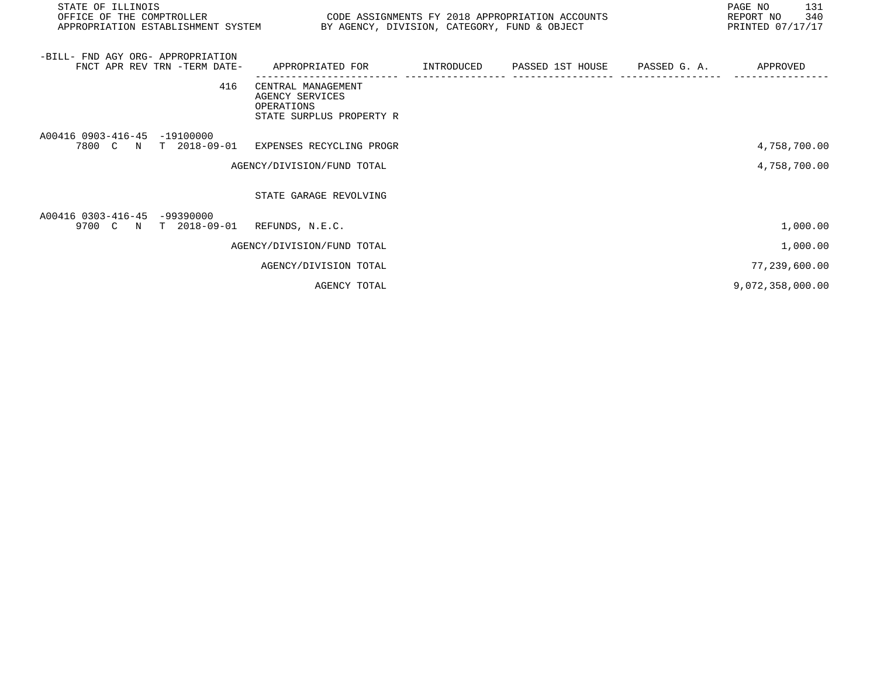| STATE OF ILLINOIS<br>OFFICE OF THE COMPTROLLER<br>APPROPRIATION ESTABLISHMENT SYSTEM BY AGENCY, DIVISION, CATEGORY, FUND & OBJECT | CODE ASSIGNMENTS FY 2018 APPROPRIATION ACCOUNTS                                 |            |                               | PAGE NO<br>131<br>REPORT NO 340<br>PRINTED 07/17/17 |
|-----------------------------------------------------------------------------------------------------------------------------------|---------------------------------------------------------------------------------|------------|-------------------------------|-----------------------------------------------------|
| -BILL- FND AGY ORG- APPROPRIATION<br>FNCT APR REV TRN -TERM DATE-                                                                 | APPROPRIATED FOR                                                                | INTRODUCED | PASSED 1ST HOUSE PASSED G. A. | APPROVED                                            |
| 416                                                                                                                               | CENTRAL MANAGEMENT<br>AGENCY SERVICES<br>OPERATIONS<br>STATE SURPLUS PROPERTY R |            |                               |                                                     |
| A00416 0903-416-45 -19100000<br>7800 C N T 2018-09-01                                                                             | EXPENSES RECYCLING PROGR                                                        |            |                               | 4,758,700.00                                        |
|                                                                                                                                   | AGENCY/DIVISION/FUND TOTAL                                                      |            |                               | 4,758,700.00                                        |
|                                                                                                                                   | STATE GARAGE REVOLVING                                                          |            |                               |                                                     |
| A00416 0303-416-45 -99390000<br>9700 C N T 2018-09-01                                                                             | REFUNDS, N.E.C.                                                                 |            |                               | 1,000.00                                            |
|                                                                                                                                   | AGENCY/DIVISION/FUND TOTAL                                                      |            |                               | 1,000.00                                            |
|                                                                                                                                   | AGENCY/DIVISION TOTAL                                                           |            |                               | 77,239,600.00                                       |
|                                                                                                                                   | AGENCY TOTAL                                                                    |            |                               | 9,072,358,000.00                                    |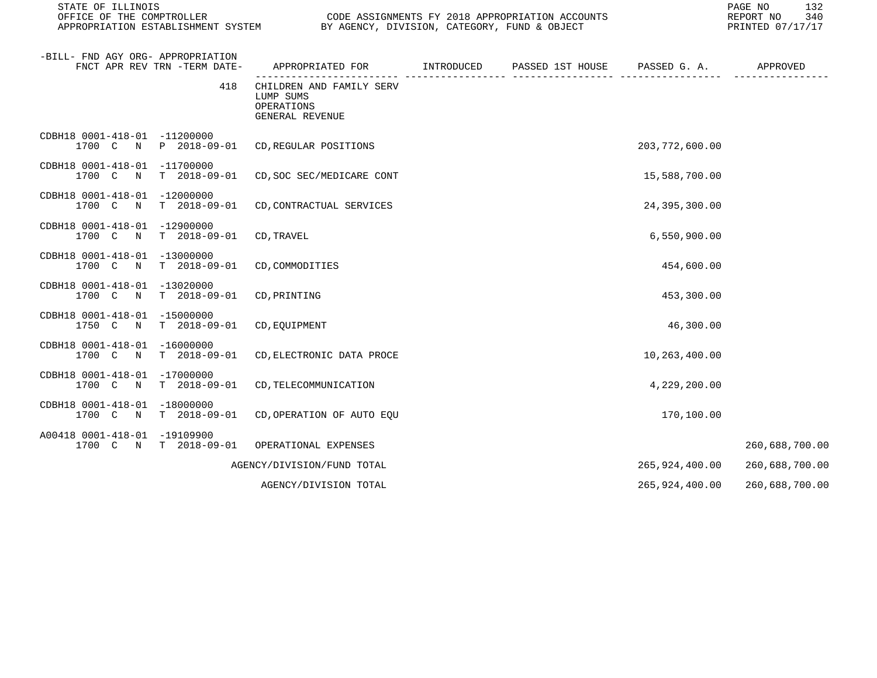STATE OF ILLINOIS PAGE NO 132

CODE ASSIGNMENTS FY 2018 APPROPRIATION ACCOUNTS FOR THE REPORT NO 340 (2018)<br>BY AGENCY, DIVISION, CATEGORY, FUND & OBJECT FOR REPORT THE PRINTED 07/17/17 APPROPRIATION ESTABLISHMENT SYSTEM BY AGENCY, DIVISION, CATEGORY, FUND & OBJECT

| -BILL- FND AGY ORG- APPROPRIATION<br>FNCT APR REV TRN -TERM DATE-                  | APPROPRIATED FOR TNTRODUCED PASSED 1ST HOUSE PASSED G. A.              |  |                  | APPROVED       |
|------------------------------------------------------------------------------------|------------------------------------------------------------------------|--|------------------|----------------|
| 418                                                                                | CHILDREN AND FAMILY SERV<br>LUMP SUMS<br>OPERATIONS<br>GENERAL REVENUE |  |                  |                |
| CDBH18 0001-418-01 -11200000<br>1700 C N<br>P 2018-09-01                           | CD, REGULAR POSITIONS                                                  |  | 203, 772, 600.00 |                |
| CDBH18 0001-418-01 -11700000<br>$T = 2018 - 09 - 01$<br>1700 C N                   | CD, SOC SEC/MEDICARE CONT                                              |  | 15,588,700.00    |                |
| CDBH18 0001-418-01<br>$-12000000$<br>1700 C<br>$T = 2018 - 09 - 01$<br>$\mathbb N$ | CD, CONTRACTUAL SERVICES                                               |  | 24,395,300.00    |                |
| CDBH18 0001-418-01 -12900000<br>1700 C N<br>$T = 2018 - 09 - 01$                   | CD, TRAVEL                                                             |  | 6,550,900.00     |                |
| CDBH18 0001-418-01 -13000000<br>1700 C<br>$T = 2018 - 09 - 01$<br>$\mathbb N$      | CD, COMMODITIES                                                        |  | 454,600.00       |                |
| CDBH18 0001-418-01 -13020000<br>1700 C N<br>$T = 2018 - 09 - 01$                   | CD, PRINTING                                                           |  | 453,300.00       |                |
| CDBH18 0001-418-01 -15000000<br>1750 C<br>$\mathbb N$<br>T 2018-09-01              | CD, EQUIPMENT                                                          |  | 46,300.00        |                |
| CDBH18 0001-418-01<br>$-16000000$<br>1700 C N<br>$T = 2018 - 09 - 01$              | CD, ELECTRONIC DATA PROCE                                              |  | 10,263,400.00    |                |
| CDBH18 0001-418-01<br>$-17000000$<br>1700 C<br>$T$ 2018-09-01<br>$\mathbb N$       | CD, TELECOMMUNICATION                                                  |  | 4,229,200.00     |                |
| CDBH18 0001-418-01<br>$-18000000$<br>$T$ 2018-09-01<br>1700 C N                    | CD, OPERATION OF AUTO EQU                                              |  | 170,100.00       |                |
| A00418 0001-418-01<br>-19109900<br>1700 C N<br>T 2018-09-01                        | OPERATIONAL EXPENSES                                                   |  |                  | 260,688,700.00 |
|                                                                                    | AGENCY/DIVISION/FUND TOTAL                                             |  | 265,924,400.00   | 260,688,700.00 |
|                                                                                    | AGENCY/DIVISION TOTAL                                                  |  | 265,924,400.00   | 260,688,700.00 |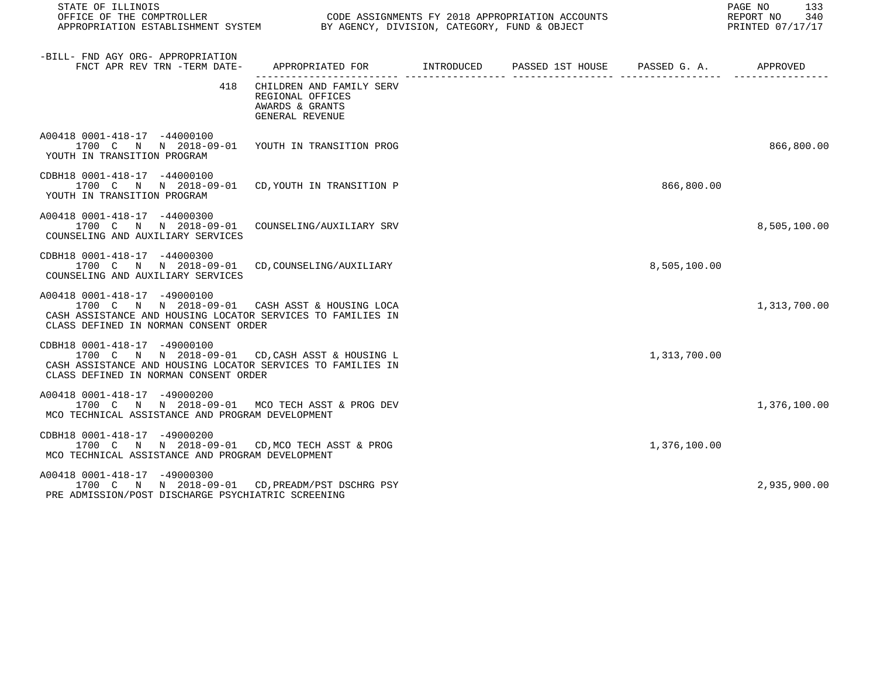| STATE OF ILLINOIS<br>OFFICE OF THE COMPTROLLER<br>OFFICE OF THE COMPTROLLER<br>APPROPRIATION ESTABLISHMENT SYSTEM BY AGENCY, DIVISION, CATEGORY, FUND & OBJECT                          |                                                                                         | CODE ASSIGNMENTS FY 2018 APPROPRIATION ACCOUNTS |              | 133<br>PAGE NO<br>340<br>REPORT NO<br>PRINTED 07/17/17 |
|-----------------------------------------------------------------------------------------------------------------------------------------------------------------------------------------|-----------------------------------------------------------------------------------------|-------------------------------------------------|--------------|--------------------------------------------------------|
| -BILL- FND AGY ORG- APPROPRIATION<br>FNCT APR REV TRN -TERM DATE-                                                                                                                       | APPROPRIATED FOR       INTRODUCED     PASSED 1ST HOUSE     PASSED G. A.        APPROVED |                                                 |              |                                                        |
| 418                                                                                                                                                                                     | CHILDREN AND FAMILY SERV<br>REGIONAL OFFICES<br>AWARDS & GRANTS<br>GENERAL REVENUE      |                                                 |              |                                                        |
| A00418 0001-418-17 -44000100<br>1700 C N N 2018-09-01 YOUTH IN TRANSITION PROG<br>YOUTH IN TRANSITION PROGRAM                                                                           |                                                                                         |                                                 |              | 866,800.00                                             |
| CDBH18 0001-418-17 -44000100<br>1700 C N N 2018-09-01 CD, YOUTH IN TRANSITION P<br>YOUTH IN TRANSITION PROGRAM                                                                          |                                                                                         |                                                 | 866,800.00   |                                                        |
| A00418 0001-418-17 -44000300<br>1700 C N N 2018-09-01 COUNSELING/AUXILIARY SRV<br>COUNSELING AND AUXILIARY SERVICES                                                                     |                                                                                         |                                                 |              | 8,505,100.00                                           |
| CDBH18 0001-418-17 -44000300<br>1700 C N N 2018-09-01 CD, COUNSELING/AUXILIARY<br>COUNSELING AND AUXILIARY SERVICES                                                                     |                                                                                         |                                                 | 8,505,100.00 |                                                        |
| A00418 0001-418-17 -49000100<br>1700 C N N 2018-09-01 CASH ASST & HOUSING LOCA<br>CASH ASSISTANCE AND HOUSING LOCATOR SERVICES TO FAMILIES IN<br>CLASS DEFINED IN NORMAN CONSENT ORDER  |                                                                                         |                                                 |              | 1,313,700.00                                           |
| CDBH18 0001-418-17 -49000100<br>1700 C N N 2018-09-01 CD, CASH ASST & HOUSING L<br>CASH ASSISTANCE AND HOUSING LOCATOR SERVICES TO FAMILIES IN<br>CLASS DEFINED IN NORMAN CONSENT ORDER |                                                                                         |                                                 | 1,313,700.00 |                                                        |
| A00418 0001-418-17 -49000200<br>1700 C N N 2018-09-01 MCO TECH ASST & PROG DEV<br>MCO TECHNICAL ASSISTANCE AND PROGRAM DEVELOPMENT                                                      |                                                                                         |                                                 |              | 1,376,100.00                                           |
| CDBH18 0001-418-17 -49000200<br>1700 C N N 2018-09-01 CD, MCO TECH ASST & PROG<br>MCO TECHNICAL ASSISTANCE AND PROGRAM DEVELOPMENT                                                      |                                                                                         |                                                 | 1,376,100.00 |                                                        |
| A00418 0001-418-17 -49000300<br>1700 C N N 2018-09-01 CD, PREADM/PST DSCHRG PSY<br>PRE ADMISSION/POST DISCHARGE PSYCHIATRIC SCREENING                                                   |                                                                                         |                                                 |              | 2,935,900.00                                           |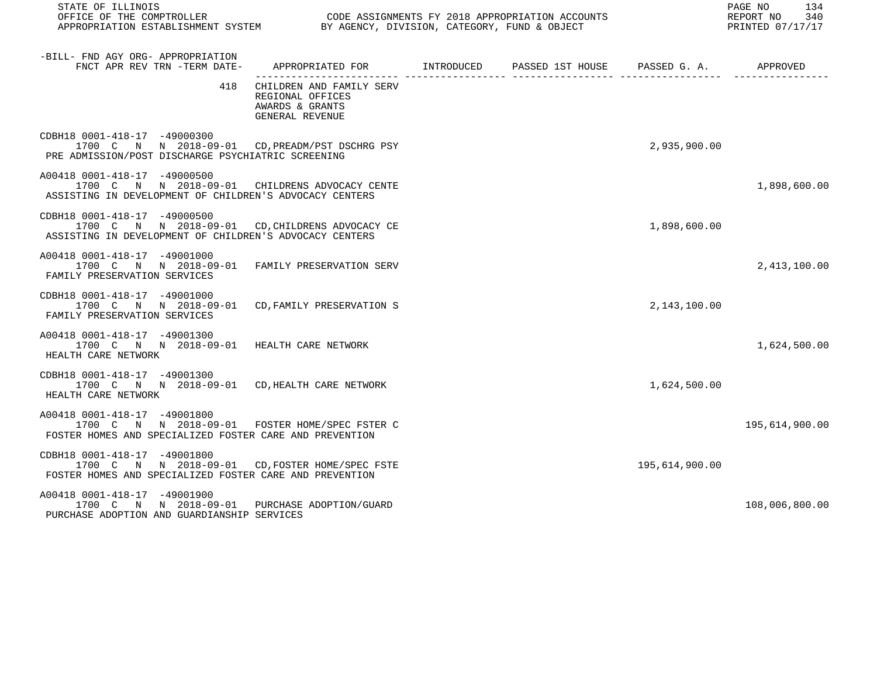| STATE OF ILLINOIS                                                                                                                          |                                                                                           |  |  |                | 134<br>PAGE NO<br>REPORT NO<br>340<br>PRINTED 07/17/17 |
|--------------------------------------------------------------------------------------------------------------------------------------------|-------------------------------------------------------------------------------------------|--|--|----------------|--------------------------------------------------------|
| -BILL- FND AGY ORG- APPROPRIATION<br>FNCT APR REV TRN -TERM DATE-                                                                          | APPROPRIATED FOR        INTRODUCED     PASSED 1ST HOUSE     PASSED G. A.         APPROVED |  |  |                |                                                        |
| 418                                                                                                                                        | CHILDREN AND FAMILY SERV<br>REGIONAL OFFICES<br>AWARDS & GRANTS<br>GENERAL REVENUE        |  |  |                |                                                        |
| CDBH18 0001-418-17 -49000300<br>1700 C N N 2018-09-01 CD, PREADM/PST DSCHRG PSY<br>PRE ADMISSION/POST DISCHARGE PSYCHIATRIC SCREENING      |                                                                                           |  |  | 2,935,900.00   |                                                        |
| A00418 0001-418-17 -49000500<br>1700 C N N 2018-09-01 CHILDRENS ADVOCACY CENTE<br>ASSISTING IN DEVELOPMENT OF CHILDREN'S ADVOCACY CENTERS  |                                                                                           |  |  |                | 1,898,600.00                                           |
| CDBH18 0001-418-17 -49000500<br>1700 C N N 2018-09-01 CD.CHILDRENS ADVOCACY CE<br>ASSISTING IN DEVELOPMENT OF CHILDREN'S ADVOCACY CENTERS  |                                                                                           |  |  | 1,898,600.00   |                                                        |
| A00418 0001-418-17 -49001000<br>1700 C N N 2018-09-01 FAMILY PRESERVATION SERV<br>FAMILY PRESERVATION SERVICES                             |                                                                                           |  |  |                | 2,413,100.00                                           |
| CDBH18 0001-418-17 -49001000<br>1700 C N N 2018-09-01 CD, FAMILY PRESERVATION S<br>FAMILY PRESERVATION SERVICES                            |                                                                                           |  |  | 2,143,100.00   |                                                        |
| A00418 0001-418-17 -49001300<br>1700 C N N 2018-09-01 HEALTH CARE NETWORK<br>HEALTH CARE NETWORK                                           |                                                                                           |  |  |                | 1,624,500.00                                           |
| CDBH18 0001-418-17 -49001300<br>1700 C N N 2018-09-01 CD, HEALTH CARE NETWORK<br>HEALTH CARE NETWORK                                       |                                                                                           |  |  | 1,624,500.00   |                                                        |
| A00418 0001-418-17 -49001800<br>1700 C N N 2018-09-01 FOSTER HOME/SPEC FSTER C<br>FOSTER HOMES AND SPECIALIZED FOSTER CARE AND PREVENTION  |                                                                                           |  |  |                | 195,614,900.00                                         |
| CDBH18 0001-418-17 -49001800<br>1700 C N N 2018-09-01 CD, FOSTER HOME/SPEC FSTE<br>FOSTER HOMES AND SPECIALIZED FOSTER CARE AND PREVENTION |                                                                                           |  |  | 195,614,900.00 |                                                        |
| A00418 0001-418-17 -49001900<br>1700 C N N 2018-09-01 PURCHASE ADOPTION/GUARD<br>PURCHASE ADOPTION AND GUARDIANSHIP SERVICES               |                                                                                           |  |  |                | 108,006,800.00                                         |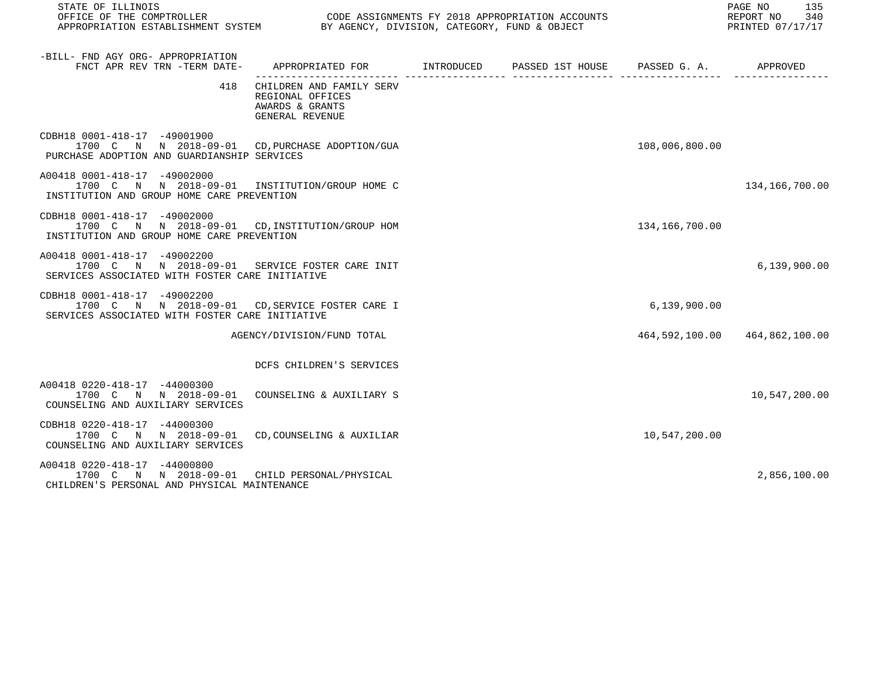| STATE OF ILLINOIS                                                                                                                  |                                                                                           |  |  | 135<br>PAGE NO<br>REPORT NO 340<br>PRINTED 07/17/17 |                               |
|------------------------------------------------------------------------------------------------------------------------------------|-------------------------------------------------------------------------------------------|--|--|-----------------------------------------------------|-------------------------------|
| -BILL- FND AGY ORG- APPROPRIATION<br>FNCT APR REV TRN -TERM DATE-                                                                  | APPROPRIATED FOR        INTRODUCED     PASSED 1ST HOUSE     PASSED G. A.         APPROVED |  |  |                                                     |                               |
| 418                                                                                                                                | CHILDREN AND FAMILY SERV<br>REGIONAL OFFICES<br>AWARDS & GRANTS<br>GENERAL REVENUE        |  |  |                                                     |                               |
| CDBH18 0001-418-17 -49001900<br>1700 C N N 2018-09-01 CD, PURCHASE ADOPTION/GUA<br>PURCHASE ADOPTION AND GUARDIANSHIP SERVICES     |                                                                                           |  |  | 108,006,800.00                                      |                               |
| A00418 0001-418-17 -49002000<br>1700 C N N 2018-09-01 INSTITUTION/GROUP HOME C<br>INSTITUTION AND GROUP HOME CARE PREVENTION       |                                                                                           |  |  |                                                     | 134,166,700.00                |
| CDBH18 0001-418-17 -49002000<br>1700 C N N 2018-09-01 CD, INSTITUTION/GROUP HOM<br>INSTITUTION AND GROUP HOME CARE PREVENTION      |                                                                                           |  |  | 134,166,700.00                                      |                               |
| A00418 0001-418-17 -49002200<br>1700 C N N 2018-09-01 SERVICE FOSTER CARE INIT<br>SERVICES ASSOCIATED WITH FOSTER CARE INITIATIVE  |                                                                                           |  |  |                                                     | 6,139,900.00                  |
| CDBH18 0001-418-17 -49002200<br>1700 C N N 2018-09-01 CD, SERVICE FOSTER CARE I<br>SERVICES ASSOCIATED WITH FOSTER CARE INITIATIVE |                                                                                           |  |  | 6,139,900.00                                        |                               |
|                                                                                                                                    | AGENCY/DIVISION/FUND TOTAL                                                                |  |  |                                                     | 464,592,100.00 464,862,100.00 |
|                                                                                                                                    | DCFS CHILDREN'S SERVICES                                                                  |  |  |                                                     |                               |
| A00418 0220-418-17 -44000300<br>1700 C N N 2018-09-01<br>COUNSELING AND AUXILIARY SERVICES                                         | COUNSELING & AUXILIARY S                                                                  |  |  |                                                     | 10,547,200.00                 |
| CDBH18 0220-418-17 -44000300<br>1700 C N N 2018-09-01<br>COUNSELING AND AUXILIARY SERVICES                                         | CD, COUNSELING & AUXILIAR                                                                 |  |  | 10,547,200.00                                       |                               |
| A00418 0220-418-17 -44000800<br>1700 C N N 2018-09-01 CHILD PERSONAL/PHYSICAL<br>CHILDREN'S PERSONAL AND PHYSICAL MAINTENANCE      |                                                                                           |  |  |                                                     | 2,856,100.00                  |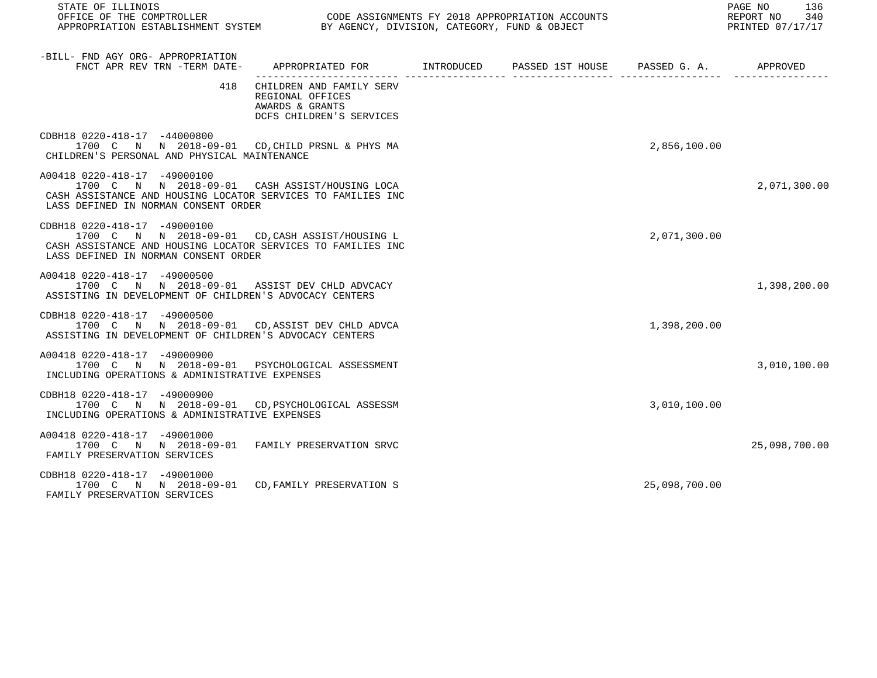| STATE OF ILLINOIS                                                                                                                                                                       |                                                                                             |  |  |               | PAGE NO<br>136<br>REPORT NO 340<br>REPORT NO 540<br>PRINTED 07/17/17 |
|-----------------------------------------------------------------------------------------------------------------------------------------------------------------------------------------|---------------------------------------------------------------------------------------------|--|--|---------------|----------------------------------------------------------------------|
| -BILL- FND AGY ORG- APPROPRIATION<br>FNCT APR REV TRN -TERM DATE-                                                                                                                       | APPROPRIATED FOR       INTRODUCED     PASSED 1ST HOUSE     PASSED G. A.         APPROVED    |  |  |               |                                                                      |
| 418                                                                                                                                                                                     | CHILDREN AND FAMILY SERV<br>REGIONAL OFFICES<br>AWARDS & GRANTS<br>DCFS CHILDREN'S SERVICES |  |  |               |                                                                      |
| CDBH18 0220-418-17 -44000800<br>1700 C N N 2018-09-01 CD, CHILD PRSNL & PHYS MA<br>CHILDREN'S PERSONAL AND PHYSICAL MAINTENANCE                                                         |                                                                                             |  |  | 2,856,100.00  |                                                                      |
| A00418 0220-418-17 -49000100<br>1700 C N N 2018-09-01 CASH ASSIST/HOUSING LOCA<br>CASH ASSISTANCE AND HOUSING LOCATOR SERVICES TO FAMILIES INC<br>LASS DEFINED IN NORMAN CONSENT ORDER  |                                                                                             |  |  |               | 2,071,300.00                                                         |
| CDBH18 0220-418-17 -49000100<br>1700 C N N 2018-09-01 CD, CASH ASSIST/HOUSING L<br>CASH ASSISTANCE AND HOUSING LOCATOR SERVICES TO FAMILIES INC<br>LASS DEFINED IN NORMAN CONSENT ORDER |                                                                                             |  |  | 2,071,300.00  |                                                                      |
| A00418 0220-418-17 -49000500<br>1700 C N N 2018-09-01 ASSIST DEV CHLD ADVCACY<br>ASSISTING IN DEVELOPMENT OF CHILDREN'S ADVOCACY CENTERS                                                |                                                                                             |  |  |               | 1,398,200.00                                                         |
| CDBH18 0220-418-17 -49000500<br>1700 C N N 2018-09-01 CD, ASSIST DEV CHLD ADVCA<br>ASSISTING IN DEVELOPMENT OF CHILDREN'S ADVOCACY CENTERS                                              |                                                                                             |  |  | 1,398,200.00  |                                                                      |
| A00418 0220-418-17 -49000900<br>1700 C N N 2018-09-01 PSYCHOLOGICAL ASSESSMENT<br>INCLUDING OPERATIONS & ADMINISTRATIVE EXPENSES                                                        |                                                                                             |  |  |               | 3,010,100.00                                                         |
| CDBH18 0220-418-17 -49000900<br>1700 C N N 2018-09-01 CD, PSYCHOLOGICAL ASSESSM<br>INCLUDING OPERATIONS & ADMINISTRATIVE EXPENSES                                                       |                                                                                             |  |  | 3,010,100.00  |                                                                      |
| A00418 0220-418-17 -49001000<br>1700 C N N 2018-09-01 FAMILY PRESERVATION SRVC<br>FAMILY PRESERVATION SERVICES                                                                          |                                                                                             |  |  |               | 25,098,700.00                                                        |
| CDBH18 0220-418-17 -49001000<br>1700 C N N 2018-09-01 CD. FAMILY PRESERVATION S<br>FAMILY PRESERVATION SERVICES                                                                         |                                                                                             |  |  | 25,098,700.00 |                                                                      |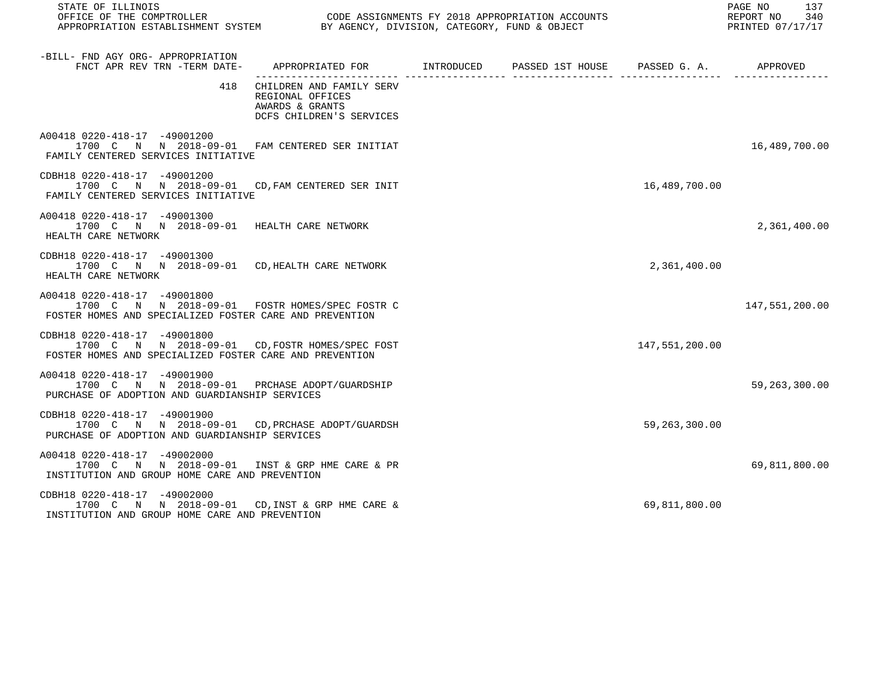| STATE OF ILLINOIS                                                                                                                          |                                                                                             |  | 137<br>PAGE NO<br>REPORT NO 340<br>PRINTED 07/17/17 |                 |
|--------------------------------------------------------------------------------------------------------------------------------------------|---------------------------------------------------------------------------------------------|--|-----------------------------------------------------|-----------------|
| -BILL- FND AGY ORG- APPROPRIATION<br>FNCT APR REV TRN -TERM DATE-                                                                          | APPROPRIATED FOR        INTRODUCED     PASSED 1ST HOUSE                                     |  | PASSED G. A. APPROVED                               |                 |
| 418                                                                                                                                        | CHILDREN AND FAMILY SERV<br>REGIONAL OFFICES<br>AWARDS & GRANTS<br>DCFS CHILDREN'S SERVICES |  |                                                     |                 |
| A00418 0220-418-17 -49001200<br>1700 C N N 2018-09-01 FAM CENTERED SER INITIAT<br>FAMILY CENTERED SERVICES INITIATIVE                      |                                                                                             |  |                                                     | 16,489,700.00   |
| CDBH18 0220-418-17 -49001200<br>1700 C N N 2018-09-01 CD, FAM CENTERED SER INIT<br>FAMILY CENTERED SERVICES INITIATIVE                     |                                                                                             |  | 16,489,700.00                                       |                 |
| A00418 0220-418-17 -49001300<br>1700 C N N 2018-09-01 HEALTH CARE NETWORK<br>HEALTH CARE NETWORK                                           |                                                                                             |  |                                                     | 2,361,400.00    |
| CDBH18 0220-418-17 -49001300<br>1700 C N N 2018-09-01 CD, HEALTH CARE NETWORK<br>HEALTH CARE NETWORK                                       |                                                                                             |  | 2,361,400.00                                        |                 |
| A00418 0220-418-17 -49001800<br>1700 C N N 2018-09-01 FOSTR HOMES/SPEC FOSTR C<br>FOSTER HOMES AND SPECIALIZED FOSTER CARE AND PREVENTION  |                                                                                             |  |                                                     | 147,551,200.00  |
| CDBH18 0220-418-17 -49001800<br>1700 C N N 2018-09-01 CD, FOSTR HOMES/SPEC FOST<br>FOSTER HOMES AND SPECIALIZED FOSTER CARE AND PREVENTION |                                                                                             |  | 147,551,200.00                                      |                 |
| A00418 0220-418-17 -49001900<br>1700 C N N 2018-09-01 PRCHASE ADOPT/GUARDSHIP<br>PURCHASE OF ADOPTION AND GUARDIANSHIP SERVICES            |                                                                                             |  |                                                     | 59, 263, 300.00 |
| CDBH18 0220-418-17 -49001900<br>1700 C N N 2018-09-01 CD, PRCHASE ADOPT/GUARDSH<br>PURCHASE OF ADOPTION AND GUARDIANSHIP SERVICES          |                                                                                             |  | 59, 263, 300.00                                     |                 |
| A00418 0220-418-17 -49002000<br>1700 C N N 2018-09-01 INST & GRP HME CARE & PR<br>INSTITUTION AND GROUP HOME CARE AND PREVENTION           |                                                                                             |  |                                                     | 69,811,800.00   |
| CDBH18 0220-418-17 -49002000<br>1700 C N N 2018-09-01 CD, INST & GRP HME CARE &<br>INSTITUTION AND GROUP HOME CARE AND PREVENTION          |                                                                                             |  | 69,811,800.00                                       |                 |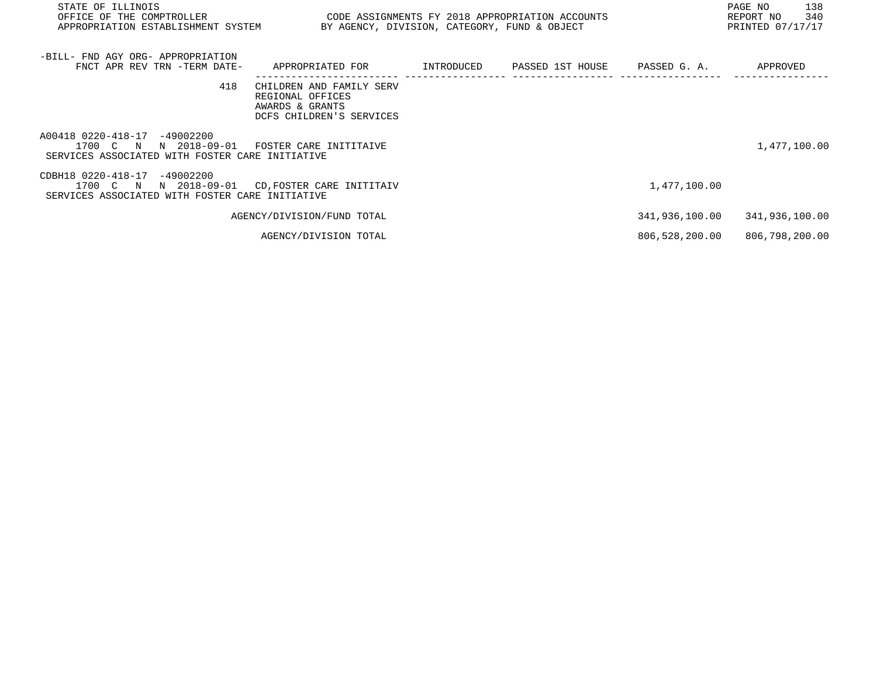| STATE OF ILLINOIS                                                               |                                                 |  |                | PAGE NO<br>138   |
|---------------------------------------------------------------------------------|-------------------------------------------------|--|----------------|------------------|
| OFFICE OF THE COMPTROLLER                                                       | CODE ASSIGNMENTS FY 2018 APPROPRIATION ACCOUNTS |  |                | REPORT NO<br>340 |
| APPROPRIATION ESTABLISHMENT SYSTEM BY AGENCY, DIVISION, CATEGORY, FUND & OBJECT |                                                 |  |                | PRINTED 07/17/17 |
|                                                                                 |                                                 |  |                |                  |
| -BILL- FND AGY ORG- APPROPRIATION                                               |                                                 |  |                |                  |
| FNCT APR REV TRN -TERM DATE-                                                    | APPROPRIATED FOR                                |  |                | APPROVED         |
|                                                                                 |                                                 |  |                |                  |
| 418                                                                             | CHILDREN AND FAMILY SERV                        |  |                |                  |
|                                                                                 | REGIONAL OFFICES                                |  |                |                  |
|                                                                                 | AWARDS & GRANTS<br>DCFS CHILDREN'S SERVICES     |  |                |                  |
|                                                                                 |                                                 |  |                |                  |
| A00418 0220-418-17 -49002200                                                    |                                                 |  |                |                  |
| N 2018-09-01<br>1700 C N                                                        | FOSTER CARE INITITAIVE                          |  |                | 1,477,100.00     |
| SERVICES ASSOCIATED WITH FOSTER CARE INITIATIVE                                 |                                                 |  |                |                  |
|                                                                                 |                                                 |  |                |                  |
| CDBH18 0220-418-17 -49002200<br>1700 C N                                        | N 2018-09-01 CD, FOSTER CARE INITITAIV          |  | 1,477,100.00   |                  |
| SERVICES ASSOCIATED WITH FOSTER CARE INITIATIVE                                 |                                                 |  |                |                  |
|                                                                                 |                                                 |  |                |                  |
|                                                                                 | AGENCY/DIVISION/FUND TOTAL                      |  | 341,936,100.00 | 341,936,100.00   |
|                                                                                 |                                                 |  |                |                  |
|                                                                                 | AGENCY/DIVISION TOTAL                           |  | 806,528,200.00 | 806,798,200.00   |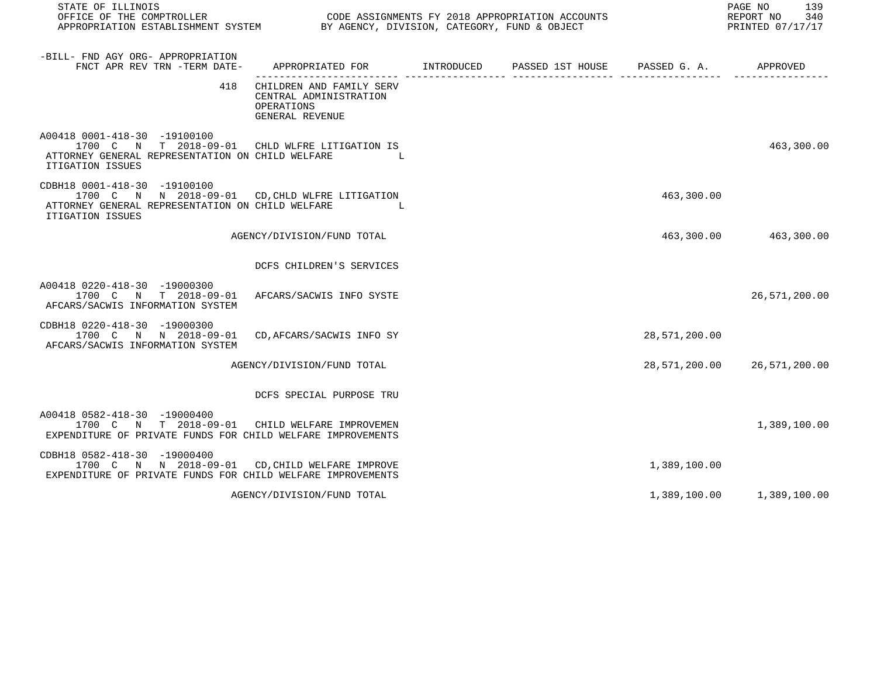| STATE OF ILLINOIS<br>OFFICE OF THE COMPTROLLER<br>APPROPRIATION ESTABLISHMENT SYSTEM BY AGENCY, DIVISION, CATEGORY, FUND & OBJECT                       |                                                                                         | CODE ASSIGNMENTS FY 2018 APPROPRIATION ACCOUNTS |               | 139<br>PAGE NO<br>REPORT NO<br>340<br>PRINTED 07/17/17 |
|---------------------------------------------------------------------------------------------------------------------------------------------------------|-----------------------------------------------------------------------------------------|-------------------------------------------------|---------------|--------------------------------------------------------|
| -BILL- FND AGY ORG- APPROPRIATION<br>FNCT APR REV TRN -TERM DATE-                                                                                       | APPROPRIATED FOR       INTRODUCED     PASSED 1ST HOUSE     PASSED G. A.        APPROVED |                                                 |               |                                                        |
| 418                                                                                                                                                     | CHILDREN AND FAMILY SERV<br>CENTRAL ADMINISTRATION<br>OPERATIONS<br>GENERAL REVENUE     |                                                 |               |                                                        |
| A00418 0001-418-30 -19100100<br>1700 C N T 2018-09-01 CHLD WLFRE LITIGATION IS<br>ATTORNEY GENERAL REPRESENTATION ON CHILD WELFARE<br>ITIGATION ISSUES  | and the state of the                                                                    |                                                 |               | 463,300.00                                             |
| CDBH18 0001-418-30 -19100100<br>1700 C N N 2018-09-01 CD, CHLD WLFRE LITIGATION<br>ATTORNEY GENERAL REPRESENTATION ON CHILD WELFARE<br>ITIGATION ISSUES | and the state of the Ta                                                                 |                                                 | 463,300.00    |                                                        |
|                                                                                                                                                         | AGENCY/DIVISION/FUND TOTAL                                                              |                                                 |               | 463,300.00 463,300.00                                  |
|                                                                                                                                                         | DCFS CHILDREN'S SERVICES                                                                |                                                 |               |                                                        |
| A00418 0220-418-30 -19000300<br>1700 C N T 2018-09-01 AFCARS/SACWIS INFO SYSTE<br>AFCARS/SACWIS INFORMATION SYSTEM                                      |                                                                                         |                                                 |               | 26,571,200.00                                          |
| CDBH18 0220-418-30 -19000300<br>1700 C N N 2018-09-01 CD, AFCARS/SACWIS INFO SY<br>AFCARS/SACWIS INFORMATION SYSTEM                                     |                                                                                         |                                                 | 28,571,200.00 |                                                        |
|                                                                                                                                                         | AGENCY/DIVISION/FUND TOTAL                                                              |                                                 |               | 28,571,200.00 26,571,200.00                            |
|                                                                                                                                                         | DCFS SPECIAL PURPOSE TRU                                                                |                                                 |               |                                                        |
| A00418 0582-418-30 -19000400<br>1700 C N T 2018-09-01 CHILD WELFARE IMPROVEMEN<br>EXPENDITURE OF PRIVATE FUNDS FOR CHILD WELFARE IMPROVEMENTS           |                                                                                         |                                                 |               | 1,389,100.00                                           |
| CDBH18 0582-418-30 -19000400<br>1700 C N N 2018-09-01 CD, CHILD WELFARE IMPROVE<br>EXPENDITURE OF PRIVATE FUNDS FOR CHILD WELFARE IMPROVEMENTS          |                                                                                         |                                                 | 1,389,100.00  |                                                        |
|                                                                                                                                                         | AGENCY/DIVISION/FUND TOTAL                                                              |                                                 |               | 1,389,100.00 1,389,100.00                              |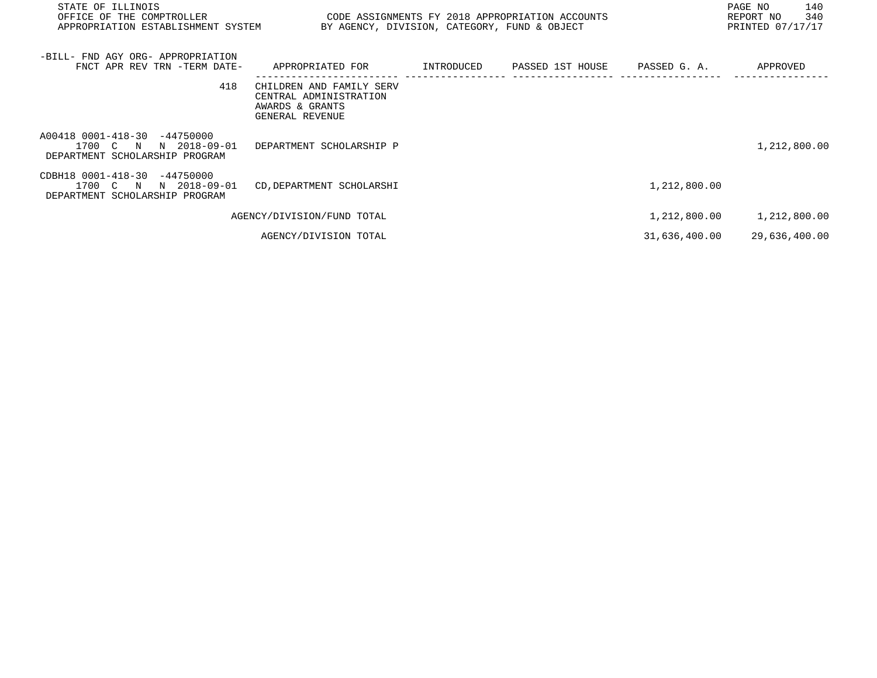| STATE OF ILLINOIS<br>OFFICE OF THE COMPTROLLER<br>APPROPRIATION ESTABLISHMENT SYSTEM          | BY AGENCY, DIVISION, CATEGORY, FUND & OBJECT                                             |            | CODE ASSIGNMENTS FY 2018 APPROPRIATION ACCOUNTS |               | PAGE NO<br>140<br>340<br>REPORT NO<br>PRINTED 07/17/17 |
|-----------------------------------------------------------------------------------------------|------------------------------------------------------------------------------------------|------------|-------------------------------------------------|---------------|--------------------------------------------------------|
| -BILL- FND AGY ORG- APPROPRIATION<br>FNCT APR REV TRN -TERM DATE-                             | APPROPRIATED FOR                                                                         | INTRODUCED | PASSED 1ST HOUSE                                | PASSED G. A.  | APPROVED                                               |
| 418                                                                                           | CHILDREN AND FAMILY SERV<br>CENTRAL ADMINISTRATION<br>AWARDS & GRANTS<br>GENERAL REVENUE |            |                                                 |               |                                                        |
| A00418 0001-418-30<br>-44750000<br>1700 C N<br>N 2018-09-01<br>DEPARTMENT SCHOLARSHIP PROGRAM | DEPARTMENT SCHOLARSHIP P                                                                 |            |                                                 |               | 1,212,800.00                                           |
| CDBH18 0001-418-30<br>-44750000<br>1700 C N<br>N 2018-09-01<br>DEPARTMENT SCHOLARSHIP PROGRAM | CD, DEPARTMENT SCHOLARSHI                                                                |            |                                                 | 1,212,800.00  |                                                        |
|                                                                                               | AGENCY/DIVISION/FUND TOTAL                                                               |            |                                                 | 1,212,800.00  | 1,212,800.00                                           |
|                                                                                               | AGENCY/DIVISION TOTAL                                                                    |            |                                                 | 31,636,400.00 | 29,636,400.00                                          |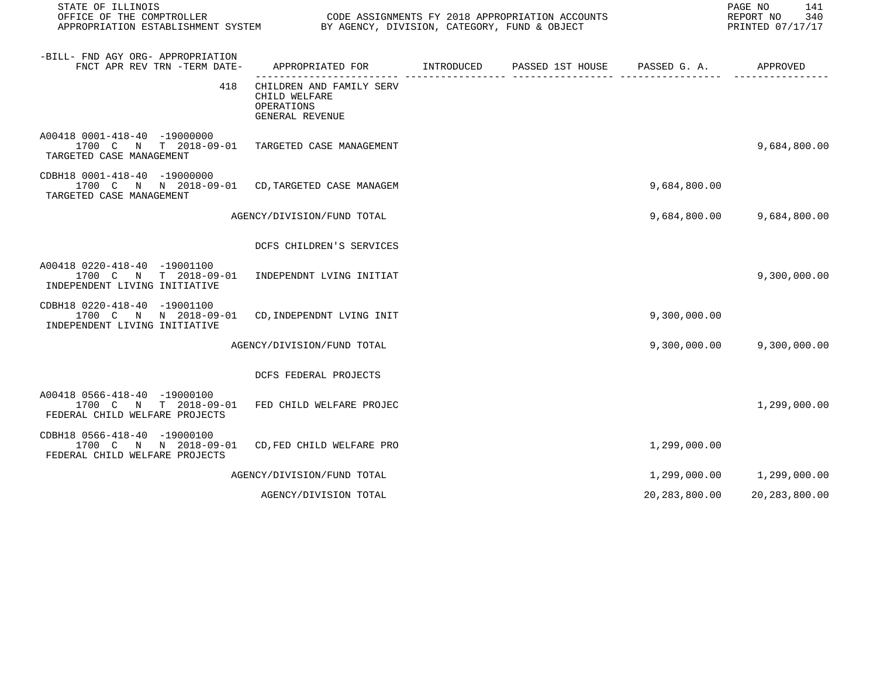| STATE OF ILLINOIS                                                                                                 | PAGE NO 141<br>REPORT NO 340<br>PRINTED 07/17/17                           |  |  |               |                              |
|-------------------------------------------------------------------------------------------------------------------|----------------------------------------------------------------------------|--|--|---------------|------------------------------|
| -BILL- FND AGY ORG- APPROPRIATION<br>FNCT APR REV TRN -TERM DATE-                                                 | APPROPRIATED FOR TINTRODUCED PASSED 1ST HOUSE PASSED G.A.                  |  |  |               | APPROVED                     |
| 418                                                                                                               | CHILDREN AND FAMILY SERV<br>CHILD WELFARE<br>OPERATIONS<br>GENERAL REVENUE |  |  |               |                              |
| A00418 0001-418-40 -19000000<br>1700 C N T 2018-09-01 TARGETED CASE MANAGEMENT<br>TARGETED CASE MANAGEMENT        |                                                                            |  |  |               | 9,684,800.00                 |
| CDBH18 0001-418-40 -19000000<br>1700 C N N 2018-09-01 CD, TARGETED CASE MANAGEM<br>TARGETED CASE MANAGEMENT       |                                                                            |  |  | 9,684,800.00  |                              |
|                                                                                                                   | AGENCY/DIVISION/FUND TOTAL                                                 |  |  |               | 9,684,800.00 9,684,800.00    |
|                                                                                                                   | DCFS CHILDREN'S SERVICES                                                   |  |  |               |                              |
| A00418 0220-418-40 -19001100<br>1700 C N T 2018-09-01<br>INDEPENDENT LIVING INITIATIVE                            | INDEPENDNT LVING INITIAT                                                   |  |  |               | 9,300,000.00                 |
| CDBH18 0220-418-40 -19001100<br>1700 C N N 2018-09-01<br>INDEPENDENT LIVING INITIATIVE                            | CD, INDEPENDNT LVING INIT                                                  |  |  | 9,300,000.00  |                              |
|                                                                                                                   | AGENCY/DIVISION/FUND TOTAL                                                 |  |  | 9,300,000.00  | 9,300,000.00                 |
|                                                                                                                   | DCFS FEDERAL PROJECTS                                                      |  |  |               |                              |
| A00418 0566-418-40 -19000100<br>1700 C N T 2018-09-01 FED CHILD WELFARE PROJEC<br>FEDERAL CHILD WELFARE PROJECTS  |                                                                            |  |  |               | 1,299,000.00                 |
| CDBH18 0566-418-40 -19000100<br>1700 C N N 2018-09-01 CD, FED CHILD WELFARE PRO<br>FEDERAL CHILD WELFARE PROJECTS |                                                                            |  |  | 1,299,000.00  |                              |
|                                                                                                                   | AGENCY/DIVISION/FUND TOTAL                                                 |  |  |               | 1,299,000.00    1,299,000.00 |
|                                                                                                                   | AGENCY/DIVISION TOTAL                                                      |  |  | 20,283,800.00 | 20,283,800.00                |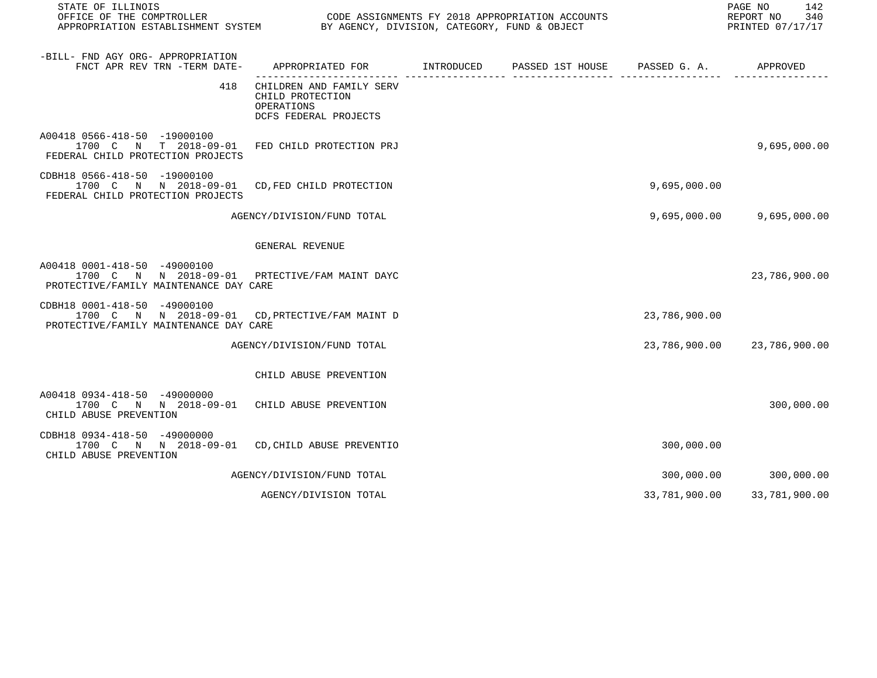| STATE OF ILLINOIS<br>OFFICE OF THE COMPTROLLER<br>APPROPRIATION ESTABLISHMENT SYSTEM BY AGENCY, DIVISION, CATEGORY, FUND & OBJECT | CODE ASSIGNMENTS FY 2018 APPROPRIATION ACCOUNTS                                                         |  |               | PAGE NO<br>142<br>REPORT NO<br>340<br>PRINTED 07/17/17 |
|-----------------------------------------------------------------------------------------------------------------------------------|---------------------------------------------------------------------------------------------------------|--|---------------|--------------------------------------------------------|
| -BILL- FND AGY ORG- APPROPRIATION<br>FNCT APR REV TRN -TERM DATE-                                                                 | APPROPRIATED FOR TINTRODUCED PASSED 1ST HOUSE PASSED G. A.<br>------------------ ------------------ --- |  |               | APPROVED                                               |
| 418                                                                                                                               | CHILDREN AND FAMILY SERV<br>CHILD PROTECTION<br>OPERATIONS<br>DCFS FEDERAL PROJECTS                     |  |               |                                                        |
| A00418 0566-418-50 -19000100<br>1700 C N T 2018-09-01 FED CHILD PROTECTION PRJ<br>FEDERAL CHILD PROTECTION PROJECTS               |                                                                                                         |  |               | 9,695,000.00                                           |
| CDBH18 0566-418-50 -19000100<br>1700 C N N 2018-09-01<br>FEDERAL CHILD PROTECTION PROJECTS                                        | CD, FED CHILD PROTECTION                                                                                |  | 9,695,000.00  |                                                        |
|                                                                                                                                   | AGENCY/DIVISION/FUND TOTAL                                                                              |  | 9,695,000.00  | 9,695,000.00                                           |
|                                                                                                                                   | GENERAL REVENUE                                                                                         |  |               |                                                        |
| A00418 0001-418-50 -49000100<br>1700 C N N 2018-09-01 PRTECTIVE/FAM MAINT DAYC<br>PROTECTIVE/FAMILY MAINTENANCE DAY CARE          |                                                                                                         |  |               | 23,786,900.00                                          |
| CDBH18 0001-418-50 -49000100<br>1700 C N N 2018-09-01 CD, PRTECTIVE/FAM MAINT D<br>PROTECTIVE/FAMILY MAINTENANCE DAY CARE         |                                                                                                         |  | 23,786,900.00 |                                                        |
|                                                                                                                                   | AGENCY/DIVISION/FUND TOTAL                                                                              |  |               | 23,786,900.00 23,786,900.00                            |
|                                                                                                                                   | CHILD ABUSE PREVENTION                                                                                  |  |               |                                                        |
| A00418 0934-418-50 -49000000<br>1700 C N N 2018-09-01 CHILD ABUSE PREVENTION<br>CHILD ABUSE PREVENTION                            |                                                                                                         |  |               | 300,000.00                                             |
| CDBH18 0934-418-50 -49000000<br>1700 C N N 2018-09-01 CD, CHILD ABUSE PREVENTIO<br>CHILD ABUSE PREVENTION                         |                                                                                                         |  | 300,000.00    |                                                        |
|                                                                                                                                   | AGENCY/DIVISION/FUND TOTAL                                                                              |  | 300,000.00    | 300,000.00                                             |
|                                                                                                                                   | AGENCY/DIVISION TOTAL                                                                                   |  | 33,781,900.00 | 33,781,900.00                                          |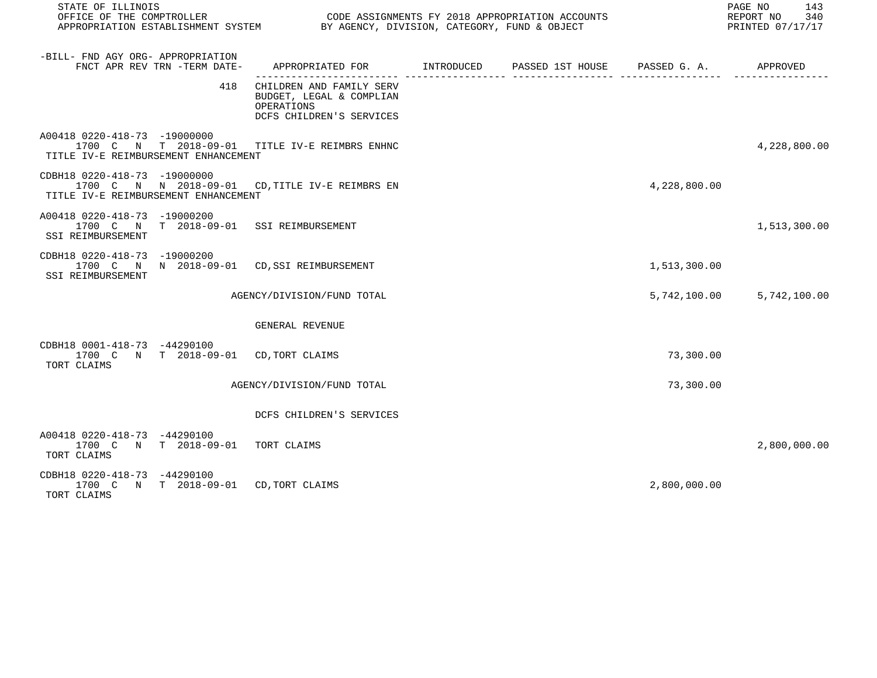|                                                                      | STATE OF ILLINOIS<br>OFFICE OF THE COMPTROLLER<br>CODE ASSIGNMENTS FY 2018 APPROPRIATION ACCOUNTS<br>APPROPRIATION ESTABLISHMENT SYSTEM BY AGENCY, DIVISION, CATEGORY, FUND & OBJECT |                                                                                                |  |  |              | PAGE NO<br>143<br>REPORT NO<br>340<br>PRINTED 07/17/17 |
|----------------------------------------------------------------------|--------------------------------------------------------------------------------------------------------------------------------------------------------------------------------------|------------------------------------------------------------------------------------------------|--|--|--------------|--------------------------------------------------------|
| -BILL- FND AGY ORG- APPROPRIATION                                    | FNCT APR REV TRN -TERM DATE-                                                                                                                                                         | APPROPRIATED FOR        INTRODUCED     PASSED 1ST HOUSE     PASSED G. A.         APPROVED      |  |  |              |                                                        |
|                                                                      | 418                                                                                                                                                                                  | CHILDREN AND FAMILY SERV<br>BUDGET, LEGAL & COMPLIAN<br>OPERATIONS<br>DCFS CHILDREN'S SERVICES |  |  |              |                                                        |
| A00418 0220-418-73 -19000000<br>TITLE IV-E REIMBURSEMENT ENHANCEMENT |                                                                                                                                                                                      | 1700 C N T 2018-09-01 TITLE IV-E REIMBRS ENHNC                                                 |  |  |              | 4,228,800.00                                           |
| CDBH18 0220-418-73 -19000000<br>TITLE IV-E REIMBURSEMENT ENHANCEMENT |                                                                                                                                                                                      | 1700 C N N 2018-09-01 CD, TITLE IV-E REIMBRS EN                                                |  |  | 4,228,800.00 |                                                        |
| A00418 0220-418-73 -19000200<br>SSI REIMBURSEMENT                    |                                                                                                                                                                                      | 1700 C N T 2018-09-01 SSI REIMBURSEMENT                                                        |  |  |              | 1,513,300.00                                           |
| CDBH18 0220-418-73 -19000200<br>SSI REIMBURSEMENT                    |                                                                                                                                                                                      | 1700 C N N 2018-09-01 CD, SSI REIMBURSEMENT                                                    |  |  | 1,513,300.00 |                                                        |
|                                                                      |                                                                                                                                                                                      | AGENCY/DIVISION/FUND TOTAL                                                                     |  |  | 5,742,100.00 | 5,742,100.00                                           |
|                                                                      |                                                                                                                                                                                      | GENERAL REVENUE                                                                                |  |  |              |                                                        |
| CDBH18 0001-418-73 -44290100<br>TORT CLAIMS                          | 1700 C N T 2018-09-01 CD, TORT CLAIMS                                                                                                                                                |                                                                                                |  |  | 73,300.00    |                                                        |
|                                                                      |                                                                                                                                                                                      | AGENCY/DIVISION/FUND TOTAL                                                                     |  |  | 73,300.00    |                                                        |
|                                                                      |                                                                                                                                                                                      | DCFS CHILDREN'S SERVICES                                                                       |  |  |              |                                                        |
| A00418 0220-418-73 -44290100<br>TORT CLAIMS                          | 1700 C N T 2018-09-01 TORT CLAIMS                                                                                                                                                    |                                                                                                |  |  |              | 2,800,000.00                                           |
| CDBH18 0220-418-73 -44290100<br>TORT CLAIMS                          | 1700 C N T 2018-09-01 CD, TORT CLAIMS                                                                                                                                                |                                                                                                |  |  | 2,800,000.00 |                                                        |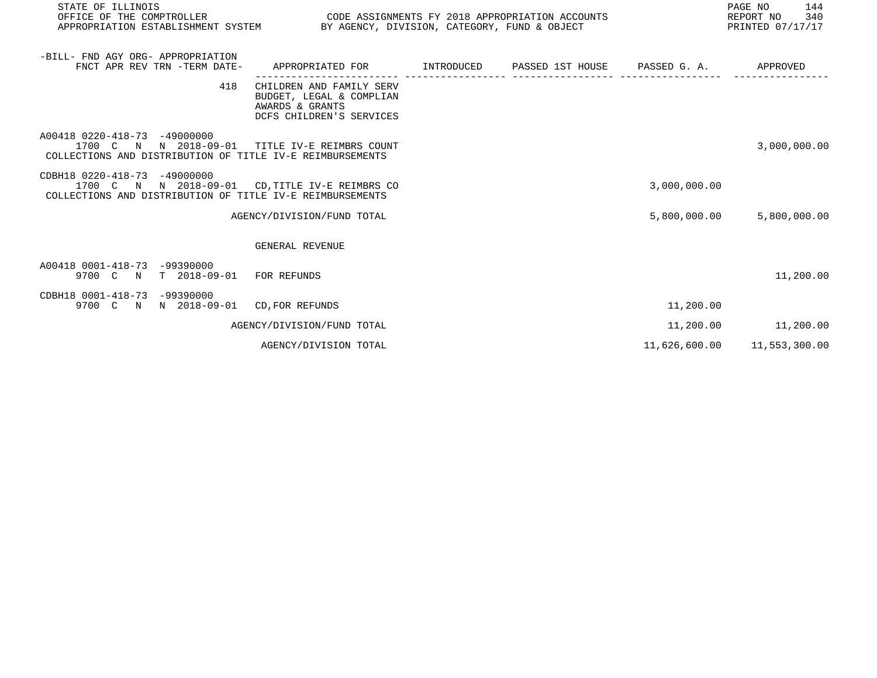| STATE OF ILLINOIS<br>OFFICE OF THE COMPTROLLER |                                       | PAGE NO<br>CODE ASSIGNMENTS FY 2018 APPROPRIATION ACCOUNTS<br>REPORT NO<br>APPROPRIATION ESTABLISHMENT SYSTEM BY AGENCY, DIVISION, CATEGORY, FUND & OBJECT<br>PRINTED 07/17/17 |  |  |               |               |
|------------------------------------------------|---------------------------------------|--------------------------------------------------------------------------------------------------------------------------------------------------------------------------------|--|--|---------------|---------------|
| -BILL- FND AGY ORG- APPROPRIATION              | FNCT APR REV TRN -TERM DATE-          | APPROPRIATED FOR         INTRODUCED      PASSED 1ST HOUSE      PASSED G. A.           APPROVED                                                                                 |  |  |               |               |
|                                                | 418                                   | CHILDREN AND FAMILY SERV<br>BUDGET, LEGAL & COMPLIAN<br>AWARDS & GRANTS<br>DCFS CHILDREN'S SERVICES                                                                            |  |  |               |               |
| A00418 0220-418-73 -49000000                   |                                       | 1700 C N N 2018-09-01 TITLE IV-E REIMBRS COUNT<br>COLLECTIONS AND DISTRIBUTION OF TITLE IV-E REIMBURSEMENTS                                                                    |  |  |               | 3,000,000.00  |
| CDBH18 0220-418-73 -49000000                   |                                       | 1700 C N N 2018-09-01 CD, TITLE IV-E REIMBRS CO<br>COLLECTIONS AND DISTRIBUTION OF TITLE IV-E REIMBURSEMENTS                                                                   |  |  | 3,000,000.00  |               |
|                                                |                                       | AGENCY/DIVISION/FUND TOTAL                                                                                                                                                     |  |  | 5,800,000.00  | 5,800,000.00  |
|                                                |                                       | <b>GENERAL REVENUE</b>                                                                                                                                                         |  |  |               |               |
| A00418 0001-418-73 -99390000                   | 9700 C N T 2018-09-01 FOR REFUNDS     |                                                                                                                                                                                |  |  |               | 11,200.00     |
| CDBH18 0001-418-73 -99390000                   | 9700 C N N 2018-09-01 CD, FOR REFUNDS |                                                                                                                                                                                |  |  | 11,200.00     |               |
|                                                |                                       | AGENCY/DIVISION/FUND TOTAL                                                                                                                                                     |  |  | 11,200.00     | 11,200.00     |
|                                                |                                       | AGENCY/DIVISION TOTAL                                                                                                                                                          |  |  | 11,626,600.00 | 11,553,300.00 |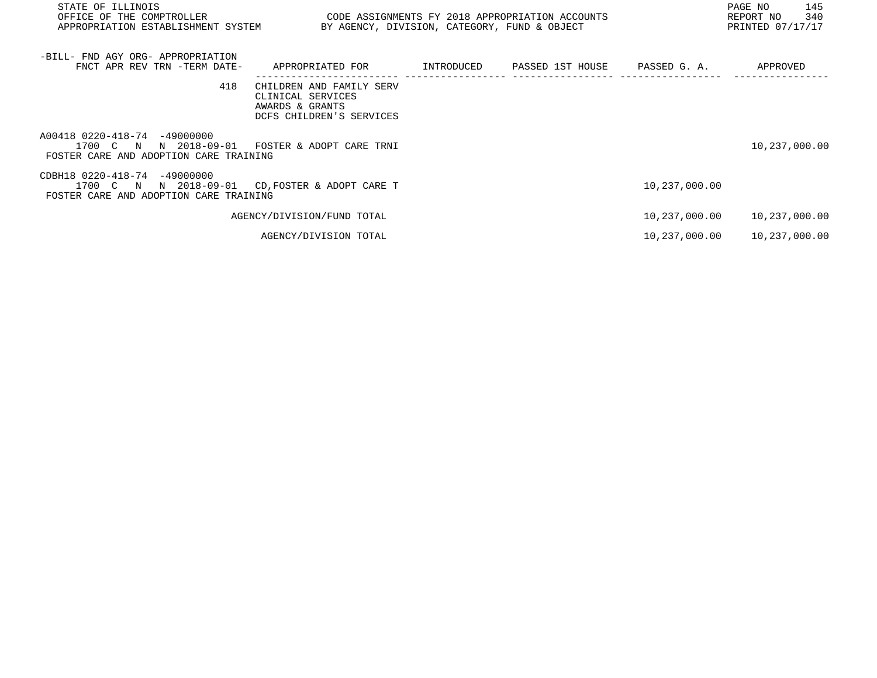| STATE OF ILLINOIS<br>OFFICE OF THE COMPTROLLER<br>APPROPRIATION ESTABLISHMENT SYSTEM               | PAGE NO<br>CODE ASSIGNMENTS FY 2018 APPROPRIATION ACCOUNTS<br>REPORT NO<br>PRINTED 07/17/17<br>BY AGENCY, DIVISION, CATEGORY, FUND & OBJECT |            |                  |               |               |
|----------------------------------------------------------------------------------------------------|---------------------------------------------------------------------------------------------------------------------------------------------|------------|------------------|---------------|---------------|
| -BILL- FND AGY ORG- APPROPRIATION<br>FNCT APR REV TRN -TERM DATE-                                  | APPROPRIATED FOR                                                                                                                            | INTRODUCED | PASSED 1ST HOUSE | PASSED G. A.  | APPROVED      |
| 418                                                                                                | CHILDREN AND FAMILY SERV<br>CLINICAL SERVICES<br>AWARDS & GRANTS<br>DCFS CHILDREN'S SERVICES                                                |            |                  |               |               |
| A00418 0220-418-74 -49000000<br>N 2018-09-01<br>1700 C N<br>FOSTER CARE AND ADOPTION CARE TRAINING | FOSTER & ADOPT CARE TRNI                                                                                                                    |            |                  |               | 10,237,000.00 |
| CDBH18 0220-418-74 -49000000<br>N 2018-09-01<br>1700 C N<br>FOSTER CARE AND ADOPTION CARE TRAINING | CD, FOSTER & ADOPT CARE T                                                                                                                   |            |                  | 10,237,000.00 |               |
|                                                                                                    | AGENCY/DIVISION/FUND TOTAL                                                                                                                  |            |                  | 10,237,000.00 | 10,237,000.00 |
|                                                                                                    | AGENCY/DIVISION TOTAL                                                                                                                       |            |                  | 10,237,000.00 | 10,237,000.00 |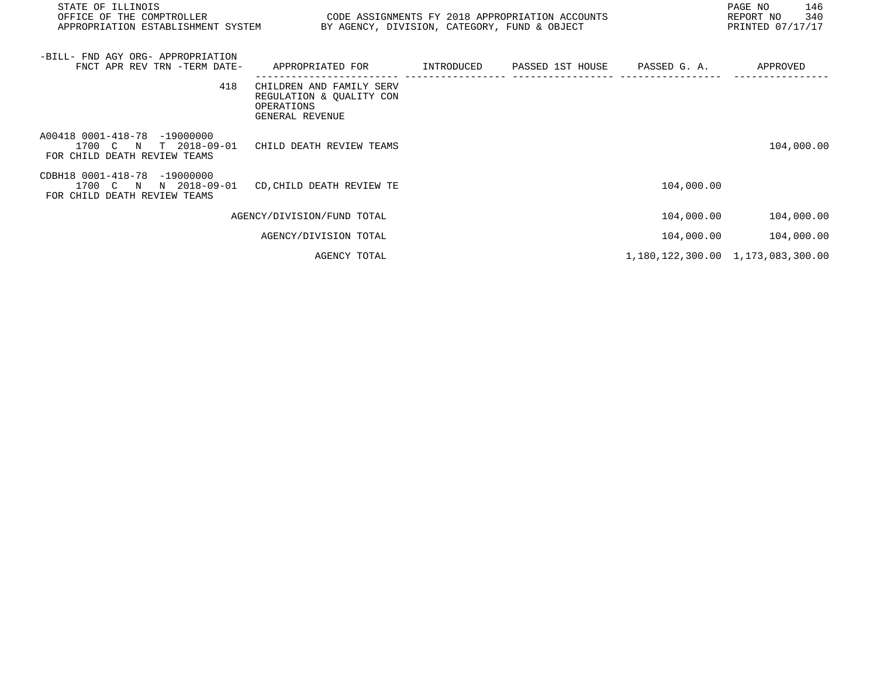| APPROPRIATION ESTABLISHMENT SYSTEM                                                    |            |                  |                                                                                                 | PAGE NO<br>146<br>340<br>REPORT NO<br>PRINTED 07/17/17 |
|---------------------------------------------------------------------------------------|------------|------------------|-------------------------------------------------------------------------------------------------|--------------------------------------------------------|
| FNCT APR REV TRN -TERM DATE-<br>APPROPRIATED FOR                                      | INTRODUCED | PASSED 1ST HOUSE | PASSED G. A.                                                                                    | APPROVED                                               |
| CHILDREN AND FAMILY SERV<br>REGULATION & OUALITY CON<br>OPERATIONS<br>GENERAL REVENUE |            |                  |                                                                                                 |                                                        |
| CHILD DEATH REVIEW TEAMS                                                              |            |                  |                                                                                                 | 104,000.00                                             |
| CD, CHILD DEATH REVIEW TE                                                             |            |                  | 104,000.00                                                                                      |                                                        |
| AGENCY/DIVISION/FUND TOTAL                                                            |            |                  | 104,000.00                                                                                      | 104,000.00                                             |
| AGENCY/DIVISION TOTAL                                                                 |            |                  | 104,000.00                                                                                      | 104,000.00                                             |
| AGENCY TOTAL                                                                          |            |                  |                                                                                                 | 1, 180, 122, 300.00 1, 173, 083, 300.00                |
|                                                                                       |            |                  | CODE ASSIGNMENTS FY 2018 APPROPRIATION ACCOUNTS<br>BY AGENCY, DIVISION, CATEGORY, FUND & OBJECT |                                                        |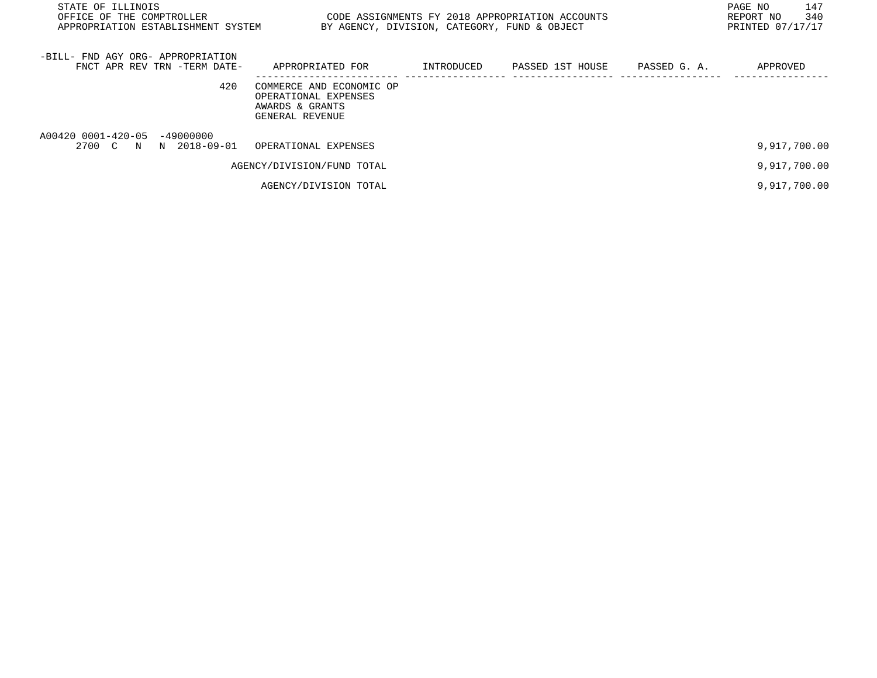| STATE OF ILLINOIS<br>OFFICE OF THE COMPTROLLER<br>APPROPRIATION ESTABLISHMENT SYSTEM | BY AGENCY, DIVISION, CATEGORY, FUND & OBJECT                                           |            | CODE ASSIGNMENTS FY 2018 APPROPRIATION ACCOUNTS |              | 147<br>PAGE NO<br>340<br>REPORT NO<br>PRINTED 07/17/17 |
|--------------------------------------------------------------------------------------|----------------------------------------------------------------------------------------|------------|-------------------------------------------------|--------------|--------------------------------------------------------|
| -BILL- FND AGY ORG- APPROPRIATION<br>FNCT APR REV TRN -TERM DATE-                    | APPROPRIATED FOR                                                                       | INTRODUCED | PASSED 1ST HOUSE                                | PASSED G. A. | APPROVED                                               |
| 420                                                                                  | COMMERCE AND ECONOMIC OP<br>OPERATIONAL EXPENSES<br>AWARDS & GRANTS<br>GENERAL REVENUE |            |                                                 |              |                                                        |
| A00420 0001-420-05 -49000000<br>2700 C N N 2018-09-01                                | OPERATIONAL EXPENSES                                                                   |            |                                                 |              | 9,917,700.00                                           |
|                                                                                      | AGENCY/DIVISION/FUND TOTAL                                                             |            |                                                 |              | 9,917,700.00                                           |
|                                                                                      | AGENCY/DIVISION TOTAL                                                                  |            |                                                 |              | 9,917,700.00                                           |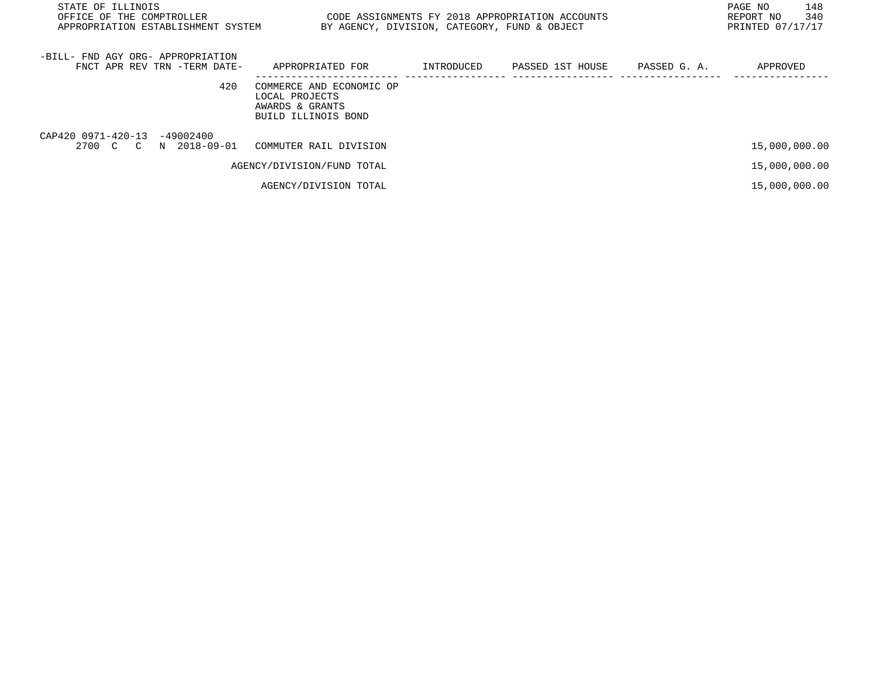| STATE OF ILLINOIS<br>OFFICE OF THE COMPTROLLER<br>APPROPRIATION ESTABLISHMENT SYSTEM | BY AGENCY, DIVISION, CATEGORY, FUND & OBJECT                                         |            | CODE ASSIGNMENTS FY 2018 APPROPRIATION ACCOUNTS |              | 148<br>PAGE NO<br>340<br>REPORT NO<br>PRINTED 07/17/17 |
|--------------------------------------------------------------------------------------|--------------------------------------------------------------------------------------|------------|-------------------------------------------------|--------------|--------------------------------------------------------|
| -BILL- FND AGY ORG- APPROPRIATION<br>FNCT APR REV TRN -TERM DATE-                    | APPROPRIATED FOR                                                                     | INTRODUCED | PASSED 1ST HOUSE                                | PASSED G. A. | APPROVED                                               |
| 420                                                                                  | COMMERCE AND ECONOMIC OP<br>LOCAL PROJECTS<br>AWARDS & GRANTS<br>BUILD ILLINOIS BOND |            |                                                 |              |                                                        |
| CAP420 0971-420-13 -49002400<br>N 2018-09-01<br>2700 C C                             | COMMUTER RAIL DIVISION                                                               |            |                                                 |              | 15,000,000.00                                          |
|                                                                                      | AGENCY/DIVISION/FUND TOTAL                                                           |            |                                                 |              | 15,000,000.00                                          |
|                                                                                      | AGENCY/DIVISION TOTAL                                                                |            |                                                 |              | 15,000,000.00                                          |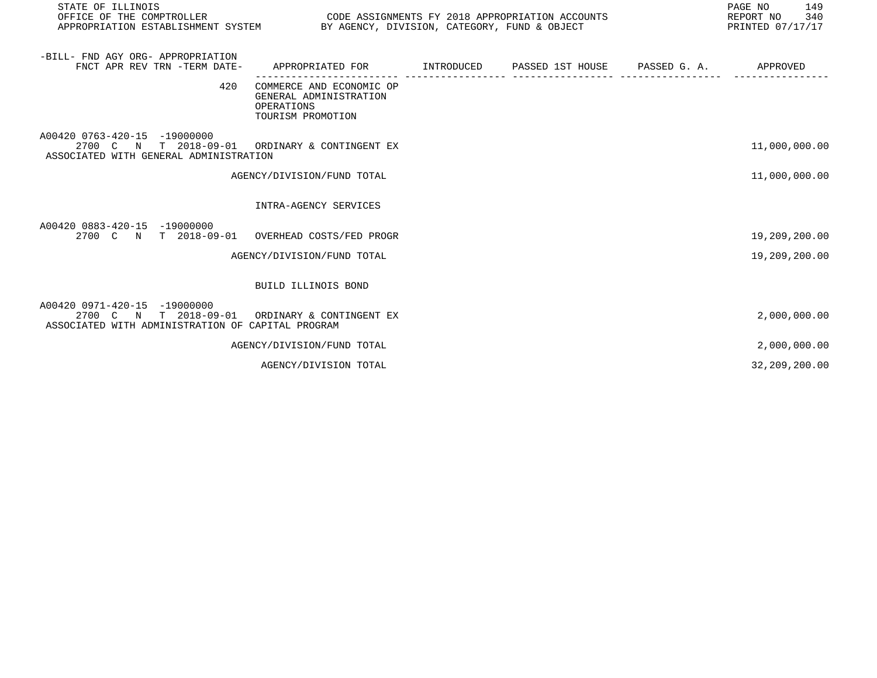| STATE OF ILLINOIS<br>OFFICE OF THE COMPTROLLER<br>APPROPRIATION ESTABLISHMENT SYSTEM BY AGENCY, DIVISION, CATEGORY, FUND & OBJECT   | CODE ASSIGNMENTS FY 2018 APPROPRIATION ACCOUNTS                                           |  | PAGE NO<br>149<br>REPORT NO 340<br>PRINTED 07/17/17 |
|-------------------------------------------------------------------------------------------------------------------------------------|-------------------------------------------------------------------------------------------|--|-----------------------------------------------------|
| -BILL- FND AGY ORG- APPROPRIATION<br>FNCT APR REV TRN -TERM DATE-                                                                   | APPROPRIATED FOR        INTRODUCED     PASSED 1ST HOUSE     PASSED G. A.         APPROVED |  |                                                     |
| 420                                                                                                                                 | COMMERCE AND ECONOMIC OP<br>GENERAL ADMINISTRATION<br>OPERATIONS<br>TOURISM PROMOTION     |  |                                                     |
| A00420 0763-420-15 -19000000<br>2700 C N T 2018-09-01 ORDINARY & CONTINGENT EX<br>ASSOCIATED WITH GENERAL ADMINISTRATION            |                                                                                           |  | 11,000,000.00                                       |
|                                                                                                                                     | AGENCY/DIVISION/FUND TOTAL                                                                |  | 11,000,000.00                                       |
|                                                                                                                                     | INTRA-AGENCY SERVICES                                                                     |  |                                                     |
| A00420 0883-420-15 -19000000<br>2700 C N T 2018-09-01 OVERHEAD COSTS/FED PROGR                                                      |                                                                                           |  | 19,209,200.00                                       |
|                                                                                                                                     | AGENCY/DIVISION/FUND TOTAL                                                                |  | 19,209,200.00                                       |
|                                                                                                                                     | BUILD ILLINOIS BOND                                                                       |  |                                                     |
| A00420 0971-420-15 -19000000<br>2700 C N T 2018-09-01 ORDINARY & CONTINGENT EX<br>ASSOCIATED WITH ADMINISTRATION OF CAPITAL PROGRAM |                                                                                           |  | 2,000,000.00                                        |
|                                                                                                                                     | AGENCY/DIVISION/FUND TOTAL                                                                |  | 2,000,000.00                                        |
|                                                                                                                                     | AGENCY/DIVISION TOTAL                                                                     |  | 32,209,200.00                                       |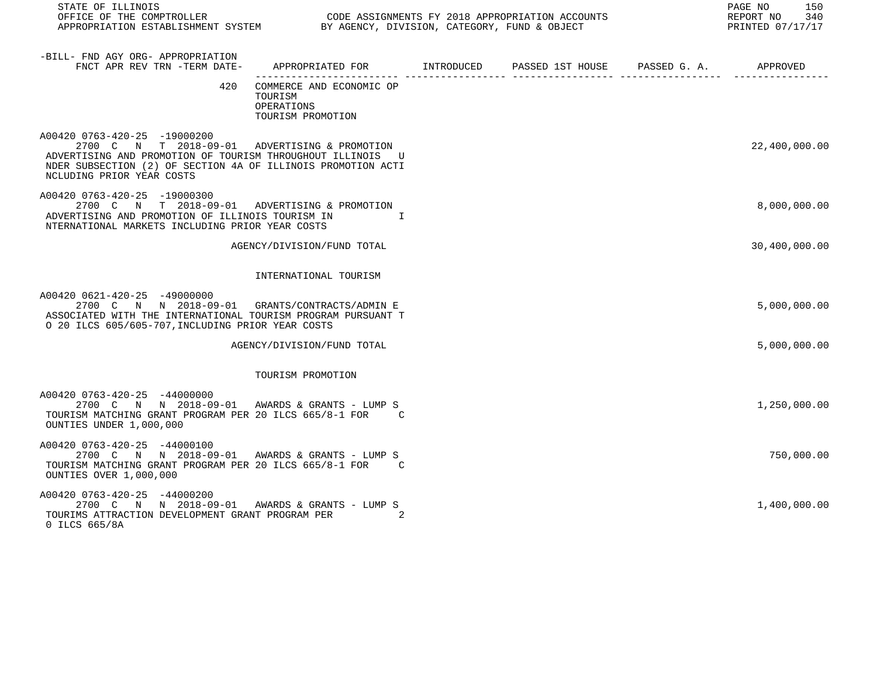| STATE OF ILLINOIS                                                                                                                                                                                                                        |                                                                                            |   | 150<br>PAGE NO<br>340<br>REPORT NO<br>PRINTED 07/17/17 |
|------------------------------------------------------------------------------------------------------------------------------------------------------------------------------------------------------------------------------------------|--------------------------------------------------------------------------------------------|---|--------------------------------------------------------|
| -BILL- FND AGY ORG- APPROPRIATION<br>FNCT APR REV TRN -TERM DATE-                                                                                                                                                                        | APPROPRIATED FOR        INTRODUCED      PASSED 1ST HOUSE     PASSED G. A.         APPROVED | . |                                                        |
| 420                                                                                                                                                                                                                                      | COMMERCE AND ECONOMIC OP<br>TOURISM<br>OPERATIONS<br>TOURISM PROMOTION                     |   |                                                        |
| A00420 0763-420-25 -19000200<br>2700 C N T 2018-09-01 ADVERTISING & PROMOTION<br>ADVERTISING AND PROMOTION OF TOURISM THROUGHOUT ILLINOIS U<br>NDER SUBSECTION (2) OF SECTION 4A OF ILLINOIS PROMOTION ACTI<br>NCLUDING PRIOR YEAR COSTS |                                                                                            |   | 22,400,000.00                                          |
| A00420 0763-420-25 -19000300<br>2700 C N T 2018-09-01 ADVERTISING & PROMOTION<br>ADVERTISING AND PROMOTION OF ILLINOIS TOURISM IN<br>NTERNATIONAL MARKETS INCLUDING PRIOR YEAR COSTS                                                     | $\mathbf{I}$ and $\mathbf{I}$                                                              |   | 8,000,000.00                                           |
|                                                                                                                                                                                                                                          | AGENCY/DIVISION/FUND TOTAL                                                                 |   | 30,400,000.00                                          |
|                                                                                                                                                                                                                                          | INTERNATIONAL TOURISM                                                                      |   |                                                        |
| A00420 0621-420-25 -49000000<br>2700 C N N 2018-09-01 GRANTS/CONTRACTS/ADMINE<br>ASSOCIATED WITH THE INTERNATIONAL TOURISM PROGRAM PURSUANT T<br>O 20 ILCS 605/605-707, INCLUDING PRIOR YEAR COSTS                                       |                                                                                            |   | 5,000,000.00                                           |
|                                                                                                                                                                                                                                          | AGENCY/DIVISION/FUND TOTAL                                                                 |   | 5,000,000.00                                           |
|                                                                                                                                                                                                                                          | TOURISM PROMOTION                                                                          |   |                                                        |
| A00420 0763-420-25 -44000000<br>2700 C N N 2018-09-01 AWARDS & GRANTS - LUMP S<br>TOURISM MATCHING GRANT PROGRAM PER 20 ILCS 665/8-1 FOR C<br>OUNTIES UNDER 1,000,000                                                                    |                                                                                            |   | 1,250,000.00                                           |
| A00420 0763-420-25 -44000100<br>2700 C N N 2018-09-01 AWARDS & GRANTS - LUMP S<br>TOURISM MATCHING GRANT PROGRAM PER 20 ILCS 665/8-1 FOR C<br>OUNTIES OVER 1,000,000                                                                     |                                                                                            |   | 750,000.00                                             |
| A00420 0763-420-25 -44000200<br>2700 C N N 2018-09-01 AWARDS & GRANTS - LUMP S                                                                                                                                                           |                                                                                            |   | 1,400,000.00                                           |

TOURIMS ATTRACTION DEVELOPMENT GRANT PROGRAM PER 2

0 ILCS 665/8A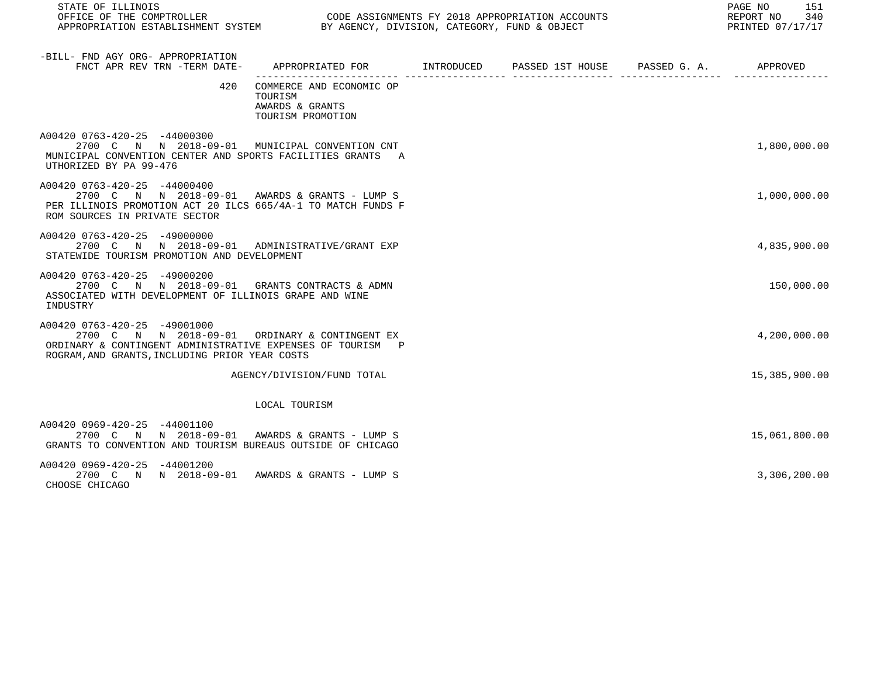| STATE OF ILLINOIS                                                                                                                                                                              |                                                                                            |  | PAGE NO<br>151<br>340<br>REPORT NO<br>PRINTED 07/17/17 |
|------------------------------------------------------------------------------------------------------------------------------------------------------------------------------------------------|--------------------------------------------------------------------------------------------|--|--------------------------------------------------------|
| -BILL- FND AGY ORG- APPROPRIATION<br>FNCT APR REV TRN -TERM DATE-                                                                                                                              | APPROPRIATED FOR        INTRODUCED      PASSED 1ST HOUSE     PASSED G. A.         APPROVED |  |                                                        |
|                                                                                                                                                                                                | 420 COMMERCE AND ECONOMIC OP<br>TOURISM<br>AWARDS & GRANTS<br>TOURISM PROMOTION            |  |                                                        |
| A00420 0763-420-25 -44000300<br>2700 C N N 2018-09-01 MUNICIPAL CONVENTION CNT<br>MUNICIPAL CONVENTION CENTER AND SPORTS FACILITIES GRANTS A<br>UTHORIZED BY PA 99-476                         |                                                                                            |  | 1,800,000.00                                           |
| A00420 0763-420-25 -44000400<br>2700 C N N 2018-09-01 AWARDS & GRANTS - LUMP S<br>PER ILLINOIS PROMOTION ACT 20 ILCS 665/4A-1 TO MATCH FUNDS F<br>ROM SOURCES IN PRIVATE SECTOR                |                                                                                            |  | 1,000,000.00                                           |
| A00420 0763-420-25 -49000000<br>2700 C N N 2018-09-01 ADMINISTRATIVE/GRANT EXP<br>STATEWIDE TOURISM PROMOTION AND DEVELOPMENT                                                                  |                                                                                            |  | 4,835,900.00                                           |
| A00420 0763-420-25 -49000200<br>2700 C N N 2018-09-01 GRANTS CONTRACTS & ADMN<br>ASSOCIATED WITH DEVELOPMENT OF ILLINOIS GRAPE AND WINE<br>INDUSTRY                                            |                                                                                            |  | 150,000.00                                             |
| A00420 0763-420-25 -49001000<br>2700 C N N 2018-09-01 ORDINARY & CONTINGENT EX<br>ORDINARY & CONTINGENT ADMINISTRATIVE EXPENSES OF TOURISM P<br>ROGRAM, AND GRANTS, INCLUDING PRIOR YEAR COSTS |                                                                                            |  | 4,200,000.00                                           |
|                                                                                                                                                                                                | AGENCY/DIVISION/FUND TOTAL                                                                 |  | 15,385,900.00                                          |
|                                                                                                                                                                                                | LOCAL TOURISM                                                                              |  |                                                        |
| A00420 0969-420-25 -44001100<br>2700 C N N 2018-09-01 AWARDS & GRANTS - LUMP S<br>GRANTS TO CONVENTION AND TOURISM BUREAUS OUTSIDE OF CHICAGO                                                  |                                                                                            |  | 15,061,800.00                                          |
| A00420 0969-420-25 -44001200<br>2700 C N N 2018-09-01 AWARDS & GRANTS - LUMP S<br>CHOOSE CHICAGO                                                                                               |                                                                                            |  | 3,306,200.00                                           |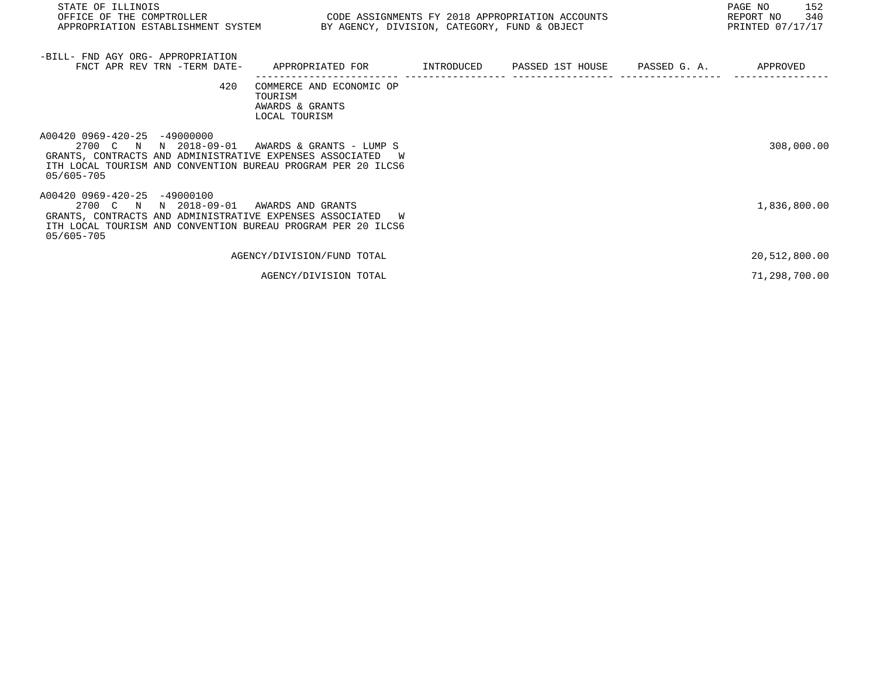| STATE OF ILLINOIS<br>OFFICE OF THE COMPTROLLER<br>APPROPRIATION ESTABLISHMENT SYSTEM BY AGENCY, DIVISION, CATEGORY, FUND & OBJECT                                                                  | CODE ASSIGNMENTS FY 2018 APPROPRIATION ACCOUNTS                         |            |                               | PAGE NO<br>152<br>340<br>REPORT NO<br>PRINTED 07/17/17 |
|----------------------------------------------------------------------------------------------------------------------------------------------------------------------------------------------------|-------------------------------------------------------------------------|------------|-------------------------------|--------------------------------------------------------|
| -BILL- FND AGY ORG- APPROPRIATION<br>FNCT APR REV TRN -TERM DATE-                                                                                                                                  | APPROPRIATED FOR                                                        | INTRODUCED | PASSED 1ST HOUSE PASSED G. A. | APPROVED                                               |
| 420                                                                                                                                                                                                | COMMERCE AND ECONOMIC OP<br>TOURISM<br>AWARDS & GRANTS<br>LOCAL TOURISM |            |                               |                                                        |
| A00420 0969-420-25 -49000000<br>N 2018-09-01<br>2700 C N<br>GRANTS, CONTRACTS AND ADMINISTRATIVE EXPENSES ASSOCIATED<br>ITH LOCAL TOURISM AND CONVENTION BUREAU PROGRAM PER 20 ILCS6<br>05/605-705 | AWARDS & GRANTS - LUMP S                                                |            |                               | 308,000.00                                             |
| A00420 0969-420-25 -49000100<br>2700 C N N 2018-09-01<br>GRANTS, CONTRACTS AND ADMINISTRATIVE EXPENSES ASSOCIATED<br>ITH LOCAL TOURISM AND CONVENTION BUREAU PROGRAM PER 20 ILCS6<br>05/605-705    | AWARDS AND GRANTS<br>W                                                  |            |                               | 1,836,800.00                                           |
|                                                                                                                                                                                                    | AGENCY/DIVISION/FUND TOTAL                                              |            |                               | 20,512,800.00                                          |

AGENCY/DIVISION TOTAL 2018 (2018) 2018 12:00:00 21,298,700.00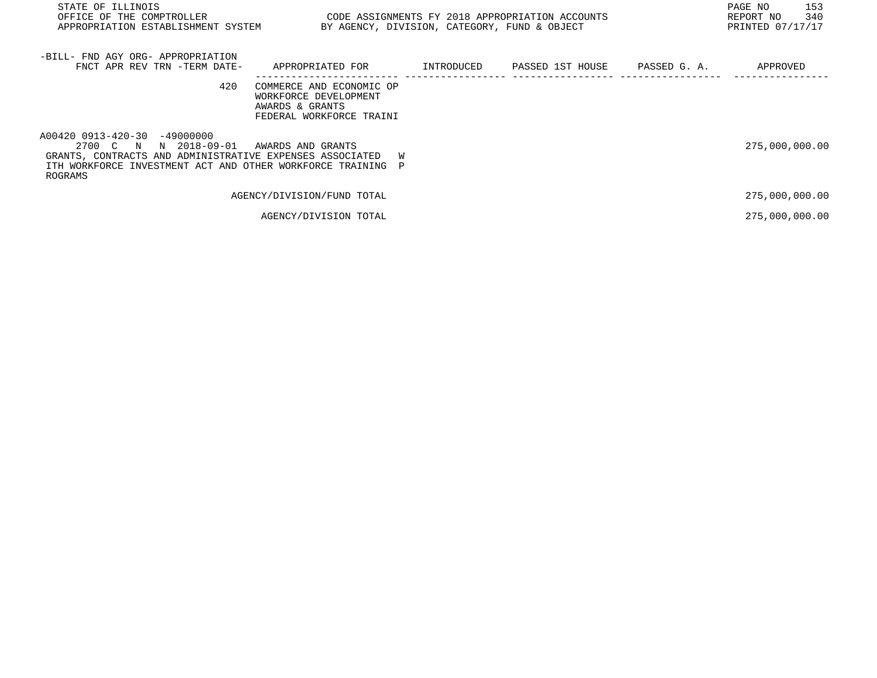| STATE OF ILLINOIS<br>OFFICE OF THE COMPTROLLER<br>APPROPRIATION ESTABLISHMENT SYSTEM                                                                                                         | CODE ASSIGNMENTS FY 2018 APPROPRIATION ACCOUNTS                                                  | BY AGENCY, DIVISION, CATEGORY, FUND & OBJECT |                               | PAGE NO<br>153<br>REPORT NO<br>340<br>PRINTED 07/17/17 |
|----------------------------------------------------------------------------------------------------------------------------------------------------------------------------------------------|--------------------------------------------------------------------------------------------------|----------------------------------------------|-------------------------------|--------------------------------------------------------|
| -BILL- FND AGY ORG- APPROPRIATION<br>FNCT APR REV TRN -TERM DATE-                                                                                                                            | APPROPRIATED FOR                                                                                 | INTRODUCED                                   | PASSED 1ST HOUSE PASSED G. A. | APPROVED                                               |
| 420                                                                                                                                                                                          | COMMERCE AND ECONOMIC OP<br>WORKFORCE DEVELOPMENT<br>AWARDS & GRANTS<br>FEDERAL WORKFORCE TRAINI |                                              |                               |                                                        |
| A00420 0913-420-30 -49000000<br>N 2018-09-01<br>2700 C N<br>GRANTS, CONTRACTS AND ADMINISTRATIVE EXPENSES ASSOCIATED<br>ITH WORKFORCE INVESTMENT ACT AND OTHER WORKFORCE TRAINING<br>ROGRAMS | AWARDS AND GRANTS<br>W<br>P                                                                      |                                              |                               | 275,000,000.00                                         |
|                                                                                                                                                                                              | AGENCY/DIVISION/FUND TOTAL                                                                       |                                              |                               | 275,000,000.00                                         |
|                                                                                                                                                                                              | AGENCY/DIVISION TOTAL                                                                            |                                              |                               | 275,000,000.00                                         |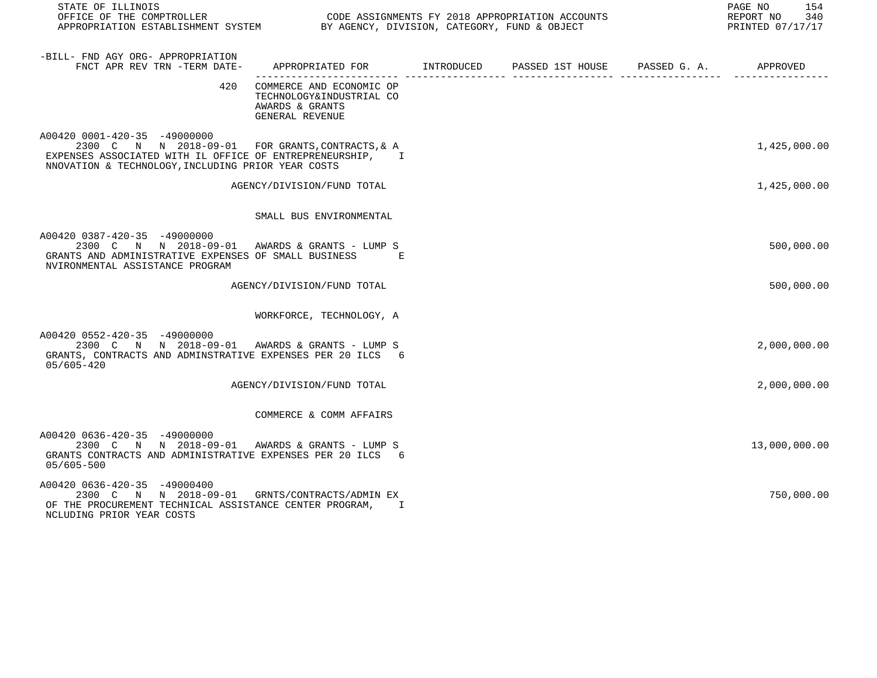| STATE OF ILLINOIS                                                                                                                                                                                   |                                                                                            |  | PAGE NO<br>154<br>REPORT NO<br>340<br>PRINTED 07/17/17 |
|-----------------------------------------------------------------------------------------------------------------------------------------------------------------------------------------------------|--------------------------------------------------------------------------------------------|--|--------------------------------------------------------|
| -BILL- FND AGY ORG- APPROPRIATION<br>FNCT APR REV TRN -TERM DATE-                                                                                                                                   | APPROPRIATED FOR INTRODUCED PASSED 1ST HOUSE PASSED G. A.                                  |  | APPROVED                                               |
| 420                                                                                                                                                                                                 | COMMERCE AND ECONOMIC OP<br>TECHNOLOGY&INDUSTRIAL CO<br>AWARDS & GRANTS<br>GENERAL REVENUE |  |                                                        |
| A00420 0001-420-35 -49000000<br>2300 C N N 2018-09-01 FOR GRANTS, CONTRACTS, & A<br>EXPENSES ASSOCIATED WITH IL OFFICE OF ENTREPRENEURSHIP, I<br>NNOVATION & TECHNOLOGY, INCLUDING PRIOR YEAR COSTS |                                                                                            |  | 1,425,000.00                                           |
|                                                                                                                                                                                                     | AGENCY/DIVISION/FUND TOTAL                                                                 |  | 1,425,000.00                                           |
|                                                                                                                                                                                                     | SMALL BUS ENVIRONMENTAL                                                                    |  |                                                        |
| A00420 0387-420-35 -49000000<br>2300 C N N 2018-09-01 AWARDS & GRANTS - LUMP S<br>GRANTS AND ADMINISTRATIVE EXPENSES OF SMALL BUSINESS<br>NVIRONMENTAL ASSISTANCE PROGRAM                           | <b>Example</b>                                                                             |  | 500,000.00                                             |
|                                                                                                                                                                                                     | AGENCY/DIVISION/FUND TOTAL                                                                 |  | 500,000.00                                             |
|                                                                                                                                                                                                     | WORKFORCE, TECHNOLOGY, A                                                                   |  |                                                        |
| A00420 0552-420-35 -49000000<br>2300 C N N 2018-09-01 AWARDS & GRANTS - LUMP S<br>GRANTS, CONTRACTS AND ADMINSTRATIVE EXPENSES PER 20 ILCS 6<br>05/605-420                                          |                                                                                            |  | 2,000,000.00                                           |
|                                                                                                                                                                                                     | AGENCY/DIVISION/FUND TOTAL                                                                 |  | 2,000,000.00                                           |
|                                                                                                                                                                                                     | COMMERCE & COMM AFFAIRS                                                                    |  |                                                        |
| A00420 0636-420-35 -49000000<br>2300 C N N 2018-09-01 AWARDS & GRANTS - LUMP S<br>GRANTS CONTRACTS AND ADMINISTRATIVE EXPENSES PER 20 ILCS 6<br>05/605-500                                          |                                                                                            |  | 13,000,000.00                                          |
| A00420 0636-420-35 -49000400<br>2300 C N N 2018-09-01<br>OF THE PROCUREMENT TECHNICAL ASSISTANCE CENTER PROGRAM,                                                                                    | GRNTS/CONTRACTS/ADMIN EX<br>$\mathbf{I}$                                                   |  | 750,000.00                                             |

NCLUDING PRIOR YEAR COSTS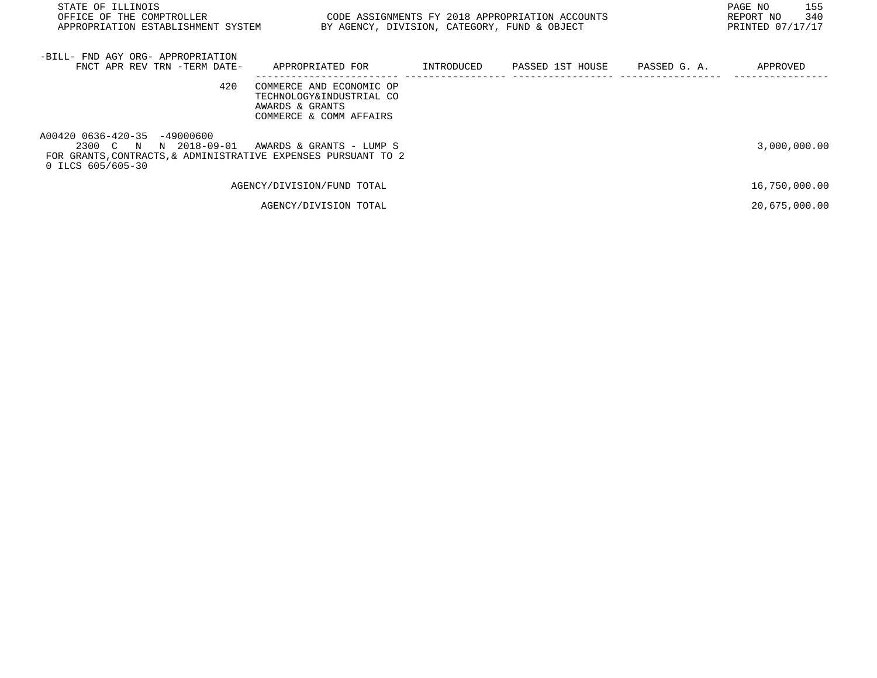| STATE OF ILLINOIS<br>OFFICE OF THE COMPTROLLER<br>APPROPRIATION ESTABLISHMENT SYSTEM                                                            |                                                                                                    |            | CODE ASSIGNMENTS FY 2018 APPROPRIATION ACCOUNTS<br>BY AGENCY, DIVISION, CATEGORY, FUND & OBJECT |              | PAGE NO<br>155<br>340<br>REPORT NO<br>PRINTED 07/17/17 |
|-------------------------------------------------------------------------------------------------------------------------------------------------|----------------------------------------------------------------------------------------------------|------------|-------------------------------------------------------------------------------------------------|--------------|--------------------------------------------------------|
| -BILL- FND AGY ORG- APPROPRIATION<br>FNCT APR REV TRN -TERM DATE-                                                                               | APPROPRIATED FOR                                                                                   | INTRODUCED | PASSED 1ST HOUSE                                                                                | PASSED G. A. | APPROVED                                               |
| 420                                                                                                                                             | COMMERCE AND ECONOMIC OP<br>TECHNOLOGY&INDUSTRIAL CO<br>AWARDS & GRANTS<br>COMMERCE & COMM AFFAIRS |            |                                                                                                 |              |                                                        |
| A00420 0636-420-35 -49000600<br>2300 C N<br>N 2018-09-01<br>FOR GRANTS, CONTRACTS, & ADMINISTRATIVE EXPENSES PURSUANT TO 2<br>0 ILCS 605/605-30 | AWARDS & GRANTS - LUMP S                                                                           |            |                                                                                                 |              | 3,000,000.00                                           |
|                                                                                                                                                 | AGENCY/DIVISION/FUND TOTAL                                                                         |            |                                                                                                 |              | 16,750,000.00                                          |
|                                                                                                                                                 | AGENCY/DIVISION TOTAL                                                                              |            |                                                                                                 |              | 20,675,000.00                                          |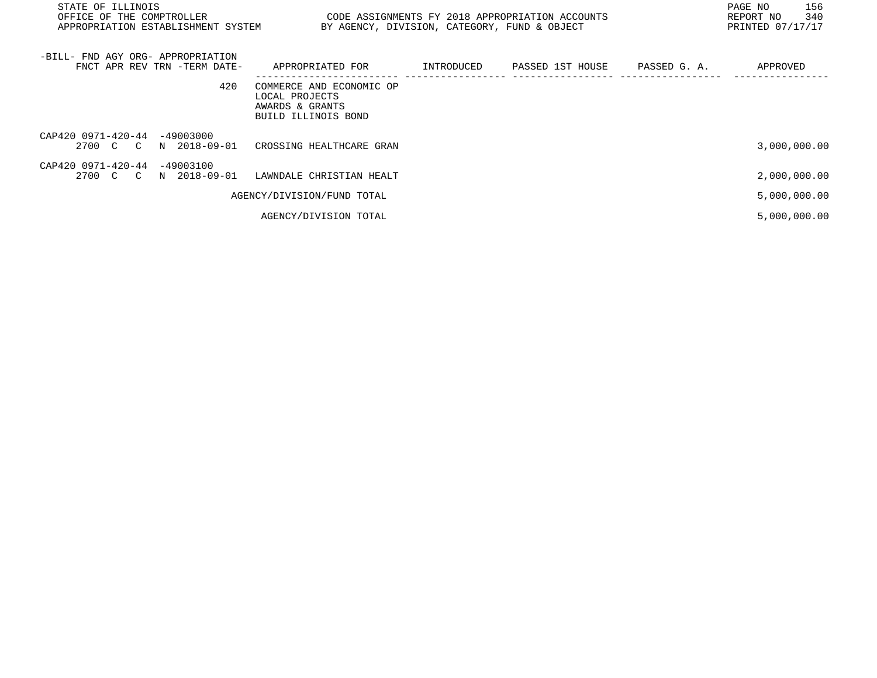| STATE OF ILLINOIS<br>OFFICE OF THE COMPTROLLER THE SERIES ON THE CODE ASSIGNMENTS FY 2018 APPROPRIATION ACCOUNTS<br>APPROPRIATION ESTABLISHMENT SYSTEM BY AGENCY, DIVISION, CATEGORY, FUND & OBJECT |                                                                                      |  | 156<br>PAGE NO<br>REPORT NO 340<br>PRINTED 07/17/17 |
|-----------------------------------------------------------------------------------------------------------------------------------------------------------------------------------------------------|--------------------------------------------------------------------------------------|--|-----------------------------------------------------|
| -BILL- FND AGY ORG- APPROPRIATION<br>FNCT APR REV TRN -TERM DATE-                                                                                                                                   | APPROPRIATED FOR        INTRODUCED     PASSED 1ST HOUSE     PASSED G. A.             |  | APPROVED                                            |
| 420                                                                                                                                                                                                 | COMMERCE AND ECONOMIC OP<br>LOCAL PROJECTS<br>AWARDS & GRANTS<br>BUILD ILLINOIS BOND |  |                                                     |
| CAP420 0971-420-44 -49003000<br>2700 C C N 2018-09-01                                                                                                                                               | CROSSING HEALTHCARE GRAN                                                             |  | 3,000,000.00                                        |
| CAP420 0971-420-44 -49003100<br>2700 C C N 2018-09-01                                                                                                                                               | LAWNDALE CHRISTIAN HEALT                                                             |  | 2,000,000.00                                        |
|                                                                                                                                                                                                     | AGENCY/DIVISION/FUND TOTAL                                                           |  | 5,000,000.00                                        |
|                                                                                                                                                                                                     | AGENCY/DIVISION TOTAL                                                                |  | 5,000,000.00                                        |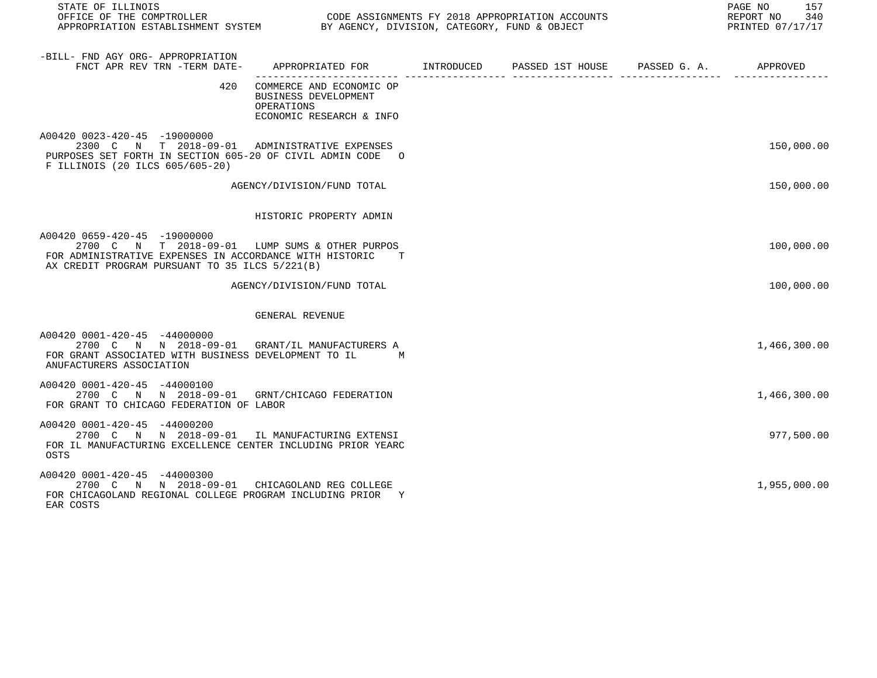| STATE OF ILLINOIS<br>OFFICE OF THE COMPTROLLER<br>APPROPRIATION ESTABLISHMENT SYSTEM BY AGENCY, DIVISION, CATEGORY, FUND & OBJECT                                                             |                                                                                            | CODE ASSIGNMENTS FY 2018 APPROPRIATION ACCOUNTS | 157<br>PAGE NO<br>REPORT NO<br>340<br>PRINTED 07/17/17 |
|-----------------------------------------------------------------------------------------------------------------------------------------------------------------------------------------------|--------------------------------------------------------------------------------------------|-------------------------------------------------|--------------------------------------------------------|
| -BILL- FND AGY ORG- APPROPRIATION<br>FNCT APR REV TRN -TERM DATE-                                                                                                                             | APPROPRIATED FOR       INTRODUCED     PASSED 1ST HOUSE     PASSED G. A.        APPROVED    |                                                 |                                                        |
| 420                                                                                                                                                                                           | COMMERCE AND ECONOMIC OP<br>BUSINESS DEVELOPMENT<br>OPERATIONS<br>ECONOMIC RESEARCH & INFO |                                                 |                                                        |
| A00420 0023-420-45 -19000000<br>2300 C N T 2018-09-01 ADMINISTRATIVE EXPENSES<br>PURPOSES SET FORTH IN SECTION 605-20 OF CIVIL ADMIN CODE O<br>F ILLINOIS (20 ILCS 605/605-20)                |                                                                                            |                                                 | 150,000.00                                             |
|                                                                                                                                                                                               | AGENCY/DIVISION/FUND TOTAL                                                                 |                                                 | 150,000.00                                             |
|                                                                                                                                                                                               | HISTORIC PROPERTY ADMIN                                                                    |                                                 |                                                        |
| A00420 0659-420-45 -19000000<br>2700 C N T 2018-09-01 LUMP SUMS & OTHER PURPOS<br>FOR ADMINISTRATIVE EXPENSES IN ACCORDANCE WITH HISTORIC T<br>AX CREDIT PROGRAM PURSUANT TO 35 ILCS 5/221(B) |                                                                                            |                                                 | 100,000.00                                             |
|                                                                                                                                                                                               | AGENCY/DIVISION/FUND TOTAL                                                                 |                                                 | 100,000.00                                             |
|                                                                                                                                                                                               | GENERAL REVENUE                                                                            |                                                 |                                                        |
| A00420 0001-420-45 -44000000<br>2700 C N N 2018-09-01 GRANT/IL MANUFACTURERS A<br>FOR GRANT ASSOCIATED WITH BUSINESS DEVELOPMENT TO IL<br>ANUFACTURERS ASSOCIATION                            | $M_{\odot}$                                                                                |                                                 | 1,466,300.00                                           |
| A00420 0001-420-45 -44000100<br>2700 C N N 2018-09-01 GRNT/CHICAGO FEDERATION<br>FOR GRANT TO CHICAGO FEDERATION OF LABOR                                                                     |                                                                                            |                                                 | 1,466,300.00                                           |
| A00420 0001-420-45 -44000200<br>2700 C N N 2018-09-01 IL MANUFACTURING EXTENSI<br>FOR IL MANUFACTURING EXCELLENCE CENTER INCLUDING PRIOR YEARC<br>OSTS                                        |                                                                                            |                                                 | 977,500.00                                             |
| A00420 0001-420-45 -44000300<br>2700 C N N 2018-09-01 CHICAGOLAND REG COLLEGE<br>FOR CHICAGOLAND REGIONAL COLLEGE PROGRAM INCLUDING PRIOR Y<br>EAR COSTS                                      |                                                                                            |                                                 | 1,955,000.00                                           |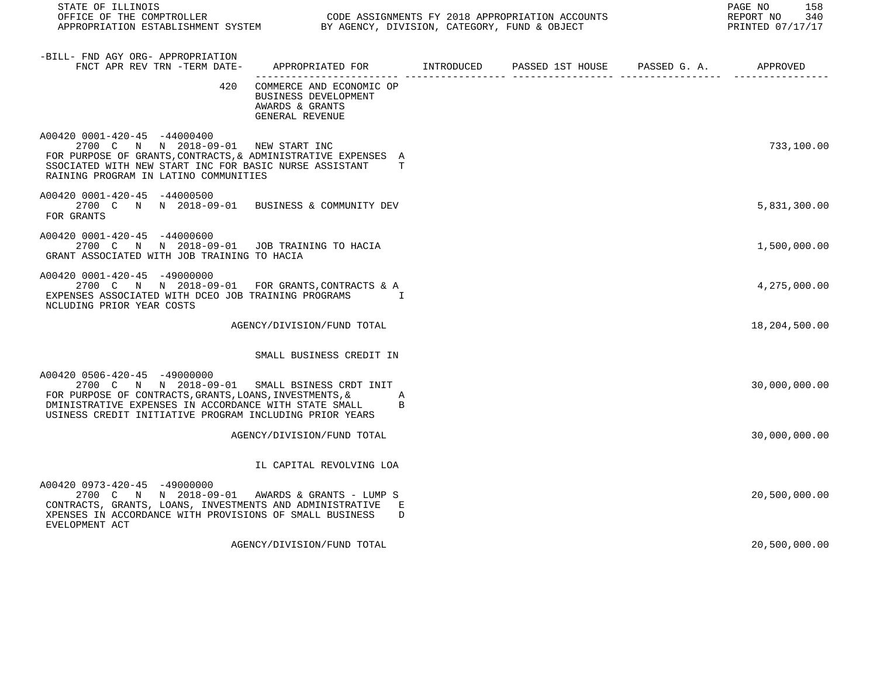| STATE OF ILLINOIS<br>OFFICE OF THE COMPTROLLER CODE ASSIGNMENTS FY 2018 APPROPRIATION ACCOUNTS<br>APPROPRIATION ESTABLISHMENT SYSTEM BY AGENCY, DIVISION, CATEGORY, FUND & OBJECT                                                                            |                                                                                        |                  |              | PAGE NO<br>158<br>REPORT NO<br>340<br>PRINTED 07/17/17 |
|--------------------------------------------------------------------------------------------------------------------------------------------------------------------------------------------------------------------------------------------------------------|----------------------------------------------------------------------------------------|------------------|--------------|--------------------------------------------------------|
| -BILL- FND AGY ORG- APPROPRIATION<br>FNCT APR REV TRN -TERM DATE-                                                                                                                                                                                            | APPROPRIATED FOR INTRODUCED                                                            | PASSED 1ST HOUSE | PASSED G. A. | APPROVED                                               |
| 420                                                                                                                                                                                                                                                          | COMMERCE AND ECONOMIC OP<br>BUSINESS DEVELOPMENT<br>AWARDS & GRANTS<br>GENERAL REVENUE |                  |              |                                                        |
| A00420 0001-420-45 -44000400<br>2700 C N N 2018-09-01 NEW START INC<br>FOR PURPOSE OF GRANTS, CONTRACTS, & ADMINISTRATIVE EXPENSES A<br>SSOCIATED WITH NEW START INC FOR BASIC NURSE ASSISTANT<br>RAINING PROGRAM IN LATINO COMMUNITIES                      | T                                                                                      |                  |              | 733,100.00                                             |
| A00420 0001-420-45 -44000500<br>2700 C N N 2018-09-01 BUSINESS & COMMUNITY DEV<br>FOR GRANTS                                                                                                                                                                 |                                                                                        |                  |              | 5,831,300.00                                           |
| A00420 0001-420-45 -44000600<br>2700 C N N 2018-09-01 JOB TRAINING TO HACIA<br>GRANT ASSOCIATED WITH JOB TRAINING TO HACIA                                                                                                                                   |                                                                                        |                  |              | 1,500,000.00                                           |
| A00420 0001-420-45 -49000000<br>2700 C N N 2018-09-01 FOR GRANTS, CONTRACTS & A<br>EXPENSES ASSOCIATED WITH DCEO JOB TRAINING PROGRAMS I<br>NCLUDING PRIOR YEAR COSTS                                                                                        |                                                                                        |                  |              | 4,275,000.00                                           |
|                                                                                                                                                                                                                                                              | AGENCY/DIVISION/FUND TOTAL                                                             |                  |              | 18,204,500.00                                          |
|                                                                                                                                                                                                                                                              | SMALL BUSINESS CREDIT IN                                                               |                  |              |                                                        |
| A00420 0506-420-45 -49000000<br>2700 C N N 2018-09-01 SMALL BSINESS CRDT INIT<br>FOR PURPOSE OF CONTRACTS, GRANTS, LOANS, INVESTMENTS, &<br>DMINISTRATIVE EXPENSES IN ACCORDANCE WITH STATE SMALL<br>USINESS CREDIT INITIATIVE PROGRAM INCLUDING PRIOR YEARS | Α<br>B                                                                                 |                  |              | 30,000,000.00                                          |
|                                                                                                                                                                                                                                                              | AGENCY/DIVISION/FUND TOTAL                                                             |                  |              | 30,000,000.00                                          |
|                                                                                                                                                                                                                                                              | IL CAPITAL REVOLVING LOA                                                               |                  |              |                                                        |
| A00420 0973-420-45 -49000000<br>2700 C N N 2018-09-01 AWARDS & GRANTS - LUMP S<br>CONTRACTS, GRANTS, LOANS, INVESTMENTS AND ADMINISTRATIVE E<br>XPENSES IN ACCORDANCE WITH PROVISIONS OF SMALL BUSINESS<br>EVELOPMENT ACT                                    | D                                                                                      |                  |              | 20,500,000.00                                          |
|                                                                                                                                                                                                                                                              | AGENCY/DIVISION/FUND TOTAL                                                             |                  |              | 20,500,000.00                                          |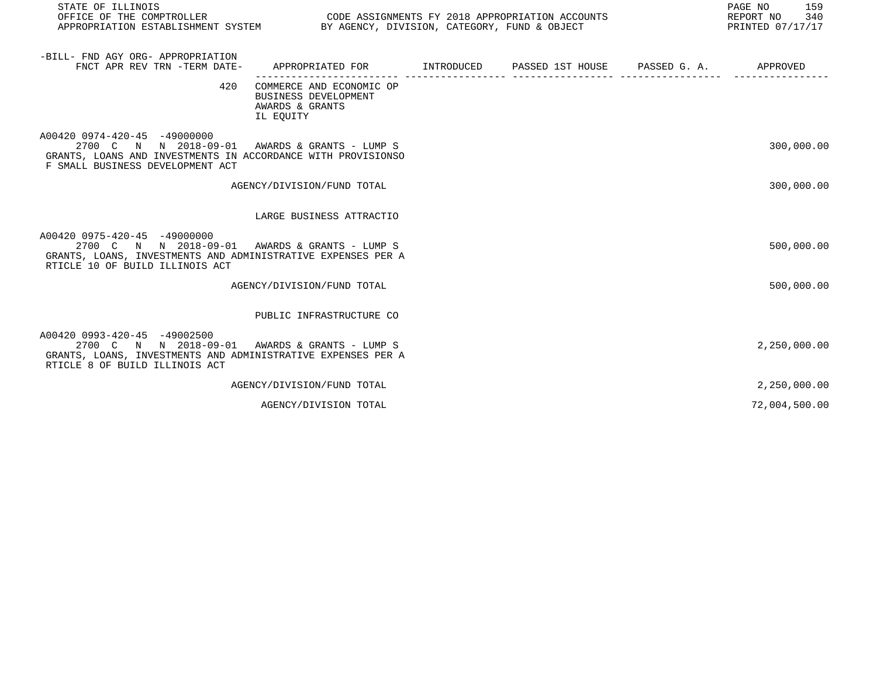| STATE OF ILLINOIS                                                                                                                                                                 |                                                                                            |  | PAGE NO<br>159<br>REPORT NO<br>340<br>PRINTED 07/17/17 |
|-----------------------------------------------------------------------------------------------------------------------------------------------------------------------------------|--------------------------------------------------------------------------------------------|--|--------------------------------------------------------|
| -BILL- FND AGY ORG- APPROPRIATION<br>FNCT APR REV TRN -TERM DATE-                                                                                                                 | APPROPRIATED FOR        INTRODUCED      PASSED 1ST HOUSE     PASSED G. A.         APPROVED |  |                                                        |
| 420                                                                                                                                                                               | COMMERCE AND ECONOMIC OP<br>BUSINESS DEVELOPMENT<br>AWARDS & GRANTS<br>IL EQUITY           |  |                                                        |
| A00420 0974-420-45 -49000000<br>2700 C N N 2018-09-01<br>GRANTS, LOANS AND INVESTMENTS IN ACCORDANCE WITH PROVISIONSO<br>F SMALL BUSINESS DEVELOPMENT ACT                         | AWARDS & GRANTS - LUMP S                                                                   |  | 300,000.00                                             |
|                                                                                                                                                                                   | AGENCY/DIVISION/FUND TOTAL                                                                 |  | 300,000.00                                             |
|                                                                                                                                                                                   | LARGE BUSINESS ATTRACTIO                                                                   |  |                                                        |
| A00420 0975-420-45 -49000000<br>2700 C N N 2018-09-01 AWARDS & GRANTS - LUMP S<br>GRANTS, LOANS, INVESTMENTS AND ADMINISTRATIVE EXPENSES PER A<br>RTICLE 10 OF BUILD ILLINOIS ACT |                                                                                            |  | 500,000.00                                             |
|                                                                                                                                                                                   | AGENCY/DIVISION/FUND TOTAL                                                                 |  | 500,000.00                                             |
|                                                                                                                                                                                   | PUBLIC INFRASTRUCTURE CO                                                                   |  |                                                        |
| A00420 0993-420-45 -49002500<br>2700 C N N 2018-09-01 AWARDS & GRANTS - LUMP S<br>GRANTS, LOANS, INVESTMENTS AND ADMINISTRATIVE EXPENSES PER A<br>RTICLE 8 OF BUILD ILLINOIS ACT  |                                                                                            |  | 2,250,000.00                                           |
|                                                                                                                                                                                   | AGENCY/DIVISION/FUND TOTAL                                                                 |  | 2,250,000.00                                           |
|                                                                                                                                                                                   | AGENCY/DIVISION TOTAL                                                                      |  | 72,004,500.00                                          |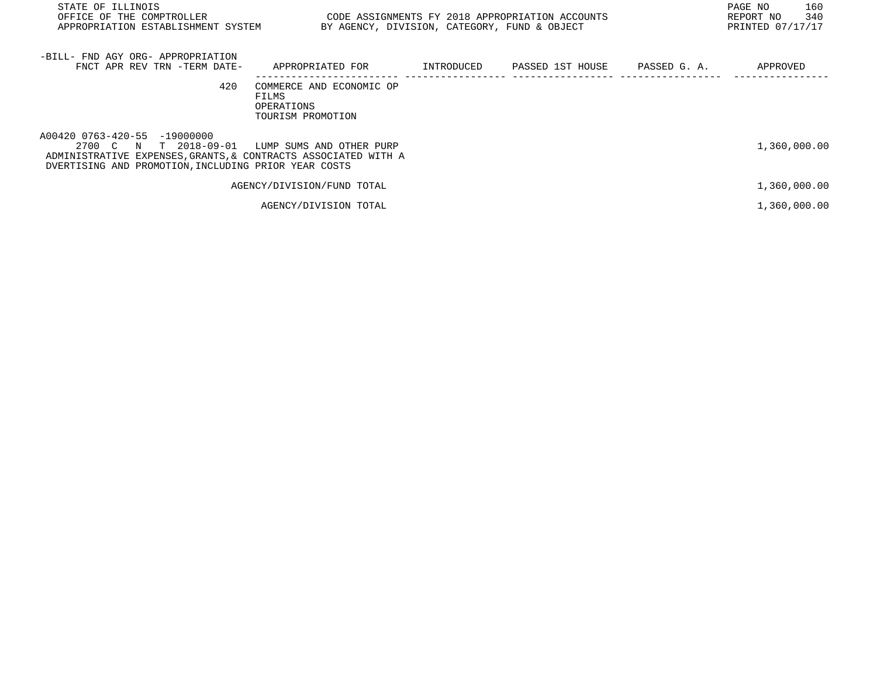| STATE OF ILLINOIS<br>OFFICE OF THE COMPTROLLER<br>APPROPRIATION ESTABLISHMENT SYSTEM BY AGENCY, DIVISION, CATEGORY, FUND & OBJECT                                                                        | CODE ASSIGNMENTS FY 2018 APPROPRIATION ACCOUNTS                             |  | 160<br>PAGE NO<br>340<br>REPORT NO<br>PRINTED 07/17/17 |
|----------------------------------------------------------------------------------------------------------------------------------------------------------------------------------------------------------|-----------------------------------------------------------------------------|--|--------------------------------------------------------|
| -BILL- FND AGY ORG- APPROPRIATION<br>FNCT APR REV TRN -TERM DATE-                                                                                                                                        | APPROPRIATED FOR         INTRODUCED      PASSED 1ST HOUSE      PASSED G. A. |  | APPROVED                                               |
| 420                                                                                                                                                                                                      | COMMERCE AND ECONOMIC OP<br>FILMS<br>OPERATIONS<br>TOURISM PROMOTION        |  |                                                        |
| A00420 0763-420-55 -19000000<br>2700 C N T 2018-09-01 LUMP SUMS AND OTHER PURP<br>ADMINISTRATIVE EXPENSES, GRANTS, & CONTRACTS ASSOCIATED WITH A<br>DVERTISING AND PROMOTION, INCLUDING PRIOR YEAR COSTS |                                                                             |  | 1,360,000.00                                           |
|                                                                                                                                                                                                          | AGENCY/DIVISION/FUND TOTAL                                                  |  | 1,360,000.00                                           |
|                                                                                                                                                                                                          | AGENCY/DIVISION TOTAL                                                       |  | 1,360,000.00                                           |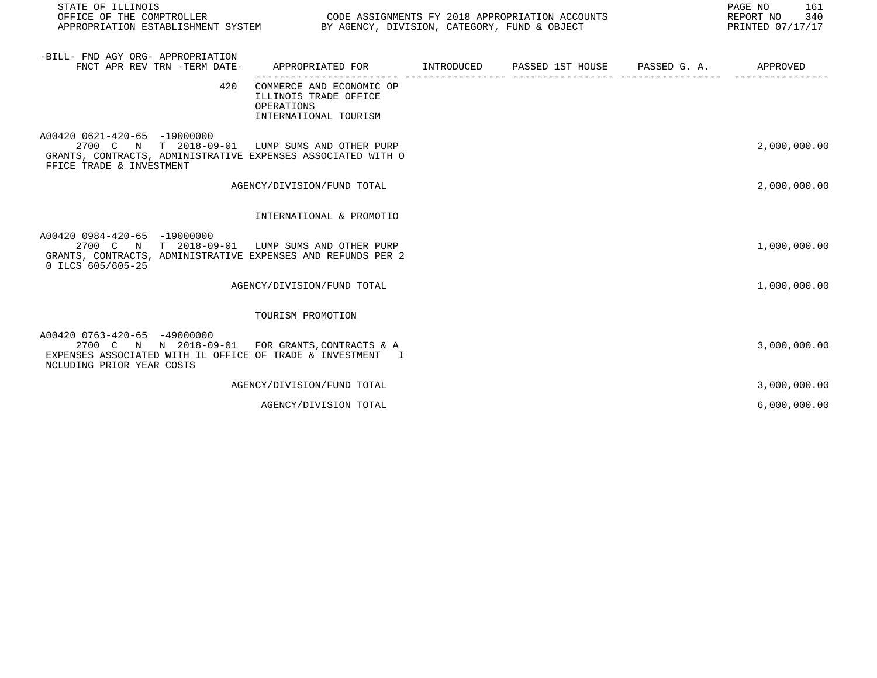| STATE OF ILLINOIS                                                                                                                                                          |                                                                                                                                 |  | PAGE NO<br>161<br>340<br>REPORT NO<br>PRINTED 07/17/17 |
|----------------------------------------------------------------------------------------------------------------------------------------------------------------------------|---------------------------------------------------------------------------------------------------------------------------------|--|--------------------------------------------------------|
| -BILL- FND AGY ORG- APPROPRIATION<br>FNCT APR REV TRN -TERM DATE-                                                                                                          | APPROPRIATED FOR         INTRODUCED      PASSED 1ST HOUSE     PASSED G. A.         APPROVED                                     |  |                                                        |
| 420                                                                                                                                                                        | ---------------- ------------------<br>COMMERCE AND ECONOMIC OP<br>ILLINOIS TRADE OFFICE<br>OPERATIONS<br>INTERNATIONAL TOURISM |  |                                                        |
| A00420 0621-420-65 -19000000<br>2700 C N T 2018-09-01 LUMP SUMS AND OTHER PURP<br>GRANTS, CONTRACTS, ADMINISTRATIVE EXPENSES ASSOCIATED WITH O<br>FFICE TRADE & INVESTMENT |                                                                                                                                 |  | 2,000,000.00                                           |
|                                                                                                                                                                            | AGENCY/DIVISION/FUND TOTAL                                                                                                      |  | 2,000,000.00                                           |
|                                                                                                                                                                            | INTERNATIONAL & PROMOTIO                                                                                                        |  |                                                        |
| A00420 0984-420-65 -19000000<br>2700 C N T 2018-09-01 LUMP SUMS AND OTHER PURP<br>GRANTS, CONTRACTS, ADMINISTRATIVE EXPENSES AND REFUNDS PER 2<br>0 ILCS 605/605-25        |                                                                                                                                 |  | 1,000,000.00                                           |
|                                                                                                                                                                            | AGENCY/DIVISION/FUND TOTAL                                                                                                      |  | 1,000,000.00                                           |
|                                                                                                                                                                            | TOURISM PROMOTION                                                                                                               |  |                                                        |
| A00420 0763-420-65 -49000000<br>2700 C N N 2018-09-01 FOR GRANTS, CONTRACTS & A<br>EXPENSES ASSOCIATED WITH IL OFFICE OF TRADE & INVESTMENT I<br>NCLUDING PRIOR YEAR COSTS |                                                                                                                                 |  | 3,000,000.00                                           |
|                                                                                                                                                                            | AGENCY/DIVISION/FUND TOTAL                                                                                                      |  | 3,000,000.00                                           |
|                                                                                                                                                                            | AGENCY/DIVISION TOTAL                                                                                                           |  | 6,000,000.00                                           |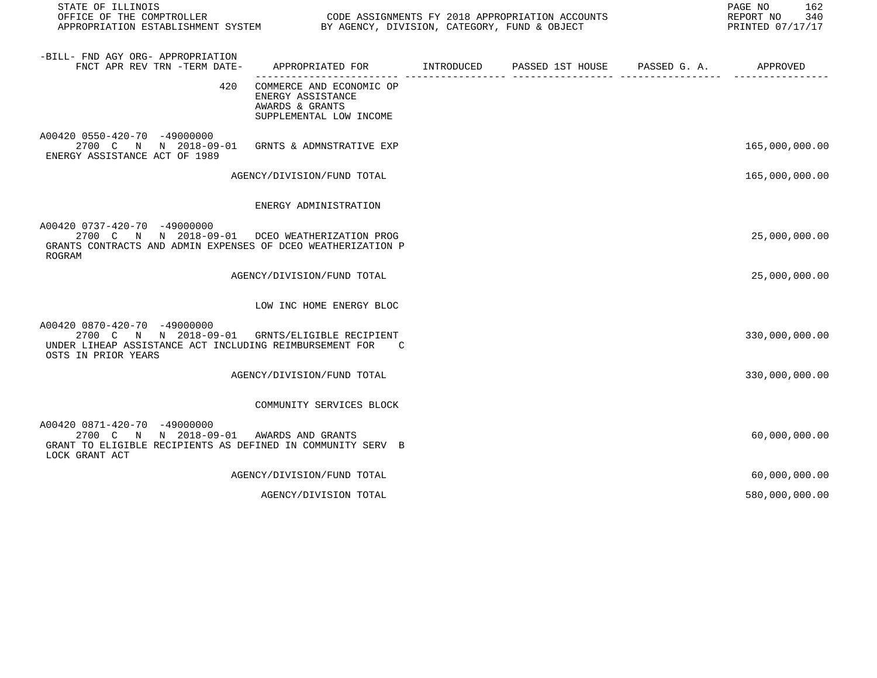| STATE OF ILLINOIS                                                                                                                                                  |                                                                                             |  | PAGE NO<br>162<br>REPORT NO<br>340<br>PRINTED 07/17/17 |
|--------------------------------------------------------------------------------------------------------------------------------------------------------------------|---------------------------------------------------------------------------------------------|--|--------------------------------------------------------|
| -BILL- FND AGY ORG- APPROPRIATION<br>FNCT APR REV TRN -TERM DATE-                                                                                                  | APPROPRIATED FOR TINTRODUCED PASSED 1ST HOUSE PASSED G.A. APPROVED                          |  |                                                        |
| 420                                                                                                                                                                | COMMERCE AND ECONOMIC OP<br>ENERGY ASSISTANCE<br>AWARDS & GRANTS<br>SUPPLEMENTAL LOW INCOME |  |                                                        |
| A00420 0550-420-70 -49000000<br>2700 C N N 2018-09-01 GRNTS & ADMNSTRATIVE EXP<br>ENERGY ASSISTANCE ACT OF 1989                                                    |                                                                                             |  | 165,000,000.00                                         |
|                                                                                                                                                                    | AGENCY/DIVISION/FUND TOTAL                                                                  |  | 165,000,000.00                                         |
|                                                                                                                                                                    | ENERGY ADMINISTRATION                                                                       |  |                                                        |
| A00420 0737-420-70 -49000000<br>2700 C N N 2018-09-01 DCEO WEATHERIZATION PROG<br>GRANTS CONTRACTS AND ADMIN EXPENSES OF DCEO WEATHERIZATION P<br>ROGRAM           |                                                                                             |  | 25,000,000.00                                          |
|                                                                                                                                                                    | AGENCY/DIVISION/FUND TOTAL                                                                  |  | 25,000,000.00                                          |
|                                                                                                                                                                    | LOW INC HOME ENERGY BLOC                                                                    |  |                                                        |
| A00420 0870-420-70 -49000000<br>2700 C N N 2018-09-01 GRNTS/ELIGIBLE RECIPIENT<br>UNDER LIHEAP ASSISTANCE ACT INCLUDING REIMBURSEMENT FOR C<br>OSTS IN PRIOR YEARS |                                                                                             |  | 330,000,000.00                                         |
|                                                                                                                                                                    | AGENCY/DIVISION/FUND TOTAL                                                                  |  | 330,000,000.00                                         |
|                                                                                                                                                                    | COMMUNITY SERVICES BLOCK                                                                    |  |                                                        |
| A00420 0871-420-70 -49000000<br>2700 C N N 2018-09-01 AWARDS AND GRANTS<br>GRANT TO ELIGIBLE RECIPIENTS AS DEFINED IN COMMUNITY SERV B<br>LOCK GRANT ACT           |                                                                                             |  | 60,000,000.00                                          |
|                                                                                                                                                                    | AGENCY/DIVISION/FUND TOTAL                                                                  |  | 60,000,000.00                                          |
|                                                                                                                                                                    | AGENCY/DIVISION TOTAL                                                                       |  | 580,000,000.00                                         |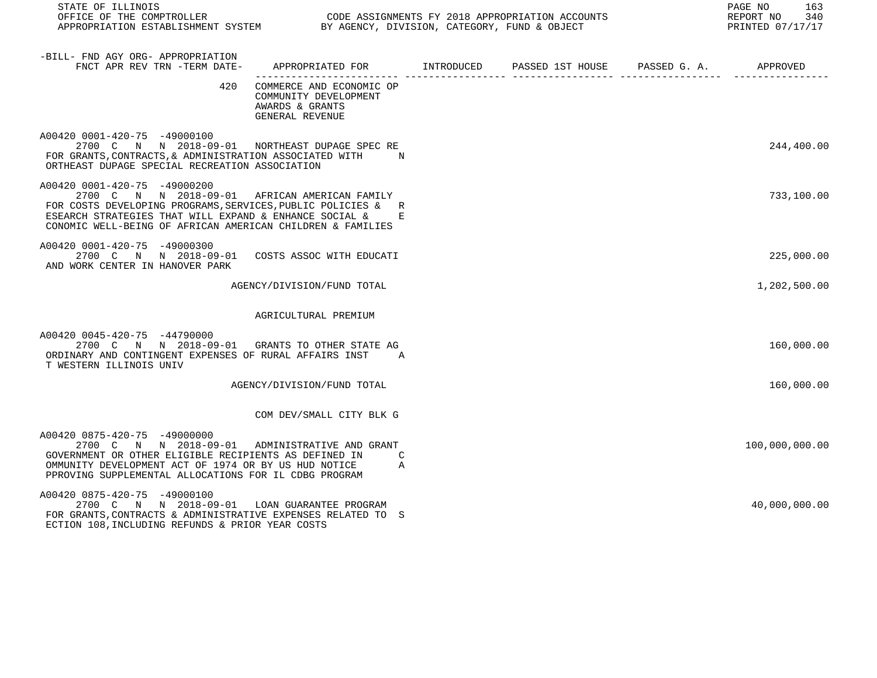| STATE OF ILLINOIS<br>OFFICE OF THE COMPTROLLER<br>APPROPRIATION ESTABLISHMENT SYSTEM BY AGENCY, DIVISION, CATEGORY, FUND & OBJECT                                                                                                                                       |                                                                                             | CODE ASSIGNMENTS FY 2018 APPROPRIATION ACCOUNTS | 163<br>PAGE NO<br>REPORT NO 340<br>PRINTED 07/17/17 |
|-------------------------------------------------------------------------------------------------------------------------------------------------------------------------------------------------------------------------------------------------------------------------|---------------------------------------------------------------------------------------------|-------------------------------------------------|-----------------------------------------------------|
| -BILL- FND AGY ORG- APPROPRIATION<br>FNCT APR REV TRN -TERM DATE-                                                                                                                                                                                                       | APPROPRIATED FOR       INTRODUCED       PASSED 1ST HOUSE      PASSED G. A.        APPROVED  |                                                 |                                                     |
|                                                                                                                                                                                                                                                                         | 420 COMMERCE AND ECONOMIC OP<br>COMMUNITY DEVELOPMENT<br>AWARDS & GRANTS<br>GENERAL REVENUE |                                                 |                                                     |
| A00420 0001-420-75 -49000100<br>2700 C N N 2018-09-01 NORTHEAST DUPAGE SPECRE<br>FOR GRANTS, CONTRACTS, & ADMINISTRATION ASSOCIATED WITH N<br>ORTHEAST DUPAGE SPECIAL RECREATION ASSOCIATION                                                                            |                                                                                             |                                                 | 244,400.00                                          |
| A00420 0001-420-75 -49000200<br>2700 C N N 2018-09-01 AFRICAN AMERICAN FAMILY<br>FOR COSTS DEVELOPING PROGRAMS, SERVICES, PUBLIC POLICIES & R<br>ESEARCH STRATEGIES THAT WILL EXPAND & ENHANCE SOCIAL & E<br>CONOMIC WELL-BEING OF AFRICAN AMERICAN CHILDREN & FAMILIES |                                                                                             |                                                 | 733,100.00                                          |
| A00420 0001-420-75 -49000300<br>2700 C N N 2018-09-01 COSTS ASSOC WITH EDUCATI<br>AND WORK CENTER IN HANOVER PARK                                                                                                                                                       |                                                                                             |                                                 | 225,000.00                                          |
|                                                                                                                                                                                                                                                                         | AGENCY/DIVISION/FUND TOTAL                                                                  |                                                 | 1,202,500.00                                        |
|                                                                                                                                                                                                                                                                         | AGRICULTURAL PREMIUM                                                                        |                                                 |                                                     |
| A00420 0045-420-75 -44790000<br>2700 C N N 2018-09-01 GRANTS TO OTHER STATE AG<br>ORDINARY AND CONTINGENT EXPENSES OF RURAL AFFAIRS INST A<br>T WESTERN ILLINOIS UNIV                                                                                                   |                                                                                             |                                                 | 160,000.00                                          |
|                                                                                                                                                                                                                                                                         | AGENCY/DIVISION/FUND TOTAL                                                                  |                                                 | 160,000.00                                          |
|                                                                                                                                                                                                                                                                         | COM DEV/SMALL CITY BLK G                                                                    |                                                 |                                                     |
| A00420 0875-420-75 -49000000<br>2700 C N N 2018-09-01 ADMINISTRATIVE AND GRANT<br>GOVERNMENT OR OTHER ELIGIBLE RECIPIENTS AS DEFINED IN<br>OMMUNITY DEVELOPMENT ACT OF 1974 OR BY US HUD NOTICE<br>PPROVING SUPPLEMENTAL ALLOCATIONS FOR IL CDBG PROGRAM                | $\mathcal{C}$<br>A                                                                          |                                                 | 100,000,000.00                                      |
| A00420 0875-420-75 -49000100<br>2700 C N N 2018-09-01 LOAN GUARANTEE PROGRAM<br>FOR GRANTS, CONTRACTS & ADMINISTRATIVE EXPENSES RELATED TO S                                                                                                                            |                                                                                             |                                                 | 40,000,000.00                                       |

ECTION 108,INCLUDING REFUNDS & PRIOR YEAR COSTS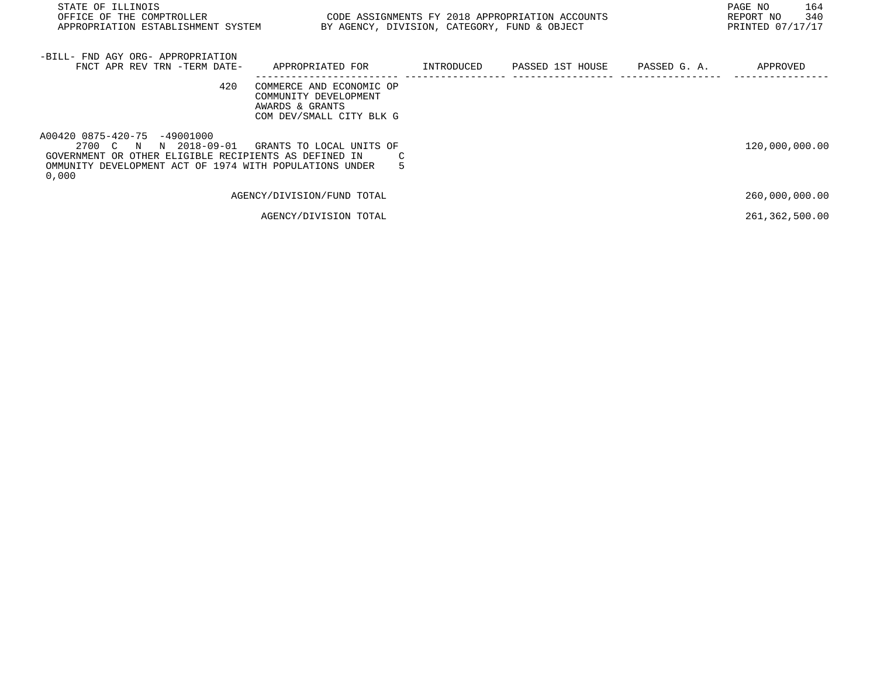| STATE OF ILLINOIS<br>OFFICE OF THE COMPTROLLER<br>APPROPRIATION ESTABLISHMENT SYSTEM                                                                                               | CODE ASSIGNMENTS FY 2018 APPROPRIATION ACCOUNTS                                                  | BY AGENCY, DIVISION, CATEGORY, FUND & OBJECT | PAGE NO<br>164<br>340<br>REPORT NO<br>PRINTED 07/17/17 |
|------------------------------------------------------------------------------------------------------------------------------------------------------------------------------------|--------------------------------------------------------------------------------------------------|----------------------------------------------|--------------------------------------------------------|
| -BILL- FND AGY ORG- APPROPRIATION<br>FNCT APR REV TRN -TERM DATE-                                                                                                                  | APPROPRIATED FOR      INTRODUCED   PASSED 1ST HOUSE    PASSED G.A.                               |                                              | APPROVED                                               |
| 420                                                                                                                                                                                | COMMERCE AND ECONOMIC OP<br>COMMUNITY DEVELOPMENT<br>AWARDS & GRANTS<br>COM DEV/SMALL CITY BLK G |                                              |                                                        |
| A00420 0875-420-75 -49001000<br>2700 C N N 2018-09-01<br>GOVERNMENT OR OTHER ELIGIBLE RECIPIENTS AS DEFINED IN<br>OMMUNITY DEVELOPMENT ACT OF 1974 WITH POPULATIONS UNDER<br>0,000 | GRANTS TO LOCAL UNITS OF                                                                         |                                              | 120,000,000.00                                         |
|                                                                                                                                                                                    | AGENCY/DIVISION/FUND TOTAL                                                                       |                                              | 260,000,000.00                                         |
|                                                                                                                                                                                    | AGENCY/DIVISION TOTAL                                                                            |                                              | 261, 362, 500.00                                       |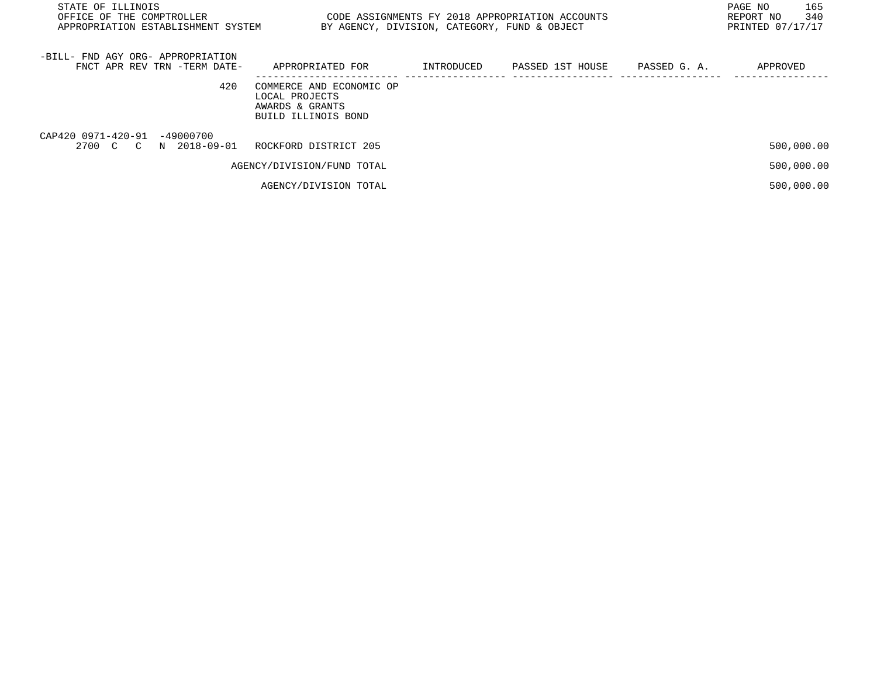| STATE OF ILLINOIS<br>CODE ASSIGNMENTS FY 2018 APPROPRIATION ACCOUNTS<br>OFFICE OF THE COMPTROLLER<br>APPROPRIATION ESTABLISHMENT SYSTEM<br>BY AGENCY, DIVISION, CATEGORY, FUND & OBJECT |                                                                                      |            |                  |              | 165<br>PAGE NO<br>340<br>REPORT NO<br>PRINTED 07/17/17 |
|-----------------------------------------------------------------------------------------------------------------------------------------------------------------------------------------|--------------------------------------------------------------------------------------|------------|------------------|--------------|--------------------------------------------------------|
| -BILL- FND AGY ORG- APPROPRIATION<br>FNCT APR REV TRN -TERM DATE-                                                                                                                       | APPROPRIATED FOR                                                                     | INTRODUCED | PASSED 1ST HOUSE | PASSED G. A. | APPROVED                                               |
| 420                                                                                                                                                                                     | COMMERCE AND ECONOMIC OP<br>LOCAL PROJECTS<br>AWARDS & GRANTS<br>BUILD ILLINOIS BOND |            |                  |              |                                                        |
| CAP420 0971-420-91 -49000700<br>2700 C C N 2018-09-01                                                                                                                                   | ROCKFORD DISTRICT 205                                                                |            |                  |              | 500,000.00                                             |
|                                                                                                                                                                                         | AGENCY/DIVISION/FUND TOTAL                                                           |            |                  |              | 500,000.00                                             |
|                                                                                                                                                                                         | AGENCY/DIVISION TOTAL                                                                |            |                  |              | 500,000.00                                             |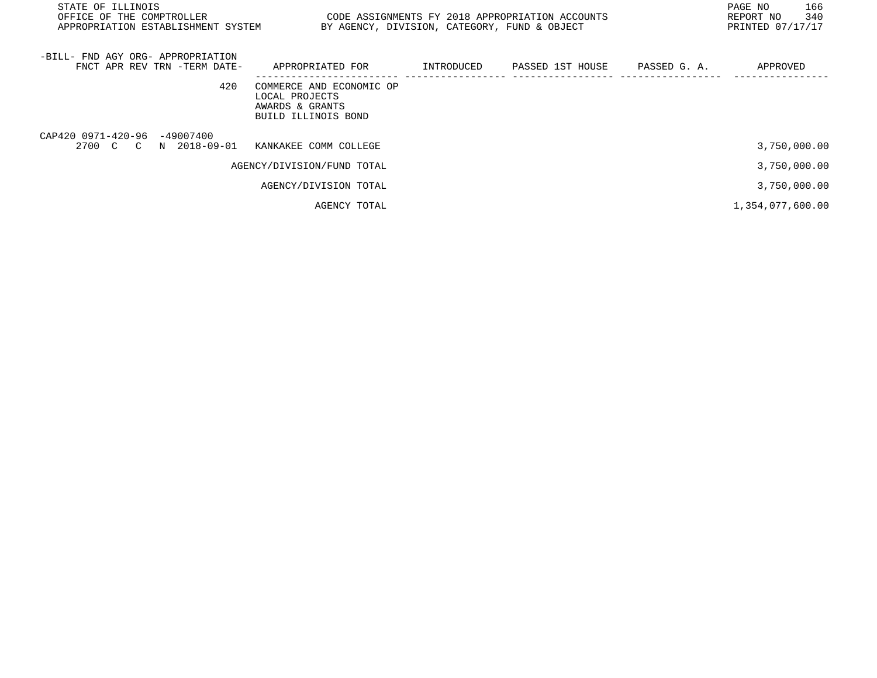| STATE OF ILLINOIS<br>OFFICE OF THE COMPTROLLER<br>APPROPRIATION ESTABLISHMENT SYSTEM | CODE ASSIGNMENTS FY 2018 APPROPRIATION ACCOUNTS                                      | BY AGENCY, DIVISION, CATEGORY, FUND & OBJECT |                               | PAGE NO<br>166<br>340<br>REPORT NO<br>PRINTED 07/17/17 |
|--------------------------------------------------------------------------------------|--------------------------------------------------------------------------------------|----------------------------------------------|-------------------------------|--------------------------------------------------------|
| -BILL- FND AGY ORG- APPROPRIATION<br>FNCT APR REV TRN -TERM DATE-                    | APPROPRIATED FOR                                                                     | INTRODUCED                                   | PASSED 1ST HOUSE PASSED G. A. | APPROVED                                               |
| 420                                                                                  | COMMERCE AND ECONOMIC OP<br>LOCAL PROJECTS<br>AWARDS & GRANTS<br>BUILD ILLINOIS BOND |                                              |                               |                                                        |
| CAP420 0971-420-96 -49007400<br>2700 C C N 2018-09-01                                | KANKAKEE COMM COLLEGE                                                                |                                              |                               | 3,750,000.00                                           |
|                                                                                      | AGENCY/DIVISION/FUND TOTAL                                                           |                                              |                               | 3,750,000.00                                           |
|                                                                                      | AGENCY/DIVISION TOTAL                                                                |                                              |                               | 3,750,000.00                                           |
|                                                                                      | AGENCY TOTAL                                                                         |                                              |                               | 1,354,077,600.00                                       |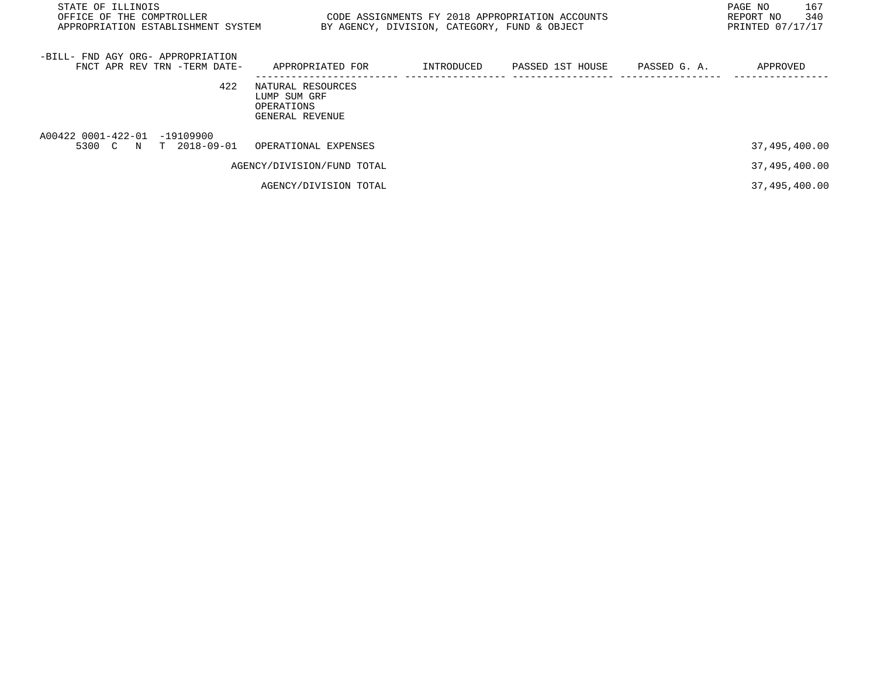| STATE OF ILLINOIS<br>OFFICE OF THE COMPTROLLER<br>APPROPRIATION ESTABLISHMENT SYSTEM | CODE ASSIGNMENTS FY 2018 APPROPRIATION ACCOUNTS<br>BY AGENCY, DIVISION, CATEGORY, FUND & OBJECT |            |                  |              |               |
|--------------------------------------------------------------------------------------|-------------------------------------------------------------------------------------------------|------------|------------------|--------------|---------------|
| -BILL- FND AGY ORG- APPROPRIATION<br>FNCT APR REV TRN -TERM DATE-                    | APPROPRIATED FOR                                                                                | INTRODUCED | PASSED 1ST HOUSE | PASSED G. A. | APPROVED      |
| 422                                                                                  | NATURAL RESOURCES<br>LUMP SUM GRF<br>OPERATIONS<br>GENERAL REVENUE                              |            |                  |              |               |
| A00422 0001-422-01 -19109900<br>5300 C N T 2018-09-01 OPERATIONAL EXPENSES           |                                                                                                 |            |                  |              | 37,495,400.00 |
|                                                                                      | AGENCY/DIVISION/FUND TOTAL                                                                      |            |                  |              | 37,495,400.00 |
|                                                                                      | AGENCY/DIVISION TOTAL                                                                           |            |                  |              | 37,495,400.00 |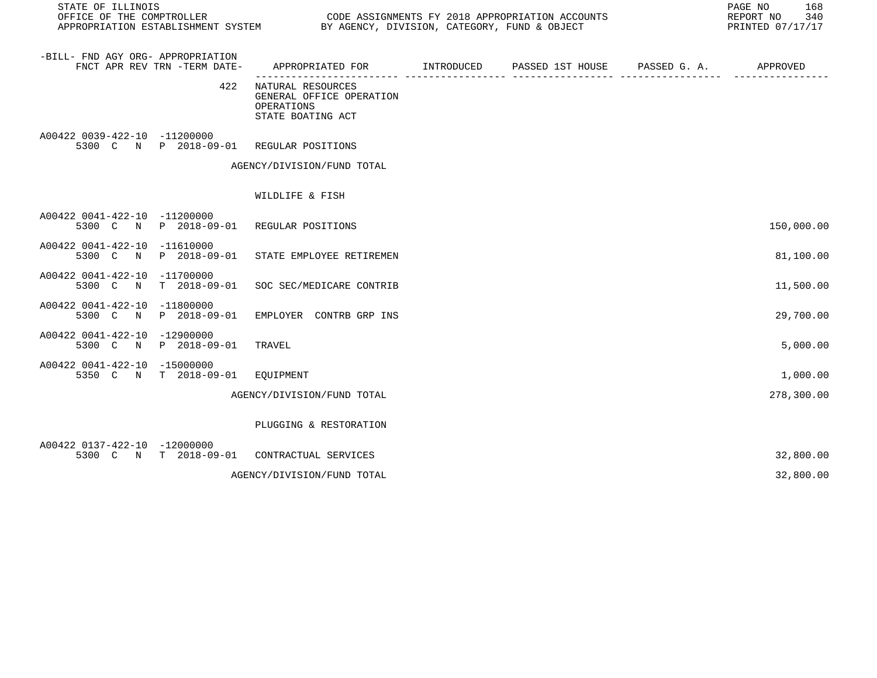| STATE OF ILLINOIS<br>OFFICE OF THE COMPTROLLER<br>APPROPRIATION ESTABLISHMENT SYSTEM |                              | CODE ASSIGNMENTS FY 2018 APPROPRIATION ACCOUNTS<br>BY AGENCY, DIVISION, CATEGORY, FUND & OBJECT | PAGE NO<br>168<br>REPORT NO<br>340<br>PRINTED 07/17/17 |                               |  |            |
|--------------------------------------------------------------------------------------|------------------------------|-------------------------------------------------------------------------------------------------|--------------------------------------------------------|-------------------------------|--|------------|
| -BILL- FND AGY ORG- APPROPRIATION                                                    | FNCT APR REV TRN -TERM DATE- | APPROPRIATED FOR                                                                                | INTRODUCED                                             | PASSED 1ST HOUSE PASSED G. A. |  | APPROVED   |
|                                                                                      | 422                          | NATURAL RESOURCES<br>GENERAL OFFICE OPERATION<br>OPERATIONS<br>STATE BOATING ACT                |                                                        |                               |  |            |
| A00422 0039-422-10 -11200000                                                         | 5300 C N P 2018-09-01        | REGULAR POSITIONS                                                                               |                                                        |                               |  |            |
|                                                                                      |                              | AGENCY/DIVISION/FUND TOTAL                                                                      |                                                        |                               |  |            |
|                                                                                      |                              | WILDLIFE & FISH                                                                                 |                                                        |                               |  |            |
| A00422 0041-422-10 -11200000                                                         | 5300 C N P 2018-09-01        | REGULAR POSITIONS                                                                               |                                                        |                               |  | 150,000.00 |
| A00422 0041-422-10 -11610000                                                         | 5300 C N P 2018-09-01        | STATE EMPLOYEE RETIREMEN                                                                        |                                                        |                               |  | 81,100.00  |
| A00422 0041-422-10 -11700000<br>5300 C<br>$\mathbb N$                                | $T = 2018 - 09 - 01$         | SOC SEC/MEDICARE CONTRIB                                                                        |                                                        |                               |  | 11,500.00  |
| A00422 0041-422-10 -11800000<br>5300 C<br>N                                          | P 2018-09-01                 | EMPLOYER CONTRB GRP INS                                                                         |                                                        |                               |  | 29,700.00  |
| A00422 0041-422-10 -12900000                                                         | 5300 C N P 2018-09-01        | TRAVEL                                                                                          |                                                        |                               |  | 5,000.00   |
| A00422 0041-422-10 -15000000<br>5350 C N                                             | T 2018-09-01                 | EQUIPMENT                                                                                       |                                                        |                               |  | 1,000.00   |
|                                                                                      |                              | AGENCY/DIVISION/FUND TOTAL                                                                      |                                                        |                               |  | 278,300.00 |
|                                                                                      |                              | PLUGGING & RESTORATION                                                                          |                                                        |                               |  |            |
| A00422 0137-422-10 -12000000                                                         | 5300 C N T 2018-09-01        | CONTRACTUAL SERVICES                                                                            |                                                        |                               |  | 32,800.00  |
|                                                                                      |                              | AGENCY/DIVISION/FUND TOTAL                                                                      |                                                        |                               |  | 32,800.00  |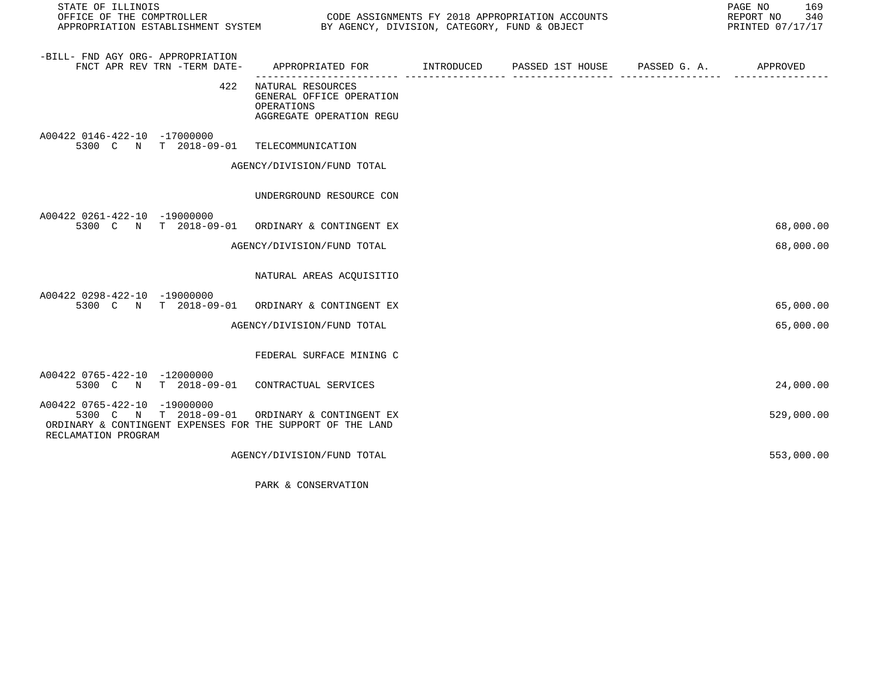| STATE OF ILLINOIS<br>OFFICE OF THE COMPTROLLER<br>APPROPRIATION ESTABLISHMENT SYSTEM BY AGENCY, DIVISION, CATEGORY, FUND & OBJECT             |                                                                                         | CODE ASSIGNMENTS FY 2018 APPROPRIATION ACCOUNTS | PAGE NO<br>169<br>REPORT NO 340<br>PRINTED 07/17/17 |
|-----------------------------------------------------------------------------------------------------------------------------------------------|-----------------------------------------------------------------------------------------|-------------------------------------------------|-----------------------------------------------------|
| -BILL- FND AGY ORG- APPROPRIATION<br>FNCT APR REV TRN -TERM DATE-                                                                             | APPROPRIATED FOR TINTRODUCED PASSED 1ST HOUSE PASSED G. A. THEROVED                     |                                                 |                                                     |
| 422                                                                                                                                           | NATURAL RESOURCES<br>GENERAL OFFICE OPERATION<br>OPERATIONS<br>AGGREGATE OPERATION REGU |                                                 |                                                     |
| A00422 0146-422-10 -17000000<br>5300 C N T 2018-09-01 TELECOMMUNICATION                                                                       |                                                                                         |                                                 |                                                     |
|                                                                                                                                               | AGENCY/DIVISION/FUND TOTAL                                                              |                                                 |                                                     |
|                                                                                                                                               | UNDERGROUND RESOURCE CON                                                                |                                                 |                                                     |
| A00422 0261-422-10 -19000000<br>5300 C N T 2018-09-01 ORDINARY & CONTINGENT EX                                                                |                                                                                         |                                                 | 68,000.00                                           |
|                                                                                                                                               | AGENCY/DIVISION/FUND TOTAL                                                              |                                                 | 68,000.00                                           |
|                                                                                                                                               | NATURAL AREAS ACQUISITIO                                                                |                                                 |                                                     |
| A00422 0298-422-10 -19000000<br>5300 C N T 2018-09-01 ORDINARY & CONTINGENT EX                                                                |                                                                                         |                                                 | 65,000.00                                           |
|                                                                                                                                               | AGENCY/DIVISION/FUND TOTAL                                                              |                                                 | 65,000.00                                           |
|                                                                                                                                               | FEDERAL SURFACE MINING C                                                                |                                                 |                                                     |
| A00422 0765-422-10 -12000000<br>5300 C N T 2018-09-01 CONTRACTUAL SERVICES                                                                    |                                                                                         |                                                 | 24,000.00                                           |
| A00422 0765-422-10 -19000000<br>N T 2018-09-01<br>5300 C<br>ORDINARY & CONTINGENT EXPENSES FOR THE SUPPORT OF THE LAND<br>RECLAMATION PROGRAM | ORDINARY & CONTINGENT EX                                                                |                                                 | 529,000.00                                          |
|                                                                                                                                               | AGENCY/DIVISION/FUND TOTAL                                                              |                                                 | 553,000.00                                          |

PARK & CONSERVATION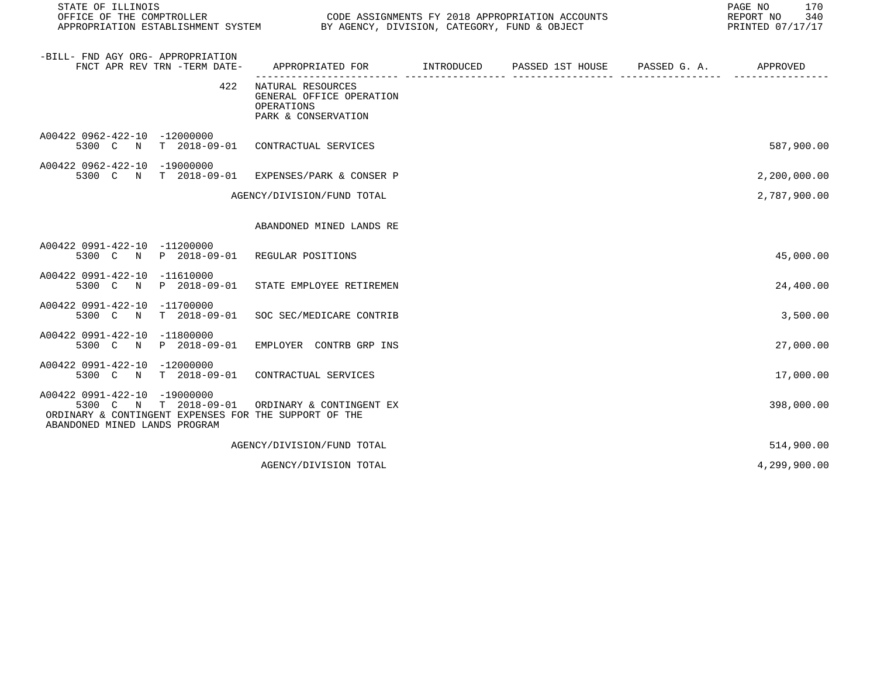| STATE OF ILLINOIS                                                                                                                                               | PAGE NO<br>REPORT NO<br>PRINTED 07/17/17                                           |            |                  |              |              |
|-----------------------------------------------------------------------------------------------------------------------------------------------------------------|------------------------------------------------------------------------------------|------------|------------------|--------------|--------------|
| -BILL- FND AGY ORG- APPROPRIATION<br>FNCT APR REV TRN -TERM DATE-                                                                                               | APPROPRIATED FOR                                                                   | INTRODUCED | PASSED 1ST HOUSE | PASSED G. A. | APPROVED     |
| 422                                                                                                                                                             | NATURAL RESOURCES<br>GENERAL OFFICE OPERATION<br>OPERATIONS<br>PARK & CONSERVATION |            |                  |              |              |
| A00422 0962-422-10 -12000000<br>5300 C N                                                                                                                        | T 2018-09-01 CONTRACTUAL SERVICES                                                  |            |                  |              | 587,900.00   |
| A00422 0962-422-10 -19000000<br>5300 C N T 2018-09-01 EXPENSES/PARK & CONSER P                                                                                  |                                                                                    |            |                  |              | 2,200,000.00 |
|                                                                                                                                                                 | AGENCY/DIVISION/FUND TOTAL                                                         |            |                  |              | 2,787,900.00 |
|                                                                                                                                                                 | ABANDONED MINED LANDS RE                                                           |            |                  |              |              |
| A00422 0991-422-10 -11200000<br>5300 C N<br>P 2018-09-01                                                                                                        | REGULAR POSITIONS                                                                  |            |                  |              | 45,000.00    |
| A00422 0991-422-10 -11610000<br>5300 C N<br>P 2018-09-01                                                                                                        | STATE EMPLOYEE RETIREMEN                                                           |            |                  |              | 24,400.00    |
| A00422 0991-422-10 -11700000<br>5300 C N<br>$T$ 2018-09-01                                                                                                      | SOC SEC/MEDICARE CONTRIB                                                           |            |                  |              | 3,500.00     |
| A00422 0991-422-10 -11800000<br>5300 C N<br>P 2018-09-01                                                                                                        | EMPLOYER CONTRB GRP INS                                                            |            |                  |              | 27,000.00    |
| A00422 0991-422-10 -12000000<br>5300 C N                                                                                                                        | T 2018-09-01 CONTRACTUAL SERVICES                                                  |            |                  |              | 17,000.00    |
| A00422 0991-422-10 -19000000<br>T 2018-09-01<br>5300 C<br>$\mathbb N$<br>ORDINARY & CONTINGENT EXPENSES FOR THE SUPPORT OF THE<br>ABANDONED MINED LANDS PROGRAM | ORDINARY & CONTINGENT EX                                                           |            |                  |              | 398,000.00   |
|                                                                                                                                                                 | AGENCY/DIVISION/FUND TOTAL                                                         |            |                  |              | 514,900.00   |
|                                                                                                                                                                 | AGENCY/DIVISION TOTAL                                                              |            |                  |              | 4,299,900.00 |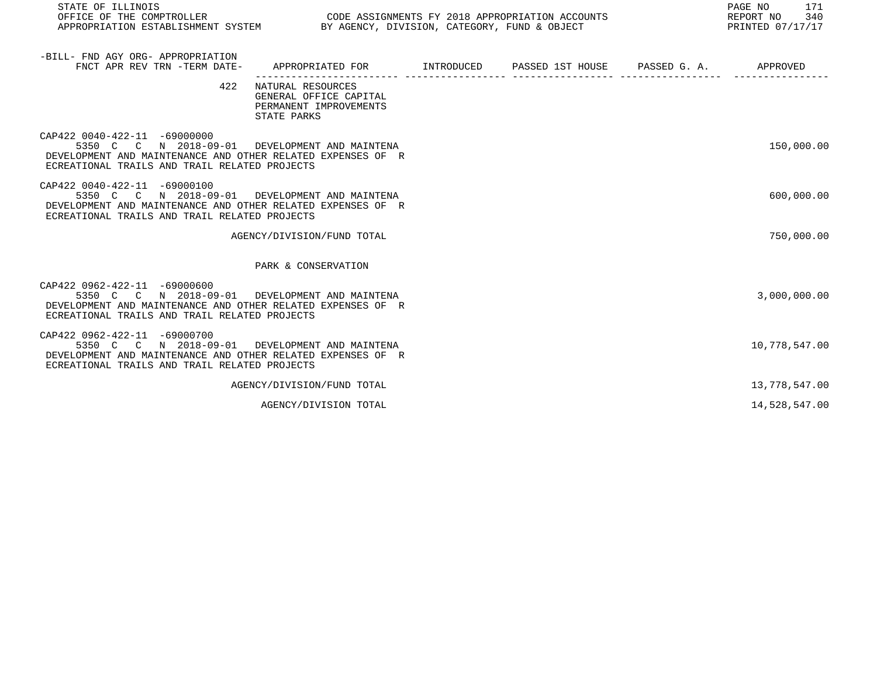| STATE OF ILLINOIS<br>OFFICE OF THE COMPTROLLER CONDUCTER CODE ASSIGNMENTS FY 2018 APPROPRIATION ACCOUNTS<br>APPROPRIATION ESTABLISHMENT SYSTEM BY AGENCY, DIVISION, CATEGORY, FUND & OBJECT    |                                                                                            |  | 171<br>PAGE NO<br>340<br>REPORT NO<br>PRINTED 07/17/17 |
|------------------------------------------------------------------------------------------------------------------------------------------------------------------------------------------------|--------------------------------------------------------------------------------------------|--|--------------------------------------------------------|
| -BILL- FND AGY ORG- APPROPRIATION<br>FNCT APR REV TRN -TERM DATE-                                                                                                                              | APPROPRIATED FOR        INTRODUCED      PASSED 1ST HOUSE     PASSED G. A.         APPROVED |  |                                                        |
| 422                                                                                                                                                                                            | NATURAL RESOURCES<br>GENERAL OFFICE CAPITAL<br>PERMANENT IMPROVEMENTS<br>STATE PARKS       |  |                                                        |
| CAP422 0040-422-11 -69000000<br>5350 C C N 2018-09-01 DEVELOPMENT AND MAINTENA<br>DEVELOPMENT AND MAINTENANCE AND OTHER RELATED EXPENSES OF R<br>ECREATIONAL TRAILS AND TRAIL RELATED PROJECTS |                                                                                            |  | 150,000.00                                             |
| CAP422 0040-422-11 -69000100<br>5350 C C N 2018-09-01 DEVELOPMENT AND MAINTENA<br>DEVELOPMENT AND MAINTENANCE AND OTHER RELATED EXPENSES OF R<br>ECREATIONAL TRAILS AND TRAIL RELATED PROJECTS |                                                                                            |  | 600,000.00                                             |
|                                                                                                                                                                                                | AGENCY/DIVISION/FUND TOTAL                                                                 |  | 750,000.00                                             |
|                                                                                                                                                                                                | PARK & CONSERVATION                                                                        |  |                                                        |
| CAP422 0962-422-11 -69000600<br>5350 C C N 2018-09-01 DEVELOPMENT AND MAINTENA<br>DEVELOPMENT AND MAINTENANCE AND OTHER RELATED EXPENSES OF R<br>ECREATIONAL TRAILS AND TRAIL RELATED PROJECTS |                                                                                            |  | 3,000,000.00                                           |
| CAP422 0962-422-11 -69000700<br>5350 C C N 2018-09-01 DEVELOPMENT AND MAINTENA<br>DEVELOPMENT AND MAINTENANCE AND OTHER RELATED EXPENSES OF R<br>ECREATIONAL TRAILS AND TRAIL RELATED PROJECTS |                                                                                            |  | 10,778,547.00                                          |
|                                                                                                                                                                                                | AGENCY/DIVISION/FUND TOTAL                                                                 |  | 13,778,547.00                                          |
|                                                                                                                                                                                                | AGENCY/DIVISION TOTAL                                                                      |  | 14,528,547.00                                          |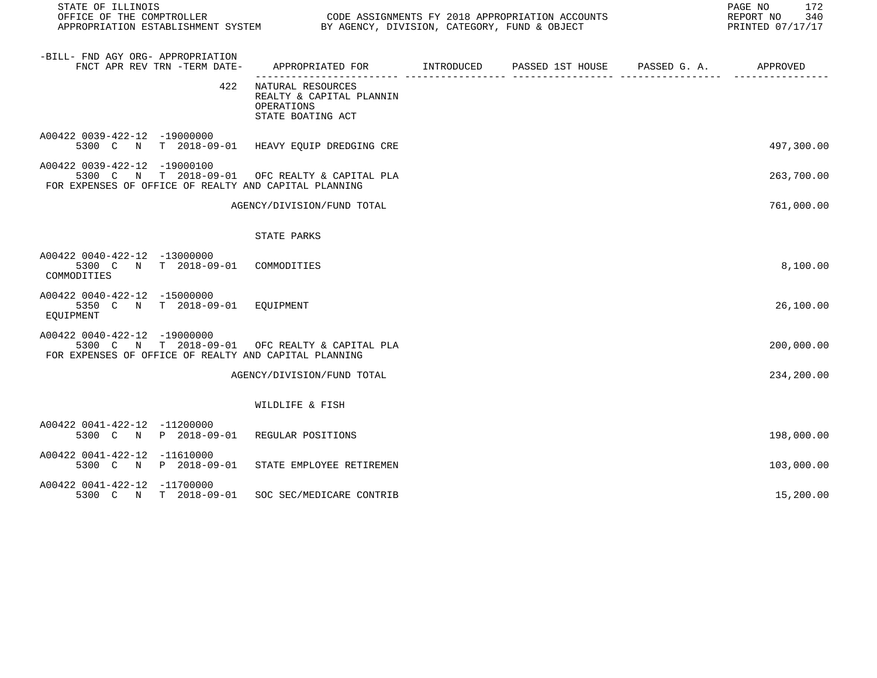| STATE OF ILLINOIS                                                                                                                       |                                                                                      |  | PAGE NO 172<br>REPORT NO 340<br>PRINTED 07/17/17 |
|-----------------------------------------------------------------------------------------------------------------------------------------|--------------------------------------------------------------------------------------|--|--------------------------------------------------|
| -BILL- FND AGY ORG- APPROPRIATION<br>FNCT APR REV TRN -TERM DATE-                                                                       |                                                                                      |  |                                                  |
|                                                                                                                                         | 422 NATURAL RESOURCES<br>REALTY & CAPITAL PLANNIN<br>OPERATIONS<br>STATE BOATING ACT |  |                                                  |
| A00422 0039-422-12 -19000000<br>5300 C N T 2018-09-01 HEAVY EQUIP DREDGING CRE                                                          |                                                                                      |  | 497,300.00                                       |
| A00422 0039-422-12 -19000100<br>5300 C N T 2018-09-01 OFC REALTY & CAPITAL PLA<br>FOR EXPENSES OF OFFICE OF REALTY AND CAPITAL PLANNING |                                                                                      |  | 263,700.00                                       |
|                                                                                                                                         | AGENCY/DIVISION/FUND TOTAL                                                           |  | 761,000.00                                       |
|                                                                                                                                         | STATE PARKS                                                                          |  |                                                  |
| A00422 0040-422-12 -13000000<br>5300 C N T 2018-09-01 COMMODITIES<br>COMMODITIES                                                        |                                                                                      |  | 8,100.00                                         |
| A00422 0040-422-12 -15000000<br>5350 C N T 2018-09-01 EQUIPMENT<br>EOUIPMENT                                                            |                                                                                      |  | 26,100.00                                        |
| A00422 0040-422-12 -19000000<br>5300 C N T 2018-09-01 OFC REALTY & CAPITAL PLA<br>FOR EXPENSES OF OFFICE OF REALTY AND CAPITAL PLANNING |                                                                                      |  | 200,000.00                                       |
|                                                                                                                                         | AGENCY/DIVISION/FUND TOTAL                                                           |  | 234,200.00                                       |
|                                                                                                                                         | WILDLIFE & FISH                                                                      |  |                                                  |
| A00422 0041-422-12 -11200000<br>5300 C N P 2018-09-01 REGULAR POSITIONS                                                                 |                                                                                      |  | 198,000.00                                       |
| A00422 0041-422-12 -11610000<br>5300 C N P 2018-09-01 STATE EMPLOYEE RETIREMEN                                                          |                                                                                      |  | 103,000.00                                       |
| A00422 0041-422-12 -11700000<br>5300 C N T 2018-09-01 SOC SEC/MEDICARE CONTRIB                                                          |                                                                                      |  | 15,200.00                                        |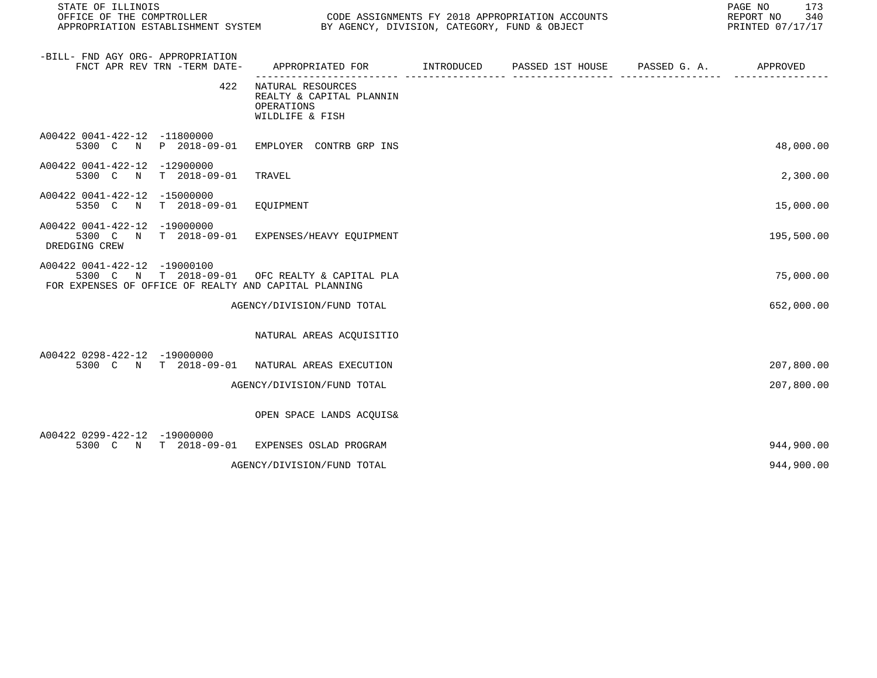| STATE OF ILLINOIS<br>OFFICE OF THE COMPTROLLER<br>CODE ASSIGNMENTS FY 2018 APPROPRIATION ACCOUNTS<br>APPROPRIATION ESTABLISHMENT SYSTEM BY AGENCY, DIVISION, CATEGORY, FUND & OBJECT |                                                                                |  |  | PAGE NO<br>173<br>REPORT NO<br>340<br>PRINTED 07/17/17 |            |
|--------------------------------------------------------------------------------------------------------------------------------------------------------------------------------------|--------------------------------------------------------------------------------|--|--|--------------------------------------------------------|------------|
| -BILL- FND AGY ORG- APPROPRIATION<br>FNCT APR REV TRN -TERM DATE-                                                                                                                    | APPROPRIATED FOR TINTRODUCED PASSED 1ST HOUSE PASSED G.A.                      |  |  |                                                        | APPROVED   |
| 422                                                                                                                                                                                  | NATURAL RESOURCES<br>REALTY & CAPITAL PLANNIN<br>OPERATIONS<br>WILDLIFE & FISH |  |  |                                                        |            |
| A00422 0041-422-12 -11800000<br>5300 C N P 2018-09-01 EMPLOYER CONTRB GRP INS                                                                                                        |                                                                                |  |  |                                                        | 48,000.00  |
| A00422 0041-422-12 -12900000<br>5300 C N T 2018-09-01                                                                                                                                | TRAVEL                                                                         |  |  |                                                        | 2,300.00   |
| A00422 0041-422-12 -15000000<br>5350 C N T 2018-09-01 EQUIPMENT                                                                                                                      |                                                                                |  |  |                                                        | 15,000.00  |
| A00422 0041-422-12 -19000000<br>5300 C N T 2018-09-01 EXPENSES/HEAVY EOUIPMENT<br>DREDGING CREW                                                                                      |                                                                                |  |  |                                                        | 195,500.00 |
| A00422 0041-422-12 -19000100<br>5300 C N T 2018-09-01 OFC REALTY & CAPITAL PLA<br>FOR EXPENSES OF OFFICE OF REALTY AND CAPITAL PLANNING                                              |                                                                                |  |  |                                                        | 75,000.00  |
|                                                                                                                                                                                      | AGENCY/DIVISION/FUND TOTAL                                                     |  |  |                                                        | 652,000.00 |
|                                                                                                                                                                                      | NATURAL AREAS ACQUISITIO                                                       |  |  |                                                        |            |
| A00422 0298-422-12 -19000000<br>5300 C N T 2018-09-01                                                                                                                                | NATURAL AREAS EXECUTION                                                        |  |  |                                                        | 207,800.00 |
|                                                                                                                                                                                      | AGENCY/DIVISION/FUND TOTAL                                                     |  |  |                                                        | 207,800.00 |
|                                                                                                                                                                                      | OPEN SPACE LANDS ACQUIS&                                                       |  |  |                                                        |            |
| A00422 0299-422-12 -19000000<br>5300 C N T 2018-09-01 EXPENSES OSLAD PROGRAM                                                                                                         |                                                                                |  |  |                                                        | 944,900.00 |
|                                                                                                                                                                                      | AGENCY/DIVISION/FUND TOTAL                                                     |  |  |                                                        | 944,900.00 |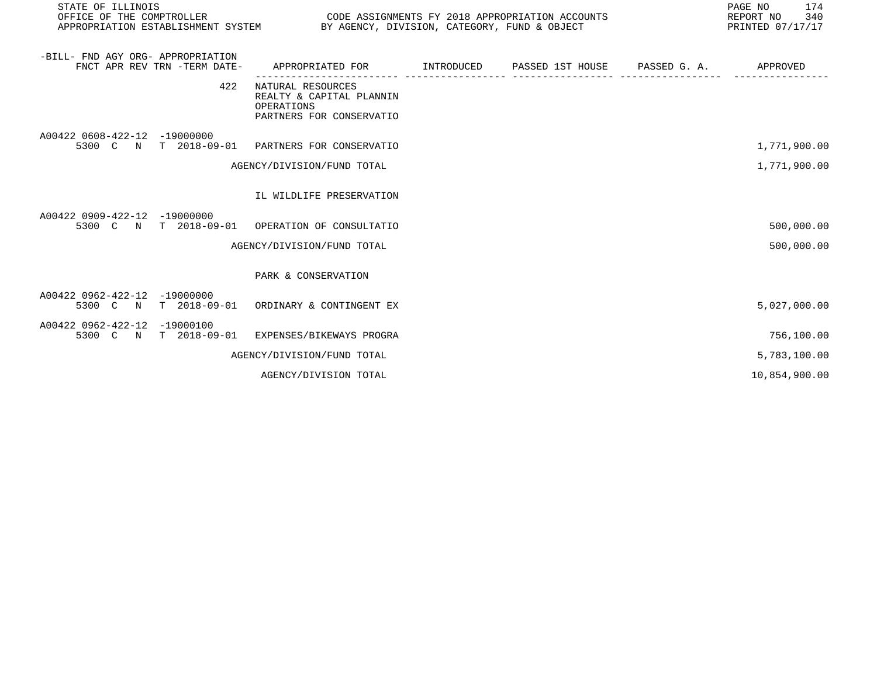| STATE OF ILLINOIS<br>OFFICE OF THE COMPTROLLER |                              | PAGE NO<br>CODE ASSIGNMENTS FY 2018 APPROPRIATION ACCOUNTS<br>REPORT NO<br>APPROPRIATION ESTABLISHMENT SYSTEM BY AGENCY, DIVISION, CATEGORY, FUND & OBJECT<br>PRINTED 07/17/17 |  |  |  |               |  |
|------------------------------------------------|------------------------------|--------------------------------------------------------------------------------------------------------------------------------------------------------------------------------|--|--|--|---------------|--|
| -BILL- FND AGY ORG- APPROPRIATION              | FNCT APR REV TRN -TERM DATE- | APPROPRIATED FOR        INTRODUCED     PASSED 1ST HOUSE     PASSED G. A.         APPROVED                                                                                      |  |  |  |               |  |
|                                                | 422                          | NATURAL RESOURCES<br>REALTY & CAPITAL PLANNIN<br>OPERATIONS<br>PARTNERS FOR CONSERVATIO                                                                                        |  |  |  |               |  |
| A00422 0608-422-12 -19000000                   | 5300 C N T 2018-09-01        | PARTNERS FOR CONSERVATIO                                                                                                                                                       |  |  |  | 1,771,900.00  |  |
|                                                |                              | AGENCY/DIVISION/FUND TOTAL                                                                                                                                                     |  |  |  | 1,771,900.00  |  |
|                                                |                              | IL WILDLIFE PRESERVATION                                                                                                                                                       |  |  |  |               |  |
| A00422 0909-422-12 -19000000                   | 5300 C N T 2018-09-01        | OPERATION OF CONSULTATIO                                                                                                                                                       |  |  |  | 500,000.00    |  |
|                                                |                              | AGENCY/DIVISION/FUND TOTAL                                                                                                                                                     |  |  |  | 500,000.00    |  |
|                                                |                              | PARK & CONSERVATION                                                                                                                                                            |  |  |  |               |  |
| A00422 0962-422-12 -19000000                   | 5300 C N T 2018-09-01        | ORDINARY & CONTINGENT EX                                                                                                                                                       |  |  |  | 5,027,000.00  |  |
| A00422 0962-422-12 -19000100                   | 5300 C N T 2018-09-01        | EXPENSES/BIKEWAYS PROGRA                                                                                                                                                       |  |  |  | 756,100.00    |  |
|                                                |                              | AGENCY/DIVISION/FUND TOTAL                                                                                                                                                     |  |  |  | 5,783,100.00  |  |
|                                                |                              | AGENCY/DIVISION TOTAL                                                                                                                                                          |  |  |  | 10,854,900.00 |  |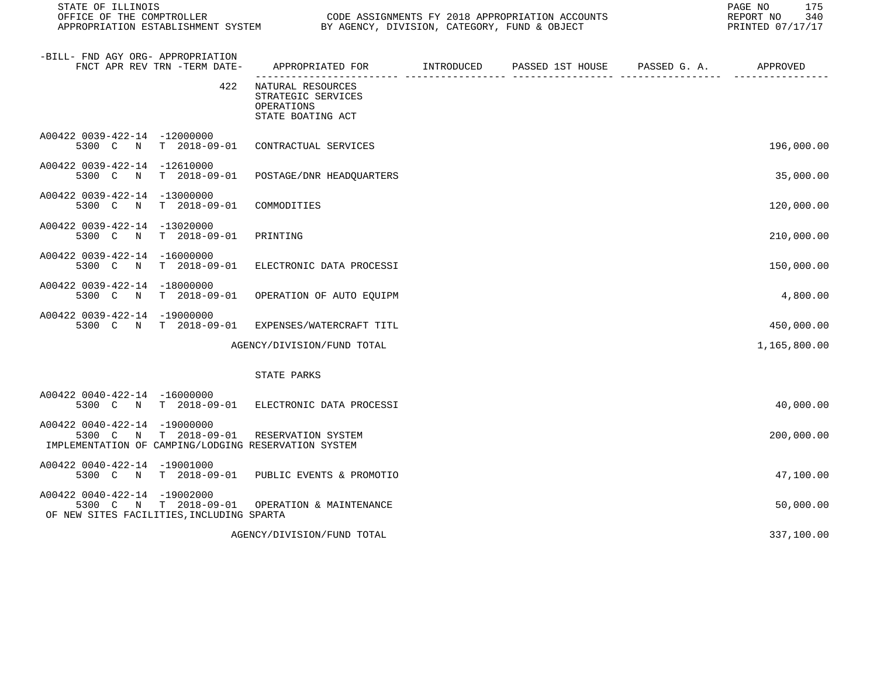| STATE OF ILLINOIS<br>OFFICE OF THE COMPTROLLER<br>APPROPRIATION ESTABLISHMENT SYSTEM                             | CODE ASSIGNMENTS FY 2018 APPROPRIATION ACCOUNTS<br>BY AGENCY, DIVISION, CATEGORY, FUND & OBJECT | PAGE NO<br>175<br>REPORT NO<br>340<br>PRINTED 07/17/17 |                  |                       |              |
|------------------------------------------------------------------------------------------------------------------|-------------------------------------------------------------------------------------------------|--------------------------------------------------------|------------------|-----------------------|--------------|
| -BILL- FND AGY ORG- APPROPRIATION<br>FNCT APR REV TRN -TERM DATE-                                                | APPROPRIATED FOR                                                                                | INTRODUCED                                             | PASSED 1ST HOUSE | PASSED G. A. APPROVED |              |
| 422                                                                                                              | NATURAL RESOURCES<br>STRATEGIC SERVICES<br>OPERATIONS<br>STATE BOATING ACT                      |                                                        |                  |                       |              |
| A00422 0039-422-14 -12000000<br>5300 C N<br>T 2018-09-01                                                         | CONTRACTUAL SERVICES                                                                            |                                                        |                  |                       | 196,000.00   |
| A00422 0039-422-14 -12610000<br>5300 C N<br>$T = 2018 - 09 - 01$                                                 | POSTAGE/DNR HEADQUARTERS                                                                        |                                                        |                  |                       | 35,000.00    |
| A00422 0039-422-14 -13000000<br>$T = 2018 - 09 - 01$<br>5300 C<br>$\mathbb N$                                    | COMMODITIES                                                                                     |                                                        |                  |                       | 120,000.00   |
| A00422 0039-422-14 -13020000<br>5300 C<br>N<br>$T = 2018 - 09 - 01$                                              | PRINTING                                                                                        |                                                        |                  |                       | 210,000.00   |
| A00422 0039-422-14 -16000000<br>$T = 2018 - 09 - 01$<br>5300 C<br>N                                              | ELECTRONIC DATA PROCESSI                                                                        |                                                        |                  |                       | 150,000.00   |
| A00422 0039-422-14 -18000000<br>5300 C<br>N<br>T 2018-09-01                                                      | OPERATION OF AUTO EQUIPM                                                                        |                                                        |                  |                       | 4,800.00     |
| A00422 0039-422-14 -19000000<br>N T 2018-09-01<br>5300 C                                                         | EXPENSES/WATERCRAFT TITL                                                                        |                                                        |                  |                       | 450,000.00   |
|                                                                                                                  | AGENCY/DIVISION/FUND TOTAL                                                                      |                                                        |                  |                       | 1,165,800.00 |
|                                                                                                                  | STATE PARKS                                                                                     |                                                        |                  |                       |              |
| A00422 0040-422-14 -16000000<br>5300 C N T 2018-09-01                                                            | ELECTRONIC DATA PROCESSI                                                                        |                                                        |                  |                       | 40,000.00    |
| A00422 0040-422-14 -19000000<br>T 2018-09-01<br>5300 C N<br>IMPLEMENTATION OF CAMPING/LODGING RESERVATION SYSTEM | RESERVATION SYSTEM                                                                              |                                                        |                  |                       | 200,000.00   |
| A00422 0040-422-14 -19001000<br>5300 C N T 2018-09-01 PUBLIC EVENTS & PROMOTIO                                   |                                                                                                 |                                                        |                  |                       | 47,100.00    |
| A00422 0040-422-14 -19002000<br>5300 C N T 2018-09-01<br>OF NEW SITES FACILITIES, INCLUDING SPARTA               | OPERATION & MAINTENANCE                                                                         |                                                        |                  |                       | 50,000.00    |
|                                                                                                                  | AGENCY/DIVISION/FUND TOTAL                                                                      |                                                        |                  |                       | 337,100.00   |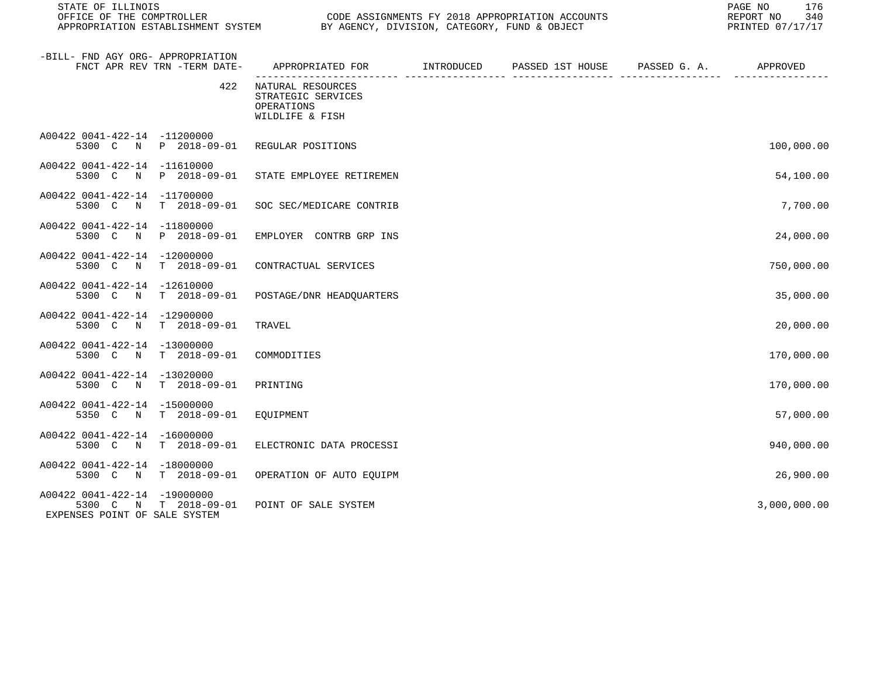| STATE OF ILLINOIS<br>OFFICE OF THE COMPTROLLER<br>APPROPRIATION ESTABLISHMENT SYSTEM BY AGENCY, DIVISION, CATEGORY, FUND & OBJECT |                                                                                                        |                | CODE ASSIGNMENTS FY 2018 APPROPRIATION ACCOUNTS | 176<br>PAGE NO<br>340<br>REPORT NO<br>PRINTED 07/17/17 |
|-----------------------------------------------------------------------------------------------------------------------------------|--------------------------------------------------------------------------------------------------------|----------------|-------------------------------------------------|--------------------------------------------------------|
| -BILL- FND AGY ORG- APPROPRIATION<br>FNCT APR REV TRN -TERM DATE-                                                                 | APPROPRIATED FOR INTRODUCED                                                                            |                | PASSED 1ST HOUSE PASSED G. A. APPROVED          |                                                        |
| 422                                                                                                                               | -------------------- -----<br>NATURAL RESOURCES<br>STRATEGIC SERVICES<br>OPERATIONS<br>WILDLIFE & FISH | ----------- -- |                                                 |                                                        |
| A00422 0041-422-14 -11200000<br>5300 C N P 2018-09-01 REGULAR POSITIONS                                                           |                                                                                                        |                |                                                 | 100,000.00                                             |
| A00422 0041-422-14 -11610000<br>5300 C                                                                                            | N P 2018-09-01 STATE EMPLOYEE RETIREMEN                                                                |                |                                                 | 54,100.00                                              |
| A00422 0041-422-14 -11700000<br>5300 C N T 2018-09-01 SOC SEC/MEDICARE CONTRIB                                                    |                                                                                                        |                |                                                 | 7,700.00                                               |
| A00422 0041-422-14 -11800000<br>5300 C N P 2018-09-01                                                                             | EMPLOYER CONTRB GRP INS                                                                                |                |                                                 | 24,000.00                                              |
| A00422 0041-422-14 -12000000<br>5300 C N T 2018-09-01                                                                             | CONTRACTUAL SERVICES                                                                                   |                |                                                 | 750,000.00                                             |
| A00422 0041-422-14 -12610000<br>5300 C N T 2018-09-01                                                                             | POSTAGE/DNR HEADQUARTERS                                                                               |                |                                                 | 35,000.00                                              |
| A00422 0041-422-14 -12900000<br>5300 C N T 2018-09-01                                                                             | TRAVEL                                                                                                 |                |                                                 | 20,000.00                                              |
| A00422 0041-422-14 -13000000<br>5300 C N T 2018-09-01                                                                             | COMMODITIES                                                                                            |                |                                                 | 170,000.00                                             |
| A00422 0041-422-14 -13020000<br>5300 C N T 2018-09-01                                                                             | PRINTING                                                                                               |                |                                                 | 170,000.00                                             |
| A00422 0041-422-14 -15000000<br>5350 C N T 2018-09-01 EQUIPMENT                                                                   |                                                                                                        |                |                                                 | 57,000.00                                              |
| A00422 0041-422-14 -16000000<br>5300 C N T 2018-09-01                                                                             | ELECTRONIC DATA PROCESSI                                                                               |                |                                                 | 940,000.00                                             |
| A00422 0041-422-14 -18000000<br>5300 C N T 2018-09-01 OPERATION OF AUTO EQUIPM                                                    |                                                                                                        |                |                                                 | 26,900.00                                              |
| A00422 0041-422-14 -19000000<br>5300 C N T 2018-09-01                                                                             | POINT OF SALE SYSTEM                                                                                   |                |                                                 | 3,000,000.00                                           |

EXPENSES POINT OF SALE SYSTEM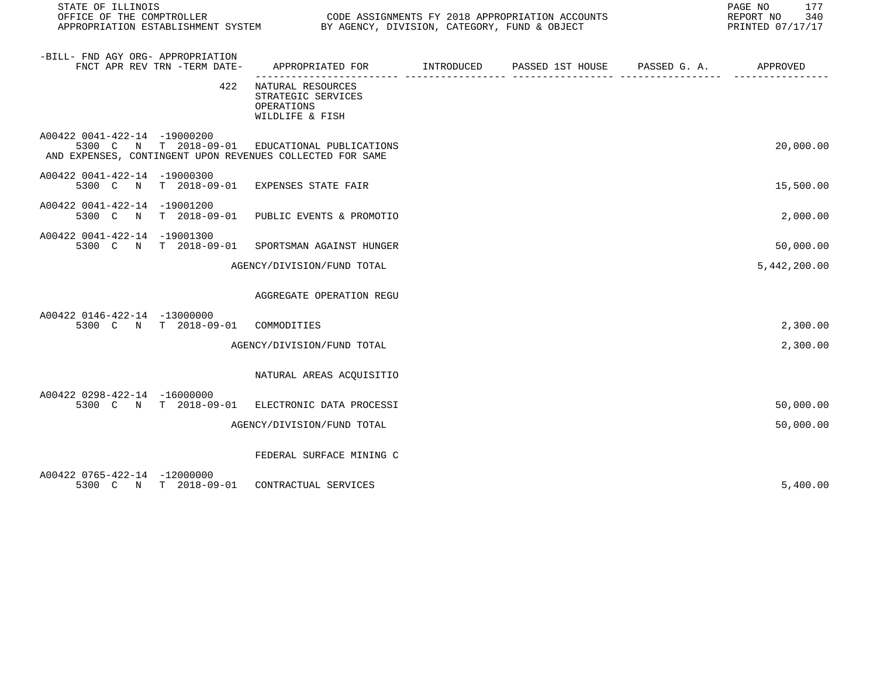| STATE OF ILLINOIS<br>OFFICE OF THE COMPTROLLER<br>APPROPRIATION ESTABLISHMENT SYSTEM |                              | CODE ASSIGNMENTS FY 2018 APPROPRIATION ACCOUNTS<br>BY AGENCY, DIVISION, CATEGORY, FUND & OBJECT             |  |                                                   |  | 177<br>PAGE NO<br>REPORT NO<br>340<br>PRINTED 07/17/17 |
|--------------------------------------------------------------------------------------|------------------------------|-------------------------------------------------------------------------------------------------------------|--|---------------------------------------------------|--|--------------------------------------------------------|
| -BILL- FND AGY ORG- APPROPRIATION                                                    | FNCT APR REV TRN -TERM DATE- | APPROPRIATED FOR                                                                                            |  | INTRODUCED PASSED 1ST HOUSE PASSED G. A. APPROVED |  |                                                        |
|                                                                                      | 422                          | NATURAL RESOURCES<br>STRATEGIC SERVICES<br>OPERATIONS<br>WILDLIFE & FISH                                    |  |                                                   |  |                                                        |
| A00422 0041-422-14 -19000200                                                         |                              | 5300 C N T 2018-09-01 EDUCATIONAL PUBLICATIONS<br>AND EXPENSES, CONTINGENT UPON REVENUES COLLECTED FOR SAME |  |                                                   |  | 20,000.00                                              |
| A00422 0041-422-14 -19000300                                                         |                              | 5300 C N T 2018-09-01 EXPENSES STATE FAIR                                                                   |  |                                                   |  | 15,500.00                                              |
| A00422 0041-422-14 -19001200                                                         |                              | 5300 C N T 2018-09-01 PUBLIC EVENTS & PROMOTIO                                                              |  |                                                   |  | 2,000.00                                               |
| A00422 0041-422-14 -19001300                                                         | 5300 C N T 2018-09-01        | SPORTSMAN AGAINST HUNGER                                                                                    |  |                                                   |  | 50,000.00                                              |
|                                                                                      |                              | AGENCY/DIVISION/FUND TOTAL                                                                                  |  |                                                   |  | 5,442,200.00                                           |
|                                                                                      |                              | AGGREGATE OPERATION REGU                                                                                    |  |                                                   |  |                                                        |
| A00422 0146-422-14 -13000000                                                         | 5300 C N T 2018-09-01        | COMMODITIES                                                                                                 |  |                                                   |  | 2,300.00                                               |
|                                                                                      |                              | AGENCY/DIVISION/FUND TOTAL                                                                                  |  |                                                   |  | 2,300.00                                               |
|                                                                                      |                              | NATURAL AREAS ACQUISITIO                                                                                    |  |                                                   |  |                                                        |
| A00422 0298-422-14 -16000000                                                         |                              | 5300 C N T 2018-09-01 ELECTRONIC DATA PROCESSI                                                              |  |                                                   |  | 50,000.00                                              |
|                                                                                      |                              | AGENCY/DIVISION/FUND TOTAL                                                                                  |  |                                                   |  | 50,000.00                                              |
|                                                                                      |                              | FEDERAL SURFACE MINING C                                                                                    |  |                                                   |  |                                                        |
| A00422 0765-422-14 -12000000                                                         | 5300 C N T 2018-09-01        | CONTRACTUAL SERVICES                                                                                        |  |                                                   |  | 5,400.00                                               |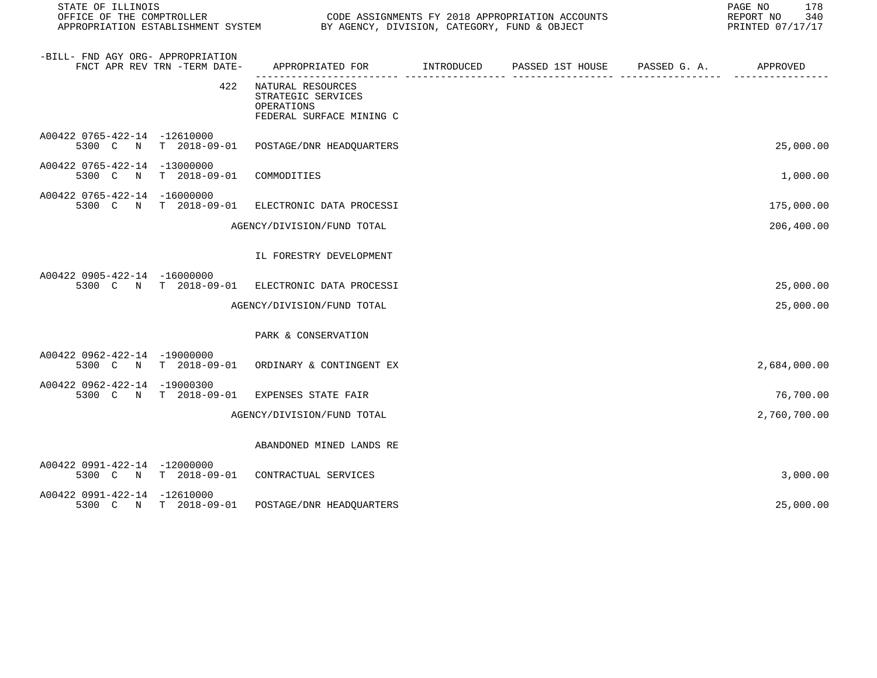| STATE OF ILLINOIS                 |                              |                                                                                             | PAGE NO<br>178<br>REPORT NO<br>340<br>PRINTED 07/17/17 |  |              |
|-----------------------------------|------------------------------|---------------------------------------------------------------------------------------------|--------------------------------------------------------|--|--------------|
| -BILL- FND AGY ORG- APPROPRIATION | FNCT APR REV TRN -TERM DATE- | APPROPRIATED FOR         INTRODUCED      PASSED 1ST HOUSE     PASSED G. A.         APPROVED |                                                        |  |              |
|                                   | 422                          | NATURAL RESOURCES<br>STRATEGIC SERVICES<br>OPERATIONS<br>FEDERAL SURFACE MINING C           |                                                        |  |              |
| A00422 0765-422-14 -12610000      |                              | 5300 C N T 2018-09-01 POSTAGE/DNR HEADQUARTERS                                              |                                                        |  | 25,000.00    |
| A00422 0765-422-14 -13000000      | 5300 C N T 2018-09-01        | COMMODITIES                                                                                 |                                                        |  | 1,000.00     |
| A00422 0765-422-14 -16000000      | 5300 C N T 2018-09-01        | ELECTRONIC DATA PROCESSI                                                                    |                                                        |  | 175,000.00   |
|                                   |                              | AGENCY/DIVISION/FUND TOTAL                                                                  |                                                        |  | 206,400.00   |
|                                   |                              | IL FORESTRY DEVELOPMENT                                                                     |                                                        |  |              |
| A00422 0905-422-14 -16000000      |                              | 5300 C N T 2018-09-01 ELECTRONIC DATA PROCESSI                                              |                                                        |  | 25,000.00    |
|                                   |                              | AGENCY/DIVISION/FUND TOTAL                                                                  |                                                        |  | 25,000.00    |
|                                   |                              | PARK & CONSERVATION                                                                         |                                                        |  |              |
| A00422 0962-422-14 -19000000      |                              | 5300 C N T 2018-09-01 ORDINARY & CONTINGENT EX                                              |                                                        |  | 2,684,000.00 |
| A00422 0962-422-14 -19000300      | 5300 C N T 2018-09-01        | EXPENSES STATE FAIR                                                                         |                                                        |  | 76,700.00    |
|                                   |                              | AGENCY/DIVISION/FUND TOTAL                                                                  |                                                        |  | 2,760,700.00 |
|                                   |                              | ABANDONED MINED LANDS RE                                                                    |                                                        |  |              |
| A00422 0991-422-14 -12000000      |                              | 5300 C N T 2018-09-01 CONTRACTUAL SERVICES                                                  |                                                        |  | 3,000.00     |
| A00422 0991-422-14 -12610000      | 5300 C N T 2018-09-01        | POSTAGE/DNR HEADOUARTERS                                                                    |                                                        |  | 25,000.00    |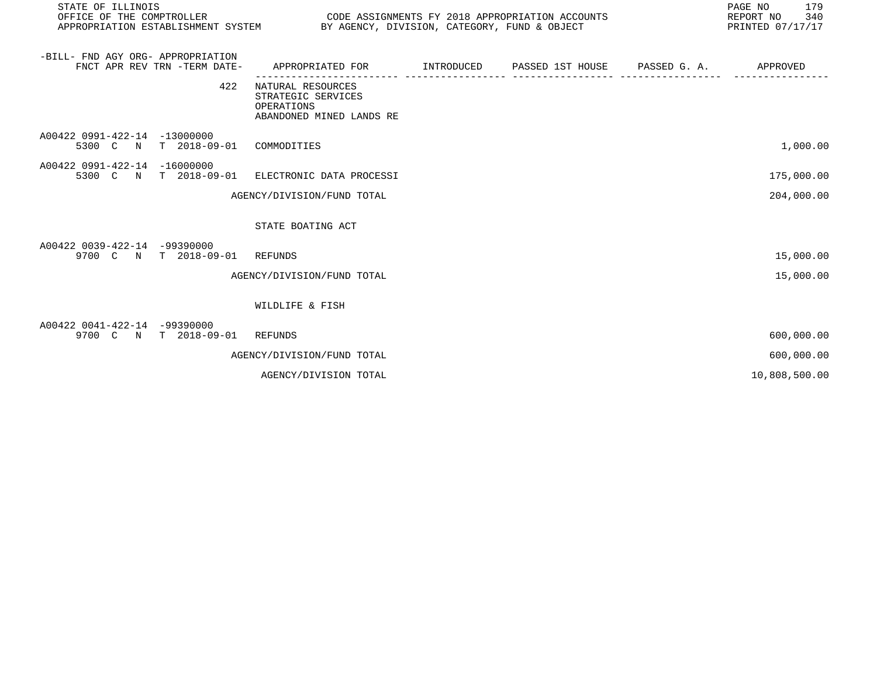| STATE OF ILLINOIS<br>OFFICE OF THE COMPTROLLER |                                     | CODE ASSIGNMENTS FY 2018 APPROPRIATION ACCOUNTS<br>APPROPRIATION ESTABLISHMENT SYSTEM BY AGENCY, DIVISION, CATEGORY, FUND & OBJECT | PAGE NO<br>179<br>REPORT NO<br>340<br>PRINTED 07/17/17 |                  |              |               |
|------------------------------------------------|-------------------------------------|------------------------------------------------------------------------------------------------------------------------------------|--------------------------------------------------------|------------------|--------------|---------------|
| -BILL- FND AGY ORG- APPROPRIATION              | FNCT APR REV TRN -TERM DATE-        | APPROPRIATED FOR                                                                                                                   | INTRODUCED                                             | PASSED 1ST HOUSE | PASSED G. A. | APPROVED      |
|                                                | 422                                 | NATURAL RESOURCES<br>STRATEGIC SERVICES<br>OPERATIONS<br>ABANDONED MINED LANDS RE                                                  |                                                        |                  |              |               |
| A00422 0991-422-14<br>5300 C N                 | $-13000000$<br>$T = 2018 - 09 - 01$ | COMMODITIES                                                                                                                        |                                                        |                  |              | 1,000.00      |
| A00422 0991-422-14<br>5300 C N                 | $-16000000$<br>$T = 2018 - 09 - 01$ | ELECTRONIC DATA PROCESSI                                                                                                           |                                                        |                  |              | 175,000.00    |
|                                                |                                     | AGENCY/DIVISION/FUND TOTAL                                                                                                         |                                                        |                  |              | 204,000.00    |
|                                                |                                     | STATE BOATING ACT                                                                                                                  |                                                        |                  |              |               |
| A00422 0039-422-14 -99390000<br>9700 C N       | $T = 2018 - 09 - 01$                | REFUNDS                                                                                                                            |                                                        |                  |              | 15,000.00     |
|                                                |                                     | AGENCY/DIVISION/FUND TOTAL                                                                                                         |                                                        |                  |              | 15,000.00     |
|                                                |                                     | WILDLIFE & FISH                                                                                                                    |                                                        |                  |              |               |
| A00422 0041-422-14 -99390000<br>9700 C N       | $T = 2018 - 09 - 01$                | REFUNDS                                                                                                                            |                                                        |                  |              | 600,000.00    |
|                                                |                                     | AGENCY/DIVISION/FUND TOTAL                                                                                                         |                                                        |                  |              | 600,000.00    |
|                                                |                                     | AGENCY/DIVISION TOTAL                                                                                                              |                                                        |                  |              | 10,808,500.00 |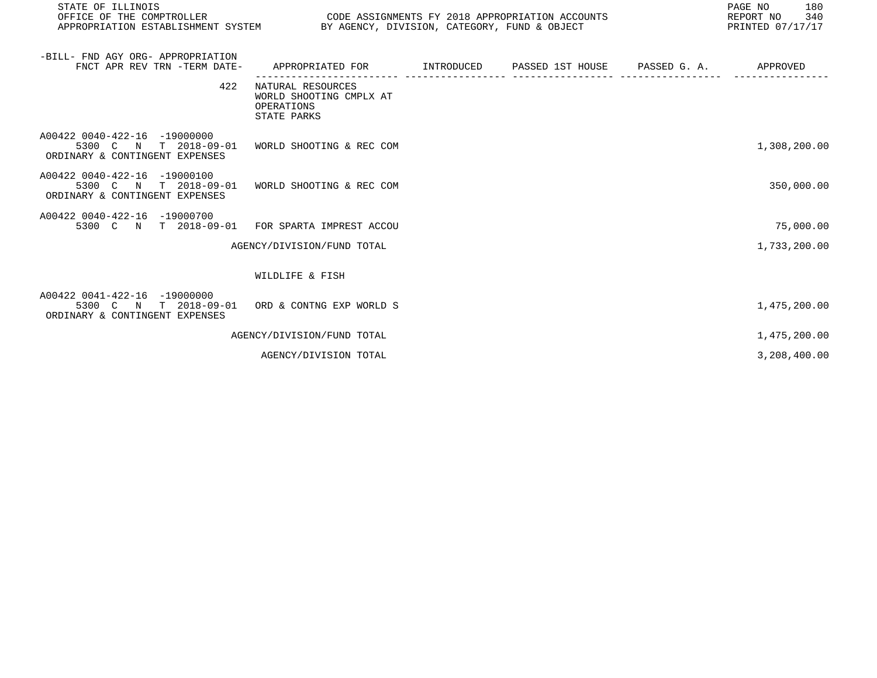| STATE OF ILLINOIS<br>OFFICE OF THE COMPTROLLER<br>APPROPRIATION ESTABLISHMENT SYSTEM       | CODE ASSIGNMENTS FY 2018 APPROPRIATION ACCOUNTS<br>BY AGENCY, DIVISION, CATEGORY, FUND & OBJECT |            |                  |              | PAGE NO<br>180<br>REPORT NO<br>340<br>PRINTED 07/17/17 |
|--------------------------------------------------------------------------------------------|-------------------------------------------------------------------------------------------------|------------|------------------|--------------|--------------------------------------------------------|
| -BILL- FND AGY ORG- APPROPRIATION<br>FNCT APR REV TRN -TERM DATE-                          | APPROPRIATED FOR                                                                                | INTRODUCED | PASSED 1ST HOUSE | PASSED G. A. | APPROVED                                               |
| 422                                                                                        | NATURAL RESOURCES<br>WORLD SHOOTING CMPLX AT<br>OPERATIONS<br>STATE PARKS                       |            |                  |              |                                                        |
| A00422 0040-422-16 -19000000<br>5300 C N T 2018-09-01<br>ORDINARY & CONTINGENT EXPENSES    | WORLD SHOOTING & REC COM                                                                        |            |                  |              | 1,308,200.00                                           |
| A00422 0040-422-16 -19000100<br>5300 C N T 2018-09-01<br>ORDINARY & CONTINGENT EXPENSES    | WORLD SHOOTING & REC COM                                                                        |            |                  |              | 350,000.00                                             |
| A00422 0040-422-16 -19000700<br>5300 C N T 2018-09-01 FOR SPARTA IMPREST ACCOU             |                                                                                                 |            |                  |              | 75,000.00                                              |
|                                                                                            | AGENCY/DIVISION/FUND TOTAL                                                                      |            |                  |              | 1,733,200.00                                           |
|                                                                                            | WILDLIFE & FISH                                                                                 |            |                  |              |                                                        |
| A00422 0041-422-16 -19000000<br>5300 C N<br>T 2018-09-01<br>ORDINARY & CONTINGENT EXPENSES | ORD & CONTNG EXP WORLD S                                                                        |            |                  |              | 1,475,200.00                                           |
|                                                                                            | AGENCY/DIVISION/FUND TOTAL                                                                      |            |                  |              | 1,475,200.00                                           |
|                                                                                            | AGENCY/DIVISION TOTAL                                                                           |            |                  |              | 3,208,400.00                                           |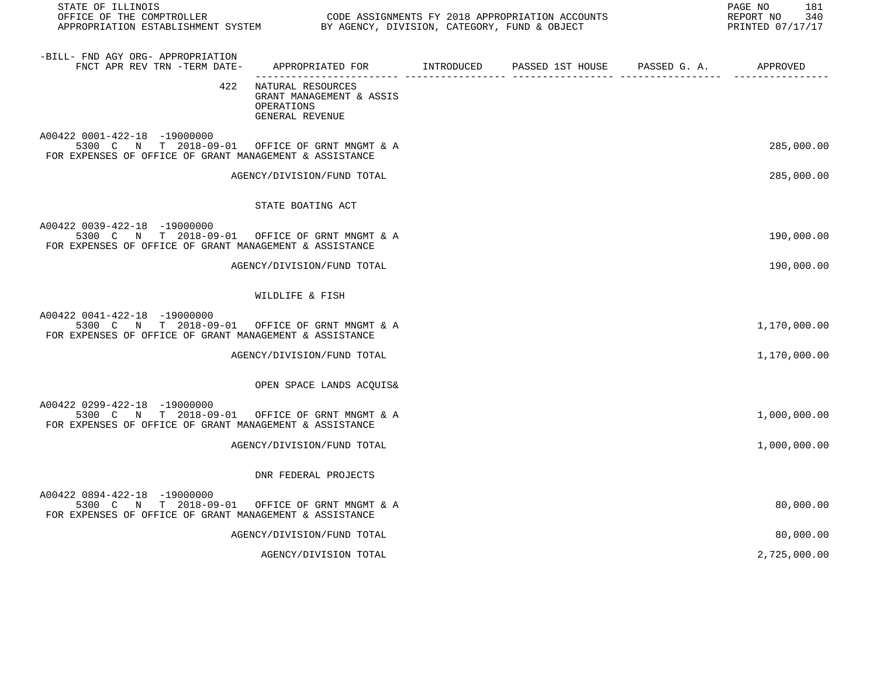| STATE OF ILLINOIS<br>OFFICE OF THE COMPTROLLER<br>OFFICE OF THE COMPTROLLER<br>APPROPRIATION ESTABLISHMENT SYSTEM THE BY AGENCY, DIVISION, CATEGORY, FUND & OBJECT |                                                                                         | CODE ASSIGNMENTS FY 2018 APPROPRIATION ACCOUNTS | 181<br>PAGE NO<br>REPORT NO<br>340<br>PRINTED 07/17/17 |
|--------------------------------------------------------------------------------------------------------------------------------------------------------------------|-----------------------------------------------------------------------------------------|-------------------------------------------------|--------------------------------------------------------|
| -BILL- FND AGY ORG- APPROPRIATION<br>FNCT APR REV TRN -TERM DATE-                                                                                                  | APPROPRIATED FOR       INTRODUCED     PASSED 1ST HOUSE     PASSED G. A.        APPROVED |                                                 |                                                        |
| 422                                                                                                                                                                | NATURAL RESOURCES<br>GRANT MANAGEMENT & ASSIS<br>OPERATIONS<br>GENERAL REVENUE          |                                                 |                                                        |
| A00422 0001-422-18 -19000000<br>5300 C N T 2018-09-01 OFFICE OF GRNT MNGMT & A<br>FOR EXPENSES OF OFFICE OF GRANT MANAGEMENT & ASSISTANCE                          |                                                                                         |                                                 | 285,000.00                                             |
|                                                                                                                                                                    | AGENCY/DIVISION/FUND TOTAL                                                              |                                                 | 285,000.00                                             |
|                                                                                                                                                                    | STATE BOATING ACT                                                                       |                                                 |                                                        |
| A00422 0039-422-18 -19000000<br>5300 C N T 2018-09-01 OFFICE OF GRNT MNGMT & A<br>FOR EXPENSES OF OFFICE OF GRANT MANAGEMENT & ASSISTANCE                          |                                                                                         |                                                 | 190,000.00                                             |
|                                                                                                                                                                    | AGENCY/DIVISION/FUND TOTAL                                                              |                                                 | 190,000.00                                             |
|                                                                                                                                                                    | WILDLIFE & FISH                                                                         |                                                 |                                                        |
| A00422 0041-422-18 -19000000<br>5300 C N T 2018-09-01 OFFICE OF GRNT MNGMT & A<br>FOR EXPENSES OF OFFICE OF GRANT MANAGEMENT & ASSISTANCE                          |                                                                                         |                                                 | 1,170,000.00                                           |
|                                                                                                                                                                    | AGENCY/DIVISION/FUND TOTAL                                                              |                                                 | 1,170,000.00                                           |
|                                                                                                                                                                    | OPEN SPACE LANDS ACQUIS&                                                                |                                                 |                                                        |
| A00422 0299-422-18 -19000000<br>5300 C N T 2018-09-01 OFFICE OF GRNT MNGMT & A<br>FOR EXPENSES OF OFFICE OF GRANT MANAGEMENT & ASSISTANCE                          |                                                                                         |                                                 | 1,000,000.00                                           |
|                                                                                                                                                                    | AGENCY/DIVISION/FUND TOTAL                                                              |                                                 | 1,000,000.00                                           |
|                                                                                                                                                                    | DNR FEDERAL PROJECTS                                                                    |                                                 |                                                        |
| A00422 0894-422-18 -19000000<br>5300 C N T 2018-09-01 OFFICE OF GRNT MNGMT & A<br>FOR EXPENSES OF OFFICE OF GRANT MANAGEMENT & ASSISTANCE                          |                                                                                         |                                                 | 80,000.00                                              |
|                                                                                                                                                                    | AGENCY/DIVISION/FUND TOTAL                                                              |                                                 | 80,000.00                                              |
|                                                                                                                                                                    | AGENCY/DIVISION TOTAL                                                                   |                                                 | 2,725,000.00                                           |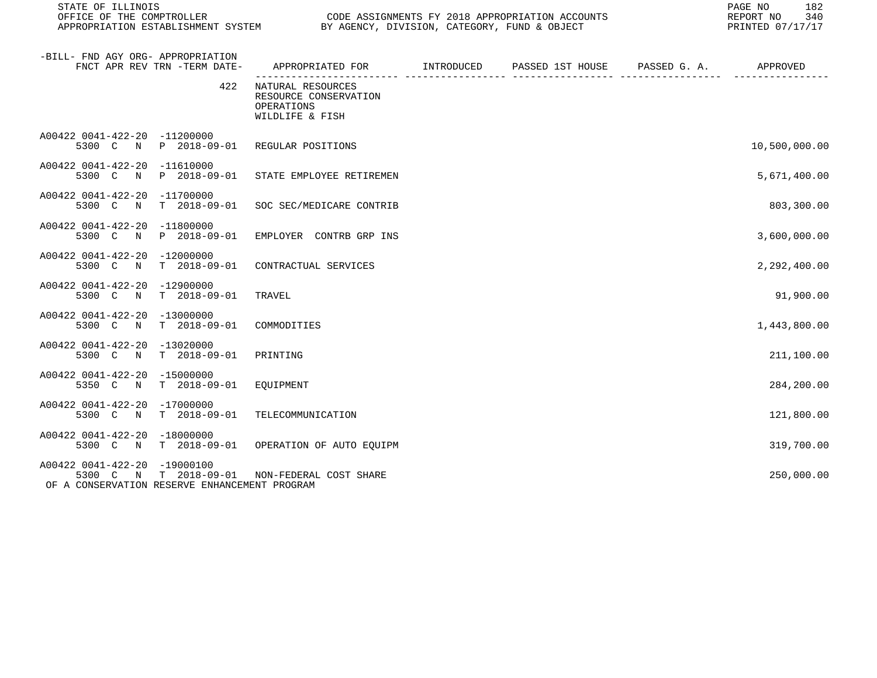| STATE OF ILLINOIS<br>OFFICE OF THE COMPTROLLER                                                                                |                                                                                          | PAGE NO<br>CODE ASSIGNMENTS FY 2018 APPROPRIATION ACCOUNTS<br>REPORT NO<br>APPROPRIATION ESTABLISHMENT SYSTEM BY AGENCY, DIVISION, CATEGORY, FUND & OBJECT<br>PRINTED 07/17/17 |  |  |               |
|-------------------------------------------------------------------------------------------------------------------------------|------------------------------------------------------------------------------------------|--------------------------------------------------------------------------------------------------------------------------------------------------------------------------------|--|--|---------------|
| -BILL- FND AGY ORG- APPROPRIATION<br>FNCT APR REV TRN -TERM DATE-                                                             | APPROPRIATED FOR        INTRODUCED     PASSED 1ST HOUSE     PASSED G. A.        APPROVED |                                                                                                                                                                                |  |  |               |
| 422                                                                                                                           | NATURAL RESOURCES<br>RESOURCE CONSERVATION<br>OPERATIONS<br>WILDLIFE & FISH              |                                                                                                                                                                                |  |  |               |
| A00422 0041-422-20 -11200000<br>5300 C N P 2018-09-01                                                                         | REGULAR POSITIONS                                                                        |                                                                                                                                                                                |  |  | 10,500,000.00 |
| A00422 0041-422-20 -11610000<br>N P 2018-09-01<br>5300 C                                                                      | STATE EMPLOYEE RETIREMEN                                                                 |                                                                                                                                                                                |  |  | 5,671,400.00  |
| A00422 0041-422-20 -11700000<br>5300 C N T 2018-09-01 SOC SEC/MEDICARE CONTRIB                                                |                                                                                          |                                                                                                                                                                                |  |  | 803,300.00    |
| A00422 0041-422-20 -11800000<br>5300 C N P 2018-09-01                                                                         | EMPLOYER CONTRB GRP INS                                                                  |                                                                                                                                                                                |  |  | 3,600,000.00  |
| A00422 0041-422-20 -12000000<br>5300 C N T 2018-09-01                                                                         | CONTRACTUAL SERVICES                                                                     |                                                                                                                                                                                |  |  | 2,292,400.00  |
| A00422 0041-422-20 -12900000<br>5300 C N T 2018-09-01                                                                         | TRAVEL                                                                                   |                                                                                                                                                                                |  |  | 91,900.00     |
| A00422 0041-422-20 -13000000<br>5300 C N T 2018-09-01                                                                         | COMMODITIES                                                                              |                                                                                                                                                                                |  |  | 1,443,800.00  |
| A00422 0041-422-20 -13020000<br>5300 C N T 2018-09-01                                                                         | PRINTING                                                                                 |                                                                                                                                                                                |  |  | 211,100.00    |
| A00422 0041-422-20 -15000000<br>5350 C N T 2018-09-01                                                                         | EOUIPMENT                                                                                |                                                                                                                                                                                |  |  | 284,200.00    |
| A00422 0041-422-20 -17000000<br>5300 C N T 2018-09-01                                                                         | TELECOMMUNICATION                                                                        |                                                                                                                                                                                |  |  | 121,800.00    |
| A00422 0041-422-20 -18000000<br>5300 C N T 2018-09-01                                                                         | OPERATION OF AUTO EOUIPM                                                                 |                                                                                                                                                                                |  |  | 319,700.00    |
| A00422 0041-422-20 -19000100<br>5300 C N T 2018-09-01 NON-FEDERAL COST SHARE<br>OF A CONSERVATION RESERVE ENHANCEMENT PROGRAM |                                                                                          |                                                                                                                                                                                |  |  | 250,000.00    |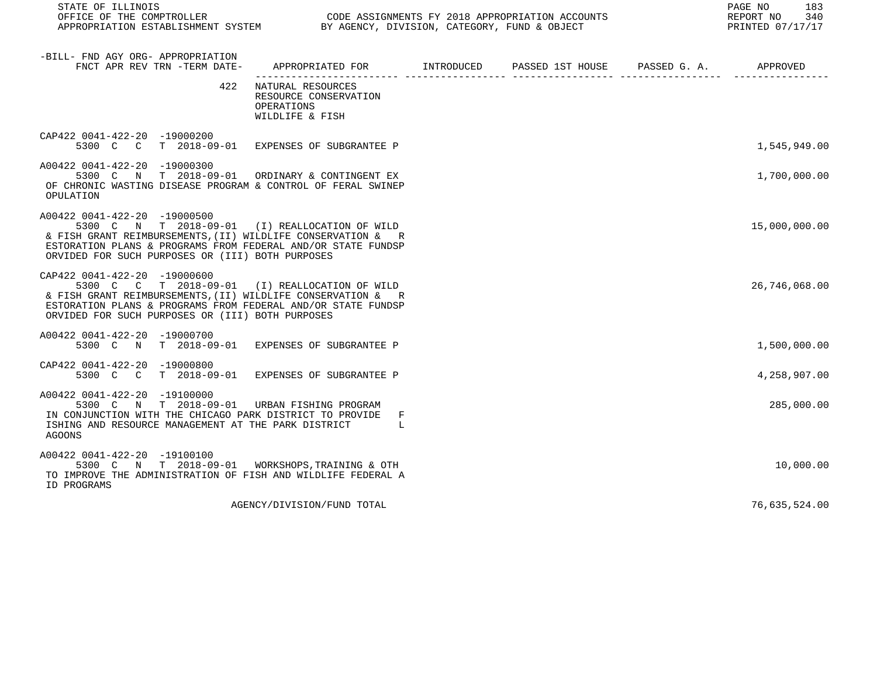STATE OF ILLINOIS PAGE NO 183

CODE ASSIGNMENTS FY 2018 APPROPRIATION ACCOUNTS FOR THE REPORT NO 340 CODE ASSIGNMENTS FY 2018 APPROPRIATION ACCOUNTS APPROPRIATION ESTABLISHMENT SYSTEM BY AGENCY, DIVISION, CATEGORY, FUND & OBJECT

| -BILL- FND AGY ORG- APPROPRIATION<br>FNCT APR REV TRN -TERM DATE-                                                                                                                                                                                                 | APPROPRIATED FOR INTRODUCED                                                 | PASSED 1ST HOUSE PASSED G. A. | APPROVED      |
|-------------------------------------------------------------------------------------------------------------------------------------------------------------------------------------------------------------------------------------------------------------------|-----------------------------------------------------------------------------|-------------------------------|---------------|
| 422                                                                                                                                                                                                                                                               | NATURAL RESOURCES<br>RESOURCE CONSERVATION<br>OPERATIONS<br>WILDLIFE & FISH |                               |               |
| CAP422 0041-422-20 -19000200<br>5300 C                                                                                                                                                                                                                            | C T 2018-09-01 EXPENSES OF SUBGRANTEE P                                     |                               | 1,545,949.00  |
| A00422 0041-422-20 -19000300<br>5300 C N T 2018-09-01 ORDINARY & CONTINGENT EX<br>OF CHRONIC WASTING DISEASE PROGRAM & CONTROL OF FERAL SWINEP<br>OPULATION                                                                                                       |                                                                             |                               | 1,700,000.00  |
| A00422 0041-422-20 -19000500<br>5300 C N T 2018-09-01 (I) REALLOCATION OF WILD<br>& FISH GRANT REIMBURSEMENTS, (II) WILDLIFE CONSERVATION & R<br>ESTORATION PLANS & PROGRAMS FROM FEDERAL AND/OR STATE FUNDSP<br>ORVIDED FOR SUCH PURPOSES OR (III) BOTH PURPOSES |                                                                             |                               | 15,000,000.00 |
| CAP422 0041-422-20 -19000600<br>5300 C C T 2018-09-01 (I) REALLOCATION OF WILD<br>& FISH GRANT REIMBURSEMENTS, (II) WILDLIFE CONSERVATION & R<br>ESTORATION PLANS & PROGRAMS FROM FEDERAL AND/OR STATE FUNDSP<br>ORVIDED FOR SUCH PURPOSES OR (III) BOTH PURPOSES |                                                                             |                               | 26,746,068.00 |
| A00422 0041-422-20 -19000700<br>5300 C N T 2018-09-01 EXPENSES OF SUBGRANTEE P                                                                                                                                                                                    |                                                                             |                               | 1,500,000.00  |
| CAP422 0041-422-20 -19000800<br>5300 C<br>$\overline{C}$                                                                                                                                                                                                          | T 2018-09-01 EXPENSES OF SUBGRANTEE P                                       |                               | 4,258,907.00  |
| A00422 0041-422-20 -19100000<br>5300 C N T 2018-09-01 URBAN FISHING PROGRAM<br>IN CONJUNCTION WITH THE CHICAGO PARK DISTRICT TO PROVIDE<br>ISHING AND RESOURCE MANAGEMENT AT THE PARK DISTRICT<br><b>AGOONS</b>                                                   | F<br>- L                                                                    |                               | 285,000.00    |
| A00422 0041-422-20 -19100100<br>5300 C N T 2018-09-01 WORKSHOPS, TRAINING & OTH<br>TO IMPROVE THE ADMINISTRATION OF FISH AND WILDLIFE FEDERAL A<br>ID PROGRAMS                                                                                                    |                                                                             |                               | 10,000.00     |
|                                                                                                                                                                                                                                                                   | AGENCY/DIVISION/FUND TOTAL                                                  |                               | 76,635,524.00 |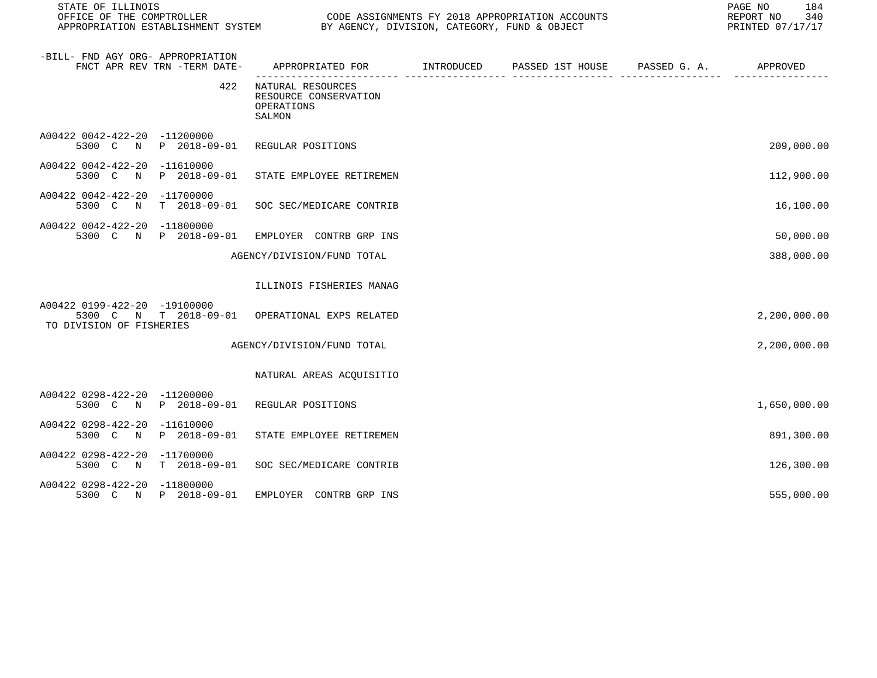| STATE OF ILLINOIS<br>OFFICE OF THE COMPTROLLER                                    |              | APPROPRIATION ESTABLISHMENT SYSTEM BY AGENCY, DIVISION, CATEGORY, FUND & OBJECT | CODE ASSIGNMENTS FY 2018 APPROPRIATION ACCOUNTS | PAGE NO<br>184<br>340<br>REPORT NO<br>PRINTED 07/17/17 |
|-----------------------------------------------------------------------------------|--------------|---------------------------------------------------------------------------------|-------------------------------------------------|--------------------------------------------------------|
| -BILL- FND AGY ORG- APPROPRIATION<br>FNCT APR REV TRN -TERM DATE-                 |              | APPROPRIATED FOR TINTRODUCED PASSED 1ST HOUSE PASSED G. A. APPROVED             |                                                 |                                                        |
|                                                                                   | 422          | NATURAL RESOURCES<br>RESOURCE CONSERVATION<br>OPERATIONS<br>SALMON              |                                                 |                                                        |
| A00422 0042-422-20 -11200000<br>5300 C N P 2018-09-01                             |              | REGULAR POSITIONS                                                               |                                                 | 209,000.00                                             |
| A00422 0042-422-20 -11610000<br>5300 C<br>$\mathbb N$                             | P 2018-09-01 | STATE EMPLOYEE RETIREMEN                                                        |                                                 | 112,900.00                                             |
| A00422 0042-422-20 -11700000<br>5300 C N T 2018-09-01                             |              | SOC SEC/MEDICARE CONTRIB                                                        |                                                 | 16,100.00                                              |
| A00422 0042-422-20 -11800000<br>5300 C N P 2018-09-01                             |              | EMPLOYER CONTRB GRP INS                                                         |                                                 | 50,000.00                                              |
|                                                                                   |              | AGENCY/DIVISION/FUND TOTAL                                                      |                                                 | 388,000.00                                             |
|                                                                                   |              | ILLINOIS FISHERIES MANAG                                                        |                                                 |                                                        |
| A00422 0199-422-20 -19100000<br>5300 C N T 2018-09-01<br>TO DIVISION OF FISHERIES |              | OPERATIONAL EXPS RELATED                                                        |                                                 | 2,200,000.00                                           |
|                                                                                   |              | AGENCY/DIVISION/FUND TOTAL                                                      |                                                 | 2,200,000.00                                           |
|                                                                                   |              | NATURAL AREAS ACQUISITIO                                                        |                                                 |                                                        |
| A00422 0298-422-20 -11200000                                                      |              | 5300 C N P 2018-09-01 REGULAR POSITIONS                                         |                                                 | 1,650,000.00                                           |
| A00422 0298-422-20 -11610000<br>5300 C N P 2018-09-01                             |              | STATE EMPLOYEE RETIREMEN                                                        |                                                 | 891,300.00                                             |
| A00422 0298-422-20 -11700000<br>5300 C N T 2018-09-01                             |              | SOC SEC/MEDICARE CONTRIB                                                        |                                                 | 126,300.00                                             |
| A00422 0298-422-20 -11800000<br>5300 C N P 2018-09-01                             |              | EMPLOYER CONTRB GRP INS                                                         |                                                 | 555,000.00                                             |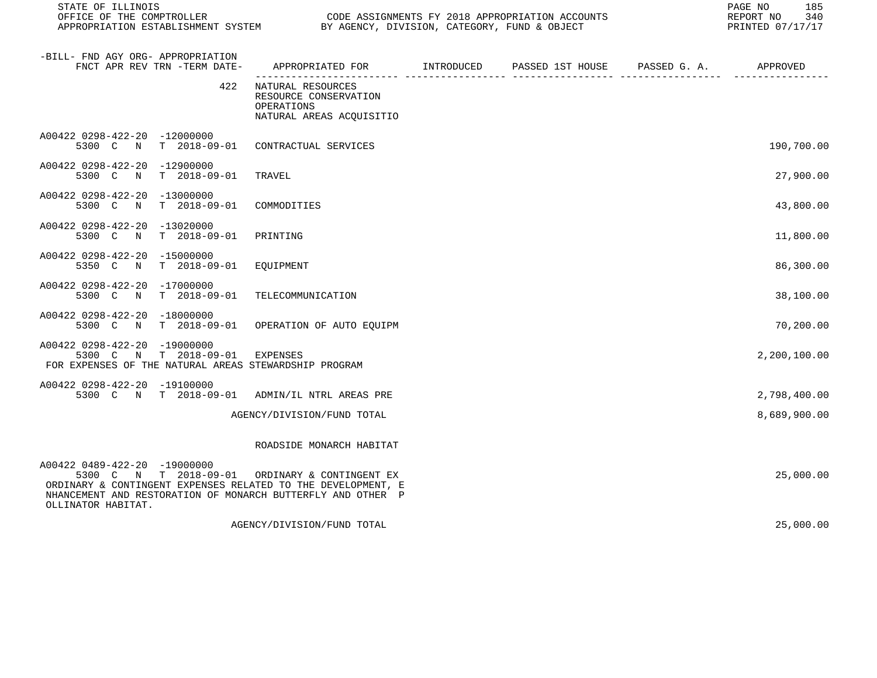| OFFICE OF THE COMPTROLLER<br>APPROPRIATION ESTABLISHMENT SYSTEM BY AGENCY, DIVISION, CATEGORY, FUND & OBJECT                                                                                                                        | CODE ASSIGNMENTS FY 2018 APPROPRIATION ACCOUNTS                                        |  | REPORT NO 340<br>PRINTED 07/17/17 |
|-------------------------------------------------------------------------------------------------------------------------------------------------------------------------------------------------------------------------------------|----------------------------------------------------------------------------------------|--|-----------------------------------|
| -BILL- FND AGY ORG- APPROPRIATION<br>FNCT APR REV TRN -TERM DATE-                                                                                                                                                                   | APPROPRIATED FOR       INTRODUCED     PASSED 1ST HOUSE    PASSED G. A.        APPROVED |  |                                   |
| 422                                                                                                                                                                                                                                 | NATURAL RESOURCES<br>RESOURCE CONSERVATION<br>OPERATIONS<br>NATURAL AREAS ACQUISITIO   |  |                                   |
| A00422 0298-422-20 -12000000<br>5300 C N T 2018-09-01                                                                                                                                                                               | CONTRACTUAL SERVICES                                                                   |  | 190,700.00                        |
| A00422 0298-422-20 -12900000<br>5300 C N T 2018-09-01                                                                                                                                                                               | TRAVEL                                                                                 |  | 27,900.00                         |
| A00422 0298-422-20 -13000000<br>5300 C N<br>T 2018-09-01                                                                                                                                                                            | COMMODITIES                                                                            |  | 43,800.00                         |
| A00422 0298-422-20 -13020000<br>$T = 2018 - 09 - 01$<br>5300 C N                                                                                                                                                                    | PRINTING                                                                               |  | 11,800.00                         |
| A00422 0298-422-20 -15000000<br>5350 C<br>N<br>T 2018-09-01                                                                                                                                                                         | EOUIPMENT                                                                              |  | 86,300.00                         |
| A00422 0298-422-20 -17000000<br>T 2018-09-01<br>5300 C N                                                                                                                                                                            | TELECOMMUNICATION                                                                      |  | 38,100.00                         |
| A00422 0298-422-20 -18000000<br>5300 C N T 2018-09-01                                                                                                                                                                               | OPERATION OF AUTO EQUIPM                                                               |  | 70,200.00                         |
| A00422 0298-422-20 -19000000<br>5300 C N T 2018-09-01<br>FOR EXPENSES OF THE NATURAL AREAS STEWARDSHIP PROGRAM                                                                                                                      | EXPENSES                                                                               |  | 2,200,100.00                      |
| A00422 0298-422-20 -19100000<br>5300 C N T 2018-09-01 ADMIN/IL NTRL AREAS PRE                                                                                                                                                       |                                                                                        |  | 2,798,400.00                      |
|                                                                                                                                                                                                                                     | AGENCY/DIVISION/FUND TOTAL                                                             |  | 8,689,900.00                      |
|                                                                                                                                                                                                                                     | ROADSIDE MONARCH HABITAT                                                               |  |                                   |
| A00422 0489-422-20 -19000000<br>5300 C N T 2018-09-01 ORDINARY & CONTINGENT EX<br>ORDINARY & CONTINGENT EXPENSES RELATED TO THE DEVELOPMENT, E<br>NHANCEMENT AND RESTORATION OF MONARCH BUTTERFLY AND OTHER P<br>OLLINATOR HABITAT. |                                                                                        |  | 25,000.00                         |
|                                                                                                                                                                                                                                     | AGENCY/DIVISION/FUND TOTAL                                                             |  | 25,000.00                         |

STATE OF ILLINOIS PAGE NO 35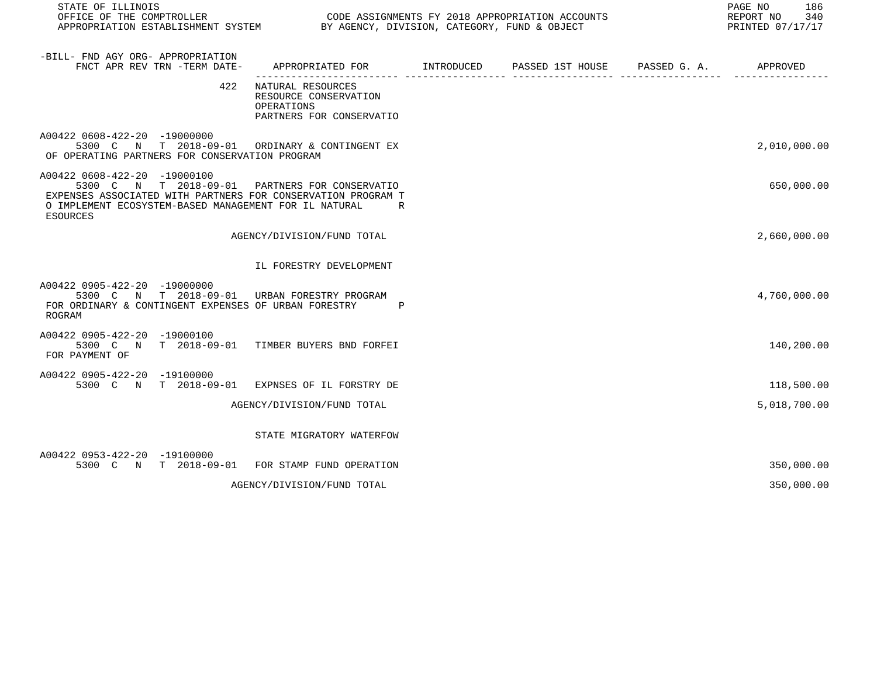| STATE OF ILLINOIS                                                                                                                                                                                                          |                                                                                      |  | 186<br>PAGE NO<br>REPORT NO<br>340<br>PRINTED 07/17/17 |
|----------------------------------------------------------------------------------------------------------------------------------------------------------------------------------------------------------------------------|--------------------------------------------------------------------------------------|--|--------------------------------------------------------|
| -BILL- FND AGY ORG- APPROPRIATION<br>FNCT APR REV TRN -TERM DATE- APPROPRIATED FOR TINTRODUCED PASSED 1ST HOUSE PASSED G. A. APPROVED                                                                                      |                                                                                      |  |                                                        |
| 422                                                                                                                                                                                                                        | NATURAL RESOURCES<br>RESOURCE CONSERVATION<br>OPERATIONS<br>PARTNERS FOR CONSERVATIO |  |                                                        |
| A00422 0608-422-20 -19000000<br>5300 C N T 2018-09-01 ORDINARY & CONTINGENT EX<br>OF OPERATING PARTNERS FOR CONSERVATION PROGRAM                                                                                           |                                                                                      |  | 2,010,000.00                                           |
| A00422 0608-422-20 -19000100<br>5300 C N T 2018-09-01 PARTNERS FOR CONSERVATIO<br>EXPENSES ASSOCIATED WITH PARTNERS FOR CONSERVATION PROGRAM T<br>O IMPLEMENT ECOSYSTEM-BASED MANAGEMENT FOR IL NATURAL<br><b>ESOURCES</b> | R                                                                                    |  | 650,000.00                                             |
|                                                                                                                                                                                                                            | AGENCY/DIVISION/FUND TOTAL                                                           |  | 2,660,000.00                                           |
|                                                                                                                                                                                                                            | IL FORESTRY DEVELOPMENT                                                              |  |                                                        |
| A00422 0905-422-20 -19000000<br>5300 C N T 2018-09-01 URBAN FORESTRY PROGRAM<br>FOR ORDINARY & CONTINGENT EXPENSES OF URBAN FORESTRY<br>ROGRAM                                                                             | $\mathbb P$                                                                          |  | 4,760,000.00                                           |
| A00422 0905-422-20 -19000100<br>5300 C N T 2018-09-01 TIMBER BUYERS BND FORFEI<br>FOR PAYMENT OF                                                                                                                           |                                                                                      |  | 140,200.00                                             |
| A00422 0905-422-20 -19100000<br>5300 C N T 2018-09-01 EXPNSES OF IL FORSTRY DE                                                                                                                                             |                                                                                      |  | 118,500.00                                             |
|                                                                                                                                                                                                                            | AGENCY/DIVISION/FUND TOTAL                                                           |  | 5,018,700.00                                           |
|                                                                                                                                                                                                                            | STATE MIGRATORY WATERFOW                                                             |  |                                                        |
| A00422 0953-422-20 -19100000<br>5300 C N T 2018-09-01 FOR STAMP FUND OPERATION                                                                                                                                             |                                                                                      |  | 350,000.00                                             |
|                                                                                                                                                                                                                            | AGENCY/DIVISION/FUND TOTAL                                                           |  | 350,000.00                                             |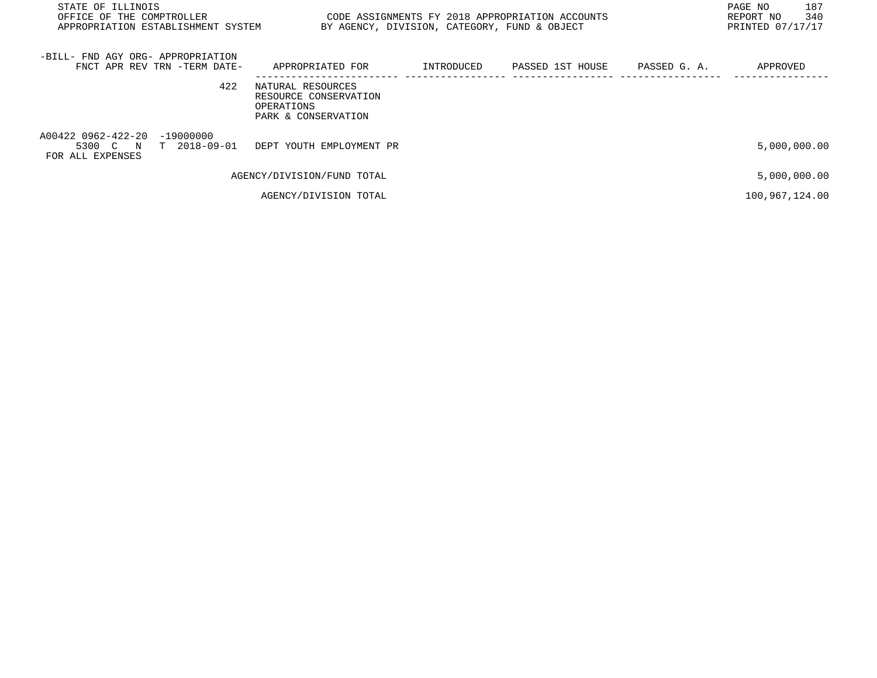| STATE OF ILLINOIS<br>OFFICE OF THE COMPTROLLER<br>APPROPRIATION ESTABLISHMENT SYSTEM |                                                                                 |            | CODE ASSIGNMENTS FY 2018 APPROPRIATION ACCOUNTS<br>BY AGENCY, DIVISION, CATEGORY, FUND & OBJECT |              | 187<br>PAGE NO<br>340<br>REPORT NO<br>PRINTED 07/17/17 |
|--------------------------------------------------------------------------------------|---------------------------------------------------------------------------------|------------|-------------------------------------------------------------------------------------------------|--------------|--------------------------------------------------------|
| -BILL- FND AGY ORG- APPROPRIATION<br>FNCT APR REV TRN -TERM DATE-                    | APPROPRIATED FOR                                                                | INTRODUCED | PASSED 1ST HOUSE                                                                                | PASSED G. A. | APPROVED                                               |
| 422                                                                                  | NATURAL RESOURCES<br>RESOURCE CONSERVATION<br>OPERATIONS<br>PARK & CONSERVATION |            |                                                                                                 |              |                                                        |
| A00422 0962-422-20 -19000000<br>5300 C N T 2018-09-01<br>FOR ALL EXPENSES            | DEPT YOUTH EMPLOYMENT PR                                                        |            |                                                                                                 |              | 5,000,000.00                                           |
|                                                                                      | AGENCY/DIVISION/FUND TOTAL                                                      |            |                                                                                                 |              | 5,000,000.00                                           |
|                                                                                      | AGENCY/DIVISION TOTAL                                                           |            |                                                                                                 |              | 100,967,124.00                                         |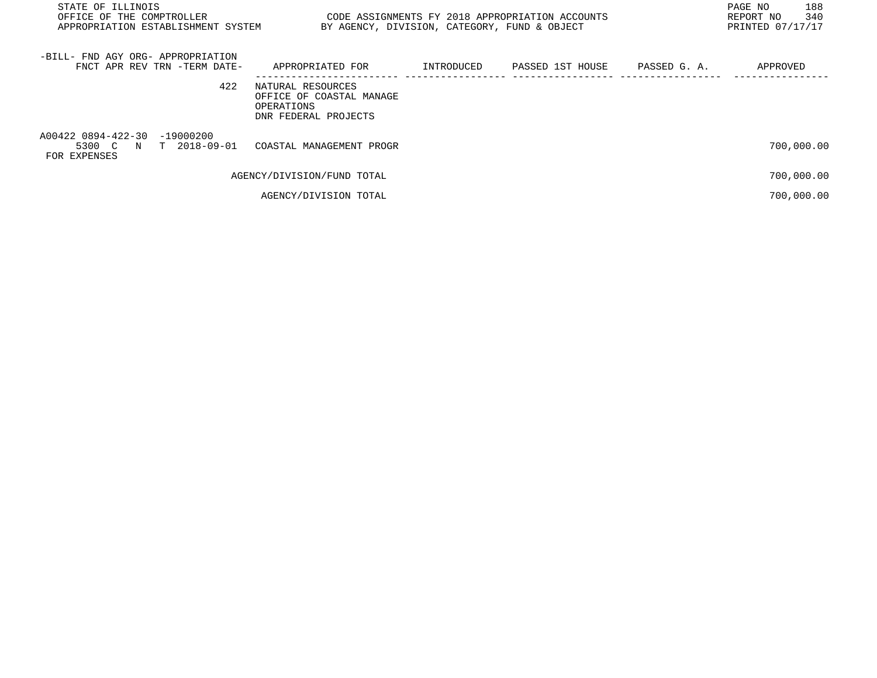| STATE OF ILLINOIS<br>CODE ASSIGNMENTS FY 2018 APPROPRIATION ACCOUNTS<br>OFFICE OF THE COMPTROLLER<br>APPROPRIATION ESTABLISHMENT SYSTEM<br>BY AGENCY, DIVISION, CATEGORY, FUND & OBJECT |                                                                                     |            |                  |              | 188<br>PAGE NO<br>340<br>REPORT NO<br>PRINTED 07/17/17 |
|-----------------------------------------------------------------------------------------------------------------------------------------------------------------------------------------|-------------------------------------------------------------------------------------|------------|------------------|--------------|--------------------------------------------------------|
| -BILL- FND AGY ORG- APPROPRIATION<br>FNCT APR REV TRN -TERM DATE-                                                                                                                       | APPROPRIATED FOR                                                                    | INTRODUCED | PASSED 1ST HOUSE | PASSED G. A. | APPROVED                                               |
| 422                                                                                                                                                                                     | NATURAL RESOURCES<br>OFFICE OF COASTAL MANAGE<br>OPERATIONS<br>DNR FEDERAL PROJECTS |            |                  |              |                                                        |
| A00422 0894-422-30 -19000200<br>5300 C N T 2018-09-01<br>FOR EXPENSES                                                                                                                   | COASTAL MANAGEMENT PROGR                                                            |            |                  |              | 700,000.00                                             |
|                                                                                                                                                                                         | AGENCY/DIVISION/FUND TOTAL                                                          |            |                  |              | 700,000.00                                             |
|                                                                                                                                                                                         | AGENCY/DIVISION TOTAL                                                               |            |                  |              | 700,000.00                                             |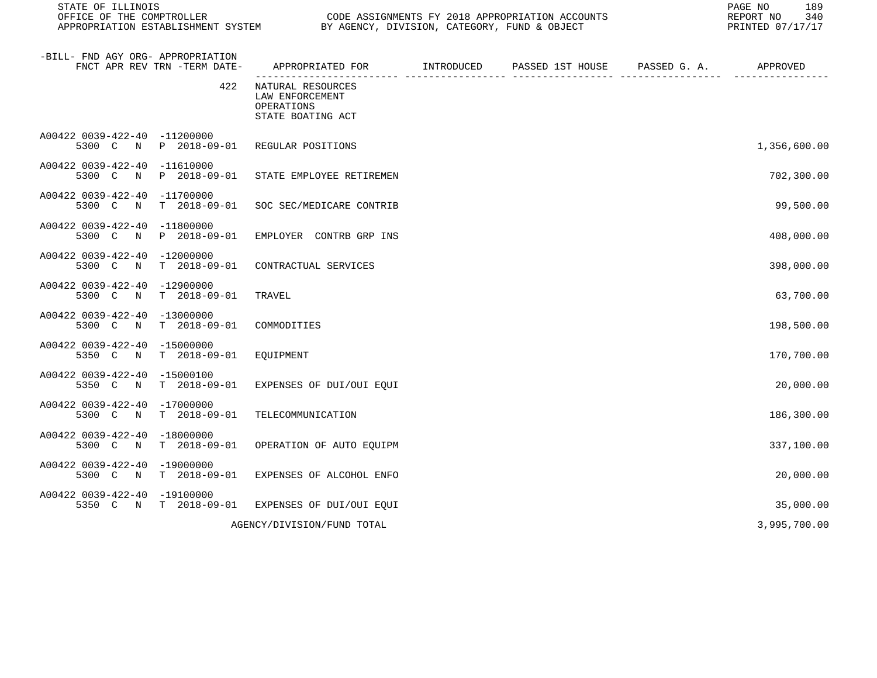| STATE OF ILLINOIS<br>OFFICE OF THE COMPTROLLER<br>CODE ASSIGNMENTS FY 2018 APPROPRIATION ACCOUNTS<br>APPROPRIATION ESTABLISHMENT SYSTEM BY AGENCY, DIVISION, CATEGORY, FUND & OBJECT |                                      |                                                                         |  | PAGE NO<br>189<br>REPORT NO<br>340<br>PRINTED 07/17/17 |  |              |
|--------------------------------------------------------------------------------------------------------------------------------------------------------------------------------------|--------------------------------------|-------------------------------------------------------------------------|--|--------------------------------------------------------|--|--------------|
| -BILL- FND AGY ORG- APPROPRIATION                                                                                                                                                    | FNCT APR REV TRN -TERM DATE-         | APPROPRIATED FOR INTRODUCED                                             |  | PASSED 1ST HOUSE PASSED G. A. APPROVED                 |  |              |
|                                                                                                                                                                                      | 422                                  | NATURAL RESOURCES<br>LAW ENFORCEMENT<br>OPERATIONS<br>STATE BOATING ACT |  |                                                        |  |              |
| A00422 0039-422-40 -11200000                                                                                                                                                         | 5300 C N P 2018-09-01                | REGULAR POSITIONS                                                       |  |                                                        |  | 1,356,600.00 |
| A00422 0039-422-40 -11610000<br>5300 C N                                                                                                                                             | P 2018-09-01                         | STATE EMPLOYEE RETIREMEN                                                |  |                                                        |  | 702,300.00   |
| A00422 0039-422-40 -11700000<br>5300 C<br>$\mathbb N$                                                                                                                                | T 2018-09-01                         | SOC SEC/MEDICARE CONTRIB                                                |  |                                                        |  | 99,500.00    |
| A00422 0039-422-40<br>5300 C N                                                                                                                                                       | -11800000<br>P 2018-09-01            | EMPLOYER CONTRB GRP INS                                                 |  |                                                        |  | 408,000.00   |
| A00422 0039-422-40<br>5300 C<br>$\mathbb N$                                                                                                                                          | $-12000000$<br>T 2018-09-01          | CONTRACTUAL SERVICES                                                    |  |                                                        |  | 398,000.00   |
| A00422 0039-422-40 -12900000<br>5300 C N                                                                                                                                             | T 2018-09-01                         | TRAVEL                                                                  |  |                                                        |  | 63,700.00    |
| A00422 0039-422-40 -13000000                                                                                                                                                         | 5300 C N T 2018-09-01                | COMMODITIES                                                             |  |                                                        |  | 198,500.00   |
| A00422 0039-422-40<br>5350 C N                                                                                                                                                       | $-15000000$<br>T 2018-09-01          | EQUIPMENT                                                               |  |                                                        |  | 170,700.00   |
| A00422 0039-422-40 -15000100<br>5350 C N                                                                                                                                             | T 2018-09-01                         | EXPENSES OF DUI/OUI EQUI                                                |  |                                                        |  | 20,000.00    |
| A00422 0039-422-40 -17000000<br>5300 C N                                                                                                                                             | T 2018-09-01                         | TELECOMMUNICATION                                                       |  |                                                        |  | 186,300.00   |
| A00422 0039-422-40 -18000000<br>5300 C N                                                                                                                                             | T 2018-09-01                         | OPERATION OF AUTO EQUIPM                                                |  |                                                        |  | 337,100.00   |
| A00422 0039-422-40 -19000000<br>5300 C<br>$\mathbb N$                                                                                                                                | T 2018-09-01                         | EXPENSES OF ALCOHOL ENFO                                                |  |                                                        |  | 20,000.00    |
| A00422 0039-422-40                                                                                                                                                                   | $-19100000$<br>5350 C N T 2018-09-01 | EXPENSES OF DUI/OUI EQUI                                                |  |                                                        |  | 35,000.00    |
|                                                                                                                                                                                      |                                      | AGENCY/DIVISION/FUND TOTAL                                              |  |                                                        |  | 3,995,700.00 |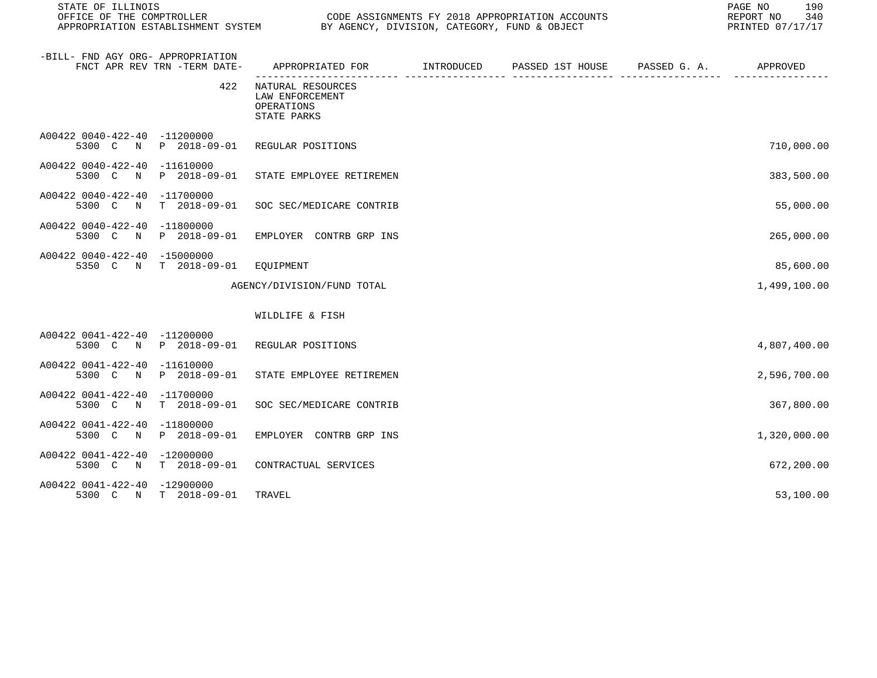STATE OF ILLINOIS PAGE NO 190 CODE ASSIGNMENTS FY 2018 APPROPRIATION ACCOUNTS FOR THE REPORT NO 340 REPORT NO 340 SAN AGENCY, DIVISION, CATEGORY, FUND & OBJECT APPROPRIATION ESTABLISHMENT SYSTEM BY AGENCY, DIVISION, CATEGORY, FUND & OBJECT -BILL- FND AGY ORG- APPROPRIATION

|                                                       | FNCT APR REV TRN -TERM DATE-         | APPROPRIATED FOR                                                  | INTRODUCED | PASSED 1ST HOUSE | PASSED G. A. | APPROVED     |
|-------------------------------------------------------|--------------------------------------|-------------------------------------------------------------------|------------|------------------|--------------|--------------|
|                                                       | 422                                  | NATURAL RESOURCES<br>LAW ENFORCEMENT<br>OPERATIONS<br>STATE PARKS |            |                  |              |              |
| A00422 0040-422-40 -11200000<br>5300 C<br>$\mathbb N$ | P 2018-09-01                         | REGULAR POSITIONS                                                 |            |                  |              | 710,000.00   |
| A00422 0040-422-40<br>5300 C<br>$\mathbb N$           | $-11610000$<br>P 2018-09-01          | STATE EMPLOYEE RETIREMEN                                          |            |                  |              | 383,500.00   |
| A00422 0040-422-40<br>5300 C<br>$\mathbb N$           | $-11700000$<br>$T$ 2018-09-01        | SOC SEC/MEDICARE CONTRIB                                          |            |                  |              | 55,000.00    |
| A00422 0040-422-40<br>5300 C N                        | $-11800000$<br>P 2018-09-01          | EMPLOYER CONTRB GRP INS                                           |            |                  |              | 265,000.00   |
| A00422 0040-422-40<br>5350 C N                        | $-15000000$<br>$T = 2018 - 09 - 01$  | EOUIPMENT                                                         |            |                  |              | 85,600.00    |
|                                                       |                                      | AGENCY/DIVISION/FUND TOTAL                                        |            |                  |              | 1,499,100.00 |
|                                                       |                                      | WILDLIFE & FISH                                                   |            |                  |              |              |
| A00422 0041-422-40 -11200000<br>5300 C N              | P 2018-09-01                         | REGULAR POSITIONS                                                 |            |                  |              | 4,807,400.00 |
| A00422 0041-422-40<br>5300 C N                        | $-11610000$<br>P 2018-09-01          | STATE EMPLOYEE RETIREMEN                                          |            |                  |              | 2,596,700.00 |
| A00422 0041-422-40<br>5300 C<br>$\mathbb N$           | $-11700000$<br>$T = 2018 - 09 - 01$  | SOC SEC/MEDICARE CONTRIB                                          |            |                  |              | 367,800.00   |
| A00422 0041-422-40<br>5300 C N                        | $-11800000$<br>P 2018-09-01          | EMPLOYER CONTRB GRP INS                                           |            |                  |              | 1,320,000.00 |
| A00422 0041-422-40<br>5300 C N                        | $-12000000$<br>$T$ 2018-09-01        | CONTRACTUAL SERVICES                                              |            |                  |              | 672,200.00   |
| A00422 0041-422-40                                    | $-12900000$<br>5300 C N T 2018-09-01 | TRAVEL                                                            |            |                  |              | 53,100.00    |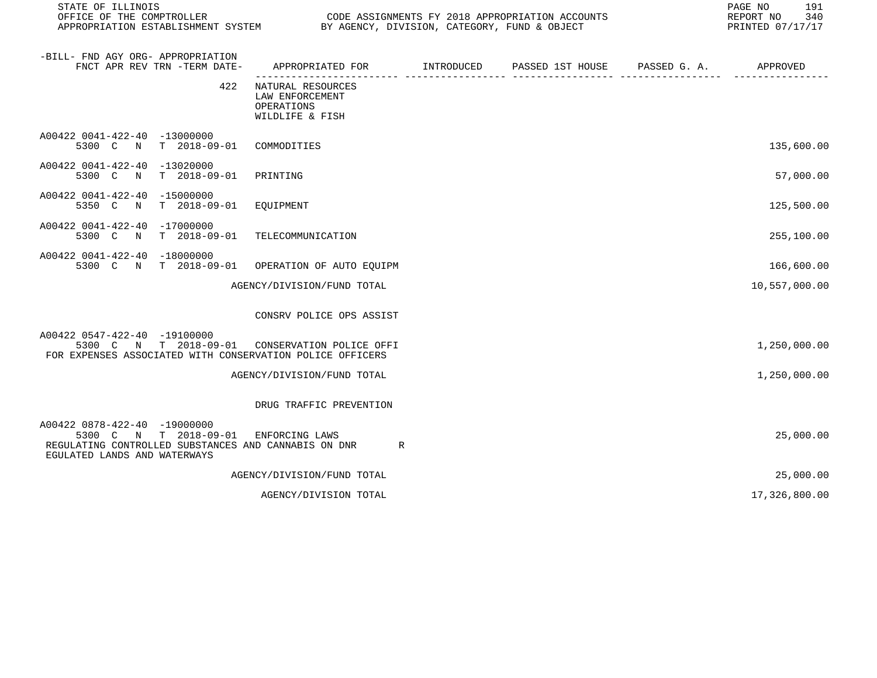| STATE OF ILLINOIS<br>OFFICE OF THE COMPTROLLER<br>APPROPRIATION ESTABLISHMENT SYSTEM                                                          | CODE ASSIGNMENTS FY 2018 APPROPRIATION ACCOUNTS<br>BY AGENCY, DIVISION, CATEGORY, FUND & OBJECT |            | PAGE NO<br>191<br>340<br>REPORT NO<br>PRINTED 07/17/17 |              |               |
|-----------------------------------------------------------------------------------------------------------------------------------------------|-------------------------------------------------------------------------------------------------|------------|--------------------------------------------------------|--------------|---------------|
| -BILL- FND AGY ORG- APPROPRIATION<br>FNCT APR REV TRN -TERM DATE-                                                                             | APPROPRIATED FOR                                                                                | INTRODUCED | PASSED 1ST HOUSE                                       | PASSED G. A. | APPROVED      |
| 422                                                                                                                                           | NATURAL RESOURCES<br>LAW ENFORCEMENT<br>OPERATIONS<br>WILDLIFE & FISH                           |            |                                                        |              |               |
| A00422 0041-422-40 -13000000<br>$T = 2018 - 09 - 01$<br>5300 C N                                                                              | COMMODITIES                                                                                     |            |                                                        |              | 135,600.00    |
| A00422 0041-422-40<br>-13020000<br>5300 C N<br>T 2018-09-01                                                                                   | PRINTING                                                                                        |            |                                                        |              | 57,000.00     |
| A00422 0041-422-40 -15000000<br>5350 C N<br>$T = 2018 - 09 - 01$                                                                              | EQUIPMENT                                                                                       |            |                                                        |              | 125,500.00    |
| A00422 0041-422-40 -17000000<br>5300 C N<br>T 2018-09-01                                                                                      | TELECOMMUNICATION                                                                               |            |                                                        |              | 255,100.00    |
| A00422 0041-422-40 -18000000<br>5300 C N T 2018-09-01                                                                                         | OPERATION OF AUTO EQUIPM                                                                        |            |                                                        |              | 166,600.00    |
|                                                                                                                                               | AGENCY/DIVISION/FUND TOTAL                                                                      |            |                                                        |              | 10,557,000.00 |
|                                                                                                                                               | CONSRV POLICE OPS ASSIST                                                                        |            |                                                        |              |               |
| A00422 0547-422-40 -19100000<br>5300 C N T 2018-09-01<br>FOR EXPENSES ASSOCIATED WITH CONSERVATION POLICE OFFICERS                            | CONSERVATION POLICE OFFI                                                                        |            |                                                        |              | 1,250,000.00  |
|                                                                                                                                               | AGENCY/DIVISION/FUND TOTAL                                                                      |            |                                                        |              | 1,250,000.00  |
|                                                                                                                                               | DRUG TRAFFIC PREVENTION                                                                         |            |                                                        |              |               |
| A00422 0878-422-40 -19000000<br>5300 C N T 2018-09-01<br>REGULATING CONTROLLED SUBSTANCES AND CANNABIS ON DNR<br>EGULATED LANDS AND WATERWAYS | ENFORCING LAWS<br>R                                                                             |            |                                                        |              | 25,000.00     |
|                                                                                                                                               | AGENCY/DIVISION/FUND TOTAL                                                                      |            |                                                        |              | 25,000.00     |
|                                                                                                                                               | AGENCY/DIVISION TOTAL                                                                           |            |                                                        |              | 17,326,800.00 |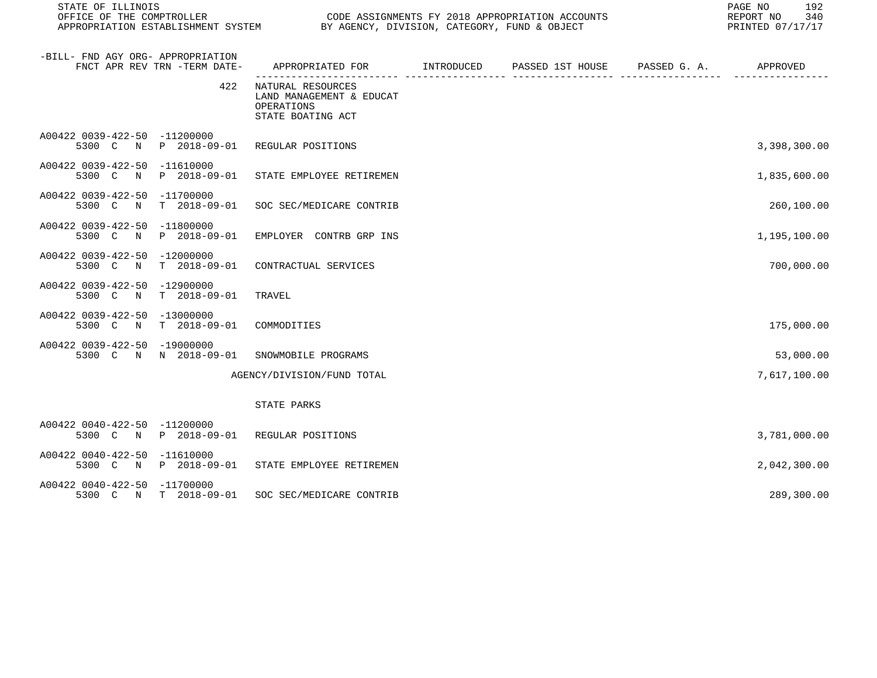| STATE OF ILLINOIS<br>OFFICE OF THE COMPTROLLER                    |                       | CODE ASSIGNMENTS FY 2018 APPROPRIATION ACCOUNTS<br>APPROPRIATION ESTABLISHMENT SYSTEM BY AGENCY, DIVISION, CATEGORY, FUND & OBJECT |  |  |  | 192<br>PAGE NO<br>REPORT NO<br>340<br>PRINTED 07/17/17 |
|-------------------------------------------------------------------|-----------------------|------------------------------------------------------------------------------------------------------------------------------------|--|--|--|--------------------------------------------------------|
| -BILL- FND AGY ORG- APPROPRIATION<br>FNCT APR REV TRN -TERM DATE- |                       | APPROPRIATED FOR         INTRODUCED      PASSED 1ST HOUSE      PASSED G. A.          APPROVED                                      |  |  |  |                                                        |
|                                                                   | 422                   | NATURAL RESOURCES<br>LAND MANAGEMENT & EDUCAT<br>OPERATIONS<br>STATE BOATING ACT                                                   |  |  |  |                                                        |
| A00422 0039-422-50 -11200000                                      |                       | 5300 C N P 2018-09-01 REGULAR POSITIONS                                                                                            |  |  |  | 3,398,300.00                                           |
| A00422 0039-422-50 -11610000<br>5300 C N                          | P 2018-09-01          | STATE EMPLOYEE RETIREMEN                                                                                                           |  |  |  | 1,835,600.00                                           |
| A00422 0039-422-50 -11700000<br>5300 C N                          | T 2018-09-01          | SOC SEC/MEDICARE CONTRIB                                                                                                           |  |  |  | 260,100.00                                             |
| A00422 0039-422-50 -11800000<br>5300 C N                          | P 2018-09-01          | EMPLOYER CONTRB GRP INS                                                                                                            |  |  |  | 1,195,100.00                                           |
| A00422 0039-422-50 -12000000                                      | 5300 C N T 2018-09-01 | CONTRACTUAL SERVICES                                                                                                               |  |  |  | 700,000.00                                             |
| A00422 0039-422-50 -12900000<br>5300 C N T 2018-09-01             |                       | TRAVEL                                                                                                                             |  |  |  |                                                        |
| A00422 0039-422-50 -13000000<br>5300 C N T 2018-09-01             |                       | COMMODITIES                                                                                                                        |  |  |  | 175,000.00                                             |
| A00422 0039-422-50 -19000000<br>5300 C N N 2018-09-01             |                       | SNOWMOBILE PROGRAMS                                                                                                                |  |  |  | 53,000.00                                              |
|                                                                   |                       | AGENCY/DIVISION/FUND TOTAL                                                                                                         |  |  |  | 7,617,100.00                                           |
|                                                                   |                       | STATE PARKS                                                                                                                        |  |  |  |                                                        |
| A00422 0040-422-50 -11200000                                      |                       | 5300 C N P 2018-09-01 REGULAR POSITIONS                                                                                            |  |  |  | 3,781,000.00                                           |
| A00422 0040-422-50 -11610000                                      |                       | 5300 C N P 2018-09-01 STATE EMPLOYEE RETIREMEN                                                                                     |  |  |  | 2,042,300.00                                           |
| A00422 0040-422-50 -11700000<br>5300 C N T 2018-09-01             |                       | SOC SEC/MEDICARE CONTRIB                                                                                                           |  |  |  | 289,300.00                                             |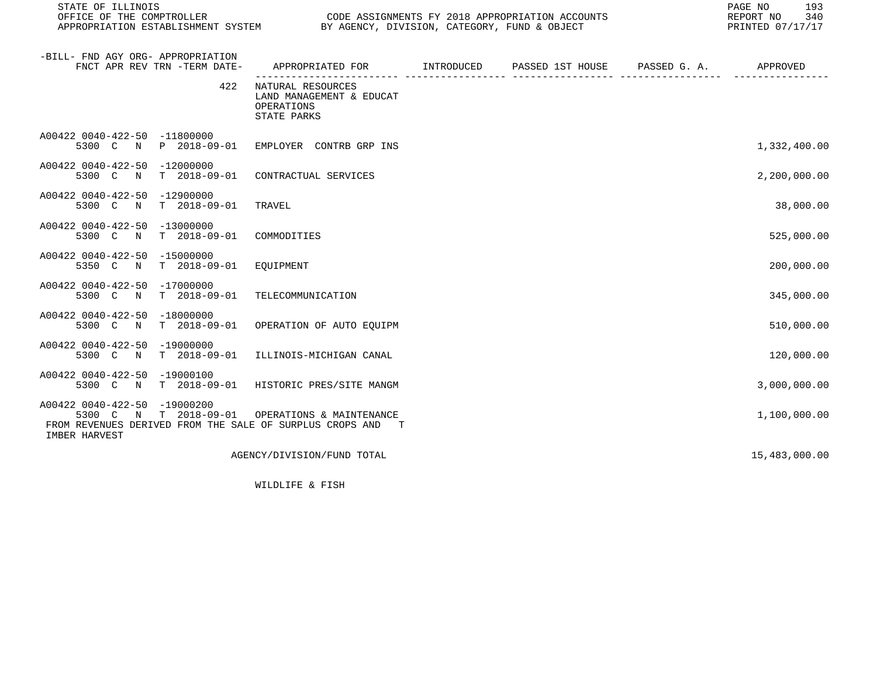| STATE OF ILLINOIS<br>OFFICE OF THE COMPTROLLER<br>APPROPRIATION ESTABLISHMENT SYSTEM                                                                 | CODE ASSIGNMENTS FY 2018 APPROPRIATION ACCOUNTS AND SALE AND SUBJECT       | CODE ASSIGNMENTS FY 2018 APPROPRIATION ACCOUNTS | 193<br>PAGE NO<br>REPORT NO<br>340<br>PRINTED 07/17/17 |
|------------------------------------------------------------------------------------------------------------------------------------------------------|----------------------------------------------------------------------------|-------------------------------------------------|--------------------------------------------------------|
| -BILL- FND AGY ORG- APPROPRIATION<br>FNCT APR REV TRN -TERM DATE-                                                                                    | APPROPRIATED FOR TINTRODUCED PASSED 1ST HOUSE PASSED G.A.                  |                                                 | APPROVED                                               |
| 422                                                                                                                                                  | NATURAL RESOURCES<br>LAND MANAGEMENT & EDUCAT<br>OPERATIONS<br>STATE PARKS |                                                 |                                                        |
| A00422 0040-422-50 -11800000<br>5300 C N P 2018-09-01 EMPLOYER CONTRB GRP INS                                                                        |                                                                            |                                                 | 1,332,400.00                                           |
| A00422 0040-422-50 -12000000<br>$T = 2018 - 09 - 01$<br>5300 C<br>N                                                                                  | CONTRACTUAL SERVICES                                                       |                                                 | 2,200,000.00                                           |
| A00422 0040-422-50 -12900000<br>$T = 2018 - 09 - 01$<br>5300 C<br>$\mathbb N$                                                                        | TRAVEL                                                                     |                                                 | 38,000.00                                              |
| A00422 0040-422-50 -13000000<br>5300 C N T 2018-09-01                                                                                                | COMMODITIES                                                                |                                                 | 525,000.00                                             |
| A00422 0040-422-50 -15000000<br>T 2018-09-01<br>5350 C<br>N                                                                                          | EOUIPMENT                                                                  |                                                 | 200,000.00                                             |
| A00422 0040-422-50 -17000000<br>5300 C<br>T 2018-09-01<br>N                                                                                          | TELECOMMUNICATION                                                          |                                                 | 345,000.00                                             |
| A00422 0040-422-50 -18000000<br>5300 C N<br>$T = 2018 - 09 - 01$                                                                                     | OPERATION OF AUTO EOUIPM                                                   |                                                 | 510,000.00                                             |
| A00422 0040-422-50 -19000000<br>5300 C N T 2018-09-01                                                                                                | ILLINOIS-MICHIGAN CANAL                                                    |                                                 | 120,000.00                                             |
| A00422 0040-422-50 -19000100<br>5300 C N T 2018-09-01                                                                                                | HISTORIC PRES/SITE MANGM                                                   |                                                 | 3,000,000.00                                           |
| A00422 0040-422-50 -19000200<br>T 2018-09-01<br>5300 C<br>$\mathbb N$<br>FROM REVENUES DERIVED FROM THE SALE OF SURPLUS CROPS AND T<br>IMBER HARVEST | OPERATIONS & MAINTENANCE                                                   |                                                 | 1,100,000.00                                           |
|                                                                                                                                                      | AGENCY/DIVISION/FUND TOTAL                                                 |                                                 | 15,483,000.00                                          |

WILDLIFE & FISH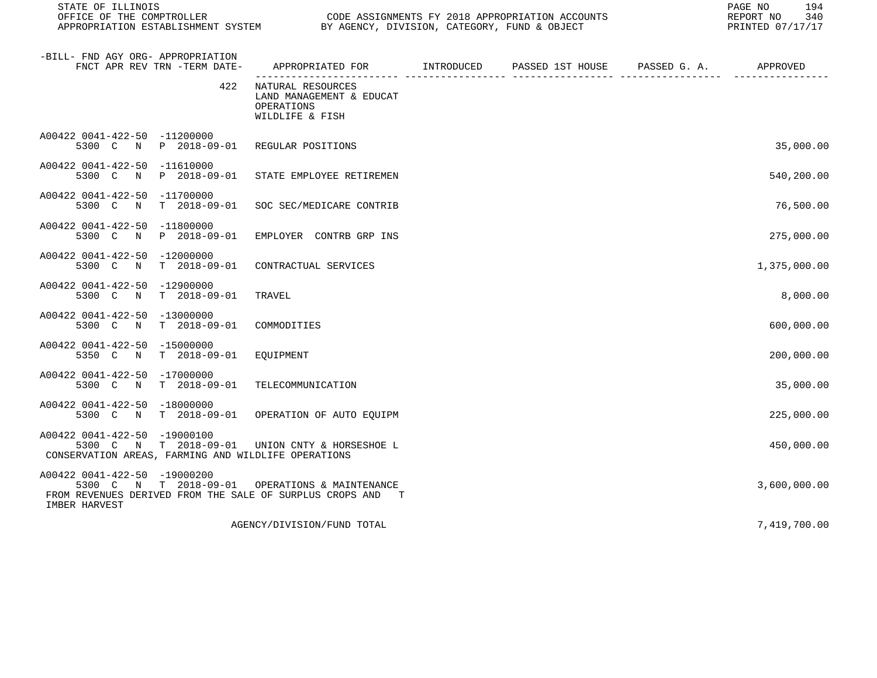| STATE OF ILLINOIS<br>OFFICE OF THE COMPTROLLER<br>CODE ASSIGNMENTS FY 2018 APPROPRIATION ACCOUNTS<br>OFFICE OF THE COMPTROLLER                                   CODE ASSIGNMENTS FY 2018 APPROPRIATION ACCON<br>APPROPRIATION ESTABLISHMENT SYSTEM            BY AGENCY, DIVISION, CATEGORY, FUND & OBJECT |                                                                                |  |                                        | 194<br>PAGE NO<br>REPORT NO<br>340<br>PRINTED 07/17/17 |
|-------------------------------------------------------------------------------------------------------------------------------------------------------------------------------------------------------------------------------------------------------------------------------------------------------------|--------------------------------------------------------------------------------|--|----------------------------------------|--------------------------------------------------------|
| -BILL- FND AGY ORG- APPROPRIATION<br>FNCT APR REV TRN -TERM DATE-                                                                                                                                                                                                                                           | APPROPRIATED FOR INTRODUCED                                                    |  | PASSED 1ST HOUSE PASSED G. A. APPROVED |                                                        |
| 422                                                                                                                                                                                                                                                                                                         | NATURAL RESOURCES<br>LAND MANAGEMENT & EDUCAT<br>OPERATIONS<br>WILDLIFE & FISH |  |                                        |                                                        |
| A00422 0041-422-50 -11200000<br>5300 C N P 2018-09-01                                                                                                                                                                                                                                                       | REGULAR POSITIONS                                                              |  |                                        | 35,000.00                                              |
| A00422 0041-422-50 -11610000<br>5300 C N P 2018-09-01                                                                                                                                                                                                                                                       | STATE EMPLOYEE RETIREMEN                                                       |  |                                        | 540,200.00                                             |
| A00422 0041-422-50 -11700000<br>$T = 2018 - 09 - 01$<br>5300 C<br>$\mathbb N$                                                                                                                                                                                                                               | SOC SEC/MEDICARE CONTRIB                                                       |  |                                        | 76,500.00                                              |
| A00422 0041-422-50 -11800000<br>5300 C N<br>P 2018-09-01                                                                                                                                                                                                                                                    | EMPLOYER CONTRB GRP INS                                                        |  |                                        | 275,000.00                                             |
| A00422 0041-422-50 -12000000<br>5300 C N<br>T 2018-09-01                                                                                                                                                                                                                                                    | CONTRACTUAL SERVICES                                                           |  |                                        | 1,375,000.00                                           |
| A00422 0041-422-50 -12900000<br>5300 C N T 2018-09-01                                                                                                                                                                                                                                                       | TRAVEL                                                                         |  |                                        | 8,000.00                                               |
| A00422 0041-422-50 -13000000<br>5300 C N T 2018-09-01                                                                                                                                                                                                                                                       | COMMODITIES                                                                    |  |                                        | 600,000.00                                             |
| A00422 0041-422-50 -15000000<br>5350 C N T 2018-09-01                                                                                                                                                                                                                                                       | EQUIPMENT                                                                      |  |                                        | 200,000.00                                             |
| A00422 0041-422-50 -17000000<br>5300 C N T 2018-09-01                                                                                                                                                                                                                                                       | TELECOMMUNICATION                                                              |  |                                        | 35,000.00                                              |
| A00422 0041-422-50 -18000000<br>5300 C N T 2018-09-01                                                                                                                                                                                                                                                       | OPERATION OF AUTO EQUIPM                                                       |  |                                        | 225,000.00                                             |
| A00422 0041-422-50 -19000100<br>5300 C N T 2018-09-01 UNION CNTY & HORSESHOE L<br>CONSERVATION AREAS, FARMING AND WILDLIFE OPERATIONS                                                                                                                                                                       |                                                                                |  |                                        | 450,000.00                                             |
| A00422 0041-422-50 -19000200<br>5300 C N T 2018-09-01<br>FROM REVENUES DERIVED FROM THE SALE OF SURPLUS CROPS AND T<br>IMBER HARVEST                                                                                                                                                                        | OPERATIONS & MAINTENANCE                                                       |  |                                        | 3,600,000.00                                           |
|                                                                                                                                                                                                                                                                                                             | AGENCY/DIVISION/FUND TOTAL                                                     |  |                                        | 7,419,700.00                                           |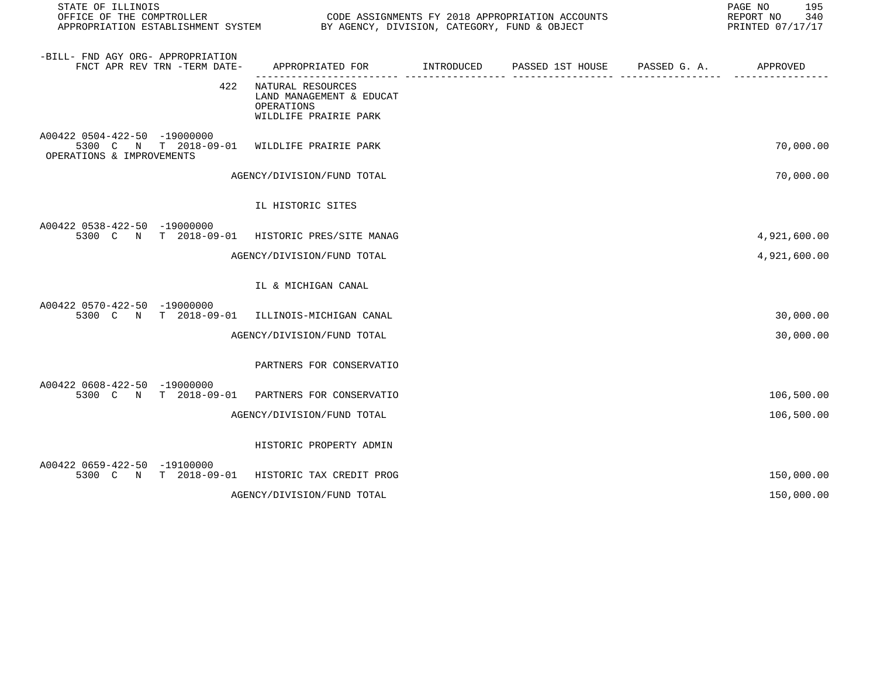| STATE OF ILLINOIS<br>OFFICE OF THE COMPTROLLER CONDUCTER CODE ASSIGNMENTS FY 2018 APPROPRIATION ACCOUNTS<br>APPROPRIATION ESTABLISHMENT SYSTEM BY AGENCY, DIVISION, CATEGORY, FUND & OBJECT |                                                                                           |  | 195<br>PAGE NO<br>REPORT NO<br>340<br>PRINTED 07/17/17 |
|---------------------------------------------------------------------------------------------------------------------------------------------------------------------------------------------|-------------------------------------------------------------------------------------------|--|--------------------------------------------------------|
| -BILL- FND AGY ORG- APPROPRIATION<br>FNCT APR REV TRN -TERM DATE-                                                                                                                           | APPROPRIATED FOR        INTRODUCED     PASSED 1ST HOUSE     PASSED G. A.         APPROVED |  |                                                        |
|                                                                                                                                                                                             | 422 NATURAL RESOURCES<br>LAND MANAGEMENT & EDUCAT<br>OPERATIONS<br>WILDLIFE PRAIRIE PARK  |  |                                                        |
| A00422 0504-422-50 -19000000<br>5300 C N T 2018-09-01 WILDLIFE PRAIRIE PARK<br>OPERATIONS & IMPROVEMENTS                                                                                    |                                                                                           |  | 70,000.00                                              |
|                                                                                                                                                                                             | AGENCY/DIVISION/FUND TOTAL                                                                |  | 70,000.00                                              |
|                                                                                                                                                                                             | IL HISTORIC SITES                                                                         |  |                                                        |
| A00422 0538-422-50 -19000000<br>5300 C N T 2018-09-01 HISTORIC PRES/SITE MANAG                                                                                                              |                                                                                           |  | 4,921,600.00                                           |
|                                                                                                                                                                                             | AGENCY/DIVISION/FUND TOTAL                                                                |  | 4,921,600.00                                           |
|                                                                                                                                                                                             | IL & MICHIGAN CANAL                                                                       |  |                                                        |
| A00422 0570-422-50 -19000000<br>5300 C N T 2018-09-01 ILLINOIS-MICHIGAN CANAL                                                                                                               |                                                                                           |  | 30,000.00                                              |
|                                                                                                                                                                                             | AGENCY/DIVISION/FUND TOTAL                                                                |  | 30,000.00                                              |
|                                                                                                                                                                                             | PARTNERS FOR CONSERVATIO                                                                  |  |                                                        |
| A00422 0608-422-50 -19000000<br>5300 C N T 2018-09-01 PARTNERS FOR CONSERVATIO                                                                                                              |                                                                                           |  | 106,500.00                                             |
|                                                                                                                                                                                             | AGENCY/DIVISION/FUND TOTAL                                                                |  | 106,500.00                                             |
|                                                                                                                                                                                             | HISTORIC PROPERTY ADMIN                                                                   |  |                                                        |
| A00422 0659-422-50 -19100000<br>5300 C N T 2018-09-01 HISTORIC TAX CREDIT PROG                                                                                                              |                                                                                           |  | 150,000.00                                             |
|                                                                                                                                                                                             | AGENCY/DIVISION/FUND TOTAL                                                                |  | 150,000.00                                             |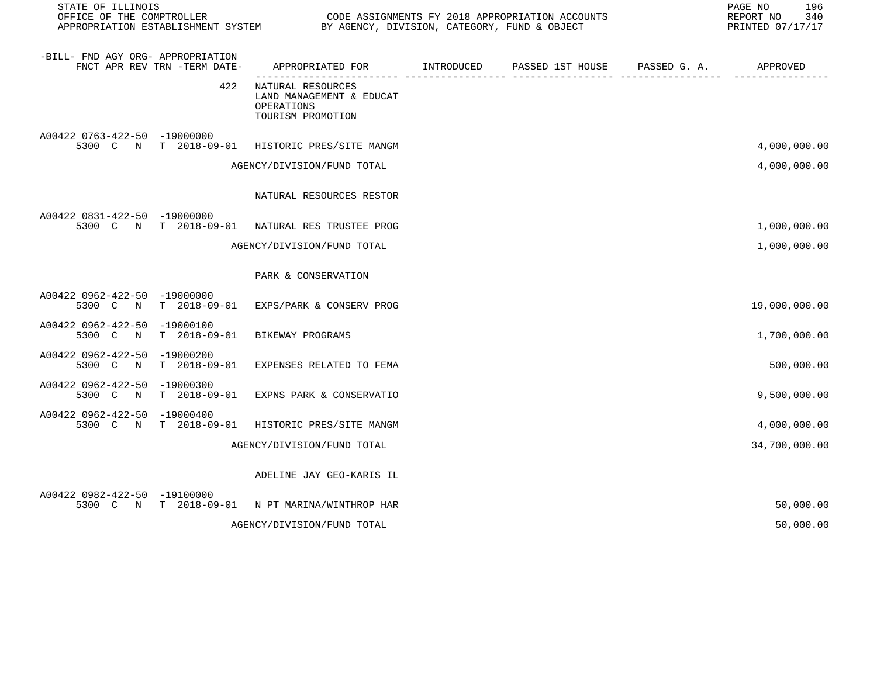| STATE OF ILLINOIS<br>OFFICE OF THE COMPTROLLER<br>CODE ASSIGNMENTS FY 2018 APPROPRIATION ACCOUNTS<br>BY AGENCY, DIVISION, CATEGORY, FUND & OBJECT<br>APPROPRIATION ESTABLISHMENT SYSTEM |                              |                                                                                  |            |                  |              | PAGE NO<br>196<br>REPORT NO<br>340<br>PRINTED 07/17/17 |
|-----------------------------------------------------------------------------------------------------------------------------------------------------------------------------------------|------------------------------|----------------------------------------------------------------------------------|------------|------------------|--------------|--------------------------------------------------------|
| -BILL- FND AGY ORG- APPROPRIATION                                                                                                                                                       | FNCT APR REV TRN -TERM DATE- | APPROPRIATED FOR                                                                 | INTRODUCED | PASSED 1ST HOUSE | PASSED G. A. | APPROVED                                               |
|                                                                                                                                                                                         | 422                          | NATURAL RESOURCES<br>LAND MANAGEMENT & EDUCAT<br>OPERATIONS<br>TOURISM PROMOTION |            |                  |              |                                                        |
| A00422 0763-422-50 -19000000                                                                                                                                                            |                              | 5300 C N T 2018-09-01 HISTORIC PRES/SITE MANGM                                   |            |                  |              | 4,000,000.00                                           |
|                                                                                                                                                                                         |                              | AGENCY/DIVISION/FUND TOTAL                                                       |            |                  |              | 4,000,000.00                                           |
|                                                                                                                                                                                         |                              | NATURAL RESOURCES RESTOR                                                         |            |                  |              |                                                        |
| A00422 0831-422-50 -19000000                                                                                                                                                            | 5300 C N T 2018-09-01        | NATURAL RES TRUSTEE PROG                                                         |            |                  |              | 1,000,000.00                                           |
|                                                                                                                                                                                         |                              | AGENCY/DIVISION/FUND TOTAL                                                       |            |                  |              | 1,000,000.00                                           |
|                                                                                                                                                                                         |                              | PARK & CONSERVATION                                                              |            |                  |              |                                                        |
| A00422 0962-422-50 -19000000<br>5300 C N                                                                                                                                                |                              | T 2018-09-01 EXPS/PARK & CONSERV PROG                                            |            |                  |              | 19,000,000.00                                          |
| A00422 0962-422-50 -19000100<br>5300 C N                                                                                                                                                | $T = 2018 - 09 - 01$         | BIKEWAY PROGRAMS                                                                 |            |                  |              | 1,700,000.00                                           |
| A00422 0962-422-50 -19000200                                                                                                                                                            | 5300 C N T 2018-09-01        | EXPENSES RELATED TO FEMA                                                         |            |                  |              | 500,000.00                                             |
| A00422 0962-422-50 -19000300                                                                                                                                                            | 5300 C N T 2018-09-01        | EXPNS PARK & CONSERVATIO                                                         |            |                  |              | 9,500,000.00                                           |
| A00422 0962-422-50 -19000400                                                                                                                                                            | 5300 C N T 2018-09-01        | HISTORIC PRES/SITE MANGM                                                         |            |                  |              | 4,000,000.00                                           |
|                                                                                                                                                                                         |                              | AGENCY/DIVISION/FUND TOTAL                                                       |            |                  |              | 34,700,000.00                                          |
|                                                                                                                                                                                         |                              | ADELINE JAY GEO-KARIS IL                                                         |            |                  |              |                                                        |
| A00422 0982-422-50 -19100000                                                                                                                                                            |                              | 5300 C N T 2018-09-01 N PT MARINA/WINTHROP HAR                                   |            |                  |              | 50,000.00                                              |
|                                                                                                                                                                                         |                              | AGENCY/DIVISION/FUND TOTAL                                                       |            |                  |              | 50,000.00                                              |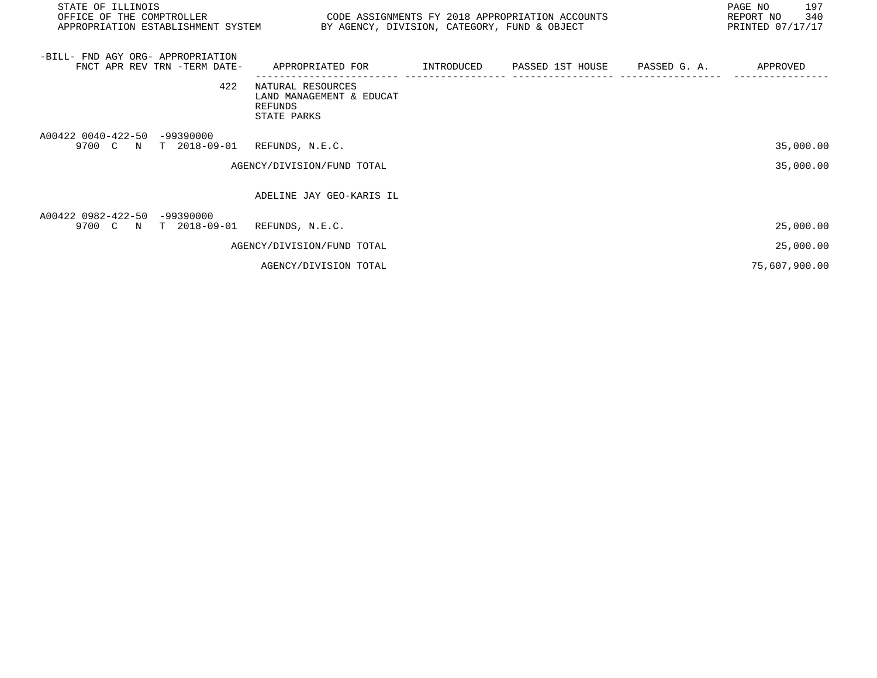| STATE OF ILLINOIS<br>OFFICE OF THE COMPTROLLER<br>APPROPRIATION ESTABLISHMENT SYSTEM | CODE ASSIGNMENTS FY 2018 APPROPRIATION ACCOUNTS<br>BY AGENCY, DIVISION, CATEGORY, FUND & OBJECT |  | 197<br>PAGE NO<br>340<br>REPORT NO<br>PRINTED 07/17/17 |
|--------------------------------------------------------------------------------------|-------------------------------------------------------------------------------------------------|--|--------------------------------------------------------|
| -BILL- FND AGY ORG- APPROPRIATION<br>FNCT APR REV TRN -TERM DATE-                    | APPROPRIATED FOR        INTRODUCED     PASSED 1ST HOUSE     PASSED G. A.                        |  | APPROVED                                               |
| 422                                                                                  | NATURAL RESOURCES<br>LAND MANAGEMENT & EDUCAT<br>REFUNDS<br>STATE PARKS                         |  |                                                        |
| A00422 0040-422-50 -99390000<br>9700 C N T 2018-09-01                                | REFUNDS, N.E.C.<br>AGENCY/DIVISION/FUND TOTAL                                                   |  | 35,000.00<br>35,000.00                                 |
|                                                                                      | ADELINE JAY GEO-KARIS IL                                                                        |  |                                                        |
| A00422 0982-422-50 -99390000<br>9700 C N<br>T 2018-09-01                             | REFUNDS, N.E.C.                                                                                 |  | 25,000.00                                              |
|                                                                                      | AGENCY/DIVISION/FUND TOTAL                                                                      |  | 25,000.00                                              |
|                                                                                      | AGENCY/DIVISION TOTAL                                                                           |  | 75,607,900.00                                          |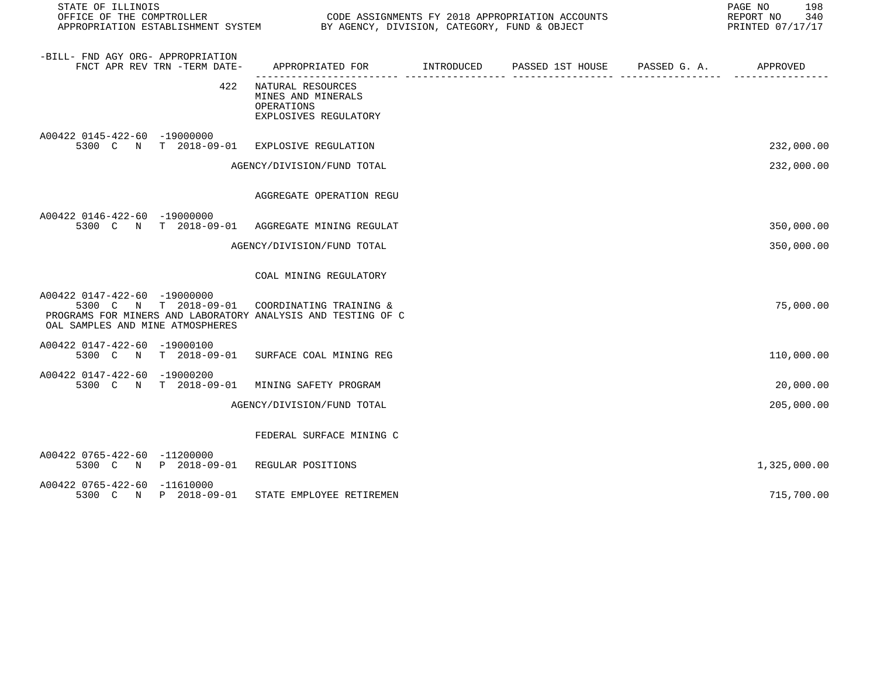| STATE OF ILLINOIS                                                                                                                |                                                                                           |  |  |  |              |  |
|----------------------------------------------------------------------------------------------------------------------------------|-------------------------------------------------------------------------------------------|--|--|--|--------------|--|
| -BILL- FND AGY ORG- APPROPRIATION<br>FNCT APR REV TRN -TERM DATE-                                                                | APPROPRIATED FOR        INTRODUCED     PASSED 1ST HOUSE     PASSED G. A.         APPROVED |  |  |  |              |  |
| 422                                                                                                                              | NATURAL RESOURCES<br>MINES AND MINERALS<br>OPERATIONS<br>EXPLOSIVES REGULATORY            |  |  |  |              |  |
| A00422 0145-422-60 -19000000<br>5300 C N T 2018-09-01 EXPLOSIVE REGULATION                                                       |                                                                                           |  |  |  | 232,000.00   |  |
|                                                                                                                                  | AGENCY/DIVISION/FUND TOTAL                                                                |  |  |  | 232,000.00   |  |
|                                                                                                                                  | AGGREGATE OPERATION REGU                                                                  |  |  |  |              |  |
| A00422 0146-422-60 -19000000                                                                                                     | 5300 C N T 2018-09-01 AGGREGATE MINING REGULAT                                            |  |  |  | 350,000.00   |  |
|                                                                                                                                  | AGENCY/DIVISION/FUND TOTAL                                                                |  |  |  | 350,000.00   |  |
|                                                                                                                                  | COAL MINING REGULATORY                                                                    |  |  |  |              |  |
| A00422 0147-422-60 -19000000<br>PROGRAMS FOR MINERS AND LABORATORY ANALYSIS AND TESTING OF C<br>OAL SAMPLES AND MINE ATMOSPHERES | 5300 C N T 2018-09-01 COORDINATING TRAINING &                                             |  |  |  | 75,000.00    |  |
| A00422 0147-422-60 -19000100                                                                                                     | 5300 C N T 2018-09-01 SURFACE COAL MINING REG                                             |  |  |  | 110,000.00   |  |
| A00422 0147-422-60 -19000200<br>5300 C N T 2018-09-01                                                                            | MINING SAFETY PROGRAM                                                                     |  |  |  | 20,000.00    |  |
|                                                                                                                                  | AGENCY/DIVISION/FUND TOTAL                                                                |  |  |  | 205,000.00   |  |
|                                                                                                                                  | FEDERAL SURFACE MINING C                                                                  |  |  |  |              |  |
| A00422 0765-422-60 -11200000<br>5300 C N P 2018-09-01 REGULAR POSITIONS                                                          |                                                                                           |  |  |  | 1,325,000.00 |  |
| A00422 0765-422-60 -11610000<br>5300 C N P 2018-09-01                                                                            | STATE EMPLOYEE RETIREMEN                                                                  |  |  |  | 715,700.00   |  |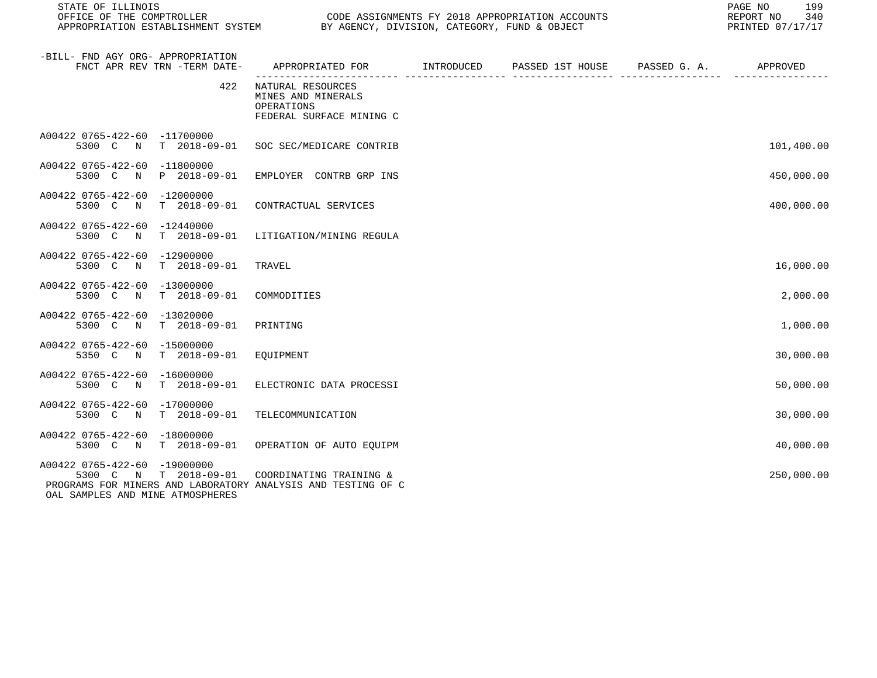| STATE OF ILLINOIS                                                 |     |                                                                                                               |  | 199<br>PAGE NO<br>REPORT NO<br>340<br>PRINTED 07/17/17 |
|-------------------------------------------------------------------|-----|---------------------------------------------------------------------------------------------------------------|--|--------------------------------------------------------|
| -BILL- FND AGY ORG- APPROPRIATION<br>FNCT APR REV TRN -TERM DATE- |     | APPROPRIATED FOR        INTRODUCED      PASSED 1ST HOUSE     PASSED G. A.        APPROVED                     |  |                                                        |
|                                                                   | 422 | NATURAL RESOURCES<br>MINES AND MINERALS<br>OPERATIONS<br>FEDERAL SURFACE MINING C                             |  |                                                        |
| A00422 0765-422-60 -11700000                                      |     | 5300 C N T 2018-09-01 SOC SEC/MEDICARE CONTRIB                                                                |  | 101,400.00                                             |
| A00422 0765-422-60 -11800000<br>5300 C N P 2018-09-01             |     | EMPLOYER CONTRB GRP INS                                                                                       |  | 450,000.00                                             |
| A00422 0765-422-60 -12000000                                      |     | 5300 C N T 2018-09-01 CONTRACTUAL SERVICES                                                                    |  | 400,000.00                                             |
| A00422 0765-422-60 -12440000                                      |     | 5300 C N T 2018-09-01 LITIGATION/MINING REGULA                                                                |  |                                                        |
| A00422 0765-422-60 -12900000<br>5300 C N T 2018-09-01             |     | TRAVEL                                                                                                        |  | 16,000.00                                              |
| A00422 0765-422-60 -13000000<br>5300 C N T 2018-09-01             |     | COMMODITIES                                                                                                   |  | 2,000.00                                               |
| A00422 0765-422-60 -13020000<br>5300 C N T 2018-09-01             |     | PRINTING                                                                                                      |  | 1,000.00                                               |
| A00422 0765-422-60 -15000000<br>5350 C N T 2018-09-01 EQUIPMENT   |     |                                                                                                               |  | 30,000.00                                              |
| A00422 0765-422-60 -16000000                                      |     | 5300 C N T 2018-09-01 ELECTRONIC DATA PROCESSI                                                                |  | 50,000.00                                              |
| A00422 0765-422-60 -17000000<br>5300 C N T 2018-09-01             |     | TELECOMMUNICATION                                                                                             |  | 30,000.00                                              |
| A00422 0765-422-60 -18000000                                      |     | 5300 C N T 2018-09-01 OPERATION OF AUTO EOUIPM                                                                |  | 40,000.00                                              |
| A00422 0765-422-60 -19000000<br>OAL SAMPLES AND MINE ATMOSPHERES  |     | 5300 C N T 2018-09-01 COORDINATING TRAINING &<br>PROGRAMS FOR MINERS AND LABORATORY ANALYSIS AND TESTING OF C |  | 250,000.00                                             |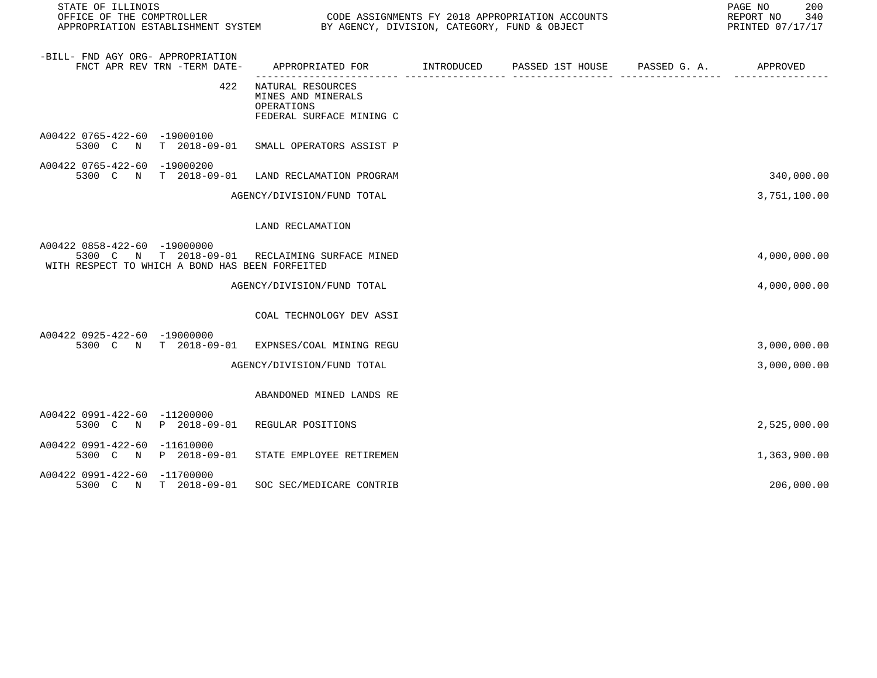| STATE OF ILLINOIS<br>OFFICE OF THE COMPTROLLER<br>APPROPRIATION ESTABLISHMENT SYSTEM |                | CODE ASSIGNMENTS FY 2018 APPROPRIATION ACCOUNTS<br>BY AGENCY, DIVISION, CATEGORY, FUND & OBJECT |            |                  |              | PAGE NO<br>200<br>REPORT NO<br>340<br>PRINTED 07/17/17 |
|--------------------------------------------------------------------------------------|----------------|-------------------------------------------------------------------------------------------------|------------|------------------|--------------|--------------------------------------------------------|
| -BILL- FND AGY ORG- APPROPRIATION<br>FNCT APR REV TRN -TERM DATE-                    |                | APPROPRIATED FOR                                                                                | INTRODUCED | PASSED 1ST HOUSE | PASSED G. A. | APPROVED                                               |
|                                                                                      | 422            | NATURAL RESOURCES<br>MINES AND MINERALS<br>OPERATIONS<br>FEDERAL SURFACE MINING C               |            |                  |              |                                                        |
| A00422 0765-422-60 -19000100<br>5300 C N T 2018-09-01                                |                | SMALL OPERATORS ASSIST P                                                                        |            |                  |              |                                                        |
| A00422 0765-422-60 -19000200<br>5300 C                                               | N T 2018-09-01 | LAND RECLAMATION PROGRAM                                                                        |            |                  |              | 340,000.00                                             |
|                                                                                      |                | AGENCY/DIVISION/FUND TOTAL                                                                      |            |                  |              | 3,751,100.00                                           |
|                                                                                      |                | LAND RECLAMATION                                                                                |            |                  |              |                                                        |
| A00422 0858-422-60 -19000000<br>WITH RESPECT TO WHICH A BOND HAS BEEN FORFEITED      |                | 5300 C N T 2018-09-01 RECLAIMING SURFACE MINED                                                  |            |                  |              | 4,000,000.00                                           |
|                                                                                      |                | AGENCY/DIVISION/FUND TOTAL                                                                      |            |                  |              | 4,000,000.00                                           |
|                                                                                      |                | COAL TECHNOLOGY DEV ASSI                                                                        |            |                  |              |                                                        |
| A00422 0925-422-60 -19000000                                                         |                | 5300 C N T 2018-09-01 EXPNSES/COAL MINING REGU                                                  |            |                  |              | 3,000,000.00                                           |
|                                                                                      |                | AGENCY/DIVISION/FUND TOTAL                                                                      |            |                  |              | 3,000,000.00                                           |
|                                                                                      |                | ABANDONED MINED LANDS RE                                                                        |            |                  |              |                                                        |
| A00422 0991-422-60 -11200000<br>5300 C N P 2018-09-01                                |                | REGULAR POSITIONS                                                                               |            |                  |              | 2,525,000.00                                           |
| A00422 0991-422-60 -11610000<br>5300 C<br>$\mathbb N$                                | P 2018-09-01   | STATE EMPLOYEE RETIREMEN                                                                        |            |                  |              | 1,363,900.00                                           |
| A00422 0991-422-60 -11700000<br>5300 C N T 2018-09-01                                |                | SOC SEC/MEDICARE CONTRIB                                                                        |            |                  |              | 206,000.00                                             |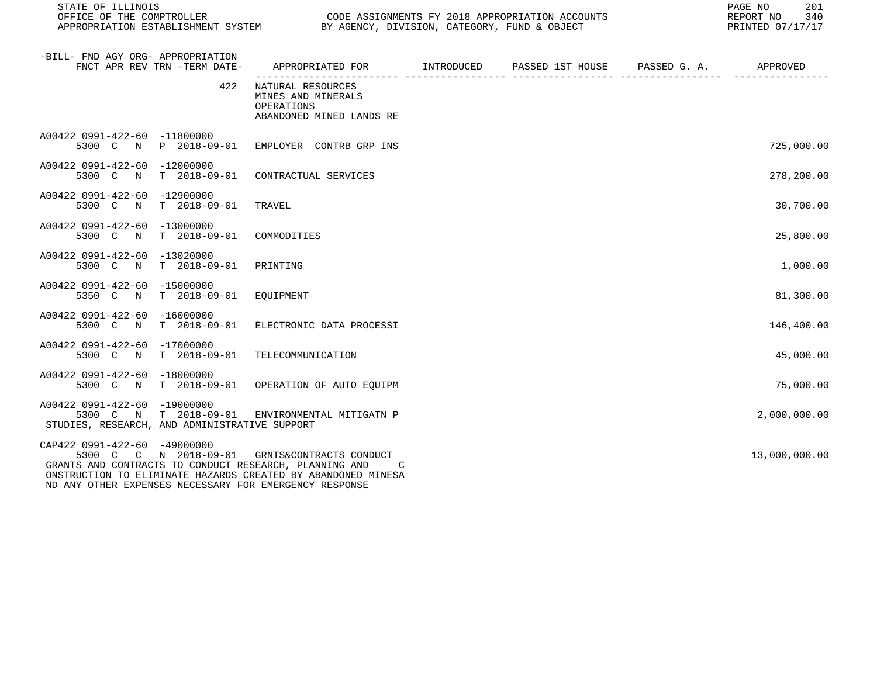| STATE OF ILLINOIS                                                                                                                                                                                                                                                 |                   |                                                                     |                                                                                           | PAGE NO<br>201<br>340<br>REPORT NO<br>PRINTED 07/17/17 |
|-------------------------------------------------------------------------------------------------------------------------------------------------------------------------------------------------------------------------------------------------------------------|-------------------|---------------------------------------------------------------------|-------------------------------------------------------------------------------------------|--------------------------------------------------------|
| -BILL- FND AGY ORG- APPROPRIATION<br>FNCT APR REV TRN -TERM DATE-                                                                                                                                                                                                 |                   |                                                                     | APPROPRIATED FOR        INTRODUCED     PASSED 1ST HOUSE     PASSED G. A.         APPROVED |                                                        |
|                                                                                                                                                                                                                                                                   | 422<br>OPERATIONS | NATURAL RESOURCES<br>MINES AND MINERALS<br>ABANDONED MINED LANDS RE |                                                                                           |                                                        |
| A00422 0991-422-60 -11800000<br>5300 C N P 2018-09-01 EMPLOYER CONTRB GRP INS                                                                                                                                                                                     |                   |                                                                     |                                                                                           | 725,000.00                                             |
| A00422 0991-422-60 -12000000<br>5300 C N T 2018-09-01 CONTRACTUAL SERVICES                                                                                                                                                                                        |                   |                                                                     |                                                                                           | 278,200.00                                             |
| A00422 0991-422-60 -12900000<br>5300 C N T 2018-09-01                                                                                                                                                                                                             | TRAVEL            |                                                                     |                                                                                           | 30,700.00                                              |
| A00422 0991-422-60 -13000000<br>5300 C N T 2018-09-01                                                                                                                                                                                                             | COMMODITIES       |                                                                     |                                                                                           | 25,800.00                                              |
| A00422 0991-422-60 -13020000<br>5300 C N T 2018-09-01                                                                                                                                                                                                             | PRINTING          |                                                                     |                                                                                           | 1,000.00                                               |
| A00422 0991-422-60 -15000000<br>T 2018-09-01<br>5350 C N                                                                                                                                                                                                          | EOUIPMENT         |                                                                     |                                                                                           | 81,300.00                                              |
| A00422 0991-422-60 -16000000<br>5300 C N T 2018-09-01                                                                                                                                                                                                             |                   | ELECTRONIC DATA PROCESSI                                            |                                                                                           | 146,400.00                                             |
| A00422 0991-422-60 -17000000<br>5300 C N T 2018-09-01                                                                                                                                                                                                             |                   | TELECOMMUNICATION                                                   |                                                                                           | 45,000.00                                              |
| A00422 0991-422-60 -18000000<br>5300 C N T 2018-09-01 OPERATION OF AUTO EQUIPM                                                                                                                                                                                    |                   |                                                                     |                                                                                           | 75,000.00                                              |
| A00422 0991-422-60 -19000000<br>5300 C N T 2018-09-01 ENVIRONMENTAL MITIGATN P<br>STUDIES, RESEARCH, AND ADMINISTRATIVE SUPPORT                                                                                                                                   |                   |                                                                     |                                                                                           | 2,000,000.00                                           |
| CAP422 0991-422-60 -49000000<br>5300 C C N 2018-09-01 GRNTS&CONTRACTS CONDUCT<br>GRANTS AND CONTRACTS TO CONDUCT RESEARCH, PLANNING AND<br>ONSTRUCTION TO ELIMINATE HAZARDS CREATED BY ABANDONED MINESA<br>ND ANY OTHER EXPENSES NECESSARY FOR EMERGENCY RESPONSE |                   |                                                                     |                                                                                           | 13,000,000.00                                          |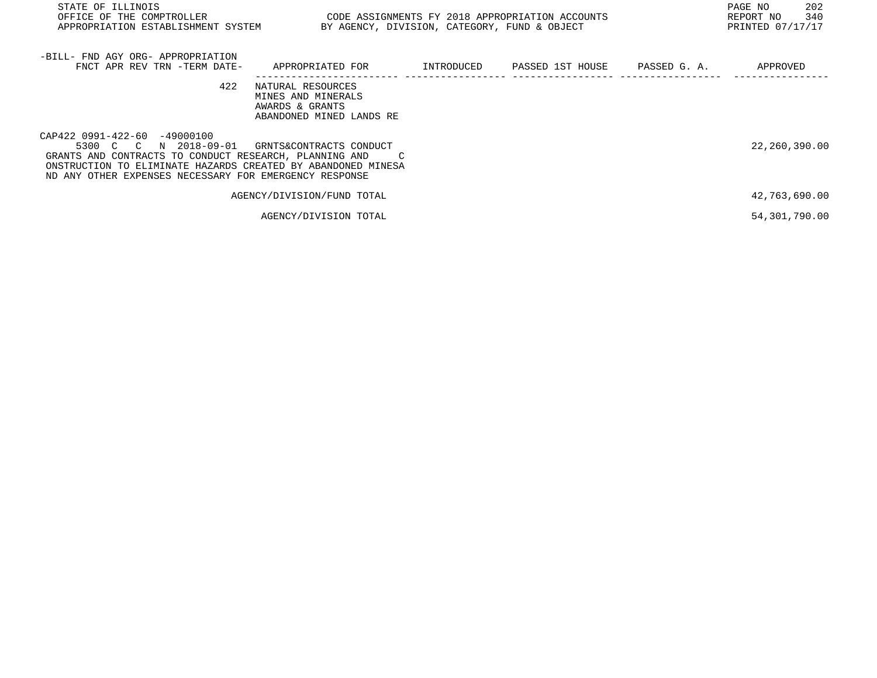| STATE OF ILLINOIS<br>OFFICE OF THE COMPTROLLER<br>APPROPRIATION ESTABLISHMENT SYSTEM                                                                                                                                                         | CODE ASSIGNMENTS FY 2018 APPROPRIATION ACCOUNTS                                        | BY AGENCY, DIVISION, CATEGORY, FUND & OBJECT | PAGE NO<br>202<br>340<br>REPORT NO<br>PRINTED 07/17/17 |
|----------------------------------------------------------------------------------------------------------------------------------------------------------------------------------------------------------------------------------------------|----------------------------------------------------------------------------------------|----------------------------------------------|--------------------------------------------------------|
| -BILL- FND AGY ORG- APPROPRIATION<br>FNCT APR REV TRN -TERM DATE-                                                                                                                                                                            | APPROPRIATED FOR                                                                       | INTRODUCED PASSED 1ST HOUSE PASSED G. A.     | APPROVED                                               |
| 422                                                                                                                                                                                                                                          | NATURAL RESOURCES<br>MINES AND MINERALS<br>AWARDS & GRANTS<br>ABANDONED MINED LANDS RE |                                              |                                                        |
| CAP422 0991-422-60 -49000100<br>N 2018-09-01<br>5300 C C<br>GRANTS AND CONTRACTS TO CONDUCT RESEARCH, PLANNING AND<br>ONSTRUCTION TO ELIMINATE HAZARDS CREATED BY ABANDONED MINESA<br>ND ANY OTHER EXPENSES NECESSARY FOR EMERGENCY RESPONSE | GRNTS&CONTRACTS CONDUCT                                                                |                                              | 22,260,390.00                                          |
|                                                                                                                                                                                                                                              | AGENCY/DIVISION/FUND TOTAL                                                             |                                              | 42,763,690.00                                          |
|                                                                                                                                                                                                                                              | AGENCY/DIVISION TOTAL                                                                  |                                              | 54,301,790.00                                          |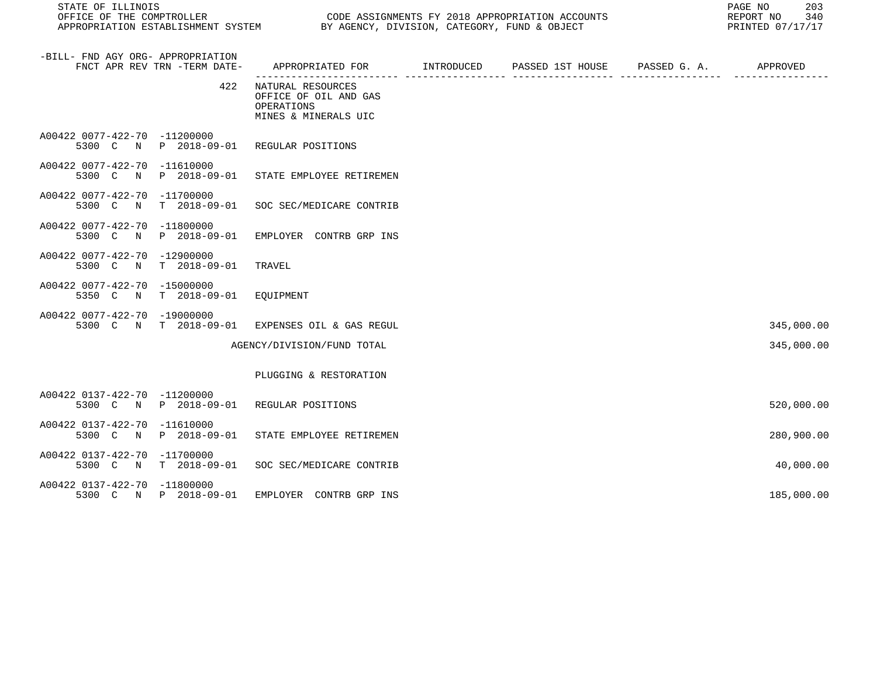| STATE OF ILLINOIS                                                 |                                                                                              | 203<br>PAGE NO<br>REPORT NO 340<br>PRINTED 07/17/17 |
|-------------------------------------------------------------------|----------------------------------------------------------------------------------------------|-----------------------------------------------------|
| -BILL- FND AGY ORG- APPROPRIATION<br>FNCT APR REV TRN -TERM DATE- | APPROPRIATED FOR         INTRODUCED      PASSED 1ST HOUSE      PASSED G. A.         APPROVED |                                                     |
|                                                                   | 422 NATURAL RESOURCES<br>OFFICE OF OIL AND GAS<br>OPERATIONS<br>MINES & MINERALS UIC         |                                                     |
| A00422 0077-422-70 -11200000                                      | 5300 C N P 2018-09-01 REGULAR POSITIONS                                                      |                                                     |
| A00422 0077-422-70 -11610000                                      | 5300 C N P 2018-09-01 STATE EMPLOYEE RETIREMEN                                               |                                                     |
| A00422 0077-422-70 -11700000                                      | 5300 C N T 2018-09-01 SOC SEC/MEDICARE CONTRIB                                               |                                                     |
| A00422 0077-422-70 -11800000                                      | 5300 C N P 2018-09-01 EMPLOYER CONTRB GRP INS                                                |                                                     |
| A00422 0077-422-70 -12900000<br>5300 C N T 2018-09-01             | TRAVEL                                                                                       |                                                     |
| A00422 0077-422-70 -15000000<br>5350 C N T 2018-09-01 EQUIPMENT   |                                                                                              |                                                     |
| A00422 0077-422-70 -19000000                                      | 5300 C N T 2018-09-01 EXPENSES OIL & GAS REGUL                                               | 345,000.00                                          |
|                                                                   | AGENCY/DIVISION/FUND TOTAL                                                                   | 345,000.00                                          |
|                                                                   | PLUGGING & RESTORATION                                                                       |                                                     |
| A00422 0137-422-70 -11200000                                      | 5300 C N P 2018-09-01 REGULAR POSITIONS                                                      | 520,000.00                                          |
| A00422 0137-422-70 -11610000                                      | 5300 C N P 2018-09-01 STATE EMPLOYEE RETIREMEN                                               | 280,900.00                                          |
| A00422 0137-422-70 -11700000                                      |                                                                                              |                                                     |

5300 C N T 2018-09-01 SOC SEC/MEDICARE CONTRIB 40,000.00

5300 C N P 2018-09-01 EMPLOYER CONTRB GRP INS 185,000.00

A00422 0137-422-70 -11800000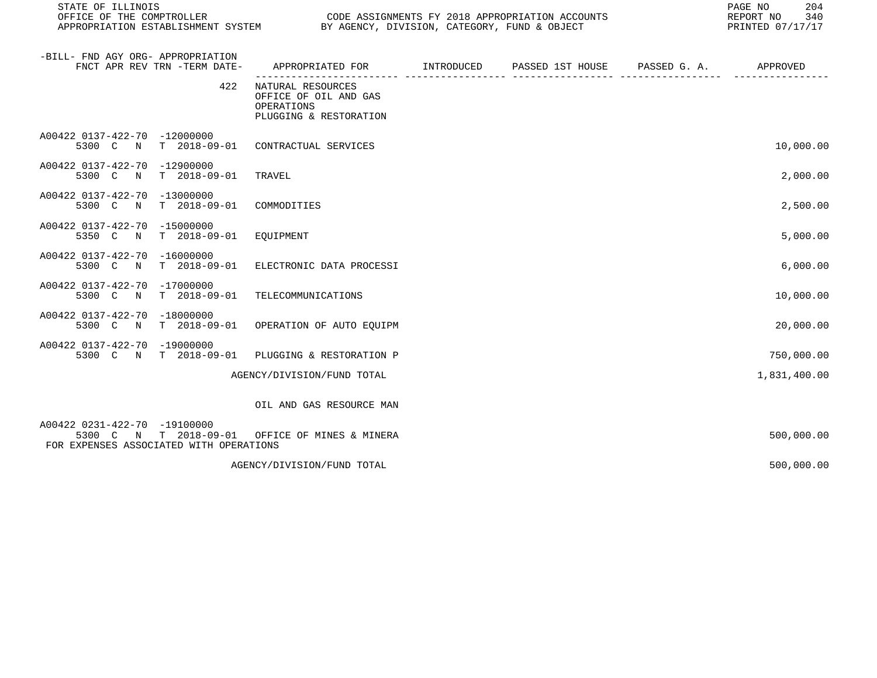| STATE OF ILLINOIS                                                                                |                                                                                    |            |                  |              |              |  |
|--------------------------------------------------------------------------------------------------|------------------------------------------------------------------------------------|------------|------------------|--------------|--------------|--|
| -BILL- FND AGY ORG- APPROPRIATION<br>FNCT APR REV TRN -TERM DATE-                                | APPROPRIATED FOR                                                                   | INTRODUCED | PASSED 1ST HOUSE | PASSED G. A. | APPROVED     |  |
| 422                                                                                              | NATURAL RESOURCES<br>OFFICE OF OIL AND GAS<br>OPERATIONS<br>PLUGGING & RESTORATION |            |                  |              |              |  |
| A00422 0137-422-70 -12000000<br>$T = 2018 - 09 - 01$<br>5300 C<br>$\mathbb N$                    | CONTRACTUAL SERVICES                                                               |            |                  |              | 10,000.00    |  |
| A00422 0137-422-70<br>-12900000<br>5300 C<br>$\mathbb N$<br>T 2018-09-01                         | TRAVEL                                                                             |            |                  |              | 2,000.00     |  |
| A00422 0137-422-70 -13000000<br>5300 C N<br>T 2018-09-01                                         | COMMODITIES                                                                        |            |                  |              | 2,500.00     |  |
| A00422 0137-422-70 -15000000<br>$T = 2018 - 09 - 01$<br>5350 C N                                 | EOUIPMENT                                                                          |            |                  |              | 5,000.00     |  |
| A00422 0137-422-70 -16000000<br>5300 C N<br>$T = 2018 - 09 - 01$                                 | ELECTRONIC DATA PROCESSI                                                           |            |                  |              | 6,000.00     |  |
| A00422 0137-422-70<br>-17000000<br>$T = 2018 - 09 - 01$<br>5300 C<br>$\mathbb N$                 | TELECOMMUNICATIONS                                                                 |            |                  |              | 10,000.00    |  |
| A00422 0137-422-70 -18000000<br>5300 C N<br>T 2018-09-01                                         | OPERATION OF AUTO EQUIPM                                                           |            |                  |              | 20,000.00    |  |
| A00422 0137-422-70 -19000000<br>$T = 2018 - 09 - 01$<br>5300 C N                                 | PLUGGING & RESTORATION P                                                           |            |                  |              | 750,000.00   |  |
|                                                                                                  | AGENCY/DIVISION/FUND TOTAL                                                         |            |                  |              | 1,831,400.00 |  |
|                                                                                                  | OIL AND GAS RESOURCE MAN                                                           |            |                  |              |              |  |
| A00422 0231-422-70 -19100000<br>5300 C N T 2018-09-01<br>FOR EXPENSES ASSOCIATED WITH OPERATIONS | OFFICE OF MINES & MINERA                                                           |            |                  |              | 500,000.00   |  |
|                                                                                                  | AGENCY/DIVISION/FUND TOTAL                                                         |            |                  |              | 500,000.00   |  |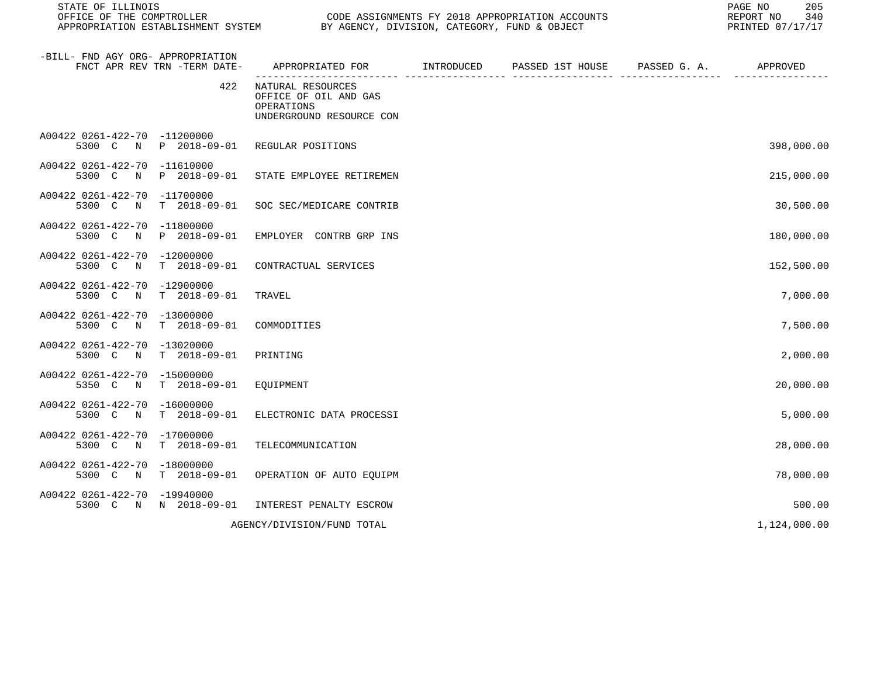| STATE OF ILLINOIS<br>OFFICE OF THE COMPTROLLER                                 |                                                                                      | CODE ASSIGNMENTS FY 2018 APPROPRIATION ACCOUNTS | 205<br>PAGE NO<br>REPORT NO<br>340<br>PRINTED 07/17/17 |
|--------------------------------------------------------------------------------|--------------------------------------------------------------------------------------|-------------------------------------------------|--------------------------------------------------------|
| -BILL- FND AGY ORG- APPROPRIATION<br>FNCT APR REV TRN -TERM DATE-              | APPROPRIATED FOR INTRODUCED                                                          | PASSED 1ST HOUSE PASSED G. A. APPROVED          |                                                        |
| 422                                                                            | NATURAL RESOURCES<br>OFFICE OF OIL AND GAS<br>OPERATIONS<br>UNDERGROUND RESOURCE CON |                                                 |                                                        |
| A00422 0261-422-70 -11200000<br>5300 C N P 2018-09-01                          | REGULAR POSITIONS                                                                    |                                                 | 398,000.00                                             |
| A00422 0261-422-70 -11610000<br>5300 C N<br>P 2018-09-01                       | STATE EMPLOYEE RETIREMEN                                                             |                                                 | 215,000.00                                             |
| A00422 0261-422-70 -11700000<br>5300 C<br>$\mathbb N$                          | T 2018-09-01 SOC SEC/MEDICARE CONTRIB                                                |                                                 | 30,500.00                                              |
| A00422 0261-422-70 -11800000<br>5300 C N P 2018-09-01                          | EMPLOYER CONTRB GRP INS                                                              |                                                 | 180,000.00                                             |
| A00422 0261-422-70 -12000000<br>5300 C N T 2018-09-01                          | CONTRACTUAL SERVICES                                                                 |                                                 | 152,500.00                                             |
| A00422 0261-422-70 -12900000<br>5300 C N T 2018-09-01                          | TRAVEL                                                                               |                                                 | 7,000.00                                               |
| A00422 0261-422-70 -13000000<br>5300 C N T 2018-09-01                          | COMMODITIES                                                                          |                                                 | 7,500.00                                               |
| A00422 0261-422-70 -13020000<br>5300 C N<br>T 2018-09-01                       | PRINTING                                                                             |                                                 | 2,000.00                                               |
| A00422 0261-422-70 -15000000<br>5350 C N<br>$T = 2018 - 09 - 01$               | EQUIPMENT                                                                            |                                                 | 20,000.00                                              |
| A00422 0261-422-70 -16000000<br>5300 C N<br>T 2018-09-01                       | ELECTRONIC DATA PROCESSI                                                             |                                                 | 5,000.00                                               |
| A00422 0261-422-70 -17000000<br>5300 C N T 2018-09-01                          | TELECOMMUNICATION                                                                    |                                                 | 28,000.00                                              |
| A00422 0261-422-70 -18000000<br>5300 C N T 2018-09-01 OPERATION OF AUTO EQUIPM |                                                                                      |                                                 | 78,000.00                                              |
| A00422 0261-422-70 -19940000<br>5300 C N N 2018-09-01                          | INTEREST PENALTY ESCROW                                                              |                                                 | 500.00                                                 |
|                                                                                | AGENCY/DIVISION/FUND TOTAL                                                           |                                                 | 1,124,000.00                                           |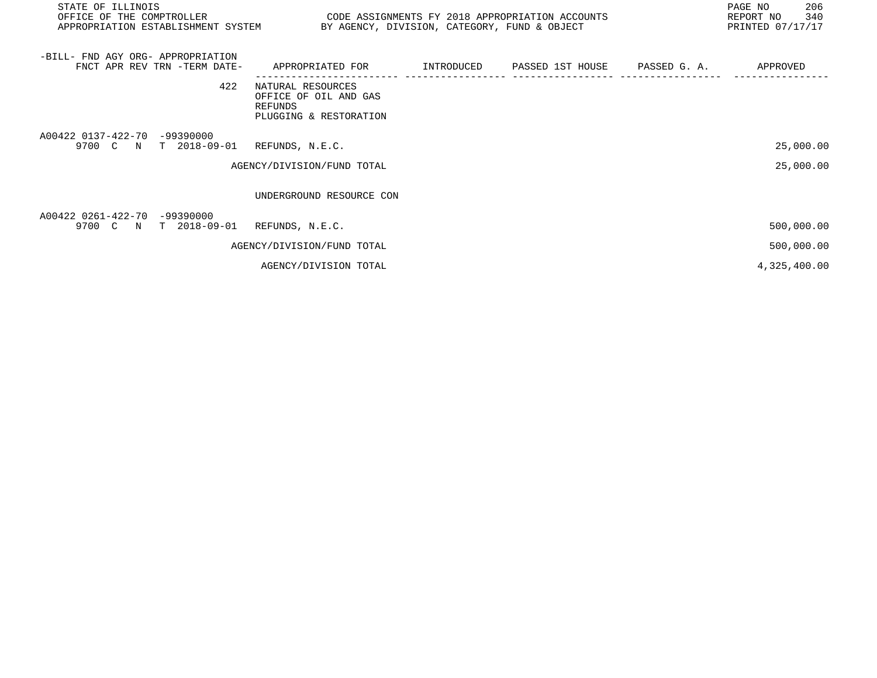| STATE OF ILLINOIS<br>OFFICE OF THE COMPTROLLER<br>APPROPRIATION ESTABLISHMENT SYSTEM BY AGENCY, DIVISION, CATEGORY, FUND & OBJECT | CODE ASSIGNMENTS FY 2018 APPROPRIATION ACCOUNTS                                 |  | 206<br>PAGE NO<br>340<br>REPORT NO<br>PRINTED 07/17/17 |
|-----------------------------------------------------------------------------------------------------------------------------------|---------------------------------------------------------------------------------|--|--------------------------------------------------------|
| -BILL- FND AGY ORG- APPROPRIATION<br>FNCT APR REV TRN -TERM DATE-                                                                 | APPROPRIATED FOR                                                                |  | APPROVED                                               |
| 422                                                                                                                               | NATURAL RESOURCES<br>OFFICE OF OIL AND GAS<br>REFUNDS<br>PLUGGING & RESTORATION |  |                                                        |
| A00422 0137-422-70 -99390000<br>9700 C N T 2018-09-01 REFUNDS, N.E.C.                                                             |                                                                                 |  | 25,000.00                                              |
|                                                                                                                                   | AGENCY/DIVISION/FUND TOTAL                                                      |  | 25,000.00                                              |
|                                                                                                                                   | UNDERGROUND RESOURCE CON                                                        |  |                                                        |
| A00422 0261-422-70 -99390000<br>9700 C N T 2018-09-01                                                                             | REFUNDS, N.E.C.                                                                 |  | 500,000.00                                             |
|                                                                                                                                   | AGENCY/DIVISION/FUND TOTAL                                                      |  | 500,000.00                                             |
|                                                                                                                                   | AGENCY/DIVISION TOTAL                                                           |  | 4,325,400.00                                           |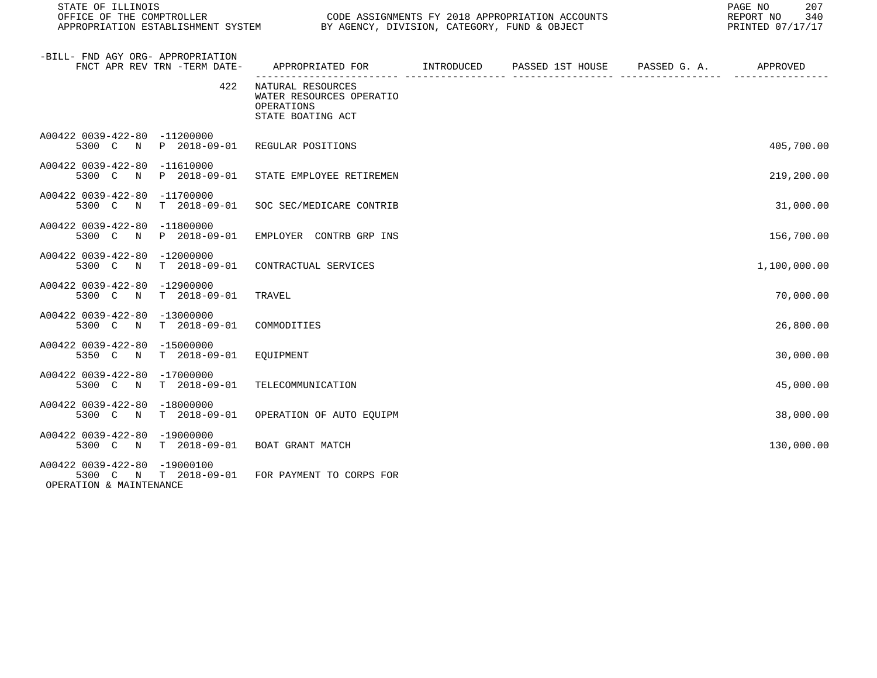| STATE OF ILLINOIS                                       |                              |                                                                                           | PAGE NO<br>207<br>340<br>REPORT NO<br>PRINTED 07/17/17 |  |              |
|---------------------------------------------------------|------------------------------|-------------------------------------------------------------------------------------------|--------------------------------------------------------|--|--------------|
| -BILL- FND AGY ORG- APPROPRIATION                       | FNCT APR REV TRN -TERM DATE- | APPROPRIATED FOR        INTRODUCED     PASSED 1ST HOUSE     PASSED G. A.         APPROVED |                                                        |  |              |
|                                                         | 422                          | NATURAL RESOURCES<br>WATER RESOURCES OPERATIO<br>OPERATIONS<br>STATE BOATING ACT          |                                                        |  |              |
| A00422 0039-422-80 -11200000                            | 5300 C N P 2018-09-01        | REGULAR POSITIONS                                                                         |                                                        |  | 405,700.00   |
| A00422 0039-422-80 -11610000                            | 5300 C N P 2018-09-01        | STATE EMPLOYEE RETIREMEN                                                                  |                                                        |  | 219,200.00   |
| A00422 0039-422-80 -11700000<br>5300 C<br>$\mathbb N$   | T 2018-09-01                 | SOC SEC/MEDICARE CONTRIB                                                                  |                                                        |  | 31,000.00    |
| A00422 0039-422-80 -11800000                            | 5300 C N P 2018-09-01        | EMPLOYER CONTRB GRP INS                                                                   |                                                        |  | 156,700.00   |
| A00422 0039-422-80 -12000000                            | 5300 C N T 2018-09-01        | CONTRACTUAL SERVICES                                                                      |                                                        |  | 1,100,000.00 |
| A00422 0039-422-80 -12900000<br>5300 C N                | T 2018-09-01                 | TRAVEL                                                                                    |                                                        |  | 70,000.00    |
| A00422 0039-422-80 -13000000                            | 5300 C N T 2018-09-01        | COMMODITIES                                                                               |                                                        |  | 26,800.00    |
| A00422 0039-422-80 -15000000                            | 5350 C N T 2018-09-01        | EQUIPMENT                                                                                 |                                                        |  | 30,000.00    |
| A00422 0039-422-80 -17000000                            | 5300 C N T 2018-09-01        | TELECOMMUNICATION                                                                         |                                                        |  | 45,000.00    |
| A00422 0039-422-80 -18000000                            | 5300 C N T 2018-09-01        | OPERATION OF AUTO EOUIPM                                                                  |                                                        |  | 38,000.00    |
| A00422 0039-422-80 -19000000                            | 5300 C N T 2018-09-01        | BOAT GRANT MATCH                                                                          |                                                        |  | 130,000.00   |
| A00422 0039-422-80 -19000100<br>OPERATION & MAINTENANCE | 5300 C N T 2018-09-01        | FOR PAYMENT TO CORPS FOR                                                                  |                                                        |  |              |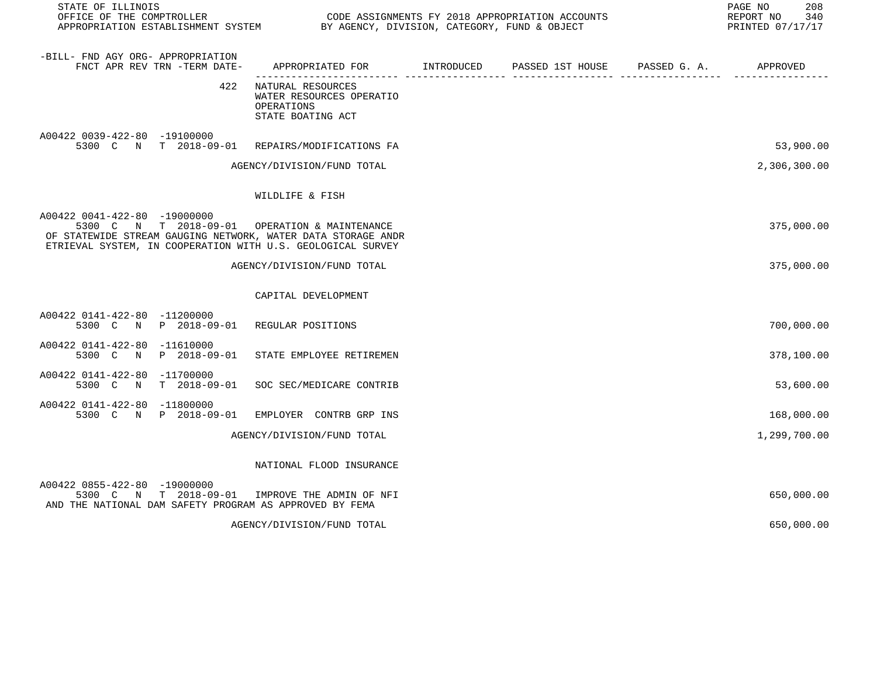| STATE OF ILLINOIS<br>OFFICE OF THE COMPTROLLER                                                                                                                                                               |                                                                                  | CODE ASSIGNMENTS FY 2018 APPROPRIATION ACCOUNTS |                  |                                                   |              |  |
|--------------------------------------------------------------------------------------------------------------------------------------------------------------------------------------------------------------|----------------------------------------------------------------------------------|-------------------------------------------------|------------------|---------------------------------------------------|--------------|--|
| -BILL- FND AGY ORG- APPROPRIATION<br>FNCT APR REV TRN -TERM DATE-                                                                                                                                            | APPROPRIATED FOR INTRODUCED<br>______________________                            |                                                 | PASSED 1ST HOUSE | PASSED G. A.<br>-------------- ------------------ | APPROVED     |  |
| 422                                                                                                                                                                                                          | NATURAL RESOURCES<br>WATER RESOURCES OPERATIO<br>OPERATIONS<br>STATE BOATING ACT |                                                 |                  |                                                   |              |  |
| A00422 0039-422-80 -19100000<br>5300 C N T 2018-09-01                                                                                                                                                        | REPAIRS/MODIFICATIONS FA                                                         |                                                 |                  |                                                   | 53,900.00    |  |
|                                                                                                                                                                                                              | AGENCY/DIVISION/FUND TOTAL                                                       |                                                 |                  |                                                   | 2,306,300.00 |  |
|                                                                                                                                                                                                              | WILDLIFE & FISH                                                                  |                                                 |                  |                                                   |              |  |
| A00422 0041-422-80 -19000000<br>5300 C N T 2018-09-01 OPERATION & MAINTENANCE<br>OF STATEWIDE STREAM GAUGING NETWORK, WATER DATA STORAGE ANDR<br>ETRIEVAL SYSTEM, IN COOPERATION WITH U.S. GEOLOGICAL SURVEY |                                                                                  |                                                 |                  |                                                   | 375,000.00   |  |
|                                                                                                                                                                                                              | AGENCY/DIVISION/FUND TOTAL                                                       |                                                 |                  |                                                   | 375,000.00   |  |
|                                                                                                                                                                                                              | CAPITAL DEVELOPMENT                                                              |                                                 |                  |                                                   |              |  |
| A00422 0141-422-80 -11200000<br>5300 C N P 2018-09-01                                                                                                                                                        | REGULAR POSITIONS                                                                |                                                 |                  |                                                   | 700,000.00   |  |
| A00422 0141-422-80 -11610000<br>5300 C N<br>P 2018-09-01                                                                                                                                                     | STATE EMPLOYEE RETIREMEN                                                         |                                                 |                  |                                                   | 378,100.00   |  |
| A00422 0141-422-80 -11700000<br>$T = 2018 - 09 - 01$<br>5300 C<br>$\mathbb N$                                                                                                                                | SOC SEC/MEDICARE CONTRIB                                                         |                                                 |                  |                                                   | 53,600.00    |  |
| A00422 0141-422-80 -11800000<br>5300 C N<br>P 2018-09-01                                                                                                                                                     | EMPLOYER CONTRB GRP INS                                                          |                                                 |                  |                                                   | 168,000.00   |  |
|                                                                                                                                                                                                              | AGENCY/DIVISION/FUND TOTAL                                                       |                                                 |                  |                                                   | 1,299,700.00 |  |
|                                                                                                                                                                                                              | NATIONAL FLOOD INSURANCE                                                         |                                                 |                  |                                                   |              |  |
| A00422 0855-422-80 -19000000<br>5300 C N T 2018-09-01<br>AND THE NATIONAL DAM SAFETY PROGRAM AS APPROVED BY FEMA                                                                                             | IMPROVE THE ADMIN OF NFI                                                         |                                                 |                  |                                                   | 650,000.00   |  |
|                                                                                                                                                                                                              | AGENCY/DIVISION/FUND TOTAL                                                       |                                                 |                  |                                                   | 650,000.00   |  |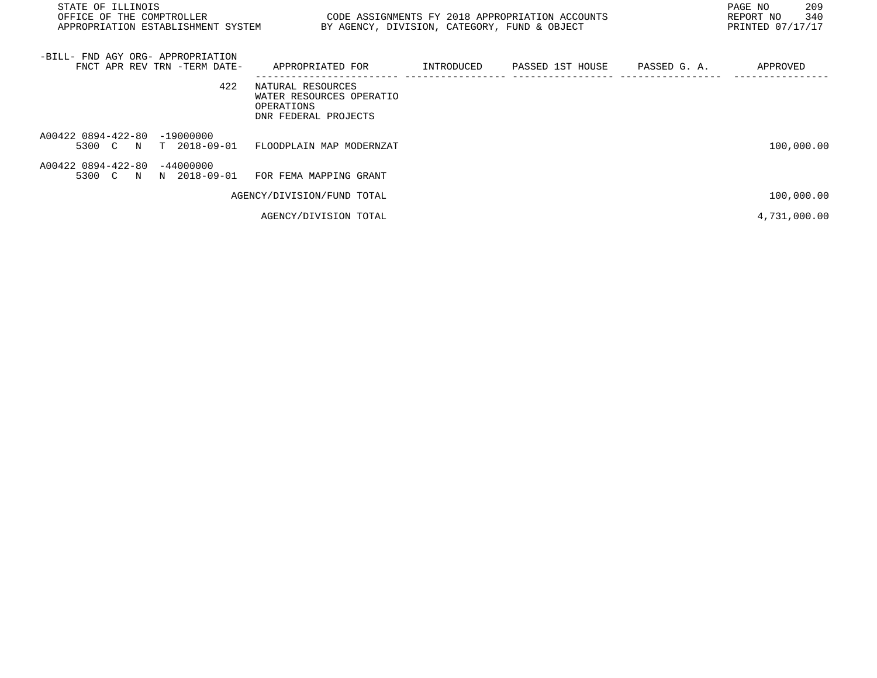| STATE OF ILLINOIS<br>OFFICE OF THE COMPTROLLER<br>APPROPRIATION ESTABLISHMENT SYSTEM | CODE ASSIGNMENTS FY 2018 APPROPRIATION ACCOUNTS<br>BY AGENCY, DIVISION, CATEGORY, FUND & OBJECT |            |                  |              | 209<br>PAGE NO<br>340<br>REPORT NO<br>PRINTED 07/17/17 |
|--------------------------------------------------------------------------------------|-------------------------------------------------------------------------------------------------|------------|------------------|--------------|--------------------------------------------------------|
| -BILL- FND AGY ORG- APPROPRIATION<br>FNCT APR REV TRN -TERM DATE-                    | APPROPRIATED FOR                                                                                | INTRODUCED | PASSED 1ST HOUSE | PASSED G. A. | APPROVED                                               |
| 422                                                                                  | NATURAL RESOURCES<br>WATER RESOURCES OPERATIO<br>OPERATIONS<br>DNR FEDERAL PROJECTS             |            |                  |              |                                                        |
| A00422 0894-422-80 -19000000<br>5300 C N T 2018-09-01                                | FLOODPLAIN MAP MODERNZAT                                                                        |            |                  |              | 100,000.00                                             |
| A00422 0894-422-80 -44000000<br>5300 C N N 2018-09-01                                | FOR FEMA MAPPING GRANT                                                                          |            |                  |              |                                                        |
|                                                                                      | AGENCY/DIVISION/FUND TOTAL                                                                      |            |                  |              | 100,000.00                                             |
|                                                                                      | AGENCY/DIVISION TOTAL                                                                           |            |                  |              | 4,731,000.00                                           |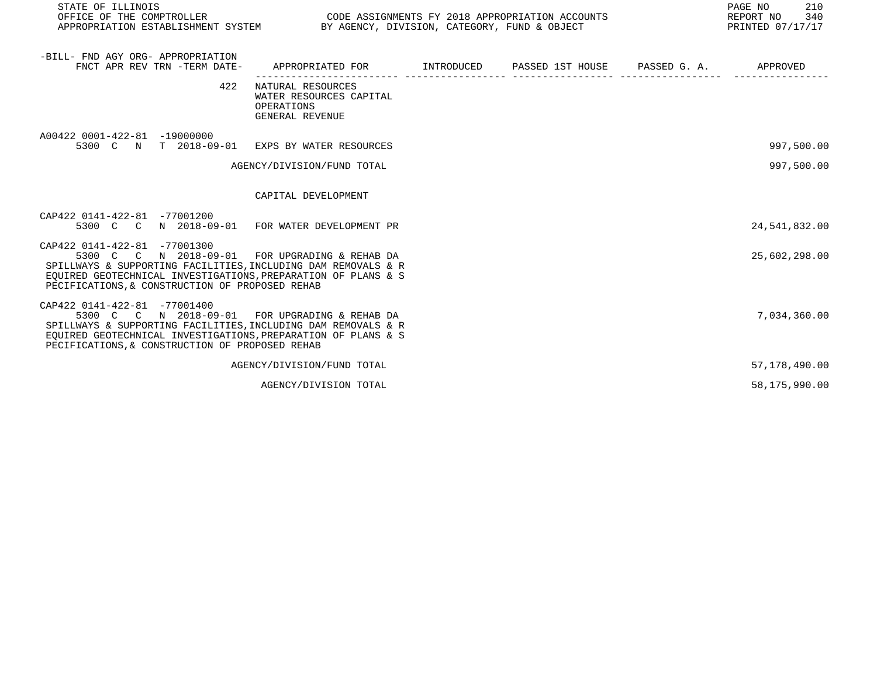| STATE OF ILLINOIS                                                                                                                                                                                                                                                   |                                                                                      |  | PAGE NO<br>210<br>REPORT NO<br>340<br>PRINTED 07/17/17 |
|---------------------------------------------------------------------------------------------------------------------------------------------------------------------------------------------------------------------------------------------------------------------|--------------------------------------------------------------------------------------|--|--------------------------------------------------------|
| -BILL- FND AGY ORG- APPROPRIATION<br>FNCT APR REV TRN -TERM DATE- APPROPRIATED FOR TINTRODUCED PASSED 1ST HOUSE PASSED G. A. APPROVED                                                                                                                               |                                                                                      |  |                                                        |
| 422                                                                                                                                                                                                                                                                 | NATURAL RESOURCES<br>WATER RESOURCES CAPITAL<br>OPERATIONS<br><b>GENERAL REVENUE</b> |  |                                                        |
| A00422 0001-422-81 -19000000<br>5300 C N T 2018-09-01 EXPS BY WATER RESOURCES                                                                                                                                                                                       |                                                                                      |  | 997,500.00                                             |
|                                                                                                                                                                                                                                                                     | AGENCY/DIVISION/FUND TOTAL                                                           |  | 997,500.00                                             |
|                                                                                                                                                                                                                                                                     | CAPITAL DEVELOPMENT                                                                  |  |                                                        |
| CAP422 0141-422-81 -77001200<br>5300 C C N 2018-09-01 FOR WATER DEVELOPMENT PR                                                                                                                                                                                      |                                                                                      |  | 24,541,832.00                                          |
| CAP422 0141-422-81 -77001300<br>5300 C C N 2018-09-01 FOR UPGRADING & REHAB DA<br>SPILLWAYS & SUPPORTING FACILITIES, INCLUDING DAM REMOVALS & R<br>EQUIRED GEOTECHNICAL INVESTIGATIONS, PREPARATION OF PLANS & S<br>PECIFICATIONS, & CONSTRUCTION OF PROPOSED REHAB |                                                                                      |  | 25,602,298.00                                          |
| CAP422 0141-422-81 -77001400<br>5300 C C N 2018-09-01 FOR UPGRADING & REHAB DA<br>SPILLWAYS & SUPPORTING FACILITIES, INCLUDING DAM REMOVALS & R<br>EOUIRED GEOTECHNICAL INVESTIGATIONS, PREPARATION OF PLANS & S<br>PECIFICATIONS, & CONSTRUCTION OF PROPOSED REHAB |                                                                                      |  | 7,034,360.00                                           |
|                                                                                                                                                                                                                                                                     | AGENCY/DIVISION/FUND TOTAL                                                           |  | 57,178,490.00                                          |
|                                                                                                                                                                                                                                                                     | AGENCY/DIVISION TOTAL                                                                |  | 58,175,990.00                                          |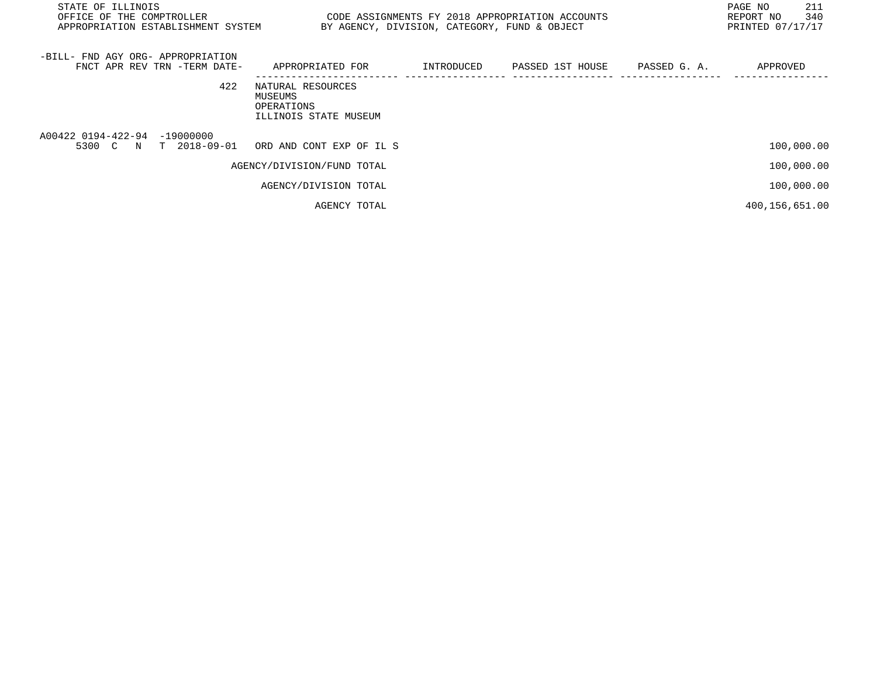| STATE OF ILLINOIS<br>OFFICE OF THE COMPTROLLER<br>APPROPRIATION ESTABLISHMENT SYSTEM |                                                                     | BY AGENCY, DIVISION, CATEGORY, FUND & OBJECT | CODE ASSIGNMENTS FY 2018 APPROPRIATION ACCOUNTS |              | 211<br>PAGE NO<br>340<br>REPORT NO<br>PRINTED 07/17/17 |
|--------------------------------------------------------------------------------------|---------------------------------------------------------------------|----------------------------------------------|-------------------------------------------------|--------------|--------------------------------------------------------|
| -BILL- FND AGY ORG- APPROPRIATION<br>FNCT APR REV TRN -TERM DATE-                    | APPROPRIATED FOR                                                    | INTRODUCED                                   | PASSED 1ST HOUSE                                | PASSED G. A. | APPROVED                                               |
| 422                                                                                  | NATURAL RESOURCES<br>MUSEUMS<br>OPERATIONS<br>ILLINOIS STATE MUSEUM |                                              |                                                 |              |                                                        |
| A00422 0194-422-94 -19000000<br>5300 C N T 2018-09-01                                | ORD AND CONT EXP OF IL S                                            |                                              |                                                 |              | 100,000.00                                             |
|                                                                                      | AGENCY/DIVISION/FUND TOTAL                                          |                                              |                                                 |              | 100,000.00                                             |
|                                                                                      | AGENCY/DIVISION TOTAL                                               |                                              |                                                 |              | 100,000.00                                             |
|                                                                                      | AGENCY TOTAL                                                        |                                              |                                                 |              | 400,156,651.00                                         |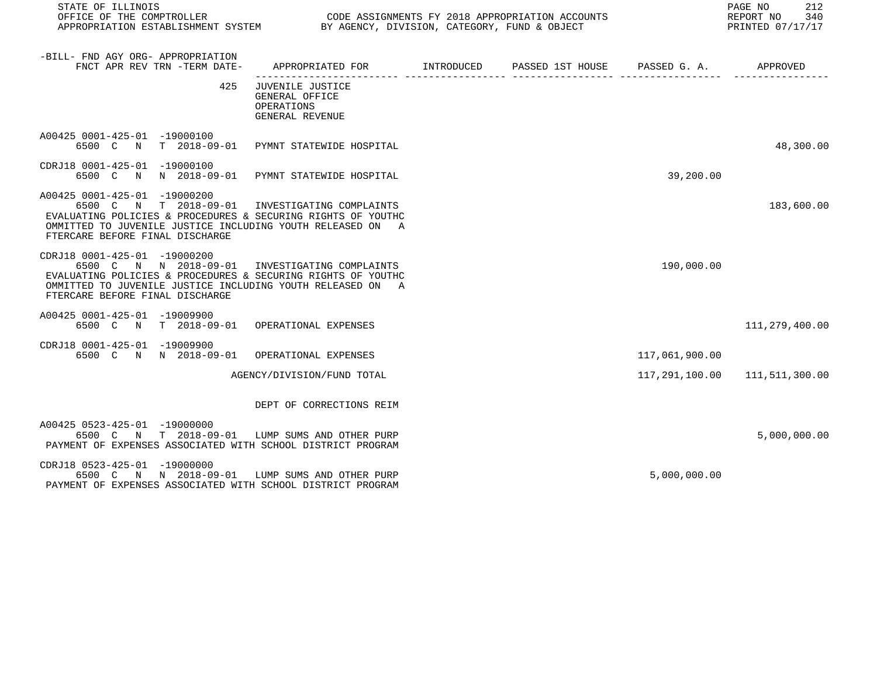| STATE OF ILLINOIS<br>OFFICE OF THE COMPTROLLER<br>APPROPRIATION ESTABLISHMENT SYSTEM BY AGENCY, DIVISION, CATEGORY, FUND & OBJECT                                                                                                               |                                                                                          | CODE ASSIGNMENTS FY 2018 APPROPRIATION ACCOUNTS |                | 212<br>PAGE NO<br>REPORT NO<br>340<br>PRINTED 07/17/17 |
|-------------------------------------------------------------------------------------------------------------------------------------------------------------------------------------------------------------------------------------------------|------------------------------------------------------------------------------------------|-------------------------------------------------|----------------|--------------------------------------------------------|
| -BILL- FND AGY ORG- APPROPRIATION<br>FNCT APR REV TRN -TERM DATE-                                                                                                                                                                               | APPROPRIATED FOR       INTRODUCED     PASSED 1ST HOUSE     PASSED G. A.         APPROVED |                                                 |                |                                                        |
| 425                                                                                                                                                                                                                                             | JUVENILE JUSTICE<br>GENERAL OFFICE<br>OPERATIONS<br>GENERAL REVENUE                      |                                                 |                |                                                        |
| A00425 0001-425-01 -19000100<br>6500 C N T 2018-09-01 PYMNT STATEWIDE HOSPITAL                                                                                                                                                                  |                                                                                          |                                                 |                | 48,300.00                                              |
| CDRJ18 0001-425-01 -19000100<br>6500 C N N 2018-09-01 PYMNT STATEWIDE HOSPITAL                                                                                                                                                                  |                                                                                          |                                                 | 39,200.00      |                                                        |
| A00425 0001-425-01 -19000200<br>6500 C N T 2018-09-01<br>EVALUATING POLICIES & PROCEDURES & SECURING RIGHTS OF YOUTHC<br>OMMITTED TO JUVENILE JUSTICE INCLUDING YOUTH RELEASED ON A<br>FTERCARE BEFORE FINAL DISCHARGE                          | INVESTIGATING COMPLAINTS                                                                 |                                                 |                | 183,600.00                                             |
| CDRJ18 0001-425-01 -19000200<br>6500 C N N 2018-09-01 INVESTIGATING COMPLAINTS<br>EVALUATING POLICIES & PROCEDURES & SECURING RIGHTS OF YOUTHC<br>OMMITTED TO JUVENILE JUSTICE INCLUDING YOUTH RELEASED ON A<br>FTERCARE BEFORE FINAL DISCHARGE |                                                                                          |                                                 | 190,000.00     |                                                        |
| A00425 0001-425-01 -19009900<br>6500 C N T 2018-09-01 OPERATIONAL EXPENSES                                                                                                                                                                      |                                                                                          |                                                 |                | 111,279,400.00                                         |
| CDRJ18 0001-425-01 -19009900<br>6500 C N N 2018-09-01 OPERATIONAL EXPENSES                                                                                                                                                                      |                                                                                          |                                                 | 117,061,900.00 |                                                        |
|                                                                                                                                                                                                                                                 | AGENCY/DIVISION/FUND TOTAL                                                               |                                                 |                | 117, 291, 100.00 111, 511, 300.00                      |
|                                                                                                                                                                                                                                                 | DEPT OF CORRECTIONS REIM                                                                 |                                                 |                |                                                        |
| A00425 0523-425-01 -19000000<br>6500 C N T 2018-09-01 LUMP SUMS AND OTHER PURP<br>PAYMENT OF EXPENSES ASSOCIATED WITH SCHOOL DISTRICT PROGRAM                                                                                                   |                                                                                          |                                                 |                | 5,000,000.00                                           |
| CDRJ18 0523-425-01 -19000000<br>6500 C N N 2018-09-01 LUMP SUMS AND OTHER PURP<br>PAYMENT OF EXPENSES ASSOCIATED WITH SCHOOL DISTRICT PROGRAM                                                                                                   |                                                                                          |                                                 | 5,000,000.00   |                                                        |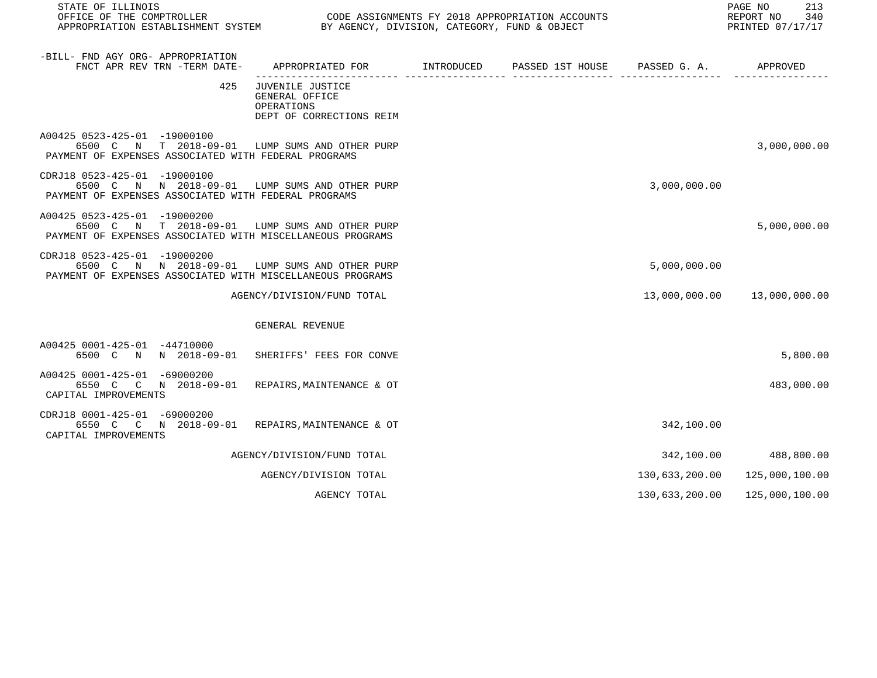| STATE OF ILLINOIS<br>OFFICE OF THE COMPTROLLER<br>APPROPRIATION ESTABLISHMENT SYSTEM                                                         | PAGE NO<br>213<br>340<br>REPORT NO<br>PRINTED 07/17/17                       |                                        |                |                |
|----------------------------------------------------------------------------------------------------------------------------------------------|------------------------------------------------------------------------------|----------------------------------------|----------------|----------------|
| -BILL- FND AGY ORG- APPROPRIATION<br>FNCT APR REV TRN -TERM DATE-                                                                            | APPROPRIATED FOR INTRODUCED                                                  | PASSED 1ST HOUSE PASSED G. A. APPROVED |                |                |
| 425                                                                                                                                          | JUVENILE JUSTICE<br>GENERAL OFFICE<br>OPERATIONS<br>DEPT OF CORRECTIONS REIM |                                        |                |                |
| A00425 0523-425-01 -19000100<br>6500 C N T 2018-09-01 LUMP SUMS AND OTHER PURP<br>PAYMENT OF EXPENSES ASSOCIATED WITH FEDERAL PROGRAMS       |                                                                              |                                        |                | 3,000,000.00   |
| CDRJ18 0523-425-01 -19000100<br>6500 C N N 2018-09-01 LUMP SUMS AND OTHER PURP<br>PAYMENT OF EXPENSES ASSOCIATED WITH FEDERAL PROGRAMS       |                                                                              |                                        | 3,000,000.00   |                |
| A00425 0523-425-01 -19000200<br>6500 C N T 2018-09-01 LUMP SUMS AND OTHER PURP<br>PAYMENT OF EXPENSES ASSOCIATED WITH MISCELLANEOUS PROGRAMS |                                                                              |                                        |                | 5,000,000.00   |
| CDRJ18 0523-425-01 -19000200<br>6500 C N N 2018-09-01 LUMP SUMS AND OTHER PURP<br>PAYMENT OF EXPENSES ASSOCIATED WITH MISCELLANEOUS PROGRAMS |                                                                              |                                        | 5,000,000.00   |                |
|                                                                                                                                              | AGENCY/DIVISION/FUND TOTAL                                                   |                                        | 13,000,000.00  | 13,000,000.00  |
|                                                                                                                                              | GENERAL REVENUE                                                              |                                        |                |                |
| A00425 0001-425-01 -44710000<br>6500 C N N 2018-09-01                                                                                        | SHERIFFS' FEES FOR CONVE                                                     |                                        |                | 5,800.00       |
| A00425 0001-425-01 -69000200<br>6550 C C N 2018-09-01<br>CAPITAL IMPROVEMENTS                                                                | REPAIRS, MAINTENANCE & OT                                                    |                                        |                | 483,000.00     |
| CDRJ18 0001-425-01 -69000200<br>6550 C C N 2018-09-01<br>CAPITAL IMPROVEMENTS                                                                | REPAIRS, MAINTENANCE & OT                                                    |                                        | 342,100.00     |                |
|                                                                                                                                              | AGENCY/DIVISION/FUND TOTAL                                                   |                                        | 342,100.00     | 488,800.00     |
|                                                                                                                                              | AGENCY/DIVISION TOTAL                                                        |                                        | 130,633,200.00 | 125,000,100.00 |
|                                                                                                                                              | AGENCY TOTAL                                                                 |                                        | 130,633,200.00 | 125,000,100.00 |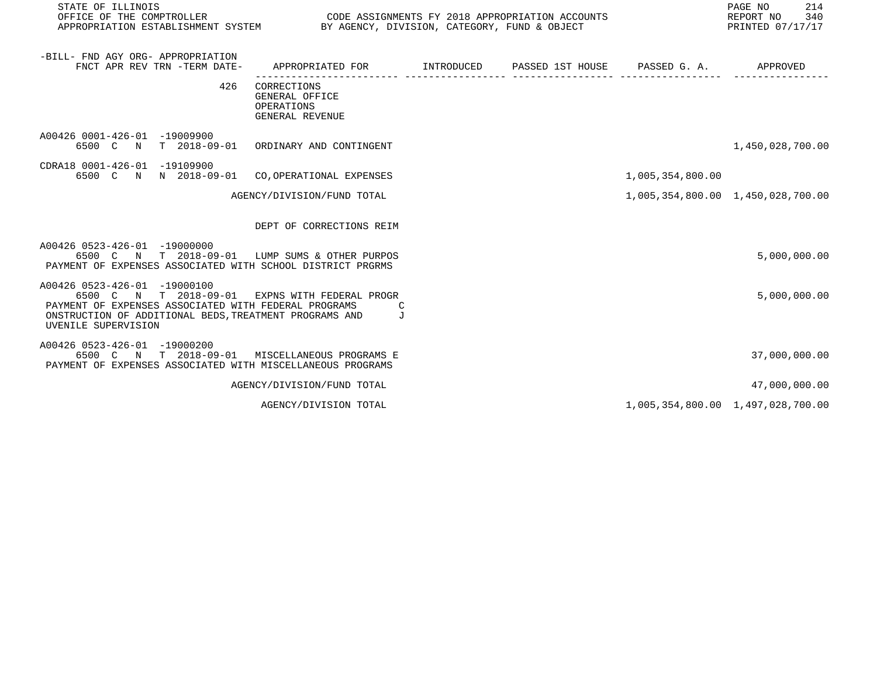| STATE OF ILLINOIS                                                                                                                                                                                                       |                                                                |            |                               |                  | PAGE NO<br>214<br>REPORT NO<br>340<br>PRINTED 07/17/17 |
|-------------------------------------------------------------------------------------------------------------------------------------------------------------------------------------------------------------------------|----------------------------------------------------------------|------------|-------------------------------|------------------|--------------------------------------------------------|
| -BILL- FND AGY ORG- APPROPRIATION<br>FNCT APR REV TRN -TERM DATE-                                                                                                                                                       | APPROPRIATED FOR                                               | INTRODUCED | PASSED 1ST HOUSE PASSED G. A. |                  | APPROVED                                               |
| 426                                                                                                                                                                                                                     | CORRECTIONS<br>GENERAL OFFICE<br>OPERATIONS<br>GENERAL REVENUE |            |                               |                  |                                                        |
| A00426 0001-426-01 -19009900<br>6500 C N                                                                                                                                                                                | T 2018-09-01 ORDINARY AND CONTINGENT                           |            |                               |                  | 1,450,028,700.00                                       |
| CDRA18 0001-426-01 -19109900<br>6500 C N N 2018-09-01                                                                                                                                                                   | CO, OPERATIONAL EXPENSES                                       |            |                               | 1,005,354,800.00 |                                                        |
|                                                                                                                                                                                                                         | AGENCY/DIVISION/FUND TOTAL                                     |            |                               |                  | 1,005,354,800.00 1,450,028,700.00                      |
|                                                                                                                                                                                                                         | DEPT OF CORRECTIONS REIM                                       |            |                               |                  |                                                        |
| A00426 0523-426-01 -19000000<br>6500 C N T 2018-09-01 LUMP SUMS & OTHER PURPOS<br>PAYMENT OF EXPENSES ASSOCIATED WITH SCHOOL DISTRICT PRGRMS                                                                            |                                                                |            |                               |                  | 5,000,000.00                                           |
| A00426 0523-426-01 -19000100<br>6500 C N T 2018-09-01 EXPNS WITH FEDERAL PROGR<br>PAYMENT OF EXPENSES ASSOCIATED WITH FEDERAL PROGRAMS<br>ONSTRUCTION OF ADDITIONAL BEDS, TREATMENT PROGRAMS AND<br>UVENILE SUPERVISION | C<br>ਾ ਹ                                                       |            |                               |                  | 5,000,000.00                                           |
| A00426 0523-426-01 -19000200<br>6500 C N T 2018-09-01 MISCELLANEOUS PROGRAMS E<br>PAYMENT OF EXPENSES ASSOCIATED WITH MISCELLANEOUS PROGRAMS                                                                            |                                                                |            |                               |                  | 37,000,000.00                                          |
|                                                                                                                                                                                                                         | AGENCY/DIVISION/FUND TOTAL                                     |            |                               |                  | 47,000,000.00                                          |
|                                                                                                                                                                                                                         | AGENCY/DIVISION TOTAL                                          |            |                               |                  | 1,005,354,800.00 1,497,028,700.00                      |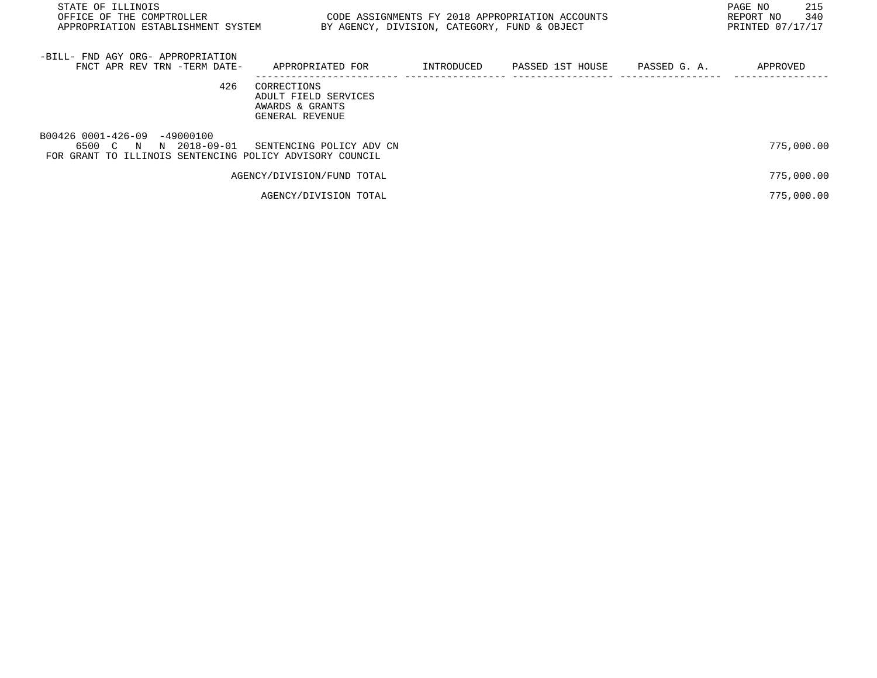| STATE OF ILLINOIS<br>OFFICE OF THE COMPTROLLER<br>APPROPRIATION ESTABLISHMENT SYSTEM                                 | BY AGENCY, DIVISION, CATEGORY, FUND & OBJECT                              |            | CODE ASSIGNMENTS FY 2018 APPROPRIATION ACCOUNTS |              | 215<br>PAGE NO<br>340<br>REPORT NO<br>PRINTED 07/17/17 |
|----------------------------------------------------------------------------------------------------------------------|---------------------------------------------------------------------------|------------|-------------------------------------------------|--------------|--------------------------------------------------------|
| -BILL- FND AGY ORG- APPROPRIATION<br>FNCT APR REV TRN -TERM DATE-                                                    | APPROPRIATED FOR                                                          | INTRODUCED | PASSED 1ST HOUSE                                | PASSED G. A. | APPROVED                                               |
| 426                                                                                                                  | CORRECTIONS<br>ADULT FIELD SERVICES<br>AWARDS & GRANTS<br>GENERAL REVENUE |            |                                                 |              |                                                        |
| B00426 0001-426-09 -49000100<br>6500 C N<br>N 2018-09-01<br>FOR GRANT TO ILLINOIS SENTENCING POLICY ADVISORY COUNCIL | SENTENCING POLICY ADV CN                                                  |            |                                                 |              | 775,000.00                                             |
|                                                                                                                      | AGENCY/DIVISION/FUND TOTAL                                                |            |                                                 |              | 775,000.00                                             |
|                                                                                                                      | AGENCY/DIVISION TOTAL                                                     |            |                                                 |              | 775,000.00                                             |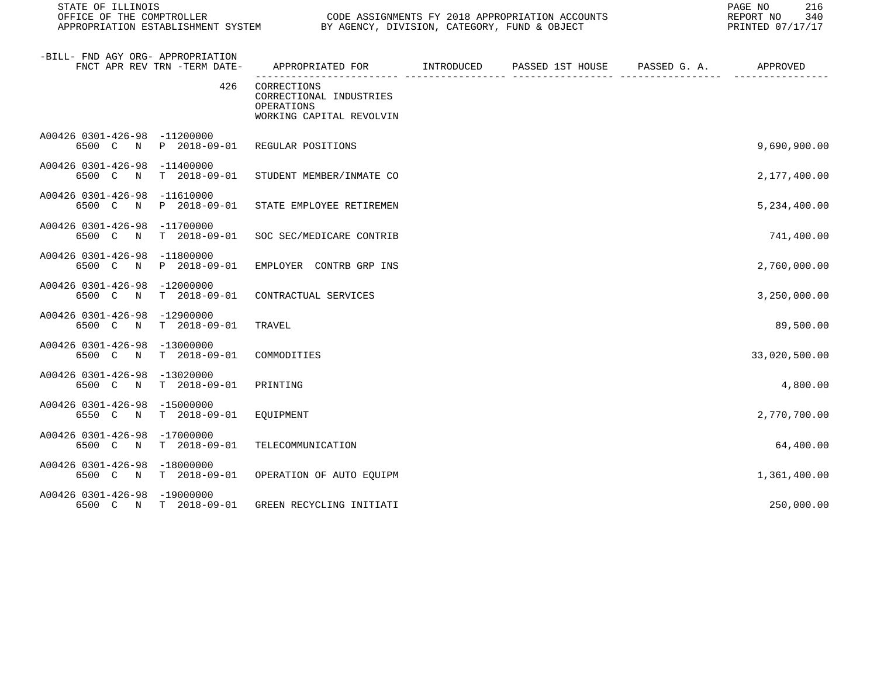| STATE OF ILLINOIS<br>OFFICE OF THE COMPTROLLER                                | CODE ASSIGNMENTS FY 2018 APPROPRIATION ACCOUNTS<br>APPROPRIATION ESTABLISHMENT SYSTEM BY AGENCY, DIVISION, CATEGORY, FUND & OBJECT |  |                               |  | 216<br>PAGE NO<br>340<br>REPORT NO<br>PRINTED 07/17/17 |
|-------------------------------------------------------------------------------|------------------------------------------------------------------------------------------------------------------------------------|--|-------------------------------|--|--------------------------------------------------------|
| -BILL- FND AGY ORG- APPROPRIATION<br>FNCT APR REV TRN -TERM DATE-             | APPROPRIATED FOR INTRODUCED                                                                                                        |  | PASSED 1ST HOUSE PASSED G. A. |  | APPROVED                                               |
| 426                                                                           | CORRECTIONS<br>CORRECTIONAL INDUSTRIES<br>OPERATIONS<br>WORKING CAPITAL REVOLVIN                                                   |  |                               |  |                                                        |
| A00426 0301-426-98 -11200000<br>6500 C<br>P 2018-09-01<br>N                   | REGULAR POSITIONS                                                                                                                  |  |                               |  | 9,690,900.00                                           |
| A00426 0301-426-98 -11400000<br>6500 C N T 2018-09-01                         | STUDENT MEMBER/INMATE CO                                                                                                           |  |                               |  | 2,177,400.00                                           |
| A00426 0301-426-98 -11610000<br>6500 C N P 2018-09-01                         | STATE EMPLOYEE RETIREMEN                                                                                                           |  |                               |  | 5,234,400.00                                           |
| A00426 0301-426-98 -11700000<br>6500 C N<br>$T = 2018 - 09 - 01$              | SOC SEC/MEDICARE CONTRIB                                                                                                           |  |                               |  | 741,400.00                                             |
| A00426 0301-426-98 -11800000<br>N P 2018-09-01<br>6500 C                      | EMPLOYER CONTRB GRP INS                                                                                                            |  |                               |  | 2,760,000.00                                           |
| A00426 0301-426-98 -12000000<br>$T = 2018 - 09 - 01$<br>6500 C<br>$\mathbb N$ | CONTRACTUAL SERVICES                                                                                                               |  |                               |  | 3,250,000.00                                           |
| A00426 0301-426-98 -12900000<br>6500 C N T 2018-09-01                         | TRAVEL                                                                                                                             |  |                               |  | 89,500.00                                              |
| A00426 0301-426-98 -13000000<br>6500 C N<br>T 2018-09-01                      | COMMODITIES                                                                                                                        |  |                               |  | 33,020,500.00                                          |
| A00426 0301-426-98 -13020000<br>T 2018-09-01<br>6500 C N                      | PRINTING                                                                                                                           |  |                               |  | 4,800.00                                               |
| A00426 0301-426-98 -15000000<br>6550 C<br>T 2018-09-01<br>N                   | EOUIPMENT                                                                                                                          |  |                               |  | 2,770,700.00                                           |
| A00426 0301-426-98 -17000000<br>6500 C N<br>T 2018-09-01                      | TELECOMMUNICATION                                                                                                                  |  |                               |  | 64,400.00                                              |
| A00426 0301-426-98 -18000000<br>6500 C N T 2018-09-01                         | OPERATION OF AUTO EQUIPM                                                                                                           |  |                               |  | 1,361,400.00                                           |
| A00426 0301-426-98 -19000000<br>6500 C N T 2018-09-01                         | GREEN RECYCLING INITIATI                                                                                                           |  |                               |  | 250,000.00                                             |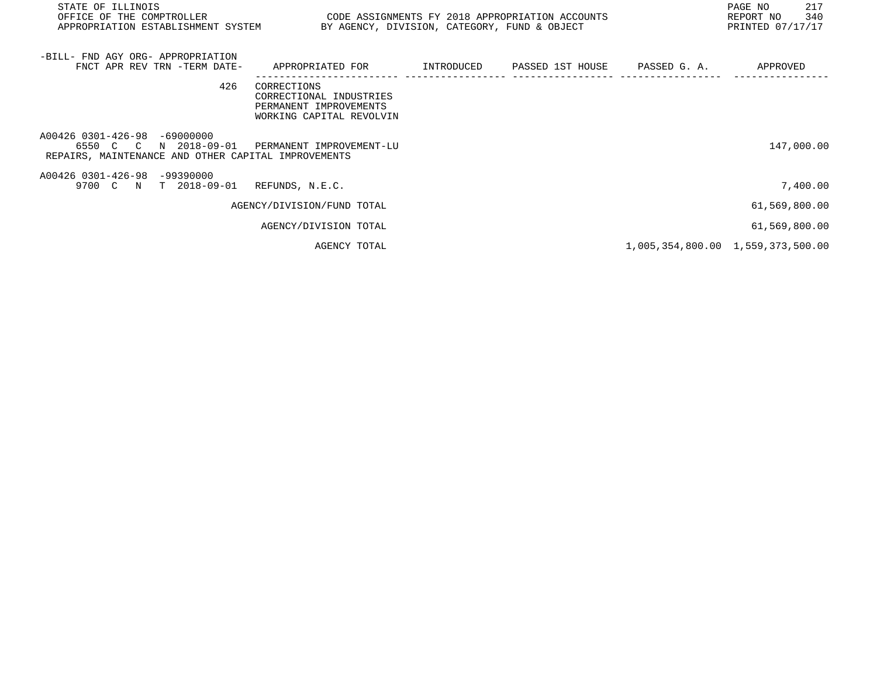| STATE OF ILLINOIS<br>OFFICE OF THE COMPTROLLER<br>APPROPRIATION ESTABLISHMENT SYSTEM                                                       | CODE ASSIGNMENTS FY 2018 APPROPRIATION ACCOUNTS<br>BY AGENCY, DIVISION, CATEGORY, FUND & OBJECT |  | 217<br>PAGE NO<br>340<br>REPORT NO<br>PRINTED 07/17/17 |
|--------------------------------------------------------------------------------------------------------------------------------------------|-------------------------------------------------------------------------------------------------|--|--------------------------------------------------------|
| -BILL- FND AGY ORG- APPROPRIATION<br>FNCT APR REV TRN -TERM DATE-                                                                          | APPROPRIATED FOR                                                                                |  | APPROVED                                               |
| 426                                                                                                                                        | CORRECTIONS<br>CORRECTIONAL INDUSTRIES<br>PERMANENT IMPROVEMENTS<br>WORKING CAPITAL REVOLVIN    |  |                                                        |
| A00426 0301-426-98<br>$-69000000$<br>6550 C C N 2018-09-01 PERMANENT IMPROVEMENT-LU<br>REPAIRS, MAINTENANCE AND OTHER CAPITAL IMPROVEMENTS |                                                                                                 |  | 147,000.00                                             |
| A00426 0301-426-98<br>$-99390000$<br>9700 C N T 2018-09-01                                                                                 | REFUNDS, N.E.C.                                                                                 |  | 7,400.00                                               |
|                                                                                                                                            | AGENCY/DIVISION/FUND TOTAL                                                                      |  | 61,569,800.00                                          |
|                                                                                                                                            | AGENCY/DIVISION TOTAL                                                                           |  | 61,569,800.00                                          |
|                                                                                                                                            | AGENCY TOTAL                                                                                    |  | 1,005,354,800.00 1,559,373,500.00                      |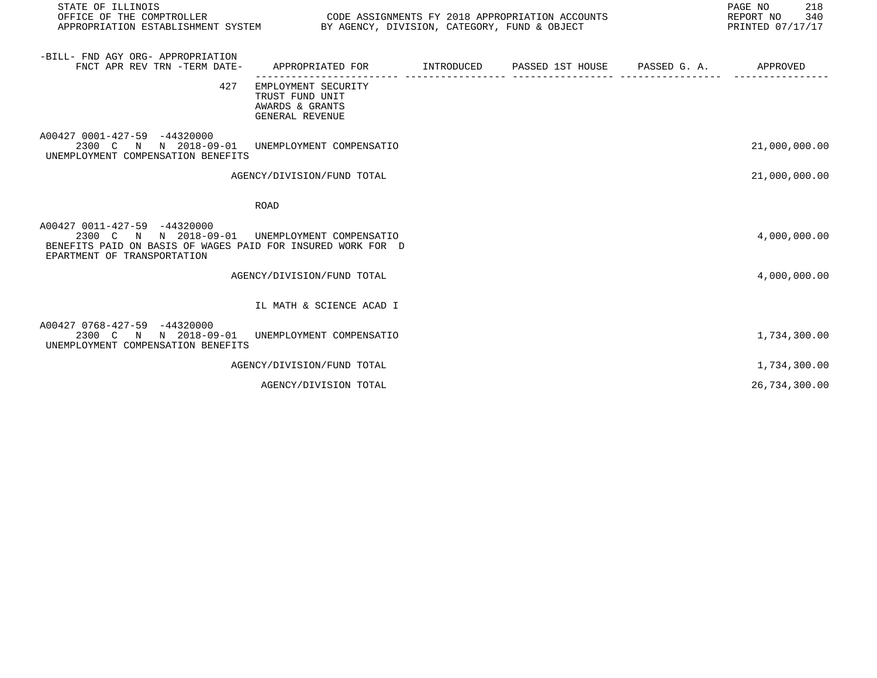| STATE OF ILLINOIS<br>OFFICE OF THE COMPTROLLER<br>APPROPRIATION ESTABLISHMENT SYSTEM                                                                | CODE ASSIGNMENTS FY 2018 APPROPRIATION ACCOUNTS<br>BY AGENCY, DIVISION, CATEGORY, FUND & OBJECT | 218<br>PAGE NO<br>REPORT NO<br>340<br>PRINTED 07/17/17 |                               |  |               |
|-----------------------------------------------------------------------------------------------------------------------------------------------------|-------------------------------------------------------------------------------------------------|--------------------------------------------------------|-------------------------------|--|---------------|
| -BILL- FND AGY ORG- APPROPRIATION<br>FNCT APR REV TRN -TERM DATE-                                                                                   | APPROPRIATED FOR                                                                                | INTRODUCED                                             | PASSED 1ST HOUSE PASSED G. A. |  | APPROVED      |
| 427                                                                                                                                                 | EMPLOYMENT SECURITY<br>TRUST FUND UNIT<br>AWARDS & GRANTS<br>GENERAL REVENUE                    |                                                        |                               |  |               |
| A00427 0001-427-59 -44320000<br>2300 C N N 2018-09-01 UNEMPLOYMENT COMPENSATIO<br>UNEMPLOYMENT COMPENSATION BENEFITS                                |                                                                                                 |                                                        |                               |  | 21,000,000.00 |
|                                                                                                                                                     | AGENCY/DIVISION/FUND TOTAL                                                                      |                                                        |                               |  | 21,000,000.00 |
|                                                                                                                                                     | ROAD                                                                                            |                                                        |                               |  |               |
| A00427 0011-427-59 -44320000<br>2300 C N N 2018-09-01<br>BENEFITS PAID ON BASIS OF WAGES PAID FOR INSURED WORK FOR D<br>EPARTMENT OF TRANSPORTATION | UNEMPLOYMENT COMPENSATIO                                                                        |                                                        |                               |  | 4,000,000.00  |
|                                                                                                                                                     | AGENCY/DIVISION/FUND TOTAL                                                                      |                                                        |                               |  | 4,000,000.00  |
|                                                                                                                                                     | IL MATH & SCIENCE ACAD I                                                                        |                                                        |                               |  |               |
| A00427 0768-427-59 -44320000<br>2300 C N N 2018-09-01<br>UNEMPLOYMENT COMPENSATION BENEFITS                                                         | UNEMPLOYMENT COMPENSATIO                                                                        |                                                        |                               |  | 1,734,300.00  |
|                                                                                                                                                     | AGENCY/DIVISION/FUND TOTAL                                                                      |                                                        |                               |  | 1,734,300.00  |
|                                                                                                                                                     | AGENCY/DIVISION TOTAL                                                                           |                                                        |                               |  | 26,734,300.00 |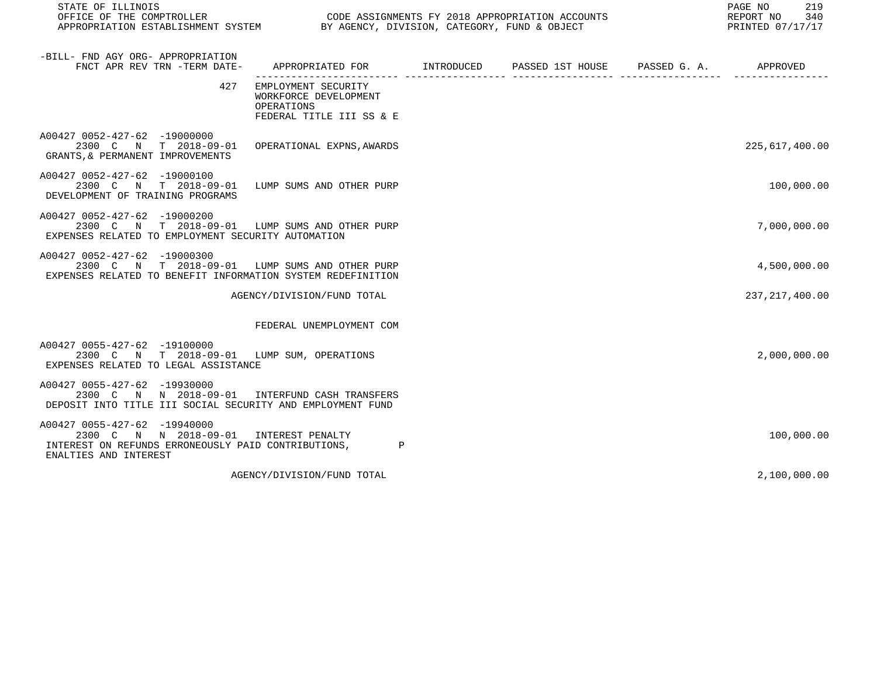| STATE OF ILLINOIS<br>OFFICE OF THE COMPTROLLER                                                                                                         |                                                                                             | CODE ASSIGNMENTS FY 2018 APPROPRIATION ACCOUNTS | PAGE NO<br>219<br>REPORT NO<br>340<br>PRINTED 07/17/17 |
|--------------------------------------------------------------------------------------------------------------------------------------------------------|---------------------------------------------------------------------------------------------|-------------------------------------------------|--------------------------------------------------------|
| -BILL- FND AGY ORG- APPROPRIATION<br>FNCT APR REV TRN -TERM DATE-                                                                                      | APPROPRIATED FOR         INTRODUCED      PASSED 1ST HOUSE     PASSED G. A.         APPROVED |                                                 |                                                        |
| 427                                                                                                                                                    | EMPLOYMENT SECURITY<br>WORKFORCE DEVELOPMENT<br>OPERATIONS<br>FEDERAL TITLE III SS & E      |                                                 |                                                        |
| A00427 0052-427-62 -19000000<br>2300 C N T 2018-09-01<br>GRANTS, & PERMANENT IMPROVEMENTS                                                              | OPERATIONAL EXPNS, AWARDS                                                                   |                                                 | 225,617,400.00                                         |
| A00427 0052-427-62 -19000100<br>2300 C N T 2018-09-01<br>DEVELOPMENT OF TRAINING PROGRAMS                                                              | LUMP SUMS AND OTHER PURP                                                                    |                                                 | 100,000.00                                             |
| A00427 0052-427-62 -19000200<br>2300 C N T 2018-09-01 LUMP SUMS AND OTHER PURP<br>EXPENSES RELATED TO EMPLOYMENT SECURITY AUTOMATION                   |                                                                                             |                                                 | 7,000,000.00                                           |
| A00427 0052-427-62 -19000300<br>2300 C N T 2018-09-01 LUMP SUMS AND OTHER PURP<br>EXPENSES RELATED TO BENEFIT INFORMATION SYSTEM REDEFINITION          |                                                                                             |                                                 | 4,500,000.00                                           |
|                                                                                                                                                        | AGENCY/DIVISION/FUND TOTAL                                                                  |                                                 | 237, 217, 400.00                                       |
|                                                                                                                                                        | FEDERAL UNEMPLOYMENT COM                                                                    |                                                 |                                                        |
| A00427 0055-427-62 -19100000<br>2300 C N T 2018-09-01 LUMP SUM, OPERATIONS<br>EXPENSES RELATED TO LEGAL ASSISTANCE                                     |                                                                                             |                                                 | 2,000,000.00                                           |
| A00427 0055-427-62 -19930000<br>2300 C N N 2018-09-01 INTERFUND CASH TRANSFERS<br>DEPOSIT INTO TITLE III SOCIAL SECURITY AND EMPLOYMENT FUND           |                                                                                             |                                                 |                                                        |
| A00427 0055-427-62 -19940000<br>2300 C N N 2018-09-01 INTEREST PENALTY<br>INTEREST ON REFUNDS ERRONEOUSLY PAID CONTRIBUTIONS,<br>ENALTIES AND INTEREST | $\mathbf{P}$                                                                                |                                                 | 100,000.00                                             |
|                                                                                                                                                        | AGENCY/DIVISION/FUND TOTAL                                                                  |                                                 | 2,100,000.00                                           |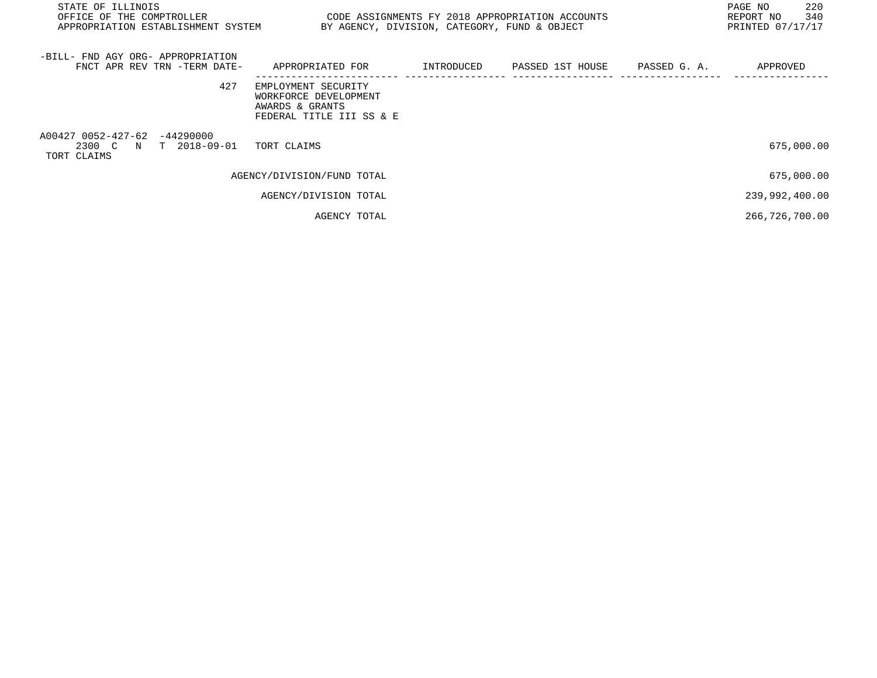| STATE OF ILLINOIS<br>OFFICE OF THE COMPTROLLER<br>APPROPRIATION ESTABLISHMENT SYSTEM | CODE ASSIGNMENTS FY 2018 APPROPRIATION ACCOUNTS                                             | BY AGENCY, DIVISION, CATEGORY, FUND & OBJECT |                             |              | PAGE NO<br>220<br>340<br>REPORT NO<br>PRINTED 07/17/17 |
|--------------------------------------------------------------------------------------|---------------------------------------------------------------------------------------------|----------------------------------------------|-----------------------------|--------------|--------------------------------------------------------|
| -BILL- FND AGY ORG- APPROPRIATION<br>FNCT APR REV TRN -TERM DATE-                    | APPROPRIATED FOR                                                                            |                                              | INTRODUCED PASSED 1ST HOUSE | PASSED G. A. | APPROVED                                               |
| 427                                                                                  | EMPLOYMENT SECURITY<br>WORKFORCE DEVELOPMENT<br>AWARDS & GRANTS<br>FEDERAL TITLE III SS & E |                                              |                             |              |                                                        |
| A00427 0052-427-62 -44290000<br>2300 C N T 2018-09-01<br>TORT CLAIMS                 | TORT CLAIMS                                                                                 |                                              |                             |              | 675,000.00                                             |
|                                                                                      | AGENCY/DIVISION/FUND TOTAL                                                                  |                                              |                             |              | 675,000.00                                             |
|                                                                                      | AGENCY/DIVISION TOTAL                                                                       |                                              |                             |              | 239,992,400.00                                         |
|                                                                                      | AGENCY TOTAL                                                                                |                                              |                             |              | 266,726,700.00                                         |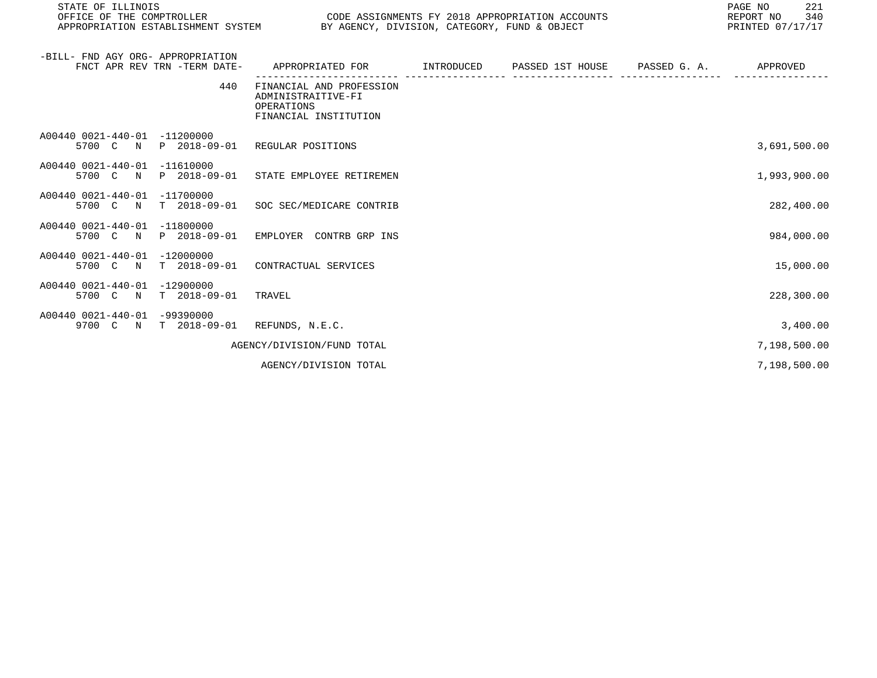| STATE OF ILLINOIS<br>OFFICE OF THE COMPTROLLER<br>APPROPRIATION ESTABLISHMENT SYSTEM BY AGENCY, DIVISION, CATEGORY, FUND & OBJECT | CODE ASSIGNMENTS FY 2018 APPROPRIATION ACCOUNTS                                           |                                       |  | PAGE NO<br>221<br>REPORT NO 340<br>PRINTED 07/17/17 |
|-----------------------------------------------------------------------------------------------------------------------------------|-------------------------------------------------------------------------------------------|---------------------------------------|--|-----------------------------------------------------|
| -BILL- FND AGY ORG- APPROPRIATION<br>FNCT APR REV TRN -TERM DATE-                                                                 | APPROPRIATED FOR        INTRODUCED     PASSED 1ST HOUSE     PASSED G. A.         APPROVED | _____________________________________ |  |                                                     |
| 440                                                                                                                               | FINANCIAL AND PROFESSION<br>ADMINISTRAITIVE-FI<br>OPERATIONS<br>FINANCIAL INSTITUTION     |                                       |  |                                                     |
| A00440 0021-440-01 -11200000<br>5700 C N P 2018-09-01 REGULAR POSITIONS                                                           |                                                                                           |                                       |  | 3,691,500.00                                        |
| A00440 0021-440-01 -11610000<br>5700 C N P 2018-09-01 STATE EMPLOYEE RETIREMEN                                                    |                                                                                           |                                       |  | 1,993,900.00                                        |
| A00440 0021-440-01 -11700000<br>5700 C N T 2018-09-01 SOC SEC/MEDICARE CONTRIB                                                    |                                                                                           |                                       |  | 282,400.00                                          |
| A00440 0021-440-01 -11800000<br>5700 C N P 2018-09-01 EMPLOYER CONTRB GRP INS                                                     |                                                                                           |                                       |  | 984,000.00                                          |
| A00440 0021-440-01 -12000000<br>5700 C N T 2018-09-01 CONTRACTUAL SERVICES                                                        |                                                                                           |                                       |  | 15,000.00                                           |
| A00440 0021-440-01 -12900000<br>5700 C N T 2018-09-01 TRAVEL                                                                      |                                                                                           |                                       |  | 228,300.00                                          |
| A00440 0021-440-01 -99390000<br>9700 C N T 2018-09-01 REFUNDS, N.E.C.                                                             |                                                                                           |                                       |  | 3,400.00                                            |
|                                                                                                                                   | AGENCY/DIVISION/FUND TOTAL                                                                |                                       |  | 7,198,500.00                                        |

AGENCY/DIVISION TOTAL 7,198,500.00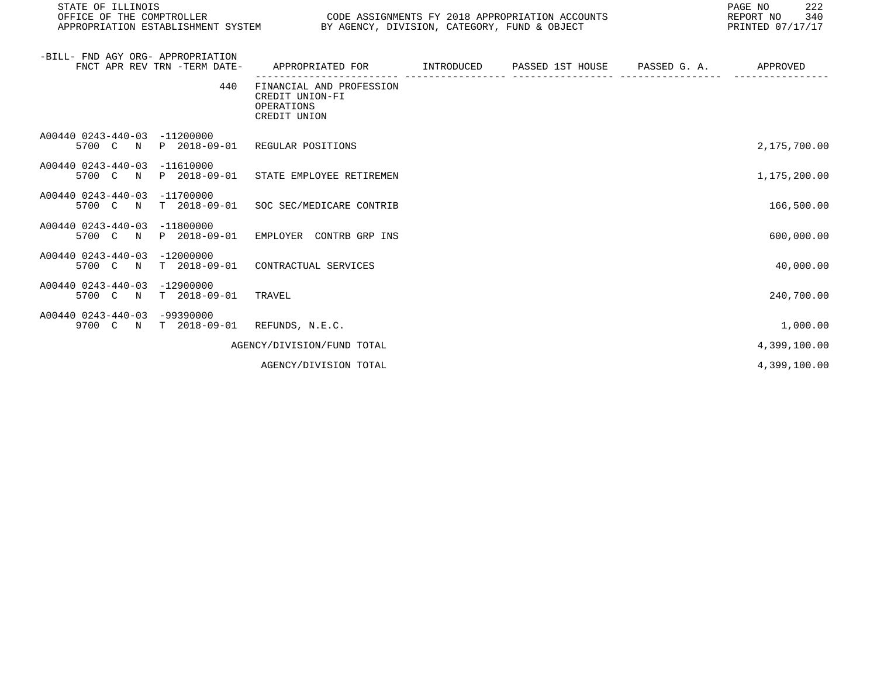| STATE OF ILLINOIS                  |                                                 | 222<br>PAGE NO   |
|------------------------------------|-------------------------------------------------|------------------|
| OFFICE OF THE COMPTROLLER          | CODE ASSIGNMENTS FY 2018 APPROPRIATION ACCOUNTS | 340<br>REPORT NO |
| APPROPRIATION ESTABLISHMENT SYSTEM | BY AGENCY, DIVISION, CATEGORY, FUND & OBJECT    | PRINTED 07/17/17 |

| -BILL- FND AGY ORG- APPROPRIATION           | FNCT APR REV TRN -TERM DATE-        | APPROPRIATED FOR                                                          | INTRODUCED | PASSED 1ST HOUSE PASSED G. A. | APPROVED     |
|---------------------------------------------|-------------------------------------|---------------------------------------------------------------------------|------------|-------------------------------|--------------|
|                                             | 440                                 | FINANCIAL AND PROFESSION<br>CREDIT UNION-FI<br>OPERATIONS<br>CREDIT UNION |            |                               |              |
| A00440 0243-440-03<br>5700 C N              | $-11200000$<br>P 2018-09-01         | REGULAR POSITIONS                                                         |            |                               | 2,175,700.00 |
| A00440 0243-440-03<br>5700 C N              | $-11610000$<br>P 2018-09-01         | STATE EMPLOYEE RETIREMEN                                                  |            |                               | 1,175,200.00 |
| A00440 0243-440-03<br>5700 C N              | $-11700000$<br>$T = 2018 - 09 - 01$ | SOC SEC/MEDICARE CONTRIB                                                  |            |                               | 166,500.00   |
| A00440 0243-440-03<br>5700 C N              | $-11800000$<br>P 2018-09-01         | EMPLOYER CONTRB GRP INS                                                   |            |                               | 600,000.00   |
| A00440 0243-440-03<br>5700 C<br>$\mathbb N$ | $-12000000$<br>$T = 2018 - 09 - 01$ | CONTRACTUAL SERVICES                                                      |            |                               | 40,000.00    |
| A00440 0243-440-03<br>5700 C N              | $-12900000$<br>$T = 2018 - 09 - 01$ | TRAVEL                                                                    |            |                               | 240,700.00   |
| A00440 0243-440-03<br>9700 C N              | $-99390000$<br>$T$ 2018-09-01       | REFUNDS, N.E.C.                                                           |            |                               | 1,000.00     |
|                                             |                                     | AGENCY/DIVISION/FUND TOTAL                                                |            |                               | 4,399,100.00 |
|                                             |                                     | AGENCY/DIVISION TOTAL                                                     |            |                               | 4,399,100.00 |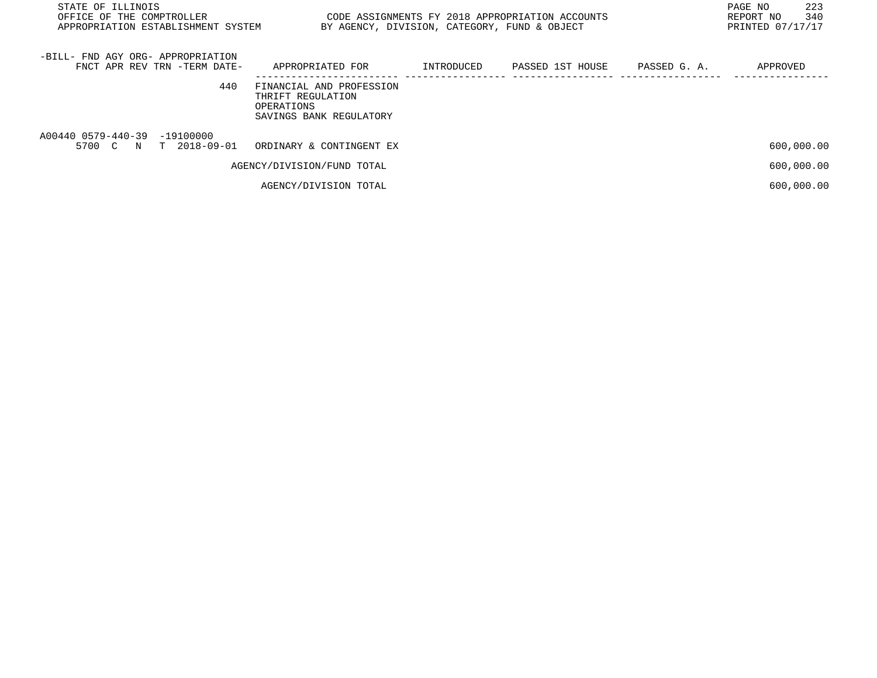| STATE OF ILLINOIS<br>OFFICE OF THE COMPTROLLER<br>APPROPRIATION ESTABLISHMENT SYSTEM | CODE ASSIGNMENTS FY 2018 APPROPRIATION ACCOUNTS                                        | BY AGENCY, DIVISION, CATEGORY, FUND & OBJECT |                  |              | 223<br>PAGE NO<br>340<br>REPORT NO<br>PRINTED 07/17/17 |
|--------------------------------------------------------------------------------------|----------------------------------------------------------------------------------------|----------------------------------------------|------------------|--------------|--------------------------------------------------------|
| -BILL- FND AGY ORG- APPROPRIATION<br>FNCT APR REV TRN -TERM DATE-                    | APPROPRIATED FOR                                                                       | INTRODUCED                                   | PASSED 1ST HOUSE | PASSED G. A. | APPROVED                                               |
| 440                                                                                  | FINANCIAL AND PROFESSION<br>THRIFT REGULATION<br>OPERATIONS<br>SAVINGS BANK REGULATORY |                                              |                  |              |                                                        |
| A00440 0579-440-39 -19100000<br>5700 C N T 2018-09-01                                | ORDINARY & CONTINGENT EX                                                               |                                              |                  |              | 600,000.00                                             |
|                                                                                      | AGENCY/DIVISION/FUND TOTAL                                                             |                                              |                  |              | 600,000.00                                             |
|                                                                                      | AGENCY/DIVISION TOTAL                                                                  |                                              |                  |              | 600,000.00                                             |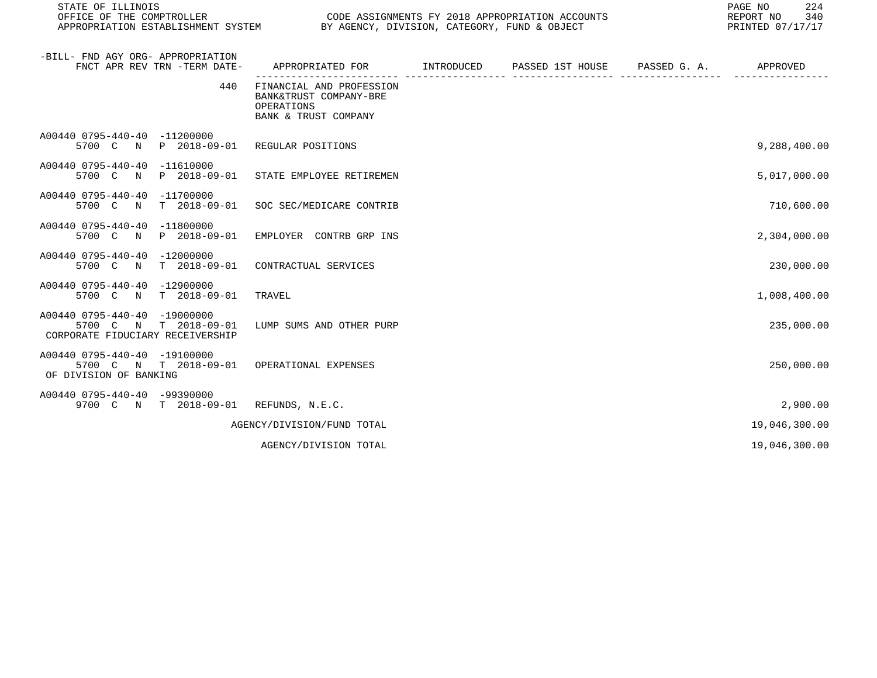| STATE OF ILLINOIS<br>OFFICE OF THE COMPTROLLER                                                                       | CODE ASSIGNMENTS FY 2018 APPROPRIATION ACCOUNTS<br>APPROPRIATION ESTABLISHMENT SYSTEM<br>BY AGENCY, DIVISION, CATEGORY, FUND & OBJECT<br>PRINTED 07/17/17 |            |                  |              |               |
|----------------------------------------------------------------------------------------------------------------------|-----------------------------------------------------------------------------------------------------------------------------------------------------------|------------|------------------|--------------|---------------|
| -BILL- FND AGY ORG- APPROPRIATION<br>FNCT APR REV TRN -TERM DATE-                                                    | APPROPRIATED FOR                                                                                                                                          | INTRODUCED | PASSED 1ST HOUSE | PASSED G. A. | APPROVED      |
| 440                                                                                                                  | FINANCIAL AND PROFESSION<br>BANK&TRUST COMPANY-BRE<br>OPERATIONS<br>BANK & TRUST COMPANY                                                                  |            |                  |              |               |
| A00440 0795-440-40 -11200000<br>P 2018-09-01<br>5700 C N                                                             | REGULAR POSITIONS                                                                                                                                         |            |                  |              | 9,288,400.00  |
| A00440 0795-440-40<br>-11610000<br>5700 C<br>P 2018-09-01<br>$\mathbb N$                                             | STATE EMPLOYEE RETIREMEN                                                                                                                                  |            |                  |              | 5,017,000.00  |
| A00440 0795-440-40<br>$-11700000$<br>T 2018-09-01<br>5700 C N                                                        | SOC SEC/MEDICARE CONTRIB                                                                                                                                  |            |                  |              | 710,600.00    |
| A00440 0795-440-40<br>-11800000<br>5700 C<br>P 2018-09-01<br>$\mathbb N$                                             | EMPLOYER CONTRB GRP INS                                                                                                                                   |            |                  |              | 2,304,000.00  |
| A00440 0795-440-40<br>$-12000000$<br>$T = 2018 - 09 - 01$<br>5700 C<br>$\mathbb N$                                   | CONTRACTUAL SERVICES                                                                                                                                      |            |                  |              | 230,000.00    |
| A00440 0795-440-40 -12900000<br>5700 C<br>T 2018-09-01<br>$\mathbb N$                                                | TRAVEL                                                                                                                                                    |            |                  |              | 1,008,400.00  |
| A00440 0795-440-40<br>-19000000<br>$T = 2018 - 09 - 01$<br>5700 C<br>$\mathbb N$<br>CORPORATE FIDUCIARY RECEIVERSHIP | LUMP SUMS AND OTHER PURP                                                                                                                                  |            |                  |              | 235,000.00    |
| A00440 0795-440-40 -19100000<br>5700 C N T 2018-09-01<br>OF DIVISION OF BANKING                                      | OPERATIONAL EXPENSES                                                                                                                                      |            |                  |              | 250,000.00    |
| A00440 0795-440-40 -99390000<br>9700 C N T 2018-09-01                                                                | REFUNDS, N.E.C.                                                                                                                                           |            |                  |              | 2,900.00      |
|                                                                                                                      | AGENCY/DIVISION/FUND TOTAL                                                                                                                                |            |                  |              | 19,046,300.00 |
|                                                                                                                      | AGENCY/DIVISION TOTAL                                                                                                                                     |            |                  |              | 19,046,300.00 |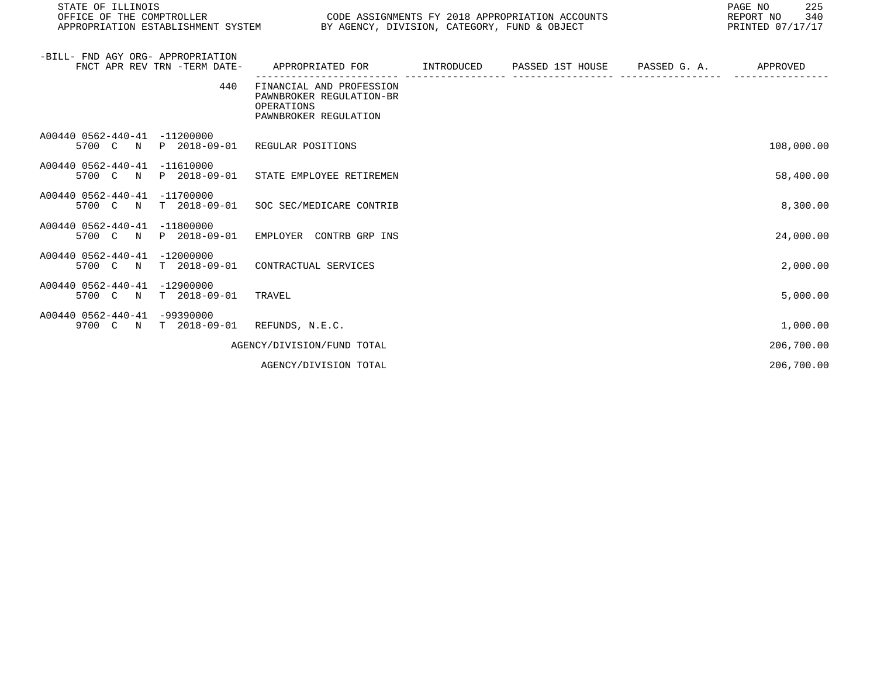| STATE OF ILLINOIS<br>OFFICE OF THE COMPTROLLER<br>APPROPRIATION ESTABLISHMENT SYSTEM BY AGENCY, DIVISION, CATEGORY, FUND & OBJECT | CODE ASSIGNMENTS FY 2018 APPROPRIATION ACCOUNTS                                               |  | 225<br>PAGE NO<br>REPORT NO<br>340<br>PRINTED 07/17/17 |
|-----------------------------------------------------------------------------------------------------------------------------------|-----------------------------------------------------------------------------------------------|--|--------------------------------------------------------|
| -BILL- FND AGY ORG- APPROPRIATION<br>FNCT APR REV TRN -TERM DATE-                                                                 | APPROPRIATED FOR         INTRODUCED      PASSED 1ST HOUSE      PASSED G. A.          APPROVED |  |                                                        |
| 440                                                                                                                               | FINANCIAL AND PROFESSION<br>PAWNBROKER REGULATION-BR<br>OPERATIONS<br>PAWNBROKER REGULATION   |  |                                                        |
| A00440 0562-440-41 -11200000<br>5700 C N P 2018-09-01 REGULAR POSITIONS                                                           |                                                                                               |  | 108,000.00                                             |
| A00440 0562-440-41 -11610000<br>5700 C N P 2018-09-01 STATE EMPLOYEE RETIREMEN                                                    |                                                                                               |  | 58,400.00                                              |
| A00440 0562-440-41 -11700000<br>5700 C N T 2018-09-01 SOC SEC/MEDICARE CONTRIB                                                    |                                                                                               |  | 8,300.00                                               |
| A00440 0562-440-41 -11800000<br>5700 C N P 2018-09-01                                                                             | EMPLOYER CONTRB GRP INS                                                                       |  | 24,000.00                                              |
| A00440 0562-440-41 -12000000<br>T 2018-09-01<br>5700 C N                                                                          | CONTRACTUAL SERVICES                                                                          |  | 2,000.00                                               |
| A00440 0562-440-41 -12900000<br>T 2018-09-01<br>5700 C N                                                                          | TRAVEL                                                                                        |  | 5,000.00                                               |
| A00440 0562-440-41 -99390000<br>9700 C N T 2018-09-01 REFUNDS, N.E.C.                                                             |                                                                                               |  | 1,000.00                                               |
|                                                                                                                                   | AGENCY/DIVISION/FUND TOTAL                                                                    |  | 206,700.00                                             |

AGENCY/DIVISION TOTAL 206,700.00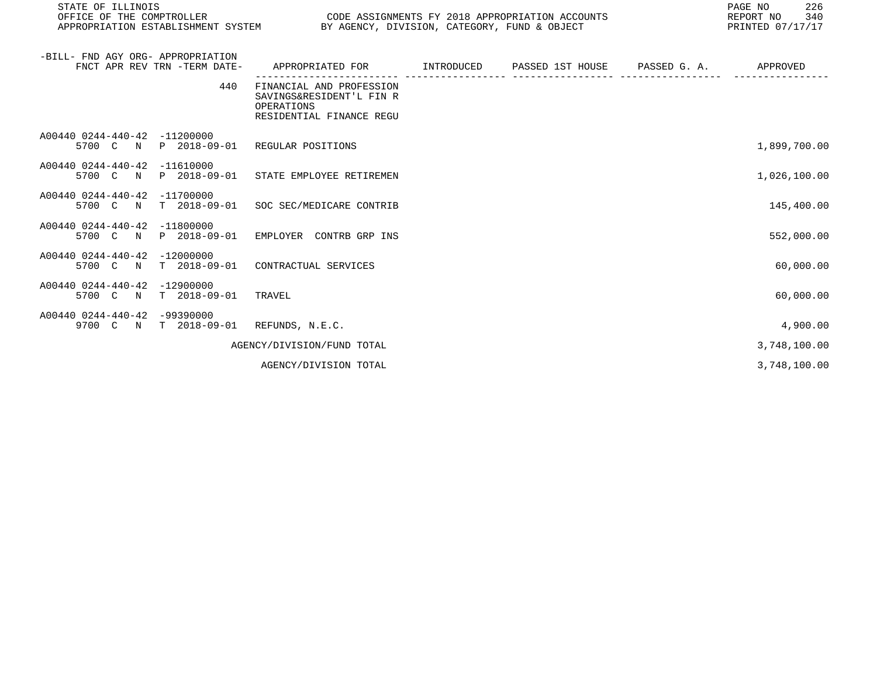| STATE OF ILLINOIS<br>OFFICE OF THE COMPTROLLER<br>APPROPRIATION ESTABLISHMENT SYSTEM BY AGENCY, DIVISION, CATEGORY, FUND & OBJECT |                                                                                                | CODE ASSIGNMENTS FY 2018 APPROPRIATION ACCOUNTS | PAGE NO<br>226<br>REPORT NO<br>340<br>PRINTED 07/17/17 |
|-----------------------------------------------------------------------------------------------------------------------------------|------------------------------------------------------------------------------------------------|-------------------------------------------------|--------------------------------------------------------|
| -BILL- FND AGY ORG- APPROPRIATION<br>FNCT APR REV TRN -TERM DATE-                                                                 | APPROPRIATED FOR      INTRODUCED   PASSED 1ST HOUSE   PASSED G.A.     APPROVED                 |                                                 |                                                        |
| 440                                                                                                                               | FINANCIAL AND PROFESSION<br>SAVINGS&RESIDENT'L FIN R<br>OPERATIONS<br>RESIDENTIAL FINANCE REGU |                                                 |                                                        |
| A00440 0244-440-42 -11200000<br>5700 C N                                                                                          | P 2018-09-01 REGULAR POSITIONS                                                                 |                                                 | 1,899,700.00                                           |
| A00440 0244-440-42 -11610000<br>5700 C N                                                                                          | P 2018-09-01 STATE EMPLOYEE RETIREMEN                                                          |                                                 | 1,026,100.00                                           |
| A00440 0244-440-42 -11700000<br>5700 C N                                                                                          | T 2018-09-01 SOC SEC/MEDICARE CONTRIB                                                          |                                                 | 145,400.00                                             |
| A00440 0244-440-42 -11800000<br>5700 C N P 2018-09-01 EMPLOYER CONTRB GRP INS                                                     |                                                                                                |                                                 | 552,000.00                                             |
| A00440 0244-440-42 -12000000<br>5700 C N                                                                                          | T 2018-09-01 CONTRACTUAL SERVICES                                                              |                                                 | 60,000.00                                              |
| A00440 0244-440-42 -12900000<br>5700 C N T 2018-09-01                                                                             | TRAVEL                                                                                         |                                                 | 60,000.00                                              |
| A00440 0244-440-42 -99390000<br>9700 C N T 2018-09-01 REFUNDS, N.E.C.                                                             |                                                                                                |                                                 | 4,900.00                                               |
|                                                                                                                                   | AGENCY/DIVISION/FUND TOTAL                                                                     |                                                 | 3,748,100.00                                           |
|                                                                                                                                   | AGENCY/DIVISION TOTAL                                                                          |                                                 | 3,748,100.00                                           |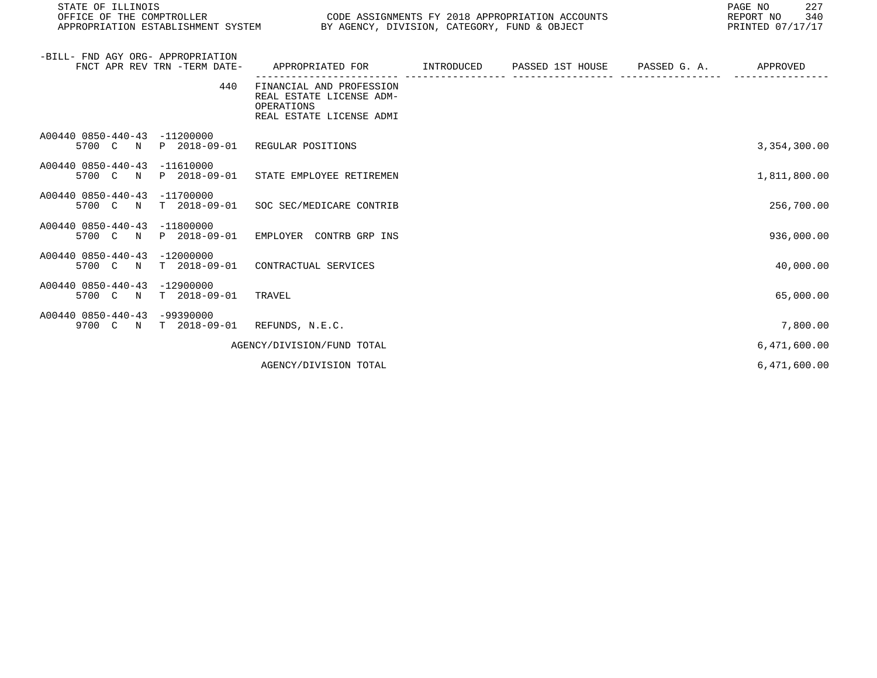| STATE OF ILLINOIS<br>OFFICE OF THE COMPTROLLER<br>APPROPRIATION ESTABLISHMENT SYSTEM BY AGENCY, DIVISION, CATEGORY, FUND & OBJECT |                                                                                                | CODE ASSIGNMENTS FY 2018 APPROPRIATION ACCOUNTS | 227<br>PAGE NO<br>REPORT NO<br>340<br>PRINTED 07/17/17 |
|-----------------------------------------------------------------------------------------------------------------------------------|------------------------------------------------------------------------------------------------|-------------------------------------------------|--------------------------------------------------------|
| -BILL- FND AGY ORG- APPROPRIATION<br>FNCT APR REV TRN -TERM DATE-                                                                 | APPROPRIATED FOR                                                                               |                                                 | APPROVED                                               |
| 440                                                                                                                               | FINANCIAL AND PROFESSION<br>REAL ESTATE LICENSE ADM-<br>OPERATIONS<br>REAL ESTATE LICENSE ADMI |                                                 |                                                        |
| A00440 0850-440-43 -11200000<br>5700 C N P 2018-09-01 REGULAR POSITIONS                                                           |                                                                                                |                                                 | 3,354,300.00                                           |
| A00440 0850-440-43 -11610000<br>5700 C N P 2018-09-01 STATE EMPLOYEE RETIREMEN                                                    |                                                                                                |                                                 | 1,811,800.00                                           |
| A00440 0850-440-43 -11700000<br>5700 C N                                                                                          | T 2018-09-01 SOC SEC/MEDICARE CONTRIB                                                          |                                                 | 256,700.00                                             |
| A00440 0850-440-43 -11800000<br>5700 C N P 2018-09-01                                                                             | EMPLOYER CONTRB GRP INS                                                                        |                                                 | 936,000.00                                             |
| A00440 0850-440-43<br>$-12000000$<br>$T$ 2018-09-01<br>5700 C N                                                                   | CONTRACTUAL SERVICES                                                                           |                                                 | 40,000.00                                              |
| A00440 0850-440-43<br>$-12900000$<br>T 2018-09-01<br>5700 C N                                                                     | TRAVEL                                                                                         |                                                 | 65,000.00                                              |
| A00440 0850-440-43<br>$-99390000$<br>9700 C N T 2018-09-01 REFUNDS, N.E.C.                                                        |                                                                                                |                                                 | 7,800.00                                               |
|                                                                                                                                   | AGENCY/DIVISION/FUND TOTAL                                                                     |                                                 | 6,471,600.00                                           |
|                                                                                                                                   | AGENCY/DIVISION TOTAL                                                                          |                                                 | 6,471,600.00                                           |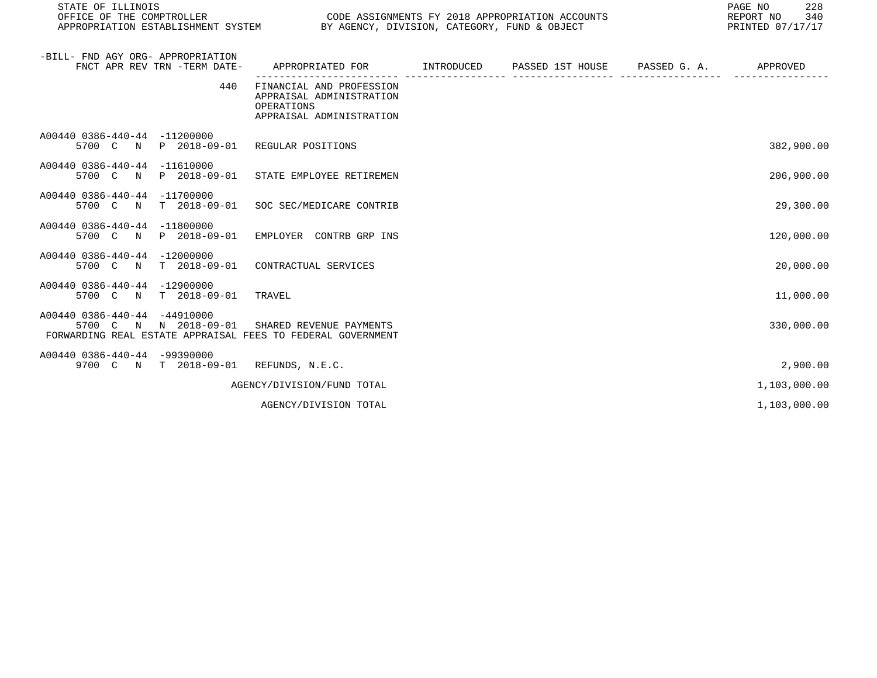| STATE OF ILLINOIS<br>OFFICE OF THE COMPTROLLER<br>APPROPRIATION ESTABLISHMENT SYSTEM                                 | PAGE NO<br>CODE ASSIGNMENTS FY 2018 APPROPRIATION ACCOUNTS<br>REPORT NO<br>BY AGENCY, DIVISION, CATEGORY, FUND & OBJECT<br>PRINTED 07/17/17 |  |  |  |              |
|----------------------------------------------------------------------------------------------------------------------|---------------------------------------------------------------------------------------------------------------------------------------------|--|--|--|--------------|
| -BILL- FND AGY ORG- APPROPRIATION<br>FNCT APR REV TRN -TERM DATE-                                                    | APPROPRIATED FOR TINTRODUCED PASSED 1ST HOUSE PASSED G. A.                                                                                  |  |  |  | APPROVED     |
| 440                                                                                                                  | FINANCIAL AND PROFESSION<br>APPRAISAL ADMINISTRATION<br>OPERATIONS<br>APPRAISAL ADMINISTRATION                                              |  |  |  |              |
| A00440 0386-440-44 -11200000<br>P 2018-09-01<br>5700 C N                                                             | REGULAR POSITIONS                                                                                                                           |  |  |  | 382,900.00   |
| A00440 0386-440-44 -11610000<br>P 2018-09-01<br>5700 C N                                                             | STATE EMPLOYEE RETIREMEN                                                                                                                    |  |  |  | 206,900.00   |
| A00440 0386-440-44 -11700000<br>5700 C N T 2018-09-01                                                                | SOC SEC/MEDICARE CONTRIB                                                                                                                    |  |  |  | 29,300.00    |
| A00440 0386-440-44 -11800000<br>P 2018-09-01<br>5700 C N                                                             | EMPLOYER CONTRB GRP INS                                                                                                                     |  |  |  | 120,000.00   |
| A00440 0386-440-44 -12000000<br>5700 C<br>T 2018-09-01<br>$\mathbb N$                                                | CONTRACTUAL SERVICES                                                                                                                        |  |  |  | 20,000.00    |
| A00440 0386-440-44 -12900000<br>5700 C N T 2018-09-01                                                                | TRAVEL                                                                                                                                      |  |  |  | 11,000.00    |
| A00440 0386-440-44 -44910000<br>5700 C N N 2018-09-01<br>FORWARDING REAL ESTATE APPRAISAL FEES TO FEDERAL GOVERNMENT | SHARED REVENUE PAYMENTS                                                                                                                     |  |  |  | 330,000.00   |
| A00440 0386-440-44 -99390000<br>9700 C N T 2018-09-01 REFUNDS, N.E.C.                                                |                                                                                                                                             |  |  |  | 2,900.00     |
|                                                                                                                      | AGENCY/DIVISION/FUND TOTAL                                                                                                                  |  |  |  | 1,103,000.00 |
|                                                                                                                      | AGENCY/DIVISION TOTAL                                                                                                                       |  |  |  | 1,103,000.00 |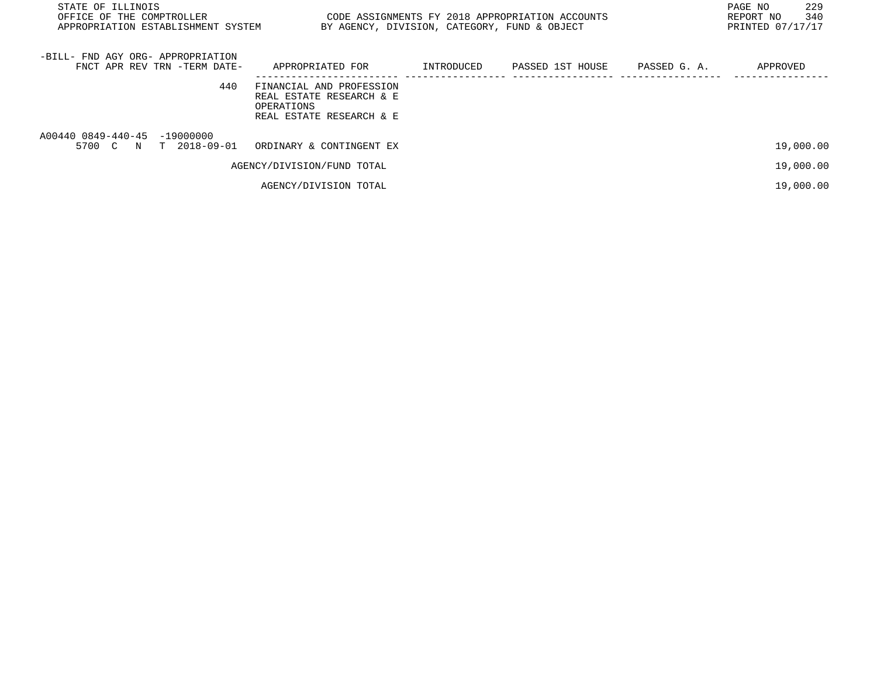| STATE OF ILLINOIS<br>OFFICE OF THE COMPTROLLER<br>APPROPRIATION ESTABLISHMENT SYSTEM | CODE ASSIGNMENTS FY 2018 APPROPRIATION ACCOUNTS<br>BY AGENCY, DIVISION, CATEGORY, FUND & OBJECT |            |                               | 229<br>PAGE NO<br>340<br>REPORT NO<br>PRINTED 07/17/17 |
|--------------------------------------------------------------------------------------|-------------------------------------------------------------------------------------------------|------------|-------------------------------|--------------------------------------------------------|
| -BILL- FND AGY ORG- APPROPRIATION<br>FNCT APR REV TRN -TERM DATE-                    | APPROPRIATED FOR                                                                                | INTRODUCED | PASSED 1ST HOUSE PASSED G. A. | APPROVED                                               |
| 440                                                                                  | FINANCIAL AND PROFESSION<br>REAL ESTATE RESEARCH & E<br>OPERATIONS<br>REAL ESTATE RESEARCH & E  |            |                               |                                                        |
| A00440 0849-440-45 -19000000<br>T 2018-09-01<br>5700 C N                             | ORDINARY & CONTINGENT EX                                                                        |            |                               | 19,000.00                                              |
|                                                                                      | AGENCY/DIVISION/FUND TOTAL                                                                      |            |                               | 19,000.00                                              |
|                                                                                      | AGENCY/DIVISION TOTAL                                                                           |            |                               | 19,000.00                                              |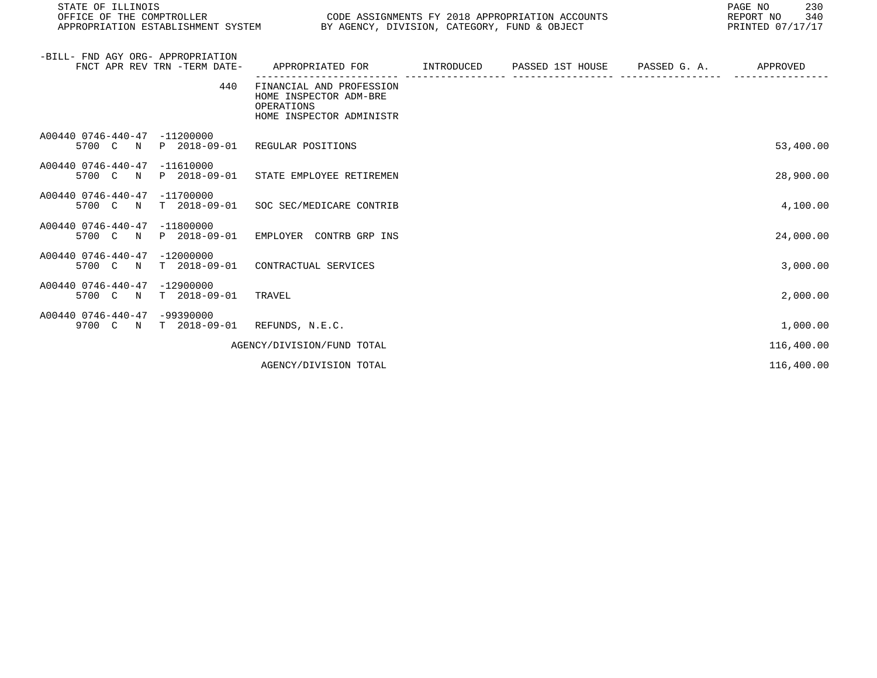| STATE OF ILLINOIS<br>OFFICE OF THE COMPTROLLER                        |                                                                                              | PAGE NO<br>CODE ASSIGNMENTS FY 2018 APPROPRIATION ACCOUNTS<br>REPORT NO<br>APPROPRIATION ESTABLISHMENT SYSTEM BY AGENCY, DIVISION, CATEGORY, FUND & OBJECT<br>PRINTED 07/17/17 |  |  |            |  |
|-----------------------------------------------------------------------|----------------------------------------------------------------------------------------------|--------------------------------------------------------------------------------------------------------------------------------------------------------------------------------|--|--|------------|--|
| -BILL- FND AGY ORG- APPROPRIATION<br>FNCT APR REV TRN -TERM DATE-     | APPROPRIATED FOR         INTRODUCED      PASSED 1ST HOUSE      PASSED G. A.                  |                                                                                                                                                                                |  |  | APPROVED   |  |
| 440                                                                   | FINANCIAL AND PROFESSION<br>HOME INSPECTOR ADM-BRE<br>OPERATIONS<br>HOME INSPECTOR ADMINISTR |                                                                                                                                                                                |  |  |            |  |
| A00440 0746-440-47<br>$-11200000$<br>5700 C N                         | P 2018-09-01 REGULAR POSITIONS                                                               |                                                                                                                                                                                |  |  | 53,400.00  |  |
| A00440 0746-440-47<br>$-11610000$<br>5700 C N                         | P 2018-09-01 STATE EMPLOYEE RETIREMEN                                                        |                                                                                                                                                                                |  |  | 28,900.00  |  |
| A00440 0746-440-47<br>$-11700000$<br>5700 C N                         | T 2018-09-01 SOC SEC/MEDICARE CONTRIB                                                        |                                                                                                                                                                                |  |  | 4,100.00   |  |
| A00440 0746-440-47<br>$-11800000$<br>5700 C N P 2018-09-01            | EMPLOYER CONTRB GRP INS                                                                      |                                                                                                                                                                                |  |  | 24,000.00  |  |
| A00440 0746-440-47<br>$-12000000$<br>$T = 2018 - 09 - 01$<br>5700 C N | CONTRACTUAL SERVICES                                                                         |                                                                                                                                                                                |  |  | 3,000.00   |  |
| A00440 0746-440-47<br>$-12900000$<br>$T$ 2018-09-01<br>5700 C N       | TRAVEL                                                                                       |                                                                                                                                                                                |  |  | 2,000.00   |  |
| A00440 0746-440-47<br>$-99390000$<br>9700 C N<br>T 2018-09-01         | REFUNDS, N.E.C.                                                                              |                                                                                                                                                                                |  |  | 1,000.00   |  |
|                                                                       | AGENCY/DIVISION/FUND TOTAL                                                                   |                                                                                                                                                                                |  |  | 116,400.00 |  |

AGENCY/DIVISION TOTAL 116,400.00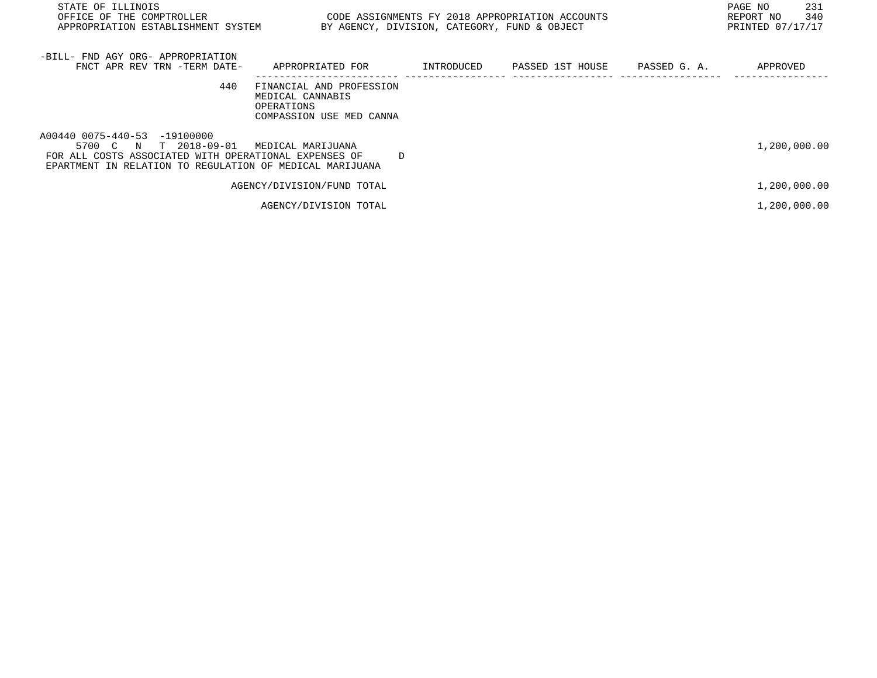| STATE OF ILLINOIS<br>OFFICE OF THE COMPTROLLER<br>APPROPRIATION ESTABLISHMENT SYSTEM                                                                                       | CODE ASSIGNMENTS FY 2018 APPROPRIATION ACCOUNTS                                        | BY AGENCY, DIVISION, CATEGORY, FUND & OBJECT |                  |              | 231<br>PAGE NO<br>340<br>REPORT NO<br>PRINTED 07/17/17 |
|----------------------------------------------------------------------------------------------------------------------------------------------------------------------------|----------------------------------------------------------------------------------------|----------------------------------------------|------------------|--------------|--------------------------------------------------------|
| -BILL- FND AGY ORG- APPROPRIATION<br>FNCT APR REV TRN -TERM DATE-                                                                                                          | APPROPRIATED FOR                                                                       | INTRODUCED                                   | PASSED 1ST HOUSE | PASSED G. A. | APPROVED                                               |
| 440                                                                                                                                                                        | FINANCIAL AND PROFESSION<br>MEDICAL CANNABIS<br>OPERATIONS<br>COMPASSION USE MED CANNA |                                              |                  |              |                                                        |
| A00440 0075-440-53 -19100000<br>5700 C N T 2018-09-01<br>FOR ALL COSTS ASSOCIATED WITH OPERATIONAL EXPENSES OF<br>EPARTMENT IN RELATION TO REGULATION OF MEDICAL MARIJUANA | MEDICAL MARIJUANA<br>D                                                                 |                                              |                  |              | 1,200,000.00                                           |
|                                                                                                                                                                            | AGENCY/DIVISION/FUND TOTAL                                                             |                                              |                  |              | 1,200,000.00                                           |
|                                                                                                                                                                            | AGENCY/DIVISION TOTAL                                                                  |                                              |                  |              | 1,200,000.00                                           |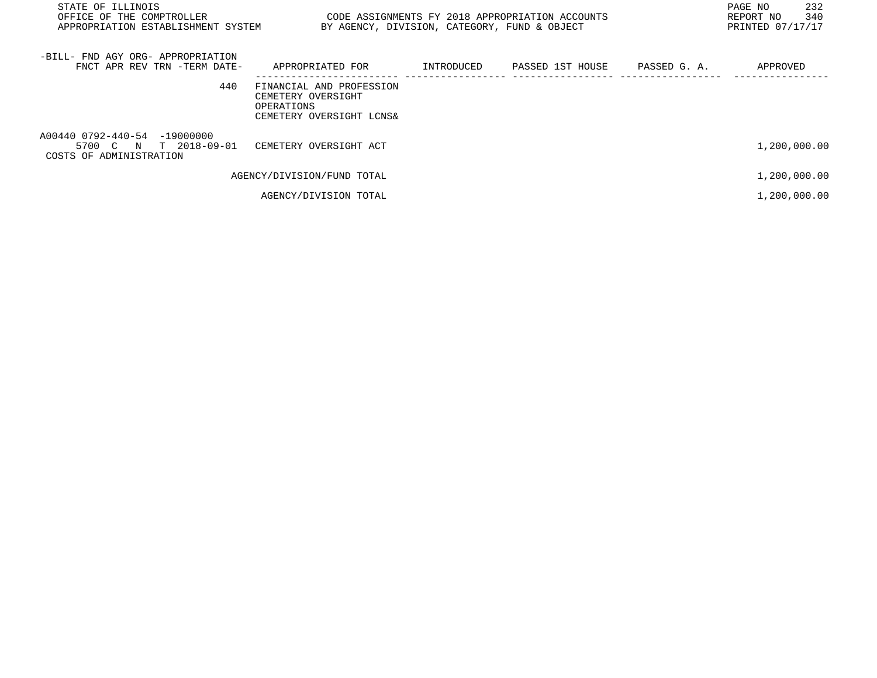| STATE OF ILLINOIS<br>OFFICE OF THE COMPTROLLER THE STATE STATE OF ASSIGNMENTS FY 2018 APPROPRIATION ACCOUNTS<br>APPROPRIATION ESTABLISHMENT SYSTEM | BY AGENCY, DIVISION, CATEGORY, FUND & OBJECT                                             |                             |              | 232<br>PAGE NO<br>340<br>REPORT NO<br>PRINTED 07/17/17 |
|----------------------------------------------------------------------------------------------------------------------------------------------------|------------------------------------------------------------------------------------------|-----------------------------|--------------|--------------------------------------------------------|
| -BILL- FND AGY ORG- APPROPRIATION<br>FNCT APR REV TRN -TERM DATE-                                                                                  | APPROPRIATED FOR                                                                         | INTRODUCED PASSED 1ST HOUSE | PASSED G. A. | APPROVED                                               |
| 440                                                                                                                                                | FINANCIAL AND PROFESSION<br>CEMETERY OVERSIGHT<br>OPERATIONS<br>CEMETERY OVERSIGHT LCNS& |                             |              |                                                        |
| A00440 0792-440-54 -19000000<br>5700 C N T 2018-09-01 CEMETERY OVERSIGHT ACT<br>COSTS OF ADMINISTRATION                                            |                                                                                          |                             |              | 1,200,000.00                                           |
|                                                                                                                                                    | AGENCY/DIVISION/FUND TOTAL                                                               |                             |              | 1,200,000.00                                           |
|                                                                                                                                                    | AGENCY/DIVISION TOTAL                                                                    |                             |              | 1,200,000.00                                           |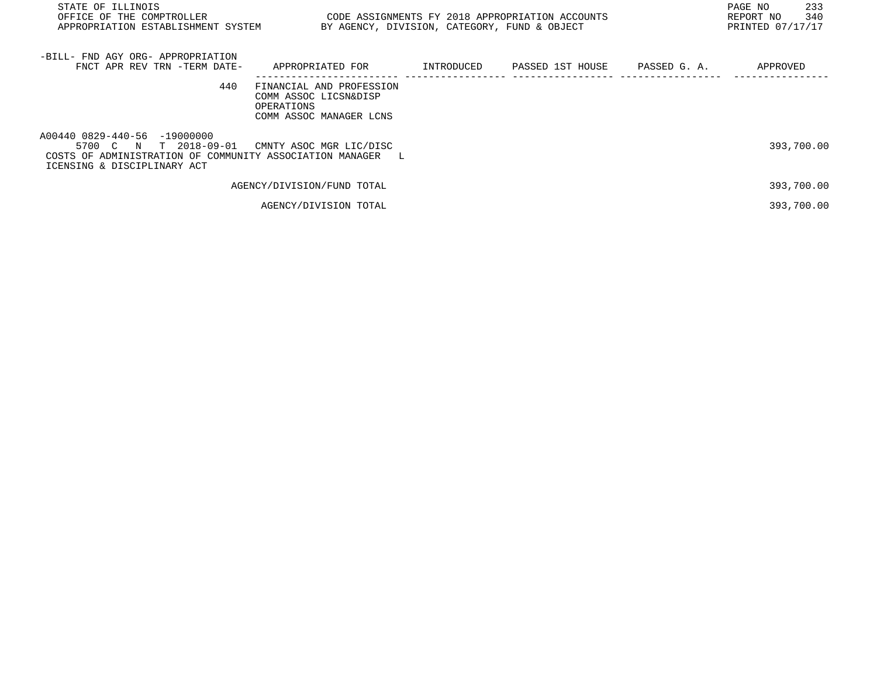| STATE OF ILLINOIS<br>OFFICE OF THE COMPTROLLER<br>APPROPRIATION ESTABLISHMENT SYSTEM                                                               | BY AGENCY, DIVISION, CATEGORY, FUND & OBJECT                                               |            | CODE ASSIGNMENTS FY 2018 APPROPRIATION ACCOUNTS | 233<br>PAGE NO<br>340<br>REPORT NO<br>PRINTED 07/17/17 |
|----------------------------------------------------------------------------------------------------------------------------------------------------|--------------------------------------------------------------------------------------------|------------|-------------------------------------------------|--------------------------------------------------------|
| -BILL- FND AGY ORG- APPROPRIATION<br>FNCT APR REV TRN -TERM DATE-                                                                                  | APPROPRIATED FOR                                                                           | INTRODUCED | PASSED 1ST HOUSE PASSED G. A.                   | APPROVED                                               |
| 440                                                                                                                                                | FINANCIAL AND PROFESSION<br>COMM ASSOC LICSN&DISP<br>OPERATIONS<br>COMM ASSOC MANAGER LCNS |            |                                                 |                                                        |
| A00440 0829-440-56 -19000000<br>5700 C N T 2018-09-01<br>COSTS OF ADMINISTRATION OF COMMUNITY ASSOCIATION MANAGER L<br>ICENSING & DISCIPLINARY ACT | CMNTY ASOC MGR LIC/DISC                                                                    |            |                                                 | 393,700.00                                             |
|                                                                                                                                                    | AGENCY/DIVISION/FUND TOTAL                                                                 |            |                                                 | 393,700.00                                             |
|                                                                                                                                                    | AGENCY/DIVISION TOTAL                                                                      |            |                                                 | 393,700.00                                             |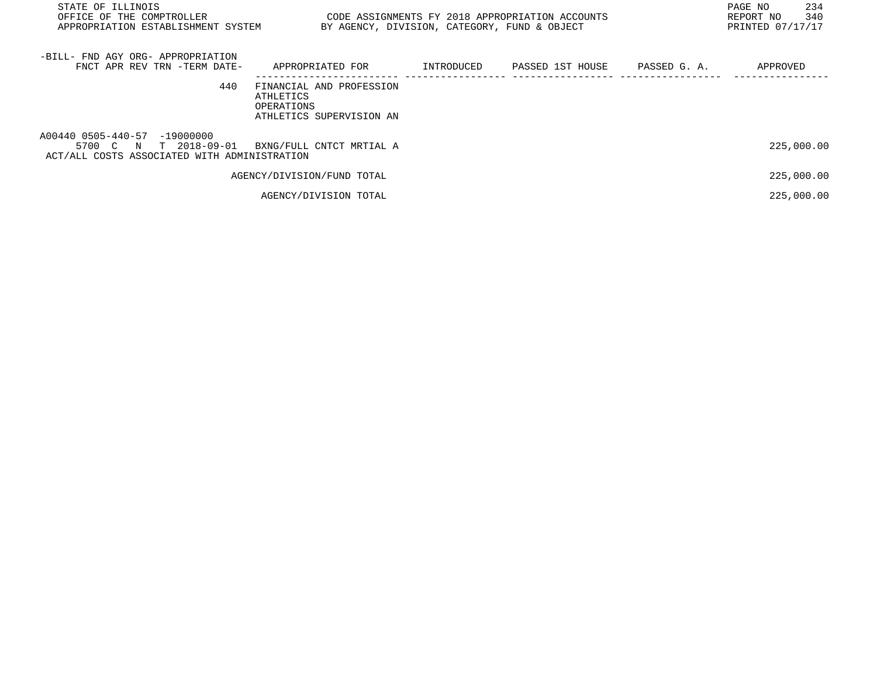| STATE OF ILLINOIS<br>OFFICE OF THE COMPTROLLER<br>APPROPRIATION ESTABLISHMENT SYSTEM                     | CODE ASSIGNMENTS FY 2018 APPROPRIATION ACCOUNTS                                 |            | BY AGENCY, DIVISION, CATEGORY, FUND & OBJECT |              | 234<br>PAGE NO<br>340<br>REPORT NO<br>PRINTED 07/17/17 |
|----------------------------------------------------------------------------------------------------------|---------------------------------------------------------------------------------|------------|----------------------------------------------|--------------|--------------------------------------------------------|
| -BILL- FND AGY ORG- APPROPRIATION<br>FNCT APR REV TRN -TERM DATE-                                        | APPROPRIATED FOR                                                                | INTRODUCED | PASSED 1ST HOUSE                             | PASSED G. A. | APPROVED                                               |
| 440                                                                                                      | FINANCIAL AND PROFESSION<br>ATHLETICS<br>OPERATIONS<br>ATHLETICS SUPERVISION AN |            |                                              |              |                                                        |
| A00440 0505-440-57 -19000000<br>T 2018-09-01<br>5700 C N<br>ACT/ALL COSTS ASSOCIATED WITH ADMINISTRATION | BXNG/FULL CNTCT MRTIAL A                                                        |            |                                              |              | 225,000.00                                             |
|                                                                                                          | AGENCY/DIVISION/FUND TOTAL                                                      |            |                                              |              | 225,000.00                                             |
|                                                                                                          | AGENCY/DIVISION TOTAL                                                           |            |                                              |              | 225,000.00                                             |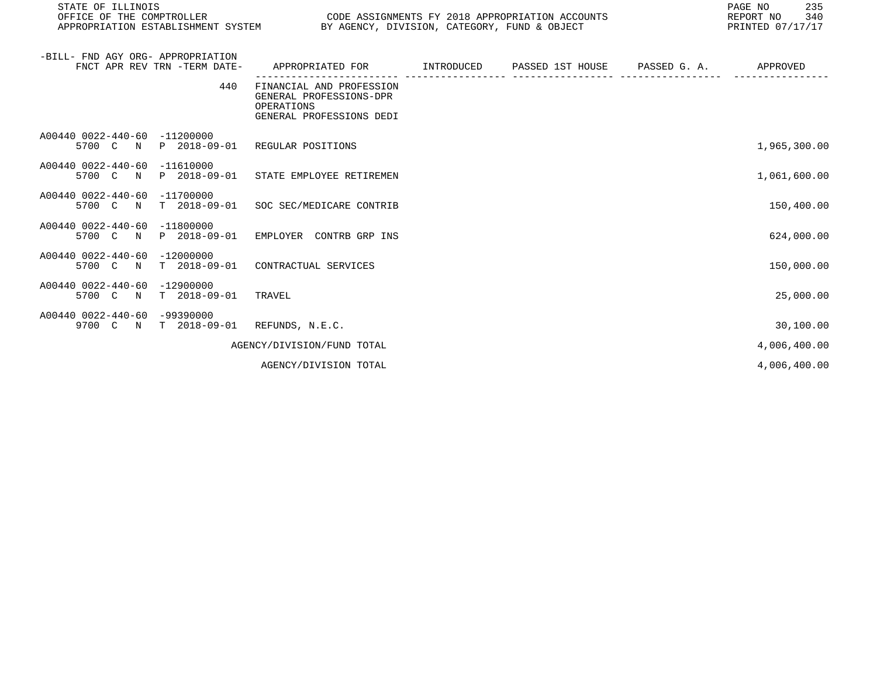| STATE OF ILLINOIS<br>OFFICE OF THE COMPTROLLER<br>APPROPRIATION ESTABLISHMENT SYSTEM BY AGENCY, DIVISION, CATEGORY, FUND & OBJECT | CODE ASSIGNMENTS FY 2018 APPROPRIATION ACCOUNTS                                               | 235<br>PAGE NO<br>340<br>REPORT NO<br>PRINTED 07/17/17 |  |              |
|-----------------------------------------------------------------------------------------------------------------------------------|-----------------------------------------------------------------------------------------------|--------------------------------------------------------|--|--------------|
| -BILL- FND AGY ORG- APPROPRIATION<br>FNCT APR REV TRN -TERM DATE-                                                                 | APPROPRIATED FOR         INTRODUCED      PASSED 1ST HOUSE      PASSED G. A.                   |                                                        |  | APPROVED     |
| 440                                                                                                                               | FINANCIAL AND PROFESSION<br>GENERAL PROFESSIONS-DPR<br>OPERATIONS<br>GENERAL PROFESSIONS DEDI |                                                        |  |              |
| A00440 0022-440-60 -11200000<br>5700 C N                                                                                          | P 2018-09-01 REGULAR POSITIONS                                                                |                                                        |  | 1,965,300.00 |
| A00440 0022-440-60<br>$-11610000$<br>5700 C N                                                                                     | P 2018-09-01 STATE EMPLOYEE RETIREMEN                                                         |                                                        |  | 1,061,600.00 |
| A00440 0022-440-60 -11700000<br>5700 C N T 2018-09-01 SOC SEC/MEDICARE CONTRIB                                                    |                                                                                               |                                                        |  | 150,400.00   |
| A00440 0022-440-60 -11800000<br>5700 C N                                                                                          | P 2018-09-01 EMPLOYER CONTRB GRP INS                                                          |                                                        |  | 624,000.00   |
| A00440 0022-440-60 -12000000<br>5700 C N T 2018-09-01 CONTRACTUAL SERVICES                                                        |                                                                                               |                                                        |  | 150,000.00   |
| A00440 0022-440-60<br>$-12900000$<br>5700 C N T 2018-09-01                                                                        | TRAVEL                                                                                        |                                                        |  | 25,000.00    |
| A00440 0022-440-60 -99390000<br>9700 C N T 2018-09-01                                                                             | REFUNDS, N.E.C.                                                                               |                                                        |  | 30,100.00    |
|                                                                                                                                   | AGENCY/DIVISION/FUND TOTAL                                                                    |                                                        |  | 4,006,400.00 |

AGENCY/DIVISION TOTAL  $4,006,400.00$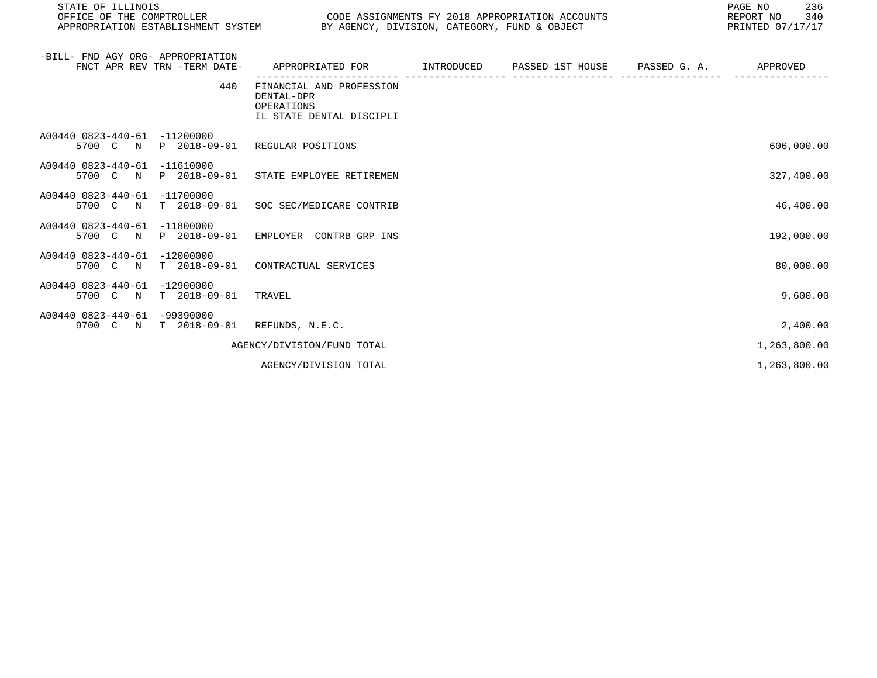| STATE OF ILLINOIS<br>OFFICE OF THE COMPTROLLER<br>APPROPRIATION ESTABLISHMENT SYSTEM  | CODE ASSIGNMENTS FY 2018 APPROPRIATION ACCOUNTS                                  | BY AGENCY, DIVISION, CATEGORY, FUND & OBJECT | 236<br>PAGE NO<br>340<br>REPORT NO<br>PRINTED 07/17/17 |
|---------------------------------------------------------------------------------------|----------------------------------------------------------------------------------|----------------------------------------------|--------------------------------------------------------|
| -BILL- FND AGY ORG- APPROPRIATION<br>FNCT APR REV TRN -TERM DATE-                     | APPROPRIATED FOR         INTRODUCED                                              | PASSED 1ST HOUSE PASSED G. A.                | APPROVED                                               |
| 440                                                                                   | FINANCIAL AND PROFESSION<br>DENTAL-DPR<br>OPERATIONS<br>IL STATE DENTAL DISCIPLI |                                              |                                                        |
| A00440 0823-440-61 -11200000<br>5700 C N<br>P 2018-09-01                              | REGULAR POSITIONS                                                                |                                              | 606,000.00                                             |
| A00440 0823-440-61 -11610000<br>5700 C N<br>P 2018-09-01                              | STATE EMPLOYEE RETIREMEN                                                         |                                              | 327,400.00                                             |
| A00440 0823-440-61 -11700000<br>5700<br>T 2018-09-01<br>$\overline{C}$<br>$\mathbf N$ | SOC SEC/MEDICARE CONTRIB                                                         |                                              | 46,400.00                                              |

A00440 0823-440-61 -11800000

A00440 0823-440-61 -12000000 5700 C N T 2018-09-01 CONTRACTUAL SERVICES 80,000.00 A00440 0823-440-61 -12900000 5700 C N T 2018-09-01 TRAVEL 9,600.00

5700 C N P 2018-09-01 EMPLOYER CONTRB GRP INS 192,000.00

A00440 0823-440-61 -99390000 9700 C N T 2018-09-01 REFUNDS, N.E.C. 2,400.00 AGENCY/DIVISION/FUND TOTAL  $1,263,800.00$ 

AGENCY/DIVISION TOTAL 1, 263, 800.00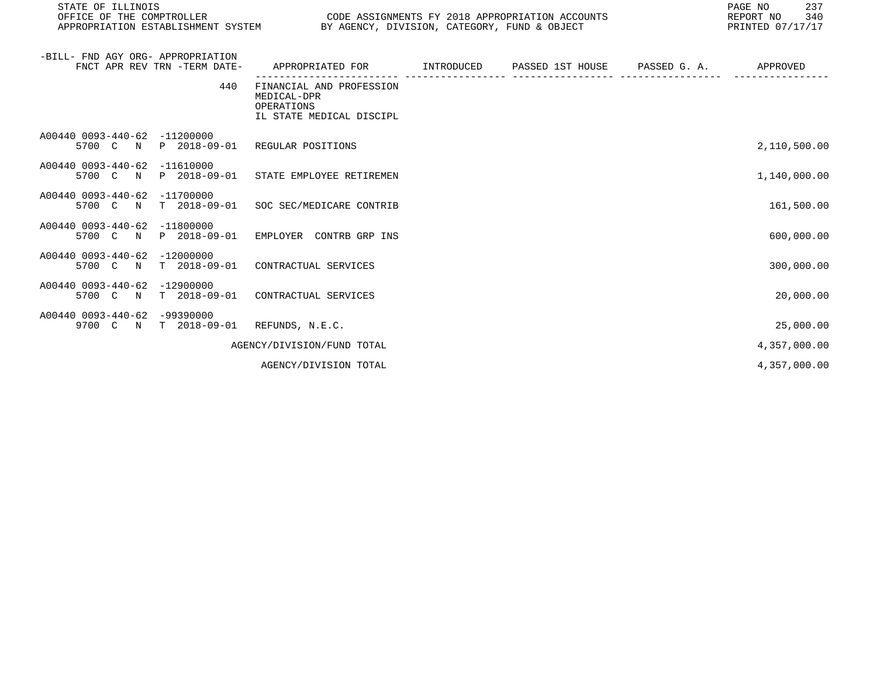| STATE OF ILLINOIS<br>OFFICE OF THE COMPTROLLER                    |                             | CODE ASSIGNMENTS FY 2018 APPROPRIATION ACCOUNTS<br>APPROPRIATION ESTABLISHMENT SYSTEM BY AGENCY, DIVISION, CATEGORY, FUND & OBJECT |  | 237<br>PAGE NO<br>340<br>REPORT NO<br>PRINTED 07/17/17 |
|-------------------------------------------------------------------|-----------------------------|------------------------------------------------------------------------------------------------------------------------------------|--|--------------------------------------------------------|
| -BILL- FND AGY ORG- APPROPRIATION<br>FNCT APR REV TRN -TERM DATE- |                             | APPROPRIATED FOR TINTRODUCED PASSED 1ST HOUSE PASSED G.A.                                                                          |  | APPROVED                                               |
|                                                                   | 440                         | FINANCIAL AND PROFESSION<br>MEDICAL-DPR<br>OPERATIONS<br>IL STATE MEDICAL DISCIPL                                                  |  |                                                        |
| A00440 0093-440-62<br>5700 C<br>N                                 | $-11200000$<br>P 2018-09-01 | REGULAR POSITIONS                                                                                                                  |  | 2,110,500.00                                           |
| A00440 0093-440-62<br>5700 C N                                    | $-11610000$                 | P 2018-09-01 STATE EMPLOYEE RETIREMEN                                                                                              |  | 1,140,000.00                                           |
| A00440 0093-440-62<br>5700 C N                                    | $-11700000$                 | T 2018-09-01 SOC SEC/MEDICARE CONTRIB                                                                                              |  | 161,500.00                                             |
| A00440 0093-440-62<br>5700 C N                                    | $-11800000$<br>P 2018-09-01 | EMPLOYER CONTRB GRP INS                                                                                                            |  | 600,000.00                                             |
| A00440 0093-440-62<br>5700 C N                                    | $-12000000$<br>T 2018-09-01 | CONTRACTUAL SERVICES                                                                                                               |  | 300,000.00                                             |
| A00440 0093-440-62<br>5700 C N                                    | $-12900000$<br>T 2018-09-01 | CONTRACTUAL SERVICES                                                                                                               |  | 20,000.00                                              |
| A00440 0093-440-62 -99390000<br>9700 C<br>$\mathbf N$             | T 2018-09-01                | REFUNDS, N.E.C.                                                                                                                    |  | 25,000.00                                              |
|                                                                   |                             | AGENCY/DIVISION/FUND TOTAL                                                                                                         |  | 4,357,000.00                                           |

AGENCY/DIVISION TOTAL 4, 357, 000.00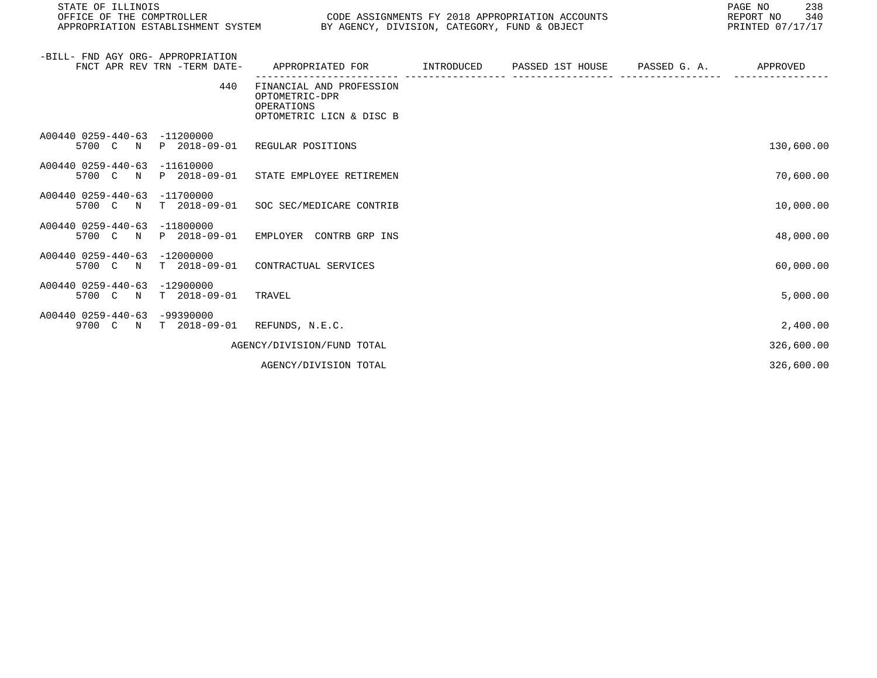| STATE OF ILLINOIS<br>OFFICE OF THE COMPTROLLER CODE ASSIGNMENTS FY 2018 APPROPRIATION ACCOUNTS<br>APPROPRIATION ESTABLISHMENT SYSTEM BY AGENCY, DIVISION, CATEGORY, FUND & OBJECT |                                                                                      |  | 238<br>PAGE NO<br>340<br>REPORT NO<br>PRINTED 07/17/17 |
|-----------------------------------------------------------------------------------------------------------------------------------------------------------------------------------|--------------------------------------------------------------------------------------|--|--------------------------------------------------------|
| -BILL- FND AGY ORG- APPROPRIATION<br>FNCT APR REV TRN -TERM DATE-                                                                                                                 | APPROPRIATED FOR         INTRODUCED      PASSED 1ST HOUSE      PASSED G. A.          |  | APPROVED                                               |
| 440                                                                                                                                                                               | FINANCIAL AND PROFESSION<br>OPTOMETRIC-DPR<br>OPERATIONS<br>OPTOMETRIC LICN & DISC B |  |                                                        |
| A00440 0259-440-63 -11200000<br>5700 C N                                                                                                                                          | P 2018-09-01 REGULAR POSITIONS                                                       |  | 130,600.00                                             |
| A00440 0259-440-63 -11610000<br>5700 C N                                                                                                                                          | P 2018-09-01 STATE EMPLOYEE RETIREMEN                                                |  | 70,600.00                                              |
| A00440 0259-440-63 -11700000<br>5700 C N                                                                                                                                          | T 2018-09-01 SOC SEC/MEDICARE CONTRIB                                                |  | 10,000.00                                              |
| A00440 0259-440-63<br>$-11800000$<br>5700 C N                                                                                                                                     | P 2018-09-01 EMPLOYER CONTRB GRP INS                                                 |  | 48,000.00                                              |
|                                                                                                                                                                                   |                                                                                      |  |                                                        |

- A00440 0259-440-63 -12000000 5700 C N T 2018-09-01 CONTRACTUAL SERVICES 60,000.00 A00440 0259-440-63 -12900000 5700 C N T 2018-09-01 TRAVEL 5,000.00
- A00440 0259-440-63 -99390000 9700 C N T 2018-09-01 REFUNDS, N.E.C. 2,400.00 AGENCY/DIVISION/FUND TOTAL 326,600.00
	- AGENCY/DIVISION TOTAL 326,600.00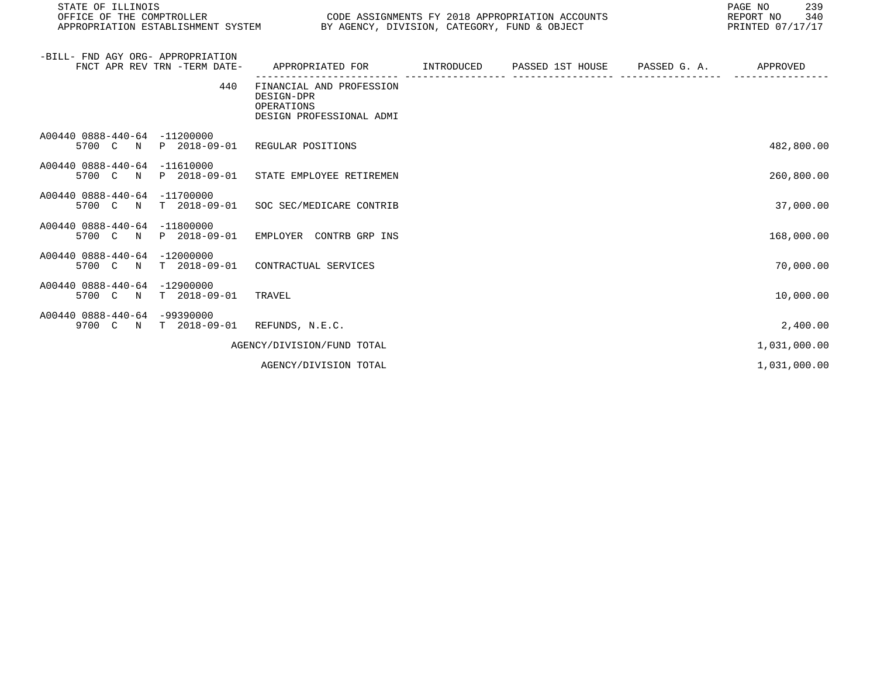| STATE OF ILLINOIS<br>OFFICE OF THE COMPTROLLER THE SERIES ON THE CODE ASSIGNMENTS FY 2018 APPROPRIATION ACCOUNTS<br>APPROPRIATION ESTABLISHMENT SYSTEM BY AGENCY, DIVISION, CATEGORY, FUND & OBJECT |                                                                                             |  | PAGE NO<br>239<br>REPORT NO 340<br>PRINTED 07/17/17 |
|-----------------------------------------------------------------------------------------------------------------------------------------------------------------------------------------------------|---------------------------------------------------------------------------------------------|--|-----------------------------------------------------|
| -BILL- FND AGY ORG- APPROPRIATION<br>FNCT APR REV TRN -TERM DATE-                                                                                                                                   | APPROPRIATED FOR        INTRODUCED      PASSED 1ST HOUSE     PASSED G. A.          APPROVED |  |                                                     |
| 440                                                                                                                                                                                                 | FINANCIAL AND PROFESSION<br>DESIGN-DPR<br>OPERATIONS<br>DESIGN PROFESSIONAL ADMI            |  |                                                     |
| A00440 0888-440-64 -11200000<br>5700 C N P 2018-09-01 REGULAR POSITIONS                                                                                                                             |                                                                                             |  | 482,800.00                                          |
| A00440 0888-440-64 -11610000<br>5700 C N P 2018-09-01 STATE EMPLOYEE RETIREMEN                                                                                                                      |                                                                                             |  | 260,800.00                                          |
| A00440 0888-440-64 -11700000<br>5700 C N T 2018-09-01 SOC SEC/MEDICARE CONTRIB                                                                                                                      |                                                                                             |  | 37,000.00                                           |
| A00440 0888-440-64 -11800000<br>5700 C N P 2018-09-01 EMPLOYER CONTRB GRP INS                                                                                                                       |                                                                                             |  | 168,000.00                                          |
| A00440 0888-440-64 -12000000<br>5700 C N T 2018-09-01 CONTRACTUAL SERVICES                                                                                                                          |                                                                                             |  | 70,000.00                                           |
| A00440 0888-440-64 -12900000<br>5700 C N T 2018-09-01                                                                                                                                               | TRAVEL                                                                                      |  | 10,000.00                                           |

A00440 0888-440-64 -99390000 9700 C N T 2018-09-01 REFUNDS, N.E.C. 2,400.00

AGENCY/DIVISION/FUND TOTAL  $1,031,000.00$ 

AGENCY/DIVISION TOTAL 1,031,000.00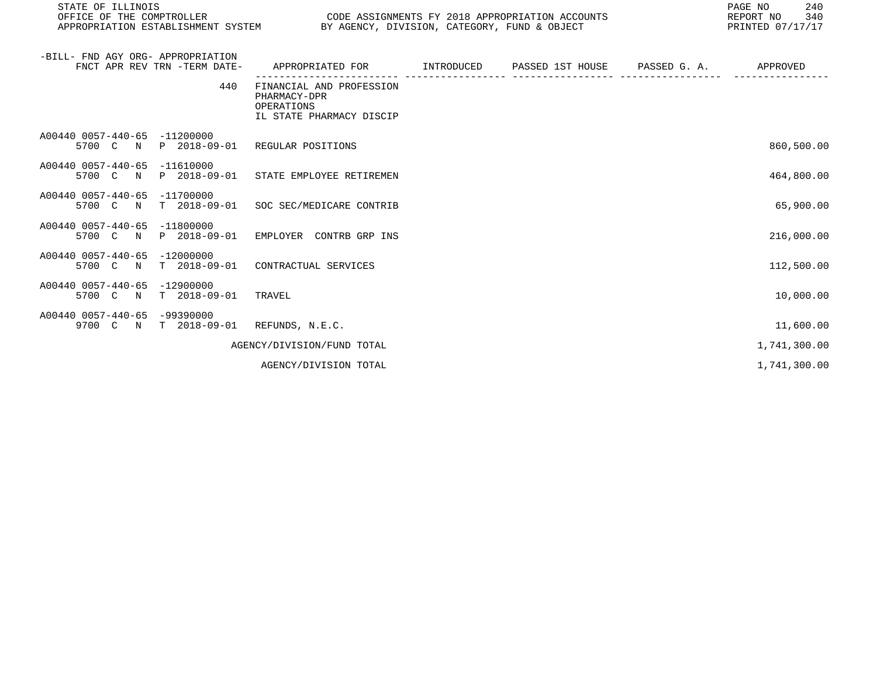| STATE OF ILLINOIS<br>OFFICE OF THE COMPTROLLER<br>APPROPRIATION ESTABLISHMENT SYSTEM BY AGENCY, DIVISION, CATEGORY, FUND & OBJECT | CODE ASSIGNMENTS FY 2018 APPROPRIATION ACCOUNTS                                    |  | PAGE NO<br>240<br>340<br>REPORT NO<br>PRINTED 07/17/17 |
|-----------------------------------------------------------------------------------------------------------------------------------|------------------------------------------------------------------------------------|--|--------------------------------------------------------|
| -BILL- FND AGY ORG- APPROPRIATION<br>FNCT APR REV TRN -TERM DATE-                                                                 | APPROPRIATED FOR      INTRODUCED   PASSED 1ST HOUSE    PASSED G.A.     APPROVED    |  |                                                        |
| 440                                                                                                                               | FINANCIAL AND PROFESSION<br>PHARMACY-DPR<br>OPERATIONS<br>IL STATE PHARMACY DISCIP |  |                                                        |
| A00440 0057-440-65 -11200000<br>5700 C N                                                                                          | P 2018-09-01 REGULAR POSITIONS                                                     |  | 860,500.00                                             |
| A00440 0057-440-65 -11610000<br>5700 C N P 2018-09-01 STATE EMPLOYEE RETIREMEN                                                    |                                                                                    |  | 464,800.00                                             |
| A00440 0057-440-65 -11700000<br>5700 C N                                                                                          | T 2018-09-01 SOC SEC/MEDICARE CONTRIB                                              |  | 65,900.00                                              |
| A00440 0057-440-65 -11800000<br>5700 C N                                                                                          | P 2018-09-01 EMPLOYER CONTRB GRP INS                                               |  | 216,000.00                                             |
| A00440 0057-440-65 -12000000<br>5700 C N                                                                                          | T 2018-09-01 CONTRACTUAL SERVICES                                                  |  | 112,500.00                                             |
| A00440 0057-440-65 -12900000<br>5700 C N<br>T 2018-09-01 TRAVEL                                                                   |                                                                                    |  | 10,000.00                                              |
| A00440 0057-440-65 -99390000<br>9700 C N T 2018-09-01 REFUNDS, N.E.C.                                                             |                                                                                    |  | 11,600.00                                              |

AGENCY/DIVISION/FUND TOTAL 1,741,300.00

AGENCY/DIVISION TOTAL 1, 1999.00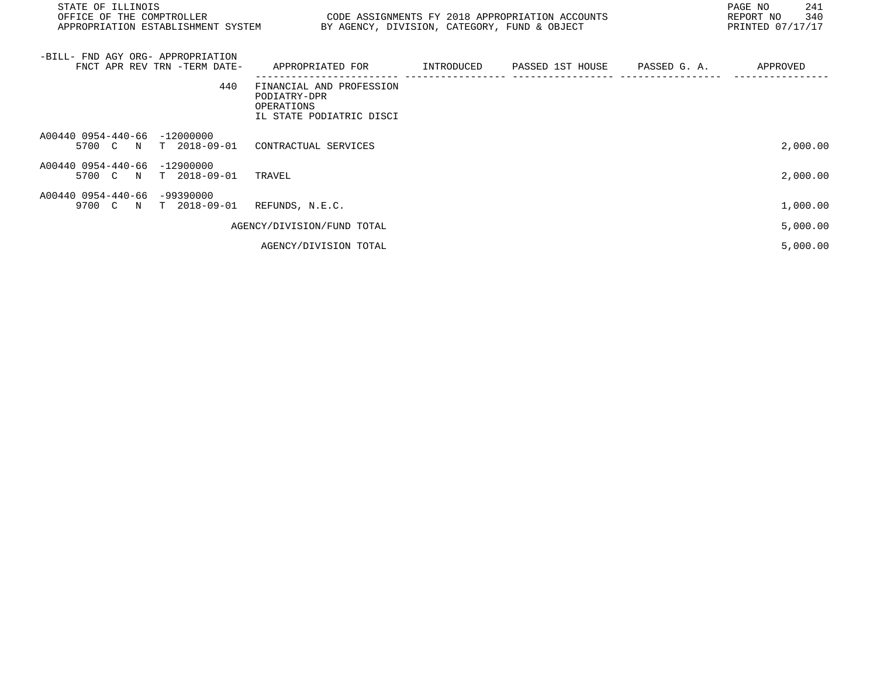| STATE OF ILLINOIS<br>OFFICE OF THE COMPTROLLER<br>APPROPRIATION ESTABLISHMENT SYSTEM | CODE ASSIGNMENTS FY 2018 APPROPRIATION ACCOUNTS                                    | BY AGENCY, DIVISION, CATEGORY, FUND & OBJECT |  | PAGE NO<br>241<br>340<br>REPORT NO<br>PRINTED 07/17/17 |
|--------------------------------------------------------------------------------------|------------------------------------------------------------------------------------|----------------------------------------------|--|--------------------------------------------------------|
| -BILL- FND AGY ORG- APPROPRIATION<br>FNCT APR REV TRN -TERM DATE-                    | APPROPRIATED FOR       INTRODUCED     PASSED 1ST HOUSE     PASSED G. A.            |                                              |  | APPROVED                                               |
| 440                                                                                  | FINANCIAL AND PROFESSION<br>PODIATRY-DPR<br>OPERATIONS<br>IL STATE PODIATRIC DISCI |                                              |  |                                                        |
| A00440 0954-440-66 -12000000<br>5700 C N<br>T 2018-09-01                             | CONTRACTUAL SERVICES                                                               |                                              |  | 2,000.00                                               |
| A00440 0954-440-66 -12900000<br>5700 C N T 2018-09-01                                | TRAVEL                                                                             |                                              |  | 2,000.00                                               |
| A00440 0954-440-66 -99390000<br>9700 C N<br>T 2018-09-01                             | REFUNDS, N.E.C.                                                                    |                                              |  | 1,000.00                                               |
|                                                                                      | AGENCY/DIVISION/FUND TOTAL                                                         |                                              |  | 5,000.00                                               |
|                                                                                      | AGENCY/DIVISION TOTAL                                                              |                                              |  | 5,000.00                                               |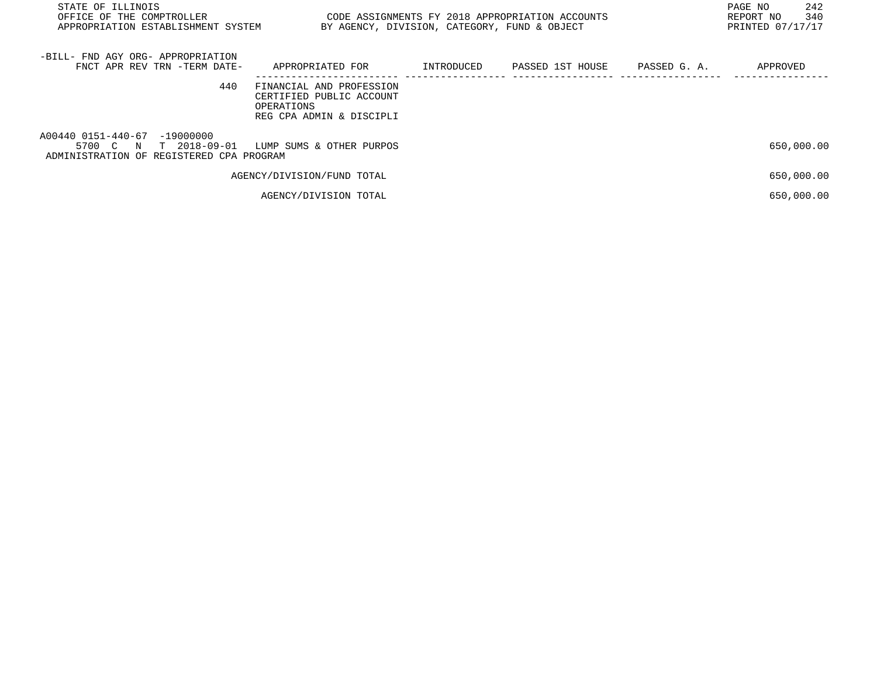| STATE OF ILLINOIS<br>OFFICE OF THE COMPTROLLER<br>APPROPRIATION ESTABLISHMENT SYSTEM                 | CODE ASSIGNMENTS FY 2018 APPROPRIATION ACCOUNTS<br>BY AGENCY, DIVISION, CATEGORY, FUND & OBJECT |            |                  |              | 242<br>PAGE NO<br>340<br>REPORT NO<br>PRINTED 07/17/17 |
|------------------------------------------------------------------------------------------------------|-------------------------------------------------------------------------------------------------|------------|------------------|--------------|--------------------------------------------------------|
| -BILL- FND AGY ORG- APPROPRIATION<br>FNCT APR REV TRN -TERM DATE-                                    | APPROPRIATED FOR                                                                                | INTRODUCED | PASSED 1ST HOUSE | PASSED G. A. | APPROVED                                               |
| 440                                                                                                  | FINANCIAL AND PROFESSION<br>CERTIFIED PUBLIC ACCOUNT<br>OPERATIONS<br>REG CPA ADMIN & DISCIPLI  |            |                  |              |                                                        |
| A00440 0151-440-67 -19000000<br>T 2018-09-01<br>5700 C N<br>ADMINISTRATION OF REGISTERED CPA PROGRAM | LUMP SUMS & OTHER PURPOS                                                                        |            |                  |              | 650,000.00                                             |
|                                                                                                      | AGENCY/DIVISION/FUND TOTAL                                                                      |            |                  |              | 650,000.00                                             |
|                                                                                                      | AGENCY/DIVISION TOTAL                                                                           |            |                  |              | 650,000.00                                             |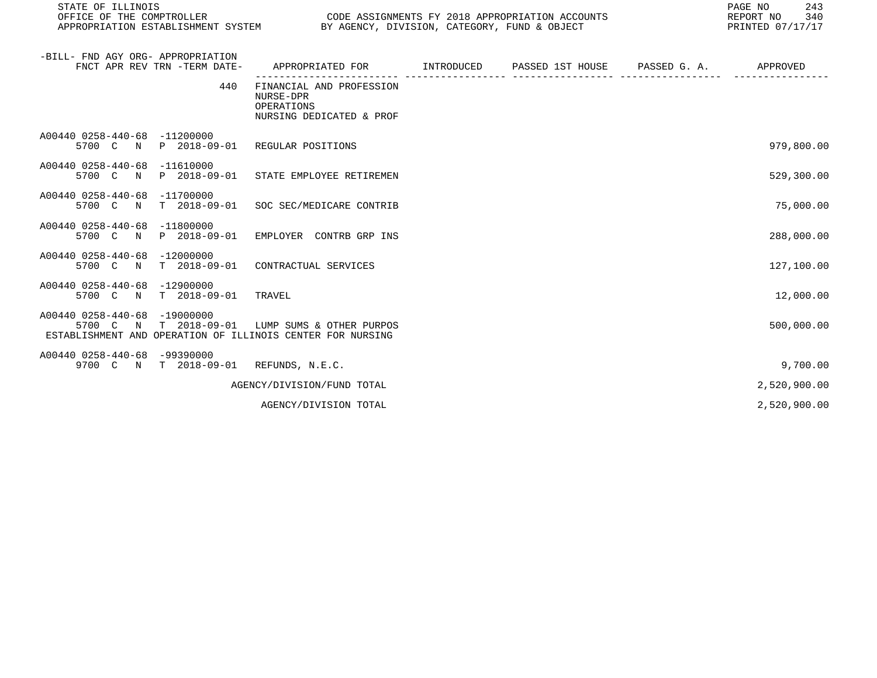STATE OF ILLINOIS PAGE NO 243

CODE ASSIGNMENTS FY 2018 APPROPRIATION ACCOUNTS FOR THE REPORT NO 340 (2018)<br>BY AGENCY, DIVISION, CATEGORY, FUND & OBJECT APPROPRIATION ESTABLISHMENT SYSTEM BY AGENCY, DIVISION, CATEGORY, FUND & OBJECT

| -BILL- FND AGY ORG- APPROPRIATION<br>FNCT APR REV TRN -TERM DATE-                                                                                | APPROPRIATED FOR                                                                | INTRODUCED | PASSED 1ST HOUSE PASSED G. A. | APPROVED     |
|--------------------------------------------------------------------------------------------------------------------------------------------------|---------------------------------------------------------------------------------|------------|-------------------------------|--------------|
| 440                                                                                                                                              | FINANCIAL AND PROFESSION<br>NURSE-DPR<br>OPERATIONS<br>NURSING DEDICATED & PROF |            |                               |              |
| A00440 0258-440-68<br>$-11200000$<br>P 2018-09-01<br>5700 C N                                                                                    | REGULAR POSITIONS                                                               |            |                               | 979,800.00   |
| A00440 0258-440-68<br>$-11610000$<br>5700 C<br>P 2018-09-01<br>$\mathbf N$                                                                       | STATE EMPLOYEE RETIREMEN                                                        |            |                               | 529,300.00   |
| A00440 0258-440-68<br>$-11700000$<br>5700 C<br>$\mathbf N$                                                                                       | T 2018-09-01 SOC SEC/MEDICARE CONTRIB                                           |            |                               | 75,000.00    |
| A00440 0258-440-68<br>$-11800000$<br>5700 C<br>P 2018-09-01<br>$\mathbb N$                                                                       | EMPLOYER CONTRB GRP INS                                                         |            |                               | 288,000.00   |
| A00440 0258-440-68<br>$-12000000$<br>5700 C<br>$\mathbb N$                                                                                       | T 2018-09-01 CONTRACTUAL SERVICES                                               |            |                               | 127,100.00   |
| A00440 0258-440-68<br>$-12900000$<br>T 2018-09-01 TRAVEL<br>5700 C N                                                                             |                                                                                 |            |                               | 12,000.00    |
| A00440 0258-440-68<br>$-19000000$<br>5700 C<br>$T = 2018 - 09 - 01$<br>$\mathbf N$<br>ESTABLISHMENT AND OPERATION OF ILLINOIS CENTER FOR NURSING | LUMP SUMS & OTHER PURPOS                                                        |            |                               | 500,000.00   |
| A00440 0258-440-68<br>-99390000<br>9700 C N T 2018-09-01 REFUNDS, N.E.C.                                                                         |                                                                                 |            |                               | 9,700.00     |
|                                                                                                                                                  | AGENCY/DIVISION/FUND TOTAL                                                      |            |                               | 2,520,900.00 |
|                                                                                                                                                  | AGENCY/DIVISION TOTAL                                                           |            |                               | 2,520,900.00 |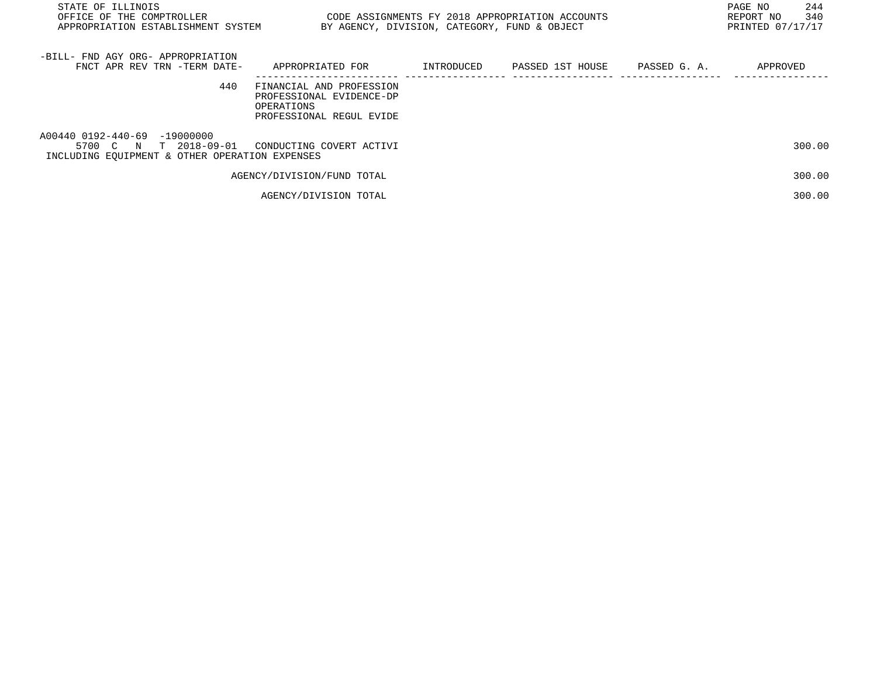| STATE OF ILLINOIS<br>OFFICE OF THE COMPTROLLER THE STATE STATE OF ASSIGNMENTS FY 2018 APPROPRIATION ACCOUNTS<br>APPROPRIATION ESTABLISHMENT SYSTEM |                                                                                                |            | BY AGENCY, DIVISION, CATEGORY, FUND & OBJECT | PAGE NO<br>244<br>340<br>REPORT NO<br>PRINTED 07/17/17 |
|----------------------------------------------------------------------------------------------------------------------------------------------------|------------------------------------------------------------------------------------------------|------------|----------------------------------------------|--------------------------------------------------------|
| -BILL- FND AGY ORG- APPROPRIATION<br>FNCT APR REV TRN -TERM DATE-                                                                                  | APPROPRIATED FOR                                                                               | INTRODUCED | PASSED 1ST HOUSE PASSED G. A.                | APPROVED                                               |
| 440                                                                                                                                                | FINANCIAL AND PROFESSION<br>PROFESSIONAL EVIDENCE-DP<br>OPERATIONS<br>PROFESSIONAL REGUL EVIDE |            |                                              |                                                        |
| A00440 0192-440-69 -19000000<br>5700 C N T 2018-09-01<br>INCLUDING EOUIPMENT & OTHER OPERATION EXPENSES                                            | CONDUCTING COVERT ACTIVI                                                                       |            |                                              | 300.00                                                 |
|                                                                                                                                                    | AGENCY/DIVISION/FUND TOTAL                                                                     |            |                                              | 300.00                                                 |
|                                                                                                                                                    | AGENCY/DIVISION TOTAL                                                                          |            |                                              | 300.00                                                 |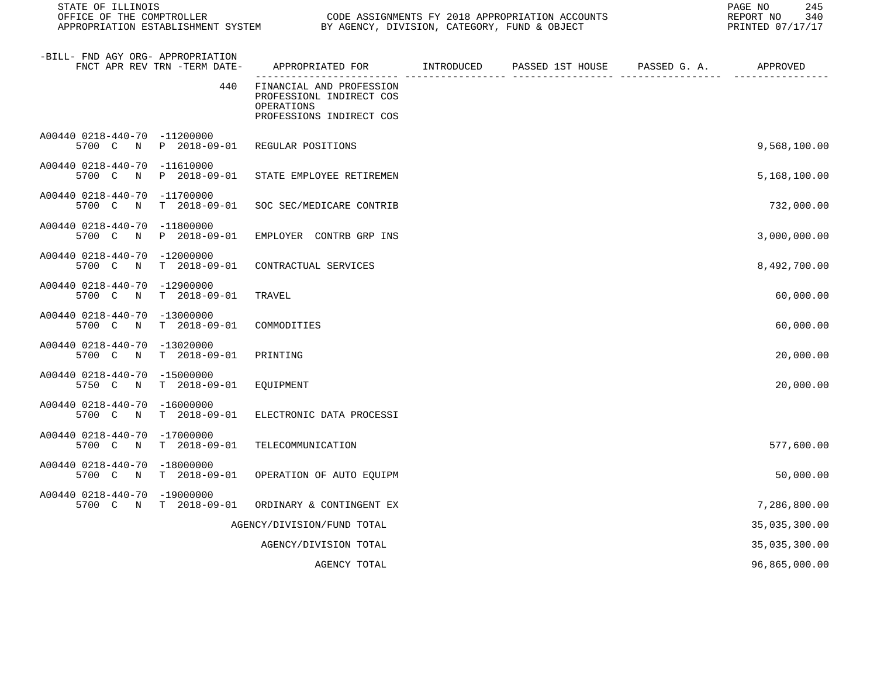| STATE OF ILLINOIS<br>OFFICE OF THE COMPTROLLER<br>APPROPRIATION ESTABLISHMENT SYSTEM BY AGENCY, DIVISION, CATEGORY, FUND & OBJECT |                              |                                                                                                | CODE ASSIGNMENTS FY 2018 APPROPRIATION ACCOUNTS | 245<br>PAGE NO<br>REPORT NO<br>340<br>PRINTED 07/17/17 |
|-----------------------------------------------------------------------------------------------------------------------------------|------------------------------|------------------------------------------------------------------------------------------------|-------------------------------------------------|--------------------------------------------------------|
| -BILL- FND AGY ORG- APPROPRIATION                                                                                                 | FNCT APR REV TRN -TERM DATE- | APPROPRIATED FOR         INTRODUCED      PASSED 1ST HOUSE     PASSED G. A.         APPROVED    |                                                 |                                                        |
|                                                                                                                                   | 440                          | FINANCIAL AND PROFESSION<br>PROFESSIONL INDIRECT COS<br>OPERATIONS<br>PROFESSIONS INDIRECT COS |                                                 |                                                        |
| A00440 0218-440-70 -11200000                                                                                                      |                              | 5700 C N P 2018-09-01 REGULAR POSITIONS                                                        |                                                 | 9,568,100.00                                           |
| A00440 0218-440-70 -11610000<br>5700 C                                                                                            | N P 2018-09-01               | STATE EMPLOYEE RETIREMEN                                                                       |                                                 | 5,168,100.00                                           |
| A00440 0218-440-70 -11700000<br>5700 C<br>$\mathbb N$                                                                             | T 2018-09-01                 | SOC SEC/MEDICARE CONTRIB                                                                       |                                                 | 732,000.00                                             |
| A00440 0218-440-70 -11800000                                                                                                      | 5700 C N P 2018-09-01        | EMPLOYER CONTRB GRP INS                                                                        |                                                 | 3,000,000.00                                           |
| A00440 0218-440-70 -12000000<br>5700 C N                                                                                          | T 2018-09-01                 | CONTRACTUAL SERVICES                                                                           |                                                 | 8,492,700.00                                           |
| A00440 0218-440-70 -12900000<br>5700 C N                                                                                          | T 2018-09-01                 | TRAVEL                                                                                         |                                                 | 60,000.00                                              |
| A00440 0218-440-70 -13000000<br>5700 C N                                                                                          | T 2018-09-01                 | COMMODITIES                                                                                    |                                                 | 60,000.00                                              |
| A00440 0218-440-70 -13020000<br>5700 C N                                                                                          | T 2018-09-01                 | PRINTING                                                                                       |                                                 | 20,000.00                                              |
| A00440 0218-440-70 -15000000<br>5750 C N                                                                                          | T 2018-09-01                 | EQUIPMENT                                                                                      |                                                 | 20,000.00                                              |
| A00440 0218-440-70 -16000000<br>5700 C N                                                                                          | T 2018-09-01                 | ELECTRONIC DATA PROCESSI                                                                       |                                                 |                                                        |
| A00440 0218-440-70 -17000000<br>5700 C N                                                                                          | T 2018-09-01                 | TELECOMMUNICATION                                                                              |                                                 | 577,600.00                                             |
| A00440 0218-440-70 -18000000<br>5700 C                                                                                            | N T 2018-09-01               | OPERATION OF AUTO EQUIPM                                                                       |                                                 | 50,000.00                                              |
| A00440 0218-440-70 -19000000<br>5700 C N                                                                                          | T 2018-09-01                 | ORDINARY & CONTINGENT EX                                                                       |                                                 | 7,286,800.00                                           |
|                                                                                                                                   |                              | AGENCY/DIVISION/FUND TOTAL                                                                     |                                                 | 35,035,300.00                                          |
|                                                                                                                                   |                              | AGENCY/DIVISION TOTAL                                                                          |                                                 | 35,035,300.00                                          |
|                                                                                                                                   |                              | AGENCY TOTAL                                                                                   |                                                 | 96,865,000.00                                          |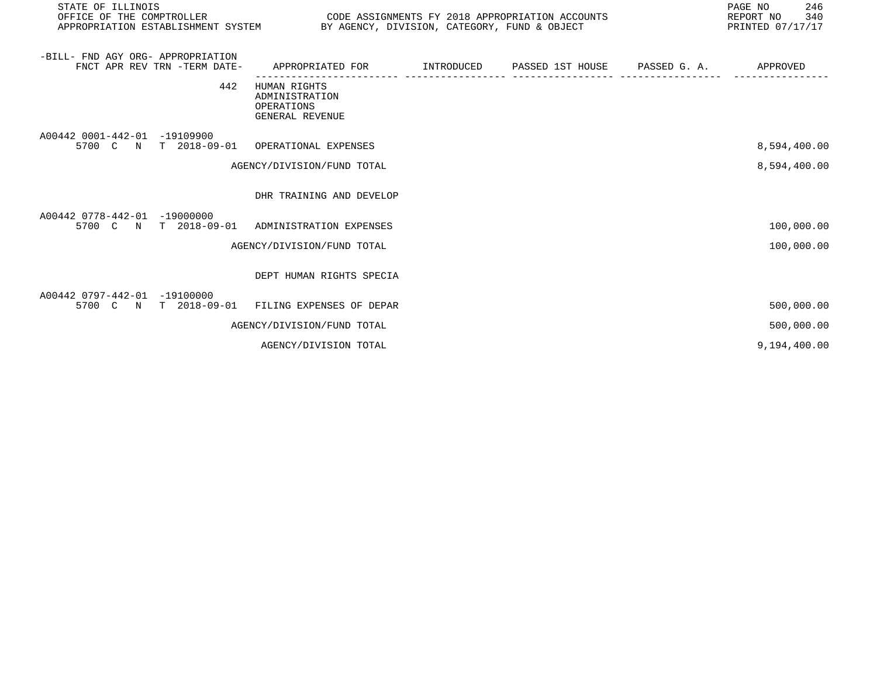| STATE OF ILLINOIS<br>OFFICE OF THE COMPTROLLER<br>APPROPRIATION ESTABLISHMENT SYSTEM BY AGENCY, DIVISION, CATEGORY, FUND & OBJECT |                                                                 | CODE ASSIGNMENTS FY 2018 APPROPRIATION ACCOUNTS | PAGE NO<br>246<br>340<br>REPORT NO<br>PRINTED 07/17/17 |
|-----------------------------------------------------------------------------------------------------------------------------------|-----------------------------------------------------------------|-------------------------------------------------|--------------------------------------------------------|
| -BILL- FND AGY ORG- APPROPRIATION<br>FNCT APR REV TRN -TERM DATE-                                                                 | APPROPRIATED FOR                                                |                                                 | APPROVED                                               |
| 442                                                                                                                               | HUMAN RIGHTS<br>ADMINISTRATION<br>OPERATIONS<br>GENERAL REVENUE |                                                 |                                                        |
| A00442 0001-442-01 -19109900<br>5700 C N T 2018-09-01 OPERATIONAL EXPENSES                                                        |                                                                 |                                                 | 8,594,400.00                                           |
|                                                                                                                                   | AGENCY/DIVISION/FUND TOTAL                                      |                                                 | 8,594,400.00                                           |
|                                                                                                                                   | DHR TRAINING AND DEVELOP                                        |                                                 |                                                        |
| A00442 0778-442-01 -19000000<br>5700 C N T 2018-09-01                                                                             | ADMINISTRATION EXPENSES                                         |                                                 | 100,000.00                                             |
|                                                                                                                                   | AGENCY/DIVISION/FUND TOTAL                                      |                                                 | 100,000.00                                             |
|                                                                                                                                   | DEPT HUMAN RIGHTS SPECIA                                        |                                                 |                                                        |
| A00442 0797-442-01 -19100000<br>5700 C N T 2018-09-01                                                                             | FILING EXPENSES OF DEPAR                                        |                                                 | 500,000.00                                             |
|                                                                                                                                   | AGENCY/DIVISION/FUND TOTAL                                      |                                                 | 500,000.00                                             |
|                                                                                                                                   | AGENCY/DIVISION TOTAL                                           |                                                 | 9,194,400.00                                           |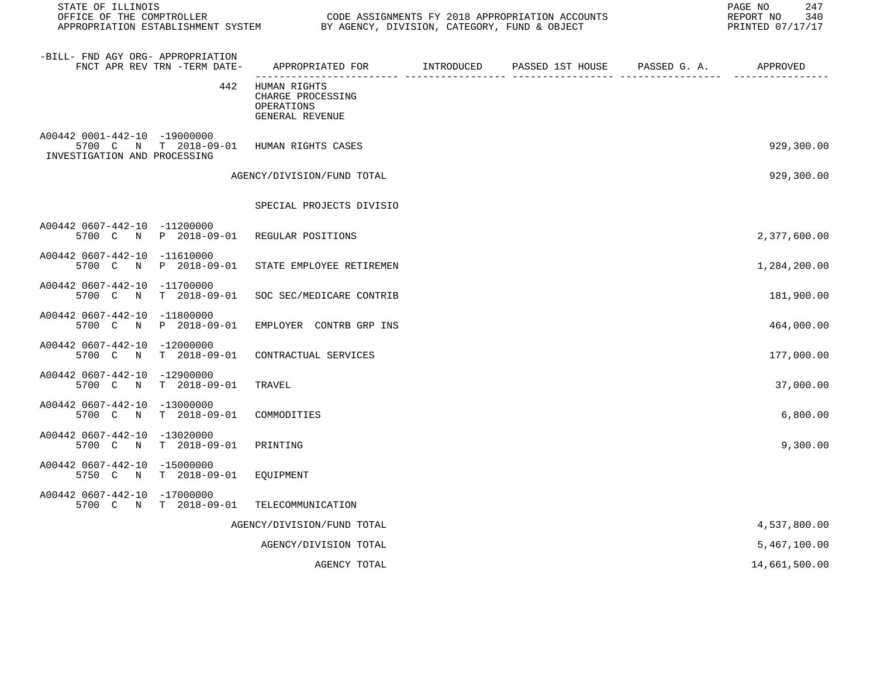| STATE OF ILLINOIS<br>OFFICE OF THE COMPTROLLER<br>APPROPRIATION ESTABLISHMENT SYSTEM BY AGENCY, DIVISION, CATEGORY, FUND & OBJECT |     |                                                                    |            | CODE ASSIGNMENTS FY 2018 APPROPRIATION ACCOUNTS |                                                   | PAGE NO<br>247<br>REPORT NO<br>340<br>PRINTED 07/17/17 |
|-----------------------------------------------------------------------------------------------------------------------------------|-----|--------------------------------------------------------------------|------------|-------------------------------------------------|---------------------------------------------------|--------------------------------------------------------|
| -BILL- FND AGY ORG- APPROPRIATION<br>FNCT APR REV TRN -TERM DATE-                                                                 |     | APPROPRIATED FOR<br>------------------------- ----                 | INTRODUCED | PASSED 1ST HOUSE                                | PASSED G. A.<br>------------- ------------------- | APPROVED                                               |
|                                                                                                                                   | 442 | HUMAN RIGHTS<br>CHARGE PROCESSING<br>OPERATIONS<br>GENERAL REVENUE |            |                                                 |                                                   |                                                        |
| A00442 0001-442-10 -19000000<br>5700 C N T 2018-09-01<br>INVESTIGATION AND PROCESSING                                             |     | HUMAN RIGHTS CASES                                                 |            |                                                 |                                                   | 929,300.00                                             |
|                                                                                                                                   |     | AGENCY/DIVISION/FUND TOTAL                                         |            |                                                 |                                                   | 929,300.00                                             |
|                                                                                                                                   |     | SPECIAL PROJECTS DIVISIO                                           |            |                                                 |                                                   |                                                        |
| A00442 0607-442-10 -11200000<br>5700 C N P 2018-09-01                                                                             |     | REGULAR POSITIONS                                                  |            |                                                 |                                                   | 2,377,600.00                                           |
| A00442 0607-442-10 -11610000<br>5700 C N P 2018-09-01                                                                             |     | STATE EMPLOYEE RETIREMEN                                           |            |                                                 |                                                   | 1,284,200.00                                           |
| A00442 0607-442-10 -11700000<br>5700 C N T 2018-09-01                                                                             |     | SOC SEC/MEDICARE CONTRIB                                           |            |                                                 |                                                   | 181,900.00                                             |
| A00442 0607-442-10 -11800000<br>5700 C N P 2018-09-01                                                                             |     | EMPLOYER CONTRB GRP INS                                            |            |                                                 |                                                   | 464,000.00                                             |
| A00442 0607-442-10 -12000000<br>5700 C N T 2018-09-01                                                                             |     | CONTRACTUAL SERVICES                                               |            |                                                 |                                                   | 177,000.00                                             |
| A00442 0607-442-10 -12900000<br>5700 C N T 2018-09-01                                                                             |     | TRAVEL                                                             |            |                                                 |                                                   | 37,000.00                                              |
| A00442 0607-442-10 -13000000<br>5700 C N T 2018-09-01                                                                             |     | COMMODITIES                                                        |            |                                                 |                                                   | 6,800.00                                               |
| A00442 0607-442-10 -13020000<br>5700 C N T 2018-09-01                                                                             |     | PRINTING                                                           |            |                                                 |                                                   | 9,300.00                                               |
| A00442 0607-442-10 -15000000<br>5750 C N T 2018-09-01                                                                             |     | EQUIPMENT                                                          |            |                                                 |                                                   |                                                        |
| A00442 0607-442-10 -17000000<br>5700 C N T 2018-09-01                                                                             |     | TELECOMMUNICATION                                                  |            |                                                 |                                                   |                                                        |
|                                                                                                                                   |     | AGENCY/DIVISION/FUND TOTAL                                         |            |                                                 |                                                   | 4,537,800.00                                           |
|                                                                                                                                   |     | AGENCY/DIVISION TOTAL                                              |            |                                                 |                                                   | 5,467,100.00                                           |
|                                                                                                                                   |     |                                                                    |            |                                                 |                                                   |                                                        |

AGENCY TOTAL 14,661,500.00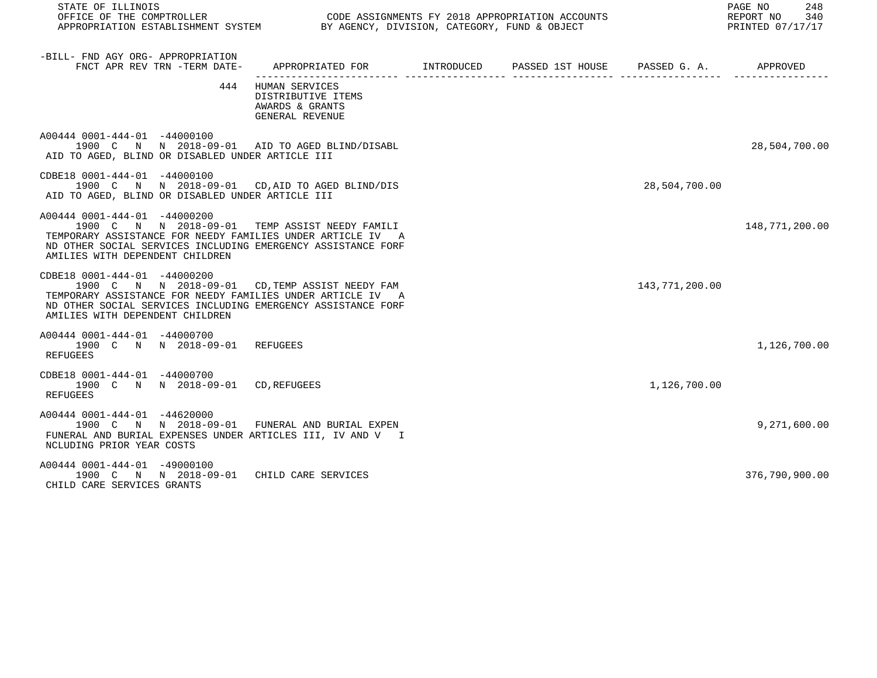| STATE OF ILLINOIS<br>OFFICE OF THE COMPTROLLER                                                                                                                                                                                                   |                                                                                           |  |                | PAGE NO<br>248<br>REPORT NO<br>340<br>PRINTED 07/17/17 |
|--------------------------------------------------------------------------------------------------------------------------------------------------------------------------------------------------------------------------------------------------|-------------------------------------------------------------------------------------------|--|----------------|--------------------------------------------------------|
| -BILL- FND AGY ORG- APPROPRIATION<br>FNCT APR REV TRN -TERM DATE-                                                                                                                                                                                | APPROPRIATED FOR        INTRODUCED      PASSED 1ST HOUSE     PASSED G. A.        APPROVED |  |                |                                                        |
|                                                                                                                                                                                                                                                  | 444 HUMAN SERVICES<br>DISTRIBUTIVE ITEMS<br>AWARDS & GRANTS<br>GENERAL REVENUE            |  |                |                                                        |
| A00444 0001-444-01 -44000100<br>1900 C N N 2018-09-01 AID TO AGED BLIND/DISABL<br>AID TO AGED, BLIND OR DISABLED UNDER ARTICLE III                                                                                                               |                                                                                           |  |                | 28,504,700.00                                          |
| CDBE18 0001-444-01 -44000100<br>1900 C N N 2018-09-01 CD, AID TO AGED BLIND/DIS<br>AID TO AGED, BLIND OR DISABLED UNDER ARTICLE III                                                                                                              |                                                                                           |  | 28,504,700.00  |                                                        |
| A00444 0001-444-01 -44000200<br>1900 C N N 2018-09-01 TEMP ASSIST NEEDY FAMILI<br>TEMPORARY ASSISTANCE FOR NEEDY FAMILIES UNDER ARTICLE IV A<br>ND OTHER SOCIAL SERVICES INCLUDING EMERGENCY ASSISTANCE FORF<br>AMILIES WITH DEPENDENT CHILDREN  |                                                                                           |  |                | 148,771,200.00                                         |
| CDBE18 0001-444-01 -44000200<br>1900 C N N 2018-09-01 CD, TEMP ASSIST NEEDY FAM<br>TEMPORARY ASSISTANCE FOR NEEDY FAMILIES UNDER ARTICLE IV A<br>ND OTHER SOCIAL SERVICES INCLUDING EMERGENCY ASSISTANCE FORF<br>AMILIES WITH DEPENDENT CHILDREN |                                                                                           |  | 143,771,200.00 |                                                        |
| A00444 0001-444-01 -44000700<br>1900 C N N 2018-09-01 REFUGEES<br>REFUGEES                                                                                                                                                                       |                                                                                           |  |                | 1,126,700.00                                           |
| CDBE18 0001-444-01 -44000700<br>1900 C N N 2018-09-01 CD, REFUGEES<br><b>REFUGEES</b>                                                                                                                                                            |                                                                                           |  | 1,126,700.00   |                                                        |
| A00444 0001-444-01 -44620000<br>1900 C N N 2018-09-01 FUNERAL AND BURIAL EXPEN<br>FUNERAL AND BURIAL EXPENSES UNDER ARTICLES III, IV AND V I<br>NCLUDING PRIOR YEAR COSTS                                                                        |                                                                                           |  |                | 9,271,600.00                                           |
| A00444 0001-444-01 -49000100<br>1900 C N N 2018-09-01 CHILD CARE SERVICES<br>CHILD CARE SERVICES GRANTS                                                                                                                                          |                                                                                           |  |                | 376,790,900.00                                         |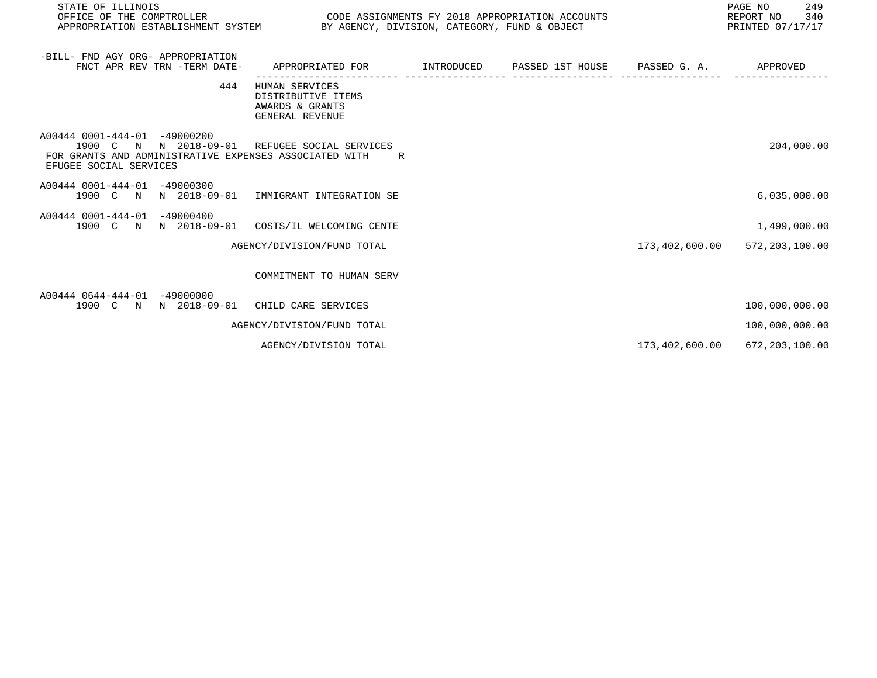| STATE OF ILLINOIS                                                                                                                                                 |                                                                                   |  |                | PAGE NO<br>249<br>REPORT NO<br>340<br>PRINTED 07/17/17 |
|-------------------------------------------------------------------------------------------------------------------------------------------------------------------|-----------------------------------------------------------------------------------|--|----------------|--------------------------------------------------------|
| -BILL- FND AGY ORG- APPROPRIATION<br>FNCT APR REV TRN -TERM DATE-                                                                                                 | APPROPRIATED FOR TINTRODUCED PASSED 1ST HOUSE PASSED G. A. APPROVED               |  |                |                                                        |
| 444                                                                                                                                                               | HUMAN SERVICES<br>DISTRIBUTIVE ITEMS<br>AWARDS & GRANTS<br><b>GENERAL REVENUE</b> |  |                |                                                        |
| A00444 0001-444-01 -49000200<br>1900 C N N 2018-09-01 REFUGEE SOCIAL SERVICES<br>FOR GRANTS AND ADMINISTRATIVE EXPENSES ASSOCIATED WITH<br>EFUGEE SOCIAL SERVICES | R.                                                                                |  |                | 204,000.00                                             |
| A00444 0001-444-01 -49000300<br>1900 C N N 2018-09-01 IMMIGRANT INTEGRATION SE                                                                                    |                                                                                   |  |                | 6,035,000.00                                           |
| A00444 0001-444-01 -49000400<br>1900 C N N 2018-09-01 COSTS/IL WELCOMING CENTE                                                                                    |                                                                                   |  |                | 1,499,000.00                                           |
|                                                                                                                                                                   | AGENCY/DIVISION/FUND TOTAL                                                        |  |                | 173,402,600.00 572,203,100.00                          |
|                                                                                                                                                                   | COMMITMENT TO HUMAN SERV                                                          |  |                |                                                        |
| A00444 0644-444-01 -49000000<br>1900 C N N 2018-09-01 CHILD CARE SERVICES                                                                                         |                                                                                   |  |                | 100,000,000.00                                         |
|                                                                                                                                                                   | AGENCY/DIVISION/FUND TOTAL                                                        |  |                | 100,000,000.00                                         |
|                                                                                                                                                                   | AGENCY/DIVISION TOTAL                                                             |  | 173,402,600.00 | 672, 203, 100.00                                       |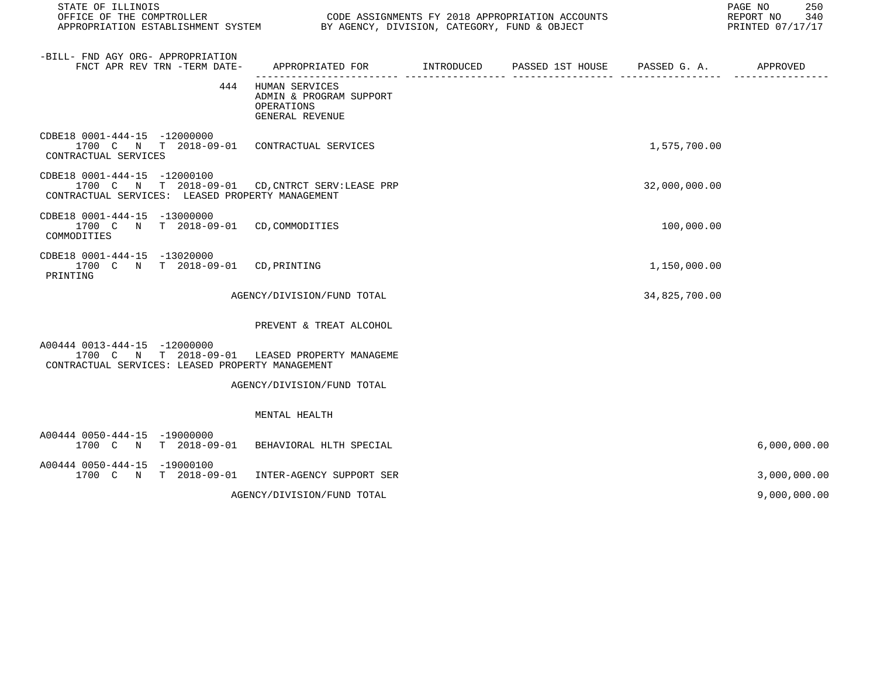| STATE OF ILLINOIS<br>OFFICE OF THE COMPTROLLER<br>APPROPRIATION ESTABLISHMENT SYSTEM BY AGENCY, DIVISION, CATEGORY, FUND & OBJECT    |                                                                                            | CODE ASSIGNMENTS FY 2018 APPROPRIATION ACCOUNTS |               | 250<br>PAGE NO<br>REPORT NO 340<br>PRINTED 07/17/17 |
|--------------------------------------------------------------------------------------------------------------------------------------|--------------------------------------------------------------------------------------------|-------------------------------------------------|---------------|-----------------------------------------------------|
| -BILL- FND AGY ORG- APPROPRIATION<br>FNCT APR REV TRN -TERM DATE-                                                                    | APPROPRIATED FOR        INTRODUCED      PASSED 1ST HOUSE     PASSED G. A.         APPROVED |                                                 |               |                                                     |
| 444                                                                                                                                  | HUMAN SERVICES<br>ADMIN & PROGRAM SUPPORT<br>OPERATIONS<br>GENERAL REVENUE                 |                                                 |               |                                                     |
| CDBE18 0001-444-15 -12000000<br>1700 C N T 2018-09-01 CONTRACTUAL SERVICES<br>CONTRACTUAL SERVICES                                   |                                                                                            |                                                 | 1,575,700.00  |                                                     |
| CDBE18 0001-444-15 -12000100<br>1700 C N T 2018-09-01 CD, CNTRCT SERV: LEASE PRP<br>CONTRACTUAL SERVICES: LEASED PROPERTY MANAGEMENT |                                                                                            |                                                 | 32,000,000.00 |                                                     |
| CDBE18 0001-444-15 -13000000<br>1700 C N T 2018-09-01 CD, COMMODITIES<br>COMMODITIES                                                 |                                                                                            |                                                 | 100,000.00    |                                                     |
| CDBE18 0001-444-15 -13020000<br>1700 C N T 2018-09-01 CD, PRINTING<br>PRINTING                                                       |                                                                                            |                                                 | 1,150,000.00  |                                                     |
|                                                                                                                                      | AGENCY/DIVISION/FUND TOTAL                                                                 |                                                 | 34,825,700.00 |                                                     |
|                                                                                                                                      | PREVENT & TREAT ALCOHOL                                                                    |                                                 |               |                                                     |
| A00444 0013-444-15 -12000000<br>1700 C N T 2018-09-01 LEASED PROPERTY MANAGEME<br>CONTRACTUAL SERVICES: LEASED PROPERTY MANAGEMENT   |                                                                                            |                                                 |               |                                                     |
|                                                                                                                                      | AGENCY/DIVISION/FUND TOTAL                                                                 |                                                 |               |                                                     |
|                                                                                                                                      | MENTAL HEALTH                                                                              |                                                 |               |                                                     |
| A00444 0050-444-15 -19000000<br>1700 C N T 2018-09-01 BEHAVIORAL HLTH SPECIAL                                                        |                                                                                            |                                                 |               | 6,000,000.00                                        |
| A00444 0050-444-15 -19000100<br>1700 C N T 2018-09-01 INTER-AGENCY SUPPORT SER                                                       |                                                                                            |                                                 |               | 3,000,000.00                                        |
|                                                                                                                                      | AGENCY/DIVISION/FUND TOTAL                                                                 |                                                 |               | 9,000,000.00                                        |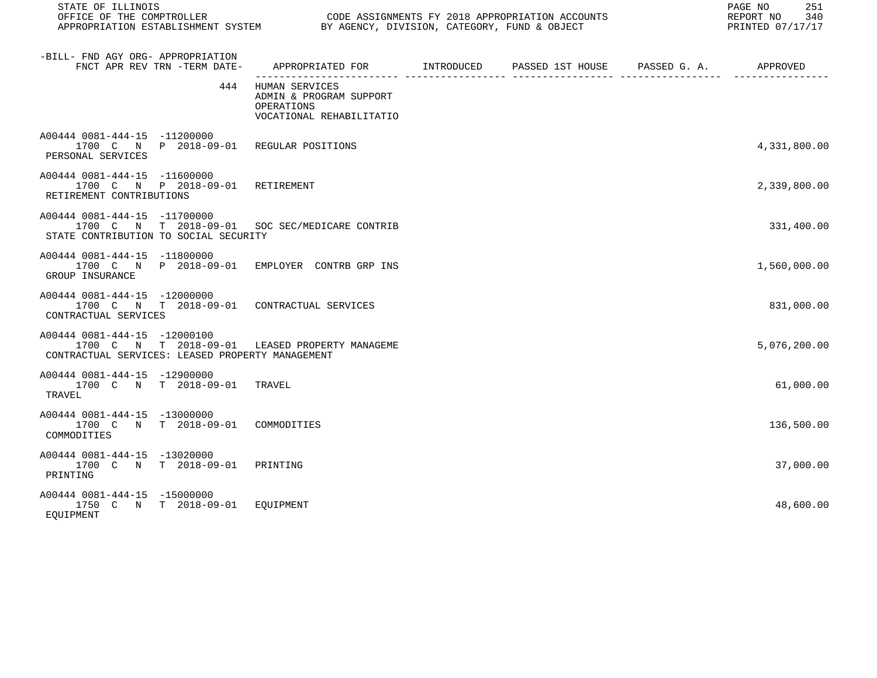| STATE OF ILLINOIS                                                                                                                  |                                                                                     |                                                                    | 251<br>PAGE NO<br>REPORT NO<br>340<br>PRINTED 07/17/17 |
|------------------------------------------------------------------------------------------------------------------------------------|-------------------------------------------------------------------------------------|--------------------------------------------------------------------|--------------------------------------------------------|
| -BILL- FND AGY ORG- APPROPRIATION<br>FNCT APR REV TRN -TERM DATE-                                                                  | APPROPRIATED FOR INTRODUCED                                                         | PASSED 1ST HOUSE PASSED G. A. APPROVED<br>-------------- --------- |                                                        |
| 444                                                                                                                                | HUMAN SERVICES<br>ADMIN & PROGRAM SUPPORT<br>OPERATIONS<br>VOCATIONAL REHABILITATIO |                                                                    |                                                        |
| A00444 0081-444-15 -11200000<br>1700 C N P 2018-09-01 REGULAR POSITIONS<br>PERSONAL SERVICES                                       |                                                                                     |                                                                    | 4,331,800.00                                           |
| A00444 0081-444-15 -11600000<br>1700 C N P 2018-09-01 RETIREMENT<br>RETIREMENT CONTRIBUTIONS                                       |                                                                                     |                                                                    | 2,339,800.00                                           |
| A00444 0081-444-15 -11700000<br>1700 C N T 2018-09-01 SOC SEC/MEDICARE CONTRIB<br>STATE CONTRIBUTION TO SOCIAL SECURITY            |                                                                                     |                                                                    | 331,400.00                                             |
| A00444 0081-444-15 -11800000<br>1700 C N P 2018-09-01 EMPLOYER CONTRB GRP INS<br>GROUP INSURANCE                                   |                                                                                     |                                                                    | 1,560,000.00                                           |
| A00444 0081-444-15 -12000000<br>1700 C N T 2018-09-01 CONTRACTUAL SERVICES<br>CONTRACTUAL SERVICES                                 |                                                                                     |                                                                    | 831,000.00                                             |
| A00444 0081-444-15 -12000100<br>1700 C N T 2018-09-01 LEASED PROPERTY MANAGEME<br>CONTRACTUAL SERVICES: LEASED PROPERTY MANAGEMENT |                                                                                     |                                                                    | 5,076,200.00                                           |
| A00444 0081-444-15 -12900000<br>1700 C N T 2018-09-01<br>TRAVEL                                                                    | TRAVEL                                                                              |                                                                    | 61,000.00                                              |
| A00444 0081-444-15 -13000000<br>1700 C N T 2018-09-01 COMMODITIES<br>COMMODITIES                                                   |                                                                                     |                                                                    | 136,500.00                                             |
| A00444 0081-444-15 -13020000<br>1700 C N T 2018-09-01<br>PRINTING                                                                  | PRINTING                                                                            |                                                                    | 37,000.00                                              |
| A00444 0081-444-15 -15000000<br>1750 C N T 2018-09-01 EOUIPMENT<br>EOUIPMENT                                                       |                                                                                     |                                                                    | 48,600.00                                              |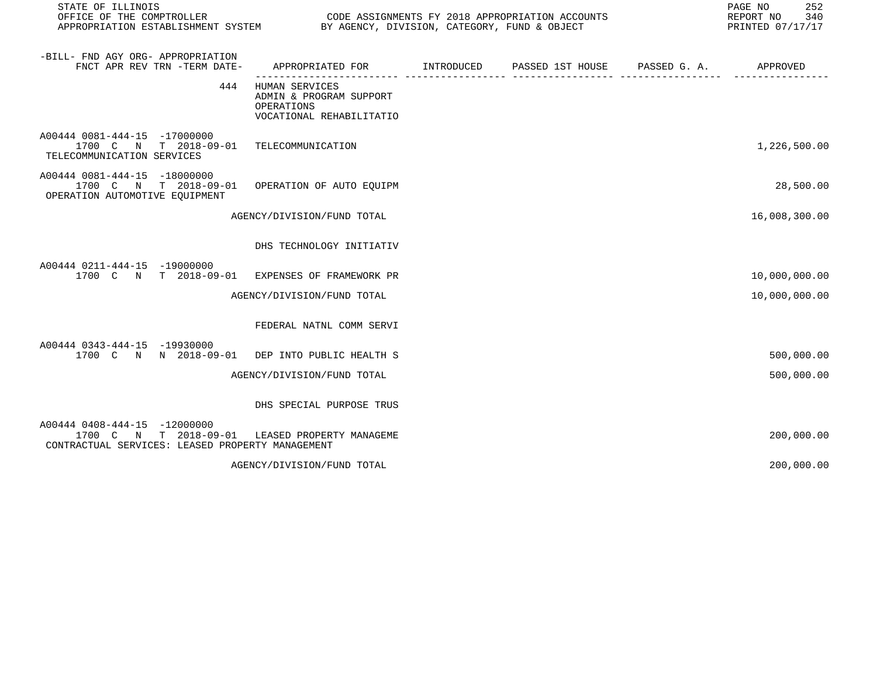| STATE OF ILLINOIS<br>OFFICE OF THE COMPTROLLER<br>APPROPRIATION ESTABLISHMENT SYSTEM BY AGENCY, DIVISION, CATEGORY, FUND & OBJECT |                                                                                     | CODE ASSIGNMENTS FY 2018 APPROPRIATION ACCOUNTS | 252<br>PAGE NO<br>REPORT NO<br>340<br>PRINTED 07/17/17 |
|-----------------------------------------------------------------------------------------------------------------------------------|-------------------------------------------------------------------------------------|-------------------------------------------------|--------------------------------------------------------|
| -BILL- FND AGY ORG- APPROPRIATION<br>FNCT APR REV TRN -TERM DATE-                                                                 | APPROPRIATED FOR TINTRODUCED PASSED 1ST HOUSE PASSED G.A.                           |                                                 | APPROVED                                               |
| 444                                                                                                                               | HUMAN SERVICES<br>ADMIN & PROGRAM SUPPORT<br>OPERATIONS<br>VOCATIONAL REHABILITATIO |                                                 |                                                        |
| A00444 0081-444-15 -17000000<br>1700 C N T 2018-09-01 TELECOMMUNICATION<br>TELECOMMUNICATION SERVICES                             |                                                                                     |                                                 | 1,226,500.00                                           |
| A00444 0081-444-15 -18000000<br>1700 C N T 2018-09-01<br>OPERATION AUTOMOTIVE EQUIPMENT                                           | OPERATION OF AUTO EOUIPM                                                            |                                                 | 28,500.00                                              |
|                                                                                                                                   | AGENCY/DIVISION/FUND TOTAL                                                          |                                                 | 16,008,300.00                                          |
|                                                                                                                                   | DHS TECHNOLOGY INITIATIV                                                            |                                                 |                                                        |
| A00444 0211-444-15 -19000000<br>1700 C N T 2018-09-01 EXPENSES OF FRAMEWORK PR                                                    |                                                                                     |                                                 | 10,000,000.00                                          |
|                                                                                                                                   | AGENCY/DIVISION/FUND TOTAL                                                          |                                                 | 10,000,000.00                                          |
|                                                                                                                                   | FEDERAL NATNL COMM SERVI                                                            |                                                 |                                                        |
| A00444 0343-444-15 -19930000<br>1700 C N N 2018-09-01 DEP INTO PUBLIC HEALTH S                                                    |                                                                                     |                                                 | 500,000.00                                             |
|                                                                                                                                   | AGENCY/DIVISION/FUND TOTAL                                                          |                                                 | 500,000.00                                             |
|                                                                                                                                   | DHS SPECIAL PURPOSE TRUS                                                            |                                                 |                                                        |
| A00444 0408-444-15 -12000000<br>N T 2018-09-01<br>1700 C<br>CONTRACTUAL SERVICES: LEASED PROPERTY MANAGEMENT                      | LEASED PROPERTY MANAGEME                                                            |                                                 | 200,000.00                                             |
|                                                                                                                                   | AGENCY/DIVISION/FUND TOTAL                                                          |                                                 | 200,000.00                                             |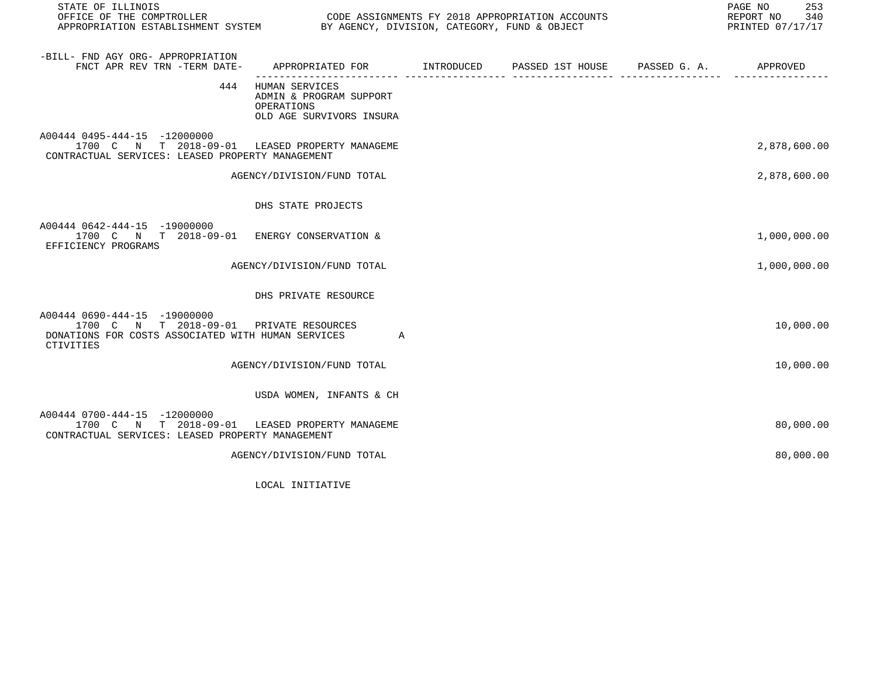| STATE OF ILLINOIS                                                                                                                                 |                                                                                     |  | 253<br>PAGE NO<br>REPORT NO<br>340<br>PRINTED 07/17/17 |
|---------------------------------------------------------------------------------------------------------------------------------------------------|-------------------------------------------------------------------------------------|--|--------------------------------------------------------|
| -BILL- FND AGY ORG- APPROPRIATION<br>FNCT APR REV TRN -TERM DATE-                                                                                 |                                                                                     |  |                                                        |
| 444                                                                                                                                               | HUMAN SERVICES<br>ADMIN & PROGRAM SUPPORT<br>OPERATIONS<br>OLD AGE SURVIVORS INSURA |  |                                                        |
| A00444 0495-444-15 -12000000<br>1700 C N T 2018-09-01 LEASED PROPERTY MANAGEME<br>CONTRACTUAL SERVICES: LEASED PROPERTY MANAGEMENT                |                                                                                     |  | 2,878,600.00                                           |
|                                                                                                                                                   | AGENCY/DIVISION/FUND TOTAL                                                          |  | 2,878,600.00                                           |
|                                                                                                                                                   | DHS STATE PROJECTS                                                                  |  |                                                        |
| A00444 0642-444-15 -19000000<br>1700 C N T 2018-09-01 ENERGY CONSERVATION &<br>EFFICIENCY PROGRAMS                                                |                                                                                     |  | 1,000,000.00                                           |
|                                                                                                                                                   | AGENCY/DIVISION/FUND TOTAL                                                          |  | 1,000,000.00                                           |
|                                                                                                                                                   | DHS PRIVATE RESOURCE                                                                |  |                                                        |
| A00444 0690-444-15 -19000000<br>1700 C N T 2018-09-01 PRIVATE RESOURCES<br>DONATIONS FOR COSTS ASSOCIATED WITH HUMAN SERVICES<br><b>CTIVITIES</b> | A                                                                                   |  | 10,000.00                                              |
|                                                                                                                                                   | AGENCY/DIVISION/FUND TOTAL                                                          |  | 10,000.00                                              |
|                                                                                                                                                   | USDA WOMEN, INFANTS & CH                                                            |  |                                                        |
| A00444 0700-444-15 -12000000<br>1700 C N T 2018-09-01<br>CONTRACTUAL SERVICES: LEASED PROPERTY MANAGEMENT                                         | LEASED PROPERTY MANAGEME                                                            |  | 80,000.00                                              |
|                                                                                                                                                   | AGENCY/DIVISION/FUND TOTAL                                                          |  | 80,000.00                                              |
|                                                                                                                                                   |                                                                                     |  |                                                        |

LOCAL INITIATIVE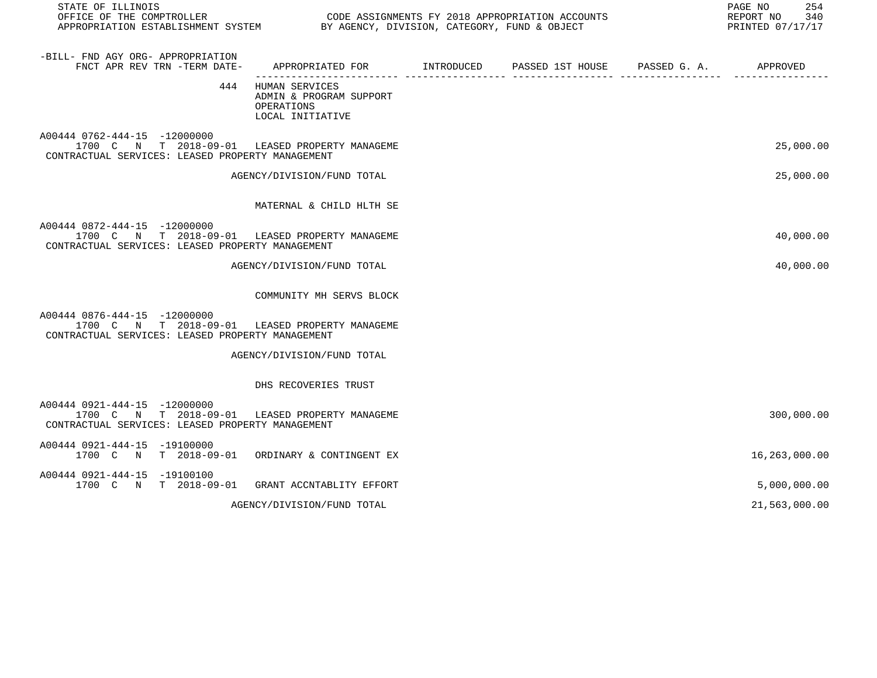| STATE OF ILLINOIS<br>OFFICE OF THE COMPTROLLER CONDUCTER CODE ASSIGNMENTS FY 2018 APPROPRIATION ACCOUNTS<br>APPROPRIATION ESTABLISHMENT SYSTEM BY AGENCY, DIVISION, CATEGORY, FUND & OBJECT |                                                                                 |  | PAGE NO<br>254<br>REPORT NO 340<br>PRINTED 07/17/17 |
|---------------------------------------------------------------------------------------------------------------------------------------------------------------------------------------------|---------------------------------------------------------------------------------|--|-----------------------------------------------------|
| -BILL- FND AGY ORG- APPROPRIATION<br>FNCT APR REV TRN -TERM DATE-                                                                                                                           | APPROPRIATED FOR         INTRODUCED      PASSED 1ST HOUSE      PASSED G. A.     |  | APPROVED                                            |
|                                                                                                                                                                                             | 444 HUMAN SERVICES<br>ADMIN & PROGRAM SUPPORT<br>OPERATIONS<br>LOCAL INITIATIVE |  |                                                     |
| A00444 0762-444-15 -12000000<br>1700 C N T 2018-09-01 LEASED PROPERTY MANAGEME<br>CONTRACTUAL SERVICES: LEASED PROPERTY MANAGEMENT                                                          |                                                                                 |  | 25,000.00                                           |
|                                                                                                                                                                                             | AGENCY/DIVISION/FUND TOTAL                                                      |  | 25,000.00                                           |
|                                                                                                                                                                                             | MATERNAL & CHILD HLTH SE                                                        |  |                                                     |
| A00444 0872-444-15 -12000000<br>1700 C N T 2018-09-01 LEASED PROPERTY MANAGEME<br>CONTRACTUAL SERVICES: LEASED PROPERTY MANAGEMENT                                                          |                                                                                 |  | 40,000.00                                           |
|                                                                                                                                                                                             | AGENCY/DIVISION/FUND TOTAL                                                      |  | 40,000.00                                           |
|                                                                                                                                                                                             | COMMUNITY MH SERVS BLOCK                                                        |  |                                                     |
| A00444 0876-444-15 -12000000<br>1700 C N T 2018-09-01 LEASED PROPERTY MANAGEME<br>CONTRACTUAL SERVICES: LEASED PROPERTY MANAGEMENT                                                          |                                                                                 |  |                                                     |
|                                                                                                                                                                                             | AGENCY/DIVISION/FUND TOTAL                                                      |  |                                                     |
|                                                                                                                                                                                             | DHS RECOVERIES TRUST                                                            |  |                                                     |
| A00444 0921-444-15 -12000000<br>1700 C N T 2018-09-01 LEASED PROPERTY MANAGEME<br>CONTRACTUAL SERVICES: LEASED PROPERTY MANAGEMENT                                                          |                                                                                 |  | 300,000.00                                          |
| A00444 0921-444-15 -19100000<br>1700 C N T 2018-09-01 ORDINARY & CONTINGENT EX                                                                                                              |                                                                                 |  | 16,263,000.00                                       |
| A00444 0921-444-15 -19100100<br>1700 C N T 2018-09-01 GRANT ACCNTABLITY EFFORT                                                                                                              |                                                                                 |  | 5,000,000.00                                        |
|                                                                                                                                                                                             | AGENCY/DIVISION/FUND TOTAL                                                      |  | 21,563,000.00                                       |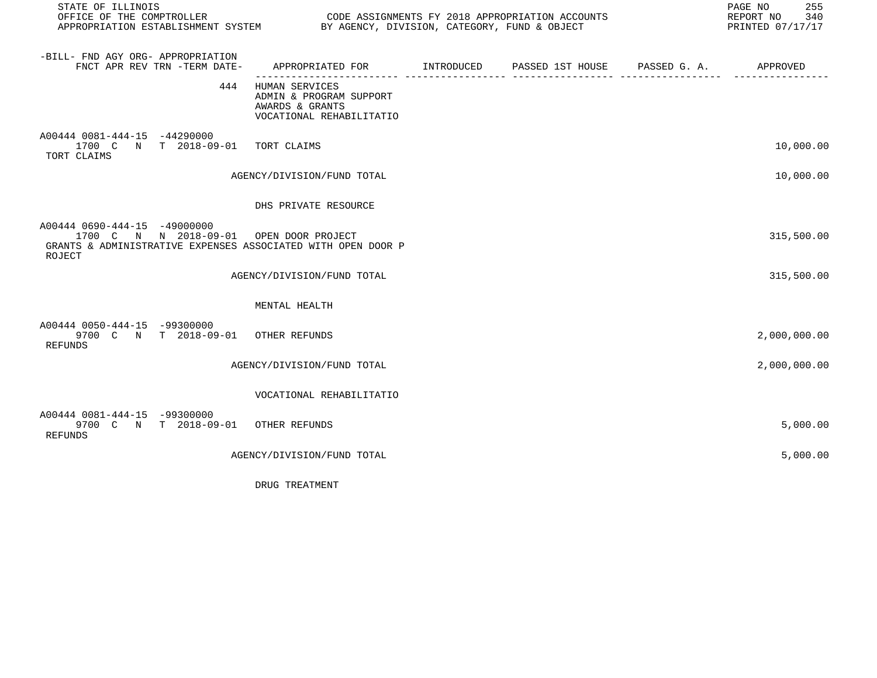| STATE OF ILLINOIS                                                                                                                                 |                                                                                          |  | PAGE NO<br>255<br>REPORT NO<br>340<br>PRINTED 07/17/17 |
|---------------------------------------------------------------------------------------------------------------------------------------------------|------------------------------------------------------------------------------------------|--|--------------------------------------------------------|
| -BILL- FND AGY ORG- APPROPRIATION<br>FNCT APR REV TRN -TERM DATE-                                                                                 | APPROPRIATED FOR       INTRODUCED     PASSED 1ST HOUSE     PASSED G. A.        APPROVED  |  |                                                        |
| 444                                                                                                                                               | HUMAN SERVICES<br>ADMIN & PROGRAM SUPPORT<br>AWARDS & GRANTS<br>VOCATIONAL REHABILITATIO |  |                                                        |
| A00444 0081-444-15 -44290000<br>1700 C N T 2018-09-01 TORT CLAIMS<br>TORT CLAIMS                                                                  |                                                                                          |  | 10,000.00                                              |
|                                                                                                                                                   | AGENCY/DIVISION/FUND TOTAL                                                               |  | 10,000.00                                              |
|                                                                                                                                                   | DHS PRIVATE RESOURCE                                                                     |  |                                                        |
| A00444 0690-444-15 -49000000<br>1700 C N N 2018-09-01 OPEN DOOR PROJECT<br>GRANTS & ADMINISTRATIVE EXPENSES ASSOCIATED WITH OPEN DOOR P<br>ROJECT |                                                                                          |  | 315,500.00                                             |
|                                                                                                                                                   | AGENCY/DIVISION/FUND TOTAL                                                               |  | 315,500.00                                             |
|                                                                                                                                                   | MENTAL HEALTH                                                                            |  |                                                        |
| A00444 0050-444-15 -99300000<br>9700 C N T 2018-09-01 OTHER REFUNDS<br>REFUNDS                                                                    |                                                                                          |  | 2,000,000.00                                           |
|                                                                                                                                                   | AGENCY/DIVISION/FUND TOTAL                                                               |  | 2,000,000.00                                           |
|                                                                                                                                                   | VOCATIONAL REHABILITATIO                                                                 |  |                                                        |
| A00444 0081-444-15 -99300000<br>9700 C N T 2018-09-01 OTHER REFUNDS<br>REFUNDS                                                                    |                                                                                          |  | 5,000.00                                               |
|                                                                                                                                                   | AGENCY/DIVISION/FUND TOTAL                                                               |  | 5,000.00                                               |

DRUG TREATMENT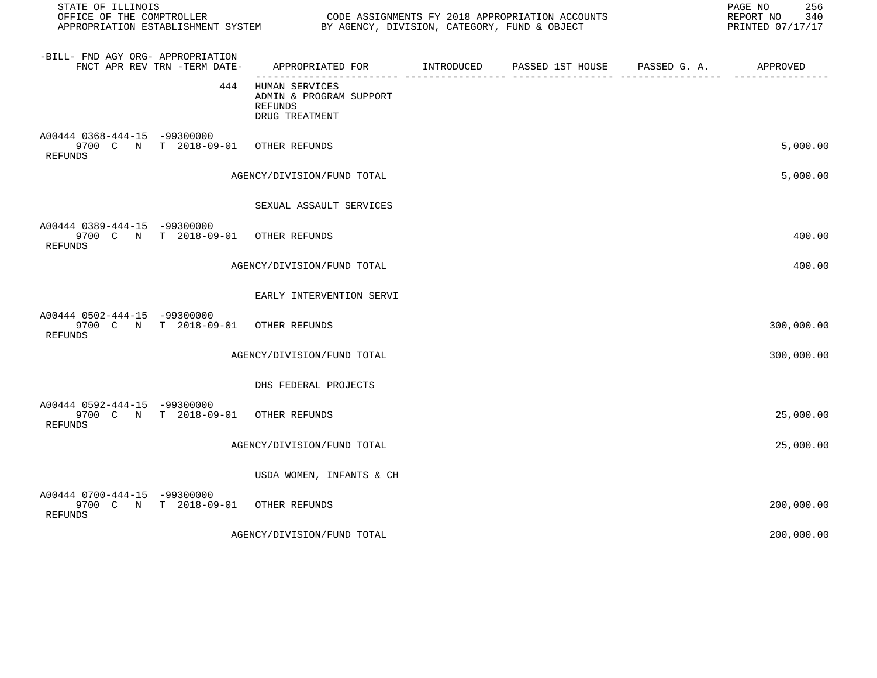| STATE OF ILLINOIS<br>OFFICE OF THE COMPTROLLER<br>APPROPRIATION ESTABLISHMENT SYSTEM |                                     | BY AGENCY, DIVISION, CATEGORY, FUND & OBJECT                           | CODE ASSIGNMENTS FY 2018 APPROPRIATION ACCOUNTS |                       | PAGE NO<br>256<br>REPORT NO<br>340<br>PRINTED 07/17/17 |
|--------------------------------------------------------------------------------------|-------------------------------------|------------------------------------------------------------------------|-------------------------------------------------|-----------------------|--------------------------------------------------------|
| -BILL- FND AGY ORG- APPROPRIATION                                                    | FNCT APR REV TRN -TERM DATE-        | APPROPRIATED FOR INTRODUCED                                            | PASSED 1ST HOUSE                                | PASSED G. A. APPROVED |                                                        |
|                                                                                      | 444                                 | HUMAN SERVICES<br>ADMIN & PROGRAM SUPPORT<br>REFUNDS<br>DRUG TREATMENT |                                                 |                       |                                                        |
| A00444 0368-444-15 -99300000<br>REFUNDS                                              | 9700 C N T 2018-09-01               | OTHER REFUNDS                                                          |                                                 |                       | 5,000.00                                               |
|                                                                                      |                                     | AGENCY/DIVISION/FUND TOTAL                                             |                                                 |                       | 5,000.00                                               |
|                                                                                      |                                     | SEXUAL ASSAULT SERVICES                                                |                                                 |                       |                                                        |
| A00444 0389-444-15 -99300000<br>REFUNDS                                              | 9700 C N T 2018-09-01               | OTHER REFUNDS                                                          |                                                 |                       | 400.00                                                 |
|                                                                                      |                                     | AGENCY/DIVISION/FUND TOTAL                                             |                                                 |                       | 400.00                                                 |
|                                                                                      |                                     | EARLY INTERVENTION SERVI                                               |                                                 |                       |                                                        |
| A00444 0502-444-15 -99300000<br>REFUNDS                                              | 9700 C N T 2018-09-01 OTHER REFUNDS |                                                                        |                                                 |                       | 300,000.00                                             |
|                                                                                      |                                     | AGENCY/DIVISION/FUND TOTAL                                             |                                                 |                       | 300,000.00                                             |
|                                                                                      |                                     | DHS FEDERAL PROJECTS                                                   |                                                 |                       |                                                        |
| A00444 0592-444-15 -99300000<br><b>REFUNDS</b>                                       | 9700 C N T 2018-09-01               | OTHER REFUNDS                                                          |                                                 |                       | 25,000.00                                              |
|                                                                                      |                                     | AGENCY/DIVISION/FUND TOTAL                                             |                                                 |                       | 25,000.00                                              |
|                                                                                      |                                     | USDA WOMEN, INFANTS & CH                                               |                                                 |                       |                                                        |
| A00444 0700-444-15 -99300000<br>REFUNDS                                              | 9700 C N T 2018-09-01               | OTHER REFUNDS                                                          |                                                 |                       | 200,000.00                                             |
|                                                                                      |                                     | AGENCY/DIVISION/FUND TOTAL                                             |                                                 |                       | 200,000.00                                             |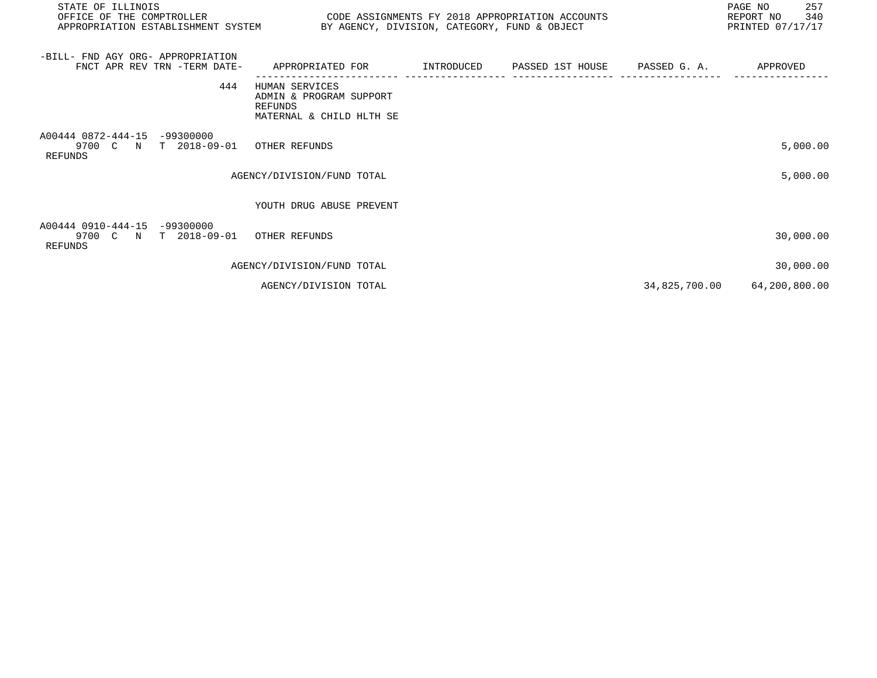| STATE OF ILLINOIS<br>OFFICE OF THE COMPTROLLER<br>CODE ASSIGNMENTS FY 2018 APPROPRIATION ACCOUNTS<br>APPROPRIATION ESTABLISHMENT SYSTEM BY AGENCY, DIVISION, CATEGORY, FUND & OBJECT |                                                                                              |  |  |  | PAGE NO<br>257<br>340<br>REPORT NO<br>PRINTED 07/17/17 |
|--------------------------------------------------------------------------------------------------------------------------------------------------------------------------------------|----------------------------------------------------------------------------------------------|--|--|--|--------------------------------------------------------|
| -BILL- FND AGY ORG- APPROPRIATION<br>FNCT APR REV TRN -TERM DATE-                                                                                                                    | APPROPRIATED FOR         INTRODUCED      PASSED 1ST HOUSE     PASSED G. A.          APPROVED |  |  |  |                                                        |
| 444                                                                                                                                                                                  | HUMAN SERVICES<br>ADMIN & PROGRAM SUPPORT<br><b>REFUNDS</b><br>MATERNAL & CHILD HLTH SE      |  |  |  |                                                        |
| A00444 0872-444-15 -99300000<br>9700 C N T 2018-09-01<br><b>REFUNDS</b>                                                                                                              | OTHER REFUNDS                                                                                |  |  |  | 5,000.00                                               |
|                                                                                                                                                                                      | AGENCY/DIVISION/FUND TOTAL                                                                   |  |  |  | 5,000.00                                               |
|                                                                                                                                                                                      | YOUTH DRUG ABUSE PREVENT                                                                     |  |  |  |                                                        |
| A00444 0910-444-15 -99300000<br>9700 C N T 2018-09-01<br>REFUNDS                                                                                                                     | OTHER REFUNDS                                                                                |  |  |  | 30,000.00                                              |
|                                                                                                                                                                                      | AGENCY/DIVISION/FUND TOTAL                                                                   |  |  |  | 30,000.00                                              |
|                                                                                                                                                                                      | AGENCY/DIVISION TOTAL                                                                        |  |  |  | 34,825,700.00 64,200,800.00                            |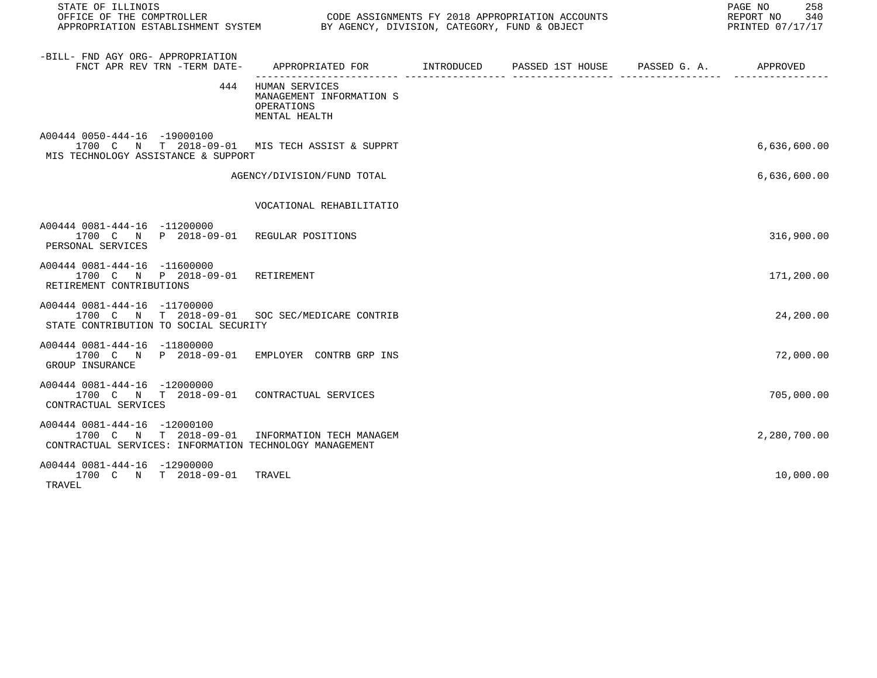| STATE OF ILLINOIS                                                                                                                         |                                                                           | 258<br>PAGE NO<br>REPORT NO<br>340<br>PRINTED 07/17/17 |  |              |
|-------------------------------------------------------------------------------------------------------------------------------------------|---------------------------------------------------------------------------|--------------------------------------------------------|--|--------------|
| -BILL- FND AGY ORG- APPROPRIATION<br>FNCT APR REV TRN -TERM DATE-                                                                         |                                                                           |                                                        |  |              |
| 444                                                                                                                                       | HUMAN SERVICES<br>MANAGEMENT INFORMATION S<br>OPERATIONS<br>MENTAL HEALTH |                                                        |  |              |
| A00444 0050-444-16 -19000100<br>1700 C N T 2018-09-01 MIS TECH ASSIST & SUPPRT<br>MIS TECHNOLOGY ASSISTANCE & SUPPORT                     |                                                                           |                                                        |  | 6,636,600.00 |
|                                                                                                                                           | AGENCY/DIVISION/FUND TOTAL                                                |                                                        |  | 6,636,600.00 |
|                                                                                                                                           | VOCATIONAL REHABILITATIO                                                  |                                                        |  |              |
| A00444 0081-444-16 -11200000<br>1700 C N P 2018-09-01 REGULAR POSITIONS<br>PERSONAL SERVICES                                              |                                                                           |                                                        |  | 316,900.00   |
| A00444 0081-444-16 -11600000<br>1700 C N P 2018-09-01 RETIREMENT<br>RETIREMENT CONTRIBUTIONS                                              |                                                                           |                                                        |  | 171,200.00   |
| A00444 0081-444-16 -11700000<br>1700 C N T 2018-09-01 SOC SEC/MEDICARE CONTRIB<br>STATE CONTRIBUTION TO SOCIAL SECURITY                   |                                                                           |                                                        |  | 24,200.00    |
| A00444 0081-444-16 -11800000<br>1700 C N P 2018-09-01 EMPLOYER CONTRB GRP INS<br>GROUP INSURANCE                                          |                                                                           |                                                        |  | 72,000.00    |
| A00444 0081-444-16 -12000000<br>1700 C N T 2018-09-01 CONTRACTUAL SERVICES<br>CONTRACTUAL SERVICES                                        |                                                                           |                                                        |  | 705,000.00   |
| A00444 0081-444-16 -12000100<br>1700 C N T 2018-09-01 INFORMATION TECH MANAGEM<br>CONTRACTUAL SERVICES: INFORMATION TECHNOLOGY MANAGEMENT |                                                                           |                                                        |  | 2,280,700.00 |
| A00444 0081-444-16 -12900000<br>1700 C N T 2018-09-01<br>TRAVEL                                                                           | TRAVEL                                                                    |                                                        |  | 10,000.00    |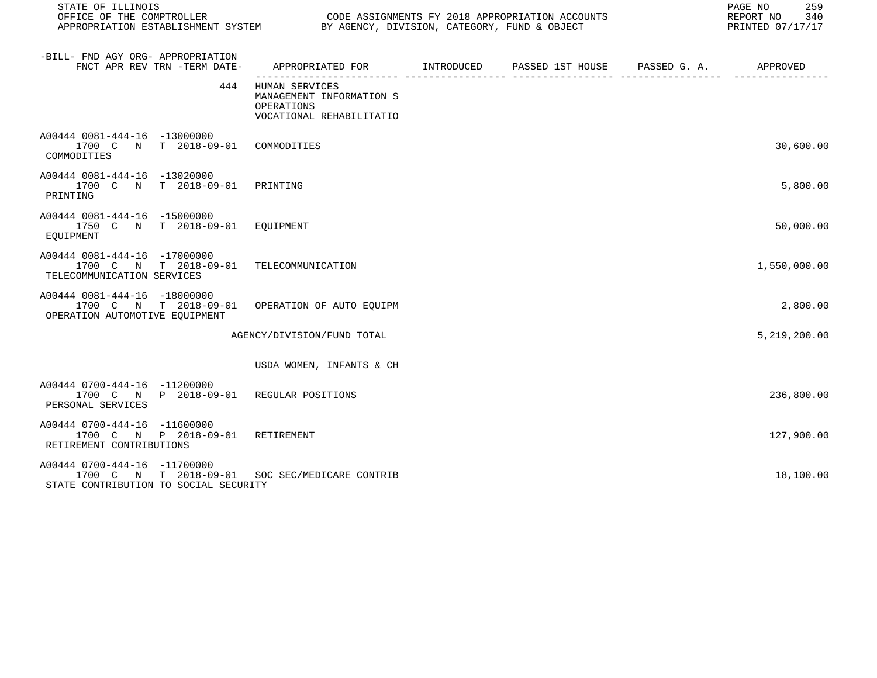| STATE OF ILLINOIS                                                                                                       |                                                                                      | 259<br>PAGE NO<br>REPORT NO<br>340<br>PRINTED 07/17/17 |  |              |
|-------------------------------------------------------------------------------------------------------------------------|--------------------------------------------------------------------------------------|--------------------------------------------------------|--|--------------|
| -BILL- FND AGY ORG- APPROPRIATION<br>FNCT APR REV TRN -TERM DATE-                                                       |                                                                                      |                                                        |  |              |
| 444                                                                                                                     | HUMAN SERVICES<br>MANAGEMENT INFORMATION S<br>OPERATIONS<br>VOCATIONAL REHABILITATIO |                                                        |  |              |
| A00444 0081-444-16 -13000000<br>1700 C N T 2018-09-01<br>COMMODITIES                                                    | COMMODITIES                                                                          |                                                        |  | 30,600.00    |
| A00444 0081-444-16 -13020000<br>1700 C N T 2018-09-01<br>PRINTING                                                       | PRINTING                                                                             |                                                        |  | 5,800.00     |
| A00444 0081-444-16 -15000000<br>1750 C N T 2018-09-01<br>EQUIPMENT                                                      | EOUIPMENT                                                                            |                                                        |  | 50,000.00    |
| A00444 0081-444-16 -17000000<br>1700 C N T 2018-09-01<br>TELECOMMUNICATION SERVICES                                     | TELECOMMUNICATION                                                                    |                                                        |  | 1,550,000.00 |
| A00444 0081-444-16 -18000000<br>1700 C N T 2018-09-01<br>OPERATION AUTOMOTIVE EQUIPMENT                                 | OPERATION OF AUTO EOUIPM                                                             |                                                        |  | 2,800.00     |
|                                                                                                                         | AGENCY/DIVISION/FUND TOTAL                                                           |                                                        |  | 5,219,200.00 |
|                                                                                                                         | USDA WOMEN, INFANTS & CH                                                             |                                                        |  |              |
| A00444 0700-444-16 -11200000<br>1700 C N P 2018-09-01 REGULAR POSITIONS<br>PERSONAL SERVICES                            |                                                                                      |                                                        |  | 236,800.00   |
| A00444 0700-444-16 -11600000<br>1700 C N P 2018-09-01 RETIREMENT<br>RETIREMENT CONTRIBUTIONS                            |                                                                                      |                                                        |  | 127,900.00   |
| A00444 0700-444-16 -11700000<br>1700 C N T 2018-09-01 SOC SEC/MEDICARE CONTRIB<br>STATE CONTRIBUTION TO SOCIAL SECURITY |                                                                                      |                                                        |  | 18,100.00    |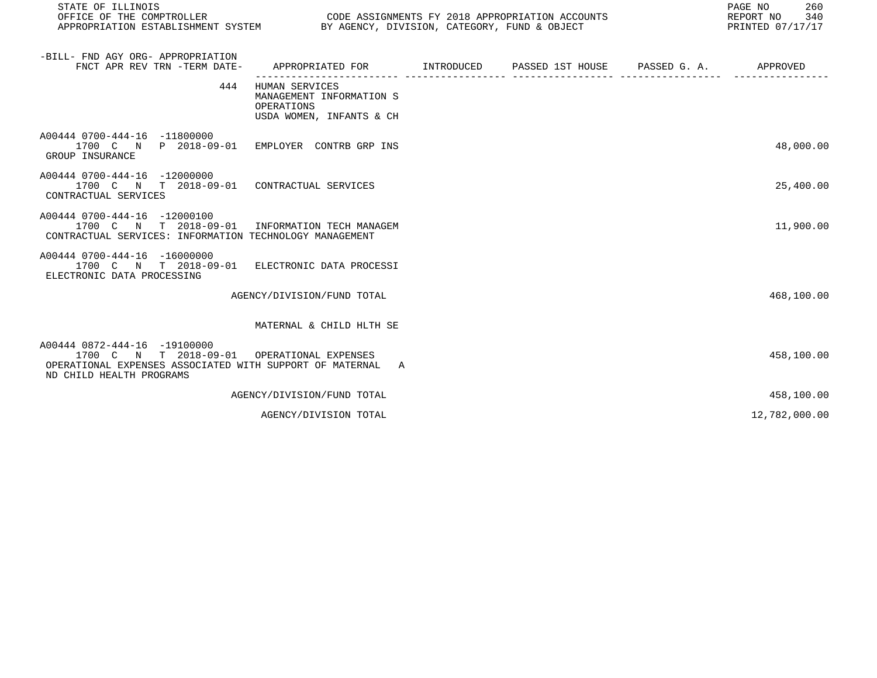| STATE OF ILLINOIS<br>OFFICE OF THE COMPTROLLER<br>CODE ASSIGNMENTS FY 2018 APPROPRIATION ACCOUNTS<br>APPROPRIATION ESTABLISHMENT SYSTEM BY AGENCY, DIVISION, CATEGORY, FUND & OBJECT |                                                                                      |  |  |  | PAGE NO<br>260<br>REPORT NO<br>340<br>PRINTED 07/17/17 |
|--------------------------------------------------------------------------------------------------------------------------------------------------------------------------------------|--------------------------------------------------------------------------------------|--|--|--|--------------------------------------------------------|
| -BILL- FND AGY ORG- APPROPRIATION<br>FNCT APR REV TRN -TERM DATE-                                                                                                                    | APPROPRIATED FOR      INTRODUCED   PASSED 1ST HOUSE    PASSED G. A.     APPROVED     |  |  |  |                                                        |
| 444                                                                                                                                                                                  | HUMAN SERVICES<br>MANAGEMENT INFORMATION S<br>OPERATIONS<br>USDA WOMEN, INFANTS & CH |  |  |  |                                                        |
| A00444 0700-444-16 -11800000<br>1700 C N P 2018-09-01 EMPLOYER CONTRB GRP INS<br>GROUP INSURANCE                                                                                     |                                                                                      |  |  |  | 48,000.00                                              |
| A00444 0700-444-16 -12000000<br>1700 C N T 2018-09-01 CONTRACTUAL SERVICES<br>CONTRACTUAL SERVICES                                                                                   |                                                                                      |  |  |  | 25,400.00                                              |
| A00444 0700-444-16 -12000100<br>1700 C N T 2018-09-01 INFORMATION TECH MANAGEM<br>CONTRACTUAL SERVICES: INFORMATION TECHNOLOGY MANAGEMENT                                            |                                                                                      |  |  |  | 11,900.00                                              |
| A00444 0700-444-16 -16000000<br>1700 C N T 2018-09-01 ELECTRONIC DATA PROCESSI<br>ELECTRONIC DATA PROCESSING                                                                         |                                                                                      |  |  |  |                                                        |
|                                                                                                                                                                                      | AGENCY/DIVISION/FUND TOTAL                                                           |  |  |  | 468,100.00                                             |
|                                                                                                                                                                                      | MATERNAL & CHILD HLTH SE                                                             |  |  |  |                                                        |
| A00444 0872-444-16 -19100000<br>1700 C N T 2018-09-01 OPERATIONAL EXPENSES<br>OPERATIONAL EXPENSES ASSOCIATED WITH SUPPORT OF MATERNAL A<br>ND CHILD HEALTH PROGRAMS                 |                                                                                      |  |  |  | 458,100.00                                             |
|                                                                                                                                                                                      | AGENCY/DIVISION/FUND TOTAL                                                           |  |  |  | 458,100.00                                             |
|                                                                                                                                                                                      | AGENCY/DIVISION TOTAL                                                                |  |  |  | 12,782,000.00                                          |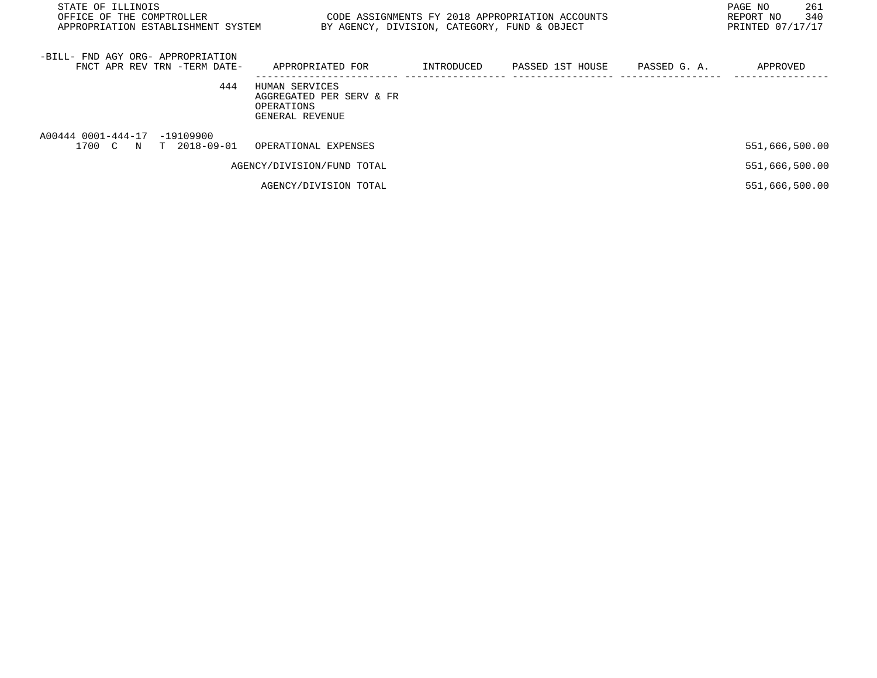| STATE OF ILLINOIS<br>CODE ASSIGNMENTS FY 2018 APPROPRIATION ACCOUNTS<br>OFFICE OF THE COMPTROLLER<br>APPROPRIATION ESTABLISHMENT SYSTEM<br>BY AGENCY, DIVISION, CATEGORY, FUND & OBJECT |                                                                             |            |                  |              | PAGE NO<br>261<br>340<br>REPORT NO<br>PRINTED 07/17/17 |
|-----------------------------------------------------------------------------------------------------------------------------------------------------------------------------------------|-----------------------------------------------------------------------------|------------|------------------|--------------|--------------------------------------------------------|
| -BILL- FND AGY ORG- APPROPRIATION<br>FNCT APR REV TRN -TERM DATE-                                                                                                                       | APPROPRIATED FOR                                                            | INTRODUCED | PASSED 1ST HOUSE | PASSED G. A. | APPROVED                                               |
| 444                                                                                                                                                                                     | HUMAN SERVICES<br>AGGREGATED PER SERV & FR<br>OPERATIONS<br>GENERAL REVENUE |            |                  |              |                                                        |
| A00444 0001-444-17 -19109900<br>1700 C N T 2018-09-01                                                                                                                                   | OPERATIONAL EXPENSES                                                        |            |                  |              | 551,666,500.00                                         |
|                                                                                                                                                                                         | AGENCY/DIVISION/FUND TOTAL                                                  |            |                  |              | 551,666,500.00                                         |
|                                                                                                                                                                                         | AGENCY/DIVISION TOTAL                                                       |            |                  |              | 551,666,500.00                                         |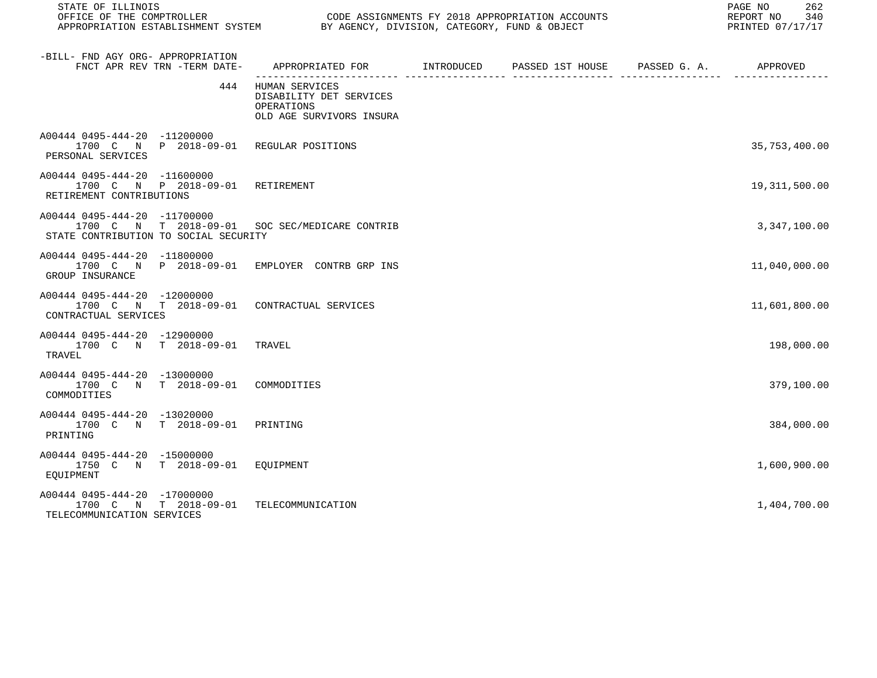| STATE OF ILLINOIS                                                                                                       |                                                                                     | PAGE NO<br>262<br>REPORT NO<br>340<br>PRINTED 07/17/17 |  |                 |
|-------------------------------------------------------------------------------------------------------------------------|-------------------------------------------------------------------------------------|--------------------------------------------------------|--|-----------------|
| -BILL- FND AGY ORG- APPROPRIATION<br>FNCT APR REV TRN -TERM DATE-                                                       | APPROPRIATED FOR INTRODUCED                                                         | PASSED 1ST HOUSE PASSED G. A. APPROVED                 |  |                 |
| 444                                                                                                                     | HUMAN SERVICES<br>DISABILITY DET SERVICES<br>OPERATIONS<br>OLD AGE SURVIVORS INSURA |                                                        |  |                 |
| A00444 0495-444-20 -11200000<br>1700 C N P 2018-09-01 REGULAR POSITIONS<br>PERSONAL SERVICES                            |                                                                                     |                                                        |  | 35,753,400.00   |
| A00444 0495-444-20 -11600000<br>1700 C N P 2018-09-01 RETIREMENT<br>RETIREMENT CONTRIBUTIONS                            |                                                                                     |                                                        |  | 19, 311, 500.00 |
| A00444 0495-444-20 -11700000<br>1700 C N T 2018-09-01 SOC SEC/MEDICARE CONTRIB<br>STATE CONTRIBUTION TO SOCIAL SECURITY |                                                                                     |                                                        |  | 3,347,100.00    |
| A00444 0495-444-20 -11800000<br>1700 C N P 2018-09-01 EMPLOYER CONTRB GRP INS<br>GROUP INSURANCE                        |                                                                                     |                                                        |  | 11,040,000.00   |
| A00444 0495-444-20 -12000000<br>1700 C N T 2018-09-01 CONTRACTUAL SERVICES<br>CONTRACTUAL SERVICES                      |                                                                                     |                                                        |  | 11,601,800.00   |
| A00444 0495-444-20 -12900000<br>1700 C N T 2018-09-01<br>TRAVEL                                                         | TRAVEL                                                                              |                                                        |  | 198,000.00      |
| A00444 0495-444-20 -13000000<br>1700 C N T 2018-09-01<br>COMMODITIES                                                    | COMMODITIES                                                                         |                                                        |  | 379,100.00      |
| A00444 0495-444-20 -13020000<br>1700 C N T 2018-09-01<br>PRINTING                                                       | PRINTING                                                                            |                                                        |  | 384,000.00      |
| A00444 0495-444-20 -15000000<br>1750 C N T 2018-09-01 EQUIPMENT<br>EOUIPMENT                                            |                                                                                     |                                                        |  | 1,600,900.00    |
| A00444 0495-444-20 -17000000<br>1700 C N T 2018-09-01<br>TELECOMMUNICATION SERVICES                                     | TELECOMMUNICATION                                                                   |                                                        |  | 1,404,700.00    |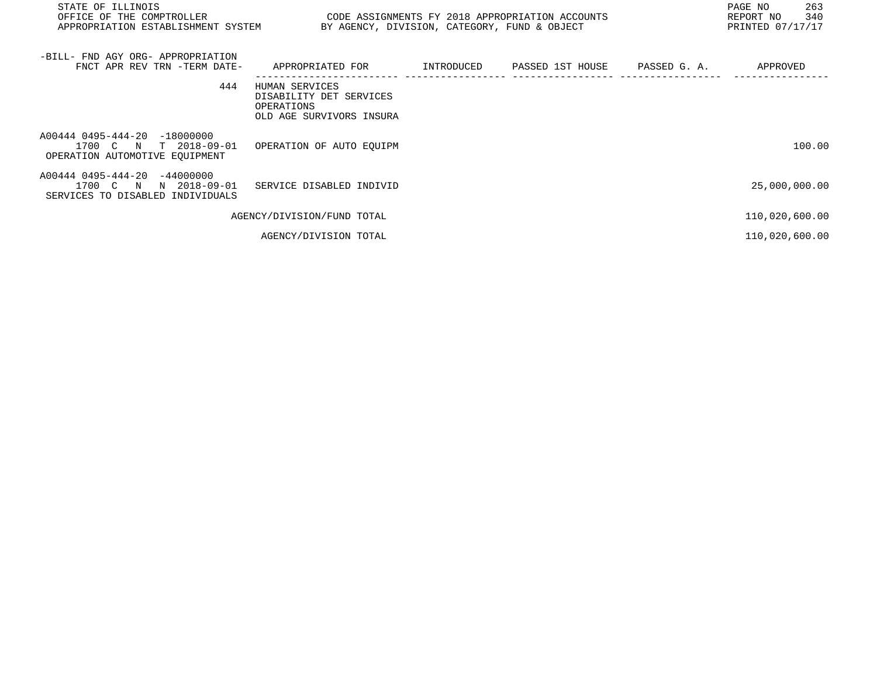| STATE OF ILLINOIS<br>OFFICE OF THE COMPTROLLER<br>APPROPRIATION ESTABLISHMENT SYSTEM         | BY AGENCY, DIVISION, CATEGORY, FUND & OBJECT                                        |            | CODE ASSIGNMENTS FY 2018 APPROPRIATION ACCOUNTS |              | PAGE NO<br>263<br>340<br>REPORT NO<br>PRINTED 07/17/17 |
|----------------------------------------------------------------------------------------------|-------------------------------------------------------------------------------------|------------|-------------------------------------------------|--------------|--------------------------------------------------------|
| -BILL- FND AGY ORG- APPROPRIATION<br>FNCT APR REV TRN -TERM DATE-                            | APPROPRIATED FOR                                                                    | INTRODUCED | PASSED 1ST HOUSE                                | PASSED G. A. | APPROVED                                               |
| 444                                                                                          | HUMAN SERVICES<br>DISABILITY DET SERVICES<br>OPERATIONS<br>OLD AGE SURVIVORS INSURA |            |                                                 |              |                                                        |
| A00444 0495-444-20 -18000000<br>1700 C N<br>T 2018-09-01<br>OPERATION AUTOMOTIVE EQUIPMENT   | OPERATION OF AUTO EQUIPM                                                            |            |                                                 |              | 100.00                                                 |
| A00444 0495-444-20 -44000000<br>1700 C N<br>N 2018-09-01<br>SERVICES TO DISABLED INDIVIDUALS | SERVICE DISABLED INDIVID                                                            |            |                                                 |              | 25,000,000.00                                          |
|                                                                                              | AGENCY/DIVISION/FUND TOTAL                                                          |            |                                                 |              | 110,020,600.00                                         |
|                                                                                              | AGENCY/DIVISION TOTAL                                                               |            |                                                 |              | 110,020,600.00                                         |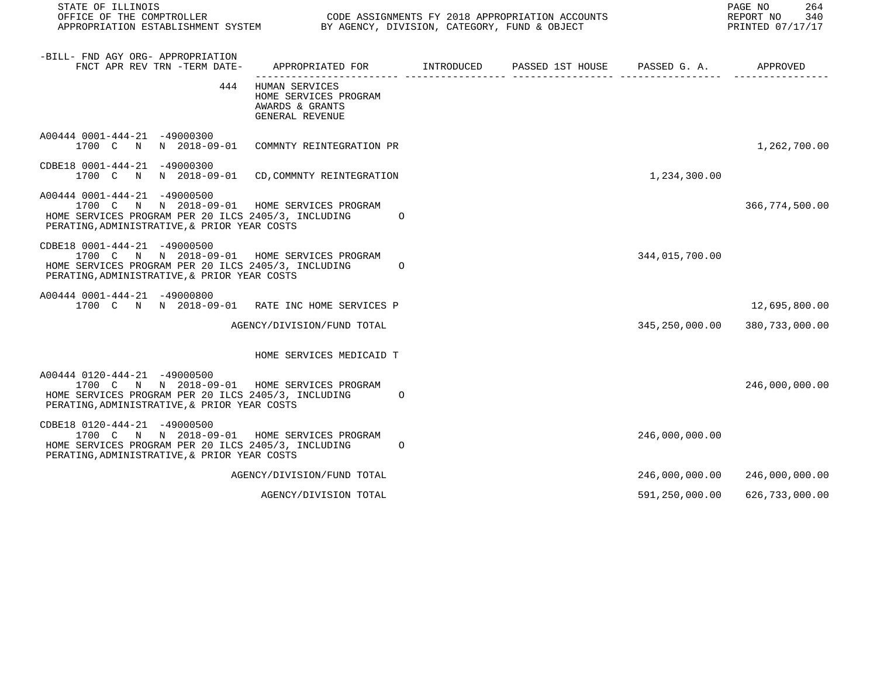| STATE OF ILLINOIS<br>OFFICE OF THE COMPTROLLER<br>APPROPRIATION ESTABLISHMENT SYSTEM BY AGENCY, DIVISION, CATEGORY, FUND & OBJECT                                                  |                                                                                             |         | CODE ASSIGNMENTS FY 2018 APPROPRIATION ACCOUNTS |                | 264<br>PAGE NO<br>REPORT NO 340<br>PRINTED 07/17/17 |
|------------------------------------------------------------------------------------------------------------------------------------------------------------------------------------|---------------------------------------------------------------------------------------------|---------|-------------------------------------------------|----------------|-----------------------------------------------------|
| -BILL- FND AGY ORG- APPROPRIATION<br>FNCT APR REV TRN -TERM DATE-                                                                                                                  | APPROPRIATED FOR         INTRODUCED      PASSED 1ST HOUSE     PASSED G. A.         APPROVED |         |                                                 |                |                                                     |
| 444                                                                                                                                                                                | HUMAN SERVICES<br>HOME SERVICES PROGRAM<br>AWARDS & GRANTS<br>GENERAL REVENUE               |         |                                                 |                |                                                     |
| A00444 0001-444-21 -49000300<br>1700 C N N 2018-09-01 COMMNTY REINTEGRATION PR                                                                                                     |                                                                                             |         |                                                 |                | 1,262,700.00                                        |
| CDBE18 0001-444-21 -49000300<br>1700 C N N 2018-09-01 CD, COMMNTY REINTEGRATION                                                                                                    |                                                                                             |         |                                                 | 1,234,300.00   |                                                     |
| A00444 0001-444-21 -49000500<br>1700 C N N 2018-09-01 HOME SERVICES PROGRAM<br>HOME SERVICES PROGRAM PER 20 ILCS 2405/3, INCLUDING<br>PERATING, ADMINISTRATIVE, & PRIOR YEAR COSTS |                                                                                             | $\circ$ |                                                 |                | 366,774,500.00                                      |
| CDBE18 0001-444-21 -49000500<br>1700 C N N 2018-09-01 HOME SERVICES PROGRAM<br>HOME SERVICES PROGRAM PER 20 ILCS 2405/3, INCLUDING<br>PERATING, ADMINISTRATIVE, & PRIOR YEAR COSTS |                                                                                             | $\circ$ |                                                 | 344,015,700.00 |                                                     |
| A00444 0001-444-21 -49000800<br>1700 C N N 2018-09-01 RATE INC HOME SERVICES P                                                                                                     |                                                                                             |         |                                                 |                | 12,695,800.00                                       |
|                                                                                                                                                                                    | AGENCY/DIVISION/FUND TOTAL                                                                  |         |                                                 |                | 345, 250, 000.00 380, 733, 000.00                   |
|                                                                                                                                                                                    | HOME SERVICES MEDICAID T                                                                    |         |                                                 |                |                                                     |
| A00444 0120-444-21 -49000500<br>1700 C N N 2018-09-01 HOME SERVICES PROGRAM<br>HOME SERVICES PROGRAM PER 20 ILCS 2405/3, INCLUDING<br>PERATING, ADMINISTRATIVE, & PRIOR YEAR COSTS |                                                                                             | $\circ$ |                                                 |                | 246,000,000.00                                      |
| CDBE18 0120-444-21 -49000500<br>1700 C N N 2018-09-01 HOME SERVICES PROGRAM<br>HOME SERVICES PROGRAM PER 20 ILCS 2405/3, INCLUDING<br>PERATING, ADMINISTRATIVE, & PRIOR YEAR COSTS |                                                                                             | $\circ$ |                                                 | 246,000,000.00 |                                                     |
|                                                                                                                                                                                    | AGENCY/DIVISION/FUND TOTAL                                                                  |         |                                                 |                | 246,000,000.00 246,000,000.00                       |
|                                                                                                                                                                                    | AGENCY/DIVISION TOTAL                                                                       |         |                                                 | 591,250,000.00 | 626,733,000.00                                      |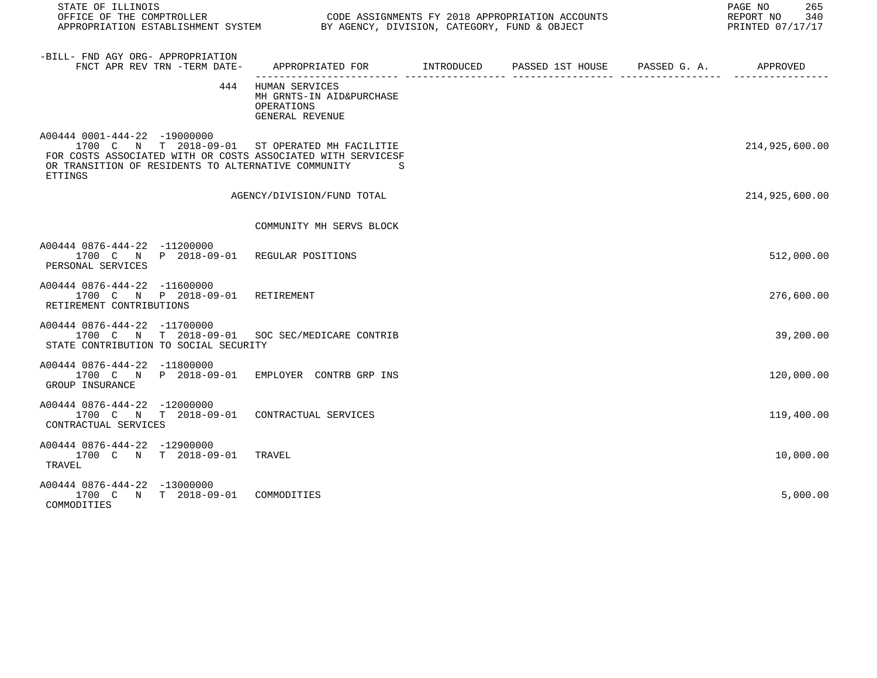| STATE OF ILLINOIS<br>OFFICE OF THE COMPTROLLER CODE ASSIGNMENTS FY 2018 APPROPRIATION ACCOUNTS<br>APPROPRIATION ESTABLISHMENT SYSTEM BY AGENCY, DIVISION, CATEGORY, FUND & OBJECT                                  |                                                                                 |  | 265<br>PAGE NO<br>REPORT NO 340<br>PRINTED 07/17/17 |
|--------------------------------------------------------------------------------------------------------------------------------------------------------------------------------------------------------------------|---------------------------------------------------------------------------------|--|-----------------------------------------------------|
| -BILL- FND AGY ORG- APPROPRIATION<br>FNCT APR REV TRN -TERM DATE-                                                                                                                                                  |                                                                                 |  |                                                     |
|                                                                                                                                                                                                                    | 444 HUMAN SERVICES<br>MH GRNTS-IN AID&PURCHASE<br>OPERATIONS<br>GENERAL REVENUE |  |                                                     |
| A00444 0001-444-22 -19000000<br>1700 C N T 2018-09-01 ST OPERATED MH FACILITIE<br>FOR COSTS ASSOCIATED WITH OR COSTS ASSOCIATED WITH SERVICESF<br>OR TRANSITION OF RESIDENTS TO ALTERNATIVE COMMUNITY S<br>ETTINGS |                                                                                 |  | 214,925,600.00                                      |
|                                                                                                                                                                                                                    | AGENCY/DIVISION/FUND TOTAL                                                      |  | 214,925,600.00                                      |
|                                                                                                                                                                                                                    | COMMUNITY MH SERVS BLOCK                                                        |  |                                                     |
| A00444 0876-444-22 -11200000<br>1700 C N P 2018-09-01 REGULAR POSITIONS<br>PERSONAL SERVICES                                                                                                                       |                                                                                 |  | 512,000.00                                          |
| A00444 0876-444-22 -11600000<br>1700 C N P 2018-09-01 RETIREMENT<br>RETIREMENT CONTRIBUTIONS                                                                                                                       |                                                                                 |  | 276,600.00                                          |
| A00444 0876-444-22 -11700000<br>1700 C N T 2018-09-01 SOC SEC/MEDICARE CONTRIB<br>STATE CONTRIBUTION TO SOCIAL SECURITY                                                                                            |                                                                                 |  | 39,200.00                                           |
| A00444 0876-444-22 -11800000<br>1700 C N P 2018-09-01 EMPLOYER CONTRB GRP INS<br>GROUP INSURANCE                                                                                                                   |                                                                                 |  | 120,000.00                                          |
| A00444 0876-444-22 -12000000<br>1700 C N T 2018-09-01 CONTRACTUAL SERVICES<br>CONTRACTUAL SERVICES                                                                                                                 |                                                                                 |  | 119,400.00                                          |
| A00444 0876-444-22 -12900000<br>1700 C N T 2018-09-01 TRAVEL<br>TRAVEL                                                                                                                                             |                                                                                 |  | 10,000.00                                           |
| A00444 0876-444-22 -13000000<br>1700 C N T 2018-09-01 COMMODITIES<br>COMMODITIES                                                                                                                                   |                                                                                 |  | 5,000.00                                            |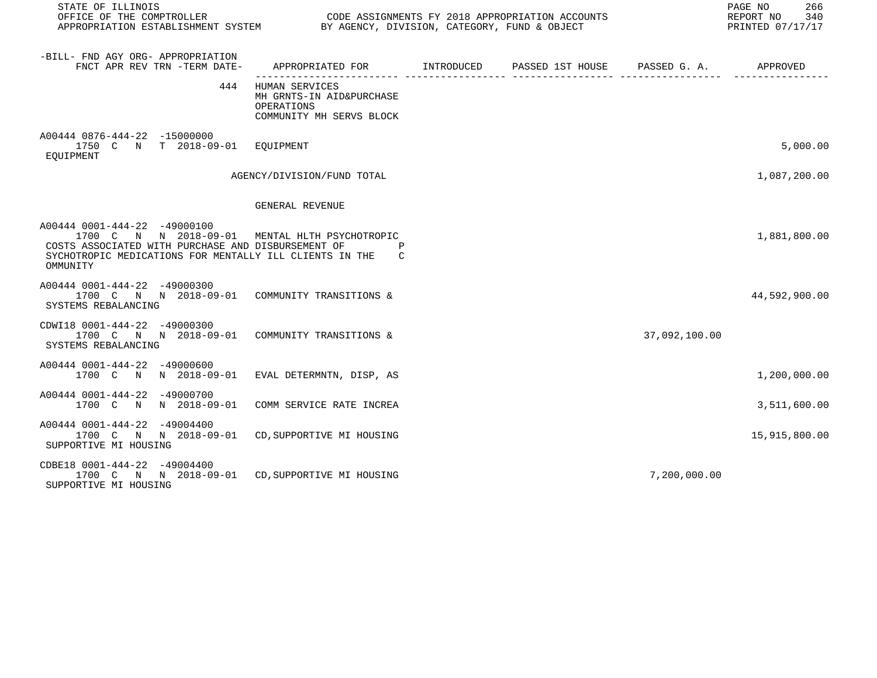| STATE OF ILLINOIS<br>OFFICE OF THE COMPTROLLER CODE ASSIGNMENTS FY 2018 APPROPRIATION ACCOUNTS<br>APPROPRIATION ESTABLISHMENT SYSTEM BY AGENCY, DIVISION, CATEGORY, FUND & OBJECT                           |                                                                                            |  |               | PAGE NO<br>266<br>REPORT NO 340<br>PRINTED 07/17/17 |
|-------------------------------------------------------------------------------------------------------------------------------------------------------------------------------------------------------------|--------------------------------------------------------------------------------------------|--|---------------|-----------------------------------------------------|
| -BILL- FND AGY ORG- APPROPRIATION<br>FNCT APR REV TRN -TERM DATE-                                                                                                                                           | APPROPRIATED FOR        INTRODUCED      PASSED 1ST HOUSE     PASSED G. A.         APPROVED |  |               |                                                     |
| 444                                                                                                                                                                                                         | HUMAN SERVICES<br>MH GRNTS-IN AID&PURCHASE<br>OPERATIONS<br>COMMUNITY MH SERVS BLOCK       |  |               |                                                     |
| A00444 0876-444-22 -15000000<br>1750 C N T 2018-09-01 EQUIPMENT<br>EOUIPMENT                                                                                                                                |                                                                                            |  |               | 5,000.00                                            |
|                                                                                                                                                                                                             | AGENCY/DIVISION/FUND TOTAL                                                                 |  |               | 1,087,200.00                                        |
|                                                                                                                                                                                                             | GENERAL REVENUE                                                                            |  |               |                                                     |
| A00444 0001-444-22 -49000100<br>1700 C N N 2018-09-01 MENTAL HLTH PSYCHOTROPIC<br>COSTS ASSOCIATED WITH PURCHASE AND DISBURSEMENT OF<br>SYCHOTROPIC MEDICATIONS FOR MENTALLY ILL CLIENTS IN THE<br>OMMUNITY | C                                                                                          |  |               | 1,881,800.00                                        |
| A00444 0001-444-22 -49000300<br>1700 C N N 2018-09-01 COMMUNITY TRANSITIONS &<br>SYSTEMS REBALANCING                                                                                                        |                                                                                            |  |               | 44,592,900.00                                       |
| CDWI18 0001-444-22 -49000300<br>1700 C N N 2018-09-01 COMMUNITY TRANSITIONS &<br>SYSTEMS REBALANCING                                                                                                        |                                                                                            |  | 37,092,100.00 |                                                     |
| A00444 0001-444-22 -49000600<br>1700 C N N 2018-09-01 EVAL DETERMNTN, DISP, AS                                                                                                                              |                                                                                            |  |               | 1,200,000.00                                        |
| A00444 0001-444-22 -49000700<br>1700 C N N 2018-09-01                                                                                                                                                       | COMM SERVICE RATE INCREA                                                                   |  |               | 3,511,600.00                                        |
| A00444 0001-444-22 -49004400<br>1700 C N N 2018-09-01 CD, SUPPORTIVE MI HOUSING<br>SUPPORTIVE MI HOUSING                                                                                                    |                                                                                            |  |               | 15,915,800.00                                       |
| CDBE18 0001-444-22 -49004400<br>1700 C N N 2018-09-01 CD, SUPPORTIVE MI HOUSING<br>SUPPORTIVE MI HOUSING                                                                                                    |                                                                                            |  | 7,200,000.00  |                                                     |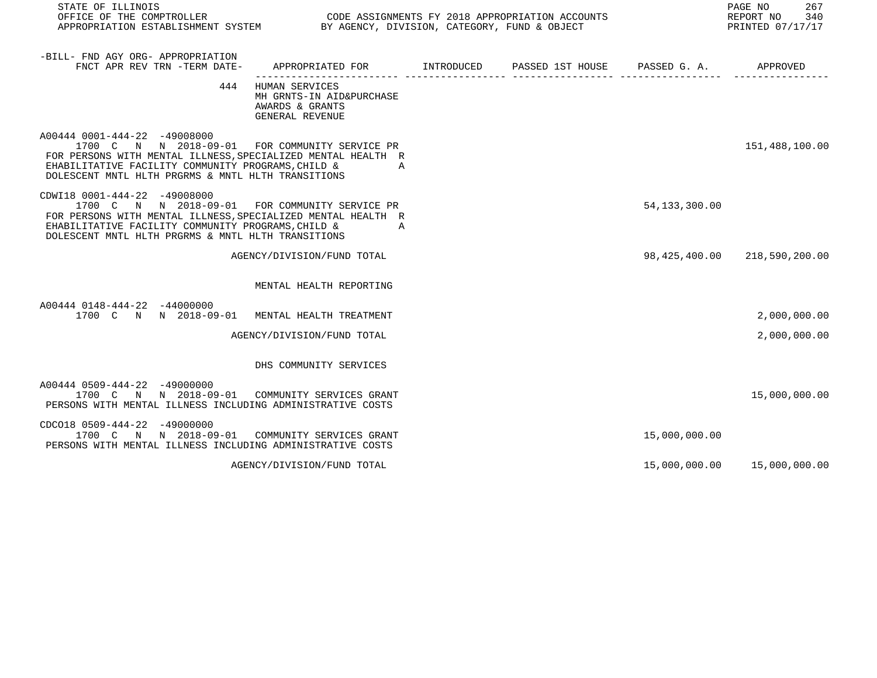| STATE OF ILLINOIS<br>OFFICE OF THE COMPTROLLER                                                                                                                                                                                                             |                                                                                         | CODE ASSIGNMENTS FY 2018 APPROPRIATION ACCOUNTS |                 | PAGE NO<br>267<br>REPORT NO<br>340<br>PRINTED 07/17/17 |
|------------------------------------------------------------------------------------------------------------------------------------------------------------------------------------------------------------------------------------------------------------|-----------------------------------------------------------------------------------------|-------------------------------------------------|-----------------|--------------------------------------------------------|
| -BILL- FND AGY ORG- APPROPRIATION<br>FNCT APR REV TRN -TERM DATE-                                                                                                                                                                                          | APPROPRIATED FOR       INTRODUCED     PASSED 1ST HOUSE     PASSED G. A.        APPROVED |                                                 |                 |                                                        |
|                                                                                                                                                                                                                                                            | 444 HUMAN SERVICES<br>MH GRNTS-IN AID&PURCHASE<br>AWARDS & GRANTS<br>GENERAL REVENUE    |                                                 |                 |                                                        |
| A00444 0001-444-22 -49008000<br>1700 C N N 2018-09-01 FOR COMMUNITY SERVICE PR<br>FOR PERSONS WITH MENTAL ILLNESS, SPECIALIZED MENTAL HEALTH R<br>EHABILITATIVE FACILITY COMMUNITY PROGRAMS, CHILD &<br>DOLESCENT MNTL HLTH PRGRMS & MNTL HLTH TRANSITIONS | A                                                                                       |                                                 |                 | 151,488,100.00                                         |
| CDWI18 0001-444-22 -49008000<br>1700 C N N 2018-09-01 FOR COMMUNITY SERVICE PR<br>FOR PERSONS WITH MENTAL ILLNESS, SPECIALIZED MENTAL HEALTH R<br>EHABILITATIVE FACILITY COMMUNITY PROGRAMS, CHILD &<br>DOLESCENT MNTL HLTH PRGRMS & MNTL HLTH TRANSITIONS | A                                                                                       |                                                 | 54, 133, 300.00 |                                                        |
|                                                                                                                                                                                                                                                            | AGENCY/DIVISION/FUND TOTAL                                                              |                                                 |                 | 98,425,400.00 218,590,200.00                           |
|                                                                                                                                                                                                                                                            | MENTAL HEALTH REPORTING                                                                 |                                                 |                 |                                                        |
| A00444 0148-444-22 -44000000<br>1700 C N N 2018-09-01                                                                                                                                                                                                      | MENTAL HEALTH TREATMENT                                                                 |                                                 |                 | 2,000,000.00                                           |
|                                                                                                                                                                                                                                                            | AGENCY/DIVISION/FUND TOTAL                                                              |                                                 |                 | 2,000,000.00                                           |
|                                                                                                                                                                                                                                                            | DHS COMMUNITY SERVICES                                                                  |                                                 |                 |                                                        |
| A00444 0509-444-22 -49000000<br>1700 C N N 2018-09-01 COMMUNITY SERVICES GRANT<br>PERSONS WITH MENTAL ILLNESS INCLUDING ADMINISTRATIVE COSTS                                                                                                               |                                                                                         |                                                 |                 | 15,000,000.00                                          |
| CDC018 0509-444-22 -49000000<br>1700 C N N 2018-09-01 COMMUNITY SERVICES GRANT<br>PERSONS WITH MENTAL ILLNESS INCLUDING ADMINISTRATIVE COSTS                                                                                                               |                                                                                         |                                                 | 15,000,000.00   |                                                        |
|                                                                                                                                                                                                                                                            | AGENCY/DIVISION/FUND TOTAL                                                              |                                                 |                 | 15,000,000.00  15,000,000.00                           |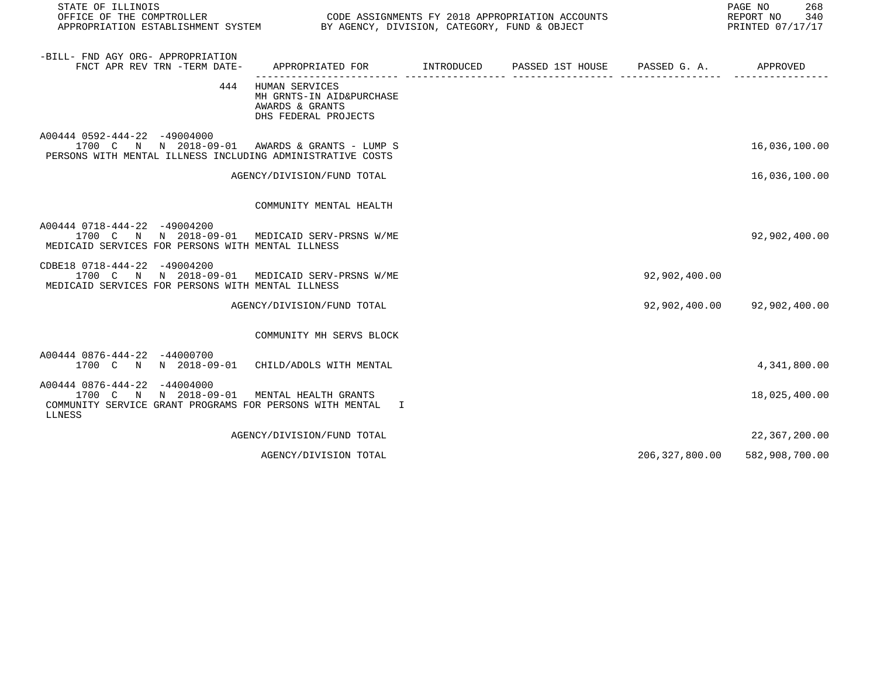| STATE OF ILLINOIS<br>OFFICE OF THE COMPTROLLER<br>APPROPRIATION ESTABLISHMENT SYSTEM BY AGENCY, DIVISION, CATEGORY, FUND & OBJECT            |                                                                                               | CODE ASSIGNMENTS FY 2018 APPROPRIATION ACCOUNTS |                  | PAGE NO<br>268<br>REPORT NO<br>340<br>PRINTED 07/17/17 |
|----------------------------------------------------------------------------------------------------------------------------------------------|-----------------------------------------------------------------------------------------------|-------------------------------------------------|------------------|--------------------------------------------------------|
| -BILL- FND AGY ORG- APPROPRIATION<br>FNCT APR REV TRN -TERM DATE-                                                                            | APPROPRIATED FOR         INTRODUCED      PASSED 1ST HOUSE      PASSED G. A.          APPROVED |                                                 |                  |                                                        |
|                                                                                                                                              | 444 HUMAN SERVICES<br>MH GRNTS-IN AID&PURCHASE<br>AWARDS & GRANTS<br>DHS FEDERAL PROJECTS     |                                                 |                  |                                                        |
| A00444 0592-444-22 -49004000<br>1700 C N N 2018-09-01 AWARDS & GRANTS - LUMP S<br>PERSONS WITH MENTAL ILLNESS INCLUDING ADMINISTRATIVE COSTS |                                                                                               |                                                 |                  | 16,036,100.00                                          |
|                                                                                                                                              | AGENCY/DIVISION/FUND TOTAL                                                                    |                                                 |                  | 16,036,100.00                                          |
|                                                                                                                                              | COMMUNITY MENTAL HEALTH                                                                       |                                                 |                  |                                                        |
| A00444 0718-444-22 -49004200<br>1700 C N N 2018-09-01 MEDICAID SERV-PRSNS W/ME<br>MEDICAID SERVICES FOR PERSONS WITH MENTAL ILLNESS          |                                                                                               |                                                 |                  | 92,902,400.00                                          |
| CDBE18 0718-444-22 -49004200<br>1700 C N N 2018-09-01 MEDICAID SERV-PRSNS W/ME<br>MEDICAID SERVICES FOR PERSONS WITH MENTAL ILLNESS          |                                                                                               |                                                 | 92,902,400.00    |                                                        |
|                                                                                                                                              | AGENCY/DIVISION/FUND TOTAL                                                                    |                                                 |                  | 92,902,400.00 92,902,400.00                            |
|                                                                                                                                              | COMMUNITY MH SERVS BLOCK                                                                      |                                                 |                  |                                                        |
| A00444 0876-444-22 -44000700<br>1700 C N N 2018-09-01 CHILD/ADOLS WITH MENTAL                                                                |                                                                                               |                                                 |                  | 4,341,800.00                                           |
| A00444 0876-444-22 -44004000<br>1700 C N N 2018-09-01<br>COMMUNITY SERVICE GRANT PROGRAMS FOR PERSONS WITH MENTAL<br>LLNESS                  | MENTAL HEALTH GRANTS<br>$\mathbb{I}$                                                          |                                                 |                  | 18,025,400.00                                          |
|                                                                                                                                              | AGENCY/DIVISION/FUND TOTAL                                                                    |                                                 |                  | 22,367,200.00                                          |
|                                                                                                                                              | AGENCY/DIVISION TOTAL                                                                         |                                                 | 206, 327, 800.00 | 582,908,700.00                                         |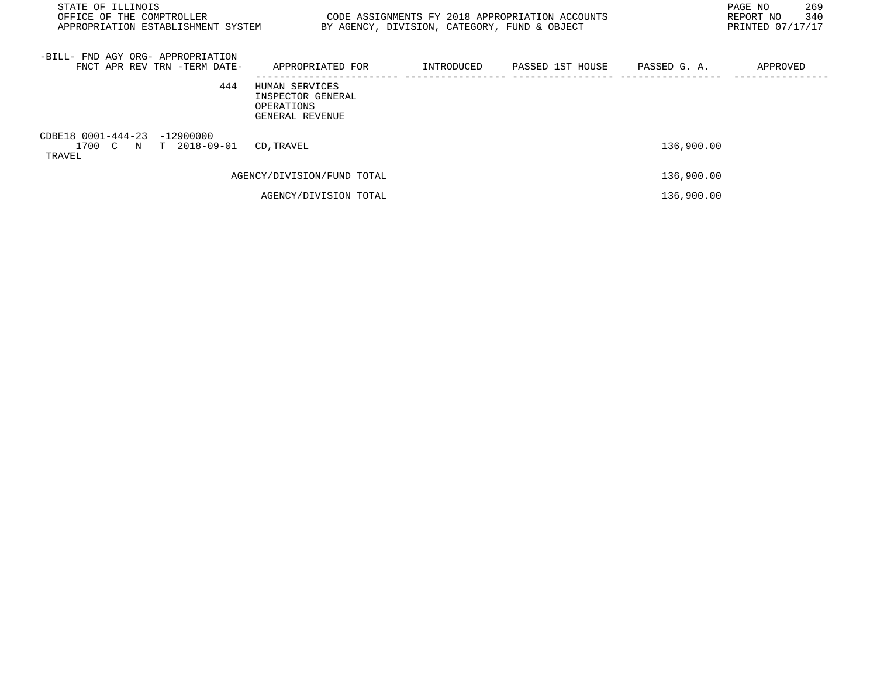| STATE OF ILLINOIS<br>OFFICE OF THE COMPTROLLER<br>APPROPRIATION ESTABLISHMENT SYSTEM |                                                                      | BY AGENCY, DIVISION, CATEGORY, FUND & OBJECT | CODE ASSIGNMENTS FY 2018 APPROPRIATION ACCOUNTS |            | 269<br>PAGE NO<br>340<br>REPORT NO<br>PRINTED 07/17/17 |
|--------------------------------------------------------------------------------------|----------------------------------------------------------------------|----------------------------------------------|-------------------------------------------------|------------|--------------------------------------------------------|
| -BILL- FND AGY ORG- APPROPRIATION<br>FNCT APR REV TRN -TERM DATE-                    | APPROPRIATED FOR                                                     |                                              | INTRODUCED PASSED 1ST HOUSE PASSED G.A.         |            | APPROVED                                               |
| 444                                                                                  | HUMAN SERVICES<br>INSPECTOR GENERAL<br>OPERATIONS<br>GENERAL REVENUE |                                              |                                                 |            |                                                        |
| CDBE18 0001-444-23 -12900000<br>1700 C N T 2018-09-01<br>TRAVEL                      | CD, TRAVEL                                                           |                                              |                                                 | 136,900.00 |                                                        |
|                                                                                      | AGENCY/DIVISION/FUND TOTAL                                           |                                              |                                                 | 136,900.00 |                                                        |
|                                                                                      | AGENCY/DIVISION TOTAL                                                |                                              |                                                 | 136,900.00 |                                                        |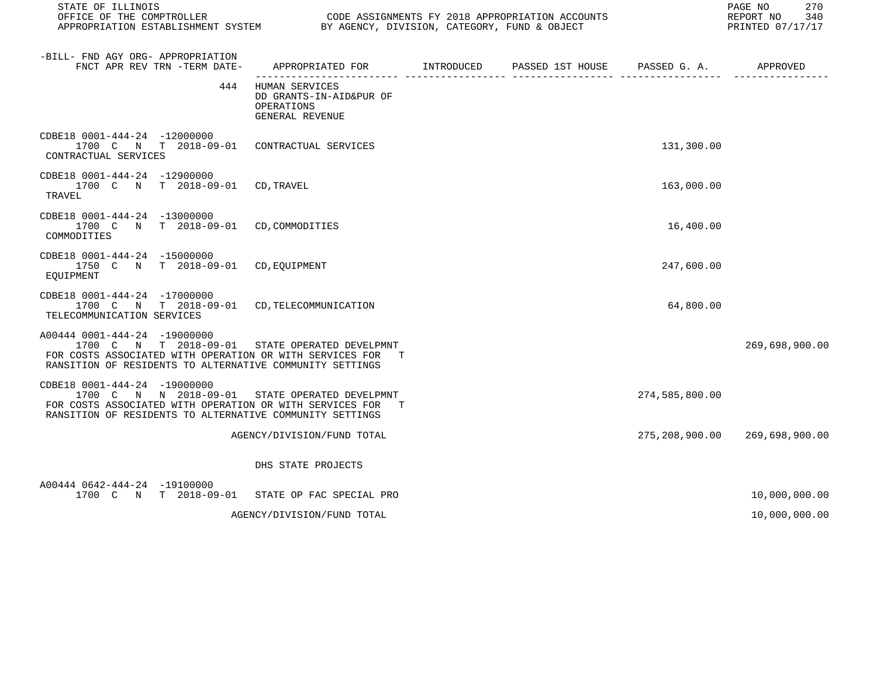| STATE OF ILLINOIS                                                                                                                                                                                      |                                                                            |  |                | PAGE NO<br>270<br>REPORT NO 340<br>PRINTED 07/17/17 |
|--------------------------------------------------------------------------------------------------------------------------------------------------------------------------------------------------------|----------------------------------------------------------------------------|--|----------------|-----------------------------------------------------|
| -BILL- FND AGY ORG- APPROPRIATION<br>FNCT APR REV TRN -TERM DATE- APPROPRIATED FOR NITRODUCED PASSED 1ST HOUSE PASSED G. A.                                                                            |                                                                            |  |                | APPROVED                                            |
| 444                                                                                                                                                                                                    | HUMAN SERVICES<br>DD GRANTS-IN-AID&PUR OF<br>OPERATIONS<br>GENERAL REVENUE |  |                |                                                     |
| CDBE18 0001-444-24 -12000000<br>1700 C N T 2018-09-01 CONTRACTUAL SERVICES<br>CONTRACTUAL SERVICES                                                                                                     |                                                                            |  | 131,300.00     |                                                     |
| CDBE18 0001-444-24 -12900000<br>1700 C N T 2018-09-01 CD, TRAVEL<br>TRAVEL                                                                                                                             |                                                                            |  | 163,000.00     |                                                     |
| CDBE18 0001-444-24 -13000000<br>1700 C N T 2018-09-01 CD, COMMODITIES<br>COMMODITIES                                                                                                                   |                                                                            |  | 16,400.00      |                                                     |
| CDBE18 0001-444-24 -15000000<br>1750 C N T 2018-09-01 CD, EOUIPMENT<br>EOUIPMENT                                                                                                                       |                                                                            |  | 247,600.00     |                                                     |
| CDBE18 0001-444-24 -17000000<br>1700 C N T 2018-09-01 CD, TELECOMMUNICATION<br>TELECOMMUNICATION SERVICES                                                                                              |                                                                            |  | 64,800.00      |                                                     |
| A00444 0001-444-24 -19000000<br>1700 C N T 2018-09-01 STATE OPERATED DEVELPMNT<br>FOR COSTS ASSOCIATED WITH OPERATION OR WITH SERVICES FOR<br>RANSITION OF RESIDENTS TO ALTERNATIVE COMMUNITY SETTINGS | T                                                                          |  |                | 269,698,900.00                                      |
| CDBE18 0001-444-24 -19000000<br>1700 C N N 2018-09-01 STATE OPERATED DEVELPMNT<br>FOR COSTS ASSOCIATED WITH OPERATION OR WITH SERVICES FOR<br>RANSITION OF RESIDENTS TO ALTERNATIVE COMMUNITY SETTINGS |                                                                            |  | 274,585,800.00 |                                                     |
|                                                                                                                                                                                                        | AGENCY/DIVISION/FUND TOTAL                                                 |  |                | 275, 208, 900.00 269, 698, 900.00                   |
|                                                                                                                                                                                                        | DHS STATE PROJECTS                                                         |  |                |                                                     |
| A00444 0642-444-24 -19100000<br>1700 C N T 2018-09-01 STATE OP FAC SPECIAL PRO                                                                                                                         |                                                                            |  |                | 10,000,000.00                                       |
|                                                                                                                                                                                                        | AGENCY/DIVISION/FUND TOTAL                                                 |  |                | 10,000,000.00                                       |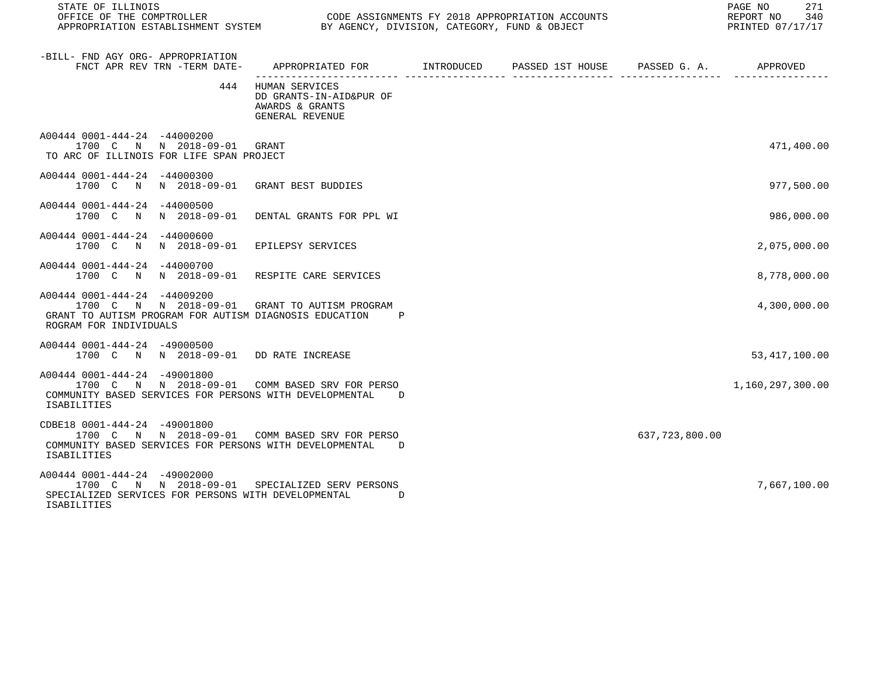| STATE OF ILLINOIS<br>OFFICE OF THE COMPTROLLER CODE ASSIGNMENTS FY 2018 APPROPRIATION ACCOUNTS<br>APPROPRIATION ESTABLISHMENT SYSTEM BY AGENCY, DIVISION, CATEGORY, FUND & OBJECT |                                                                                     |  |                | PAGE NO 271<br>REPORT NO 340<br>PRINTED 07/17/17 |
|-----------------------------------------------------------------------------------------------------------------------------------------------------------------------------------|-------------------------------------------------------------------------------------|--|----------------|--------------------------------------------------|
| -BILL- FND AGY ORG- APPROPRIATION<br>FNCT APR REV TRN -TERM DATE-                                                                                                                 |                                                                                     |  |                |                                                  |
|                                                                                                                                                                                   | 444 HUMAN SERVICES<br>DD GRANTS-IN-AID&PUR OF<br>AWARDS & GRANTS<br>GENERAL REVENUE |  |                |                                                  |
| A00444 0001-444-24 -44000200<br>1700 C N N 2018-09-01 GRANT<br>TO ARC OF ILLINOIS FOR LIFE SPAN PROJECT                                                                           |                                                                                     |  |                | 471,400.00                                       |
| A00444 0001-444-24 -44000300<br>1700 C N N 2018-09-01 GRANT BEST BUDDIES                                                                                                          |                                                                                     |  |                | 977,500.00                                       |
| A00444 0001-444-24 -44000500<br>1700 C N N 2018-09-01 DENTAL GRANTS FOR PPL WI                                                                                                    |                                                                                     |  |                | 986,000.00                                       |
| A00444 0001-444-24 -44000600<br>1700 C N N 2018-09-01 EPILEPSY SERVICES                                                                                                           |                                                                                     |  |                | 2,075,000.00                                     |
| A00444 0001-444-24 -44000700<br>1700 C N N 2018-09-01 RESPITE CARE SERVICES                                                                                                       |                                                                                     |  |                | 8,778,000.00                                     |
| A00444 0001-444-24 -44009200<br>1700 C N N 2018-09-01 GRANT TO AUTISM PROGRAM<br>GRANT TO AUTISM PROGRAM FOR AUTISM DIAGNOSIS EDUCATION P<br>ROGRAM FOR INDIVIDUALS               |                                                                                     |  |                | 4,300,000.00                                     |
| A00444 0001-444-24 -49000500<br>1700 C N N 2018-09-01 DD RATE INCREASE                                                                                                            |                                                                                     |  |                | 53, 417, 100.00                                  |
| A00444 0001-444-24 -49001800<br>1700 C N N 2018-09-01 COMM BASED SRV FOR PERSO<br>COMMUNITY BASED SERVICES FOR PERSONS WITH DEVELOPMENTAL D<br>ISABILITIES                        |                                                                                     |  |                | 1,160,297,300.00                                 |
| CDBE18 0001-444-24 -49001800<br>1700 C N N 2018-09-01 COMM BASED SRV FOR PERSO<br>COMMUNITY BASED SERVICES FOR PERSONS WITH DEVELOPMENTAL D<br>ISABILITIES                        |                                                                                     |  | 637,723,800.00 |                                                  |
| A00444 0001-444-24 -49002000<br>1700 C N N 2018-09-01 SPECIALIZED SERV PERSONS<br>SPECIALIZED SERVICES FOR PERSONS WITH DEVELOPMENTAL<br>ISABILITIES                              | $\overline{D}$                                                                      |  |                | 7,667,100.00                                     |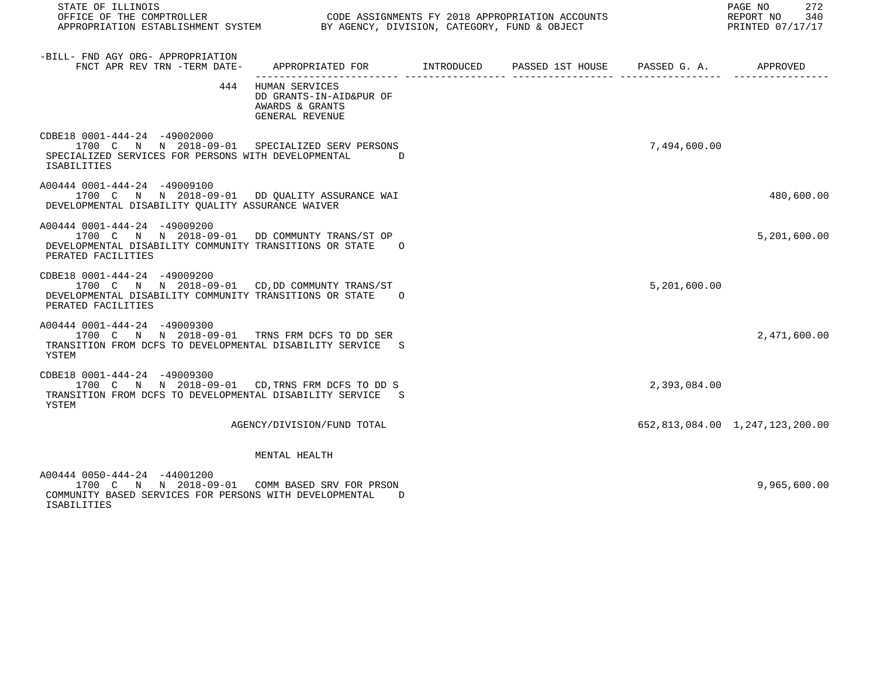| STATE OF ILLINOIS<br>OFFICE OF THE COMPTROLLER<br>OUDE ASSIGNMENTS FT 2016 APPROPRIATION ACCORDINATION ESTABLISHMENT SYSTEM BY AGENCY, DIVISION, CATEGORY, FUND & OBJECT |                                                                                           | CODE ASSIGNMENTS FY 2018 APPROPRIATION ACCOUNTS |              | PAGE NO<br>272<br>REPORT NO 340<br>PRINTED 07/17/17 |
|--------------------------------------------------------------------------------------------------------------------------------------------------------------------------|-------------------------------------------------------------------------------------------|-------------------------------------------------|--------------|-----------------------------------------------------|
| -BILL- FND AGY ORG- APPROPRIATION<br>FNCT APR REV TRN -TERM DATE-                                                                                                        | APPROPRIATED FOR        INTRODUCED     PASSED 1ST HOUSE     PASSED G. A.         APPROVED |                                                 |              |                                                     |
|                                                                                                                                                                          | 444 HUMAN SERVICES<br>DD GRANTS-IN-AID&PUR OF<br>AWARDS & GRANTS<br>GENERAL REVENUE       |                                                 |              |                                                     |
| CDBE18 0001-444-24 -49002000<br>1700 C N N 2018-09-01 SPECIALIZED SERV PERSONS<br>SPECIALIZED SERVICES FOR PERSONS WITH DEVELOPMENTAL D<br>ISABILITIES                   |                                                                                           |                                                 | 7,494,600.00 |                                                     |
| A00444 0001-444-24 -49009100<br>1700 C N N 2018-09-01 DD OUALITY ASSURANCE WAI<br>DEVELOPMENTAL DISABILITY OUALITY ASSURANCE WAIVER                                      |                                                                                           |                                                 |              | 480,600.00                                          |
| A00444 0001-444-24 -49009200<br>1700 C N N 2018-09-01 DD COMMUNTY TRANS/ST OP<br>DEVELOPMENTAL DISABILITY COMMUNITY TRANSITIONS OR STATE 0<br>PERATED FACILITIES         |                                                                                           |                                                 |              | 5,201,600.00                                        |
| CDBE18 0001-444-24 -49009200<br>1700 C N N 2018-09-01 CD, DD COMMUNTY TRANS/ST<br>DEVELOPMENTAL DISABILITY COMMUNITY TRANSITIONS OR STATE O<br>PERATED FACILITIES        |                                                                                           |                                                 | 5,201,600.00 |                                                     |
| A00444 0001-444-24 -49009300<br>1700 C N N 2018-09-01 TRNS FRM DCFS TO DD SER<br>TRANSITION FROM DCFS TO DEVELOPMENTAL DISABILITY SERVICE S<br>YSTEM                     |                                                                                           |                                                 |              | 2,471,600.00                                        |
| CDBE18  0001-444-24  -49009300<br>1700 C N N 2018-09-01 CD, TRNS FRM DCFS TO DD S<br>TRANSITION FROM DCFS TO DEVELOPMENTAL DISABILITY SERVICE S<br>YSTEM                 |                                                                                           |                                                 | 2,393,084.00 |                                                     |
|                                                                                                                                                                          | AGENCY/DIVISION/FUND TOTAL                                                                |                                                 |              | 652,813,084.00 1,247,123,200.00                     |
|                                                                                                                                                                          | MENTAL HEALTH                                                                             |                                                 |              |                                                     |
| A00444 0050-444-24 -44001200<br>1700 C N N 2018-09-01 COMM BASED SRV FOR PRSON<br>COMMUNITY BASED SERVICES FOR PERSONS WITH DEVELOPMENTAL                                | D.                                                                                        |                                                 |              | 9,965,600.00                                        |

ISABILITIES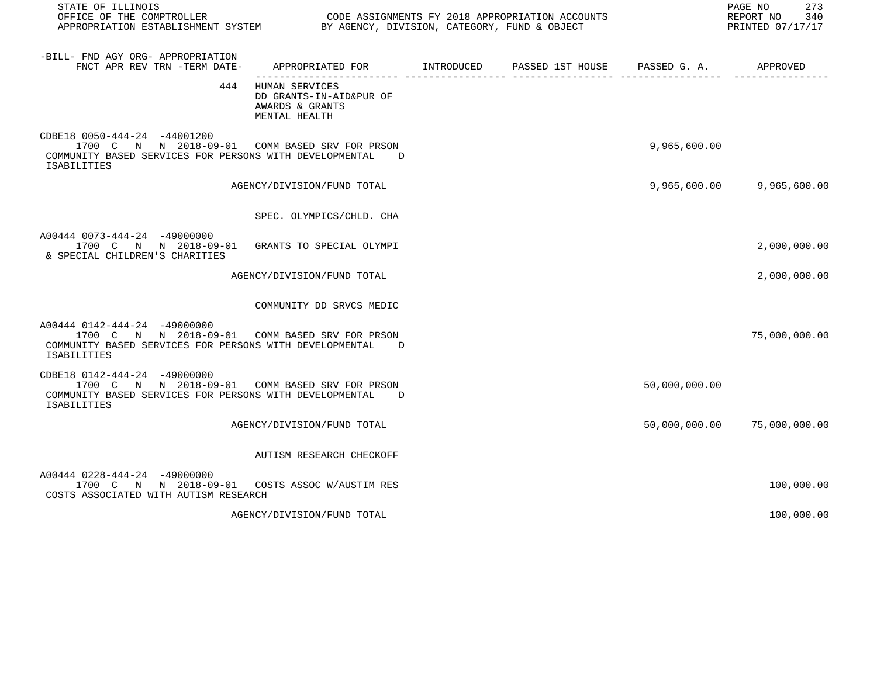| STATE OF ILLINOIS                                                                                                                                               |                                                                               |  |               | PAGE NO<br>273<br>REPORT NO<br>340<br>PRINTED 07/17/17 |
|-----------------------------------------------------------------------------------------------------------------------------------------------------------------|-------------------------------------------------------------------------------|--|---------------|--------------------------------------------------------|
| -BILL- FND AGY ORG- APPROPRIATION<br>FNCT APR REV TRN -TERM DATE- APPROPRIATED FOR NITRODUCED PASSED 1ST HOUSE PASSED G. A.                                     |                                                                               |  |               | APPROVED                                               |
| 444                                                                                                                                                             | HUMAN SERVICES<br>DD GRANTS-IN-AID&PUR OF<br>AWARDS & GRANTS<br>MENTAL HEALTH |  |               |                                                        |
| CDBE18 0050-444-24 -44001200<br>1700 C N N 2018-09-01 COMM BASED SRV FOR PRSON<br>COMMUNITY BASED SERVICES FOR PERSONS WITH DEVELOPMENTAL<br><b>ISABILITIES</b> | $\Gamma$                                                                      |  | 9,965,600.00  |                                                        |
|                                                                                                                                                                 | AGENCY/DIVISION/FUND TOTAL                                                    |  |               | 9,965,600.00 9,965,600.00                              |
|                                                                                                                                                                 | SPEC. OLYMPICS/CHLD. CHA                                                      |  |               |                                                        |
| A00444 0073-444-24 -49000000<br>1700 C N N 2018-09-01 GRANTS TO SPECIAL OLYMPI<br>& SPECIAL CHILDREN'S CHARITIES                                                |                                                                               |  |               | 2,000,000.00                                           |
|                                                                                                                                                                 | AGENCY/DIVISION/FUND TOTAL                                                    |  |               | 2,000,000.00                                           |
|                                                                                                                                                                 | COMMUNITY DD SRVCS MEDIC                                                      |  |               |                                                        |
| A00444 0142-444-24 -49000000<br>1700 C N N 2018-09-01 COMM BASED SRV FOR PRSON<br>COMMUNITY BASED SERVICES FOR PERSONS WITH DEVELOPMENTAL<br>ISABILITIES        | D                                                                             |  |               | 75,000,000.00                                          |
| CDBE18 0142-444-24 -49000000<br>1700 C N N 2018-09-01 COMM BASED SRV FOR PRSON<br>COMMUNITY BASED SERVICES FOR PERSONS WITH DEVELOPMENTAL<br><b>ISABILITIES</b> | D                                                                             |  | 50,000,000.00 |                                                        |
|                                                                                                                                                                 | AGENCY/DIVISION/FUND TOTAL                                                    |  |               | 50,000,000.00 75,000,000.00                            |
|                                                                                                                                                                 | AUTISM RESEARCH CHECKOFF                                                      |  |               |                                                        |
| A00444 0228-444-24 -49000000<br>1700 C N N 2018-09-01 COSTS ASSOC W/AUSTIMRES<br>COSTS ASSOCIATED WITH AUTISM RESEARCH                                          |                                                                               |  |               | 100,000.00                                             |
|                                                                                                                                                                 | AGENCY/DIVISION/FUND TOTAL                                                    |  |               | 100,000.00                                             |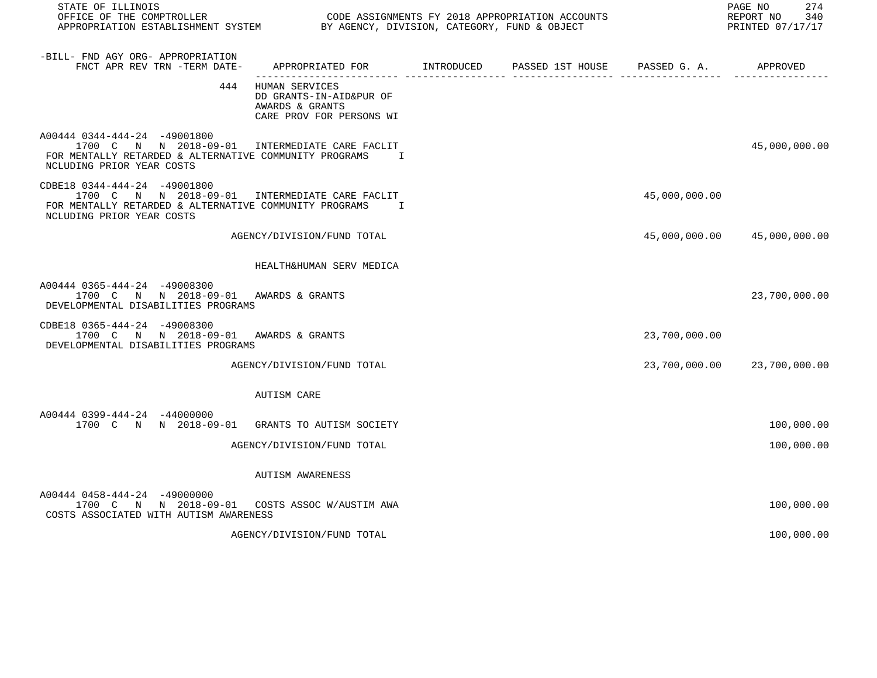| STATE OF ILLINOIS<br>OFFICE OF THE COMPTROLLER<br>APPROPRIATION ESTABLISHMENT SYSTEM BY AGENCY, DIVISION, CATEGORY, FUND & OBJECT                                     | CODE ASSIGNMENTS FY 2018 APPROPRIATION ACCOUNTS                                              |  |               | 274<br>PAGE NO<br>REPORT NO 340<br>PRINTED 07/17/17 |
|-----------------------------------------------------------------------------------------------------------------------------------------------------------------------|----------------------------------------------------------------------------------------------|--|---------------|-----------------------------------------------------|
| -BILL- FND AGY ORG- APPROPRIATION<br>FNCT APR REV TRN -TERM DATE-                                                                                                     | APPROPRIATED FOR TINTRODUCED PASSED 1ST HOUSE PASSED G. A. APPROVED                          |  |               |                                                     |
|                                                                                                                                                                       | 444 HUMAN SERVICES<br>DD GRANTS-IN-AID&PUR OF<br>AWARDS & GRANTS<br>CARE PROV FOR PERSONS WI |  |               |                                                     |
| A00444 0344-444-24 -49001800<br>1700 C N N 2018-09-01 INTERMEDIATE CARE FACLIT<br>FOR MENTALLY RETARDED & ALTERNATIVE COMMUNITY PROGRAMS<br>NCLUDING PRIOR YEAR COSTS | $\mathbf{I}$                                                                                 |  |               | 45,000,000.00                                       |
| CDBE18 0344-444-24 -49001800<br>1700 C N N 2018-09-01 INTERMEDIATE CARE FACLIT<br>FOR MENTALLY RETARDED & ALTERNATIVE COMMUNITY PROGRAMS<br>NCLUDING PRIOR YEAR COSTS | $\mathbf{I}$                                                                                 |  | 45,000,000.00 |                                                     |
|                                                                                                                                                                       | AGENCY/DIVISION/FUND TOTAL                                                                   |  |               | 45,000,000.00 45,000,000.00                         |
|                                                                                                                                                                       | HEALTH&HUMAN SERV MEDICA                                                                     |  |               |                                                     |
| A00444 0365-444-24 -49008300<br>1700 C N N 2018-09-01 AWARDS & GRANTS<br>DEVELOPMENTAL DISABILITIES PROGRAMS                                                          |                                                                                              |  |               | 23,700,000.00                                       |
| CDBE18 0365-444-24 -49008300<br>1700 C N N 2018-09-01 AWARDS & GRANTS<br>DEVELOPMENTAL DISABILITIES PROGRAMS                                                          |                                                                                              |  | 23,700,000.00 |                                                     |
|                                                                                                                                                                       | AGENCY/DIVISION/FUND TOTAL                                                                   |  |               | 23,700,000.00 23,700,000.00                         |
|                                                                                                                                                                       | AUTISM CARE                                                                                  |  |               |                                                     |
| A00444 0399-444-24 -44000000<br>1700 C N N 2018-09-01 GRANTS TO AUTISM SOCIETY                                                                                        |                                                                                              |  |               | 100,000.00                                          |
|                                                                                                                                                                       | AGENCY/DIVISION/FUND TOTAL                                                                   |  |               | 100,000.00                                          |
|                                                                                                                                                                       | <b>AUTISM AWARENESS</b>                                                                      |  |               |                                                     |
| A00444 0458-444-24 -49000000<br>1700 C N N 2018-09-01 COSTS ASSOC W/AUSTIM AWA<br>COSTS ASSOCIATED WITH AUTISM AWARENESS                                              |                                                                                              |  |               | 100,000.00                                          |
|                                                                                                                                                                       | AGENCY/DIVISION/FUND TOTAL                                                                   |  |               | 100,000.00                                          |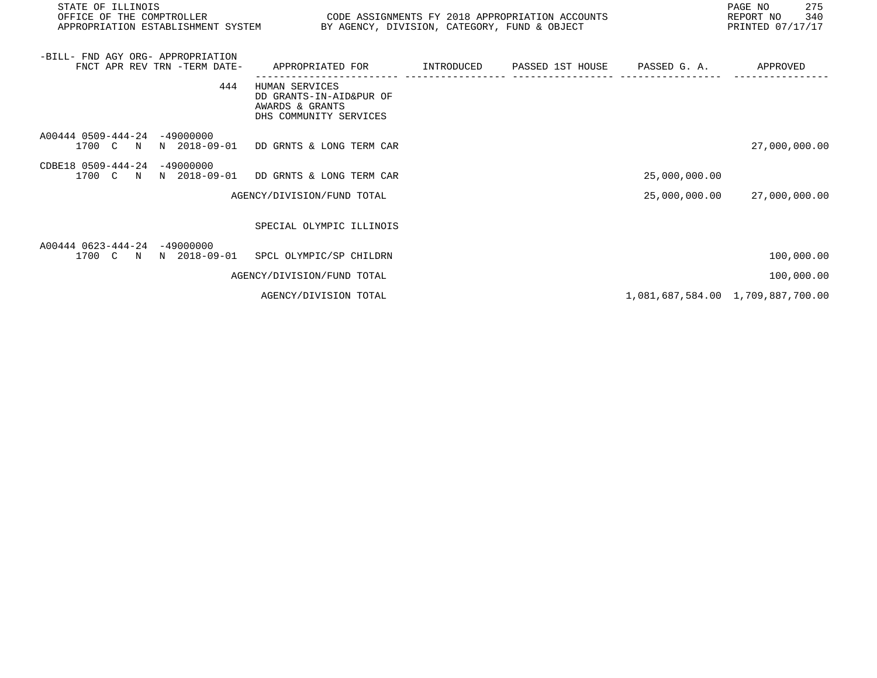| STATE OF ILLINOIS<br>OFFICE OF THE COMPTROLLER<br>APPROPRIATION ESTABLISHMENT SYSTEM BY AGENCY, DIVISION, CATEGORY, FUND & OBJECT | CODE ASSIGNMENTS FY 2018 APPROPRIATION ACCOUNTS                                        |                                         |               | PAGE NO<br>275<br>REPORT NO<br>340<br>PRINTED 07/17/17 |
|-----------------------------------------------------------------------------------------------------------------------------------|----------------------------------------------------------------------------------------|-----------------------------------------|---------------|--------------------------------------------------------|
| -BILL- FND AGY ORG- APPROPRIATION<br>FNCT APR REV TRN -TERM DATE-                                                                 | APPROPRIATED FOR                                                                       | INTRODUCED PASSED 1ST HOUSE PASSED G.A. |               | APPROVED                                               |
| 444                                                                                                                               | HUMAN SERVICES<br>DD GRANTS-IN-AID&PUR OF<br>AWARDS & GRANTS<br>DHS COMMUNITY SERVICES |                                         |               |                                                        |
| A00444 0509-444-24<br>$-49000000$<br>N 2018-09-01<br>1700 C N                                                                     | DD GRNTS & LONG TERM CAR                                                               |                                         |               | 27,000,000.00                                          |
| CDBE18 0509-444-24<br>$-49000000$<br>N 2018-09-01<br>1700 C N                                                                     | DD GRNTS & LONG TERM CAR                                                               |                                         | 25,000,000.00 |                                                        |
|                                                                                                                                   | AGENCY/DIVISION/FUND TOTAL                                                             |                                         | 25,000,000.00 | 27,000,000.00                                          |
|                                                                                                                                   | SPECIAL OLYMPIC ILLINOIS                                                               |                                         |               |                                                        |
| A00444 0623-444-24<br>$-49000000$<br>1700 C<br>N 2018-09-01<br>$\mathbf N$                                                        | SPCL OLYMPIC/SP CHILDRN                                                                |                                         |               | 100,000.00                                             |
|                                                                                                                                   | AGENCY/DIVISION/FUND TOTAL                                                             |                                         |               | 100,000.00                                             |
|                                                                                                                                   | AGENCY/DIVISION TOTAL                                                                  |                                         |               | 1,081,687,584.00 1,709,887,700.00                      |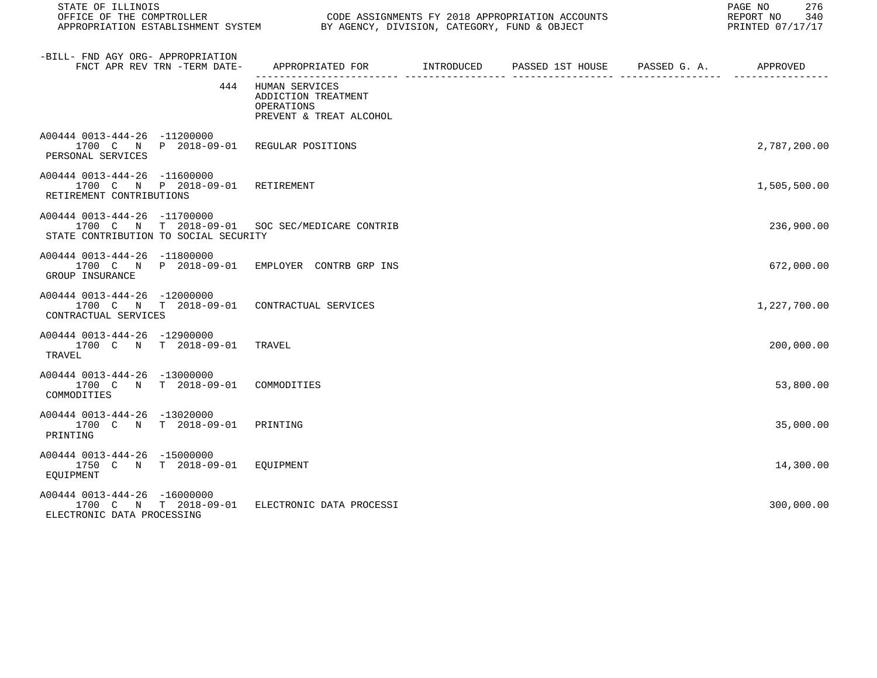| STATE OF ILLINOIS                                                                                                       |                                                                                         |  | PAGE NO<br>276<br>REPORT NO<br>340<br>PRINTED 07/17/17 |
|-------------------------------------------------------------------------------------------------------------------------|-----------------------------------------------------------------------------------------|--|--------------------------------------------------------|
| -BILL- FND AGY ORG- APPROPRIATION<br>FNCT APR REV TRN -TERM DATE-                                                       | APPROPRIATED FOR       INTRODUCED     PASSED 1ST HOUSE     PASSED G. A.        APPROVED |  |                                                        |
| 444                                                                                                                     | HUMAN SERVICES<br>ADDICTION TREATMENT<br>OPERATIONS<br>PREVENT & TREAT ALCOHOL          |  |                                                        |
| A00444 0013-444-26 -11200000<br>1700 C N P 2018-09-01 REGULAR POSITIONS<br>PERSONAL SERVICES                            |                                                                                         |  | 2,787,200.00                                           |
| A00444 0013-444-26 -11600000<br>1700 C N P 2018-09-01 RETIREMENT<br>RETIREMENT CONTRIBUTIONS                            |                                                                                         |  | 1,505,500.00                                           |
| A00444 0013-444-26 -11700000<br>1700 C N T 2018-09-01 SOC SEC/MEDICARE CONTRIB<br>STATE CONTRIBUTION TO SOCIAL SECURITY |                                                                                         |  | 236,900.00                                             |
| A00444 0013-444-26 -11800000<br>1700 C N P 2018-09-01<br>GROUP INSURANCE                                                | EMPLOYER CONTRB GRP INS                                                                 |  | 672,000.00                                             |
| A00444 0013-444-26 -12000000<br>1700 C N T 2018-09-01 CONTRACTUAL SERVICES<br>CONTRACTUAL SERVICES                      |                                                                                         |  | 1,227,700.00                                           |
| A00444 0013-444-26 -12900000<br>1700 C N T 2018-09-01 TRAVEL<br>TRAVEL                                                  |                                                                                         |  | 200,000.00                                             |
| A00444 0013-444-26 -13000000<br>1700 C N T 2018-09-01<br>COMMODITIES                                                    | COMMODITIES                                                                             |  | 53,800.00                                              |
| A00444 0013-444-26 -13020000<br>1700 C N T 2018-09-01<br>PRINTING                                                       | PRINTING                                                                                |  | 35,000.00                                              |
| A00444 0013-444-26 -15000000<br>1750 C N T 2018-09-01 EOUIPMENT<br>EOUIPMENT                                            |                                                                                         |  | 14,300.00                                              |
| A00444 0013-444-26 -16000000<br>1700 C N T 2018-09-01<br>ELECTRONIC DATA PROCESSING                                     | ELECTRONIC DATA PROCESSI                                                                |  | 300,000.00                                             |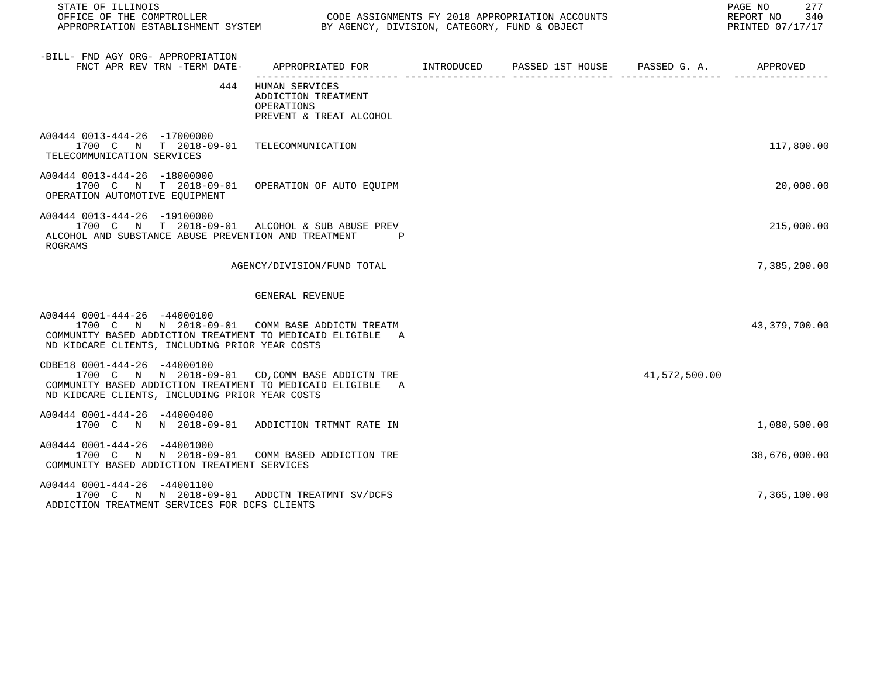| STATE OF ILLINOIS<br>OFFICE OF THE COMPTROLLER<br>APPROPRIATION ESTABLISHMENT SYSTEM BY AGENCY, DIVISION, CATEGORY, FUND & OBJECT                                                               |                                                                                            | CODE ASSIGNMENTS FY 2018 APPROPRIATION ACCOUNTS |               | 277<br>PAGE NO<br>340<br>REPORT NO<br>PRINTED 07/17/17 |
|-------------------------------------------------------------------------------------------------------------------------------------------------------------------------------------------------|--------------------------------------------------------------------------------------------|-------------------------------------------------|---------------|--------------------------------------------------------|
| -BILL- FND AGY ORG- APPROPRIATION<br>FNCT APR REV TRN -TERM DATE-                                                                                                                               | APPROPRIATED FOR        INTRODUCED      PASSED 1ST HOUSE     PASSED G. A.         APPROVED |                                                 |               |                                                        |
| 444                                                                                                                                                                                             | HUMAN SERVICES<br>ADDICTION TREATMENT<br>OPERATIONS<br>PREVENT & TREAT ALCOHOL             |                                                 |               |                                                        |
| A00444 0013-444-26 -17000000<br>1700 C N T 2018-09-01 TELECOMMUNICATION<br>TELECOMMUNICATION SERVICES                                                                                           |                                                                                            |                                                 |               | 117,800.00                                             |
| A00444 0013-444-26 -18000000<br>1700 C N T 2018-09-01 OPERATION OF AUTO EQUIPM<br>OPERATION AUTOMOTIVE EQUIPMENT                                                                                |                                                                                            |                                                 |               | 20,000.00                                              |
| A00444 0013-444-26 -19100000<br>1700 C N T 2018-09-01 ALCOHOL & SUB ABUSE PREV<br>ALCOHOL AND SUBSTANCE ABUSE PREVENTION AND TREATMENT<br><b>ROGRAMS</b>                                        |                                                                                            |                                                 |               | 215,000.00                                             |
|                                                                                                                                                                                                 | AGENCY/DIVISION/FUND TOTAL                                                                 |                                                 |               | 7,385,200.00                                           |
|                                                                                                                                                                                                 | GENERAL REVENUE                                                                            |                                                 |               |                                                        |
| A00444 0001-444-26 -44000100<br>1700 C N N 2018-09-01 COMM BASE ADDICTN TREATM<br>COMMUNITY BASED ADDICTION TREATMENT TO MEDICAID ELIGIBLE A<br>ND KIDCARE CLIENTS, INCLUDING PRIOR YEAR COSTS  |                                                                                            |                                                 |               | 43, 379, 700.00                                        |
| CDBE18 0001-444-26 -44000100<br>1700 C N N 2018-09-01 CD, COMM BASE ADDICTN TRE<br>COMMUNITY BASED ADDICTION TREATMENT TO MEDICAID ELIGIBLE A<br>ND KIDCARE CLIENTS, INCLUDING PRIOR YEAR COSTS |                                                                                            |                                                 | 41,572,500.00 |                                                        |
| A00444 0001-444-26 -44000400<br>1700 C N N 2018-09-01 ADDICTION TRTMNT RATE IN                                                                                                                  |                                                                                            |                                                 |               | 1,080,500.00                                           |
| A00444 0001-444-26 -44001000<br>1700 C N N 2018-09-01 COMM BASED ADDICTION TRE<br>COMMUNITY BASED ADDICTION TREATMENT SERVICES                                                                  |                                                                                            |                                                 |               | 38,676,000.00                                          |
| A00444 0001-444-26 -44001100<br>1700 C N N 2018-09-01 ADDCTN TREATMNT SV/DCFS<br>ADDICTION TREATMENT SERVICES FOR DCFS CLIENTS                                                                  |                                                                                            |                                                 |               | 7,365,100.00                                           |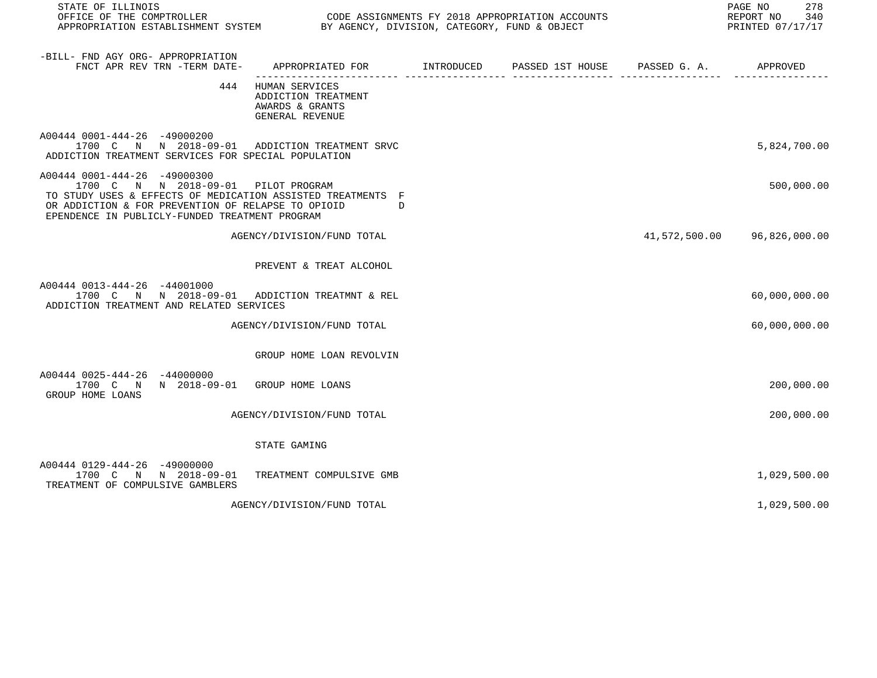| STATE OF ILLINOIS<br>OFFICE OF THE COMPTROLLER<br>APPROPRIATION ESTABLISHMENT SYSTEM BY AGENCY, DIVISION, CATEGORY, FUND & OBJECT                                                                                                          |                                                                                            | CODE ASSIGNMENTS FY 2018 APPROPRIATION ACCOUNTS | 278<br>PAGE NO<br>REPORT NO 340<br>PRINTED 07/17/17 |
|--------------------------------------------------------------------------------------------------------------------------------------------------------------------------------------------------------------------------------------------|--------------------------------------------------------------------------------------------|-------------------------------------------------|-----------------------------------------------------|
| -BILL- FND AGY ORG- APPROPRIATION<br>FNCT APR REV TRN -TERM DATE-                                                                                                                                                                          | APPROPRIATED FOR        INTRODUCED      PASSED 1ST HOUSE     PASSED G. A.         APPROVED |                                                 |                                                     |
|                                                                                                                                                                                                                                            | 444 HUMAN SERVICES<br>ADDICTION TREATMENT<br>AWARDS & GRANTS<br>GENERAL REVENUE            |                                                 |                                                     |
| A00444 0001-444-26 -49000200<br>1700 C N N 2018-09-01 ADDICTION TREATMENT SRVC<br>ADDICTION TREATMENT SERVICES FOR SPECIAL POPULATION                                                                                                      |                                                                                            |                                                 | 5,824,700.00                                        |
| A00444 0001-444-26 -49000300<br>1700 C N N 2018-09-01 PILOT PROGRAM<br>TO STUDY USES & EFFECTS OF MEDICATION ASSISTED TREATMENTS F<br>OR ADDICTION & FOR PREVENTION OF RELAPSE TO OPIOID<br>EPENDENCE IN PUBLICLY-FUNDED TREATMENT PROGRAM | $\Box$                                                                                     |                                                 | 500,000.00                                          |
|                                                                                                                                                                                                                                            | AGENCY/DIVISION/FUND TOTAL                                                                 |                                                 | 41,572,500.00 96,826,000.00                         |
|                                                                                                                                                                                                                                            | PREVENT & TREAT ALCOHOL                                                                    |                                                 |                                                     |
| A00444 0013-444-26 -44001000<br>1700 C N N 2018-09-01 ADDICTION TREATMNT & REL<br>ADDICTION TREATMENT AND RELATED SERVICES                                                                                                                 |                                                                                            |                                                 | 60,000,000.00                                       |
|                                                                                                                                                                                                                                            | AGENCY/DIVISION/FUND TOTAL                                                                 |                                                 | 60,000,000.00                                       |
|                                                                                                                                                                                                                                            | GROUP HOME LOAN REVOLVIN                                                                   |                                                 |                                                     |
| A00444 0025-444-26 -44000000<br>1700 C N N 2018-09-01 GROUP HOME LOANS<br>GROUP HOME LOANS                                                                                                                                                 |                                                                                            |                                                 | 200,000.00                                          |
|                                                                                                                                                                                                                                            | AGENCY/DIVISION/FUND TOTAL                                                                 |                                                 | 200,000.00                                          |
|                                                                                                                                                                                                                                            | STATE GAMING                                                                               |                                                 |                                                     |
| A00444 0129-444-26 -49000000<br>1700 C N N 2018-09-01<br>TREATMENT OF COMPULSIVE GAMBLERS                                                                                                                                                  | TREATMENT COMPULSIVE GMB                                                                   |                                                 | 1,029,500.00                                        |
|                                                                                                                                                                                                                                            | AGENCY/DIVISION/FUND TOTAL                                                                 |                                                 | 1,029,500.00                                        |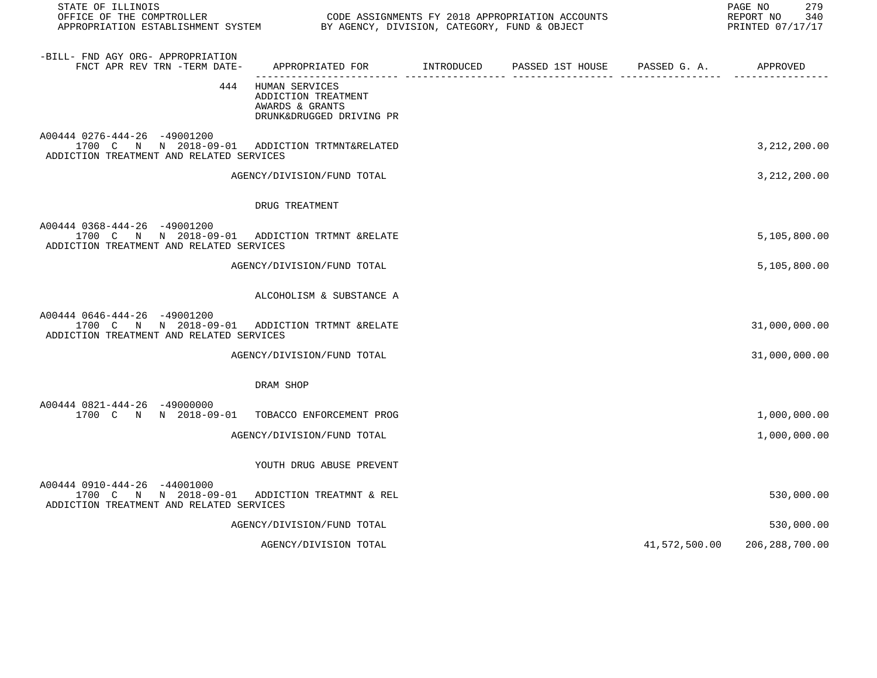| STATE OF ILLINOIS                                                                                                          |                                                                                      |  |               | 279<br>PAGE NO<br>REPORT NO<br>340<br>PRINTED 07/17/17 |
|----------------------------------------------------------------------------------------------------------------------------|--------------------------------------------------------------------------------------|--|---------------|--------------------------------------------------------|
| -BILL- FND AGY ORG- APPROPRIATION<br>FNCT APR REV TRN -TERM DATE-                                                          | APPROPRIATED FOR TINTRODUCED PASSED 1ST HOUSE PASSED G.A. APPROVED                   |  |               |                                                        |
| 444                                                                                                                        | HUMAN SERVICES<br>ADDICTION TREATMENT<br>AWARDS & GRANTS<br>DRUNK&DRUGGED DRIVING PR |  |               |                                                        |
| A00444 0276-444-26 -49001200<br>1700 C N N 2018-09-01 ADDICTION TRTMNT&RELATED<br>ADDICTION TREATMENT AND RELATED SERVICES |                                                                                      |  |               | 3, 212, 200.00                                         |
|                                                                                                                            | AGENCY/DIVISION/FUND TOTAL                                                           |  |               | 3, 212, 200.00                                         |
|                                                                                                                            | DRUG TREATMENT                                                                       |  |               |                                                        |
| A00444 0368-444-26 -49001200<br>1700 C N N 2018-09-01 ADDICTION TRTMNT &RELATE<br>ADDICTION TREATMENT AND RELATED SERVICES |                                                                                      |  |               | 5,105,800.00                                           |
|                                                                                                                            | AGENCY/DIVISION/FUND TOTAL                                                           |  |               | 5,105,800.00                                           |
|                                                                                                                            | ALCOHOLISM & SUBSTANCE A                                                             |  |               |                                                        |
| A00444 0646-444-26 -49001200<br>1700 C N N 2018-09-01 ADDICTION TRTMNT &RELATE<br>ADDICTION TREATMENT AND RELATED SERVICES |                                                                                      |  |               | 31,000,000.00                                          |
|                                                                                                                            | AGENCY/DIVISION/FUND TOTAL                                                           |  |               | 31,000,000.00                                          |
|                                                                                                                            | DRAM SHOP                                                                            |  |               |                                                        |
| A00444 0821-444-26 -49000000<br>1700 C N N 2018-09-01 TOBACCO ENFORCEMENT PROG                                             |                                                                                      |  |               | 1,000,000.00                                           |
|                                                                                                                            | AGENCY/DIVISION/FUND TOTAL                                                           |  |               | 1,000,000.00                                           |
|                                                                                                                            | YOUTH DRUG ABUSE PREVENT                                                             |  |               |                                                        |
| A00444 0910-444-26 -44001000<br>1700 C N N 2018-09-01 ADDICTION TREATMNT & REL<br>ADDICTION TREATMENT AND RELATED SERVICES |                                                                                      |  |               | 530,000.00                                             |
|                                                                                                                            | AGENCY/DIVISION/FUND TOTAL                                                           |  |               | 530,000.00                                             |
|                                                                                                                            | AGENCY/DIVISION TOTAL                                                                |  | 41,572,500.00 | 206,288,700.00                                         |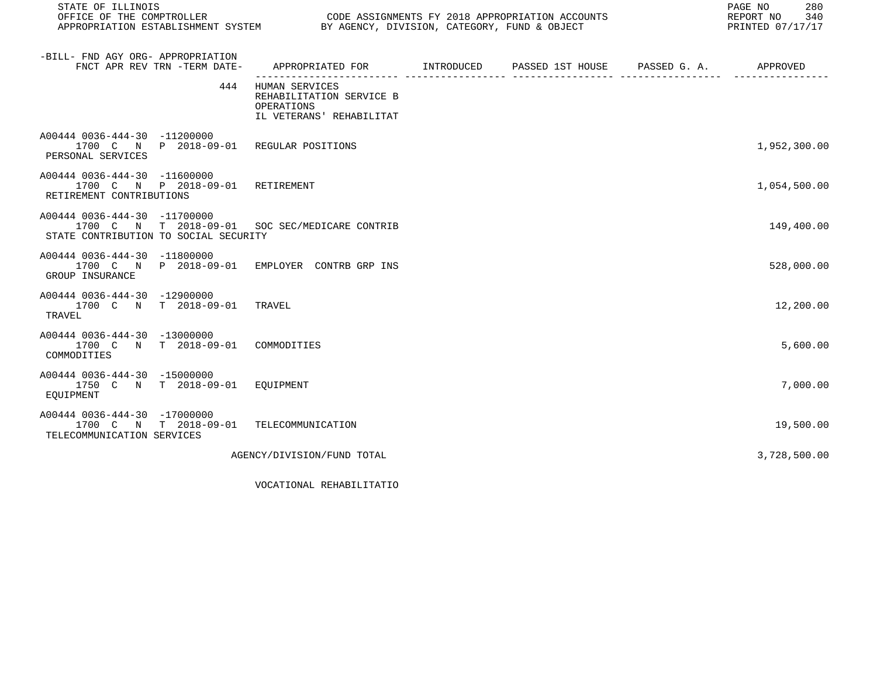| STATE OF ILLINOIS                                                                                                       |                                                                                         |  | 280<br>PAGE NO<br>REPORT NO<br>340<br>PRINTED 07/17/17 |
|-------------------------------------------------------------------------------------------------------------------------|-----------------------------------------------------------------------------------------|--|--------------------------------------------------------|
| -BILL- FND AGY ORG- APPROPRIATION<br>FNCT APR REV TRN -TERM DATE-                                                       | APPROPRIATED FOR       INTRODUCED     PASSED 1ST HOUSE     PASSED G. A.        APPROVED |  |                                                        |
| 444                                                                                                                     | HUMAN SERVICES<br>REHABILITATION SERVICE B<br>OPERATIONS<br>IL VETERANS' REHABILITAT    |  |                                                        |
| A00444 0036-444-30 -11200000<br>1700 C N P 2018-09-01 REGULAR POSITIONS<br>PERSONAL SERVICES                            |                                                                                         |  | 1,952,300.00                                           |
| A00444 0036-444-30 -11600000<br>1700 C N P 2018-09-01 RETIREMENT<br>RETIREMENT CONTRIBUTIONS                            |                                                                                         |  | 1,054,500.00                                           |
| A00444 0036-444-30 -11700000<br>1700 C N T 2018-09-01 SOC SEC/MEDICARE CONTRIB<br>STATE CONTRIBUTION TO SOCIAL SECURITY |                                                                                         |  | 149,400.00                                             |
| A00444 0036-444-30 -11800000<br>1700 C N P 2018-09-01 EMPLOYER CONTRB GRP INS<br>GROUP INSURANCE                        |                                                                                         |  | 528,000.00                                             |
| A00444 0036-444-30 -12900000<br>1700 C N T 2018-09-01 TRAVEL<br>TRAVEL                                                  |                                                                                         |  | 12,200.00                                              |
| A00444 0036-444-30 -13000000<br>1700 C N T 2018-09-01 COMMODITIES<br>COMMODITIES                                        |                                                                                         |  | 5,600.00                                               |
| A00444 0036-444-30 -15000000<br>1750 C N T 2018-09-01 EQUIPMENT<br>EOUIPMENT                                            |                                                                                         |  | 7,000.00                                               |
| A00444 0036-444-30 -17000000<br>1700 C N T 2018-09-01 TELECOMMUNICATION<br>TELECOMMUNICATION SERVICES                   |                                                                                         |  | 19,500.00                                              |
|                                                                                                                         | AGENCY/DIVISION/FUND TOTAL                                                              |  | 3,728,500.00                                           |

VOCATIONAL REHABILITATIO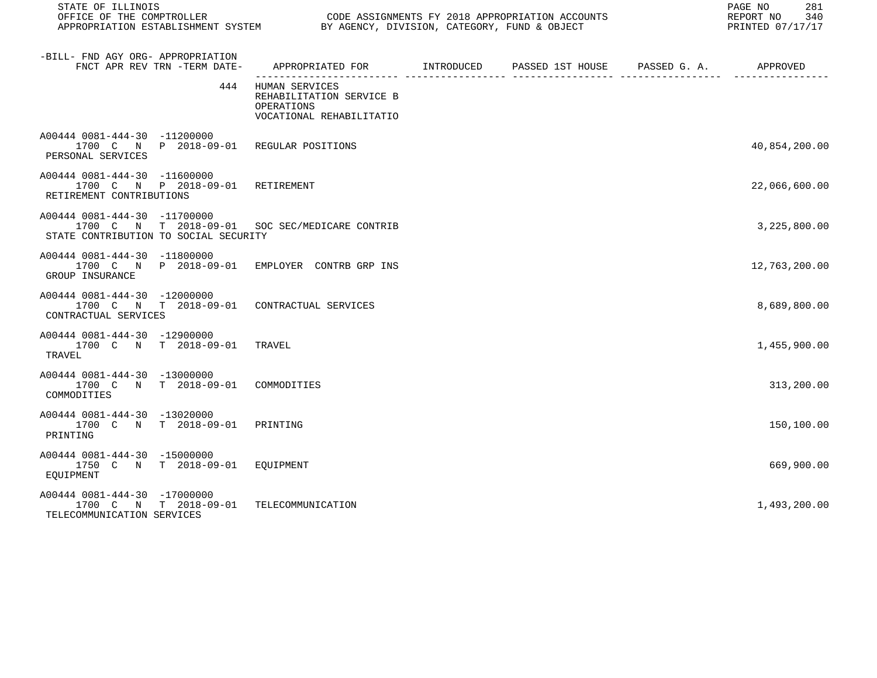| STATE OF ILLINOIS                                                                                                       |                                                                                            |  | 281<br>PAGE NO<br>REPORT NO<br>340<br>PRINTED 07/17/17 |
|-------------------------------------------------------------------------------------------------------------------------|--------------------------------------------------------------------------------------------|--|--------------------------------------------------------|
| -BILL- FND AGY ORG- APPROPRIATION<br>FNCT APR REV TRN -TERM DATE-                                                       | APPROPRIATED FOR        INTRODUCED      PASSED 1ST HOUSE     PASSED G. A.         APPROVED |  |                                                        |
| 444                                                                                                                     | HUMAN SERVICES<br>REHABILITATION SERVICE B<br>OPERATIONS<br>VOCATIONAL REHABILITATIO       |  |                                                        |
| A00444 0081-444-30 -11200000<br>1700 C N P 2018-09-01 REGULAR POSITIONS<br>PERSONAL SERVICES                            |                                                                                            |  | 40,854,200.00                                          |
| A00444 0081-444-30 -11600000<br>1700 C N P 2018-09-01 RETIREMENT<br>RETIREMENT CONTRIBUTIONS                            |                                                                                            |  | 22,066,600.00                                          |
| A00444 0081-444-30 -11700000<br>1700 C N T 2018-09-01 SOC SEC/MEDICARE CONTRIB<br>STATE CONTRIBUTION TO SOCIAL SECURITY |                                                                                            |  | 3,225,800.00                                           |
| A00444 0081-444-30 -11800000<br>1700 C N P 2018-09-01 EMPLOYER CONTRB GRP INS<br>GROUP INSURANCE                        |                                                                                            |  | 12,763,200.00                                          |
| A00444 0081-444-30 -12000000<br>1700 C N T 2018-09-01 CONTRACTUAL SERVICES<br>CONTRACTUAL SERVICES                      |                                                                                            |  | 8,689,800.00                                           |
| A00444 0081-444-30 -12900000<br>1700 C N T 2018-09-01 TRAVEL<br>TRAVEL                                                  |                                                                                            |  | 1,455,900.00                                           |
| A00444 0081-444-30 -13000000<br>1700 C N T 2018-09-01 COMMODITIES<br>COMMODITIES                                        |                                                                                            |  | 313,200.00                                             |
| A00444 0081-444-30 -13020000<br>1700 C N T 2018-09-01<br>PRINTING                                                       | PRINTING                                                                                   |  | 150,100.00                                             |
| A00444 0081-444-30 -15000000<br>1750 C N T 2018-09-01 EQUIPMENT<br>EOUIPMENT                                            |                                                                                            |  | 669,900.00                                             |
| A00444 0081-444-30 -17000000<br>1700 C N T 2018-09-01<br>TELECOMMUNICATION SERVICES                                     | TELECOMMUNICATION                                                                          |  | 1,493,200.00                                           |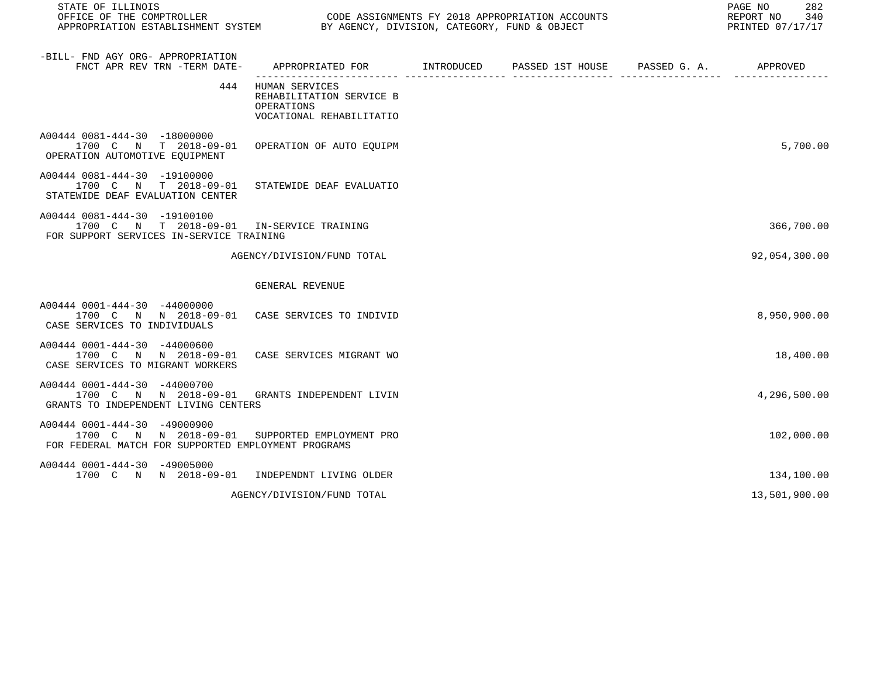| STATE OF ILLINOIS                                                                                                                     | PAGE NO<br>OFFICE OF THE COMPTROLLER<br>APPROPRIATION ESTABLISHMENT SYSTEM BY AGENCY, DIVISION, CATEGORY, FUND & OBJECT<br>CODE ASSIGNMENTS FY 2018 APPROPRIATION ACCOUNTS<br>REPORT NO 340<br>PRINTED 07/17/17 |  |  |  |               |  |
|---------------------------------------------------------------------------------------------------------------------------------------|-----------------------------------------------------------------------------------------------------------------------------------------------------------------------------------------------------------------|--|--|--|---------------|--|
| -BILL- FND AGY ORG- APPROPRIATION<br>FNCT APR REV TRN -TERM DATE-                                                                     | APPROPRIATED FOR        INTRODUCED     PASSED 1ST HOUSE     PASSED G. A.         APPROVED                                                                                                                       |  |  |  |               |  |
|                                                                                                                                       | 444 HUMAN SERVICES<br>REHABILITATION SERVICE B<br>OPERATIONS<br>VOCATIONAL REHABILITATIO                                                                                                                        |  |  |  |               |  |
| A00444 0081-444-30 -18000000<br>1700 C N T 2018-09-01 OPERATION OF AUTO EOUIPM<br>OPERATION AUTOMOTIVE EQUIPMENT                      |                                                                                                                                                                                                                 |  |  |  | 5,700.00      |  |
| A00444 0081-444-30 -19100000<br>1700 C N T 2018-09-01<br>STATEWIDE DEAF EVALUATION CENTER                                             | STATEWIDE DEAF EVALUATIO                                                                                                                                                                                        |  |  |  |               |  |
| A00444 0081-444-30 -19100100<br>1700 C N T 2018-09-01 IN-SERVICE TRAINING<br>FOR SUPPORT SERVICES IN-SERVICE TRAINING                 |                                                                                                                                                                                                                 |  |  |  | 366,700.00    |  |
|                                                                                                                                       | AGENCY/DIVISION/FUND TOTAL                                                                                                                                                                                      |  |  |  | 92,054,300.00 |  |
|                                                                                                                                       | GENERAL REVENUE                                                                                                                                                                                                 |  |  |  |               |  |
| A00444 0001-444-30 -44000000<br>1700 C N N 2018-09-01 CASE SERVICES TO INDIVID<br>CASE SERVICES TO INDIVIDUALS                        |                                                                                                                                                                                                                 |  |  |  | 8,950,900.00  |  |
| A00444 0001-444-30 -44000600<br>1700 C N N 2018-09-01<br>CASE SERVICES TO MIGRANT WORKERS                                             | CASE SERVICES MIGRANT WO                                                                                                                                                                                        |  |  |  | 18,400.00     |  |
| A00444 0001-444-30 -44000700<br>1700 C N N 2018-09-01 GRANTS INDEPENDENT LIVIN<br>GRANTS TO INDEPENDENT LIVING CENTERS                |                                                                                                                                                                                                                 |  |  |  | 4,296,500.00  |  |
| A00444 0001-444-30 -49000900<br>1700 C N N 2018-09-01 SUPPORTED EMPLOYMENT PRO<br>FOR FEDERAL MATCH FOR SUPPORTED EMPLOYMENT PROGRAMS |                                                                                                                                                                                                                 |  |  |  | 102,000.00    |  |
| A00444 0001-444-30 -49005000<br>1700 C N N 2018-09-01 INDEPENDNT LIVING OLDER                                                         |                                                                                                                                                                                                                 |  |  |  | 134,100.00    |  |
|                                                                                                                                       | AGENCY/DIVISION/FUND TOTAL                                                                                                                                                                                      |  |  |  | 13,501,900.00 |  |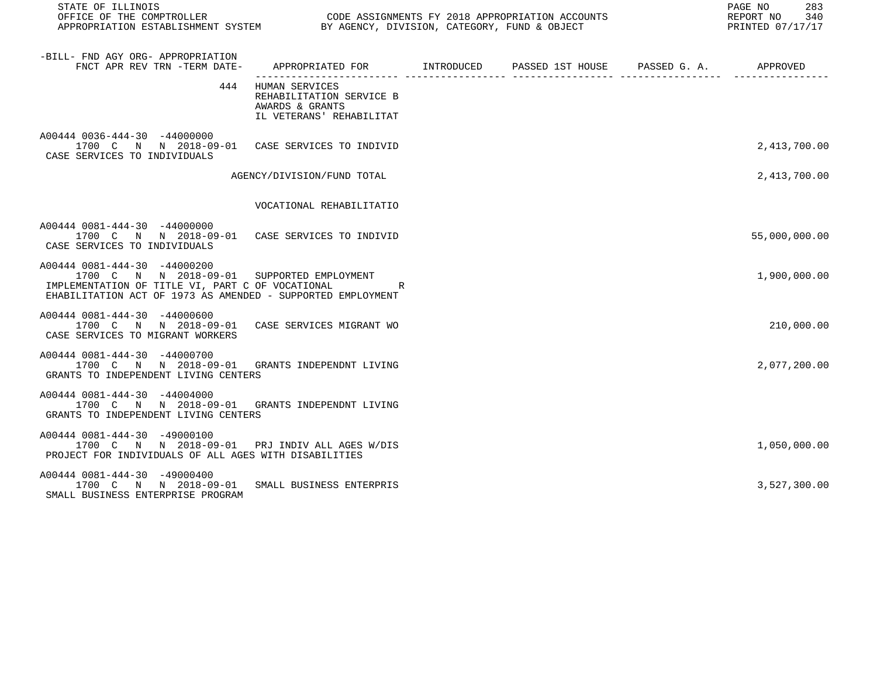| STATE OF ILLINOIS                                                                                                                                                                             |                                                                                               |  | PAGE NO<br>283<br>REPORT NO<br>340<br>PRINTED 07/17/17 |
|-----------------------------------------------------------------------------------------------------------------------------------------------------------------------------------------------|-----------------------------------------------------------------------------------------------|--|--------------------------------------------------------|
| -BILL- FND AGY ORG- APPROPRIATION<br>FNCT APR REV TRN -TERM DATE- APPROPRIATED FOR MINTRODUCED PASSED 1ST HOUSE PASSED G. A. APPROVED                                                         |                                                                                               |  |                                                        |
|                                                                                                                                                                                               | 444 HUMAN SERVICES<br>REHABILITATION SERVICE B<br>AWARDS & GRANTS<br>IL VETERANS' REHABILITAT |  |                                                        |
| A00444 0036-444-30 -44000000<br>1700 C N N 2018-09-01 CASE SERVICES TO INDIVID<br>CASE SERVICES TO INDIVIDUALS                                                                                |                                                                                               |  | 2,413,700.00                                           |
|                                                                                                                                                                                               | AGENCY/DIVISION/FUND TOTAL                                                                    |  | 2,413,700.00                                           |
|                                                                                                                                                                                               | VOCATIONAL REHABILITATIO                                                                      |  |                                                        |
| A00444 0081-444-30 -44000000<br>1700 C N N 2018-09-01 CASE SERVICES TO INDIVID<br>CASE SERVICES TO INDIVIDUALS                                                                                |                                                                                               |  | 55,000,000.00                                          |
| A00444 0081-444-30 -44000200<br>1700 C N N 2018-09-01 SUPPORTED EMPLOYMENT<br>IMPLEMENTATION OF TITLE VI, PART C OF VOCATIONAL<br>EHABILITATION ACT OF 1973 AS AMENDED - SUPPORTED EMPLOYMENT | R                                                                                             |  | 1,900,000.00                                           |
| A00444 0081-444-30 -44000600<br>1700 C N N 2018-09-01 CASE SERVICES MIGRANT WO<br>CASE SERVICES TO MIGRANT WORKERS                                                                            |                                                                                               |  | 210,000.00                                             |
| A00444 0081-444-30 -44000700<br>1700 C N N 2018-09-01 GRANTS INDEPENDNT LIVING<br>GRANTS TO INDEPENDENT LIVING CENTERS                                                                        |                                                                                               |  | 2,077,200.00                                           |
| A00444 0081-444-30 -44004000<br>1700 C N N 2018-09-01 GRANTS INDEPENDNT LIVING<br>GRANTS TO INDEPENDENT LIVING CENTERS                                                                        |                                                                                               |  |                                                        |
| A00444 0081-444-30 -49000100<br>1700 C N N 2018-09-01 PRJ INDIVALLAGES W/DIS<br>PROJECT FOR INDIVIDUALS OF ALL AGES WITH DISABILITIES                                                         |                                                                                               |  | 1,050,000.00                                           |
| A00444 0081-444-30 -49000400<br>1700 C N N 2018-09-01 SMALL BUSINESS ENTERPRIS<br>SMALL BUSINESS ENTERPRISE PROGRAM                                                                           |                                                                                               |  | 3,527,300.00                                           |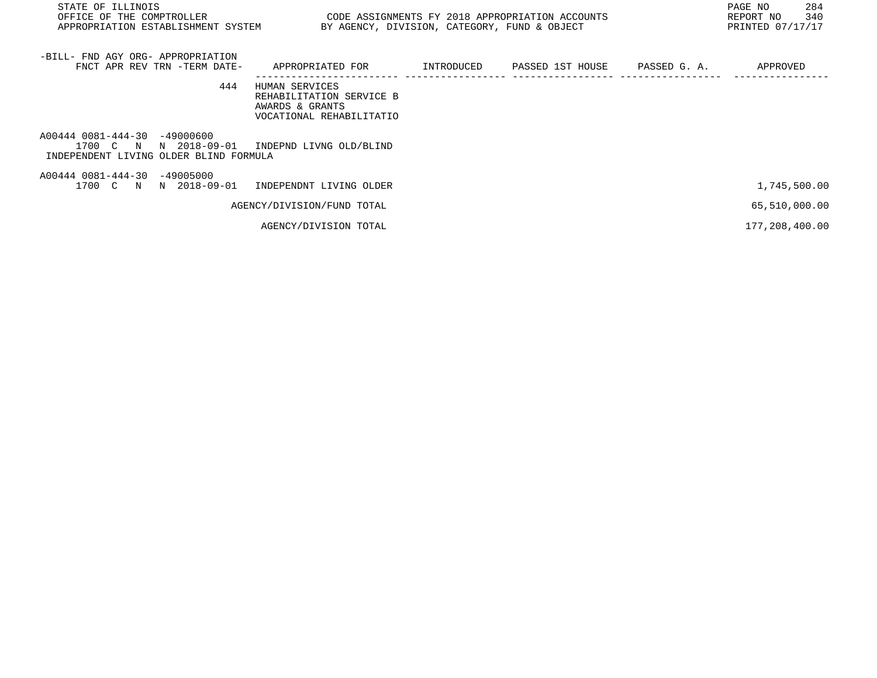| STATE OF ILLINOIS<br>OFFICE OF THE COMPTROLLER<br>APPROPRIATION ESTABLISHMENT SYSTEM               | BY AGENCY, DIVISION, CATEGORY, FUND & OBJECT                                              |            | CODE ASSIGNMENTS FY 2018 APPROPRIATION ACCOUNTS |              | 284<br>PAGE NO<br>340<br>REPORT NO<br>PRINTED 07/17/17 |
|----------------------------------------------------------------------------------------------------|-------------------------------------------------------------------------------------------|------------|-------------------------------------------------|--------------|--------------------------------------------------------|
| -BILL- FND AGY ORG- APPROPRIATION<br>FNCT APR REV TRN -TERM DATE-                                  | APPROPRIATED FOR                                                                          | INTRODUCED | PASSED 1ST HOUSE                                | PASSED G. A. | APPROVED                                               |
| 444                                                                                                | HUMAN SERVICES<br>REHABILITATION SERVICE B<br>AWARDS & GRANTS<br>VOCATIONAL REHABILITATIO |            |                                                 |              |                                                        |
| A00444 0081-444-30 -49000600<br>1700 C N<br>N 2018-09-01<br>INDEPENDENT LIVING OLDER BLIND FORMULA | INDEPND LIVNG OLD/BLIND                                                                   |            |                                                 |              |                                                        |
| A00444 0081-444-30 -49005000<br>1700 C N N 2018-09-01                                              | INDEPENDNT LIVING OLDER                                                                   |            |                                                 |              | 1,745,500.00                                           |
|                                                                                                    | AGENCY/DIVISION/FUND TOTAL                                                                |            |                                                 |              | 65,510,000.00                                          |
|                                                                                                    | AGENCY/DIVISION TOTAL                                                                     |            |                                                 |              | 177,208,400.00                                         |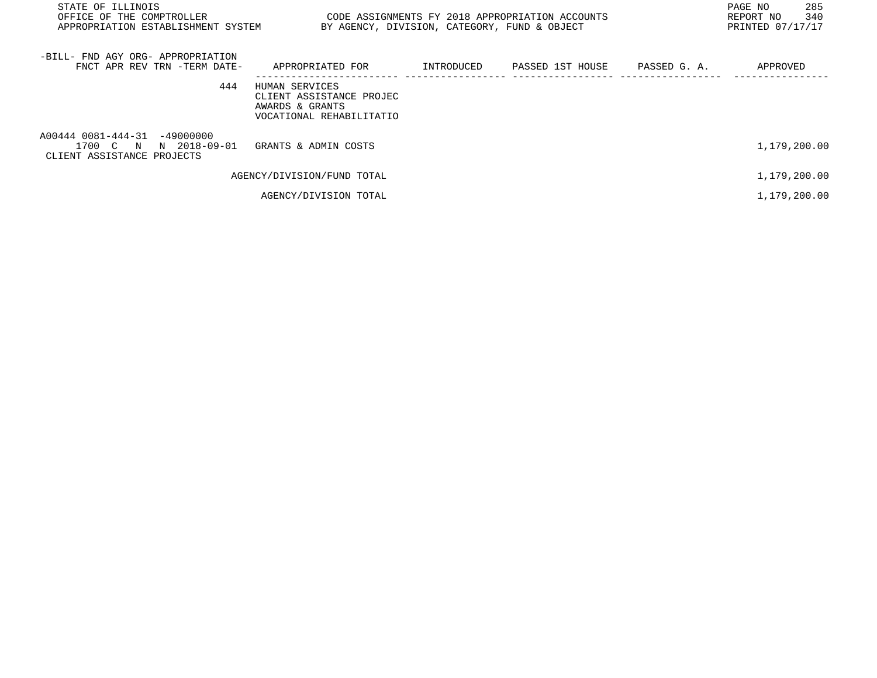| STATE OF ILLINOIS<br>OFFICE OF THE COMPTROLLER<br>APPROPRIATION ESTABLISHMENT SYSTEM | BY AGENCY, DIVISION, CATEGORY, FUND & OBJECT                                              | CODE ASSIGNMENTS FY 2018 APPROPRIATION ACCOUNTS             | PAGE NO<br>285<br>340<br>REPORT NO<br>PRINTED 07/17/17 |
|--------------------------------------------------------------------------------------|-------------------------------------------------------------------------------------------|-------------------------------------------------------------|--------------------------------------------------------|
| -BILL- FND AGY ORG- APPROPRIATION<br>FNCT APR REV TRN -TERM DATE-                    | APPROPRIATED FOR                                                                          | INTRODUCED        PASSED  1ST  HOUSE         PASSED  G.  A. | APPROVED                                               |
| 444                                                                                  | HUMAN SERVICES<br>CLIENT ASSISTANCE PROJEC<br>AWARDS & GRANTS<br>VOCATIONAL REHABILITATIO |                                                             |                                                        |
| A00444 0081-444-31 -49000000<br>1700 C N N 2018-09-01<br>CLIENT ASSISTANCE PROJECTS  | GRANTS & ADMIN COSTS                                                                      |                                                             | 1,179,200.00                                           |
|                                                                                      | AGENCY/DIVISION/FUND TOTAL                                                                |                                                             | 1,179,200.00                                           |
|                                                                                      | AGENCY/DIVISION TOTAL                                                                     |                                                             | 1,179,200.00                                           |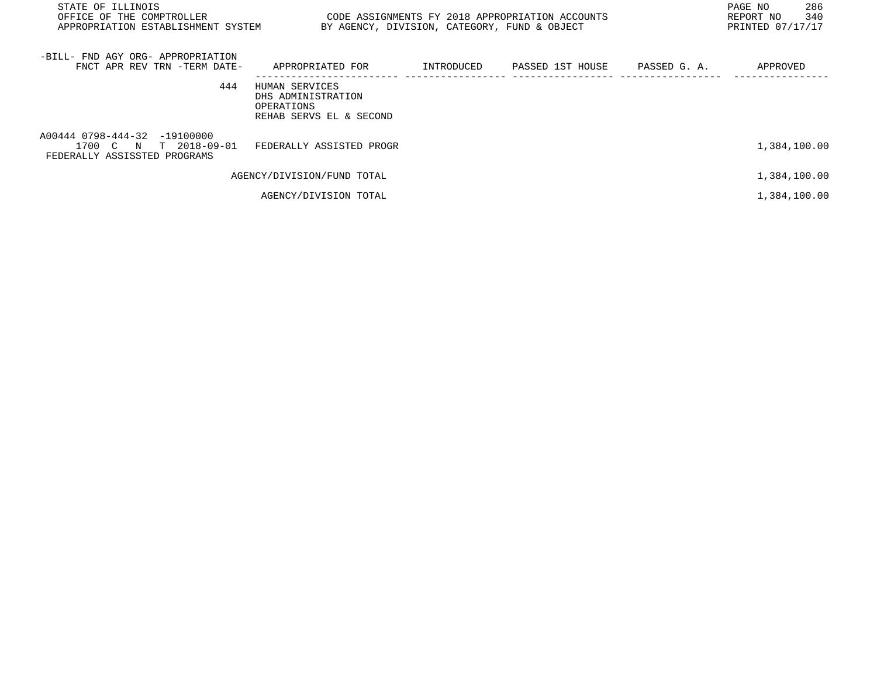| STATE OF ILLINOIS<br>OFFICE OF THE COMPTROLLER<br>APPROPRIATION ESTABLISHMENT SYSTEM  | BY AGENCY, DIVISION, CATEGORY, FUND & OBJECT                                  |            | CODE ASSIGNMENTS FY 2018 APPROPRIATION ACCOUNTS |              | 286<br>PAGE NO<br>340<br>REPORT NO<br>PRINTED 07/17/17 |
|---------------------------------------------------------------------------------------|-------------------------------------------------------------------------------|------------|-------------------------------------------------|--------------|--------------------------------------------------------|
| -BILL- FND AGY ORG- APPROPRIATION<br>FNCT APR REV TRN -TERM DATE-                     | APPROPRIATED FOR                                                              | INTRODUCED | PASSED 1ST HOUSE                                | PASSED G. A. | APPROVED                                               |
| 444                                                                                   | HUMAN SERVICES<br>DHS ADMINISTRATION<br>OPERATIONS<br>REHAB SERVS EL & SECOND |            |                                                 |              |                                                        |
| A00444 0798-444-32 -19100000<br>1700 C N T 2018-09-01<br>FEDERALLY ASSISSTED PROGRAMS | FEDERALLY ASSISTED PROGR                                                      |            |                                                 |              | 1,384,100.00                                           |
|                                                                                       | AGENCY/DIVISION/FUND TOTAL                                                    |            |                                                 |              | 1,384,100.00                                           |
|                                                                                       | AGENCY/DIVISION TOTAL                                                         |            |                                                 |              | 1,384,100.00                                           |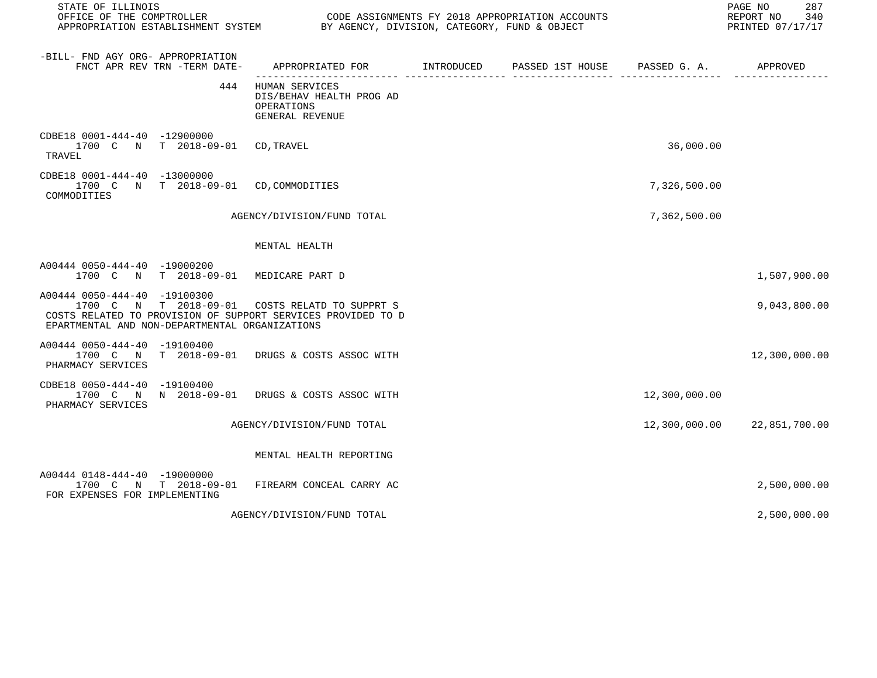| STATE OF ILLINOIS<br>OFFICE OF THE COMPTROLLER CONDUCTER CODE ASSIGNMENTS FY 2018 APPROPRIATION ACCOUNTS<br>APPROPRIATION ESTABLISHMENT SYSTEM BY AGENCY, DIVISION, CATEGORY, FUND & OBJECT      |                                                                             |            |                               |               | PAGE NO<br>287<br>REPORT NO<br>340<br>PRINTED 07/17/17 |
|--------------------------------------------------------------------------------------------------------------------------------------------------------------------------------------------------|-----------------------------------------------------------------------------|------------|-------------------------------|---------------|--------------------------------------------------------|
| -BILL- FND AGY ORG- APPROPRIATION<br>FNCT APR REV TRN -TERM DATE-                                                                                                                                | APPROPRIATED FOR                                                            | INTRODUCED | PASSED 1ST HOUSE PASSED G. A. |               | APPROVED                                               |
| 444                                                                                                                                                                                              | HUMAN SERVICES<br>DIS/BEHAV HEALTH PROG AD<br>OPERATIONS<br>GENERAL REVENUE |            |                               |               |                                                        |
| CDBE18 0001-444-40 -12900000<br>1700 C N T 2018-09-01 CD, TRAVEL<br>TRAVEL                                                                                                                       |                                                                             |            |                               | 36,000.00     |                                                        |
| CDBE18 0001-444-40 -13000000<br>1700 C N T 2018-09-01 CD, COMMODITIES<br>COMMODITIES                                                                                                             |                                                                             |            |                               | 7,326,500.00  |                                                        |
|                                                                                                                                                                                                  | AGENCY/DIVISION/FUND TOTAL                                                  |            |                               | 7,362,500.00  |                                                        |
|                                                                                                                                                                                                  | MENTAL HEALTH                                                               |            |                               |               |                                                        |
| A00444 0050-444-40 -19000200<br>1700 C N T 2018-09-01 MEDICARE PART D                                                                                                                            |                                                                             |            |                               |               | 1,507,900.00                                           |
| A00444 0050-444-40 -19100300<br>1700 C N T 2018-09-01 COSTS RELATD TO SUPPRT S<br>COSTS RELATED TO PROVISION OF SUPPORT SERVICES PROVIDED TO D<br>EPARTMENTAL AND NON-DEPARTMENTAL ORGANIZATIONS |                                                                             |            |                               |               | 9,043,800.00                                           |
| A00444 0050-444-40 -19100400<br>1700 C N T 2018-09-01 DRUGS & COSTS ASSOC WITH<br>PHARMACY SERVICES                                                                                              |                                                                             |            |                               |               | 12,300,000.00                                          |
| CDBE18 0050-444-40 -19100400<br>1700 C N N 2018-09-01 DRUGS & COSTS ASSOC WITH<br>PHARMACY SERVICES                                                                                              |                                                                             |            |                               | 12,300,000.00 |                                                        |
|                                                                                                                                                                                                  | AGENCY/DIVISION/FUND TOTAL                                                  |            |                               |               | 12,300,000.00 22,851,700.00                            |
|                                                                                                                                                                                                  | MENTAL HEALTH REPORTING                                                     |            |                               |               |                                                        |
| A00444 0148-444-40 -19000000<br>1700 C N T 2018-09-01 FIREARM CONCEAL CARRY AC<br>FOR EXPENSES FOR IMPLEMENTING                                                                                  |                                                                             |            |                               |               | 2,500,000.00                                           |
|                                                                                                                                                                                                  | AGENCY/DIVISION/FUND TOTAL                                                  |            |                               |               | 2,500,000.00                                           |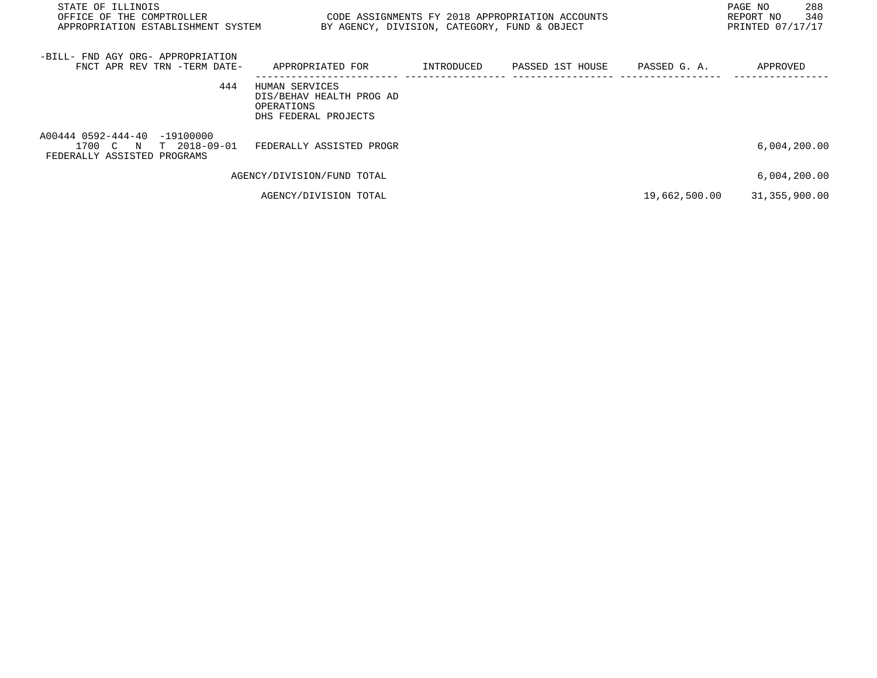| STATE OF ILLINOIS<br>OFFICE OF THE COMPTROLLER<br>APPROPRIATION ESTABLISHMENT SYSTEM | BY AGENCY, DIVISION, CATEGORY, FUND & OBJECT                                     |            | CODE ASSIGNMENTS FY 2018 APPROPRIATION ACCOUNTS |               | 288<br>PAGE NO<br>340<br>REPORT NO<br>PRINTED 07/17/17 |
|--------------------------------------------------------------------------------------|----------------------------------------------------------------------------------|------------|-------------------------------------------------|---------------|--------------------------------------------------------|
| -BILL- FND AGY ORG- APPROPRIATION<br>FNCT APR REV TRN -TERM DATE-                    | APPROPRIATED FOR                                                                 | INTRODUCED | PASSED 1ST HOUSE                                | PASSED G. A.  | APPROVED                                               |
| 444                                                                                  | HUMAN SERVICES<br>DIS/BEHAV HEALTH PROG AD<br>OPERATIONS<br>DHS FEDERAL PROJECTS |            |                                                 |               |                                                        |
| A00444 0592-444-40 -19100000<br>1700 C N T 2018-09-01<br>FEDERALLY ASSISTED PROGRAMS | FEDERALLY ASSISTED PROGR                                                         |            |                                                 |               | 6,004,200.00                                           |
|                                                                                      | AGENCY/DIVISION/FUND TOTAL                                                       |            |                                                 |               | 6,004,200.00                                           |
|                                                                                      | AGENCY/DIVISION TOTAL                                                            |            |                                                 | 19,662,500.00 | 31,355,900.00                                          |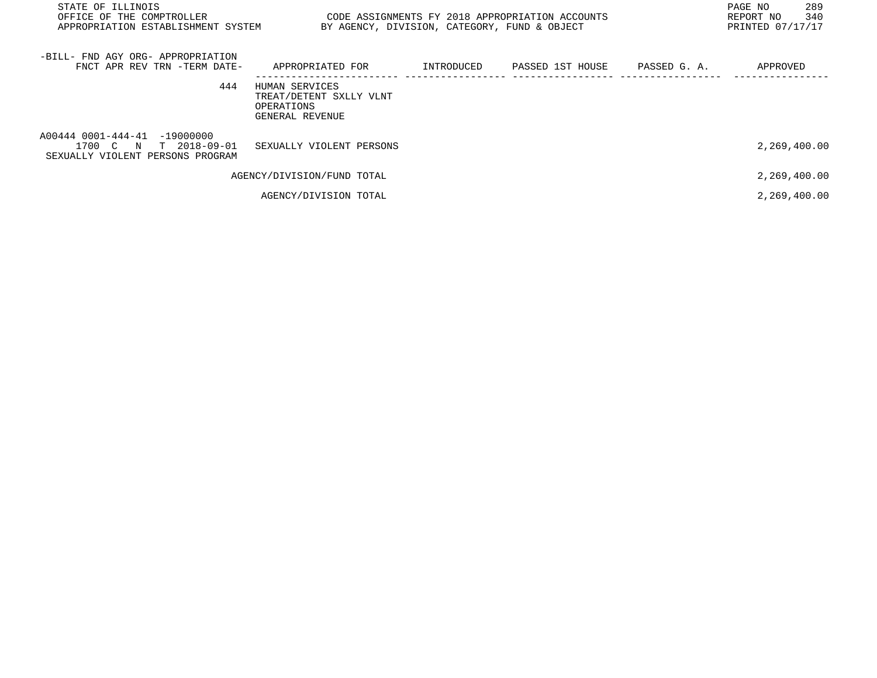| STATE OF ILLINOIS<br>OFFICE OF THE COMPTROLLER<br>APPROPRIATION ESTABLISHMENT SYSTEM      | CODE ASSIGNMENTS FY 2018 APPROPRIATION ACCOUNTS<br>BY AGENCY, DIVISION, CATEGORY, FUND & OBJECT | 289<br>PAGE NO<br>340<br>REPORT NO<br>PRINTED 07/17/17 |                  |              |              |
|-------------------------------------------------------------------------------------------|-------------------------------------------------------------------------------------------------|--------------------------------------------------------|------------------|--------------|--------------|
| -BILL- FND AGY ORG- APPROPRIATION<br>FNCT APR REV TRN -TERM DATE-                         | APPROPRIATED FOR                                                                                | INTRODUCED                                             | PASSED 1ST HOUSE | PASSED G. A. | APPROVED     |
| 444                                                                                       | HUMAN SERVICES<br>TREAT/DETENT SXLLY VLNT<br>OPERATIONS<br>GENERAL REVENUE                      |                                                        |                  |              |              |
| A00444 0001-444-41 -19000000<br>1700 C N T 2018-09-01<br>SEXUALLY VIOLENT PERSONS PROGRAM | SEXUALLY VIOLENT PERSONS                                                                        |                                                        |                  |              | 2,269,400.00 |
|                                                                                           | AGENCY/DIVISION/FUND TOTAL                                                                      |                                                        |                  |              | 2,269,400.00 |
|                                                                                           | AGENCY/DIVISION TOTAL                                                                           |                                                        |                  |              | 2,269,400.00 |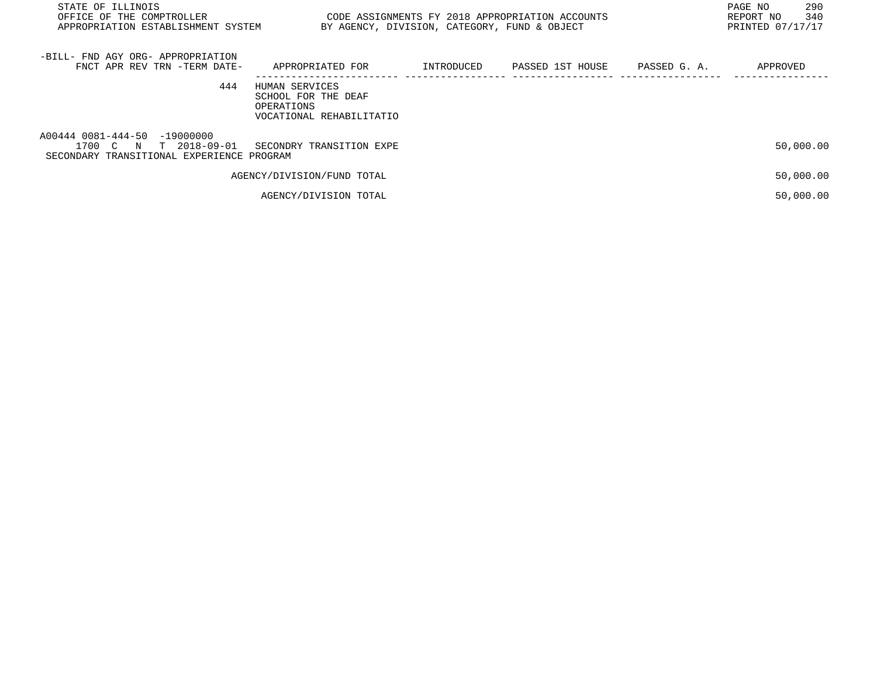| STATE OF ILLINOIS<br>OFFICE OF THE COMPTROLLER<br>APPROPRIATION ESTABLISHMENT SYSTEM                  | CODE ASSIGNMENTS FY 2018 APPROPRIATION ACCOUNTS                                 |            | BY AGENCY, DIVISION, CATEGORY, FUND & OBJECT |              | 290<br>PAGE NO<br>340<br>REPORT NO<br>PRINTED 07/17/17 |
|-------------------------------------------------------------------------------------------------------|---------------------------------------------------------------------------------|------------|----------------------------------------------|--------------|--------------------------------------------------------|
| -BILL- FND AGY ORG- APPROPRIATION<br>FNCT APR REV TRN -TERM DATE-                                     | APPROPRIATED FOR                                                                | INTRODUCED | PASSED 1ST HOUSE                             | PASSED G. A. | APPROVED                                               |
| 444                                                                                                   | HUMAN SERVICES<br>SCHOOL FOR THE DEAF<br>OPERATIONS<br>VOCATIONAL REHABILITATIO |            |                                              |              |                                                        |
| A00444 0081-444-50 -19000000<br>1700 C N<br>T 2018-09-01<br>SECONDARY TRANSITIONAL EXPERIENCE PROGRAM | SECONDRY TRANSITION EXPE                                                        |            |                                              |              | 50,000.00                                              |
|                                                                                                       | AGENCY/DIVISION/FUND TOTAL                                                      |            |                                              |              | 50,000.00                                              |
|                                                                                                       | AGENCY/DIVISION TOTAL                                                           |            |                                              |              | 50,000.00                                              |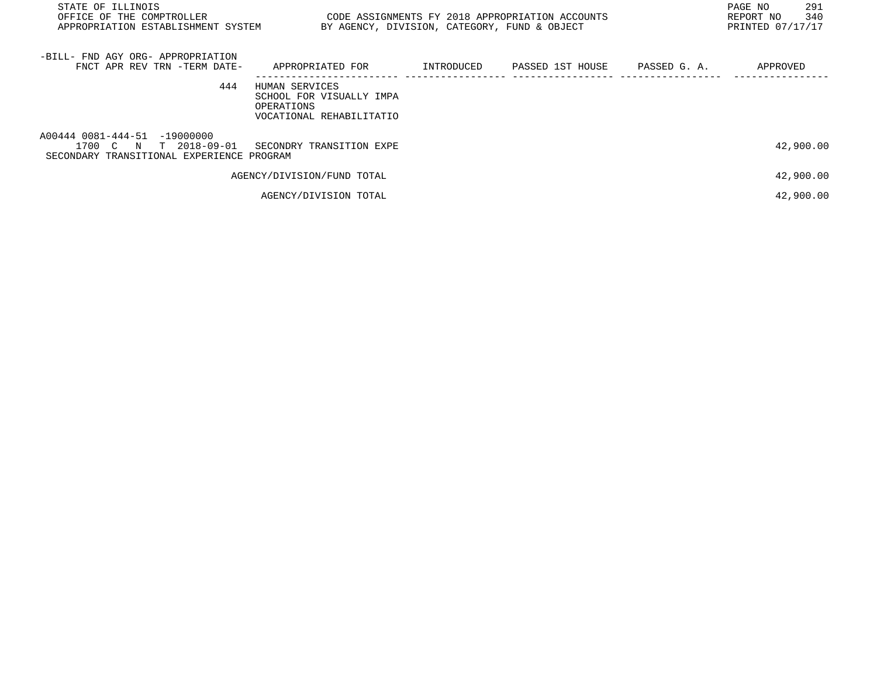| STATE OF ILLINOIS<br>OFFICE OF THE COMPTROLLER<br>APPROPRIATION ESTABLISHMENT SYSTEM                  | BY AGENCY, DIVISION, CATEGORY, FUND & OBJECT                                         |            | CODE ASSIGNMENTS FY 2018 APPROPRIATION ACCOUNTS |              | 291<br>PAGE NO<br>340<br>REPORT NO<br>PRINTED 07/17/17 |
|-------------------------------------------------------------------------------------------------------|--------------------------------------------------------------------------------------|------------|-------------------------------------------------|--------------|--------------------------------------------------------|
| -BILL- FND AGY ORG- APPROPRIATION<br>FNCT APR REV TRN -TERM DATE-                                     | APPROPRIATED FOR                                                                     | INTRODUCED | PASSED 1ST HOUSE                                | PASSED G. A. | APPROVED                                               |
| 444                                                                                                   | HUMAN SERVICES<br>SCHOOL FOR VISUALLY IMPA<br>OPERATIONS<br>VOCATIONAL REHABILITATIO |            |                                                 |              |                                                        |
| A00444 0081-444-51 -19000000<br>T 2018-09-01<br>1700 C N<br>SECONDARY TRANSITIONAL EXPERIENCE PROGRAM | SECONDRY TRANSITION EXPE                                                             |            |                                                 |              | 42,900.00                                              |
|                                                                                                       | AGENCY/DIVISION/FUND TOTAL                                                           |            |                                                 |              | 42,900.00                                              |
|                                                                                                       | AGENCY/DIVISION TOTAL                                                                |            |                                                 |              | 42,900.00                                              |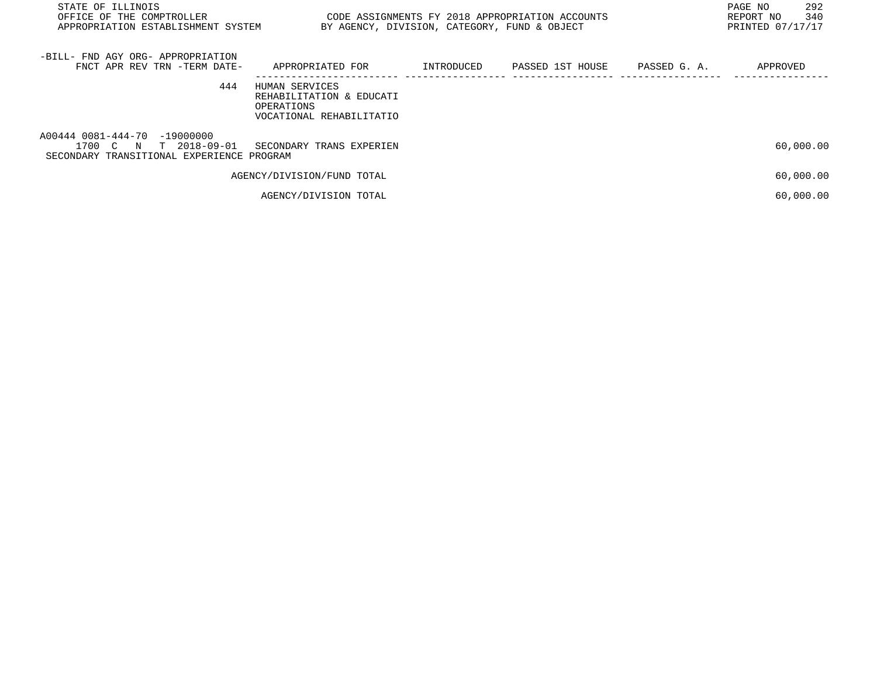| STATE OF ILLINOIS<br>OFFICE OF THE COMPTROLLER<br>APPROPRIATION ESTABLISHMENT SYSTEM                  | CODE ASSIGNMENTS FY 2018 APPROPRIATION ACCOUNTS<br>BY AGENCY, DIVISION, CATEGORY, FUND & OBJECT |            |                  |              | 292<br>PAGE NO<br>340<br>REPORT NO<br>PRINTED 07/17/17 |
|-------------------------------------------------------------------------------------------------------|-------------------------------------------------------------------------------------------------|------------|------------------|--------------|--------------------------------------------------------|
| -BILL- FND AGY ORG- APPROPRIATION<br>FNCT APR REV TRN -TERM DATE-                                     | APPROPRIATED FOR                                                                                | INTRODUCED | PASSED 1ST HOUSE | PASSED G. A. | APPROVED                                               |
| 444                                                                                                   | HUMAN SERVICES<br>REHABILITATION & EDUCATI<br>OPERATIONS<br>VOCATIONAL REHABILITATIO            |            |                  |              |                                                        |
| A00444 0081-444-70 -19000000<br>1700 C N<br>T 2018-09-01<br>SECONDARY TRANSITIONAL EXPERIENCE PROGRAM | SECONDARY TRANS EXPERIEN                                                                        |            |                  |              | 60,000.00                                              |
|                                                                                                       | AGENCY/DIVISION/FUND TOTAL                                                                      |            |                  |              | 60,000.00                                              |
|                                                                                                       | AGENCY/DIVISION TOTAL                                                                           |            |                  |              | 60,000.00                                              |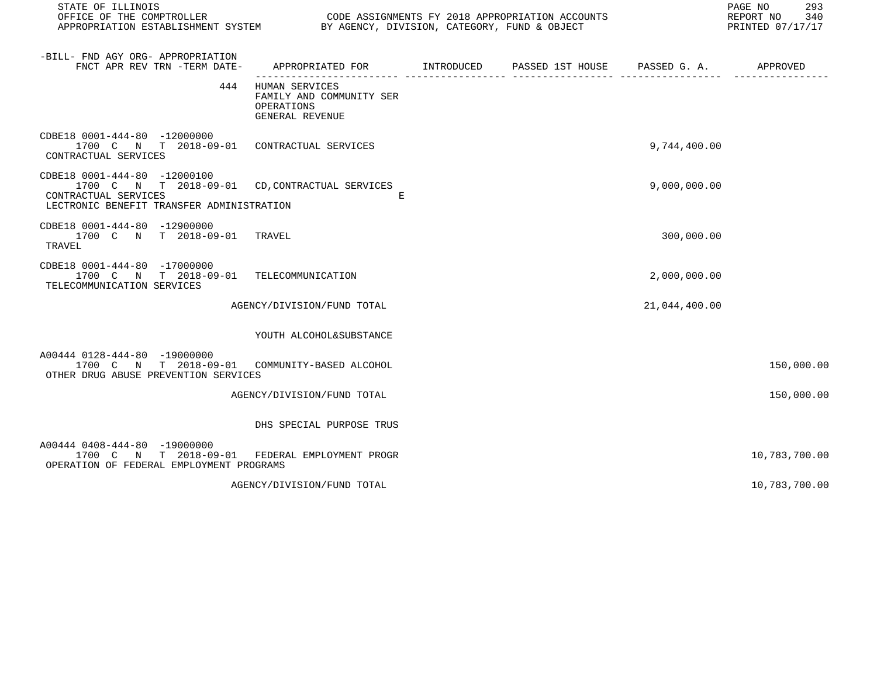| STATE OF ILLINOIS<br>OFFICE OF THE COMPTROLLER CODE ASSIGNMENTS FY 2018 APPROPRIATION ACCOUNTS<br>APPROPRIATION ESTABLISHMENT SYSTEM BY AGENCY, DIVISION, CATEGORY, FUND & OBJECT |                                                                             |  |               | 293<br>PAGE NO<br>REPORT NO 340<br>PRINTED 07/17/17 |
|-----------------------------------------------------------------------------------------------------------------------------------------------------------------------------------|-----------------------------------------------------------------------------|--|---------------|-----------------------------------------------------|
| -BILL- FND AGY ORG- APPROPRIATION<br>FNCT APR REV TRN -TERM DATE-                                                                                                                 | APPROPRIATED FOR TINTRODUCED PASSED 1ST HOUSE PASSED G. A.                  |  |               | APPROVED                                            |
| 444                                                                                                                                                                               | HUMAN SERVICES<br>FAMILY AND COMMUNITY SER<br>OPERATIONS<br>GENERAL REVENUE |  |               |                                                     |
| CDBE18 0001-444-80 -12000000<br>1700 C N T 2018-09-01 CONTRACTUAL SERVICES<br>CONTRACTUAL SERVICES                                                                                |                                                                             |  | 9,744,400.00  |                                                     |
| CDBE18 0001-444-80 -12000100<br>1700 C N T 2018-09-01 CD, CONTRACTUAL SERVICES<br>CONTRACTUAL SERVICES<br>LECTRONIC BENEFIT TRANSFER ADMINISTRATION                               | E                                                                           |  | 9,000,000.00  |                                                     |
| CDBE18 0001-444-80 -12900000<br>1700 C N T 2018-09-01<br>TRAVEL                                                                                                                   | TRAVEL                                                                      |  | 300,000.00    |                                                     |
| CDBE18 0001-444-80 -17000000<br>1700 C N T 2018-09-01 TELECOMMUNICATION<br>TELECOMMUNICATION SERVICES                                                                             |                                                                             |  | 2,000,000.00  |                                                     |
|                                                                                                                                                                                   | AGENCY/DIVISION/FUND TOTAL                                                  |  | 21,044,400.00 |                                                     |
|                                                                                                                                                                                   | YOUTH ALCOHOL&SUBSTANCE                                                     |  |               |                                                     |
| A00444 0128-444-80 -19000000<br>1700 C N T 2018-09-01 COMMUNITY-BASED ALCOHOL<br>OTHER DRUG ABUSE PREVENTION SERVICES                                                             |                                                                             |  |               | 150,000.00                                          |
|                                                                                                                                                                                   | AGENCY/DIVISION/FUND TOTAL                                                  |  |               | 150,000.00                                          |
|                                                                                                                                                                                   | DHS SPECIAL PURPOSE TRUS                                                    |  |               |                                                     |
| A00444 0408-444-80 -19000000<br>N T 2018-09-01<br>1700 C<br>OPERATION OF FEDERAL EMPLOYMENT PROGRAMS                                                                              | FEDERAL EMPLOYMENT PROGR                                                    |  |               | 10,783,700.00                                       |
|                                                                                                                                                                                   | AGENCY/DIVISION/FUND TOTAL                                                  |  |               | 10,783,700.00                                       |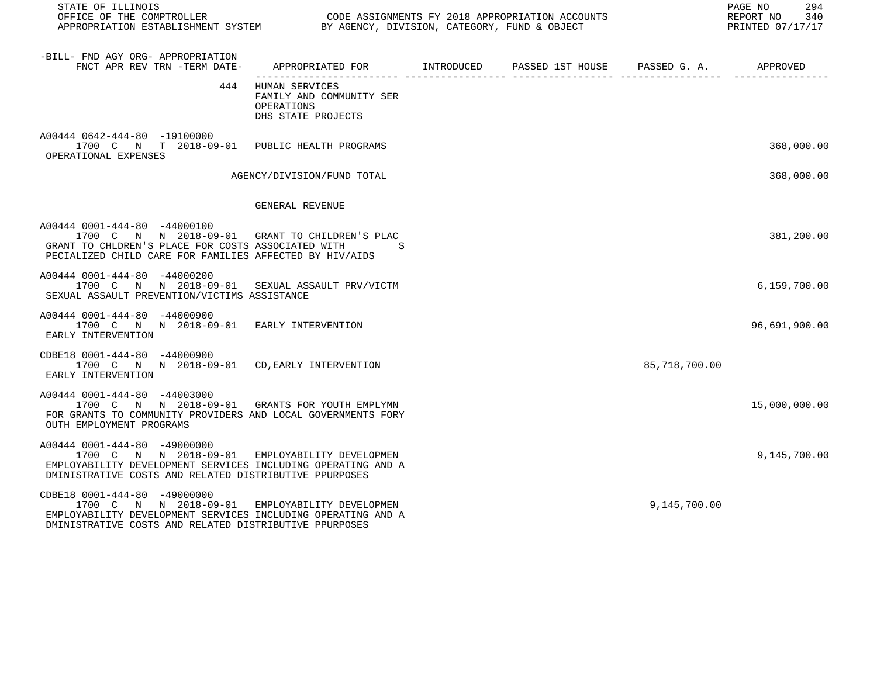| STATE OF ILLINOIS<br>OFFICE OF THE COMPTROLLER<br>OFFICE OF THE COMPTROLLER<br>APPROPRIATION ESTABLISHMENT SYSTEM BY AGENCY, DIVISION, CATEGORY, FUND & OBJECT                                           |                                                                                    |                                        |               | PAGE NO 294<br>REPORT NO 340<br>PRINTED 07/17/17 |
|----------------------------------------------------------------------------------------------------------------------------------------------------------------------------------------------------------|------------------------------------------------------------------------------------|----------------------------------------|---------------|--------------------------------------------------|
| -BILL- FND AGY ORG- APPROPRIATION<br>FNCT APR REV TRN -TERM DATE- APPROPRIATED FOR INTRODUCED                                                                                                            |                                                                                    | PASSED 1ST HOUSE PASSED G. A. APPROVED |               |                                                  |
|                                                                                                                                                                                                          | 444 HUMAN SERVICES<br>FAMILY AND COMMUNITY SER<br>OPERATIONS<br>DHS STATE PROJECTS |                                        |               |                                                  |
| A00444 0642-444-80 -19100000<br>1700 C N T 2018-09-01 PUBLIC HEALTH PROGRAMS<br>OPERATIONAL EXPENSES                                                                                                     |                                                                                    |                                        |               | 368,000.00                                       |
|                                                                                                                                                                                                          | AGENCY/DIVISION/FUND TOTAL                                                         |                                        |               | 368,000.00                                       |
|                                                                                                                                                                                                          | GENERAL REVENUE                                                                    |                                        |               |                                                  |
| A00444 0001-444-80 -44000100<br>1700 C N N 2018-09-01 GRANT TO CHILDREN'S PLAC<br>GRANT TO CHLDREN'S PLACE FOR COSTS ASSOCIATED WITH<br>PECIALIZED CHILD CARE FOR FAMILIES AFFECTED BY HIV/AIDS          |                                                                                    |                                        |               | 381,200.00                                       |
| A00444 0001-444-80 -44000200<br>1700 C N N 2018-09-01 SEXUAL ASSAULT PRV/VICTM<br>SEXUAL ASSAULT PREVENTION/VICTIMS ASSISTANCE                                                                           |                                                                                    |                                        |               | 6,159,700.00                                     |
| A00444 0001-444-80 -44000900<br>1700 C N N 2018-09-01 EARLY INTERVENTION<br>EARLY INTERVENTION                                                                                                           |                                                                                    |                                        |               | 96,691,900.00                                    |
| CDBE18 0001-444-80 -44000900<br>1700 C N N 2018-09-01 CD, EARLY INTERVENTION<br>EARLY INTERVENTION                                                                                                       |                                                                                    |                                        | 85,718,700.00 |                                                  |
| A00444 0001-444-80 -44003000<br>1700 C N N 2018-09-01 GRANTS FOR YOUTH EMPLYMN<br>FOR GRANTS TO COMMUNITY PROVIDERS AND LOCAL GOVERNMENTS FORY<br>OUTH EMPLOYMENT PROGRAMS                               |                                                                                    |                                        |               | 15,000,000.00                                    |
| A00444 0001-444-80 -49000000<br>1700 C N N 2018-09-01 EMPLOYABILITY DEVELOPMEN<br>EMPLOYABILITY DEVELOPMENT SERVICES INCLUDING OPERATING AND A<br>DMINISTRATIVE COSTS AND RELATED DISTRIBUTIVE PPURPOSES |                                                                                    |                                        |               | 9,145,700.00                                     |
| CDBE18 0001-444-80 -49000000<br>1700 C N N 2018-09-01 EMPLOYABILITY DEVELOPMEN<br>EMPLOYABILITY DEVELOPMENT SERVICES INCLUDING OPERATING AND A<br>DMINISTRATIVE COSTS AND RELATED DISTRIBUTIVE PPURPOSES |                                                                                    |                                        | 9,145,700.00  |                                                  |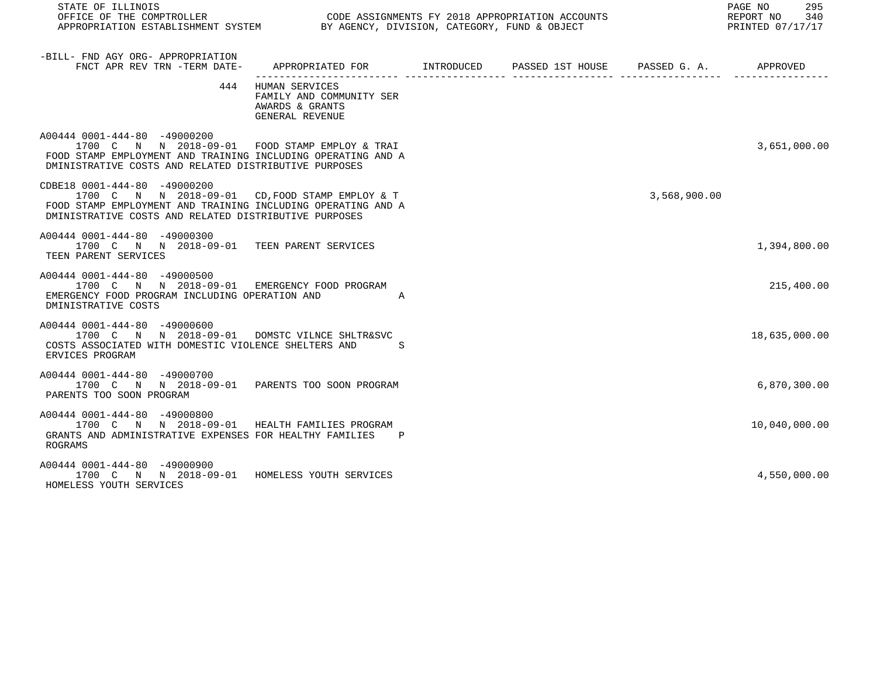| STATE OF ILLINOIS<br>OFFICE OF THE COMPTROLLER CONDE ASSIGNMENTS FY 2018 APPROPRIATION ACCOUNTS<br>APPROPRIATION ESTABLISHMENT SYSTEM BY AGENCY, DIVISION, CATEGORY, FUND & OBJECT                       |                                                                                      | NTS<br>T |              | PAGE NO 295<br>REPORT NO 340<br>PRINTED 07/17/17 |
|----------------------------------------------------------------------------------------------------------------------------------------------------------------------------------------------------------|--------------------------------------------------------------------------------------|----------|--------------|--------------------------------------------------|
| -BILL- FND AGY ORG- APPROPRIATION<br>FNCT APR REV TRN -TERM DATE-                                                                                                                                        | APPROPRIATED FOR TINTRODUCED PASSED 1ST HOUSE PASSED G.A. APPROVED                   |          |              |                                                  |
|                                                                                                                                                                                                          | 444 HUMAN SERVICES<br>FAMILY AND COMMUNITY SER<br>AWARDS & GRANTS<br>GENERAL REVENUE |          |              |                                                  |
| A00444 0001-444-80 -49000200<br>1700 C N N 2018-09-01 FOOD STAMP EMPLOY & TRAI<br>FOOD STAMP EMPLOYMENT AND TRAINING INCLUDING OPERATING AND A<br>DMINISTRATIVE COSTS AND RELATED DISTRIBUTIVE PURPOSES  |                                                                                      |          |              | 3,651,000.00                                     |
| CDBE18 0001-444-80 -49000200<br>1700 C N N 2018-09-01 CD, FOOD STAMP EMPLOY & T<br>FOOD STAMP EMPLOYMENT AND TRAINING INCLUDING OPERATING AND A<br>DMINISTRATIVE COSTS AND RELATED DISTRIBUTIVE PURPOSES |                                                                                      |          | 3,568,900.00 |                                                  |
| A00444 0001-444-80 -49000300<br>1700 C N N 2018-09-01 TEEN PARENT SERVICES<br>TEEN PARENT SERVICES                                                                                                       |                                                                                      |          |              | 1,394,800.00                                     |
| A00444 0001-444-80 -49000500<br>1700 C N N 2018-09-01 EMERGENCY FOOD PROGRAM<br>EMERGENCY FOOD PROGRAM INCLUDING OPERATION AND AND<br>DMINISTRATIVE COSTS                                                |                                                                                      |          |              | 215,400.00                                       |
| A00444 0001-444-80 -49000600<br>1700 C N N 2018-09-01 DOMSTC VILNCE SHLTR&SVC<br>COSTS ASSOCIATED WITH DOMESTIC VIOLENCE SHELTERS AND S<br>ERVICES PROGRAM                                               |                                                                                      |          |              | 18,635,000.00                                    |
| A00444 0001-444-80 -49000700<br>1700 C N N 2018-09-01 PARENTS TOO SOON PROGRAM<br>PARENTS TOO SOON PROGRAM                                                                                               |                                                                                      |          |              | 6,870,300.00                                     |
| A00444 0001-444-80 -49000800<br>1700 C N N 2018-09-01 HEALTH FAMILIES PROGRAM<br>GRANTS AND ADMINISTRATIVE EXPENSES FOR HEALTHY FAMILIES P<br>ROGRAMS                                                    |                                                                                      |          |              | 10,040,000.00                                    |
| A00444 0001-444-80 -49000900<br>1700 C N N 2018-09-01 HOMELESS YOUTH SERVICES<br>HOMELESS YOUTH SERVICES                                                                                                 |                                                                                      |          |              | 4,550,000.00                                     |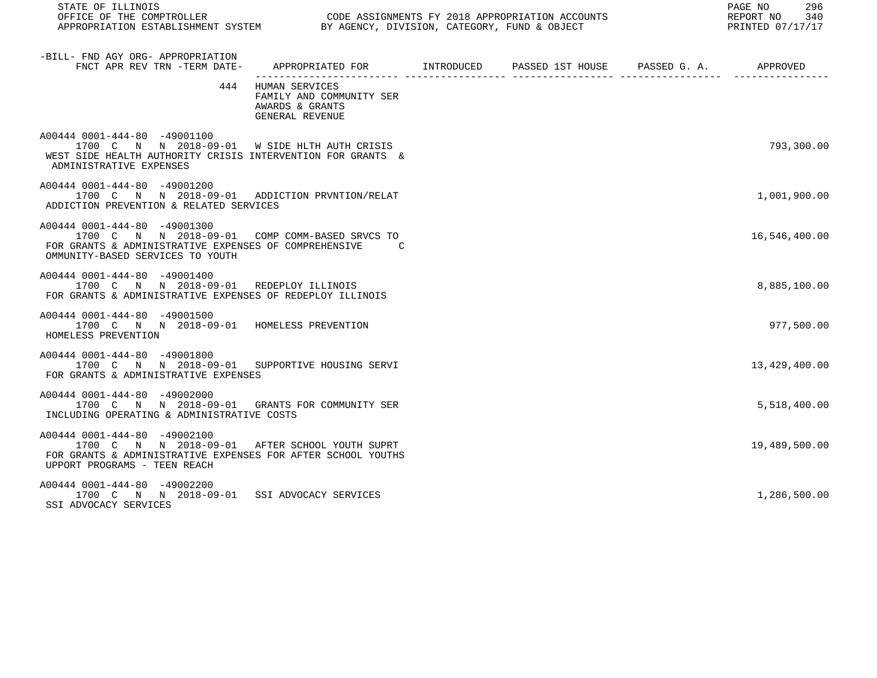| STATE OF ILLINOIS<br>OFFICE OF THE COMPTROLLER CONNER CODE ASSIGNMENTS FY 2018 APPROPRIATION ACCOUNTS CONNERT MODER PORT NO 340<br>APPROPRIATION ESTABLISHMENT SYSTEM BY AGENCY, DIVISION, CATEGORY, FUND & OBJECT AND SOME ARESTANTED 07/17/17 |                                                                                      |  | 296<br>PAGE NO |
|-------------------------------------------------------------------------------------------------------------------------------------------------------------------------------------------------------------------------------------------------|--------------------------------------------------------------------------------------|--|----------------|
| -BILL- FND AGY ORG- APPROPRIATION<br>FNCT APR REV TRN -TERM DATE- APPROPRIATED FOR INTRODUCED PASSED 1ST HOUSE PASSED G. A. APPROVED                                                                                                            |                                                                                      |  |                |
|                                                                                                                                                                                                                                                 | 444 HUMAN SERVICES<br>FAMILY AND COMMUNITY SER<br>AWARDS & GRANTS<br>GENERAL REVENUE |  |                |
| A00444 0001-444-80 -49001100<br>1700 C N N 2018-09-01 W SIDE HLTH AUTH CRISIS<br>WEST SIDE HEALTH AUTHORITY CRISIS INTERVENTION FOR GRANTS &<br>ADMINISTRATIVE EXPENSES                                                                         |                                                                                      |  | 793,300.00     |
| A00444 0001-444-80 -49001200<br>1700 C N N 2018-09-01 ADDICTION PRVNTION/RELAT<br>ADDICTION PREVENTION & RELATED SERVICES                                                                                                                       |                                                                                      |  | 1,001,900.00   |
| A00444 0001-444-80 -49001300<br>1700 C N N 2018-09-01 COMP COMM-BASED SRVCS TO<br>FOR GRANTS & ADMINISTRATIVE EXPENSES OF COMPREHENSIVE C<br>OMMUNITY-BASED SERVICES TO YOUTH                                                                   |                                                                                      |  | 16,546,400.00  |
| A00444 0001-444-80 -49001400<br>1700 C N N 2018-09-01 REDEPLOY ILLINOIS<br>FOR GRANTS & ADMINISTRATIVE EXPENSES OF REDEPLOY ILLINOIS                                                                                                            |                                                                                      |  | 8,885,100.00   |
| A00444 0001-444-80 -49001500<br>1700 C N N 2018-09-01 HOMELESS PREVENTION<br>HOMELESS PREVENTION                                                                                                                                                |                                                                                      |  | 977,500.00     |
| A00444 0001-444-80 -49001800<br>1700 C N N 2018-09-01 SUPPORTIVE HOUSING SERVI<br>FOR GRANTS & ADMINISTRATIVE EXPENSES                                                                                                                          |                                                                                      |  | 13,429,400.00  |
| A00444 0001-444-80 -49002000<br>1700 C N N 2018-09-01 GRANTS FOR COMMUNITY SER<br>INCLUDING OPERATING & ADMINISTRATIVE COSTS                                                                                                                    |                                                                                      |  | 5,518,400.00   |
| A00444 0001-444-80 -49002100<br>1700 C N N 2018-09-01 AFTER SCHOOL YOUTH SUPRT<br>FOR GRANTS & ADMINISTRATIVE EXPENSES FOR AFTER SCHOOL YOUTHS<br>UPPORT PROGRAMS - TEEN REACH                                                                  |                                                                                      |  | 19,489,500.00  |
| A00444 0001-444-80 -49002200<br>1700 C N N 2018-09-01 SSI ADVOCACY SERVICES<br>SSI ADVOCACY SERVICES                                                                                                                                            |                                                                                      |  | 1,286,500.00   |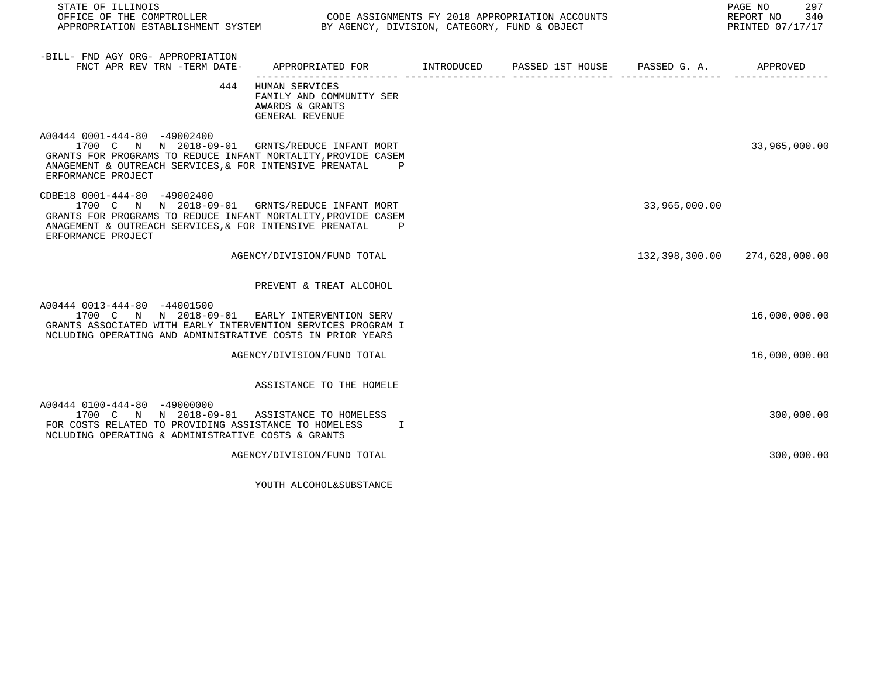| STATE OF ILLINOIS<br>OFFICE OF THE COMPTROLLER<br>APPROPRIATION ESTABLISHMENT SYSTEM BY AGENCY, DIVISION, CATEGORY, FUND & OBJECT                                                                                                  |                                                                                                | CODE ASSIGNMENTS FY 2018 APPROPRIATION ACCOUNTS |               | PAGE NO<br>297<br>REPORT NO 340<br>PRINTED 07/17/17 |
|------------------------------------------------------------------------------------------------------------------------------------------------------------------------------------------------------------------------------------|------------------------------------------------------------------------------------------------|-------------------------------------------------|---------------|-----------------------------------------------------|
| -BILL- FND AGY ORG- APPROPRIATION<br>FNCT APR REV TRN -TERM DATE-                                                                                                                                                                  | APPROPRIATED FOR         INTRODUCED      PASSED 1ST HOUSE      PASSED G. A.           APPROVED |                                                 |               |                                                     |
|                                                                                                                                                                                                                                    | 444 HUMAN SERVICES<br>FAMILY AND COMMUNITY SER<br>AWARDS & GRANTS<br>GENERAL REVENUE           |                                                 |               |                                                     |
| A00444 0001-444-80 -49002400<br>1700 C N N 2018-09-01 GRNTS/REDUCE INFANT MORT<br>GRANTS FOR PROGRAMS TO REDUCE INFANT MORTALITY, PROVIDE CASEM<br>ANAGEMENT & OUTREACH SERVICES, & FOR INTENSIVE PRENATAL<br>ERFORMANCE PROJECT   | $\mathbf{P}$                                                                                   |                                                 |               | 33,965,000.00                                       |
| CDBE18 0001-444-80 -49002400<br>1700 C N N 2018-09-01 GRNTS/REDUCE INFANT MORT<br>GRANTS FOR PROGRAMS TO REDUCE INFANT MORTALITY, PROVIDE CASEM<br>ANAGEMENT & OUTREACH SERVICES, & FOR INTENSIVE PRENATAL P<br>ERFORMANCE PROJECT |                                                                                                |                                                 | 33,965,000.00 |                                                     |
|                                                                                                                                                                                                                                    | AGENCY/DIVISION/FUND TOTAL                                                                     |                                                 |               | 132,398,300.00 274,628,000.00                       |
|                                                                                                                                                                                                                                    | PREVENT & TREAT ALCOHOL                                                                        |                                                 |               |                                                     |
| A00444 0013-444-80 -44001500<br>1700 C N N 2018-09-01 EARLY INTERVENTION SERV<br>GRANTS ASSOCIATED WITH EARLY INTERVENTION SERVICES PROGRAM I<br>NCLUDING OPERATING AND ADMINISTRATIVE COSTS IN PRIOR YEARS                        |                                                                                                |                                                 |               | 16,000,000.00                                       |
|                                                                                                                                                                                                                                    | AGENCY/DIVISION/FUND TOTAL                                                                     |                                                 |               | 16,000,000.00                                       |
|                                                                                                                                                                                                                                    | ASSISTANCE TO THE HOMELE                                                                       |                                                 |               |                                                     |
| A00444 0100-444-80 -49000000<br>1700 C N N 2018-09-01 ASSISTANCE TO HOMELESS<br>FOR COSTS RELATED TO PROVIDING ASSISTANCE TO HOMELESS<br>NCLUDING OPERATING & ADMINISTRATIVE COSTS & GRANTS                                        | $\mathbb{I}$                                                                                   |                                                 |               | 300,000.00                                          |
|                                                                                                                                                                                                                                    | AGENCY/DIVISION/FUND TOTAL                                                                     |                                                 |               | 300,000.00                                          |

YOUTH ALCOHOL&SUBSTANCE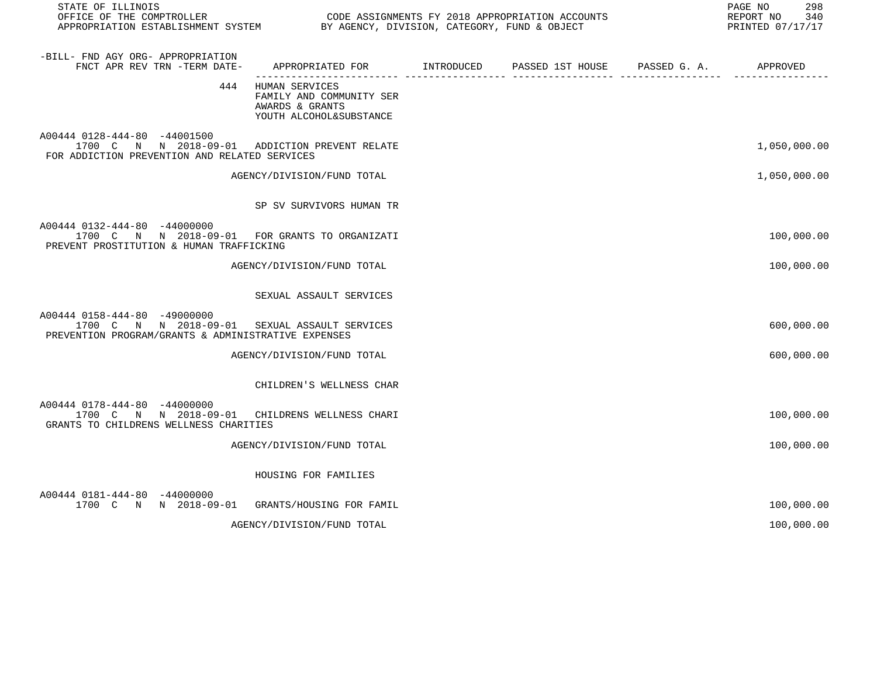| STATE OF ILLINOIS                                                                                                               |                                                                                          |                                                                              | 298<br>PAGE NO<br>REPORT NO<br>340<br>PRINTED 07/17/17 |
|---------------------------------------------------------------------------------------------------------------------------------|------------------------------------------------------------------------------------------|------------------------------------------------------------------------------|--------------------------------------------------------|
| -BILL- FND AGY ORG- APPROPRIATION<br>FNCT APR REV TRN -TERM DATE-                                                               | APPROPRIATED FOR INTRODUCED<br>-------------------- ---                                  | PASSED 1ST HOUSE PASSED G. A. APPROVED<br>. Se se se se se se se se se se se |                                                        |
| 444                                                                                                                             | HUMAN SERVICES<br>FAMILY AND COMMUNITY SER<br>AWARDS & GRANTS<br>YOUTH ALCOHOL&SUBSTANCE |                                                                              |                                                        |
| A00444 0128-444-80 -44001500<br>1700 C N N 2018-09-01 ADDICTION PREVENT RELATE<br>FOR ADDICTION PREVENTION AND RELATED SERVICES |                                                                                          |                                                                              | 1,050,000.00                                           |
|                                                                                                                                 | AGENCY/DIVISION/FUND TOTAL                                                               |                                                                              | 1,050,000.00                                           |
|                                                                                                                                 | SP SV SURVIVORS HUMAN TR                                                                 |                                                                              |                                                        |
| A00444 0132-444-80 -44000000<br>1700 C N N 2018-09-01 FOR GRANTS TO ORGANIZATI<br>PREVENT PROSTITUTION & HUMAN TRAFFICKING      |                                                                                          |                                                                              | 100,000.00                                             |
|                                                                                                                                 | AGENCY/DIVISION/FUND TOTAL                                                               |                                                                              | 100,000.00                                             |
|                                                                                                                                 | SEXUAL ASSAULT SERVICES                                                                  |                                                                              |                                                        |
| A00444 0158-444-80 -49000000<br>1700 C N N 2018-09-01<br>PREVENTION PROGRAM/GRANTS & ADMINISTRATIVE EXPENSES                    | SEXUAL ASSAULT SERVICES                                                                  |                                                                              | 600,000.00                                             |
|                                                                                                                                 | AGENCY/DIVISION/FUND TOTAL                                                               |                                                                              | 600,000.00                                             |
|                                                                                                                                 | CHILDREN'S WELLNESS CHAR                                                                 |                                                                              |                                                        |
| A00444 0178-444-80 -44000000<br>1700 C N N 2018-09-01 CHILDRENS WELLNESS CHARI<br>GRANTS TO CHILDRENS WELLNESS CHARITIES        |                                                                                          |                                                                              | 100,000.00                                             |
|                                                                                                                                 | AGENCY/DIVISION/FUND TOTAL                                                               |                                                                              | 100,000.00                                             |
|                                                                                                                                 | HOUSING FOR FAMILIES                                                                     |                                                                              |                                                        |
| A00444 0181-444-80 -44000000<br>1700 C N N 2018-09-01                                                                           | GRANTS/HOUSING FOR FAMIL                                                                 |                                                                              | 100,000.00                                             |
|                                                                                                                                 | AGENCY/DIVISION/FUND TOTAL                                                               |                                                                              | 100,000.00                                             |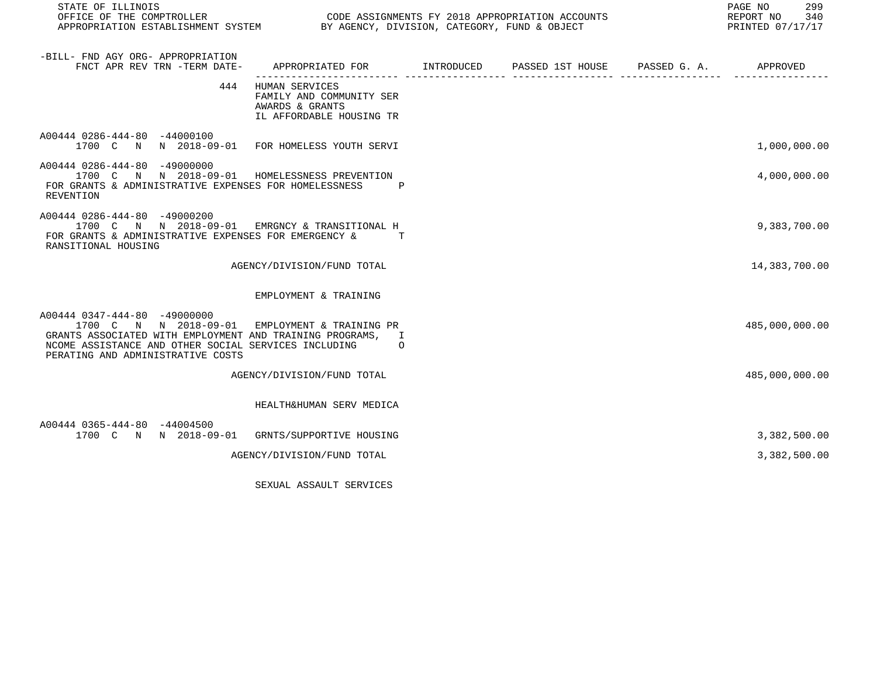|          |                                                                                                                                                                                                                                                                                                                                                                                                                                                                                                                                                                                                                                                                                                                                              |                                                                                                                                    | PAGE NO<br>299<br>REPORT NO<br>340<br>PRINTED 07/17/17                                          |
|----------|----------------------------------------------------------------------------------------------------------------------------------------------------------------------------------------------------------------------------------------------------------------------------------------------------------------------------------------------------------------------------------------------------------------------------------------------------------------------------------------------------------------------------------------------------------------------------------------------------------------------------------------------------------------------------------------------------------------------------------------------|------------------------------------------------------------------------------------------------------------------------------------|-------------------------------------------------------------------------------------------------|
|          |                                                                                                                                                                                                                                                                                                                                                                                                                                                                                                                                                                                                                                                                                                                                              |                                                                                                                                    |                                                                                                 |
|          |                                                                                                                                                                                                                                                                                                                                                                                                                                                                                                                                                                                                                                                                                                                                              |                                                                                                                                    |                                                                                                 |
|          |                                                                                                                                                                                                                                                                                                                                                                                                                                                                                                                                                                                                                                                                                                                                              |                                                                                                                                    | 1,000,000.00                                                                                    |
| <b>P</b> |                                                                                                                                                                                                                                                                                                                                                                                                                                                                                                                                                                                                                                                                                                                                              |                                                                                                                                    | 4,000,000.00                                                                                    |
| T        |                                                                                                                                                                                                                                                                                                                                                                                                                                                                                                                                                                                                                                                                                                                                              |                                                                                                                                    | 9,383,700.00                                                                                    |
|          |                                                                                                                                                                                                                                                                                                                                                                                                                                                                                                                                                                                                                                                                                                                                              |                                                                                                                                    | 14,383,700.00                                                                                   |
|          |                                                                                                                                                                                                                                                                                                                                                                                                                                                                                                                                                                                                                                                                                                                                              |                                                                                                                                    |                                                                                                 |
| $\Omega$ |                                                                                                                                                                                                                                                                                                                                                                                                                                                                                                                                                                                                                                                                                                                                              |                                                                                                                                    | 485,000,000.00                                                                                  |
|          |                                                                                                                                                                                                                                                                                                                                                                                                                                                                                                                                                                                                                                                                                                                                              |                                                                                                                                    | 485,000,000.00                                                                                  |
|          |                                                                                                                                                                                                                                                                                                                                                                                                                                                                                                                                                                                                                                                                                                                                              |                                                                                                                                    |                                                                                                 |
|          |                                                                                                                                                                                                                                                                                                                                                                                                                                                                                                                                                                                                                                                                                                                                              |                                                                                                                                    | 3,382,500.00                                                                                    |
|          |                                                                                                                                                                                                                                                                                                                                                                                                                                                                                                                                                                                                                                                                                                                                              |                                                                                                                                    | 3,382,500.00                                                                                    |
|          | 444 HUMAN SERVICES<br>FAMILY AND COMMUNITY SER<br>AWARDS & GRANTS<br>IL AFFORDABLE HOUSING TR<br>1700 C N N 2018-09-01 FOR HOMELESS YOUTH SERVI<br>1700 C N N 2018-09-01 HOMELESSNESS PREVENTION<br>FOR GRANTS & ADMINISTRATIVE EXPENSES FOR HOMELESSNESS<br>1700 C N N 2018-09-01 EMRGNCY & TRANSITIONAL H<br>FOR GRANTS & ADMINISTRATIVE EXPENSES FOR EMERGENCY &<br>AGENCY/DIVISION/FUND TOTAL<br>EMPLOYMENT & TRAINING<br>1700 C N N 2018-09-01 EMPLOYMENT & TRAINING PR<br>GRANTS ASSOCIATED WITH EMPLOYMENT AND TRAINING PROGRAMS, I<br>NCOME ASSISTANCE AND OTHER SOCIAL SERVICES INCLUDING<br>AGENCY/DIVISION/FUND TOTAL<br>HEALTH&HUMAN SERV MEDICA<br>1700 C N N 2018-09-01 GRNTS/SUPPORTIVE HOUSING<br>AGENCY/DIVISION/FUND TOTAL | CODE ASSIGNMENTS FY 2018 APPROPRIATION ACCOUNTS<br>APPROPRIATION ESTABLISHMENT SYSTEM BY AGENCY, DIVISION, CATEGORY, FUND & OBJECT | FNCT APR REV TRN -TERM DATE- APPROPRIATED FOR METRODUCED PASSED 1ST HOUSE PASSED G. A. APPROVED |

SEXUAL ASSAULT SERVICES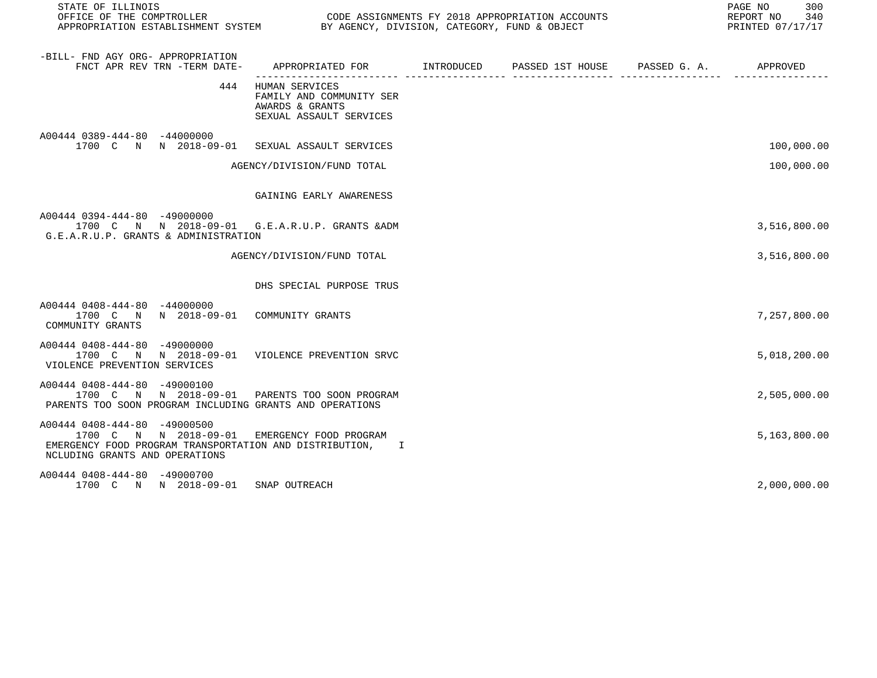| STATE OF ILLINOIS                                                                                                                                    |                                                                                               |  | PAGE NO<br>300<br>REPORT NO 340<br>PRINTED 07/17/17 |
|------------------------------------------------------------------------------------------------------------------------------------------------------|-----------------------------------------------------------------------------------------------|--|-----------------------------------------------------|
| -BILL- FND AGY ORG- APPROPRIATION<br>FNCT APR REV TRN -TERM DATE-                                                                                    | APPROPRIATED FOR         INTRODUCED      PASSED 1ST HOUSE      PASSED G. A.          APPROVED |  |                                                     |
| 444                                                                                                                                                  | HUMAN SERVICES<br>FAMILY AND COMMUNITY SER<br>AWARDS & GRANTS<br>SEXUAL ASSAULT SERVICES      |  |                                                     |
| A00444 0389-444-80 -44000000<br>1700 C N N 2018-09-01 SEXUAL ASSAULT SERVICES                                                                        |                                                                                               |  | 100,000.00                                          |
|                                                                                                                                                      | AGENCY/DIVISION/FUND TOTAL                                                                    |  | 100,000.00                                          |
|                                                                                                                                                      | GAINING EARLY AWARENESS                                                                       |  |                                                     |
| A00444 0394-444-80 -49000000<br>1700 C N N 2018-09-01 G.E.A.R.U.P. GRANTS & ADM<br>G.E.A.R.U.P. GRANTS & ADMINISTRATION                              |                                                                                               |  | 3,516,800.00                                        |
|                                                                                                                                                      | AGENCY/DIVISION/FUND TOTAL                                                                    |  | 3,516,800.00                                        |
|                                                                                                                                                      | DHS SPECIAL PURPOSE TRUS                                                                      |  |                                                     |
| A00444 0408-444-80 -44000000<br>1700 C N N 2018-09-01 COMMUNITY GRANTS<br>COMMUNITY GRANTS                                                           |                                                                                               |  | 7,257,800.00                                        |
| A00444 0408-444-80 -49000000<br>1700 C N N 2018-09-01 VIOLENCE PREVENTION SRVC<br>VIOLENCE PREVENTION SERVICES                                       |                                                                                               |  | 5,018,200.00                                        |
| A00444 0408-444-80 -49000100<br>1700 C N N 2018-09-01 PARENTS TOO SOON PROGRAM<br>PARENTS TOO SOON PROGRAM INCLUDING GRANTS AND OPERATIONS           |                                                                                               |  | 2,505,000.00                                        |
| A00444 0408-444-80 -49000500<br>1700 C N N 2018-09-01<br>EMERGENCY FOOD PROGRAM TRANSPORTATION AND DISTRIBUTION, I<br>NCLUDING GRANTS AND OPERATIONS | EMERGENCY FOOD PROGRAM                                                                        |  | 5,163,800.00                                        |
| A00444 0408-444-80 -49000700<br>1700 C N N 2018-09-01                                                                                                | SNAP OUTREACH                                                                                 |  | 2,000,000.00                                        |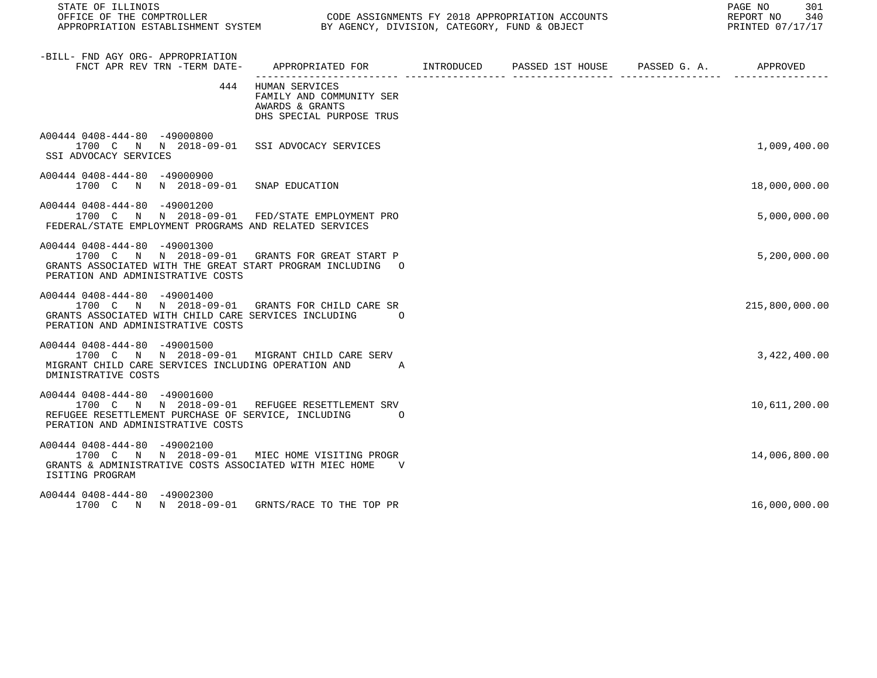| STATE OF ILLINOIS<br>OFFICE OF THE COMPTROLLER COLOR OF ASSIGNMENTS FY 2018 APPROPRIATION ACCOUNTS<br>APPROPRIATION ESTABLISHMENT SYSTEM BY AGENCY, DIVISION, CATEGORY, FUND & OBJECT |                                                                                               |  | PAGE NO 301<br>REPORT NO 340<br>PRINTED 07/17/17 |
|---------------------------------------------------------------------------------------------------------------------------------------------------------------------------------------|-----------------------------------------------------------------------------------------------|--|--------------------------------------------------|
| -BILL- FND AGY ORG- APPROPRIATION<br>FNCT APR REV TRN -TERM DATE- APPROPRIATED FOR MITRODUCED PASSED 1ST HOUSE PASSED G. A. APPROVED PASSE PASSE A                                    |                                                                                               |  |                                                  |
|                                                                                                                                                                                       | 444 HUMAN SERVICES<br>FAMILY AND COMMUNITY SER<br>AWARDS & GRANTS<br>DHS SPECIAL PURPOSE TRUS |  |                                                  |
| A00444 0408-444-80 -49000800<br>1700 C N N 2018-09-01 SSI ADVOCACY SERVICES<br>SSI ADVOCACY SERVICES                                                                                  |                                                                                               |  | 1,009,400.00                                     |
| A00444 0408-444-80 -49000900<br>1700 C N N 2018-09-01 SNAP EDUCATION                                                                                                                  |                                                                                               |  | 18,000,000.00                                    |
| A00444 0408-444-80 -49001200<br>1700 C N N 2018-09-01 FED/STATE EMPLOYMENT PRO<br>FEDERAL/STATE EMPLOYMENT PROGRAMS AND RELATED SERVICES                                              |                                                                                               |  | 5,000,000.00                                     |
| A00444 0408-444-80 -49001300<br>1700 C N N 2018-09-01 GRANTS FOR GREAT START P<br>GRANTS ASSOCIATED WITH THE GREAT START PROGRAM INCLUDING O<br>PERATION AND ADMINISTRATIVE COSTS     |                                                                                               |  | 5,200,000.00                                     |
| A00444 0408-444-80 -49001400<br>1700 C N N 2018-09-01 GRANTS FOR CHILD CARE SR<br>GRANTS ASSOCIATED WITH CHILD CARE SERVICES INCLUDING<br>PERATION AND ADMINISTRATIVE COSTS           | $\overline{O}$                                                                                |  | 215,800,000.00                                   |
| A00444 0408-444-80 -49001500<br>1700 C N N 2018-09-01 MIGRANT CHILD CARE SERV<br>MIGRANT CHILD CARE SERVICES INCLUDING OPERATION AND A<br>DMINISTRATIVE COSTS                         |                                                                                               |  | 3,422,400.00                                     |
| A00444 0408-444-80 -49001600<br>1700 C N N 2018-09-01 REFUGEE RESETTLEMENT SRV<br>REFUGEE RESETTLEMENT PURCHASE OF SERVICE, INCLUDING<br>PERATION AND ADMINISTRATIVE COSTS            | $\overline{O}$                                                                                |  | 10,611,200.00                                    |
| A00444 0408-444-80 -49002100<br>1700 C N N 2018-09-01 MIEC HOME VISITING PROGR<br>GRANTS & ADMINISTRATIVE COSTS ASSOCIATED WITH MIEC HOME<br>ISITING PROGRAM                          | $\mathbf{V}$                                                                                  |  | 14,006,800.00                                    |
| A00444 0408-444-80 -49002300<br>1700 C N N 2018-09-01 GRNTS/RACE TO THE TOP PR                                                                                                        |                                                                                               |  | 16,000,000.00                                    |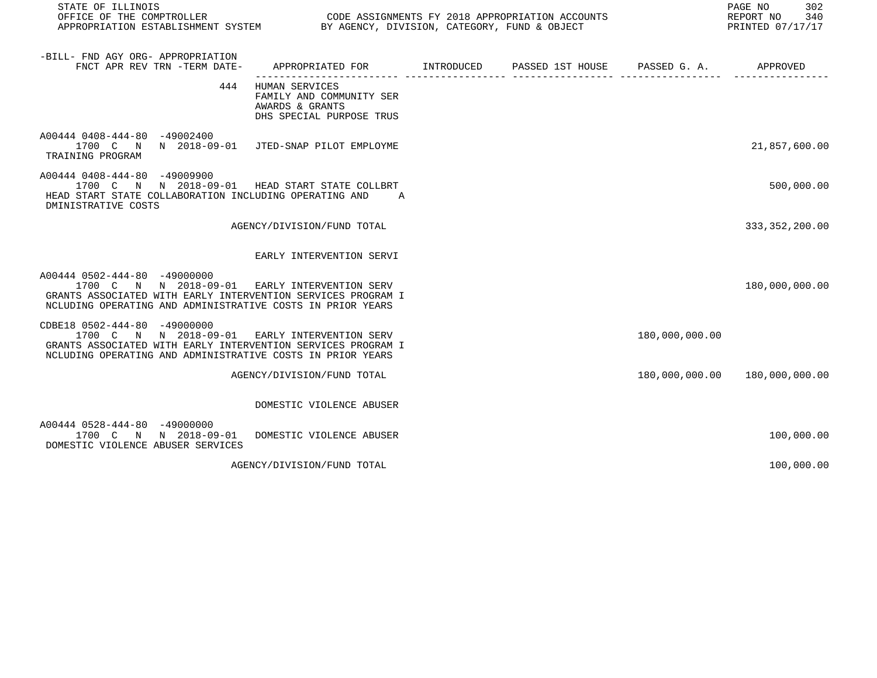| STATE OF ILLINOIS<br>OFFICE OF THE COMPTROLLER<br>APPROPRIATION ESTABLISHMENT SYSTEM BY AGENCY, DIVISION, CATEGORY, FUND & OBJECT                                                                           |                                                                                             | CODE ASSIGNMENTS FY 2018 APPROPRIATION ACCOUNTS |                | 302<br>PAGE NO<br>REPORT NO<br>340<br>PRINTED 07/17/17 |
|-------------------------------------------------------------------------------------------------------------------------------------------------------------------------------------------------------------|---------------------------------------------------------------------------------------------|-------------------------------------------------|----------------|--------------------------------------------------------|
| -BILL- FND AGY ORG- APPROPRIATION<br>FNCT APR REV TRN -TERM DATE-                                                                                                                                           | APPROPRIATED FOR         INTRODUCED      PASSED 1ST HOUSE     PASSED G. A.         APPROVED |                                                 |                |                                                        |
| 444                                                                                                                                                                                                         | HUMAN SERVICES<br>FAMILY AND COMMUNITY SER<br>AWARDS & GRANTS<br>DHS SPECIAL PURPOSE TRUS   |                                                 |                |                                                        |
| A00444 0408-444-80 -49002400<br>1700 C N N 2018-09-01 JTED-SNAP PILOT EMPLOYME<br>TRAINING PROGRAM                                                                                                          |                                                                                             |                                                 |                | 21,857,600.00                                          |
| A00444 0408-444-80 -49009900<br>1700 C N N 2018-09-01 HEAD START STATE COLLBRT<br>HEAD START STATE COLLABORATION INCLUDING OPERATING AND<br>DMINISTRATIVE COSTS                                             | A                                                                                           |                                                 |                | 500,000.00                                             |
|                                                                                                                                                                                                             | AGENCY/DIVISION/FUND TOTAL                                                                  |                                                 |                | 333, 352, 200.00                                       |
|                                                                                                                                                                                                             | EARLY INTERVENTION SERVI                                                                    |                                                 |                |                                                        |
| A00444 0502-444-80 -49000000<br>1700 C N N 2018-09-01 EARLY INTERVENTION SERV<br>GRANTS ASSOCIATED WITH EARLY INTERVENTION SERVICES PROGRAM I<br>NCLUDING OPERATING AND ADMINISTRATIVE COSTS IN PRIOR YEARS |                                                                                             |                                                 |                | 180,000,000.00                                         |
| CDBE18 0502-444-80 -49000000<br>1700 C N N 2018-09-01<br>GRANTS ASSOCIATED WITH EARLY INTERVENTION SERVICES PROGRAM I<br>NCLUDING OPERATING AND ADMINISTRATIVE COSTS IN PRIOR YEARS                         | EARLY INTERVENTION SERV                                                                     |                                                 | 180,000,000.00 |                                                        |
|                                                                                                                                                                                                             | AGENCY/DIVISION/FUND TOTAL                                                                  |                                                 |                | 180,000,000.00 180,000,000.00                          |
|                                                                                                                                                                                                             | DOMESTIC VIOLENCE ABUSER                                                                    |                                                 |                |                                                        |
| A00444 0528-444-80 -49000000<br>1700 C N N 2018-09-01<br>DOMESTIC VIOLENCE ABUSER SERVICES                                                                                                                  | DOMESTIC VIOLENCE ABUSER                                                                    |                                                 |                | 100,000.00                                             |
|                                                                                                                                                                                                             | AGENCY/DIVISION/FUND TOTAL                                                                  |                                                 |                | 100,000.00                                             |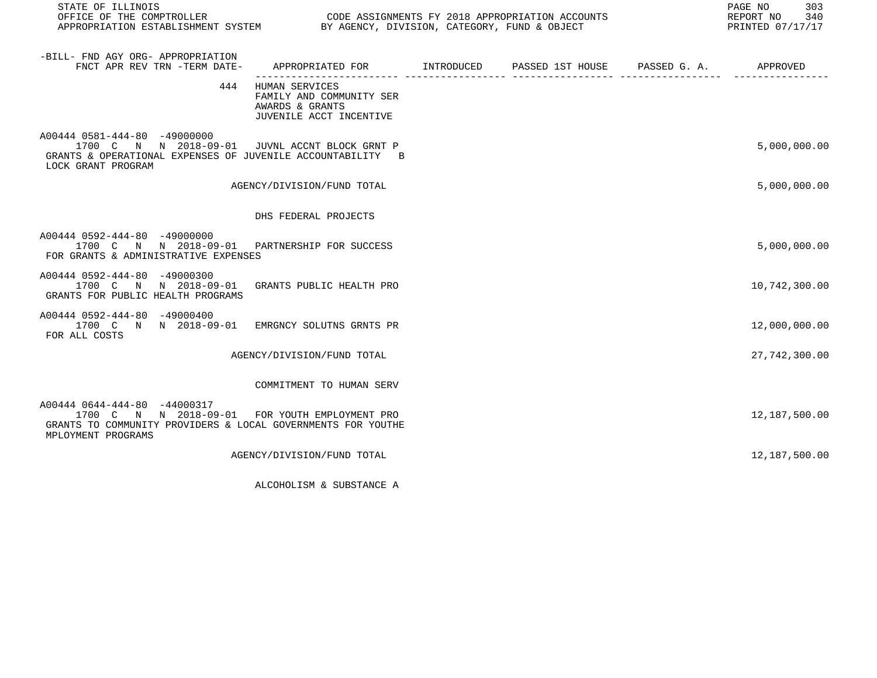| STATE OF ILLINOIS                                                                                                                                                    |                                                                                              |  | PAGE NO<br>303<br>REPORT NO<br>340<br>PRINTED 07/17/17 |
|----------------------------------------------------------------------------------------------------------------------------------------------------------------------|----------------------------------------------------------------------------------------------|--|--------------------------------------------------------|
| -BILL- FND AGY ORG- APPROPRIATION<br>FNCT APR REV TRN -TERM DATE-                                                                                                    | APPROPRIATED FOR        INTRODUCED      PASSED 1ST HOUSE     PASSED G. A.         APPROVED   |  |                                                        |
|                                                                                                                                                                      | 444 HUMAN SERVICES<br>FAMILY AND COMMUNITY SER<br>AWARDS & GRANTS<br>JUVENILE ACCT INCENTIVE |  |                                                        |
| A00444 0581-444-80 -49000000<br>1700 C N N 2018-09-01 JUVNL ACCNT BLOCK GRNT P<br>GRANTS & OPERATIONAL EXPENSES OF JUVENILE ACCOUNTABILITY B<br>LOCK GRANT PROGRAM   |                                                                                              |  | 5,000,000.00                                           |
|                                                                                                                                                                      | AGENCY/DIVISION/FUND TOTAL                                                                   |  | 5,000,000.00                                           |
|                                                                                                                                                                      | DHS FEDERAL PROJECTS                                                                         |  |                                                        |
| A00444 0592-444-80 -49000000<br>1700 C N N 2018-09-01 PARTNERSHIP FOR SUCCESS<br>FOR GRANTS & ADMINISTRATIVE EXPENSES                                                |                                                                                              |  | 5,000,000.00                                           |
| A00444 0592-444-80 -49000300<br>1700 C N N 2018-09-01 GRANTS PUBLIC HEALTH PRO<br>GRANTS FOR PUBLIC HEALTH PROGRAMS                                                  |                                                                                              |  | 10,742,300.00                                          |
| A00444 0592-444-80 -49000400<br>1700 C N N 2018-09-01 EMRGNCY SOLUTNS GRNTS PR<br>FOR ALL COSTS                                                                      |                                                                                              |  | 12,000,000.00                                          |
|                                                                                                                                                                      | AGENCY/DIVISION/FUND TOTAL                                                                   |  | 27,742,300.00                                          |
|                                                                                                                                                                      | COMMITMENT TO HUMAN SERV                                                                     |  |                                                        |
| A00444 0644-444-80 -44000317<br>1700 C N N 2018-09-01 FOR YOUTH EMPLOYMENT PRO<br>GRANTS TO COMMUNITY PROVIDERS & LOCAL GOVERNMENTS FOR YOUTHE<br>MPLOYMENT PROGRAMS |                                                                                              |  | 12,187,500.00                                          |
|                                                                                                                                                                      | AGENCY/DIVISION/FUND TOTAL                                                                   |  | 12,187,500.00                                          |

ALCOHOLISM & SUBSTANCE A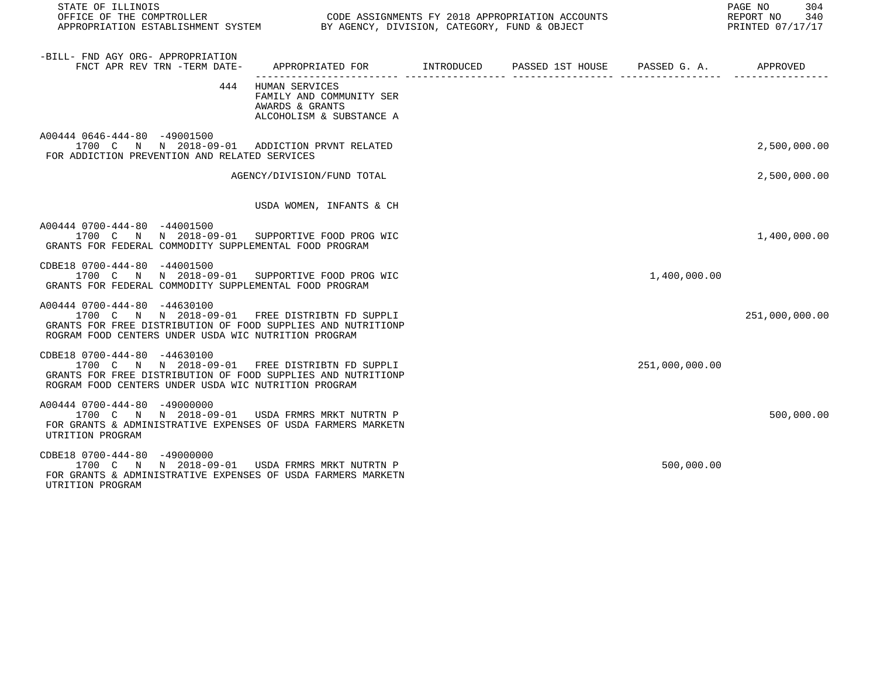| STATE OF ILLINOIS<br>OFFICE OF THE COMPTROLLER CONGRESS CODE ASSIGNMENTS FY 2018 APPROPRIATION ACCOUNTS<br>APPROPRIATION ESTABLISHMENT SYSTEM BY AGENCY, DIVISION, CATEGORY, FUND & OBJECT             |                                                                                               |  |                | PAGE NO 304<br>REPORT NO 340<br>PRINTED 07/17/17 |
|--------------------------------------------------------------------------------------------------------------------------------------------------------------------------------------------------------|-----------------------------------------------------------------------------------------------|--|----------------|--------------------------------------------------|
| -BILL- FND AGY ORG- APPROPRIATION<br>FNCT APR REV TRN -TERM DATE- APPROPRIATED FOR INTRODUCED PASSED 1ST HOUSE PASSED G. A. APPROVED                                                                   |                                                                                               |  |                |                                                  |
|                                                                                                                                                                                                        | 444 HUMAN SERVICES<br>FAMILY AND COMMUNITY SER<br>AWARDS & GRANTS<br>ALCOHOLISM & SUBSTANCE A |  |                |                                                  |
| A00444 0646-444-80 -49001500<br>1700 C N N 2018-09-01 ADDICTION PRVNT RELATED<br>FOR ADDICTION PREVENTION AND RELATED SERVICES                                                                         |                                                                                               |  |                | 2,500,000.00                                     |
|                                                                                                                                                                                                        | AGENCY/DIVISION/FUND TOTAL                                                                    |  |                | 2,500,000.00                                     |
|                                                                                                                                                                                                        | USDA WOMEN, INFANTS & CH                                                                      |  |                |                                                  |
| A00444 0700-444-80 -44001500<br>1700 C N N 2018-09-01 SUPPORTIVE FOOD PROG WIC<br>GRANTS FOR FEDERAL COMMODITY SUPPLEMENTAL FOOD PROGRAM                                                               |                                                                                               |  |                | 1,400,000.00                                     |
| CDBE18 0700-444-80 -44001500<br>1700 C N N 2018-09-01 SUPPORTIVE FOOD PROG WIC<br>GRANTS FOR FEDERAL COMMODITY SUPPLEMENTAL FOOD PROGRAM                                                               |                                                                                               |  | 1,400,000.00   |                                                  |
| A00444 0700-444-80 -44630100<br>1700 C N N 2018-09-01 FREE DISTRIBTN FD SUPPLI<br>GRANTS FOR FREE DISTRIBUTION OF FOOD SUPPLIES AND NUTRITIONP<br>ROGRAM FOOD CENTERS UNDER USDA WIC NUTRITION PROGRAM |                                                                                               |  |                | 251,000,000.00                                   |
| CDBE18 0700-444-80 -44630100<br>1700 C N N 2018-09-01 FREE DISTRIBTN FD SUPPLI<br>GRANTS FOR FREE DISTRIBUTION OF FOOD SUPPLIES AND NUTRITIONP<br>ROGRAM FOOD CENTERS UNDER USDA WIC NUTRITION PROGRAM |                                                                                               |  | 251,000,000.00 |                                                  |
| A00444 0700-444-80 -49000000<br>1700 C N N 2018-09-01 USDA FRMRS MRKT NUTRTN P<br>FOR GRANTS & ADMINISTRATIVE EXPENSES OF USDA FARMERS MARKETN<br>UTRITION PROGRAM                                     |                                                                                               |  |                | 500,000.00                                       |
| CDBE18 0700-444-80 -49000000<br>1700 C N N 2018-09-01 USDA FRMRS MRKT NUTRTN P<br>FOR GRANTS & ADMINISTRATIVE EXPENSES OF USDA FARMERS MARKETN<br>UTRITION PROGRAM                                     |                                                                                               |  | 500,000.00     |                                                  |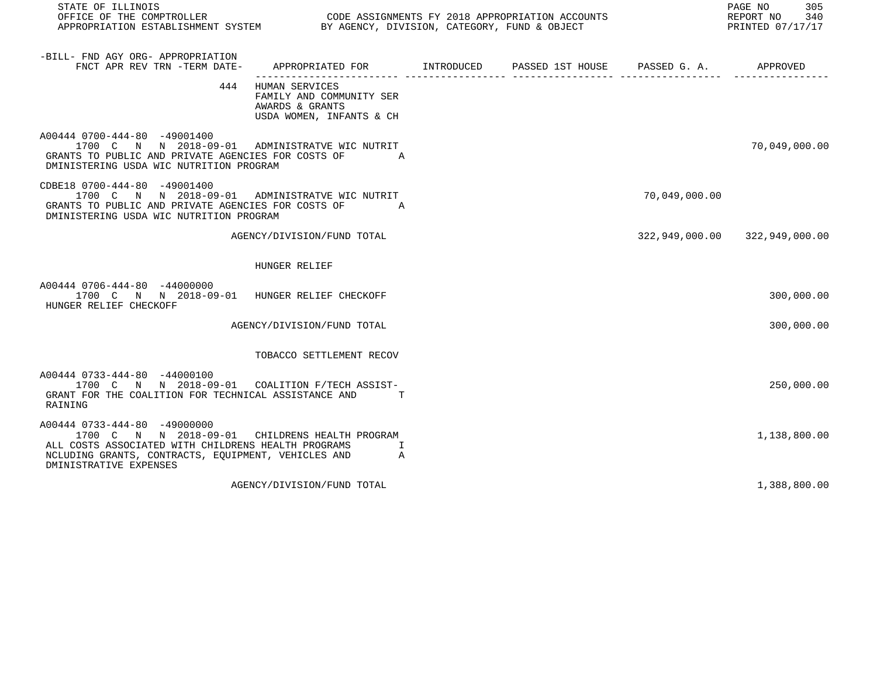| STATE OF ILLINOIS<br>OFFICE OF THE COMPTROLLER<br>OUDE ASSIGNMENTS FT 2016 APPROPRIATION ACCORDINATION ESTABLISHMENT SYSTEM BY AGENCY, DIVISION, CATEGORY, FUND & OBJECT                                               |                                                                                               | CODE ASSIGNMENTS FY 2018 APPROPRIATION ACCOUNTS |               | 305<br>PAGE NO<br>REPORT NO 340<br>PRINTED 07/17/17 |
|------------------------------------------------------------------------------------------------------------------------------------------------------------------------------------------------------------------------|-----------------------------------------------------------------------------------------------|-------------------------------------------------|---------------|-----------------------------------------------------|
| -BILL- FND AGY ORG- APPROPRIATION<br>FNCT APR REV TRN -TERM DATE-                                                                                                                                                      | APPROPRIATED FOR        INTRODUCED      PASSED 1ST HOUSE     PASSED G. A.         APPROVED    |                                                 |               |                                                     |
|                                                                                                                                                                                                                        | 444 HUMAN SERVICES<br>FAMILY AND COMMUNITY SER<br>AWARDS & GRANTS<br>USDA WOMEN, INFANTS & CH |                                                 |               |                                                     |
| A00444 0700-444-80 -49001400<br>1700 C N N 2018-09-01 ADMINISTRATVE WIC NUTRIT<br>GRANTS TO PUBLIC AND PRIVATE AGENCIES FOR COSTS OF<br>DMINISTERING USDA WIC NUTRITION PROGRAM                                        | A                                                                                             |                                                 |               | 70,049,000.00                                       |
| CDBE18 0700-444-80 -49001400<br>1700 C N N 2018-09-01 ADMINISTRATVE WIC NUTRIT<br>GRANTS TO PUBLIC AND PRIVATE AGENCIES FOR COSTS OF<br>DMINISTERING USDA WIC NUTRITION PROGRAM                                        | $\overline{A}$                                                                                |                                                 | 70,049,000.00 |                                                     |
|                                                                                                                                                                                                                        | AGENCY/DIVISION/FUND TOTAL                                                                    |                                                 |               | 322,949,000.00 322,949,000.00                       |
|                                                                                                                                                                                                                        | HUNGER RELIEF                                                                                 |                                                 |               |                                                     |
| A00444 0706-444-80 -44000000<br>1700 C N N 2018-09-01 HUNGER RELIEF CHECKOFF<br>HUNGER RELIEF CHECKOFF                                                                                                                 |                                                                                               |                                                 |               | 300,000.00                                          |
|                                                                                                                                                                                                                        | AGENCY/DIVISION/FUND TOTAL                                                                    |                                                 |               | 300,000.00                                          |
|                                                                                                                                                                                                                        | TOBACCO SETTLEMENT RECOV                                                                      |                                                 |               |                                                     |
| A00444 0733-444-80 -44000100<br>1700 C N N 2018-09-01 COALITION F/TECH ASSIST-<br>GRANT FOR THE COALITION FOR TECHNICAL ASSISTANCE AND<br>RAINING                                                                      |                                                                                               |                                                 |               | 250,000.00                                          |
| A00444 0733-444-80 -49000000<br>1700 C N N 2018-09-01 CHILDRENS HEALTH PROGRAM<br>ALL COSTS ASSOCIATED WITH CHILDRENS HEALTH PROGRAMS<br>NCLUDING GRANTS, CONTRACTS, EQUIPMENT, VEHICLES AND<br>DMINISTRATIVE EXPENSES | I<br>$\overline{A}$                                                                           |                                                 |               | 1,138,800.00                                        |
|                                                                                                                                                                                                                        | AGENCY/DIVISION/FUND TOTAL                                                                    |                                                 |               | 1,388,800.00                                        |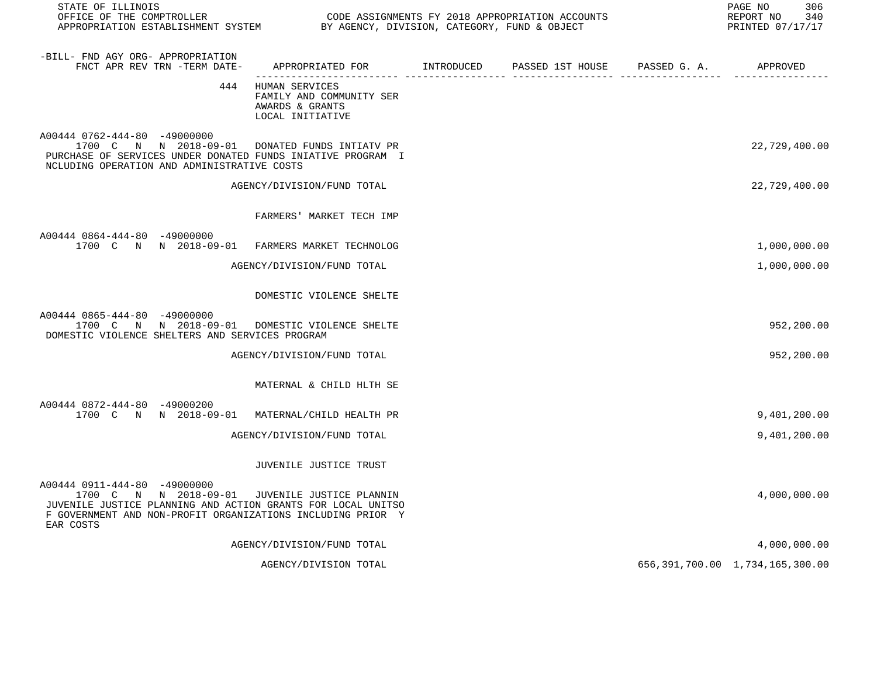| STATE OF ILLINOIS<br>OFFICE OF THE COMPTROLLER<br>APPROPRIATION ESTABLISHMENT SYSTEM BY AGENCY, DIVISION, CATEGORY, FUND & OBJECT                                                                                          |                                                                                       | CODE ASSIGNMENTS FY 2018 APPROPRIATION ACCOUNTS | 306<br>PAGE NO<br>REPORT NO<br>340<br>PRINTED 07/17/17 |
|----------------------------------------------------------------------------------------------------------------------------------------------------------------------------------------------------------------------------|---------------------------------------------------------------------------------------|-------------------------------------------------|--------------------------------------------------------|
| -BILL- FND AGY ORG- APPROPRIATION<br>FNCT APR REV TRN -TERM DATE-                                                                                                                                                          | APPROPRIATED FOR INTRODUCED                                                           | PASSED 1ST HOUSE PASSED G. A. APPROVED          |                                                        |
|                                                                                                                                                                                                                            | 444 HUMAN SERVICES<br>FAMILY AND COMMUNITY SER<br>AWARDS & GRANTS<br>LOCAL INITIATIVE |                                                 |                                                        |
| A00444 0762-444-80 -49000000<br>1700 C N N 2018-09-01 DONATED FUNDS INTIATV PR<br>PURCHASE OF SERVICES UNDER DONATED FUNDS INIATIVE PROGRAM I<br>NCLUDING OPERATION AND ADMINISTRATIVE COSTS                               |                                                                                       |                                                 | 22,729,400.00                                          |
|                                                                                                                                                                                                                            | AGENCY/DIVISION/FUND TOTAL                                                            |                                                 | 22,729,400.00                                          |
|                                                                                                                                                                                                                            | FARMERS' MARKET TECH IMP                                                              |                                                 |                                                        |
| A00444 0864-444-80 -49000000<br>1700 C N N 2018-09-01 FARMERS MARKET TECHNOLOG                                                                                                                                             |                                                                                       |                                                 | 1,000,000.00                                           |
|                                                                                                                                                                                                                            | AGENCY/DIVISION/FUND TOTAL                                                            |                                                 | 1,000,000.00                                           |
|                                                                                                                                                                                                                            | DOMESTIC VIOLENCE SHELTE                                                              |                                                 |                                                        |
| A00444 0865-444-80 -49000000<br>1700 C N N 2018-09-01 DOMESTIC VIOLENCE SHELTE<br>DOMESTIC VIOLENCE SHELTERS AND SERVICES PROGRAM                                                                                          |                                                                                       |                                                 | 952,200.00                                             |
|                                                                                                                                                                                                                            | AGENCY/DIVISION/FUND TOTAL                                                            |                                                 | 952,200.00                                             |
|                                                                                                                                                                                                                            | MATERNAL & CHILD HLTH SE                                                              |                                                 |                                                        |
| A00444 0872-444-80 -49000200<br>1700 C N N 2018-09-01 MATERNAL/CHILD HEALTH PR                                                                                                                                             |                                                                                       |                                                 | 9,401,200.00                                           |
|                                                                                                                                                                                                                            | AGENCY/DIVISION/FUND TOTAL                                                            |                                                 | 9,401,200.00                                           |
|                                                                                                                                                                                                                            | JUVENILE JUSTICE TRUST                                                                |                                                 |                                                        |
| A00444 0911-444-80 -49000000<br>1700 C N N 2018-09-01 JUVENILE JUSTICE PLANNIN<br>JUVENILE JUSTICE PLANNING AND ACTION GRANTS FOR LOCAL UNITSO<br>F GOVERNMENT AND NON-PROFIT ORGANIZATIONS INCLUDING PRIOR Y<br>EAR COSTS |                                                                                       |                                                 | 4,000,000.00                                           |
|                                                                                                                                                                                                                            | AGENCY/DIVISION/FUND TOTAL                                                            |                                                 | 4,000,000.00                                           |
|                                                                                                                                                                                                                            | AGENCY/DIVISION TOTAL                                                                 |                                                 | 656, 391, 700.00 1, 734, 165, 300.00                   |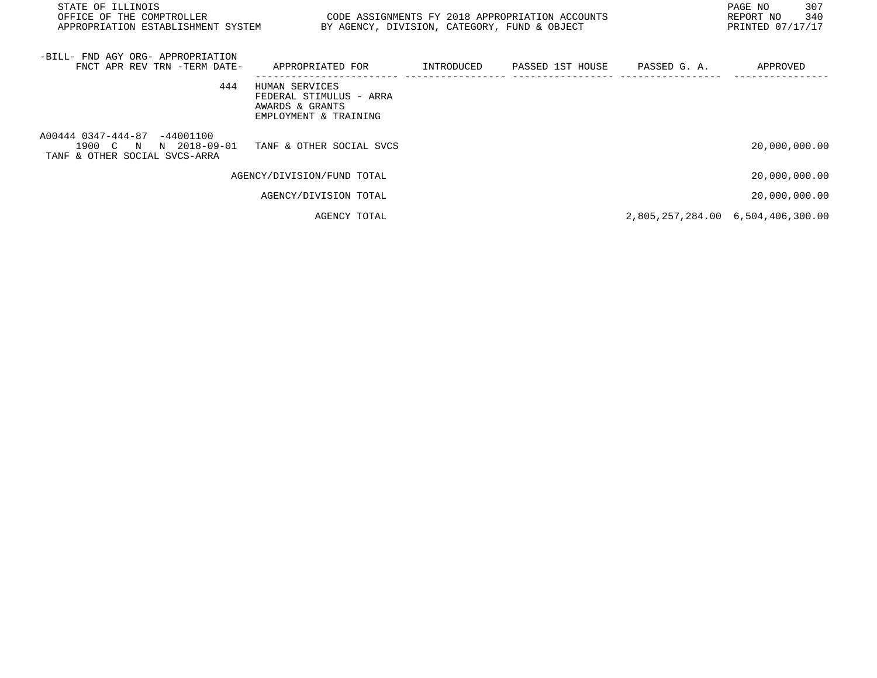| STATE OF ILLINOIS<br>OFFICE OF THE COMPTROLLER<br>APPROPRIATION ESTABLISHMENT SYSTEM      | BY AGENCY, DIVISION, CATEGORY, FUND & OBJECT                                          |            | CODE ASSIGNMENTS FY 2018 APPROPRIATION ACCOUNTS |                                   | PAGE NO<br>REPORT NO<br>PRINTED 07/17/17 | 307<br>340 |
|-------------------------------------------------------------------------------------------|---------------------------------------------------------------------------------------|------------|-------------------------------------------------|-----------------------------------|------------------------------------------|------------|
| -BILL- FND AGY ORG- APPROPRIATION<br>FNCT APR REV TRN -TERM DATE-                         | APPROPRIATED FOR                                                                      | INTRODUCED | PASSED 1ST HOUSE                                | PASSED G. A.                      | APPROVED                                 |            |
| 444                                                                                       | HUMAN SERVICES<br>FEDERAL STIMULUS - ARRA<br>AWARDS & GRANTS<br>EMPLOYMENT & TRAINING |            |                                                 |                                   |                                          |            |
| A00444 0347-444-87 -44001100<br>1900 C N<br>N 2018-09-01<br>TANF & OTHER SOCIAL SVCS-ARRA | TANF & OTHER SOCIAL SVCS                                                              |            |                                                 |                                   | 20,000,000.00                            |            |
|                                                                                           | AGENCY/DIVISION/FUND TOTAL                                                            |            |                                                 |                                   | 20,000,000.00                            |            |
|                                                                                           | AGENCY/DIVISION TOTAL                                                                 |            |                                                 |                                   | 20,000,000.00                            |            |
|                                                                                           | AGENCY TOTAL                                                                          |            |                                                 | 2,805,257,284.00 6,504,406,300.00 |                                          |            |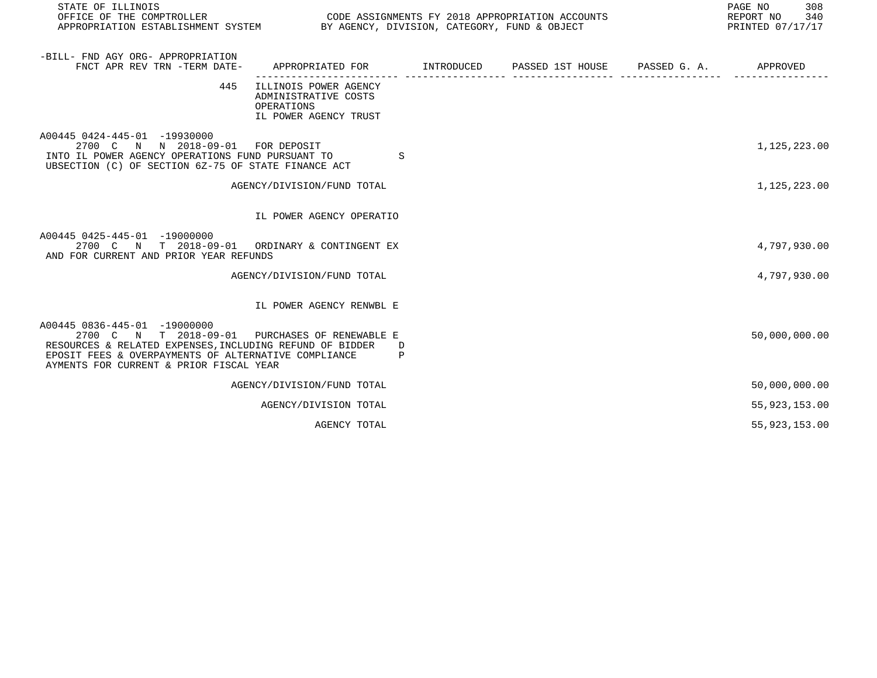| STATE OF ILLINOIS<br>OFFICE OF THE COMPTROLLER<br>APPROPRIATION ESTABLISHMENT SYSTEM BY AGENCY, DIVISION, CATEGORY, FUND & OBJECT                                                                                    |                                                                                      | CODE ASSIGNMENTS FY 2018 APPROPRIATION ACCOUNTS | 308<br>PAGE NO<br>REPORT NO<br>340<br>PRINTED 07/17/17 |
|----------------------------------------------------------------------------------------------------------------------------------------------------------------------------------------------------------------------|--------------------------------------------------------------------------------------|-------------------------------------------------|--------------------------------------------------------|
| -BILL- FND AGY ORG- APPROPRIATION<br>FNCT APR REV TRN -TERM DATE-                                                                                                                                                    | APPROPRIATED FOR TINTRODUCED PASSED 1ST HOUSE PASSED G. A. APPROVED                  |                                                 |                                                        |
| 445                                                                                                                                                                                                                  | ILLINOIS POWER AGENCY<br>ADMINISTRATIVE COSTS<br>OPERATIONS<br>IL POWER AGENCY TRUST |                                                 |                                                        |
| A00445 0424-445-01 -19930000<br>2700 C N N 2018-09-01 FOR DEPOSIT<br>INTO IL POWER AGENCY OPERATIONS FUND PURSUANT TO<br>UBSECTION (C) OF SECTION 6Z-75 OF STATE FINANCE ACT                                         | S                                                                                    |                                                 | 1,125,223.00                                           |
|                                                                                                                                                                                                                      | AGENCY/DIVISION/FUND TOTAL                                                           |                                                 | 1,125,223.00                                           |
|                                                                                                                                                                                                                      | IL POWER AGENCY OPERATIO                                                             |                                                 |                                                        |
| A00445 0425-445-01 -19000000<br>2700 C N T 2018-09-01 ORDINARY & CONTINGENT EX<br>AND FOR CURRENT AND PRIOR YEAR REFUNDS                                                                                             |                                                                                      |                                                 | 4,797,930.00                                           |
|                                                                                                                                                                                                                      | AGENCY/DIVISION/FUND TOTAL                                                           |                                                 | 4,797,930.00                                           |
|                                                                                                                                                                                                                      | IL POWER AGENCY RENWBL E                                                             |                                                 |                                                        |
| A00445 0836-445-01 -19000000<br>2700 C N T 2018-09-01<br>RESOURCES & RELATED EXPENSES, INCLUDING REFUND OF BIDDER<br>EPOSIT FEES & OVERPAYMENTS OF ALTERNATIVE COMPLIANCE<br>AYMENTS FOR CURRENT & PRIOR FISCAL YEAR | PURCHASES OF RENEWABLE E<br>D<br>P                                                   |                                                 | 50,000,000.00                                          |
|                                                                                                                                                                                                                      | AGENCY/DIVISION/FUND TOTAL                                                           |                                                 | 50,000,000.00                                          |
|                                                                                                                                                                                                                      | AGENCY/DIVISION TOTAL                                                                |                                                 | 55, 923, 153.00                                        |
|                                                                                                                                                                                                                      | AGENCY TOTAL                                                                         |                                                 | 55, 923, 153.00                                        |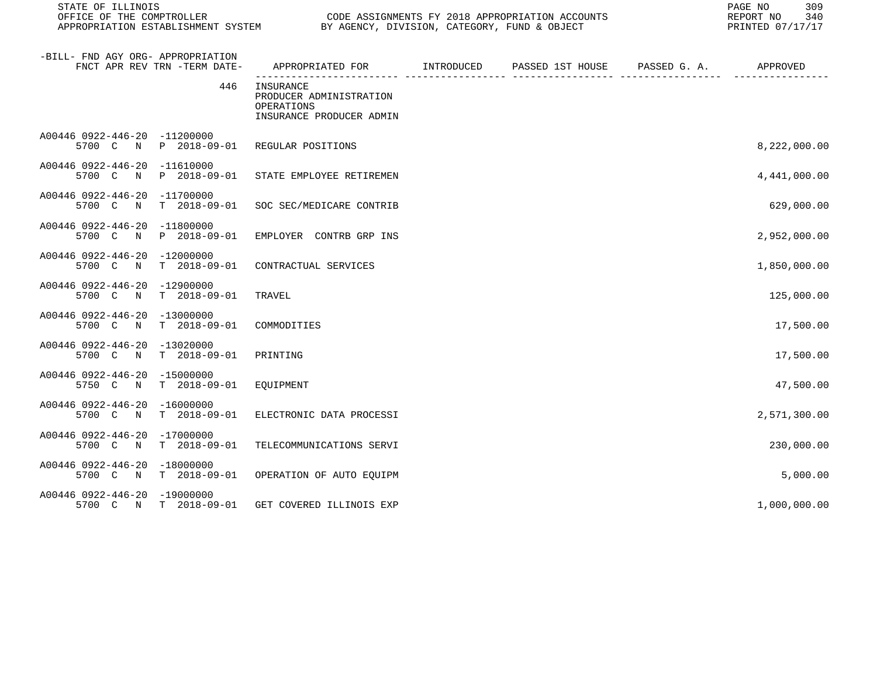| STATE OF ILLINOIS<br>OFFICE OF THE COMPTROLLER                        |                                | CODE ASSIGNMENTS FY 2018 APPROPRIATION ACCOUNTS<br>APPROPRIATION ESTABLISHMENT SYSTEM BY AGENCY, DIVISION, CATEGORY, FUND & OBJECT |  |                                                           |  |              |
|-----------------------------------------------------------------------|--------------------------------|------------------------------------------------------------------------------------------------------------------------------------|--|-----------------------------------------------------------|--|--------------|
| -BILL- FND AGY ORG- APPROPRIATION<br>FNCT APR REV TRN -TERM DATE-     |                                |                                                                                                                                    |  | APPROPRIATED FOR TINTRODUCED PASSED 1ST HOUSE PASSED G.A. |  | APPROVED     |
|                                                                       | 446<br>INSURANCE<br>OPERATIONS | PRODUCER ADMINISTRATION<br>INSURANCE PRODUCER ADMIN                                                                                |  |                                                           |  |              |
| A00446 0922-446-20 -11200000<br>5700 C<br>$\mathbf N$                 | P 2018-09-01 REGULAR POSITIONS |                                                                                                                                    |  |                                                           |  | 8,222,000.00 |
| A00446 0922-446-20 -11610000<br>5700 C N P 2018-09-01                 |                                | STATE EMPLOYEE RETIREMEN                                                                                                           |  |                                                           |  | 4,441,000.00 |
| A00446 0922-446-20 -11700000<br>T 2018-09-01<br>5700 C N              |                                | SOC SEC/MEDICARE CONTRIB                                                                                                           |  |                                                           |  | 629,000.00   |
| A00446 0922-446-20 -11800000<br>5700 C N<br>P 2018-09-01              |                                | EMPLOYER CONTRB GRP INS                                                                                                            |  |                                                           |  | 2,952,000.00 |
| A00446 0922-446-20 -12000000<br>T 2018-09-01<br>5700 C<br>$\mathbb N$ |                                | CONTRACTUAL SERVICES                                                                                                               |  |                                                           |  | 1,850,000.00 |
| A00446 0922-446-20 -12900000<br>5700 C N<br>T 2018-09-01              | TRAVEL                         |                                                                                                                                    |  |                                                           |  | 125,000.00   |
| A00446 0922-446-20 -13000000<br>5700 C N T 2018-09-01                 | COMMODITIES                    |                                                                                                                                    |  |                                                           |  | 17,500.00    |
| A00446 0922-446-20 -13020000<br>T 2018-09-01<br>5700 C N              | PRINTING                       |                                                                                                                                    |  |                                                           |  | 17,500.00    |
| A00446 0922-446-20 -15000000<br>T 2018-09-01<br>5750 C N              | EQUIPMENT                      |                                                                                                                                    |  |                                                           |  | 47,500.00    |
| A00446 0922-446-20 -16000000<br>5700 C<br>T 2018-09-01<br>$\mathbb N$ |                                | ELECTRONIC DATA PROCESSI                                                                                                           |  |                                                           |  | 2,571,300.00 |
| A00446 0922-446-20 -17000000<br>5700 C N<br>T 2018-09-01              |                                | TELECOMMUNICATIONS SERVI                                                                                                           |  |                                                           |  | 230,000.00   |
| A00446 0922-446-20 -18000000<br>5700 C N T 2018-09-01                 |                                | OPERATION OF AUTO EQUIPM                                                                                                           |  |                                                           |  | 5,000.00     |
| A00446 0922-446-20 -19000000<br>5700 C N T 2018-09-01                 |                                | GET COVERED ILLINOIS EXP                                                                                                           |  |                                                           |  | 1,000,000.00 |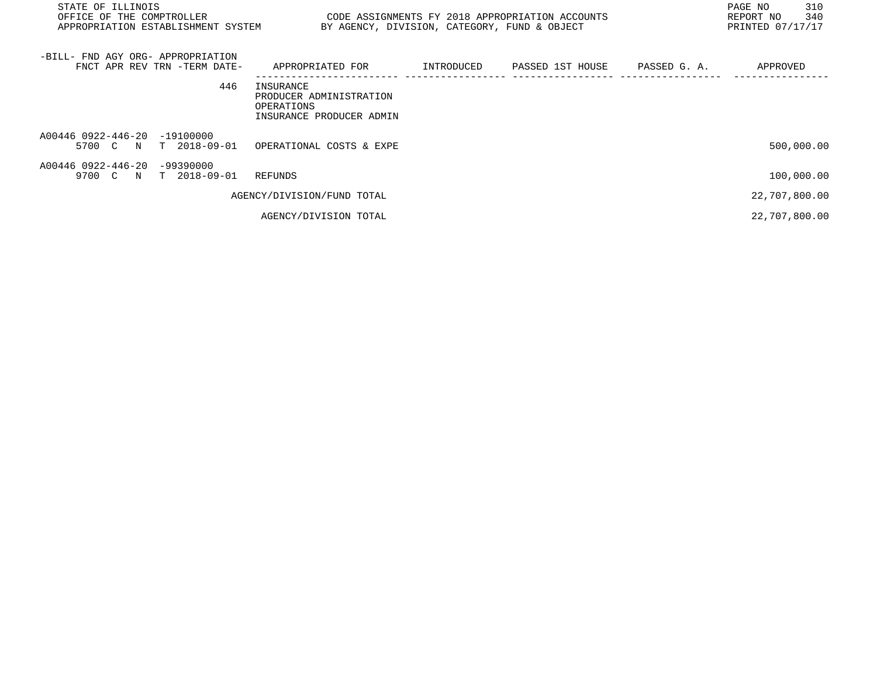| STATE OF ILLINOIS<br>OFFICE OF THE COMPTROLLER<br>APPROPRIATION ESTABLISHMENT SYSTEM |                                                                                | BY AGENCY, DIVISION, CATEGORY, FUND & OBJECT | CODE ASSIGNMENTS FY 2018 APPROPRIATION ACCOUNTS |              | PAGE NO<br>310<br>REPORT NO<br>340<br>PRINTED 07/17/17 |
|--------------------------------------------------------------------------------------|--------------------------------------------------------------------------------|----------------------------------------------|-------------------------------------------------|--------------|--------------------------------------------------------|
| -BILL- FND AGY ORG- APPROPRIATION<br>FNCT APR REV TRN -TERM DATE-                    | APPROPRIATED FOR                                                               | INTRODUCED                                   | PASSED 1ST HOUSE                                | PASSED G. A. | APPROVED                                               |
| 446                                                                                  | INSURANCE<br>PRODUCER ADMINISTRATION<br>OPERATIONS<br>INSURANCE PRODUCER ADMIN |                                              |                                                 |              |                                                        |
| A00446 0922-446-20<br>$-19100000$<br>5700 C N T 2018-09-01                           | OPERATIONAL COSTS & EXPE                                                       |                                              |                                                 |              | 500,000.00                                             |
| A00446 0922-446-20<br>$-99390000$<br>9700 C N T 2018-09-01                           | REFUNDS                                                                        |                                              |                                                 |              | 100,000.00                                             |
|                                                                                      | AGENCY/DIVISION/FUND TOTAL                                                     |                                              |                                                 |              | 22,707,800.00                                          |
|                                                                                      | AGENCY/DIVISION TOTAL                                                          |                                              |                                                 |              | 22,707,800.00                                          |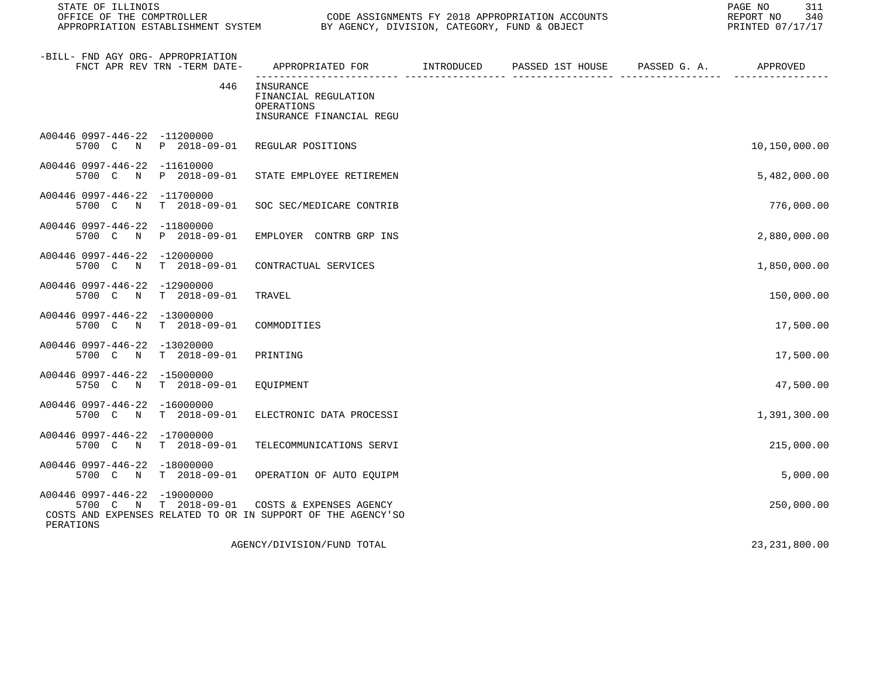| STATE OF ILLINOIS<br>OFFICE OF THE COMPTROLLER<br>APPROPRIATION ESTABLISHMENT SYSTEM BY AGENCY, DIVISION, CATEGORY, FUND & OBJECT                          |                                |                                                  | CODE ASSIGNMENTS FY 2018 APPROPRIATION ACCOUNTS | 311<br>PAGE NO<br>REPORT NO<br>340<br>PRINTED 07/17/17 |
|------------------------------------------------------------------------------------------------------------------------------------------------------------|--------------------------------|--------------------------------------------------|-------------------------------------------------|--------------------------------------------------------|
| -BILL- FND AGY ORG- APPROPRIATION<br>FNCT APR REV TRN -TERM DATE-                                                                                          |                                |                                                  |                                                 |                                                        |
|                                                                                                                                                            | 446<br>INSURANCE<br>OPERATIONS | FINANCIAL REGULATION<br>INSURANCE FINANCIAL REGU |                                                 |                                                        |
| A00446 0997-446-22 -11200000<br>5700 C N P 2018-09-01 REGULAR POSITIONS                                                                                    |                                |                                                  |                                                 | 10,150,000.00                                          |
| A00446 0997-446-22 -11610000<br>5700 C N P 2018-09-01 STATE EMPLOYEE RETIREMEN                                                                             |                                |                                                  |                                                 | 5,482,000.00                                           |
| A00446 0997-446-22 -11700000<br>5700 C N T 2018-09-01 SOC SEC/MEDICARE CONTRIB                                                                             |                                |                                                  |                                                 | 776,000.00                                             |
| A00446 0997-446-22 -11800000<br>5700 C N P 2018-09-01 EMPLOYER CONTRB GRP INS                                                                              |                                |                                                  |                                                 | 2,880,000.00                                           |
| A00446 0997-446-22 -12000000<br>5700 C N T 2018-09-01 CONTRACTUAL SERVICES                                                                                 |                                |                                                  |                                                 | 1,850,000.00                                           |
| A00446 0997-446-22 -12900000<br>5700 C N T 2018-09-01                                                                                                      | TRAVEL                         |                                                  |                                                 | 150,000.00                                             |
| A00446 0997-446-22 -13000000<br>5700 C N T 2018-09-01 COMMODITIES                                                                                          |                                |                                                  |                                                 | 17,500.00                                              |
| A00446 0997-446-22 -13020000<br>5700 C N T 2018-09-01                                                                                                      | PRINTING                       |                                                  |                                                 | 17,500.00                                              |
| A00446 0997-446-22 -15000000<br>5750 C N T 2018-09-01                                                                                                      | EQUIPMENT                      |                                                  |                                                 | 47,500.00                                              |
| A00446 0997-446-22 -16000000<br>5700 C N T 2018-09-01                                                                                                      |                                | ELECTRONIC DATA PROCESSI                         |                                                 | 1,391,300.00                                           |
| A00446 0997-446-22 -17000000<br>5700 C N T 2018-09-01                                                                                                      |                                | TELECOMMUNICATIONS SERVI                         |                                                 | 215,000.00                                             |
| A00446 0997-446-22 -18000000<br>5700 C N T 2018-09-01 OPERATION OF AUTO EQUIPM                                                                             |                                |                                                  |                                                 | 5,000.00                                               |
| A00446 0997-446-22 -19000000<br>5700 C N T 2018-09-01 COSTS & EXPENSES AGENCY<br>COSTS AND EXPENSES RELATED TO OR IN SUPPORT OF THE AGENCY'SO<br>PERATIONS |                                |                                                  |                                                 | 250,000.00                                             |

AGENCY/DIVISION/FUND TOTAL 23, 231, 800.00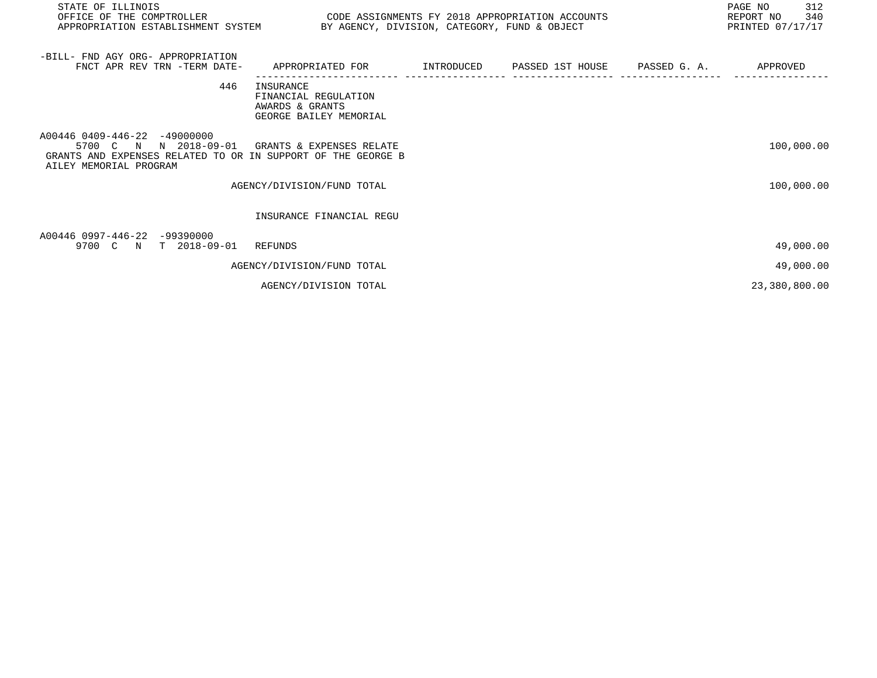| STATE OF ILLINOIS<br>OFFICE OF THE COMPTROLLER<br>APPROPRIATION ESTABLISHMENT SYSTEM BY AGENCY, DIVISION, CATEGORY, FUND & OBJECT                                        | CODE ASSIGNMENTS FY 2018 APPROPRIATION ACCOUNTS                                            |  | PAGE NO<br>312<br>REPORT NO<br>340<br>PRINTED 07/17/17 |
|--------------------------------------------------------------------------------------------------------------------------------------------------------------------------|--------------------------------------------------------------------------------------------|--|--------------------------------------------------------|
| -BILL- FND AGY ORG- APPROPRIATION<br>FNCT APR REV TRN -TERM DATE-                                                                                                        | APPROPRIATED FOR        INTRODUCED      PASSED 1ST HOUSE     PASSED G. A.         APPROVED |  |                                                        |
| 446                                                                                                                                                                      | INSURANCE<br>FINANCIAL REGULATION<br>AWARDS & GRANTS<br>GEORGE BAILEY MEMORIAL             |  |                                                        |
| A00446 0409-446-22 -49000000<br>5700 C N N 2018-09-01 GRANTS & EXPENSES RELATE<br>GRANTS AND EXPENSES RELATED TO OR IN SUPPORT OF THE GEORGE B<br>AILEY MEMORIAL PROGRAM |                                                                                            |  | 100,000.00                                             |
|                                                                                                                                                                          | AGENCY/DIVISION/FUND TOTAL                                                                 |  | 100,000.00                                             |
|                                                                                                                                                                          | INSURANCE FINANCIAL REGU                                                                   |  |                                                        |
| A00446 0997-446-22 -99390000<br>9700 C N<br>$T = 2018 - 09 - 01$                                                                                                         | REFUNDS                                                                                    |  | 49,000.00                                              |
|                                                                                                                                                                          | AGENCY/DIVISION/FUND TOTAL                                                                 |  | 49,000.00                                              |
|                                                                                                                                                                          | AGENCY/DIVISION TOTAL                                                                      |  | 23,380,800.00                                          |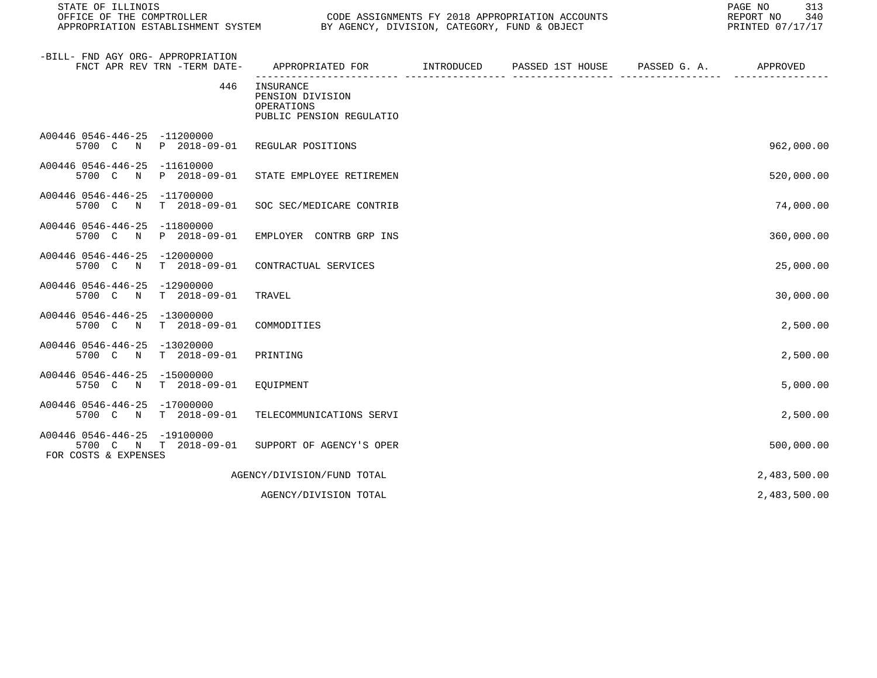| STATE OF ILLINOIS<br>OFFICE OF THE COMPTROLLER<br>APPROPRIATION ESTABLISHMENT SYSTEM | BY AGENCY, DIVISION, CATEGORY, FUND & OBJECT                            |            | CODE ASSIGNMENTS FY 2018 APPROPRIATION ACCOUNTS |              | 313<br>PAGE NO<br>340<br>REPORT NO<br>PRINTED 07/17/17 |
|--------------------------------------------------------------------------------------|-------------------------------------------------------------------------|------------|-------------------------------------------------|--------------|--------------------------------------------------------|
| -BILL- FND AGY ORG- APPROPRIATION<br>FNCT APR REV TRN -TERM DATE-                    | APPROPRIATED FOR                                                        | INTRODUCED | PASSED 1ST HOUSE                                | PASSED G. A. | APPROVED                                               |
| 446                                                                                  | INSURANCE<br>PENSION DIVISION<br>OPERATIONS<br>PUBLIC PENSION REGULATIO |            |                                                 |              |                                                        |
| A00446 0546-446-25 -11200000<br>P 2018-09-01<br>5700 C<br>$\mathbb N$                | REGULAR POSITIONS                                                       |            |                                                 |              | 962,000.00                                             |
| A00446 0546-446-25<br>$-11610000$<br>5700 C<br>N<br>P 2018-09-01                     | STATE EMPLOYEE RETIREMEN                                                |            |                                                 |              | 520,000.00                                             |
| A00446 0546-446-25<br>$-11700000$<br>5700 C<br>T 2018-09-01<br>$_{\rm N}$            | SOC SEC/MEDICARE CONTRIB                                                |            |                                                 |              | 74,000.00                                              |
| A00446 0546-446-25 -11800000<br>P 2018-09-01<br>5700 C<br>N                          | EMPLOYER CONTRB GRP INS                                                 |            |                                                 |              | 360,000.00                                             |
| A00446 0546-446-25 -12000000<br>5700 C N<br>T 2018-09-01                             | CONTRACTUAL SERVICES                                                    |            |                                                 |              | 25,000.00                                              |
| A00446 0546-446-25<br>$-12900000$<br>$T$ 2018-09-01<br>5700 C<br>$\mathbb N$         | TRAVEL                                                                  |            |                                                 |              | 30,000.00                                              |
| A00446 0546-446-25<br>-13000000<br>$\mathbb N$<br>$T = 2018 - 09 - 01$<br>5700 C     | COMMODITIES                                                             |            |                                                 |              | 2,500.00                                               |
| A00446 0546-446-25<br>-13020000<br>5700 C N<br>$T = 2018 - 09 - 01$                  | PRINTING                                                                |            |                                                 |              | 2,500.00                                               |
| A00446 0546-446-25 -15000000<br>$T = 2018 - 09 - 01$<br>5750 C N                     | EQUIPMENT                                                               |            |                                                 |              | 5,000.00                                               |
| A00446 0546-446-25 -17000000<br>$T = 2018 - 09 - 01$<br>5700 C<br>N                  | TELECOMMUNICATIONS SERVI                                                |            |                                                 |              | 2,500.00                                               |
| A00446 0546-446-25 -19100000<br>5700 C N T 2018-09-01<br>FOR COSTS & EXPENSES        | SUPPORT OF AGENCY'S OPER                                                |            |                                                 |              | 500,000.00                                             |
|                                                                                      | AGENCY/DIVISION/FUND TOTAL                                              |            |                                                 |              | 2,483,500.00                                           |
|                                                                                      | AGENCY/DIVISION TOTAL                                                   |            |                                                 |              | 2,483,500.00                                           |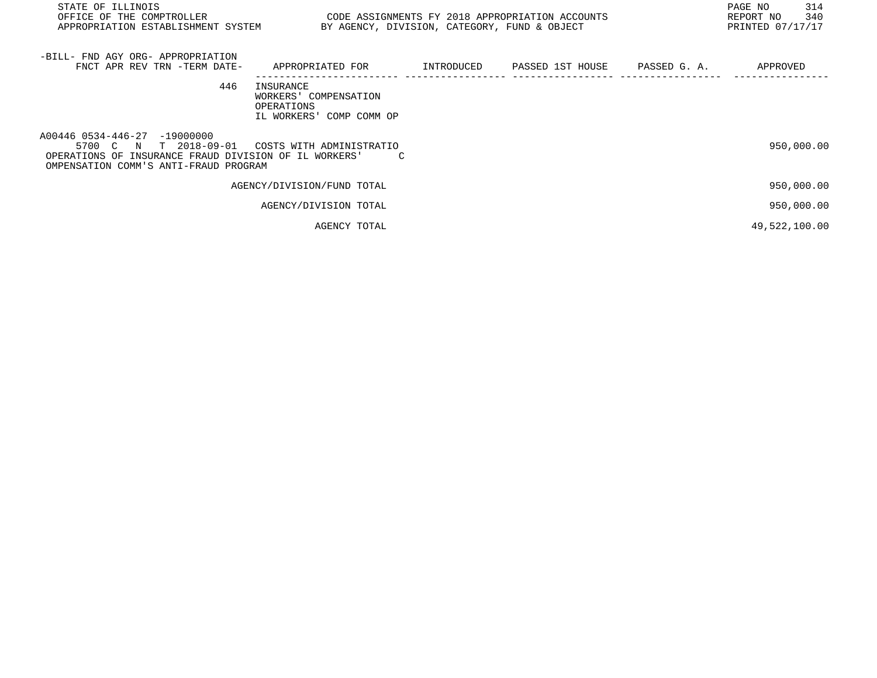| STATE OF ILLINOIS<br>OFFICE OF THE COMPTROLLER<br>APPROPRIATION ESTABLISHMENT SYSTEM                                                                    | CODE ASSIGNMENTS FY 2018 APPROPRIATION ACCOUNTS                                               | BY AGENCY, DIVISION, CATEGORY, FUND & OBJECT |  | 314<br>PAGE NO<br>340<br>REPORT NO<br>PRINTED 07/17/17 |
|---------------------------------------------------------------------------------------------------------------------------------------------------------|-----------------------------------------------------------------------------------------------|----------------------------------------------|--|--------------------------------------------------------|
| -BILL- FND AGY ORG- APPROPRIATION<br>FNCT APR REV TRN -TERM DATE-                                                                                       | APPROPRIATED FOR          INTRODUCED      PASSED 1ST HOUSE     PASSED G. A.          APPROVED |                                              |  |                                                        |
| 446                                                                                                                                                     | INSURANCE<br>WORKERS' COMPENSATION<br>OPERATIONS<br>IL WORKERS' COMP COMM OP                  |                                              |  |                                                        |
| A00446 0534-446-27 -19000000<br>5700 C N T 2018-09-01<br>OPERATIONS OF INSURANCE FRAUD DIVISION OF IL WORKERS'<br>OMPENSATION COMM'S ANTI-FRAUD PROGRAM | COSTS WITH ADMINISTRATIO                                                                      |                                              |  | 950,000.00                                             |
|                                                                                                                                                         | AGENCY/DIVISION/FUND TOTAL                                                                    |                                              |  | 950,000.00                                             |
|                                                                                                                                                         | AGENCY/DIVISION TOTAL                                                                         |                                              |  | 950,000.00                                             |
|                                                                                                                                                         | AGENCY TOTAL                                                                                  |                                              |  | 49,522,100.00                                          |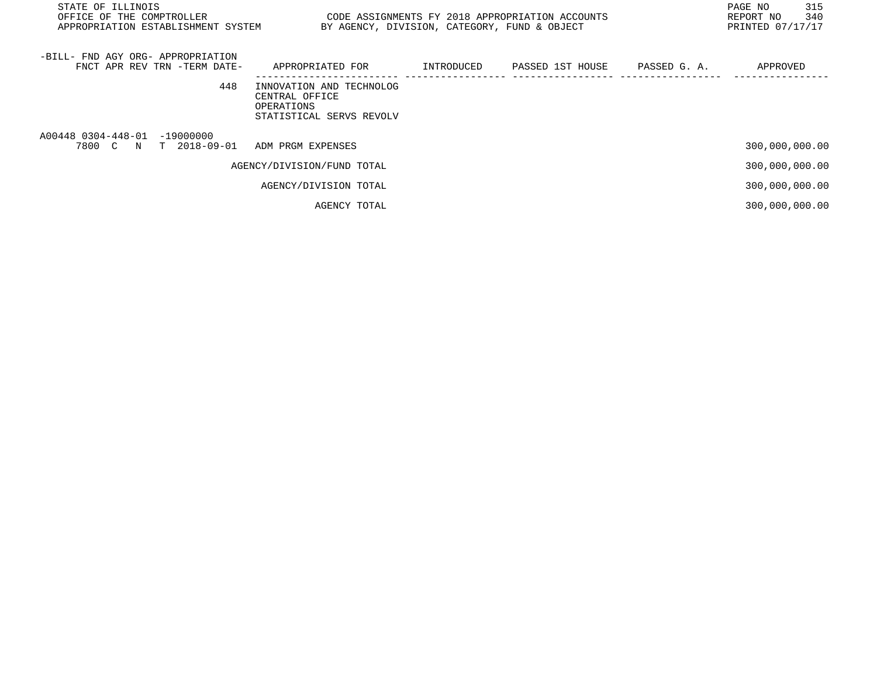| STATE OF ILLINOIS<br>OFFICE OF THE COMPTROLLER<br>APPROPRIATION ESTABLISHMENT SYSTEM | CODE ASSIGNMENTS FY 2018 APPROPRIATION ACCOUNTS<br>BY AGENCY, DIVISION, CATEGORY, FUND & OBJECT |            |                  |              | PAGE NO<br>315<br>340<br>REPORT NO<br>PRINTED 07/17/17 |
|--------------------------------------------------------------------------------------|-------------------------------------------------------------------------------------------------|------------|------------------|--------------|--------------------------------------------------------|
| -BILL- FND AGY ORG- APPROPRIATION<br>FNCT APR REV TRN -TERM DATE-                    | APPROPRIATED FOR                                                                                | INTRODUCED | PASSED 1ST HOUSE | PASSED G. A. | APPROVED                                               |
| 448                                                                                  | INNOVATION AND TECHNOLOG<br>CENTRAL OFFICE<br>OPERATIONS<br>STATISTICAL SERVS REVOLV            |            |                  |              |                                                        |
| A00448 0304-448-01 -19000000<br>7800 C N T 2018-09-01                                | ADM PRGM EXPENSES                                                                               |            |                  |              | 300,000,000.00                                         |
|                                                                                      | AGENCY/DIVISION/FUND TOTAL                                                                      |            |                  |              | 300,000,000.00                                         |
|                                                                                      | AGENCY/DIVISION TOTAL                                                                           |            |                  |              | 300,000,000.00                                         |
|                                                                                      | AGENCY TOTAL                                                                                    |            |                  |              | 300,000,000.00                                         |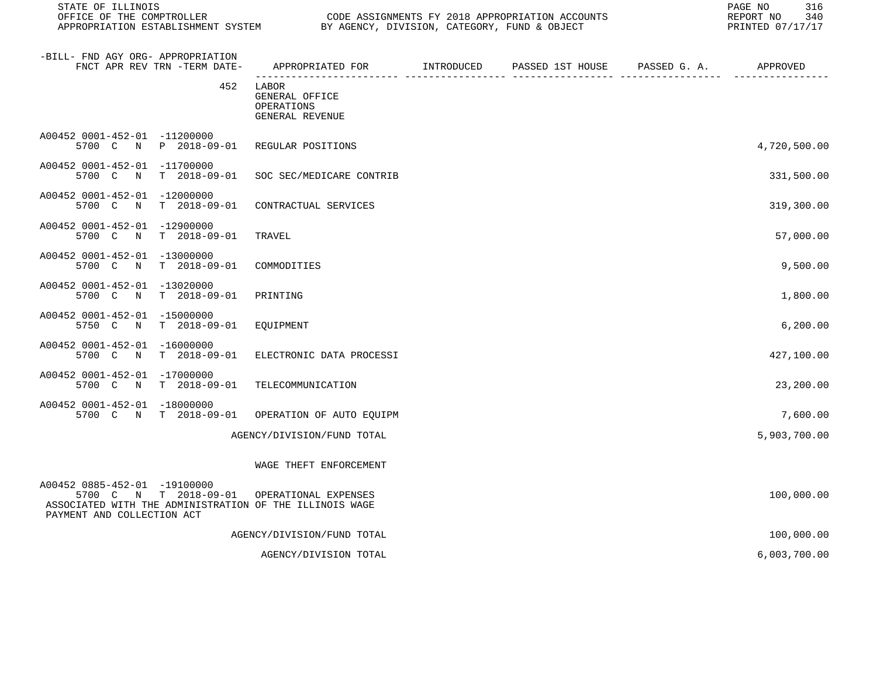STATE OF ILLINOIS PAGE NO 316

| -BILL- FND AGY ORG- APPROPRIATION<br>FNCT APR REV TRN -TERM DATE-                                                                                 | APPROPRIATED FOR                                         | INTRODUCED | PASSED 1ST HOUSE | PASSED G. A. | APPROVED     |
|---------------------------------------------------------------------------------------------------------------------------------------------------|----------------------------------------------------------|------------|------------------|--------------|--------------|
| 452                                                                                                                                               | LABOR<br>GENERAL OFFICE<br>OPERATIONS<br>GENERAL REVENUE |            |                  |              |              |
| A00452 0001-452-01 -11200000<br>P 2018-09-01<br>5700 C<br>N                                                                                       | REGULAR POSITIONS                                        |            |                  |              | 4,720,500.00 |
| A00452 0001-452-01 -11700000<br>$T = 2018 - 09 - 01$<br>5700 C<br>N                                                                               | SOC SEC/MEDICARE CONTRIB                                 |            |                  |              | 331,500.00   |
| A00452 0001-452-01<br>-12000000<br>5700 C<br>$T = 2018 - 09 - 01$<br>N                                                                            | CONTRACTUAL SERVICES                                     |            |                  |              | 319,300.00   |
| A00452 0001-452-01 -12900000<br>5700 C<br>$\mathbb N$<br>$T = 2018 - 09 - 01$                                                                     | TRAVEL                                                   |            |                  |              | 57,000.00    |
| A00452 0001-452-01<br>$-13000000$<br>5700 C<br>$T = 2018 - 09 - 01$<br>$\mathbb N$                                                                | COMMODITIES                                              |            |                  |              | 9,500.00     |
| A00452 0001-452-01<br>$-13020000$<br>5700 C<br>$T = 2018 - 09 - 01$<br>$\mathbb N$                                                                | PRINTING                                                 |            |                  |              | 1,800.00     |
| A00452 0001-452-01 -15000000<br>5750 C<br>$T = 2018 - 09 - 01$<br>N                                                                               | EQUIPMENT                                                |            |                  |              | 6, 200.00    |
| A00452 0001-452-01<br>$-16000000$<br>5700 C<br>$T = 2018 - 09 - 01$<br>N                                                                          | ELECTRONIC DATA PROCESSI                                 |            |                  |              | 427,100.00   |
| A00452 0001-452-01<br>$-17000000$<br>$T = 2018 - 09 - 01$<br>5700 C<br>$\mathbf N$                                                                | TELECOMMUNICATION                                        |            |                  |              | 23,200.00    |
| A00452 0001-452-01<br>$-18000000$<br>5700 C N<br>$T = 2018 - 09 - 01$                                                                             | OPERATION OF AUTO EQUIPM                                 |            |                  |              | 7,600.00     |
|                                                                                                                                                   | AGENCY/DIVISION/FUND TOTAL                               |            |                  |              | 5,903,700.00 |
|                                                                                                                                                   | WAGE THEFT ENFORCEMENT                                   |            |                  |              |              |
| A00452 0885-452-01 -19100000<br>N T 2018-09-01<br>5700 C<br>ASSOCIATED WITH THE ADMINISTRATION OF THE ILLINOIS WAGE<br>PAYMENT AND COLLECTION ACT | OPERATIONAL EXPENSES                                     |            |                  |              | 100,000.00   |
|                                                                                                                                                   | AGENCY/DIVISION/FUND TOTAL                               |            |                  |              | 100,000.00   |
|                                                                                                                                                   | AGENCY/DIVISION TOTAL                                    |            |                  |              | 6,003,700.00 |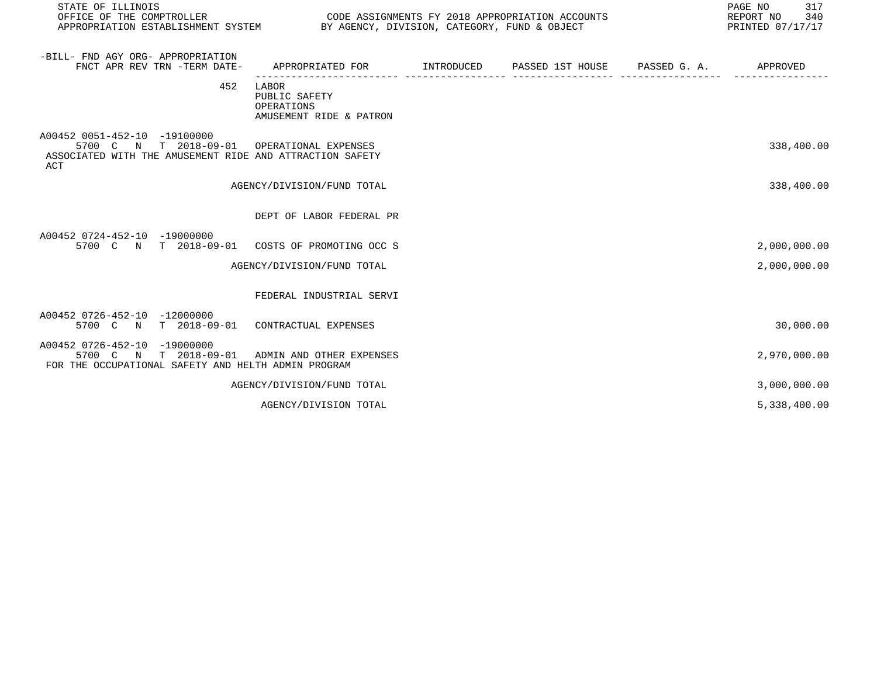| STATE OF ILLINOIS<br>OFFICE OF THE COMPTROLLER<br>APPROPRIATION ESTABLISHMENT SYSTEM                                        | BY AGENCY, DIVISION, CATEGORY, FUND & OBJECT                    | CODE ASSIGNMENTS FY 2018 APPROPRIATION ACCOUNTS | 317<br>PAGE NO<br>REPORT NO<br>340<br>PRINTED 07/17/17 |
|-----------------------------------------------------------------------------------------------------------------------------|-----------------------------------------------------------------|-------------------------------------------------|--------------------------------------------------------|
| -BILL- FND AGY ORG- APPROPRIATION<br>FNCT APR REV TRN -TERM DATE-                                                           | APPROPRIATED FOR TINTRODUCED PASSED 1ST HOUSE PASSED G.A.       |                                                 | APPROVED                                               |
| 452                                                                                                                         | LABOR<br>PUBLIC SAFETY<br>OPERATIONS<br>AMUSEMENT RIDE & PATRON |                                                 |                                                        |
| A00452 0051-452-10 -19100000<br>T 2018-09-01<br>5700 C N<br>ASSOCIATED WITH THE AMUSEMENT RIDE AND ATTRACTION SAFETY<br>ACT | OPERATIONAL EXPENSES                                            |                                                 | 338,400.00                                             |
|                                                                                                                             | AGENCY/DIVISION/FUND TOTAL                                      |                                                 | 338,400.00                                             |
|                                                                                                                             | DEPT OF LABOR FEDERAL PR                                        |                                                 |                                                        |
| A00452 0724-452-10 -19000000<br>5700 C N T 2018-09-01                                                                       | COSTS OF PROMOTING OCC S                                        |                                                 | 2,000,000.00                                           |
|                                                                                                                             | AGENCY/DIVISION/FUND TOTAL                                      |                                                 | 2,000,000.00                                           |
|                                                                                                                             | FEDERAL INDUSTRIAL SERVI                                        |                                                 |                                                        |
| A00452 0726-452-10 -12000000<br>$T = 2018 - 09 - 01$<br>5700 C N                                                            | CONTRACTUAL EXPENSES                                            |                                                 | 30,000.00                                              |
| A00452 0726-452-10 -19000000<br>5700 C N<br>$T = 2018 - 09 - 01$<br>FOR THE OCCUPATIONAL SAFETY AND HELTH ADMIN PROGRAM     | ADMIN AND OTHER EXPENSES                                        |                                                 | 2,970,000.00                                           |
|                                                                                                                             | AGENCY/DIVISION/FUND TOTAL                                      |                                                 | 3,000,000.00                                           |
|                                                                                                                             | AGENCY/DIVISION TOTAL                                           |                                                 | 5,338,400.00                                           |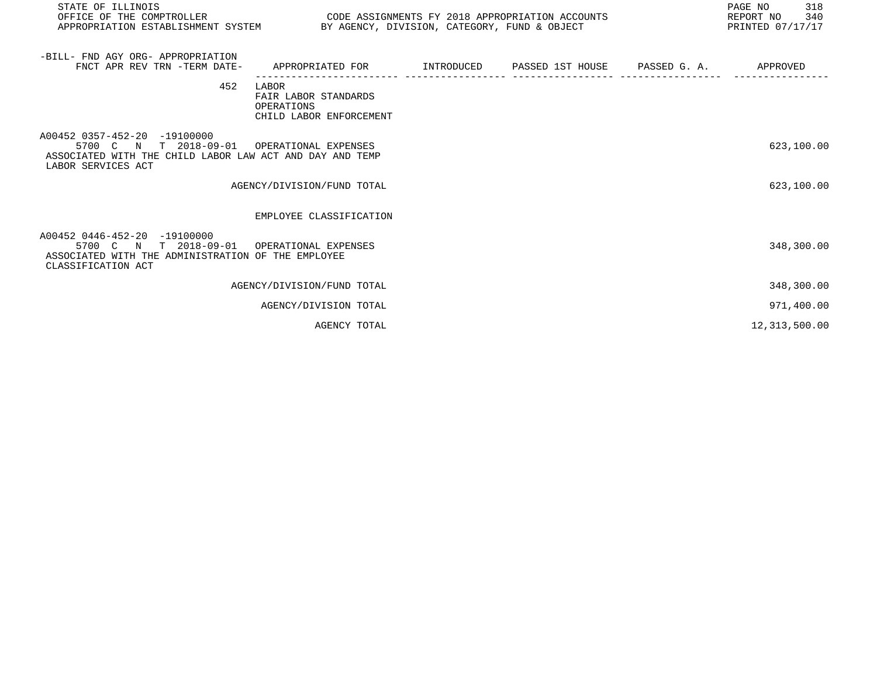| STATE OF ILLINOIS<br>OFFICE OF THE COMPTROLLER                                                                                                               | CODE ASSIGNMENTS FY 2018 APPROPRIATION ACCOUNTS<br>APPROPRIATION ESTABLISHMENT SYSTEM BY AGENCY, DIVISION, CATEGORY, FUND & OBJECT |  |  |  | 318<br>PAGE NO<br>REPORT NO 340<br>PRINTED 07/17/17 |
|--------------------------------------------------------------------------------------------------------------------------------------------------------------|------------------------------------------------------------------------------------------------------------------------------------|--|--|--|-----------------------------------------------------|
| -BILL- FND AGY ORG- APPROPRIATION<br>FNCT APR REV TRN -TERM DATE-                                                                                            | APPROPRIATED FOR                                                                                                                   |  |  |  |                                                     |
| 452                                                                                                                                                          | LABOR<br>FAIR LABOR STANDARDS<br>OPERATIONS<br>CHILD LABOR ENFORCEMENT                                                             |  |  |  |                                                     |
| A00452 0357-452-20 -19100000<br>5700 C N T 2018-09-01 OPERATIONAL EXPENSES<br>ASSOCIATED WITH THE CHILD LABOR LAW ACT AND DAY AND TEMP<br>LABOR SERVICES ACT |                                                                                                                                    |  |  |  | 623,100.00                                          |
|                                                                                                                                                              | AGENCY/DIVISION/FUND TOTAL                                                                                                         |  |  |  | 623,100.00                                          |
|                                                                                                                                                              | EMPLOYEE CLASSIFICATION                                                                                                            |  |  |  |                                                     |
| A00452 0446-452-20 -19100000<br>5700 C N T 2018-09-01 OPERATIONAL EXPENSES<br>ASSOCIATED WITH THE ADMINISTRATION OF THE EMPLOYEE<br>CLASSIFICATION ACT       |                                                                                                                                    |  |  |  | 348,300.00                                          |
|                                                                                                                                                              | AGENCY/DIVISION/FUND TOTAL                                                                                                         |  |  |  | 348,300.00                                          |
|                                                                                                                                                              | AGENCY/DIVISION TOTAL                                                                                                              |  |  |  | 971,400.00                                          |
|                                                                                                                                                              | AGENCY TOTAL                                                                                                                       |  |  |  | 12,313,500.00                                       |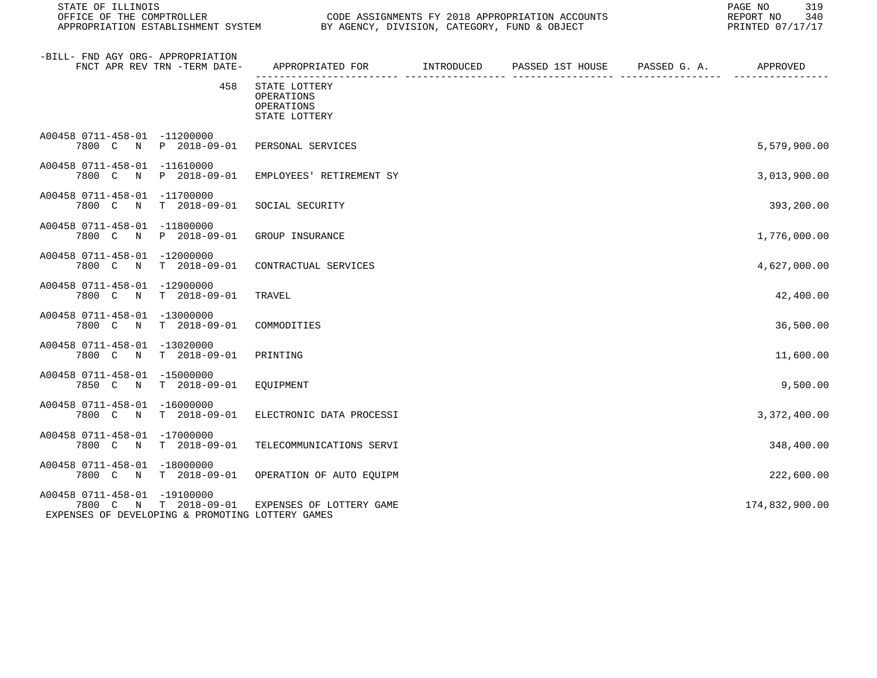STATE OF ILLINOIS PAGE NO 319 OFFICE OF THE COMPTROLLER CODE CODE ASSIGNMENTS FY 2018 APPROPRIATION ACCOUNTS CONNECT CONFINER OF 240<br>APPROPRIATION ESTABLISHMENT SYSTEM BY AGENCY, DIVISION, CATEGORY, FUND & OBJECT BY AGENCY, DIVISION, CATEGORY, FUND & OBJECT

| -BILL- FND AGY ORG- APPROPRIATION<br>FNCT APR REV TRN -TERM DATE-                                              | APPROPRIATED FOR                                           | INTRODUCED | PASSED 1ST HOUSE | PASSED G. A. | APPROVED       |
|----------------------------------------------------------------------------------------------------------------|------------------------------------------------------------|------------|------------------|--------------|----------------|
| 458                                                                                                            | STATE LOTTERY<br>OPERATIONS<br>OPERATIONS<br>STATE LOTTERY |            |                  |              |                |
| A00458 0711-458-01 -11200000<br>7800 C N<br>P 2018-09-01                                                       | PERSONAL SERVICES                                          |            |                  |              | 5,579,900.00   |
| A00458 0711-458-01<br>$-11610000$<br>7800 C<br>P 2018-09-01<br>N                                               | EMPLOYEES' RETIREMENT SY                                   |            |                  |              | 3,013,900.00   |
| A00458 0711-458-01 -11700000<br>$T$ 2018-09-01<br>7800 C<br>$\mathbb N$                                        | SOCIAL SECURITY                                            |            |                  |              | 393,200.00     |
| A00458 0711-458-01 -11800000<br>7800 C N<br>P 2018-09-01                                                       | GROUP INSURANCE                                            |            |                  |              | 1,776,000.00   |
| A00458 0711-458-01 -12000000<br>$T = 2018 - 09 - 01$<br>7800 C<br>$\mathbb N$                                  | CONTRACTUAL SERVICES                                       |            |                  |              | 4,627,000.00   |
| A00458 0711-458-01 -12900000<br>7800 C N<br>$T$ 2018-09-01                                                     | TRAVEL                                                     |            |                  |              | 42,400.00      |
| A00458 0711-458-01<br>$-13000000$<br>7800 C<br>T 2018-09-01<br>$\mathbb N$                                     | COMMODITIES                                                |            |                  |              | 36,500.00      |
| A00458 0711-458-01 -13020000<br>7800 C N<br>$T$ 2018-09-01                                                     | PRINTING                                                   |            |                  |              | 11,600.00      |
| A00458 0711-458-01<br>$-15000000$<br>7850 C N<br>$T$ 2018-09-01                                                | EOUIPMENT                                                  |            |                  |              | 9,500.00       |
| A00458 0711-458-01 -16000000<br>7800 C N<br>$T$ 2018-09-01                                                     | ELECTRONIC DATA PROCESSI                                   |            |                  |              | 3,372,400.00   |
| A00458 0711-458-01<br>$-17000000$<br>7800 C N<br>$T$ 2018-09-01                                                | TELECOMMUNICATIONS SERVI                                   |            |                  |              | 348,400.00     |
| A00458 0711-458-01<br>$-18000000$<br>7800 C N<br>$T$ 2018-09-01                                                | OPERATION OF AUTO EQUIPM                                   |            |                  |              | 222,600.00     |
| A00458 0711-458-01 -19100000<br>$T$ 2018-09-01<br>7800 C N<br>EXPENSES OF DEVELOPING & PROMOTING LOTTERY GAMES | EXPENSES OF LOTTERY GAME                                   |            |                  |              | 174,832,900.00 |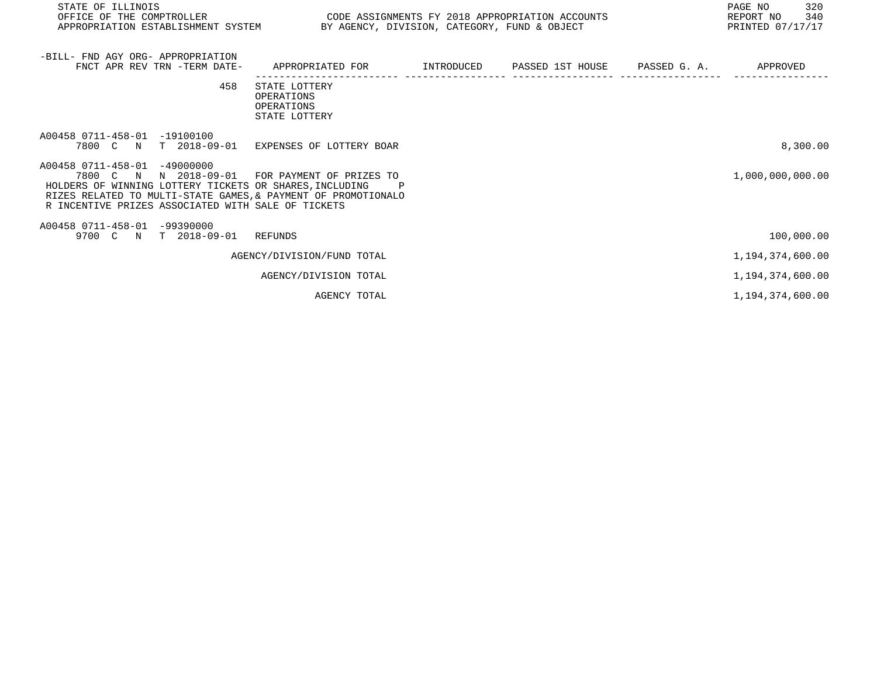| STATE OF ILLINOIS<br>OFFICE OF THE COMPTROLLER<br>APPROPRIATION ESTABLISHMENT SYSTEM BY AGENCY, DIVISION, CATEGORY, FUND & OBJECT                                                                                                                                | CODE ASSIGNMENTS FY 2018 APPROPRIATION ACCOUNTS            |            |                  |              | PAGE NO<br>320<br>REPORT NO<br>340<br>PRINTED 07/17/17 |
|------------------------------------------------------------------------------------------------------------------------------------------------------------------------------------------------------------------------------------------------------------------|------------------------------------------------------------|------------|------------------|--------------|--------------------------------------------------------|
| -BILL- FND AGY ORG- APPROPRIATION<br>FNCT APR REV TRN -TERM DATE-                                                                                                                                                                                                | APPROPRIATED FOR                                           | INTRODUCED | PASSED 1ST HOUSE | PASSED G. A. | APPROVED                                               |
| 458                                                                                                                                                                                                                                                              | STATE LOTTERY<br>OPERATIONS<br>OPERATIONS<br>STATE LOTTERY |            |                  |              |                                                        |
| A00458 0711-458-01 -19100100<br>7800 C N T 2018-09-01                                                                                                                                                                                                            | EXPENSES OF LOTTERY BOAR                                   |            |                  |              | 8,300.00                                               |
| A00458 0711-458-01 -49000000<br>7800 C N N 2018-09-01 FOR PAYMENT OF PRIZES TO<br>HOLDERS OF WINNING LOTTERY TICKETS OR SHARES, INCLUDING<br>RIZES RELATED TO MULTI-STATE GAMES, & PAYMENT OF PROMOTIONALO<br>R INCENTIVE PRIZES ASSOCIATED WITH SALE OF TICKETS |                                                            |            |                  |              | 1,000,000,000.00                                       |
| A00458 0711-458-01 -99390000<br>9700 C N T 2018-09-01 REFUNDS                                                                                                                                                                                                    |                                                            |            |                  |              | 100,000.00                                             |
|                                                                                                                                                                                                                                                                  | AGENCY/DIVISION/FUND TOTAL                                 |            |                  |              | 1, 194, 374, 600.00                                    |
|                                                                                                                                                                                                                                                                  | AGENCY/DIVISION TOTAL                                      |            |                  |              | 1,194,374,600.00                                       |
|                                                                                                                                                                                                                                                                  | AGENCY TOTAL                                               |            |                  |              | 1,194,374,600.00                                       |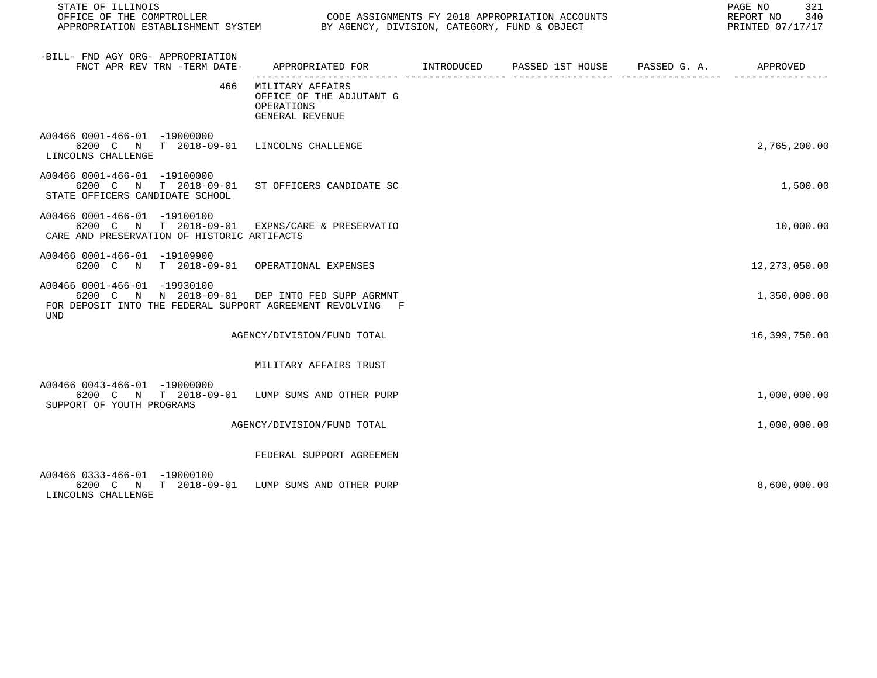| STATE OF ILLINOIS<br>OFFICE OF THE COMPTROLLER                                                                                                             | CODE ASSIGNMENTS FY 2018 APPROPRIATION ACCOUNTS<br>APPROPRIATION ESTABLISHMENT SYSTEM BY AGENCY, DIVISION, CATEGORY, FUND & OBJECT<br>PRINTED 07/17/17 |  |  |  |                 |
|------------------------------------------------------------------------------------------------------------------------------------------------------------|--------------------------------------------------------------------------------------------------------------------------------------------------------|--|--|--|-----------------|
| -BILL- FND AGY ORG- APPROPRIATION<br>FNCT APR REV TRN -TERM DATE-                                                                                          | APPROPRIATED FOR        INTRODUCED     PASSED 1ST HOUSE    PASSED G. A.        APPROVED                                                                |  |  |  |                 |
| 466                                                                                                                                                        | MILITARY AFFAIRS<br>OFFICE OF THE ADJUTANT G<br>OPERATIONS<br>GENERAL REVENUE                                                                          |  |  |  |                 |
| A00466 0001-466-01 -19000000<br>6200 C N T 2018-09-01 LINCOLNS CHALLENGE<br>LINCOLNS CHALLENGE                                                             |                                                                                                                                                        |  |  |  | 2,765,200.00    |
| A00466 0001-466-01 -19100000<br>6200 C N T 2018-09-01 ST OFFICERS CANDIDATE SC<br>STATE OFFICERS CANDIDATE SCHOOL                                          |                                                                                                                                                        |  |  |  | 1,500.00        |
| A00466 0001-466-01 -19100100<br>6200 C N T 2018-09-01 EXPNS/CARE & PRESERVATIO<br>CARE AND PRESERVATION OF HISTORIC ARTIFACTS                              |                                                                                                                                                        |  |  |  | 10,000.00       |
| A00466 0001-466-01 -19109900<br>6200 C N T 2018-09-01 OPERATIONAL EXPENSES                                                                                 |                                                                                                                                                        |  |  |  | 12, 273, 050.00 |
| A00466 0001-466-01 -19930100<br>6200 C N N 2018-09-01 DEP INTO FED SUPP AGRMNT<br>FOR DEPOSIT INTO THE FEDERAL SUPPORT AGREEMENT REVOLVING F<br><b>UND</b> |                                                                                                                                                        |  |  |  | 1,350,000.00    |
|                                                                                                                                                            | AGENCY/DIVISION/FUND TOTAL                                                                                                                             |  |  |  | 16,399,750.00   |
|                                                                                                                                                            | MILITARY AFFAIRS TRUST                                                                                                                                 |  |  |  |                 |
| A00466 0043-466-01 -19000000<br>6200 C N T 2018-09-01 LUMP SUMS AND OTHER PURP<br>SUPPORT OF YOUTH PROGRAMS                                                |                                                                                                                                                        |  |  |  | 1,000,000.00    |
|                                                                                                                                                            | AGENCY/DIVISION/FUND TOTAL                                                                                                                             |  |  |  | 1,000,000.00    |
|                                                                                                                                                            | FEDERAL SUPPORT AGREEMEN                                                                                                                               |  |  |  |                 |
| A00466 0333-466-01 -19000100<br>6200 C N T 2018-09-01 LUMP SUMS AND OTHER PURP<br>LINCOLNS CHALLENGE                                                       |                                                                                                                                                        |  |  |  | 8,600,000.00    |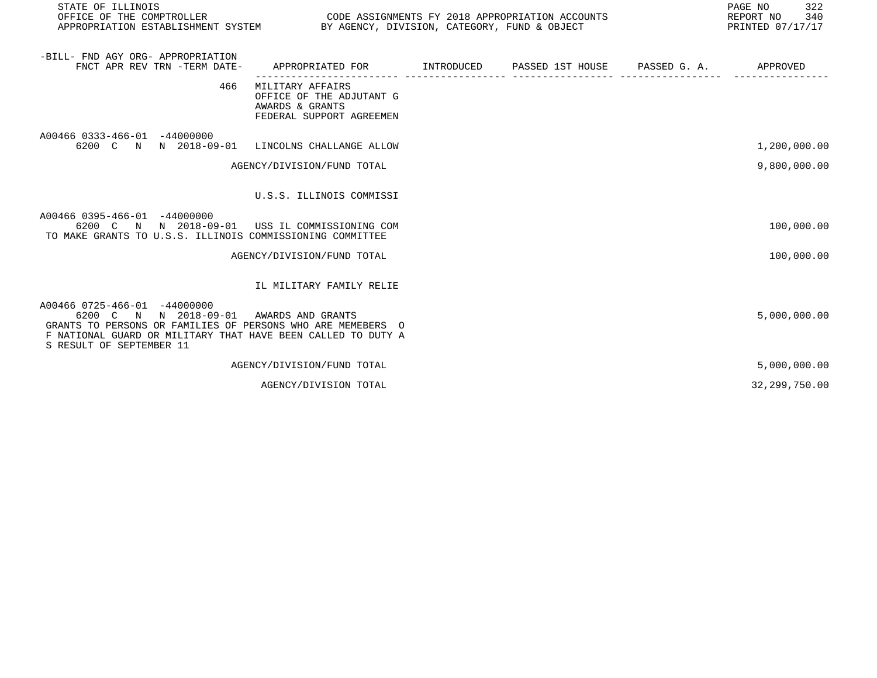| STATE OF ILLINOIS<br>OFFICE OF THE COMPTROLLER<br>CODE ASSIGNMENTS FY 2018 APPROPRIATION ACCOUNTS<br>BY AGENCY, DIVISION, CATEGORY, FUND & OBJECT<br>APPROPRIATION ESTABLISHMENT SYSTEM                          |                                                                                             |  |  |  | PAGE NO<br>322<br>340<br>REPORT NO<br>PRINTED 07/17/17 |  |
|------------------------------------------------------------------------------------------------------------------------------------------------------------------------------------------------------------------|---------------------------------------------------------------------------------------------|--|--|--|--------------------------------------------------------|--|
| -BILL- FND AGY ORG- APPROPRIATION<br>FNCT APR REV TRN -TERM DATE-                                                                                                                                                | APPROPRIATED FOR         INTRODUCED      PASSED 1ST HOUSE      PASSED G. A.                 |  |  |  | APPROVED                                               |  |
| 466                                                                                                                                                                                                              | MILITARY AFFAIRS<br>OFFICE OF THE ADJUTANT G<br>AWARDS & GRANTS<br>FEDERAL SUPPORT AGREEMEN |  |  |  |                                                        |  |
| A00466 0333-466-01 -44000000<br>6200 C N N 2018-09-01                                                                                                                                                            | LINCOLNS CHALLANGE ALLOW                                                                    |  |  |  | 1,200,000.00                                           |  |
|                                                                                                                                                                                                                  | AGENCY/DIVISION/FUND TOTAL                                                                  |  |  |  | 9,800,000.00                                           |  |
|                                                                                                                                                                                                                  | U.S.S. ILLINOIS COMMISSI                                                                    |  |  |  |                                                        |  |
| A00466 0395-466-01 -44000000<br>6200 C N N 2018-09-01<br>TO MAKE GRANTS TO U.S.S. ILLINOIS COMMISSIONING COMMITTEE                                                                                               | USS IL COMMISSIONING COM                                                                    |  |  |  | 100,000.00                                             |  |
|                                                                                                                                                                                                                  | AGENCY/DIVISION/FUND TOTAL                                                                  |  |  |  | 100,000.00                                             |  |
|                                                                                                                                                                                                                  | IL MILITARY FAMILY RELIE                                                                    |  |  |  |                                                        |  |
| A00466 0725-466-01 -44000000<br>6200 C N N 2018-09-01<br>GRANTS TO PERSONS OR FAMILIES OF PERSONS WHO ARE MEMEBERS O<br>F NATIONAL GUARD OR MILITARY THAT HAVE BEEN CALLED TO DUTY A<br>S RESULT OF SEPTEMBER 11 | AWARDS AND GRANTS                                                                           |  |  |  | 5,000,000.00                                           |  |
|                                                                                                                                                                                                                  | AGENCY/DIVISION/FUND TOTAL                                                                  |  |  |  | 5,000,000.00                                           |  |
|                                                                                                                                                                                                                  | AGENCY/DIVISION TOTAL                                                                       |  |  |  | 32,299,750.00                                          |  |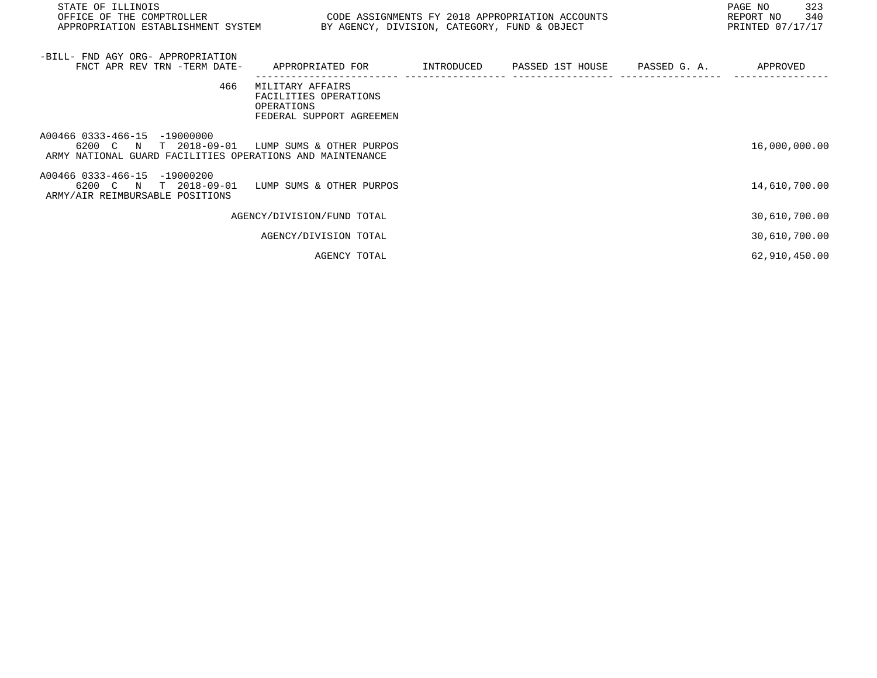| STATE OF ILLINOIS<br>OFFICE OF THE COMPTROLLER<br>APPROPRIATION ESTABLISHMENT SYSTEM BY AGENCY, DIVISION, CATEGORY, FUND & OBJECT | CODE ASSIGNMENTS FY 2018 APPROPRIATION ACCOUNTS                                              |  | 323<br>PAGE NO<br>340<br>REPORT NO<br>PRINTED 07/17/17 |
|-----------------------------------------------------------------------------------------------------------------------------------|----------------------------------------------------------------------------------------------|--|--------------------------------------------------------|
| -BILL- FND AGY ORG- APPROPRIATION<br>FNCT APR REV TRN -TERM DATE-                                                                 | APPROPRIATED FOR         INTRODUCED      PASSED 1ST HOUSE     PASSED G. A.          APPROVED |  |                                                        |
| 466                                                                                                                               | MILITARY AFFAIRS<br>FACILITIES OPERATIONS<br>OPERATIONS<br>FEDERAL SUPPORT AGREEMEN          |  |                                                        |
| A00466 0333-466-15 -19000000<br>6200 C N T 2018-09-01<br>ARMY NATIONAL GUARD FACILITIES OPERATIONS AND MAINTENANCE                | LUMP SUMS & OTHER PURPOS                                                                     |  | 16,000,000.00                                          |
| A00466 0333-466-15 -19000200<br>6200 C N T 2018-09-01<br>ARMY/AIR REIMBURSABLE POSITIONS                                          | LUMP SUMS & OTHER PURPOS                                                                     |  | 14,610,700.00                                          |
|                                                                                                                                   | AGENCY/DIVISION/FUND TOTAL                                                                   |  | 30,610,700.00                                          |
|                                                                                                                                   | AGENCY/DIVISION TOTAL                                                                        |  | 30,610,700.00                                          |
|                                                                                                                                   | AGENCY TOTAL                                                                                 |  | 62,910,450.00                                          |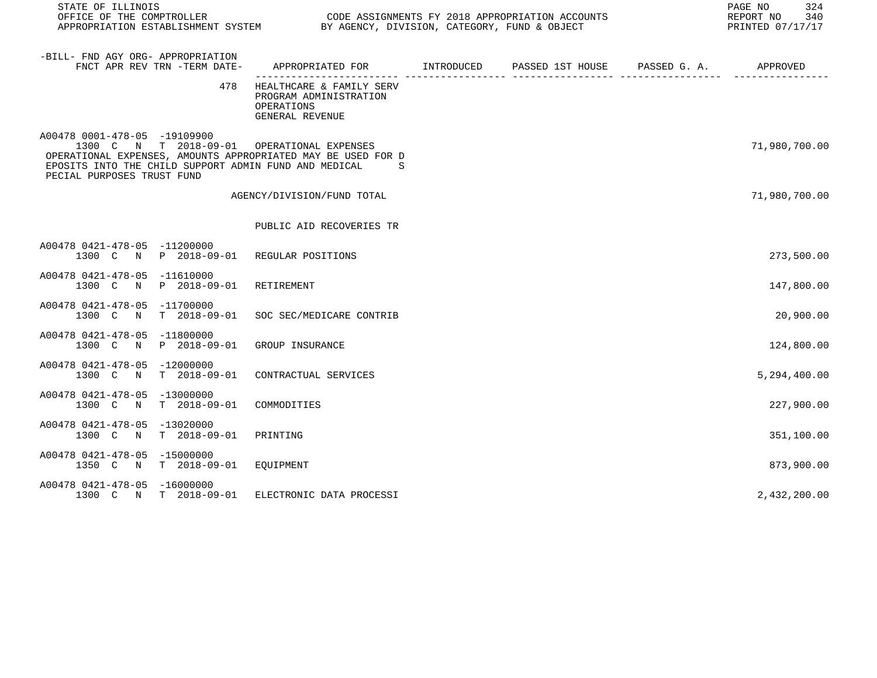| STATE OF ILLINOIS                                                                                                                                                                                                                 |                                                                                           |  | PAGE NO<br>324<br>REPORT NO<br>340<br>PRINTED 07/17/17 |
|-----------------------------------------------------------------------------------------------------------------------------------------------------------------------------------------------------------------------------------|-------------------------------------------------------------------------------------------|--|--------------------------------------------------------|
| -BILL- FND AGY ORG- APPROPRIATION<br>FNCT APR REV TRN -TERM DATE-                                                                                                                                                                 | APPROPRIATED FOR        INTRODUCED     PASSED 1ST HOUSE     PASSED G. A.         APPROVED |  |                                                        |
| 478                                                                                                                                                                                                                               | HEALTHCARE & FAMILY SERV<br>PROGRAM ADMINISTRATION<br>OPERATIONS<br>GENERAL REVENUE       |  |                                                        |
| A00478 0001-478-05 -19109900<br>1300 C N T 2018-09-01 OPERATIONAL EXPENSES<br>OPERATIONAL EXPENSES, AMOUNTS APPROPRIATED MAY BE USED FOR D<br>EPOSITS INTO THE CHILD SUPPORT ADMIN FUND AND MEDICAL<br>PECIAL PURPOSES TRUST FUND | S                                                                                         |  | 71,980,700.00                                          |
|                                                                                                                                                                                                                                   | AGENCY/DIVISION/FUND TOTAL                                                                |  | 71,980,700.00                                          |
|                                                                                                                                                                                                                                   | PUBLIC AID RECOVERIES TR                                                                  |  |                                                        |
| A00478 0421-478-05 -11200000<br>1300 C N P 2018-09-01 REGULAR POSITIONS                                                                                                                                                           |                                                                                           |  | 273,500.00                                             |
| A00478 0421-478-05 -11610000<br>1300 C N P 2018-09-01                                                                                                                                                                             | RETIREMENT                                                                                |  | 147,800.00                                             |
| A00478 0421-478-05 -11700000<br>$T = 2018 - 09 - 01$<br>1300 C<br>$\mathbb N$                                                                                                                                                     | SOC SEC/MEDICARE CONTRIB                                                                  |  | 20,900.00                                              |
| A00478 0421-478-05 -11800000<br>1300 C N P 2018-09-01                                                                                                                                                                             | GROUP INSURANCE                                                                           |  | 124,800.00                                             |
| A00478 0421-478-05 -12000000<br>1300 C N T 2018-09-01                                                                                                                                                                             | CONTRACTUAL SERVICES                                                                      |  | 5,294,400.00                                           |
| A00478 0421-478-05 -13000000<br>1300 C N<br>T 2018-09-01                                                                                                                                                                          | COMMODITIES                                                                               |  | 227,900.00                                             |
| A00478 0421-478-05 -13020000<br>T 2018-09-01<br>1300 C N                                                                                                                                                                          | PRINTING                                                                                  |  | 351,100.00                                             |
| A00478 0421-478-05 -15000000<br>1350 C N T 2018-09-01                                                                                                                                                                             | EQUIPMENT                                                                                 |  | 873,900.00                                             |
| A00478 0421-478-05 -16000000<br>1300 C N T 2018-09-01                                                                                                                                                                             | ELECTRONIC DATA PROCESSI                                                                  |  | 2,432,200.00                                           |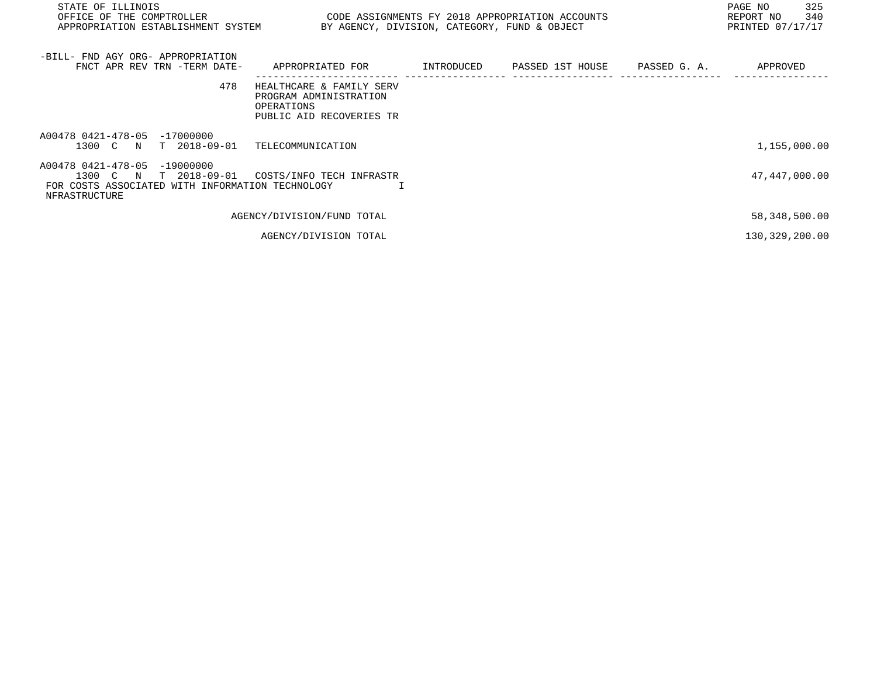| STATE OF ILLINOIS<br>OFFICE OF THE COMPTROLLER<br>APPROPRIATION ESTABLISHMENT SYSTEM                                               | CODE ASSIGNMENTS FY 2018 APPROPRIATION ACCOUNTS<br>BY AGENCY, DIVISION, CATEGORY, FUND & OBJECT |            |                  |              | PAGE NO<br>325<br>340<br>REPORT NO<br>PRINTED 07/17/17 |
|------------------------------------------------------------------------------------------------------------------------------------|-------------------------------------------------------------------------------------------------|------------|------------------|--------------|--------------------------------------------------------|
| -BILL- FND AGY ORG- APPROPRIATION<br>FNCT APR REV TRN -TERM DATE-                                                                  | APPROPRIATED FOR                                                                                | INTRODUCED | PASSED 1ST HOUSE | PASSED G. A. | APPROVED                                               |
| 478                                                                                                                                | HEALTHCARE & FAMILY SERV<br>PROGRAM ADMINISTRATION<br>OPERATIONS<br>PUBLIC AID RECOVERIES TR    |            |                  |              |                                                        |
| A00478 0421-478-05 -17000000<br>1300 C N<br>T 2018-09-01                                                                           | TELECOMMUNICATION                                                                               |            |                  |              | 1,155,000.00                                           |
| A00478 0421-478-05<br>$-19000000$<br>1300 C N<br>T 2018-09-01<br>FOR COSTS ASSOCIATED WITH INFORMATION TECHNOLOGY<br>NFRASTRUCTURE | COSTS/INFO TECH INFRASTR                                                                        |            |                  |              | 47,447,000.00                                          |
|                                                                                                                                    | AGENCY/DIVISION/FUND TOTAL                                                                      |            |                  |              | 58,348,500.00                                          |
|                                                                                                                                    | AGENCY/DIVISION TOTAL                                                                           |            |                  |              | 130,329,200.00                                         |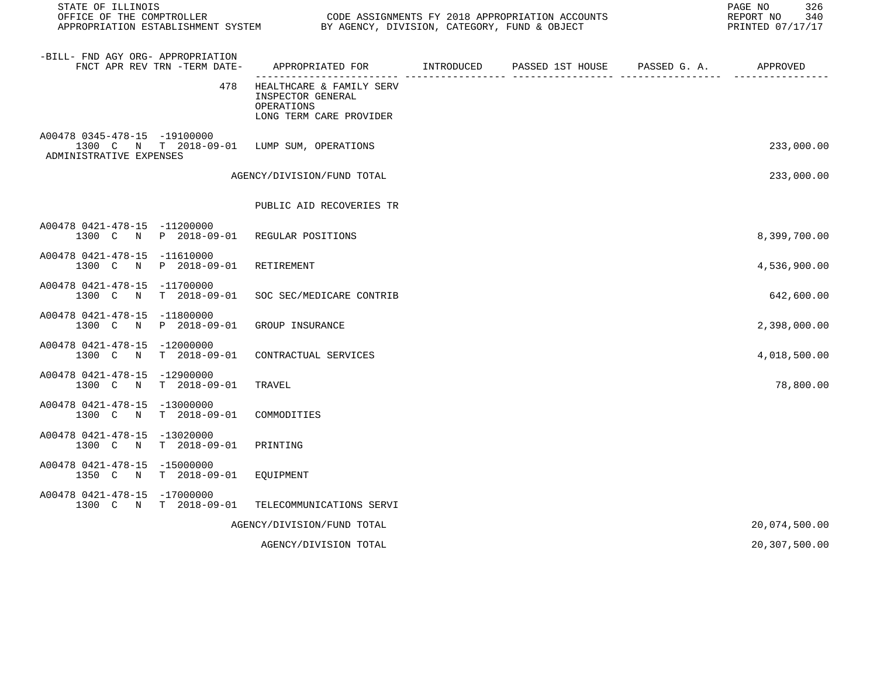| STATE OF ILLINOIS                                                                                     |                                                                                        | PAGE NO<br>CODE ASSIGNMENTS FY 2018 APPROPRIATION ACCOUNTS<br>REPORT NO<br>PRINTED 07/17/17 |                                        |  |               |
|-------------------------------------------------------------------------------------------------------|----------------------------------------------------------------------------------------|---------------------------------------------------------------------------------------------|----------------------------------------|--|---------------|
| -BILL- FND AGY ORG- APPROPRIATION<br>FNCT APR REV TRN -TERM DATE-                                     | APPROPRIATED FOR INTRODUCED                                                            |                                                                                             | PASSED 1ST HOUSE PASSED G. A. APPROVED |  |               |
| 478                                                                                                   | HEALTHCARE & FAMILY SERV<br>INSPECTOR GENERAL<br>OPERATIONS<br>LONG TERM CARE PROVIDER |                                                                                             |                                        |  |               |
| A00478 0345-478-15 -19100000<br>1300 C N T 2018-09-01 LUMP SUM, OPERATIONS<br>ADMINISTRATIVE EXPENSES |                                                                                        |                                                                                             |                                        |  | 233,000.00    |
|                                                                                                       | AGENCY/DIVISION/FUND TOTAL                                                             |                                                                                             |                                        |  | 233,000.00    |
|                                                                                                       | PUBLIC AID RECOVERIES TR                                                               |                                                                                             |                                        |  |               |
| A00478 0421-478-15 -11200000<br>1300 C N P 2018-09-01 REGULAR POSITIONS                               |                                                                                        |                                                                                             |                                        |  | 8,399,700.00  |
| A00478 0421-478-15 -11610000<br>1300 C N P 2018-09-01                                                 | RETIREMENT                                                                             |                                                                                             |                                        |  | 4,536,900.00  |
| A00478 0421-478-15 -11700000<br>1300 C N T 2018-09-01                                                 | SOC SEC/MEDICARE CONTRIB                                                               |                                                                                             |                                        |  | 642,600.00    |
| A00478 0421-478-15 -11800000<br>1300 C N P 2018-09-01                                                 | GROUP INSURANCE                                                                        |                                                                                             |                                        |  | 2,398,000.00  |
| A00478 0421-478-15 -12000000<br>1300 C N T 2018-09-01                                                 | CONTRACTUAL SERVICES                                                                   |                                                                                             |                                        |  | 4,018,500.00  |
| A00478 0421-478-15 -12900000<br>1300 C N T 2018-09-01                                                 | TRAVEL                                                                                 |                                                                                             |                                        |  | 78,800.00     |
| A00478 0421-478-15 -13000000<br>1300 C N T 2018-09-01                                                 | COMMODITIES                                                                            |                                                                                             |                                        |  |               |
| A00478 0421-478-15 -13020000<br>1300 C N T 2018-09-01                                                 | PRINTING                                                                               |                                                                                             |                                        |  |               |
| A00478 0421-478-15 -15000000<br>1350 C N T 2018-09-01                                                 | EQUIPMENT                                                                              |                                                                                             |                                        |  |               |
| A00478 0421-478-15 -17000000<br>1300 C N T 2018-09-01                                                 | TELECOMMUNICATIONS SERVI                                                               |                                                                                             |                                        |  |               |
|                                                                                                       | AGENCY/DIVISION/FUND TOTAL                                                             |                                                                                             |                                        |  | 20,074,500.00 |
|                                                                                                       | AGENCY/DIVISION TOTAL                                                                  |                                                                                             |                                        |  | 20,307,500.00 |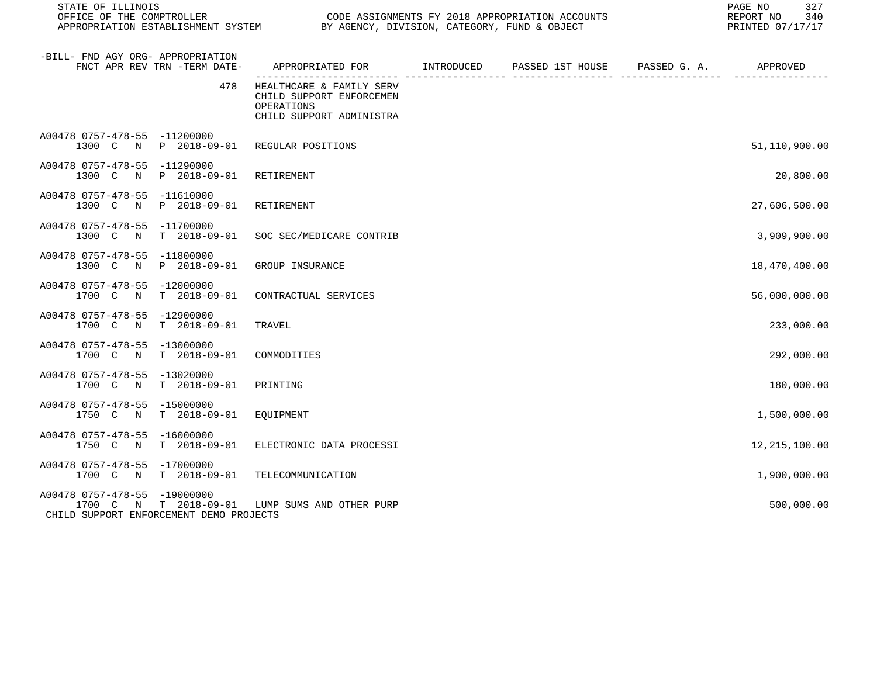| STATE OF ILLINOIS<br>OFFICE OF THE COMPTROLLER                          | CODE ASSIGNMENTS FY 2018 APPROPRIATION ACCOUNTS<br>APPROPRIATION ESTABLISHMENT SYSTEM BY AGENCY, DIVISION, CATEGORY, FUND & OBJECT |            |                  | 327<br>PAGE NO<br>REPORT NO<br>340<br>PRINTED 07/17/17 |               |
|-------------------------------------------------------------------------|------------------------------------------------------------------------------------------------------------------------------------|------------|------------------|--------------------------------------------------------|---------------|
| -BILL- FND AGY ORG- APPROPRIATION<br>FNCT APR REV TRN -TERM DATE-       | APPROPRIATED FOR                                                                                                                   | INTRODUCED | PASSED 1ST HOUSE | PASSED G. A.<br>---- ------                            | APPROVED      |
|                                                                         | 478<br>HEALTHCARE & FAMILY SERV<br>CHILD SUPPORT ENFORCEMEN<br>OPERATIONS<br>CHILD SUPPORT ADMINISTRA                              |            |                  |                                                        |               |
| A00478 0757-478-55 -11200000<br>1300 C N P 2018-09-01 REGULAR POSITIONS |                                                                                                                                    |            |                  |                                                        | 51,110,900.00 |
| A00478 0757-478-55 -11290000<br>1300 C<br>N<br>P 2018-09-01             | RETIREMENT                                                                                                                         |            |                  |                                                        | 20,800.00     |
| A00478 0757-478-55 -11610000<br>1300 C N P 2018-09-01                   | RETIREMENT                                                                                                                         |            |                  |                                                        | 27,606,500.00 |
| A00478 0757-478-55 -11700000<br>1300 C N T 2018-09-01                   | SOC SEC/MEDICARE CONTRIB                                                                                                           |            |                  |                                                        | 3,909,900.00  |
| A00478 0757-478-55 -11800000<br>1300 C N P 2018-09-01                   | GROUP INSURANCE                                                                                                                    |            |                  |                                                        | 18,470,400.00 |
| A00478 0757-478-55 -12000000<br>1700 C N T 2018-09-01                   | CONTRACTUAL SERVICES                                                                                                               |            |                  |                                                        | 56,000,000.00 |
| A00478 0757-478-55 -12900000<br>1700 C N T 2018-09-01                   | TRAVEL                                                                                                                             |            |                  |                                                        | 233,000.00    |
| A00478 0757-478-55 -13000000<br>T 2018-09-01<br>1700 C N                | COMMODITIES                                                                                                                        |            |                  |                                                        | 292,000.00    |
| A00478 0757-478-55 -13020000<br>1700 C N T 2018-09-01                   | PRINTING                                                                                                                           |            |                  |                                                        | 180,000.00    |
| A00478 0757-478-55 -15000000<br>1750 C N T 2018-09-01                   | EQUIPMENT                                                                                                                          |            |                  |                                                        | 1,500,000.00  |
| A00478 0757-478-55 -16000000<br>1750 C N T 2018-09-01                   | ELECTRONIC DATA PROCESSI                                                                                                           |            |                  |                                                        | 12,215,100.00 |
| A00478 0757-478-55 -17000000<br>1700 C N T 2018-09-01                   | TELECOMMUNICATION                                                                                                                  |            |                  |                                                        | 1,900,000.00  |
| A00478 0757-478-55 -19000000<br>CHILD SUPPORT ENFORCEMENT DEMO PROJECTS | 1700 C N T 2018-09-01 LUMP SUMS AND OTHER PURP                                                                                     |            |                  |                                                        | 500,000.00    |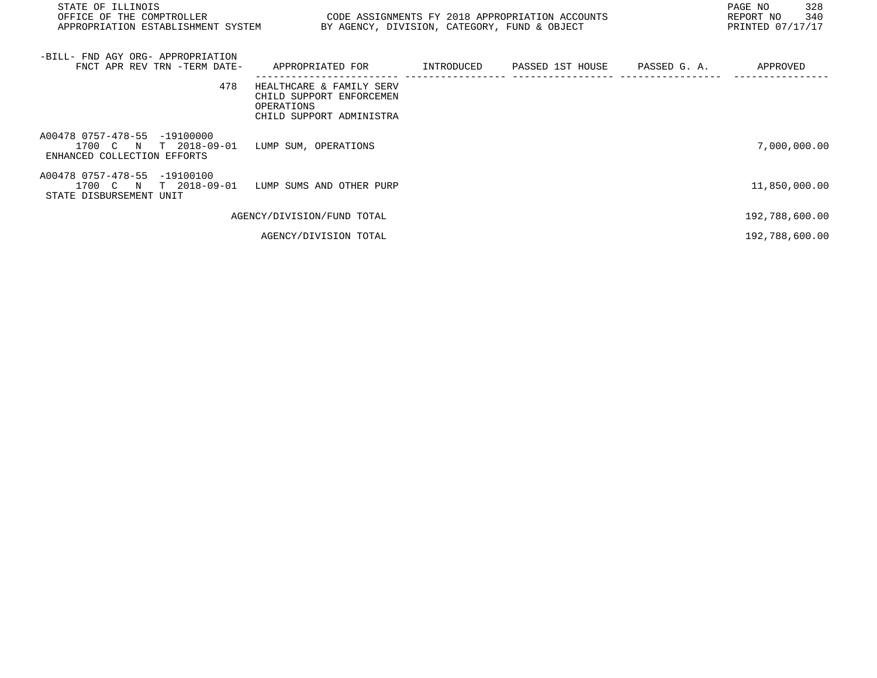| STATE OF ILLINOIS<br>OFFICE OF THE COMPTROLLER<br>APPROPRIATION ESTABLISHMENT SYSTEM    | CODE ASSIGNMENTS FY 2018 APPROPRIATION ACCOUNTS<br>BY AGENCY, DIVISION, CATEGORY, FUND & OBJECT |            |                  |              | PAGE NO<br>328<br>340<br>REPORT NO<br>PRINTED 07/17/17 |
|-----------------------------------------------------------------------------------------|-------------------------------------------------------------------------------------------------|------------|------------------|--------------|--------------------------------------------------------|
| -BILL- FND AGY ORG- APPROPRIATION<br>FNCT APR REV TRN -TERM DATE-                       | APPROPRIATED FOR                                                                                | INTRODUCED | PASSED 1ST HOUSE | PASSED G. A. | APPROVED                                               |
| 478                                                                                     | HEALTHCARE & FAMILY SERV<br>CHILD SUPPORT ENFORCEMEN<br>OPERATIONS<br>CHILD SUPPORT ADMINISTRA  |            |                  |              |                                                        |
| A00478 0757-478-55 -19100000<br>1700 C N<br>T 2018-09-01<br>ENHANCED COLLECTION EFFORTS | LUMP SUM, OPERATIONS                                                                            |            |                  |              | 7,000,000.00                                           |
| A00478 0757-478-55 -19100100<br>1700 C N<br>T 2018-09-01<br>STATE DISBURSEMENT UNIT     | LUMP SUMS AND OTHER PURP                                                                        |            |                  |              | 11,850,000.00                                          |
|                                                                                         | AGENCY/DIVISION/FUND TOTAL                                                                      |            |                  |              | 192,788,600.00                                         |
|                                                                                         | AGENCY/DIVISION TOTAL                                                                           |            |                  |              | 192,788,600.00                                         |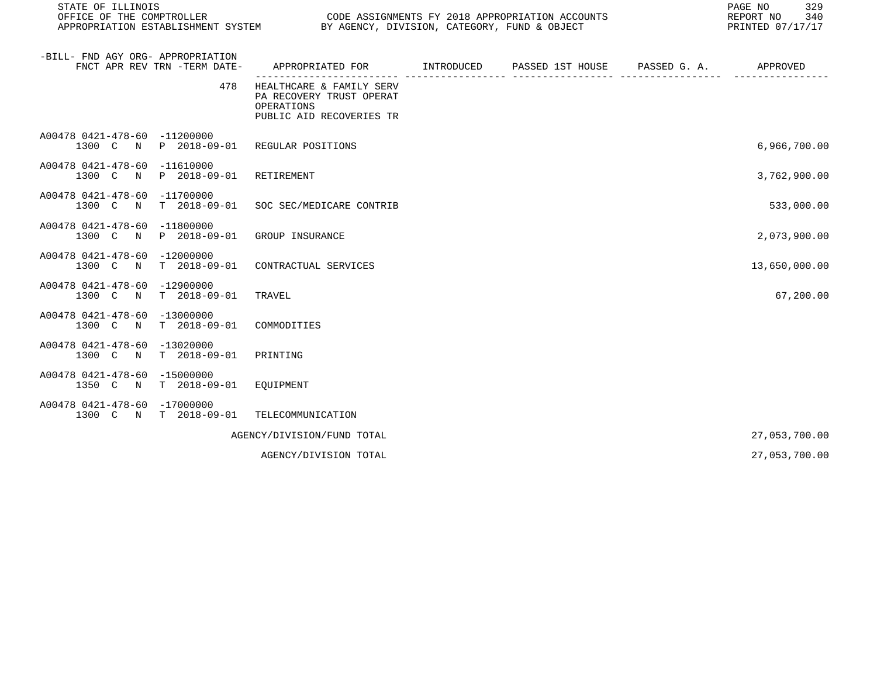| STATE OF ILLINOIS<br>OFFICE OF THE COMPTROLLER<br>APPROPRIATION ESTABLISHMENT SYSTEM | CODE ASSIGNMENTS FY 2018 APPROPRIATION ACCOUNTS<br>BY AGENCY, DIVISION, CATEGORY, FUND & OBJECT | 329<br>PAGE NO<br>REPORT NO<br>340<br>PRINTED 07/17/17 |  |               |
|--------------------------------------------------------------------------------------|-------------------------------------------------------------------------------------------------|--------------------------------------------------------|--|---------------|
| -BILL- FND AGY ORG- APPROPRIATION<br>FNCT APR REV TRN -TERM DATE-                    | APPROPRIATED FOR TINTRODUCED PASSED 1ST HOUSE PASSED G.A.                                       |                                                        |  | APPROVED      |
| 478                                                                                  | HEALTHCARE & FAMILY SERV<br>PA RECOVERY TRUST OPERAT<br>OPERATIONS<br>PUBLIC AID RECOVERIES TR  |                                                        |  |               |
| A00478 0421-478-60 -11200000<br>1300 C N P 2018-09-01                                | REGULAR POSITIONS                                                                               |                                                        |  | 6,966,700.00  |
| A00478 0421-478-60 -11610000<br>P 2018-09-01<br>1300 C<br>$\mathbb N$                | RETIREMENT                                                                                      |                                                        |  | 3,762,900.00  |
| A00478 0421-478-60<br>$-11700000$<br>1300 C<br>$T = 2018 - 09 - 01$<br>$\mathbb N$   | SOC SEC/MEDICARE CONTRIB                                                                        |                                                        |  | 533,000.00    |
| A00478 0421-478-60 -11800000<br>P 2018-09-01<br>1300 C<br>$\mathbb N$                | GROUP INSURANCE                                                                                 |                                                        |  | 2,073,900.00  |
| A00478 0421-478-60 -12000000<br>1300 C<br>$\mathbf N$<br>$T = 2018 - 09 - 01$        | CONTRACTUAL SERVICES                                                                            |                                                        |  | 13,650,000.00 |
| A00478 0421-478-60<br>$-12900000$<br>$T = 2018 - 09 - 01$<br>1300 C N                | TRAVEL                                                                                          |                                                        |  | 67,200.00     |
| A00478 0421-478-60<br>$-13000000$<br>$T = 2018 - 09 - 01$<br>1300 C<br>$\mathbb N$   | COMMODITIES                                                                                     |                                                        |  |               |
| A00478 0421-478-60<br>-13020000<br>$T = 2018 - 09 - 01$<br>1300 C<br>$\mathbb N$     | PRINTING                                                                                        |                                                        |  |               |
| A00478 0421-478-60 -15000000<br>1350 C<br>$T = 2018 - 09 - 01$<br>$\mathbb N$        | EQUIPMENT                                                                                       |                                                        |  |               |
| A00478 0421-478-60 -17000000<br>1300 C N<br>T 2018-09-01                             | TELECOMMUNICATION                                                                               |                                                        |  |               |
|                                                                                      | AGENCY/DIVISION/FUND TOTAL                                                                      |                                                        |  | 27,053,700.00 |
|                                                                                      | AGENCY/DIVISION TOTAL                                                                           |                                                        |  | 27,053,700.00 |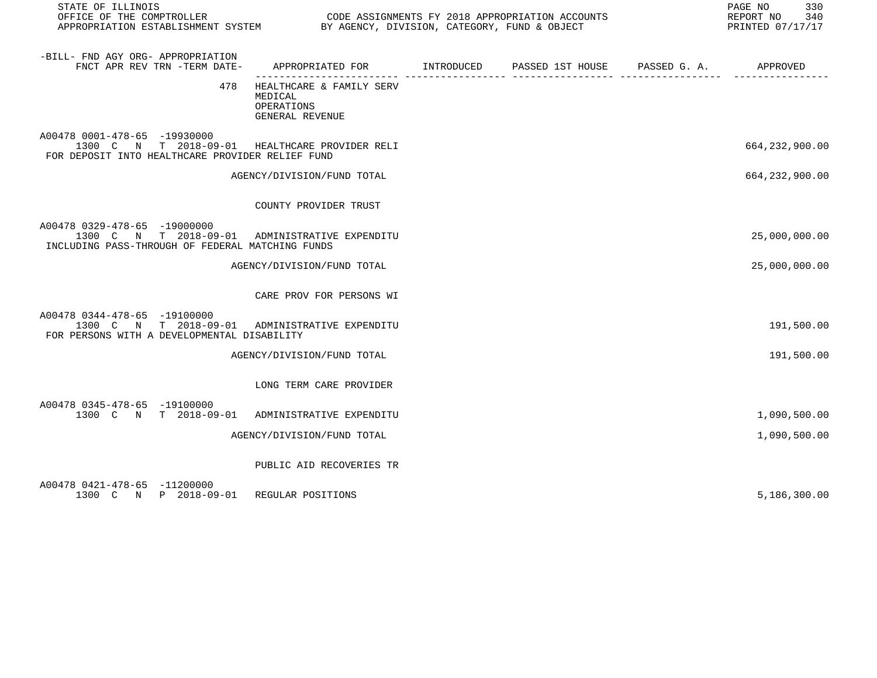| STATE OF ILLINOIS<br>OFFICE OF THE COMPTROLLER<br>APPROPRIATION ESTABLISHMENT SYSTEM BY AGENCY, DIVISION, CATEGORY, FUND & OBJECT  | CODE ASSIGNMENTS FY 2018 APPROPRIATION ACCOUNTS                                            |  | 330<br>PAGE NO<br>REPORT NO 340<br>PRINTED 07/17/17 |
|------------------------------------------------------------------------------------------------------------------------------------|--------------------------------------------------------------------------------------------|--|-----------------------------------------------------|
| -BILL- FND AGY ORG- APPROPRIATION<br>FNCT APR REV TRN -TERM DATE-                                                                  | APPROPRIATED FOR        INTRODUCED      PASSED 1ST HOUSE     PASSED G. A.         APPROVED |  |                                                     |
| 478                                                                                                                                | HEALTHCARE & FAMILY SERV<br>MEDICAL<br>OPERATIONS<br>GENERAL REVENUE                       |  |                                                     |
| A00478 0001-478-65 -19930000<br>1300 C N T 2018-09-01 HEALTHCARE PROVIDER RELI<br>FOR DEPOSIT INTO HEALTHCARE PROVIDER RELIEF FUND |                                                                                            |  | 664, 232, 900.00                                    |
|                                                                                                                                    | AGENCY/DIVISION/FUND TOTAL                                                                 |  | 664, 232, 900.00                                    |
|                                                                                                                                    | COUNTY PROVIDER TRUST                                                                      |  |                                                     |
| A00478 0329-478-65 -19000000<br>1300 C N T 2018-09-01 ADMINISTRATIVE EXPENDITU<br>INCLUDING PASS-THROUGH OF FEDERAL MATCHING FUNDS |                                                                                            |  | 25,000,000.00                                       |
|                                                                                                                                    | AGENCY/DIVISION/FUND TOTAL                                                                 |  | 25,000,000.00                                       |
|                                                                                                                                    | CARE PROV FOR PERSONS WI                                                                   |  |                                                     |
| A00478 0344-478-65 -19100000<br>1300 C N T 2018-09-01 ADMINISTRATIVE EXPENDITU<br>FOR PERSONS WITH A DEVELOPMENTAL DISABILITY      |                                                                                            |  | 191,500.00                                          |
|                                                                                                                                    | AGENCY/DIVISION/FUND TOTAL                                                                 |  | 191,500.00                                          |
|                                                                                                                                    | LONG TERM CARE PROVIDER                                                                    |  |                                                     |
| A00478 0345-478-65 -19100000<br>1300 C N T 2018-09-01 ADMINISTRATIVE EXPENDITU                                                     |                                                                                            |  | 1,090,500.00                                        |
|                                                                                                                                    | AGENCY/DIVISION/FUND TOTAL                                                                 |  | 1,090,500.00                                        |
|                                                                                                                                    | PUBLIC AID RECOVERIES TR                                                                   |  |                                                     |
| A00478 0421-478-65 -11200000<br>1300 C N P 2018-09-01 REGULAR POSITIONS                                                            |                                                                                            |  | 5,186,300.00                                        |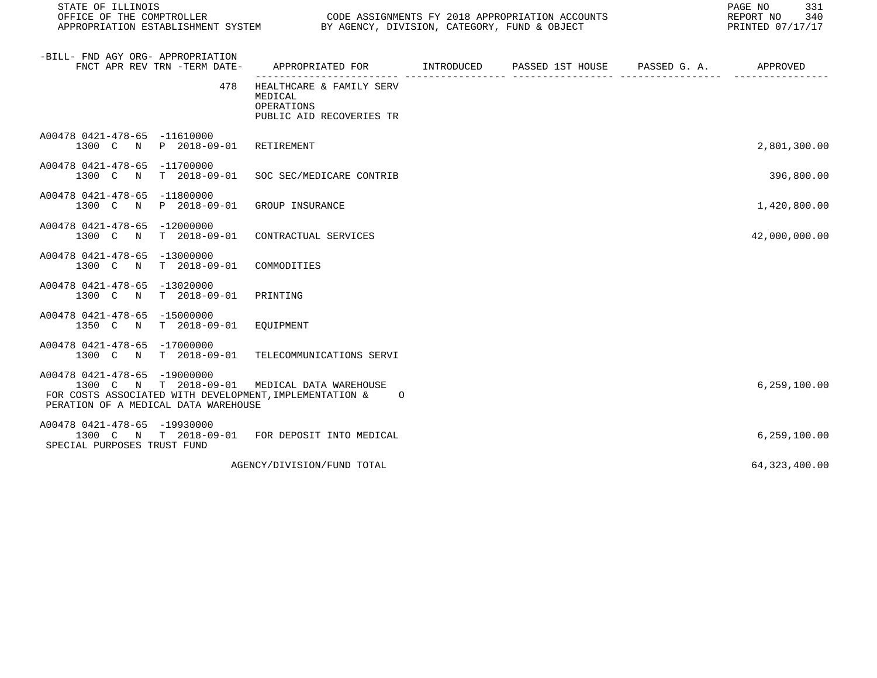| STATE OF ILLINOIS                                                                                                                         |                                                                               | 331<br>PAGE NO<br>REPORT NO<br>340<br>PRINTED 07/17/17 |  |                 |
|-------------------------------------------------------------------------------------------------------------------------------------------|-------------------------------------------------------------------------------|--------------------------------------------------------|--|-----------------|
| -BILL- FND AGY ORG- APPROPRIATION<br>FNCT APR REV TRN -TERM DATE-                                                                         | APPROPRIATED FOR INTRODUCED                                                   | PASSED 1ST HOUSE PASSED G. A. APPROVED                 |  |                 |
| 478                                                                                                                                       | HEALTHCARE & FAMILY SERV<br>MEDICAL<br>OPERATIONS<br>PUBLIC AID RECOVERIES TR |                                                        |  |                 |
| A00478 0421-478-65 -11610000<br>1300 C N P 2018-09-01                                                                                     | RETIREMENT                                                                    |                                                        |  | 2,801,300.00    |
| A00478 0421-478-65 -11700000<br>1300 C N T 2018-09-01 SOC SEC/MEDICARE CONTRIB                                                            |                                                                               |                                                        |  | 396,800.00      |
| A00478 0421-478-65 -11800000<br>1300 C N P 2018-09-01                                                                                     | GROUP INSURANCE                                                               |                                                        |  | 1,420,800.00    |
| A00478 0421-478-65 -12000000<br>T 2018-09-01<br>1300 C N                                                                                  | CONTRACTUAL SERVICES                                                          |                                                        |  | 42,000,000.00   |
| A00478 0421-478-65 -13000000<br>1300 C N T 2018-09-01                                                                                     | COMMODITIES                                                                   |                                                        |  |                 |
| A00478 0421-478-65 -13020000<br>T 2018-09-01<br>1300 C<br>N                                                                               | PRINTING                                                                      |                                                        |  |                 |
| A00478 0421-478-65 -15000000<br>1350 C N T 2018-09-01                                                                                     | EOUIPMENT                                                                     |                                                        |  |                 |
| A00478 0421-478-65 -17000000<br>1300 C N T 2018-09-01                                                                                     | TELECOMMUNICATIONS SERVI                                                      |                                                        |  |                 |
| A00478 0421-478-65 -19000000<br>1300 C<br>FOR COSTS ASSOCIATED WITH DEVELOPMENT, IMPLEMENTATION &<br>PERATION OF A MEDICAL DATA WAREHOUSE | N T 2018-09-01 MEDICAL DATA WAREHOUSE<br>$\circ$                              |                                                        |  | 6, 259, 100.00  |
| A00478 0421-478-65 -19930000<br>1300 C N T 2018-09-01 FOR DEPOSIT INTO MEDICAL<br>SPECIAL PURPOSES TRUST FUND                             |                                                                               |                                                        |  | 6,259,100.00    |
|                                                                                                                                           | AGENCY/DIVISION/FUND TOTAL                                                    |                                                        |  | 64, 323, 400.00 |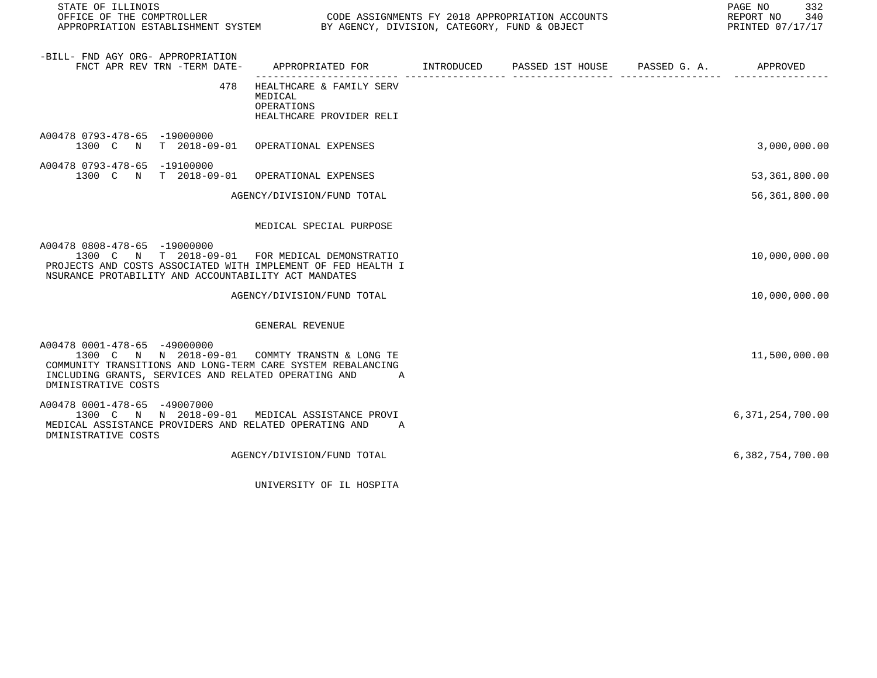| STATE OF ILLINOIS                                                                                                                                                                                                              |                                                                                                                         |  | 332<br>PAGE NO<br>340<br>REPORT NO<br>PRINTED 07/17/17 |
|--------------------------------------------------------------------------------------------------------------------------------------------------------------------------------------------------------------------------------|-------------------------------------------------------------------------------------------------------------------------|--|--------------------------------------------------------|
| -BILL- FND AGY ORG- APPROPRIATION<br>FNCT APR REV TRN -TERM DATE-                                                                                                                                                              | APPROPRIATED FOR        INTRODUCED      PASSED 1ST HOUSE     PASSED G. A.         APPROVED                              |  |                                                        |
| 478                                                                                                                                                                                                                            | ------------------ -------------------<br>HEALTHCARE & FAMILY SERV<br>MEDICAL<br>OPERATIONS<br>HEALTHCARE PROVIDER RELI |  |                                                        |
| A00478 0793-478-65 -19000000<br>1300 C N T 2018-09-01 OPERATIONAL EXPENSES                                                                                                                                                     |                                                                                                                         |  | 3,000,000.00                                           |
| A00478 0793-478-65 -19100000<br>1300 C N T 2018-09-01 OPERATIONAL EXPENSES                                                                                                                                                     |                                                                                                                         |  | 53,361,800.00                                          |
|                                                                                                                                                                                                                                | AGENCY/DIVISION/FUND TOTAL                                                                                              |  | 56, 361, 800.00                                        |
|                                                                                                                                                                                                                                | MEDICAL SPECIAL PURPOSE                                                                                                 |  |                                                        |
| A00478 0808-478-65 -19000000<br>1300 C N T 2018-09-01 FOR MEDICAL DEMONSTRATIO<br>PROJECTS AND COSTS ASSOCIATED WITH IMPLEMENT OF FED HEALTH I<br>NSURANCE PROTABILITY AND ACCOUNTABILITY ACT MANDATES                         |                                                                                                                         |  | 10,000,000.00                                          |
|                                                                                                                                                                                                                                | AGENCY/DIVISION/FUND TOTAL                                                                                              |  | 10,000,000.00                                          |
|                                                                                                                                                                                                                                | GENERAL REVENUE                                                                                                         |  |                                                        |
| A00478 0001-478-65 -49000000<br>1300 C N N 2018-09-01 COMMTY TRANSTN & LONG TE<br>COMMUNITY TRANSITIONS AND LONG-TERM CARE SYSTEM REBALANCING<br>INCLUDING GRANTS, SERVICES AND RELATED OPERATING AND A<br>DMINISTRATIVE COSTS |                                                                                                                         |  | 11,500,000.00                                          |
| A00478 0001-478-65 -49007000<br>1300 C N N 2018-09-01 MEDICAL ASSISTANCE PROVI<br>MEDICAL ASSISTANCE PROVIDERS AND RELATED OPERATING AND A<br>DMINISTRATIVE COSTS                                                              |                                                                                                                         |  | 6,371,254,700.00                                       |
|                                                                                                                                                                                                                                | AGENCY/DIVISION/FUND TOTAL                                                                                              |  | 6,382,754,700.00                                       |
|                                                                                                                                                                                                                                | UNIVERSITY OF IL HOSPITA                                                                                                |  |                                                        |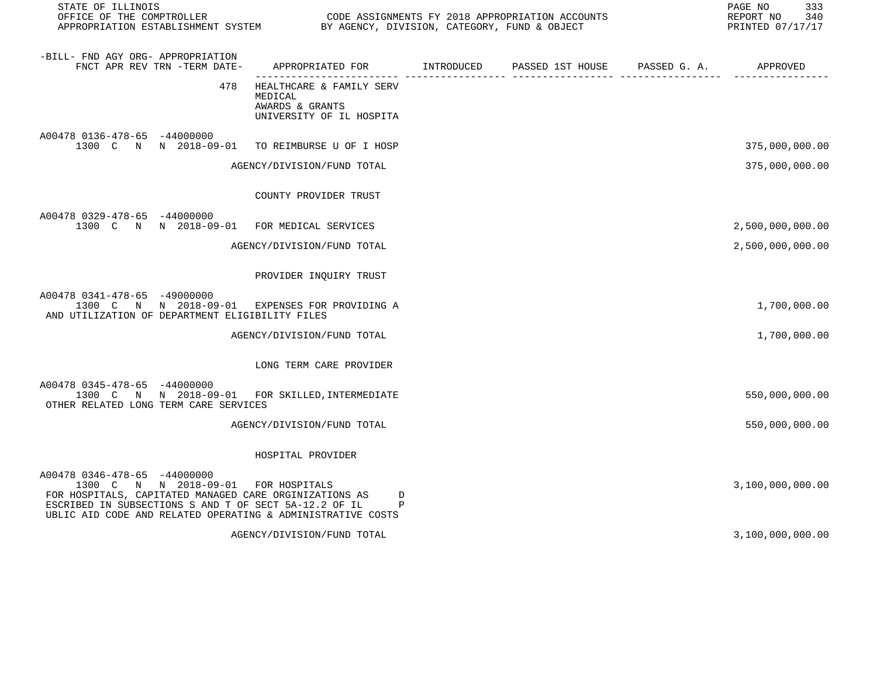| STATE OF ILLINOIS                                                                                                                                                                                                                                     |                                                                                    |                                        | 333<br>PAGE NO<br>REPORT NO<br>340<br>PRINTED 07/17/17 |
|-------------------------------------------------------------------------------------------------------------------------------------------------------------------------------------------------------------------------------------------------------|------------------------------------------------------------------------------------|----------------------------------------|--------------------------------------------------------|
| -BILL- FND AGY ORG- APPROPRIATION<br>FNCT APR REV TRN -TERM DATE-                                                                                                                                                                                     | APPROPRIATED FOR INTRODUCED                                                        | PASSED 1ST HOUSE PASSED G. A. APPROVED |                                                        |
| 478                                                                                                                                                                                                                                                   | HEALTHCARE & FAMILY SERV<br>MEDICAL<br>AWARDS & GRANTS<br>UNIVERSITY OF IL HOSPITA |                                        |                                                        |
| A00478 0136-478-65 -44000000<br>1300 C N N 2018-09-01                                                                                                                                                                                                 | TO REIMBURSE U OF I HOSP                                                           |                                        | 375,000,000.00                                         |
|                                                                                                                                                                                                                                                       | AGENCY/DIVISION/FUND TOTAL                                                         |                                        | 375,000,000.00                                         |
|                                                                                                                                                                                                                                                       | COUNTY PROVIDER TRUST                                                              |                                        |                                                        |
| A00478 0329-478-65 -44000000<br>1300 C N N 2018-09-01 FOR MEDICAL SERVICES                                                                                                                                                                            |                                                                                    |                                        | 2,500,000,000.00                                       |
|                                                                                                                                                                                                                                                       | AGENCY/DIVISION/FUND TOTAL                                                         |                                        | 2,500,000,000.00                                       |
|                                                                                                                                                                                                                                                       | PROVIDER INQUIRY TRUST                                                             |                                        |                                                        |
| A00478 0341-478-65 -49000000<br>1300 C N N 2018-09-01 EXPENSES FOR PROVIDING A<br>AND UTILIZATION OF DEPARTMENT ELIGIBILITY FILES                                                                                                                     |                                                                                    |                                        | 1,700,000.00                                           |
|                                                                                                                                                                                                                                                       | AGENCY/DIVISION/FUND TOTAL                                                         |                                        | 1,700,000.00                                           |
|                                                                                                                                                                                                                                                       | LONG TERM CARE PROVIDER                                                            |                                        |                                                        |
| A00478 0345-478-65 -44000000<br>1300 C N N 2018-09-01 FOR SKILLED, INTERMEDIATE<br>OTHER RELATED LONG TERM CARE SERVICES                                                                                                                              |                                                                                    |                                        | 550,000,000.00                                         |
|                                                                                                                                                                                                                                                       | AGENCY/DIVISION/FUND TOTAL                                                         |                                        | 550,000,000.00                                         |
|                                                                                                                                                                                                                                                       | HOSPITAL PROVIDER                                                                  |                                        |                                                        |
| A00478 0346-478-65 -44000000<br>1300 C N N 2018-09-01 FOR HOSPITALS<br>FOR HOSPITALS, CAPITATED MANAGED CARE ORGINIZATIONS AS<br>ESCRIBED IN SUBSECTIONS S AND T OF SECT 5A-12.2 OF IL<br>UBLIC AID CODE AND RELATED OPERATING & ADMINISTRATIVE COSTS | D<br>P                                                                             |                                        | 3,100,000,000.00                                       |

AGENCY/DIVISION/FUND TOTAL 3,100,000.00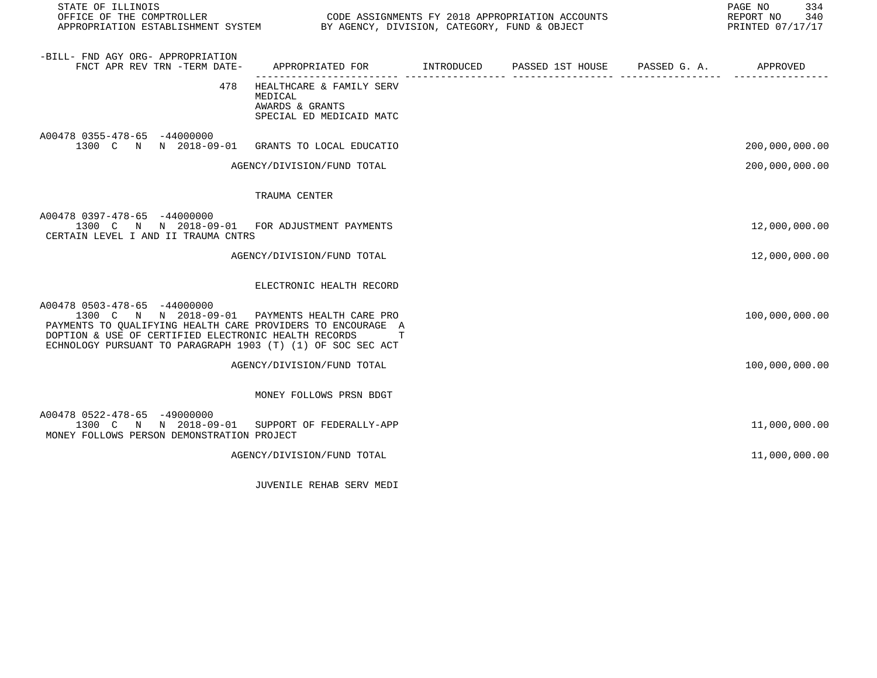| STATE OF ILLINOIS                                                                                                                                                                                                                                                    |                                                                                           |  | PAGE NO<br>334<br>REPORT NO 340<br>PRINTED 07/17/17 |
|----------------------------------------------------------------------------------------------------------------------------------------------------------------------------------------------------------------------------------------------------------------------|-------------------------------------------------------------------------------------------|--|-----------------------------------------------------|
| -BILL- FND AGY ORG- APPROPRIATION<br>FNCT APR REV TRN -TERM DATE-                                                                                                                                                                                                    | APPROPRIATED FOR        INTRODUCED     PASSED 1ST HOUSE     PASSED G. A.         APPROVED |  |                                                     |
| 478                                                                                                                                                                                                                                                                  | HEALTHCARE & FAMILY SERV<br>MEDICAL<br>AWARDS & GRANTS<br>SPECIAL ED MEDICAID MATC        |  |                                                     |
| A00478 0355-478-65 -44000000<br>1300 C N N 2018-09-01 GRANTS TO LOCAL EDUCATIO                                                                                                                                                                                       |                                                                                           |  | 200,000,000.00                                      |
|                                                                                                                                                                                                                                                                      | AGENCY/DIVISION/FUND TOTAL                                                                |  | 200,000,000.00                                      |
|                                                                                                                                                                                                                                                                      | TRAUMA CENTER                                                                             |  |                                                     |
| A00478 0397-478-65 -44000000<br>1300 C N N 2018-09-01 FOR ADJUSTMENT PAYMENTS<br>CERTAIN LEVEL I AND II TRAUMA CNTRS                                                                                                                                                 |                                                                                           |  | 12,000,000.00                                       |
|                                                                                                                                                                                                                                                                      | AGENCY/DIVISION/FUND TOTAL                                                                |  | 12,000,000.00                                       |
|                                                                                                                                                                                                                                                                      | ELECTRONIC HEALTH RECORD                                                                  |  |                                                     |
| A00478 0503-478-65 -44000000<br>1300 C N N 2018-09-01 PAYMENTS HEALTH CARE PRO<br>PAYMENTS TO QUALIFYING HEALTH CARE PROVIDERS TO ENCOURAGE A<br>DOPTION & USE OF CERTIFIED ELECTRONIC HEALTH RECORDS<br>ECHNOLOGY PURSUANT TO PARAGRAPH 1903 (T) (1) OF SOC SEC ACT |                                                                                           |  | 100,000,000.00                                      |
|                                                                                                                                                                                                                                                                      | AGENCY/DIVISION/FUND TOTAL                                                                |  | 100,000,000.00                                      |
|                                                                                                                                                                                                                                                                      | MONEY FOLLOWS PRSN BDGT                                                                   |  |                                                     |
| A00478 0522-478-65 -49000000<br>1300 C N N 2018-09-01 SUPPORT OF FEDERALLY-APP<br>MONEY FOLLOWS PERSON DEMONSTRATION PROJECT                                                                                                                                         |                                                                                           |  | 11,000,000.00                                       |
|                                                                                                                                                                                                                                                                      | AGENCY/DIVISION/FUND TOTAL                                                                |  | 11,000,000.00                                       |
|                                                                                                                                                                                                                                                                      |                                                                                           |  |                                                     |

JUVENILE REHAB SERV MEDI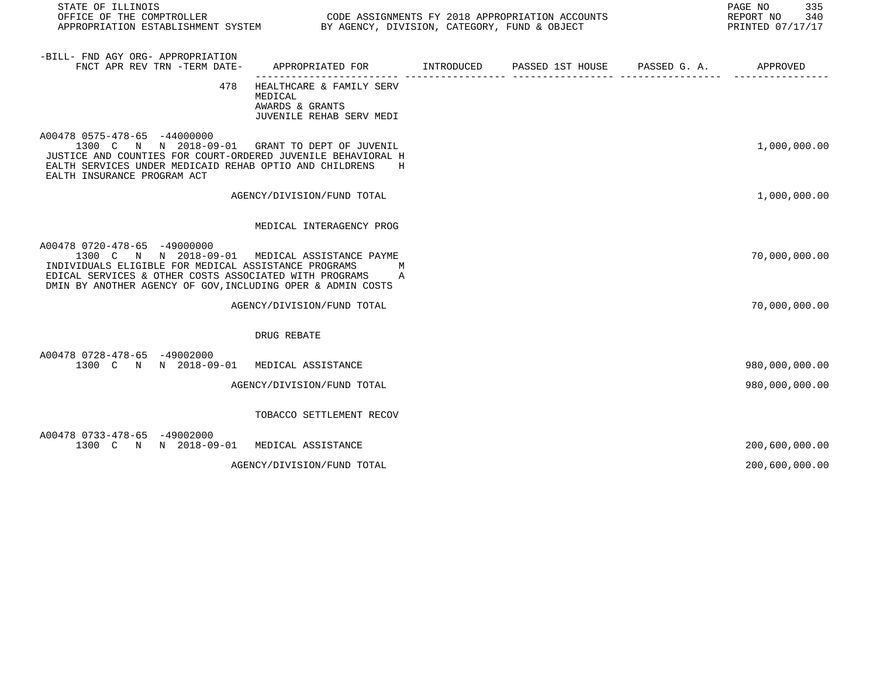| STATE OF ILLINOIS<br>OFFICE OF THE COMPTROLLER<br>APPROPRIATION ESTABLISHMENT SYSTEM BY AGENCY, DIVISION, CATEGORY, FUND & OBJECT                                                                                                                               | CODE ASSIGNMENTS FY 2018 APPROPRIATION ACCOUNTS                                    |                               | PAGE NO<br>335<br>REPORT NO<br>340<br>PRINTED 07/17/17 |
|-----------------------------------------------------------------------------------------------------------------------------------------------------------------------------------------------------------------------------------------------------------------|------------------------------------------------------------------------------------|-------------------------------|--------------------------------------------------------|
| -BILL- FND AGY ORG- APPROPRIATION<br>FNCT APR REV TRN -TERM DATE-                                                                                                                                                                                               | APPROPRIATED FOR INTRODUCED                                                        | PASSED 1ST HOUSE PASSED G. A. | APPROVED                                               |
| 478                                                                                                                                                                                                                                                             | HEALTHCARE & FAMILY SERV<br>MEDICAL<br>AWARDS & GRANTS<br>JUVENILE REHAB SERV MEDI |                               |                                                        |
| A00478 0575-478-65 -44000000<br>1300 C N N 2018-09-01 GRANT TO DEPT OF JUVENIL<br>JUSTICE AND COUNTIES FOR COURT-ORDERED JUVENILE BEHAVIORAL H<br>EALTH SERVICES UNDER MEDICAID REHAB OPTIO AND CHILDRENS<br>EALTH INSURANCE PROGRAM ACT                        | H                                                                                  |                               | 1,000,000.00                                           |
|                                                                                                                                                                                                                                                                 | AGENCY/DIVISION/FUND TOTAL                                                         |                               | 1,000,000.00                                           |
|                                                                                                                                                                                                                                                                 | MEDICAL INTERAGENCY PROG                                                           |                               |                                                        |
| A00478 0720-478-65 -49000000<br>1300 C N N 2018-09-01 MEDICAL ASSISTANCE PAYME<br>INDIVIDUALS ELIGIBLE FOR MEDICAL ASSISTANCE PROGRAMS<br>EDICAL SERVICES & OTHER COSTS ASSOCIATED WITH PROGRAMS<br>DMIN BY ANOTHER AGENCY OF GOV, INCLUDING OPER & ADMIN COSTS | M<br>Α                                                                             |                               | 70,000,000.00                                          |
|                                                                                                                                                                                                                                                                 | AGENCY/DIVISION/FUND TOTAL                                                         |                               | 70,000,000.00                                          |
|                                                                                                                                                                                                                                                                 | DRUG REBATE                                                                        |                               |                                                        |
| A00478 0728-478-65 -49002000<br>1300 C N N 2018-09-01 MEDICAL ASSISTANCE                                                                                                                                                                                        |                                                                                    |                               | 980,000,000.00                                         |
|                                                                                                                                                                                                                                                                 | AGENCY/DIVISION/FUND TOTAL                                                         |                               | 980,000,000.00                                         |
|                                                                                                                                                                                                                                                                 | TOBACCO SETTLEMENT RECOV                                                           |                               |                                                        |
| A00478 0733-478-65 -49002000<br>1300 C N N 2018-09-01                                                                                                                                                                                                           | MEDICAL ASSISTANCE                                                                 |                               | 200,600,000.00                                         |
|                                                                                                                                                                                                                                                                 | AGENCY/DIVISION/FUND TOTAL                                                         |                               | 200,600,000.00                                         |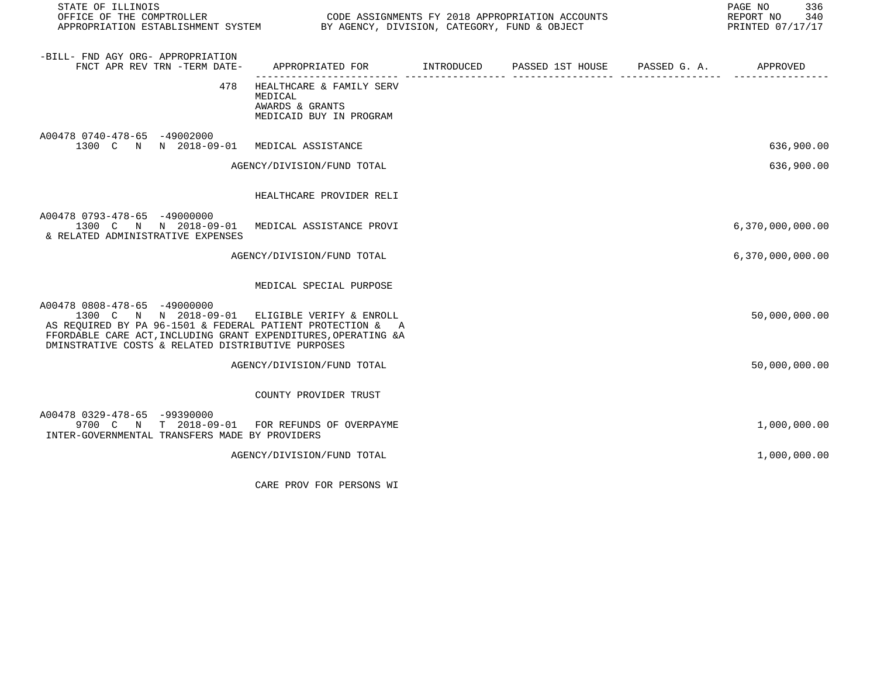| STATE OF ILLINOIS<br>OFFICE OF THE COMPTROLLER CODE ASSIGNMENTS FY 2018 APPROPRIATION ACCOUNTS<br>APPROPRIATION ESTABLISHMENT SYSTEM BY AGENCY, DIVISION, CATEGORY, FUND & OBJECT                                                                                    |                                                                                            |  | PAGE NO<br>336<br>REPORT NO 340<br>PRINTED 07/17/17 |
|----------------------------------------------------------------------------------------------------------------------------------------------------------------------------------------------------------------------------------------------------------------------|--------------------------------------------------------------------------------------------|--|-----------------------------------------------------|
| -BILL- FND AGY ORG- APPROPRIATION<br>FNCT APR REV TRN -TERM DATE-                                                                                                                                                                                                    | APPROPRIATED FOR        INTRODUCED      PASSED 1ST HOUSE     PASSED G. A.         APPROVED |  |                                                     |
| 478                                                                                                                                                                                                                                                                  | HEALTHCARE & FAMILY SERV<br>MEDICAL<br>AWARDS & GRANTS<br>MEDICAID BUY IN PROGRAM          |  |                                                     |
| A00478 0740-478-65 -49002000<br>1300 C N N 2018-09-01 MEDICAL ASSISTANCE                                                                                                                                                                                             |                                                                                            |  | 636,900.00                                          |
|                                                                                                                                                                                                                                                                      | AGENCY/DIVISION/FUND TOTAL                                                                 |  | 636,900.00                                          |
|                                                                                                                                                                                                                                                                      | HEALTHCARE PROVIDER RELI                                                                   |  |                                                     |
| A00478 0793-478-65 -49000000<br>1300 C N N 2018-09-01 MEDICAL ASSISTANCE PROVI<br>& RELATED ADMINISTRATIVE EXPENSES                                                                                                                                                  |                                                                                            |  | 6,370,000,000.00                                    |
|                                                                                                                                                                                                                                                                      | AGENCY/DIVISION/FUND TOTAL                                                                 |  | 6,370,000,000.00                                    |
|                                                                                                                                                                                                                                                                      | MEDICAL SPECIAL PURPOSE                                                                    |  |                                                     |
| A00478 0808-478-65 -49000000<br>1300 C N N 2018-09-01 ELIGIBLE VERIFY & ENROLL<br>AS REQUIRED BY PA 96-1501 & FEDERAL PATIENT PROTECTION & A<br>FFORDABLE CARE ACT, INCLUDING GRANT EXPENDITURES, OPERATING &A<br>DMINSTRATIVE COSTS & RELATED DISTRIBUTIVE PURPOSES |                                                                                            |  | 50,000,000.00                                       |
|                                                                                                                                                                                                                                                                      | AGENCY/DIVISION/FUND TOTAL                                                                 |  | 50,000,000.00                                       |
|                                                                                                                                                                                                                                                                      | COUNTY PROVIDER TRUST                                                                      |  |                                                     |
| A00478 0329-478-65 -99390000<br>9700 C N T 2018-09-01 FOR REFUNDS OF OVERPAYME<br>INTER-GOVERNMENTAL TRANSFERS MADE BY PROVIDERS                                                                                                                                     |                                                                                            |  | 1,000,000.00                                        |
|                                                                                                                                                                                                                                                                      | AGENCY/DIVISION/FUND TOTAL                                                                 |  | 1,000,000.00                                        |

CARE PROV FOR PERSONS WI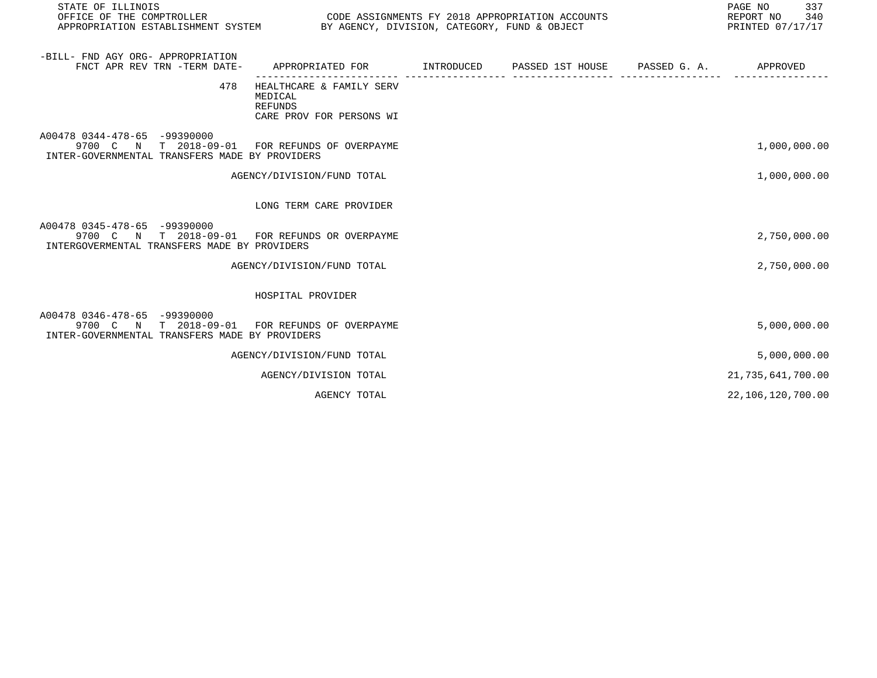| STATE OF ILLINOIS                                                                                                                |                                                                                           |  | PAGE NO<br>337<br>REPORT NO 340<br>PRINTED 07/17/17 |
|----------------------------------------------------------------------------------------------------------------------------------|-------------------------------------------------------------------------------------------|--|-----------------------------------------------------|
| -BILL- FND AGY ORG- APPROPRIATION<br>FNCT APR REV TRN -TERM DATE-                                                                | APPROPRIATED FOR        INTRODUCED     PASSED 1ST HOUSE     PASSED G. A.         APPROVED |  |                                                     |
| 478                                                                                                                              | HEALTHCARE & FAMILY SERV<br>MEDICAL<br>REFUNDS<br>CARE PROV FOR PERSONS WI                |  |                                                     |
| A00478 0344-478-65 -99390000<br>9700 C N T 2018-09-01 FOR REFUNDS OF OVERPAYME<br>INTER-GOVERNMENTAL TRANSFERS MADE BY PROVIDERS |                                                                                           |  | 1,000,000.00                                        |
|                                                                                                                                  | AGENCY/DIVISION/FUND TOTAL                                                                |  | 1,000,000.00                                        |
|                                                                                                                                  | LONG TERM CARE PROVIDER                                                                   |  |                                                     |
| A00478 0345-478-65 -99390000<br>9700 C N T 2018-09-01 FOR REFUNDS OR OVERPAYME<br>INTERGOVERMENTAL TRANSFERS MADE BY PROVIDERS   |                                                                                           |  | 2,750,000.00                                        |
|                                                                                                                                  | AGENCY/DIVISION/FUND TOTAL                                                                |  | 2,750,000.00                                        |
|                                                                                                                                  | HOSPITAL PROVIDER                                                                         |  |                                                     |
| A00478 0346-478-65 -99390000<br>9700 C N T 2018-09-01 FOR REFUNDS OF OVERPAYME<br>INTER-GOVERNMENTAL TRANSFERS MADE BY PROVIDERS |                                                                                           |  | 5,000,000.00                                        |
|                                                                                                                                  | AGENCY/DIVISION/FUND TOTAL                                                                |  | 5,000,000.00                                        |
|                                                                                                                                  | AGENCY/DIVISION TOTAL                                                                     |  | 21, 735, 641, 700.00                                |
|                                                                                                                                  | AGENCY TOTAL                                                                              |  | 22,106,120,700.00                                   |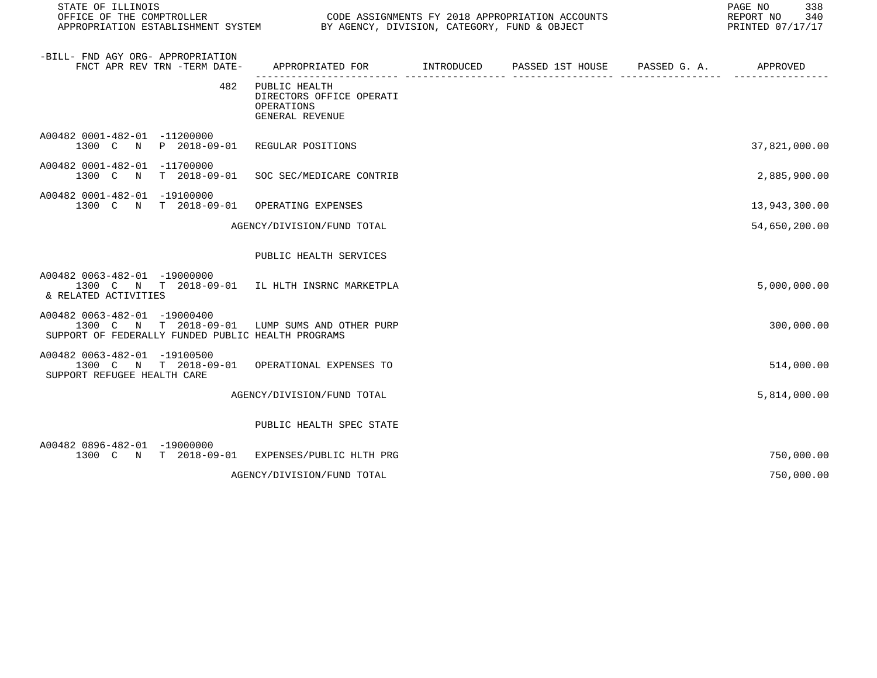| STATE OF ILLINOIS                                                                                                                    |                                                                                          |  | 338<br>PAGE NO<br>REPORT NO<br>340<br>PRINTED 07/17/17 |
|--------------------------------------------------------------------------------------------------------------------------------------|------------------------------------------------------------------------------------------|--|--------------------------------------------------------|
| -BILL- FND AGY ORG- APPROPRIATION<br>FNCT APR REV TRN -TERM DATE-                                                                    | APPROPRIATED FOR       INTRODUCED     PASSED 1ST HOUSE     PASSED G. A.         APPROVED |  |                                                        |
| 482                                                                                                                                  | PUBLIC HEALTH<br>DIRECTORS OFFICE OPERATI<br>OPERATIONS<br>GENERAL REVENUE               |  |                                                        |
| A00482 0001-482-01 -11200000<br>1300 C N P 2018-09-01 REGULAR POSITIONS                                                              |                                                                                          |  | 37,821,000.00                                          |
| A00482 0001-482-01 -11700000<br>T 2018-09-01<br>1300 C<br>$\mathbb N$                                                                | SOC SEC/MEDICARE CONTRIB                                                                 |  | 2,885,900.00                                           |
| A00482 0001-482-01 -19100000<br>1300 C N T 2018-09-01                                                                                | OPERATING EXPENSES                                                                       |  | 13,943,300.00                                          |
|                                                                                                                                      | AGENCY/DIVISION/FUND TOTAL                                                               |  | 54,650,200.00                                          |
|                                                                                                                                      | PUBLIC HEALTH SERVICES                                                                   |  |                                                        |
| A00482 0063-482-01 -19000000<br>1300 C N T 2018-09-01 IL HLTH INSRNC MARKETPLA<br>& RELATED ACTIVITIES                               |                                                                                          |  | 5,000,000.00                                           |
| A00482 0063-482-01 -19000400<br>1300 C N T 2018-09-01 LUMP SUMS AND OTHER PURP<br>SUPPORT OF FEDERALLY FUNDED PUBLIC HEALTH PROGRAMS |                                                                                          |  | 300,000.00                                             |
| A00482 0063-482-01 -19100500<br>1300 C N T 2018-09-01 OPERATIONAL EXPENSES TO<br>SUPPORT REFUGEE HEALTH CARE                         |                                                                                          |  | 514,000.00                                             |
|                                                                                                                                      | AGENCY/DIVISION/FUND TOTAL                                                               |  | 5,814,000.00                                           |
|                                                                                                                                      | PUBLIC HEALTH SPEC STATE                                                                 |  |                                                        |
| A00482 0896-482-01 -19000000<br>1300 C N T 2018-09-01 EXPENSES/PUBLIC HLTH PRG                                                       |                                                                                          |  | 750,000.00                                             |
|                                                                                                                                      | AGENCY/DIVISION/FUND TOTAL                                                               |  | 750,000.00                                             |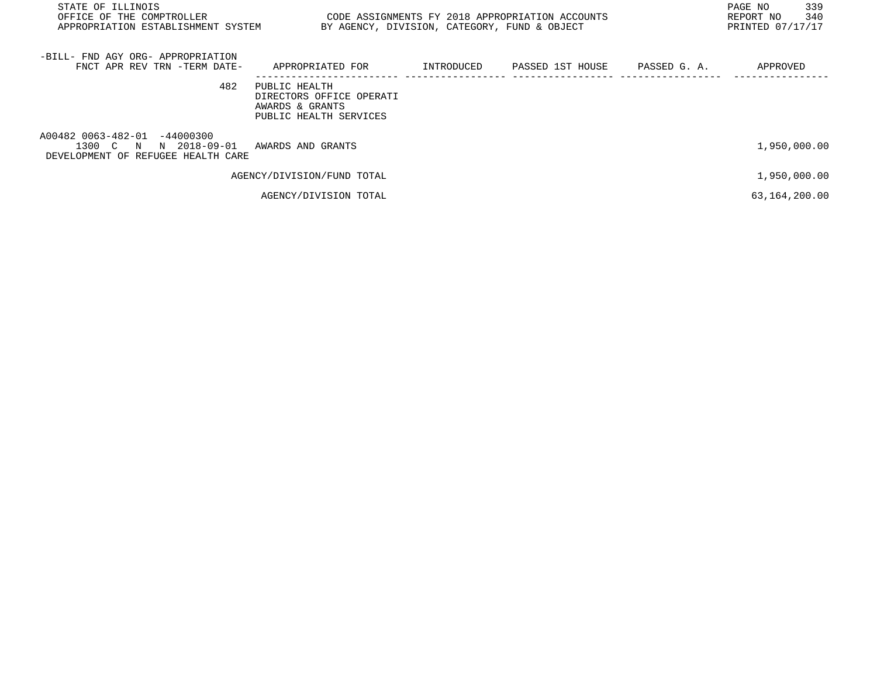| STATE OF ILLINOIS<br>OFFICE OF THE COMPTROLLER<br>APPROPRIATION ESTABLISHMENT SYSTEM        | CODE ASSIGNMENTS FY 2018 APPROPRIATION ACCOUNTS<br>BY AGENCY, DIVISION, CATEGORY, FUND & OBJECT |            | 339<br>PAGE NO<br>340<br>REPORT NO<br>PRINTED 07/17/17 |              |               |
|---------------------------------------------------------------------------------------------|-------------------------------------------------------------------------------------------------|------------|--------------------------------------------------------|--------------|---------------|
| -BILL- FND AGY ORG- APPROPRIATION<br>FNCT APR REV TRN -TERM DATE-                           | APPROPRIATED FOR                                                                                | INTRODUCED | PASSED 1ST HOUSE                                       | PASSED G. A. | APPROVED      |
| 482                                                                                         | PUBLIC HEALTH<br>DIRECTORS OFFICE OPERATI<br>AWARDS & GRANTS<br>PUBLIC HEALTH SERVICES          |            |                                                        |              |               |
| A00482 0063-482-01 -44000300<br>1300 C N N 2018-09-01<br>DEVELOPMENT OF REFUGEE HEALTH CARE | AWARDS AND GRANTS                                                                               |            |                                                        |              | 1,950,000.00  |
|                                                                                             | AGENCY/DIVISION/FUND TOTAL                                                                      |            |                                                        |              | 1,950,000.00  |
|                                                                                             | AGENCY/DIVISION TOTAL                                                                           |            |                                                        |              | 63,164,200.00 |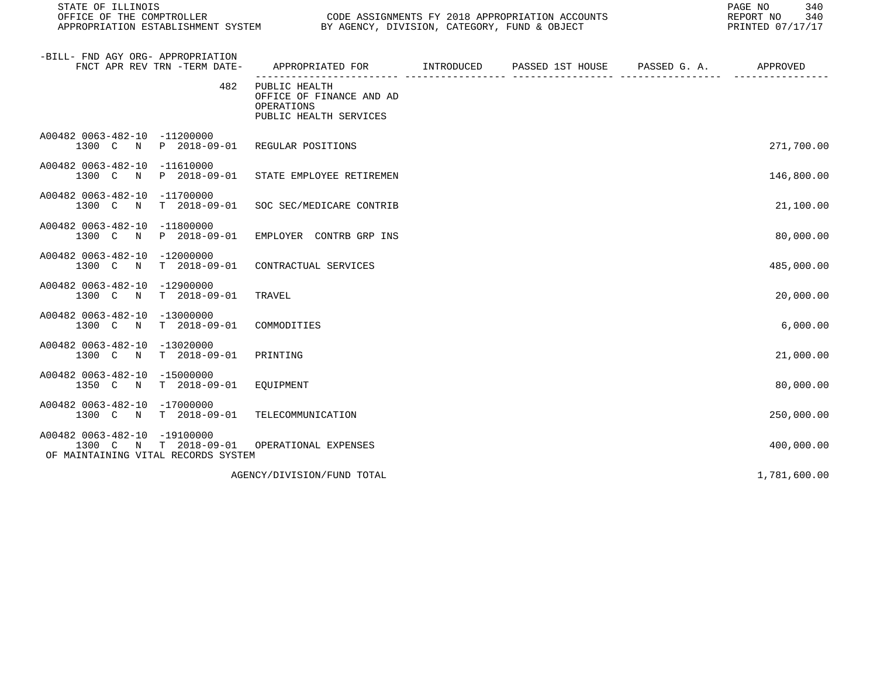| STATE OF ILLINOIS<br>OFFICE OF THE COMPTROLLER<br>APPROPRIATION ESTABLISHMENT SYSTEM                                    |                                                                                   | 340<br>PAGE NO<br>REPORT NO<br>340<br>PRINTED 07/17/17 |              |              |
|-------------------------------------------------------------------------------------------------------------------------|-----------------------------------------------------------------------------------|--------------------------------------------------------|--------------|--------------|
| -BILL- FND AGY ORG- APPROPRIATION<br>FNCT APR REV TRN -TERM DATE-                                                       | APPROPRIATED FOR INTRODUCED                                                       | PASSED 1ST HOUSE                                       | PASSED G. A. | APPROVED     |
| 482                                                                                                                     | PUBLIC HEALTH<br>OFFICE OF FINANCE AND AD<br>OPERATIONS<br>PUBLIC HEALTH SERVICES |                                                        |              |              |
| A00482 0063-482-10 -11200000<br>1300 C N<br>P 2018-09-01                                                                | REGULAR POSITIONS                                                                 |                                                        |              | 271,700.00   |
| A00482 0063-482-10<br>-11610000<br>P 2018-09-01<br>1300 C<br>$\mathbb N$                                                | STATE EMPLOYEE RETIREMEN                                                          |                                                        |              | 146,800.00   |
| A00482 0063-482-10<br>$-11700000$<br>1300 C<br>T 2018-09-01<br>$\mathbb N$                                              | SOC SEC/MEDICARE CONTRIB                                                          |                                                        |              | 21,100.00    |
| A00482 0063-482-10 -11800000<br>1300 C<br>P 2018-09-01<br>N                                                             | EMPLOYER CONTRB GRP INS                                                           |                                                        |              | 80,000.00    |
| A00482 0063-482-10<br>$-12000000$<br>1300 C<br>$\mathbb N$<br>$T = 2018 - 09 - 01$                                      | CONTRACTUAL SERVICES                                                              |                                                        |              | 485,000.00   |
| A00482 0063-482-10<br>$-12900000$<br>1300 C<br>T 2018-09-01<br>$\mathbb N$                                              | TRAVEL                                                                            |                                                        |              | 20,000.00    |
| A00482 0063-482-10 -13000000<br>$T = 2018 - 09 - 01$<br>1300 C N                                                        | COMMODITIES                                                                       |                                                        |              | 6,000.00     |
| A00482 0063-482-10<br>$-13020000$<br>1300 C<br>$\mathbb N$<br>$T = 2018 - 09 - 01$                                      | PRINTING                                                                          |                                                        |              | 21,000.00    |
| A00482 0063-482-10<br>$-15000000$<br>1350 C<br>T 2018-09-01<br>$\mathbb N$                                              | EQUIPMENT                                                                         |                                                        |              | 80,000.00    |
| A00482 0063-482-10 -17000000<br>$T = 2018 - 09 - 01$<br>1300 C N                                                        | TELECOMMUNICATION                                                                 |                                                        |              | 250,000.00   |
| A00482 0063-482-10<br>-19100000<br>$T = 2018 - 09 - 01$<br>1300 C<br>$\mathbb N$<br>OF MAINTAINING VITAL RECORDS SYSTEM | OPERATIONAL EXPENSES                                                              |                                                        |              | 400,000.00   |
|                                                                                                                         | AGENCY/DIVISION/FUND TOTAL                                                        |                                                        |              | 1,781,600.00 |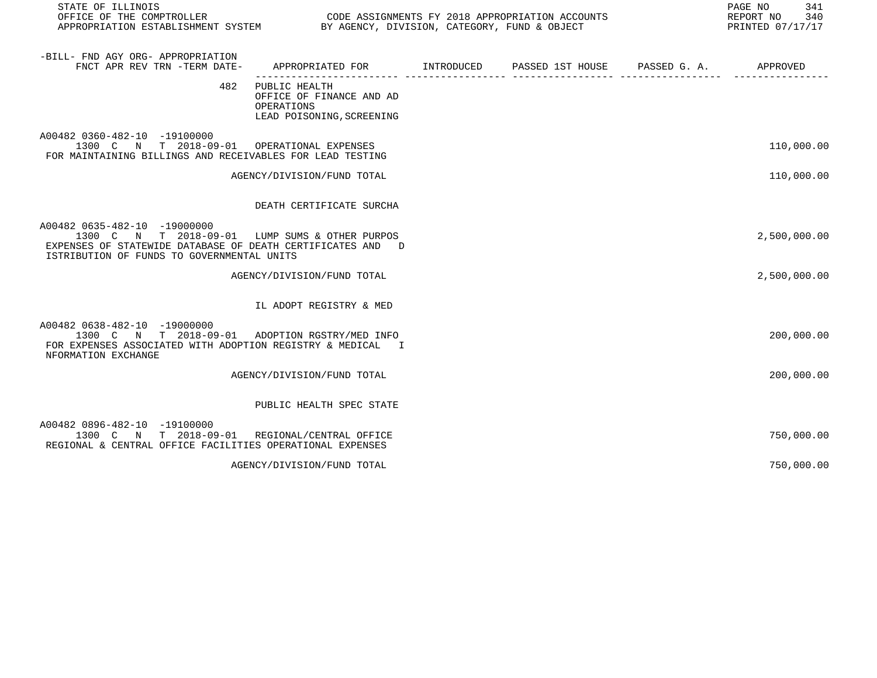| STATE OF ILLINOIS<br>OFFICE OF THE COMPTROLLER<br>APPROPRIATION ESTABLISHMENT SYSTEM BY AGENCY, DIVISION, CATEGORY, FUND & OBJECT                                                          | CODE ASSIGNMENTS FY 2018 APPROPRIATION ACCOUNTS                                      | 341<br>PAGE NO<br>REPORT NO<br>340<br>PRINTED 07/17/17 |                               |              |
|--------------------------------------------------------------------------------------------------------------------------------------------------------------------------------------------|--------------------------------------------------------------------------------------|--------------------------------------------------------|-------------------------------|--------------|
| -BILL- FND AGY ORG- APPROPRIATION<br>FNCT APR REV TRN -TERM DATE-                                                                                                                          | APPROPRIATED FOR TINTRODUCED PASSED 1ST HOUSE PASSED G. A. TAPPROVED                 |                                                        |                               |              |
| 482                                                                                                                                                                                        | PUBLIC HEALTH<br>OFFICE OF FINANCE AND AD<br>OPERATIONS<br>LEAD POISONING, SCREENING |                                                        | _____________________________ |              |
| A00482 0360-482-10 -19100000<br>1300 C N T 2018-09-01 OPERATIONAL EXPENSES<br>FOR MAINTAINING BILLINGS AND RECEIVABLES FOR LEAD TESTING                                                    |                                                                                      |                                                        |                               | 110,000.00   |
|                                                                                                                                                                                            | AGENCY/DIVISION/FUND TOTAL                                                           |                                                        |                               | 110,000.00   |
|                                                                                                                                                                                            | DEATH CERTIFICATE SURCHA                                                             |                                                        |                               |              |
| A00482 0635-482-10 -19000000<br>1300 C N T 2018-09-01 LUMP SUMS & OTHER PURPOS<br>EXPENSES OF STATEWIDE DATABASE OF DEATH CERTIFICATES AND D<br>ISTRIBUTION OF FUNDS TO GOVERNMENTAL UNITS |                                                                                      |                                                        |                               | 2,500,000.00 |
|                                                                                                                                                                                            | AGENCY/DIVISION/FUND TOTAL                                                           |                                                        |                               | 2,500,000.00 |
|                                                                                                                                                                                            | IL ADOPT REGISTRY & MED                                                              |                                                        |                               |              |
| A00482 0638-482-10 -19000000<br>1300 C N T 2018-09-01 ADOPTION RGSTRY/MED INFO<br>FOR EXPENSES ASSOCIATED WITH ADOPTION REGISTRY & MEDICAL I<br>NFORMATION EXCHANGE                        |                                                                                      |                                                        |                               | 200,000.00   |
|                                                                                                                                                                                            | AGENCY/DIVISION/FUND TOTAL                                                           |                                                        |                               | 200,000.00   |
|                                                                                                                                                                                            | PUBLIC HEALTH SPEC STATE                                                             |                                                        |                               |              |
| A00482 0896-482-10 -19100000<br>1300 C N T 2018-09-01 REGIONAL/CENTRAL OFFICE<br>REGIONAL & CENTRAL OFFICE FACILITIES OPERATIONAL EXPENSES                                                 |                                                                                      |                                                        |                               | 750,000.00   |
|                                                                                                                                                                                            | AGENCY/DIVISION/FUND TOTAL                                                           |                                                        |                               | 750,000.00   |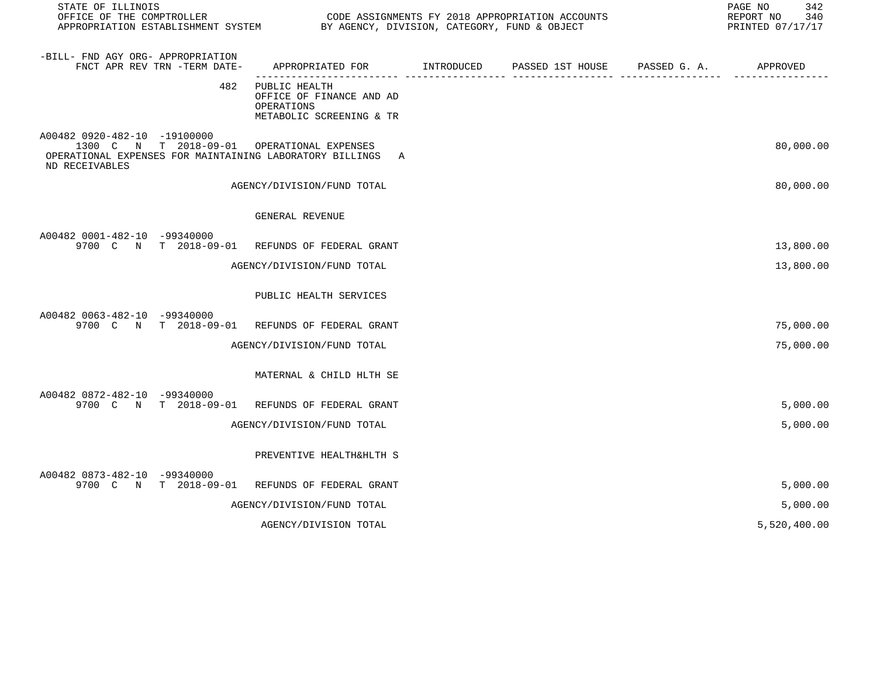| STATE OF ILLINOIS<br>OFFICE OF THE COMPTROLLER<br>APPROPRIATION ESTABLISHMENT SYSTEM                                                                     | BY AGENCY, DIVISION, CATEGORY, FUND & OBJECT                                        | CODE ASSIGNMENTS FY 2018 APPROPRIATION ACCOUNTS | 342<br>PAGE NO<br>REPORT NO<br>340<br>PRINTED 07/17/17 |
|----------------------------------------------------------------------------------------------------------------------------------------------------------|-------------------------------------------------------------------------------------|-------------------------------------------------|--------------------------------------------------------|
| -BILL- FND AGY ORG- APPROPRIATION<br>FNCT APR REV TRN -TERM DATE-                                                                                        | APPROPRIATED FOR INTRODUCED                                                         | PASSED 1ST HOUSE PASSED G. A. APPROVED          |                                                        |
| 482                                                                                                                                                      | PUBLIC HEALTH<br>OFFICE OF FINANCE AND AD<br>OPERATIONS<br>METABOLIC SCREENING & TR |                                                 |                                                        |
| A00482 0920-482-10 -19100000<br>1300 C N T 2018-09-01 OPERATIONAL EXPENSES<br>OPERATIONAL EXPENSES FOR MAINTAINING LABORATORY BILLINGS<br>ND RECEIVABLES | A                                                                                   |                                                 | 80,000.00                                              |
|                                                                                                                                                          | AGENCY/DIVISION/FUND TOTAL                                                          |                                                 | 80,000.00                                              |
|                                                                                                                                                          | GENERAL REVENUE                                                                     |                                                 |                                                        |
| A00482 0001-482-10 -99340000<br>9700 C N T 2018-09-01 REFUNDS OF FEDERAL GRANT                                                                           |                                                                                     |                                                 | 13,800.00                                              |
|                                                                                                                                                          | AGENCY/DIVISION/FUND TOTAL                                                          |                                                 | 13,800.00                                              |
|                                                                                                                                                          | PUBLIC HEALTH SERVICES                                                              |                                                 |                                                        |
| A00482 0063-482-10 -99340000<br>9700 C N T 2018-09-01                                                                                                    | REFUNDS OF FEDERAL GRANT                                                            |                                                 | 75,000.00                                              |
|                                                                                                                                                          | AGENCY/DIVISION/FUND TOTAL                                                          |                                                 | 75,000.00                                              |
|                                                                                                                                                          | MATERNAL & CHILD HLTH SE                                                            |                                                 |                                                        |
| A00482 0872-482-10 -99340000<br>9700 C N T 2018-09-01 REFUNDS OF FEDERAL GRANT                                                                           |                                                                                     |                                                 | 5,000.00                                               |
|                                                                                                                                                          | AGENCY/DIVISION/FUND TOTAL                                                          |                                                 | 5,000.00                                               |
|                                                                                                                                                          | PREVENTIVE HEALTH&HLTH S                                                            |                                                 |                                                        |
| A00482 0873-482-10 -99340000<br>9700 C N T 2018-09-01                                                                                                    | REFUNDS OF FEDERAL GRANT                                                            |                                                 | 5,000.00                                               |
|                                                                                                                                                          | AGENCY/DIVISION/FUND TOTAL                                                          |                                                 | 5,000.00                                               |
|                                                                                                                                                          | AGENCY/DIVISION TOTAL                                                               |                                                 | 5,520,400.00                                           |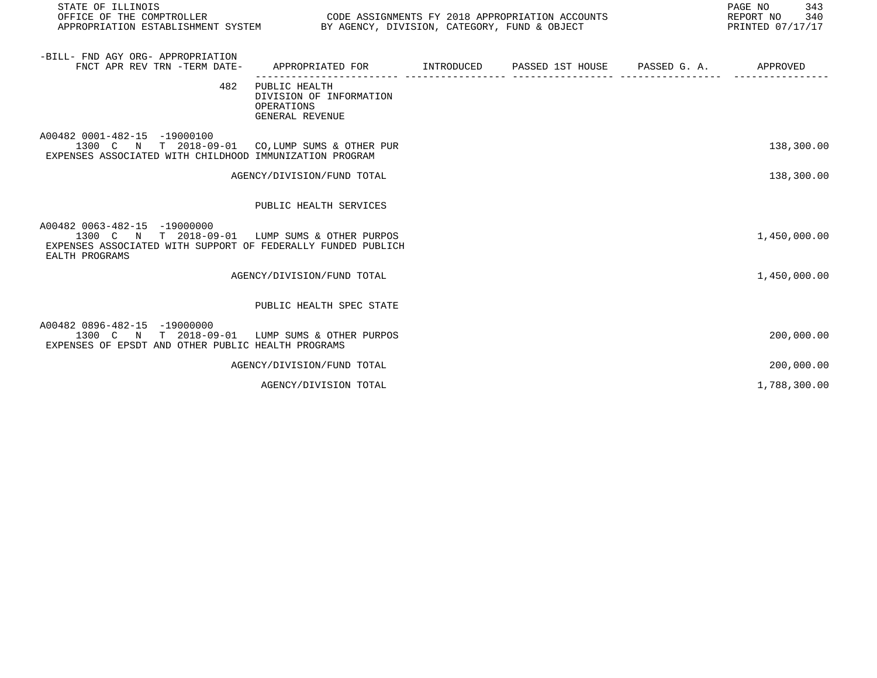| STATE OF ILLINOIS<br>OFFICE OF THE COMPTROLLER CODE ASSIGNMENTS FY 2018 APPROPRIATION ACCOUNTS<br>APPROPRIATION ESTABLISHMENT SYSTEM BY AGENCY, DIVISION, CATEGORY, FUND & OBJECT |                                                                           |  | PAGE NO<br>343<br>340<br>REPORT NO<br>PRINTED 07/17/17 |
|-----------------------------------------------------------------------------------------------------------------------------------------------------------------------------------|---------------------------------------------------------------------------|--|--------------------------------------------------------|
| -BILL- FND AGY ORG- APPROPRIATION<br>FNCT APR REV TRN -TERM DATE- APPROPRIATED FOR TINTRODUCED PASSED 1ST HOUSE PASSED G. A. APPROVED                                             |                                                                           |  |                                                        |
| 482                                                                                                                                                                               | PUBLIC HEALTH<br>DIVISION OF INFORMATION<br>OPERATIONS<br>GENERAL REVENUE |  |                                                        |
| A00482 0001-482-15 -19000100<br>1300 C N T 2018-09-01 CO, LUMP SUMS & OTHER PUR<br>EXPENSES ASSOCIATED WITH CHILDHOOD IMMUNIZATION PROGRAM                                        |                                                                           |  | 138,300.00                                             |
|                                                                                                                                                                                   | AGENCY/DIVISION/FUND TOTAL                                                |  | 138,300.00                                             |
|                                                                                                                                                                                   | PUBLIC HEALTH SERVICES                                                    |  |                                                        |
| A00482 0063-482-15 -19000000<br>1300 C N T 2018-09-01 LUMP SUMS & OTHER PURPOS<br>EXPENSES ASSOCIATED WITH SUPPORT OF FEDERALLY FUNDED PUBLICH<br>EALTH PROGRAMS                  |                                                                           |  | 1,450,000.00                                           |
|                                                                                                                                                                                   | AGENCY/DIVISION/FUND TOTAL                                                |  | 1,450,000.00                                           |
|                                                                                                                                                                                   | PUBLIC HEALTH SPEC STATE                                                  |  |                                                        |
| A00482 0896-482-15 -19000000<br>1300 C N T 2018-09-01 LUMP SUMS & OTHER PURPOS<br>EXPENSES OF EPSDT AND OTHER PUBLIC HEALTH PROGRAMS                                              |                                                                           |  | 200,000.00                                             |
|                                                                                                                                                                                   | AGENCY/DIVISION/FUND TOTAL                                                |  | 200,000.00                                             |
|                                                                                                                                                                                   | AGENCY/DIVISION TOTAL                                                     |  | 1,788,300.00                                           |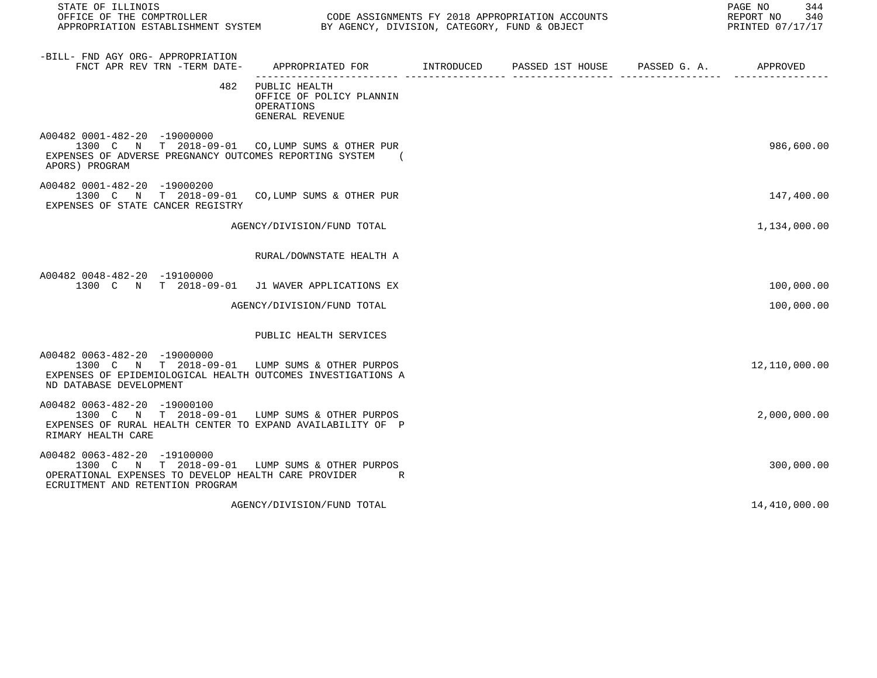| STATE OF ILLINOIS<br>OFFICE OF THE COMPTROLLER CODE ASSIGNMENTS FY 2018 APPROPRIATION ACCOUNTS<br>APPROPRIATION ESTABLISHMENT SYSTEM BY AGENCY, DIVISION, CATEGORY, FUND & OBJECT |                                                                            | 344<br>PAGE NO<br>REPORT NO 340<br>PRINTED 07/17/17 |  |               |
|-----------------------------------------------------------------------------------------------------------------------------------------------------------------------------------|----------------------------------------------------------------------------|-----------------------------------------------------|--|---------------|
| -BILL- FND AGY ORG- APPROPRIATION<br>FNCT APR REV TRN -TERM DATE-                                                                                                                 |                                                                            |                                                     |  |               |
| 482                                                                                                                                                                               | PUBLIC HEALTH<br>OFFICE OF POLICY PLANNIN<br>OPERATIONS<br>GENERAL REVENUE |                                                     |  |               |
| A00482 0001-482-20 -19000000<br>1300 C N T 2018-09-01 CO, LUMP SUMS & OTHER PUR<br>EXPENSES OF ADVERSE PREGNANCY OUTCOMES REPORTING SYSTEM (<br>APORS) PROGRAM                    |                                                                            |                                                     |  | 986,600.00    |
| A00482 0001-482-20 -19000200<br>1300 C N T 2018-09-01 CO, LUMP SUMS & OTHER PUR<br>EXPENSES OF STATE CANCER REGISTRY                                                              |                                                                            |                                                     |  | 147,400.00    |
|                                                                                                                                                                                   | AGENCY/DIVISION/FUND TOTAL                                                 |                                                     |  | 1,134,000.00  |
|                                                                                                                                                                                   | RURAL/DOWNSTATE HEALTH A                                                   |                                                     |  |               |
| A00482 0048-482-20 -19100000<br>1300 C N T 2018-09-01 J1 WAVER APPLICATIONS EX                                                                                                    |                                                                            |                                                     |  | 100,000.00    |
|                                                                                                                                                                                   | AGENCY/DIVISION/FUND TOTAL                                                 |                                                     |  | 100,000.00    |
|                                                                                                                                                                                   | PUBLIC HEALTH SERVICES                                                     |                                                     |  |               |
| A00482 0063-482-20 -19000000<br>1300 C N T 2018-09-01 LUMP SUMS & OTHER PURPOS<br>EXPENSES OF EPIDEMIOLOGICAL HEALTH OUTCOMES INVESTIGATIONS A<br>ND DATABASE DEVELOPMENT         |                                                                            |                                                     |  | 12,110,000.00 |
| A00482 0063-482-20 -19000100<br>1300 C N T 2018-09-01 LUMP SUMS & OTHER PURPOS<br>EXPENSES OF RURAL HEALTH CENTER TO EXPAND AVAILABILITY OF P<br>RIMARY HEALTH CARE               |                                                                            |                                                     |  | 2,000,000.00  |
| A00482 0063-482-20 -19100000<br>1300 C N T 2018-09-01 LUMP SUMS & OTHER PURPOS<br>OPERATIONAL EXPENSES TO DEVELOP HEALTH CARE PROVIDER R<br>ECRUITMENT AND RETENTION PROGRAM      |                                                                            |                                                     |  | 300,000.00    |
|                                                                                                                                                                                   | AGENCY/DIVISION/FUND TOTAL                                                 |                                                     |  | 14,410,000.00 |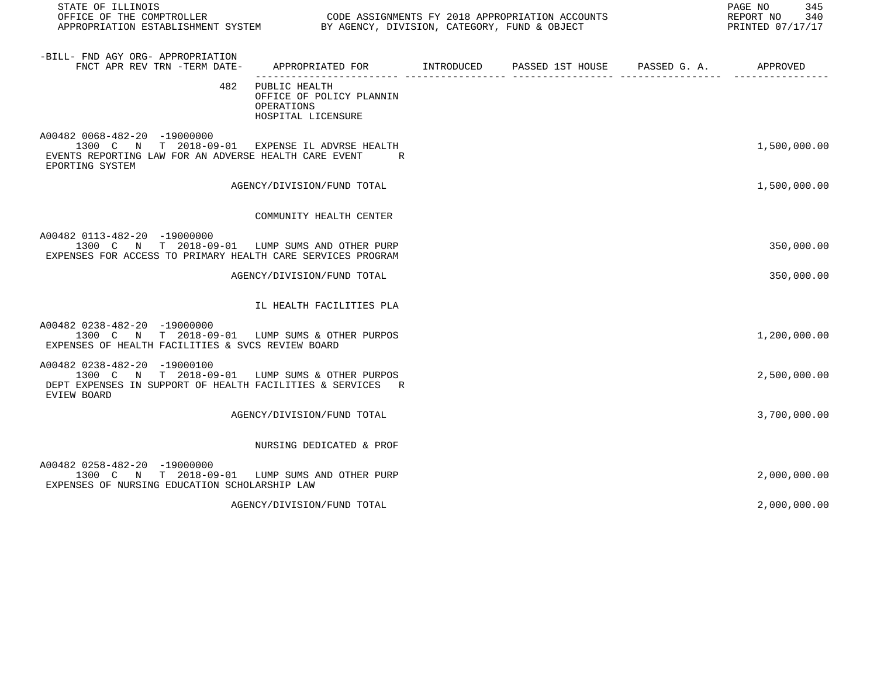| STATE OF ILLINOIS                                                                                                                                                  |                                                                               |  | 345<br>PAGE NO<br>REPORT NO<br>340<br>PRINTED 07/17/17 |
|--------------------------------------------------------------------------------------------------------------------------------------------------------------------|-------------------------------------------------------------------------------|--|--------------------------------------------------------|
| -BILL- FND AGY ORG- APPROPRIATION<br>FNCT APR REV TRN -TERM DATE-                                                                                                  | APPROPRIATED FOR TINTRODUCED PASSED 1ST HOUSE PASSED G. A.                    |  | APPROVED                                               |
| 482                                                                                                                                                                | PUBLIC HEALTH<br>OFFICE OF POLICY PLANNIN<br>OPERATIONS<br>HOSPITAL LICENSURE |  |                                                        |
| A00482 0068-482-20 -19000000<br>1300 C N T 2018-09-01 EXPENSE IL ADVRSE HEALTH<br>EVENTS REPORTING LAW FOR AN ADVERSE HEALTH CARE EVENT<br>EPORTING SYSTEM         | R.                                                                            |  | 1,500,000.00                                           |
|                                                                                                                                                                    | AGENCY/DIVISION/FUND TOTAL                                                    |  | 1,500,000.00                                           |
|                                                                                                                                                                    | COMMUNITY HEALTH CENTER                                                       |  |                                                        |
| A00482 0113-482-20 -19000000<br>1300 C N T 2018-09-01<br>EXPENSES FOR ACCESS TO PRIMARY HEALTH CARE SERVICES PROGRAM                                               | LUMP SUMS AND OTHER PURP                                                      |  | 350,000.00                                             |
|                                                                                                                                                                    | AGENCY/DIVISION/FUND TOTAL                                                    |  | 350,000.00                                             |
|                                                                                                                                                                    | IL HEALTH FACILITIES PLA                                                      |  |                                                        |
| A00482 0238-482-20 -19000000<br>1300 C N T 2018-09-01 LUMP SUMS & OTHER PURPOS<br>EXPENSES OF HEALTH FACILITIES & SVCS REVIEW BOARD                                |                                                                               |  | 1,200,000.00                                           |
| A00482 0238-482-20 -19000100<br>1300 C N T 2018-09-01 LUMP SUMS & OTHER PURPOS<br>DEPT EXPENSES IN SUPPORT OF HEALTH FACILITIES & SERVICES R<br><b>EVIEW BOARD</b> |                                                                               |  | 2,500,000.00                                           |
|                                                                                                                                                                    | AGENCY/DIVISION/FUND TOTAL                                                    |  | 3,700,000.00                                           |
|                                                                                                                                                                    | NURSING DEDICATED & PROF                                                      |  |                                                        |
| A00482 0258-482-20 -19000000<br>1300 C N T 2018-09-01 LUMP SUMS AND OTHER PURP<br>EXPENSES OF NURSING EDUCATION SCHOLARSHIP LAW                                    |                                                                               |  | 2,000,000.00                                           |
|                                                                                                                                                                    | AGENCY/DIVISION/FUND TOTAL                                                    |  | 2,000,000.00                                           |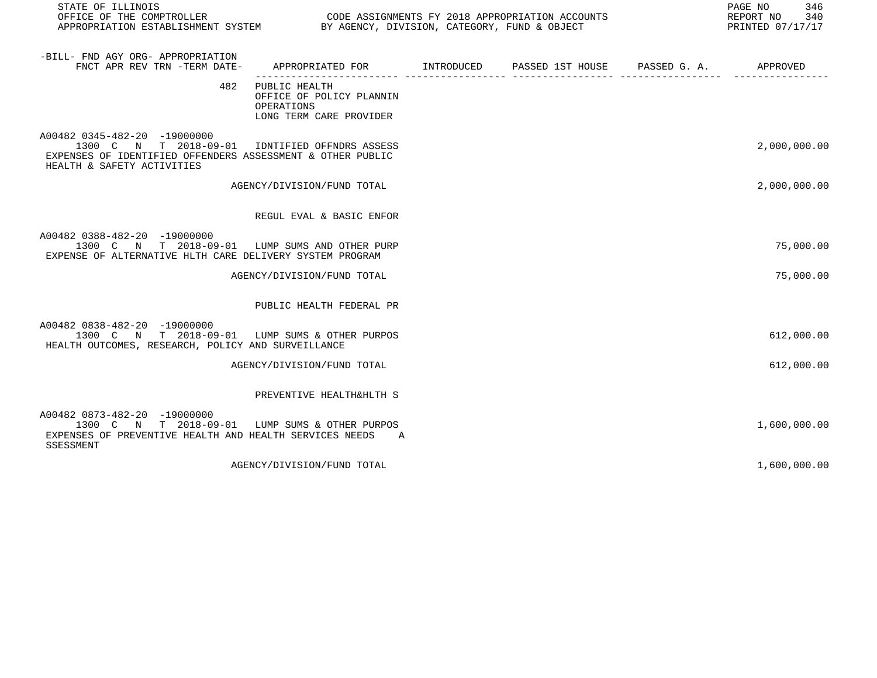| STATE OF ILLINOIS<br>OFFICE OF THE COMPTROLLER<br>APPROPRIATION ESTABLISHMENT SYSTEM BY AGENCY, DIVISION, CATEGORY, FUND & OBJECT                 | CODE ASSIGNMENTS FY 2018 APPROPRIATION ACCOUNTS                                          |  | PAGE NO<br>346<br>REPORT NO<br>340<br>PRINTED 07/17/17 |
|---------------------------------------------------------------------------------------------------------------------------------------------------|------------------------------------------------------------------------------------------|--|--------------------------------------------------------|
| -BILL- FND AGY ORG- APPROPRIATION<br>FNCT APR REV TRN -TERM DATE-                                                                                 | APPROPRIATED FOR       INTRODUCED     PASSED 1ST HOUSE     PASSED G. A.         APPROVED |  |                                                        |
| 482                                                                                                                                               | PUBLIC HEALTH<br>OFFICE OF POLICY PLANNIN<br>OPERATIONS<br>LONG TERM CARE PROVIDER       |  |                                                        |
| A00482 0345-482-20 -19000000<br>1300 C N T 2018-09-01<br>EXPENSES OF IDENTIFIED OFFENDERS ASSESSMENT & OTHER PUBLIC<br>HEALTH & SAFETY ACTIVITIES | IDNTIFIED OFFNDRS ASSESS                                                                 |  | 2,000,000.00                                           |
|                                                                                                                                                   | AGENCY/DIVISION/FUND TOTAL                                                               |  | 2,000,000.00                                           |
|                                                                                                                                                   | REGUL EVAL & BASIC ENFOR                                                                 |  |                                                        |
| A00482 0388-482-20 -19000000<br>1300 C N T 2018-09-01 LUMP SUMS AND OTHER PURP<br>EXPENSE OF ALTERNATIVE HLTH CARE DELIVERY SYSTEM PROGRAM        |                                                                                          |  | 75,000.00                                              |
|                                                                                                                                                   | AGENCY/DIVISION/FUND TOTAL                                                               |  | 75,000.00                                              |
|                                                                                                                                                   | PUBLIC HEALTH FEDERAL PR                                                                 |  |                                                        |
| A00482 0838-482-20 -19000000<br>1300 C N T 2018-09-01 LUMP SUMS & OTHER PURPOS<br>HEALTH OUTCOMES, RESEARCH, POLICY AND SURVEILLANCE              |                                                                                          |  | 612,000.00                                             |
|                                                                                                                                                   | AGENCY/DIVISION/FUND TOTAL                                                               |  | 612,000.00                                             |
|                                                                                                                                                   | PREVENTIVE HEALTH&HLTH S                                                                 |  |                                                        |
| A00482 0873-482-20 -19000000<br>1300 C N T 2018-09-01<br>EXPENSES OF PREVENTIVE HEALTH AND HEALTH SERVICES NEEDS A<br>SSESSMENT                   | LUMP SUMS & OTHER PURPOS                                                                 |  | 1,600,000.00                                           |
|                                                                                                                                                   | AGENCY/DIVISION/FUND TOTAL                                                               |  | 1,600,000.00                                           |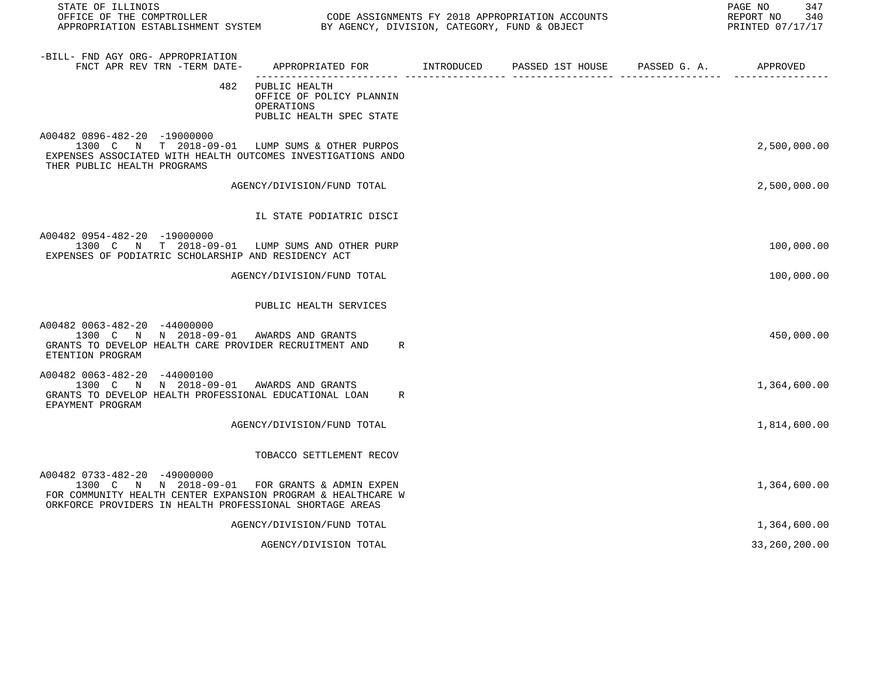| STATE OF ILLINOIS                                                                                                                                                                                          |                                                                                     |  |                       | PAGE NO<br>347<br>REPORT NO<br>340<br>PRINTED 07/17/17 |
|------------------------------------------------------------------------------------------------------------------------------------------------------------------------------------------------------------|-------------------------------------------------------------------------------------|--|-----------------------|--------------------------------------------------------|
| -BILL- FND AGY ORG- APPROPRIATION<br>FNCT APR REV TRN -TERM DATE-                                                                                                                                          | APPROPRIATED FOR TINTRODUCED PASSED 1ST HOUSE                                       |  | PASSED G. A. APPROVED |                                                        |
| 482                                                                                                                                                                                                        | PUBLIC HEALTH<br>OFFICE OF POLICY PLANNIN<br>OPERATIONS<br>PUBLIC HEALTH SPEC STATE |  |                       |                                                        |
| A00482 0896-482-20 -19000000<br>1300 C N T 2018-09-01 LUMP SUMS & OTHER PURPOS<br>EXPENSES ASSOCIATED WITH HEALTH OUTCOMES INVESTIGATIONS ANDO<br>THER PUBLIC HEALTH PROGRAMS                              |                                                                                     |  |                       | 2,500,000.00                                           |
|                                                                                                                                                                                                            | AGENCY/DIVISION/FUND TOTAL                                                          |  |                       | 2,500,000.00                                           |
|                                                                                                                                                                                                            | IL STATE PODIATRIC DISCI                                                            |  |                       |                                                        |
| A00482 0954-482-20 -19000000<br>1300 C N T 2018-09-01 LUMP SUMS AND OTHER PURP<br>EXPENSES OF PODIATRIC SCHOLARSHIP AND RESIDENCY ACT                                                                      |                                                                                     |  |                       | 100,000.00                                             |
|                                                                                                                                                                                                            | AGENCY/DIVISION/FUND TOTAL                                                          |  |                       | 100,000.00                                             |
|                                                                                                                                                                                                            | PUBLIC HEALTH SERVICES                                                              |  |                       |                                                        |
| A00482 0063-482-20 -44000000<br>1300 C N N 2018-09-01 AWARDS AND GRANTS<br>GRANTS TO DEVELOP HEALTH CARE PROVIDER RECRUITMENT AND<br>ETENTION PROGRAM                                                      | R                                                                                   |  |                       | 450,000.00                                             |
| A00482 0063-482-20 -44000100<br>1300 C N N 2018-09-01 AWARDS AND GRANTS<br>GRANTS TO DEVELOP HEALTH PROFESSIONAL EDUCATIONAL LOAN<br>EPAYMENT PROGRAM                                                      | R                                                                                   |  |                       | 1,364,600.00                                           |
|                                                                                                                                                                                                            | AGENCY/DIVISION/FUND TOTAL                                                          |  |                       | 1,814,600.00                                           |
|                                                                                                                                                                                                            | TOBACCO SETTLEMENT RECOV                                                            |  |                       |                                                        |
| A00482 0733-482-20 -49000000<br>1300 C N N 2018-09-01 FOR GRANTS & ADMIN EXPEN<br>FOR COMMUNITY HEALTH CENTER EXPANSION PROGRAM & HEALTHCARE W<br>ORKFORCE PROVIDERS IN HEALTH PROFESSIONAL SHORTAGE AREAS |                                                                                     |  |                       | 1,364,600.00                                           |
|                                                                                                                                                                                                            | AGENCY/DIVISION/FUND TOTAL                                                          |  |                       | 1,364,600.00                                           |
|                                                                                                                                                                                                            | AGENCY/DIVISION TOTAL                                                               |  |                       | 33,260,200.00                                          |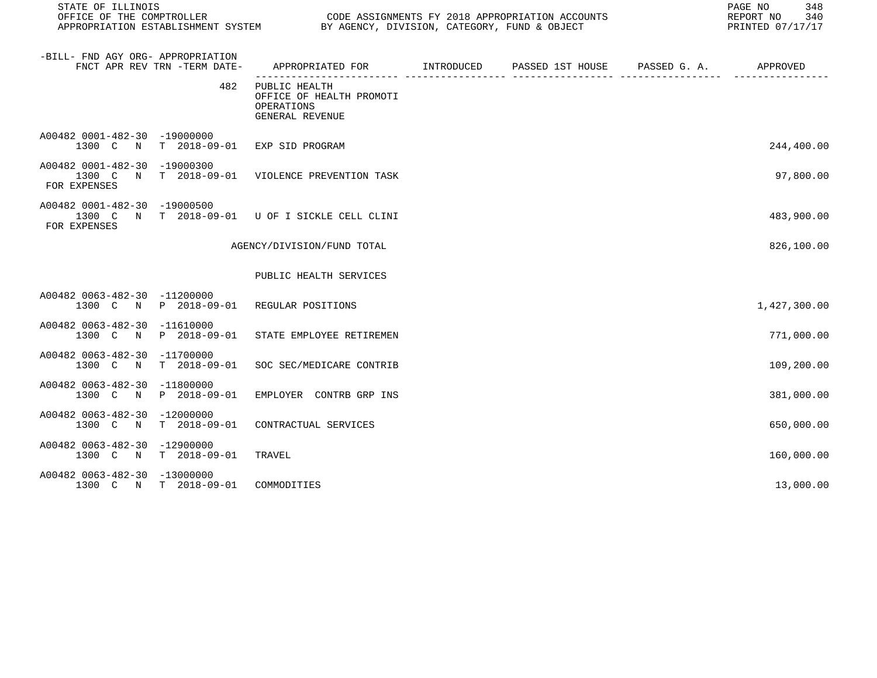| STATE OF ILLINOIS                            |                              |                                                                            | PAGE NO<br>348<br>REPORT NO<br>340<br>PRINTED 07/17/17 |  |              |
|----------------------------------------------|------------------------------|----------------------------------------------------------------------------|--------------------------------------------------------|--|--------------|
| -BILL- FND AGY ORG- APPROPRIATION            | FNCT APR REV TRN -TERM DATE- |                                                                            |                                                        |  |              |
|                                              | 482                          | PUBLIC HEALTH<br>OFFICE OF HEALTH PROMOTI<br>OPERATIONS<br>GENERAL REVENUE |                                                        |  |              |
| A00482 0001-482-30 -19000000                 |                              | 1300 C N T 2018-09-01 EXP SID PROGRAM                                      |                                                        |  | 244,400.00   |
| A00482 0001-482-30 -19000300<br>FOR EXPENSES |                              | 1300 C N T 2018-09-01 VIOLENCE PREVENTION TASK                             |                                                        |  | 97,800.00    |
| A00482 0001-482-30 -19000500<br>FOR EXPENSES |                              | 1300 C N T 2018-09-01 U OF I SICKLE CELL CLINI                             |                                                        |  | 483,900.00   |
|                                              |                              | AGENCY/DIVISION/FUND TOTAL                                                 |                                                        |  | 826,100.00   |
|                                              |                              | PUBLIC HEALTH SERVICES                                                     |                                                        |  |              |
| A00482 0063-482-30 -11200000                 |                              | 1300 C N P 2018-09-01 REGULAR POSITIONS                                    |                                                        |  | 1,427,300.00 |
| A00482 0063-482-30 -11610000                 |                              | 1300 C N P 2018-09-01 STATE EMPLOYEE RETIREMEN                             |                                                        |  | 771,000.00   |
| A00482 0063-482-30 -11700000                 | 1300 C N T 2018-09-01        | SOC SEC/MEDICARE CONTRIB                                                   |                                                        |  | 109,200.00   |
| A00482 0063-482-30 -11800000                 | 1300 C N P 2018-09-01        | EMPLOYER CONTRB GRP INS                                                    |                                                        |  | 381,000.00   |
| A00482 0063-482-30 -12000000<br>1300 C N     | T 2018-09-01                 | CONTRACTUAL SERVICES                                                       |                                                        |  | 650,000.00   |
| A00482 0063-482-30 -12900000<br>1300 C N     | T 2018-09-01                 | TRAVEL                                                                     |                                                        |  | 160,000.00   |
| A00482 0063-482-30 -13000000                 | 1300 C N T 2018-09-01        | COMMODITIES                                                                |                                                        |  | 13,000.00    |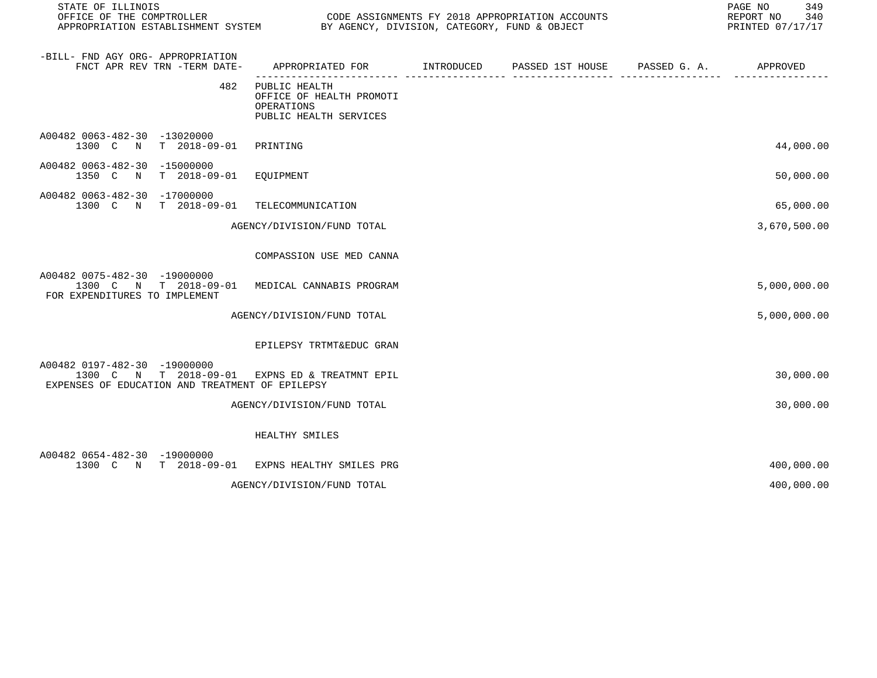| STATE OF ILLINOIS                                                                                                                 |                                                                                   |                               | PAGE NO<br>349<br>REPORT NO<br>340<br>PRINTED 07/17/17 |
|-----------------------------------------------------------------------------------------------------------------------------------|-----------------------------------------------------------------------------------|-------------------------------|--------------------------------------------------------|
| -BILL- FND AGY ORG- APPROPRIATION<br>FNCT APR REV TRN -TERM DATE-                                                                 | APPROPRIATED FOR INTRODUCED                                                       | PASSED 1ST HOUSE PASSED G. A. | APPROVED                                               |
| 482                                                                                                                               | PUBLIC HEALTH<br>OFFICE OF HEALTH PROMOTI<br>OPERATIONS<br>PUBLIC HEALTH SERVICES |                               |                                                        |
| A00482 0063-482-30 -13020000<br>1300 C N T 2018-09-01 PRINTING                                                                    |                                                                                   |                               | 44,000.00                                              |
| A00482 0063-482-30 -15000000<br>T 2018-09-01 EQUIPMENT<br>1350 C N                                                                |                                                                                   |                               | 50,000.00                                              |
| A00482 0063-482-30 -17000000<br>1300 C N T 2018-09-01 TELECOMMUNICATION                                                           |                                                                                   |                               | 65,000.00                                              |
|                                                                                                                                   | AGENCY/DIVISION/FUND TOTAL                                                        |                               | 3,670,500.00                                           |
|                                                                                                                                   | COMPASSION USE MED CANNA                                                          |                               |                                                        |
| A00482 0075-482-30 -19000000<br>1300 C N T 2018-09-01 MEDICAL CANNABIS PROGRAM<br>FOR EXPENDITURES TO IMPLEMENT                   |                                                                                   |                               | 5,000,000.00                                           |
|                                                                                                                                   | AGENCY/DIVISION/FUND TOTAL                                                        |                               | 5,000,000.00                                           |
|                                                                                                                                   | EPILEPSY TRTMT&EDUC GRAN                                                          |                               |                                                        |
| A00482 0197-482-30 -19000000<br>1300 C N T 2018-09-01 EXPNS ED & TREATMNT EPIL<br>EXPENSES OF EDUCATION AND TREATMENT OF EPILEPSY |                                                                                   |                               | 30,000.00                                              |
|                                                                                                                                   | AGENCY/DIVISION/FUND TOTAL                                                        |                               | 30,000.00                                              |
|                                                                                                                                   | HEALTHY SMILES                                                                    |                               |                                                        |
| A00482 0654-482-30 -19000000<br>1300 C N T 2018-09-01 EXPNS HEALTHY SMILES PRG                                                    |                                                                                   |                               | 400,000.00                                             |
|                                                                                                                                   | AGENCY/DIVISION/FUND TOTAL                                                        |                               | 400,000.00                                             |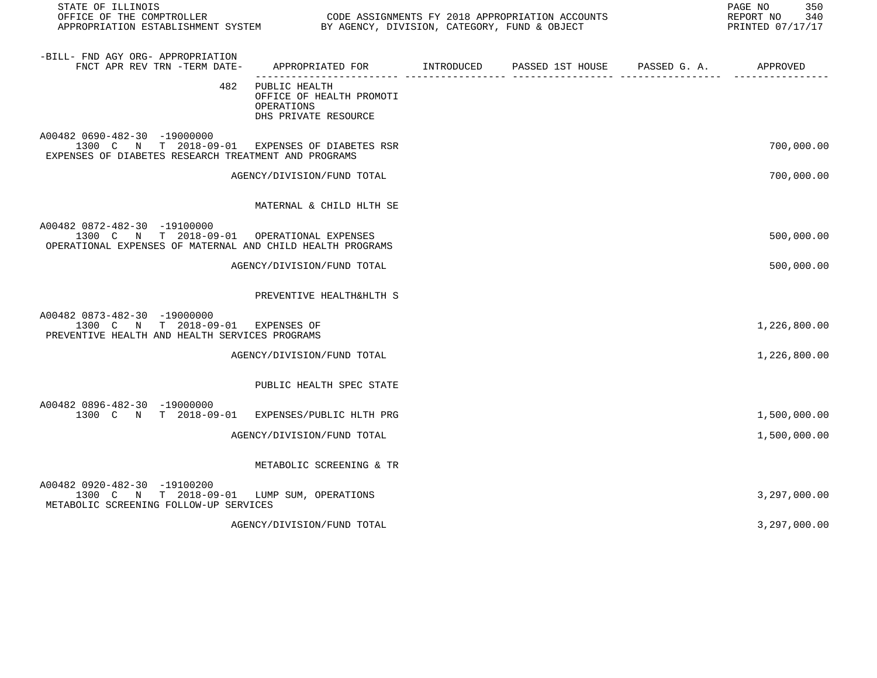| STATE OF ILLINOIS                                                                                                                        |                                                                                 |                                        | 350<br>PAGE NO<br>REPORT NO<br>340<br>PRINTED 07/17/17 |
|------------------------------------------------------------------------------------------------------------------------------------------|---------------------------------------------------------------------------------|----------------------------------------|--------------------------------------------------------|
| -BILL- FND AGY ORG- APPROPRIATION<br>FNCT APR REV TRN -TERM DATE-                                                                        | APPROPRIATED FOR INTRODUCED<br>-------------------- ----                        | PASSED 1ST HOUSE PASSED G. A. APPROVED |                                                        |
| 482                                                                                                                                      | PUBLIC HEALTH<br>OFFICE OF HEALTH PROMOTI<br>OPERATIONS<br>DHS PRIVATE RESOURCE |                                        |                                                        |
| A00482 0690-482-30 -19000000<br>1300 C N T 2018-09-01 EXPENSES OF DIABETES RSR<br>EXPENSES OF DIABETES RESEARCH TREATMENT AND PROGRAMS   |                                                                                 |                                        | 700,000.00                                             |
|                                                                                                                                          | AGENCY/DIVISION/FUND TOTAL                                                      |                                        | 700,000.00                                             |
|                                                                                                                                          | MATERNAL & CHILD HLTH SE                                                        |                                        |                                                        |
| A00482 0872-482-30 -19100000<br>1300 C N T 2018-09-01 OPERATIONAL EXPENSES<br>OPERATIONAL EXPENSES OF MATERNAL AND CHILD HEALTH PROGRAMS |                                                                                 |                                        | 500,000.00                                             |
|                                                                                                                                          | AGENCY/DIVISION/FUND TOTAL                                                      |                                        | 500,000.00                                             |
|                                                                                                                                          | PREVENTIVE HEALTH&HLTH S                                                        |                                        |                                                        |
| A00482 0873-482-30 -19000000<br>1300 C N T 2018-09-01<br>PREVENTIVE HEALTH AND HEALTH SERVICES PROGRAMS                                  | EXPENSES OF                                                                     |                                        | 1,226,800.00                                           |
|                                                                                                                                          | AGENCY/DIVISION/FUND TOTAL                                                      |                                        | 1,226,800.00                                           |
|                                                                                                                                          | PUBLIC HEALTH SPEC STATE                                                        |                                        |                                                        |
| A00482 0896-482-30 -19000000<br>1300 C N T 2018-09-01 EXPENSES/PUBLIC HLTH PRG                                                           |                                                                                 |                                        | 1,500,000.00                                           |
|                                                                                                                                          | AGENCY/DIVISION/FUND TOTAL                                                      |                                        | 1,500,000.00                                           |
|                                                                                                                                          | METABOLIC SCREENING & TR                                                        |                                        |                                                        |
| A00482 0920-482-30 -19100200<br>1300 C N T 2018-09-01<br>METABOLIC SCREENING FOLLOW-UP SERVICES                                          | LUMP SUM, OPERATIONS                                                            |                                        | 3,297,000.00                                           |
|                                                                                                                                          | AGENCY/DIVISION/FUND TOTAL                                                      |                                        | 3,297,000.00                                           |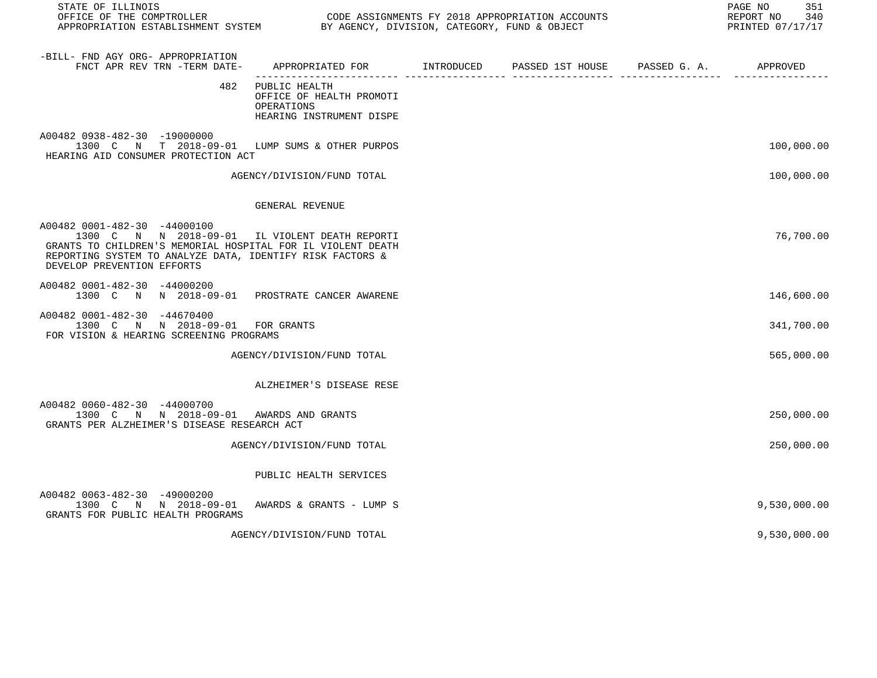| STATE OF ILLINOIS<br>OFFICE OF THE COMPTROLLER<br>APPROPRIATION ESTABLISHMENT SYSTEM BY AGENCY, DIVISION, CATEGORY, FUND & OBJECT                                                                                                        |                                                                                         | CODE ASSIGNMENTS FY 2018 APPROPRIATION ACCOUNTS | 351<br>PAGE NO<br>REPORT NO 340<br>PRINTED 07/17/17 |
|------------------------------------------------------------------------------------------------------------------------------------------------------------------------------------------------------------------------------------------|-----------------------------------------------------------------------------------------|-------------------------------------------------|-----------------------------------------------------|
| -BILL- FND AGY ORG- APPROPRIATION<br>FNCT APR REV TRN -TERM DATE- APPROPRIATED FOR NITRODUCED PASSED 1ST HOUSE PASSED G.A. APPROVED                                                                                                      |                                                                                         |                                                 |                                                     |
|                                                                                                                                                                                                                                          | 482 PUBLIC HEALTH<br>OFFICE OF HEALTH PROMOTI<br>OPERATIONS<br>HEARING INSTRUMENT DISPE |                                                 |                                                     |
| A00482 0938-482-30 -19000000<br>1300 C N T 2018-09-01 LUMP SUMS & OTHER PURPOS<br>HEARING AID CONSUMER PROTECTION ACT                                                                                                                    |                                                                                         |                                                 | 100,000.00                                          |
|                                                                                                                                                                                                                                          | AGENCY/DIVISION/FUND TOTAL                                                              |                                                 | 100,000.00                                          |
|                                                                                                                                                                                                                                          | GENERAL REVENUE                                                                         |                                                 |                                                     |
| A00482 0001-482-30 -44000100<br>1300 C N N 2018-09-01 IL VIOLENT DEATH REPORTI<br>GRANTS TO CHILDREN'S MEMORIAL HOSPITAL FOR IL VIOLENT DEATH<br>REPORTING SYSTEM TO ANALYZE DATA, IDENTIFY RISK FACTORS &<br>DEVELOP PREVENTION EFFORTS |                                                                                         |                                                 | 76,700.00                                           |
| A00482 0001-482-30 -44000200<br>1300 C N N 2018-09-01 PROSTRATE CANCER AWARENE                                                                                                                                                           |                                                                                         |                                                 | 146,600.00                                          |
| A00482 0001-482-30 -44670400<br>1300 C N N 2018-09-01 FOR GRANTS<br>FOR VISION & HEARING SCREENING PROGRAMS                                                                                                                              |                                                                                         |                                                 | 341,700.00                                          |
|                                                                                                                                                                                                                                          | AGENCY/DIVISION/FUND TOTAL                                                              |                                                 | 565,000.00                                          |
|                                                                                                                                                                                                                                          | ALZHEIMER'S DISEASE RESE                                                                |                                                 |                                                     |
| A00482 0060-482-30 -44000700<br>1300 C N N 2018-09-01 AWARDS AND GRANTS<br>GRANTS PER ALZHEIMER'S DISEASE RESEARCH ACT                                                                                                                   |                                                                                         |                                                 | 250,000.00                                          |
|                                                                                                                                                                                                                                          | AGENCY/DIVISION/FUND TOTAL                                                              |                                                 | 250,000.00                                          |
|                                                                                                                                                                                                                                          | PUBLIC HEALTH SERVICES                                                                  |                                                 |                                                     |
| A00482 0063-482-30 -49000200<br>1300 C N N 2018-09-01 AWARDS & GRANTS - LUMP S<br>GRANTS FOR PUBLIC HEALTH PROGRAMS                                                                                                                      |                                                                                         |                                                 | 9,530,000.00                                        |
|                                                                                                                                                                                                                                          | AGENCY/DIVISION/FUND TOTAL                                                              |                                                 | 9,530,000.00                                        |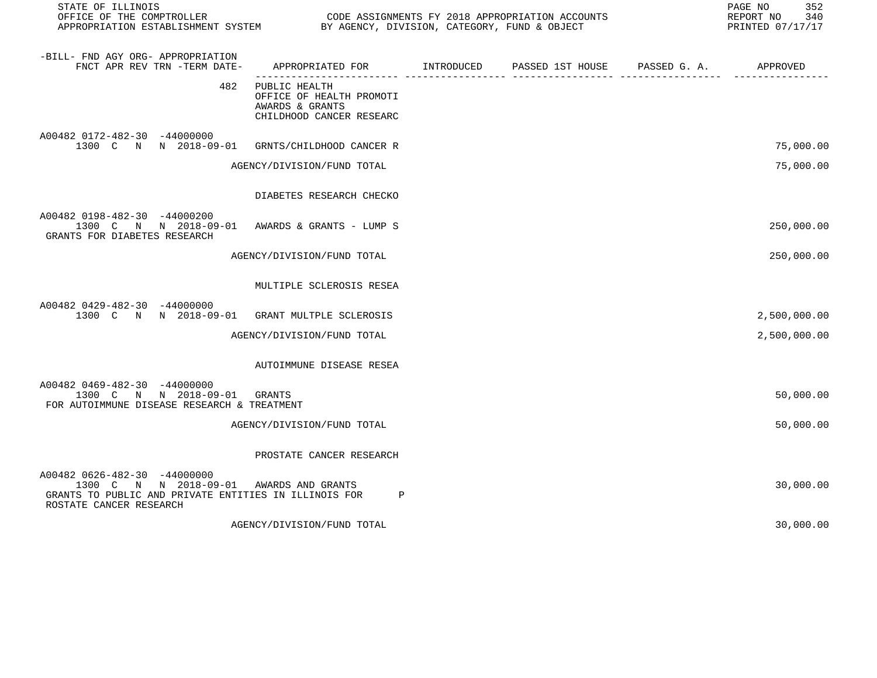| STATE OF ILLINOIS<br>OFFICE OF THE COMPTROLLER<br>OFFICE OF THE COMPTROLLER<br>APPROPRIATION ESTABLISHMENT SYSTEM BY AGENCY, DIVISION, CATEGORY, FUND & OBJECT |                                                                                          | CODE ASSIGNMENTS FY 2018 APPROPRIATION ACCOUNTS | 352<br>PAGE NO<br>REPORT NO<br>340<br>PRINTED 07/17/17 |
|----------------------------------------------------------------------------------------------------------------------------------------------------------------|------------------------------------------------------------------------------------------|-------------------------------------------------|--------------------------------------------------------|
| -BILL- FND AGY ORG- APPROPRIATION<br>FNCT APR REV TRN -TERM DATE-                                                                                              | APPROPRIATED FOR INTRODUCED<br>------------------- ----                                  | PASSED 1ST HOUSE PASSED G. A. APPROVED          |                                                        |
| 482                                                                                                                                                            | PUBLIC HEALTH<br>OFFICE OF HEALTH PROMOTI<br>AWARDS & GRANTS<br>CHILDHOOD CANCER RESEARC |                                                 |                                                        |
| A00482 0172-482-30 -44000000<br>1300 C N N 2018-09-01                                                                                                          | GRNTS/CHILDHOOD CANCER R                                                                 |                                                 | 75,000.00                                              |
|                                                                                                                                                                | AGENCY/DIVISION/FUND TOTAL                                                               |                                                 | 75,000.00                                              |
|                                                                                                                                                                | DIABETES RESEARCH CHECKO                                                                 |                                                 |                                                        |
| A00482 0198-482-30 -44000200<br>1300 C N N 2018-09-01<br>GRANTS FOR DIABETES RESEARCH                                                                          | AWARDS & GRANTS - LUMP S                                                                 |                                                 | 250,000.00                                             |
|                                                                                                                                                                | AGENCY/DIVISION/FUND TOTAL                                                               |                                                 | 250,000.00                                             |
|                                                                                                                                                                | MULTIPLE SCLEROSIS RESEA                                                                 |                                                 |                                                        |
| A00482 0429-482-30 -44000000<br>1300 C N N 2018-09-01                                                                                                          | GRANT MULTPLE SCLEROSIS                                                                  |                                                 | 2,500,000.00                                           |
|                                                                                                                                                                | AGENCY/DIVISION/FUND TOTAL                                                               |                                                 | 2,500,000.00                                           |
|                                                                                                                                                                | AUTOIMMUNE DISEASE RESEA                                                                 |                                                 |                                                        |
| A00482 0469-482-30 -44000000<br>1300 C N N 2018-09-01<br>FOR AUTOIMMUNE DISEASE RESEARCH & TREATMENT                                                           | GRANTS                                                                                   |                                                 | 50,000.00                                              |
|                                                                                                                                                                | AGENCY/DIVISION/FUND TOTAL                                                               |                                                 | 50,000.00                                              |
|                                                                                                                                                                | PROSTATE CANCER RESEARCH                                                                 |                                                 |                                                        |
| A00482 0626-482-30 -44000000<br>1300 C N N 2018-09-01 AWARDS AND GRANTS<br>GRANTS TO PUBLIC AND PRIVATE ENTITIES IN ILLINOIS FOR<br>ROSTATE CANCER RESEARCH    | P                                                                                        |                                                 | 30,000.00                                              |
|                                                                                                                                                                | AGENCY/DIVISION/FUND TOTAL                                                               |                                                 | 30,000.00                                              |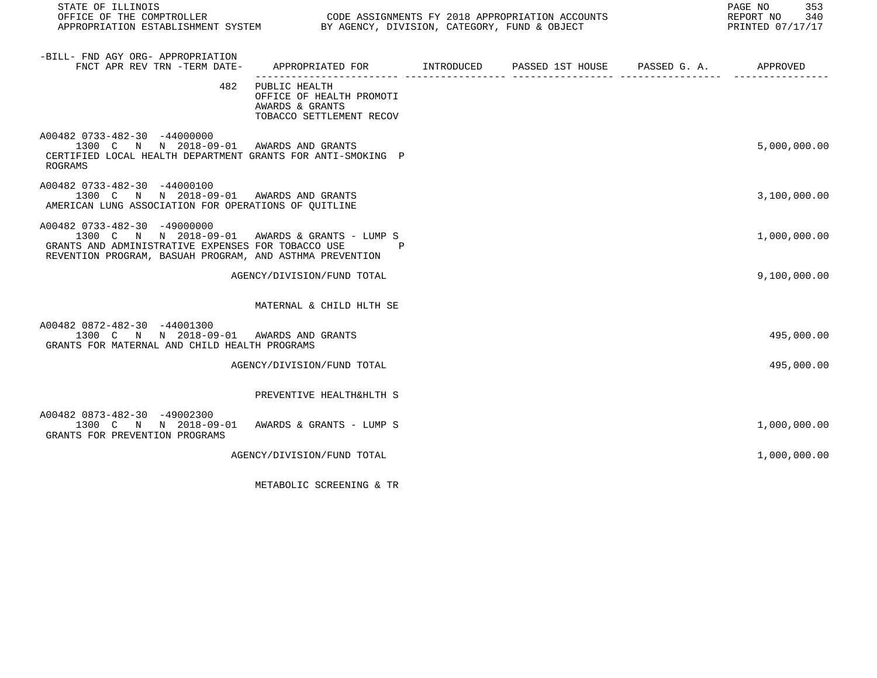| STATE OF ILLINOIS<br>OFFICE OF THE COMPTROLLER CODE ASSIGNMENTS FY 2018 APPROPRIATION ACCOUNTS<br>APPROPRIATION ESTABLISHMENT SYSTEM BY AGENCY, DIVISION, CATEGORY, FUND & OBJECT                |                                                                                              |  | PAGE NO 353<br>REPORT NO 340<br>PRINTED 07/17/17 |
|--------------------------------------------------------------------------------------------------------------------------------------------------------------------------------------------------|----------------------------------------------------------------------------------------------|--|--------------------------------------------------|
| -BILL- FND AGY ORG- APPROPRIATION<br>FNCT APR REV TRN -TERM DATE-                                                                                                                                | APPROPRIATED FOR TINTRODUCED PASSED 1ST HOUSE PASSED G.A. APPROVED                           |  |                                                  |
|                                                                                                                                                                                                  | 482 PUBLIC HEALTH<br>OFFICE OF HEALTH PROMOTI<br>AWARDS & GRANTS<br>TOBACCO SETTLEMENT RECOV |  |                                                  |
| A00482 0733-482-30 -44000000<br>1300 C N N 2018-09-01 AWARDS AND GRANTS<br>CERTIFIED LOCAL HEALTH DEPARTMENT GRANTS FOR ANTI-SMOKING P<br>ROGRAMS                                                |                                                                                              |  | 5,000,000.00                                     |
| A00482 0733-482-30 -44000100<br>1300 C N N 2018-09-01 AWARDS AND GRANTS<br>AMERICAN LUNG ASSOCIATION FOR OPERATIONS OF QUITLINE                                                                  |                                                                                              |  | 3,100,000.00                                     |
| A00482 0733-482-30 -49000000<br>1300 C N N 2018-09-01 AWARDS & GRANTS - LUMP S<br>GRANTS AND ADMINISTRATIVE EXPENSES FOR TOBACCO USE<br>REVENTION PROGRAM, BASUAH PROGRAM, AND ASTHMA PREVENTION | $\mathbf{P}$                                                                                 |  | 1,000,000.00                                     |
|                                                                                                                                                                                                  | AGENCY/DIVISION/FUND TOTAL                                                                   |  | 9,100,000.00                                     |
|                                                                                                                                                                                                  | MATERNAL & CHILD HLTH SE                                                                     |  |                                                  |
| A00482 0872-482-30 -44001300<br>1300 C N N 2018-09-01 AWARDS AND GRANTS<br>GRANTS FOR MATERNAL AND CHILD HEALTH PROGRAMS                                                                         |                                                                                              |  | 495,000.00                                       |
|                                                                                                                                                                                                  | AGENCY/DIVISION/FUND TOTAL                                                                   |  | 495,000.00                                       |
|                                                                                                                                                                                                  | PREVENTIVE HEALTH&HLTH S                                                                     |  |                                                  |
| A00482 0873-482-30 -49002300<br>1300 C N N 2018-09-01 AWARDS & GRANTS - LUMP S<br>GRANTS FOR PREVENTION PROGRAMS                                                                                 |                                                                                              |  | 1,000,000.00                                     |
|                                                                                                                                                                                                  | AGENCY/DIVISION/FUND TOTAL                                                                   |  | 1,000,000.00                                     |

METABOLIC SCREENING & TR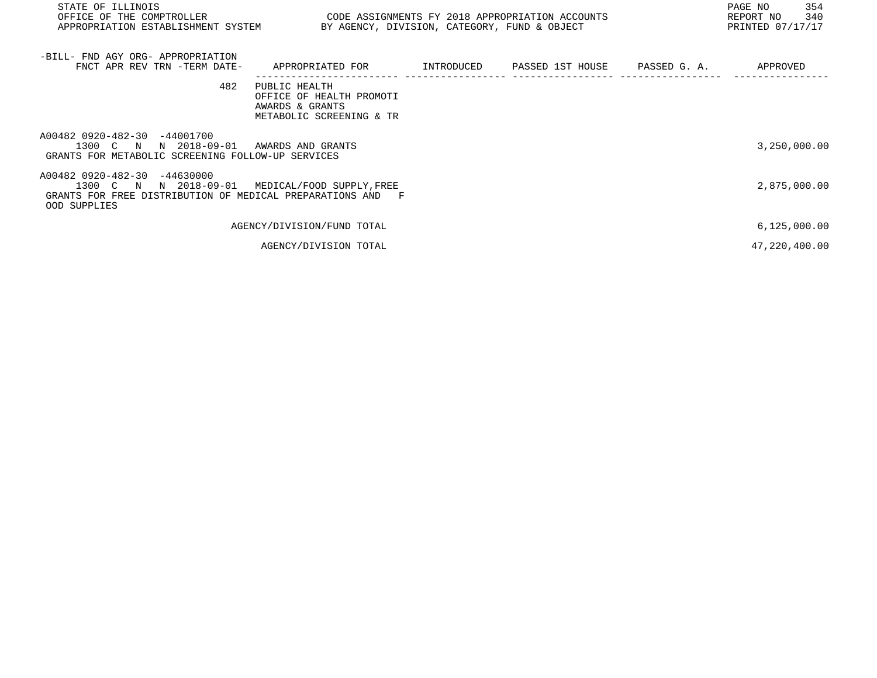| STATE OF ILLINOIS<br>OFFICE OF THE COMPTROLLER                                                                                      | CODE ASSIGNMENTS FY 2018 APPROPRIATION ACCOUNTS                                          |  |  |  | 354<br>PAGE NO<br>340<br>REPORT NO |
|-------------------------------------------------------------------------------------------------------------------------------------|------------------------------------------------------------------------------------------|--|--|--|------------------------------------|
| APPROPRIATION ESTABLISHMENT SYSTEM                                                                                                  | BY AGENCY, DIVISION, CATEGORY, FUND & OBJECT                                             |  |  |  | PRINTED 07/17/17                   |
|                                                                                                                                     |                                                                                          |  |  |  |                                    |
| -BILL- FND AGY ORG- APPROPRIATION                                                                                                   |                                                                                          |  |  |  |                                    |
| FNCT APR REV TRN -TERM DATE-                                                                                                        | APPROPRIATED FOR                                                                         |  |  |  | APPROVED                           |
| 482                                                                                                                                 | PUBLIC HEALTH<br>OFFICE OF HEALTH PROMOTI<br>AWARDS & GRANTS<br>METABOLIC SCREENING & TR |  |  |  |                                    |
| A00482 0920-482-30 -44001700<br>1300 C N<br>N 2018-09-01<br>GRANTS FOR METABOLIC SCREENING FOLLOW-UP SERVICES                       | AWARDS AND GRANTS                                                                        |  |  |  | 3,250,000.00                       |
| A00482 0920-482-30 -44630000<br>1300 C N N 2018-09-01<br>GRANTS FOR FREE DISTRIBUTION OF MEDICAL PREPARATIONS AND F<br>OOD SUPPLIES | MEDICAL/FOOD SUPPLY, FREE                                                                |  |  |  | 2,875,000.00                       |
|                                                                                                                                     | AGENCY/DIVISION/FUND TOTAL                                                               |  |  |  | 6, 125, 000.00                     |
|                                                                                                                                     | AGENCY/DIVISION TOTAL                                                                    |  |  |  | 47,220,400.00                      |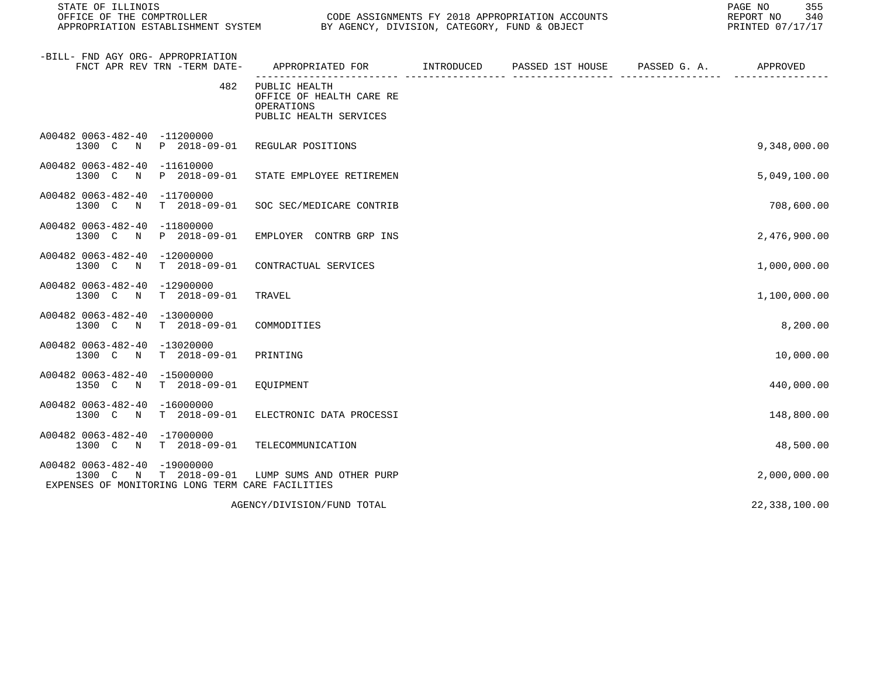| STATE OF ILLINOIS                                                                                                                  |                                                                                           |  |  |  |               | PAGE NO<br>REPORT NO |  |  | 355<br>340<br>PRINTED 07/17/17 |
|------------------------------------------------------------------------------------------------------------------------------------|-------------------------------------------------------------------------------------------|--|--|--|---------------|----------------------|--|--|--------------------------------|
| -BILL- FND AGY ORG- APPROPRIATION<br>FNCT APR REV TRN -TERM DATE-                                                                  | APPROPRIATED FOR        INTRODUCED     PASSED 1ST HOUSE     PASSED G. A.         APPROVED |  |  |  |               |                      |  |  |                                |
| 482                                                                                                                                | PUBLIC HEALTH<br>OFFICE OF HEALTH CARE RE<br>OPERATIONS<br>PUBLIC HEALTH SERVICES         |  |  |  |               |                      |  |  |                                |
| A00482 0063-482-40 -11200000<br>1300 C N P 2018-09-01 REGULAR POSITIONS                                                            |                                                                                           |  |  |  | 9,348,000.00  |                      |  |  |                                |
| A00482 0063-482-40 -11610000<br>1300 C N P 2018-09-01                                                                              | STATE EMPLOYEE RETIREMEN                                                                  |  |  |  | 5,049,100.00  |                      |  |  |                                |
| A00482 0063-482-40 -11700000<br>1300 C N T 2018-09-01                                                                              | SOC SEC/MEDICARE CONTRIB                                                                  |  |  |  | 708,600.00    |                      |  |  |                                |
| A00482 0063-482-40 -11800000<br>1300 C N P 2018-09-01                                                                              | EMPLOYER CONTRB GRP INS                                                                   |  |  |  | 2,476,900.00  |                      |  |  |                                |
| A00482 0063-482-40 -12000000<br>T 2018-09-01<br>1300 C<br>$\mathbb N$                                                              | CONTRACTUAL SERVICES                                                                      |  |  |  | 1,000,000.00  |                      |  |  |                                |
| A00482 0063-482-40 -12900000<br>1300 C N T 2018-09-01                                                                              | TRAVEL                                                                                    |  |  |  | 1,100,000.00  |                      |  |  |                                |
| A00482 0063-482-40 -13000000<br>1300 C N T 2018-09-01                                                                              | COMMODITIES                                                                               |  |  |  | 8,200.00      |                      |  |  |                                |
| A00482 0063-482-40 -13020000<br>1300 C N T 2018-09-01                                                                              | PRINTING                                                                                  |  |  |  | 10,000.00     |                      |  |  |                                |
| A00482 0063-482-40 -15000000<br>1350 C N T 2018-09-01                                                                              | EQUIPMENT                                                                                 |  |  |  | 440,000.00    |                      |  |  |                                |
| A00482 0063-482-40 -16000000<br>N T 2018-09-01<br>1300 C                                                                           | ELECTRONIC DATA PROCESSI                                                                  |  |  |  | 148,800.00    |                      |  |  |                                |
| A00482 0063-482-40 -17000000<br>1300 C N T 2018-09-01                                                                              | TELECOMMUNICATION                                                                         |  |  |  | 48,500.00     |                      |  |  |                                |
| A00482 0063-482-40 -19000000<br>1300 C N T 2018-09-01 LUMP SUMS AND OTHER PURP<br>EXPENSES OF MONITORING LONG TERM CARE FACILITIES |                                                                                           |  |  |  | 2,000,000.00  |                      |  |  |                                |
|                                                                                                                                    | AGENCY/DIVISION/FUND TOTAL                                                                |  |  |  | 22,338,100.00 |                      |  |  |                                |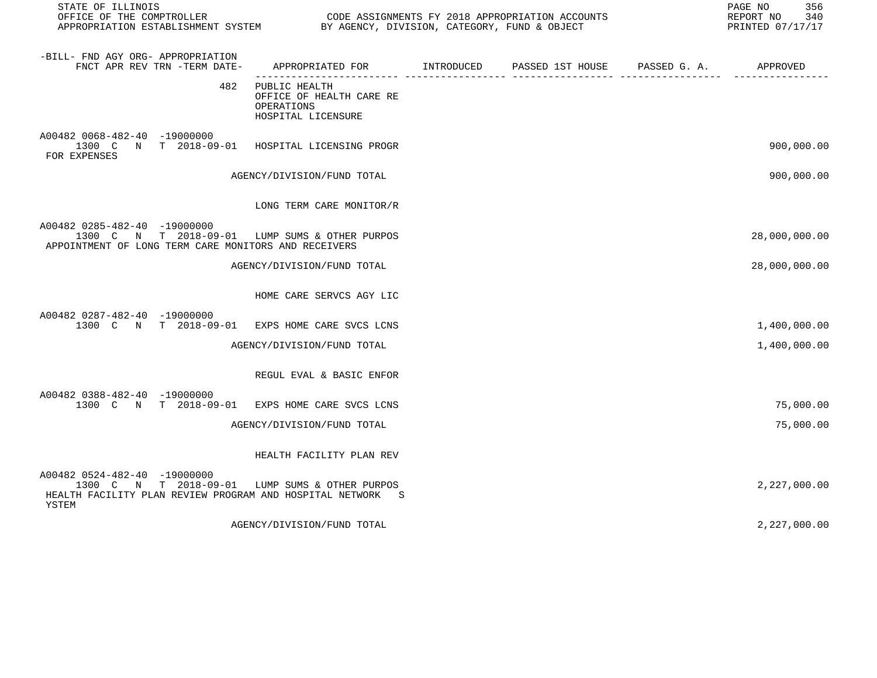| STATE OF ILLINOIS<br>OFFICE OF THE COMPTROLLER                                                                                                        |                                                                               | CODE ASSIGNMENTS FY 2018 APPROPRIATION ACCOUNTS |                       | 356<br>PAGE NO<br>REPORT NO<br>340<br>PRINTED 07/17/17 |
|-------------------------------------------------------------------------------------------------------------------------------------------------------|-------------------------------------------------------------------------------|-------------------------------------------------|-----------------------|--------------------------------------------------------|
| -BILL- FND AGY ORG- APPROPRIATION<br>FNCT APR REV TRN -TERM DATE-                                                                                     | APPROPRIATED FOR INTRODUCED                                                   | PASSED 1ST HOUSE                                | PASSED G. A. APPROVED |                                                        |
| 482                                                                                                                                                   | PUBLIC HEALTH<br>OFFICE OF HEALTH CARE RE<br>OPERATIONS<br>HOSPITAL LICENSURE |                                                 |                       |                                                        |
| A00482 0068-482-40 -19000000<br>1300 C N T 2018-09-01<br>FOR EXPENSES                                                                                 | HOSPITAL LICENSING PROGR                                                      |                                                 |                       | 900,000.00                                             |
|                                                                                                                                                       | AGENCY/DIVISION/FUND TOTAL                                                    |                                                 |                       | 900,000.00                                             |
|                                                                                                                                                       | LONG TERM CARE MONITOR/R                                                      |                                                 |                       |                                                        |
| A00482 0285-482-40 -19000000<br>1300 C N T 2018-09-01 LUMP SUMS & OTHER PURPOS<br>APPOINTMENT OF LONG TERM CARE MONITORS AND RECEIVERS                |                                                                               |                                                 |                       | 28,000,000.00                                          |
|                                                                                                                                                       | AGENCY/DIVISION/FUND TOTAL                                                    |                                                 |                       | 28,000,000.00                                          |
|                                                                                                                                                       | HOME CARE SERVCS AGY LIC                                                      |                                                 |                       |                                                        |
| A00482 0287-482-40 -19000000<br>1300 C N T 2018-09-01 EXPS HOME CARE SVCS LCNS                                                                        |                                                                               |                                                 |                       | 1,400,000.00                                           |
|                                                                                                                                                       | AGENCY/DIVISION/FUND TOTAL                                                    |                                                 |                       | 1,400,000.00                                           |
|                                                                                                                                                       | REGUL EVAL & BASIC ENFOR                                                      |                                                 |                       |                                                        |
| A00482 0388-482-40 -19000000<br>1300 C N T 2018-09-01 EXPS HOME CARE SVCS LCNS                                                                        |                                                                               |                                                 |                       | 75,000.00                                              |
|                                                                                                                                                       | AGENCY/DIVISION/FUND TOTAL                                                    |                                                 |                       | 75,000.00                                              |
|                                                                                                                                                       | HEALTH FACILITY PLAN REV                                                      |                                                 |                       |                                                        |
| A00482 0524-482-40 -19000000<br>1300 C N T 2018-09-01 LUMP SUMS & OTHER PURPOS<br>HEALTH FACILITY PLAN REVIEW PROGRAM AND HOSPITAL NETWORK S<br>YSTEM |                                                                               |                                                 |                       | 2,227,000.00                                           |
|                                                                                                                                                       | AGENCY/DIVISION/FUND TOTAL                                                    |                                                 |                       | 2,227,000.00                                           |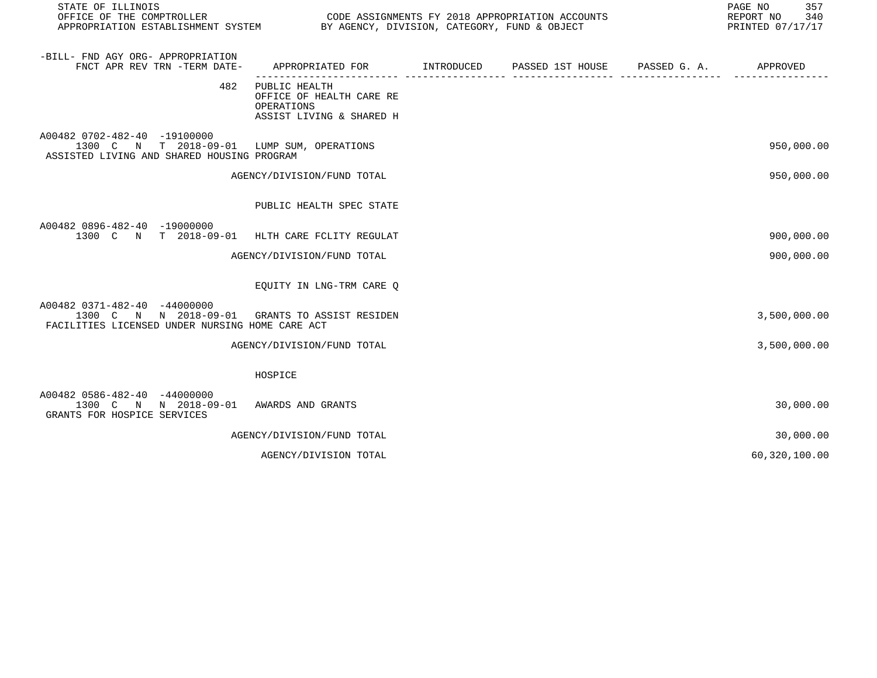| STATE OF ILLINOIS<br>OFFICE OF THE COMPTROLLER<br>APPROPRIATION ESTABLISHMENT SYSTEM                                     | CODE ASSIGNMENTS FY 2018 APPROPRIATION ACCOUNTS<br>BY AGENCY, DIVISION, CATEGORY, FUND & OBJECT |  | PAGE NO<br>357<br>REPORT NO<br>340<br>PRINTED 07/17/17 |
|--------------------------------------------------------------------------------------------------------------------------|-------------------------------------------------------------------------------------------------|--|--------------------------------------------------------|
| -BILL- FND AGY ORG- APPROPRIATION<br>FNCT APR REV TRN -TERM DATE-                                                        | APPROPRIATED FOR TINTRODUCED PASSED 1ST HOUSE PASSED G. A. APPROVED                             |  |                                                        |
| 482                                                                                                                      | PUBLIC HEALTH<br>OFFICE OF HEALTH CARE RE<br>OPERATIONS<br>ASSIST LIVING & SHARED H             |  |                                                        |
| A00482 0702-482-40 -19100000<br>1300 C N T 2018-09-01 LUMP SUM, OPERATIONS<br>ASSISTED LIVING AND SHARED HOUSING PROGRAM |                                                                                                 |  | 950,000.00                                             |
|                                                                                                                          | AGENCY/DIVISION/FUND TOTAL                                                                      |  | 950,000.00                                             |
|                                                                                                                          | PUBLIC HEALTH SPEC STATE                                                                        |  |                                                        |
| A00482 0896-482-40 -19000000<br>1300 C N T 2018-09-01                                                                    | HLTH CARE FCLITY REGULAT                                                                        |  | 900,000.00                                             |
|                                                                                                                          | AGENCY/DIVISION/FUND TOTAL                                                                      |  | 900,000.00                                             |
|                                                                                                                          | EQUITY IN LNG-TRM CARE Q                                                                        |  |                                                        |
| A00482 0371-482-40 -44000000<br>1300 C N N 2018-09-01<br>FACILITIES LICENSED UNDER NURSING HOME CARE ACT                 | GRANTS TO ASSIST RESIDEN                                                                        |  | 3,500,000.00                                           |
|                                                                                                                          | AGENCY/DIVISION/FUND TOTAL                                                                      |  | 3,500,000.00                                           |
|                                                                                                                          | HOSPICE                                                                                         |  |                                                        |
| A00482 0586-482-40 -44000000<br>1300 C N N 2018-09-01<br>GRANTS FOR HOSPICE SERVICES                                     | AWARDS AND GRANTS                                                                               |  | 30,000.00                                              |
|                                                                                                                          | AGENCY/DIVISION/FUND TOTAL                                                                      |  | 30,000.00                                              |
|                                                                                                                          | AGENCY/DIVISION TOTAL                                                                           |  | 60,320,100.00                                          |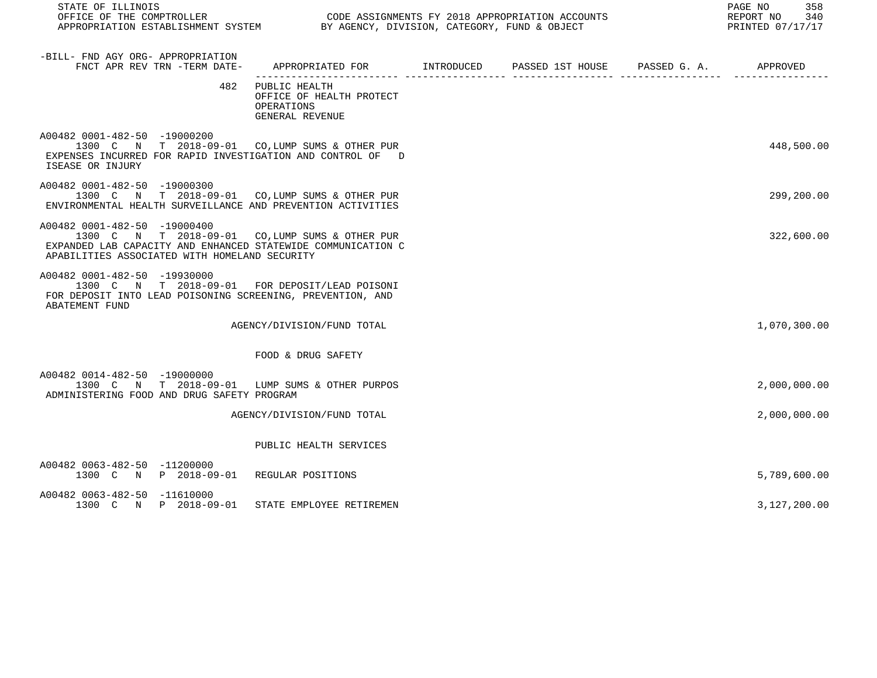| STATE OF ILLINOIS<br>OFFICE OF THE COMPTROLLER<br>APPROPRIATION ESTABLISHMENT SYSTEM BY AGENCY, DIVISION, CATEGORY, FUND & OBJECT                                                                |                                                                                         | CODE ASSIGNMENTS FY 2018 APPROPRIATION ACCOUNTS | 358<br>PAGE NO<br>REPORT NO<br>340<br>PRINTED 07/17/17 |
|--------------------------------------------------------------------------------------------------------------------------------------------------------------------------------------------------|-----------------------------------------------------------------------------------------|-------------------------------------------------|--------------------------------------------------------|
| -BILL- FND AGY ORG- APPROPRIATION<br>FNCT APR REV TRN -TERM DATE-                                                                                                                                | APPROPRIATED FOR       INTRODUCED     PASSED 1ST HOUSE     PASSED G. A.        APPROVED |                                                 |                                                        |
| 482                                                                                                                                                                                              | PUBLIC HEALTH<br>OFFICE OF HEALTH PROTECT<br>OPERATIONS<br>GENERAL REVENUE              |                                                 |                                                        |
| A00482 0001-482-50 -19000200<br>1300 C N T 2018-09-01 CO, LUMP SUMS & OTHER PUR<br>EXPENSES INCURRED FOR RAPID INVESTIGATION AND CONTROL OF D<br>ISEASE OR INJURY                                |                                                                                         |                                                 | 448,500.00                                             |
| A00482 0001-482-50 -19000300<br>1300 C N T 2018-09-01 CO, LUMP SUMS & OTHER PUR<br>ENVIRONMENTAL HEALTH SURVEILLANCE AND PREVENTION ACTIVITIES                                                   |                                                                                         |                                                 | 299,200.00                                             |
| A00482 0001-482-50 -19000400<br>1300 C N T 2018-09-01 CO, LUMP SUMS & OTHER PUR<br>EXPANDED LAB CAPACITY AND ENHANCED STATEWIDE COMMUNICATION C<br>APABILITIES ASSOCIATED WITH HOMELAND SECURITY |                                                                                         |                                                 | 322,600.00                                             |
| A00482 0001-482-50 -19930000<br>1300 C N T 2018-09-01 FOR DEPOSIT/LEAD POISONI<br>FOR DEPOSIT INTO LEAD POISONING SCREENING, PREVENTION, AND<br>ABATEMENT FUND                                   |                                                                                         |                                                 |                                                        |
|                                                                                                                                                                                                  | AGENCY/DIVISION/FUND TOTAL                                                              |                                                 | 1,070,300.00                                           |
|                                                                                                                                                                                                  | FOOD & DRUG SAFETY                                                                      |                                                 |                                                        |
| A00482 0014-482-50 -19000000<br>1300 C N T 2018-09-01 LUMP SUMS & OTHER PURPOS<br>ADMINISTERING FOOD AND DRUG SAFETY PROGRAM                                                                     |                                                                                         |                                                 | 2,000,000.00                                           |
|                                                                                                                                                                                                  | AGENCY/DIVISION/FUND TOTAL                                                              |                                                 | 2,000,000.00                                           |
|                                                                                                                                                                                                  | PUBLIC HEALTH SERVICES                                                                  |                                                 |                                                        |
| A00482 0063-482-50 -11200000<br>1300 C N P 2018-09-01                                                                                                                                            | REGULAR POSITIONS                                                                       |                                                 | 5,789,600.00                                           |
| A00482 0063-482-50 -11610000<br>1300 C N P 2018-09-01                                                                                                                                            | STATE EMPLOYEE RETIREMEN                                                                |                                                 | 3,127,200.00                                           |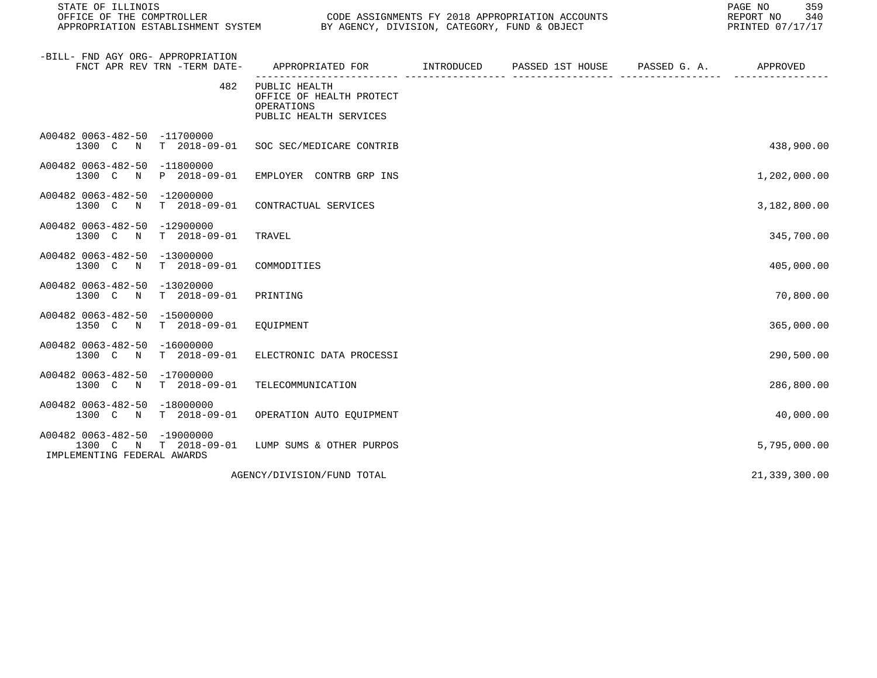| STATE OF ILLINOIS<br>OFFICE OF THE COMPTROLLER<br>APPROPRIATION ESTABLISHMENT SYSTEM | CODE ASSIGNMENTS FY 2018 APPROPRIATION ACCOUNTS<br>CODE ASSIGNMENTS FY 2018 APPROPRIATION ACCO<br>BY AGENCY, DIVISION, CATEGORY, FUND & OBJECT | PAGE NO<br>359<br>REPORT NO<br>340<br>PRINTED 07/17/17 |                       |               |
|--------------------------------------------------------------------------------------|------------------------------------------------------------------------------------------------------------------------------------------------|--------------------------------------------------------|-----------------------|---------------|
| -BILL- FND AGY ORG- APPROPRIATION<br>FNCT APR REV TRN -TERM DATE-                    | APPROPRIATED FOR INTRODUCED                                                                                                                    | PASSED 1ST HOUSE                                       | PASSED G. A. APPROVED |               |
| 482                                                                                  | PUBLIC HEALTH<br>OFFICE OF HEALTH PROTECT<br>OPERATIONS<br>PUBLIC HEALTH SERVICES                                                              |                                                        |                       |               |
| A00482 0063-482-50 -11700000<br>1300 C N T 2018-09-01 SOC SEC/MEDICARE CONTRIB       |                                                                                                                                                |                                                        |                       | 438,900.00    |
| A00482 0063-482-50 -11800000<br>1300 C<br>$\mathbb N$<br>P 2018-09-01                | EMPLOYER CONTRB GRP INS                                                                                                                        |                                                        |                       | 1,202,000.00  |
| A00482 0063-482-50 -12000000<br>1300 C N T 2018-09-01                                | CONTRACTUAL SERVICES                                                                                                                           |                                                        |                       | 3,182,800.00  |
| A00482 0063-482-50 -12900000<br>T 2018-09-01<br>1300 C<br>$\mathbf N$                | TRAVEL                                                                                                                                         |                                                        |                       | 345,700.00    |
| A00482 0063-482-50 -13000000<br>1300 C N T 2018-09-01                                | COMMODITIES                                                                                                                                    |                                                        |                       | 405,000.00    |
| A00482 0063-482-50 -13020000<br>1300 C N T 2018-09-01                                | PRINTING                                                                                                                                       |                                                        |                       | 70,800.00     |
| A00482 0063-482-50 -15000000<br>T 2018-09-01<br>1350 C<br>$\mathbb N$                | EQUIPMENT                                                                                                                                      |                                                        |                       | 365,000.00    |
| A00482 0063-482-50 -16000000<br>1300 C N T 2018-09-01                                | ELECTRONIC DATA PROCESSI                                                                                                                       |                                                        |                       | 290,500.00    |
| A00482 0063-482-50 -17000000<br>1300 C N T 2018-09-01                                | TELECOMMUNICATION                                                                                                                              |                                                        |                       | 286,800.00    |
| A00482 0063-482-50 -18000000<br>1300 C<br>N T 2018-09-01                             | OPERATION AUTO EQUIPMENT                                                                                                                       |                                                        |                       | 40,000.00     |
| A00482 0063-482-50 -19000000<br>1300 C N T 2018-09-01<br>IMPLEMENTING FEDERAL AWARDS | LUMP SUMS & OTHER PURPOS                                                                                                                       |                                                        |                       | 5,795,000.00  |
|                                                                                      | AGENCY/DIVISION/FUND TOTAL                                                                                                                     |                                                        |                       | 21,339,300.00 |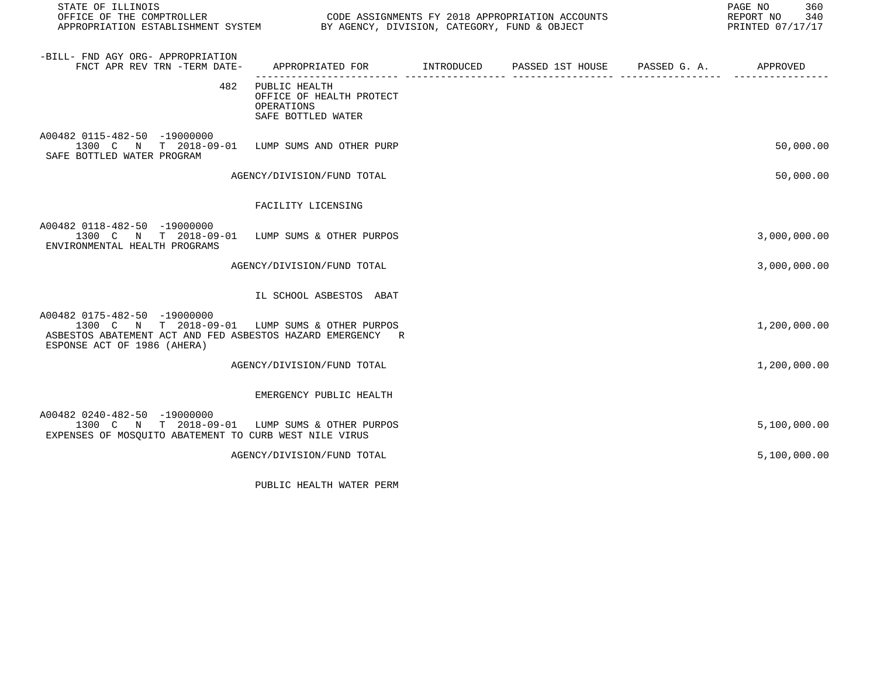| STATE OF ILLINOIS                                                                                                                                                           |                                                                               |  | 360<br>PAGE NO<br>REPORT NO 340<br>PRINTED 07/17/17 |
|-----------------------------------------------------------------------------------------------------------------------------------------------------------------------------|-------------------------------------------------------------------------------|--|-----------------------------------------------------|
| -BILL- FND AGY ORG- APPROPRIATION<br>FNCT APR REV TRN -TERM DATE-                                                                                                           |                                                                               |  |                                                     |
| 482                                                                                                                                                                         | PUBLIC HEALTH<br>OFFICE OF HEALTH PROTECT<br>OPERATIONS<br>SAFE BOTTLED WATER |  |                                                     |
| A00482 0115-482-50 -19000000<br>1300 C N T 2018-09-01 LUMP SUMS AND OTHER PURP<br>SAFE BOTTLED WATER PROGRAM                                                                |                                                                               |  | 50,000.00                                           |
|                                                                                                                                                                             | AGENCY/DIVISION/FUND TOTAL                                                    |  | 50,000.00                                           |
|                                                                                                                                                                             | FACILITY LICENSING                                                            |  |                                                     |
| A00482 0118-482-50 -19000000<br>1300 C N T 2018-09-01 LUMP SUMS & OTHER PURPOS<br>ENVIRONMENTAL HEALTH PROGRAMS                                                             |                                                                               |  | 3,000,000.00                                        |
|                                                                                                                                                                             | AGENCY/DIVISION/FUND TOTAL                                                    |  | 3,000,000.00                                        |
|                                                                                                                                                                             | IL SCHOOL ASBESTOS ABAT                                                       |  |                                                     |
| A00482 0175-482-50 -19000000<br>1300 C N T 2018-09-01 LUMP SUMS & OTHER PURPOS<br>ASBESTOS ABATEMENT ACT AND FED ASBESTOS HAZARD EMERGENCY R<br>ESPONSE ACT OF 1986 (AHERA) |                                                                               |  | 1,200,000.00                                        |
|                                                                                                                                                                             | AGENCY/DIVISION/FUND TOTAL                                                    |  | 1,200,000.00                                        |
|                                                                                                                                                                             | EMERGENCY PUBLIC HEALTH                                                       |  |                                                     |
| A00482 0240-482-50 -19000000<br>1300 C N T 2018-09-01 LUMP SUMS & OTHER PURPOS<br>EXPENSES OF MOSQUITO ABATEMENT TO CURB WEST NILE VIRUS                                    |                                                                               |  | 5,100,000.00                                        |
|                                                                                                                                                                             | AGENCY/DIVISION/FUND TOTAL                                                    |  | 5,100,000.00                                        |
|                                                                                                                                                                             |                                                                               |  |                                                     |

PUBLIC HEALTH WATER PERM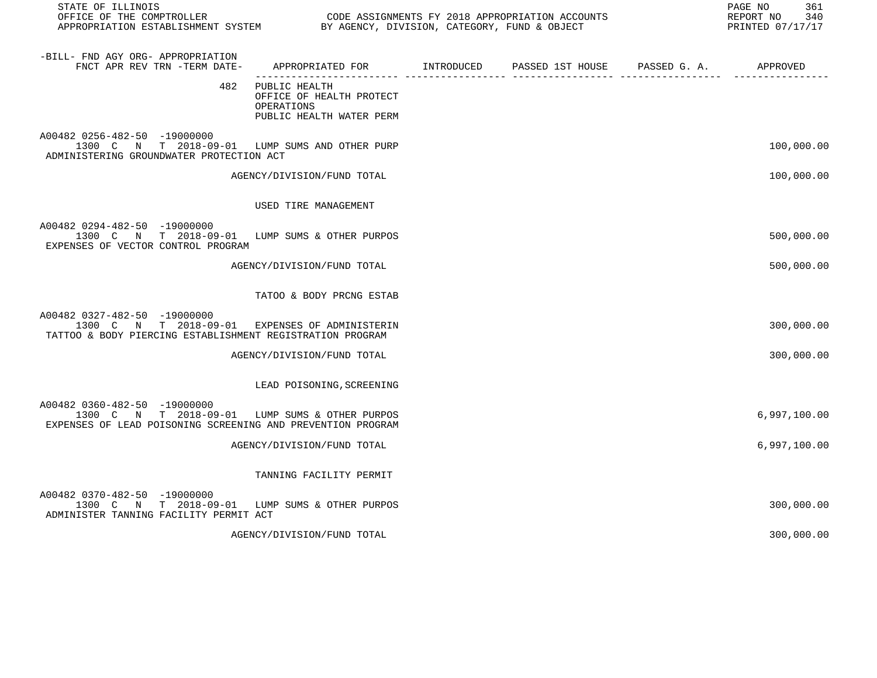| STATE OF ILLINOIS                                                                                                                             |                                                                                           |  | 361<br>PAGE NO<br>340<br>REPORT NO<br>PRINTED 07/17/17 |
|-----------------------------------------------------------------------------------------------------------------------------------------------|-------------------------------------------------------------------------------------------|--|--------------------------------------------------------|
| -BILL- FND AGY ORG- APPROPRIATION<br>FNCT APR REV TRN -TERM DATE-                                                                             | APPROPRIATED FOR        INTRODUCED     PASSED 1ST HOUSE     PASSED G. A.         APPROVED |  |                                                        |
| 482                                                                                                                                           | PUBLIC HEALTH<br>OFFICE OF HEALTH PROTECT<br>OPERATIONS<br>PUBLIC HEALTH WATER PERM       |  |                                                        |
| A00482 0256-482-50 -19000000<br>1300 C N T 2018-09-01 LUMP SUMS AND OTHER PURP<br>ADMINISTERING GROUNDWATER PROTECTION ACT                    |                                                                                           |  | 100,000.00                                             |
|                                                                                                                                               | AGENCY/DIVISION/FUND TOTAL                                                                |  | 100,000.00                                             |
|                                                                                                                                               | USED TIRE MANAGEMENT                                                                      |  |                                                        |
| A00482 0294-482-50 -19000000<br>1300 C N T 2018-09-01 LUMP SUMS & OTHER PURPOS<br>EXPENSES OF VECTOR CONTROL PROGRAM                          |                                                                                           |  | 500,000.00                                             |
|                                                                                                                                               | AGENCY/DIVISION/FUND TOTAL                                                                |  | 500,000.00                                             |
|                                                                                                                                               | TATOO & BODY PRCNG ESTAB                                                                  |  |                                                        |
| A00482 0327-482-50 -19000000<br>1300 C N T 2018-09-01 EXPENSES OF ADMINISTERIN<br>TATTOO & BODY PIERCING ESTABLISHMENT REGISTRATION PROGRAM   |                                                                                           |  | 300,000.00                                             |
|                                                                                                                                               | AGENCY/DIVISION/FUND TOTAL                                                                |  | 300,000.00                                             |
|                                                                                                                                               | LEAD POISONING, SCREENING                                                                 |  |                                                        |
| A00482 0360-482-50 -19000000<br>1300 C N T 2018-09-01 LUMP SUMS & OTHER PURPOS<br>EXPENSES OF LEAD POISONING SCREENING AND PREVENTION PROGRAM |                                                                                           |  | 6,997,100.00                                           |
|                                                                                                                                               | AGENCY/DIVISION/FUND TOTAL                                                                |  | 6,997,100.00                                           |
|                                                                                                                                               | TANNING FACILITY PERMIT                                                                   |  |                                                        |
| A00482 0370-482-50 -19000000<br>1300 C N T 2018-09-01 LUMP SUMS & OTHER PURPOS<br>ADMINISTER TANNING FACILITY PERMIT ACT                      |                                                                                           |  | 300,000.00                                             |
|                                                                                                                                               | AGENCY/DIVISION/FUND TOTAL                                                                |  | 300,000.00                                             |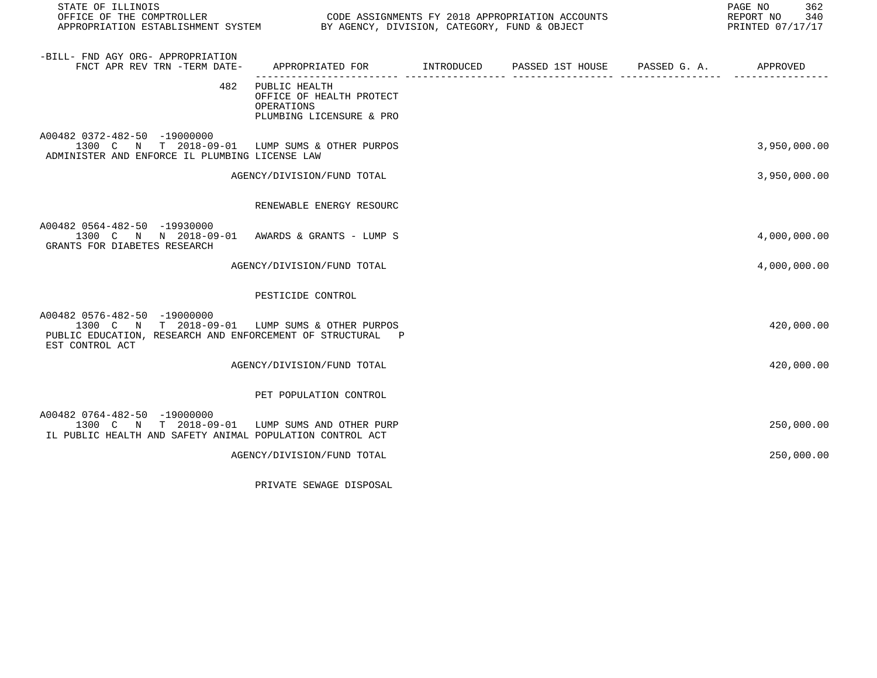| STATE OF ILLINOIS<br>OFFICE OF THE COMPTROLLER<br>OFFICE OF THE COMPTROLLER<br>APPROPRIATION ESTABLISHMENT SYSTEM BY AGENCY, DIVISION, CATEGORY, FUND & OBJECT  |                                                                                           | CODE ASSIGNMENTS FY 2018 APPROPRIATION ACCOUNTS |                          | PAGE NO<br>362<br>REPORT NO 340<br>PRINTED 07/17/17 |
|-----------------------------------------------------------------------------------------------------------------------------------------------------------------|-------------------------------------------------------------------------------------------|-------------------------------------------------|--------------------------|-----------------------------------------------------|
| -BILL- FND AGY ORG- APPROPRIATION<br>FNCT APR REV TRN -TERM DATE-                                                                                               | APPROPRIATED FOR        INTRODUCED     PASSED 1ST HOUSE     PASSED G. A.         APPROVED |                                                 | ________________________ |                                                     |
| 482                                                                                                                                                             | PUBLIC HEALTH<br>OFFICE OF HEALTH PROTECT<br>OPERATIONS<br>PLUMBING LICENSURE & PRO       |                                                 |                          |                                                     |
| A00482 0372-482-50 -19000000<br>1300 C N T 2018-09-01 LUMP SUMS & OTHER PURPOS<br>ADMINISTER AND ENFORCE IL PLUMBING LICENSE LAW                                |                                                                                           |                                                 |                          | 3,950,000.00                                        |
|                                                                                                                                                                 | AGENCY/DIVISION/FUND TOTAL                                                                |                                                 |                          | 3,950,000.00                                        |
|                                                                                                                                                                 | RENEWABLE ENERGY RESOURC                                                                  |                                                 |                          |                                                     |
| A00482 0564-482-50 -19930000<br>1300 C N N 2018-09-01 AWARDS & GRANTS - LUMP S<br>GRANTS FOR DIABETES RESEARCH                                                  |                                                                                           |                                                 |                          | 4,000,000.00                                        |
|                                                                                                                                                                 | AGENCY/DIVISION/FUND TOTAL                                                                |                                                 |                          | 4,000,000.00                                        |
|                                                                                                                                                                 | PESTICIDE CONTROL                                                                         |                                                 |                          |                                                     |
| A00482 0576-482-50 -19000000<br>1300 C N T 2018-09-01 LUMP SUMS & OTHER PURPOS<br>PUBLIC EDUCATION, RESEARCH AND ENFORCEMENT OF STRUCTURAL P<br>EST CONTROL ACT |                                                                                           |                                                 |                          | 420,000.00                                          |
|                                                                                                                                                                 | AGENCY/DIVISION/FUND TOTAL                                                                |                                                 |                          | 420,000.00                                          |
|                                                                                                                                                                 | PET POPULATION CONTROL                                                                    |                                                 |                          |                                                     |
| A00482 0764-482-50 -19000000<br>1300 C N T 2018-09-01 LUMP SUMS AND OTHER PURP<br>IL PUBLIC HEALTH AND SAFETY ANIMAL POPULATION CONTROL ACT                     |                                                                                           |                                                 |                          | 250,000.00                                          |
|                                                                                                                                                                 | AGENCY/DIVISION/FUND TOTAL                                                                |                                                 |                          | 250,000.00                                          |

PRIVATE SEWAGE DISPOSAL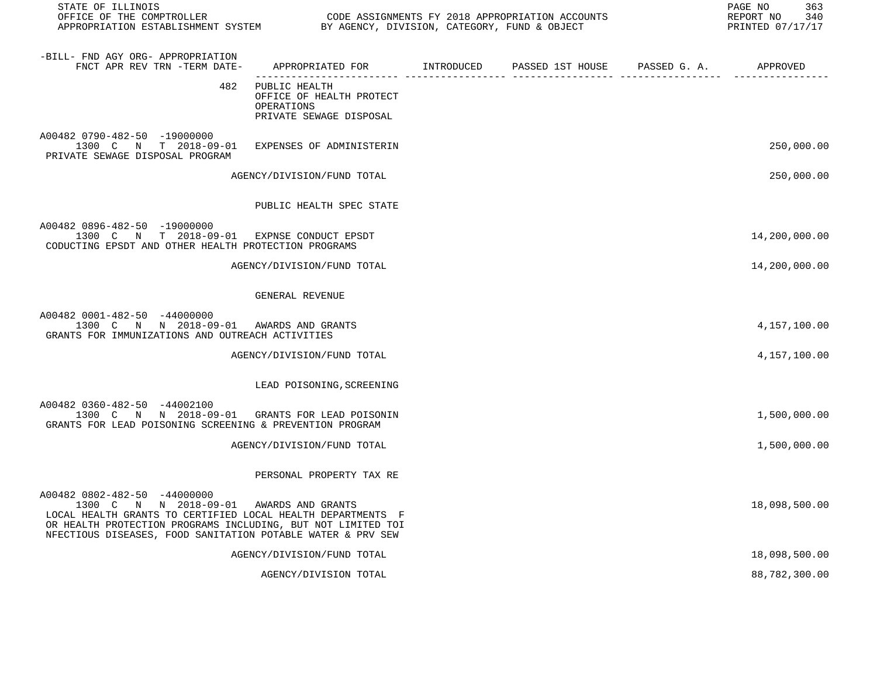| STATE OF ILLINOIS<br>OFFICE OF THE COMPTROLLER<br>APPROPRIATION ESTABLISHMENT SYSTEM BY AGENCY, DIVISION, CATEGORY, FUND & OBJECT                                                                                                                                     |                                                                                    | CODE ASSIGNMENTS FY 2018 APPROPRIATION ACCOUNTS | 363<br>PAGE NO<br>REPORT NO<br>340<br>PRINTED 07/17/17 |
|-----------------------------------------------------------------------------------------------------------------------------------------------------------------------------------------------------------------------------------------------------------------------|------------------------------------------------------------------------------------|-------------------------------------------------|--------------------------------------------------------|
| -BILL- FND AGY ORG- APPROPRIATION<br>FNCT APR REV TRN -TERM DATE-                                                                                                                                                                                                     | APPROPRIATED FOR INTRODUCED                                                        | PASSED 1ST HOUSE PASSED G. A. APPROVED          |                                                        |
| 482                                                                                                                                                                                                                                                                   | PUBLIC HEALTH<br>OFFICE OF HEALTH PROTECT<br>OPERATIONS<br>PRIVATE SEWAGE DISPOSAL |                                                 |                                                        |
| A00482 0790-482-50 -19000000<br>1300 C N T 2018-09-01<br>PRIVATE SEWAGE DISPOSAL PROGRAM                                                                                                                                                                              | EXPENSES OF ADMINISTERIN                                                           |                                                 | 250,000.00                                             |
|                                                                                                                                                                                                                                                                       | AGENCY/DIVISION/FUND TOTAL                                                         |                                                 | 250,000.00                                             |
|                                                                                                                                                                                                                                                                       | PUBLIC HEALTH SPEC STATE                                                           |                                                 |                                                        |
| A00482 0896-482-50 -19000000<br>1300 C N T 2018-09-01 EXPNSE CONDUCT EPSDT<br>CODUCTING EPSDT AND OTHER HEALTH PROTECTION PROGRAMS                                                                                                                                    |                                                                                    |                                                 | 14,200,000.00                                          |
|                                                                                                                                                                                                                                                                       | AGENCY/DIVISION/FUND TOTAL                                                         |                                                 | 14,200,000.00                                          |
|                                                                                                                                                                                                                                                                       | GENERAL REVENUE                                                                    |                                                 |                                                        |
| A00482 0001-482-50 -44000000<br>1300 C N N 2018-09-01 AWARDS AND GRANTS<br>GRANTS FOR IMMUNIZATIONS AND OUTREACH ACTIVITIES                                                                                                                                           |                                                                                    |                                                 | 4,157,100.00                                           |
|                                                                                                                                                                                                                                                                       | AGENCY/DIVISION/FUND TOTAL                                                         |                                                 | 4,157,100.00                                           |
|                                                                                                                                                                                                                                                                       | LEAD POISONING, SCREENING                                                          |                                                 |                                                        |
| A00482 0360-482-50 -44002100<br>1300 C N N 2018-09-01 GRANTS FOR LEAD POISONIN<br>GRANTS FOR LEAD POISONING SCREENING & PREVENTION PROGRAM                                                                                                                            |                                                                                    |                                                 | 1,500,000.00                                           |
|                                                                                                                                                                                                                                                                       | AGENCY/DIVISION/FUND TOTAL                                                         |                                                 | 1,500,000.00                                           |
|                                                                                                                                                                                                                                                                       | PERSONAL PROPERTY TAX RE                                                           |                                                 |                                                        |
| A00482 0802-482-50 -44000000<br>1300 C N N 2018-09-01 AWARDS AND GRANTS<br>LOCAL HEALTH GRANTS TO CERTIFIED LOCAL HEALTH DEPARTMENTS F<br>OR HEALTH PROTECTION PROGRAMS INCLUDING, BUT NOT LIMITED TOI<br>NFECTIOUS DISEASES, FOOD SANITATION POTABLE WATER & PRV SEW |                                                                                    |                                                 | 18,098,500.00                                          |
|                                                                                                                                                                                                                                                                       | AGENCY/DIVISION/FUND TOTAL                                                         |                                                 | 18,098,500.00                                          |
|                                                                                                                                                                                                                                                                       | AGENCY/DIVISION TOTAL                                                              |                                                 | 88,782,300.00                                          |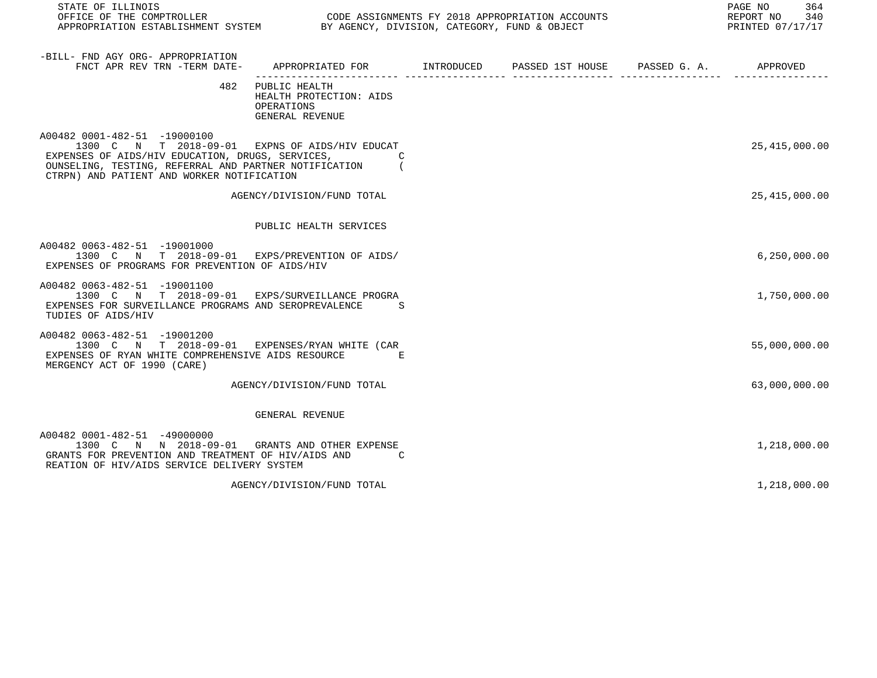| STATE OF ILLINOIS                                                                                                                                                                                                                           |                                                                                           |  | PAGE NO<br>364<br>REPORT NO<br>340<br>PRINTED 07/17/17 |
|---------------------------------------------------------------------------------------------------------------------------------------------------------------------------------------------------------------------------------------------|-------------------------------------------------------------------------------------------|--|--------------------------------------------------------|
| -BILL- FND AGY ORG- APPROPRIATION<br>FNCT APR REV TRN -TERM DATE-                                                                                                                                                                           | APPROPRIATED FOR        INTRODUCED     PASSED 1ST HOUSE     PASSED G. A.         APPROVED |  |                                                        |
| 482                                                                                                                                                                                                                                         | PUBLIC HEALTH<br>HEALTH PROTECTION: AIDS<br>OPERATIONS<br>GENERAL REVENUE                 |  |                                                        |
| A00482 0001-482-51 -19000100<br>1300 C N T 2018-09-01 EXPNS OF AIDS/HIV EDUCAT<br>EXPENSES OF AIDS/HIV EDUCATION, DRUGS, SERVICES,<br>OUNSELING, TESTING, REFERRAL AND PARTNER NOTIFICATION (<br>CTRPN) AND PATIENT AND WORKER NOTIFICATION | C                                                                                         |  | 25, 415, 000.00                                        |
|                                                                                                                                                                                                                                             | AGENCY/DIVISION/FUND TOTAL                                                                |  | 25, 415, 000.00                                        |
|                                                                                                                                                                                                                                             | PUBLIC HEALTH SERVICES                                                                    |  |                                                        |
| A00482 0063-482-51 -19001000<br>1300 C N T 2018-09-01 EXPS/PREVENTION OF AIDS/<br>EXPENSES OF PROGRAMS FOR PREVENTION OF AIDS/HIV                                                                                                           |                                                                                           |  | 6, 250, 000.00                                         |
| A00482 0063-482-51 -19001100<br>1300 C N T 2018-09-01 EXPS/SURVEILLANCE PROGRA<br>EXPENSES FOR SURVEILLANCE PROGRAMS AND SEROPREVALENCE<br>TUDIES OF AIDS/HIV                                                                               | - S                                                                                       |  | 1,750,000.00                                           |
| A00482 0063-482-51 -19001200<br>1300 C N T 2018-09-01 EXPENSES/RYAN WHITE (CAR<br>EXPENSES OF RYAN WHITE COMPREHENSIVE AIDS RESOURCE<br>MERGENCY ACT OF 1990 (CARE)                                                                         | E                                                                                         |  | 55,000,000.00                                          |
|                                                                                                                                                                                                                                             | AGENCY/DIVISION/FUND TOTAL                                                                |  | 63,000,000.00                                          |
|                                                                                                                                                                                                                                             | GENERAL REVENUE                                                                           |  |                                                        |
| A00482 0001-482-51 -49000000<br>1300 C N N 2018-09-01 GRANTS AND OTHER EXPENSE<br>GRANTS FOR PREVENTION AND TREATMENT OF HIV/AIDS AND<br>REATION OF HIV/AIDS SERVICE DELIVERY SYSTEM                                                        | C                                                                                         |  | 1,218,000.00                                           |
|                                                                                                                                                                                                                                             | AGENCY/DIVISION/FUND TOTAL                                                                |  | 1,218,000.00                                           |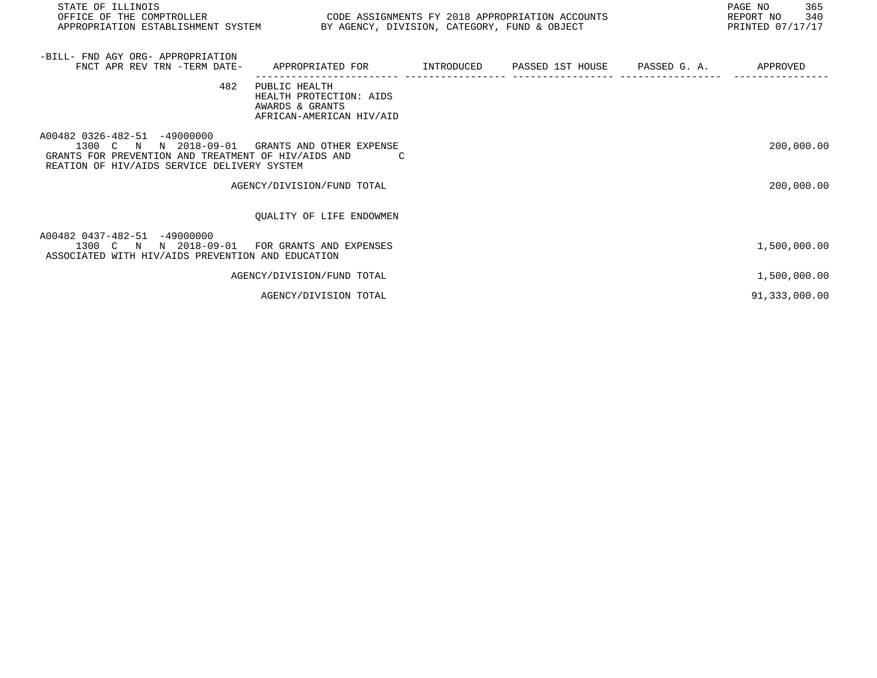| STATE OF ILLINOIS                                                                                                                                           |                                                                                         |  | PAGE NO<br>365<br>REPORT NO 340<br>PRINTED 07/17/17 |
|-------------------------------------------------------------------------------------------------------------------------------------------------------------|-----------------------------------------------------------------------------------------|--|-----------------------------------------------------|
| -BILL- FND AGY ORG- APPROPRIATION<br>FNCT APR REV TRN -TERM DATE-                                                                                           | APPROPRIATED FOR      INTRODUCED   PASSED 1ST HOUSE   PASSED G. A.                      |  | APPROVED                                            |
| 482                                                                                                                                                         | PUBLIC HEALTH<br>HEALTH PROTECTION: AIDS<br>AWARDS & GRANTS<br>AFRICAN-AMERICAN HIV/AID |  |                                                     |
| A00482 0326-482-51 -49000000<br>1300 C N N 2018-09-01<br>GRANTS FOR PREVENTION AND TREATMENT OF HIV/AIDS AND<br>REATION OF HIV/AIDS SERVICE DELIVERY SYSTEM | GRANTS AND OTHER EXPENSE                                                                |  | 200,000.00                                          |
|                                                                                                                                                             | AGENCY/DIVISION/FUND TOTAL                                                              |  | 200,000.00                                          |
|                                                                                                                                                             | OUALITY OF LIFE ENDOWMEN                                                                |  |                                                     |
| A00482 0437-482-51 -49000000<br>1300 C N N 2018-09-01<br>ASSOCIATED WITH HIV/AIDS PREVENTION AND EDUCATION                                                  | FOR GRANTS AND EXPENSES                                                                 |  | 1,500,000.00                                        |
|                                                                                                                                                             | AGENCY/DIVISION/FUND TOTAL                                                              |  | 1,500,000.00                                        |
|                                                                                                                                                             | AGENCY/DIVISION TOTAL                                                                   |  | 91,333,000.00                                       |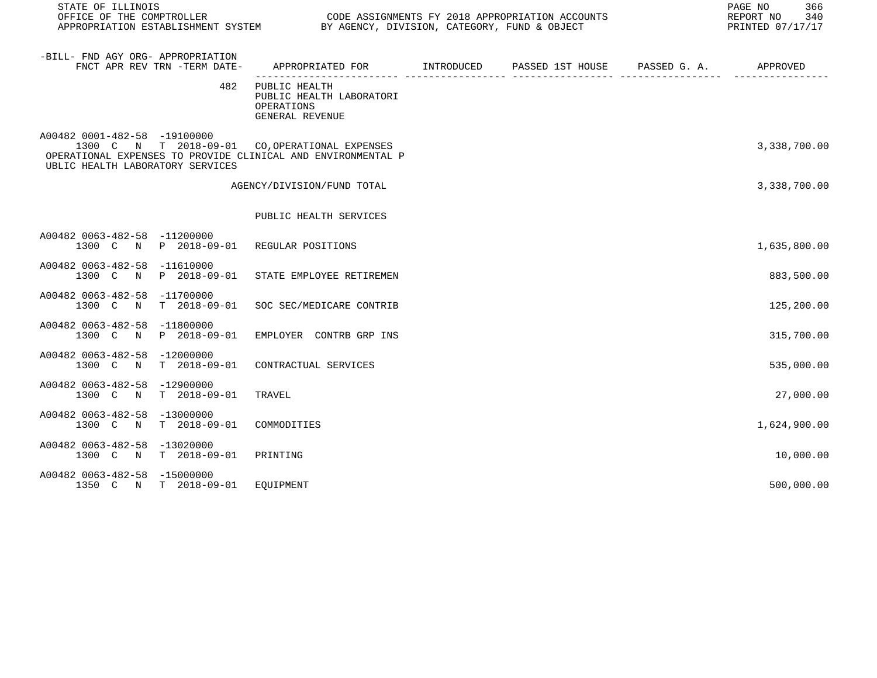| STATE OF ILLINOIS                                                                                                                                                                  |                                                                                           | REPORT NO<br>PRINTED 07/17/17 |  |  |              |  |
|------------------------------------------------------------------------------------------------------------------------------------------------------------------------------------|-------------------------------------------------------------------------------------------|-------------------------------|--|--|--------------|--|
| -BILL- FND AGY ORG- APPROPRIATION<br>FNCT APR REV TRN -TERM DATE-                                                                                                                  | APPROPRIATED FOR        INTRODUCED      PASSED 1ST HOUSE     PASSED G. A.        APPROVED |                               |  |  |              |  |
| 482                                                                                                                                                                                | PUBLIC HEALTH<br>PUBLIC HEALTH LABORATORI<br>OPERATIONS<br>GENERAL REVENUE                |                               |  |  |              |  |
| A00482 0001-482-58 -19100000<br>1300 C N T 2018-09-01 CO, OPERATIONAL EXPENSES<br>OPERATIONAL EXPENSES TO PROVIDE CLINICAL AND ENVIRONMENTAL P<br>UBLIC HEALTH LABORATORY SERVICES |                                                                                           |                               |  |  | 3,338,700.00 |  |
|                                                                                                                                                                                    | AGENCY/DIVISION/FUND TOTAL                                                                |                               |  |  | 3,338,700.00 |  |
|                                                                                                                                                                                    | PUBLIC HEALTH SERVICES                                                                    |                               |  |  |              |  |
| A00482 0063-482-58 -11200000<br>1300 C N P 2018-09-01 REGULAR POSITIONS                                                                                                            |                                                                                           |                               |  |  | 1,635,800.00 |  |
| A00482 0063-482-58 -11610000                                                                                                                                                       | 1300 C N P 2018-09-01 STATE EMPLOYEE RETIREMEN                                            |                               |  |  | 883,500.00   |  |
| A00482 0063-482-58 -11700000<br>1300 C N T 2018-09-01                                                                                                                              | SOC SEC/MEDICARE CONTRIB                                                                  |                               |  |  | 125,200.00   |  |
| A00482 0063-482-58 -11800000<br>1300 C                                                                                                                                             | N P 2018-09-01 EMPLOYER CONTRB GRP INS                                                    |                               |  |  | 315,700.00   |  |
| A00482 0063-482-58 -12000000<br>1300 C N T 2018-09-01 CONTRACTUAL SERVICES                                                                                                         |                                                                                           |                               |  |  | 535,000.00   |  |
| A00482 0063-482-58 -12900000<br>T 2018-09-01<br>1300 C N                                                                                                                           | TRAVEL                                                                                    |                               |  |  | 27,000.00    |  |
| A00482 0063-482-58 -13000000<br>T 2018-09-01<br>1300 C N                                                                                                                           | COMMODITIES                                                                               |                               |  |  | 1,624,900.00 |  |
| A00482 0063-482-58 -13020000<br>T 2018-09-01<br>1300 C N                                                                                                                           | PRINTING                                                                                  |                               |  |  | 10,000.00    |  |
| A00482 0063-482-58 -15000000<br>1350 C N T 2018-09-01 EQUIPMENT                                                                                                                    |                                                                                           |                               |  |  | 500,000.00   |  |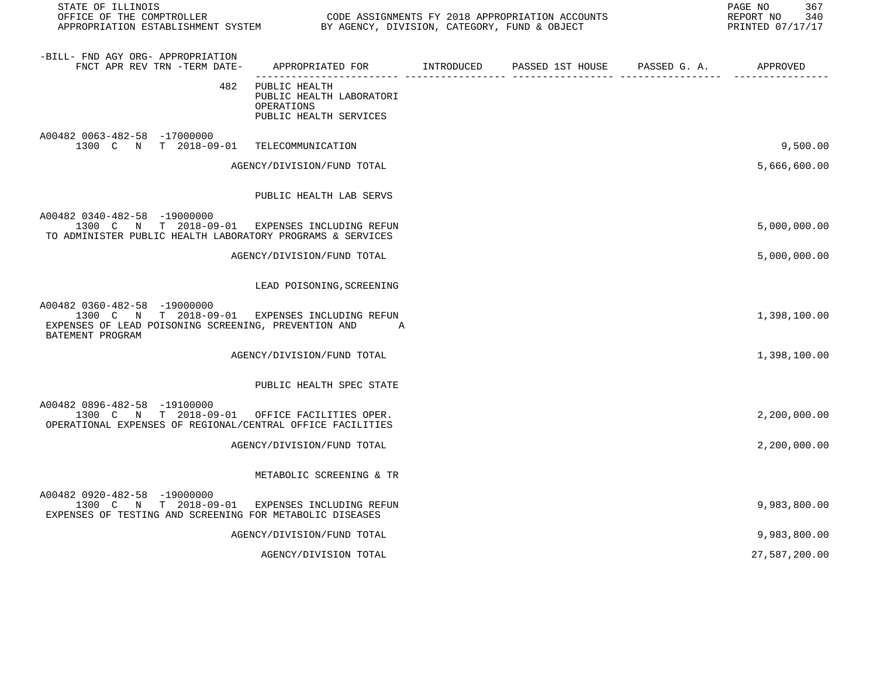| STATE OF ILLINOIS<br>OFFICE OF THE COMPTROLLER<br>APPROPRIATION ESTABLISHMENT SYSTEM BY AGENCY, DIVISION, CATEGORY, FUND & OBJECT                          |                                                                                   | CODE ASSIGNMENTS FY 2018 APPROPRIATION ACCOUNTS | 367<br>PAGE NO<br>340<br>REPORT NO<br>PRINTED 07/17/17 |
|------------------------------------------------------------------------------------------------------------------------------------------------------------|-----------------------------------------------------------------------------------|-------------------------------------------------|--------------------------------------------------------|
| -BILL- FND AGY ORG- APPROPRIATION<br>FNCT APR REV TRN -TERM DATE-                                                                                          | APPROPRIATED FOR INTRODUCED PASSED 1ST HOUSE PASSED G. A.                         |                                                 | APPROVED                                               |
| 482                                                                                                                                                        | PUBLIC HEALTH<br>PUBLIC HEALTH LABORATORI<br>OPERATIONS<br>PUBLIC HEALTH SERVICES |                                                 |                                                        |
| A00482 0063-482-58 -17000000<br>1300 C N T 2018-09-01 TELECOMMUNICATION                                                                                    |                                                                                   |                                                 | 9,500.00                                               |
|                                                                                                                                                            | AGENCY/DIVISION/FUND TOTAL                                                        |                                                 | 5,666,600.00                                           |
|                                                                                                                                                            | PUBLIC HEALTH LAB SERVS                                                           |                                                 |                                                        |
| A00482 0340-482-58 -19000000<br>1300 C N T 2018-09-01 EXPENSES INCLUDING REFUN<br>TO ADMINISTER PUBLIC HEALTH LABORATORY PROGRAMS & SERVICES               |                                                                                   |                                                 | 5,000,000.00                                           |
|                                                                                                                                                            | AGENCY/DIVISION/FUND TOTAL                                                        |                                                 | 5,000,000.00                                           |
|                                                                                                                                                            | LEAD POISONING, SCREENING                                                         |                                                 |                                                        |
| A00482 0360-482-58 -19000000<br>1300 C N T 2018-09-01 EXPENSES INCLUDING REFUN<br>EXPENSES OF LEAD POISONING SCREENING, PREVENTION AND<br>BATEMENT PROGRAM | <b>A</b>                                                                          |                                                 | 1,398,100.00                                           |
|                                                                                                                                                            | AGENCY/DIVISION/FUND TOTAL                                                        |                                                 | 1,398,100.00                                           |
|                                                                                                                                                            | PUBLIC HEALTH SPEC STATE                                                          |                                                 |                                                        |
| A00482 0896-482-58 -19100000<br>1300 C N T 2018-09-01 OFFICE FACILITIES OPER.<br>OPERATIONAL EXPENSES OF REGIONAL/CENTRAL OFFICE FACILITIES                |                                                                                   |                                                 | 2,200,000.00                                           |
|                                                                                                                                                            | AGENCY/DIVISION/FUND TOTAL                                                        |                                                 | 2,200,000.00                                           |
|                                                                                                                                                            | METABOLIC SCREENING & TR                                                          |                                                 |                                                        |
| A00482 0920-482-58 -19000000<br>1300 C N T 2018-09-01 EXPENSES INCLUDING REFUN<br>EXPENSES OF TESTING AND SCREENING FOR METABOLIC DISEASES                 |                                                                                   |                                                 | 9,983,800.00                                           |
|                                                                                                                                                            | AGENCY/DIVISION/FUND TOTAL                                                        |                                                 | 9,983,800.00                                           |
|                                                                                                                                                            | AGENCY/DIVISION TOTAL                                                             |                                                 | 27,587,200.00                                          |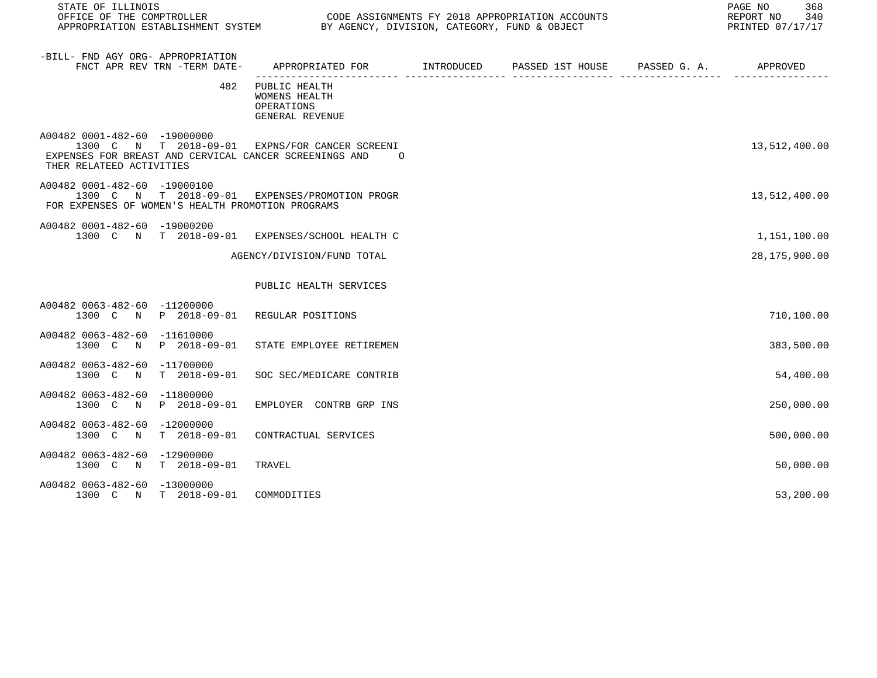| STATE OF ILLINOIS<br>OFFICE OF THE COMPTROLLER<br>APPROPRIATION ESTABLISHMENT SYSTEM BY AGENCY, DIVISION, CATEGORY, FUND & OBJECT                                      |                                                                                             |  | 368<br>PAGE NO<br>340<br>REPORT NO<br>PRINTED 07/17/17 |
|------------------------------------------------------------------------------------------------------------------------------------------------------------------------|---------------------------------------------------------------------------------------------|--|--------------------------------------------------------|
| -BILL- FND AGY ORG- APPROPRIATION<br>FNCT APR REV TRN -TERM DATE-                                                                                                      | APPROPRIATED FOR        INTRODUCED      PASSED 1ST HOUSE     PASSED G. A.          APPROVED |  |                                                        |
| 482                                                                                                                                                                    | PUBLIC HEALTH<br><b>WOMENS HEALTH</b><br>OPERATIONS<br>GENERAL REVENUE                      |  |                                                        |
| A00482 0001-482-60 -19000000<br>1300 C N T 2018-09-01 EXPNS/FOR CANCER SCREENI<br>EXPENSES FOR BREAST AND CERVICAL CANCER SCREENINGS AND 0<br>THER RELATEED ACTIVITIES |                                                                                             |  | 13,512,400.00                                          |
| A00482 0001-482-60 -19000100<br>1300 C N T 2018-09-01 EXPENSES/PROMOTION PROGR<br>FOR EXPENSES OF WOMEN'S HEALTH PROMOTION PROGRAMS                                    |                                                                                             |  | 13,512,400.00                                          |
| A00482 0001-482-60 -19000200<br>1300 C N T 2018-09-01 EXPENSES/SCHOOL HEALTH C                                                                                         |                                                                                             |  | 1,151,100.00                                           |
|                                                                                                                                                                        | AGENCY/DIVISION/FUND TOTAL                                                                  |  | 28,175,900.00                                          |
|                                                                                                                                                                        | PUBLIC HEALTH SERVICES                                                                      |  |                                                        |
| A00482 0063-482-60 -11200000<br>1300 C N P 2018-09-01 REGULAR POSITIONS                                                                                                |                                                                                             |  | 710,100.00                                             |
| A00482 0063-482-60 -11610000<br>1300 C N P 2018-09-01 STATE EMPLOYEE RETIREMEN                                                                                         |                                                                                             |  | 383,500.00                                             |
| A00482 0063-482-60 -11700000<br>1300 C N T 2018-09-01 SOC SEC/MEDICARE CONTRIB                                                                                         |                                                                                             |  | 54,400.00                                              |
| A00482 0063-482-60 -11800000<br>1300 C N P 2018-09-01 EMPLOYER CONTRB GRP INS                                                                                          |                                                                                             |  | 250,000.00                                             |
| A00482 0063-482-60 -12000000<br>1300 C N T 2018-09-01 CONTRACTUAL SERVICES                                                                                             |                                                                                             |  | 500,000.00                                             |
| A00482 0063-482-60 -12900000<br>1300 C N T 2018-09-01 TRAVEL                                                                                                           |                                                                                             |  | 50,000.00                                              |
| A00482 0063-482-60 -13000000<br>1300 C N T 2018-09-01 COMMODITIES                                                                                                      |                                                                                             |  | 53,200.00                                              |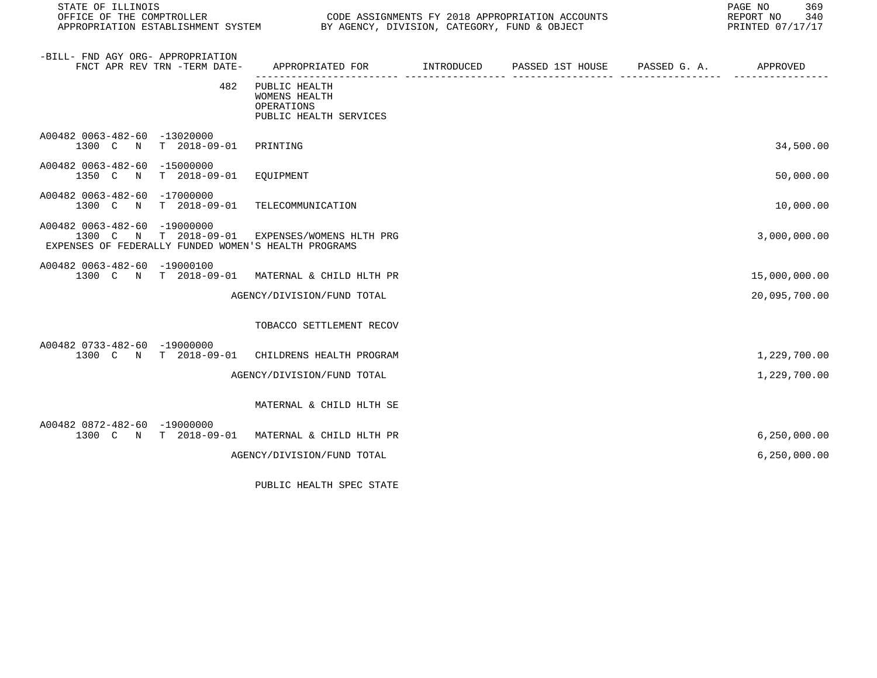| STATE OF ILLINOIS<br>OFFICE OF THE COMPTROLLER |                                 |                                                                                                        | CODE ASSIGNMENTS FY 2018 APPROPRIATION ACCOUNTS<br>APPROPRIATION ESTABLISHMENT SYSTEM BY AGENCY, DIVISION, CATEGORY, FUND & OBJECT |                               |  |                |  |
|------------------------------------------------|---------------------------------|--------------------------------------------------------------------------------------------------------|------------------------------------------------------------------------------------------------------------------------------------|-------------------------------|--|----------------|--|
| -BILL- FND AGY ORG- APPROPRIATION              | FNCT APR REV TRN -TERM DATE-    | APPROPRIATED FOR                                                                                       | <b>INTRODUCED</b>                                                                                                                  | PASSED 1ST HOUSE PASSED G. A. |  | APPROVED       |  |
|                                                | 482                             | PUBLIC HEALTH<br>WOMENS HEALTH<br>OPERATIONS<br>PUBLIC HEALTH SERVICES                                 |                                                                                                                                    |                               |  |                |  |
| A00482 0063-482-60 -13020000                   | 1300 C N T 2018-09-01 PRINTING  |                                                                                                        |                                                                                                                                    |                               |  | 34,500.00      |  |
| A00482 0063-482-60 -15000000                   | 1350 C N T 2018-09-01 EQUIPMENT |                                                                                                        |                                                                                                                                    |                               |  | 50,000.00      |  |
| A00482 0063-482-60 -17000000                   | 1300 C N T 2018-09-01           | TELECOMMUNICATION                                                                                      |                                                                                                                                    |                               |  | 10,000.00      |  |
| A00482 0063-482-60 -19000000                   |                                 | 1300 C N T 2018-09-01 EXPENSES/WOMENS HLTH PRG<br>EXPENSES OF FEDERALLY FUNDED WOMEN'S HEALTH PROGRAMS |                                                                                                                                    |                               |  | 3,000,000.00   |  |
| A00482 0063-482-60 -19000100                   |                                 | 1300 C N T 2018-09-01 MATERNAL & CHILD HLTH PR                                                         |                                                                                                                                    |                               |  | 15,000,000.00  |  |
|                                                |                                 | AGENCY/DIVISION/FUND TOTAL                                                                             |                                                                                                                                    |                               |  | 20,095,700.00  |  |
|                                                |                                 | TOBACCO SETTLEMENT RECOV                                                                               |                                                                                                                                    |                               |  |                |  |
| A00482 0733-482-60 -19000000                   | 1300 C N T 2018-09-01           | CHILDRENS HEALTH PROGRAM                                                                               |                                                                                                                                    |                               |  | 1,229,700.00   |  |
|                                                |                                 | AGENCY/DIVISION/FUND TOTAL                                                                             |                                                                                                                                    |                               |  | 1,229,700.00   |  |
|                                                |                                 | MATERNAL & CHILD HLTH SE                                                                               |                                                                                                                                    |                               |  |                |  |
| A00482 0872-482-60 -19000000                   | 1300 C N T 2018-09-01           | MATERNAL & CHILD HLTH PR                                                                               |                                                                                                                                    |                               |  | 6, 250, 000.00 |  |
|                                                |                                 | AGENCY/DIVISION/FUND TOTAL                                                                             |                                                                                                                                    |                               |  | 6, 250, 000.00 |  |
|                                                |                                 |                                                                                                        |                                                                                                                                    |                               |  |                |  |

PUBLIC HEALTH SPEC STATE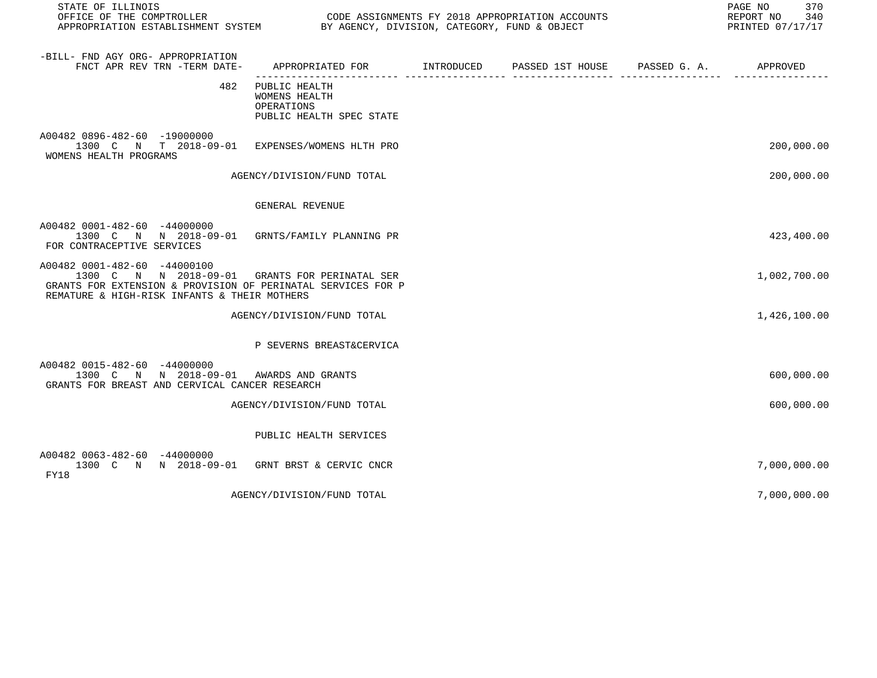| STATE OF ILLINOIS<br>OFFICE OF THE COMPTROLLER CONDUCTED SOLUTION CODE ASSIGNMENTS FY 2018 APPROPRIATION ACCOUNTS<br>APPROPRIATION ESTABLISHMENT SYSTEM BY AGENCY, DIVISION, CATEGORY, FUND & OBJECT |                                                                                           |  | PAGE NO<br>370<br>REPORT NO 340<br>PRINTED 07/17/17 |
|------------------------------------------------------------------------------------------------------------------------------------------------------------------------------------------------------|-------------------------------------------------------------------------------------------|--|-----------------------------------------------------|
| -BILL- FND AGY ORG- APPROPRIATION<br>FNCT APR REV TRN -TERM DATE-                                                                                                                                    | APPROPRIATED FOR        INTRODUCED      PASSED 1ST HOUSE     PASSED G. A.        APPROVED |  |                                                     |
| 482                                                                                                                                                                                                  | PUBLIC HEALTH<br>WOMENS HEALTH<br>OPERATIONS<br>PUBLIC HEALTH SPEC STATE                  |  |                                                     |
| A00482 0896-482-60 -19000000<br>1300 C N T 2018-09-01 EXPENSES/WOMENS HLTH PRO<br>WOMENS HEALTH PROGRAMS                                                                                             |                                                                                           |  | 200,000.00                                          |
|                                                                                                                                                                                                      | AGENCY/DIVISION/FUND TOTAL                                                                |  | 200,000.00                                          |
|                                                                                                                                                                                                      | GENERAL REVENUE                                                                           |  |                                                     |
| A00482 0001-482-60 -44000000<br>1300 C N N 2018-09-01 GRNTS/FAMILY PLANNING PR<br>FOR CONTRACEPTIVE SERVICES                                                                                         |                                                                                           |  | 423,400.00                                          |
| A00482 0001-482-60 -44000100<br>1300 C N N 2018-09-01 GRANTS FOR PERINATAL SER<br>GRANTS FOR EXTENSION & PROVISION OF PERINATAL SERVICES FOR P<br>REMATURE & HIGH-RISK INFANTS & THEIR MOTHERS       |                                                                                           |  | 1,002,700.00                                        |
|                                                                                                                                                                                                      | AGENCY/DIVISION/FUND TOTAL                                                                |  | 1,426,100.00                                        |
|                                                                                                                                                                                                      | P SEVERNS BREAST&CERVICA                                                                  |  |                                                     |
| A00482 0015-482-60 -44000000<br>1300 C N N 2018-09-01 AWARDS AND GRANTS<br>GRANTS FOR BREAST AND CERVICAL CANCER RESEARCH                                                                            |                                                                                           |  | 600,000.00                                          |
|                                                                                                                                                                                                      | AGENCY/DIVISION/FUND TOTAL                                                                |  | 600,000.00                                          |
|                                                                                                                                                                                                      | PUBLIC HEALTH SERVICES                                                                    |  |                                                     |
| A00482 0063-482-60 -44000000<br>1300 C N N 2018-09-01 GRNT BRST & CERVIC CNCR<br>FY18                                                                                                                |                                                                                           |  | 7,000,000.00                                        |
|                                                                                                                                                                                                      | AGENCY/DIVISION/FUND TOTAL                                                                |  | 7,000,000.00                                        |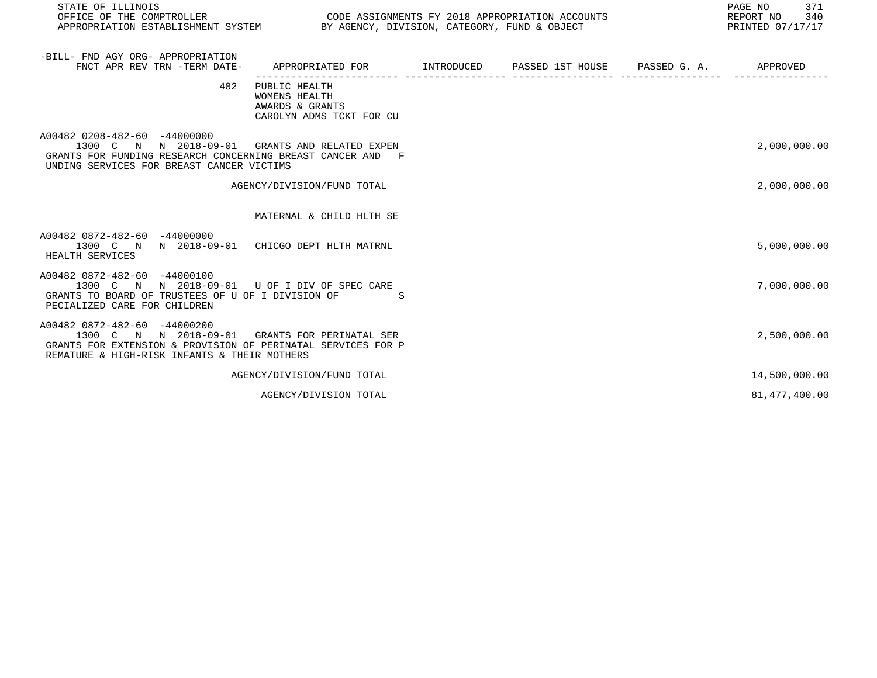| STATE OF ILLINOIS<br>OFFICE OF THE COMPTROLLER CONDUCTER CODE ASSIGNMENTS FY 2018 APPROPRIATION ACCOUNTS<br>APPROPRIATION ESTABLISHMENT SYSTEM BY AGENCY, DIVISION, CATEGORY, FUND & OBJECT    |                                                                                          |  | PAGE NO<br>371<br>REPORT NO<br>340<br>PRINTED 07/17/17 |
|------------------------------------------------------------------------------------------------------------------------------------------------------------------------------------------------|------------------------------------------------------------------------------------------|--|--------------------------------------------------------|
| -BILL- FND AGY ORG- APPROPRIATION<br>FNCT APR REV TRN -TERM DATE-                                                                                                                              | APPROPRIATED FOR        INTRODUCED     PASSED 1ST HOUSE     PASSED G. A.        APPROVED |  |                                                        |
| 482                                                                                                                                                                                            | PUBLIC HEALTH<br><b>WOMENS HEALTH</b><br>AWARDS & GRANTS<br>CAROLYN ADMS TCKT FOR CU     |  |                                                        |
| A00482 0208-482-60 -44000000<br>1300 C N N 2018-09-01 GRANTS AND RELATED EXPEN<br>GRANTS FOR FUNDING RESEARCH CONCERNING BREAST CANCER AND F<br>UNDING SERVICES FOR BREAST CANCER VICTIMS      |                                                                                          |  | 2,000,000.00                                           |
|                                                                                                                                                                                                | AGENCY/DIVISION/FUND TOTAL                                                               |  | 2,000,000.00                                           |
|                                                                                                                                                                                                | MATERNAL & CHILD HLTH SE                                                                 |  |                                                        |
| A00482 0872-482-60 -44000000<br>1300 C N N 2018-09-01 CHICGO DEPT HLTH MATRNL<br>HEALTH SERVICES                                                                                               |                                                                                          |  | 5,000,000.00                                           |
| A00482 0872-482-60 -44000100<br>1300 C N N 2018-09-01 U OF I DIV OF SPEC CARE<br>GRANTS TO BOARD OF TRUSTEES OF U OF I DIVISION OF<br>PECIALIZED CARE FOR CHILDREN                             | $\mathbb S$                                                                              |  | 7,000,000.00                                           |
| A00482 0872-482-60 -44000200<br>1300 C N N 2018-09-01 GRANTS FOR PERINATAL SER<br>GRANTS FOR EXTENSION & PROVISION OF PERINATAL SERVICES FOR P<br>REMATURE & HIGH-RISK INFANTS & THEIR MOTHERS |                                                                                          |  | 2,500,000.00                                           |
|                                                                                                                                                                                                | AGENCY/DIVISION/FUND TOTAL                                                               |  | 14,500,000.00                                          |
|                                                                                                                                                                                                | AGENCY/DIVISION TOTAL                                                                    |  | 81, 477, 400.00                                        |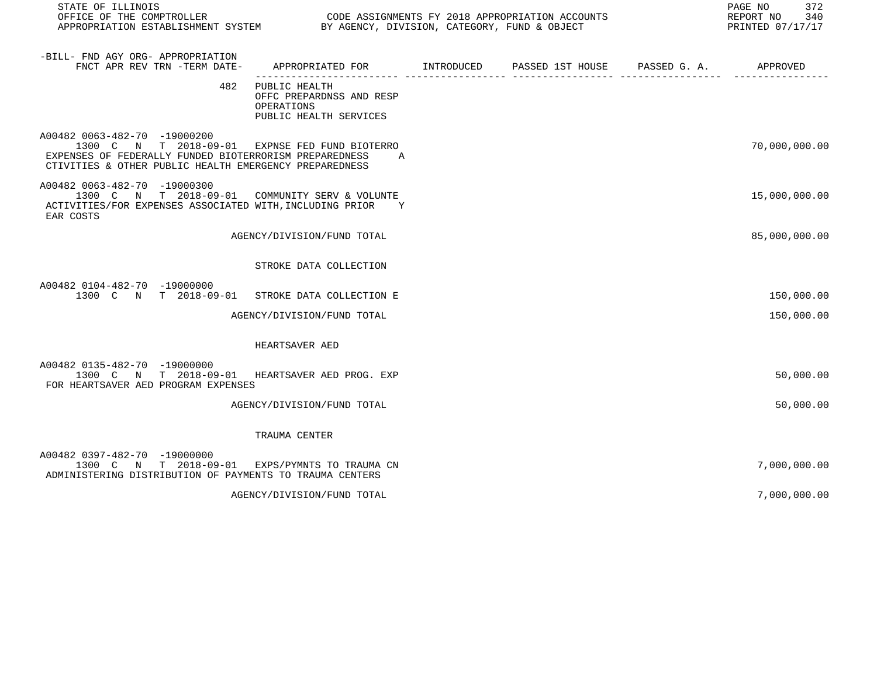| STATE OF ILLINOIS<br>OFFICE OF THE COMPTROLLER<br>APPROPRIATION ESTABLISHMENT SYSTEM BY AGENCY, DIVISION, CATEGORY, FUND & OBJECT                                                                  |                                                                                              | CODE ASSIGNMENTS FY 2018 APPROPRIATION ACCOUNTS | PAGE NO<br>372<br>REPORT NO<br>340<br>PRINTED 07/17/17 |
|----------------------------------------------------------------------------------------------------------------------------------------------------------------------------------------------------|----------------------------------------------------------------------------------------------|-------------------------------------------------|--------------------------------------------------------|
| -BILL- FND AGY ORG- APPROPRIATION<br>FNCT APR REV TRN -TERM DATE-                                                                                                                                  | APPROPRIATED FOR        INTRODUCED      PASSED 1ST HOUSE      PASSED G. A.          APPROVED |                                                 |                                                        |
|                                                                                                                                                                                                    | 482 PUBLIC HEALTH<br>OFFC PREPARDNSS AND RESP<br>OPERATIONS<br>PUBLIC HEALTH SERVICES        |                                                 |                                                        |
| A00482 0063-482-70 -19000200<br>1300 C N T 2018-09-01 EXPNSE FED FUND BIOTERRO<br>EXPENSES OF FEDERALLY FUNDED BIOTERRORISM PREPAREDNESS<br>CTIVITIES & OTHER PUBLIC HEALTH EMERGENCY PREPAREDNESS | A                                                                                            |                                                 | 70,000,000.00                                          |
| A00482 0063-482-70 -19000300<br>1300 C N T 2018-09-01 COMMUNITY SERV & VOLUNTE<br>ACTIVITIES/FOR EXPENSES ASSOCIATED WITH, INCLUDING PRIOR Y<br>EAR COSTS                                          |                                                                                              |                                                 | 15,000,000.00                                          |
|                                                                                                                                                                                                    | AGENCY/DIVISION/FUND TOTAL                                                                   |                                                 | 85,000,000.00                                          |
|                                                                                                                                                                                                    | STROKE DATA COLLECTION                                                                       |                                                 |                                                        |
| A00482 0104-482-70 -19000000<br>1300 C N T 2018-09-01 STROKE DATA COLLECTION E                                                                                                                     |                                                                                              |                                                 | 150,000.00                                             |
|                                                                                                                                                                                                    | AGENCY/DIVISION/FUND TOTAL                                                                   |                                                 | 150,000.00                                             |
|                                                                                                                                                                                                    | HEARTSAVER AED                                                                               |                                                 |                                                        |
| A00482 0135-482-70 -19000000<br>1300 C N T 2018-09-01 HEARTSAVER AED PROG. EXP<br>FOR HEARTSAVER AED PROGRAM EXPENSES                                                                              |                                                                                              |                                                 | 50,000.00                                              |
|                                                                                                                                                                                                    | AGENCY/DIVISION/FUND TOTAL                                                                   |                                                 | 50,000.00                                              |
|                                                                                                                                                                                                    | TRAUMA CENTER                                                                                |                                                 |                                                        |
| A00482 0397-482-70 -19000000<br>1300 C N T 2018-09-01 EXPS/PYMNTS TO TRAUMA CN<br>ADMINISTERING DISTRIBUTION OF PAYMENTS TO TRAUMA CENTERS                                                         |                                                                                              |                                                 | 7,000,000.00                                           |
|                                                                                                                                                                                                    | AGENCY/DIVISION/FUND TOTAL                                                                   |                                                 | 7,000,000.00                                           |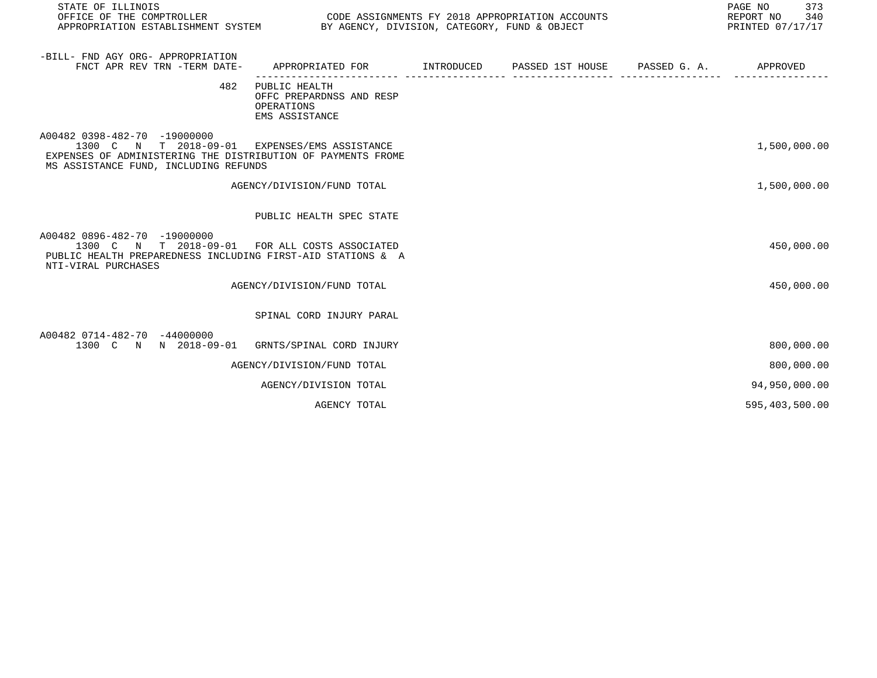| STATE OF ILLINOIS<br>OFFICE OF THE COMPTROLLER<br>APPROPRIATION ESTABLISHMENT SYSTEM BY AGENCY, DIVISION, CATEGORY, FUND & OBJECT                                                      |                                                                           | CODE ASSIGNMENTS FY 2018 APPROPRIATION ACCOUNTS | PAGE NO<br>373<br>REPORT NO 340<br>PRINTED 07/17/17 |
|----------------------------------------------------------------------------------------------------------------------------------------------------------------------------------------|---------------------------------------------------------------------------|-------------------------------------------------|-----------------------------------------------------|
| -BILL- FND AGY ORG- APPROPRIATION<br>FNCT APR REV TRN -TERM DATE-                                                                                                                      | APPROPRIATED FOR                                                          | INTRODUCED PASSED 1ST HOUSE PASSED G. A.        | APPROVED                                            |
| 482                                                                                                                                                                                    | PUBLIC HEALTH<br>OFFC PREPARDNSS AND RESP<br>OPERATIONS<br>EMS ASSISTANCE |                                                 |                                                     |
| A00482 0398-482-70 -19000000<br>1300 C N T 2018-09-01 EXPENSES/EMS ASSISTANCE<br>EXPENSES OF ADMINISTERING THE DISTRIBUTION OF PAYMENTS FROME<br>MS ASSISTANCE FUND, INCLUDING REFUNDS |                                                                           |                                                 | 1,500,000.00                                        |
|                                                                                                                                                                                        | AGENCY/DIVISION/FUND TOTAL                                                |                                                 | 1,500,000.00                                        |
|                                                                                                                                                                                        | PUBLIC HEALTH SPEC STATE                                                  |                                                 |                                                     |
| A00482 0896-482-70 -19000000<br>1300 C N T 2018-09-01 FOR ALL COSTS ASSOCIATED<br>PUBLIC HEALTH PREPAREDNESS INCLUDING FIRST-AID STATIONS & A<br>NTI-VIRAL PURCHASES                   |                                                                           |                                                 | 450,000.00                                          |
|                                                                                                                                                                                        | AGENCY/DIVISION/FUND TOTAL                                                |                                                 | 450,000.00                                          |
|                                                                                                                                                                                        | SPINAL CORD INJURY PARAL                                                  |                                                 |                                                     |
| A00482 0714-482-70 -44000000<br>1300 C N N 2018-09-01 GRNTS/SPINAL CORD INJURY                                                                                                         |                                                                           |                                                 | 800,000.00                                          |
|                                                                                                                                                                                        | AGENCY/DIVISION/FUND TOTAL                                                |                                                 | 800,000.00                                          |
|                                                                                                                                                                                        | AGENCY/DIVISION TOTAL                                                     |                                                 | 94,950,000.00                                       |
|                                                                                                                                                                                        | AGENCY TOTAL                                                              |                                                 | 595,403,500.00                                      |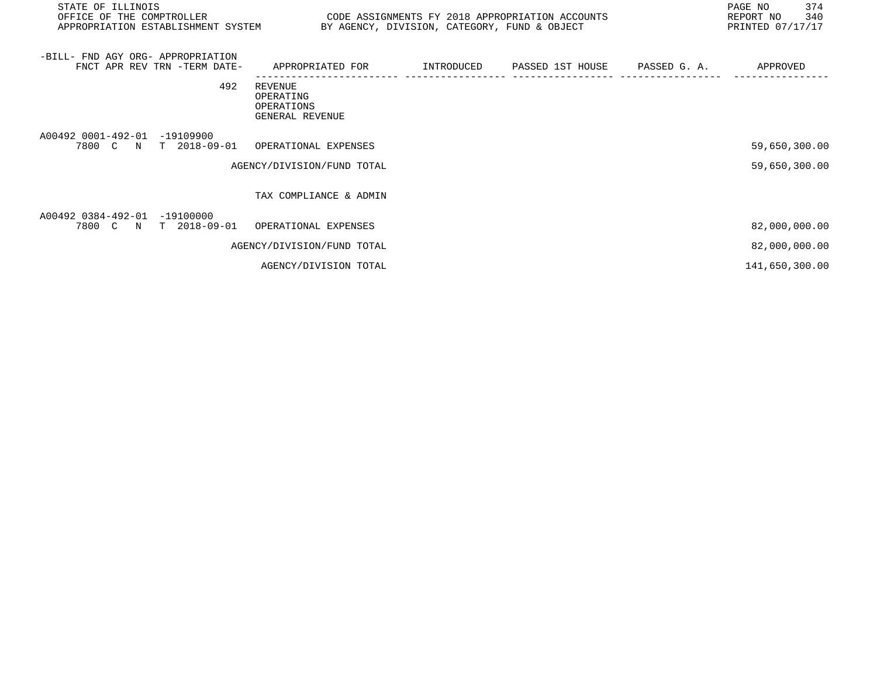| STATE OF ILLINOIS<br>OFFICE OF THE COMPTROLLER                                  | CODE ASSIGNMENTS FY 2018 APPROPRIATION ACCOUNTS<br>APPROPRIATION ESTABLISHMENT SYSTEM BY AGENCY, DIVISION, CATEGORY, FUND & OBJECT |  |                                          |  | 374<br>PAGE NO<br>340<br>REPORT NO<br>PRINTED 07/17/17 |  |
|---------------------------------------------------------------------------------|------------------------------------------------------------------------------------------------------------------------------------|--|------------------------------------------|--|--------------------------------------------------------|--|
| -BILL- FND AGY ORG- APPROPRIATION<br>FNCT APR REV TRN -TERM DATE-               | APPROPRIATED FOR                                                                                                                   |  | INTRODUCED PASSED 1ST HOUSE PASSED G. A. |  | APPROVED                                               |  |
| 492                                                                             | REVENUE<br>OPERATING<br>OPERATIONS<br>GENERAL REVENUE                                                                              |  |                                          |  |                                                        |  |
| A00492 0001-492-01<br>$-19109900$<br>7800 C N T 2018-09-01 OPERATIONAL EXPENSES |                                                                                                                                    |  |                                          |  | 59,650,300.00                                          |  |
|                                                                                 | AGENCY/DIVISION/FUND TOTAL                                                                                                         |  |                                          |  | 59,650,300.00                                          |  |
|                                                                                 | TAX COMPLIANCE & ADMIN                                                                                                             |  |                                          |  |                                                        |  |
| A00492 0384-492-01<br>$-19100000$<br>7800 C N T 2018-09-01 OPERATIONAL EXPENSES |                                                                                                                                    |  |                                          |  | 82,000,000.00                                          |  |
|                                                                                 | AGENCY/DIVISION/FUND TOTAL                                                                                                         |  |                                          |  | 82,000,000.00                                          |  |
|                                                                                 | AGENCY/DIVISION TOTAL                                                                                                              |  |                                          |  | 141,650,300.00                                         |  |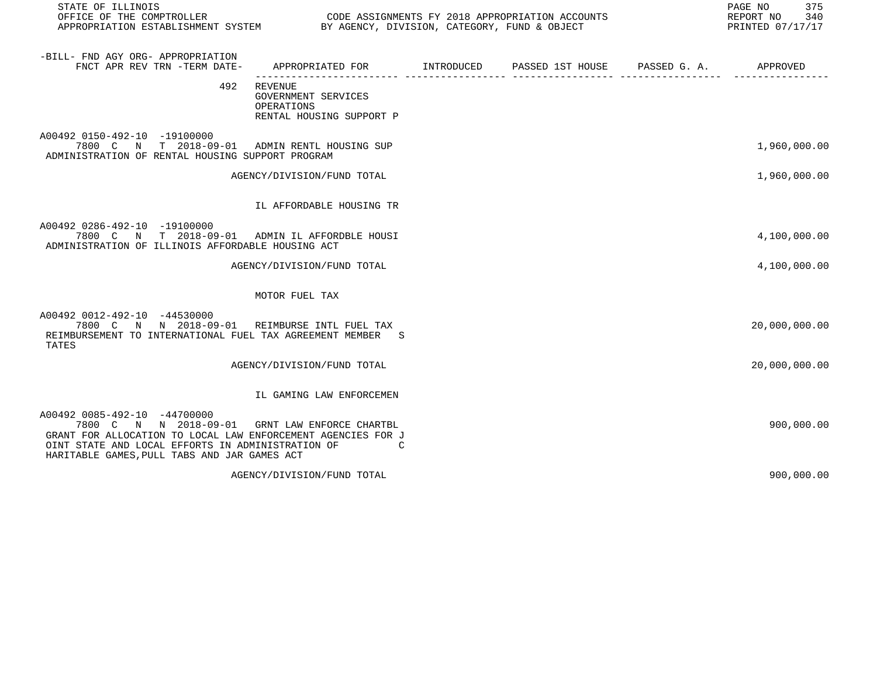| STATE OF ILLINOIS<br>OFFICE OF THE COMPTROLLER<br>APPROPRIATION ESTABLISHMENT SYSTEM BY AGENCY, DIVISION, CATEGORY, FUND & OBJECT                                                                                          | CODE ASSIGNMENTS FY 2018 APPROPRIATION ACCOUNTS                          |                                        | PAGE NO<br>375<br>REPORT NO<br>340<br>PRINTED 07/17/17 |
|----------------------------------------------------------------------------------------------------------------------------------------------------------------------------------------------------------------------------|--------------------------------------------------------------------------|----------------------------------------|--------------------------------------------------------|
| -BILL- FND AGY ORG- APPROPRIATION<br>FNCT APR REV TRN -TERM DATE-                                                                                                                                                          | APPROPRIATED FOR INTRODUCED                                              | PASSED 1ST HOUSE PASSED G. A. APPROVED |                                                        |
| 492                                                                                                                                                                                                                        | REVENUE<br>GOVERNMENT SERVICES<br>OPERATIONS<br>RENTAL HOUSING SUPPORT P |                                        |                                                        |
| A00492 0150-492-10 -19100000<br>7800 C N T 2018-09-01 ADMIN RENTL HOUSING SUP<br>ADMINISTRATION OF RENTAL HOUSING SUPPORT PROGRAM                                                                                          |                                                                          |                                        | 1,960,000.00                                           |
|                                                                                                                                                                                                                            | AGENCY/DIVISION/FUND TOTAL                                               |                                        | 1,960,000.00                                           |
|                                                                                                                                                                                                                            | IL AFFORDABLE HOUSING TR                                                 |                                        |                                                        |
| A00492 0286-492-10 -19100000<br>7800 C N T 2018-09-01 ADMIN IL AFFORDBLE HOUSI<br>ADMINISTRATION OF ILLINOIS AFFORDABLE HOUSING ACT                                                                                        |                                                                          |                                        | 4,100,000.00                                           |
|                                                                                                                                                                                                                            | AGENCY/DIVISION/FUND TOTAL                                               |                                        | 4,100,000.00                                           |
|                                                                                                                                                                                                                            | MOTOR FUEL TAX                                                           |                                        |                                                        |
| A00492 0012-492-10 -44530000<br>7800 C N N 2018-09-01 REIMBURSE INTL FUEL TAX<br>REIMBURSEMENT TO INTERNATIONAL FUEL TAX AGREEMENT MEMBER S<br>TATES                                                                       |                                                                          |                                        | 20,000,000.00                                          |
|                                                                                                                                                                                                                            | AGENCY/DIVISION/FUND TOTAL                                               |                                        | 20,000,000.00                                          |
|                                                                                                                                                                                                                            | IL GAMING LAW ENFORCEMEN                                                 |                                        |                                                        |
| A00492 0085-492-10 -44700000<br>7800 C N N 2018-09-01<br>GRANT FOR ALLOCATION TO LOCAL LAW ENFORCEMENT AGENCIES FOR J<br>OINT STATE AND LOCAL EFFORTS IN ADMINISTRATION OF<br>HARITABLE GAMES, PULL TABS AND JAR GAMES ACT | GRNT LAW ENFORCE CHARTBL<br>C                                            |                                        | 900,000.00                                             |
|                                                                                                                                                                                                                            | AGENCY/DIVISION/FUND TOTAL                                               |                                        | 900,000.00                                             |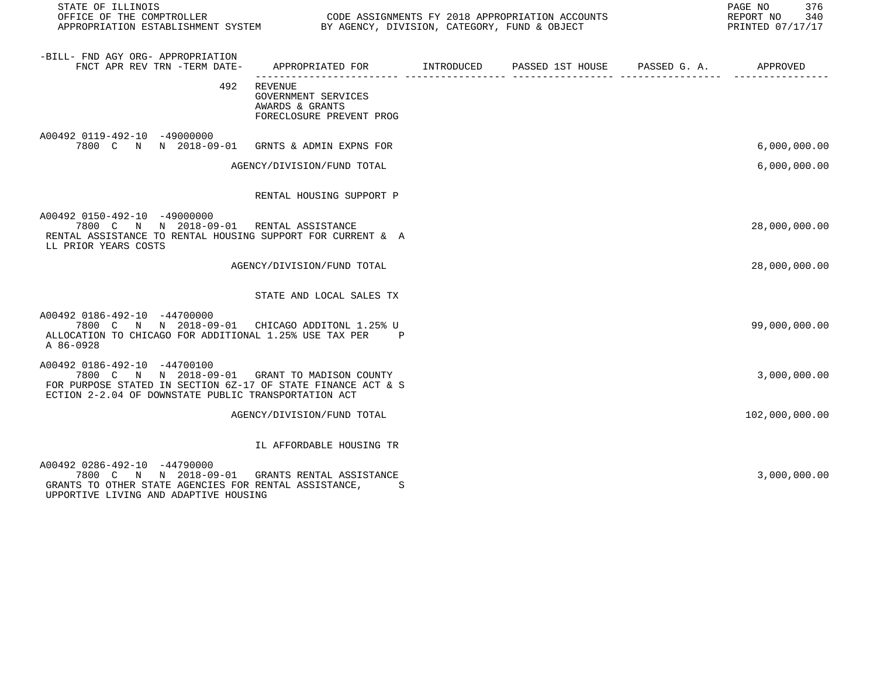STATE OF ILLINOIS<br>
STATE OF THE COMPTROLLER
OULLER
OULLER
OULLER
OULLER
OULLER
SURFICE OF THE COMPTROLLER
SURFICE OF THE COMPTROLLER
OULLER
OULLERIELLER
SURFICE OF THE COMPTROLLER
SURFICE OF THE COMPTROLLER
SURFICE OF THE

CODE ASSIGNMENTS FY 2018 APPROPRIATION ACCOUNTS FOR THE REPORT NO 340 (2018)<br>BY AGENCY, DIVISION, CATEGORY, FUND & OBJECT APPROPRIATION ESTABLISHMENT SYSTEM BY AGENCY, DIVISION, CATEGORY, FUND & OBJECT

| -BILL- FND AGY ORG- APPROPRIATION<br>FNCT APR REV TRN -TERM DATE-                                                                                                                                     | APPROPRIATED FOR TINTRODUCED PASSED 1ST HOUSE PASSED G. A.                           |  | APPROVED       |
|-------------------------------------------------------------------------------------------------------------------------------------------------------------------------------------------------------|--------------------------------------------------------------------------------------|--|----------------|
| 492                                                                                                                                                                                                   | <b>REVENUE</b><br>GOVERNMENT SERVICES<br>AWARDS & GRANTS<br>FORECLOSURE PREVENT PROG |  |                |
| A00492 0119-492-10 -49000000<br>7800 C N N 2018-09-01                                                                                                                                                 | GRNTS & ADMIN EXPNS FOR                                                              |  | 6,000,000.00   |
|                                                                                                                                                                                                       | AGENCY/DIVISION/FUND TOTAL                                                           |  | 6,000,000.00   |
|                                                                                                                                                                                                       | RENTAL HOUSING SUPPORT P                                                             |  |                |
| A00492 0150-492-10 -49000000<br>7800 C N N 2018-09-01<br>RENTAL ASSISTANCE TO RENTAL HOUSING SUPPORT FOR CURRENT & A<br>LL PRIOR YEARS COSTS                                                          | RENTAL ASSISTANCE                                                                    |  | 28,000,000.00  |
|                                                                                                                                                                                                       | AGENCY/DIVISION/FUND TOTAL                                                           |  | 28,000,000.00  |
|                                                                                                                                                                                                       | STATE AND LOCAL SALES TX                                                             |  |                |
| A00492 0186-492-10 -44700000<br>7800 C N N 2018-09-01 CHICAGO ADDITONL 1.25% U<br>ALLOCATION TO CHICAGO FOR ADDITIONAL 1.25% USE TAX PER<br>A 86-0928                                                 | Ρ                                                                                    |  | 99,000,000.00  |
| A00492 0186-492-10 -44700100<br>7800 C N N 2018-09-01 GRANT TO MADISON COUNTY<br>FOR PURPOSE STATED IN SECTION 6Z-17 OF STATE FINANCE ACT & S<br>ECTION 2-2.04 OF DOWNSTATE PUBLIC TRANSPORTATION ACT |                                                                                      |  | 3,000,000.00   |
|                                                                                                                                                                                                       | AGENCY/DIVISION/FUND TOTAL                                                           |  | 102,000,000.00 |
|                                                                                                                                                                                                       | IL AFFORDABLE HOUSING TR                                                             |  |                |
| A00492 0286-492-10 -44790000<br>7800 C N N 2018-09-01<br>GRANTS TO OTHER STATE AGENCIES FOR RENTAL ASSISTANCE,<br>UPPORTIVE LIVING AND ADAPTIVE HOUSING                                               | GRANTS RENTAL ASSISTANCE<br>.S                                                       |  | 3,000,000.00   |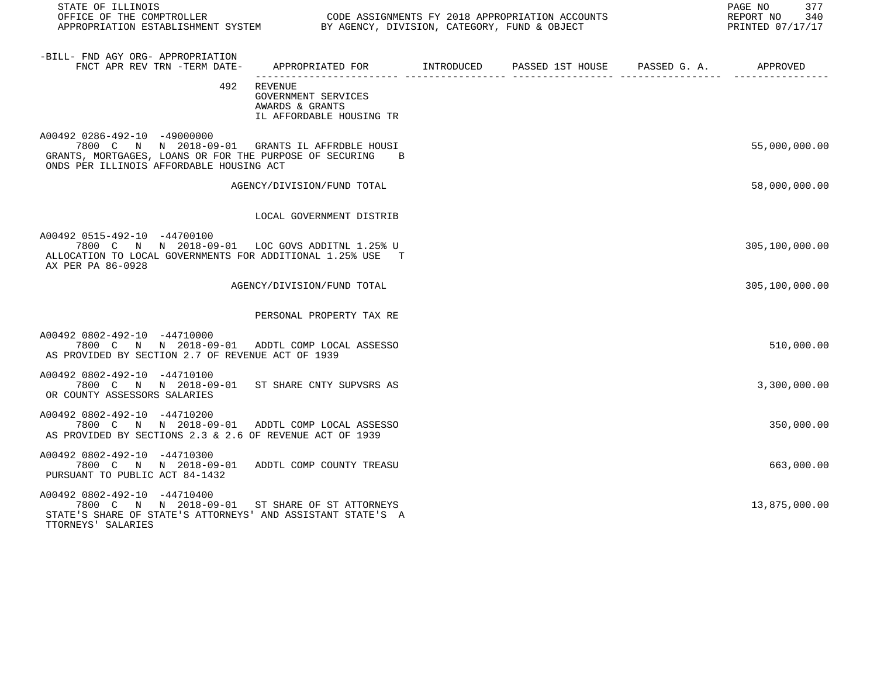| STATE OF ILLINOIS<br>OFFICE OF THE COMPTROLLER<br>APPROPRIATION ESTABLISHMENT SYSTEM BY AGENCY, DIVISION, CATEGORY, FUND & OBJECT                                                       |                                                                                   | CODE ASSIGNMENTS FY 2018 APPROPRIATION ACCOUNTS | PAGE NO 377<br>REPORT NO 340<br>PRINTED 07/17/17 |
|-----------------------------------------------------------------------------------------------------------------------------------------------------------------------------------------|-----------------------------------------------------------------------------------|-------------------------------------------------|--------------------------------------------------|
| -BILL- FND AGY ORG- APPROPRIATION<br>FNCT APR REV TRN -TERM DATE- APPROPRIATED FOR MITRODUCED PASSED 1ST HOUSE PASSED G. A. APPROVED PASSE PASSED G. A. APPROVED                        |                                                                                   |                                                 |                                                  |
|                                                                                                                                                                                         | 492 REVENUE<br>GOVERNMENT SERVICES<br>AWARDS & GRANTS<br>IL AFFORDABLE HOUSING TR |                                                 |                                                  |
| A00492 0286-492-10 -49000000<br>7800 C N N 2018-09-01 GRANTS IL AFFRDBLE HOUSI<br>GRANTS, MORTGAGES, LOANS OR FOR THE PURPOSE OF SECURING B<br>ONDS PER ILLINOIS AFFORDABLE HOUSING ACT |                                                                                   |                                                 | 55,000,000.00                                    |
|                                                                                                                                                                                         | AGENCY/DIVISION/FUND TOTAL                                                        |                                                 | 58,000,000.00                                    |
|                                                                                                                                                                                         | LOCAL GOVERNMENT DISTRIB                                                          |                                                 |                                                  |
| A00492 0515-492-10 -44700100<br>7800 C N N 2018-09-01 LOC GOVS ADDITNL 1.25% U<br>ALLOCATION TO LOCAL GOVERNMENTS FOR ADDITIONAL 1.25% USE T<br>AX PER PA 86-0928                       |                                                                                   |                                                 | 305,100,000.00                                   |
|                                                                                                                                                                                         | AGENCY/DIVISION/FUND TOTAL                                                        |                                                 | 305,100,000.00                                   |
|                                                                                                                                                                                         | PERSONAL PROPERTY TAX RE                                                          |                                                 |                                                  |
| A00492 0802-492-10 -44710000<br>7800 C N N 2018-09-01 ADDTL COMP LOCAL ASSESSO<br>AS PROVIDED BY SECTION 2.7 OF REVENUE ACT OF 1939                                                     |                                                                                   |                                                 | 510,000.00                                       |
| A00492 0802-492-10 -44710100<br>7800 C N N 2018-09-01 ST SHARE CNTY SUPVSRS AS<br>OR COUNTY ASSESSORS SALARIES                                                                          |                                                                                   |                                                 | 3,300,000.00                                     |
| A00492 0802-492-10 -44710200<br>7800 C N N 2018-09-01 ADDTL COMP LOCAL ASSESSO<br>AS PROVIDED BY SECTIONS 2.3 & 2.6 OF REVENUE ACT OF 1939                                              |                                                                                   |                                                 | 350,000.00                                       |
| A00492 0802-492-10 -44710300<br>7800 C N N 2018-09-01 ADDTL COMP COUNTY TREASU<br>PURSUANT TO PUBLIC ACT 84-1432                                                                        |                                                                                   |                                                 | 663,000.00                                       |
| A00492 0802-492-10 -44710400<br>7800 C N N 2018-09-01 ST SHARE OF ST ATTORNEYS<br>STATE'S SHARE OF STATE'S ATTORNEYS' AND ASSISTANT STATE'S A<br>TTORNEYS' SALARIES                     |                                                                                   |                                                 | 13,875,000.00                                    |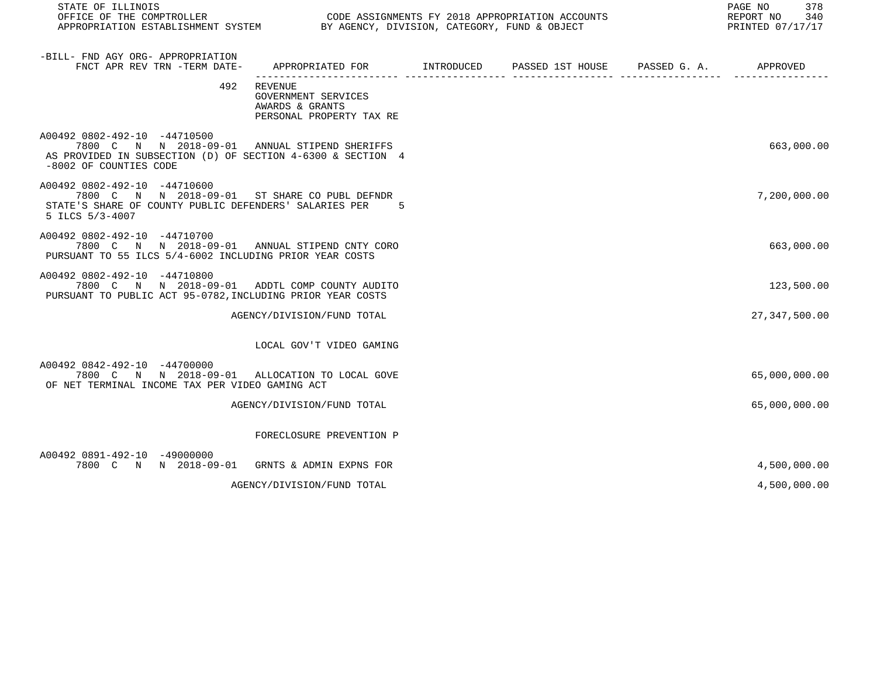| STATE OF ILLINOIS                                                                                                                                                      |                                                                                   |  | 378<br>PAGE NO<br>REPORT NO 340<br>PRINTED 07/17/17 |
|------------------------------------------------------------------------------------------------------------------------------------------------------------------------|-----------------------------------------------------------------------------------|--|-----------------------------------------------------|
| -BILL- FND AGY ORG- APPROPRIATION<br>FNCT APR REV TRN -TERM DATE-                                                                                                      |                                                                                   |  |                                                     |
|                                                                                                                                                                        | 492 REVENUE<br>GOVERNMENT SERVICES<br>AWARDS & GRANTS<br>PERSONAL PROPERTY TAX RE |  |                                                     |
| A00492 0802-492-10 -44710500<br>7800 C N N 2018-09-01 ANNUAL STIPEND SHERIFFS<br>AS PROVIDED IN SUBSECTION (D) OF SECTION 4-6300 & SECTION 4<br>-8002 OF COUNTIES CODE |                                                                                   |  | 663,000.00                                          |
| A00492 0802-492-10 -44710600<br>7800 C N N 2018-09-01 ST SHARE CO PUBL DEFNDR<br>STATE'S SHARE OF COUNTY PUBLIC DEFENDERS' SALARIES PER 5<br>5 ILCS 5/3-4007           |                                                                                   |  | 7,200,000.00                                        |
| A00492 0802-492-10 -44710700<br>7800 C N N 2018-09-01 ANNUAL STIPEND CNTY CORO<br>PURSUANT TO 55 ILCS 5/4-6002 INCLUDING PRIOR YEAR COSTS                              |                                                                                   |  | 663,000.00                                          |
| A00492 0802-492-10 -44710800<br>7800 C N N 2018-09-01 ADDTL COMP COUNTY AUDITO<br>PURSUANT TO PUBLIC ACT 95-0782, INCLUDING PRIOR YEAR COSTS                           |                                                                                   |  | 123,500.00                                          |
|                                                                                                                                                                        | AGENCY/DIVISION/FUND TOTAL                                                        |  | 27, 347, 500.00                                     |
|                                                                                                                                                                        | LOCAL GOV'T VIDEO GAMING                                                          |  |                                                     |
| A00492 0842-492-10 -44700000<br>7800 C N N 2018-09-01 ALLOCATION TO LOCAL GOVE<br>OF NET TERMINAL INCOME TAX PER VIDEO GAMING ACT                                      |                                                                                   |  | 65,000,000.00                                       |
|                                                                                                                                                                        | AGENCY/DIVISION/FUND TOTAL                                                        |  | 65,000,000.00                                       |
|                                                                                                                                                                        | FORECLOSURE PREVENTION P                                                          |  |                                                     |
| A00492 0891-492-10 -49000000<br>7800 C N N 2018-09-01 GRNTS & ADMIN EXPNS FOR                                                                                          |                                                                                   |  | 4,500,000.00                                        |

AGENCY/DIVISION/FUND TOTAL  $4,500,000.00$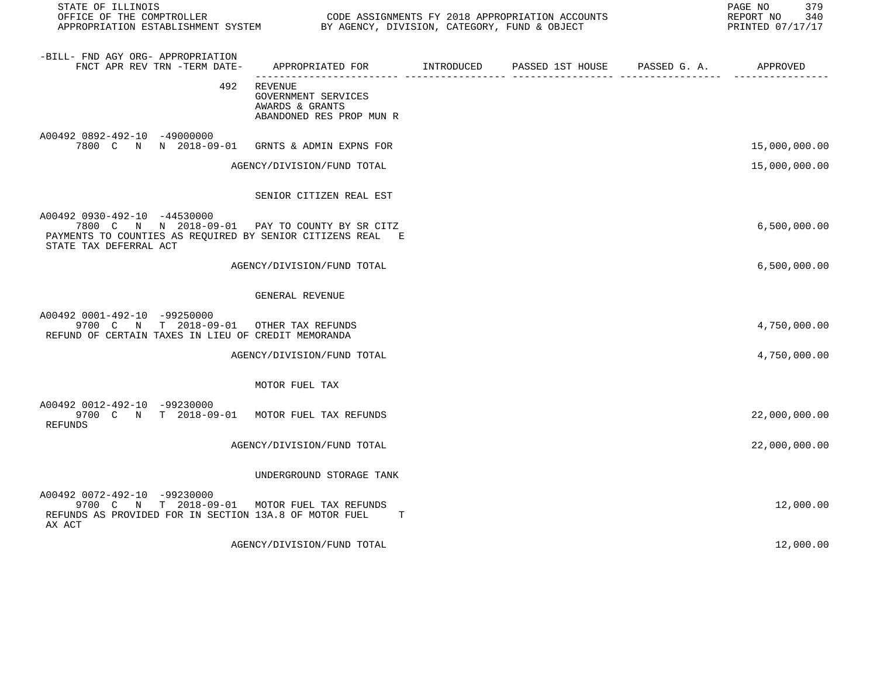| STATE OF ILLINOIS<br>OFFICE OF THE COMPTROLLER<br>APPROPRIATION ESTABLISHMENT SYSTEM BY AGENCY, DIVISION, CATEGORY, FUND & OBJECT                                      | CODE ASSIGNMENTS FY 2018 APPROPRIATION ACCOUNTS                                   | 379<br>PAGE NO<br>REPORT NO 340<br>PRINTED 07/17/17 |  |               |
|------------------------------------------------------------------------------------------------------------------------------------------------------------------------|-----------------------------------------------------------------------------------|-----------------------------------------------------|--|---------------|
| -BILL- FND AGY ORG- APPROPRIATION<br>FNCT APR REV TRN -TERM DATE-                                                                                                      |                                                                                   |                                                     |  |               |
|                                                                                                                                                                        | 492 REVENUE<br>GOVERNMENT SERVICES<br>AWARDS & GRANTS<br>ABANDONED RES PROP MUN R |                                                     |  |               |
| A00492 0892-492-10 -49000000<br>7800 C N N 2018-09-01 GRNTS & ADMIN EXPNS FOR                                                                                          |                                                                                   |                                                     |  | 15,000,000.00 |
|                                                                                                                                                                        | AGENCY/DIVISION/FUND TOTAL                                                        |                                                     |  | 15,000,000.00 |
|                                                                                                                                                                        | SENIOR CITIZEN REAL EST                                                           |                                                     |  |               |
| A00492 0930-492-10 -44530000<br>7800 C N N 2018-09-01 PAY TO COUNTY BY SR CITZ<br>PAYMENTS TO COUNTIES AS REQUIRED BY SENIOR CITIZENS REAL E<br>STATE TAX DEFERRAL ACT |                                                                                   |                                                     |  | 6,500,000.00  |
|                                                                                                                                                                        | AGENCY/DIVISION/FUND TOTAL                                                        |                                                     |  | 6,500,000.00  |
|                                                                                                                                                                        | GENERAL REVENUE                                                                   |                                                     |  |               |
| A00492 0001-492-10 -99250000<br>9700 C N T 2018-09-01 OTHER TAX REFUNDS<br>REFUND OF CERTAIN TAXES IN LIEU OF CREDIT MEMORANDA                                         |                                                                                   |                                                     |  | 4,750,000.00  |
|                                                                                                                                                                        | AGENCY/DIVISION/FUND TOTAL                                                        |                                                     |  | 4,750,000.00  |
|                                                                                                                                                                        | MOTOR FUEL TAX                                                                    |                                                     |  |               |
| A00492 0012-492-10 -99230000<br>9700 C N T 2018-09-01 MOTOR FUEL TAX REFUNDS<br><b>REFUNDS</b>                                                                         |                                                                                   |                                                     |  | 22,000,000.00 |
|                                                                                                                                                                        | AGENCY/DIVISION/FUND TOTAL                                                        |                                                     |  | 22,000,000.00 |
|                                                                                                                                                                        | UNDERGROUND STORAGE TANK                                                          |                                                     |  |               |
| A00492 0072-492-10 -99230000<br>9700 C N T 2018-09-01 MOTOR FUEL TAX REFUNDS<br>REFUNDS AS PROVIDED FOR IN SECTION 13A.8 OF MOTOR FUEL<br>AX ACT                       | T                                                                                 |                                                     |  | 12,000.00     |

AGENCY/DIVISION/FUND TOTAL 12,000.00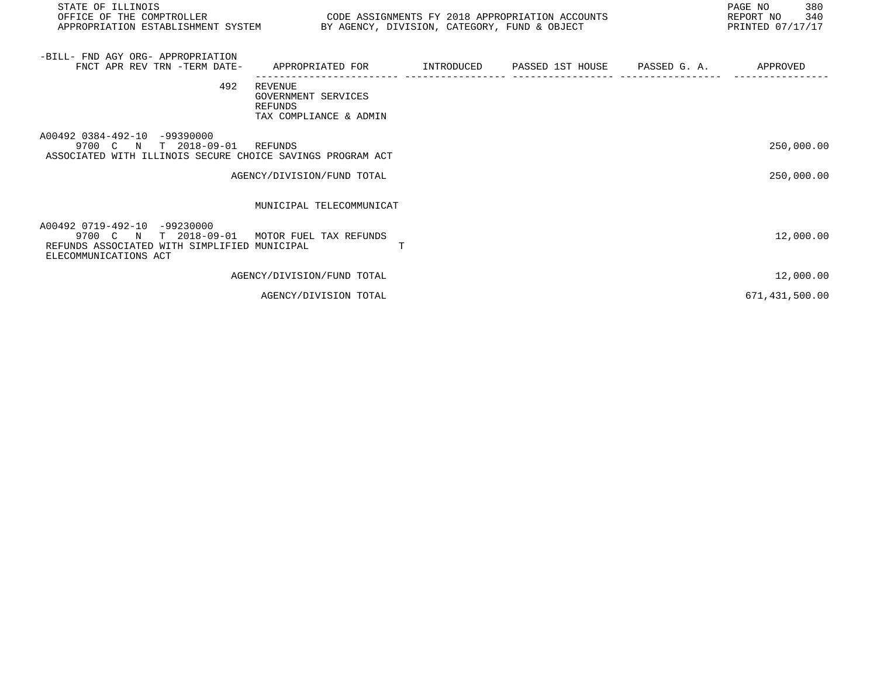| STATE OF ILLINOIS<br>OFFICE OF THE COMPTROLLER<br>APPROPRIATION ESTABLISHMENT SYSTEM BY AGENCY, DIVISION, CATEGORY, FUND & OBJECT                     | CODE ASSIGNMENTS FY 2018 APPROPRIATION ACCOUNTS                            |            |                  |              | PAGE NO<br>380<br>REPORT NO 340<br>PRINTED 07/17/17 |
|-------------------------------------------------------------------------------------------------------------------------------------------------------|----------------------------------------------------------------------------|------------|------------------|--------------|-----------------------------------------------------|
| -BILL- FND AGY ORG- APPROPRIATION<br>FNCT APR REV TRN -TERM DATE-                                                                                     | APPROPRIATED FOR                                                           | INTRODUCED | PASSED 1ST HOUSE | PASSED G. A. | APPROVED                                            |
| 492                                                                                                                                                   | <b>REVENUE</b><br>GOVERNMENT SERVICES<br>REFUNDS<br>TAX COMPLIANCE & ADMIN |            |                  |              |                                                     |
| A00492 0384-492-10 -99390000<br>9700 C N T 2018-09-01 REFUNDS<br>ASSOCIATED WITH ILLINOIS SECURE CHOICE SAVINGS PROGRAM ACT                           |                                                                            |            |                  |              | 250,000.00                                          |
|                                                                                                                                                       | AGENCY/DIVISION/FUND TOTAL                                                 |            |                  |              | 250,000.00                                          |
|                                                                                                                                                       | MUNICIPAL TELECOMMUNICAT                                                   |            |                  |              |                                                     |
| A00492 0719-492-10 -99230000<br>9700 C N T 2018-09-01 MOTOR FUEL TAX REFUNDS<br>REFUNDS ASSOCIATED WITH SIMPLIFIED MUNICIPAL<br>ELECOMMUNICATIONS ACT |                                                                            | T          |                  |              | 12,000.00                                           |
|                                                                                                                                                       | AGENCY/DIVISION/FUND TOTAL                                                 |            |                  |              | 12,000.00                                           |
|                                                                                                                                                       | AGENCY/DIVISION TOTAL                                                      |            |                  |              | 671,431,500.00                                      |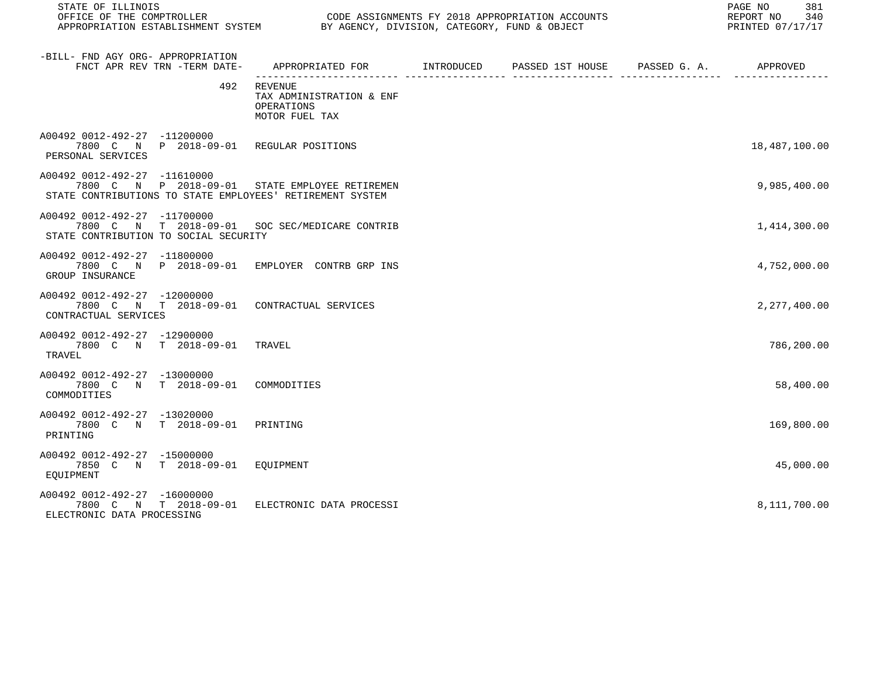| STATE OF ILLINOIS                                                                                                                           | PAGE NO<br>REPORT NO<br>PRINTED 07/17/17                                                   |  |  |  |               |
|---------------------------------------------------------------------------------------------------------------------------------------------|--------------------------------------------------------------------------------------------|--|--|--|---------------|
| -BILL- FND AGY ORG- APPROPRIATION<br>FNCT APR REV TRN -TERM DATE-                                                                           | APPROPRIATED FOR        INTRODUCED      PASSED 1ST HOUSE     PASSED G. A.         APPROVED |  |  |  |               |
| 492                                                                                                                                         | REVENUE<br>TAX ADMINISTRATION & ENF<br>OPERATIONS<br>MOTOR FUEL TAX                        |  |  |  |               |
| A00492 0012-492-27 -11200000<br>7800 C N P 2018-09-01 REGULAR POSITIONS<br>PERSONAL SERVICES                                                |                                                                                            |  |  |  | 18,487,100.00 |
| A00492 0012-492-27 -11610000<br>7800 C N P 2018-09-01 STATE EMPLOYEE RETIREMEN<br>STATE CONTRIBUTIONS TO STATE EMPLOYEES' RETIREMENT SYSTEM |                                                                                            |  |  |  | 9,985,400.00  |
| A00492 0012-492-27 -11700000<br>7800 C N T 2018-09-01 SOC SEC/MEDICARE CONTRIB<br>STATE CONTRIBUTION TO SOCIAL SECURITY                     |                                                                                            |  |  |  | 1,414,300.00  |
| A00492 0012-492-27 -11800000<br>7800 C N P 2018-09-01 EMPLOYER CONTRB GRP INS<br>GROUP INSURANCE                                            |                                                                                            |  |  |  | 4,752,000.00  |
| A00492 0012-492-27 -12000000<br>7800 C N T 2018-09-01 CONTRACTUAL SERVICES<br>CONTRACTUAL SERVICES                                          |                                                                                            |  |  |  | 2,277,400.00  |
| A00492 0012-492-27 -12900000<br>7800 C N T 2018-09-01 TRAVEL<br>TRAVEL                                                                      |                                                                                            |  |  |  | 786,200.00    |
| A00492 0012-492-27 -13000000<br>7800 C N T 2018-09-01 COMMODITIES<br>COMMODITIES                                                            |                                                                                            |  |  |  | 58,400.00     |
| A00492 0012-492-27 -13020000<br>7800 C N T 2018-09-01 PRINTING<br>PRINTING                                                                  |                                                                                            |  |  |  | 169,800.00    |
| A00492 0012-492-27 -15000000<br>7850 C N T 2018-09-01 EOUIPMENT<br>EOUIPMENT                                                                |                                                                                            |  |  |  | 45,000.00     |
| A00492 0012-492-27 -16000000<br>7800 C N T 2018-09-01<br>ELECTRONIC DATA PROCESSING                                                         | ELECTRONIC DATA PROCESSI                                                                   |  |  |  | 8,111,700.00  |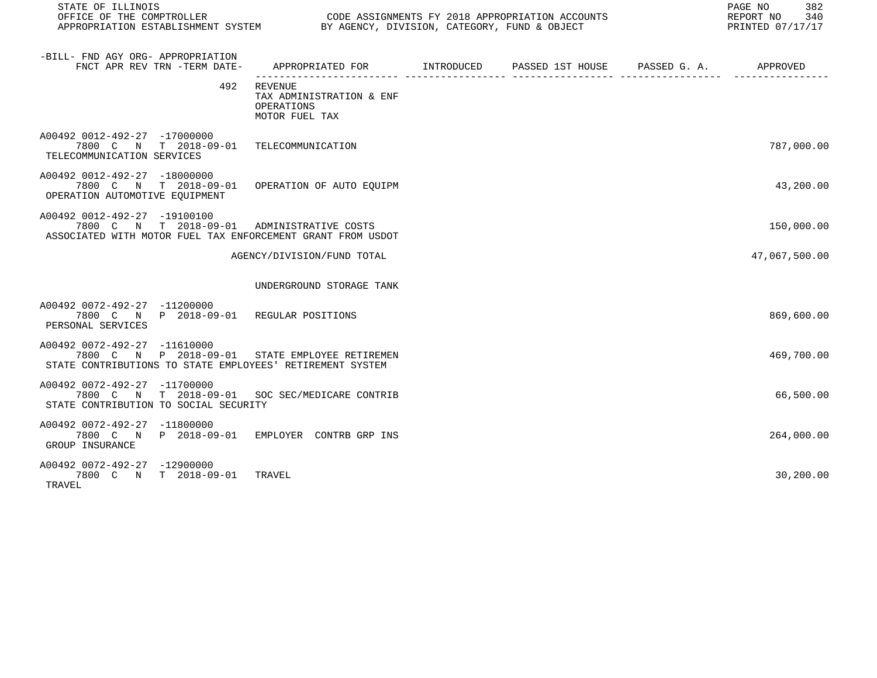| STATE OF ILLINOIS<br>OFFICE OF THE COMPTROLLER<br>UP ASSIGNMENTS FT 2018 APPROPRIATION ACCOUNTED TO DETERMINE AND RESTABLISHMENT SYSTEM BY AGENCY, DIVISION, CATEGORY, FUND & OBJECT | CODE ASSIGNMENTS FY 2018 APPROPRIATION ACCOUNTS                                 | PAGE NO<br>382<br>REPORT NO 340<br>PRINTED 07/17/17 |  |               |
|--------------------------------------------------------------------------------------------------------------------------------------------------------------------------------------|---------------------------------------------------------------------------------|-----------------------------------------------------|--|---------------|
| -BILL- FND AGY ORG- APPROPRIATION<br>FNCT APR REV TRN -TERM DATE-                                                                                                                    | APPROPRIATED FOR      INTRODUCED   PASSED 1ST HOUSE    PASSED G.A.     APPROVED |                                                     |  |               |
|                                                                                                                                                                                      | 492 REVENUE<br>TAX ADMINISTRATION & ENF<br>OPERATIONS<br>MOTOR FUEL TAX         |                                                     |  |               |
| A00492 0012-492-27 -17000000<br>7800 C N T 2018-09-01 TELECOMMUNICATION<br>TELECOMMUNICATION SERVICES                                                                                |                                                                                 |                                                     |  | 787,000.00    |
| A00492 0012-492-27 -18000000<br>7800 C N T 2018-09-01 OPERATION OF AUTO EQUIPM<br>OPERATION AUTOMOTIVE EQUIPMENT                                                                     |                                                                                 |                                                     |  | 43,200.00     |
| A00492 0012-492-27 -19100100<br>7800 C N T 2018-09-01 ADMINISTRATIVE COSTS<br>ASSOCIATED WITH MOTOR FUEL TAX ENFORCEMENT GRANT FROM USDOT                                            |                                                                                 |                                                     |  | 150,000.00    |
|                                                                                                                                                                                      | AGENCY/DIVISION/FUND TOTAL                                                      |                                                     |  | 47,067,500.00 |
|                                                                                                                                                                                      | UNDERGROUND STORAGE TANK                                                        |                                                     |  |               |
| A00492 0072-492-27 -11200000<br>7800 C N P 2018-09-01 REGULAR POSITIONS<br>PERSONAL SERVICES                                                                                         |                                                                                 |                                                     |  | 869,600.00    |
| A00492 0072-492-27 -11610000<br>7800 C N P 2018-09-01 STATE EMPLOYEE RETIREMEN<br>STATE CONTRIBUTIONS TO STATE EMPLOYEES' RETIREMENT SYSTEM                                          |                                                                                 |                                                     |  | 469,700.00    |
| A00492 0072-492-27 -11700000<br>7800 C N T 2018-09-01 SOC SEC/MEDICARE CONTRIB<br>STATE CONTRIBUTION TO SOCIAL SECURITY                                                              |                                                                                 |                                                     |  | 66,500.00     |
| A00492 0072-492-27 -11800000<br>7800 C N P 2018-09-01 EMPLOYER CONTRB GRP INS<br>GROUP INSURANCE                                                                                     |                                                                                 |                                                     |  | 264,000.00    |
| A00492 0072-492-27 -12900000<br>7800 C N T 2018-09-01 TRAVEL<br>TRAVEL                                                                                                               |                                                                                 |                                                     |  | 30,200.00     |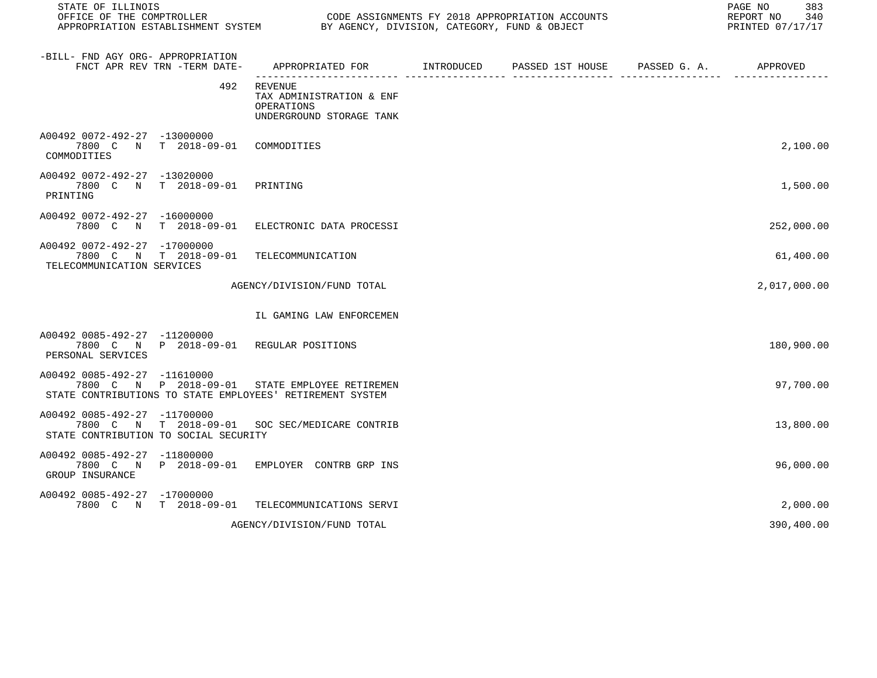| STATE OF ILLINOIS                                                                                                                           |                                                                               | PAGE NO<br>383<br>REPORT NO<br>340<br>PRINTED 07/17/17 |                               |  |              |
|---------------------------------------------------------------------------------------------------------------------------------------------|-------------------------------------------------------------------------------|--------------------------------------------------------|-------------------------------|--|--------------|
| -BILL- FND AGY ORG- APPROPRIATION<br>FNCT APR REV TRN -TERM DATE-                                                                           | APPROPRIATED FOR                                                              | INTRODUCED                                             | PASSED 1ST HOUSE PASSED G. A. |  | APPROVED     |
| 492                                                                                                                                         | REVENUE<br>TAX ADMINISTRATION & ENF<br>OPERATIONS<br>UNDERGROUND STORAGE TANK |                                                        |                               |  |              |
| A00492 0072-492-27 -13000000<br>7800 C N T 2018-09-01 COMMODITIES<br>COMMODITIES                                                            |                                                                               |                                                        |                               |  | 2,100.00     |
| A00492 0072-492-27 -13020000<br>7800 C N T 2018-09-01<br>PRINTING                                                                           | PRINTING                                                                      |                                                        |                               |  | 1,500.00     |
| A00492 0072-492-27 -16000000<br>7800 C N T 2018-09-01 ELECTRONIC DATA PROCESSI                                                              |                                                                               |                                                        |                               |  | 252,000.00   |
| A00492 0072-492-27 -17000000<br>7800 C N T 2018-09-01<br>TELECOMMUNICATION SERVICES                                                         | TELECOMMUNICATION                                                             |                                                        |                               |  | 61,400.00    |
|                                                                                                                                             | AGENCY/DIVISION/FUND TOTAL                                                    |                                                        |                               |  | 2,017,000.00 |
|                                                                                                                                             | IL GAMING LAW ENFORCEMEN                                                      |                                                        |                               |  |              |
| A00492 0085-492-27 -11200000<br>7800 C N P 2018-09-01 REGULAR POSITIONS<br>PERSONAL SERVICES                                                |                                                                               |                                                        |                               |  | 180,900.00   |
| A00492 0085-492-27 -11610000<br>7800 C N P 2018-09-01 STATE EMPLOYEE RETIREMEN<br>STATE CONTRIBUTIONS TO STATE EMPLOYEES' RETIREMENT SYSTEM |                                                                               |                                                        |                               |  | 97,700.00    |
| A00492 0085-492-27 -11700000<br>7800 C N T 2018-09-01<br>STATE CONTRIBUTION TO SOCIAL SECURITY                                              | SOC SEC/MEDICARE CONTRIB                                                      |                                                        |                               |  | 13,800.00    |
| A00492 0085-492-27 -11800000<br>7800 C N P 2018-09-01 EMPLOYER CONTRB GRP INS<br>GROUP INSURANCE                                            |                                                                               |                                                        |                               |  | 96,000.00    |
| A00492 0085-492-27 -17000000<br>7800 C N T 2018-09-01                                                                                       | TELECOMMUNICATIONS SERVI                                                      |                                                        |                               |  | 2,000.00     |
|                                                                                                                                             | AGENCY/DIVISION/FUND TOTAL                                                    |                                                        |                               |  | 390,400.00   |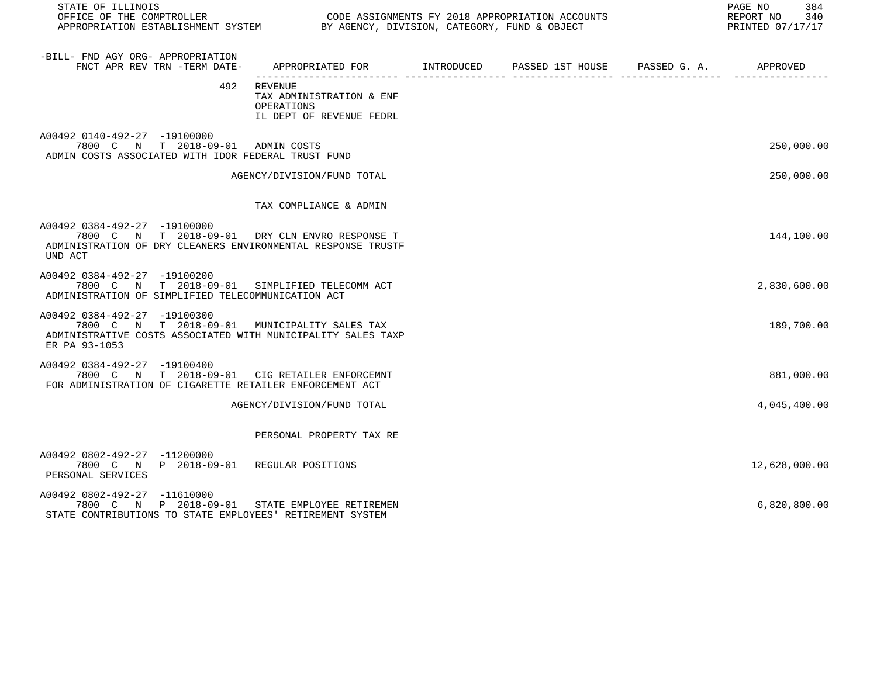| STATE OF ILLINOIS<br>OFFICE OF THE COMPTROLLER                                                                                                                |                                                                                              | CODE ASSIGNMENTS FY 2018 APPROPRIATION ACCOUNTS | 384<br>PAGE NO<br>REPORT NO<br>340<br>PRINTED 07/17/17 |
|---------------------------------------------------------------------------------------------------------------------------------------------------------------|----------------------------------------------------------------------------------------------|-------------------------------------------------|--------------------------------------------------------|
| -BILL- FND AGY ORG- APPROPRIATION<br>FNCT APR REV TRN -TERM DATE-                                                                                             | APPROPRIATED FOR        INTRODUCED      PASSED 1ST HOUSE      PASSED G. A.          APPROVED |                                                 |                                                        |
| 492                                                                                                                                                           | REVENUE<br>TAX ADMINISTRATION & ENF<br>OPERATIONS<br>IL DEPT OF REVENUE FEDRL                |                                                 |                                                        |
| A00492 0140-492-27 -19100000<br>7800 C N T 2018-09-01 ADMIN COSTS<br>ADMIN COSTS ASSOCIATED WITH IDOR FEDERAL TRUST FUND                                      |                                                                                              |                                                 | 250,000.00                                             |
|                                                                                                                                                               | AGENCY/DIVISION/FUND TOTAL                                                                   |                                                 | 250,000.00                                             |
|                                                                                                                                                               | TAX COMPLIANCE & ADMIN                                                                       |                                                 |                                                        |
| A00492 0384-492-27 -19100000<br>7800 C N T 2018-09-01 DRY CLN ENVRO RESPONSE T<br>ADMINISTRATION OF DRY CLEANERS ENVIRONMENTAL RESPONSE TRUSTF<br>UND ACT     |                                                                                              |                                                 | 144,100.00                                             |
| A00492 0384-492-27 -19100200<br>7800 C N T 2018-09-01 SIMPLIFIED TELECOMM ACT<br>ADMINISTRATION OF SIMPLIFIED TELECOMMUNICATION ACT                           |                                                                                              |                                                 | 2,830,600.00                                           |
| A00492 0384-492-27 -19100300<br>7800 C N T 2018-09-01 MUNICIPALITY SALES TAX<br>ADMINISTRATIVE COSTS ASSOCIATED WITH MUNICIPALITY SALES TAXP<br>ER PA 93-1053 |                                                                                              |                                                 | 189,700.00                                             |
| A00492 0384-492-27 -19100400<br>7800 C N T 2018-09-01 CIG RETAILER ENFORCEMNT<br>FOR ADMINISTRATION OF CIGARETTE RETAILER ENFORCEMENT ACT                     |                                                                                              |                                                 | 881,000.00                                             |
|                                                                                                                                                               | AGENCY/DIVISION/FUND TOTAL                                                                   |                                                 | 4,045,400.00                                           |
|                                                                                                                                                               | PERSONAL PROPERTY TAX RE                                                                     |                                                 |                                                        |
| A00492 0802-492-27 -11200000<br>7800 C N P 2018-09-01 REGULAR POSITIONS<br>PERSONAL SERVICES                                                                  |                                                                                              |                                                 | 12,628,000.00                                          |
| A00492 0802-492-27 -11610000<br>7800 C N P 2018-09-01 STATE EMPLOYEE RETIREMEN<br>STATE CONTRIBUTIONS TO STATE EMPLOYEES' RETIREMENT SYSTEM                   |                                                                                              |                                                 | 6,820,800.00                                           |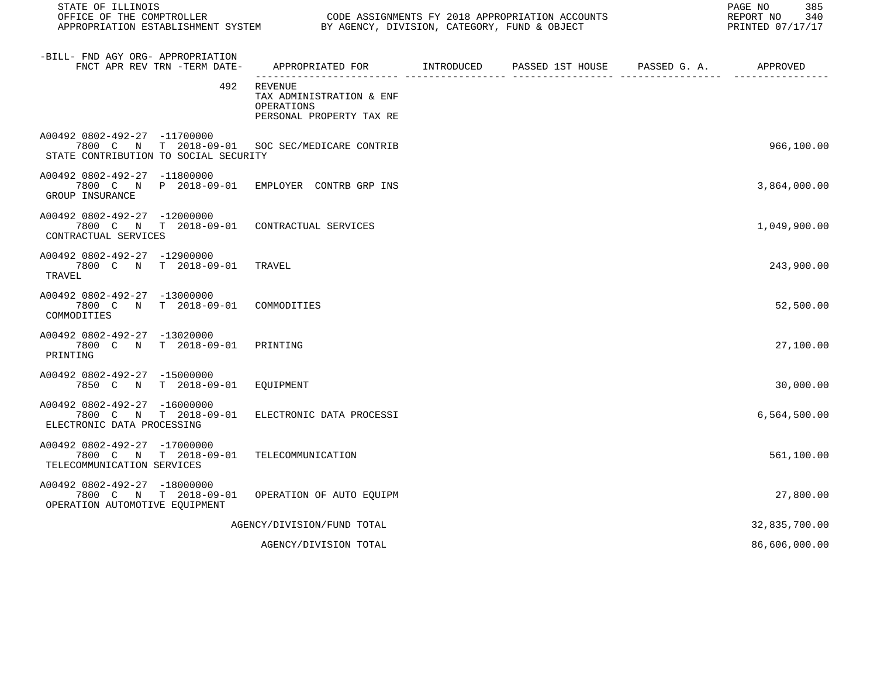| STATE OF ILLINOIS<br>OFFICE OF THE COMPTROLLER CONDUCTER CODE ASSIGNMENTS FY 2018 APPROPRIATION ACCOUNTS<br>APPROPRIATION ESTABLISHMENT SYSTEM BY AGENCY, DIVISION, CATEGORY, FUND & OBJECT |                                                                                            |  | 385<br>PAGE NO<br>REPORT NO 340<br>PRINTED 07/17/17 |
|---------------------------------------------------------------------------------------------------------------------------------------------------------------------------------------------|--------------------------------------------------------------------------------------------|--|-----------------------------------------------------|
| -BILL- FND AGY ORG- APPROPRIATION<br>FNCT APR REV TRN -TERM DATE-                                                                                                                           | APPROPRIATED FOR         INTRODUCED     PASSED 1ST HOUSE     PASSED G. A.         APPROVED |  |                                                     |
| 492                                                                                                                                                                                         | REVENUE<br>TAX ADMINISTRATION & ENF<br>OPERATIONS<br>PERSONAL PROPERTY TAX RE              |  |                                                     |
| A00492 0802-492-27 -11700000<br>7800 C N T 2018-09-01 SOC SEC/MEDICARE CONTRIB<br>STATE CONTRIBUTION TO SOCIAL SECURITY                                                                     |                                                                                            |  | 966,100.00                                          |
| A00492 0802-492-27 -11800000<br>7800 C N P 2018-09-01 EMPLOYER CONTRB GRP INS<br>GROUP INSURANCE                                                                                            |                                                                                            |  | 3,864,000.00                                        |
| A00492 0802-492-27 -12000000<br>7800 C N T 2018-09-01 CONTRACTUAL SERVICES<br>CONTRACTUAL SERVICES                                                                                          |                                                                                            |  | 1,049,900.00                                        |
| A00492 0802-492-27 -12900000<br>7800 C N T 2018-09-01<br>TRAVEL                                                                                                                             | TRAVEL                                                                                     |  | 243,900.00                                          |
| A00492 0802-492-27 -13000000<br>7800 C N T 2018-09-01 COMMODITIES<br>COMMODITIES                                                                                                            |                                                                                            |  | 52,500.00                                           |
| A00492 0802-492-27 -13020000<br>7800 C N T 2018-09-01 PRINTING<br>PRINTING                                                                                                                  |                                                                                            |  | 27,100.00                                           |
| A00492 0802-492-27 -15000000<br>7850 C N T 2018-09-01                                                                                                                                       | EQUIPMENT                                                                                  |  | 30,000.00                                           |
| A00492 0802-492-27 -16000000<br>7800 C N T 2018-09-01<br>ELECTRONIC DATA PROCESSING                                                                                                         | ELECTRONIC DATA PROCESSI                                                                   |  | 6, 564, 500.00                                      |
| A00492 0802-492-27 -17000000<br>7800 C N T 2018-09-01 TELECOMMUNICATION<br>TELECOMMUNICATION SERVICES                                                                                       |                                                                                            |  | 561,100.00                                          |
| A00492 0802-492-27 -18000000<br>7800 C N T 2018-09-01<br>OPERATION AUTOMOTIVE EOUIPMENT                                                                                                     | OPERATION OF AUTO EQUIPM                                                                   |  | 27,800.00                                           |
|                                                                                                                                                                                             | AGENCY/DIVISION/FUND TOTAL                                                                 |  | 32,835,700.00                                       |
|                                                                                                                                                                                             | AGENCY/DIVISION TOTAL                                                                      |  | 86,606,000.00                                       |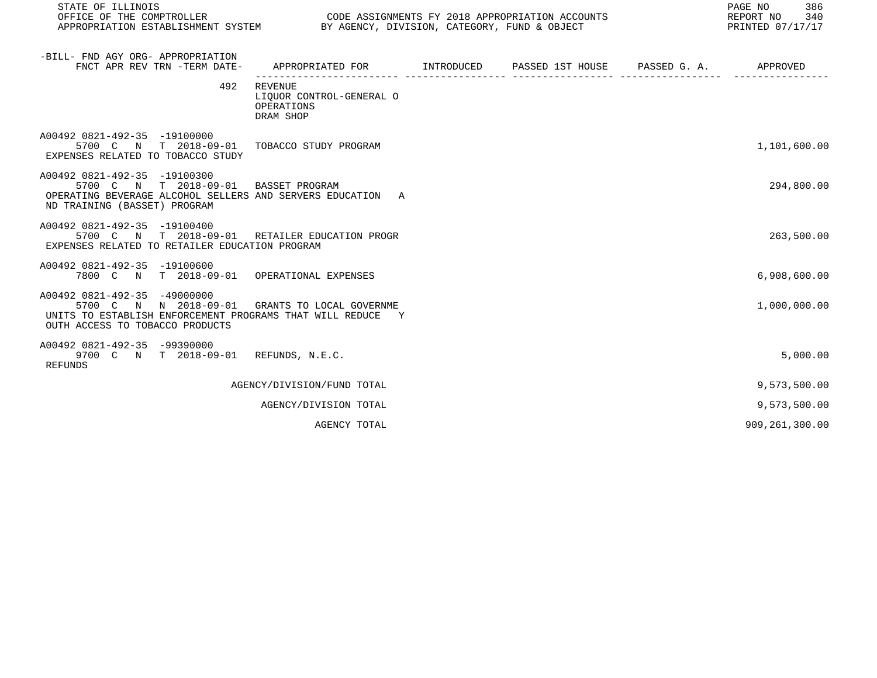| STATE OF ILLINOIS<br>OFFICE OF THE COMPTROLLER                                                                                                                                  | PAGE NO<br>CODE ASSIGNMENTS FY 2018 APPROPRIATION ACCOUNTS<br>REPORT NO<br>APPROPRIATION ESTABLISHMENT SYSTEM BY AGENCY, DIVISION, CATEGORY, FUND & OBJECT<br>PRINTED 07/17/17 |  |  |  |                  |
|---------------------------------------------------------------------------------------------------------------------------------------------------------------------------------|--------------------------------------------------------------------------------------------------------------------------------------------------------------------------------|--|--|--|------------------|
| -BILL- FND AGY ORG- APPROPRIATION<br>FNCT APR REV TRN -TERM DATE-                                                                                                               | APPROPRIATED FOR        INTRODUCED      PASSED 1ST HOUSE     PASSED G. A.         APPROVED                                                                                     |  |  |  |                  |
| 492                                                                                                                                                                             | REVENUE<br>LIQUOR CONTROL-GENERAL O<br>OPERATIONS<br>DRAM SHOP                                                                                                                 |  |  |  |                  |
| A00492 0821-492-35 -19100000<br>5700 C N T 2018-09-01 TOBACCO STUDY PROGRAM<br>EXPENSES RELATED TO TOBACCO STUDY                                                                |                                                                                                                                                                                |  |  |  | 1,101,600.00     |
| A00492 0821-492-35 -19100300<br>5700 C N T 2018-09-01 BASSET PROGRAM<br>OPERATING BEVERAGE ALCOHOL SELLERS AND SERVERS EDUCATION A<br>ND TRAINING (BASSET) PROGRAM              |                                                                                                                                                                                |  |  |  | 294,800.00       |
| A00492 0821-492-35 -19100400<br>5700 C N T 2018-09-01 RETAILER EDUCATION PROGR<br>EXPENSES RELATED TO RETAILER EDUCATION PROGRAM                                                |                                                                                                                                                                                |  |  |  | 263,500.00       |
| A00492 0821-492-35 -19100600<br>7800 C N T 2018-09-01 OPERATIONAL EXPENSES                                                                                                      |                                                                                                                                                                                |  |  |  | 6,908,600.00     |
| A00492 0821-492-35 -49000000<br>5700 C N N 2018-09-01 GRANTS TO LOCAL GOVERNME<br>UNITS TO ESTABLISH ENFORCEMENT PROGRAMS THAT WILL REDUCE Y<br>OUTH ACCESS TO TOBACCO PRODUCTS |                                                                                                                                                                                |  |  |  | 1,000,000.00     |
| A00492 0821-492-35 -99390000<br>9700 C N T 2018-09-01 REFUNDS, N.E.C.<br><b>REFUNDS</b>                                                                                         |                                                                                                                                                                                |  |  |  | 5,000.00         |
|                                                                                                                                                                                 | AGENCY/DIVISION/FUND TOTAL                                                                                                                                                     |  |  |  | 9,573,500.00     |
|                                                                                                                                                                                 | AGENCY/DIVISION TOTAL                                                                                                                                                          |  |  |  | 9,573,500.00     |
|                                                                                                                                                                                 | AGENCY TOTAL                                                                                                                                                                   |  |  |  | 909, 261, 300.00 |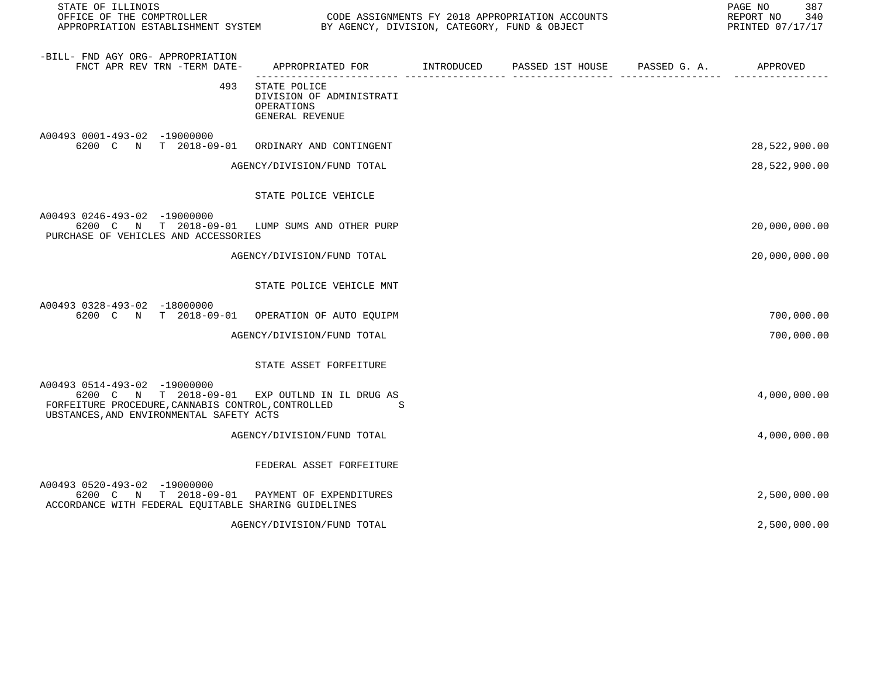| STATE OF ILLINOIS<br>OFFICE OF THE COMPTROLLER                                                                                                                                   |                                                                           | CODE ASSIGNMENTS FY 2018 APPROPRIATION ACCOUNTS | 387<br>PAGE NO<br>REPORT NO<br>340<br>PRINTED 07/17/17 |
|----------------------------------------------------------------------------------------------------------------------------------------------------------------------------------|---------------------------------------------------------------------------|-------------------------------------------------|--------------------------------------------------------|
| -BILL- FND AGY ORG- APPROPRIATION<br>FNCT APR REV TRN -TERM DATE-                                                                                                                | APPROPRIATED FOR INTRODUCED                                               | PASSED 1ST HOUSE PASSED G. A. APPROVED          |                                                        |
| 493                                                                                                                                                                              | STATE POLICE<br>DIVISION OF ADMINISTRATI<br>OPERATIONS<br>GENERAL REVENUE |                                                 |                                                        |
| A00493 0001-493-02 -19000000<br>6200 C N T 2018-09-01                                                                                                                            | ORDINARY AND CONTINGENT                                                   |                                                 | 28,522,900.00                                          |
|                                                                                                                                                                                  | AGENCY/DIVISION/FUND TOTAL                                                |                                                 | 28,522,900.00                                          |
|                                                                                                                                                                                  | STATE POLICE VEHICLE                                                      |                                                 |                                                        |
| A00493 0246-493-02 -19000000<br>6200 C N T 2018-09-01 LUMP SUMS AND OTHER PURP<br>PURCHASE OF VEHICLES AND ACCESSORIES                                                           |                                                                           |                                                 | 20,000,000.00                                          |
|                                                                                                                                                                                  | AGENCY/DIVISION/FUND TOTAL                                                |                                                 | 20,000,000.00                                          |
|                                                                                                                                                                                  | STATE POLICE VEHICLE MNT                                                  |                                                 |                                                        |
| A00493 0328-493-02 -18000000<br>6200 C N T 2018-09-01                                                                                                                            | OPERATION OF AUTO EQUIPM                                                  |                                                 | 700,000.00                                             |
|                                                                                                                                                                                  | AGENCY/DIVISION/FUND TOTAL                                                |                                                 | 700,000.00                                             |
|                                                                                                                                                                                  | STATE ASSET FORFEITURE                                                    |                                                 |                                                        |
| A00493 0514-493-02 -19000000<br>6200 C N T 2018-09-01 EXP OUTLND IN IL DRUG AS<br>FORFEITURE PROCEDURE, CANNABIS CONTROL, CONTROLLED<br>UBSTANCES, AND ENVIRONMENTAL SAFETY ACTS | .S                                                                        |                                                 | 4,000,000.00                                           |
|                                                                                                                                                                                  | AGENCY/DIVISION/FUND TOTAL                                                |                                                 | 4,000,000.00                                           |
|                                                                                                                                                                                  | FEDERAL ASSET FORFEITURE                                                  |                                                 |                                                        |
| A00493 0520-493-02 -19000000<br>6200 C N T 2018-09-01<br>ACCORDANCE WITH FEDERAL EQUITABLE SHARING GUIDELINES                                                                    | PAYMENT OF EXPENDITURES                                                   |                                                 | 2,500,000.00                                           |
|                                                                                                                                                                                  | AGENCY/DIVISION/FUND TOTAL                                                |                                                 | 2,500,000.00                                           |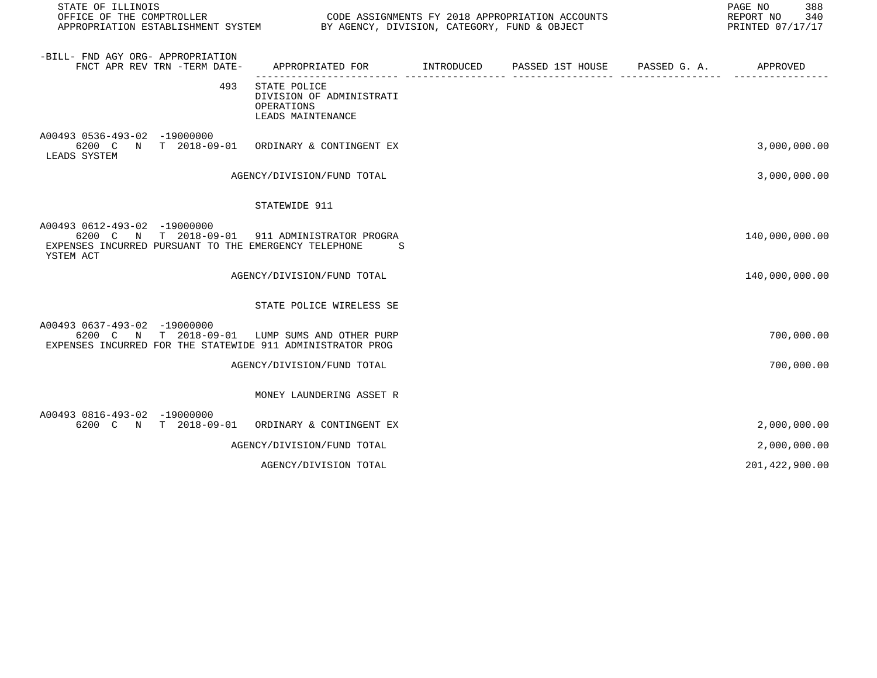| STATE OF ILLINOIS                                                                                                                                    |                                                                             |  |                       | PAGE NO<br>388<br>REPORT NO<br>340<br>PRINTED 07/17/17 |
|------------------------------------------------------------------------------------------------------------------------------------------------------|-----------------------------------------------------------------------------|--|-----------------------|--------------------------------------------------------|
| -BILL- FND AGY ORG- APPROPRIATION<br>FNCT APR REV TRN -TERM DATE-                                                                                    | APPROPRIATED FOR INTRODUCED PASSED 1ST HOUSE                                |  | PASSED G. A. APPROVED |                                                        |
| 493                                                                                                                                                  | STATE POLICE<br>DIVISION OF ADMINISTRATI<br>OPERATIONS<br>LEADS MAINTENANCE |  |                       |                                                        |
| A00493 0536-493-02 -19000000<br>6200 C N T 2018-09-01 ORDINARY & CONTINGENT EX<br>LEADS SYSTEM                                                       |                                                                             |  |                       | 3,000,000.00                                           |
|                                                                                                                                                      | AGENCY/DIVISION/FUND TOTAL                                                  |  |                       | 3,000,000.00                                           |
|                                                                                                                                                      | STATEWIDE 911                                                               |  |                       |                                                        |
| A00493 0612-493-02 -19000000<br>6200 C N T 2018-09-01 911 ADMINISTRATOR PROGRA<br>EXPENSES INCURRED PURSUANT TO THE EMERGENCY TELEPHONE<br>YSTEM ACT | -S                                                                          |  |                       | 140,000,000.00                                         |
|                                                                                                                                                      | AGENCY/DIVISION/FUND TOTAL                                                  |  |                       | 140,000,000.00                                         |
|                                                                                                                                                      | STATE POLICE WIRELESS SE                                                    |  |                       |                                                        |
| A00493 0637-493-02 -19000000<br>6200 C N T 2018-09-01 LUMP SUMS AND OTHER PURP<br>EXPENSES INCURRED FOR THE STATEWIDE 911 ADMINISTRATOR PROG         |                                                                             |  |                       | 700,000.00                                             |
|                                                                                                                                                      | AGENCY/DIVISION/FUND TOTAL                                                  |  |                       | 700,000.00                                             |
|                                                                                                                                                      | MONEY LAUNDERING ASSET R                                                    |  |                       |                                                        |
| A00493 0816-493-02 -19000000<br>6200 C N T 2018-09-01 ORDINARY & CONTINGENT EX                                                                       |                                                                             |  |                       | 2,000,000.00                                           |
|                                                                                                                                                      | AGENCY/DIVISION/FUND TOTAL                                                  |  |                       | 2,000,000.00                                           |
|                                                                                                                                                      | AGENCY/DIVISION TOTAL                                                       |  |                       | 201,422,900.00                                         |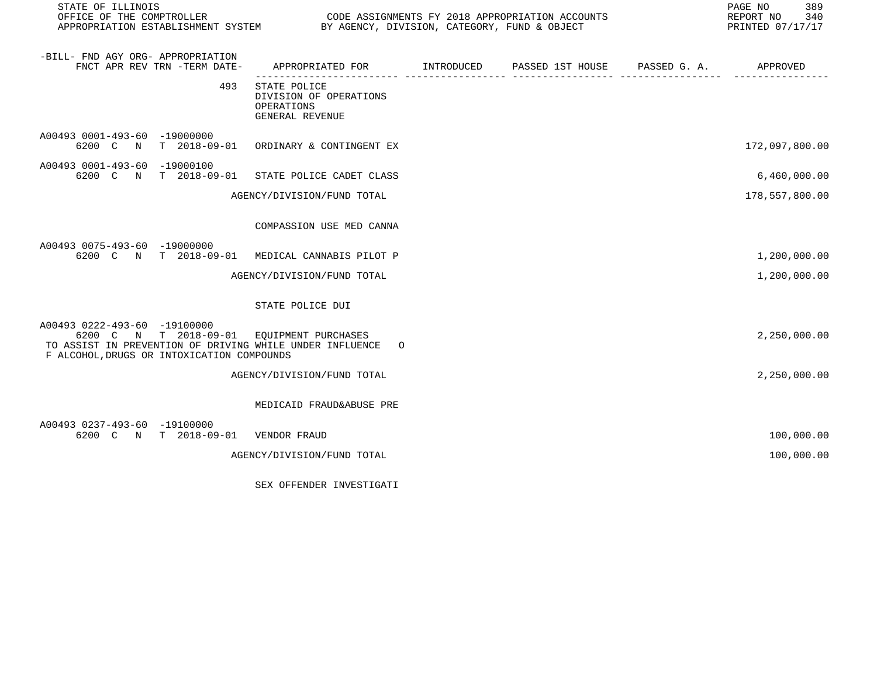| STATE OF ILLINOIS                                                                                                                                                                   |                                                                                           |  | PAGE NO<br>389<br>REPORT NO<br>340<br>PRINTED 07/17/17 |
|-------------------------------------------------------------------------------------------------------------------------------------------------------------------------------------|-------------------------------------------------------------------------------------------|--|--------------------------------------------------------|
| -BILL- FND AGY ORG- APPROPRIATION<br>FNCT APR REV TRN -TERM DATE-                                                                                                                   | APPROPRIATED FOR        INTRODUCED     PASSED 1ST HOUSE     PASSED G. A.         APPROVED |  |                                                        |
| 493                                                                                                                                                                                 | STATE POLICE<br>DIVISION OF OPERATIONS<br>OPERATIONS<br>GENERAL REVENUE                   |  |                                                        |
| A00493 0001-493-60 -19000000<br>6200 C N T 2018-09-01 ORDINARY & CONTINGENT EX                                                                                                      |                                                                                           |  | 172,097,800.00                                         |
| A00493 0001-493-60 -19000100<br>6200 C N T 2018-09-01 STATE POLICE CADET CLASS                                                                                                      |                                                                                           |  | 6,460,000.00                                           |
|                                                                                                                                                                                     | AGENCY/DIVISION/FUND TOTAL                                                                |  | 178,557,800.00                                         |
|                                                                                                                                                                                     | COMPASSION USE MED CANNA                                                                  |  |                                                        |
| A00493 0075-493-60 -19000000<br>6200 C N T 2018-09-01 MEDICAL CANNABIS PILOT P                                                                                                      |                                                                                           |  | 1,200,000.00                                           |
|                                                                                                                                                                                     | AGENCY/DIVISION/FUND TOTAL                                                                |  | 1,200,000.00                                           |
|                                                                                                                                                                                     | STATE POLICE DUI                                                                          |  |                                                        |
| A00493 0222-493-60 -19100000<br>6200 C N T 2018-09-01 EQUIPMENT PURCHASES<br>TO ASSIST IN PREVENTION OF DRIVING WHILE UNDER INFLUENCE<br>F ALCOHOL, DRUGS OR INTOXICATION COMPOUNDS | $\circ$                                                                                   |  | 2,250,000.00                                           |
|                                                                                                                                                                                     | AGENCY/DIVISION/FUND TOTAL                                                                |  | 2,250,000.00                                           |
|                                                                                                                                                                                     | MEDICAID FRAUD&ABUSE PRE                                                                  |  |                                                        |
| A00493 0237-493-60 -19100000<br>6200 C N T 2018-09-01                                                                                                                               | VENDOR FRAUD                                                                              |  | 100,000.00                                             |
|                                                                                                                                                                                     | AGENCY/DIVISION/FUND TOTAL                                                                |  | 100,000.00                                             |
|                                                                                                                                                                                     |                                                                                           |  |                                                        |

SEX OFFENDER INVESTIGATI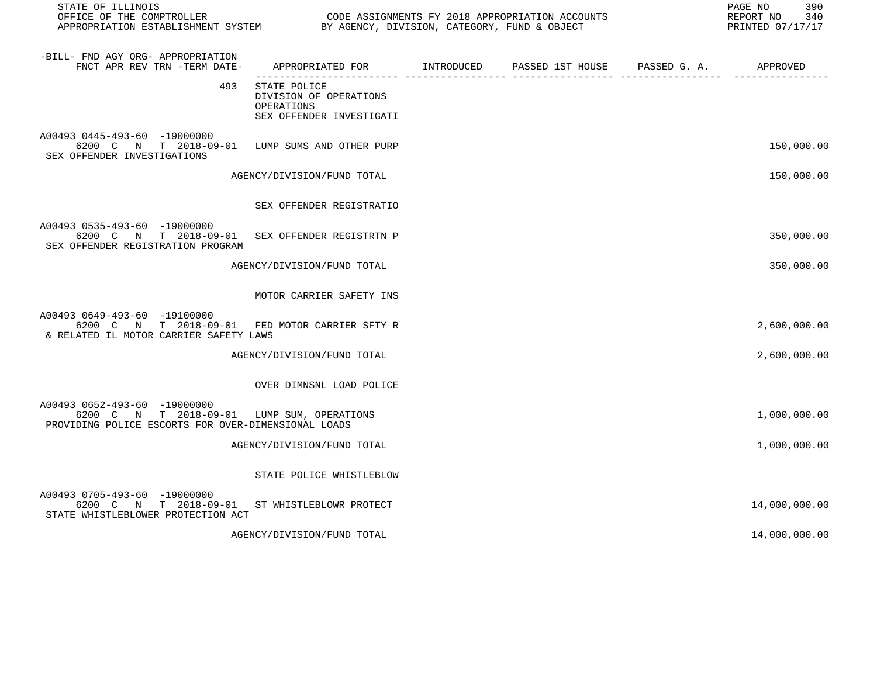| STATE OF ILLINOIS<br>OFFICE OF THE COMPTROLLER<br>APPROPRIATION ESTABLISHMENT SYSTEM BY AGENCY, DIVISION, CATEGORY, FUND & OBJECT |                                                                                  | CODE ASSIGNMENTS FY 2018 APPROPRIATION ACCOUNTS | 390<br>PAGE NO<br>340<br>REPORT NO<br>PRINTED 07/17/17 |
|-----------------------------------------------------------------------------------------------------------------------------------|----------------------------------------------------------------------------------|-------------------------------------------------|--------------------------------------------------------|
| -BILL- FND AGY ORG- APPROPRIATION<br>FNCT APR REV TRN -TERM DATE-                                                                 | APPROPRIATED FOR INTRODUCED                                                      | PASSED 1ST HOUSE PASSED G. A. APPROVED          |                                                        |
| 493                                                                                                                               | STATE POLICE<br>DIVISION OF OPERATIONS<br>OPERATIONS<br>SEX OFFENDER INVESTIGATI |                                                 |                                                        |
| A00493 0445-493-60 -19000000<br>6200 C N T 2018-09-01<br>SEX OFFENDER INVESTIGATIONS                                              | LUMP SUMS AND OTHER PURP                                                         |                                                 | 150,000.00                                             |
|                                                                                                                                   | AGENCY/DIVISION/FUND TOTAL                                                       |                                                 | 150,000.00                                             |
|                                                                                                                                   | SEX OFFENDER REGISTRATIO                                                         |                                                 |                                                        |
| A00493 0535-493-60 -19000000<br>6200 C N T 2018-09-01<br>SEX OFFENDER REGISTRATION PROGRAM                                        | SEX OFFENDER REGISTRTN P                                                         |                                                 | 350,000.00                                             |
|                                                                                                                                   | AGENCY/DIVISION/FUND TOTAL                                                       |                                                 | 350,000.00                                             |
|                                                                                                                                   | MOTOR CARRIER SAFETY INS                                                         |                                                 |                                                        |
| A00493 0649-493-60 -19100000<br>6200 C N T 2018-09-01 FED MOTOR CARRIER SFTY R<br>& RELATED IL MOTOR CARRIER SAFETY LAWS          |                                                                                  |                                                 | 2,600,000.00                                           |
|                                                                                                                                   | AGENCY/DIVISION/FUND TOTAL                                                       |                                                 | 2,600,000.00                                           |
|                                                                                                                                   | OVER DIMNSNL LOAD POLICE                                                         |                                                 |                                                        |
| A00493 0652-493-60 -19000000<br>6200 C N T 2018-09-01 LUMP SUM, OPERATIONS<br>PROVIDING POLICE ESCORTS FOR OVER-DIMENSIONAL LOADS |                                                                                  |                                                 | 1,000,000.00                                           |
|                                                                                                                                   | AGENCY/DIVISION/FUND TOTAL                                                       |                                                 | 1,000,000.00                                           |
|                                                                                                                                   | STATE POLICE WHISTLEBLOW                                                         |                                                 |                                                        |
| A00493 0705-493-60 -19000000<br>6200 C N T 2018-09-01 ST WHISTLEBLOWR PROTECT<br>STATE WHISTLEBLOWER PROTECTION ACT               |                                                                                  |                                                 | 14,000,000.00                                          |
|                                                                                                                                   | AGENCY/DIVISION/FUND TOTAL                                                       |                                                 | 14,000,000.00                                          |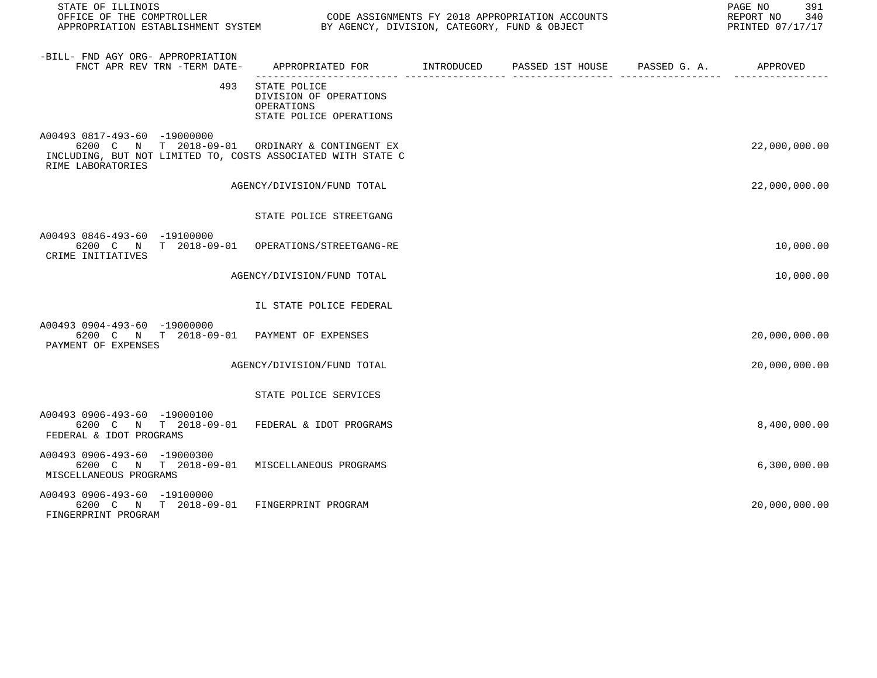| STATE OF ILLINOIS<br>OFFICE OF THE COMPTROLLER<br>APPROPRIATION ESTABLISHMENT SYSTEM BY AGENCY, DIVISION, CATEGORY, FUND & OBJECT                                   |                                                                                 |  | PAGE NO<br>391<br>REPORT NO 340<br>PRINTED 07/17/17 |
|---------------------------------------------------------------------------------------------------------------------------------------------------------------------|---------------------------------------------------------------------------------|--|-----------------------------------------------------|
| -BILL- FND AGY ORG- APPROPRIATION<br>FNCT APR REV TRN -TERM DATE-                                                                                                   | APPROPRIATED FOR TNTRODUCED PASSED 1ST HOUSE PASSED G.A.                        |  | APPROVED                                            |
| 493                                                                                                                                                                 | STATE POLICE<br>DIVISION OF OPERATIONS<br>OPERATIONS<br>STATE POLICE OPERATIONS |  |                                                     |
| A00493 0817-493-60 -19000000<br>6200 C N T 2018-09-01 ORDINARY & CONTINGENT EX<br>INCLUDING, BUT NOT LIMITED TO, COSTS ASSOCIATED WITH STATE C<br>RIME LABORATORIES |                                                                                 |  | 22,000,000.00                                       |
|                                                                                                                                                                     | AGENCY/DIVISION/FUND TOTAL                                                      |  | 22,000,000.00                                       |
|                                                                                                                                                                     | STATE POLICE STREETGANG                                                         |  |                                                     |
| A00493 0846-493-60 -19100000<br>6200 C N T 2018-09-01 OPERATIONS/STREETGANG-RE<br>CRIME INITIATIVES                                                                 |                                                                                 |  | 10,000.00                                           |
|                                                                                                                                                                     | AGENCY/DIVISION/FUND TOTAL                                                      |  | 10,000.00                                           |
|                                                                                                                                                                     | IL STATE POLICE FEDERAL                                                         |  |                                                     |
| A00493 0904-493-60 -19000000<br>6200 C N T 2018-09-01 PAYMENT OF EXPENSES<br>PAYMENT OF EXPENSES                                                                    |                                                                                 |  | 20,000,000.00                                       |
|                                                                                                                                                                     | AGENCY/DIVISION/FUND TOTAL                                                      |  | 20,000,000.00                                       |
|                                                                                                                                                                     | STATE POLICE SERVICES                                                           |  |                                                     |
| A00493 0906-493-60 -19000100<br>6200 C N T 2018-09-01 FEDERAL & IDOT PROGRAMS<br>FEDERAL & IDOT PROGRAMS                                                            |                                                                                 |  | 8,400,000.00                                        |
| A00493 0906-493-60 -19000300<br>6200 C N T 2018-09-01 MISCELLANEOUS PROGRAMS<br>MISCELLANEOUS PROGRAMS                                                              |                                                                                 |  | 6,300,000.00                                        |
| A00493 0906-493-60 -19100000<br>6200 C N T 2018-09-01 FINGERPRINT PROGRAM<br>FINGERPRINT PROGRAM                                                                    |                                                                                 |  | 20,000,000.00                                       |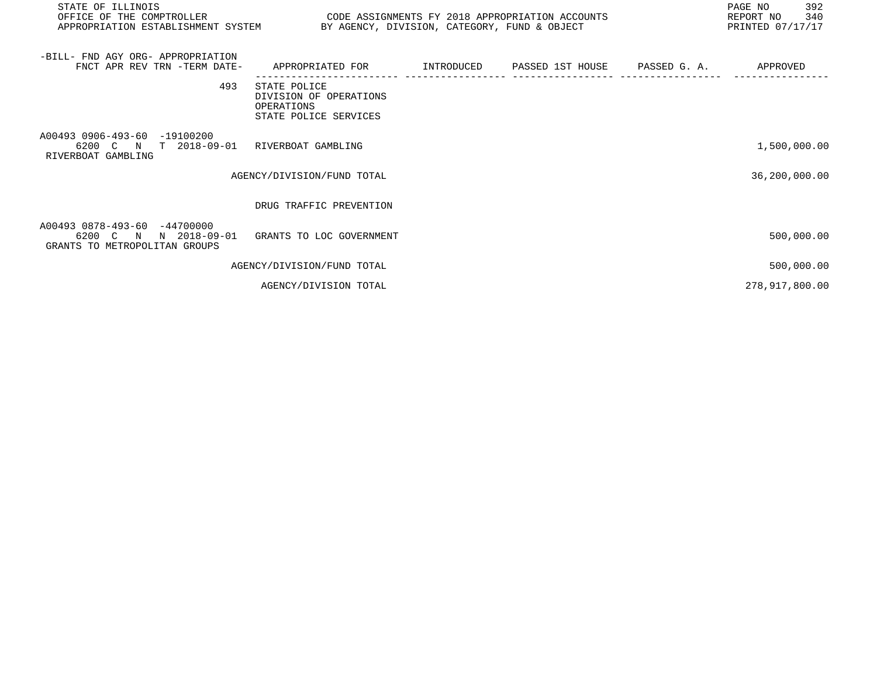| STATE OF ILLINOIS                                                                              | PAGE NO<br>REPORT NO 340<br>OFFICE OF THE COMPTROLLER THE COMPROLLER CODE ASSIGNMENTS FY 2018 APPROPRIATION ACCOUNTS<br>APPROPRIATION ESTABLISHMENT SYSTEM BY AGENCY, DIVISION, CATEGORY, FUND & OBJECT<br>PRINTED 07/17/17 |  |  |  |                |
|------------------------------------------------------------------------------------------------|-----------------------------------------------------------------------------------------------------------------------------------------------------------------------------------------------------------------------------|--|--|--|----------------|
| -BILL- FND AGY ORG- APPROPRIATION<br>FNCT APR REV TRN -TERM DATE-                              | APPROPRIATED FOR       INTRODUCED     PASSED 1ST HOUSE     PASSED G. A.         APPROVED                                                                                                                                    |  |  |  |                |
| 493                                                                                            | STATE POLICE<br>DIVISION OF OPERATIONS<br><b>OPERATIONS</b><br>STATE POLICE SERVICES                                                                                                                                        |  |  |  |                |
| A00493 0906-493-60 -19100200<br>6200 C N T 2018-09-01 RIVERBOAT GAMBLING<br>RIVERBOAT GAMBLING |                                                                                                                                                                                                                             |  |  |  | 1,500,000.00   |
|                                                                                                | AGENCY/DIVISION/FUND TOTAL                                                                                                                                                                                                  |  |  |  | 36,200,000.00  |
|                                                                                                | DRUG TRAFFIC PREVENTION                                                                                                                                                                                                     |  |  |  |                |
| A00493 0878-493-60 -44700000<br>6200 C N<br>N 2018-09-01<br>GRANTS TO METROPOLITAN GROUPS      | GRANTS TO LOC GOVERNMENT                                                                                                                                                                                                    |  |  |  | 500,000.00     |
|                                                                                                | AGENCY/DIVISION/FUND TOTAL                                                                                                                                                                                                  |  |  |  | 500,000.00     |
|                                                                                                | AGENCY/DIVISION TOTAL                                                                                                                                                                                                       |  |  |  | 278,917,800.00 |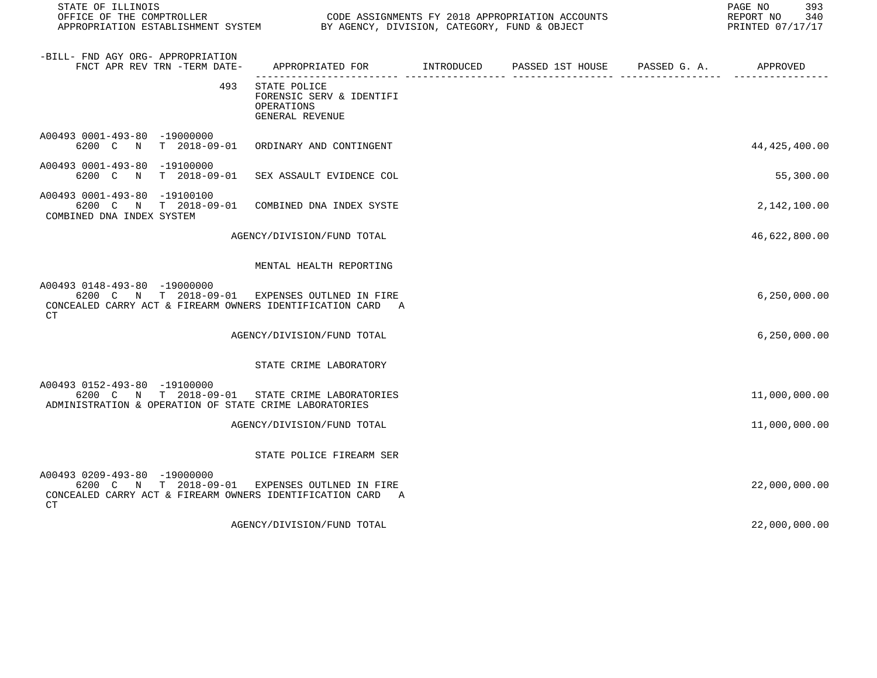| STATE OF ILLINOIS                                                                                                                                  |                                                                           |                                                               | 393<br>PAGE NO<br>REPORT NO<br>340<br>PRINTED 07/17/17 |
|----------------------------------------------------------------------------------------------------------------------------------------------------|---------------------------------------------------------------------------|---------------------------------------------------------------|--------------------------------------------------------|
| -BILL- FND AGY ORG- APPROPRIATION<br>FNCT APR REV TRN -TERM DATE-                                                                                  | APPROPRIATED FOR INTRODUCED                                               | PASSED 1ST HOUSE PASSED G. A. APPROVED<br>-------------- ---- |                                                        |
| 493                                                                                                                                                | STATE POLICE<br>FORENSIC SERV & IDENTIFI<br>OPERATIONS<br>GENERAL REVENUE |                                                               |                                                        |
| A00493 0001-493-80 -19000000<br>6200 C N T 2018-09-01                                                                                              | ORDINARY AND CONTINGENT                                                   |                                                               | 44, 425, 400.00                                        |
| A00493 0001-493-80 -19100000<br>6200 C N<br>T 2018-09-01                                                                                           | SEX ASSAULT EVIDENCE COL                                                  |                                                               | 55,300.00                                              |
| A00493 0001-493-80 -19100100<br>6200 C N T 2018-09-01<br>COMBINED DNA INDEX SYSTEM                                                                 | COMBINED DNA INDEX SYSTE                                                  |                                                               | 2,142,100.00                                           |
|                                                                                                                                                    | AGENCY/DIVISION/FUND TOTAL                                                |                                                               | 46,622,800.00                                          |
|                                                                                                                                                    | MENTAL HEALTH REPORTING                                                   |                                                               |                                                        |
| A00493 0148-493-80 -19000000<br>6200 C N T 2018-09-01<br>CONCEALED CARRY ACT & FIREARM OWNERS IDENTIFICATION CARD A<br>CT.                         | EXPENSES OUTLNED IN FIRE                                                  |                                                               | 6, 250, 000.00                                         |
|                                                                                                                                                    | AGENCY/DIVISION/FUND TOTAL                                                |                                                               | 6, 250, 000.00                                         |
|                                                                                                                                                    | STATE CRIME LABORATORY                                                    |                                                               |                                                        |
| A00493 0152-493-80 -19100000<br>6200 C N T 2018-09-01 STATE CRIME LABORATORIES<br>ADMINISTRATION & OPERATION OF STATE CRIME LABORATORIES           |                                                                           |                                                               | 11,000,000.00                                          |
|                                                                                                                                                    | AGENCY/DIVISION/FUND TOTAL                                                |                                                               | 11,000,000.00                                          |
|                                                                                                                                                    | STATE POLICE FIREARM SER                                                  |                                                               |                                                        |
| A00493 0209-493-80 -19000000<br>6200 C N T 2018-09-01 EXPENSES OUTLNED IN FIRE<br>CONCEALED CARRY ACT & FIREARM OWNERS IDENTIFICATION CARD A<br>СT |                                                                           |                                                               | 22,000,000.00                                          |
|                                                                                                                                                    | AGENCY/DIVISION/FUND TOTAL                                                |                                                               | 22,000,000.00                                          |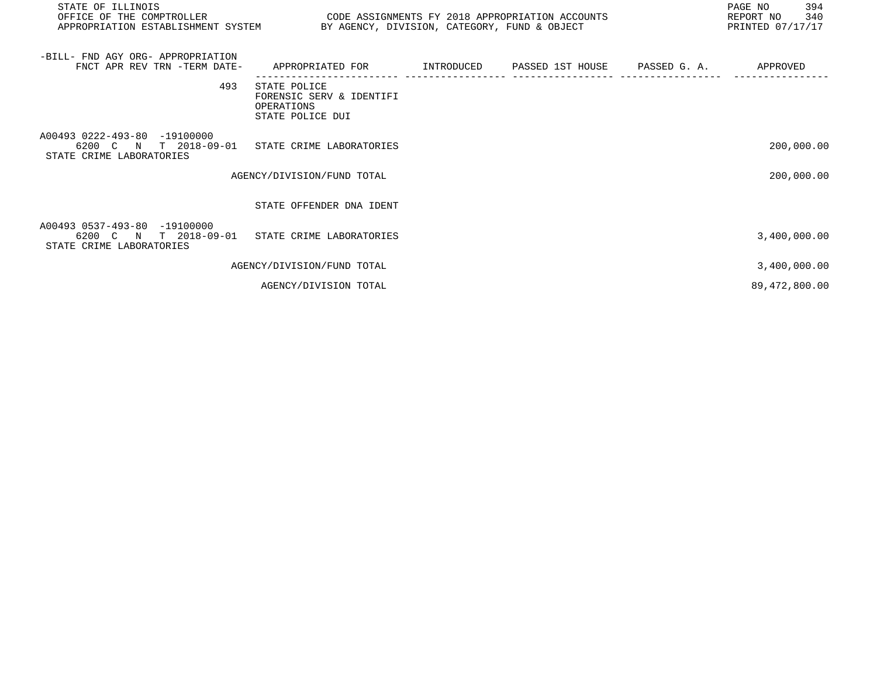| STATE OF ILLINOIS<br>OFFICE OF THE COMPTROLLER<br>APPROPRIATION ESTABLISHMENT SYSTEM BY AGENCY, DIVISION, CATEGORY, FUND & OBJECT | CODE ASSIGNMENTS FY 2018 APPROPRIATION ACCOUNTS                            |  | PAGE NO<br>394<br>REPORT NO 340<br>PRINTED 07/17/17 |
|-----------------------------------------------------------------------------------------------------------------------------------|----------------------------------------------------------------------------|--|-----------------------------------------------------|
| -BILL- FND AGY ORG- APPROPRIATION<br>FNCT APR REV TRN -TERM DATE-                                                                 | APPROPRIATED FOR       INTRODUCED      PASSED 1ST HOUSE      PASSED G. A.  |  | APPROVED                                            |
| 493                                                                                                                               | STATE POLICE<br>FORENSIC SERV & IDENTIFI<br>OPERATIONS<br>STATE POLICE DUI |  |                                                     |
| A00493 0222-493-80 -19100000<br>6200 C N T 2018-09-01 STATE CRIME LABORATORIES<br>STATE CRIME LABORATORIES                        |                                                                            |  | 200,000.00                                          |
|                                                                                                                                   | AGENCY/DIVISION/FUND TOTAL                                                 |  | 200,000.00                                          |
|                                                                                                                                   | STATE OFFENDER DNA IDENT                                                   |  |                                                     |
| A00493 0537-493-80 -19100000<br>6200 C N T 2018-09-01 STATE CRIME LABORATORIES<br>STATE CRIME LABORATORIES                        |                                                                            |  | 3,400,000.00                                        |
|                                                                                                                                   | AGENCY/DIVISION/FUND TOTAL                                                 |  | 3,400,000.00                                        |
|                                                                                                                                   | AGENCY/DIVISION TOTAL                                                      |  | 89, 472, 800.00                                     |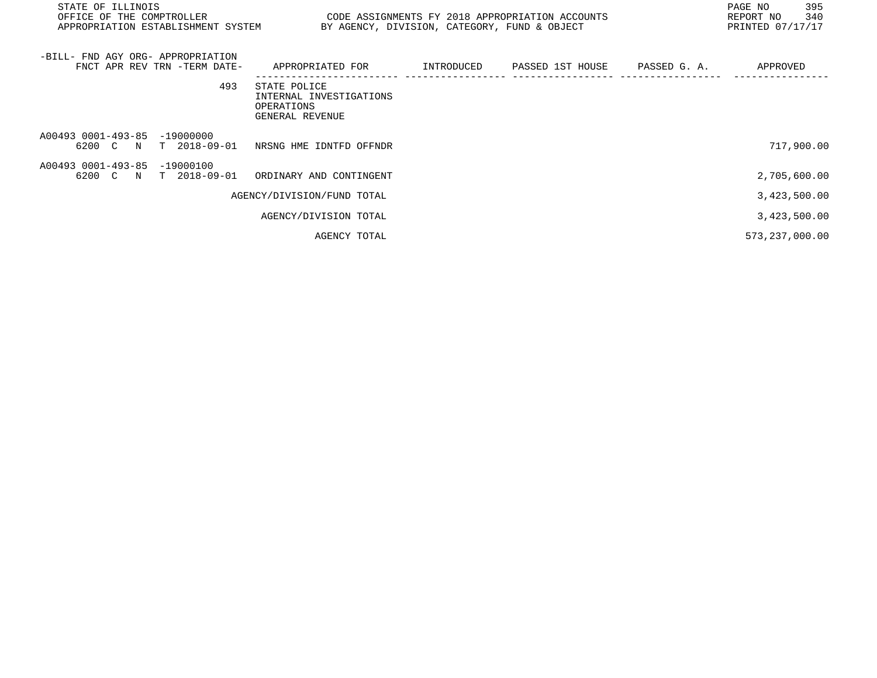| STATE OF ILLINOIS<br>OFFICE OF THE COMPTROLLER<br>APPROPRIATION ESTABLISHMENT SYSTEM |                                                                          | BY AGENCY, DIVISION, CATEGORY, FUND & OBJECT | CODE ASSIGNMENTS FY 2018 APPROPRIATION ACCOUNTS |              | 395<br>PAGE NO<br>340<br>REPORT NO<br>PRINTED 07/17/17 |
|--------------------------------------------------------------------------------------|--------------------------------------------------------------------------|----------------------------------------------|-------------------------------------------------|--------------|--------------------------------------------------------|
| -BILL- FND AGY ORG- APPROPRIATION<br>FNCT APR REV TRN -TERM DATE-                    | APPROPRIATED FOR                                                         | INTRODUCED                                   | PASSED 1ST HOUSE                                | PASSED G. A. | APPROVED                                               |
| 493                                                                                  | STATE POLICE<br>INTERNAL INVESTIGATIONS<br>OPERATIONS<br>GENERAL REVENUE |                                              |                                                 |              |                                                        |
| A00493 0001-493-85 -19000000<br>6200 C N<br>T 2018-09-01                             | NRSNG HME IDNTFD OFFNDR                                                  |                                              |                                                 |              | 717,900.00                                             |
| A00493 0001-493-85<br>$-19000100$<br>6200 C N<br>$T$ 2018-09-01                      | ORDINARY AND CONTINGENT                                                  |                                              |                                                 |              | 2,705,600.00                                           |
|                                                                                      | AGENCY/DIVISION/FUND TOTAL                                               |                                              |                                                 |              | 3,423,500.00                                           |
|                                                                                      | AGENCY/DIVISION TOTAL                                                    |                                              |                                                 |              | 3,423,500.00                                           |
|                                                                                      | AGENCY TOTAL                                                             |                                              |                                                 |              | 573, 237, 000.00                                       |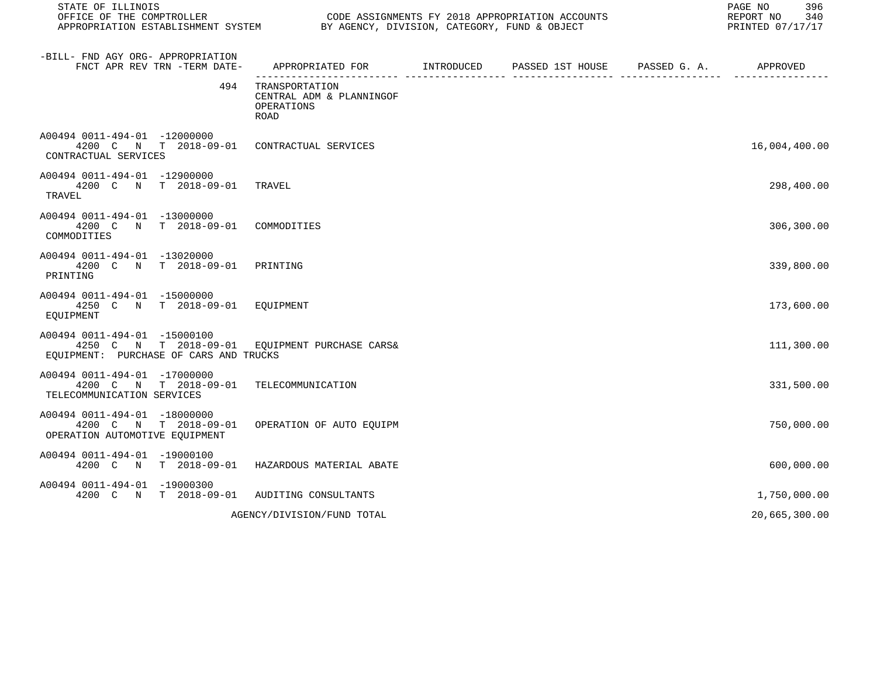| STATE OF ILLINOIS                                                                                                        |                                                                         | PAGE NO<br>396<br>REPORT NO 340<br>PRINTED 07/17/17 |  |               |
|--------------------------------------------------------------------------------------------------------------------------|-------------------------------------------------------------------------|-----------------------------------------------------|--|---------------|
| -BILL- FND AGY ORG- APPROPRIATION<br>FNCT APR REV TRN -TERM DATE-                                                        | APPROPRIATED FOR INTRODUCED                                             | PASSED 1ST HOUSE PASSED G. A. APPROVED              |  |               |
| 494                                                                                                                      | TRANSPORTATION<br>CENTRAL ADM & PLANNINGOF<br>OPERATIONS<br><b>ROAD</b> |                                                     |  |               |
| A00494 0011-494-01 -12000000<br>4200 C N T 2018-09-01 CONTRACTUAL SERVICES<br>CONTRACTUAL SERVICES                       |                                                                         |                                                     |  | 16,004,400.00 |
| A00494 0011-494-01 -12900000<br>4200 C N T 2018-09-01 TRAVEL<br>TRAVEL                                                   |                                                                         |                                                     |  | 298,400.00    |
| A00494 0011-494-01 -13000000<br>4200 C N T 2018-09-01 COMMODITIES<br>COMMODITIES                                         |                                                                         |                                                     |  | 306,300.00    |
| A00494 0011-494-01 -13020000<br>4200 C N T 2018-09-01 PRINTING<br>PRINTING                                               |                                                                         |                                                     |  | 339,800.00    |
| A00494 0011-494-01 -15000000<br>4250 C N T 2018-09-01 EQUIPMENT<br>EQUIPMENT                                             |                                                                         |                                                     |  | 173,600.00    |
| A00494 0011-494-01 -15000100<br>4250 C N T 2018-09-01 EQUIPMENT PURCHASE CARS&<br>EQUIPMENT: PURCHASE OF CARS AND TRUCKS |                                                                         |                                                     |  | 111,300.00    |
| A00494 0011-494-01 -17000000<br>4200 C N T 2018-09-01 TELECOMMUNICATION<br>TELECOMMUNICATION SERVICES                    |                                                                         |                                                     |  | 331,500.00    |
| A00494 0011-494-01 -18000000<br>4200 C N T 2018-09-01 OPERATION OF AUTO EQUIPM<br>OPERATION AUTOMOTIVE EQUIPMENT         |                                                                         |                                                     |  | 750,000.00    |
| A00494 0011-494-01 -19000100<br>4200 C N T 2018-09-01 HAZARDOUS MATERIAL ABATE                                           |                                                                         |                                                     |  | 600,000.00    |
| A00494 0011-494-01 -19000300<br>4200 C N T 2018-09-01 AUDITING CONSULTANTS                                               |                                                                         |                                                     |  | 1,750,000.00  |
|                                                                                                                          | AGENCY/DIVISION/FUND TOTAL                                              |                                                     |  | 20,665,300.00 |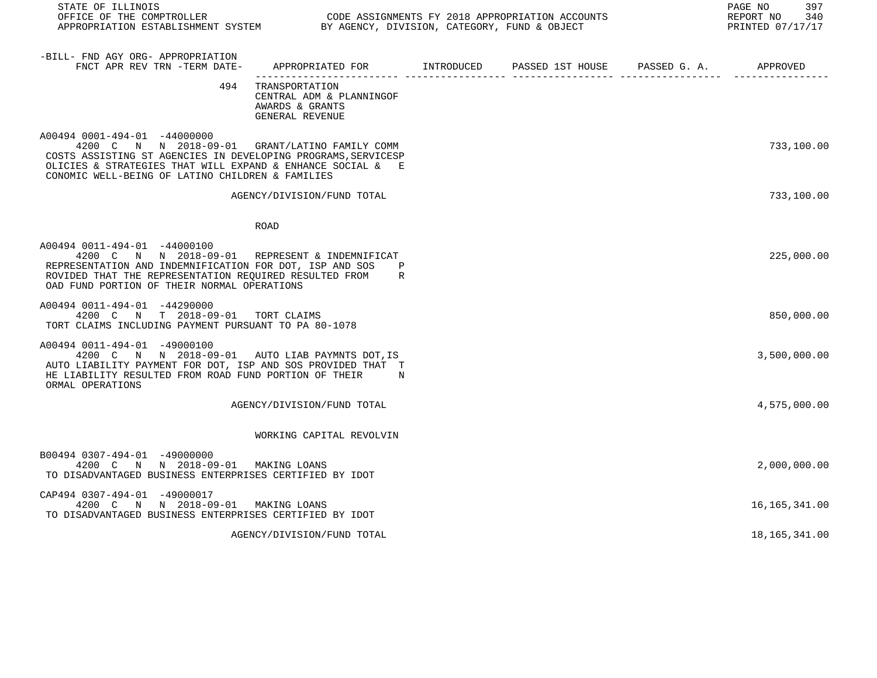| STATE OF ILLINOIS                                                                                                                                                                                                                                                 |                                                                                         |  | PAGE NO<br>397<br>REPORT NO 340<br>PRINTED 07/17/17 |
|-------------------------------------------------------------------------------------------------------------------------------------------------------------------------------------------------------------------------------------------------------------------|-----------------------------------------------------------------------------------------|--|-----------------------------------------------------|
| -BILL- FND AGY ORG- APPROPRIATION<br>FNCT APR REV TRN -TERM DATE-                                                                                                                                                                                                 | APPROPRIATED FOR       INTRODUCED     PASSED 1ST HOUSE     PASSED G. A.        APPROVED |  |                                                     |
| 494                                                                                                                                                                                                                                                               | TRANSPORTATION<br>CENTRAL ADM & PLANNINGOF<br>AWARDS & GRANTS<br>GENERAL REVENUE        |  |                                                     |
| A00494 0001-494-01 -44000000<br>4200 C N N 2018-09-01 GRANT/LATINO FAMILY COMM<br>COSTS ASSISTING ST AGENCIES IN DEVELOPING PROGRAMS, SERVICESP<br>OLICIES & STRATEGIES THAT WILL EXPAND & ENHANCE SOCIAL & E<br>CONOMIC WELL-BEING OF LATINO CHILDREN & FAMILIES |                                                                                         |  | 733,100.00                                          |
|                                                                                                                                                                                                                                                                   | AGENCY/DIVISION/FUND TOTAL                                                              |  | 733,100.00                                          |
|                                                                                                                                                                                                                                                                   | ROAD                                                                                    |  |                                                     |
| A00494 0011-494-01 -44000100<br>4200 C N N 2018-09-01 REPRESENT & INDEMNIFICAT<br>REPRESENTATION AND INDEMNIFICATION FOR DOT, ISP AND SOS<br>ROVIDED THAT THE REPRESENTATION REQUIRED RESULTED FROM<br>OAD FUND PORTION OF THEIR NORMAL OPERATIONS                | $_{\rm P}$<br>R                                                                         |  | 225,000.00                                          |
| A00494 0011-494-01 -44290000<br>4200 C N T 2018-09-01 TORT CLAIMS<br>TORT CLAIMS INCLUDING PAYMENT PURSUANT TO PA 80-1078                                                                                                                                         |                                                                                         |  | 850,000.00                                          |
| A00494 0011-494-01 -49000100<br>4200 C N N 2018-09-01 AUTO LIAB PAYMNTS DOT, IS<br>AUTO LIABILITY PAYMENT FOR DOT, ISP AND SOS PROVIDED THAT T<br>HE LIABILITY RESULTED FROM ROAD FUND PORTION OF THEIR<br>ORMAL OPERATIONS                                       | $_{\rm N}$                                                                              |  | 3,500,000.00                                        |
|                                                                                                                                                                                                                                                                   | AGENCY/DIVISION/FUND TOTAL                                                              |  | 4,575,000.00                                        |
|                                                                                                                                                                                                                                                                   | WORKING CAPITAL REVOLVIN                                                                |  |                                                     |
| B00494 0307-494-01 -49000000<br>4200 C N N 2018-09-01 MAKING LOANS<br>TO DISADVANTAGED BUSINESS ENTERPRISES CERTIFIED BY IDOT                                                                                                                                     |                                                                                         |  | 2,000,000.00                                        |
| CAP494 0307-494-01 -49000017<br>4200 C N N 2018-09-01 MAKING LOANS<br>TO DISADVANTAGED BUSINESS ENTERPRISES CERTIFIED BY IDOT                                                                                                                                     |                                                                                         |  | 16,165,341.00                                       |
|                                                                                                                                                                                                                                                                   | AGENCY/DIVISION/FUND TOTAL                                                              |  | 18,165,341.00                                       |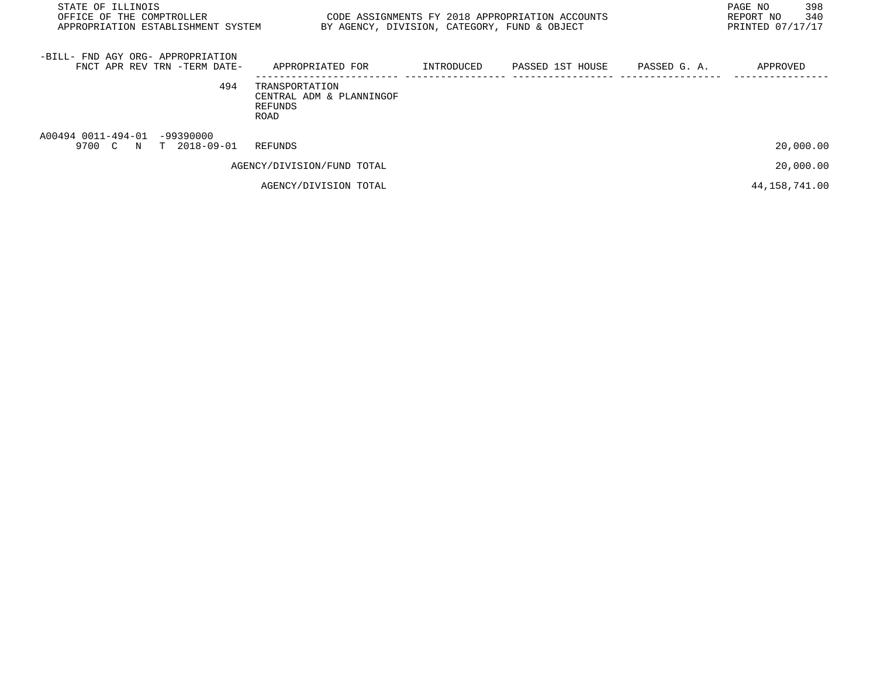| STATE OF ILLINOIS<br>OFFICE OF THE COMPTROLLER<br>APPROPRIATION ESTABLISHMENT SYSTEM | CODE ASSIGNMENTS FY 2018 APPROPRIATION ACCOUNTS<br>BY AGENCY, DIVISION, CATEGORY, FUND & OBJECT |            |                  |              |               |
|--------------------------------------------------------------------------------------|-------------------------------------------------------------------------------------------------|------------|------------------|--------------|---------------|
| -BILL- FND AGY ORG- APPROPRIATION<br>FNCT APR REV TRN -TERM DATE-                    | APPROPRIATED FOR                                                                                | INTRODUCED | PASSED 1ST HOUSE | PASSED G. A. | APPROVED      |
| 494                                                                                  | TRANSPORTATION<br>CENTRAL ADM & PLANNINGOF<br>REFUNDS<br>ROAD                                   |            |                  |              |               |
| A00494 0011-494-01 -99390000<br>9700 C N T 2018-09-01                                | REFUNDS                                                                                         |            |                  |              | 20,000.00     |
|                                                                                      | AGENCY/DIVISION/FUND TOTAL                                                                      |            |                  |              | 20,000.00     |
|                                                                                      | AGENCY/DIVISION TOTAL                                                                           |            |                  |              | 44,158,741.00 |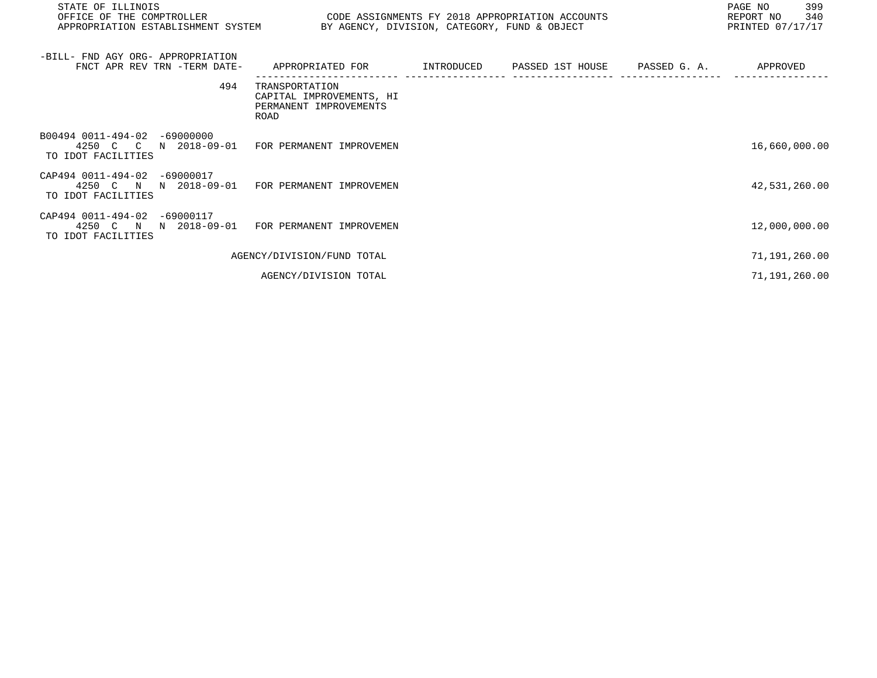| STATE OF ILLINOIS<br>OFFICE OF THE COMPTROLLER<br>CODE ASSIGNMENTS FY 2018 APPROPRIATION ACCOUNTS<br>BY AGENCY, DIVISION, CATEGORY, FUND & OBJECT<br>APPROPRIATION ESTABLISHMENT SYSTEM |                                                                              |            |                               | PAGE NO<br>399<br>REPORT NO<br>340<br>PRINTED 07/17/17 |               |
|-----------------------------------------------------------------------------------------------------------------------------------------------------------------------------------------|------------------------------------------------------------------------------|------------|-------------------------------|--------------------------------------------------------|---------------|
| -BILL- FND AGY ORG- APPROPRIATION<br>FNCT APR REV TRN -TERM DATE-                                                                                                                       | APPROPRIATED FOR                                                             | INTRODUCED | PASSED 1ST HOUSE PASSED G. A. |                                                        | APPROVED      |
| 494                                                                                                                                                                                     | TRANSPORTATION<br>CAPITAL IMPROVEMENTS, HI<br>PERMANENT IMPROVEMENTS<br>ROAD |            |                               |                                                        |               |
| B00494 0011-494-02<br>$-69000000$<br>4250 C C<br>N 2018-09-01<br>TO IDOT FACILITIES                                                                                                     | FOR PERMANENT IMPROVEMEN                                                     |            |                               |                                                        | 16,660,000.00 |
| CAP494 0011-494-02<br>-69000017<br>4250 C N<br>N 2018-09-01<br>TO IDOT FACILITIES                                                                                                       | FOR PERMANENT IMPROVEMEN                                                     |            |                               |                                                        | 42,531,260.00 |
| CAP494 0011-494-02<br>-69000117<br>4250 C N N 2018-09-01<br>TO IDOT FACILITIES                                                                                                          | FOR PERMANENT IMPROVEMEN                                                     |            |                               |                                                        | 12,000,000.00 |
|                                                                                                                                                                                         | AGENCY/DIVISION/FUND TOTAL                                                   |            |                               |                                                        | 71,191,260.00 |
|                                                                                                                                                                                         | AGENCY/DIVISION TOTAL                                                        |            |                               |                                                        | 71,191,260.00 |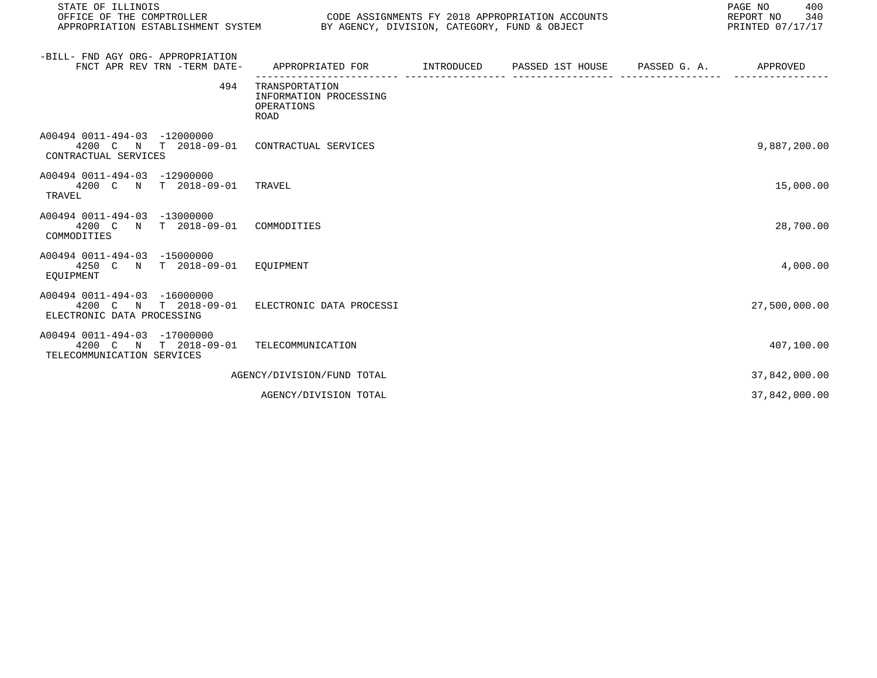| STATE OF ILLINOIS<br>CODE ASSIGNMENTS FY 2018 APPROPRIATION ACCOUNTS<br>OFFICE OF THE COMPTROLLER<br>APPROPRIATION ESTABLISHMENT SYSTEM BY AGENCY, DIVISION, CATEGORY, FUND & OBJECT |                                                                |  |                  |              | PAGE NO<br>400<br>REPORT NO<br>340<br>PRINTED 07/17/17 |
|--------------------------------------------------------------------------------------------------------------------------------------------------------------------------------------|----------------------------------------------------------------|--|------------------|--------------|--------------------------------------------------------|
| -BILL- FND AGY ORG- APPROPRIATION<br>FNCT APR REV TRN -TERM DATE-                                                                                                                    | APPROPRIATED FOR INTRODUCED                                    |  | PASSED 1ST HOUSE | PASSED G. A. | APPROVED                                               |
| 494                                                                                                                                                                                  | TRANSPORTATION<br>INFORMATION PROCESSING<br>OPERATIONS<br>ROAD |  |                  |              |                                                        |
| A00494 0011-494-03 -12000000<br>4200 C N T 2018-09-01 CONTRACTUAL SERVICES<br>CONTRACTUAL SERVICES                                                                                   |                                                                |  |                  |              | 9,887,200.00                                           |
| A00494 0011-494-03 -12900000<br>4200 C N T 2018-09-01 TRAVEL<br>TRAVEL                                                                                                               |                                                                |  |                  |              | 15,000.00                                              |
| A00494 0011-494-03 -13000000<br>4200 C N T 2018-09-01<br>COMMODITIES                                                                                                                 | COMMODITIES                                                    |  |                  |              | 28,700.00                                              |
| A00494 0011-494-03 -15000000<br>4250 C N T 2018-09-01 EOUIPMENT<br>EOUIPMENT                                                                                                         |                                                                |  |                  |              | 4,000.00                                               |
| A00494 0011-494-03 -16000000<br>4200 C N T 2018-09-01 ELECTRONIC DATA PROCESSI<br>ELECTRONIC DATA PROCESSING                                                                         |                                                                |  |                  |              | 27,500,000.00                                          |
| A00494 0011-494-03 -17000000<br>4200 C N T 2018-09-01<br>TELECOMMUNICATION SERVICES                                                                                                  | TELECOMMUNICATION                                              |  |                  |              | 407,100.00                                             |
|                                                                                                                                                                                      | AGENCY/DIVISION/FUND TOTAL                                     |  |                  |              | 37,842,000.00                                          |
|                                                                                                                                                                                      | AGENCY/DIVISION TOTAL                                          |  |                  |              | 37,842,000.00                                          |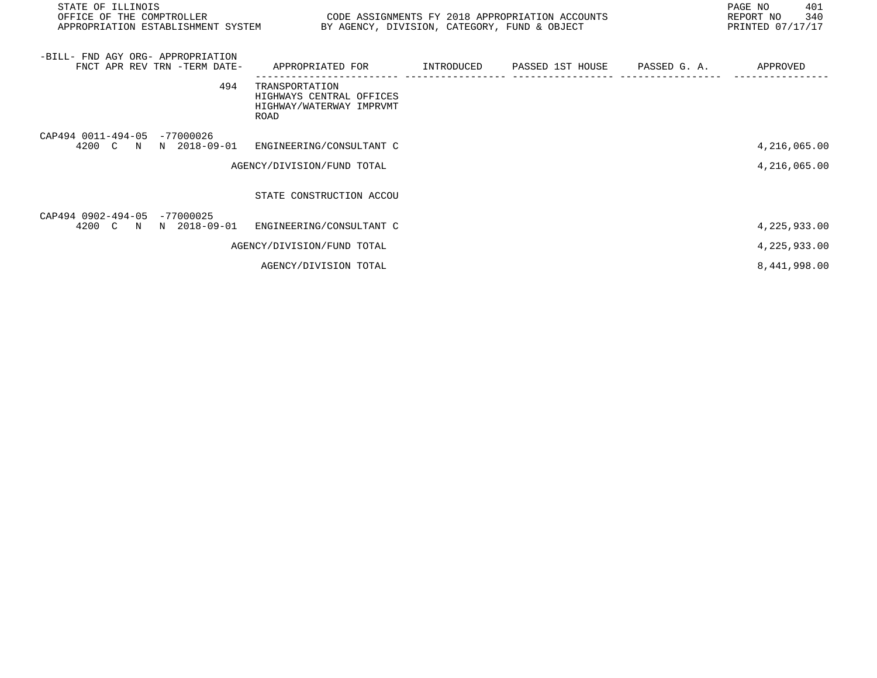| STATE OF ILLINOIS<br>OFFICE OF THE COMPTROLLER<br>APPROPRIATION ESTABLISHMENT SYSTEM | CODE ASSIGNMENTS FY 2018 APPROPRIATION ACCOUNTS<br>BY AGENCY, DIVISION, CATEGORY, FUND & OBJECT |                                         | PAGE NO<br>401<br>340<br>REPORT NO<br>PRINTED 07/17/17 |
|--------------------------------------------------------------------------------------|-------------------------------------------------------------------------------------------------|-----------------------------------------|--------------------------------------------------------|
| -BILL- FND AGY ORG- APPROPRIATION<br>FNCT APR REV TRN -TERM DATE-                    | APPROPRIATED FOR                                                                                | INTRODUCED PASSED 1ST HOUSE PASSED G.A. | APPROVED                                               |
| 494                                                                                  | TRANSPORTATION<br>HIGHWAYS CENTRAL OFFICES<br>HIGHWAY/WATERWAY IMPRVMT<br>ROAD                  |                                         |                                                        |
| CAP494 0011-494-05 -77000026<br>4200 C<br>N 2018-09-01<br>$\mathbb N$                | ENGINEERING/CONSULTANT C                                                                        |                                         | 4,216,065.00                                           |
|                                                                                      | AGENCY/DIVISION/FUND TOTAL                                                                      |                                         | 4,216,065.00                                           |
|                                                                                      | STATE CONSTRUCTION ACCOU                                                                        |                                         |                                                        |
| CAP494 0902-494-05 -77000025<br>N 2018-09-01<br>4200 C N                             | ENGINEERING/CONSULTANT C                                                                        |                                         | 4, 225, 933.00                                         |
|                                                                                      | AGENCY/DIVISION/FUND TOTAL                                                                      |                                         | 4,225,933.00                                           |
|                                                                                      | AGENCY/DIVISION TOTAL                                                                           |                                         | 8,441,998.00                                           |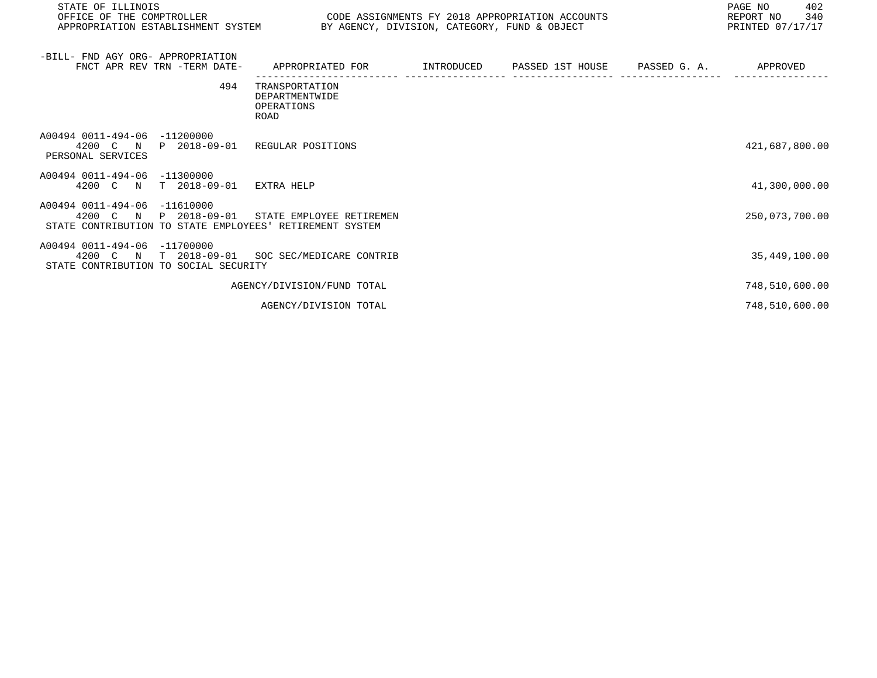| STATE OF ILLINOIS<br>OFFICE OF THE COMPTROLLER<br>APPROPRIATION ESTABLISHMENT SYSTEM BY AGENCY, DIVISION, CATEGORY, FUND & OBJECT | CODE ASSIGNMENTS FY 2018 APPROPRIATION ACCOUNTS        |  | PAGE NO<br>402<br>340<br>REPORT NO<br>PRINTED 07/17/17 |
|-----------------------------------------------------------------------------------------------------------------------------------|--------------------------------------------------------|--|--------------------------------------------------------|
| -BILL- FND AGY ORG- APPROPRIATION<br>FNCT APR REV TRN -TERM DATE-                                                                 | APPROPRIATED FOR                                       |  | APPROVED                                               |
| 494                                                                                                                               | TRANSPORTATION<br>DEPARTMENTWIDE<br>OPERATIONS<br>ROAD |  |                                                        |
| A00494 0011-494-06 -11200000<br>4200 C N<br>P 2018-09-01<br>PERSONAL SERVICES                                                     | REGULAR POSITIONS                                      |  | 421,687,800.00                                         |
| A00494 0011-494-06 -11300000<br>4200 C N<br>T 2018-09-01                                                                          | EXTRA HELP                                             |  | 41,300,000.00                                          |
| A00494 0011-494-06 -11610000<br>4200 C N<br>P 2018-09-01<br>STATE CONTRIBUTION TO STATE EMPLOYEES' RETIREMENT SYSTEM              | STATE EMPLOYEE RETIREMEN                               |  | 250,073,700.00                                         |
| A00494 0011-494-06 -11700000<br>4200 C N T 2018-09-01<br>STATE CONTRIBUTION TO SOCIAL SECURITY                                    | SOC SEC/MEDICARE CONTRIB                               |  | 35,449,100.00                                          |
|                                                                                                                                   | AGENCY/DIVISION/FUND TOTAL                             |  | 748,510,600.00                                         |
|                                                                                                                                   | AGENCY/DIVISION TOTAL                                  |  | 748,510,600.00                                         |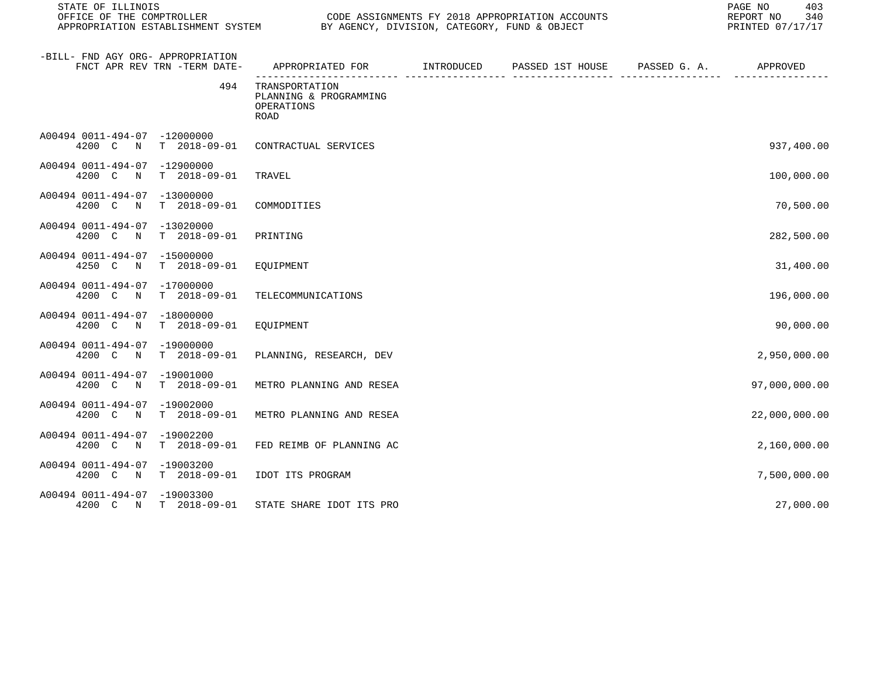| STATE OF ILLINOIS<br>OFFICE OF THE COMPTROLLER                                | CODE ASSIGNMENTS FY 2018 APPROPRIATION ACCOUNTS<br>APPROPRIATION ESTABLISHMENT SYSTEM BY AGENCY, DIVISION, CATEGORY, FUND & OBJECT |  |  |  | PAGE NO<br>403<br>340<br>REPORT NO<br>PRINTED 07/17/17 |
|-------------------------------------------------------------------------------|------------------------------------------------------------------------------------------------------------------------------------|--|--|--|--------------------------------------------------------|
| -BILL- FND AGY ORG- APPROPRIATION<br>FNCT APR REV TRN -TERM DATE-             | APPROPRIATED FOR TINTRODUCED PASSED 1ST HOUSE PASSED G.A.                                                                          |  |  |  | APPROVED                                               |
| 494                                                                           | TRANSPORTATION<br>PLANNING & PROGRAMMING<br>OPERATIONS<br><b>ROAD</b>                                                              |  |  |  |                                                        |
| A00494 0011-494-07 -12000000<br>4200 C<br>T 2018-09-01<br>N                   | CONTRACTUAL SERVICES                                                                                                               |  |  |  | 937,400.00                                             |
| A00494 0011-494-07 -12900000<br>4200 C N<br>T 2018-09-01                      | TRAVEL                                                                                                                             |  |  |  | 100,000.00                                             |
| A00494 0011-494-07 -13000000<br>$T = 2018 - 09 - 01$<br>4200 C N              | COMMODITIES                                                                                                                        |  |  |  | 70,500.00                                              |
| A00494 0011-494-07 -13020000<br>$T = 2018 - 09 - 01$<br>4200 C<br>$\mathbb N$ | PRINTING                                                                                                                           |  |  |  | 282,500.00                                             |
| A00494 0011-494-07 -15000000<br>T 2018-09-01<br>4250 C<br>$\mathbb N$         | EQUIPMENT                                                                                                                          |  |  |  | 31,400.00                                              |
| A00494 0011-494-07 -17000000<br>4200 C<br>$T = 2018 - 09 - 01$<br>$\mathbb N$ | TELECOMMUNICATIONS                                                                                                                 |  |  |  | 196,000.00                                             |
| A00494 0011-494-07 -18000000<br>4200 C N<br>T 2018-09-01                      | EQUIPMENT                                                                                                                          |  |  |  | 90,000.00                                              |
| A00494 0011-494-07 -19000000<br>4200 C N<br>$T = 2018 - 09 - 01$              | PLANNING, RESEARCH, DEV                                                                                                            |  |  |  | 2,950,000.00                                           |
| A00494 0011-494-07 -19001000<br>$T = 2018 - 09 - 01$<br>4200 C<br>$\mathbb N$ | METRO PLANNING AND RESEA                                                                                                           |  |  |  | 97,000,000.00                                          |
| A00494 0011-494-07 -19002000<br>4200 C<br>$T = 2018 - 09 - 01$<br>$\mathbb N$ | METRO PLANNING AND RESEA                                                                                                           |  |  |  | 22,000,000.00                                          |
| A00494 0011-494-07 -19002200<br>4200 C N<br>$T = 2018 - 09 - 01$              | FED REIMB OF PLANNING AC                                                                                                           |  |  |  | 2,160,000.00                                           |
| A00494 0011-494-07 -19003200<br>4200 C N<br>T 2018-09-01                      | IDOT ITS PROGRAM                                                                                                                   |  |  |  | 7,500,000.00                                           |
| A00494 0011-494-07 -19003300<br>4200 C N T 2018-09-01                         | STATE SHARE IDOT ITS PRO                                                                                                           |  |  |  | 27,000.00                                              |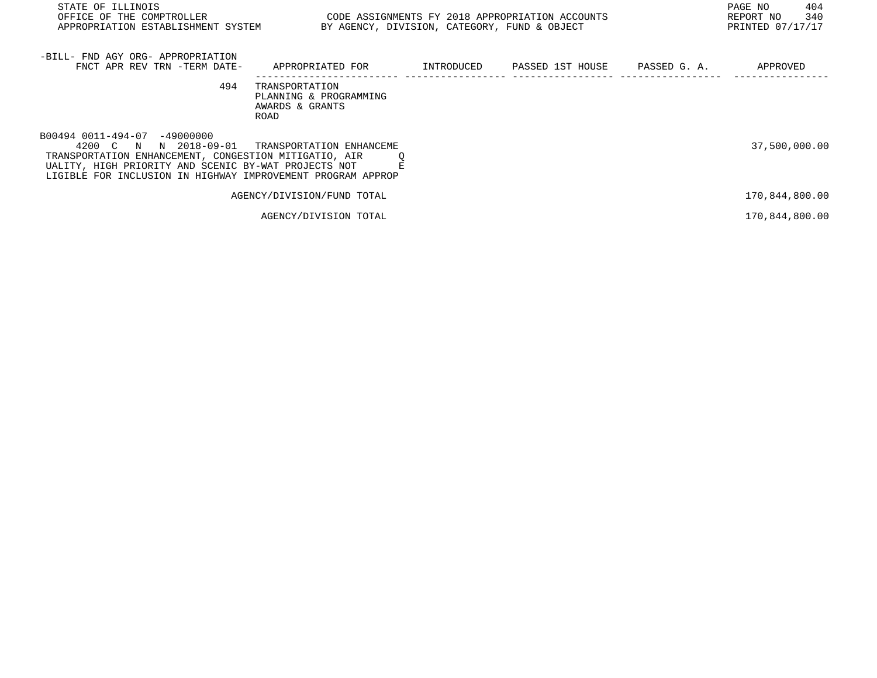| STATE OF ILLINOIS<br>OFFICE OF THE COMPTROLLER<br>APPROPRIATION ESTABLISHMENT SYSTEM                                                                                                                                                     | CODE ASSIGNMENTS FY 2018 APPROPRIATION ACCOUNTS<br>BY AGENCY, DIVISION, CATEGORY, FUND & OBJECT |            |                               | 404<br>PAGE NO<br>340<br>REPORT NO<br>PRINTED 07/17/17 |
|------------------------------------------------------------------------------------------------------------------------------------------------------------------------------------------------------------------------------------------|-------------------------------------------------------------------------------------------------|------------|-------------------------------|--------------------------------------------------------|
| -BILL- FND AGY ORG- APPROPRIATION<br>FNCT APR REV TRN -TERM DATE-                                                                                                                                                                        | APPROPRIATED FOR                                                                                | INTRODUCED | PASSED 1ST HOUSE PASSED G. A. | APPROVED                                               |
| 494                                                                                                                                                                                                                                      | TRANSPORTATION<br>PLANNING & PROGRAMMING<br>AWARDS & GRANTS<br>ROAD                             |            |                               |                                                        |
| B00494 0011-494-07 -49000000<br>N 2018-09-01<br>4200 C N<br>TRANSPORTATION ENHANCEMENT, CONGESTION MITIGATIO, AIR<br>UALITY, HIGH PRIORITY AND SCENIC BY-WAT PROJECTS NOT<br>LIGIBLE FOR INCLUSION IN HIGHWAY IMPROVEMENT PROGRAM APPROP | TRANSPORTATION ENHANCEME                                                                        |            |                               | 37,500,000.00                                          |
|                                                                                                                                                                                                                                          | AGENCY/DIVISION/FUND TOTAL                                                                      |            |                               | 170,844,800.00                                         |
|                                                                                                                                                                                                                                          | AGENCY/DIVISION TOTAL                                                                           |            |                               | 170,844,800.00                                         |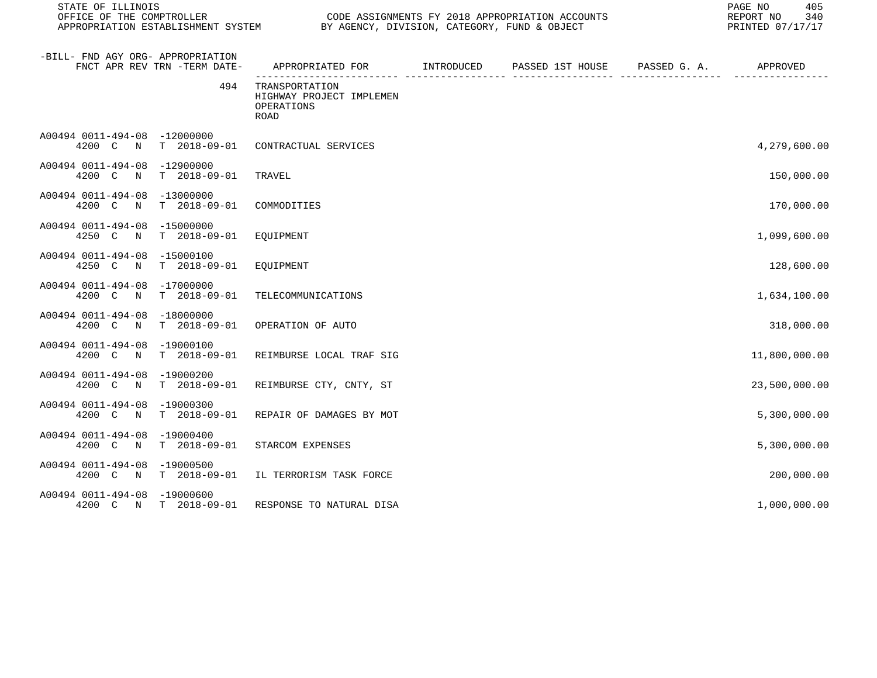| STATE OF ILLINOIS<br>OFFICE OF THE COMPTROLLER                                     | CODE ASSIGNMENTS FY 2018 APPROPRIATION ACCOUNTS<br>APPROPRIATION ESTABLISHMENT SYSTEM BY AGENCY, DIVISION, CATEGORY, FUND & OBJECT |  |  |              | 405<br>PAGE NO<br>340<br>REPORT NO<br>PRINTED 07/17/17 |
|------------------------------------------------------------------------------------|------------------------------------------------------------------------------------------------------------------------------------|--|--|--------------|--------------------------------------------------------|
| -BILL- FND AGY ORG- APPROPRIATION<br>FNCT APR REV TRN -TERM DATE-                  | APPROPRIATED FOR TINTRODUCED PASSED 1ST HOUSE                                                                                      |  |  | PASSED G. A. | APPROVED                                               |
| 494                                                                                | TRANSPORTATION<br>HIGHWAY PROJECT IMPLEMEN<br>OPERATIONS<br><b>ROAD</b>                                                            |  |  |              |                                                        |
| A00494 0011-494-08 -12000000<br>4200 C<br>$T = 2018 - 09 - 01$<br>$\mathbf N$      | CONTRACTUAL SERVICES                                                                                                               |  |  |              | 4,279,600.00                                           |
| A00494 0011-494-08<br>-12900000<br>4200 C N<br>T 2018-09-01                        | TRAVEL                                                                                                                             |  |  |              | 150,000.00                                             |
| A00494 0011-494-08<br>$-13000000$<br>$T = 2018 - 09 - 01$<br>4200 C<br>$\mathbb N$ | COMMODITIES                                                                                                                        |  |  |              | 170,000.00                                             |
| A00494 0011-494-08 -15000000<br>4250 C<br>$T = 2018 - 09 - 01$<br>$\mathbb N$      | EQUIPMENT                                                                                                                          |  |  |              | 1,099,600.00                                           |
| A00494 0011-494-08<br>$-15000100$<br>4250 C<br>$\mathbb N$<br>T 2018-09-01         | EQUIPMENT                                                                                                                          |  |  |              | 128,600.00                                             |
| A00494 0011-494-08<br>-17000000<br>$T = 2018 - 09 - 01$<br>4200 C<br>$\mathbb N$   | TELECOMMUNICATIONS                                                                                                                 |  |  |              | 1,634,100.00                                           |
| A00494 0011-494-08<br>$-18000000$<br>4200 C N<br>T 2018-09-01                      | OPERATION OF AUTO                                                                                                                  |  |  |              | 318,000.00                                             |
| A00494 0011-494-08 -19000100<br>$T = 2018 - 09 - 01$<br>4200 C N                   | REIMBURSE LOCAL TRAF SIG                                                                                                           |  |  |              | 11,800,000.00                                          |
| A00494 0011-494-08 -19000200<br>4200 C<br>$T = 2018 - 09 - 01$<br>N                | REIMBURSE CTY, CNTY, ST                                                                                                            |  |  |              | 23,500,000.00                                          |
| A00494 0011-494-08<br>$-19000300$<br>4200 C<br>$T = 2018 - 09 - 01$<br>$\mathbb N$ | REPAIR OF DAMAGES BY MOT                                                                                                           |  |  |              | 5,300,000.00                                           |
| A00494 0011-494-08<br>$-19000400$<br>4200 C<br>$T = 2018 - 09 - 01$<br>$\mathbb N$ | STARCOM EXPENSES                                                                                                                   |  |  |              | 5,300,000.00                                           |
| A00494 0011-494-08<br>-19000500<br>4200 C N<br>T 2018-09-01                        | IL TERRORISM TASK FORCE                                                                                                            |  |  |              | 200,000.00                                             |
| A00494 0011-494-08 -19000600<br>4200 C N<br>T 2018-09-01                           | RESPONSE TO NATURAL DISA                                                                                                           |  |  |              | 1,000,000.00                                           |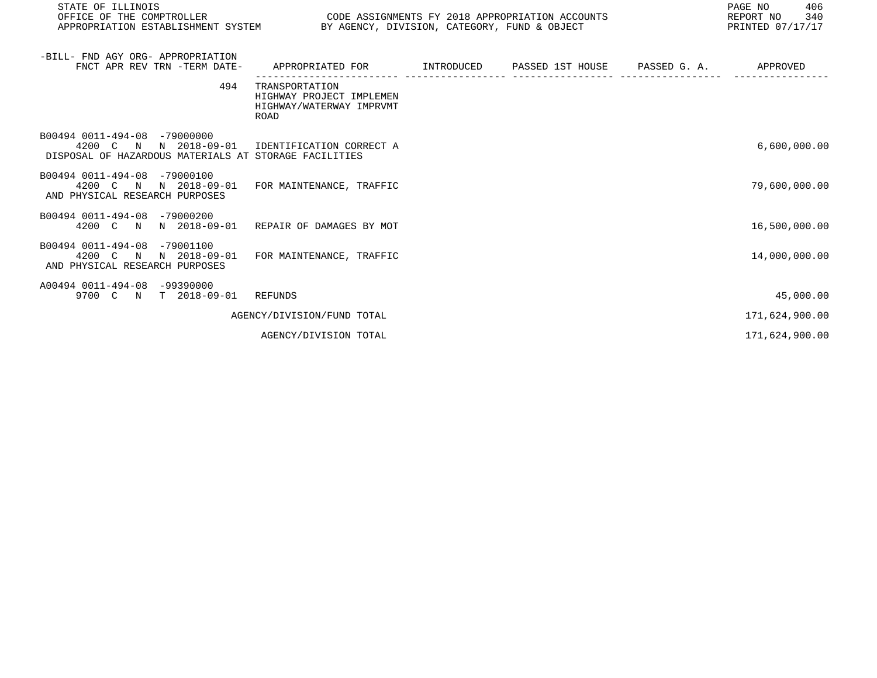| STATE OF ILLINOIS<br>OFFICE OF THE COMPTROLLER<br>APPROPRIATION ESTABLISHMENT SYSTEM BY AGENCY, DIVISION, CATEGORY, FUND & OBJECT       | CODE ASSIGNMENTS FY 2018 APPROPRIATION ACCOUNTS                                |  | PAGE NO<br>406<br>REPORT NO 340<br>PRINTED 07/17/17 |
|-----------------------------------------------------------------------------------------------------------------------------------------|--------------------------------------------------------------------------------|--|-----------------------------------------------------|
| -BILL- FND AGY ORG- APPROPRIATION<br>FNCT APR REV TRN -TERM DATE-                                                                       | APPROPRIATED FOR TINTRODUCED PASSED 1ST HOUSE PASSED G.A. APPROVED             |  |                                                     |
| 494                                                                                                                                     | TRANSPORTATION<br>HIGHWAY PROJECT IMPLEMEN<br>HIGHWAY/WATERWAY IMPRVMT<br>ROAD |  |                                                     |
| B00494 0011-494-08 -79000000<br>4200 C N N 2018-09-01 IDENTIFICATION CORRECT A<br>DISPOSAL OF HAZARDOUS MATERIALS AT STORAGE FACILITIES |                                                                                |  | 6,600,000.00                                        |
| B00494 0011-494-08 -79000100<br>4200 C N N 2018-09-01<br>AND PHYSICAL RESEARCH PURPOSES                                                 | FOR MAINTENANCE, TRAFFIC                                                       |  | 79,600,000.00                                       |
| B00494 0011-494-08 -79000200<br>4200 C N N 2018-09-01 REPAIR OF DAMAGES BY MOT                                                          |                                                                                |  | 16,500,000.00                                       |
| B00494 0011-494-08 -79001100<br>4200 C N N 2018-09-01<br>AND PHYSICAL RESEARCH PURPOSES                                                 | FOR MAINTENANCE, TRAFFIC                                                       |  | 14,000,000.00                                       |
| A00494 0011-494-08 -99390000<br>9700 C N T 2018-09-01 REFUNDS                                                                           |                                                                                |  | 45,000.00                                           |
|                                                                                                                                         | AGENCY/DIVISION/FUND TOTAL                                                     |  | 171,624,900.00                                      |
|                                                                                                                                         | AGENCY/DIVISION TOTAL                                                          |  | 171,624,900.00                                      |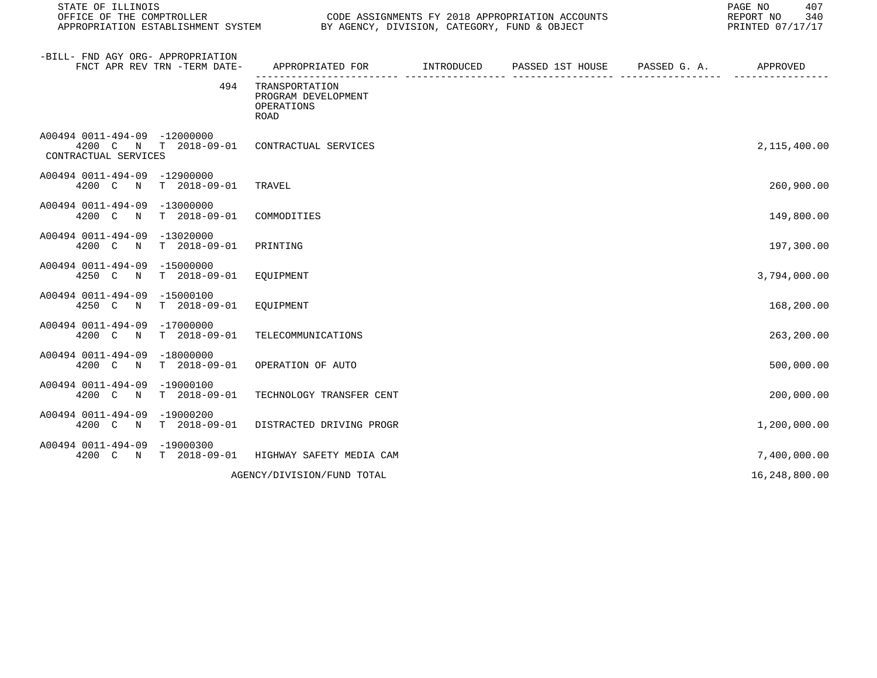| STATE OF ILLINOIS<br>OFFICE OF THE COMPTROLLER<br>APPROPRIATION ESTABLISHMENT SYSTEM BY AGENCY, DIVISION, CATEGORY, FUND & OBJECT |                                                             |            | CODE ASSIGNMENTS FY 2018 APPROPRIATION ACCOUNTS | PAGE NO<br>407<br>REPORT NO<br>340<br>PRINTED 07/17/17 |
|-----------------------------------------------------------------------------------------------------------------------------------|-------------------------------------------------------------|------------|-------------------------------------------------|--------------------------------------------------------|
| -BILL- FND AGY ORG- APPROPRIATION<br>FNCT APR REV TRN -TERM DATE-                                                                 | APPROPRIATED FOR                                            | INTRODUCED | PASSED 1ST HOUSE PASSED G. A.                   | APPROVED                                               |
| 494                                                                                                                               | TRANSPORTATION<br>PROGRAM DEVELOPMENT<br>OPERATIONS<br>ROAD |            |                                                 |                                                        |
| A00494 0011-494-09 -12000000<br>4200 C N T 2018-09-01 CONTRACTUAL SERVICES<br>CONTRACTUAL SERVICES                                |                                                             |            |                                                 | 2,115,400.00                                           |
| A00494 0011-494-09 -12900000<br>4200 C N T 2018-09-01                                                                             | TRAVEL                                                      |            |                                                 | 260,900.00                                             |
| A00494 0011-494-09 -13000000<br>4200 C N T 2018-09-01                                                                             | COMMODITIES                                                 |            |                                                 | 149,800.00                                             |
| A00494 0011-494-09 -13020000<br>4200 C N T 2018-09-01                                                                             | PRINTING                                                    |            |                                                 | 197,300.00                                             |
| A00494 0011-494-09 -15000000<br>4250 C<br>N T 2018-09-01                                                                          | EQUIPMENT                                                   |            |                                                 | 3,794,000.00                                           |
| A00494 0011-494-09 -15000100<br>4250 C N T 2018-09-01                                                                             | EOUIPMENT                                                   |            |                                                 | 168,200.00                                             |
| A00494 0011-494-09 -17000000<br>4200 C N T 2018-09-01                                                                             | TELECOMMUNICATIONS                                          |            |                                                 | 263,200.00                                             |
| A00494 0011-494-09 -18000000<br>4200 C N T 2018-09-01                                                                             | OPERATION OF AUTO                                           |            |                                                 | 500,000.00                                             |
| A00494 0011-494-09 -19000100<br>4200 C N T 2018-09-01                                                                             | TECHNOLOGY TRANSFER CENT                                    |            |                                                 | 200,000.00                                             |
| A00494 0011-494-09 -19000200<br>4200 C N T 2018-09-01                                                                             | DISTRACTED DRIVING PROGR                                    |            |                                                 | 1,200,000.00                                           |
| A00494 0011-494-09 -19000300<br>4200 C N T 2018-09-01 HIGHWAY SAFETY MEDIA CAM                                                    |                                                             |            |                                                 | 7,400,000.00                                           |
|                                                                                                                                   | AGENCY/DIVISION/FUND TOTAL                                  |            |                                                 | 16,248,800.00                                          |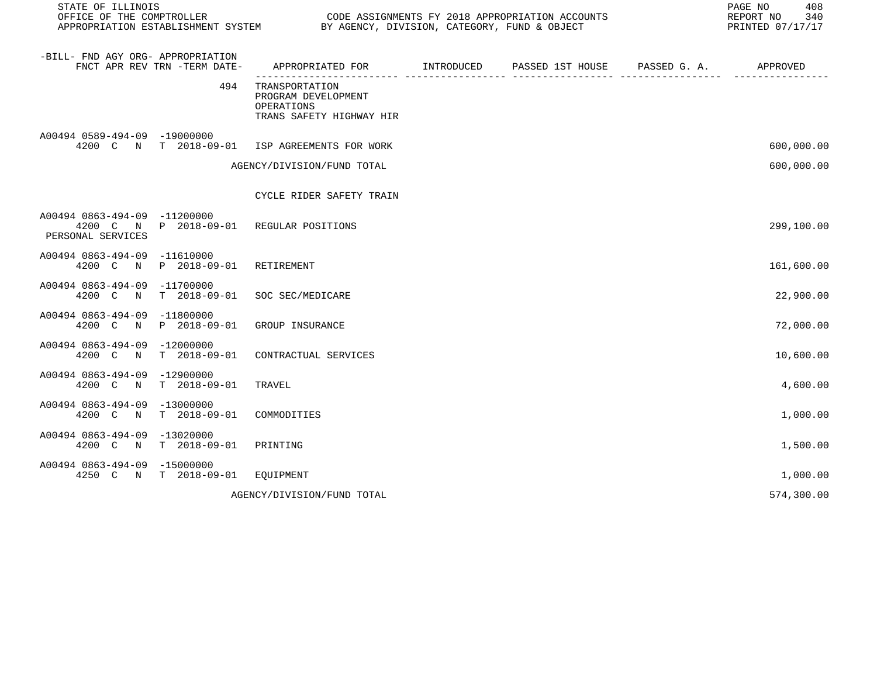| STATE OF ILLINOIS<br>OFFICE OF THE COMPTROLLER    |                                      | CODE ASSIGNMENTS FY 2018 APPROPRIATION ACCOUNTS<br>OFFICE OF THE COMPTROLLER<br>APPROPRIATION ESTABLISHMENT SYSTEM BY AGENCY, DIVISION, CATEGORY, FUND & OBJECT | 408<br>PAGE NO<br>REPORT NO<br>340<br>PRINTED 07/17/17 |  |            |
|---------------------------------------------------|--------------------------------------|-----------------------------------------------------------------------------------------------------------------------------------------------------------------|--------------------------------------------------------|--|------------|
| -BILL- FND AGY ORG- APPROPRIATION                 | FNCT APR REV TRN -TERM DATE-         | APPROPRIATED FOR TINTRODUCED PASSED 1ST HOUSE PASSED G. A.                                                                                                      |                                                        |  | APPROVED   |
|                                                   | 494                                  | TRANSPORTATION<br>PROGRAM DEVELOPMENT<br>OPERATIONS<br>TRANS SAFETY HIGHWAY HIR                                                                                 |                                                        |  |            |
| A00494 0589-494-09 -19000000                      | 4200 C N T 2018-09-01                | ISP AGREEMENTS FOR WORK                                                                                                                                         |                                                        |  | 600,000.00 |
|                                                   |                                      | AGENCY/DIVISION/FUND TOTAL                                                                                                                                      |                                                        |  | 600,000.00 |
|                                                   |                                      | CYCLE RIDER SAFETY TRAIN                                                                                                                                        |                                                        |  |            |
| A00494 0863-494-09 -11200000<br>PERSONAL SERVICES |                                      | 4200 C N P 2018-09-01 REGULAR POSITIONS                                                                                                                         |                                                        |  | 299,100.00 |
| A00494 0863-494-09                                | $-11610000$<br>4200 C N P 2018-09-01 | RETIREMENT                                                                                                                                                      |                                                        |  | 161,600.00 |
| A00494 0863-494-09 -11700000<br>4200 C N          | $T = 2018 - 09 - 01$                 | SOC SEC/MEDICARE                                                                                                                                                |                                                        |  | 22,900.00  |
| A00494 0863-494-09 -11800000<br>4200 C N          | P 2018-09-01                         | GROUP INSURANCE                                                                                                                                                 |                                                        |  | 72,000.00  |
| A00494 0863-494-09<br>4200 C N                    | $-12000000$<br>$T = 2018 - 09 - 01$  | CONTRACTUAL SERVICES                                                                                                                                            |                                                        |  | 10,600.00  |
| A00494 0863-494-09<br>4200 C N                    | -12900000<br>T 2018-09-01            | TRAVEL                                                                                                                                                          |                                                        |  | 4,600.00   |
| A00494 0863-494-09 -13000000<br>4200 C N          | $T = 2018 - 09 - 01$                 | COMMODITIES                                                                                                                                                     |                                                        |  | 1,000.00   |
| A00494 0863-494-09 -13020000<br>4200 C N          | T 2018-09-01                         | PRINTING                                                                                                                                                        |                                                        |  | 1,500.00   |
| A00494 0863-494-09                                | $-15000000$<br>4250 C N T 2018-09-01 | EQUIPMENT                                                                                                                                                       |                                                        |  | 1,000.00   |
|                                                   |                                      | AGENCY/DIVISION/FUND TOTAL                                                                                                                                      |                                                        |  | 574,300.00 |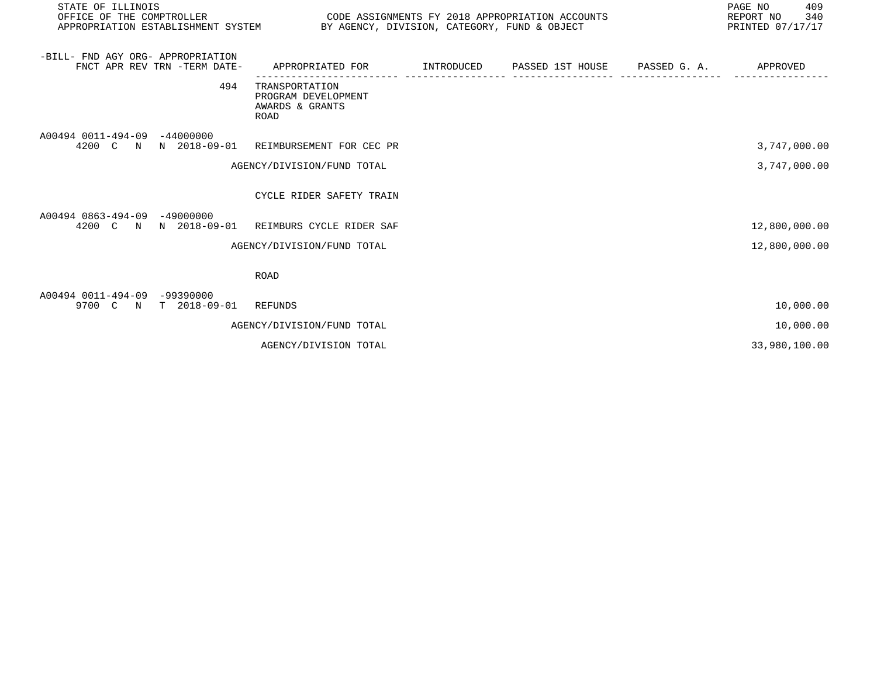| STATE OF ILLINOIS<br>OFFICE OF THE COMPTROLLER<br>CODE ASSIGNMENTS FY 2018 APPROPRIATION ACCOUNTS<br>APPROPRIATION ESTABLISHMENT SYSTEM BY AGENCY, DIVISION, CATEGORY, FUND & OBJECT |                              |                                                                                           |  |  | PAGE NO<br>409<br>340<br>REPORT NO<br>PRINTED 07/17/17 |               |
|--------------------------------------------------------------------------------------------------------------------------------------------------------------------------------------|------------------------------|-------------------------------------------------------------------------------------------|--|--|--------------------------------------------------------|---------------|
| -BILL- FND AGY ORG- APPROPRIATION                                                                                                                                                    | FNCT APR REV TRN -TERM DATE- | APPROPRIATED FOR        INTRODUCED     PASSED 1ST HOUSE     PASSED G. A.         APPROVED |  |  |                                                        |               |
|                                                                                                                                                                                      | 494                          | TRANSPORTATION<br>PROGRAM DEVELOPMENT<br>AWARDS & GRANTS<br><b>ROAD</b>                   |  |  |                                                        |               |
| A00494 0011-494-09 -44000000                                                                                                                                                         |                              | 4200 C N N 2018-09-01 REIMBURSEMENT FOR CEC PR                                            |  |  |                                                        | 3,747,000.00  |
|                                                                                                                                                                                      |                              | AGENCY/DIVISION/FUND TOTAL                                                                |  |  |                                                        | 3,747,000.00  |
|                                                                                                                                                                                      |                              | CYCLE RIDER SAFETY TRAIN                                                                  |  |  |                                                        |               |
| A00494 0863-494-09 -49000000                                                                                                                                                         |                              | 4200 C N N 2018-09-01 REIMBURS CYCLE RIDER SAF                                            |  |  |                                                        | 12,800,000.00 |
|                                                                                                                                                                                      |                              | AGENCY/DIVISION/FUND TOTAL                                                                |  |  |                                                        | 12,800,000.00 |
|                                                                                                                                                                                      |                              | <b>ROAD</b>                                                                               |  |  |                                                        |               |
| A00494 0011-494-09 -99390000                                                                                                                                                         | 9700 C N T 2018-09-01        | REFUNDS                                                                                   |  |  |                                                        | 10,000.00     |
|                                                                                                                                                                                      |                              | AGENCY/DIVISION/FUND TOTAL                                                                |  |  |                                                        | 10,000.00     |
|                                                                                                                                                                                      |                              | AGENCY/DIVISION TOTAL                                                                     |  |  |                                                        | 33,980,100.00 |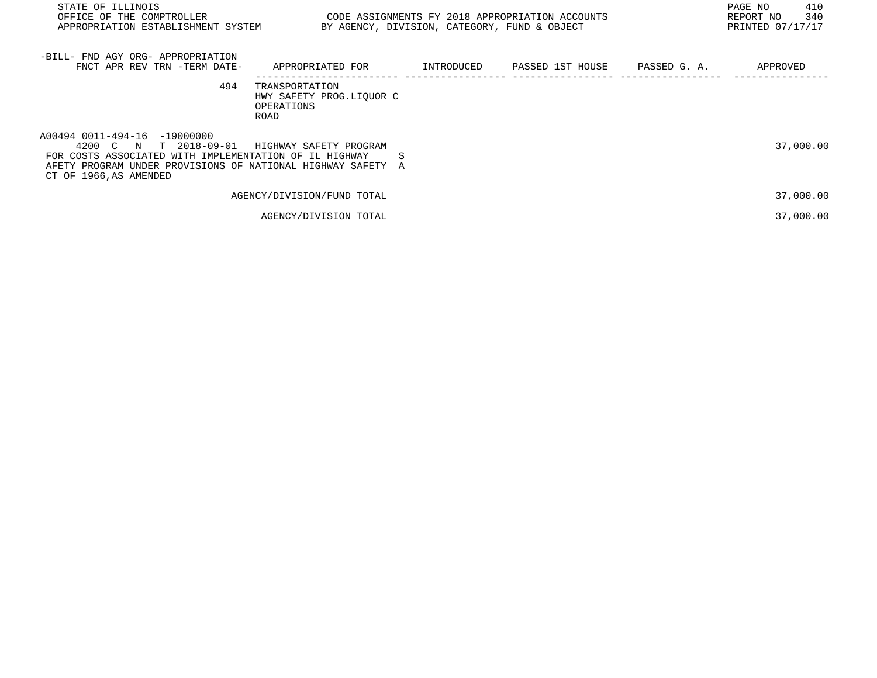| STATE OF ILLINOIS<br>OFFICE OF THE COMPTROLLER<br>APPROPRIATION ESTABLISHMENT SYSTEM                                                                                                                        | CODE ASSIGNMENTS FY 2018 APPROPRIATION ACCOUNTS                  | BY AGENCY, DIVISION, CATEGORY, FUND & OBJECT |                  |              | 410<br>PAGE NO<br>340<br>REPORT NO<br>PRINTED 07/17/17 |
|-------------------------------------------------------------------------------------------------------------------------------------------------------------------------------------------------------------|------------------------------------------------------------------|----------------------------------------------|------------------|--------------|--------------------------------------------------------|
| -BILL- FND AGY ORG- APPROPRIATION<br>FNCT APR REV TRN -TERM DATE-                                                                                                                                           | APPROPRIATED FOR                                                 | INTRODUCED                                   | PASSED 1ST HOUSE | PASSED G. A. | APPROVED                                               |
| 494                                                                                                                                                                                                         | TRANSPORTATION<br>HWY SAFETY PROG.LIQUOR C<br>OPERATIONS<br>ROAD |                                              |                  |              |                                                        |
| A00494 0011-494-16 -19000000<br>T 2018-09-01<br>4200 C N<br>FOR COSTS ASSOCIATED WITH IMPLEMENTATION OF IL HIGHWAY<br>AFETY PROGRAM UNDER PROVISIONS OF NATIONAL HIGHWAY SAFETY A<br>CT OF 1966, AS AMENDED | HIGHWAY SAFETY PROGRAM<br>S                                      |                                              |                  |              | 37,000.00                                              |
|                                                                                                                                                                                                             | AGENCY/DIVISION/FUND TOTAL                                       |                                              |                  |              | 37,000.00                                              |
|                                                                                                                                                                                                             | AGENCY/DIVISION TOTAL                                            |                                              |                  |              | 37,000.00                                              |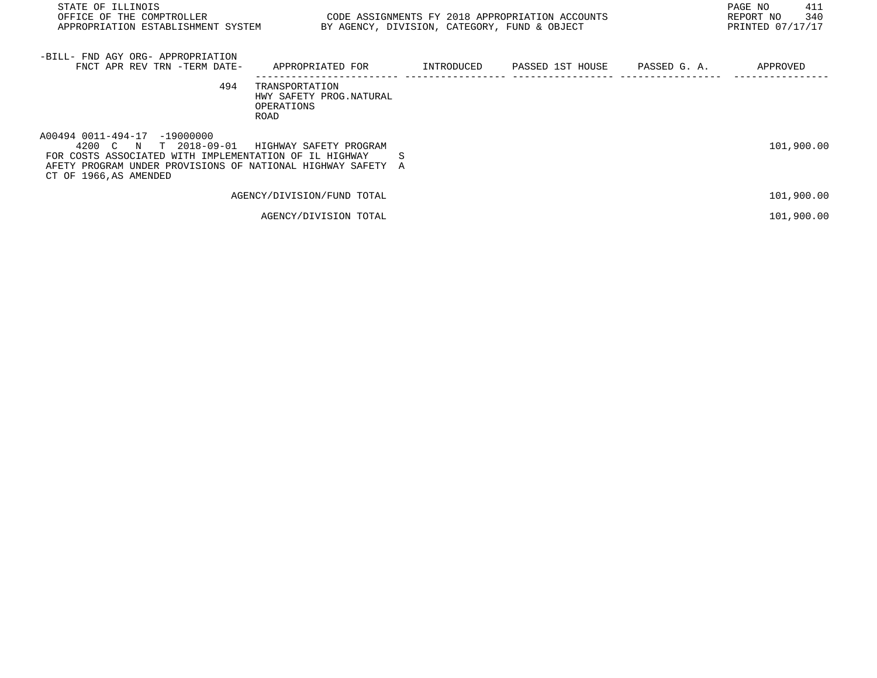| STATE OF ILLINOIS<br>OFFICE OF THE COMPTROLLER<br>APPROPRIATION ESTABLISHMENT SYSTEM                                                                                                                        | CODE ASSIGNMENTS FY 2018 APPROPRIATION ACCOUNTS                  | BY AGENCY, DIVISION, CATEGORY, FUND & OBJECT |                  |              | 411<br>PAGE NO<br>340<br>REPORT NO<br>PRINTED 07/17/17 |
|-------------------------------------------------------------------------------------------------------------------------------------------------------------------------------------------------------------|------------------------------------------------------------------|----------------------------------------------|------------------|--------------|--------------------------------------------------------|
| -BILL- FND AGY ORG- APPROPRIATION<br>FNCT APR REV TRN -TERM DATE-                                                                                                                                           | APPROPRIATED FOR                                                 | INTRODUCED                                   | PASSED 1ST HOUSE | PASSED G. A. | APPROVED                                               |
| 494                                                                                                                                                                                                         | TRANSPORTATION<br>HWY SAFETY PROG. NATURAL<br>OPERATIONS<br>ROAD |                                              |                  |              |                                                        |
| A00494 0011-494-17 -19000000<br>T 2018-09-01<br>4200 C N<br>FOR COSTS ASSOCIATED WITH IMPLEMENTATION OF IL HIGHWAY<br>AFETY PROGRAM UNDER PROVISIONS OF NATIONAL HIGHWAY SAFETY A<br>CT OF 1966, AS AMENDED | HIGHWAY SAFETY PROGRAM                                           | S                                            |                  |              | 101,900.00                                             |
|                                                                                                                                                                                                             | AGENCY/DIVISION/FUND TOTAL                                       |                                              |                  |              | 101,900.00                                             |
|                                                                                                                                                                                                             | AGENCY/DIVISION TOTAL                                            |                                              |                  |              | 101,900.00                                             |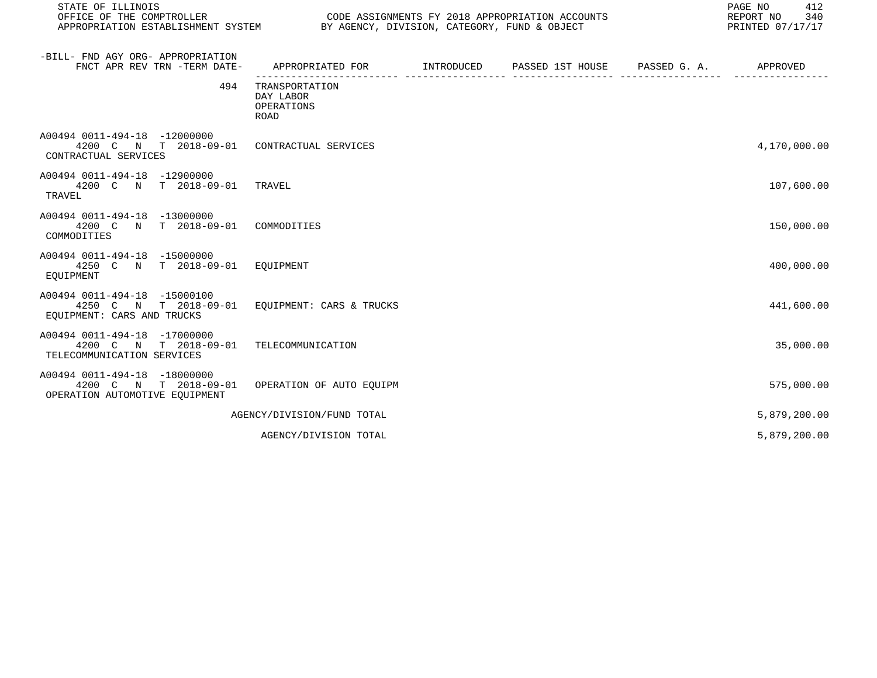| STATE OF ILLINOIS<br>OFFICE OF THE COMPTROLLER                                             | CODE ASSIGNMENTS FY 2018 APPROPRIATION ACCOUNTS<br>APPROPRIATION ESTABLISHMENT SYSTEM BY AGENCY, DIVISION, CATEGORY, FUND & OBJECT |  |  | PAGE NO<br>412<br>REPORT NO<br>340<br>PRINTED 07/17/17 |  |
|--------------------------------------------------------------------------------------------|------------------------------------------------------------------------------------------------------------------------------------|--|--|--------------------------------------------------------|--|
| -BILL- FND AGY ORG- APPROPRIATION<br>FNCT APR REV TRN -TERM DATE-                          | APPROPRIATED FOR         INTRODUCED      PASSED 1ST HOUSE     PASSED G. A.         APPROVED                                        |  |  |                                                        |  |
| 494                                                                                        | TRANSPORTATION<br>DAY LABOR<br>OPERATIONS<br><b>ROAD</b>                                                                           |  |  |                                                        |  |
| A00494 0011-494-18 -12000000<br>4200 C N T 2018-09-01<br>CONTRACTUAL SERVICES              | CONTRACTUAL SERVICES                                                                                                               |  |  | 4,170,000.00                                           |  |
| A00494 0011-494-18 -12900000<br>4200 C N T 2018-09-01 TRAVEL<br>TRAVEL                     |                                                                                                                                    |  |  | 107,600.00                                             |  |
| A00494 0011-494-18 -13000000<br>4200 C N T 2018-09-01<br>COMMODITIES                       | COMMODITIES                                                                                                                        |  |  | 150,000.00                                             |  |
| A00494 0011-494-18 -15000000<br>4250 C N T 2018-09-01 EOUIPMENT<br>EOUIPMENT               |                                                                                                                                    |  |  | 400,000.00                                             |  |
| A00494 0011-494-18 -15000100<br>4250 C N T 2018-09-01<br>EQUIPMENT: CARS AND TRUCKS        | EOUIPMENT: CARS & TRUCKS                                                                                                           |  |  | 441,600.00                                             |  |
| A00494 0011-494-18 -17000000<br>4200 C N T 2018-09-01<br>TELECOMMUNICATION SERVICES        | TELECOMMUNICATION                                                                                                                  |  |  | 35,000.00                                              |  |
| A00494 0011-494-18 -18000000<br>N T 2018-09-01<br>4200 C<br>OPERATION AUTOMOTIVE EQUIPMENT | OPERATION OF AUTO EOUIPM                                                                                                           |  |  | 575,000.00                                             |  |
|                                                                                            | AGENCY/DIVISION/FUND TOTAL                                                                                                         |  |  | 5,879,200.00                                           |  |
|                                                                                            | AGENCY/DIVISION TOTAL                                                                                                              |  |  | 5,879,200.00                                           |  |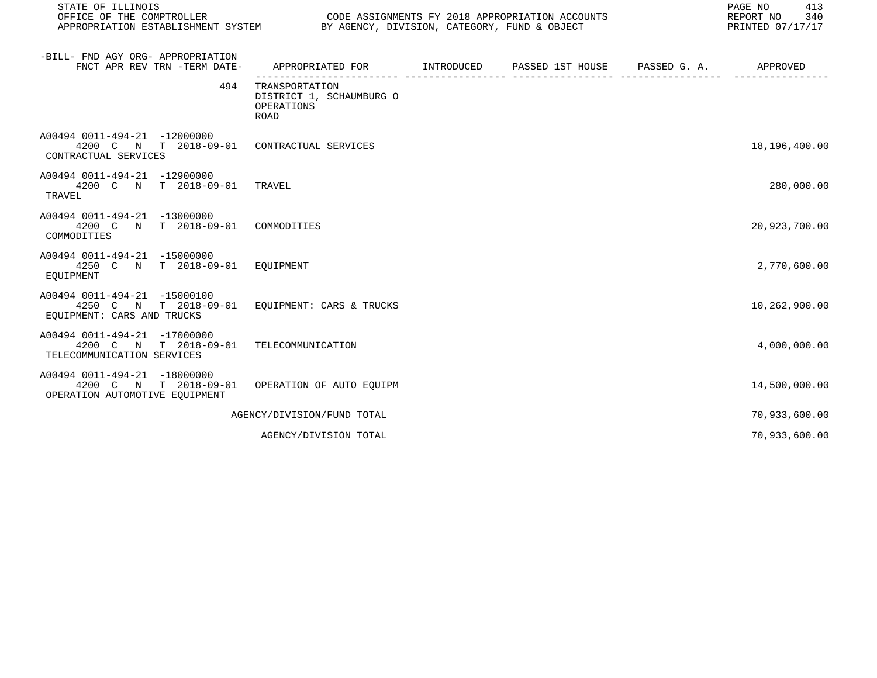| STATE OF ILLINOIS<br>OFFICE OF THE COMPTROLLER<br>CODE ASSIGNMENTS FY 2018 APPROPRIATION ACCOUNTS<br>APPROPRIATION ESTABLISHMENT SYSTEM BY AGENCY, DIVISION, CATEGORY, FUND & OBJECT |                                                                                         |  | PAGE NO<br>413<br>REPORT NO<br>340<br>PRINTED 07/17/17 |               |
|--------------------------------------------------------------------------------------------------------------------------------------------------------------------------------------|-----------------------------------------------------------------------------------------|--|--------------------------------------------------------|---------------|
| -BILL- FND AGY ORG- APPROPRIATION<br>FNCT APR REV TRN -TERM DATE-                                                                                                                    | APPROPRIATED FOR       INTRODUCED     PASSED 1ST HOUSE     PASSED G. A.        APPROVED |  |                                                        |               |
| 494                                                                                                                                                                                  | TRANSPORTATION<br>DISTRICT 1, SCHAUMBURG O<br>OPERATIONS<br><b>ROAD</b>                 |  |                                                        |               |
| A00494 0011-494-21 -12000000<br>4200 C N T 2018-09-01<br>CONTRACTUAL SERVICES                                                                                                        | CONTRACTUAL SERVICES                                                                    |  |                                                        | 18,196,400.00 |
| A00494 0011-494-21 -12900000<br>4200 C N T 2018-09-01<br>TRAVEL                                                                                                                      | TRAVEL                                                                                  |  |                                                        | 280,000.00    |
| A00494 0011-494-21 -13000000<br>4200 C N T 2018-09-01<br>COMMODITIES                                                                                                                 | COMMODITIES                                                                             |  |                                                        | 20,923,700.00 |
| A00494 0011-494-21 -15000000<br>4250 C N T 2018-09-01 EQUIPMENT<br>EOUIPMENT                                                                                                         |                                                                                         |  |                                                        | 2,770,600.00  |
| A00494 0011-494-21 -15000100<br>4250 C N T 2018-09-01<br>EQUIPMENT: CARS AND TRUCKS                                                                                                  | EOUIPMENT: CARS & TRUCKS                                                                |  |                                                        | 10,262,900.00 |
| A00494 0011-494-21 -17000000<br>4200 C N T 2018-09-01<br>TELECOMMUNICATION SERVICES                                                                                                  | TELECOMMUNICATION                                                                       |  |                                                        | 4,000,000.00  |
| A00494 0011-494-21 -18000000<br>4200 C N T 2018-09-01<br>OPERATION AUTOMOTIVE EOUIPMENT                                                                                              | OPERATION OF AUTO EOUIPM                                                                |  |                                                        | 14,500,000.00 |
|                                                                                                                                                                                      | AGENCY/DIVISION/FUND TOTAL                                                              |  |                                                        | 70,933,600.00 |
|                                                                                                                                                                                      | AGENCY/DIVISION TOTAL                                                                   |  |                                                        | 70,933,600.00 |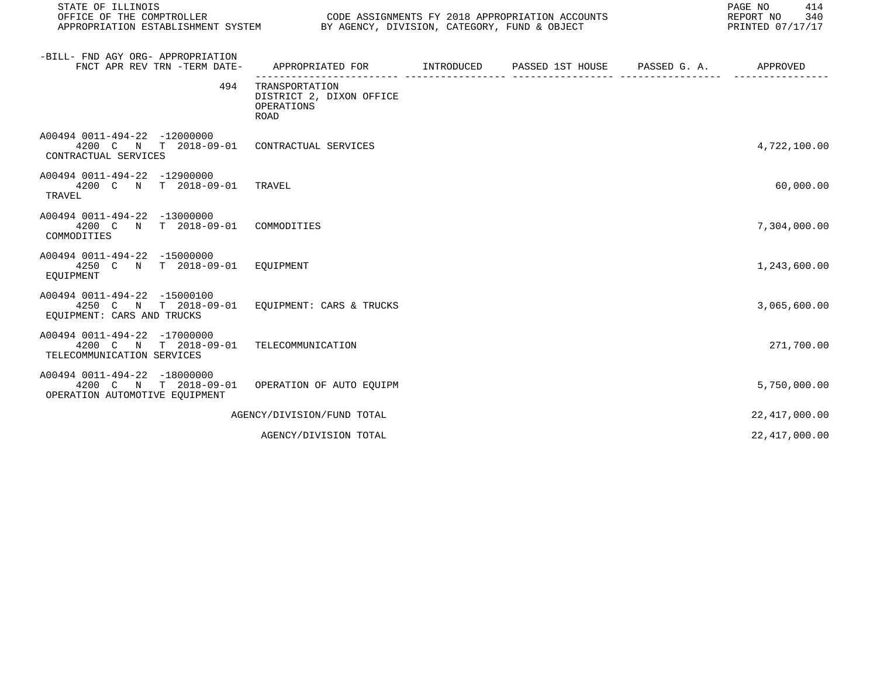| STATE OF ILLINOIS<br>OFFICE OF THE COMPTROLLER                                                     | CODE ASSIGNMENTS FY 2018 APPROPRIATION ACCOUNTS<br>APPROPRIATION ESTABLISHMENT SYSTEM BY AGENCY, DIVISION, CATEGORY, FUND & OBJECT |  |  |  | PAGE NO<br>414<br>340<br>REPORT NO<br>PRINTED 07/17/17 |  |  |
|----------------------------------------------------------------------------------------------------|------------------------------------------------------------------------------------------------------------------------------------|--|--|--|--------------------------------------------------------|--|--|
| -BILL- FND AGY ORG- APPROPRIATION<br>FNCT APR REV TRN -TERM DATE-                                  | APPROPRIATED FOR       INTRODUCED     PASSED 1ST HOUSE     PASSED G. A.         APPROVED                                           |  |  |  |                                                        |  |  |
| 494                                                                                                | TRANSPORTATION<br>DISTRICT 2, DIXON OFFICE<br>OPERATIONS<br><b>ROAD</b>                                                            |  |  |  |                                                        |  |  |
| A00494 0011-494-22 -12000000<br>4200 C N T 2018-09-01 CONTRACTUAL SERVICES<br>CONTRACTUAL SERVICES |                                                                                                                                    |  |  |  | 4,722,100.00                                           |  |  |
| A00494 0011-494-22 -12900000<br>4200 C N T 2018-09-01<br>TRAVEL                                    | TRAVEL                                                                                                                             |  |  |  | 60,000.00                                              |  |  |
| A00494 0011-494-22 -13000000<br>4200 C N T 2018-09-01<br>COMMODITIES                               | COMMODITIES                                                                                                                        |  |  |  | 7,304,000.00                                           |  |  |
| A00494 0011-494-22 -15000000<br>4250 C N T 2018-09-01 EOUIPMENT<br>EOUIPMENT                       |                                                                                                                                    |  |  |  | 1,243,600.00                                           |  |  |
| A00494 0011-494-22 -15000100<br>4250 C N T 2018-09-01<br>EQUIPMENT: CARS AND TRUCKS                | EOUIPMENT: CARS & TRUCKS                                                                                                           |  |  |  | 3,065,600.00                                           |  |  |
| A00494 0011-494-22 -17000000<br>4200 C N T 2018-09-01<br>TELECOMMUNICATION SERVICES                | TELECOMMUNICATION                                                                                                                  |  |  |  | 271,700.00                                             |  |  |
| A00494 0011-494-22 -18000000<br>4200 C N T 2018-09-01<br>OPERATION AUTOMOTIVE EQUIPMENT            | OPERATION OF AUTO EOUIPM                                                                                                           |  |  |  | 5,750,000.00                                           |  |  |
|                                                                                                    | AGENCY/DIVISION/FUND TOTAL                                                                                                         |  |  |  | 22, 417, 000.00                                        |  |  |
|                                                                                                    | AGENCY/DIVISION TOTAL                                                                                                              |  |  |  | 22, 417, 000.00                                        |  |  |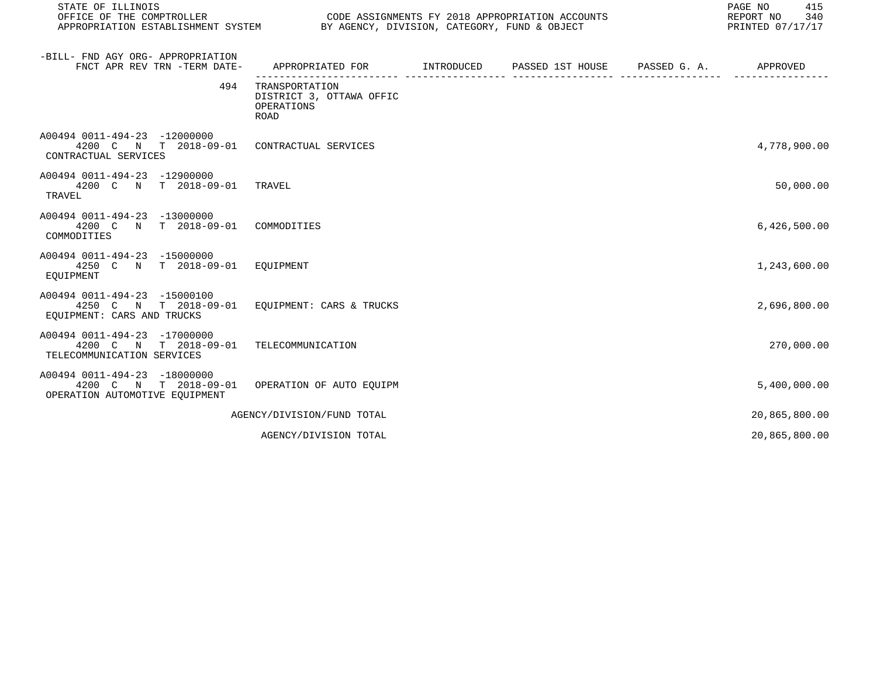| STATE OF ILLINOIS<br>OFFICE OF THE COMPTROLLER                                                     | CODE ASSIGNMENTS FY 2018 APPROPRIATION ACCOUNTS<br>APPROPRIATION ESTABLISHMENT SYSTEM BY AGENCY, DIVISION, CATEGORY, FUND & OBJECT |  |  | PAGE NO<br>415<br>REPORT NO<br>340<br>PRINTED 07/17/17 |  |  |
|----------------------------------------------------------------------------------------------------|------------------------------------------------------------------------------------------------------------------------------------|--|--|--------------------------------------------------------|--|--|
| -BILL- FND AGY ORG- APPROPRIATION<br>FNCT APR REV TRN -TERM DATE-                                  | APPROPRIATED FOR       INTRODUCED     PASSED 1ST HOUSE     PASSED G. A.         APPROVED                                           |  |  |                                                        |  |  |
| 494                                                                                                | TRANSPORTATION<br>DISTRICT 3, OTTAWA OFFIC<br>OPERATIONS<br><b>ROAD</b>                                                            |  |  |                                                        |  |  |
| A00494 0011-494-23 -12000000<br>4200 C N T 2018-09-01 CONTRACTUAL SERVICES<br>CONTRACTUAL SERVICES |                                                                                                                                    |  |  | 4,778,900.00                                           |  |  |
| A00494 0011-494-23 -12900000<br>4200 C N T 2018-09-01 TRAVEL<br>TRAVEL                             |                                                                                                                                    |  |  | 50,000.00                                              |  |  |
| A00494 0011-494-23 -13000000<br>4200 C N T 2018-09-01<br>COMMODITIES                               | COMMODITIES                                                                                                                        |  |  | 6,426,500.00                                           |  |  |
| A00494 0011-494-23 -15000000<br>4250 C N T 2018-09-01 EOUIPMENT<br>EOUIPMENT                       |                                                                                                                                    |  |  | 1,243,600.00                                           |  |  |
| A00494 0011-494-23 -15000100<br>4250 C N T 2018-09-01<br>EQUIPMENT: CARS AND TRUCKS                | EOUIPMENT: CARS & TRUCKS                                                                                                           |  |  | 2,696,800.00                                           |  |  |
| A00494 0011-494-23 -17000000<br>4200 C N T 2018-09-01<br>TELECOMMUNICATION SERVICES                | TELECOMMUNICATION                                                                                                                  |  |  | 270,000.00                                             |  |  |
| A00494 0011-494-23 -18000000<br>4200 C N T 2018-09-01<br>OPERATION AUTOMOTIVE EQUIPMENT            | OPERATION OF AUTO EQUIPM                                                                                                           |  |  | 5,400,000.00                                           |  |  |
|                                                                                                    | AGENCY/DIVISION/FUND TOTAL                                                                                                         |  |  | 20,865,800.00                                          |  |  |
|                                                                                                    | AGENCY/DIVISION TOTAL                                                                                                              |  |  | 20,865,800.00                                          |  |  |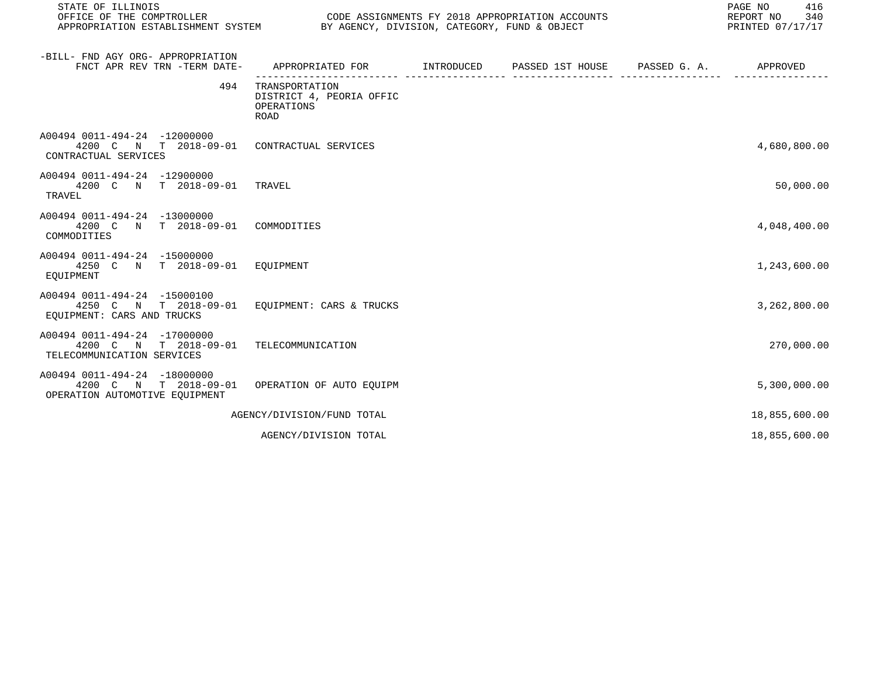| STATE OF ILLINOIS<br>OFFICE OF THE COMPTROLLER                                          | CODE ASSIGNMENTS FY 2018 APPROPRIATION ACCOUNTS<br>APPROPRIATION ESTABLISHMENT SYSTEM BY AGENCY, DIVISION, CATEGORY, FUND & OBJECT |  |  | PAGE NO<br>416<br>REPORT NO<br>340<br>PRINTED 07/17/17 |  |  |
|-----------------------------------------------------------------------------------------|------------------------------------------------------------------------------------------------------------------------------------|--|--|--------------------------------------------------------|--|--|
| -BILL- FND AGY ORG- APPROPRIATION<br>FNCT APR REV TRN -TERM DATE-                       | APPROPRIATED FOR        INTRODUCED     PASSED 1ST HOUSE     PASSED G. A.         APPROVED                                          |  |  |                                                        |  |  |
| 494                                                                                     | TRANSPORTATION<br>DISTRICT 4, PEORIA OFFIC<br>OPERATIONS<br><b>ROAD</b>                                                            |  |  |                                                        |  |  |
| A00494 0011-494-24 -12000000<br>4200 C N T 2018-09-01<br>CONTRACTUAL SERVICES           | CONTRACTUAL SERVICES                                                                                                               |  |  | 4,680,800.00                                           |  |  |
| A00494 0011-494-24 -12900000<br>4200 C N T 2018-09-01 TRAVEL<br>TRAVEL                  |                                                                                                                                    |  |  | 50,000.00                                              |  |  |
| A00494 0011-494-24 -13000000<br>4200 C N T 2018-09-01<br>COMMODITIES                    | COMMODITIES                                                                                                                        |  |  | 4,048,400.00                                           |  |  |
| A00494 0011-494-24 -15000000<br>4250 C N T 2018-09-01 EQUIPMENT<br>EOUIPMENT            |                                                                                                                                    |  |  | 1,243,600.00                                           |  |  |
| A00494 0011-494-24 -15000100<br>4250 C N T 2018-09-01<br>EQUIPMENT: CARS AND TRUCKS     | EOUIPMENT: CARS & TRUCKS                                                                                                           |  |  | 3,262,800.00                                           |  |  |
| A00494 0011-494-24 -17000000<br>4200 C N T 2018-09-01<br>TELECOMMUNICATION SERVICES     | TELECOMMUNICATION                                                                                                                  |  |  | 270,000.00                                             |  |  |
| A00494 0011-494-24 -18000000<br>4200 C N T 2018-09-01<br>OPERATION AUTOMOTIVE EQUIPMENT | OPERATION OF AUTO EOUIPM                                                                                                           |  |  | 5,300,000.00                                           |  |  |
|                                                                                         | AGENCY/DIVISION/FUND TOTAL                                                                                                         |  |  | 18,855,600.00                                          |  |  |
|                                                                                         | AGENCY/DIVISION TOTAL                                                                                                              |  |  | 18,855,600.00                                          |  |  |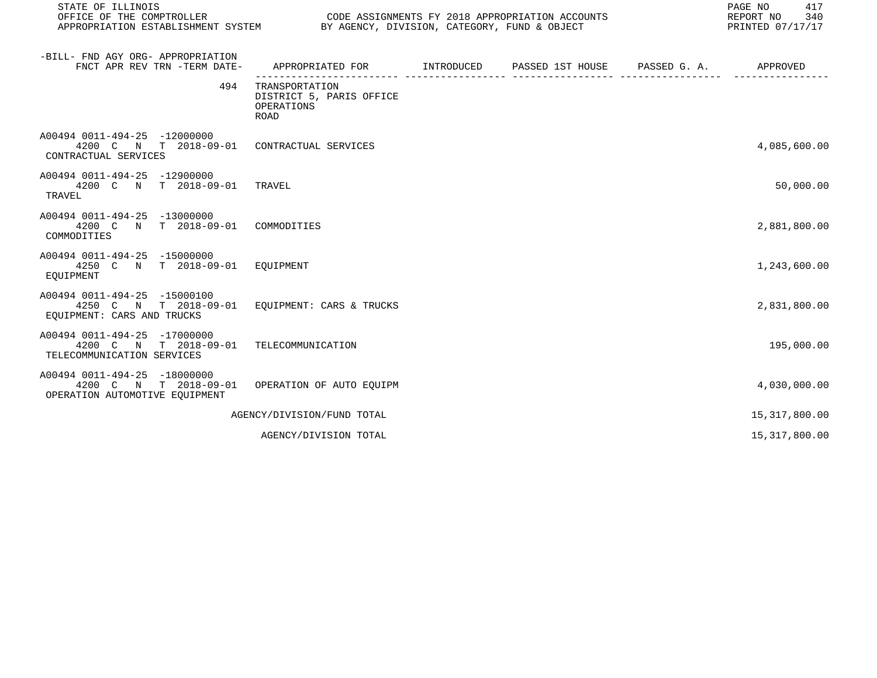| STATE OF ILLINOIS<br>OFFICE OF THE COMPTROLLER                                          | CODE ASSIGNMENTS FY 2018 APPROPRIATION ACCOUNTS<br>APPROPRIATION ESTABLISHMENT SYSTEM BY AGENCY, DIVISION, CATEGORY, FUND & OBJECT |  |  | PAGE NO<br>417<br>REPORT NO<br>340<br>PRINTED 07/17/17 |  |  |
|-----------------------------------------------------------------------------------------|------------------------------------------------------------------------------------------------------------------------------------|--|--|--------------------------------------------------------|--|--|
| -BILL- FND AGY ORG- APPROPRIATION<br>FNCT APR REV TRN -TERM DATE-                       | APPROPRIATED FOR        INTRODUCED     PASSED 1ST HOUSE     PASSED G. A.         APPROVED                                          |  |  |                                                        |  |  |
| 494                                                                                     | TRANSPORTATION<br>DISTRICT 5, PARIS OFFICE<br>OPERATIONS<br><b>ROAD</b>                                                            |  |  |                                                        |  |  |
| A00494 0011-494-25 -12000000<br>4200 C N T 2018-09-01<br>CONTRACTUAL SERVICES           | CONTRACTUAL SERVICES                                                                                                               |  |  | 4,085,600.00                                           |  |  |
| A00494 0011-494-25 -12900000<br>4200 C N T 2018-09-01 TRAVEL<br>TRAVEL                  |                                                                                                                                    |  |  | 50,000.00                                              |  |  |
| A00494 0011-494-25 -13000000<br>4200 C N T 2018-09-01<br>COMMODITIES                    | COMMODITIES                                                                                                                        |  |  | 2,881,800.00                                           |  |  |
| A00494 0011-494-25 -15000000<br>4250 C N T 2018-09-01 EQUIPMENT<br>EOUIPMENT            |                                                                                                                                    |  |  | 1,243,600.00                                           |  |  |
| A00494 0011-494-25 -15000100<br>4250 C N T 2018-09-01<br>EQUIPMENT: CARS AND TRUCKS     | EOUIPMENT: CARS & TRUCKS                                                                                                           |  |  | 2,831,800.00                                           |  |  |
| A00494 0011-494-25 -17000000<br>4200 C N T 2018-09-01<br>TELECOMMUNICATION SERVICES     | TELECOMMUNICATION                                                                                                                  |  |  | 195,000.00                                             |  |  |
| A00494 0011-494-25 -18000000<br>4200 C N T 2018-09-01<br>OPERATION AUTOMOTIVE EQUIPMENT | OPERATION OF AUTO EOUIPM                                                                                                           |  |  | 4,030,000.00                                           |  |  |
|                                                                                         | AGENCY/DIVISION/FUND TOTAL                                                                                                         |  |  | 15,317,800.00                                          |  |  |
|                                                                                         | AGENCY/DIVISION TOTAL                                                                                                              |  |  | 15,317,800.00                                          |  |  |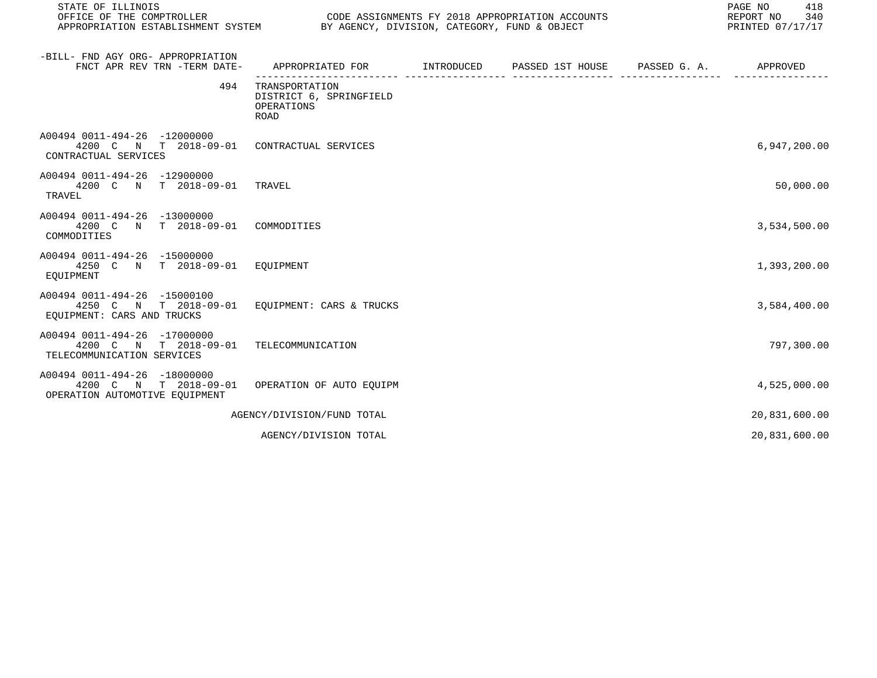| STATE OF ILLINOIS<br>OFFICE OF THE COMPTROLLER<br>CODE ASSIGNMENTS FY 2018 APPROPRIATION ACCOUNTS<br>APPROPRIATION ESTABLISHMENT SYSTEM BY AGENCY, DIVISION, CATEGORY, FUND & OBJECT |                                                                                           |  |  | PAGE NO<br>418<br>340<br>REPORT NO<br>PRINTED 07/17/17 |
|--------------------------------------------------------------------------------------------------------------------------------------------------------------------------------------|-------------------------------------------------------------------------------------------|--|--|--------------------------------------------------------|
| -BILL- FND AGY ORG- APPROPRIATION<br>FNCT APR REV TRN -TERM DATE-                                                                                                                    | APPROPRIATED FOR        INTRODUCED     PASSED 1ST HOUSE     PASSED G. A.         APPROVED |  |  |                                                        |
| 494                                                                                                                                                                                  | TRANSPORTATION<br>DISTRICT 6, SPRINGFIELD<br>OPERATIONS<br><b>ROAD</b>                    |  |  |                                                        |
| A00494 0011-494-26 -12000000<br>4200 C N T 2018-09-01 CONTRACTUAL SERVICES<br>CONTRACTUAL SERVICES                                                                                   |                                                                                           |  |  | 6,947,200.00                                           |
| A00494 0011-494-26 -12900000<br>4200 C N T 2018-09-01 TRAVEL<br>TRAVEL                                                                                                               |                                                                                           |  |  | 50,000.00                                              |
| A00494 0011-494-26 -13000000<br>4200 C N T 2018-09-01<br>COMMODITIES                                                                                                                 | COMMODITIES                                                                               |  |  | 3,534,500.00                                           |
| A00494 0011-494-26 -15000000<br>4250 C N T 2018-09-01 EOUIPMENT<br>EOUIPMENT                                                                                                         |                                                                                           |  |  | 1,393,200.00                                           |
| A00494 0011-494-26 -15000100<br>4250 C N T 2018-09-01<br>EOUIPMENT: CARS AND TRUCKS                                                                                                  | EQUIPMENT: CARS & TRUCKS                                                                  |  |  | 3,584,400.00                                           |
| A00494 0011-494-26 -17000000<br>4200 C N T 2018-09-01<br>TELECOMMUNICATION SERVICES                                                                                                  | TELECOMMUNICATION                                                                         |  |  | 797,300.00                                             |
| A00494 0011-494-26 -18000000<br>4200 C N T 2018-09-01<br>OPERATION AUTOMOTIVE EOUIPMENT                                                                                              | OPERATION OF AUTO EOUIPM                                                                  |  |  | 4,525,000.00                                           |
|                                                                                                                                                                                      | AGENCY/DIVISION/FUND TOTAL                                                                |  |  | 20,831,600.00                                          |
|                                                                                                                                                                                      | AGENCY/DIVISION TOTAL                                                                     |  |  | 20,831,600.00                                          |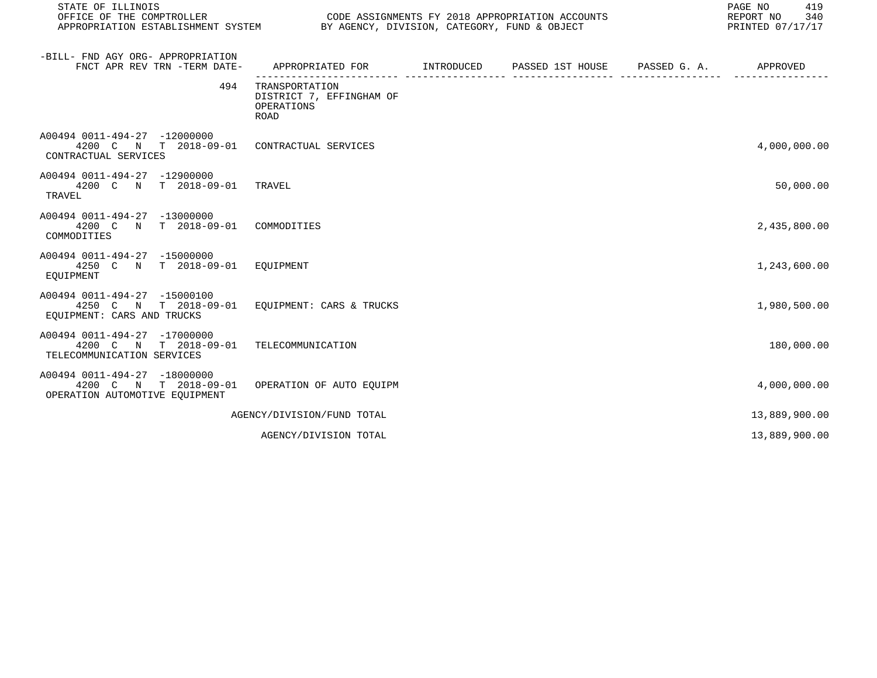| STATE OF ILLINOIS<br>OFFICE OF THE COMPTROLLER<br>APPROPRIATION ESTABLISHMENT SYSTEM BY AGENCY, DIVISION, CATEGORY, FUND & OBJECT |                                                                                          | CODE ASSIGNMENTS FY 2018 APPROPRIATION ACCOUNTS | PAGE NO<br>419<br>REPORT NO<br>340<br>PRINTED 07/17/17 |
|-----------------------------------------------------------------------------------------------------------------------------------|------------------------------------------------------------------------------------------|-------------------------------------------------|--------------------------------------------------------|
| -BILL- FND AGY ORG- APPROPRIATION<br>FNCT APR REV TRN -TERM DATE-                                                                 | APPROPRIATED FOR        INTRODUCED     PASSED 1ST HOUSE     PASSED G. A.        APPROVED |                                                 |                                                        |
| 494                                                                                                                               | TRANSPORTATION<br>DISTRICT 7, EFFINGHAM OF<br>OPERATIONS<br><b>ROAD</b>                  |                                                 |                                                        |
| A00494 0011-494-27 -12000000<br>4200 C N T 2018-09-01<br>CONTRACTUAL SERVICES                                                     | CONTRACTUAL SERVICES                                                                     |                                                 | 4,000,000.00                                           |
| A00494 0011-494-27 -12900000<br>4200 C N T 2018-09-01<br>TRAVEL                                                                   | TRAVEL                                                                                   |                                                 | 50,000.00                                              |
| A00494 0011-494-27 -13000000<br>4200 C N T 2018-09-01<br>COMMODITIES                                                              | COMMODITIES                                                                              |                                                 | 2,435,800.00                                           |
| A00494 0011-494-27 -15000000<br>4250 C N T 2018-09-01 EQUIPMENT<br>EOUIPMENT                                                      |                                                                                          |                                                 | 1,243,600.00                                           |
| A00494 0011-494-27 -15000100<br>4250 C N T 2018-09-01<br>EQUIPMENT: CARS AND TRUCKS                                               | EOUIPMENT: CARS & TRUCKS                                                                 |                                                 | 1,980,500.00                                           |
| A00494 0011-494-27 -17000000<br>4200 C N T 2018-09-01<br>TELECOMMUNICATION SERVICES                                               | TELECOMMUNICATION                                                                        |                                                 | 180,000.00                                             |
| A00494 0011-494-27 -18000000<br>4200 C N T 2018-09-01<br>OPERATION AUTOMOTIVE EOUIPMENT                                           | OPERATION OF AUTO EOUIPM                                                                 |                                                 | 4,000,000.00                                           |
|                                                                                                                                   | AGENCY/DIVISION/FUND TOTAL                                                               |                                                 | 13,889,900.00                                          |
|                                                                                                                                   | AGENCY/DIVISION TOTAL                                                                    |                                                 | 13,889,900.00                                          |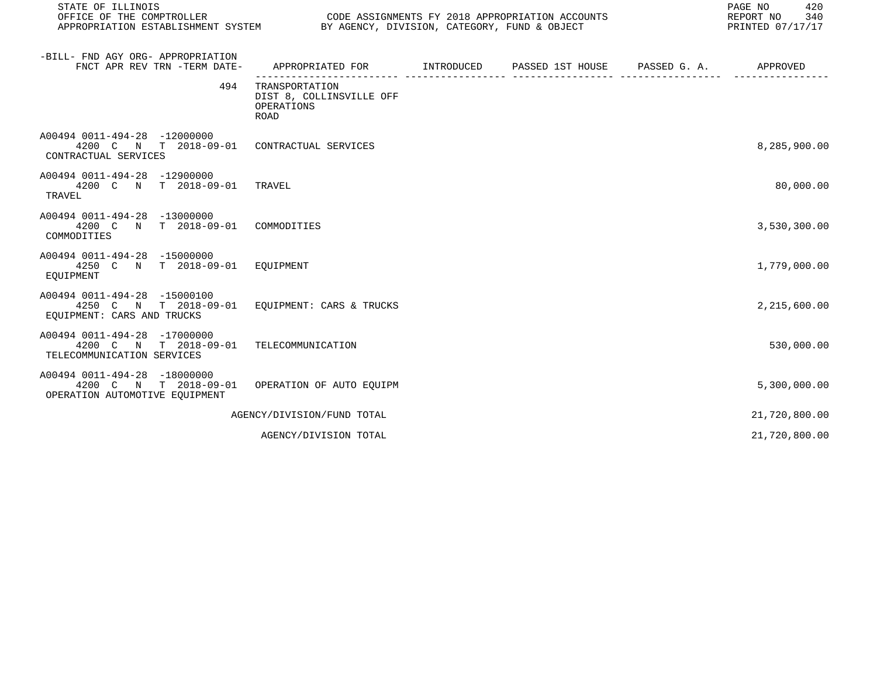| STATE OF ILLINOIS<br>OFFICE OF THE COMPTROLLER                                          | CODE ASSIGNMENTS FY 2018 APPROPRIATION ACCOUNTS<br>APPROPRIATION ESTABLISHMENT SYSTEM BY AGENCY, DIVISION, CATEGORY, FUND & OBJECT |  |  |  | PAGE NO<br>420<br>REPORT NO<br>340<br>PRINTED 07/17/17 |  |  |
|-----------------------------------------------------------------------------------------|------------------------------------------------------------------------------------------------------------------------------------|--|--|--|--------------------------------------------------------|--|--|
| -BILL- FND AGY ORG- APPROPRIATION<br>FNCT APR REV TRN -TERM DATE-                       | APPROPRIATED FOR        INTRODUCED     PASSED 1ST HOUSE     PASSED G. A.         APPROVED                                          |  |  |  |                                                        |  |  |
| 494                                                                                     | TRANSPORTATION<br>DIST 8, COLLINSVILLE OFF<br>OPERATIONS<br>ROAD                                                                   |  |  |  |                                                        |  |  |
| A00494 0011-494-28 -12000000<br>4200 C N T 2018-09-01<br>CONTRACTUAL SERVICES           | CONTRACTUAL SERVICES                                                                                                               |  |  |  | 8,285,900.00                                           |  |  |
| A00494 0011-494-28 -12900000<br>4200 C N T 2018-09-01<br>TRAVEL                         | TRAVEL                                                                                                                             |  |  |  | 80,000.00                                              |  |  |
| A00494 0011-494-28 -13000000<br>4200 C N T 2018-09-01<br>COMMODITIES                    | COMMODITIES                                                                                                                        |  |  |  | 3,530,300.00                                           |  |  |
| A00494 0011-494-28 -15000000<br>4250 C N T 2018-09-01 EQUIPMENT<br>EOUIPMENT            |                                                                                                                                    |  |  |  | 1,779,000.00                                           |  |  |
| A00494 0011-494-28 -15000100<br>4250 C N T 2018-09-01<br>EQUIPMENT: CARS AND TRUCKS     | EQUIPMENT: CARS & TRUCKS                                                                                                           |  |  |  | 2,215,600.00                                           |  |  |
| A00494 0011-494-28 -17000000<br>4200 C N T 2018-09-01<br>TELECOMMUNICATION SERVICES     | TELECOMMUNICATION                                                                                                                  |  |  |  | 530,000.00                                             |  |  |
| A00494 0011-494-28 -18000000<br>4200 C N T 2018-09-01<br>OPERATION AUTOMOTIVE EQUIPMENT | OPERATION OF AUTO EOUIPM                                                                                                           |  |  |  | 5,300,000.00                                           |  |  |
|                                                                                         | AGENCY/DIVISION/FUND TOTAL                                                                                                         |  |  |  | 21,720,800.00                                          |  |  |
|                                                                                         | AGENCY/DIVISION TOTAL                                                                                                              |  |  |  | 21,720,800.00                                          |  |  |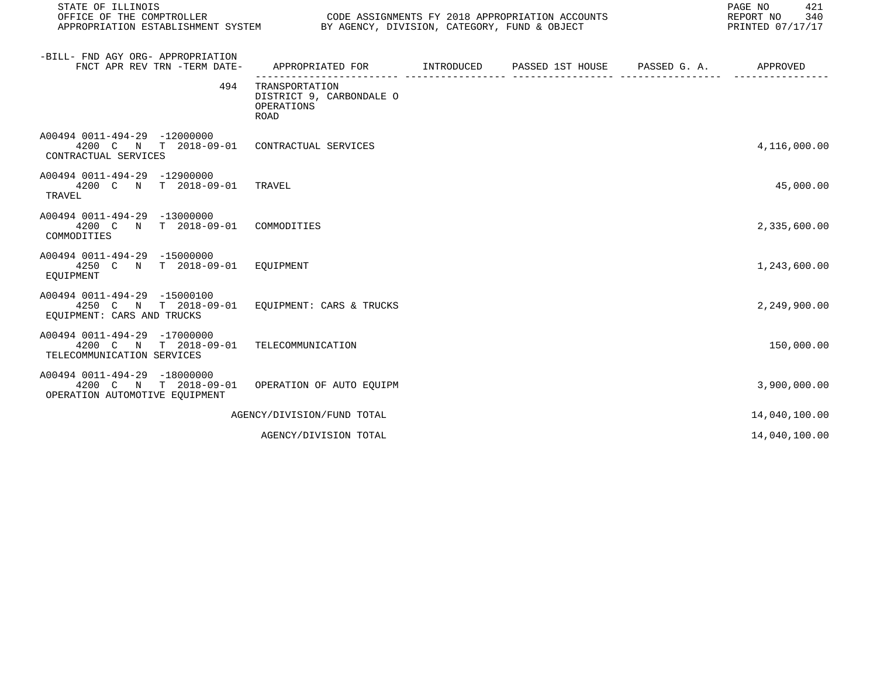| STATE OF ILLINOIS<br>OFFICE OF THE COMPTROLLER                                                     |                                                                                          | CODE ASSIGNMENTS FY 2018 APPROPRIATION ACCOUNTS<br>APPROPRIATION ESTABLISHMENT SYSTEM BY AGENCY, DIVISION, CATEGORY, FUND & OBJECT |  |  |               |  |
|----------------------------------------------------------------------------------------------------|------------------------------------------------------------------------------------------|------------------------------------------------------------------------------------------------------------------------------------|--|--|---------------|--|
| -BILL- FND AGY ORG- APPROPRIATION<br>FNCT APR REV TRN -TERM DATE-                                  | APPROPRIATED FOR       INTRODUCED     PASSED 1ST HOUSE     PASSED G. A.         APPROVED |                                                                                                                                    |  |  |               |  |
| 494                                                                                                | TRANSPORTATION<br>DISTRICT 9, CARBONDALE O<br>OPERATIONS<br><b>ROAD</b>                  |                                                                                                                                    |  |  |               |  |
| A00494 0011-494-29 -12000000<br>4200 C N T 2018-09-01 CONTRACTUAL SERVICES<br>CONTRACTUAL SERVICES |                                                                                          |                                                                                                                                    |  |  | 4,116,000.00  |  |
| A00494 0011-494-29 -12900000<br>4200 C N T 2018-09-01<br>TRAVEL                                    | TRAVEL                                                                                   |                                                                                                                                    |  |  | 45,000.00     |  |
| A00494 0011-494-29 -13000000<br>4200 C N T 2018-09-01<br>COMMODITIES                               | COMMODITIES                                                                              |                                                                                                                                    |  |  | 2,335,600.00  |  |
| A00494 0011-494-29 -15000000<br>4250 C N T 2018-09-01 EOUIPMENT<br>EOUIPMENT                       |                                                                                          |                                                                                                                                    |  |  | 1,243,600.00  |  |
| A00494 0011-494-29 -15000100<br>4250 C N T 2018-09-01<br>EOUIPMENT: CARS AND TRUCKS                | EOUIPMENT: CARS & TRUCKS                                                                 |                                                                                                                                    |  |  | 2,249,900.00  |  |
| A00494 0011-494-29 -17000000<br>4200 C N T 2018-09-01<br>TELECOMMUNICATION SERVICES                | TELECOMMUNICATION                                                                        |                                                                                                                                    |  |  | 150,000.00    |  |
| A00494 0011-494-29 -18000000<br>4200 C N T 2018-09-01<br>OPERATION AUTOMOTIVE EQUIPMENT            | OPERATION OF AUTO EOUIPM                                                                 |                                                                                                                                    |  |  | 3,900,000.00  |  |
|                                                                                                    | AGENCY/DIVISION/FUND TOTAL                                                               |                                                                                                                                    |  |  | 14,040,100.00 |  |
|                                                                                                    | AGENCY/DIVISION TOTAL                                                                    |                                                                                                                                    |  |  | 14,040,100.00 |  |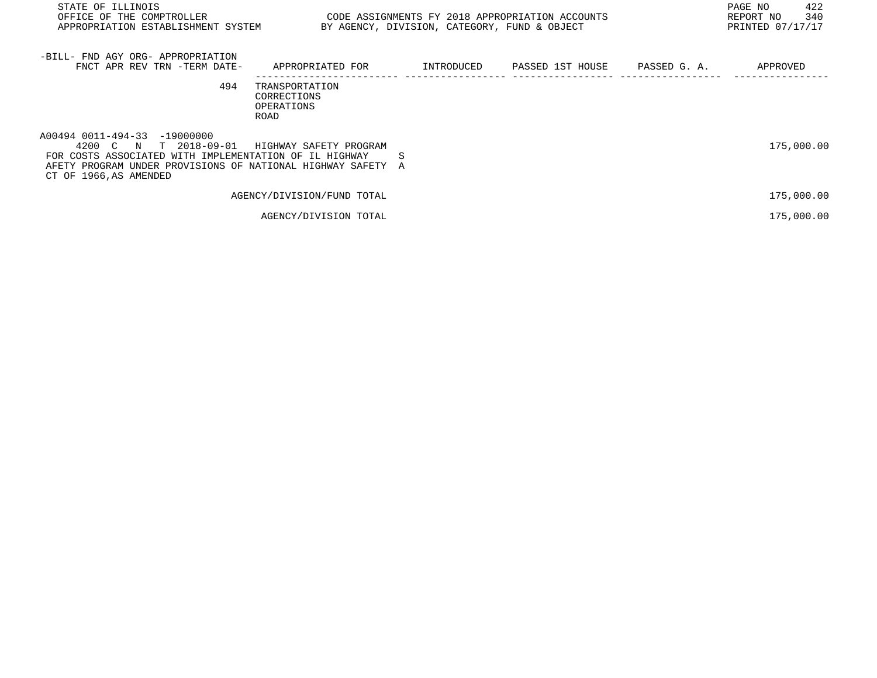| STATE OF ILLINOIS<br>OFFICE OF THE COMPTROLLER<br>APPROPRIATION ESTABLISHMENT SYSTEM                                                                                                                      |                                                     | BY AGENCY, DIVISION, CATEGORY, FUND & OBJECT | CODE ASSIGNMENTS FY 2018 APPROPRIATION ACCOUNTS | 422<br>PAGE NO<br>340<br>REPORT NO<br>PRINTED 07/17/17 |
|-----------------------------------------------------------------------------------------------------------------------------------------------------------------------------------------------------------|-----------------------------------------------------|----------------------------------------------|-------------------------------------------------|--------------------------------------------------------|
| -BILL- FND AGY ORG- APPROPRIATION<br>FNCT APR REV TRN -TERM DATE-                                                                                                                                         | APPROPRIATED FOR                                    | INTRODUCED                                   | PASSED 1ST HOUSE PASSED G. A.                   | APPROVED                                               |
| 494                                                                                                                                                                                                       | TRANSPORTATION<br>CORRECTIONS<br>OPERATIONS<br>ROAD |                                              |                                                 |                                                        |
| A00494 0011-494-33 -19000000<br>T 2018-09-01<br>4200 C N<br>FOR COSTS ASSOCIATED WITH IMPLEMENTATION OF IL HIGHWAY<br>AFETY PROGRAM UNDER PROVISIONS OF NATIONAL HIGHWAY SAFETY<br>CT OF 1966, AS AMENDED | HIGHWAY SAFETY PROGRAM                              | S<br>A                                       |                                                 | 175,000.00                                             |
|                                                                                                                                                                                                           | AGENCY/DIVISION/FUND TOTAL                          |                                              |                                                 | 175,000.00                                             |
|                                                                                                                                                                                                           | AGENCY/DIVISION TOTAL                               |                                              |                                                 | 175,000.00                                             |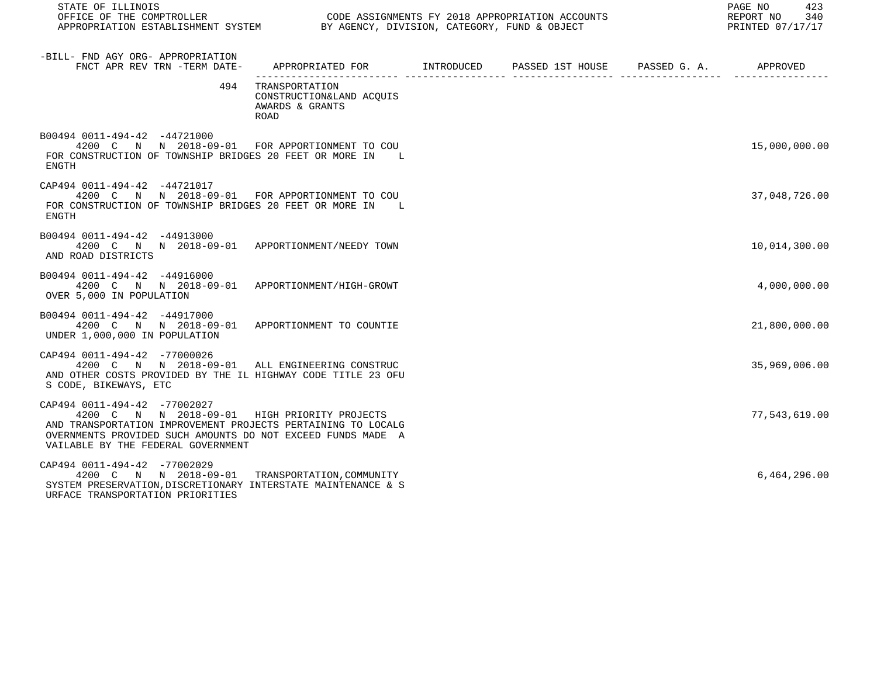| STATE OF ILLINOIS<br>OFFICE OF THE COMPTROLLER<br>APPROPRIATION ESTABLISHMENT SYSTEM BY AGENCY, DIVISION, CATEGORY, FUND & OBJECT                                                                                                                 |                                                                           |  | PAGE NO 423<br>REPORT NO 340<br>PRINTED 07/17/17 |
|---------------------------------------------------------------------------------------------------------------------------------------------------------------------------------------------------------------------------------------------------|---------------------------------------------------------------------------|--|--------------------------------------------------|
| -BILL- FND AGY ORG- APPROPRIATION<br>FNCT APR REV TRN -TERM DATE- APPROPRIATED FOR INTRODUCED PASSED 1ST HOUSE PASSED G. A. APPROVED                                                                                                              |                                                                           |  |                                                  |
|                                                                                                                                                                                                                                                   | 494 TRANSPORTATION<br>CONSTRUCTION&LAND ACQUIS<br>AWARDS & GRANTS<br>ROAD |  |                                                  |
| B00494 0011-494-42 -44721000<br>4200 C N N 2018-09-01 FOR APPORTIONMENT TO COU<br>FOR CONSTRUCTION OF TOWNSHIP BRIDGES 20 FEET OR MORE IN L<br>ENGTH                                                                                              |                                                                           |  | 15,000,000.00                                    |
| CAP494 0011-494-42 -44721017<br>4200 C N N 2018-09-01 FOR APPORTIONMENT TO COU<br>FOR CONSTRUCTION OF TOWNSHIP BRIDGES 20 FEET OR MORE IN L<br>ENGTH                                                                                              |                                                                           |  | 37,048,726.00                                    |
| B00494 0011-494-42 -44913000<br>4200 C N N 2018-09-01 APPORTIONMENT/NEEDY TOWN<br>AND ROAD DISTRICTS                                                                                                                                              |                                                                           |  | 10,014,300.00                                    |
| B00494 0011-494-42 -44916000<br>4200 C N N 2018-09-01 APPORTIONMENT/HIGH-GROWT<br>OVER 5,000 IN POPULATION                                                                                                                                        |                                                                           |  | 4,000,000.00                                     |
| B00494 0011-494-42 -44917000<br>4200 C N N 2018-09-01 APPORTIONMENT TO COUNTIE<br>UNDER 1,000,000 IN POPULATION                                                                                                                                   |                                                                           |  | 21,800,000.00                                    |
| CAP494 0011-494-42 -77000026<br>4200 C N N 2018-09-01 ALL ENGINEERING CONSTRUC<br>AND OTHER COSTS PROVIDED BY THE IL HIGHWAY CODE TITLE 23 OFU<br>S CODE, BIKEWAYS, ETC                                                                           |                                                                           |  | 35,969,006.00                                    |
| CAP494 0011-494-42 -77002027<br>4200 C N N 2018-09-01 HIGH PRIORITY PROJECTS<br>AND TRANSPORTATION IMPROVEMENT PROJECTS PERTAINING TO LOCALG<br>OVERNMENTS PROVIDED SUCH AMOUNTS DO NOT EXCEED FUNDS MADE A<br>VAILABLE BY THE FEDERAL GOVERNMENT |                                                                           |  | 77,543,619.00                                    |
| CAP494 0011-494-42 -77002029<br>4200 C N N 2018-09-01 TRANSPORTATION, COMMUNITY<br>SYSTEM PRESERVATION, DISCRETIONARY INTERSTATE MAINTENANCE & S<br>URFACE TRANSPORTATION PRIORITIES                                                              |                                                                           |  | 6,464,296.00                                     |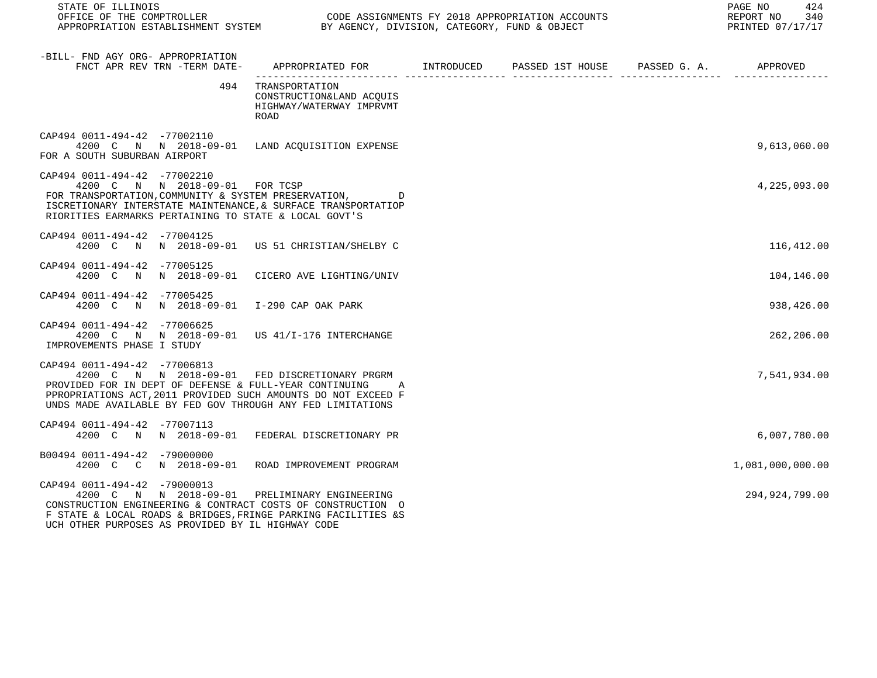| STATE OF ILLINOIS                                                                                                                                                                                                                                                        |                                                                                           |  | 424<br>PAGE NO<br>REPORT NO 340<br>PRINTED 07/17/17 |
|--------------------------------------------------------------------------------------------------------------------------------------------------------------------------------------------------------------------------------------------------------------------------|-------------------------------------------------------------------------------------------|--|-----------------------------------------------------|
| -BILL- FND AGY ORG- APPROPRIATION<br>FNCT APR REV TRN -TERM DATE- APPROPRIATED FOR MINTRODUCED PASSED 1ST HOUSE PASSED G. A. APPROVED                                                                                                                                    |                                                                                           |  |                                                     |
|                                                                                                                                                                                                                                                                          | 494 TRANSPORTATION<br>CONSTRUCTION&LAND ACOUIS<br>HIGHWAY/WATERWAY IMPRVMT<br><b>ROAD</b> |  |                                                     |
| CAP494 0011-494-42 -77002110<br>4200 C N N 2018-09-01 LAND ACQUISITION EXPENSE<br>FOR A SOUTH SUBURBAN AIRPORT                                                                                                                                                           |                                                                                           |  | 9,613,060.00                                        |
| CAP494 0011-494-42 -77002210<br>4200 C N N 2018-09-01 FOR TCSP<br>FOR TRANSPORTATION, COMMUNITY & SYSTEM PRESERVATION,<br>ISCRETIONARY INTERSTATE MAINTENANCE, & SURFACE TRANSPORTATIOP<br>RIORITIES EARMARKS PERTAINING TO STATE & LOCAL GOVT'S                         |                                                                                           |  | 4,225,093.00                                        |
| CAP494 0011-494-42 -77004125<br>4200 C N N 2018-09-01 US 51 CHRISTIAN/SHELBY C                                                                                                                                                                                           |                                                                                           |  | 116,412.00                                          |
| CAP494 0011-494-42 -77005125<br>4200 C N N 2018-09-01 CICERO AVE LIGHTING/UNIV                                                                                                                                                                                           |                                                                                           |  | 104,146.00                                          |
| CAP494 0011-494-42 -77005425<br>4200 C N N 2018-09-01 I-290 CAP OAK PARK                                                                                                                                                                                                 |                                                                                           |  | 938,426.00                                          |
| CAP494 0011-494-42 -77006625<br>4200 C N N 2018-09-01 US 41/I-176 INTERCHANGE<br>IMPROVEMENTS PHASE I STUDY                                                                                                                                                              |                                                                                           |  | 262,206.00                                          |
| CAP494 0011-494-42 -77006813<br>4200 C N N 2018-09-01 FED DISCRETIONARY PRGRM<br>PROVIDED FOR IN DEPT OF DEFENSE & FULL-YEAR CONTINUING A<br>PPROPRIATIONS ACT, 2011 PROVIDED SUCH AMOUNTS DO NOT EXCEED F<br>UNDS MADE AVAILABLE BY FED GOV THROUGH ANY FED LIMITATIONS |                                                                                           |  | 7,541,934.00                                        |
| CAP494 0011-494-42 -77007113<br>4200 C N N 2018-09-01 FEDERAL DISCRETIONARY PR                                                                                                                                                                                           |                                                                                           |  | 6,007,780.00                                        |
| B00494 0011-494-42 -79000000<br>4200 C C N 2018-09-01 ROAD IMPROVEMENT PROGRAM                                                                                                                                                                                           |                                                                                           |  | 1,081,000,000.00                                    |
| CAP494 0011-494-42 -79000013<br>4200 C N N 2018-09-01 PRELIMINARY ENGINEERING<br>CONSTRUCTION ENGINEERING & CONTRACT COSTS OF CONSTRUCTION O<br>F STATE & LOCAL ROADS & BRIDGES, FRINGE PARKING FACILITIES &S<br>UCH OTHER PURPOSES AS PROVIDED BY IL HIGHWAY CODE       |                                                                                           |  | 294, 924, 799.00                                    |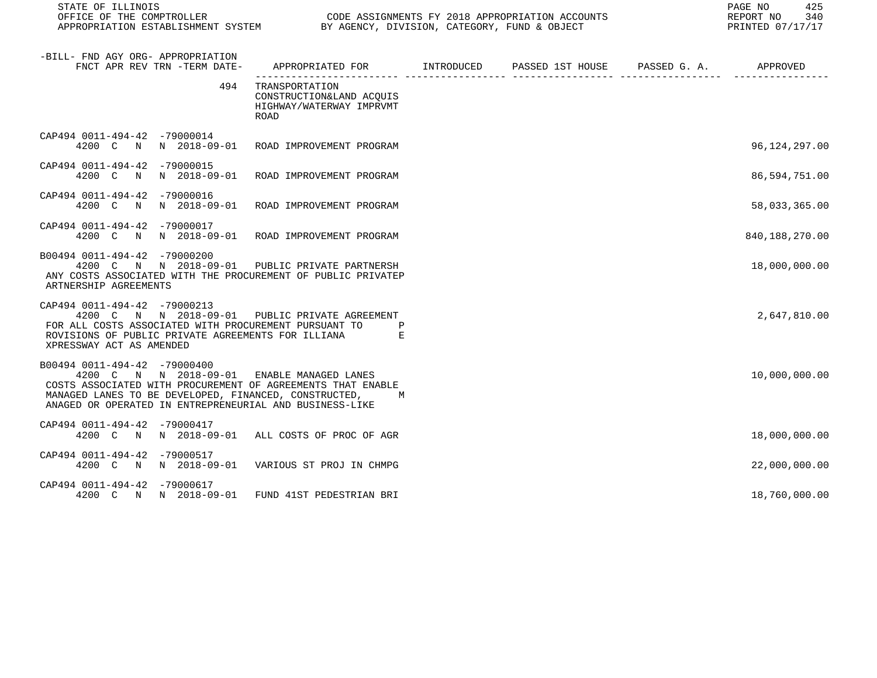| STATE OF ILLINOIS                                                                                                                                                                                                                                             |                                                                                           |  | 425<br>PAGE NO<br>REPORT NO<br>340<br>PRINTED 07/17/17 |
|---------------------------------------------------------------------------------------------------------------------------------------------------------------------------------------------------------------------------------------------------------------|-------------------------------------------------------------------------------------------|--|--------------------------------------------------------|
| -BILL- FND AGY ORG- APPROPRIATION<br>FNCT APR REV TRN -TERM DATE-                                                                                                                                                                                             | APPROPRIATED FOR        INTRODUCED     PASSED 1ST HOUSE     PASSED G. A.         APPROVED |  |                                                        |
| 494                                                                                                                                                                                                                                                           | TRANSPORTATION<br>CONSTRUCTION&LAND ACQUIS<br>HIGHWAY/WATERWAY IMPRVMT<br>ROAD            |  |                                                        |
| CAP494 0011-494-42 -79000014<br>4200 C N N 2018-09-01                                                                                                                                                                                                         | ROAD IMPROVEMENT PROGRAM                                                                  |  | 96,124,297.00                                          |
| CAP494 0011-494-42 -79000015<br>4200 C N N 2018-09-01                                                                                                                                                                                                         | ROAD IMPROVEMENT PROGRAM                                                                  |  | 86,594,751.00                                          |
| CAP494 0011-494-42 -79000016<br>4200 C N N 2018-09-01                                                                                                                                                                                                         | ROAD IMPROVEMENT PROGRAM                                                                  |  | 58,033,365.00                                          |
| CAP494 0011-494-42 -79000017<br>4200 C                                                                                                                                                                                                                        | N N 2018-09-01 ROAD IMPROVEMENT PROGRAM                                                   |  | 840,188,270.00                                         |
| B00494 0011-494-42 -79000200<br>4200 C N N 2018-09-01 PUBLIC PRIVATE PARTNERSH<br>ANY COSTS ASSOCIATED WITH THE PROCUREMENT OF PUBLIC PRIVATEP<br>ARTNERSHIP AGREEMENTS                                                                                       |                                                                                           |  | 18,000,000.00                                          |
| CAP494 0011-494-42 -79000213<br>4200 C N N 2018-09-01 PUBLIC PRIVATE AGREEMENT<br>FOR ALL COSTS ASSOCIATED WITH PROCUREMENT PURSUANT TO<br>ROVISIONS OF PUBLIC PRIVATE AGREEMENTS FOR ILLIANA<br>XPRESSWAY ACT AS AMENDED                                     | $\mathbf{P}$<br>E                                                                         |  | 2,647,810.00                                           |
| B00494 0011-494-42 -79000400<br>4200 C N N 2018-09-01 ENABLE MANAGED LANES<br>COSTS ASSOCIATED WITH PROCUREMENT OF AGREEMENTS THAT ENABLE<br>MANAGED LANES TO BE DEVELOPED, FINANCED, CONSTRUCTED,<br>ANAGED OR OPERATED IN ENTREPRENEURIAL AND BUSINESS-LIKE | M                                                                                         |  | 10,000,000.00                                          |
| CAP494 0011-494-42 -79000417<br>4200 C N N 2018-09-01 ALL COSTS OF PROC OF AGR                                                                                                                                                                                |                                                                                           |  | 18,000,000.00                                          |
| CAP494 0011-494-42 -79000517<br>4200 C N N 2018-09-01                                                                                                                                                                                                         | VARIOUS ST PROJ IN CHMPG                                                                  |  | 22,000,000.00                                          |
| CAP494 0011-494-42 -79000617<br>4200 C N N 2018-09-01                                                                                                                                                                                                         | FUND 41ST PEDESTRIAN BRI                                                                  |  | 18,760,000.00                                          |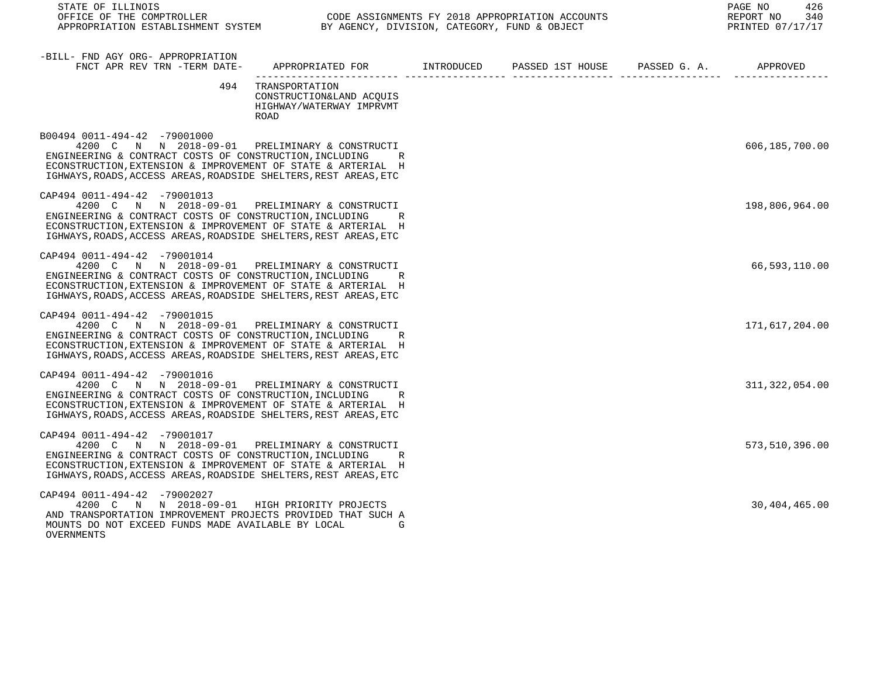| STATE OF ILLINOIS<br>OFFICE OF THE COMPTROLLER<br>OFFICE OF THE COMPTROLLER<br>APPROPRIATION ESTABLISHMENT SYSTEM BY AGENCY, DIVISION, CATEGORY, FUND & OBJECT                                                                                                                |                                                                                            | CODE ASSIGNMENTS FY 2018 APPROPRIATION ACCOUNTS | PAGE NO<br>426<br>340<br>REPORT NO<br>PRINTED 07/17/17 |
|-------------------------------------------------------------------------------------------------------------------------------------------------------------------------------------------------------------------------------------------------------------------------------|--------------------------------------------------------------------------------------------|-------------------------------------------------|--------------------------------------------------------|
| -BILL- FND AGY ORG- APPROPRIATION<br>FNCT APR REV TRN -TERM DATE-                                                                                                                                                                                                             | APPROPRIATED FOR        INTRODUCED      PASSED 1ST HOUSE     PASSED G. A.         APPROVED |                                                 |                                                        |
| 494                                                                                                                                                                                                                                                                           | TRANSPORTATION<br>CONSTRUCTION&LAND ACQUIS<br>HIGHWAY/WATERWAY IMPRVMT<br>ROAD             |                                                 |                                                        |
| B00494 0011-494-42 -79001000<br>4200 C N N 2018-09-01 PRELIMINARY & CONSTRUCTI<br>ENGINEERING & CONTRACT COSTS OF CONSTRUCTION, INCLUDING<br>ECONSTRUCTION, EXTENSION & IMPROVEMENT OF STATE & ARTERIAL H<br>IGHWAYS, ROADS, ACCESS AREAS, ROADSIDE SHELTERS, REST AREAS, ETC | R                                                                                          |                                                 | 606,185,700.00                                         |
| CAP494 0011-494-42 -79001013<br>4200 C N N 2018-09-01 PRELIMINARY & CONSTRUCTI<br>ENGINEERING & CONTRACT COSTS OF CONSTRUCTION, INCLUDING<br>ECONSTRUCTION, EXTENSION & IMPROVEMENT OF STATE & ARTERIAL H<br>IGHWAYS, ROADS, ACCESS AREAS, ROADSIDE SHELTERS, REST AREAS, ETC | R                                                                                          |                                                 | 198,806,964.00                                         |
| CAP494 0011-494-42 -79001014<br>4200 C N N 2018-09-01 PRELIMINARY & CONSTRUCTI<br>ENGINEERING & CONTRACT COSTS OF CONSTRUCTION, INCLUDING<br>ECONSTRUCTION, EXTENSION & IMPROVEMENT OF STATE & ARTERIAL H<br>IGHWAYS, ROADS, ACCESS AREAS, ROADSIDE SHELTERS, REST AREAS, ETC | R                                                                                          |                                                 | 66,593,110.00                                          |
| CAP494 0011-494-42 -79001015<br>4200 C N N 2018-09-01 PRELIMINARY & CONSTRUCTI<br>ENGINEERING & CONTRACT COSTS OF CONSTRUCTION, INCLUDING<br>ECONSTRUCTION, EXTENSION & IMPROVEMENT OF STATE & ARTERIAL H<br>IGHWAYS, ROADS, ACCESS AREAS, ROADSIDE SHELTERS, REST AREAS, ETC | R                                                                                          |                                                 | 171,617,204.00                                         |
| CAP494 0011-494-42 -79001016<br>4200 C N N 2018-09-01 PRELIMINARY & CONSTRUCTI<br>ENGINEERING & CONTRACT COSTS OF CONSTRUCTION, INCLUDING<br>ECONSTRUCTION, EXTENSION & IMPROVEMENT OF STATE & ARTERIAL H<br>IGHWAYS, ROADS, ACCESS AREAS, ROADSIDE SHELTERS, REST AREAS, ETC | R                                                                                          |                                                 | 311, 322, 054.00                                       |
| CAP494 0011-494-42 -79001017<br>4200 C N N 2018-09-01 PRELIMINARY & CONSTRUCTI<br>ENGINEERING & CONTRACT COSTS OF CONSTRUCTION, INCLUDING<br>ECONSTRUCTION, EXTENSION & IMPROVEMENT OF STATE & ARTERIAL H<br>IGHWAYS, ROADS, ACCESS AREAS, ROADSIDE SHELTERS, REST AREAS, ETC | R                                                                                          |                                                 | 573,510,396.00                                         |
| CAP494 0011-494-42 -79002027<br>4200 C N N 2018-09-01 HIGH PRIORITY PROJECTS<br>AND TRANSPORTATION IMPROVEMENT PROJECTS PROVIDED THAT SUCH A<br>MOUNTS DO NOT EXCEED FUNDS MADE AVAILABLE BY LOCAL                                                                            | G                                                                                          |                                                 | 30,404,465.00                                          |

**OVERNMENTS**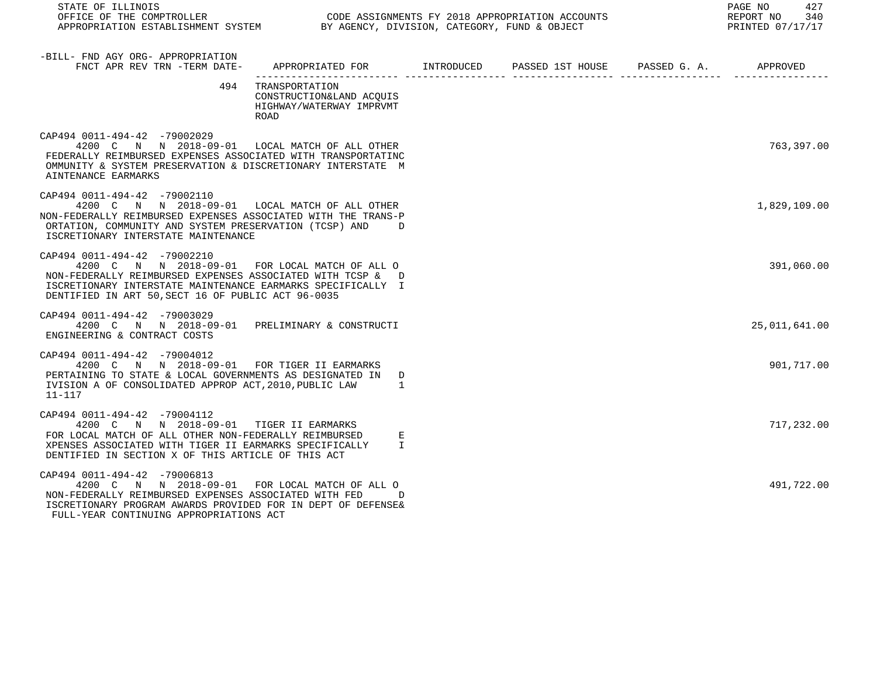| STATE OF ILLINOIS<br>OFFICE OF THE COMPTROLLER<br>APPROPRIATION ESTABLISHMENT SYSTEM BY AGENCY, DIVISION, CATEGORY, FUND & OBJECT                                                                                                                                 |                                                                                             | 427<br>PAGE NO<br>REPORT NO 340<br>PRINTED 07/17/17 |  |               |
|-------------------------------------------------------------------------------------------------------------------------------------------------------------------------------------------------------------------------------------------------------------------|---------------------------------------------------------------------------------------------|-----------------------------------------------------|--|---------------|
| -BILL- FND AGY ORG- APPROPRIATION<br>FNCT APR REV TRN -TERM DATE-                                                                                                                                                                                                 | APPROPRIATED FOR       INTRODUCED       PASSED 1ST HOUSE      PASSED G. A.         APPROVED |                                                     |  |               |
| 494                                                                                                                                                                                                                                                               | TRANSPORTATION<br>CONSTRUCTION&LAND ACQUIS<br>HIGHWAY/WATERWAY IMPRVMT<br><b>ROAD</b>       |                                                     |  |               |
| CAP494 0011-494-42 -79002029<br>4200 C N N 2018-09-01 LOCAL MATCH OF ALL OTHER<br>FEDERALLY REIMBURSED EXPENSES ASSOCIATED WITH TRANSPORTATINC<br>OMMUNITY & SYSTEM PRESERVATION & DISCRETIONARY INTERSTATE M<br>AINTENANCE EARMARKS                              |                                                                                             |                                                     |  | 763,397.00    |
| CAP494 0011-494-42 -79002110<br>4200 C N N 2018-09-01 LOCAL MATCH OF ALL OTHER<br>NON-FEDERALLY REIMBURSED EXPENSES ASSOCIATED WITH THE TRANS-P<br>ORTATION, COMMUNITY AND SYSTEM PRESERVATION (TCSP) AND D<br>ISCRETIONARY INTERSTATE MAINTENANCE                |                                                                                             |                                                     |  | 1,829,109.00  |
| CAP494 0011-494-42 -79002210<br>4200 C N N 2018-09-01 FOR LOCAL MATCH OF ALL O<br>NON-FEDERALLY REIMBURSED EXPENSES ASSOCIATED WITH TCSP & D<br>ISCRETIONARY INTERSTATE MAINTENANCE EARMARKS SPECIFICALLY I<br>DENTIFIED IN ART 50, SECT 16 OF PUBLIC ACT 96-0035 |                                                                                             |                                                     |  | 391,060.00    |
| CAP494 0011-494-42 -79003029<br>4200 C N N 2018-09-01 PRELIMINARY & CONSTRUCTI<br>ENGINEERING & CONTRACT COSTS                                                                                                                                                    |                                                                                             |                                                     |  | 25,011,641.00 |
| CAP494 0011-494-42 -79004012<br>4200 C N N 2018-09-01 FOR TIGER II EARMARKS<br>PERTAINING TO STATE & LOCAL GOVERNMENTS AS DESIGNATED IN D<br>IVISION A OF CONSOLIDATED APPROP ACT, 2010, PUBLIC LAW<br>$11 - 117$                                                 | <sup>1</sup>                                                                                |                                                     |  | 901,717.00    |
| CAP494 0011-494-42 -79004112<br>4200 C N N 2018-09-01 TIGER II EARMARKS<br>FOR LOCAL MATCH OF ALL OTHER NON-FEDERALLY REIMBURSED<br>XPENSES ASSOCIATED WITH TIGER II EARMARKS SPECIFICALLY<br>DENTIFIED IN SECTION X OF THIS ARTICLE OF THIS ACT                  | Е<br>$\mathbf{I}$                                                                           |                                                     |  | 717,232.00    |
| CAP494 0011-494-42 -79006813<br>4200 C N N 2018-09-01 FOR LOCAL MATCH OF ALL O<br>NON-FEDERALLY REIMBURSED EXPENSES ASSOCIATED WITH FED<br>ISCRETIONARY PROGRAM AWARDS PROVIDED FOR IN DEPT OF DEFENSE&<br>FULL-YEAR CONTINUING APPROPRIATIONS ACT                | $\overline{D}$                                                                              |                                                     |  | 491,722.00    |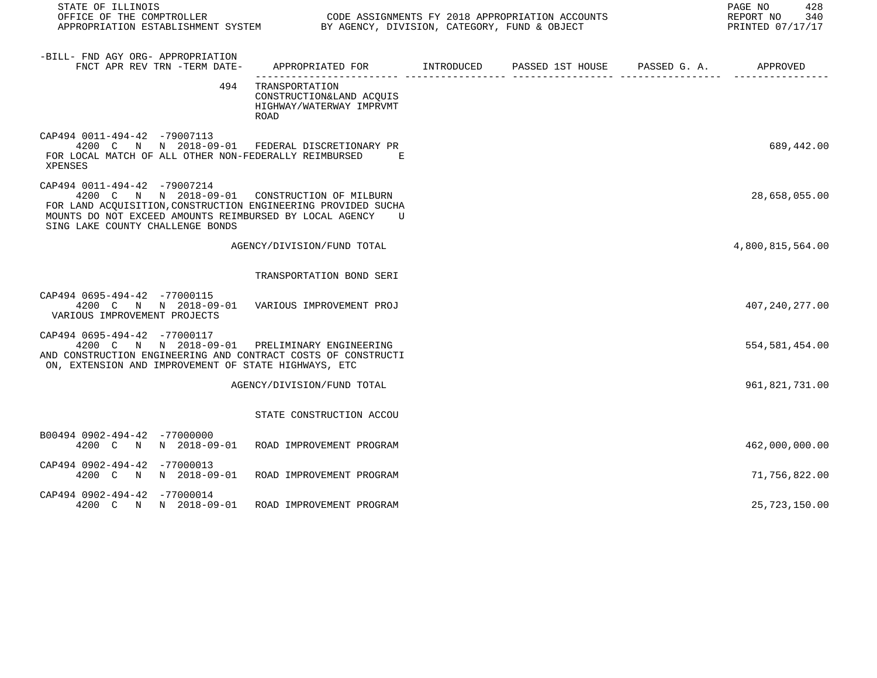| STATE OF ILLINOIS<br>OFFICE OF THE COMPTROLLER<br>OFFICE OF THE COMPTROLLER CONGRESS CODE ASSIGNMENTS FY 2018 APPROPRIATION ACCOUNTS<br>APPROPRIATION ESTABLISHMENT SYSTEM BY AGENCY, DIVISION, CATEGORY, FUND & OBJECT                         |                                                                                            |  | PAGE NO<br>428<br>340<br>REPORT NO<br>PRINTED 07/17/17 |
|-------------------------------------------------------------------------------------------------------------------------------------------------------------------------------------------------------------------------------------------------|--------------------------------------------------------------------------------------------|--|--------------------------------------------------------|
| -BILL- FND AGY ORG- APPROPRIATION<br>FNCT APR REV TRN -TERM DATE-                                                                                                                                                                               | APPROPRIATED FOR        INTRODUCED      PASSED 1ST HOUSE     PASSED G. A.         APPROVED |  |                                                        |
|                                                                                                                                                                                                                                                 | 494 TRANSPORTATION<br>CONSTRUCTION&LAND ACQUIS<br>HIGHWAY/WATERWAY IMPRVMT<br>ROAD         |  |                                                        |
| CAP494 0011-494-42 -79007113<br>4200 C N N 2018-09-01 FEDERAL DISCRETIONARY PR<br>FOR LOCAL MATCH OF ALL OTHER NON-FEDERALLY REIMBURSED E<br>XPENSES                                                                                            |                                                                                            |  | 689,442.00                                             |
| CAP494 0011-494-42 -79007214<br>4200 C N N 2018-09-01 CONSTRUCTION OF MILBURN<br>FOR LAND ACOUISITION, CONSTRUCTION ENGINEERING PROVIDED SUCHA<br>MOUNTS DO NOT EXCEED AMOUNTS REIMBURSED BY LOCAL AGENCY U<br>SING LAKE COUNTY CHALLENGE BONDS |                                                                                            |  | 28,658,055.00                                          |
|                                                                                                                                                                                                                                                 | AGENCY/DIVISION/FUND TOTAL                                                                 |  | 4,800,815,564.00                                       |
|                                                                                                                                                                                                                                                 | TRANSPORTATION BOND SERI                                                                   |  |                                                        |
| CAP494 0695-494-42 -77000115<br>4200 C N N 2018-09-01 VARIOUS IMPROVEMENT PROJ<br>VARIOUS IMPROVEMENT PROJECTS                                                                                                                                  |                                                                                            |  | 407, 240, 277.00                                       |
| CAP494 0695-494-42 -77000117<br>4200 C N N 2018-09-01 PRELIMINARY ENGINEERING<br>AND CONSTRUCTION ENGINEERING AND CONTRACT COSTS OF CONSTRUCTI<br>ON, EXTENSION AND IMPROVEMENT OF STATE HIGHWAYS, ETC                                          |                                                                                            |  | 554, 581, 454.00                                       |
|                                                                                                                                                                                                                                                 | AGENCY/DIVISION/FUND TOTAL                                                                 |  | 961,821,731.00                                         |
|                                                                                                                                                                                                                                                 | STATE CONSTRUCTION ACCOU                                                                   |  |                                                        |
| B00494 0902-494-42 -77000000<br>4200 C N N 2018-09-01 ROAD IMPROVEMENT PROGRAM                                                                                                                                                                  |                                                                                            |  | 462,000,000.00                                         |
| CAP494 0902-494-42 -77000013<br>4200 C N N 2018-09-01 ROAD IMPROVEMENT PROGRAM                                                                                                                                                                  |                                                                                            |  | 71,756,822.00                                          |
| CAP494 0902-494-42 -77000014<br>4200 C N N 2018-09-01                                                                                                                                                                                           | ROAD IMPROVEMENT PROGRAM                                                                   |  | 25,723,150.00                                          |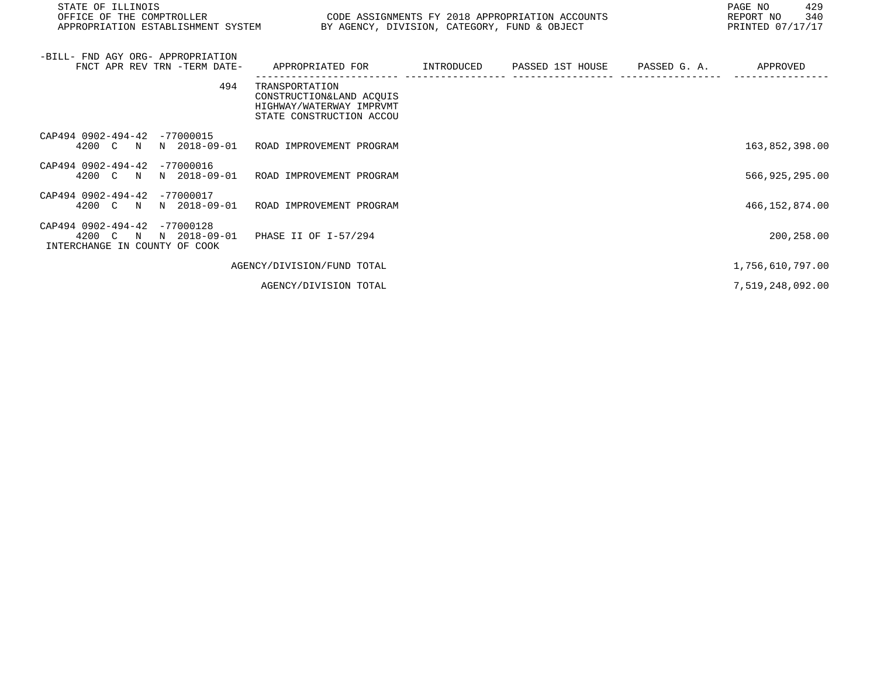| STATE OF ILLINOIS<br>OFFICE OF THE COMPTROLLER<br>APPROPRIATION ESTABLISHMENT SYSTEM BY AGENCY, DIVISION, CATEGORY, FUND & OBJECT | CODE ASSIGNMENTS FY 2018 APPROPRIATION ACCOUNTS                                                    |            |                  |              | PAGE NO<br>429<br>340<br>REPORT NO<br>PRINTED 07/17/17 |
|-----------------------------------------------------------------------------------------------------------------------------------|----------------------------------------------------------------------------------------------------|------------|------------------|--------------|--------------------------------------------------------|
| -BILL- FND AGY ORG- APPROPRIATION<br>FNCT APR REV TRN -TERM DATE-                                                                 | APPROPRIATED FOR                                                                                   | INTRODUCED | PASSED 1ST HOUSE | PASSED G. A. | APPROVED                                               |
| 494                                                                                                                               | TRANSPORTATION<br>CONSTRUCTION&LAND ACQUIS<br>HIGHWAY/WATERWAY IMPRVMT<br>STATE CONSTRUCTION ACCOU |            |                  |              |                                                        |
| CAP494 0902-494-42 -77000015<br>4200 C N<br>N 2018-09-01                                                                          | ROAD IMPROVEMENT PROGRAM                                                                           |            |                  |              | 163,852,398.00                                         |
| CAP494 0902-494-42<br>$-77000016$<br>N 2018-09-01<br>4200 C N                                                                     | ROAD IMPROVEMENT PROGRAM                                                                           |            |                  |              | 566,925,295.00                                         |
| CAP494 0902-494-42 -77000017<br>N 2018-09-01<br>4200 C N                                                                          | ROAD IMPROVEMENT PROGRAM                                                                           |            |                  |              | 466, 152, 874.00                                       |
| CAP494 0902-494-42<br>$-77000128$<br>N 2018-09-01<br>4200 C N<br>INTERCHANGE IN COUNTY OF COOK                                    | PHASE II OF I-57/294                                                                               |            |                  |              | 200,258.00                                             |
|                                                                                                                                   | AGENCY/DIVISION/FUND TOTAL                                                                         |            |                  |              | 1,756,610,797.00                                       |
|                                                                                                                                   | AGENCY/DIVISION TOTAL                                                                              |            |                  |              | 7,519,248,092.00                                       |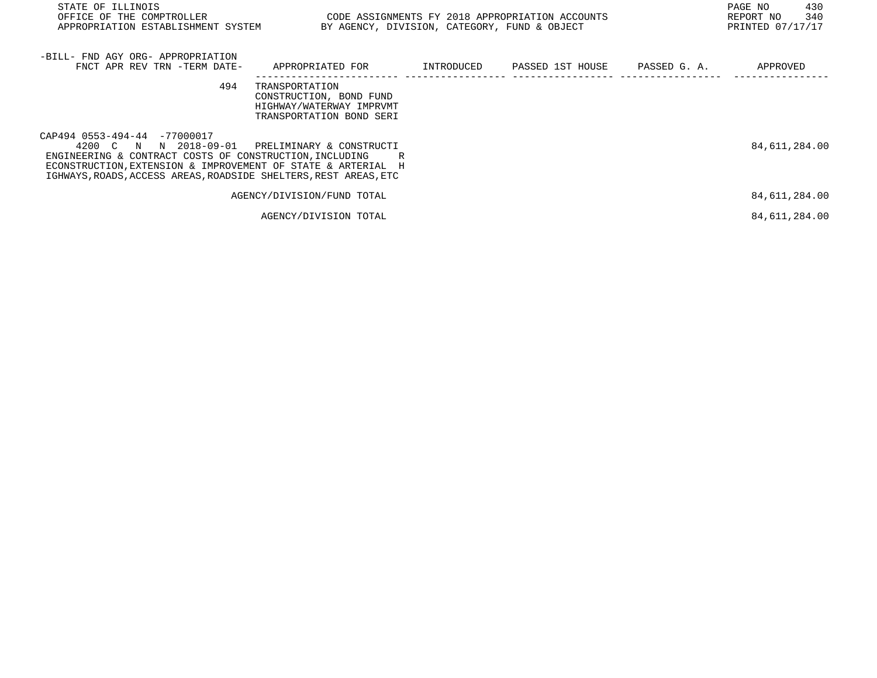| STATE OF ILLINOIS<br>OFFICE OF THE COMPTROLLER<br>APPROPRIATION ESTABLISHMENT SYSTEM                                                                                                                                                                    | CODE ASSIGNMENTS FY 2018 APPROPRIATION ACCOUNTS<br>BY AGENCY, DIVISION, CATEGORY, FUND & OBJECT   |            |                               | PAGE NO<br>430<br>340<br>REPORT NO<br>PRINTED 07/17/17 |
|---------------------------------------------------------------------------------------------------------------------------------------------------------------------------------------------------------------------------------------------------------|---------------------------------------------------------------------------------------------------|------------|-------------------------------|--------------------------------------------------------|
| -BILL- FND AGY ORG- APPROPRIATION<br>FNCT APR REV TRN -TERM DATE-                                                                                                                                                                                       | APPROPRIATED FOR                                                                                  | INTRODUCED | PASSED 1ST HOUSE PASSED G. A. | APPROVED                                               |
| 494                                                                                                                                                                                                                                                     | TRANSPORTATION<br>CONSTRUCTION, BOND FUND<br>HIGHWAY/WATERWAY IMPRVMT<br>TRANSPORTATION BOND SERI |            |                               |                                                        |
| CAP494 0553-494-44 -77000017<br>4200 C N<br>N 2018-09-01<br>ENGINEERING & CONTRACT COSTS OF CONSTRUCTION, INCLUDING<br>ECONSTRUCTION, EXTENSION & IMPROVEMENT OF STATE & ARTERIAL H<br>IGHWAYS, ROADS, ACCESS AREAS, ROADSIDE SHELTERS, REST AREAS, ETC | PRELIMINARY & CONSTRUCTI<br>R                                                                     |            |                               | 84,611,284.00                                          |
|                                                                                                                                                                                                                                                         | AGENCY/DIVISION/FUND TOTAL                                                                        |            |                               | 84,611,284.00                                          |
|                                                                                                                                                                                                                                                         | AGENCY/DIVISION TOTAL                                                                             |            |                               | 84,611,284.00                                          |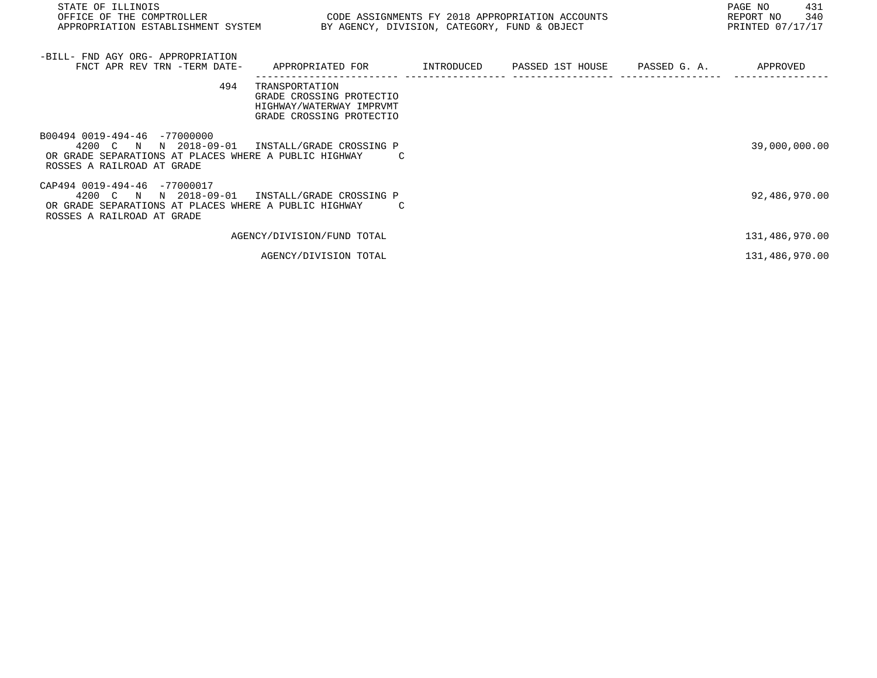| STATE OF ILLINOIS<br>OFFICE OF THE COMPTROLLER<br>APPROPRIATION ESTABLISHMENT SYSTEM                                                            | CODE ASSIGNMENTS FY 2018 APPROPRIATION ACCOUNTS<br>BY AGENCY, DIVISION, CATEGORY, FUND & OBJECT    |  | PAGE NO<br>431<br>340<br>REPORT NO<br>PRINTED 07/17/17 |
|-------------------------------------------------------------------------------------------------------------------------------------------------|----------------------------------------------------------------------------------------------------|--|--------------------------------------------------------|
| -BILL- FND AGY ORG- APPROPRIATION<br>FNCT APR REV TRN -TERM DATE-                                                                               | APPROPRIATED FOR          INTRODUCED      PASSED 1ST HOUSE     PASSED G. A.         APPROVED       |  |                                                        |
| 494                                                                                                                                             | TRANSPORTATION<br>GRADE CROSSING PROTECTIO<br>HIGHWAY/WATERWAY IMPRVMT<br>GRADE CROSSING PROTECTIO |  |                                                        |
| B00494 0019-494-46 -77000000<br>4200 C N<br>OR GRADE SEPARATIONS AT PLACES WHERE A PUBLIC HIGHWAY<br>ROSSES A RAILROAD AT GRADE                 | N 2018-09-01 INSTALL/GRADE CROSSING P                                                              |  | 39,000,000.00                                          |
| CAP494 0019-494-46 -77000017<br>N 2018-09-01<br>4200 C N<br>OR GRADE SEPARATIONS AT PLACES WHERE A PUBLIC HIGHWAY<br>ROSSES A RAILROAD AT GRADE | INSTALL/GRADE CROSSING P                                                                           |  | 92,486,970.00                                          |
|                                                                                                                                                 | AGENCY/DIVISION/FUND TOTAL                                                                         |  | 131,486,970.00                                         |
|                                                                                                                                                 | AGENCY/DIVISION TOTAL                                                                              |  | 131,486,970.00                                         |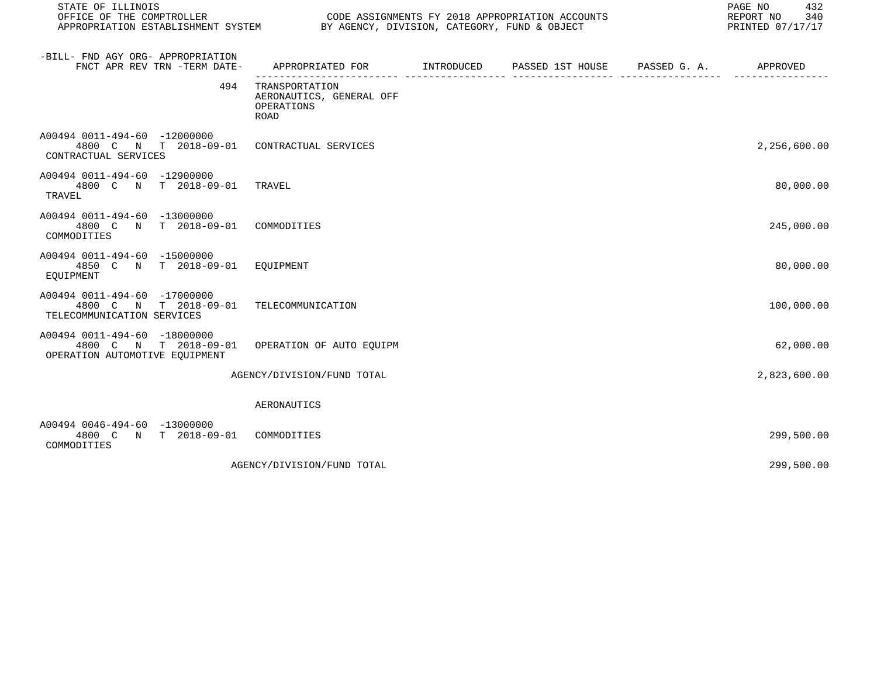| STATE OF ILLINOIS<br>OFFICE OF THE COMPTROLLER<br>APPROPRIATION ESTABLISHMENT SYSTEM BY AGENCY, DIVISION, CATEGORY, FUND & OBJECT |                                                                  | CODE ASSIGNMENTS FY 2018 APPROPRIATION ACCOUNTS | PAGE NO<br>432<br>REPORT NO<br>340<br>PRINTED 07/17/17 |
|-----------------------------------------------------------------------------------------------------------------------------------|------------------------------------------------------------------|-------------------------------------------------|--------------------------------------------------------|
| -BILL- FND AGY ORG- APPROPRIATION<br>FNCT APR REV TRN -TERM DATE-                                                                 | APPROPRIATED FOR TINTRODUCED PASSED 1ST HOUSE PASSED G.A.        |                                                 | APPROVED                                               |
| 494                                                                                                                               | TRANSPORTATION<br>AERONAUTICS, GENERAL OFF<br>OPERATIONS<br>ROAD |                                                 |                                                        |
| A00494 0011-494-60 -12000000<br>4800 C N T 2018-09-01<br>CONTRACTUAL SERVICES                                                     | CONTRACTUAL SERVICES                                             |                                                 | 2,256,600.00                                           |
| A00494 0011-494-60 -12900000<br>4800 C N T 2018-09-01 TRAVEL<br><b>TRAVEL</b>                                                     |                                                                  |                                                 | 80,000.00                                              |
| A00494 0011-494-60 -13000000<br>4800 C N T 2018-09-01<br>COMMODITIES                                                              | COMMODITIES                                                      |                                                 | 245,000.00                                             |
| A00494 0011-494-60 -15000000<br>4850 C N T 2018-09-01<br>EQUIPMENT                                                                | EOUIPMENT                                                        |                                                 | 80,000.00                                              |
| A00494 0011-494-60 -17000000<br>4800 C N T 2018-09-01<br>TELECOMMUNICATION SERVICES                                               | TELECOMMUNICATION                                                |                                                 | 100,000.00                                             |
| A00494 0011-494-60 -18000000<br>4800 C N T 2018-09-01<br>OPERATION AUTOMOTIVE EOUIPMENT                                           | OPERATION OF AUTO EQUIPM                                         |                                                 | 62,000.00                                              |
|                                                                                                                                   | AGENCY/DIVISION/FUND TOTAL                                       |                                                 | 2,823,600.00                                           |
|                                                                                                                                   | AERONAUTICS                                                      |                                                 |                                                        |
| A00494 0046-494-60 -13000000<br>N T 2018-09-01 COMMODITIES<br>4800 C<br>COMMODITIES                                               |                                                                  |                                                 | 299,500.00                                             |
|                                                                                                                                   | AGENCY/DIVISION/FUND TOTAL                                       |                                                 | 299,500.00                                             |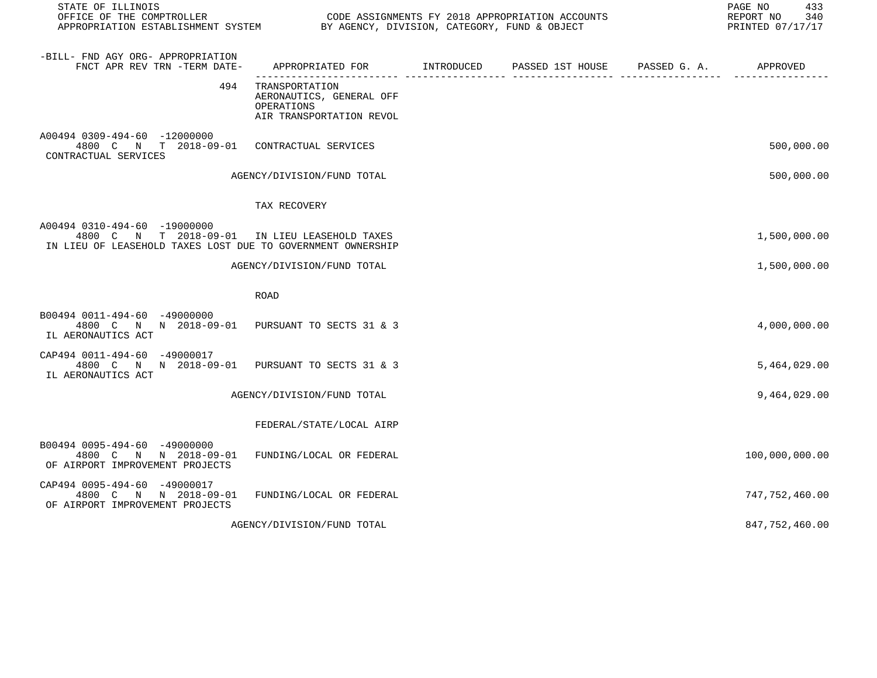| STATE OF ILLINOIS                                                                                                                            |                                                                                      |                               | 433<br>PAGE NO<br>REPORT NO<br>340<br>PRINTED 07/17/17 |
|----------------------------------------------------------------------------------------------------------------------------------------------|--------------------------------------------------------------------------------------|-------------------------------|--------------------------------------------------------|
| -BILL- FND AGY ORG- APPROPRIATION<br>FNCT APR REV TRN -TERM DATE-                                                                            | APPROPRIATED FOR INTRODUCED                                                          | PASSED 1ST HOUSE PASSED G. A. | APPROVED                                               |
| 494                                                                                                                                          | TRANSPORTATION<br>AERONAUTICS, GENERAL OFF<br>OPERATIONS<br>AIR TRANSPORTATION REVOL |                               |                                                        |
| A00494 0309-494-60 -12000000<br>4800 C N T 2018-09-01 CONTRACTUAL SERVICES<br>CONTRACTUAL SERVICES                                           |                                                                                      |                               | 500,000.00                                             |
|                                                                                                                                              | AGENCY/DIVISION/FUND TOTAL                                                           |                               | 500,000.00                                             |
|                                                                                                                                              | TAX RECOVERY                                                                         |                               |                                                        |
| A00494 0310-494-60 -19000000<br>4800 C N T 2018-09-01 IN LIEU LEASEHOLD TAXES<br>IN LIEU OF LEASEHOLD TAXES LOST DUE TO GOVERNMENT OWNERSHIP |                                                                                      |                               | 1,500,000.00                                           |
|                                                                                                                                              | AGENCY/DIVISION/FUND TOTAL                                                           |                               | 1,500,000.00                                           |
|                                                                                                                                              | <b>ROAD</b>                                                                          |                               |                                                        |
| B00494 0011-494-60 -49000000<br>4800 C N N 2018-09-01 PURSUANT TO SECTS 31 & 3<br>IL AERONAUTICS ACT                                         |                                                                                      |                               | 4,000,000.00                                           |
| CAP494 0011-494-60 -49000017<br>4800 C N N 2018-09-01<br>IL AERONAUTICS ACT                                                                  | PURSUANT TO SECTS 31 & 3                                                             |                               | 5,464,029.00                                           |
|                                                                                                                                              | AGENCY/DIVISION/FUND TOTAL                                                           |                               | 9,464,029.00                                           |
|                                                                                                                                              | FEDERAL/STATE/LOCAL AIRP                                                             |                               |                                                        |
| B00494 0095-494-60 -49000000<br>4800 C N N 2018-09-01<br>OF AIRPORT IMPROVEMENT PROJECTS                                                     | FUNDING/LOCAL OR FEDERAL                                                             |                               | 100,000,000.00                                         |
| CAP494 0095-494-60 -49000017<br>4800 C N N 2018-09-01<br>OF AIRPORT IMPROVEMENT PROJECTS                                                     | FUNDING/LOCAL OR FEDERAL                                                             |                               | 747, 752, 460.00                                       |
|                                                                                                                                              | AGENCY/DIVISION/FUND TOTAL                                                           |                               | 847,752,460.00                                         |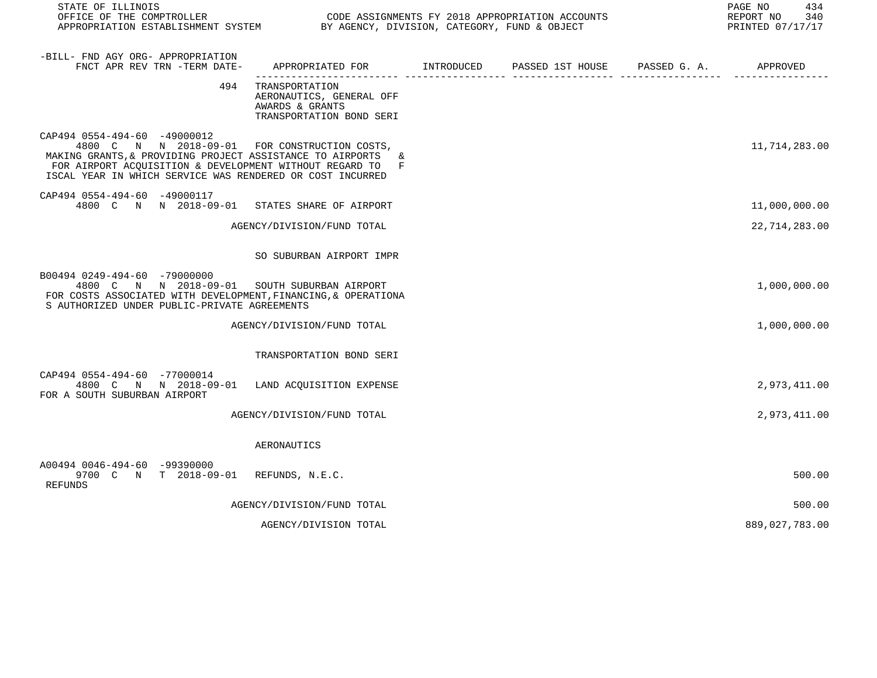| STATE OF ILLINOIS<br>OFFICE OF THE COMPTROLLER CODE ASSIGNMENTS FY 2018 APPROPRIATION ACCOUNTS<br>APPROPRIATION ESTABLISHMENT SYSTEM BY AGENCY, DIVISION, CATEGORY, FUND & OBJECT                                                                                    |                                                                                               |  | PAGE NO<br>434<br>REPORT NO<br>340<br>PRINTED 07/17/17 |
|----------------------------------------------------------------------------------------------------------------------------------------------------------------------------------------------------------------------------------------------------------------------|-----------------------------------------------------------------------------------------------|--|--------------------------------------------------------|
| -BILL- FND AGY ORG- APPROPRIATION<br>FNCT APR REV TRN -TERM DATE-                                                                                                                                                                                                    | APPROPRIATED FOR TINTRODUCED PASSED 1ST HOUSE PASSED G. A.                                    |  | APPROVED                                               |
|                                                                                                                                                                                                                                                                      | 494 TRANSPORTATION<br>AERONAUTICS, GENERAL OFF<br>AWARDS & GRANTS<br>TRANSPORTATION BOND SERI |  |                                                        |
| CAP494 0554-494-60 -49000012<br>4800 C N N 2018-09-01 FOR CONSTRUCTION COSTS,<br>MAKING GRANTS, & PROVIDING PROJECT ASSISTANCE TO AIRPORTS<br>FOR AIRPORT ACQUISITION & DEVELOPMENT WITHOUT REGARD TO F<br>ISCAL YEAR IN WHICH SERVICE WAS RENDERED OR COST INCURRED | &.                                                                                            |  | 11,714,283.00                                          |
| CAP494 0554-494-60 -49000117<br>4800 C N N 2018-09-01 STATES SHARE OF AIRPORT                                                                                                                                                                                        |                                                                                               |  | 11,000,000.00                                          |
|                                                                                                                                                                                                                                                                      | AGENCY/DIVISION/FUND TOTAL                                                                    |  | 22,714,283.00                                          |
|                                                                                                                                                                                                                                                                      | SO SUBURBAN AIRPORT IMPR                                                                      |  |                                                        |
| B00494 0249-494-60 -79000000<br>4800 C N N 2018-09-01 SOUTH SUBURBAN AIRPORT<br>FOR COSTS ASSOCIATED WITH DEVELOPMENT, FINANCING, & OPERATIONA<br>S AUTHORIZED UNDER PUBLIC-PRIVATE AGREEMENTS                                                                       |                                                                                               |  | 1,000,000.00                                           |
|                                                                                                                                                                                                                                                                      | AGENCY/DIVISION/FUND TOTAL                                                                    |  | 1,000,000.00                                           |
|                                                                                                                                                                                                                                                                      | TRANSPORTATION BOND SERI                                                                      |  |                                                        |
| CAP494 0554-494-60 -77000014<br>4800 C N N 2018-09-01<br>FOR A SOUTH SUBURBAN AIRPORT                                                                                                                                                                                | LAND ACQUISITION EXPENSE                                                                      |  | 2,973,411.00                                           |
|                                                                                                                                                                                                                                                                      | AGENCY/DIVISION/FUND TOTAL                                                                    |  | 2,973,411.00                                           |
|                                                                                                                                                                                                                                                                      | AERONAUTICS                                                                                   |  |                                                        |
| A00494 0046-494-60 -99390000<br>9700 C N T 2018-09-01 REFUNDS, N.E.C.<br>REFUNDS                                                                                                                                                                                     |                                                                                               |  | 500.00                                                 |
|                                                                                                                                                                                                                                                                      | AGENCY/DIVISION/FUND TOTAL                                                                    |  | 500.00                                                 |
|                                                                                                                                                                                                                                                                      | AGENCY/DIVISION TOTAL                                                                         |  | 889,027,783.00                                         |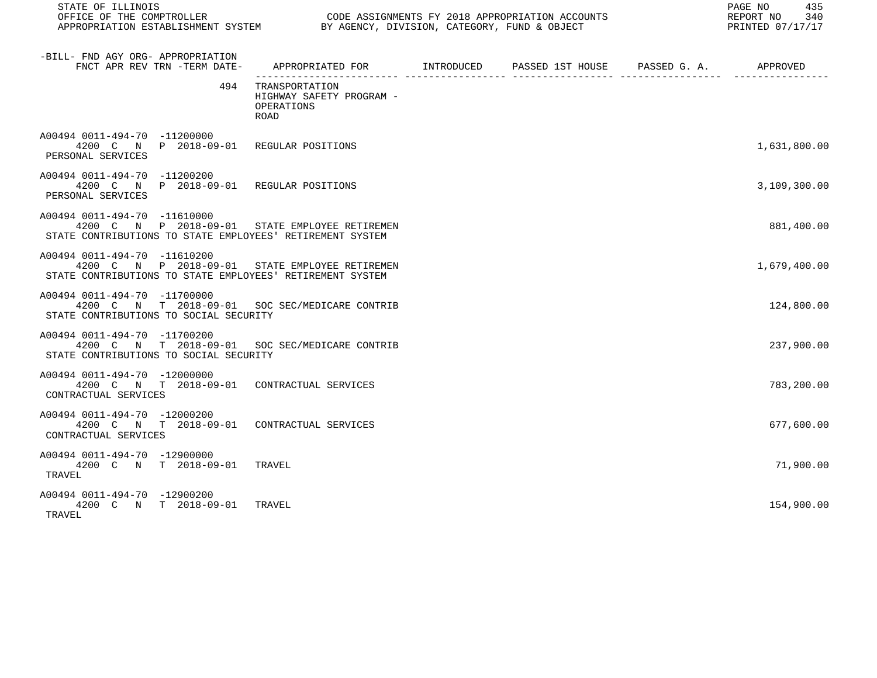| STATE OF ILLINOIS                                                                                                                           |                                                                                           | 435<br>PAGE NO<br>REPORT NO<br>340<br>PRINTED 07/17/17 |  |              |
|---------------------------------------------------------------------------------------------------------------------------------------------|-------------------------------------------------------------------------------------------|--------------------------------------------------------|--|--------------|
| -BILL- FND AGY ORG- APPROPRIATION<br>FNCT APR REV TRN -TERM DATE-                                                                           | APPROPRIATED FOR        INTRODUCED     PASSED 1ST HOUSE     PASSED G. A.         APPROVED |                                                        |  |              |
| 494                                                                                                                                         | TRANSPORTATION<br>HIGHWAY SAFETY PROGRAM -<br>OPERATIONS<br><b>ROAD</b>                   |                                                        |  |              |
| A00494 0011-494-70 -11200000<br>4200 C N P 2018-09-01 REGULAR POSITIONS<br>PERSONAL SERVICES                                                |                                                                                           |                                                        |  | 1,631,800.00 |
| A00494 0011-494-70 -11200200<br>4200 C N P 2018-09-01 REGULAR POSITIONS<br>PERSONAL SERVICES                                                |                                                                                           |                                                        |  | 3,109,300.00 |
| A00494 0011-494-70 -11610000<br>4200 C N P 2018-09-01 STATE EMPLOYEE RETIREMEN<br>STATE CONTRIBUTIONS TO STATE EMPLOYEES' RETIREMENT SYSTEM |                                                                                           |                                                        |  | 881,400.00   |
| A00494 0011-494-70 -11610200<br>4200 C N P 2018-09-01<br>STATE CONTRIBUTIONS TO STATE EMPLOYEES' RETIREMENT SYSTEM                          | STATE EMPLOYEE RETIREMEN                                                                  |                                                        |  | 1,679,400.00 |
| A00494 0011-494-70 -11700000<br>4200 C N T 2018-09-01 SOC SEC/MEDICARE CONTRIB<br>STATE CONTRIBUTIONS TO SOCIAL SECURITY                    |                                                                                           |                                                        |  | 124,800.00   |
| A00494 0011-494-70 -11700200<br>4200 C N T 2018-09-01 SOC SEC/MEDICARE CONTRIB<br>STATE CONTRIBUTIONS TO SOCIAL SECURITY                    |                                                                                           |                                                        |  | 237,900.00   |
| A00494 0011-494-70 -12000000<br>4200 C N T 2018-09-01 CONTRACTUAL SERVICES<br>CONTRACTUAL SERVICES                                          |                                                                                           |                                                        |  | 783,200.00   |
| A00494 0011-494-70 -12000200<br>4200 C N T 2018-09-01 CONTRACTUAL SERVICES<br>CONTRACTUAL SERVICES                                          |                                                                                           |                                                        |  | 677,600.00   |
| A00494 0011-494-70 -12900000<br>4200 C N T 2018-09-01 TRAVEL<br>TRAVEL                                                                      |                                                                                           |                                                        |  | 71,900.00    |
| A00494 0011-494-70 -12900200<br>4200 C N T 2018-09-01<br>TRAVEL                                                                             | TRAVEL                                                                                    |                                                        |  | 154,900.00   |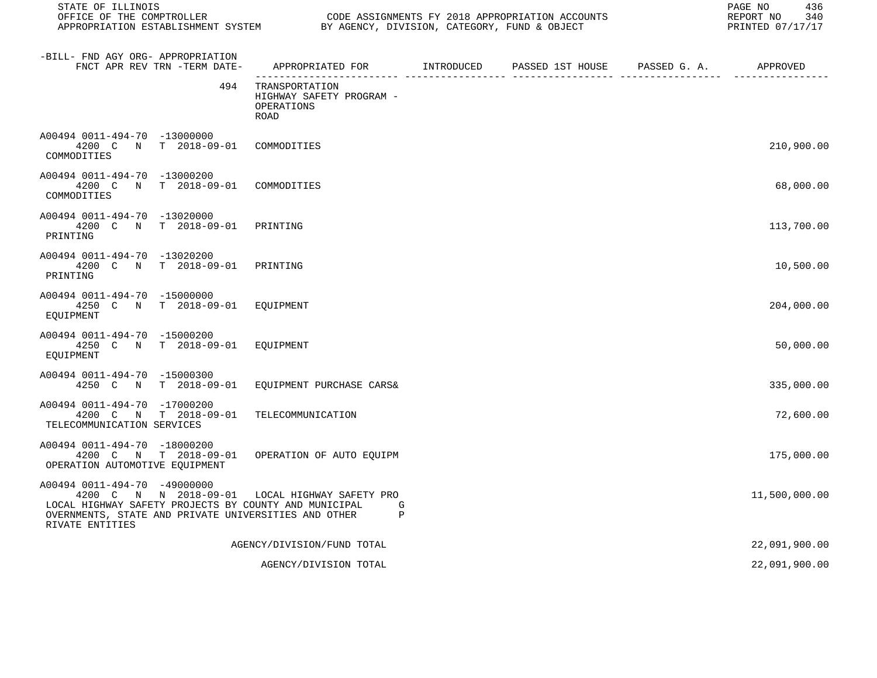| STATE OF ILLINOIS<br>OFFICE OF THE COMPTROLLER CONDE ASSIGNMENTS FY 2018 APPROPRIATION ACCOUNTS<br>APPROPRIATION ESTABLISHMENT SYSTEM BY AGENCY, DIVISION, CATEGORY, FUND & OBJECT                                 |                                                                                           |  | 436<br>PAGE NO<br>REPORT NO<br>340<br>PRINTED 07/17/17 |
|--------------------------------------------------------------------------------------------------------------------------------------------------------------------------------------------------------------------|-------------------------------------------------------------------------------------------|--|--------------------------------------------------------|
| -BILL- FND AGY ORG- APPROPRIATION<br>FNCT APR REV TRN -TERM DATE-                                                                                                                                                  | APPROPRIATED FOR        INTRODUCED     PASSED 1ST HOUSE     PASSED G. A.         APPROVED |  |                                                        |
| 494                                                                                                                                                                                                                | TRANSPORTATION<br>HIGHWAY SAFETY PROGRAM -<br>OPERATIONS<br><b>ROAD</b>                   |  |                                                        |
| A00494 0011-494-70 -13000000<br>4200 C N T 2018-09-01 COMMODITIES<br>COMMODITIES                                                                                                                                   |                                                                                           |  | 210,900.00                                             |
| A00494 0011-494-70 -13000200<br>4200 C N T 2018-09-01<br>COMMODITIES                                                                                                                                               | COMMODITIES                                                                               |  | 68,000.00                                              |
| A00494 0011-494-70 -13020000<br>4200 C N T 2018-09-01 PRINTING<br>PRINTING                                                                                                                                         |                                                                                           |  | 113,700.00                                             |
| A00494 0011-494-70 -13020200<br>4200 C N T 2018-09-01 PRINTING<br>PRINTING                                                                                                                                         |                                                                                           |  | 10,500.00                                              |
| A00494 0011-494-70 -15000000<br>4250 C N T 2018-09-01 EQUIPMENT<br>EOUIPMENT                                                                                                                                       |                                                                                           |  | 204,000.00                                             |
| A00494 0011-494-70 -15000200<br>4250 C N T 2018-09-01 EQUIPMENT<br>EOUIPMENT                                                                                                                                       |                                                                                           |  | 50,000.00                                              |
| A00494 0011-494-70 -15000300<br>4250 C N T 2018-09-01 EQUIPMENT PURCHASE CARS&                                                                                                                                     |                                                                                           |  | 335,000.00                                             |
| A00494 0011-494-70 -17000200<br>4200 C N T 2018-09-01<br>TELECOMMUNICATION SERVICES                                                                                                                                | TELECOMMUNICATION                                                                         |  | 72,600.00                                              |
| A00494 0011-494-70 -18000200<br>4200 C N T 2018-09-01 OPERATION OF AUTO EQUIPM<br>OPERATION AUTOMOTIVE EQUIPMENT                                                                                                   |                                                                                           |  | 175,000.00                                             |
| A00494 0011-494-70 -49000000<br>4200 C N N 2018-09-01 LOCAL HIGHWAY SAFETY PRO<br>LOCAL HIGHWAY SAFETY PROJECTS BY COUNTY AND MUNICIPAL<br>OVERNMENTS, STATE AND PRIVATE UNIVERSITIES AND OTHER<br>RIVATE ENTITIES | G<br>$\mathbf{P}$                                                                         |  | 11,500,000.00                                          |
|                                                                                                                                                                                                                    | AGENCY/DIVISION/FUND TOTAL                                                                |  | 22,091,900.00                                          |
|                                                                                                                                                                                                                    | AGENCY/DIVISION TOTAL                                                                     |  | 22,091,900.00                                          |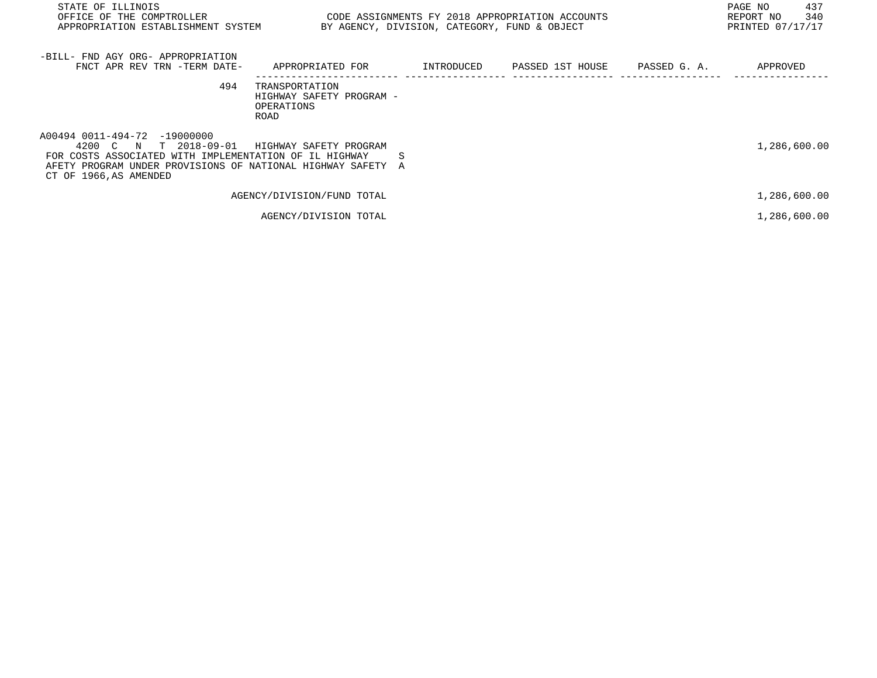| STATE OF ILLINOIS<br>OFFICE OF THE COMPTROLLER<br>APPROPRIATION ESTABLISHMENT SYSTEM                                                                                                                      | CODE ASSIGNMENTS FY 2018 APPROPRIATION ACCOUNTS                  | BY AGENCY, DIVISION, CATEGORY, FUND & OBJECT |                  |              | 437<br>PAGE NO<br>340<br>REPORT NO<br>PRINTED 07/17/17 |
|-----------------------------------------------------------------------------------------------------------------------------------------------------------------------------------------------------------|------------------------------------------------------------------|----------------------------------------------|------------------|--------------|--------------------------------------------------------|
| -BILL- FND AGY ORG- APPROPRIATION<br>FNCT APR REV TRN -TERM DATE-                                                                                                                                         | APPROPRIATED FOR                                                 | INTRODUCED                                   | PASSED 1ST HOUSE | PASSED G. A. | APPROVED                                               |
| 494                                                                                                                                                                                                       | TRANSPORTATION<br>HIGHWAY SAFETY PROGRAM -<br>OPERATIONS<br>ROAD |                                              |                  |              |                                                        |
| A00494 0011-494-72 -19000000<br>T 2018-09-01<br>4200 C N<br>FOR COSTS ASSOCIATED WITH IMPLEMENTATION OF IL HIGHWAY<br>AFETY PROGRAM UNDER PROVISIONS OF NATIONAL HIGHWAY SAFETY<br>CT OF 1966, AS AMENDED | HIGHWAY SAFETY PROGRAM<br>A                                      | S                                            |                  |              | 1,286,600.00                                           |
|                                                                                                                                                                                                           | AGENCY/DIVISION/FUND TOTAL                                       |                                              |                  |              | 1,286,600.00                                           |
|                                                                                                                                                                                                           | AGENCY/DIVISION TOTAL                                            |                                              |                  |              | 1,286,600.00                                           |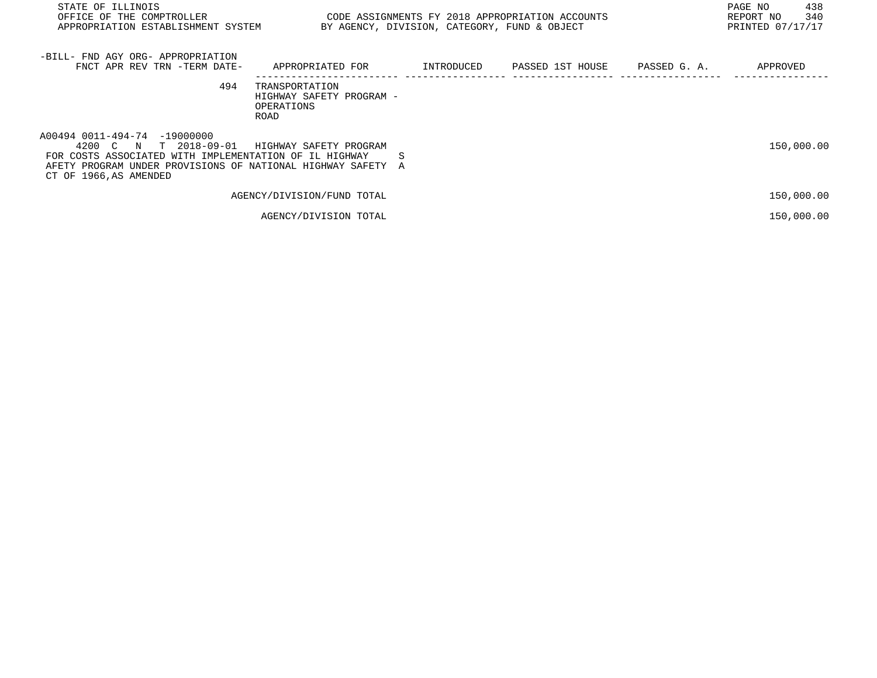| STATE OF ILLINOIS<br>OFFICE OF THE COMPTROLLER<br>APPROPRIATION ESTABLISHMENT SYSTEM                                                                                                                        | CODE ASSIGNMENTS FY 2018 APPROPRIATION ACCOUNTS                  | BY AGENCY, DIVISION, CATEGORY, FUND & OBJECT |                  |              | 438<br>PAGE NO<br>340<br>REPORT NO<br>PRINTED 07/17/17 |
|-------------------------------------------------------------------------------------------------------------------------------------------------------------------------------------------------------------|------------------------------------------------------------------|----------------------------------------------|------------------|--------------|--------------------------------------------------------|
| -BILL- FND AGY ORG- APPROPRIATION<br>FNCT APR REV TRN -TERM DATE-                                                                                                                                           | APPROPRIATED FOR                                                 | INTRODUCED                                   | PASSED 1ST HOUSE | PASSED G. A. | APPROVED                                               |
| 494                                                                                                                                                                                                         | TRANSPORTATION<br>HIGHWAY SAFETY PROGRAM -<br>OPERATIONS<br>ROAD |                                              |                  |              |                                                        |
| A00494 0011-494-74 -19000000<br>4200 C N<br>T 2018-09-01<br>FOR COSTS ASSOCIATED WITH IMPLEMENTATION OF IL HIGHWAY<br>AFETY PROGRAM UNDER PROVISIONS OF NATIONAL HIGHWAY SAFETY A<br>CT OF 1966, AS AMENDED | HIGHWAY SAFETY PROGRAM<br>S                                      |                                              |                  |              | 150,000.00                                             |
|                                                                                                                                                                                                             | AGENCY/DIVISION/FUND TOTAL                                       |                                              |                  |              | 150,000.00                                             |
|                                                                                                                                                                                                             | AGENCY/DIVISION TOTAL                                            |                                              |                  |              | 150,000.00                                             |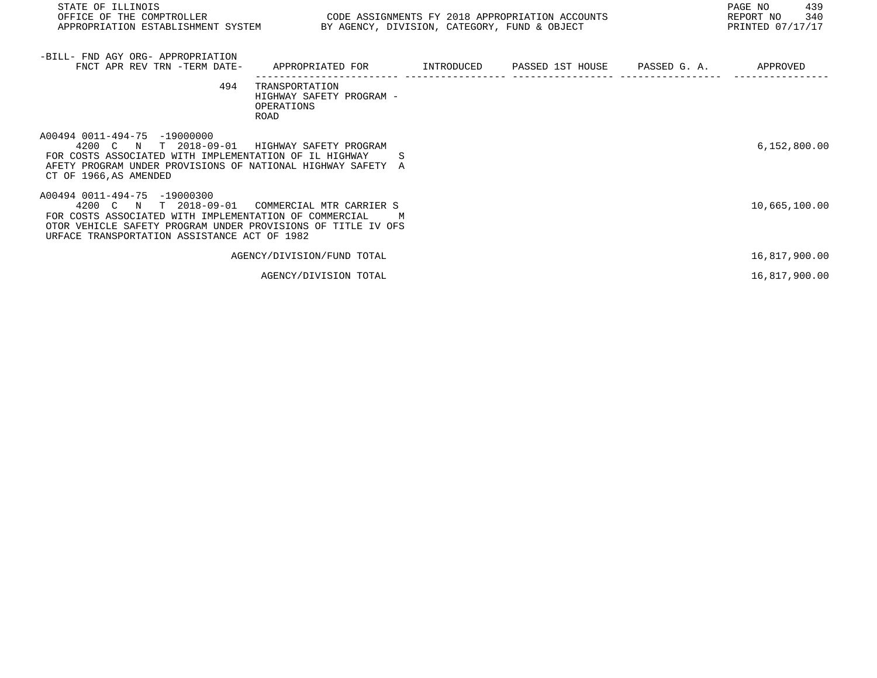| STATE OF ILLINOIS<br>OFFICE OF THE COMPTROLLER<br>APPROPRIATION ESTABLISHMENT SYSTEM BY AGENCY, DIVISION, CATEGORY, FUND & OBJECT                                                                                                  | CODE ASSIGNMENTS FY 2018 APPROPRIATION ACCOUNTS                  |            |                  |              | PAGE NO<br>439<br>340<br>REPORT NO<br>PRINTED 07/17/17 |
|------------------------------------------------------------------------------------------------------------------------------------------------------------------------------------------------------------------------------------|------------------------------------------------------------------|------------|------------------|--------------|--------------------------------------------------------|
| -BILL- FND AGY ORG- APPROPRIATION<br>FNCT APR REV TRN -TERM DATE-                                                                                                                                                                  | APPROPRIATED FOR                                                 | INTRODUCED | PASSED 1ST HOUSE | PASSED G. A. | APPROVED                                               |
| 494                                                                                                                                                                                                                                | TRANSPORTATION<br>HIGHWAY SAFETY PROGRAM -<br>OPERATIONS<br>ROAD |            |                  |              |                                                        |
| A00494 0011-494-75 -19000000<br>T 2018-09-01<br>4200 C N<br>FOR COSTS ASSOCIATED WITH IMPLEMENTATION OF IL HIGHWAY<br>AFETY PROGRAM UNDER PROVISIONS OF NATIONAL HIGHWAY SAFETY A<br>CT OF 1966, AS AMENDED                        | HIGHWAY SAFETY PROGRAM<br>S                                      |            |                  |              | 6,152,800.00                                           |
| A00494 0011-494-75 -19000300<br>T 2018-09-01<br>4200 C N<br>FOR COSTS ASSOCIATED WITH IMPLEMENTATION OF COMMERCIAL<br>OTOR VEHICLE SAFETY PROGRAM UNDER PROVISIONS OF TITLE IV OFS<br>URFACE TRANSPORTATION ASSISTANCE ACT OF 1982 | COMMERCIAL MTR CARRIER S<br>M                                    |            |                  |              | 10,665,100.00                                          |
|                                                                                                                                                                                                                                    | AGENCY/DIVISION/FUND TOTAL                                       |            |                  |              | 16,817,900.00                                          |

AGENCY/DIVISION TOTAL 16,817,900.00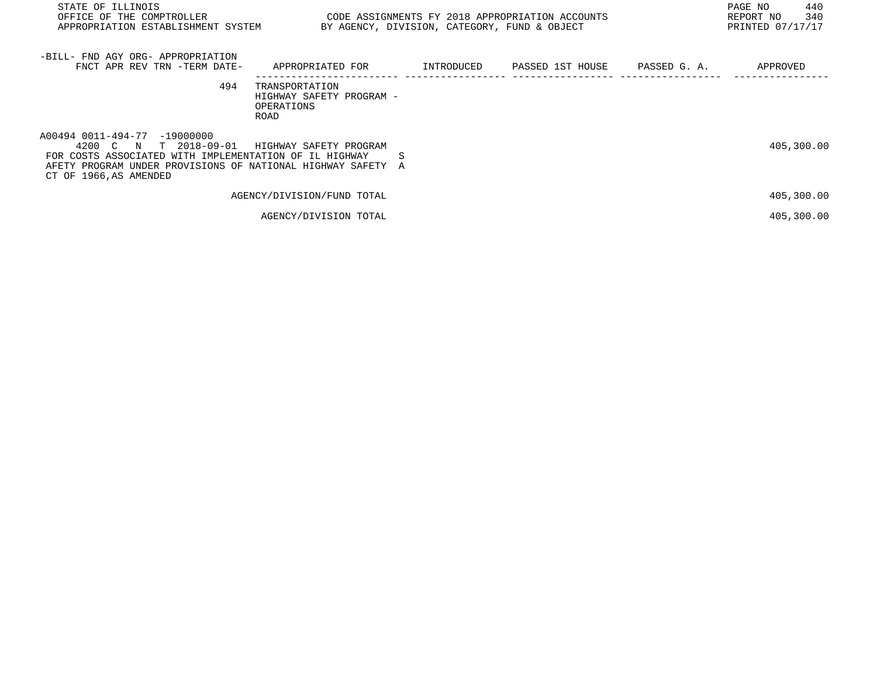| STATE OF ILLINOIS<br>OFFICE OF THE COMPTROLLER<br>APPROPRIATION ESTABLISHMENT SYSTEM                                                                                                                        | CODE ASSIGNMENTS FY 2018 APPROPRIATION ACCOUNTS                  | BY AGENCY, DIVISION, CATEGORY, FUND & OBJECT |                  |              | 440<br>PAGE NO<br>340<br>REPORT NO<br>PRINTED 07/17/17 |
|-------------------------------------------------------------------------------------------------------------------------------------------------------------------------------------------------------------|------------------------------------------------------------------|----------------------------------------------|------------------|--------------|--------------------------------------------------------|
| -BILL- FND AGY ORG- APPROPRIATION<br>FNCT APR REV TRN -TERM DATE-                                                                                                                                           | APPROPRIATED FOR                                                 | INTRODUCED                                   | PASSED 1ST HOUSE | PASSED G. A. | APPROVED                                               |
| 494                                                                                                                                                                                                         | TRANSPORTATION<br>HIGHWAY SAFETY PROGRAM -<br>OPERATIONS<br>ROAD |                                              |                  |              |                                                        |
| A00494 0011-494-77 -19000000<br>4200 C N<br>T 2018-09-01<br>FOR COSTS ASSOCIATED WITH IMPLEMENTATION OF IL HIGHWAY<br>AFETY PROGRAM UNDER PROVISIONS OF NATIONAL HIGHWAY SAFETY A<br>CT OF 1966, AS AMENDED | HIGHWAY SAFETY PROGRAM<br>S                                      |                                              |                  |              | 405,300.00                                             |
|                                                                                                                                                                                                             | AGENCY/DIVISION/FUND TOTAL                                       |                                              |                  |              | 405,300.00                                             |
|                                                                                                                                                                                                             | AGENCY/DIVISION TOTAL                                            |                                              |                  |              | 405,300.00                                             |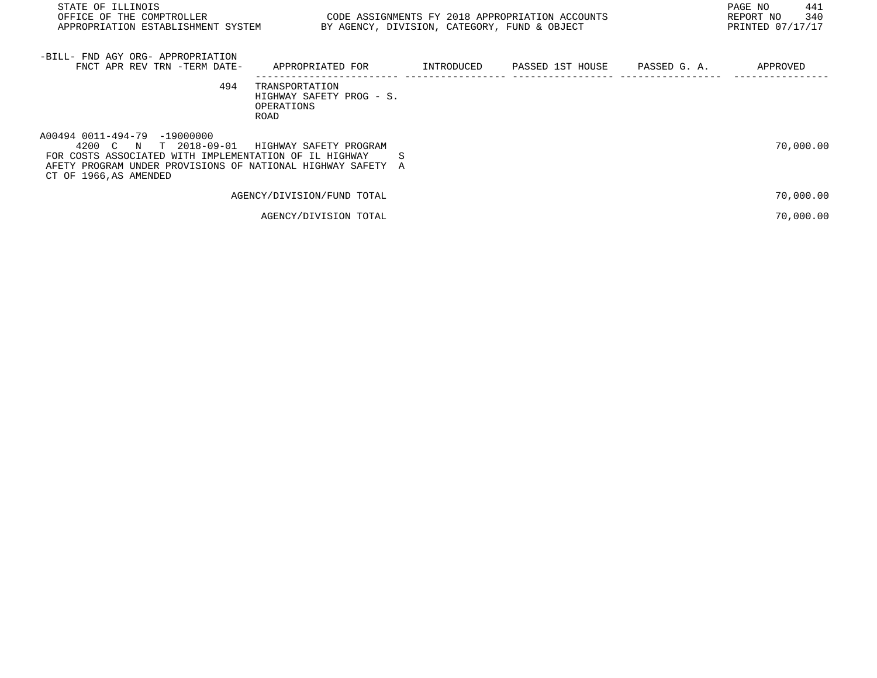| STATE OF ILLINOIS<br>OFFICE OF THE COMPTROLLER<br>APPROPRIATION ESTABLISHMENT SYSTEM                                                                                                                      | CODE ASSIGNMENTS FY 2018 APPROPRIATION ACCOUNTS                  | BY AGENCY, DIVISION, CATEGORY, FUND & OBJECT |                  |              | 441<br>PAGE NO<br>340<br>REPORT NO<br>PRINTED 07/17/17 |
|-----------------------------------------------------------------------------------------------------------------------------------------------------------------------------------------------------------|------------------------------------------------------------------|----------------------------------------------|------------------|--------------|--------------------------------------------------------|
| -BILL- FND AGY ORG- APPROPRIATION<br>FNCT APR REV TRN -TERM DATE-                                                                                                                                         | APPROPRIATED FOR                                                 | INTRODUCED                                   | PASSED 1ST HOUSE | PASSED G. A. | APPROVED                                               |
| 494                                                                                                                                                                                                       | TRANSPORTATION<br>HIGHWAY SAFETY PROG - S.<br>OPERATIONS<br>ROAD |                                              |                  |              |                                                        |
| A00494 0011-494-79 -19000000<br>T 2018-09-01<br>4200 C N<br>FOR COSTS ASSOCIATED WITH IMPLEMENTATION OF IL HIGHWAY<br>AFETY PROGRAM UNDER PROVISIONS OF NATIONAL HIGHWAY SAFETY<br>CT OF 1966, AS AMENDED | HIGHWAY SAFETY PROGRAM<br>S<br>A                                 |                                              |                  |              | 70,000.00                                              |
|                                                                                                                                                                                                           | AGENCY/DIVISION/FUND TOTAL                                       |                                              |                  |              | 70,000.00                                              |
|                                                                                                                                                                                                           | AGENCY/DIVISION TOTAL                                            |                                              |                  |              | 70,000.00                                              |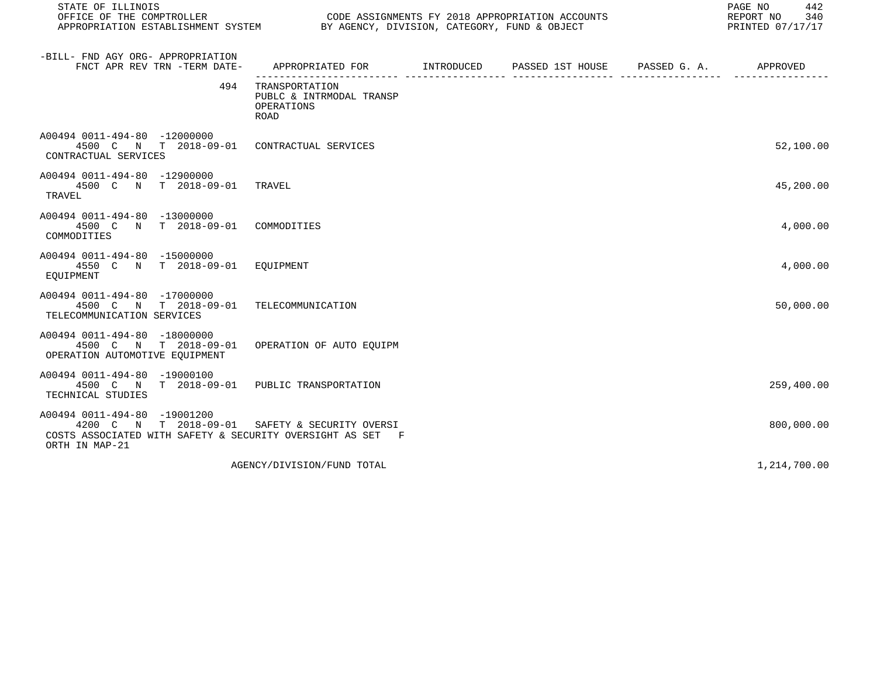| STATE OF ILLINOIS                                                                                                                     |                                                                  | PAGE NO<br>442<br>REPORT NO<br>340<br>PRINTED 07/17/17 |  |              |
|---------------------------------------------------------------------------------------------------------------------------------------|------------------------------------------------------------------|--------------------------------------------------------|--|--------------|
| -BILL- FND AGY ORG- APPROPRIATION<br>FNCT APR REV TRN -TERM DATE-                                                                     | APPROPRIATED FOR INTRODUCED                                      | PASSED 1ST HOUSE PASSED G. A.                          |  | APPROVED     |
| 494                                                                                                                                   | TRANSPORTATION<br>PUBLC & INTRMODAL TRANSP<br>OPERATIONS<br>ROAD |                                                        |  |              |
| A00494 0011-494-80 -12000000<br>4500 C N T 2018-09-01 CONTRACTUAL SERVICES<br>CONTRACTUAL SERVICES                                    |                                                                  |                                                        |  | 52,100.00    |
| A00494 0011-494-80 -12900000<br>4500 C N T 2018-09-01 TRAVEL<br>TRAVEL                                                                |                                                                  |                                                        |  | 45,200.00    |
| A00494 0011-494-80 -13000000<br>4500 C N T 2018-09-01 COMMODITIES<br>COMMODITIES                                                      |                                                                  |                                                        |  | 4,000.00     |
| A00494 0011-494-80 -15000000<br>4550 C N T 2018-09-01 EQUIPMENT<br>EQUIPMENT                                                          |                                                                  |                                                        |  | 4,000.00     |
| A00494 0011-494-80 -17000000<br>4500 C N T 2018-09-01<br>TELECOMMUNICATION SERVICES                                                   | TELECOMMUNICATION                                                |                                                        |  | 50,000.00    |
| A00494 0011-494-80 -18000000<br>4500 C N T 2018-09-01 OPERATION OF AUTO EQUIPM<br>OPERATION AUTOMOTIVE EOUIPMENT                      |                                                                  |                                                        |  |              |
| A00494 0011-494-80 -19000100<br>4500 C N T 2018-09-01 PUBLIC TRANSPORTATION<br>TECHNICAL STUDIES                                      |                                                                  |                                                        |  | 259,400.00   |
| A00494 0011-494-80 -19001200<br>4200 C N T 2018-09-01<br>COSTS ASSOCIATED WITH SAFETY & SECURITY OVERSIGHT AS SET F<br>ORTH IN MAP-21 | SAFETY & SECURITY OVERSI                                         |                                                        |  | 800,000.00   |
|                                                                                                                                       | AGENCY/DIVISION/FUND TOTAL                                       |                                                        |  | 1,214,700.00 |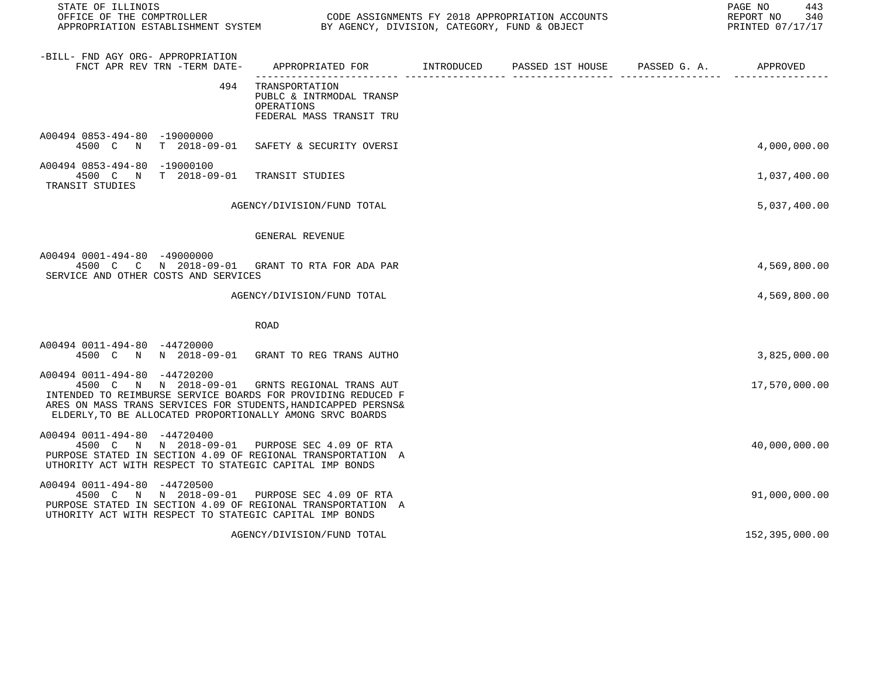| STATE OF ILLINOIS                                                                                                                                                                                                                                                            |                                                                                      | OFFICE OF THE COMPTROLLER<br>APPROPRIATION ESTABLISHMENT SYSTEM BY AGENCY, DIVISION, CATEGORY, FUND & OBJECT |                               |  |                |
|------------------------------------------------------------------------------------------------------------------------------------------------------------------------------------------------------------------------------------------------------------------------------|--------------------------------------------------------------------------------------|--------------------------------------------------------------------------------------------------------------|-------------------------------|--|----------------|
| -BILL- FND AGY ORG- APPROPRIATION<br>FNCT APR REV TRN -TERM DATE-                                                                                                                                                                                                            | APPROPRIATED FOR INTRODUCED                                                          |                                                                                                              | PASSED 1ST HOUSE PASSED G. A. |  | APPROVED       |
| 494                                                                                                                                                                                                                                                                          | TRANSPORTATION<br>PUBLC & INTRMODAL TRANSP<br>OPERATIONS<br>FEDERAL MASS TRANSIT TRU |                                                                                                              |                               |  |                |
| A00494 0853-494-80 -19000000<br>4500 C N T 2018-09-01                                                                                                                                                                                                                        | SAFETY & SECURITY OVERSI                                                             |                                                                                                              |                               |  | 4,000,000.00   |
| A00494 0853-494-80 -19000100<br>4500 C N T 2018-09-01 TRANSIT STUDIES<br>TRANSIT STUDIES                                                                                                                                                                                     |                                                                                      |                                                                                                              |                               |  | 1,037,400.00   |
|                                                                                                                                                                                                                                                                              | AGENCY/DIVISION/FUND TOTAL                                                           |                                                                                                              |                               |  | 5,037,400.00   |
|                                                                                                                                                                                                                                                                              | GENERAL REVENUE                                                                      |                                                                                                              |                               |  |                |
| A00494 0001-494-80 -49000000<br>4500 C C N 2018-09-01 GRANT TO RTA FOR ADA PAR<br>SERVICE AND OTHER COSTS AND SERVICES                                                                                                                                                       |                                                                                      |                                                                                                              |                               |  | 4,569,800.00   |
|                                                                                                                                                                                                                                                                              | AGENCY/DIVISION/FUND TOTAL                                                           |                                                                                                              |                               |  | 4,569,800.00   |
|                                                                                                                                                                                                                                                                              | ROAD                                                                                 |                                                                                                              |                               |  |                |
| A00494 0011-494-80 -44720000<br>4500 C N N 2018-09-01 GRANT TO REG TRANS AUTHO                                                                                                                                                                                               |                                                                                      |                                                                                                              |                               |  | 3,825,000.00   |
| A00494 0011-494-80 -44720200<br>4500 C N N 2018-09-01 GRNTS REGIONAL TRANS AUT<br>INTENDED TO REIMBURSE SERVICE BOARDS FOR PROVIDING REDUCED F<br>ARES ON MASS TRANS SERVICES FOR STUDENTS, HANDICAPPED PERSNS&<br>ELDERLY, TO BE ALLOCATED PROPORTIONALLY AMONG SRVC BOARDS |                                                                                      |                                                                                                              |                               |  | 17,570,000.00  |
| A00494 0011-494-80 -44720400<br>4500 C N N 2018-09-01 PURPOSE SEC 4.09 OF RTA<br>PURPOSE STATED IN SECTION 4.09 OF REGIONAL TRANSPORTATION A<br>UTHORITY ACT WITH RESPECT TO STATEGIC CAPITAL IMP BONDS                                                                      |                                                                                      |                                                                                                              |                               |  | 40,000,000.00  |
| A00494 0011-494-80 -44720500<br>4500 C N N 2018-09-01 PURPOSE SEC 4.09 OF RTA<br>PURPOSE STATED IN SECTION 4.09 OF REGIONAL TRANSPORTATION A<br>UTHORITY ACT WITH RESPECT TO STATEGIC CAPITAL IMP BONDS                                                                      |                                                                                      |                                                                                                              |                               |  | 91,000,000.00  |
|                                                                                                                                                                                                                                                                              | AGENCY/DIVISION/FUND TOTAL                                                           |                                                                                                              |                               |  | 152,395,000.00 |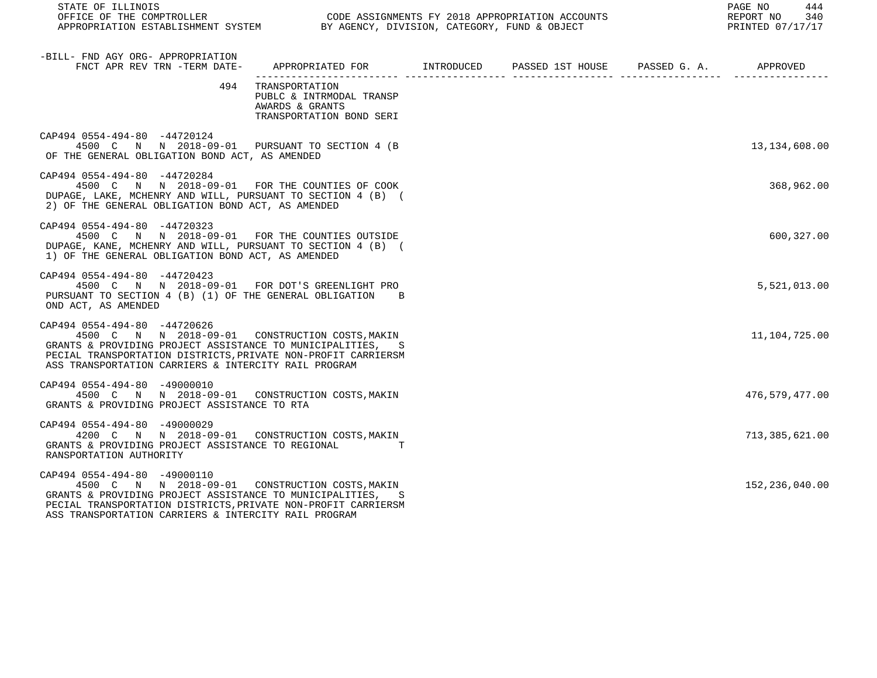| STATE OF ILLINOIS                                                                                                                                                                                                                                                      | OFFICE OF THE COMPTROLLER CONDE ASSIGNMENTS FY 2018 APPROPRIATION ACCOUNTS<br>APPROPRIATION ESTABLISHMENT SYSTEM BY AGENCY, DIVISION, CATEGORY, FUND & OBJECT<br>REPORT NO 340<br>PRINTED 07/17/17 |  |  |  |                 |
|------------------------------------------------------------------------------------------------------------------------------------------------------------------------------------------------------------------------------------------------------------------------|----------------------------------------------------------------------------------------------------------------------------------------------------------------------------------------------------|--|--|--|-----------------|
| -BILL- FND AGY ORG- APPROPRIATION<br>FNCT APR REV TRN -TERM DATE- APPROPRIATED FOR INTRODUCED PASSED 1ST HOUSE PASSED G. A. APPROVED                                                                                                                                   |                                                                                                                                                                                                    |  |  |  |                 |
|                                                                                                                                                                                                                                                                        | 494 TRANSPORTATION<br>PUBLC & INTRMODAL TRANSP<br>AWARDS & GRANTS<br>TRANSPORTATION BOND SERI                                                                                                      |  |  |  |                 |
| CAP494 0554-494-80 -44720124<br>4500 C N N 2018-09-01 PURSUANT TO SECTION 4 (B<br>OF THE GENERAL OBLIGATION BOND ACT, AS AMENDED                                                                                                                                       |                                                                                                                                                                                                    |  |  |  | 13, 134, 608.00 |
| CAP494 0554-494-80 -44720284<br>4500 C N N 2018-09-01 FOR THE COUNTIES OF COOK<br>DUPAGE, LAKE, MCHENRY AND WILL, PURSUANT TO SECTION 4 (B) (<br>2) OF THE GENERAL OBLIGATION BOND ACT, AS AMENDED                                                                     |                                                                                                                                                                                                    |  |  |  | 368,962.00      |
| CAP494 0554-494-80 -44720323<br>4500 C N N 2018-09-01 FOR THE COUNTIES OUTSIDE<br>DUPAGE, KANE, MCHENRY AND WILL, PURSUANT TO SECTION 4 (B) (<br>1) OF THE GENERAL OBLIGATION BOND ACT, AS AMENDED                                                                     |                                                                                                                                                                                                    |  |  |  | 600,327.00      |
| CAP494 0554-494-80 -44720423<br>4500 C N N 2018-09-01 FOR DOT'S GREENLIGHT PRO<br>PURSUANT TO SECTION 4 (B) (1) OF THE GENERAL OBLIGATION B<br>OND ACT, AS AMENDED                                                                                                     |                                                                                                                                                                                                    |  |  |  | 5,521,013.00    |
| CAP494 0554-494-80 -44720626<br>4500 C N N 2018-09-01 CONSTRUCTION COSTS, MAKIN<br>GRANTS & PROVIDING PROJECT ASSISTANCE TO MUNICIPALITIES, S<br>PECIAL TRANSPORTATION DISTRICTS, PRIVATE NON-PROFIT CARRIERSM<br>ASS TRANSPORTATION CARRIERS & INTERCITY RAIL PROGRAM |                                                                                                                                                                                                    |  |  |  | 11,104,725.00   |
| CAP494 0554-494-80 -49000010<br>4500 C N N 2018-09-01 CONSTRUCTION COSTS, MAKIN<br>GRANTS & PROVIDING PROJECT ASSISTANCE TO RTA                                                                                                                                        |                                                                                                                                                                                                    |  |  |  | 476,579,477.00  |
| CAP494 0554-494-80 -49000029<br>4200 C N N 2018-09-01 CONSTRUCTION COSTS, MAKIN<br>GRANTS & PROVIDING PROJECT ASSISTANCE TO REGIONAL TT<br>RANSPORTATION AUTHORITY                                                                                                     |                                                                                                                                                                                                    |  |  |  | 713,385,621.00  |
| CAP494 0554-494-80 -49000110<br>4500 C N N 2018-09-01 CONSTRUCTION COSTS, MAKIN<br>GRANTS & PROVIDING PROJECT ASSISTANCE TO MUNICIPALITIES,<br>PECIAL TRANSPORTATION DISTRICTS, PRIVATE NON-PROFIT CARRIERSM<br>ASS TRANSPORTATION CARRIERS & INTERCITY RAIL PROGRAM   |                                                                                                                                                                                                    |  |  |  | 152,236,040.00  |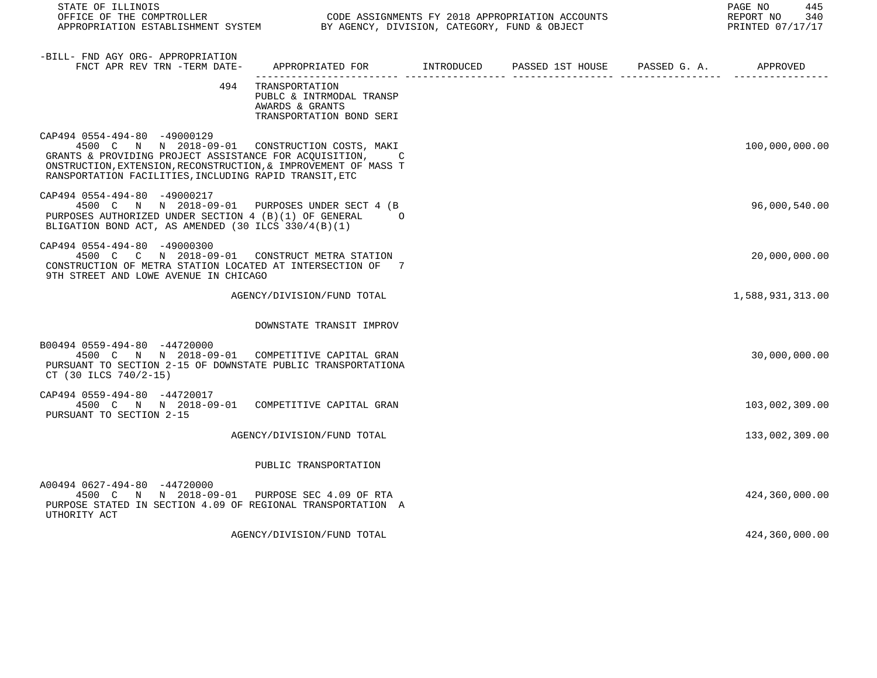| STATE OF ILLINOIS<br>OFFICE OF THE COMPTROLLER<br>APPROPRIATION ESTABLISHMENT SYSTEM BY AGENCY, DIVISION, CATEGORY, FUND & OBJECT                                                                                                                                       | CODE ASSIGNMENTS FY 2018 APPROPRIATION ACCOUNTS                                               | PAGE NO<br>445<br>REPORT NO 340<br>PRINTED 07/17/17 |  |                  |
|-------------------------------------------------------------------------------------------------------------------------------------------------------------------------------------------------------------------------------------------------------------------------|-----------------------------------------------------------------------------------------------|-----------------------------------------------------|--|------------------|
| -BILL- FND AGY ORG- APPROPRIATION<br>FNCT APR REV TRN -TERM DATE- APPROPRIATED FOR TINTRODUCED PASSED 1ST HOUSE PASSED G.A. APPROVED                                                                                                                                    |                                                                                               |                                                     |  |                  |
|                                                                                                                                                                                                                                                                         | 494 TRANSPORTATION<br>PUBLC & INTRMODAL TRANSP<br>AWARDS & GRANTS<br>TRANSPORTATION BOND SERI |                                                     |  |                  |
| CAP494 0554-494-80 -49000129<br>4500 C N N 2018-09-01 CONSTRUCTION COSTS, MAKI<br>GRANTS & PROVIDING PROJECT ASSISTANCE FOR ACOUISITION, C<br>ONSTRUCTION, EXTENSION, RECONSTRUCTION, & IMPROVEMENT OF MASS T<br>RANSPORTATION FACILITIES, INCLUDING RAPID TRANSIT, ETC |                                                                                               |                                                     |  | 100,000,000.00   |
| CAP494 0554-494-80 -49000217<br>4500 C N N 2018-09-01 PURPOSES UNDER SECT 4 (B<br>PURPOSES AUTHORIZED UNDER SECTION 4 (B)(1) OF GENERAL<br>BLIGATION BOND ACT, AS AMENDED (30 ILCS 330/4(B)(1)                                                                          | $\Omega$                                                                                      |                                                     |  | 96,000,540.00    |
| CAP494 0554-494-80 -49000300<br>4500 C C N 2018-09-01 CONSTRUCT METRA STATION<br>CONSTRUCTION OF METRA STATION LOCATED AT INTERSECTION OF 7<br>9TH STREET AND LOWE AVENUE IN CHICAGO                                                                                    |                                                                                               |                                                     |  | 20,000,000.00    |
|                                                                                                                                                                                                                                                                         | AGENCY/DIVISION/FUND TOTAL                                                                    |                                                     |  | 1,588,931,313.00 |
|                                                                                                                                                                                                                                                                         | DOWNSTATE TRANSIT IMPROV                                                                      |                                                     |  |                  |
| B00494 0559-494-80 -44720000<br>4500 C N N 2018-09-01 COMPETITIVE CAPITAL GRAN<br>PURSUANT TO SECTION 2-15 OF DOWNSTATE PUBLIC TRANSPORTATIONA<br>CT (30 ILCS 740/2-15)                                                                                                 |                                                                                               |                                                     |  | 30,000,000.00    |
| CAP494 0559-494-80 -44720017<br>4500 C N N 2018-09-01 COMPETITIVE CAPITAL GRAN<br>PURSUANT TO SECTION 2-15                                                                                                                                                              |                                                                                               |                                                     |  | 103,002,309.00   |
|                                                                                                                                                                                                                                                                         | AGENCY/DIVISION/FUND TOTAL                                                                    |                                                     |  | 133,002,309.00   |
|                                                                                                                                                                                                                                                                         | PUBLIC TRANSPORTATION                                                                         |                                                     |  |                  |
| A00494 0627-494-80 -44720000<br>4500 C N N 2018-09-01 PURPOSE SEC 4.09 OF RTA<br>PURPOSE STATED IN SECTION 4.09 OF REGIONAL TRANSPORTATION A<br>UTHORITY ACT                                                                                                            |                                                                                               |                                                     |  | 424,360,000.00   |
|                                                                                                                                                                                                                                                                         | AGENCY/DIVISION/FUND TOTAL                                                                    |                                                     |  | 424,360,000.00   |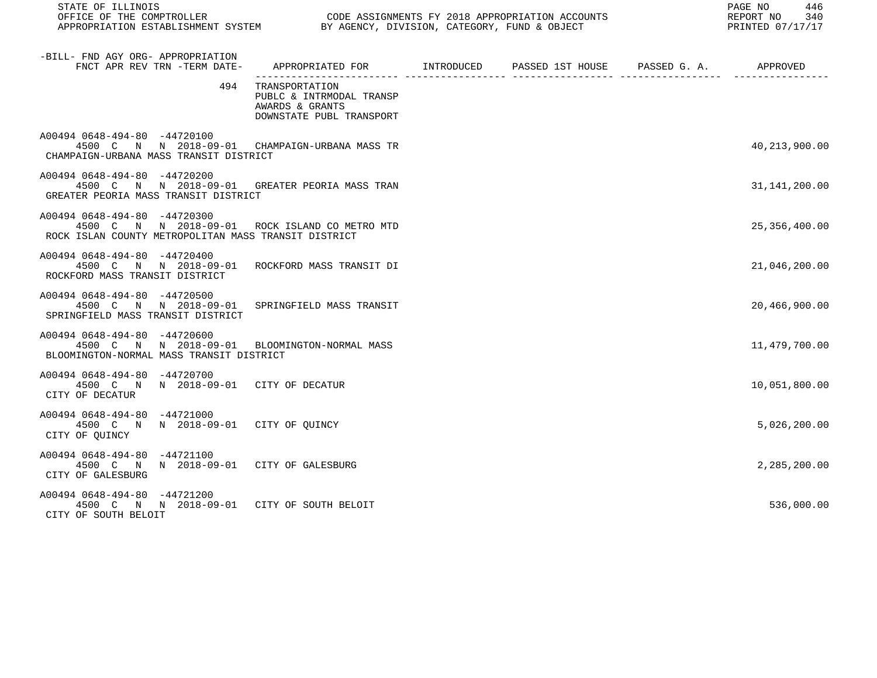| STATE OF ILLINOIS                                                                                                                    |                                                                                            |  | PAGE NO<br>446<br>REPORT NO<br>340<br>PRINTED 07/17/17 |
|--------------------------------------------------------------------------------------------------------------------------------------|--------------------------------------------------------------------------------------------|--|--------------------------------------------------------|
| -BILL- FND AGY ORG- APPROPRIATION<br>FNCT APR REV TRN -TERM DATE-                                                                    | APPROPRIATED FOR        INTRODUCED      PASSED 1ST HOUSE     PASSED G. A.         APPROVED |  |                                                        |
| 494                                                                                                                                  | TRANSPORTATION<br>PUBLC & INTRMODAL TRANSP<br>AWARDS & GRANTS<br>DOWNSTATE PUBL TRANSPORT  |  |                                                        |
| A00494 0648-494-80 -44720100<br>4500 C N N 2018-09-01 CHAMPAIGN-URBANA MASS TR<br>CHAMPAIGN-URBANA MASS TRANSIT DISTRICT             |                                                                                            |  | 40, 213, 900.00                                        |
| A00494 0648-494-80 -44720200<br>4500 C N N 2018-09-01 GREATER PEORIA MASS TRAN<br>GREATER PEORIA MASS TRANSIT DISTRICT               |                                                                                            |  | 31,141,200.00                                          |
| A00494 0648-494-80 -44720300<br>4500 C N N 2018-09-01 ROCK ISLAND COMETROMTD<br>ROCK ISLAN COUNTY METROPOLITAN MASS TRANSIT DISTRICT |                                                                                            |  | 25, 356, 400.00                                        |
| A00494 0648-494-80 -44720400<br>4500 C N N 2018-09-01 ROCKFORD MASS TRANSIT DI<br>ROCKFORD MASS TRANSIT DISTRICT                     |                                                                                            |  | 21,046,200.00                                          |
| A00494 0648-494-80 -44720500<br>4500 C N N 2018-09-01 SPRINGFIELD MASS TRANSIT<br>SPRINGFIELD MASS TRANSIT DISTRICT                  |                                                                                            |  | 20,466,900.00                                          |
| A00494 0648-494-80 -44720600<br>4500 C N N 2018-09-01 BLOOMINGTON-NORMAL MASS<br>BLOOMINGTON-NORMAL MASS TRANSIT DISTRICT            |                                                                                            |  | 11,479,700.00                                          |
| A00494 0648-494-80 -44720700<br>4500 C N N 2018-09-01 CITY OF DECATUR<br>CITY OF DECATUR                                             |                                                                                            |  | 10,051,800.00                                          |
| A00494 0648-494-80 -44721000<br>4500 C N N 2018-09-01 CITY OF QUINCY<br>CITY OF QUINCY                                               |                                                                                            |  | 5,026,200.00                                           |
| A00494 0648-494-80 -44721100<br>4500 C N N 2018-09-01 CITY OF GALESBURG<br>CITY OF GALESBURG                                         |                                                                                            |  | 2,285,200.00                                           |
| A00494 0648-494-80 -44721200<br>4500 C N N 2018-09-01 CITY OF SOUTH BELOIT<br>CITY OF SOUTH BELOIT                                   |                                                                                            |  | 536,000.00                                             |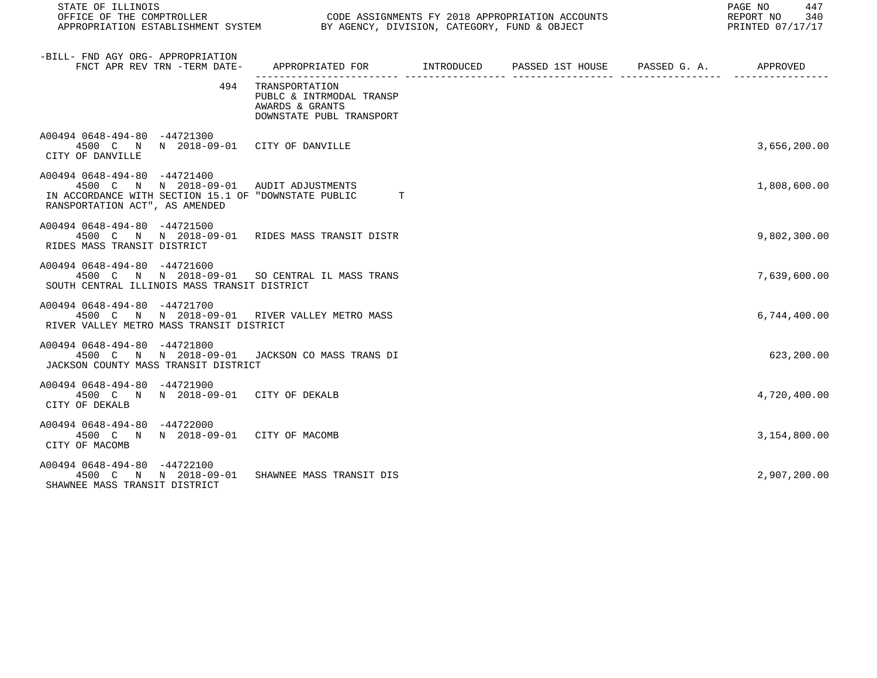| STATE OF ILLINOIS                                                                                                                                                 |                                                                                           | 447<br>PAGE NO<br>REPORT NO<br>340<br>PRINTED 07/17/17 |  |              |
|-------------------------------------------------------------------------------------------------------------------------------------------------------------------|-------------------------------------------------------------------------------------------|--------------------------------------------------------|--|--------------|
| -BILL- FND AGY ORG- APPROPRIATION<br>FNCT APR REV TRN -TERM DATE-                                                                                                 |                                                                                           |                                                        |  |              |
| 494                                                                                                                                                               | TRANSPORTATION<br>PUBLC & INTRMODAL TRANSP<br>AWARDS & GRANTS<br>DOWNSTATE PUBL TRANSPORT |                                                        |  |              |
| A00494 0648-494-80 -44721300<br>4500 C N N 2018-09-01 CITY OF DANVILLE<br>CITY OF DANVILLE                                                                        |                                                                                           |                                                        |  | 3,656,200.00 |
| A00494 0648-494-80 -44721400<br>4500 C N N 2018-09-01 AUDIT ADJUSTMENTS<br>IN ACCORDANCE WITH SECTION 15.1 OF "DOWNSTATE PUBLIC<br>RANSPORTATION ACT", AS AMENDED | T                                                                                         |                                                        |  | 1,808,600.00 |
| A00494 0648-494-80 -44721500<br>4500 C N N 2018-09-01 RIDES MASS TRANSIT DISTR<br>RIDES MASS TRANSIT DISTRICT                                                     |                                                                                           |                                                        |  | 9,802,300.00 |
| A00494 0648-494-80 -44721600<br>4500 C N N 2018-09-01 SO CENTRAL IL MASS TRANS<br>SOUTH CENTRAL ILLINOIS MASS TRANSIT DISTRICT                                    |                                                                                           |                                                        |  | 7,639,600.00 |
| A00494 0648-494-80 -44721700<br>4500 C N N 2018-09-01 RIVER VALLEY METRO MASS<br>RIVER VALLEY METRO MASS TRANSIT DISTRICT                                         |                                                                                           |                                                        |  | 6,744,400.00 |
| A00494 0648-494-80 -44721800<br>4500 C N N 2018-09-01 JACKSON CO MASS TRANS DI<br>JACKSON COUNTY MASS TRANSIT DISTRICT                                            |                                                                                           |                                                        |  | 623,200.00   |
| A00494 0648-494-80 -44721900<br>4500 C N N 2018-09-01 CITY OF DEKALB<br>CITY OF DEKALB                                                                            |                                                                                           |                                                        |  | 4,720,400.00 |
| A00494 0648-494-80 -44722000<br>4500 C N N 2018-09-01 CITY OF MACOMB<br>CITY OF MACOMB                                                                            |                                                                                           |                                                        |  | 3,154,800.00 |
| A00494 0648-494-80 -44722100<br>4500 C N N 2018-09-01<br>SHAWNEE MASS TRANSIT DISTRICT                                                                            | SHAWNEE MASS TRANSIT DIS                                                                  |                                                        |  | 2,907,200.00 |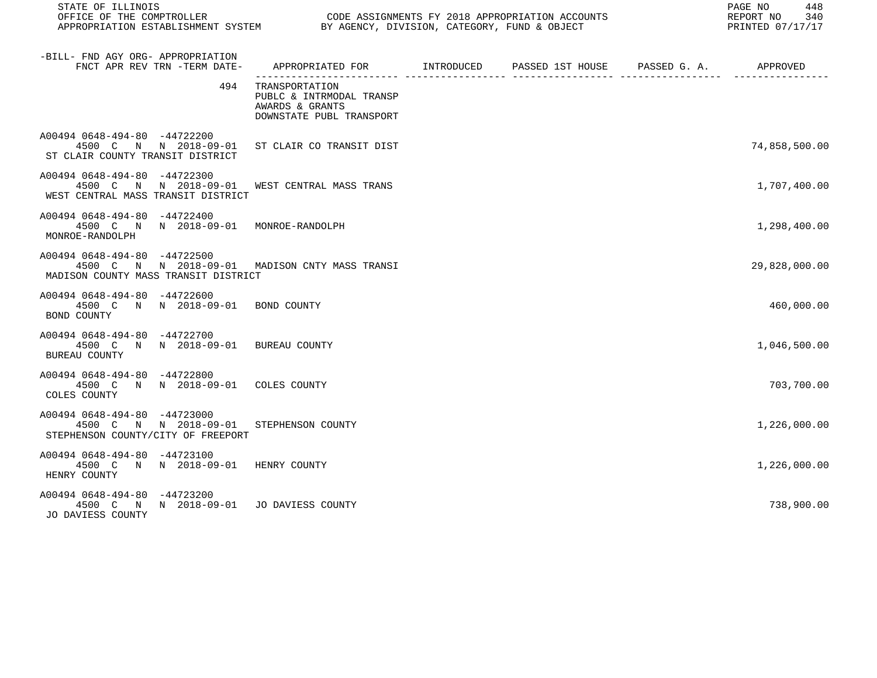| STATE OF ILLINOIS                                                                                                      |                                                                                            | 448<br>PAGE NO<br>REPORT NO<br>340<br>PRINTED 07/17/17 |  |               |
|------------------------------------------------------------------------------------------------------------------------|--------------------------------------------------------------------------------------------|--------------------------------------------------------|--|---------------|
| -BILL- FND AGY ORG- APPROPRIATION<br>FNCT APR REV TRN -TERM DATE-                                                      | APPROPRIATED FOR        INTRODUCED      PASSED 1ST HOUSE     PASSED G. A.         APPROVED |                                                        |  |               |
| 494                                                                                                                    | TRANSPORTATION<br>PUBLC & INTRMODAL TRANSP<br>AWARDS & GRANTS<br>DOWNSTATE PUBL TRANSPORT  |                                                        |  |               |
| A00494 0648-494-80 -44722200<br>4500 C N N 2018-09-01 ST CLAIR CO TRANSIT DIST<br>ST CLAIR COUNTY TRANSIT DISTRICT     |                                                                                            |                                                        |  | 74,858,500.00 |
| A00494 0648-494-80 -44722300<br>4500 C N N 2018-09-01<br>WEST CENTRAL MASS TRANSIT DISTRICT                            | WEST CENTRAL MASS TRANS                                                                    |                                                        |  | 1,707,400.00  |
| A00494 0648-494-80 -44722400<br>4500 C N N 2018-09-01 MONROE-RANDOLPH<br>MONROE-RANDOLPH                               |                                                                                            |                                                        |  | 1,298,400.00  |
| A00494 0648-494-80 -44722500<br>4500 C N N 2018-09-01 MADISON CNTY MASS TRANSI<br>MADISON COUNTY MASS TRANSIT DISTRICT |                                                                                            |                                                        |  | 29,828,000.00 |
| A00494 0648-494-80 -44722600<br>4500 C N N 2018-09-01 BOND COUNTY<br>BOND COUNTY                                       |                                                                                            |                                                        |  | 460,000.00    |
| A00494 0648-494-80 -44722700<br>4500 C N N 2018-09-01 BUREAU COUNTY<br>BUREAU COUNTY                                   |                                                                                            |                                                        |  | 1,046,500.00  |
| A00494 0648-494-80 -44722800<br>4500 C N N 2018-09-01 COLES COUNTY<br>COLES COUNTY                                     |                                                                                            |                                                        |  | 703,700.00    |
| A00494 0648-494-80 -44723000<br>4500 C N N 2018-09-01<br>STEPHENSON COUNTY/CITY OF FREEPORT                            | STEPHENSON COUNTY                                                                          |                                                        |  | 1,226,000.00  |
| A00494 0648-494-80 -44723100<br>4500 C N N 2018-09-01 HENRY COUNTY<br>HENRY COUNTY                                     |                                                                                            |                                                        |  | 1,226,000.00  |
| A00494 0648-494-80 -44723200<br>4500 C N N 2018-09-01 JO DAVIESS COUNTY<br>JO DAVIESS COUNTY                           |                                                                                            |                                                        |  | 738,900.00    |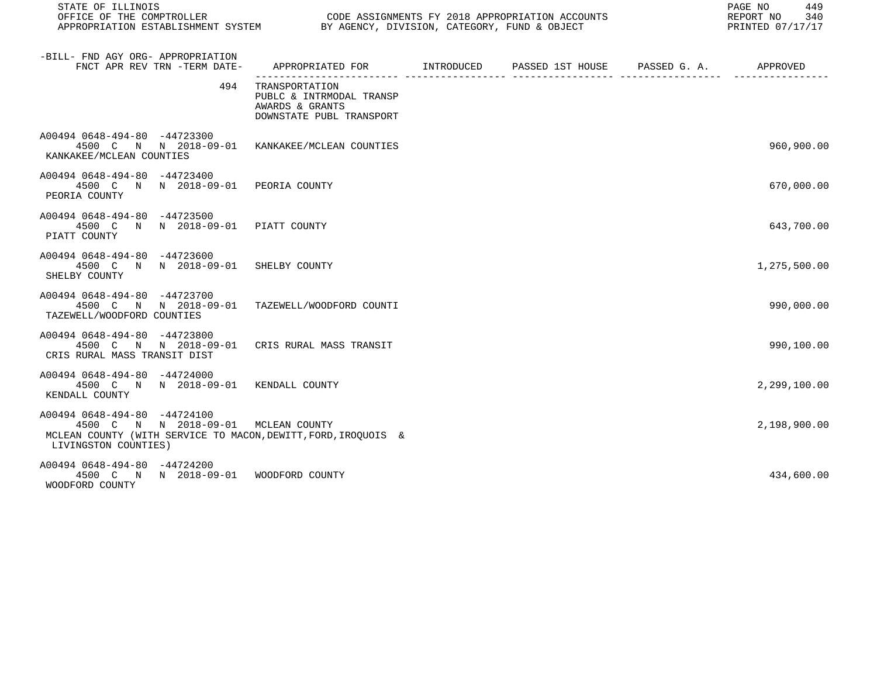| STATE OF ILLINOIS<br>OFFICE OF THE COMPTROLLER CONDUCTER CODE ASSIGNMENTS FY 2018 APPROPRIATION ACCOUNTS<br>APPROPRIATION ESTABLISHMENT SYSTEM BY AGENCY, DIVISION, CATEGORY, FUND & OBJECT |                                                                                              | PAGE NO<br>449<br>REPORT NO<br>340<br>PRINTED 07/17/17 |  |              |
|---------------------------------------------------------------------------------------------------------------------------------------------------------------------------------------------|----------------------------------------------------------------------------------------------|--------------------------------------------------------|--|--------------|
| -BILL- FND AGY ORG- APPROPRIATION<br>FNCT APR REV TRN -TERM DATE-                                                                                                                           | APPROPRIATED FOR        INTRODUCED       PASSED 1ST HOUSE      PASSED G. A.         APPROVED |                                                        |  |              |
| 494                                                                                                                                                                                         | TRANSPORTATION<br>PUBLC & INTRMODAL TRANSP<br>AWARDS & GRANTS<br>DOWNSTATE PUBL TRANSPORT    |                                                        |  |              |
| A00494 0648-494-80 -44723300<br>4500 C N N 2018-09-01 KANKAKEE/MCLEAN COUNTIES<br>KANKAKEE/MCLEAN COUNTIES                                                                                  |                                                                                              |                                                        |  | 960,900.00   |
| A00494 0648-494-80 -44723400<br>4500 C N N 2018-09-01 PEORIA COUNTY<br>PEORIA COUNTY                                                                                                        |                                                                                              |                                                        |  | 670,000.00   |
| A00494 0648-494-80 -44723500<br>4500 C N N 2018-09-01 PIATT COUNTY<br>PIATT COUNTY                                                                                                          |                                                                                              |                                                        |  | 643,700.00   |
| A00494 0648-494-80 -44723600<br>4500 C N N 2018-09-01 SHELBY COUNTY<br>SHELBY COUNTY                                                                                                        |                                                                                              |                                                        |  | 1,275,500.00 |
| A00494 0648-494-80 -44723700<br>4500 C N N 2018-09-01<br>TAZEWELL/WOODFORD COUNTIES                                                                                                         | TAZEWELL/WOODFORD COUNTI                                                                     |                                                        |  | 990,000.00   |
| A00494 0648-494-80 -44723800<br>4500 C N N 2018-09-01 CRIS RURAL MASS TRANSIT<br>CRIS RURAL MASS TRANSIT DIST                                                                               |                                                                                              |                                                        |  | 990,100.00   |
| A00494 0648-494-80 -44724000<br>4500 C N N 2018-09-01 KENDALL COUNTY<br>KENDALL COUNTY                                                                                                      |                                                                                              |                                                        |  | 2,299,100.00 |
| A00494 0648-494-80 -44724100<br>4500 C N N 2018-09-01 MCLEAN COUNTY<br>MCLEAN COUNTY (WITH SERVICE TO MACON, DEWITT, FORD, IROOUOIS &<br>LIVINGSTON COUNTIES)                               |                                                                                              |                                                        |  | 2,198,900.00 |
| A00494 0648-494-80 -44724200<br>4500 C N N 2018-09-01 WOODFORD COUNTY<br>WOODFORD COUNTY                                                                                                    |                                                                                              |                                                        |  | 434,600.00   |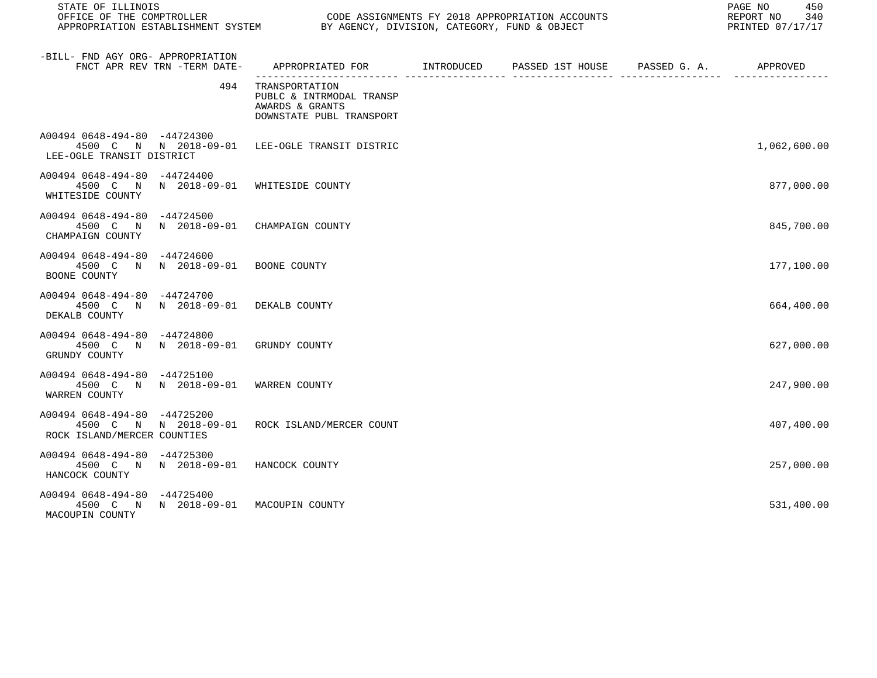| STATE OF ILLINOIS                                                                                             |                                                                                            | PAGE NO<br>450<br>REPORT NO<br>340<br>PRINTED 07/17/17 |  |              |
|---------------------------------------------------------------------------------------------------------------|--------------------------------------------------------------------------------------------|--------------------------------------------------------|--|--------------|
| -BILL- FND AGY ORG- APPROPRIATION<br>FNCT APR REV TRN -TERM DATE-                                             | APPROPRIATED FOR        INTRODUCED      PASSED 1ST HOUSE     PASSED G. A.         APPROVED |                                                        |  |              |
| 494                                                                                                           | TRANSPORTATION<br>PUBLC & INTRMODAL TRANSP<br>AWARDS & GRANTS<br>DOWNSTATE PUBL TRANSPORT  |                                                        |  |              |
| A00494 0648-494-80 -44724300<br>4500 C N N 2018-09-01 LEE-OGLE TRANSIT DISTRIC<br>LEE-OGLE TRANSIT DISTRICT   |                                                                                            |                                                        |  | 1,062,600.00 |
| A00494 0648-494-80 -44724400<br>4500 C N N 2018-09-01 WHITESIDE COUNTY<br>WHITESIDE COUNTY                    |                                                                                            |                                                        |  | 877,000.00   |
| A00494 0648-494-80 -44724500<br>4500 C N N 2018-09-01 CHAMPAIGN COUNTY<br>CHAMPAIGN COUNTY                    |                                                                                            |                                                        |  | 845,700.00   |
| A00494 0648-494-80 -44724600<br>4500 C N N 2018-09-01 BOONE COUNTY<br>BOONE COUNTY                            |                                                                                            |                                                        |  | 177,100.00   |
| A00494 0648-494-80 -44724700<br>4500 C N N 2018-09-01 DEKALB COUNTY<br>DEKALB COUNTY                          |                                                                                            |                                                        |  | 664,400.00   |
| A00494 0648-494-80 -44724800<br>4500 C N N 2018-09-01 GRUNDY COUNTY<br>GRUNDY COUNTY                          |                                                                                            |                                                        |  | 627,000.00   |
| A00494 0648-494-80 -44725100<br>4500 C N N 2018-09-01 WARREN COUNTY<br>WARREN COUNTY                          |                                                                                            |                                                        |  | 247,900.00   |
| A00494 0648-494-80 -44725200<br>4500 C N N 2018-09-01 ROCK ISLAND/MERCER COUNT<br>ROCK ISLAND/MERCER COUNTIES |                                                                                            |                                                        |  | 407,400.00   |
| A00494 0648-494-80 -44725300<br>4500 C N N 2018-09-01 HANCOCK COUNTY<br>HANCOCK COUNTY                        |                                                                                            |                                                        |  | 257,000.00   |
| A00494 0648-494-80 -44725400<br>4500 C N N 2018-09-01<br>MACOUPIN COUNTY                                      | MACOUPIN COUNTY                                                                            |                                                        |  | 531,400.00   |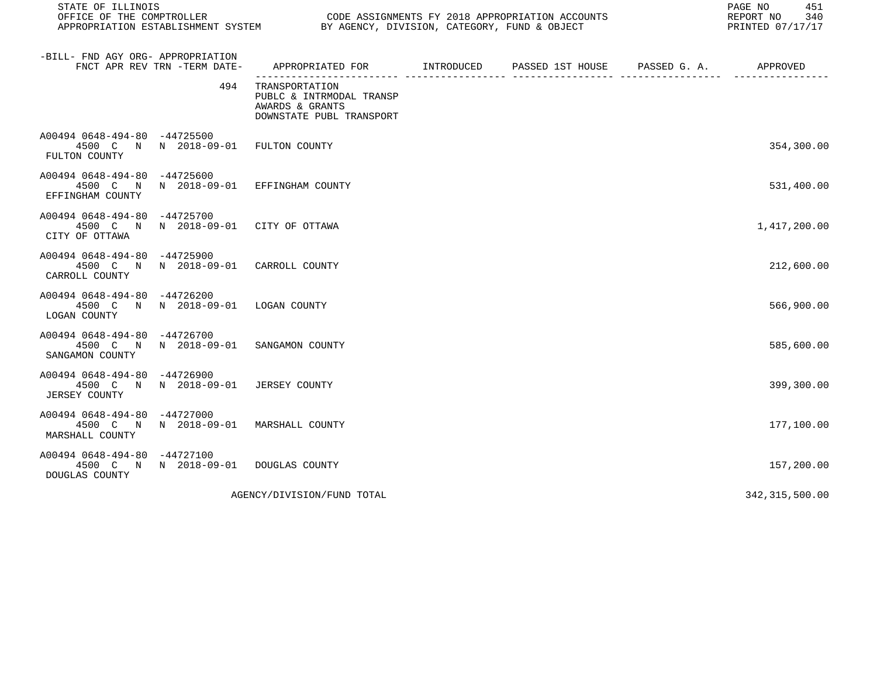| STATE OF ILLINOIS                                                                          |     |                                                                                           |  |  |  |                  |  |
|--------------------------------------------------------------------------------------------|-----|-------------------------------------------------------------------------------------------|--|--|--|------------------|--|
| -BILL- FND AGY ORG- APPROPRIATION<br>FNCT APR REV TRN -TERM DATE-                          |     | APPROPRIATED FOR TINTRODUCED PASSED 1ST HOUSE PASSED G.A. APPROVED                        |  |  |  |                  |  |
|                                                                                            | 494 | TRANSPORTATION<br>PUBLC & INTRMODAL TRANSP<br>AWARDS & GRANTS<br>DOWNSTATE PUBL TRANSPORT |  |  |  |                  |  |
| A00494 0648-494-80 -44725500<br>4500 C N N 2018-09-01 FULTON COUNTY<br>FULTON COUNTY       |     |                                                                                           |  |  |  | 354,300.00       |  |
| A00494 0648-494-80 -44725600<br>4500 C N N 2018-09-01 EFFINGHAM COUNTY<br>EFFINGHAM COUNTY |     |                                                                                           |  |  |  | 531,400.00       |  |
| A00494 0648-494-80 -44725700<br>4500 C N N 2018-09-01 CITY OF OTTAWA<br>CITY OF OTTAWA     |     |                                                                                           |  |  |  | 1,417,200.00     |  |
| A00494 0648-494-80 -44725900<br>4500 C N N 2018-09-01 CARROLL COUNTY<br>CARROLL COUNTY     |     |                                                                                           |  |  |  | 212,600.00       |  |
| A00494 0648-494-80 -44726200<br>4500 C N N 2018-09-01 LOGAN COUNTY<br>LOGAN COUNTY         |     |                                                                                           |  |  |  | 566,900.00       |  |
| A00494 0648-494-80 -44726700<br>4500 C N N 2018-09-01 SANGAMON COUNTY<br>SANGAMON COUNTY   |     |                                                                                           |  |  |  | 585,600.00       |  |
| A00494 0648-494-80 -44726900<br>4500 C N N 2018-09-01 JERSEY COUNTY<br>JERSEY COUNTY       |     |                                                                                           |  |  |  | 399,300.00       |  |
| A00494 0648-494-80 -44727000<br>4500 C N N 2018-09-01 MARSHALL COUNTY<br>MARSHALL COUNTY   |     |                                                                                           |  |  |  | 177,100.00       |  |
| A00494 0648-494-80 -44727100<br>4500 C N N 2018-09-01 DOUGLAS COUNTY<br>DOUGLAS COUNTY     |     |                                                                                           |  |  |  | 157,200.00       |  |
|                                                                                            |     | AGENCY/DIVISION/FUND TOTAL                                                                |  |  |  | 342, 315, 500.00 |  |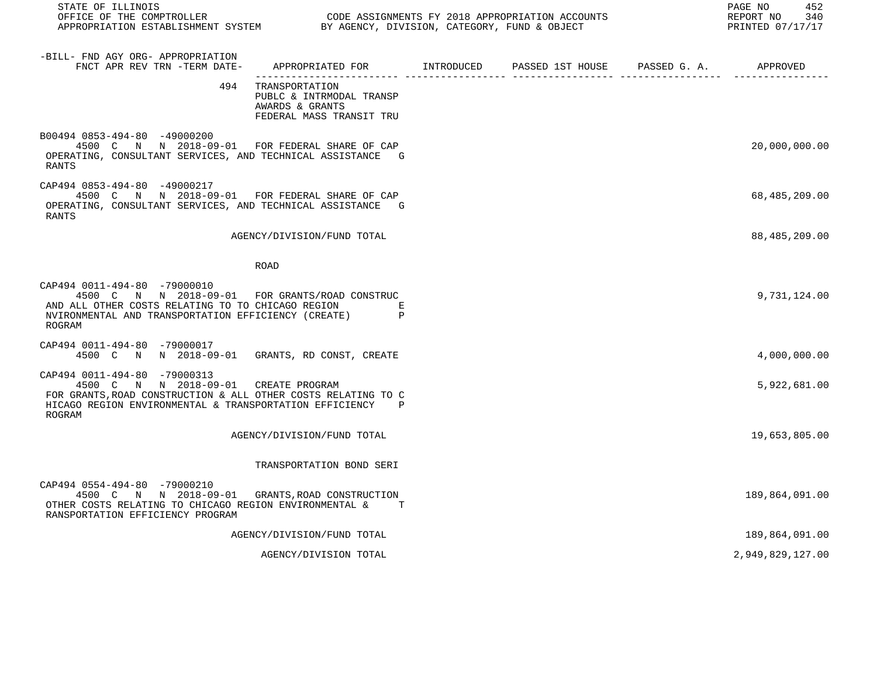| STATE OF ILLINOIS                                                                                                                                                                                            |                                                                                           | PRINTED 07/17/17 |  |  |                  |  |
|--------------------------------------------------------------------------------------------------------------------------------------------------------------------------------------------------------------|-------------------------------------------------------------------------------------------|------------------|--|--|------------------|--|
| -BILL- FND AGY ORG- APPROPRIATION<br>FNCT APR REV TRN -TERM DATE-                                                                                                                                            | APPROPRIATED FOR INTRODUCED                                                               |                  |  |  |                  |  |
| 494                                                                                                                                                                                                          | TRANSPORTATION<br>PUBLC & INTRMODAL TRANSP<br>AWARDS & GRANTS<br>FEDERAL MASS TRANSIT TRU |                  |  |  |                  |  |
| B00494 0853-494-80 -49000200<br>4500 C N N 2018-09-01 FOR FEDERAL SHARE OF CAP<br>OPERATING, CONSULTANT SERVICES, AND TECHNICAL ASSISTANCE G<br>RANTS                                                        |                                                                                           |                  |  |  | 20,000,000.00    |  |
| CAP494 0853-494-80 -49000217<br>4500 C N N 2018-09-01 FOR FEDERAL SHARE OF CAP<br>OPERATING, CONSULTANT SERVICES, AND TECHNICAL ASSISTANCE G<br><b>RANTS</b>                                                 |                                                                                           |                  |  |  | 68,485,209.00    |  |
|                                                                                                                                                                                                              | AGENCY/DIVISION/FUND TOTAL                                                                |                  |  |  | 88,485,209.00    |  |
|                                                                                                                                                                                                              | ROAD                                                                                      |                  |  |  |                  |  |
| CAP494 0011-494-80 -79000010<br>4500 C N N 2018-09-01 FOR GRANTS/ROAD CONSTRUC<br>AND ALL OTHER COSTS RELATING TO TO CHICAGO REGION<br>NVIRONMENTAL AND TRANSPORTATION EFFICIENCY (CREATE) P<br>ROGRAM       | Е                                                                                         |                  |  |  | 9,731,124.00     |  |
| CAP494 0011-494-80 -79000017<br>4500 C N N 2018-09-01 GRANTS, RD CONST, CREATE                                                                                                                               |                                                                                           |                  |  |  | 4,000,000.00     |  |
| CAP494 0011-494-80 -79000313<br>4500 C N N 2018-09-01 CREATE PROGRAM<br>FOR GRANTS, ROAD CONSTRUCTION & ALL OTHER COSTS RELATING TO C<br>HICAGO REGION ENVIRONMENTAL & TRANSPORTATION EFFICIENCY P<br>ROGRAM |                                                                                           |                  |  |  | 5,922,681.00     |  |
|                                                                                                                                                                                                              | AGENCY/DIVISION/FUND TOTAL                                                                |                  |  |  | 19,653,805.00    |  |
|                                                                                                                                                                                                              | TRANSPORTATION BOND SERI                                                                  |                  |  |  |                  |  |
| CAP494 0554-494-80 -79000210<br>4500 C N N 2018-09-01 GRANTS, ROAD CONSTRUCTION<br>OTHER COSTS RELATING TO CHICAGO REGION ENVIRONMENTAL &<br>RANSPORTATION EFFICIENCY PROGRAM                                | T                                                                                         |                  |  |  | 189,864,091.00   |  |
|                                                                                                                                                                                                              | AGENCY/DIVISION/FUND TOTAL                                                                |                  |  |  | 189,864,091.00   |  |
|                                                                                                                                                                                                              | AGENCY/DIVISION TOTAL                                                                     |                  |  |  | 2,949,829,127.00 |  |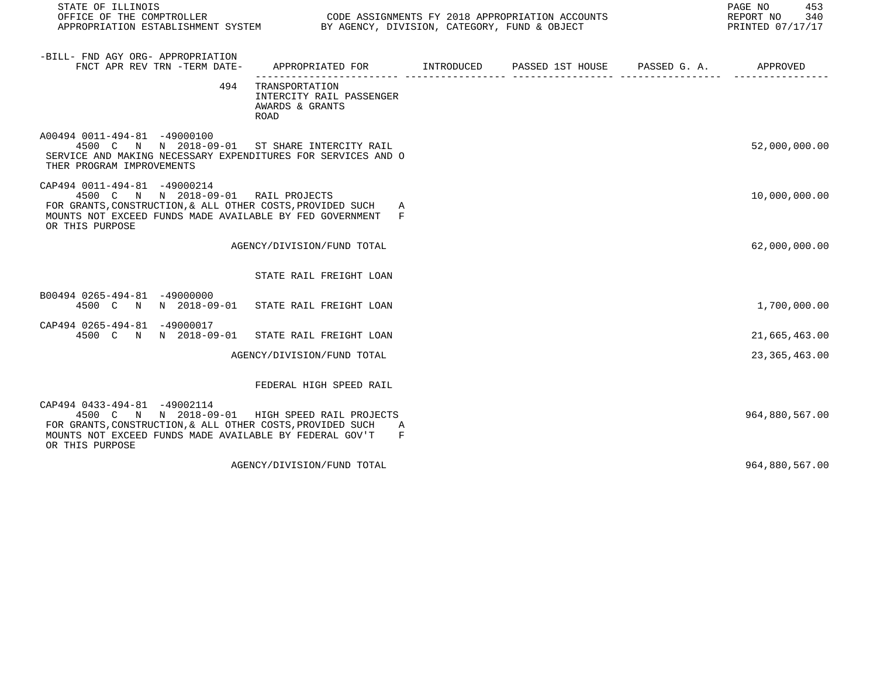| STATE OF ILLINOIS                                                                                                                                                                                                          | CODE ASSIGNMENTS FY 2018 APPROPRIATION ACCOUNTS                                           |  |  |  |                 |  |  |  |  | 453<br>PAGE NO<br>REPORT NO<br>340<br>PRINTED 07/17/17 |
|----------------------------------------------------------------------------------------------------------------------------------------------------------------------------------------------------------------------------|-------------------------------------------------------------------------------------------|--|--|--|-----------------|--|--|--|--|--------------------------------------------------------|
| -BILL- FND AGY ORG- APPROPRIATION<br>FNCT APR REV TRN -TERM DATE-                                                                                                                                                          | APPROPRIATED FOR        INTRODUCED     PASSED 1ST HOUSE     PASSED G. A.         APPROVED |  |  |  |                 |  |  |  |  |                                                        |
| 494                                                                                                                                                                                                                        | TRANSPORTATION<br>INTERCITY RAIL PASSENGER<br>AWARDS & GRANTS<br><b>ROAD</b>              |  |  |  |                 |  |  |  |  |                                                        |
| A00494 0011-494-81 -49000100<br>4500 C N N 2018-09-01 ST SHARE INTERCITY RAIL<br>SERVICE AND MAKING NECESSARY EXPENDITURES FOR SERVICES AND O<br>THER PROGRAM IMPROVEMENTS                                                 |                                                                                           |  |  |  | 52,000,000.00   |  |  |  |  |                                                        |
| CAP494 0011-494-81 -49000214<br>4500 C N N 2018-09-01 RAIL PROJECTS<br>FOR GRANTS, CONSTRUCTION, & ALL OTHER COSTS, PROVIDED SUCH A<br>MOUNTS NOT EXCEED FUNDS MADE AVAILABLE BY FED GOVERNMENT F<br>OR THIS PURPOSE       |                                                                                           |  |  |  | 10,000,000.00   |  |  |  |  |                                                        |
|                                                                                                                                                                                                                            | AGENCY/DIVISION/FUND TOTAL                                                                |  |  |  | 62,000,000.00   |  |  |  |  |                                                        |
|                                                                                                                                                                                                                            | STATE RAIL FREIGHT LOAN                                                                   |  |  |  |                 |  |  |  |  |                                                        |
| B00494 0265-494-81 -49000000<br>4500 C N N 2018-09-01 STATE RAIL FREIGHT LOAN                                                                                                                                              |                                                                                           |  |  |  | 1,700,000.00    |  |  |  |  |                                                        |
| CAP494 0265-494-81 -49000017<br>4500 C N N 2018-09-01 STATE RAIL FREIGHT LOAN                                                                                                                                              |                                                                                           |  |  |  | 21,665,463.00   |  |  |  |  |                                                        |
|                                                                                                                                                                                                                            | AGENCY/DIVISION/FUND TOTAL                                                                |  |  |  | 23, 365, 463.00 |  |  |  |  |                                                        |
|                                                                                                                                                                                                                            | FEDERAL HIGH SPEED RAIL                                                                   |  |  |  |                 |  |  |  |  |                                                        |
| CAP494 0433-494-81 -49002114<br>4500 C N N 2018-09-01 HIGH SPEED RAIL PROJECTS<br>FOR GRANTS, CONSTRUCTION, & ALL OTHER COSTS, PROVIDED SUCH<br>MOUNTS NOT EXCEED FUNDS MADE AVAILABLE BY FEDERAL GOV'T<br>OR THIS PURPOSE | A<br>$_{\rm F}$                                                                           |  |  |  | 964,880,567.00  |  |  |  |  |                                                        |
|                                                                                                                                                                                                                            | AGENCY/DIVISION/FUND TOTAL                                                                |  |  |  | 964,880,567.00  |  |  |  |  |                                                        |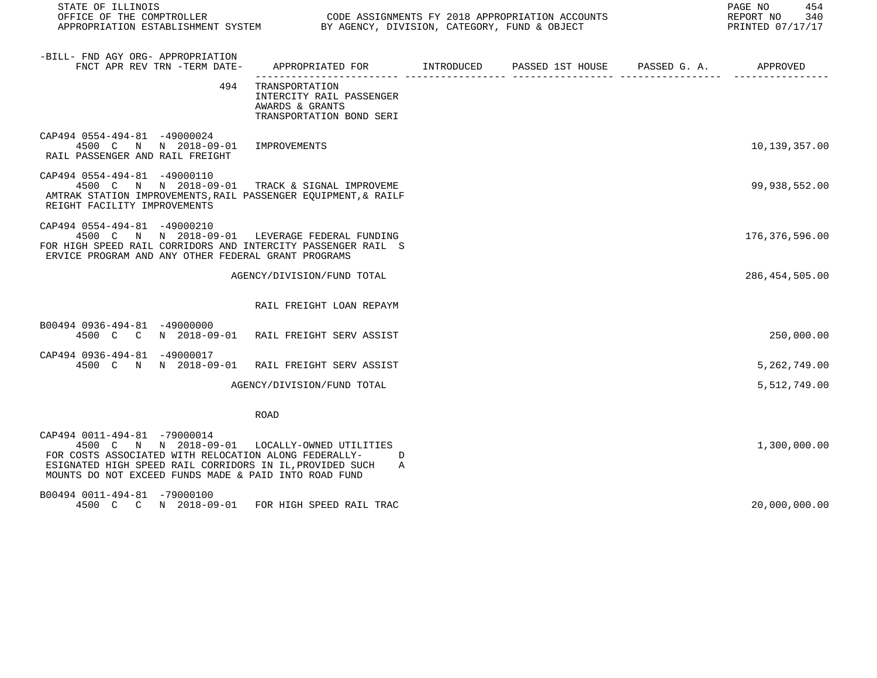| STATE OF ILLINOIS                                                                                                                                                                                                                                           |                                                                                           | PAGE NO<br>454<br>REPORT NO 340<br>PRINTED 07/17/17 |  |                  |
|-------------------------------------------------------------------------------------------------------------------------------------------------------------------------------------------------------------------------------------------------------------|-------------------------------------------------------------------------------------------|-----------------------------------------------------|--|------------------|
| -BILL- FND AGY ORG- APPROPRIATION<br>FNCT APR REV TRN -TERM DATE-                                                                                                                                                                                           | APPROPRIATED FOR        INTRODUCED      PASSED 1ST HOUSE     PASSED G. A.                 |                                                     |  | APPROVED         |
| 494                                                                                                                                                                                                                                                         | TRANSPORTATION<br>INTERCITY RAIL PASSENGER<br>AWARDS & GRANTS<br>TRANSPORTATION BOND SERI |                                                     |  |                  |
| CAP494 0554-494-81 -49000024<br>4500 C N N 2018-09-01 IMPROVEMENTS<br>RAIL PASSENGER AND RAIL FREIGHT                                                                                                                                                       |                                                                                           |                                                     |  | 10,139,357.00    |
| CAP494 0554-494-81 -49000110<br>4500 C N N 2018-09-01 TRACK & SIGNAL IMPROVEME<br>AMTRAK STATION IMPROVEMENTS, RAIL PASSENGER EQUIPMENT, & RAILF<br>REIGHT FACILITY IMPROVEMENTS                                                                            |                                                                                           |                                                     |  | 99,938,552.00    |
| CAP494 0554-494-81 -49000210<br>4500 C N N 2018-09-01 LEVERAGE FEDERAL FUNDING<br>FOR HIGH SPEED RAIL CORRIDORS AND INTERCITY PASSENGER RAIL S<br>ERVICE PROGRAM AND ANY OTHER FEDERAL GRANT PROGRAMS                                                       |                                                                                           |                                                     |  | 176,376,596.00   |
|                                                                                                                                                                                                                                                             | AGENCY/DIVISION/FUND TOTAL                                                                |                                                     |  | 286, 454, 505.00 |
|                                                                                                                                                                                                                                                             | RAIL FREIGHT LOAN REPAYM                                                                  |                                                     |  |                  |
| B00494 0936-494-81 -49000000<br>4500 C C N 2018-09-01 RAIL FREIGHT SERV ASSIST                                                                                                                                                                              |                                                                                           |                                                     |  | 250,000.00       |
| CAP494 0936-494-81 -49000017<br>4500 C N N 2018-09-01 RAIL FREIGHT SERV ASSIST                                                                                                                                                                              |                                                                                           |                                                     |  | 5,262,749.00     |
|                                                                                                                                                                                                                                                             | AGENCY/DIVISION/FUND TOTAL                                                                |                                                     |  | 5,512,749.00     |
|                                                                                                                                                                                                                                                             | <b>ROAD</b>                                                                               |                                                     |  |                  |
| CAP494 0011-494-81 -79000014<br>4500 C N N 2018-09-01 LOCALLY-OWNED UTILITIES<br>FOR COSTS ASSOCIATED WITH RELOCATION ALONG FEDERALLY-<br>ESIGNATED HIGH SPEED RAIL CORRIDORS IN IL, PROVIDED SUCH<br>MOUNTS DO NOT EXCEED FUNDS MADE & PAID INTO ROAD FUND | D<br>A                                                                                    |                                                     |  | 1,300,000.00     |
| B00494 0011-494-81 -79000100<br>4500 C C N 2018-09-01 FOR HIGH SPEED RAIL TRAC                                                                                                                                                                              |                                                                                           |                                                     |  | 20,000,000.00    |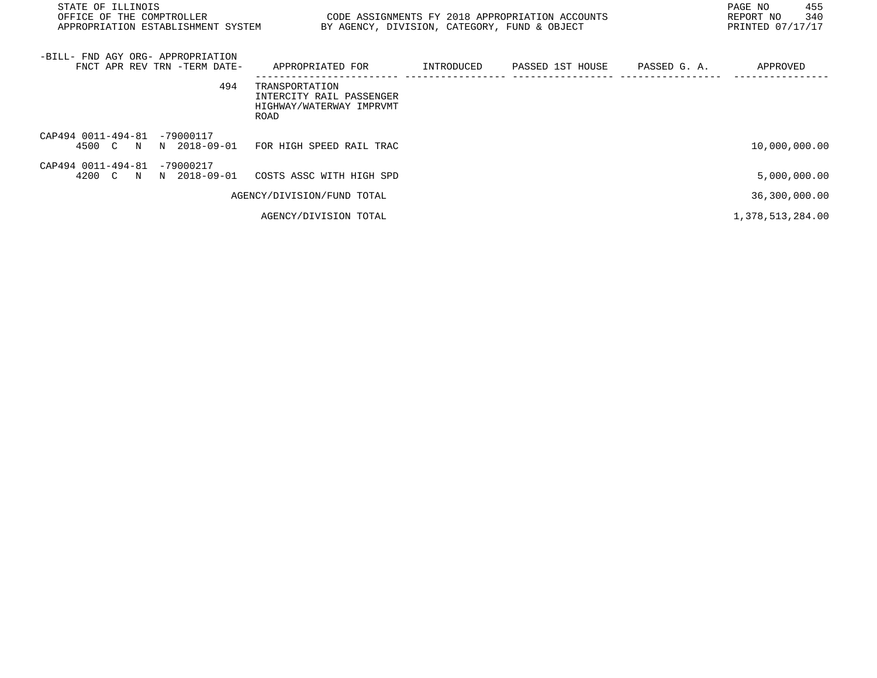| PAGE NO<br>STATE OF ILLINOIS<br>OFFICE OF THE COMPTROLLER<br>REPORT NO<br>CODE ASSIGNMENTS FY 2018 APPROPRIATION ACCOUNTS<br>PRINTED 07/17/17<br>APPROPRIATION ESTABLISHMENT SYSTEM<br>BY AGENCY, DIVISION, CATEGORY, FUND & OBJECT |                                                                                |            |                  |              |                  |
|-------------------------------------------------------------------------------------------------------------------------------------------------------------------------------------------------------------------------------------|--------------------------------------------------------------------------------|------------|------------------|--------------|------------------|
| -BILL- FND AGY ORG- APPROPRIATION<br>FNCT APR REV TRN -TERM DATE-                                                                                                                                                                   | APPROPRIATED FOR                                                               | INTRODUCED | PASSED 1ST HOUSE | PASSED G. A. | APPROVED         |
| 494                                                                                                                                                                                                                                 | TRANSPORTATION<br>INTERCITY RAIL PASSENGER<br>HIGHWAY/WATERWAY IMPRVMT<br>ROAD |            |                  |              |                  |
| CAP494 0011-494-81<br>$-79000117$<br>4500 C N<br>N 2018-09-01                                                                                                                                                                       | FOR HIGH SPEED RAIL TRAC                                                       |            |                  |              | 10,000,000.00    |
| CAP494 0011-494-81<br>$-79000217$<br>4200 C N N 2018-09-01                                                                                                                                                                          | COSTS ASSC WITH HIGH SPD                                                       |            |                  |              | 5,000,000.00     |
|                                                                                                                                                                                                                                     | AGENCY/DIVISION/FUND TOTAL                                                     |            |                  |              | 36,300,000.00    |
|                                                                                                                                                                                                                                     | AGENCY/DIVISION TOTAL                                                          |            |                  |              | 1,378,513,284.00 |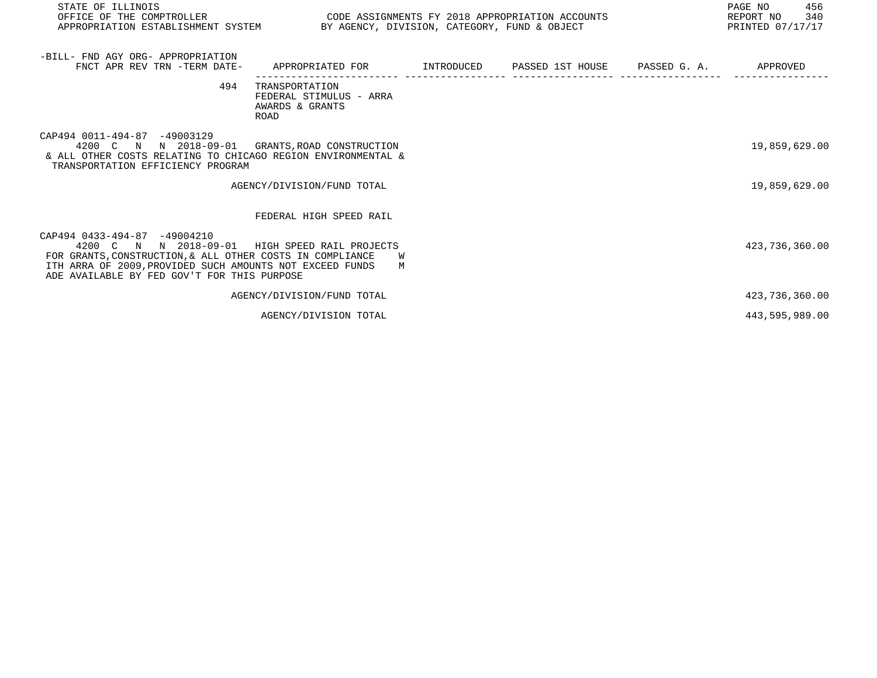| STATE OF ILLINOIS<br>OFFICE OF THE COMPTROLLER<br>APPROPRIATION ESTABLISHMENT SYSTEM BY AGENCY, DIVISION, CATEGORY, FUND & OBJECT                                                                                             | CODE ASSIGNMENTS FY 2018 APPROPRIATION ACCOUNTS                      |  | PAGE NO<br>456<br>340<br>REPORT NO<br>PRINTED 07/17/17 |
|-------------------------------------------------------------------------------------------------------------------------------------------------------------------------------------------------------------------------------|----------------------------------------------------------------------|--|--------------------------------------------------------|
| -BILL- FND AGY ORG- APPROPRIATION<br>FNCT APR REV TRN -TERM DATE-                                                                                                                                                             | APPROPRIATED FOR      INTRODUCED   PASSED 1ST HOUSE   PASSED G.A.    |  | APPROVED                                               |
| 494                                                                                                                                                                                                                           | TRANSPORTATION<br>FEDERAL STIMULUS - ARRA<br>AWARDS & GRANTS<br>ROAD |  |                                                        |
| CAP494 0011-494-87 -49003129<br>4200 C N N 2018-09-01<br>& ALL OTHER COSTS RELATING TO CHICAGO REGION ENVIRONMENTAL &<br>TRANSPORTATION EFFICIENCY PROGRAM                                                                    | GRANTS, ROAD CONSTRUCTION                                            |  | 19,859,629.00                                          |
|                                                                                                                                                                                                                               | AGENCY/DIVISION/FUND TOTAL                                           |  | 19,859,629.00                                          |
|                                                                                                                                                                                                                               | FEDERAL HIGH SPEED RAIL                                              |  |                                                        |
| CAP494 0433-494-87 -49004210<br>4200 C N N 2018-09-01<br>FOR GRANTS, CONSTRUCTION, & ALL OTHER COSTS IN COMPLIANCE<br>ITH ARRA OF 2009, PROVIDED SUCH AMOUNTS NOT EXCEED FUNDS<br>ADE AVAILABLE BY FED GOV'T FOR THIS PURPOSE | HIGH SPEED RAIL PROJECTS<br>W<br>M                                   |  | 423,736,360.00                                         |
|                                                                                                                                                                                                                               | AGENCY/DIVISION/FUND TOTAL                                           |  | 423,736,360.00                                         |
|                                                                                                                                                                                                                               | AGENCY/DIVISION TOTAL                                                |  | 443,595,989.00                                         |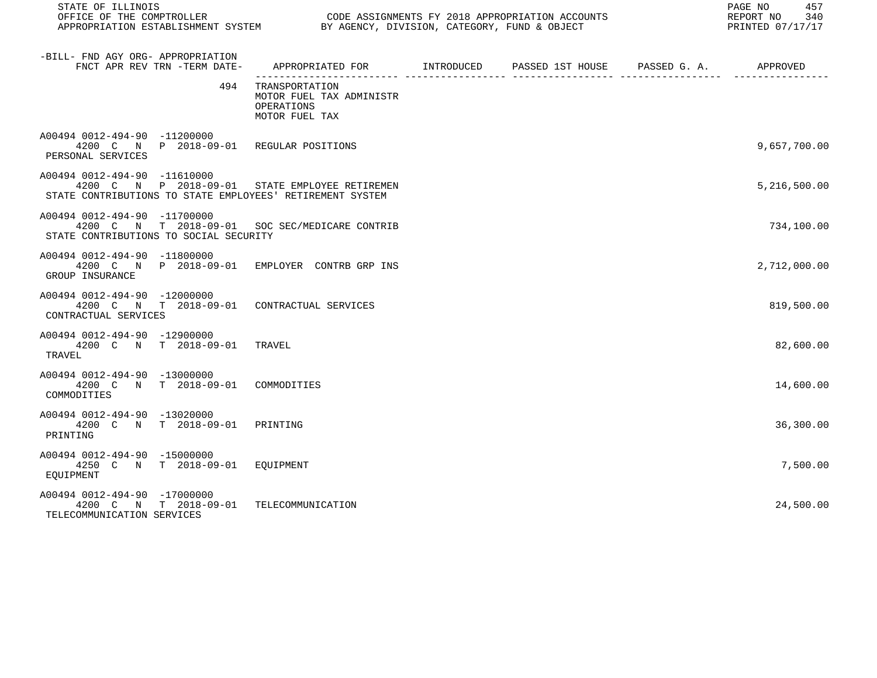| STATE OF ILLINOIS                                                                                                                           |                                                                                         |  | PAGE NO<br>457<br>REPORT NO<br>340<br>PRINTED 07/17/17 |
|---------------------------------------------------------------------------------------------------------------------------------------------|-----------------------------------------------------------------------------------------|--|--------------------------------------------------------|
| -BILL- FND AGY ORG- APPROPRIATION<br>FNCT APR REV TRN -TERM DATE-                                                                           | APPROPRIATED FOR       INTRODUCED     PASSED 1ST HOUSE     PASSED G. A.        APPROVED |  |                                                        |
| 494                                                                                                                                         | TRANSPORTATION<br>MOTOR FUEL TAX ADMINISTR<br>OPERATIONS<br>MOTOR FUEL TAX              |  |                                                        |
| A00494 0012-494-90 -11200000<br>4200 C N P 2018-09-01 REGULAR POSITIONS<br>PERSONAL SERVICES                                                |                                                                                         |  | 9,657,700.00                                           |
| A00494 0012-494-90 -11610000<br>4200 C N P 2018-09-01 STATE EMPLOYEE RETIREMEN<br>STATE CONTRIBUTIONS TO STATE EMPLOYEES' RETIREMENT SYSTEM |                                                                                         |  | 5,216,500.00                                           |
| A00494 0012-494-90 -11700000<br>4200 C N T 2018-09-01 SOC SEC/MEDICARE CONTRIB<br>STATE CONTRIBUTIONS TO SOCIAL SECURITY                    |                                                                                         |  | 734,100.00                                             |
| A00494 0012-494-90 -11800000<br>4200 C N P 2018-09-01 EMPLOYER CONTRB GRP INS<br>GROUP INSURANCE                                            |                                                                                         |  | 2,712,000.00                                           |
| A00494 0012-494-90 -12000000<br>4200 C N T 2018-09-01 CONTRACTUAL SERVICES<br>CONTRACTUAL SERVICES                                          |                                                                                         |  | 819,500.00                                             |
| A00494 0012-494-90 -12900000<br>4200 C N T 2018-09-01 TRAVEL<br>TRAVEL                                                                      |                                                                                         |  | 82,600.00                                              |
| A00494 0012-494-90 -13000000<br>4200 C N T 2018-09-01 COMMODITIES<br>COMMODITIES                                                            |                                                                                         |  | 14,600.00                                              |
| A00494 0012-494-90 -13020000<br>4200 C N T 2018-09-01<br>PRINTING                                                                           | PRINTING                                                                                |  | 36,300.00                                              |
| A00494 0012-494-90 -15000000<br>4250 C N T 2018-09-01 EOUIPMENT<br>EOUIPMENT                                                                |                                                                                         |  | 7,500.00                                               |
| A00494 0012-494-90 -17000000<br>4200 C N T 2018-09-01<br>TELECOMMUNICATION SERVICES                                                         | TELECOMMUNICATION                                                                       |  | 24,500.00                                              |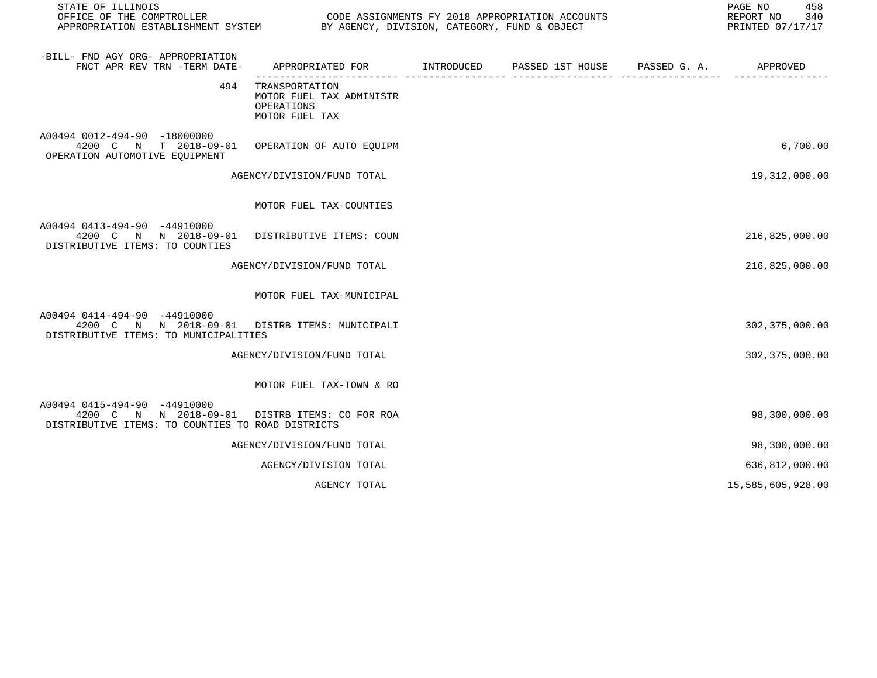| STATE OF ILLINOIS                                                                                                                   |                                                                            |  | PAGE NO<br>458<br>REPORT NO 340<br>PRINTED 07/17/17 |
|-------------------------------------------------------------------------------------------------------------------------------------|----------------------------------------------------------------------------|--|-----------------------------------------------------|
| -BILL- FND AGY ORG- APPROPRIATION<br>FNCT APR REV TRN -TERM DATE-                                                                   |                                                                            |  |                                                     |
| 494                                                                                                                                 | TRANSPORTATION<br>MOTOR FUEL TAX ADMINISTR<br>OPERATIONS<br>MOTOR FUEL TAX |  |                                                     |
| A00494 0012-494-90 -18000000<br>4200 C N T 2018-09-01<br>OPERATION AUTOMOTIVE EOUIPMENT                                             | OPERATION OF AUTO EQUIPM                                                   |  | 6,700.00                                            |
|                                                                                                                                     | AGENCY/DIVISION/FUND TOTAL                                                 |  | 19,312,000.00                                       |
|                                                                                                                                     | MOTOR FUEL TAX-COUNTIES                                                    |  |                                                     |
| A00494 0413-494-90 -44910000<br>4200 C N N 2018-09-01 DISTRIBUTIVE ITEMS: COUN<br>DISTRIBUTIVE ITEMS: TO COUNTIES                   |                                                                            |  | 216,825,000.00                                      |
|                                                                                                                                     | AGENCY/DIVISION/FUND TOTAL                                                 |  | 216,825,000.00                                      |
|                                                                                                                                     | MOTOR FUEL TAX-MUNICIPAL                                                   |  |                                                     |
| A00494 0414-494-90 -44910000<br>4200 C N N 2018-09-01 DISTRB ITEMS: MUNICIPALI<br>DISTRIBUTIVE ITEMS: TO MUNICIPALITIES             |                                                                            |  | 302, 375, 000.00                                    |
|                                                                                                                                     | AGENCY/DIVISION/FUND TOTAL                                                 |  | 302, 375, 000.00                                    |
|                                                                                                                                     | MOTOR FUEL TAX-TOWN & RO                                                   |  |                                                     |
| A00494 0415-494-90 -44910000<br>4200 C N N 2018-09-01 DISTRB ITEMS: CO FOR ROA<br>DISTRIBUTIVE ITEMS: TO COUNTIES TO ROAD DISTRICTS |                                                                            |  | 98,300,000.00                                       |
|                                                                                                                                     | AGENCY/DIVISION/FUND TOTAL                                                 |  | 98,300,000.00                                       |
|                                                                                                                                     | AGENCY/DIVISION TOTAL                                                      |  | 636,812,000.00                                      |
|                                                                                                                                     | AGENCY TOTAL                                                               |  | 15,585,605,928.00                                   |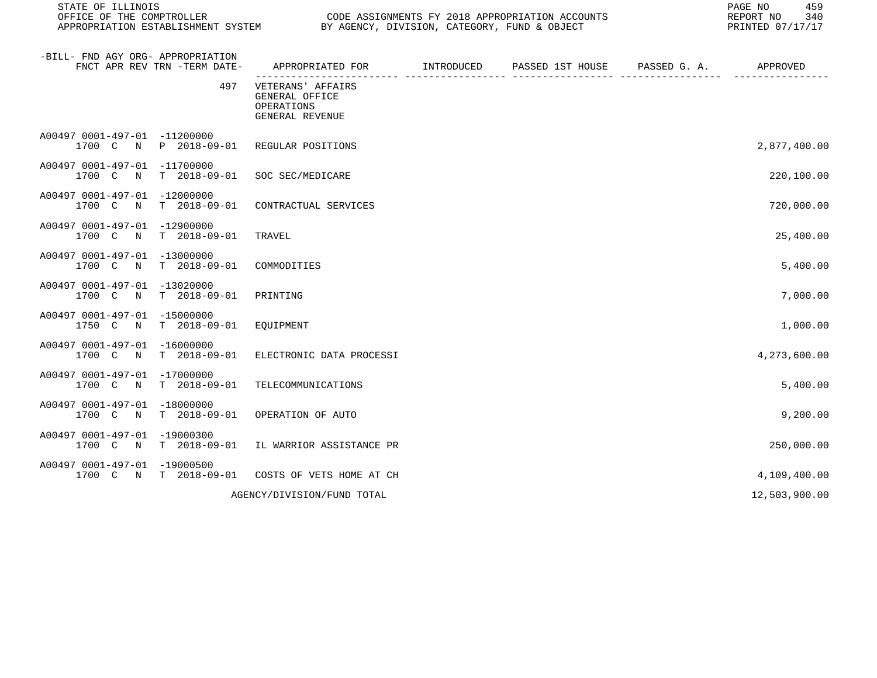| STATE OF ILLINOIS<br>OFFICE OF THE COMPTROLLER<br>APPROPRIATION ESTABLISHMENT SYSTEM | BY AGENCY, DIVISION, CATEGORY, FUND & OBJECT                         | CODE ASSIGNMENTS FY 2018 APPROPRIATION ACCOUNTS | 459<br>PAGE NO<br>REPORT NO<br>340<br>PRINTED 07/17/17 |
|--------------------------------------------------------------------------------------|----------------------------------------------------------------------|-------------------------------------------------|--------------------------------------------------------|
| -BILL- FND AGY ORG- APPROPRIATION<br>FNCT APR REV TRN -TERM DATE-                    | APPROPRIATED FOR TINTRODUCED PASSED 1ST HOUSE PASSED G. A.           |                                                 | APPROVED                                               |
| 497                                                                                  | VETERANS' AFFAIRS<br>GENERAL OFFICE<br>OPERATIONS<br>GENERAL REVENUE |                                                 |                                                        |
| A00497 0001-497-01 -11200000<br>1700 C N P 2018-09-01                                | REGULAR POSITIONS                                                    |                                                 | 2,877,400.00                                           |
| A00497 0001-497-01 -11700000<br>T 2018-09-01<br>1700 C N                             | SOC SEC/MEDICARE                                                     |                                                 | 220,100.00                                             |
| A00497 0001-497-01 -12000000<br>1700 C N<br>$T = 2018 - 09 - 01$                     | CONTRACTUAL SERVICES                                                 |                                                 | 720,000.00                                             |
| A00497 0001-497-01 -12900000<br>1700 C N<br>$T = 2018 - 09 - 01$                     | TRAVEL                                                               |                                                 | 25,400.00                                              |
| A00497 0001-497-01 -13000000<br>1700 C N T 2018-09-01                                | COMMODITIES                                                          |                                                 | 5,400.00                                               |
| A00497 0001-497-01 -13020000<br>1700 C N<br>T 2018-09-01                             | PRINTING                                                             |                                                 | 7,000.00                                               |
| A00497 0001-497-01 -15000000<br>1750 C N T 2018-09-01                                | EQUIPMENT                                                            |                                                 | 1,000.00                                               |
| A00497 0001-497-01 -16000000<br>1700 C N<br>T 2018-09-01                             | ELECTRONIC DATA PROCESSI                                             |                                                 | 4,273,600.00                                           |
| A00497 0001-497-01 -17000000<br>1700 C N T 2018-09-01                                | TELECOMMUNICATIONS                                                   |                                                 | 5,400.00                                               |
| A00497 0001-497-01 -18000000<br>T 2018-09-01<br>1700 C N                             | OPERATION OF AUTO                                                    |                                                 | 9,200.00                                               |
| A00497 0001-497-01 -19000300<br>1700 C N T 2018-09-01                                | IL WARRIOR ASSISTANCE PR                                             |                                                 | 250,000.00                                             |
| A00497 0001-497-01 -19000500<br>1700 C N T 2018-09-01                                | COSTS OF VETS HOME AT CH                                             |                                                 | 4,109,400.00                                           |
|                                                                                      | AGENCY/DIVISION/FUND TOTAL                                           |                                                 | 12,503,900.00                                          |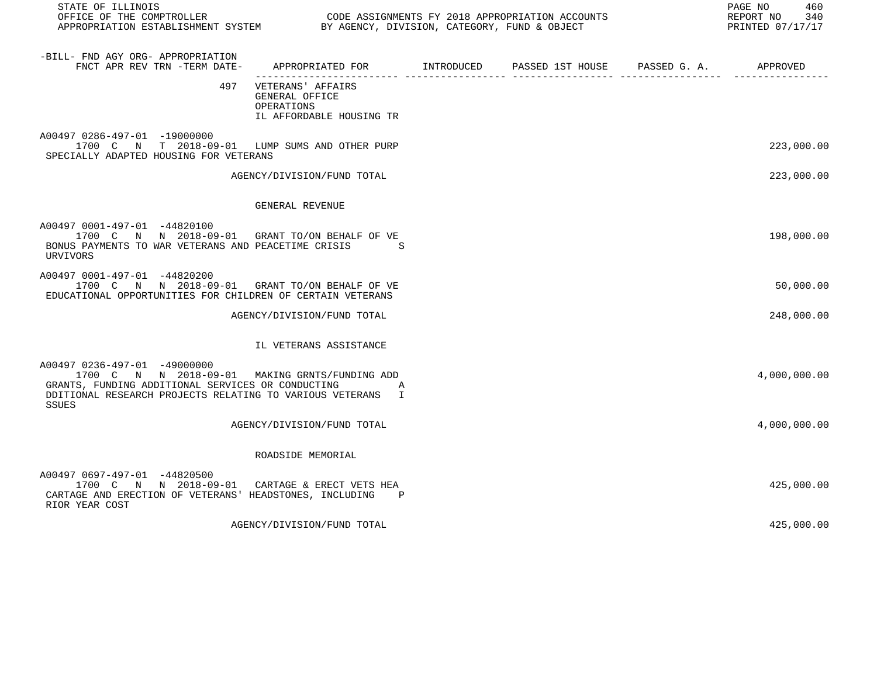| STATE OF ILLINOIS<br>OODE ASSIGNMENTS FY 2018 APPROPRIATION ACCOUNTS<br>APPROPRIATION ESTABLISHMENT SYSTEM BY AGENCY, DIVISION, CATEGORY, FUND & OBJECT                                                           |                                                                                   |  | PAGE NO<br>460<br>REPORT NO 340<br>PRINTED 07/17/17 |
|-------------------------------------------------------------------------------------------------------------------------------------------------------------------------------------------------------------------|-----------------------------------------------------------------------------------|--|-----------------------------------------------------|
| -BILL- FND AGY ORG- APPROPRIATION                                                                                                                                                                                 |                                                                                   |  |                                                     |
|                                                                                                                                                                                                                   | 497 VETERANS' AFFAIRS<br>GENERAL OFFICE<br>OPERATIONS<br>IL AFFORDABLE HOUSING TR |  |                                                     |
| A00497 0286-497-01 -19000000<br>1700 C N T 2018-09-01 LUMP SUMS AND OTHER PURP<br>SPECIALLY ADAPTED HOUSING FOR VETERANS                                                                                          |                                                                                   |  | 223,000.00                                          |
|                                                                                                                                                                                                                   | AGENCY/DIVISION/FUND TOTAL                                                        |  | 223,000.00                                          |
|                                                                                                                                                                                                                   | GENERAL REVENUE                                                                   |  |                                                     |
| A00497 0001-497-01 -44820100<br>1700 C N N 2018-09-01 GRANT TO/ON BEHALF OF VE<br>BONUS PAYMENTS TO WAR VETERANS AND PEACETIME CRISIS<br>URVIVORS                                                                 | S                                                                                 |  | 198,000.00                                          |
| A00497 0001-497-01 -44820200<br>1700 C N N 2018-09-01 GRANT TO/ON BEHALF OF VE<br>EDUCATIONAL OPPORTUNITIES FOR CHILDREN OF CERTAIN VETERANS                                                                      |                                                                                   |  | 50,000.00                                           |
|                                                                                                                                                                                                                   | AGENCY/DIVISION/FUND TOTAL                                                        |  | 248,000.00                                          |
|                                                                                                                                                                                                                   | IL VETERANS ASSISTANCE                                                            |  |                                                     |
| A00497 0236-497-01 -49000000<br>1700 C N N 2018-09-01 MAKING GRNTS/FUNDING ADD<br>GRANTS, FUNDING ADDITIONAL SERVICES OR CONDUCTING<br>DDITIONAL RESEARCH PROJECTS RELATING TO VARIOUS VETERANS I<br><b>SSUES</b> | $\overline{A}$                                                                    |  | 4,000,000.00                                        |
|                                                                                                                                                                                                                   | AGENCY/DIVISION/FUND TOTAL                                                        |  | 4,000,000.00                                        |
|                                                                                                                                                                                                                   | ROADSIDE MEMORIAL                                                                 |  |                                                     |
| A00497 0697-497-01 -44820500<br>1700 C N N 2018-09-01 CARTAGE & ERECT VETS HEA<br>CARTAGE AND ERECTION OF VETERANS' HEADSTONES, INCLUDING<br>RIOR YEAR COST                                                       | $\mathbf{P}$                                                                      |  | 425,000.00                                          |

AGENCY/DIVISION/FUND TOTAL 425,000.00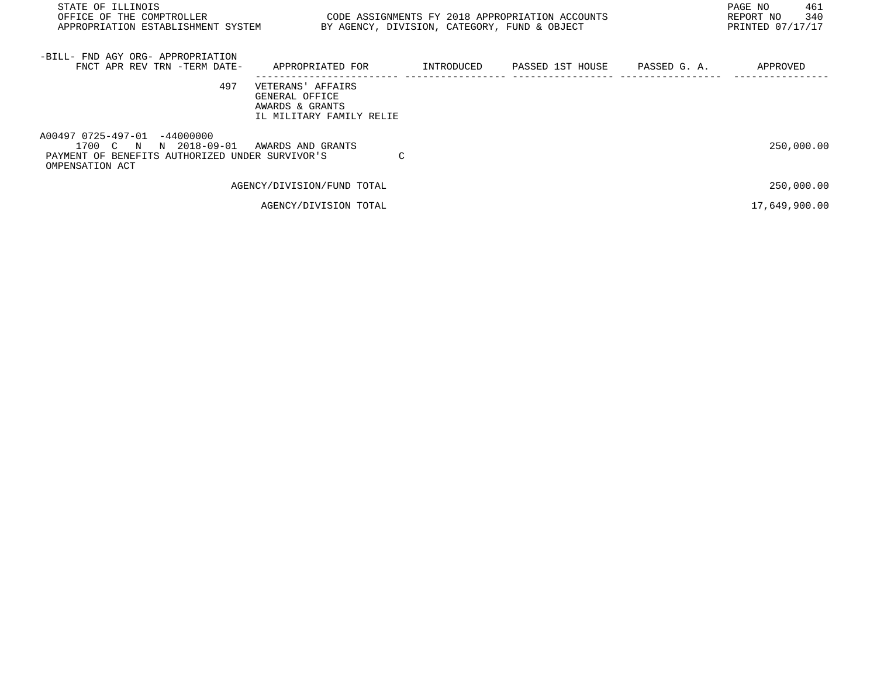| STATE OF ILLINOIS<br>OFFICE OF THE COMPTROLLER<br>APPROPRIATION ESTABLISHMENT SYSTEM                                                |                                                                                    | BY AGENCY, DIVISION, CATEGORY, FUND & OBJECT | CODE ASSIGNMENTS FY 2018 APPROPRIATION ACCOUNTS |              | PAGE NO<br>461<br>340<br>REPORT NO<br>PRINTED 07/17/17 |
|-------------------------------------------------------------------------------------------------------------------------------------|------------------------------------------------------------------------------------|----------------------------------------------|-------------------------------------------------|--------------|--------------------------------------------------------|
| -BILL- FND AGY ORG- APPROPRIATION<br>FNCT APR REV TRN -TERM DATE-                                                                   | APPROPRIATED FOR                                                                   | INTRODUCED                                   | PASSED 1ST HOUSE                                | PASSED G. A. | APPROVED                                               |
| 497                                                                                                                                 | VETERANS' AFFAIRS<br>GENERAL OFFICE<br>AWARDS & GRANTS<br>IL MILITARY FAMILY RELIE |                                              |                                                 |              |                                                        |
| A00497 0725-497-01<br>$-44000000$<br>N 2018-09-01<br>1700 C N<br>PAYMENT OF BENEFITS AUTHORIZED UNDER SURVIVOR'S<br>OMPENSATION ACT | AWARDS AND GRANTS                                                                  | C                                            |                                                 |              | 250,000.00                                             |
|                                                                                                                                     | AGENCY/DIVISION/FUND TOTAL                                                         |                                              |                                                 |              | 250,000.00                                             |
|                                                                                                                                     | AGENCY/DIVISION TOTAL                                                              |                                              |                                                 |              | 17,649,900.00                                          |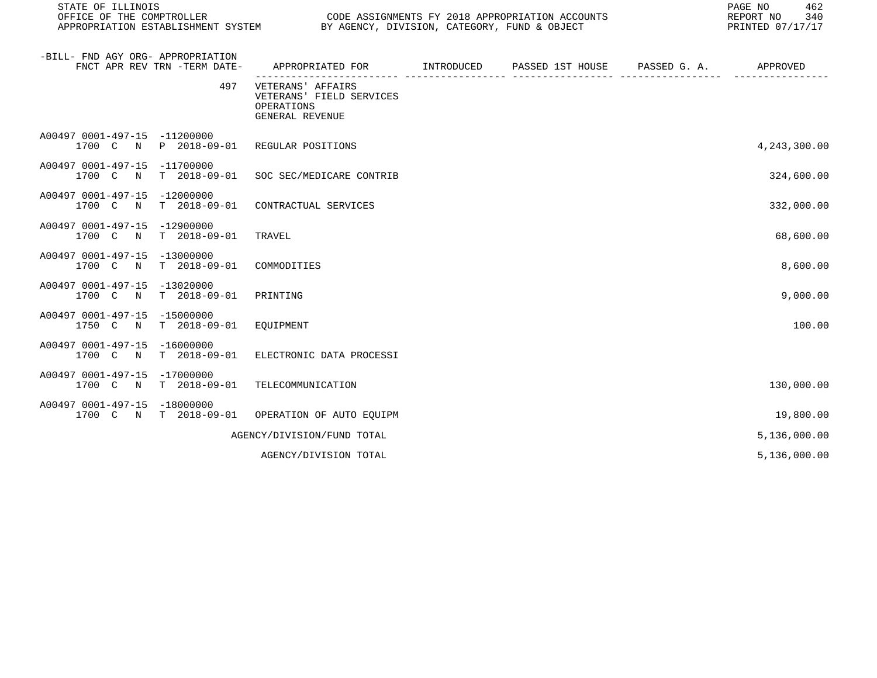| STATE OF ILLINOIS<br>OFFICE OF THE COMPTROLLER<br>APPROPRIATION ESTABLISHMENT SYSTEM | BY AGENCY, DIVISION, CATEGORY, FUND & OBJECT                                   |            | CODE ASSIGNMENTS FY 2018 APPROPRIATION ACCOUNTS | PAGE NO<br>462<br>REPORT NO<br>340<br>PRINTED 07/17/17 |
|--------------------------------------------------------------------------------------|--------------------------------------------------------------------------------|------------|-------------------------------------------------|--------------------------------------------------------|
| -BILL- FND AGY ORG- APPROPRIATION<br>FNCT APR REV TRN -TERM DATE-                    | APPROPRIATED FOR                                                               | INTRODUCED | PASSED 1ST HOUSE PASSED G. A.                   | APPROVED                                               |
| 497                                                                                  | VETERANS' AFFAIRS<br>VETERANS' FIELD SERVICES<br>OPERATIONS<br>GENERAL REVENUE |            |                                                 |                                                        |
| A00497 0001-497-15 -11200000<br>1700 C N P 2018-09-01                                | REGULAR POSITIONS                                                              |            |                                                 | 4,243,300.00                                           |
| A00497 0001-497-15 -11700000<br>T 2018-09-01<br>1700 C<br>$\mathbb N$                | SOC SEC/MEDICARE CONTRIB                                                       |            |                                                 | 324,600.00                                             |
| A00497 0001-497-15 -12000000<br>$T = 2018 - 09 - 01$<br>1700 C<br>$\mathbb N$        | CONTRACTUAL SERVICES                                                           |            |                                                 | 332,000.00                                             |
| A00497 0001-497-15 -12900000<br>T 2018-09-01<br>1700 C N                             | TRAVEL                                                                         |            |                                                 | 68,600.00                                              |
| A00497 0001-497-15<br>$-13000000$<br>$T = 2018 - 09 - 01$<br>1700 C<br>$\mathbb N$   | COMMODITIES                                                                    |            |                                                 | 8,600.00                                               |
| A00497 0001-497-15<br>$-13020000$<br>T 2018-09-01<br>1700 C<br>$\mathbb N$           | PRINTING                                                                       |            |                                                 | 9,000.00                                               |
| A00497 0001-497-15 -15000000<br>1750 C<br>T 2018-09-01<br>N                          | EQUIPMENT                                                                      |            |                                                 | 100.00                                                 |
| A00497 0001-497-15 -16000000<br>1700 C N<br>T 2018-09-01                             | ELECTRONIC DATA PROCESSI                                                       |            |                                                 |                                                        |
| A00497 0001-497-15 -17000000<br>1700 C N<br>T 2018-09-01                             | TELECOMMUNICATION                                                              |            |                                                 | 130,000.00                                             |
| A00497 0001-497-15 -18000000<br>1700 C N T 2018-09-01                                | OPERATION OF AUTO EQUIPM                                                       |            |                                                 | 19,800.00                                              |
|                                                                                      | AGENCY/DIVISION/FUND TOTAL                                                     |            |                                                 | 5,136,000.00                                           |
|                                                                                      | AGENCY/DIVISION TOTAL                                                          |            |                                                 | 5,136,000.00                                           |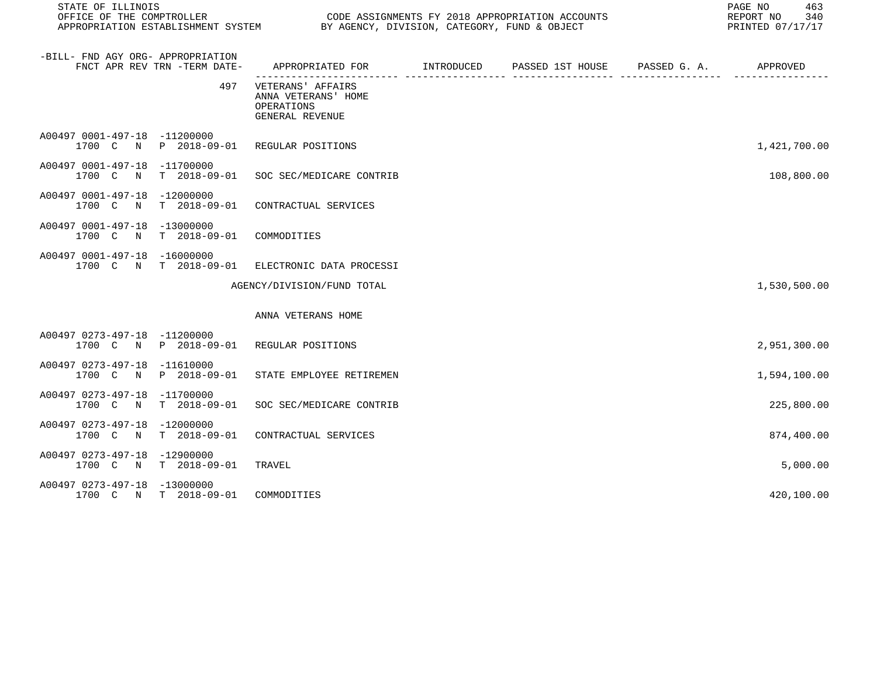| STATE OF ILLINOIS                                                       |                                                                                               | CODE ASSIGNMENTS FY 2018 APPROPRIATION ACCOUNTS<br>REPORT NO<br>PRINTED 07/17/17 |  |  |              |  |
|-------------------------------------------------------------------------|-----------------------------------------------------------------------------------------------|----------------------------------------------------------------------------------|--|--|--------------|--|
| -BILL- FND AGY ORG- APPROPRIATION<br>FNCT APR REV TRN -TERM DATE-       | APPROPRIATED FOR         INTRODUCED      PASSED 1ST HOUSE      PASSED G. A.          APPROVED |                                                                                  |  |  |              |  |
| 497                                                                     | VETERANS' AFFAIRS<br>ANNA VETERANS' HOME<br>OPERATIONS<br>GENERAL REVENUE                     |                                                                                  |  |  |              |  |
| A00497 0001-497-18 -11200000<br>1700 C N P 2018-09-01 REGULAR POSITIONS |                                                                                               |                                                                                  |  |  | 1,421,700.00 |  |
| A00497 0001-497-18 -11700000<br>1700 C N<br>$T = 2018 - 09 - 01$        | SOC SEC/MEDICARE CONTRIB                                                                      |                                                                                  |  |  | 108,800.00   |  |
| A00497 0001-497-18 -12000000<br>1700 C N<br>$T = 2018 - 09 - 01$        | CONTRACTUAL SERVICES                                                                          |                                                                                  |  |  |              |  |
| A00497 0001-497-18 -13000000<br>1700 C N<br>$T = 2018 - 09 - 01$        | COMMODITIES                                                                                   |                                                                                  |  |  |              |  |
| A00497 0001-497-18 -16000000<br>1700 C N T 2018-09-01                   | ELECTRONIC DATA PROCESSI                                                                      |                                                                                  |  |  |              |  |
|                                                                         | AGENCY/DIVISION/FUND TOTAL                                                                    |                                                                                  |  |  | 1,530,500.00 |  |
|                                                                         | ANNA VETERANS HOME                                                                            |                                                                                  |  |  |              |  |
| A00497 0273-497-18 -11200000<br>1700 C N P 2018-09-01 REGULAR POSITIONS |                                                                                               |                                                                                  |  |  | 2,951,300.00 |  |
| A00497 0273-497-18 -11610000<br>1700 C N<br>P 2018-09-01                | STATE EMPLOYEE RETIREMEN                                                                      |                                                                                  |  |  | 1,594,100.00 |  |
| A00497 0273-497-18 -11700000<br>1700 C N<br>$T = 2018 - 09 - 01$        | SOC SEC/MEDICARE CONTRIB                                                                      |                                                                                  |  |  | 225,800.00   |  |
| A00497 0273-497-18 -12000000<br>$T$ 2018-09-01<br>1700 C N              | CONTRACTUAL SERVICES                                                                          |                                                                                  |  |  | 874,400.00   |  |
| A00497 0273-497-18 -12900000<br>1700 C N T 2018-09-01                   | TRAVEL                                                                                        |                                                                                  |  |  | 5,000.00     |  |
| A00497 0273-497-18 -13000000<br>1700 C N T 2018-09-01                   | COMMODITIES                                                                                   |                                                                                  |  |  | 420,100.00   |  |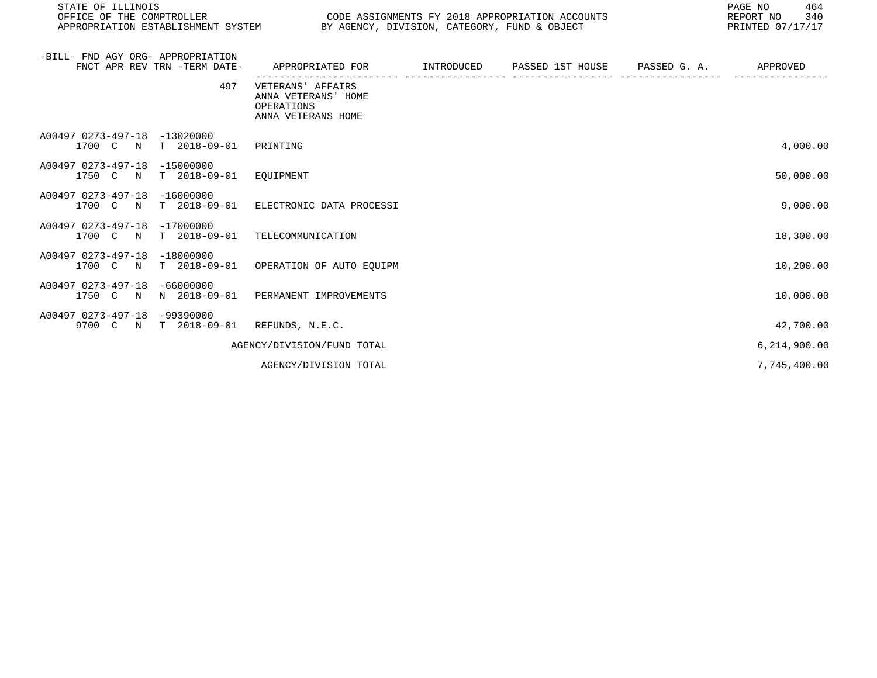| STATE OF ILLINOIS<br>OFFICE OF THE COMPTROLLER<br>APPROPRIATION ESTABLISHMENT SYSTEM | BY AGENCY, DIVISION, CATEGORY, FUND & OBJECT                                        |                   | CODE ASSIGNMENTS FY 2018 APPROPRIATION ACCOUNTS | PAGE NO<br>464<br>REPORT NO<br>340<br>PRINTED 07/17/17 |
|--------------------------------------------------------------------------------------|-------------------------------------------------------------------------------------|-------------------|-------------------------------------------------|--------------------------------------------------------|
| -BILL- FND AGY ORG- APPROPRIATION<br>FNCT APR REV TRN -TERM DATE-                    | APPROPRIATED FOR                                                                    | <b>INTRODUCED</b> | PASSED 1ST HOUSE PASSED G. A.                   | APPROVED                                               |
|                                                                                      | 497<br>VETERANS' AFFAIRS<br>ANNA VETERANS' HOME<br>OPERATIONS<br>ANNA VETERANS HOME |                   |                                                 |                                                        |
| A00497 0273-497-18<br>$-13020000$<br>$T = 2018 - 09 - 01$<br>1700 C<br>$\mathbf N$   | PRINTING                                                                            |                   |                                                 | 4,000.00                                               |
| A00497 0273-497-18<br>$-15000000$<br>$T$ 2018-09-01<br>1750 C N                      | EOUIPMENT                                                                           |                   |                                                 | 50,000.00                                              |
| $-16000000$<br>A00497 0273-497-18<br>$T$ 2018-09-01<br>1700 C N                      | ELECTRONIC DATA PROCESSI                                                            |                   |                                                 | 9,000.00                                               |
| $-17000000$<br>A00497 0273-497-18<br>$T = 2018 - 09 - 01$<br>1700 C N                | TELECOMMUNICATION                                                                   |                   |                                                 | 18,300.00                                              |
| A00497 0273-497-18<br>$-18000000$<br>$T = 2018 - 09 - 01$<br>1700 C N                | OPERATION OF AUTO EOUIPM                                                            |                   |                                                 | 10,200.00                                              |
| $-66000000$<br>A00497 0273-497-18<br>N 2018-09-01<br>1750 C N                        | PERMANENT IMPROVEMENTS                                                              |                   |                                                 | 10,000.00                                              |
| A00497 0273-497-18<br>$-99390000$<br>9700 C N<br>$T = 2018 - 09 - 01$                | REFUNDS, N.E.C.                                                                     |                   |                                                 | 42,700.00                                              |
|                                                                                      | AGENCY/DIVISION/FUND TOTAL                                                          |                   |                                                 | 6,214,900.00                                           |
|                                                                                      | AGENCY/DIVISION TOTAL                                                               |                   |                                                 | 7,745,400.00                                           |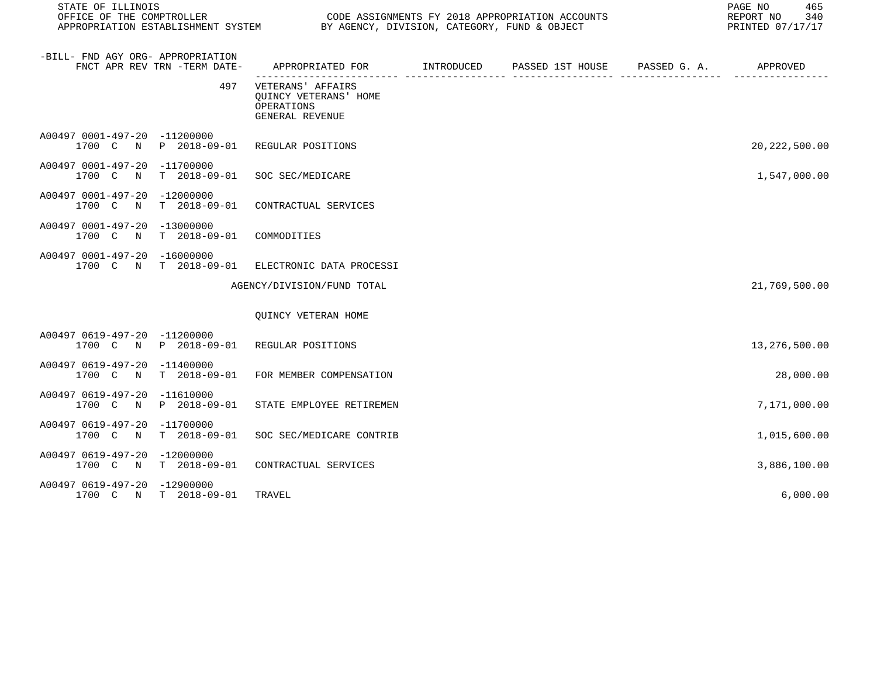| STATE OF ILLINOIS<br>OFFICE OF THE COMPTROLLER |                              | CODE ASSIGNMENTS FY 2018 APPROPRIATION ACCOUNTS<br>APPROPRIATION ESTABLISHMENT SYSTEM BY AGENCY, DIVISION, CATEGORY, FUND & OBJECT |  | 465<br>PAGE NO<br>REPORT NO 340<br>PRINTED 07/17/17 |
|------------------------------------------------|------------------------------|------------------------------------------------------------------------------------------------------------------------------------|--|-----------------------------------------------------|
| -BILL- FND AGY ORG- APPROPRIATION              | FNCT APR REV TRN -TERM DATE- | APPROPRIATED FOR        INTRODUCED     PASSED 1ST HOUSE     PASSED G. A.         APPROVED                                          |  |                                                     |
|                                                | 497                          | VETERANS' AFFAIRS<br>QUINCY VETERANS' HOME<br>OPERATIONS<br>GENERAL REVENUE                                                        |  |                                                     |
| A00497 0001-497-20 -11200000                   | 1700 C N P 2018-09-01        | REGULAR POSITIONS                                                                                                                  |  | 20, 222, 500.00                                     |
| A00497 0001-497-20 -11700000<br>1700 C N       | $T = 2018 - 09 - 01$         | SOC SEC/MEDICARE                                                                                                                   |  | 1,547,000.00                                        |
| A00497 0001-497-20 -12000000<br>1700 C<br>N    | $T = 2018 - 09 - 01$         | CONTRACTUAL SERVICES                                                                                                               |  |                                                     |
| A00497 0001-497-20 -13000000<br>1700 C N       | $T = 2018 - 09 - 01$         | COMMODITIES                                                                                                                        |  |                                                     |
| A00497 0001-497-20 -16000000                   | 1700 C N T 2018-09-01        | ELECTRONIC DATA PROCESSI                                                                                                           |  |                                                     |
|                                                |                              | AGENCY/DIVISION/FUND TOTAL                                                                                                         |  | 21,769,500.00                                       |
|                                                |                              | QUINCY VETERAN HOME                                                                                                                |  |                                                     |
| A00497 0619-497-20 -11200000                   | 1700 C N P 2018-09-01        | REGULAR POSITIONS                                                                                                                  |  | 13,276,500.00                                       |
| A00497 0619-497-20 -11400000<br>1700 C N       | $T = 2018 - 09 - 01$         | FOR MEMBER COMPENSATION                                                                                                            |  | 28,000.00                                           |
| A00497 0619-497-20 -11610000<br>1700 C N       | P 2018-09-01                 | STATE EMPLOYEE RETIREMEN                                                                                                           |  | 7,171,000.00                                        |
| A00497 0619-497-20 -11700000<br>1700 C N       | $T = 2018 - 09 - 01$         | SOC SEC/MEDICARE CONTRIB                                                                                                           |  | 1,015,600.00                                        |
| A00497 0619-497-20 -12000000                   | 1700 C N T 2018-09-01        | CONTRACTUAL SERVICES                                                                                                               |  | 3,886,100.00                                        |
| A00497 0619-497-20 -12900000                   | 1700 C N T 2018-09-01        | TRAVEL                                                                                                                             |  | 6,000.00                                            |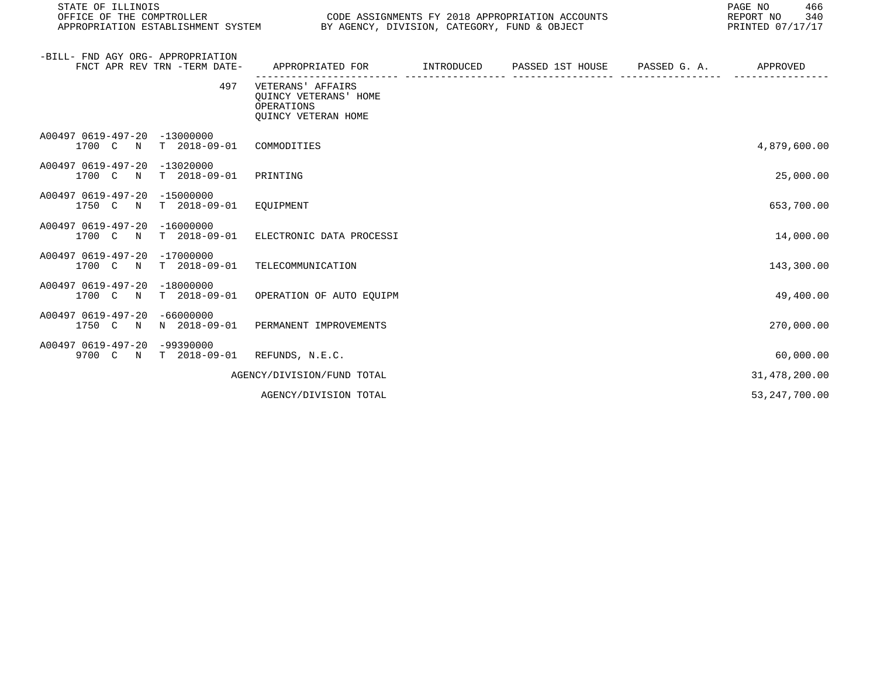| STATE OF ILLINOIS<br>OFFICE OF THE COMPTROLLER<br>APPROPRIATION ESTABLISHMENT SYSTEM BY AGENCY, DIVISION, CATEGORY, FUND & OBJECT |                                                                                 |                                      | CODE ASSIGNMENTS FY 2018 APPROPRIATION ACCOUNTS | PAGE NO<br>466<br>REPORT NO<br>340<br>PRINTED 07/17/17 |
|-----------------------------------------------------------------------------------------------------------------------------------|---------------------------------------------------------------------------------|--------------------------------------|-------------------------------------------------|--------------------------------------------------------|
| -BILL- FND AGY ORG- APPROPRIATION<br>FNCT APR REV TRN -TERM DATE-                                                                 | APPROPRIATED FOR                                                                | INTRODUCED<br>---------------------- | PASSED 1ST HOUSE PASSED G. A.                   | APPROVED                                               |
| 497                                                                                                                               | VETERANS' AFFAIRS<br>OUINCY VETERANS' HOME<br>OPERATIONS<br>QUINCY VETERAN HOME |                                      |                                                 |                                                        |
| A00497 0619-497-20 -13000000<br>1700 C N T 2018-09-01 COMMODITIES                                                                 |                                                                                 |                                      |                                                 | 4,879,600.00                                           |
| A00497 0619-497-20 -13020000<br>1700 C N<br>T 2018-09-01                                                                          | PRINTING                                                                        |                                      |                                                 | 25,000.00                                              |
| A00497 0619-497-20 -15000000<br>1750 C N T 2018-09-01                                                                             | EQUIPMENT                                                                       |                                      |                                                 | 653,700.00                                             |
| A00497 0619-497-20 -16000000<br>1700 C N T 2018-09-01 ELECTRONIC DATA PROCESSI                                                    |                                                                                 |                                      |                                                 | 14,000.00                                              |
| A00497 0619-497-20 -17000000<br>1700 C N T 2018-09-01                                                                             | TELECOMMUNICATION                                                               |                                      |                                                 | 143,300.00                                             |
| A00497 0619-497-20 -18000000<br>1700 C N<br>T 2018-09-01                                                                          | OPERATION OF AUTO EQUIPM                                                        |                                      |                                                 | 49,400.00                                              |
| A00497 0619-497-20 -66000000<br>1750 C N N 2018-09-01 PERMANENT IMPROVEMENTS                                                      |                                                                                 |                                      |                                                 | 270,000.00                                             |
| A00497 0619-497-20 -99390000<br>9700 C N T 2018-09-01 REFUNDS, N.E.C.                                                             |                                                                                 |                                      |                                                 | 60,000.00                                              |
|                                                                                                                                   | AGENCY/DIVISION/FUND TOTAL                                                      |                                      |                                                 | 31,478,200.00                                          |
|                                                                                                                                   | AGENCY/DIVISION TOTAL                                                           |                                      |                                                 | 53, 247, 700.00                                        |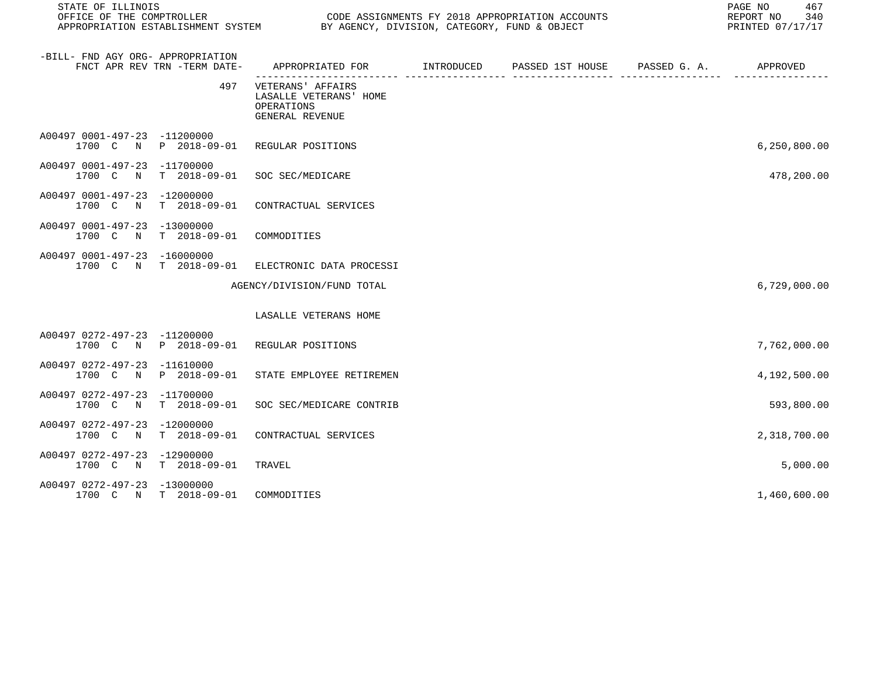| STATE OF ILLINOIS<br>OFFICE OF THE COMPTROLLER |                                   | CODE ASSIGNMENTS FY 2018 APPROPRIATION ACCOUNTS<br>APPROPRIATION ESTABLISHMENT SYSTEM BY AGENCY, DIVISION, CATEGORY, FUND & OBJECT |  | PAGE NO 467<br>REPORT NO 340<br>PRINTED 07/17/17 |
|------------------------------------------------|-----------------------------------|------------------------------------------------------------------------------------------------------------------------------------|--|--------------------------------------------------|
| -BILL- FND AGY ORG- APPROPRIATION              | FNCT APR REV TRN -TERM DATE-      |                                                                                                                                    |  |                                                  |
|                                                | 497                               | VETERANS' AFFAIRS<br>LASALLE VETERANS' HOME<br>OPERATIONS<br>GENERAL REVENUE                                                       |  |                                                  |
| A00497 0001-497-23 -11200000                   |                                   | 1700 C N P 2018-09-01 REGULAR POSITIONS                                                                                            |  | 6, 250, 800.00                                   |
| A00497 0001-497-23 -11700000                   | 1700 C N T 2018-09-01             | SOC SEC/MEDICARE                                                                                                                   |  | 478,200.00                                       |
| A00497 0001-497-23 -12000000<br>1700 C         |                                   | N T 2018-09-01 CONTRACTUAL SERVICES                                                                                                |  |                                                  |
| A00497 0001-497-23 -13000000                   | 1700 C N T 2018-09-01 COMMODITIES |                                                                                                                                    |  |                                                  |
| A00497 0001-497-23 -16000000                   |                                   | 1700 C N T 2018-09-01 ELECTRONIC DATA PROCESSI                                                                                     |  |                                                  |
|                                                |                                   | AGENCY/DIVISION/FUND TOTAL                                                                                                         |  | 6,729,000.00                                     |
|                                                |                                   | LASALLE VETERANS HOME                                                                                                              |  |                                                  |
| A00497 0272-497-23 -11200000                   |                                   | 1700 C N P 2018-09-01 REGULAR POSITIONS                                                                                            |  | 7,762,000.00                                     |
| A00497 0272-497-23 -11610000                   | 1700 C N P 2018-09-01             | STATE EMPLOYEE RETIREMEN                                                                                                           |  | 4,192,500.00                                     |
| A00497 0272-497-23 -11700000                   | 1700 C N T 2018-09-01             | SOC SEC/MEDICARE CONTRIB                                                                                                           |  | 593,800.00                                       |
| A00497 0272-497-23 -12000000                   | 1700 C N T 2018-09-01             | CONTRACTUAL SERVICES                                                                                                               |  | 2,318,700.00                                     |
| A00497 0272-497-23 -12900000                   | 1700 C N T 2018-09-01             | TRAVEL                                                                                                                             |  | 5,000.00                                         |
| A00497 0272-497-23 -13000000                   | 1700 C N T 2018-09-01             | COMMODITIES                                                                                                                        |  | 1,460,600.00                                     |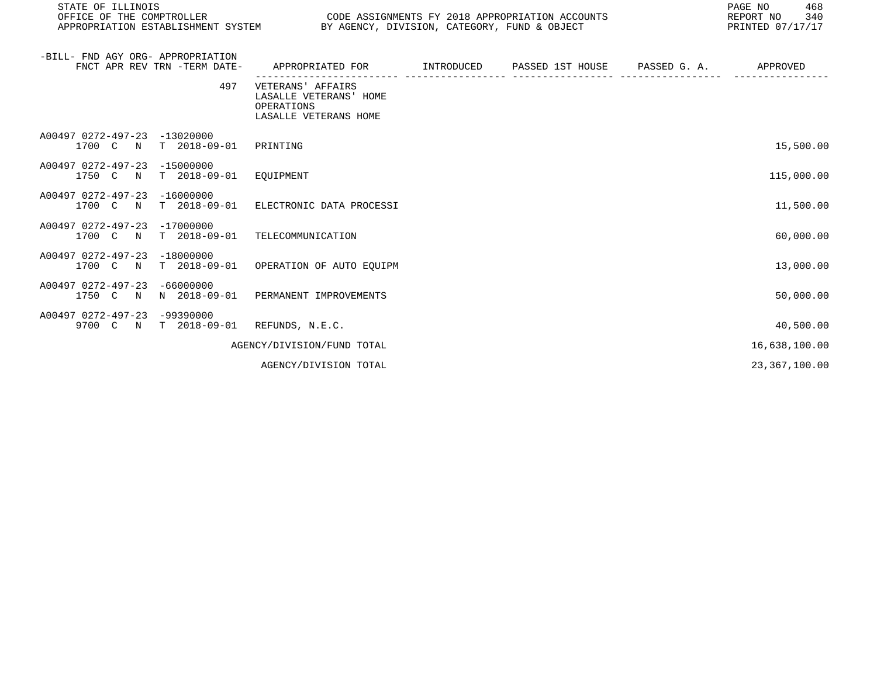| STATE OF ILLINOIS<br>OFFICE OF THE COMPTROLLER<br>APPROPRIATION ESTABLISHMENT SYSTEM |     | BY AGENCY, DIVISION, CATEGORY, FUND & OBJECT                                       |            | CODE ASSIGNMENTS FY 2018 APPROPRIATION ACCOUNTS | PAGE NO<br>468<br>REPORT NO<br>340<br>PRINTED 07/17/17 |
|--------------------------------------------------------------------------------------|-----|------------------------------------------------------------------------------------|------------|-------------------------------------------------|--------------------------------------------------------|
| -BILL- FND AGY ORG- APPROPRIATION<br>FNCT APR REV TRN -TERM DATE-                    |     | APPROPRIATED FOR                                                                   | INTRODUCED | PASSED 1ST HOUSE PASSED G. A.                   | APPROVED                                               |
|                                                                                      | 497 | VETERANS' AFFAIRS<br>LASALLE VETERANS' HOME<br>OPERATIONS<br>LASALLE VETERANS HOME |            |                                                 |                                                        |
| A00497 0272-497-23<br>$-13020000$<br>$T$ 2018-09-01<br>1700 C<br>N                   |     | PRINTING                                                                           |            |                                                 | 15,500.00                                              |
| A00497 0272-497-23 -15000000<br>$T = 2018 - 09 - 01$<br>1750 C<br>$\mathbb N$        |     | EOUIPMENT                                                                          |            |                                                 | 115,000.00                                             |
| A00497 0272-497-23 -16000000<br>$T = 2018 - 09 - 01$<br>1700 C N                     |     | ELECTRONIC DATA PROCESSI                                                           |            |                                                 | 11,500.00                                              |
| A00497 0272-497-23 -17000000<br>$T$ 2018-09-01<br>1700 C N                           |     | TELECOMMUNICATION                                                                  |            |                                                 | 60,000.00                                              |
| A00497 0272-497-23 -18000000<br>T 2018-09-01<br>1700 C N                             |     | OPERATION OF AUTO EOUIPM                                                           |            |                                                 | 13,000.00                                              |
| $-66000000$<br>A00497 0272-497-23<br>N 2018-09-01<br>1750 C N                        |     | PERMANENT IMPROVEMENTS                                                             |            |                                                 | 50,000.00                                              |
| A00497 0272-497-23<br>$-99390000$<br>9700 C N<br>T 2018-09-01                        |     | REFUNDS, N.E.C.                                                                    |            |                                                 | 40,500.00                                              |
|                                                                                      |     | AGENCY/DIVISION/FUND TOTAL                                                         |            |                                                 | 16,638,100.00                                          |
|                                                                                      |     | AGENCY/DIVISION TOTAL                                                              |            |                                                 | 23, 367, 100.00                                        |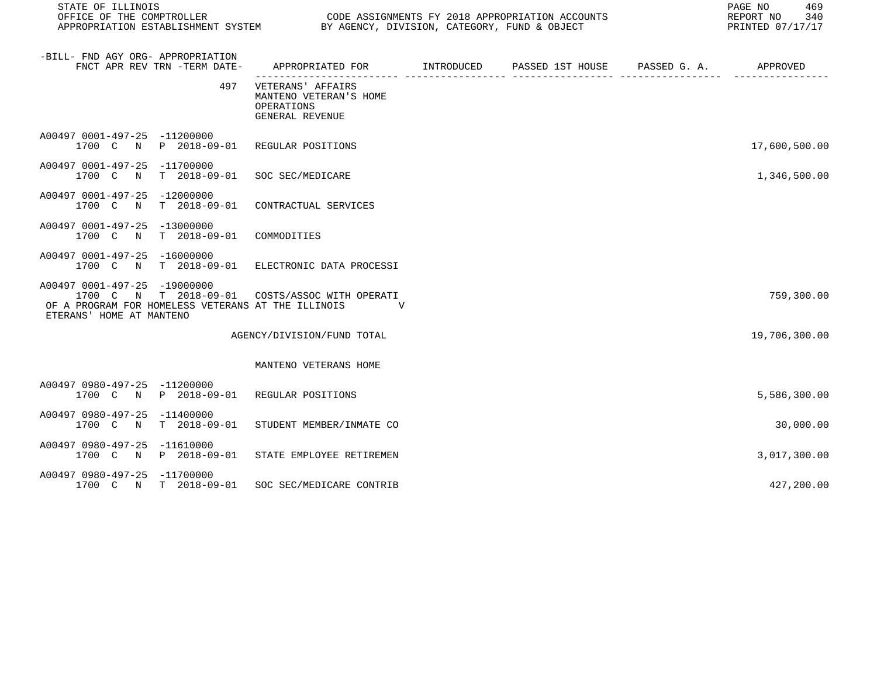| STATE OF ILLINOIS                                                                                                                                                |                                                                                            |  |  | PAGE NO 469<br>REPORT NO 340<br>PRINTED 07/17/17 |               |
|------------------------------------------------------------------------------------------------------------------------------------------------------------------|--------------------------------------------------------------------------------------------|--|--|--------------------------------------------------|---------------|
| -BILL- FND AGY ORG- APPROPRIATION<br>FNCT APR REV TRN -TERM DATE-                                                                                                | APPROPRIATED FOR        INTRODUCED      PASSED 1ST HOUSE     PASSED G. A.         APPROVED |  |  |                                                  |               |
| 497                                                                                                                                                              | VETERANS' AFFAIRS<br>MANTENO VETERAN'S HOME<br>OPERATIONS<br>GENERAL REVENUE               |  |  |                                                  |               |
| A00497 0001-497-25 -11200000<br>1700 C N P 2018-09-01 REGULAR POSITIONS                                                                                          |                                                                                            |  |  |                                                  | 17,600,500.00 |
| A00497 0001-497-25 -11700000<br>1700 C N T 2018-09-01 SOC SEC/MEDICARE                                                                                           |                                                                                            |  |  |                                                  | 1,346,500.00  |
| A00497 0001-497-25 -12000000<br>1700 C N T 2018-09-01 CONTRACTUAL SERVICES                                                                                       |                                                                                            |  |  |                                                  |               |
| A00497 0001-497-25 -13000000<br>1700 C N T 2018-09-01                                                                                                            | COMMODITIES                                                                                |  |  |                                                  |               |
| A00497 0001-497-25 -16000000<br>1700 C N T 2018-09-01 ELECTRONIC DATA PROCESSI                                                                                   |                                                                                            |  |  |                                                  |               |
| A00497 0001-497-25 -19000000<br>1700 C N T 2018-09-01 COSTS/ASSOC WITH OPERATI<br>OF A PROGRAM FOR HOMELESS VETERANS AT THE ILLINOIS<br>ETERANS' HOME AT MANTENO | <b>V</b>                                                                                   |  |  |                                                  | 759,300.00    |
|                                                                                                                                                                  | AGENCY/DIVISION/FUND TOTAL                                                                 |  |  |                                                  | 19,706,300.00 |
|                                                                                                                                                                  | MANTENO VETERANS HOME                                                                      |  |  |                                                  |               |
| A00497 0980-497-25 -11200000<br>1700 C N P 2018-09-01 REGULAR POSITIONS                                                                                          |                                                                                            |  |  |                                                  | 5,586,300.00  |
| A00497 0980-497-25 -11400000<br>1700 C N T 2018-09-01 STUDENT MEMBER/INMATE CO                                                                                   |                                                                                            |  |  |                                                  | 30,000.00     |
| A00497 0980-497-25 -11610000<br>1700 C N P 2018-09-01 STATE EMPLOYEE RETIREMEN                                                                                   |                                                                                            |  |  |                                                  | 3,017,300.00  |
| A00497 0980-497-25 -11700000<br>1700 C N T 2018-09-01 SOC SEC/MEDICARE CONTRIB                                                                                   |                                                                                            |  |  |                                                  | 427,200.00    |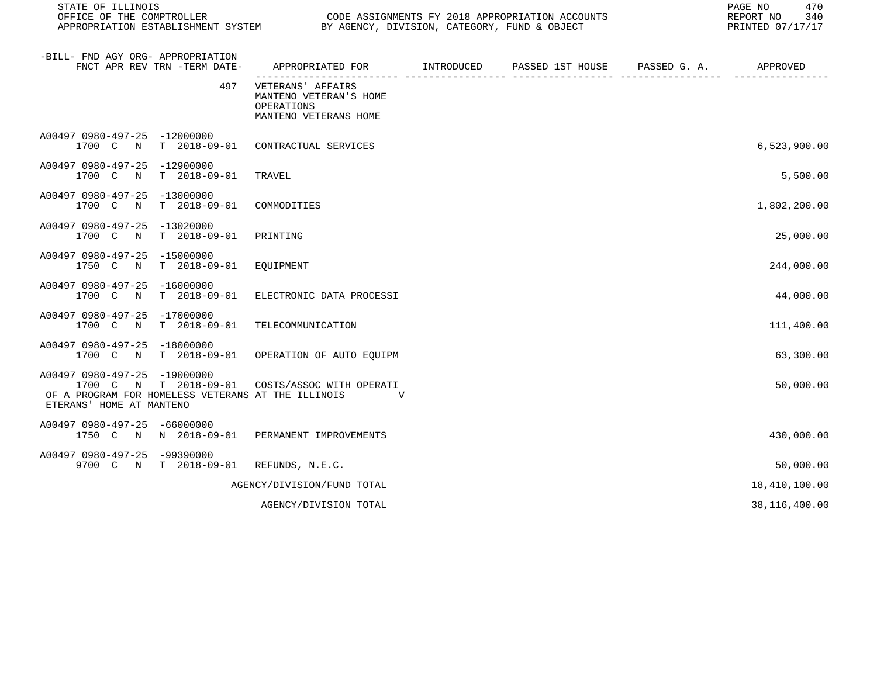| STATE OF ILLINOIS<br>OFFICE OF THE COMPTROLLER                                                                                          | CODE ASSIGNMENTS FY 2018 APPROPRIATION ACCOUNTS<br>BY AGENCY, DIVISION, CATEGORY, FUND & OBJECT<br>APPROPRIATION ESTABLISHMENT SYSTEM |  |  |  | 470<br>PAGE NO<br>340<br>REPORT NO<br>PRINTED 07/17/17 |
|-----------------------------------------------------------------------------------------------------------------------------------------|---------------------------------------------------------------------------------------------------------------------------------------|--|--|--|--------------------------------------------------------|
| -BILL- FND AGY ORG- APPROPRIATION<br>FNCT APR REV TRN -TERM DATE-                                                                       | APPROPRIATED FOR         INTRODUCED      PASSED 1ST HOUSE      PASSED G. A.                                                           |  |  |  | APPROVED                                               |
| 497                                                                                                                                     | VETERANS' AFFAIRS<br>MANTENO VETERAN'S HOME<br>OPERATIONS<br>MANTENO VETERANS HOME                                                    |  |  |  |                                                        |
| A00497 0980-497-25 -12000000<br>T 2018-09-01<br>1700 C<br>$\mathbb N$                                                                   | CONTRACTUAL SERVICES                                                                                                                  |  |  |  | 6,523,900.00                                           |
| A00497 0980-497-25 -12900000<br>1700 C N T 2018-09-01                                                                                   | TRAVEL                                                                                                                                |  |  |  | 5,500.00                                               |
| A00497 0980-497-25 -13000000<br>N T 2018-09-01<br>1700 C                                                                                | COMMODITIES                                                                                                                           |  |  |  | 1,802,200.00                                           |
| A00497 0980-497-25 -13020000<br>1700 C N T 2018-09-01                                                                                   | PRINTING                                                                                                                              |  |  |  | 25,000.00                                              |
| A00497 0980-497-25 -15000000<br>1750 C<br>N T 2018-09-01                                                                                | EQUIPMENT                                                                                                                             |  |  |  | 244,000.00                                             |
| A00497 0980-497-25 -16000000<br>1700 C<br>N<br>T 2018-09-01                                                                             | ELECTRONIC DATA PROCESSI                                                                                                              |  |  |  | 44,000.00                                              |
| A00497 0980-497-25 -17000000<br>1700 C N T 2018-09-01                                                                                   | TELECOMMUNICATION                                                                                                                     |  |  |  | 111,400.00                                             |
| A00497 0980-497-25 -18000000<br>1700 C N T 2018-09-01                                                                                   | OPERATION OF AUTO EOUIPM                                                                                                              |  |  |  | 63,300.00                                              |
| A00497 0980-497-25 -19000000<br>1700 C N T 2018-09-01<br>OF A PROGRAM FOR HOMELESS VETERANS AT THE ILLINOIS<br>ETERANS' HOME AT MANTENO | COSTS/ASSOC WITH OPERATI<br><b>V</b>                                                                                                  |  |  |  | 50,000.00                                              |
| A00497 0980-497-25 -66000000<br>1750 C N N 2018-09-01                                                                                   | PERMANENT IMPROVEMENTS                                                                                                                |  |  |  | 430,000.00                                             |
| A00497 0980-497-25 -99390000<br>9700 C N T 2018-09-01                                                                                   | REFUNDS, N.E.C.                                                                                                                       |  |  |  | 50,000.00                                              |
|                                                                                                                                         | AGENCY/DIVISION/FUND TOTAL                                                                                                            |  |  |  | 18,410,100.00                                          |
|                                                                                                                                         | AGENCY/DIVISION TOTAL                                                                                                                 |  |  |  | 38,116,400.00                                          |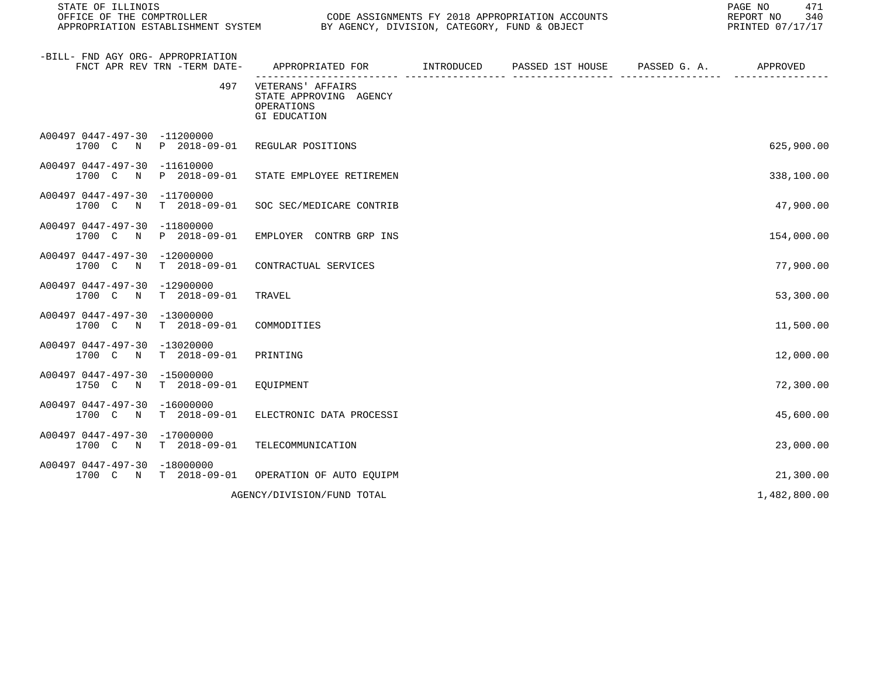| STATE OF ILLINOIS                                                          |                                                                                            | PAGE NO<br>REPORT NO<br>PRINTED 07/17/17 |  |  |              |  |
|----------------------------------------------------------------------------|--------------------------------------------------------------------------------------------|------------------------------------------|--|--|--------------|--|
| -BILL- FND AGY ORG- APPROPRIATION<br>FNCT APR REV TRN -TERM DATE-          | APPROPRIATED FOR        INTRODUCED      PASSED 1ST HOUSE     PASSED G. A.         APPROVED |                                          |  |  |              |  |
| 497                                                                        | VETERANS' AFFAIRS<br>STATE APPROVING AGENCY<br>OPERATIONS<br>GI EDUCATION                  |                                          |  |  |              |  |
| A00497 0447-497-30 -11200000<br>1700 C N P 2018-09-01 REGULAR POSITIONS    |                                                                                            |                                          |  |  | 625,900.00   |  |
| A00497 0447-497-30 -11610000<br>1700 C N P 2018-09-01                      | STATE EMPLOYEE RETIREMEN                                                                   |                                          |  |  | 338,100.00   |  |
| A00497 0447-497-30 -11700000<br>1700 C                                     | N T 2018-09-01 SOC SEC/MEDICARE CONTRIB                                                    |                                          |  |  | 47,900.00    |  |
| A00497 0447-497-30 -11800000                                               | 1700 C N P 2018-09-01 EMPLOYER CONTRB GRP INS                                              |                                          |  |  | 154,000.00   |  |
| A00497 0447-497-30 -12000000<br>1700 C N T 2018-09-01 CONTRACTUAL SERVICES |                                                                                            |                                          |  |  | 77,900.00    |  |
| A00497 0447-497-30 -12900000<br>1700 C N T 2018-09-01                      | TRAVEL                                                                                     |                                          |  |  | 53,300.00    |  |
| A00497 0447-497-30 -13000000<br>1700 C N T 2018-09-01 COMMODITIES          |                                                                                            |                                          |  |  | 11,500.00    |  |
| A00497 0447-497-30 -13020000<br>1700 C N T 2018-09-01 PRINTING             |                                                                                            |                                          |  |  | 12,000.00    |  |
| A00497 0447-497-30 -15000000<br>1750 C N T 2018-09-01 EQUIPMENT            |                                                                                            |                                          |  |  | 72,300.00    |  |
| A00497 0447-497-30 -16000000<br>1700 C N T 2018-09-01                      | ELECTRONIC DATA PROCESSI                                                                   |                                          |  |  | 45,600.00    |  |
| A00497 0447-497-30 -17000000<br>1700 C N T 2018-09-01                      | TELECOMMUNICATION                                                                          |                                          |  |  | 23,000.00    |  |
| A00497 0447-497-30 -18000000                                               | 1700 C N T 2018-09-01 OPERATION OF AUTO EOUIPM                                             |                                          |  |  | 21,300.00    |  |
|                                                                            | AGENCY/DIVISION/FUND TOTAL                                                                 |                                          |  |  | 1,482,800.00 |  |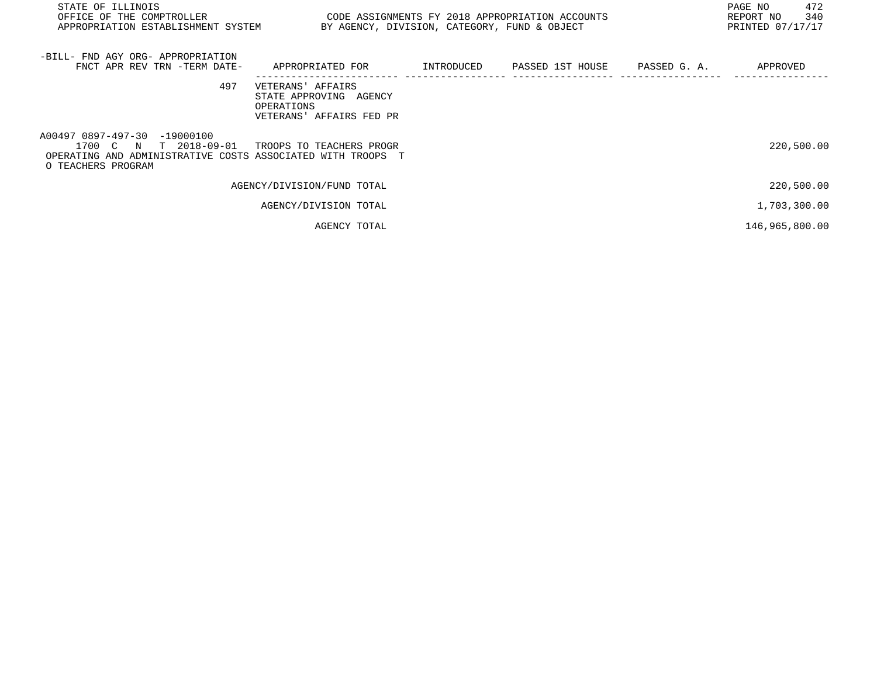| STATE OF ILLINOIS<br>OFFICE OF THE COMPTROLLER<br>APPROPRIATION ESTABLISHMENT SYSTEM BY AGENCY, DIVISION, CATEGORY, FUND & OBJECT                                   | CODE ASSIGNMENTS FY 2018 APPROPRIATION ACCOUNTS                                       |  | 472<br>PAGE NO<br>340<br>REPORT NO<br>PRINTED 07/17/17 |
|---------------------------------------------------------------------------------------------------------------------------------------------------------------------|---------------------------------------------------------------------------------------|--|--------------------------------------------------------|
| -BILL- FND AGY ORG- APPROPRIATION<br>FNCT APR REV TRN -TERM DATE- APPROPRIATED FOR TINTRODUCED PASSED 1ST HOUSE PASSED G.A. THE APPROVED                            |                                                                                       |  |                                                        |
| 497                                                                                                                                                                 | VETERANS' AFFAIRS<br>STATE APPROVING AGENCY<br>OPERATIONS<br>VETERANS' AFFAIRS FED PR |  |                                                        |
| A00497 0897-497-30 -19000100<br>1700 C N T 2018-09-01 TROOPS TO TEACHERS PROGR<br>OPERATING AND ADMINISTRATIVE COSTS ASSOCIATED WITH TROOPS T<br>O TEACHERS PROGRAM |                                                                                       |  | 220,500.00                                             |
|                                                                                                                                                                     | AGENCY/DIVISION/FUND TOTAL                                                            |  | 220,500.00                                             |
|                                                                                                                                                                     | AGENCY/DIVISION TOTAL                                                                 |  | 1,703,300.00                                           |
|                                                                                                                                                                     |                                                                                       |  |                                                        |

AGENCY TOTAL 146,965,800.00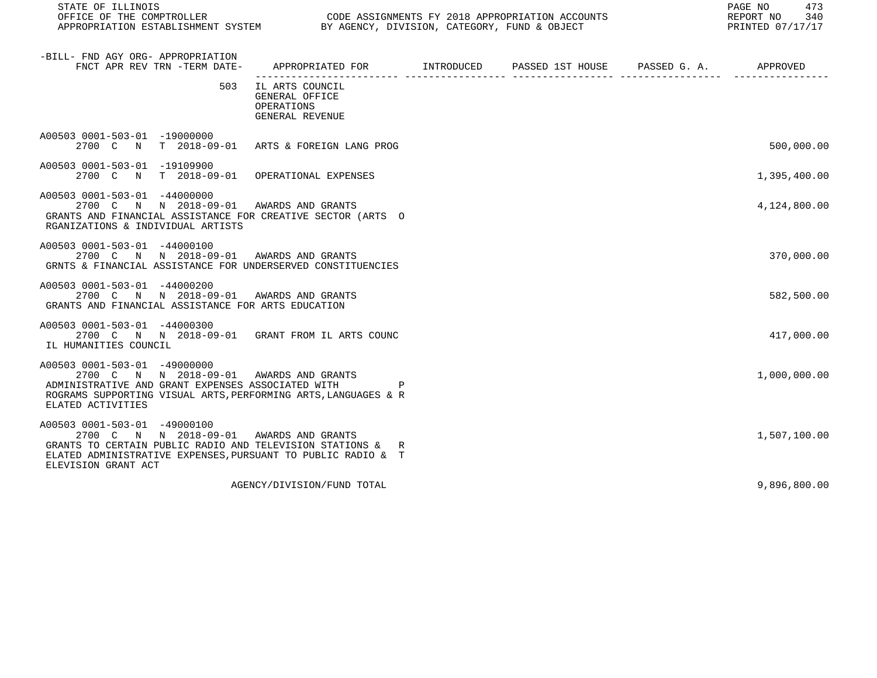| STATE OF ILLINOIS                                                                                                                                                                                                            |                                                                     |  | PAGE NO<br>473<br>REPORT NO<br>340<br>PRINTED 07/17/17 |
|------------------------------------------------------------------------------------------------------------------------------------------------------------------------------------------------------------------------------|---------------------------------------------------------------------|--|--------------------------------------------------------|
| -BILL- FND AGY ORG- APPROPRIATION<br>FNCT APR REV TRN -TERM DATE-                                                                                                                                                            | APPROPRIATED FOR TINTRODUCED PASSED 1ST HOUSE PASSED G. A. APPROVED |  |                                                        |
| 503                                                                                                                                                                                                                          | IL ARTS COUNCIL<br>GENERAL OFFICE<br>OPERATIONS<br>GENERAL REVENUE  |  |                                                        |
| A00503 0001-503-01 -19000000<br>2700 C N T 2018-09-01 ARTS & FOREIGN LANG PROG                                                                                                                                               |                                                                     |  | 500,000.00                                             |
| A00503 0001-503-01 -19109900<br>2700 C N T 2018-09-01 OPERATIONAL EXPENSES                                                                                                                                                   |                                                                     |  | 1,395,400.00                                           |
| A00503 0001-503-01 -44000000<br>2700 C N N 2018-09-01 AWARDS AND GRANTS<br>GRANTS AND FINANCIAL ASSISTANCE FOR CREATIVE SECTOR (ARTS O<br>RGANIZATIONS & INDIVIDUAL ARTISTS                                                  |                                                                     |  | 4,124,800.00                                           |
| A00503 0001-503-01 -44000100<br>2700 C N N 2018-09-01 AWARDS AND GRANTS<br>GRNTS & FINANCIAL ASSISTANCE FOR UNDERSERVED CONSTITUENCIES                                                                                       |                                                                     |  | 370,000.00                                             |
| A00503 0001-503-01 -44000200<br>2700 C N N 2018-09-01 AWARDS AND GRANTS<br>GRANTS AND FINANCIAL ASSISTANCE FOR ARTS EDUCATION                                                                                                |                                                                     |  | 582,500.00                                             |
| A00503 0001-503-01 -44000300<br>2700 C N N 2018-09-01 GRANT FROM IL ARTS COUNC<br>IL HUMANITIES COUNCIL                                                                                                                      |                                                                     |  | 417,000.00                                             |
| A00503 0001-503-01 -49000000<br>2700 C N N 2018-09-01 AWARDS AND GRANTS<br>ADMINISTRATIVE AND GRANT EXPENSES ASSOCIATED WITH<br>ROGRAMS SUPPORTING VISUAL ARTS, PERFORMING ARTS, LANGUAGES & R<br>ELATED ACTIVITIES          |                                                                     |  | 1,000,000.00                                           |
| A00503 0001-503-01 -49000100<br>2700 C N N 2018-09-01 AWARDS AND GRANTS<br>GRANTS TO CERTAIN PUBLIC RADIO AND TELEVISION STATIONS & R<br>ELATED ADMINISTRATIVE EXPENSES, PURSUANT TO PUBLIC RADIO & T<br>ELEVISION GRANT ACT |                                                                     |  | 1,507,100.00                                           |
|                                                                                                                                                                                                                              | AGENCY/DIVISION/FUND TOTAL                                          |  | 9,896,800.00                                           |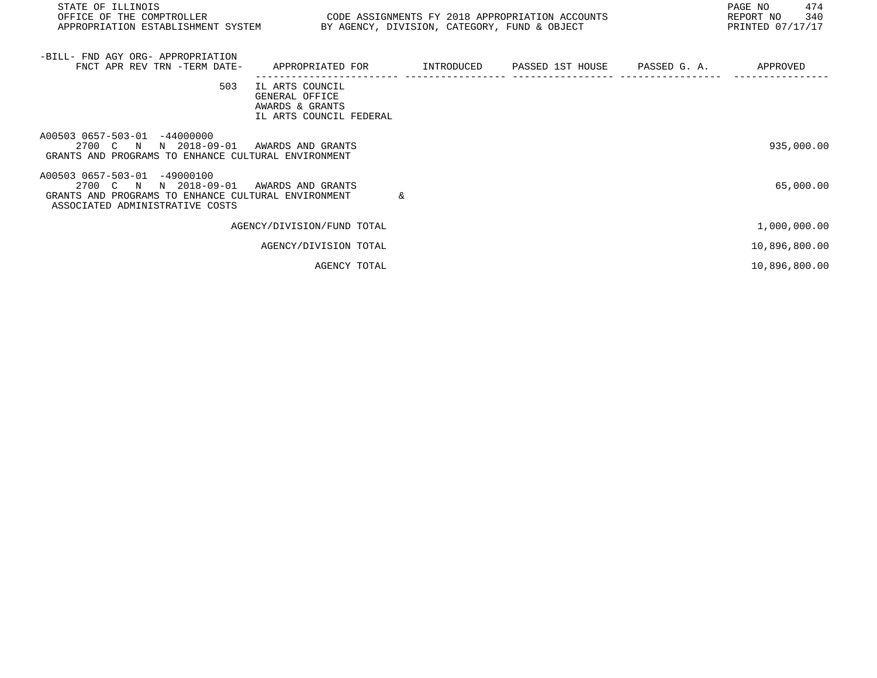| STATE OF ILLINOIS<br>OFFICE OF THE COMPTROLLER THE SERIES CODE ASSIGNMENTS FY 2018 APPROPRIATION ACCOUNTS<br>APPROPRIATION ESTABLISHMENT SYSTEM BY AGENCY, DIVISION, CATEGORY, FUND & OBJECT |                                                                                 |            |                  |              | PAGE NO<br>474<br>REPORT NO<br>340<br>PRINTED 07/17/17 |
|----------------------------------------------------------------------------------------------------------------------------------------------------------------------------------------------|---------------------------------------------------------------------------------|------------|------------------|--------------|--------------------------------------------------------|
| -BILL- FND AGY ORG- APPROPRIATION<br>FNCT APR REV TRN -TERM DATE-                                                                                                                            | APPROPRIATED FOR                                                                | INTRODUCED | PASSED 1ST HOUSE | PASSED G. A. | APPROVED                                               |
| 503                                                                                                                                                                                          | IL ARTS COUNCIL<br>GENERAL OFFICE<br>AWARDS & GRANTS<br>IL ARTS COUNCIL FEDERAL |            |                  |              |                                                        |
| A00503 0657-503-01 -44000000<br>2700 C N<br>N 2018-09-01<br>GRANTS AND PROGRAMS TO ENHANCE CULTURAL ENVIRONMENT                                                                              | AWARDS AND GRANTS                                                               |            |                  |              | 935,000.00                                             |
| A00503 0657-503-01 -49000100<br>2700 C N N 2018-09-01<br>GRANTS AND PROGRAMS TO ENHANCE CULTURAL ENVIRONMENT<br>ASSOCIATED ADMINISTRATIVE COSTS                                              | AWARDS AND GRANTS                                                               | ିଧ         |                  |              | 65,000.00                                              |
|                                                                                                                                                                                              | AGENCY/DIVISION/FUND TOTAL                                                      |            |                  |              | 1,000,000.00                                           |
|                                                                                                                                                                                              | AGENCY/DIVISION TOTAL                                                           |            |                  |              | 10,896,800.00                                          |
|                                                                                                                                                                                              | AGENCY TOTAL                                                                    |            |                  |              | 10,896,800.00                                          |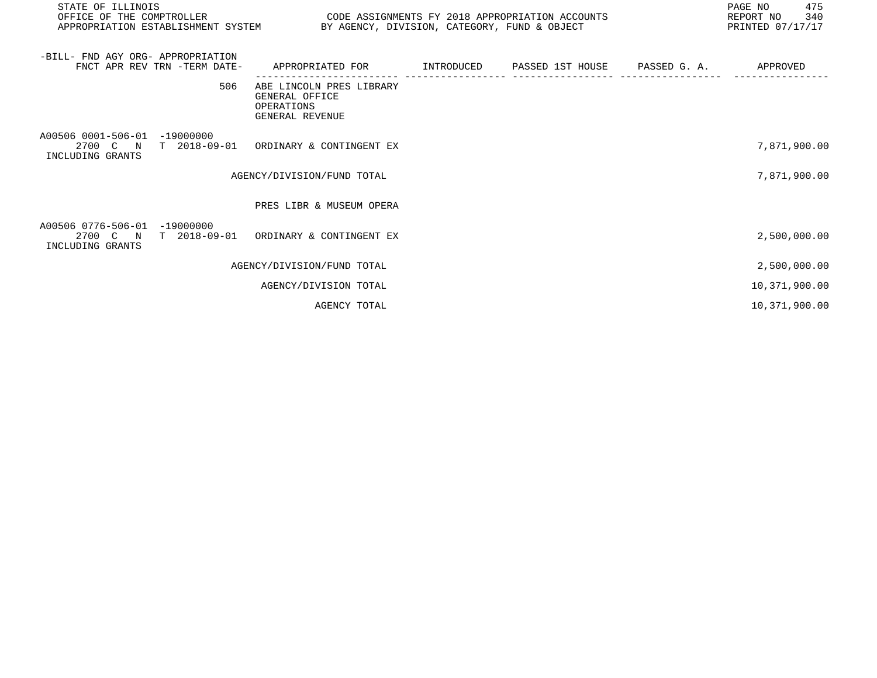| STATE OF ILLINOIS                                | OFFICE OF THE COMPTROLLER<br>CODE ASSIGNMENTS FY 2018 APPROPRIATION ACCOUNTS<br>BY AGENCY, DIVISION, CATEGORY, FUND & OBJECT<br>APPROPRIATION ESTABLISHMENT SYSTEM |                                                                             |  |                             |                       | 475<br>PAGE NO<br>REPORT NO 340<br>PRINTED 07/17/17 |
|--------------------------------------------------|--------------------------------------------------------------------------------------------------------------------------------------------------------------------|-----------------------------------------------------------------------------|--|-----------------------------|-----------------------|-----------------------------------------------------|
| -BILL- FND AGY ORG- APPROPRIATION                | FNCT APR REV TRN -TERM DATE-                                                                                                                                       | APPROPRIATED FOR                                                            |  | INTRODUCED PASSED 1ST HOUSE | PASSED G. A. APPROVED |                                                     |
|                                                  | 506                                                                                                                                                                | ABE LINCOLN PRES LIBRARY<br>GENERAL OFFICE<br>OPERATIONS<br>GENERAL REVENUE |  |                             |                       |                                                     |
| A00506 0001-506-01<br>INCLUDING GRANTS           | $-19000000$                                                                                                                                                        | 2700 C N T 2018-09-01 ORDINARY & CONTINGENT EX                              |  |                             |                       | 7,871,900.00                                        |
|                                                  |                                                                                                                                                                    | AGENCY/DIVISION/FUND TOTAL                                                  |  |                             |                       | 7,871,900.00                                        |
|                                                  |                                                                                                                                                                    | PRES LIBR & MUSEUM OPERA                                                    |  |                             |                       |                                                     |
| A00506 0776-506-01 -19000000<br>INCLUDING GRANTS |                                                                                                                                                                    | 2700 C N T 2018-09-01 ORDINARY & CONTINGENT EX                              |  |                             |                       | 2,500,000.00                                        |
|                                                  |                                                                                                                                                                    | AGENCY/DIVISION/FUND TOTAL                                                  |  |                             |                       | 2,500,000.00                                        |
|                                                  |                                                                                                                                                                    | AGENCY/DIVISION TOTAL                                                       |  |                             |                       | 10,371,900.00                                       |
|                                                  |                                                                                                                                                                    | AGENCY TOTAL                                                                |  |                             |                       | 10,371,900.00                                       |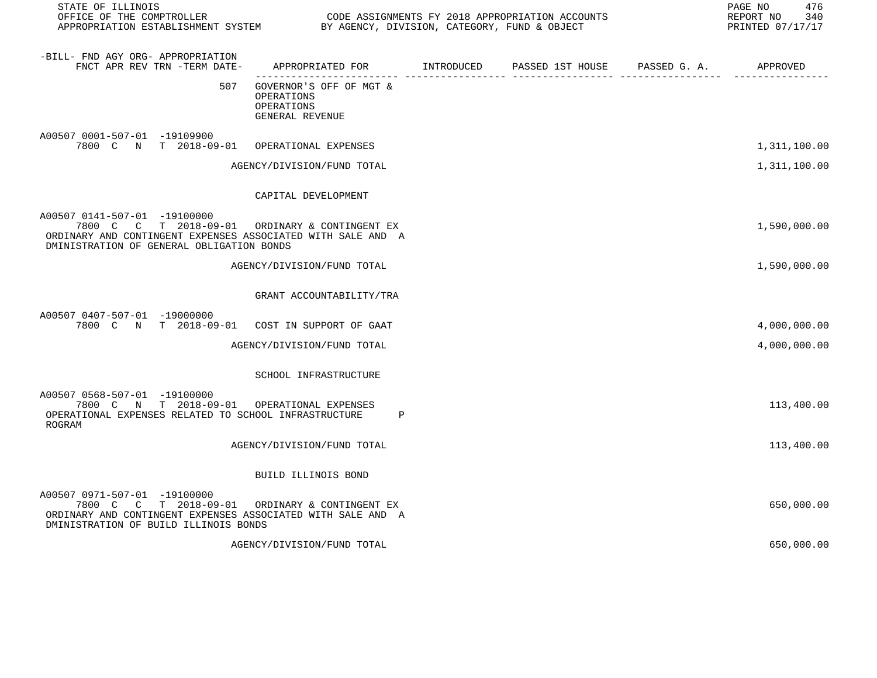| STATE OF ILLINOIS                                                                                                                                                                          |                                                                                            |  | PAGE NO<br>476<br>340<br>REPORT NO<br>PRINTED 07/17/17 |
|--------------------------------------------------------------------------------------------------------------------------------------------------------------------------------------------|--------------------------------------------------------------------------------------------|--|--------------------------------------------------------|
| -BILL- FND AGY ORG- APPROPRIATION<br>FNCT APR REV TRN -TERM DATE-                                                                                                                          | APPROPRIATED FOR        INTRODUCED      PASSED 1ST HOUSE     PASSED G. A.         APPROVED |  |                                                        |
| 507                                                                                                                                                                                        | GOVERNOR'S OFF OF MGT &<br>OPERATIONS<br>OPERATIONS<br>GENERAL REVENUE                     |  |                                                        |
| A00507 0001-507-01 -19109900<br>7800 C N T 2018-09-01 OPERATIONAL EXPENSES                                                                                                                 |                                                                                            |  | 1,311,100.00                                           |
|                                                                                                                                                                                            | AGENCY/DIVISION/FUND TOTAL                                                                 |  | 1,311,100.00                                           |
|                                                                                                                                                                                            | CAPITAL DEVELOPMENT                                                                        |  |                                                        |
| A00507 0141-507-01 -19100000<br>7800 C C T 2018-09-01 ORDINARY & CONTINGENT EX<br>ORDINARY AND CONTINGENT EXPENSES ASSOCIATED WITH SALE AND A<br>DMINISTRATION OF GENERAL OBLIGATION BONDS |                                                                                            |  | 1,590,000.00                                           |
|                                                                                                                                                                                            | AGENCY/DIVISION/FUND TOTAL                                                                 |  | 1,590,000.00                                           |
|                                                                                                                                                                                            | GRANT ACCOUNTABILITY/TRA                                                                   |  |                                                        |
| A00507 0407-507-01 -19000000<br>7800 C N T 2018-09-01 COST IN SUPPORT OF GAAT                                                                                                              |                                                                                            |  | 4,000,000.00                                           |
|                                                                                                                                                                                            | AGENCY/DIVISION/FUND TOTAL                                                                 |  | 4,000,000.00                                           |
|                                                                                                                                                                                            | SCHOOL INFRASTRUCTURE                                                                      |  |                                                        |
| A00507 0568-507-01 -19100000<br>7800 C N T 2018-09-01 OPERATIONAL EXPENSES<br>OPERATIONAL EXPENSES RELATED TO SCHOOL INFRASTRUCTURE<br>ROGRAM                                              | $\mathbf{P}$                                                                               |  | 113,400.00                                             |
|                                                                                                                                                                                            | AGENCY/DIVISION/FUND TOTAL                                                                 |  | 113,400.00                                             |
|                                                                                                                                                                                            | BUILD ILLINOIS BOND                                                                        |  |                                                        |
| A00507 0971-507-01 -19100000<br>7800 C C T 2018-09-01 ORDINARY & CONTINGENT EX<br>ORDINARY AND CONTINGENT EXPENSES ASSOCIATED WITH SALE AND A<br>DMINISTRATION OF BUILD ILLINOIS BONDS     |                                                                                            |  | 650,000.00                                             |

AGENCY/DIVISION/FUND TOTAL 650,000.00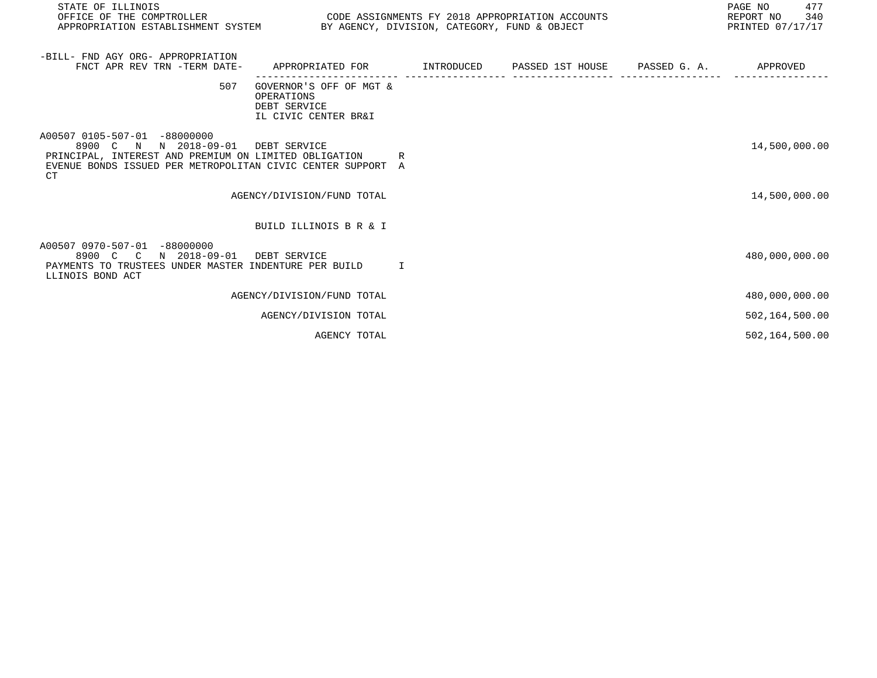| STATE OF ILLINOIS<br>OFFICE OF THE COMPTROLLER                                                                                                                                      |                                                                               | PAGE NO<br>CODE ASSIGNMENTS FY 2018 APPROPRIATION ACCOUNTS<br>REPORT NO<br>APPROPRIATION ESTABLISHMENT SYSTEM BY AGENCY, DIVISION, CATEGORY, FUND & OBJECT<br>PRINTED 07/17/17 |  |  |                |
|-------------------------------------------------------------------------------------------------------------------------------------------------------------------------------------|-------------------------------------------------------------------------------|--------------------------------------------------------------------------------------------------------------------------------------------------------------------------------|--|--|----------------|
| -BILL- FND AGY ORG- APPROPRIATION<br>FNCT APR REV TRN -TERM DATE-                                                                                                                   | APPROPRIATED FOR         INTRODUCED      PASSED 1ST HOUSE      PASSED G. A.   |                                                                                                                                                                                |  |  | APPROVED       |
| 507                                                                                                                                                                                 | GOVERNOR'S OFF OF MGT &<br>OPERATIONS<br>DEBT SERVICE<br>IL CIVIC CENTER BR&I |                                                                                                                                                                                |  |  |                |
| A00507 0105-507-01 -88000000<br>8900 C N N 2018-09-01<br>PRINCIPAL, INTEREST AND PREMIUM ON LIMITED OBLIGATION<br>EVENUE BONDS ISSUED PER METROPOLITAN CIVIC CENTER SUPPORT A<br>CT | DEBT SERVICE<br>R                                                             |                                                                                                                                                                                |  |  | 14,500,000.00  |
|                                                                                                                                                                                     | AGENCY/DIVISION/FUND TOTAL                                                    |                                                                                                                                                                                |  |  | 14,500,000.00  |
|                                                                                                                                                                                     | BUILD ILLINOIS B R & I                                                        |                                                                                                                                                                                |  |  |                |
| A00507 0970-507-01 -88000000<br>8900 C C N 2018-09-01<br>PAYMENTS TO TRUSTEES UNDER MASTER INDENTURE PER BUILD T<br>LLINOIS BOND ACT                                                | DEBT SERVICE                                                                  |                                                                                                                                                                                |  |  | 480,000,000.00 |
|                                                                                                                                                                                     | AGENCY/DIVISION/FUND TOTAL                                                    |                                                                                                                                                                                |  |  | 480,000,000.00 |
|                                                                                                                                                                                     | AGENCY/DIVISION TOTAL                                                         |                                                                                                                                                                                |  |  | 502,164,500.00 |
|                                                                                                                                                                                     | AGENCY TOTAL                                                                  |                                                                                                                                                                                |  |  | 502,164,500.00 |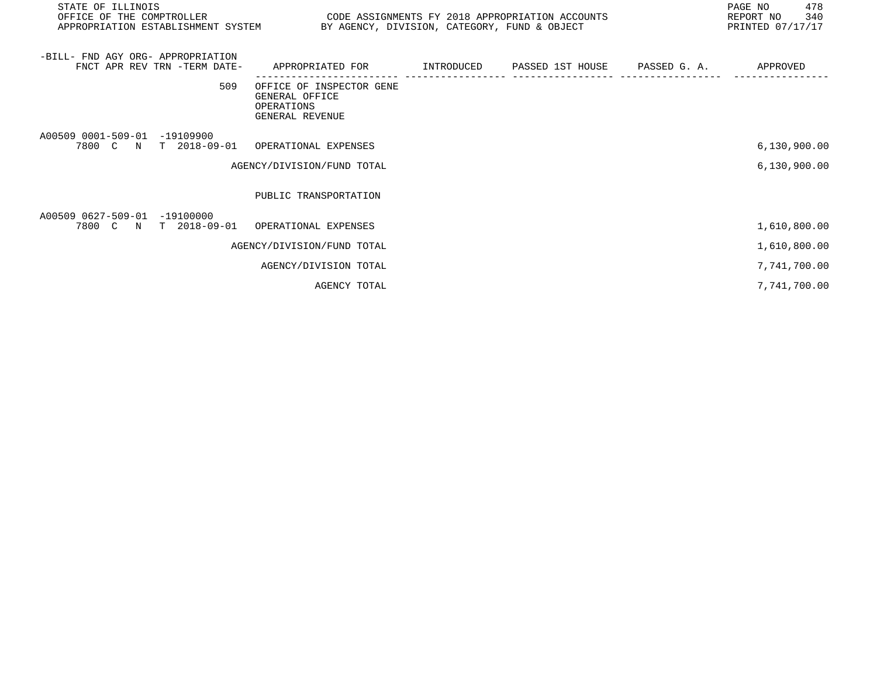| STATE OF ILLINOIS<br>OFFICE OF THE COMPTROLLER<br>APPROPRIATION ESTABLISHMENT SYSTEM BY AGENCY, DIVISION, CATEGORY, FUND & OBJECT | CODE ASSIGNMENTS FY 2018 APPROPRIATION ACCOUNTS                             |                                                                                     | 478<br>PAGE NO<br>340<br>REPORT NO<br>PRINTED 07/17/17 |
|-----------------------------------------------------------------------------------------------------------------------------------|-----------------------------------------------------------------------------|-------------------------------------------------------------------------------------|--------------------------------------------------------|
| -BILL- FND AGY ORG- APPROPRIATION<br>FNCT APR REV TRN -TERM DATE-                                                                 | APPROPRIATED FOR                                                            | INTRODUCED        PASSED  1ST  HOUSE         PASSED  G.  A.                APPROVED |                                                        |
| 509                                                                                                                               | OFFICE OF INSPECTOR GENE<br>GENERAL OFFICE<br>OPERATIONS<br>GENERAL REVENUE |                                                                                     |                                                        |
| A00509 0001-509-01 -19109900<br>7800 C N T 2018-09-01 OPERATIONAL EXPENSES                                                        |                                                                             |                                                                                     | 6,130,900.00                                           |
|                                                                                                                                   | AGENCY/DIVISION/FUND TOTAL                                                  |                                                                                     | 6,130,900.00                                           |
|                                                                                                                                   | PUBLIC TRANSPORTATION                                                       |                                                                                     |                                                        |
| A00509 0627-509-01 -19100000<br>7800 C N T 2018-09-01 OPERATIONAL EXPENSES                                                        |                                                                             |                                                                                     | 1,610,800.00                                           |
|                                                                                                                                   | AGENCY/DIVISION/FUND TOTAL                                                  |                                                                                     | 1,610,800.00                                           |
|                                                                                                                                   | AGENCY/DIVISION TOTAL                                                       |                                                                                     | 7,741,700.00                                           |
|                                                                                                                                   | AGENCY TOTAL                                                                |                                                                                     | 7,741,700.00                                           |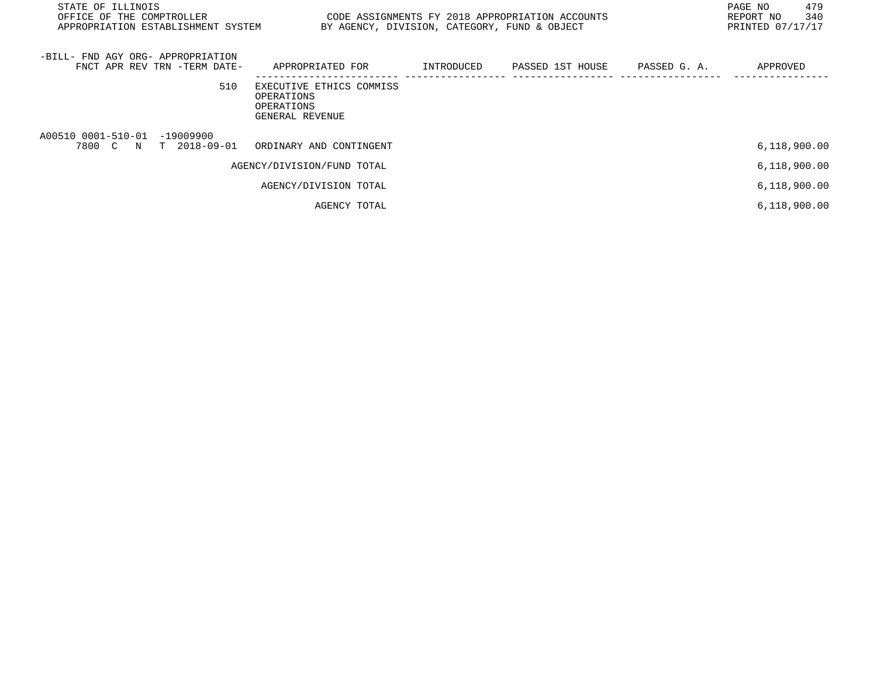| STATE OF ILLINOIS<br>OFFICE OF THE COMPTROLLER<br>APPROPRIATION ESTABLISHMENT SYSTEM | BY AGENCY, DIVISION, CATEGORY, FUND & OBJECT                            |            | CODE ASSIGNMENTS FY 2018 APPROPRIATION ACCOUNTS |              | 479<br>PAGE NO<br>340<br>REPORT NO<br>PRINTED 07/17/17 |
|--------------------------------------------------------------------------------------|-------------------------------------------------------------------------|------------|-------------------------------------------------|--------------|--------------------------------------------------------|
| -BILL- FND AGY ORG- APPROPRIATION<br>FNCT APR REV TRN -TERM DATE-                    | APPROPRIATED FOR                                                        | INTRODUCED | PASSED 1ST HOUSE                                | PASSED G. A. | APPROVED                                               |
| 510                                                                                  | EXECUTIVE ETHICS COMMISS<br>OPERATIONS<br>OPERATIONS<br>GENERAL REVENUE |            |                                                 |              |                                                        |
| A00510 0001-510-01 -19009900<br>7800 C N<br>T 2018-09-01                             | ORDINARY AND CONTINGENT                                                 |            |                                                 |              | 6,118,900.00                                           |
|                                                                                      | AGENCY/DIVISION/FUND TOTAL                                              |            |                                                 |              | 6,118,900.00                                           |
|                                                                                      | AGENCY/DIVISION TOTAL                                                   |            |                                                 |              | 6,118,900.00                                           |
|                                                                                      | AGENCY TOTAL                                                            |            |                                                 |              | 6,118,900.00                                           |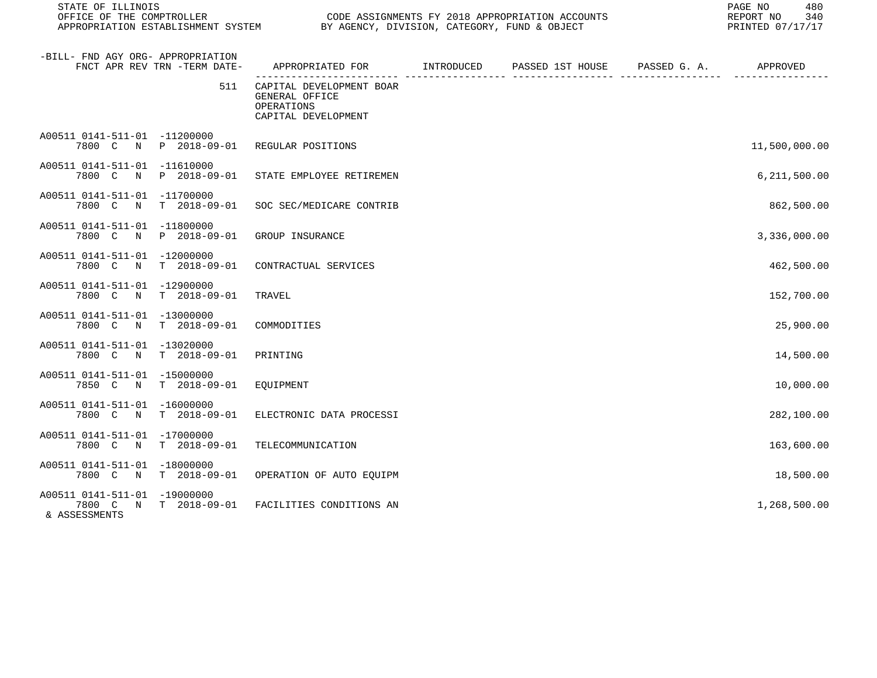| STATE OF ILLINOIS<br>OFFICE OF THE COMPTROLLER<br>APPROPRIATION ESTABLISHMENT SYSTEM |                              | CODE ASSIGNMENTS FY 2018 APPROPRIATION ACCOUNTS<br>BY AGENCY, DIVISION, CATEGORY, FUND & OBJECT |            |                  |              | 480<br>PAGE NO<br>REPORT NO<br>340<br>PRINTED 07/17/17 |
|--------------------------------------------------------------------------------------|------------------------------|-------------------------------------------------------------------------------------------------|------------|------------------|--------------|--------------------------------------------------------|
| -BILL- FND AGY ORG- APPROPRIATION                                                    | FNCT APR REV TRN -TERM DATE- | APPROPRIATED FOR                                                                                | INTRODUCED | PASSED 1ST HOUSE | PASSED G. A. | APPROVED                                               |
|                                                                                      | 511                          | CAPITAL DEVELOPMENT BOAR<br>GENERAL OFFICE<br>OPERATIONS<br>CAPITAL DEVELOPMENT                 |            |                  |              |                                                        |
| A00511 0141-511-01 -11200000                                                         | 7800 C N P 2018-09-01        | REGULAR POSITIONS                                                                               |            |                  |              | 11,500,000.00                                          |
| A00511 0141-511-01 -11610000<br>7800 C<br>$\mathbb N$                                | P 2018-09-01                 | STATE EMPLOYEE RETIREMEN                                                                        |            |                  |              | 6,211,500.00                                           |
| A00511 0141-511-01 -11700000<br>7800 C N T 2018-09-01                                |                              | SOC SEC/MEDICARE CONTRIB                                                                        |            |                  |              | 862,500.00                                             |
| A00511 0141-511-01 -11800000<br>7800 C N P 2018-09-01                                |                              | GROUP INSURANCE                                                                                 |            |                  |              | 3,336,000.00                                           |
| A00511 0141-511-01 -12000000<br>7800 C N                                             | $T$ 2018-09-01               | CONTRACTUAL SERVICES                                                                            |            |                  |              | 462,500.00                                             |
| A00511 0141-511-01 -12900000<br>7800 C N T 2018-09-01                                |                              | TRAVEL                                                                                          |            |                  |              | 152,700.00                                             |
| A00511 0141-511-01 -13000000<br>7800 C N T 2018-09-01                                |                              | COMMODITIES                                                                                     |            |                  |              | 25,900.00                                              |
| A00511 0141-511-01 -13020000<br>7800 C<br>$\mathbb N$                                | $T = 2018 - 09 - 01$         | PRINTING                                                                                        |            |                  |              | 14,500.00                                              |
| A00511 0141-511-01 -15000000<br>7850 C N T 2018-09-01                                |                              | EQUIPMENT                                                                                       |            |                  |              | 10,000.00                                              |
| A00511 0141-511-01 -16000000<br>7800 C N T 2018-09-01                                |                              | ELECTRONIC DATA PROCESSI                                                                        |            |                  |              | 282,100.00                                             |
| A00511 0141-511-01 -17000000<br>7800 C N                                             | T 2018-09-01                 | TELECOMMUNICATION                                                                               |            |                  |              | 163,600.00                                             |
| A00511 0141-511-01 -18000000<br>7800 C N T 2018-09-01                                |                              | OPERATION OF AUTO EQUIPM                                                                        |            |                  |              | 18,500.00                                              |
| A00511 0141-511-01 -19000000<br>7800 C N T 2018-09-01<br>& ASSESSMENTS               |                              | FACILITIES CONDITIONS AN                                                                        |            |                  |              | 1,268,500.00                                           |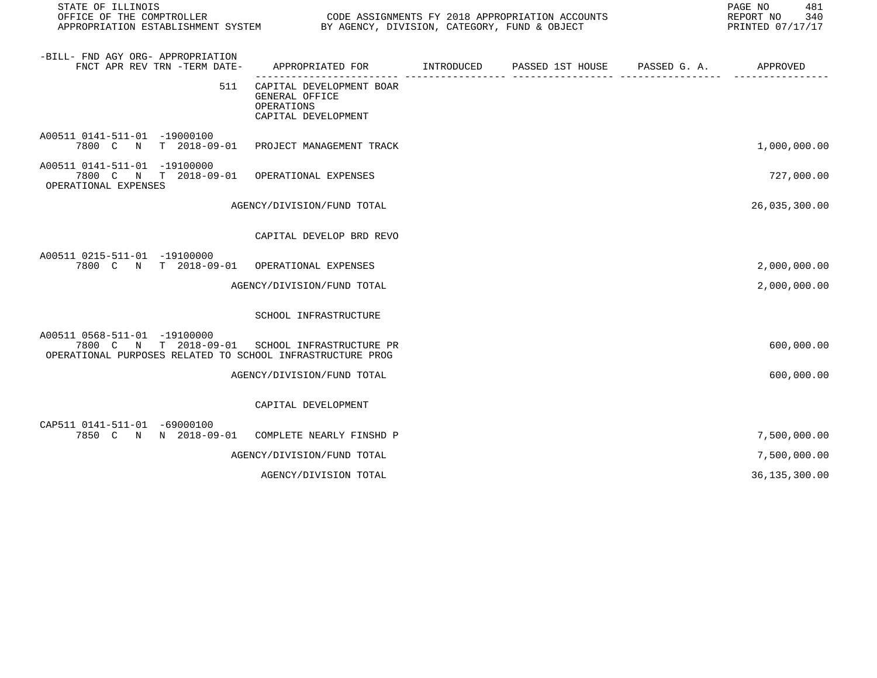| STATE OF ILLINOIS                                                                                                                            |                                                                                           |  | PAGE NO<br>481<br>REPORT NO<br>340<br>PRINTED 07/17/17 |
|----------------------------------------------------------------------------------------------------------------------------------------------|-------------------------------------------------------------------------------------------|--|--------------------------------------------------------|
| -BILL- FND AGY ORG- APPROPRIATION<br>FNCT APR REV TRN -TERM DATE-                                                                            | APPROPRIATED FOR        INTRODUCED     PASSED 1ST HOUSE     PASSED G. A.         APPROVED |  |                                                        |
| 511                                                                                                                                          | CAPITAL DEVELOPMENT BOAR<br>GENERAL OFFICE<br>OPERATIONS<br>CAPITAL DEVELOPMENT           |  |                                                        |
| A00511 0141-511-01 -19000100<br>7800 C N T 2018-09-01 PROJECT MANAGEMENT TRACK                                                               |                                                                                           |  | 1,000,000.00                                           |
| A00511 0141-511-01 -19100000<br>7800 C N T 2018-09-01 OPERATIONAL EXPENSES<br>OPERATIONAL EXPENSES                                           |                                                                                           |  | 727,000.00                                             |
|                                                                                                                                              | AGENCY/DIVISION/FUND TOTAL                                                                |  | 26,035,300.00                                          |
|                                                                                                                                              | CAPITAL DEVELOP BRD REVO                                                                  |  |                                                        |
| A00511 0215-511-01 -19100000<br>7800 C N T 2018-09-01 OPERATIONAL EXPENSES                                                                   |                                                                                           |  | 2,000,000.00                                           |
|                                                                                                                                              | AGENCY/DIVISION/FUND TOTAL                                                                |  | 2,000,000.00                                           |
|                                                                                                                                              | SCHOOL INFRASTRUCTURE                                                                     |  |                                                        |
| A00511 0568-511-01 -19100000<br>7800 C N T 2018-09-01 SCHOOL INFRASTRUCTURE PR<br>OPERATIONAL PURPOSES RELATED TO SCHOOL INFRASTRUCTURE PROG |                                                                                           |  | 600,000.00                                             |
|                                                                                                                                              | AGENCY/DIVISION/FUND TOTAL                                                                |  | 600,000.00                                             |
|                                                                                                                                              | CAPITAL DEVELOPMENT                                                                       |  |                                                        |
| CAP511 0141-511-01 -69000100<br>7850 C N N 2018-09-01 COMPLETE NEARLY FINSHD P                                                               |                                                                                           |  | 7,500,000.00                                           |
|                                                                                                                                              | AGENCY/DIVISION/FUND TOTAL                                                                |  | 7,500,000.00                                           |
|                                                                                                                                              | AGENCY/DIVISION TOTAL                                                                     |  | 36, 135, 300.00                                        |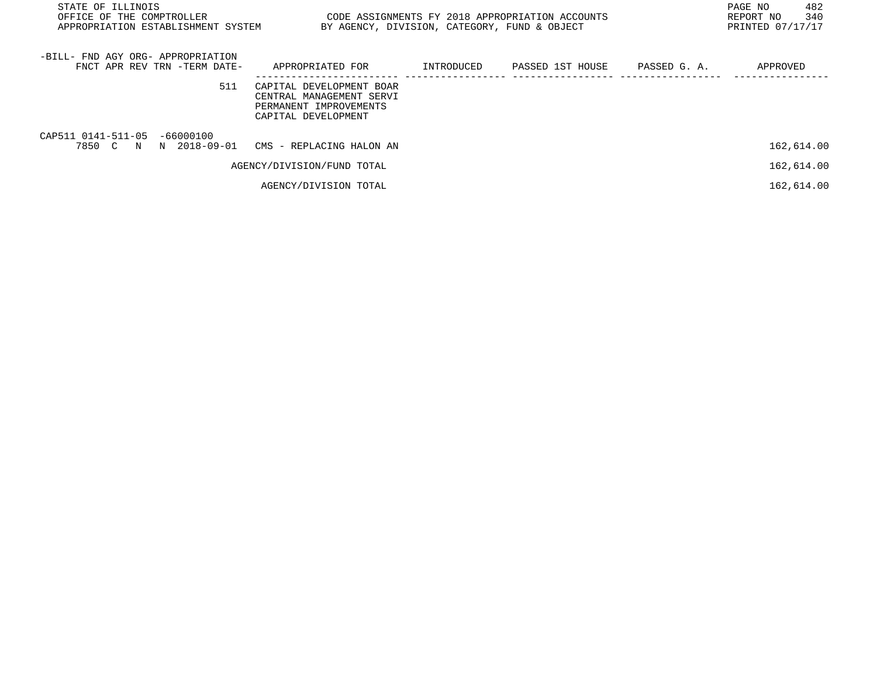| STATE OF ILLINOIS<br>OFFICE OF THE COMPTROLLER<br>APPROPRIATION ESTABLISHMENT SYSTEM | BY AGENCY, DIVISION, CATEGORY, FUND & OBJECT                                                          |            | CODE ASSIGNMENTS FY 2018 APPROPRIATION ACCOUNTS |              | 482<br>PAGE NO<br>340<br>REPORT NO<br>PRINTED 07/17/17 |
|--------------------------------------------------------------------------------------|-------------------------------------------------------------------------------------------------------|------------|-------------------------------------------------|--------------|--------------------------------------------------------|
| -BILL- FND AGY ORG- APPROPRIATION<br>FNCT APR REV TRN -TERM DATE-                    | APPROPRIATED FOR                                                                                      | INTRODUCED | PASSED 1ST HOUSE                                | PASSED G. A. | APPROVED                                               |
| 511                                                                                  | CAPITAL DEVELOPMENT BOAR<br>CENTRAL MANAGEMENT SERVI<br>PERMANENT IMPROVEMENTS<br>CAPITAL DEVELOPMENT |            |                                                 |              |                                                        |
| CAP511 0141-511-05 -66000100<br>7850 C N N 2018-09-01 CMS - REPLACING HALON AN       |                                                                                                       |            |                                                 |              | 162,614.00                                             |
|                                                                                      | AGENCY/DIVISION/FUND TOTAL                                                                            |            |                                                 |              | 162,614.00                                             |
|                                                                                      | AGENCY/DIVISION TOTAL                                                                                 |            |                                                 |              | 162,614.00                                             |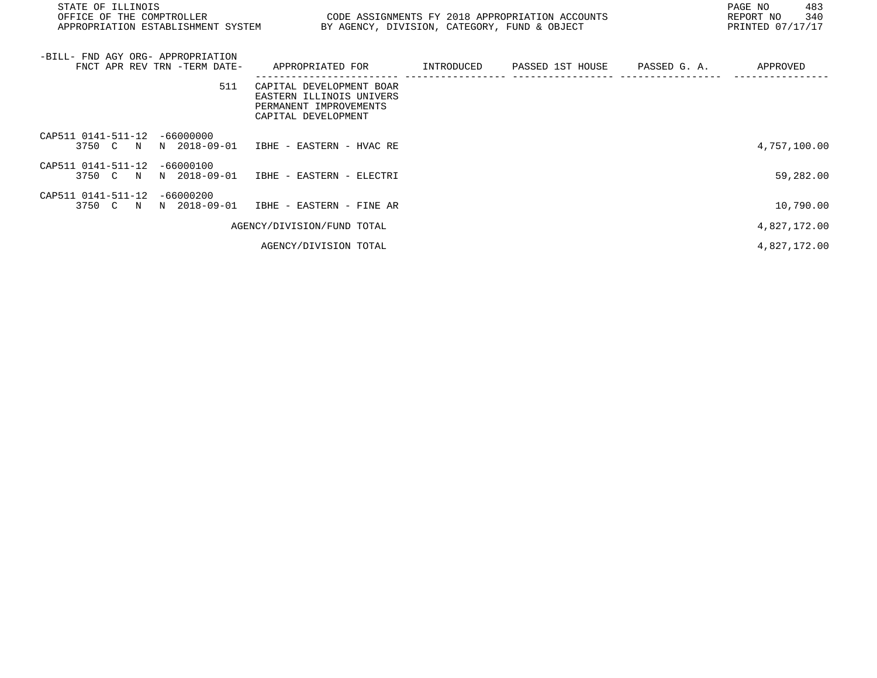| STATE OF ILLINOIS<br>OFFICE OF THE COMPTROLLER<br>APPROPRIATION ESTABLISHMENT SYSTEM BY AGENCY, DIVISION, CATEGORY, FUND & OBJECT     | CODE ASSIGNMENTS FY 2018 APPROPRIATION ACCOUNTS                                                       |  | 483<br>PAGE NO<br>340<br>REPORT NO<br>PRINTED 07/17/17 |
|---------------------------------------------------------------------------------------------------------------------------------------|-------------------------------------------------------------------------------------------------------|--|--------------------------------------------------------|
| -BILL- FND AGY ORG- APPROPRIATION<br>FNCT APR REV TRN -TERM DATE- APPROPRIATED FOR TINTRODUCED PASSED 1ST HOUSE PASSED G. A. APPROVED |                                                                                                       |  |                                                        |
| 511                                                                                                                                   | CAPITAL DEVELOPMENT BOAR<br>EASTERN ILLINOIS UNIVERS<br>PERMANENT IMPROVEMENTS<br>CAPITAL DEVELOPMENT |  |                                                        |
| CAP511 0141-511-12 -66000000<br>3750 C N<br>N 2018-09-01                                                                              | IBHE - EASTERN - HVAC RE                                                                              |  | 4,757,100.00                                           |
| CAP511 0141-511-12<br>-66000100<br>3750 C N N 2018-09-01                                                                              | IBHE - EASTERN - ELECTRI                                                                              |  | 59,282.00                                              |
| CAP511 0141-511-12<br>-66000200<br>N 2018-09-01<br>3750 C N                                                                           | IBHE - EASTERN - FINE AR                                                                              |  | 10,790.00                                              |
|                                                                                                                                       | AGENCY/DIVISION/FUND TOTAL                                                                            |  | 4,827,172.00                                           |
|                                                                                                                                       | AGENCY/DIVISION TOTAL                                                                                 |  | 4,827,172.00                                           |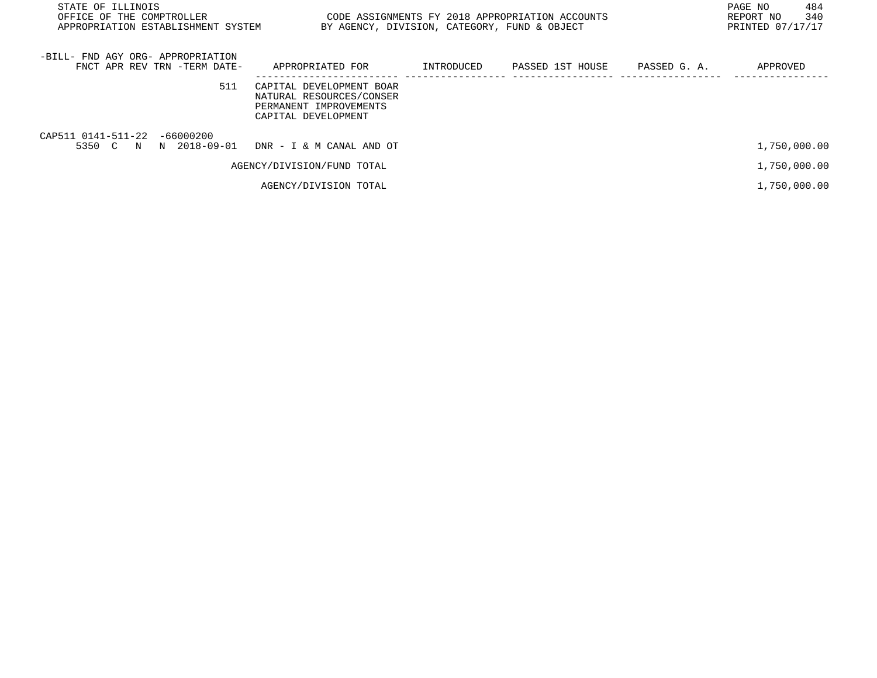| STATE OF ILLINOIS<br>OFFICE OF THE COMPTROLLER<br>APPROPRIATION ESTABLISHMENT SYSTEM | BY AGENCY, DIVISION, CATEGORY, FUND & OBJECT                                                          |            | CODE ASSIGNMENTS FY 2018 APPROPRIATION ACCOUNTS |              | PAGE NO<br>484<br>340<br>REPORT NO<br>PRINTED 07/17/17 |
|--------------------------------------------------------------------------------------|-------------------------------------------------------------------------------------------------------|------------|-------------------------------------------------|--------------|--------------------------------------------------------|
| -BILL- FND AGY ORG- APPROPRIATION<br>FNCT APR REV TRN -TERM DATE-                    | APPROPRIATED FOR                                                                                      | INTRODUCED | PASSED 1ST HOUSE                                | PASSED G. A. | APPROVED                                               |
| 511                                                                                  | CAPITAL DEVELOPMENT BOAR<br>NATURAL RESOURCES/CONSER<br>PERMANENT IMPROVEMENTS<br>CAPITAL DEVELOPMENT |            |                                                 |              |                                                        |
| CAP511 0141-511-22<br>$-66000200$<br>5350 C N N 2018-09-01                           | DNR - I & M CANAL AND OT                                                                              |            |                                                 |              | 1,750,000.00                                           |
|                                                                                      | AGENCY/DIVISION/FUND TOTAL                                                                            |            |                                                 |              | 1,750,000.00                                           |
|                                                                                      | AGENCY/DIVISION TOTAL                                                                                 |            |                                                 |              | 1,750,000.00                                           |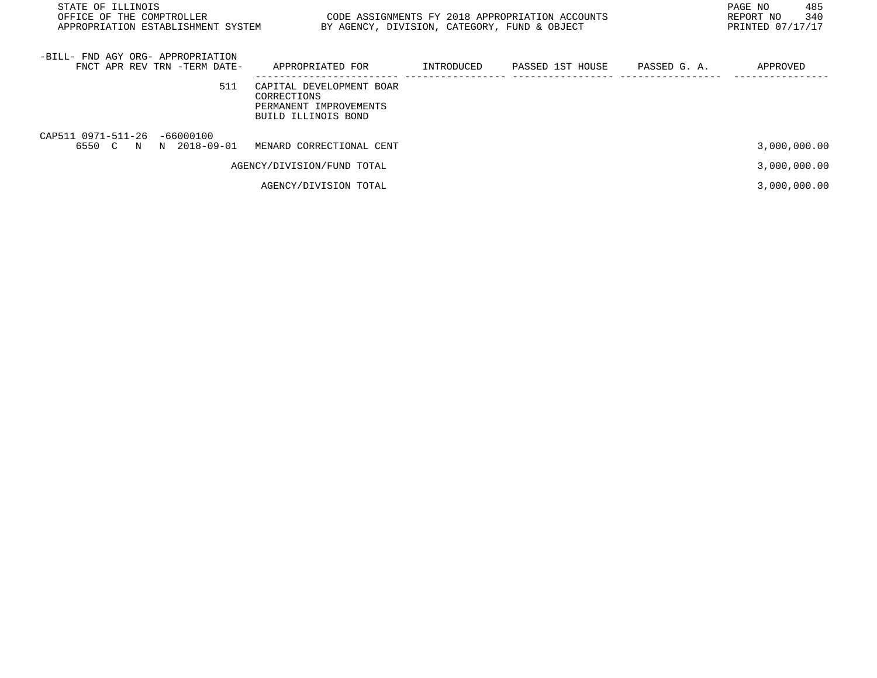| STATE OF ILLINOIS<br>OFFICE OF THE COMPTROLLER<br>APPROPRIATION ESTABLISHMENT SYSTEM | BY AGENCY, DIVISION, CATEGORY, FUND & OBJECT                                             |            | CODE ASSIGNMENTS FY 2018 APPROPRIATION ACCOUNTS |              | 485<br>PAGE NO<br>340<br>REPORT NO<br>PRINTED 07/17/17 |
|--------------------------------------------------------------------------------------|------------------------------------------------------------------------------------------|------------|-------------------------------------------------|--------------|--------------------------------------------------------|
| -BILL- FND AGY ORG- APPROPRIATION<br>FNCT APR REV TRN -TERM DATE-                    | APPROPRIATED FOR                                                                         | INTRODUCED | PASSED 1ST HOUSE                                | PASSED G. A. | APPROVED                                               |
| 511                                                                                  | CAPITAL DEVELOPMENT BOAR<br>CORRECTIONS<br>PERMANENT IMPROVEMENTS<br>BUILD ILLINOIS BOND |            |                                                 |              |                                                        |
| CAP511 0971-511-26 -66000100<br>6550 C N N 2018-09-01                                | MENARD CORRECTIONAL CENT                                                                 |            |                                                 |              | 3,000,000.00                                           |
|                                                                                      | AGENCY/DIVISION/FUND TOTAL                                                               |            |                                                 |              | 3,000,000.00                                           |
|                                                                                      | AGENCY/DIVISION TOTAL                                                                    |            |                                                 |              | 3,000,000.00                                           |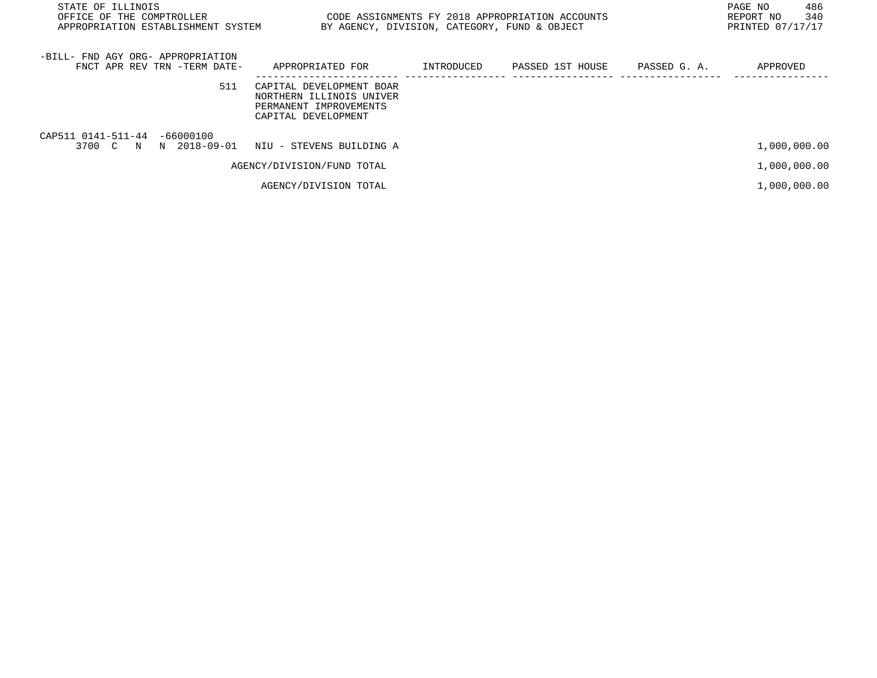| STATE OF ILLINOIS<br>OFFICE OF THE COMPTROLLER<br>APPROPRIATION ESTABLISHMENT SYSTEM |                                                                                                       | PAGE NO<br>CODE ASSIGNMENTS FY 2018 APPROPRIATION ACCOUNTS<br>REPORT NO<br>PRINTED 07/17/17<br>BY AGENCY, DIVISION, CATEGORY, FUND & OBJECT |                  |              |              |  |
|--------------------------------------------------------------------------------------|-------------------------------------------------------------------------------------------------------|---------------------------------------------------------------------------------------------------------------------------------------------|------------------|--------------|--------------|--|
| -BILL- FND AGY ORG- APPROPRIATION<br>FNCT APR REV TRN -TERM DATE-                    | APPROPRIATED FOR                                                                                      | INTRODUCED                                                                                                                                  | PASSED 1ST HOUSE | PASSED G. A. | APPROVED     |  |
| 511                                                                                  | CAPITAL DEVELOPMENT BOAR<br>NORTHERN ILLINOIS UNIVER<br>PERMANENT IMPROVEMENTS<br>CAPITAL DEVELOPMENT |                                                                                                                                             |                  |              |              |  |
| CAP511 0141-511-44 -66000100<br>3700 C                                               | N N 2018-09-01 NIU - STEVENS BUILDING A                                                               |                                                                                                                                             |                  |              | 1,000,000.00 |  |
|                                                                                      | AGENCY/DIVISION/FUND TOTAL                                                                            |                                                                                                                                             |                  |              | 1,000,000.00 |  |
|                                                                                      | AGENCY/DIVISION TOTAL                                                                                 |                                                                                                                                             |                  |              | 1,000,000.00 |  |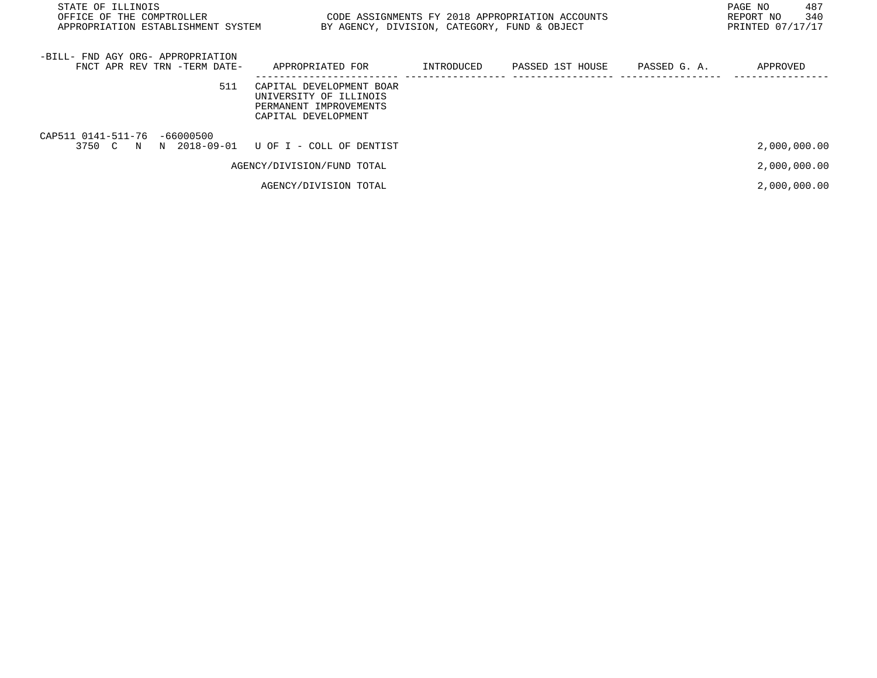| STATE OF ILLINOIS<br>OFFICE OF THE COMPTROLLER<br>APPROPRIATION ESTABLISHMENT SYSTEM | BY AGENCY, DIVISION, CATEGORY, FUND & OBJECT                                                        |            | CODE ASSIGNMENTS FY 2018 APPROPRIATION ACCOUNTS |              | 487<br>PAGE NO<br>340<br>REPORT NO<br>PRINTED 07/17/17 |
|--------------------------------------------------------------------------------------|-----------------------------------------------------------------------------------------------------|------------|-------------------------------------------------|--------------|--------------------------------------------------------|
| -BILL- FND AGY ORG- APPROPRIATION<br>FNCT APR REV TRN -TERM DATE-                    | APPROPRIATED FOR                                                                                    | INTRODUCED | PASSED 1ST HOUSE                                | PASSED G. A. | APPROVED                                               |
| 511                                                                                  | CAPITAL DEVELOPMENT BOAR<br>UNIVERSITY OF ILLINOIS<br>PERMANENT IMPROVEMENTS<br>CAPITAL DEVELOPMENT |            |                                                 |              |                                                        |
| CAP511 0141-511-76 -66000500<br>3750 C N N 2018-09-01 U OF I - COLL OF DENTIST       |                                                                                                     |            |                                                 |              | 2,000,000.00                                           |
|                                                                                      | AGENCY/DIVISION/FUND TOTAL                                                                          |            |                                                 |              | 2,000,000.00                                           |
|                                                                                      | AGENCY/DIVISION TOTAL                                                                               |            |                                                 |              | 2,000,000.00                                           |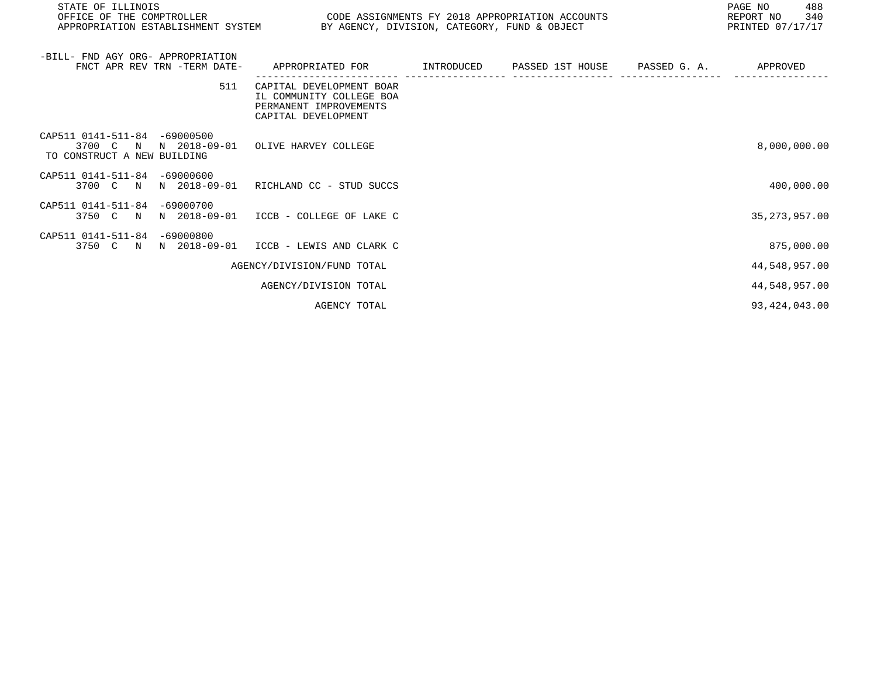| STATE OF ILLINOIS<br>OFFICE OF THE COMPTROLLER<br>CODE ASSIGNMENTS FY 2018 APPROPRIATION ACCOUNTS<br>APPROPRIATION ESTABLISHMENT SYSTEM BY AGENCY, DIVISION, CATEGORY, FUND & OBJECT |                                                                                                       |  |  | 488<br>PAGE NO<br>340<br>REPORT NO<br>PRINTED 07/17/17 |
|--------------------------------------------------------------------------------------------------------------------------------------------------------------------------------------|-------------------------------------------------------------------------------------------------------|--|--|--------------------------------------------------------|
| -BILL- FND AGY ORG- APPROPRIATION<br>FNCT APR REV TRN -TERM DATE-                                                                                                                    | APPROPRIATED FOR        INTRODUCED     PASSED 1ST HOUSE     PASSED G. A.                              |  |  | APPROVED                                               |
| 511                                                                                                                                                                                  | CAPITAL DEVELOPMENT BOAR<br>IL COMMUNITY COLLEGE BOA<br>PERMANENT IMPROVEMENTS<br>CAPITAL DEVELOPMENT |  |  |                                                        |
| CAP511 0141-511-84 -69000500<br>3700 C N N 2018-09-01 OLIVE HARVEY COLLEGE<br>TO CONSTRUCT A NEW BUILDING                                                                            |                                                                                                       |  |  | 8,000,000.00                                           |
| CAP511 0141-511-84 -69000600<br>3700 C N                                                                                                                                             | N 2018-09-01 RICHLAND CC - STUD SUCCS                                                                 |  |  | 400,000.00                                             |
| CAP511 0141-511-84 -69000700<br>3750 C N<br>N 2018-09-01                                                                                                                             | ICCB - COLLEGE OF LAKE C                                                                              |  |  | 35, 273, 957.00                                        |
| CAP511 0141-511-84 -69000800<br>3750 C N N 2018-09-01 ICCB - LEWIS AND CLARK C                                                                                                       |                                                                                                       |  |  | 875,000.00                                             |
|                                                                                                                                                                                      | AGENCY/DIVISION/FUND TOTAL                                                                            |  |  | 44,548,957.00                                          |
|                                                                                                                                                                                      | AGENCY/DIVISION TOTAL                                                                                 |  |  | 44,548,957.00                                          |
|                                                                                                                                                                                      | AGENCY TOTAL                                                                                          |  |  | 93, 424, 043.00                                        |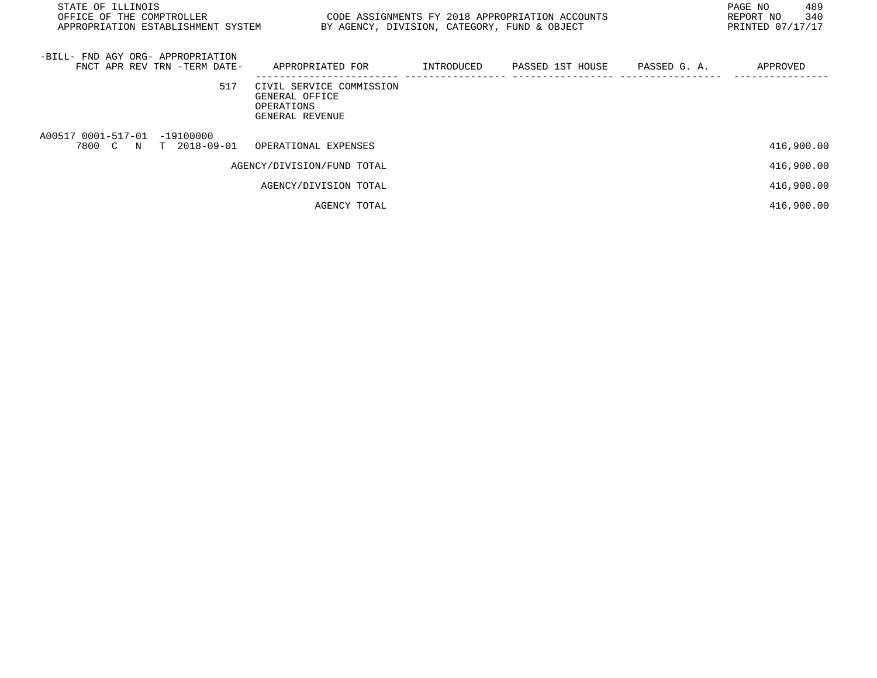| STATE OF ILLINOIS<br>OFFICE OF THE COMPTROLLER<br>CODE ASSIGNMENTS FY 2018 APPROPRIATION ACCOUNTS<br>APPROPRIATION ESTABLISHMENT SYSTEM<br>BY AGENCY, DIVISION, CATEGORY, FUND & OBJECT |                                                                             |            |                  |              | 489<br>PAGE NO<br>340<br>REPORT NO<br>PRINTED 07/17/17 |
|-----------------------------------------------------------------------------------------------------------------------------------------------------------------------------------------|-----------------------------------------------------------------------------|------------|------------------|--------------|--------------------------------------------------------|
| -BILL- FND AGY ORG- APPROPRIATION<br>FNCT APR REV TRN -TERM DATE-                                                                                                                       | APPROPRIATED FOR                                                            | INTRODUCED | PASSED 1ST HOUSE | PASSED G. A. | APPROVED                                               |
| 517                                                                                                                                                                                     | CIVIL SERVICE COMMISSION<br>GENERAL OFFICE<br>OPERATIONS<br>GENERAL REVENUE |            |                  |              |                                                        |
| A00517 0001-517-01 -19100000<br>T 2018-09-01<br>7800 C N                                                                                                                                | OPERATIONAL EXPENSES                                                        |            |                  |              | 416,900.00                                             |
|                                                                                                                                                                                         | AGENCY/DIVISION/FUND TOTAL                                                  |            |                  |              | 416,900.00                                             |
|                                                                                                                                                                                         | AGENCY/DIVISION TOTAL                                                       |            |                  |              | 416,900.00                                             |
|                                                                                                                                                                                         | AGENCY TOTAL                                                                |            |                  |              | 416,900.00                                             |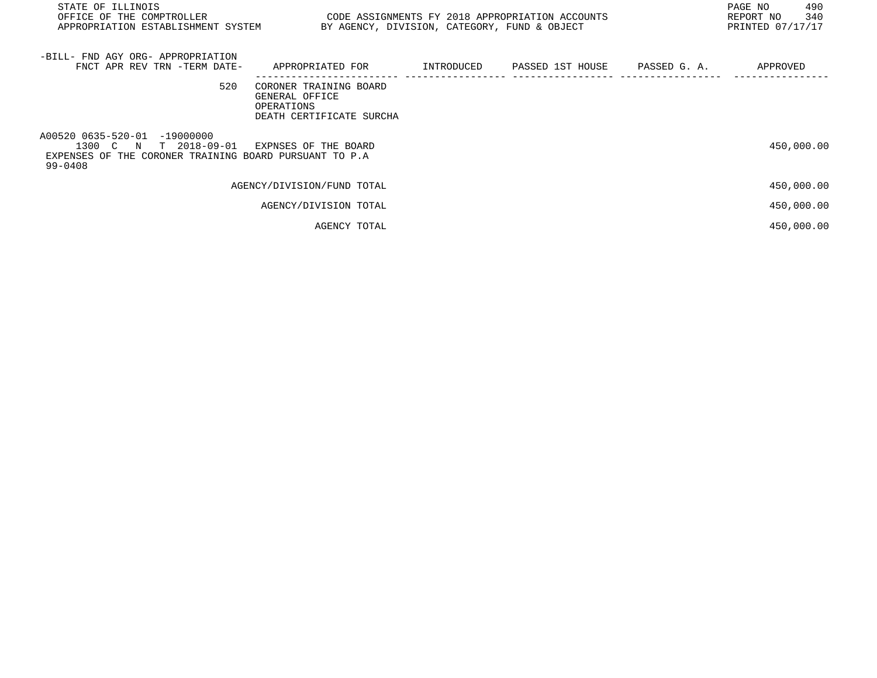| STATE OF ILLINOIS<br>OFFICE OF THE COMPTROLLER CODE ASSIGNMENTS FY 2018 APPROPRIATION ACCOUNTS<br>APPROPRIATION ESTABLISHMENT SYSTEM BY AGENCY, DIVISION, CATEGORY, FUND & OBJECT |                                                                                    |  | 490<br>PAGE NO<br>340<br>REPORT NO<br>PRINTED 07/17/17 |
|-----------------------------------------------------------------------------------------------------------------------------------------------------------------------------------|------------------------------------------------------------------------------------|--|--------------------------------------------------------|
| -BILL- FND AGY ORG- APPROPRIATION<br>FNCT APR REV TRN -TERM DATE- APPROPRIATED FOR TINTRODUCED PASSED 1ST HOUSE PASSED G.A.                                                       |                                                                                    |  | APPROVED                                               |
| 520                                                                                                                                                                               | CORONER TRAINING BOARD<br>GENERAL OFFICE<br>OPERATIONS<br>DEATH CERTIFICATE SURCHA |  |                                                        |
| A00520 0635-520-01 -19000000<br>1300 C N T 2018-09-01 EXPNSES OF THE BOARD<br>EXPENSES OF THE CORONER TRAINING BOARD PURSUANT TO P.A<br>99-0408                                   |                                                                                    |  | 450,000.00                                             |
|                                                                                                                                                                                   | AGENCY/DIVISION/FUND TOTAL                                                         |  | 450,000.00                                             |
|                                                                                                                                                                                   | AGENCY/DIVISION TOTAL                                                              |  | 450,000.00                                             |
|                                                                                                                                                                                   | AGENCY TOTAL                                                                       |  | 450,000.00                                             |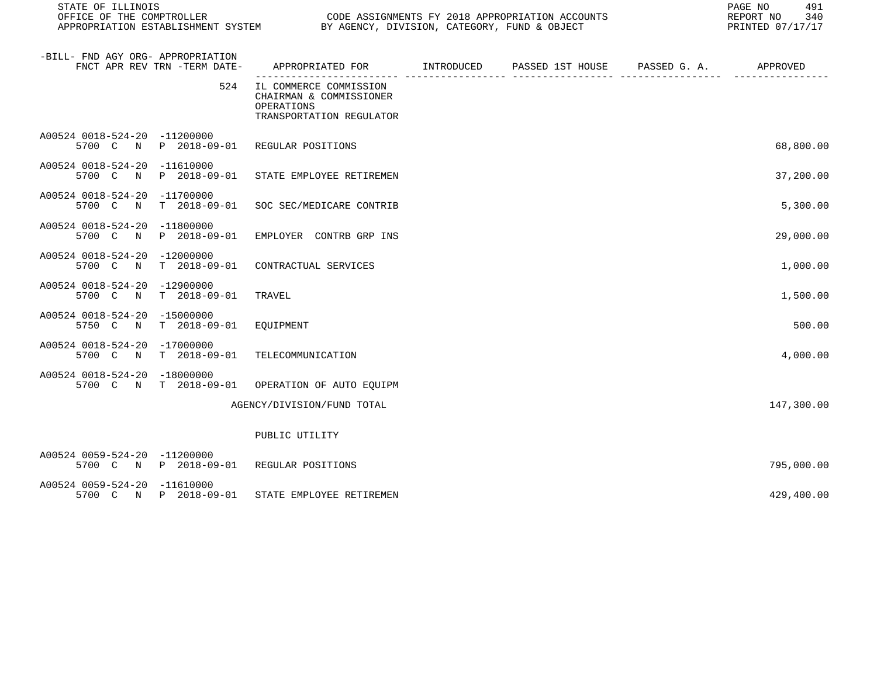| STATE OF ILLINOIS<br>OFFICE OF THE COMPTROLLER        |                              | PAGE NO<br>CODE ASSIGNMENTS FY 2018 APPROPRIATION ACCOUNTS<br>REPORT NO<br>OUDE ASSIGNMENTS FI 2016 APPROPRIATION ACCORDINATION ECONOMIC SYSTEM CODE ASSIGNMENTS FI 2016 APPROPRIATION ACCOR<br>PRINTED 07/17/17 |  |  |  |            |
|-------------------------------------------------------|------------------------------|------------------------------------------------------------------------------------------------------------------------------------------------------------------------------------------------------------------|--|--|--|------------|
| -BILL- FND AGY ORG- APPROPRIATION                     | FNCT APR REV TRN -TERM DATE- | APPROPRIATED FOR TINTRODUCED PASSED 1ST HOUSE PASSED G. A.                                                                                                                                                       |  |  |  | APPROVED   |
|                                                       | 524                          | IL COMMERCE COMMISSION<br>CHAIRMAN & COMMISSIONER<br>OPERATIONS<br>TRANSPORTATION REGULATOR                                                                                                                      |  |  |  |            |
| A00524 0018-524-20 -11200000                          | 5700 C N P 2018-09-01        | REGULAR POSITIONS                                                                                                                                                                                                |  |  |  | 68,800.00  |
| A00524 0018-524-20 -11610000                          | 5700 C N P 2018-09-01        | STATE EMPLOYEE RETIREMEN                                                                                                                                                                                         |  |  |  | 37,200.00  |
| A00524 0018-524-20 -11700000<br>5700 C<br>N           | $T = 2018 - 09 - 01$         | SOC SEC/MEDICARE CONTRIB                                                                                                                                                                                         |  |  |  | 5,300.00   |
| A00524 0018-524-20 -11800000<br>5700 C<br>$\mathbb N$ | P 2018-09-01                 | EMPLOYER CONTRB GRP INS                                                                                                                                                                                          |  |  |  | 29,000.00  |
| A00524 0018-524-20 -12000000<br>5700 C N              | T 2018-09-01                 | CONTRACTUAL SERVICES                                                                                                                                                                                             |  |  |  | 1,000.00   |
| A00524 0018-524-20 -12900000<br>5700 C<br>N           | $T = 2018 - 09 - 01$         | TRAVEL                                                                                                                                                                                                           |  |  |  | 1,500.00   |
| A00524 0018-524-20 -15000000<br>5750 C<br>N           | $T = 2018 - 09 - 01$         | EQUIPMENT                                                                                                                                                                                                        |  |  |  | 500.00     |
| A00524 0018-524-20 -17000000<br>5700 C<br>N           | T 2018-09-01                 | TELECOMMUNICATION                                                                                                                                                                                                |  |  |  | 4,000.00   |
| A00524 0018-524-20 -18000000                          | 5700 C N T 2018-09-01        | OPERATION OF AUTO EQUIPM                                                                                                                                                                                         |  |  |  |            |
|                                                       |                              | AGENCY/DIVISION/FUND TOTAL                                                                                                                                                                                       |  |  |  | 147,300.00 |
|                                                       |                              | PUBLIC UTILITY                                                                                                                                                                                                   |  |  |  |            |
| A00524 0059-524-20 -11200000                          | 5700 C N P 2018-09-01        | REGULAR POSITIONS                                                                                                                                                                                                |  |  |  | 795,000.00 |
| A00524 0059-524-20 -11610000                          | 5700 C N P 2018-09-01        | STATE EMPLOYEE RETIREMEN                                                                                                                                                                                         |  |  |  | 429,400.00 |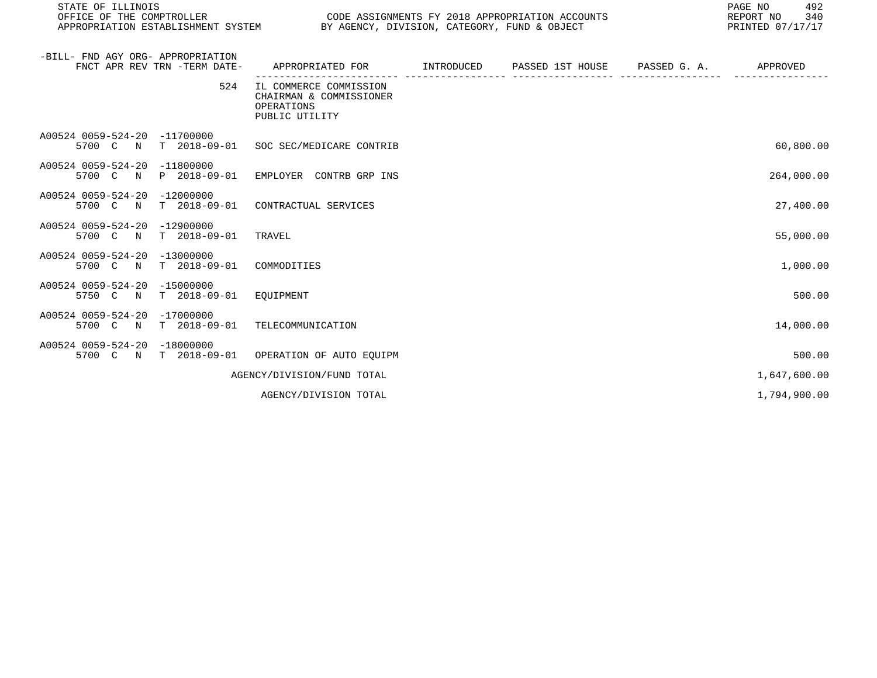| STATE OF ILLINOIS<br>OFFICE OF THE COMPTROLLER<br>APPROPRIATION ESTABLISHMENT SYSTEM BY AGENCY, DIVISION, CATEGORY, FUND & OBJECT |                                                                                   | CODE ASSIGNMENTS FY 2018 APPROPRIATION ACCOUNTS |                       | 492<br>PAGE NO<br>340<br>REPORT NO<br>PRINTED 07/17/17 |
|-----------------------------------------------------------------------------------------------------------------------------------|-----------------------------------------------------------------------------------|-------------------------------------------------|-----------------------|--------------------------------------------------------|
| -BILL- FND AGY ORG- APPROPRIATION<br>FNCT APR REV TRN -TERM DATE-                                                                 | APPROPRIATED FOR                                                                  | INTRODUCED PASSED 1ST HOUSE                     | PASSED G. A. APPROVED |                                                        |
| 524                                                                                                                               | IL COMMERCE COMMISSION<br>CHAIRMAN & COMMISSIONER<br>OPERATIONS<br>PUBLIC UTILITY |                                                 |                       |                                                        |
| A00524 0059-524-20 -11700000<br>5700 C                                                                                            | N T 2018-09-01 SOC SEC/MEDICARE CONTRIB                                           |                                                 |                       | 60,800.00                                              |
| A00524 0059-524-20 -11800000<br>5700 C N P 2018-09-01 EMPLOYER CONTRB GRP INS                                                     |                                                                                   |                                                 |                       | 264,000.00                                             |
| A00524 0059-524-20<br>$-12000000$<br>$T$ 2018-09-01<br>5700 C N                                                                   | CONTRACTUAL SERVICES                                                              |                                                 |                       | 27,400.00                                              |
| A00524 0059-524-20 -12900000<br>T 2018-09-01<br>5700 C N                                                                          | TRAVEL                                                                            |                                                 |                       | 55,000.00                                              |
| A00524 0059-524-20 -13000000<br>5700 C N T 2018-09-01 COMMODITIES                                                                 |                                                                                   |                                                 |                       | 1,000.00                                               |
| A00524 0059-524-20 -15000000<br>T 2018-09-01 EQUIPMENT<br>5750 C N                                                                |                                                                                   |                                                 |                       | 500.00                                                 |
| A00524 0059-524-20 -17000000<br>5700 C N                                                                                          | T 2018-09-01 TELECOMMUNICATION                                                    |                                                 |                       | 14,000.00                                              |
| A00524 0059-524-20<br>$-18000000$<br>5700 C N T 2018-09-01 OPERATION OF AUTO EQUIPM                                               |                                                                                   |                                                 |                       | 500.00                                                 |
|                                                                                                                                   | AGENCY/DIVISION/FUND TOTAL                                                        |                                                 |                       | 1,647,600.00                                           |
|                                                                                                                                   | AGENCY/DIVISION TOTAL                                                             |                                                 |                       | 1,794,900.00                                           |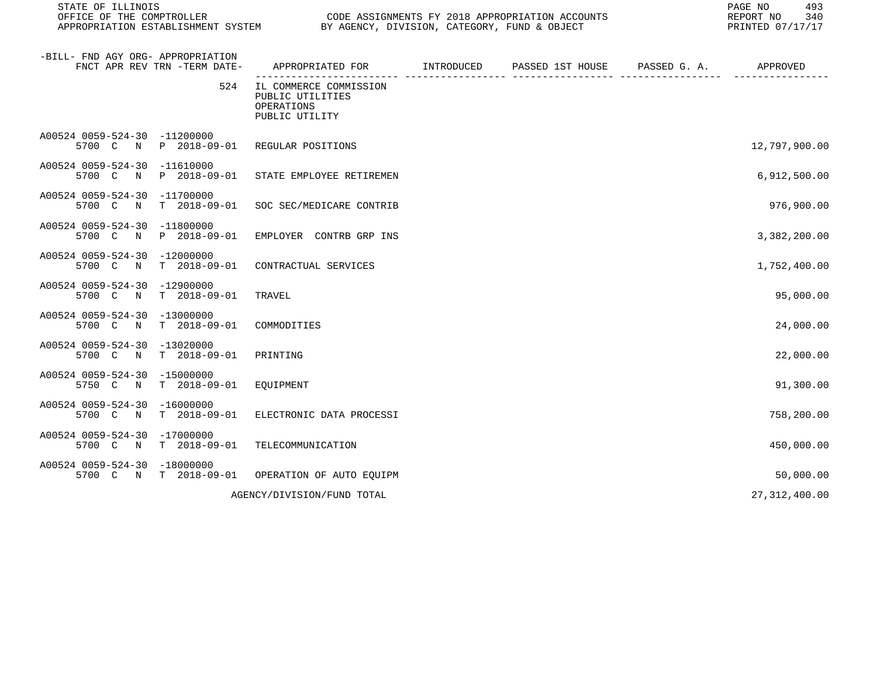STATE OF ILLINOIS PAGE NO 493 OFFICE OF THE COMPTROLLER CODE CODE ASSIGNMENTS FY 2018 APPROPRIATION ACCOUNTS CONNECT CONFINER OF 240<br>APPROPRIATION ESTABLISHMENT SYSTEM BY AGENCY, DIVISION, CATEGORY, FUND & OBJECT

| -BILL- FND AGY ORG- APPROPRIATION<br>FNCT APR REV TRN -TERM DATE-                  | APPROPRIATED FOR                                                           | INTRODUCED | PASSED 1ST HOUSE | PASSED G. A. | APPROVED        |
|------------------------------------------------------------------------------------|----------------------------------------------------------------------------|------------|------------------|--------------|-----------------|
| 524                                                                                | IL COMMERCE COMMISSION<br>PUBLIC UTILITIES<br>OPERATIONS<br>PUBLIC UTILITY |            |                  |              |                 |
| A00524 0059-524-30 -11200000<br>P 2018-09-01<br>5700 C N                           | REGULAR POSITIONS                                                          |            |                  |              | 12,797,900.00   |
| A00524 0059-524-30 -11610000<br>5700 C<br>P 2018-09-01<br>N                        | STATE EMPLOYEE RETIREMEN                                                   |            |                  |              | 6,912,500.00    |
| A00524 0059-524-30<br>$-11700000$<br>$T = 2018 - 09 - 01$<br>5700 C N              | SOC SEC/MEDICARE CONTRIB                                                   |            |                  |              | 976,900.00      |
| A00524 0059-524-30 -11800000<br>5700 C N<br>P 2018-09-01                           | EMPLOYER CONTRB GRP INS                                                    |            |                  |              | 3,382,200.00    |
| A00524 0059-524-30<br>$-12000000$<br>$T$ 2018-09-01<br>5700 C N                    | CONTRACTUAL SERVICES                                                       |            |                  |              | 1,752,400.00    |
| A00524 0059-524-30<br>$-12900000$<br>5700 C N<br>$T$ 2018-09-01                    | TRAVEL                                                                     |            |                  |              | 95,000.00       |
| A00524 0059-524-30<br>$-13000000$<br>5700 C N<br>$T = 2018 - 09 - 01$              | COMMODITIES                                                                |            |                  |              | 24,000.00       |
| A00524 0059-524-30<br>$-13020000$<br>$T = 2018 - 09 - 01$<br>5700 C<br>$\mathbb N$ | PRINTING                                                                   |            |                  |              | 22,000.00       |
| A00524 0059-524-30<br>$-15000000$<br>$T$ 2018-09-01<br>5750 C<br>$\mathbb N$       | EQUIPMENT                                                                  |            |                  |              | 91,300.00       |
| A00524 0059-524-30<br>$-16000000$<br>5700 C<br>$T = 2018 - 09 - 01$<br>$\mathbb N$ | ELECTRONIC DATA PROCESSI                                                   |            |                  |              | 758,200.00      |
| A00524 0059-524-30<br>$-17000000$<br>5700 C<br>$T$ 2018-09-01<br>N                 | TELECOMMUNICATION                                                          |            |                  |              | 450,000.00      |
| A00524 0059-524-30<br>$-18000000$<br>5700 C N T 2018-09-01                         | OPERATION OF AUTO EQUIPM                                                   |            |                  |              | 50,000.00       |
|                                                                                    | AGENCY/DIVISION/FUND TOTAL                                                 |            |                  |              | 27, 312, 400.00 |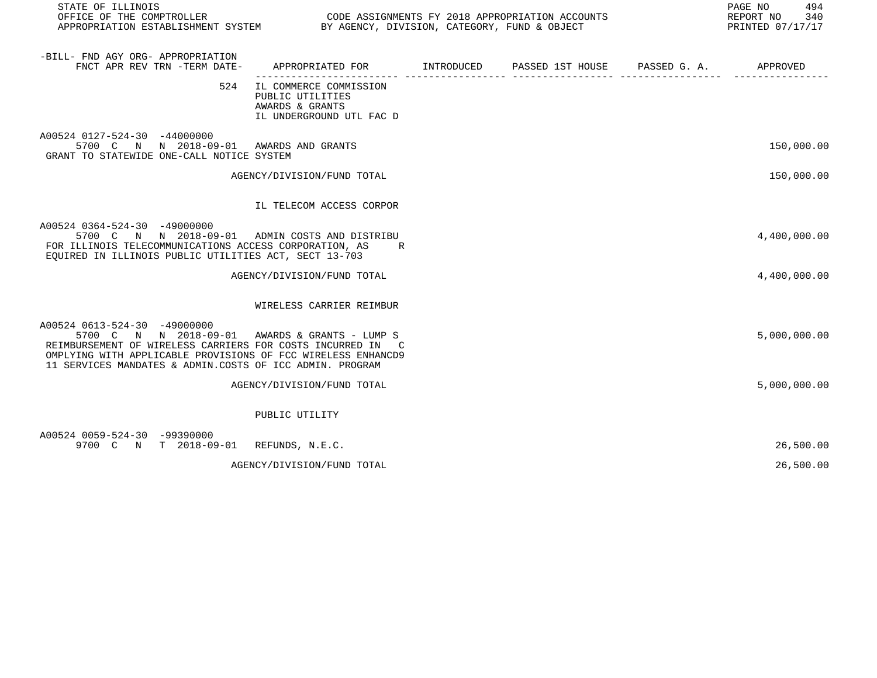| STATE OF ILLINOIS                                                                                                                                                                                                                                                        |                                                                                           |  | 494<br>PAGE NO<br>REPORT NO 340<br>PRINTED 07/17/17 |
|--------------------------------------------------------------------------------------------------------------------------------------------------------------------------------------------------------------------------------------------------------------------------|-------------------------------------------------------------------------------------------|--|-----------------------------------------------------|
| -BILL- FND AGY ORG- APPROPRIATION<br>FNCT APR REV TRN -TERM DATE-                                                                                                                                                                                                        | APPROPRIATED FOR        INTRODUCED     PASSED 1ST HOUSE     PASSED G. A.         APPROVED |  |                                                     |
| 524                                                                                                                                                                                                                                                                      | IL COMMERCE COMMISSION<br>PUBLIC UTILITIES<br>AWARDS & GRANTS<br>IL UNDERGROUND UTL FAC D |  |                                                     |
| A00524 0127-524-30 -44000000<br>5700 C N N 2018-09-01 AWARDS AND GRANTS<br>GRANT TO STATEWIDE ONE-CALL NOTICE SYSTEM                                                                                                                                                     |                                                                                           |  | 150,000.00                                          |
|                                                                                                                                                                                                                                                                          | AGENCY/DIVISION/FUND TOTAL                                                                |  | 150,000.00                                          |
|                                                                                                                                                                                                                                                                          | IL TELECOM ACCESS CORPOR                                                                  |  |                                                     |
| A00524 0364-524-30 -49000000<br>5700 C N N 2018-09-01 ADMIN COSTS AND DISTRIBU<br>FOR ILLINOIS TELECOMMUNICATIONS ACCESS CORPORATION, AS<br>EQUIRED IN ILLINOIS PUBLIC UTILITIES ACT, SECT 13-703                                                                        | R                                                                                         |  | 4,400,000.00                                        |
|                                                                                                                                                                                                                                                                          | AGENCY/DIVISION/FUND TOTAL                                                                |  | 4,400,000.00                                        |
|                                                                                                                                                                                                                                                                          | WIRELESS CARRIER REIMBUR                                                                  |  |                                                     |
| A00524 0613-524-30 -49000000<br>5700 C N N 2018-09-01 AWARDS & GRANTS - LUMP S<br>REIMBURSEMENT OF WIRELESS CARRIERS FOR COSTS INCURRED IN C<br>OMPLYING WITH APPLICABLE PROVISIONS OF FCC WIRELESS ENHANCD9<br>11 SERVICES MANDATES & ADMIN.COSTS OF ICC ADMIN. PROGRAM |                                                                                           |  | 5,000,000.00                                        |
|                                                                                                                                                                                                                                                                          | AGENCY/DIVISION/FUND TOTAL                                                                |  | 5,000,000.00                                        |
|                                                                                                                                                                                                                                                                          | PUBLIC UTILITY                                                                            |  |                                                     |
| A00524 0059-524-30 -99390000<br>9700 C N T 2018-09-01 REFUNDS, N.E.C.                                                                                                                                                                                                    |                                                                                           |  | 26,500.00                                           |
|                                                                                                                                                                                                                                                                          | AGENCY/DIVISION/FUND TOTAL                                                                |  | 26,500.00                                           |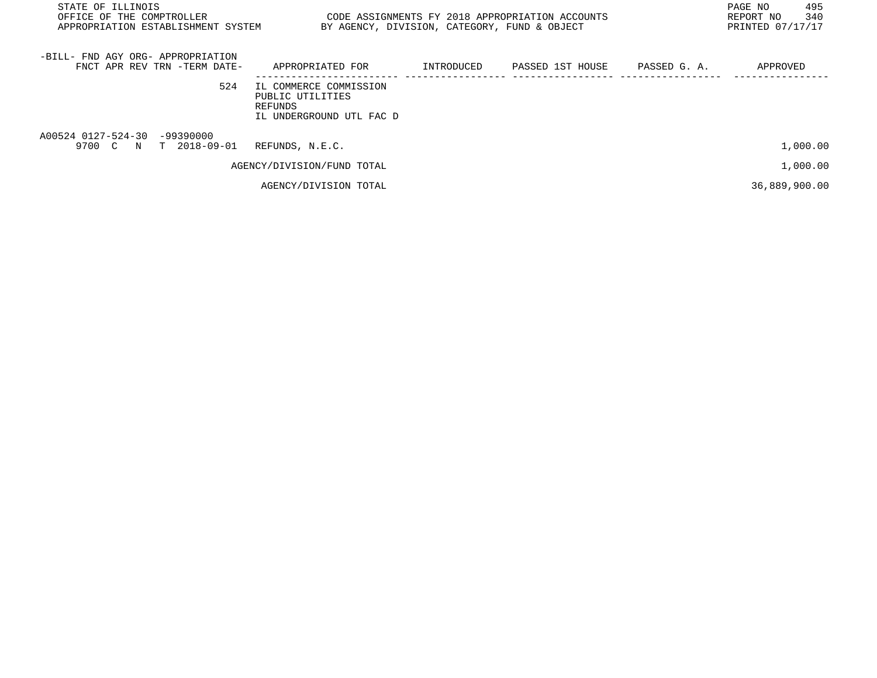| STATE OF ILLINOIS<br>OFFICE OF THE COMPTROLLER<br>APPROPRIATION ESTABLISHMENT SYSTEM | BY AGENCY, DIVISION, CATEGORY, FUND & OBJECT                                      |            | CODE ASSIGNMENTS FY 2018 APPROPRIATION ACCOUNTS |              | 495<br>PAGE NO<br>340<br>REPORT NO<br>PRINTED 07/17/17 |
|--------------------------------------------------------------------------------------|-----------------------------------------------------------------------------------|------------|-------------------------------------------------|--------------|--------------------------------------------------------|
| -BILL- FND AGY ORG- APPROPRIATION<br>FNCT APR REV TRN -TERM DATE-                    | APPROPRIATED FOR                                                                  | INTRODUCED | PASSED 1ST HOUSE                                | PASSED G. A. | APPROVED                                               |
| 524                                                                                  | IL COMMERCE COMMISSION<br>PUBLIC UTILITIES<br>REFUNDS<br>IL UNDERGROUND UTL FAC D |            |                                                 |              |                                                        |
| A00524 0127-524-30 -99390000<br>9700 C N T 2018-09-01                                | REFUNDS, N.E.C.                                                                   |            |                                                 |              | 1,000.00                                               |
|                                                                                      | AGENCY/DIVISION/FUND TOTAL                                                        |            |                                                 |              | 1,000.00                                               |
|                                                                                      | AGENCY/DIVISION TOTAL                                                             |            |                                                 |              | 36,889,900.00                                          |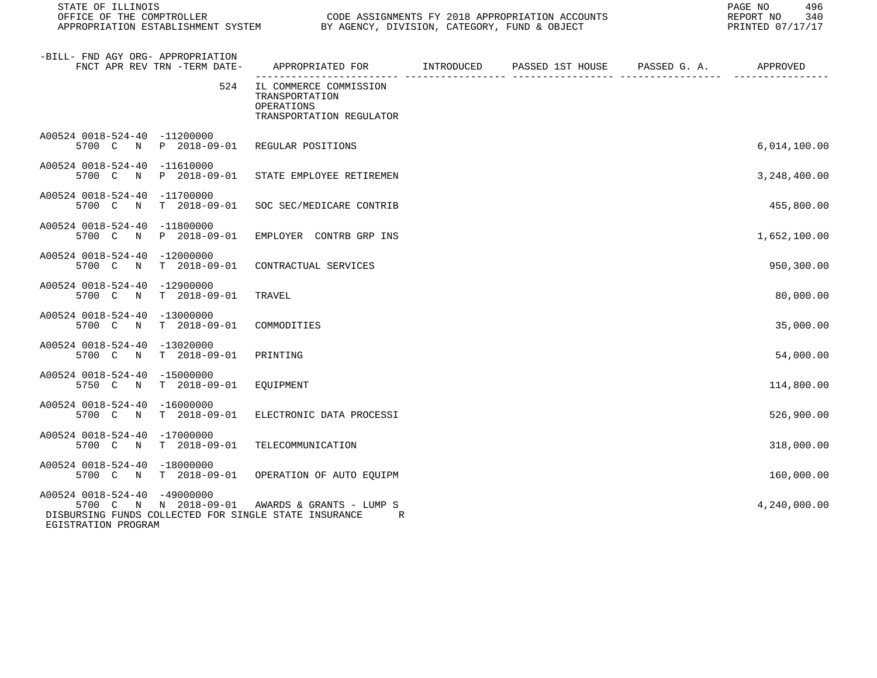| STATE OF ILLINOIS<br>OFFICE OF THE COMPTROLLER<br>OFFICE OF THE COMPTROLLER<br>APPROPRIATION ESTABLISHMENT SYSTEM THE BY AGENCY, DIVISION, CATEGORY, FUND & OBJECT |                                                                                           | CODE ASSIGNMENTS FY 2018 APPROPRIATION ACCOUNTS | 496<br>PAGE NO<br>REPORT NO<br>340<br>PRINTED 07/17/17 |
|--------------------------------------------------------------------------------------------------------------------------------------------------------------------|-------------------------------------------------------------------------------------------|-------------------------------------------------|--------------------------------------------------------|
| -BILL- FND AGY ORG- APPROPRIATION<br>FNCT APR REV TRN -TERM DATE-                                                                                                  | APPROPRIATED FOR        INTRODUCED     PASSED 1ST HOUSE     PASSED G. A.         APPROVED |                                                 |                                                        |
| 524                                                                                                                                                                | IL COMMERCE COMMISSION<br>TRANSPORTATION<br>OPERATIONS<br>TRANSPORTATION REGULATOR        |                                                 |                                                        |
| A00524 0018-524-40 -11200000<br>5700 C N P 2018-09-01                                                                                                              | REGULAR POSITIONS                                                                         |                                                 | 6,014,100.00                                           |
| A00524 0018-524-40 -11610000<br>5700 C N<br>P 2018-09-01                                                                                                           | STATE EMPLOYEE RETIREMEN                                                                  |                                                 | 3,248,400.00                                           |
| A00524 0018-524-40 -11700000<br>5700 C N<br>$T = 2018 - 09 - 01$                                                                                                   | SOC SEC/MEDICARE CONTRIB                                                                  |                                                 | 455,800.00                                             |
| A00524 0018-524-40 -11800000<br>P 2018-09-01<br>5700 C<br>$\mathbb N$                                                                                              | EMPLOYER CONTRB GRP INS                                                                   |                                                 | 1,652,100.00                                           |
| A00524 0018-524-40 -12000000<br>5700 C N T 2018-09-01                                                                                                              | CONTRACTUAL SERVICES                                                                      |                                                 | 950,300.00                                             |
| A00524 0018-524-40 -12900000<br>5700 C N T 2018-09-01                                                                                                              | TRAVEL                                                                                    |                                                 | 80,000.00                                              |
| A00524 0018-524-40 -13000000<br>5700 C N T 2018-09-01                                                                                                              | COMMODITIES                                                                               |                                                 | 35,000.00                                              |
| A00524 0018-524-40 -13020000<br>5700 C N T 2018-09-01                                                                                                              | PRINTING                                                                                  |                                                 | 54,000.00                                              |
| A00524 0018-524-40 -15000000<br>5750 C N T 2018-09-01                                                                                                              | EQUIPMENT                                                                                 |                                                 | 114,800.00                                             |
| A00524 0018-524-40 -16000000<br>5700 C N T 2018-09-01                                                                                                              | ELECTRONIC DATA PROCESSI                                                                  |                                                 | 526,900.00                                             |
| A00524 0018-524-40 -17000000<br>5700 C N T 2018-09-01                                                                                                              | TELECOMMUNICATION                                                                         |                                                 | 318,000.00                                             |
| A00524 0018-524-40 -18000000<br>5700 C N T 2018-09-01                                                                                                              | OPERATION OF AUTO EQUIPM                                                                  |                                                 | 160,000.00                                             |
| A00524 0018-524-40 -49000000<br>5700 C N N 2018-09-01<br>DISBURSING FUNDS COLLECTED FOR SINGLE STATE INSURANCE<br>EGISTRATION PROGRAM                              | AWARDS & GRANTS - LUMP S<br>R                                                             |                                                 | 4,240,000.00                                           |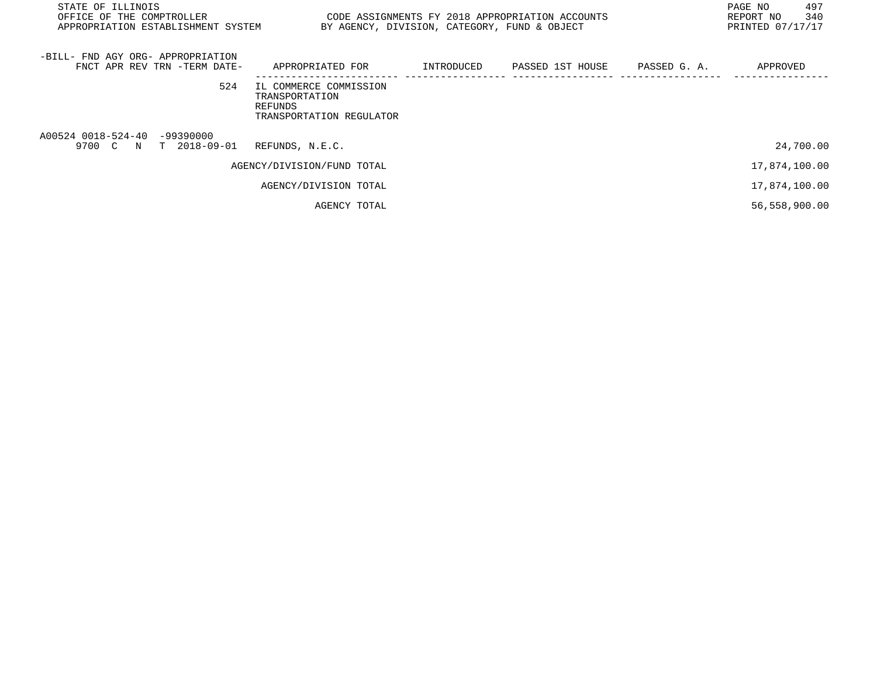| STATE OF ILLINOIS<br>OFFICE OF THE COMPTROLLER<br>APPROPRIATION ESTABLISHMENT SYSTEM BY AGENCY, DIVISION, CATEGORY, FUND & OBJECT | CODE ASSIGNMENTS FY 2018 APPROPRIATION ACCOUNTS                                 |  | 497<br>PAGE NO<br>340<br>REPORT NO<br>PRINTED 07/17/17 |  |
|-----------------------------------------------------------------------------------------------------------------------------------|---------------------------------------------------------------------------------|--|--------------------------------------------------------|--|
| -BILL- FND AGY ORG- APPROPRIATION<br>FNCT APR REV TRN -TERM DATE-                                                                 | APPROPRIATED FOR                                                                |  | APPROVED                                               |  |
| 524                                                                                                                               | IL COMMERCE COMMISSION<br>TRANSPORTATION<br>REFUNDS<br>TRANSPORTATION REGULATOR |  |                                                        |  |
| A00524 0018-524-40 -99390000<br>9700 C N T 2018-09-01                                                                             | REFUNDS, N.E.C.                                                                 |  | 24,700.00                                              |  |
|                                                                                                                                   | AGENCY/DIVISION/FUND TOTAL                                                      |  | 17,874,100.00                                          |  |
|                                                                                                                                   | AGENCY/DIVISION TOTAL                                                           |  | 17,874,100.00                                          |  |
|                                                                                                                                   | AGENCY TOTAL                                                                    |  | 56,558,900.00                                          |  |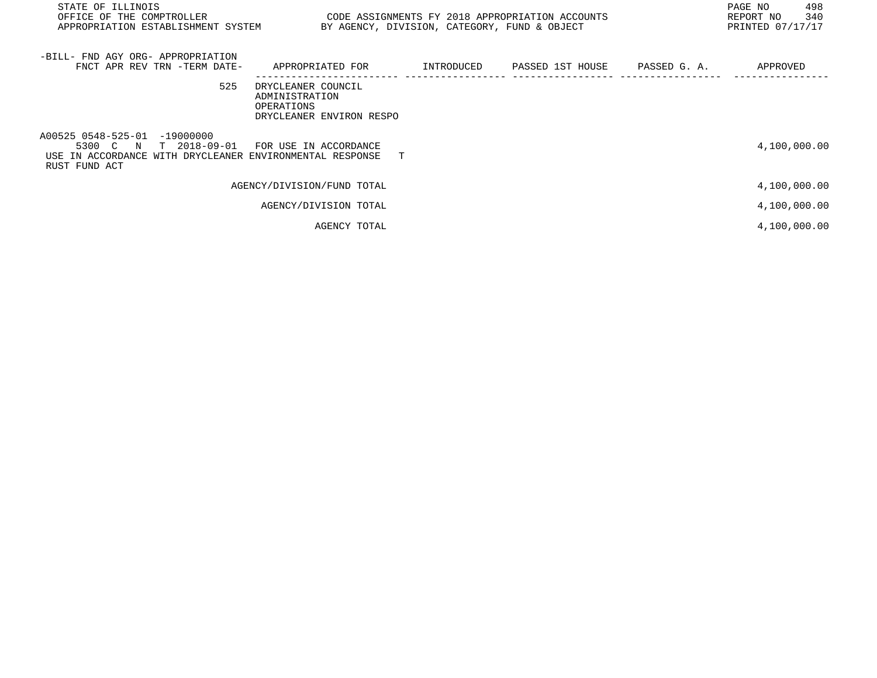| STATE OF ILLINOIS<br>OFFICE OF THE COMPTROLLER<br>APPROPRIATION ESTABLISHMENT SYSTEM                                                  | CODE ASSIGNMENTS FY 2018 APPROPRIATION ACCOUNTS                                | BY AGENCY, DIVISION, CATEGORY, FUND & OBJECT |  | 498<br>PAGE NO<br>340<br>REPORT NO<br>PRINTED 07/17/17 |
|---------------------------------------------------------------------------------------------------------------------------------------|--------------------------------------------------------------------------------|----------------------------------------------|--|--------------------------------------------------------|
| -BILL- FND AGY ORG- APPROPRIATION<br>FNCT APR REV TRN -TERM DATE-                                                                     | APPROPRIATED FOR       INTRODUCED     PASSED 1ST HOUSE     PASSED G. A.        |                                              |  | APPROVED                                               |
| 525                                                                                                                                   | DRYCLEANER COUNCIL<br>ADMINISTRATION<br>OPERATIONS<br>DRYCLEANER ENVIRON RESPO |                                              |  |                                                        |
| A00525 0548-525-01 -19000000<br>T 2018-09-01<br>5300 C N<br>USE IN ACCORDANCE WITH DRYCLEANER ENVIRONMENTAL RESPONSE<br>RUST FUND ACT | FOR USE IN ACCORDANCE                                                          | T.                                           |  | 4,100,000.00                                           |
|                                                                                                                                       | AGENCY/DIVISION/FUND TOTAL                                                     |                                              |  | 4,100,000.00                                           |
|                                                                                                                                       | AGENCY/DIVISION TOTAL                                                          |                                              |  | 4,100,000.00                                           |
|                                                                                                                                       | AGENCY TOTAL                                                                   |                                              |  | 4,100,000.00                                           |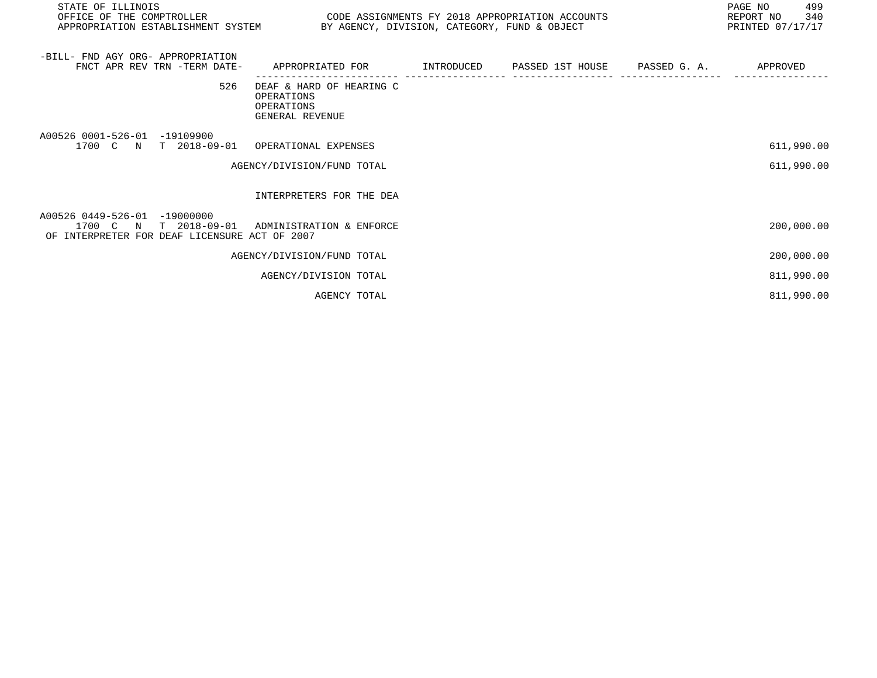| STATE OF ILLINOIS<br>OFFICE OF THE COMPTROLLER<br>APPROPRIATION ESTABLISHMENT SYSTEM BY AGENCY, DIVISION, CATEGORY, FUND & OBJECT | CODE ASSIGNMENTS FY 2018 APPROPRIATION ACCOUNTS                                            |  | PAGE NO<br>499<br>340<br>REPORT NO<br>PRINTED 07/17/17 |
|-----------------------------------------------------------------------------------------------------------------------------------|--------------------------------------------------------------------------------------------|--|--------------------------------------------------------|
| -BILL- FND AGY ORG- APPROPRIATION<br>FNCT APR REV TRN -TERM DATE-                                                                 | APPROPRIATED FOR        INTRODUCED     PASSED 1ST HOUSE     PASSED G. A.          APPROVED |  |                                                        |
| 526                                                                                                                               | DEAF & HARD OF HEARING C<br>OPERATIONS<br>OPERATIONS<br>GENERAL REVENUE                    |  |                                                        |
| A00526 0001-526-01 -19109900<br>1700 C N T 2018-09-01                                                                             | OPERATIONAL EXPENSES                                                                       |  | 611,990.00                                             |
|                                                                                                                                   | AGENCY/DIVISION/FUND TOTAL                                                                 |  | 611,990.00                                             |
|                                                                                                                                   | INTERPRETERS FOR THE DEA                                                                   |  |                                                        |
| A00526 0449-526-01 -19000000<br>1700 C N T 2018-09-01<br>OF INTERPRETER FOR DEAF LICENSURE ACT OF 2007                            | ADMINISTRATION & ENFORCE                                                                   |  | 200,000.00                                             |
|                                                                                                                                   | AGENCY/DIVISION/FUND TOTAL                                                                 |  | 200,000.00                                             |
|                                                                                                                                   | AGENCY/DIVISION TOTAL                                                                      |  | 811,990.00                                             |
|                                                                                                                                   | AGENCY TOTAL                                                                               |  | 811,990.00                                             |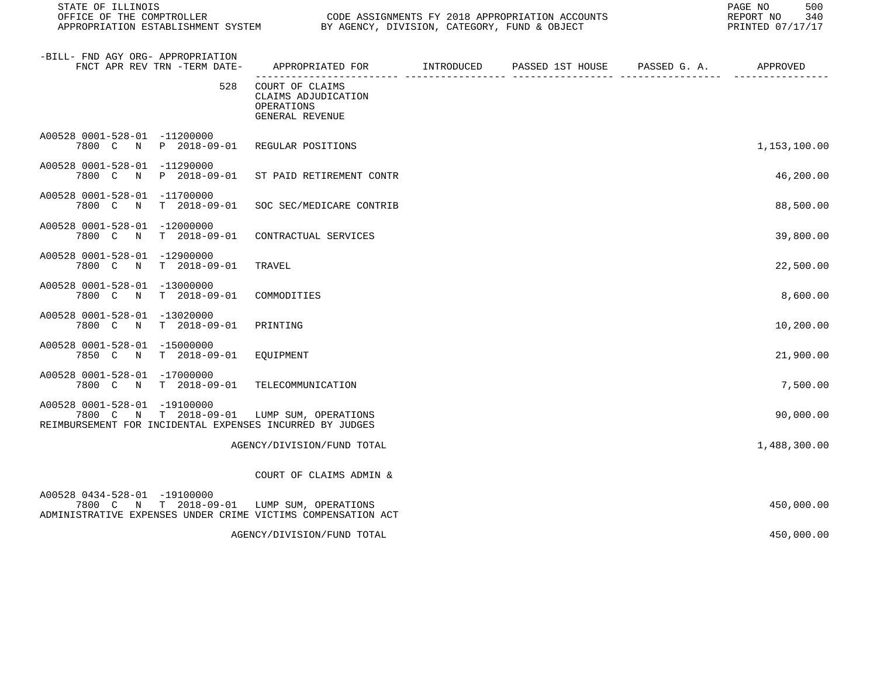| STATE OF ILLINOIS<br>OFFICE OF THE COMPTROLLER<br>APPROPRIATION ESTABLISHMENT SYSTEM                                                       | BY AGENCY, DIVISION, CATEGORY, FUND & OBJECT                                             | CODE ASSIGNMENTS FY 2018 APPROPRIATION ACCOUNTS | 500<br>PAGE NO<br>340<br>REPORT NO<br>PRINTED 07/17/17 |
|--------------------------------------------------------------------------------------------------------------------------------------------|------------------------------------------------------------------------------------------|-------------------------------------------------|--------------------------------------------------------|
| -BILL- FND AGY ORG- APPROPRIATION<br>FNCT APR REV TRN -TERM DATE-                                                                          | APPROPRIATED FOR       INTRODUCED     PASSED 1ST HOUSE     PASSED G. A.         APPROVED |                                                 |                                                        |
| 528                                                                                                                                        | COURT OF CLAIMS<br>CLAIMS ADJUDICATION<br>OPERATIONS<br>GENERAL REVENUE                  | ------------- ----                              |                                                        |
| A00528 0001-528-01 -11200000<br>7800 C N P 2018-09-01                                                                                      | REGULAR POSITIONS                                                                        |                                                 | 1,153,100.00                                           |
| A00528 0001-528-01 -11290000<br>P 2018-09-01<br>7800 C N                                                                                   | ST PAID RETIREMENT CONTR                                                                 |                                                 | 46,200.00                                              |
| A00528 0001-528-01 -11700000<br>7800 C N<br>$T = 2018 - 09 - 01$                                                                           | SOC SEC/MEDICARE CONTRIB                                                                 |                                                 | 88,500.00                                              |
| A00528 0001-528-01 -12000000<br>7800 C N<br>T 2018-09-01                                                                                   | CONTRACTUAL SERVICES                                                                     |                                                 | 39,800.00                                              |
| A00528 0001-528-01 -12900000<br>7800 C N<br>T 2018-09-01                                                                                   | TRAVEL                                                                                   |                                                 | 22,500.00                                              |
| A00528 0001-528-01 -13000000<br>7800 C<br>N<br>$T = 2018 - 09 - 01$                                                                        | COMMODITIES                                                                              |                                                 | 8,600.00                                               |
| A00528 0001-528-01 -13020000<br>7800 C N<br>T 2018-09-01                                                                                   | PRINTING                                                                                 |                                                 | 10,200.00                                              |
| A00528 0001-528-01 -15000000<br>7850 C<br>$\mathbb N$<br>T 2018-09-01                                                                      | EOUIPMENT                                                                                |                                                 | 21,900.00                                              |
| A00528 0001-528-01 -17000000<br>7800 C N T 2018-09-01                                                                                      | TELECOMMUNICATION                                                                        |                                                 | 7,500.00                                               |
| A00528 0001-528-01 -19100000<br>7800 C N T 2018-09-01<br>REIMBURSEMENT FOR INCIDENTAL EXPENSES INCURRED BY JUDGES                          | LUMP SUM, OPERATIONS                                                                     |                                                 | 90,000.00                                              |
|                                                                                                                                            | AGENCY/DIVISION/FUND TOTAL                                                               |                                                 | 1,488,300.00                                           |
|                                                                                                                                            | COURT OF CLAIMS ADMIN &                                                                  |                                                 |                                                        |
| A00528 0434-528-01 -19100000<br>7800 C N T 2018-09-01 LUMP SUM, OPERATIONS<br>ADMINISTRATIVE EXPENSES UNDER CRIME VICTIMS COMPENSATION ACT |                                                                                          |                                                 | 450,000.00                                             |
|                                                                                                                                            | AGENCY/DIVISION/FUND TOTAL                                                               |                                                 | 450,000.00                                             |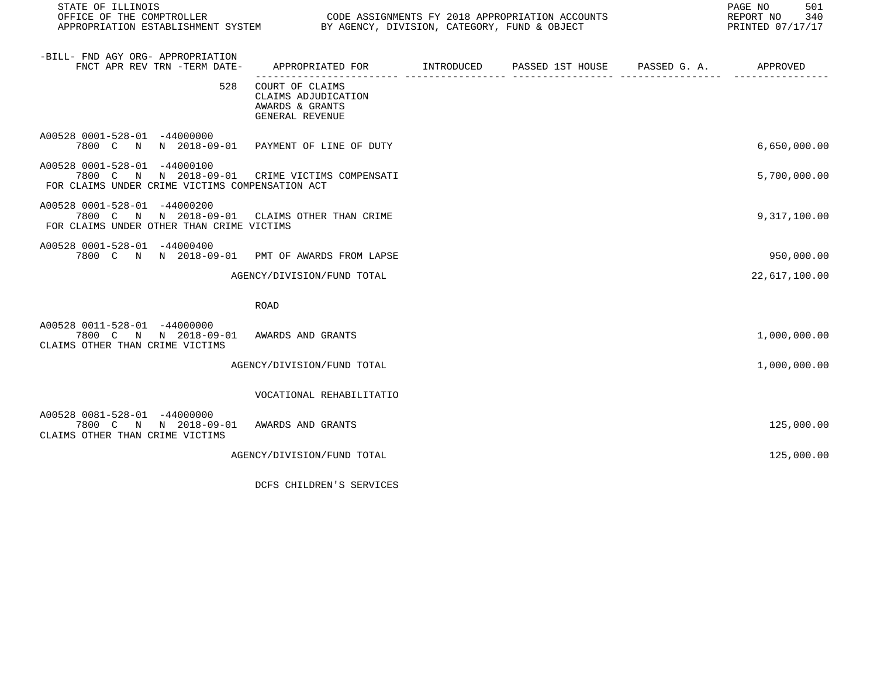| STATE OF ILLINOIS<br>OFFICE OF THE COMPTROLLER THE SERIES CODE ASSIGNMENTS FY 2018 APPROPRIATION ACCOUNTS<br>APPROPRIATION ESTABLISHMENT SYSTEM BY AGENCY, DIVISION, CATEGORY, FUND & OBJECT |                                                                                             |  | PAGE NO<br>501<br>REPORT NO<br>340<br>PRINTED 07/17/17 |
|----------------------------------------------------------------------------------------------------------------------------------------------------------------------------------------------|---------------------------------------------------------------------------------------------|--|--------------------------------------------------------|
| -BILL- FND AGY ORG- APPROPRIATION<br>FNCT APR REV TRN -TERM DATE-                                                                                                                            | APPROPRIATED FOR         INTRODUCED      PASSED 1ST HOUSE     PASSED G. A.         APPROVED |  |                                                        |
| 528                                                                                                                                                                                          | COURT OF CLAIMS<br>CLAIMS ADJUDICATION<br>AWARDS & GRANTS<br>GENERAL REVENUE                |  |                                                        |
| A00528 0001-528-01 -44000000<br>7800 C N N 2018-09-01 PAYMENT OF LINE OF DUTY                                                                                                                |                                                                                             |  | 6,650,000.00                                           |
| A00528 0001-528-01 -44000100<br>7800 C<br>FOR CLAIMS UNDER CRIME VICTIMS COMPENSATION ACT                                                                                                    | N N 2018-09-01 CRIME VICTIMS COMPENSATI                                                     |  | 5,700,000.00                                           |
| A00528 0001-528-01 -44000200<br>7800 C N N 2018-09-01 CLAIMS OTHER THAN CRIME<br>FOR CLAIMS UNDER OTHER THAN CRIME VICTIMS                                                                   |                                                                                             |  | 9,317,100.00                                           |
| A00528 0001-528-01 -44000400<br>7800 C N N 2018-09-01 PMT OF AWARDS FROM LAPSE                                                                                                               |                                                                                             |  | 950,000.00                                             |
|                                                                                                                                                                                              | AGENCY/DIVISION/FUND TOTAL                                                                  |  | 22,617,100.00                                          |
|                                                                                                                                                                                              | <b>ROAD</b>                                                                                 |  |                                                        |
| A00528 0011-528-01 -44000000<br>7800 C N N 2018-09-01 AWARDS AND GRANTS<br>CLAIMS OTHER THAN CRIME VICTIMS                                                                                   |                                                                                             |  | 1,000,000.00                                           |
|                                                                                                                                                                                              | AGENCY/DIVISION/FUND TOTAL                                                                  |  | 1,000,000.00                                           |
|                                                                                                                                                                                              | VOCATIONAL REHABILITATIO                                                                    |  |                                                        |
| A00528 0081-528-01 -44000000<br>7800 C N N 2018-09-01<br>CLAIMS OTHER THAN CRIME VICTIMS                                                                                                     | AWARDS AND GRANTS                                                                           |  | 125,000.00                                             |
|                                                                                                                                                                                              | AGENCY/DIVISION/FUND TOTAL                                                                  |  | 125,000.00                                             |

DCFS CHILDREN'S SERVICES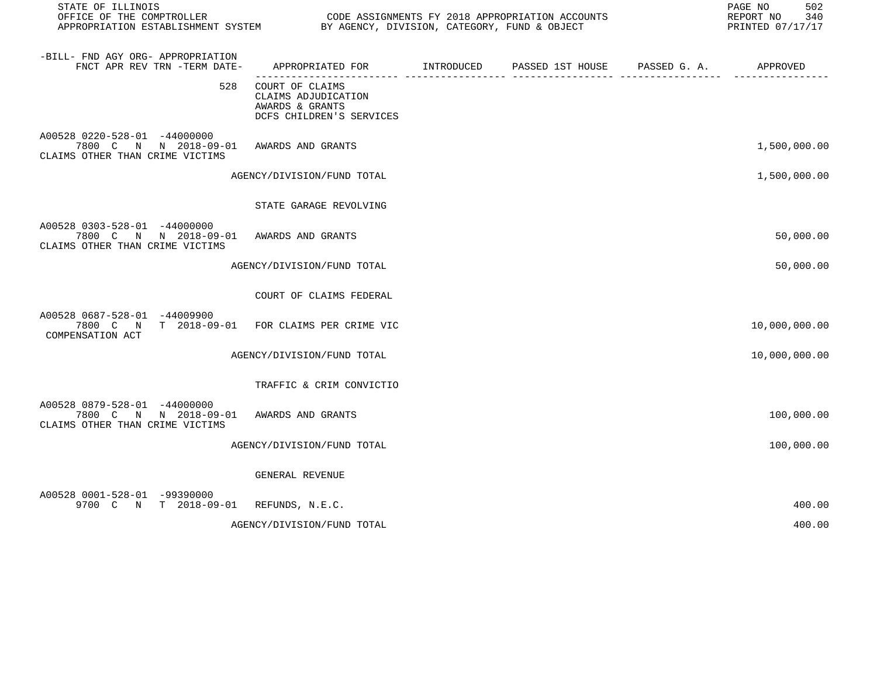| STATE OF ILLINOIS<br>OFFICE OF THE COMPTROLLER                                                             |                                                                                       | CODE ASSIGNMENTS FY 2018 APPROPRIATION ACCOUNTS | 502<br>PAGE NO<br>REPORT NO<br>340<br>PRINTED 07/17/17 |
|------------------------------------------------------------------------------------------------------------|---------------------------------------------------------------------------------------|-------------------------------------------------|--------------------------------------------------------|
| -BILL- FND AGY ORG- APPROPRIATION<br>FNCT APR REV TRN -TERM DATE-                                          | APPROPRIATED FOR INTRODUCED<br>------------------------ -----                         | PASSED 1ST HOUSE PASSED G. A. APPROVED          |                                                        |
| 528                                                                                                        | COURT OF CLAIMS<br>CLAIMS ADJUDICATION<br>AWARDS & GRANTS<br>DCFS CHILDREN'S SERVICES |                                                 |                                                        |
| A00528 0220-528-01 -44000000<br>7800 C N N 2018-09-01 AWARDS AND GRANTS<br>CLAIMS OTHER THAN CRIME VICTIMS |                                                                                       |                                                 | 1,500,000.00                                           |
|                                                                                                            | AGENCY/DIVISION/FUND TOTAL                                                            |                                                 | 1,500,000.00                                           |
|                                                                                                            | STATE GARAGE REVOLVING                                                                |                                                 |                                                        |
| A00528 0303-528-01 -44000000<br>7800 C N N 2018-09-01 AWARDS AND GRANTS<br>CLAIMS OTHER THAN CRIME VICTIMS |                                                                                       |                                                 | 50,000.00                                              |
|                                                                                                            | AGENCY/DIVISION/FUND TOTAL                                                            |                                                 | 50,000.00                                              |
|                                                                                                            | COURT OF CLAIMS FEDERAL                                                               |                                                 |                                                        |
| A00528 0687-528-01 -44009900<br>7800 C N T 2018-09-01 FOR CLAIMS PER CRIME VIC<br>COMPENSATION ACT         |                                                                                       |                                                 | 10,000,000.00                                          |
|                                                                                                            | AGENCY/DIVISION/FUND TOTAL                                                            |                                                 | 10,000,000.00                                          |
|                                                                                                            | TRAFFIC & CRIM CONVICTIO                                                              |                                                 |                                                        |
| A00528 0879-528-01 -44000000<br>7800 C N N 2018-09-01 AWARDS AND GRANTS<br>CLAIMS OTHER THAN CRIME VICTIMS |                                                                                       |                                                 | 100,000.00                                             |
|                                                                                                            | AGENCY/DIVISION/FUND TOTAL                                                            |                                                 | 100,000.00                                             |
|                                                                                                            | GENERAL REVENUE                                                                       |                                                 |                                                        |
| A00528 0001-528-01 -99390000<br>9700 C N T 2018-09-01 REFUNDS, N.E.C.                                      |                                                                                       |                                                 | 400.00                                                 |
|                                                                                                            | AGENCY/DIVISION/FUND TOTAL                                                            |                                                 | 400.00                                                 |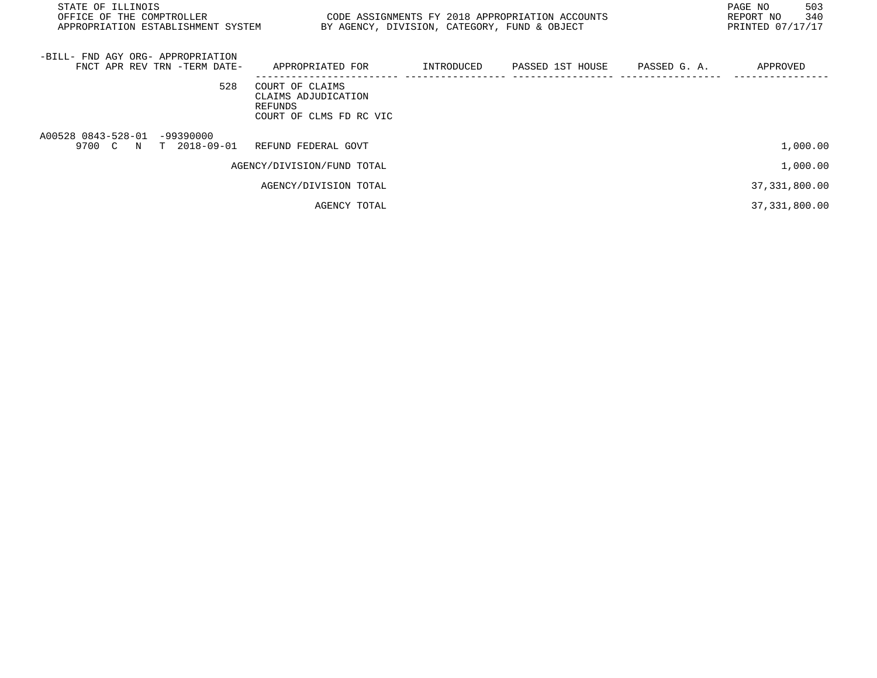| STATE OF ILLINOIS<br>OFFICE OF THE COMPTROLLER<br>APPROPRIATION ESTABLISHMENT SYSTEM | CODE ASSIGNMENTS FY 2018 APPROPRIATION ACCOUNTS                              | BY AGENCY, DIVISION, CATEGORY, FUND & OBJECT |                  |              | PAGE NO<br>503<br>340<br>REPORT NO<br>PRINTED 07/17/17 |  |
|--------------------------------------------------------------------------------------|------------------------------------------------------------------------------|----------------------------------------------|------------------|--------------|--------------------------------------------------------|--|
| -BILL- FND AGY ORG- APPROPRIATION<br>FNCT APR REV TRN -TERM DATE-                    | APPROPRIATED FOR                                                             | INTRODUCED                                   | PASSED 1ST HOUSE | PASSED G. A. | APPROVED                                               |  |
| 528                                                                                  | COURT OF CLAIMS<br>CLAIMS ADJUDICATION<br>REFUNDS<br>COURT OF CLMS FD RC VIC |                                              |                  |              |                                                        |  |
| A00528 0843-528-01 -99390000<br>9700 C N T 2018-09-01                                | REFUND FEDERAL GOVT                                                          |                                              |                  |              | 1,000.00                                               |  |
|                                                                                      | AGENCY/DIVISION/FUND TOTAL                                                   |                                              |                  |              | 1,000.00                                               |  |
|                                                                                      | AGENCY/DIVISION TOTAL                                                        |                                              |                  |              | 37, 331, 800.00                                        |  |
|                                                                                      | AGENCY TOTAL                                                                 |                                              |                  |              | 37, 331, 800.00                                        |  |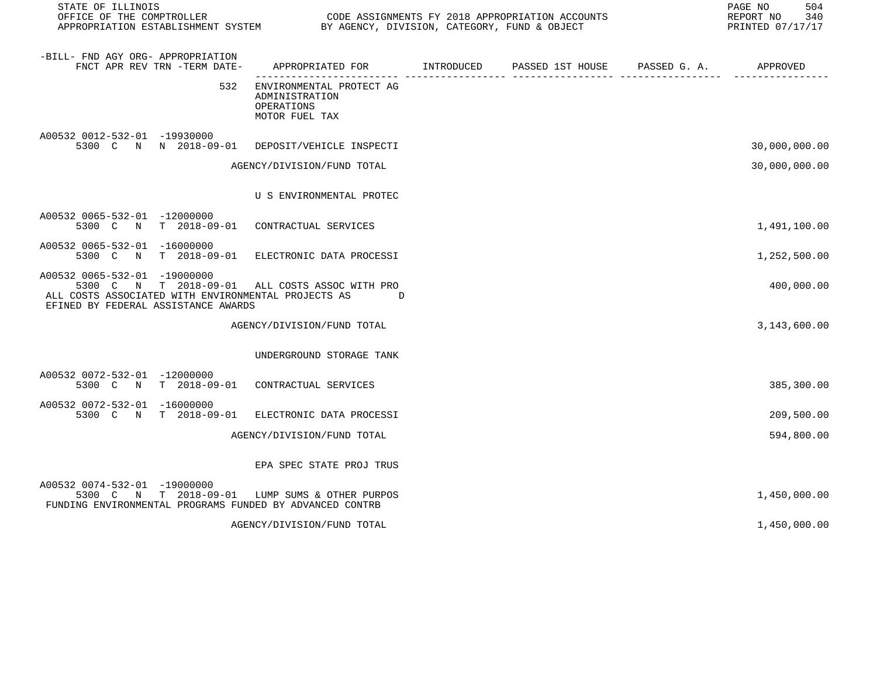STATE OF ILLINOIS PAGE NO 504

CODE ASSIGNMENTS FY 2018 APPROPRIATION ACCOUNTS FOR THE REPORT NO 340 REPORT NO 340 SAN AGENCY, DIVISION, CATEGORY, FUND & OBJECT APPROPRIATION ESTABLISHMENT SYSTEM BY AGENCY, DIVISION, CATEGORY, FUND & OBJECT

| -BILL- FND AGY ORG- APPROPRIATION<br>FNCT APR REV TRN -TERM DATE-                                                                                         | APPROPRIATED FOR                                                           | INTRODUCED | PASSED 1ST HOUSE | PASSED G. A. | APPROVED      |
|-----------------------------------------------------------------------------------------------------------------------------------------------------------|----------------------------------------------------------------------------|------------|------------------|--------------|---------------|
| 532                                                                                                                                                       | ENVIRONMENTAL PROTECT AG<br>ADMINISTRATION<br>OPERATIONS<br>MOTOR FUEL TAX |            |                  |              |               |
| A00532 0012-532-01 -19930000<br>5300 C N N 2018-09-01 DEPOSIT/VEHICLE INSPECTI                                                                            |                                                                            |            |                  |              | 30,000,000.00 |
|                                                                                                                                                           | AGENCY/DIVISION/FUND TOTAL                                                 |            |                  |              | 30,000,000.00 |
|                                                                                                                                                           | U S ENVIRONMENTAL PROTEC                                                   |            |                  |              |               |
| A00532 0065-532-01 -12000000<br>5300 C N T 2018-09-01                                                                                                     | CONTRACTUAL SERVICES                                                       |            |                  |              | 1,491,100.00  |
| A00532 0065-532-01 -16000000<br>$T = 2018 - 09 - 01$<br>5300 C<br>$\mathbb N$                                                                             | ELECTRONIC DATA PROCESSI                                                   |            |                  |              | 1,252,500.00  |
| A00532 0065-532-01 -19000000<br>5300 C<br>N<br>T 2018-09-01<br>ALL COSTS ASSOCIATED WITH ENVIRONMENTAL PROJECTS AS<br>EFINED BY FEDERAL ASSISTANCE AWARDS | ALL COSTS ASSOC WITH PRO<br>D                                              |            |                  |              | 400,000.00    |
|                                                                                                                                                           | AGENCY/DIVISION/FUND TOTAL                                                 |            |                  |              | 3,143,600.00  |
|                                                                                                                                                           | UNDERGROUND STORAGE TANK                                                   |            |                  |              |               |
| A00532 0072-532-01 -12000000<br>$T$ 2018-09-01<br>5300 C N                                                                                                | CONTRACTUAL SERVICES                                                       |            |                  |              | 385,300.00    |
| A00532 0072-532-01<br>-16000000<br>5300 C N<br>$T = 2018 - 09 - 01$                                                                                       | ELECTRONIC DATA PROCESSI                                                   |            |                  |              | 209,500.00    |
|                                                                                                                                                           | AGENCY/DIVISION/FUND TOTAL                                                 |            |                  |              | 594,800.00    |
|                                                                                                                                                           | EPA SPEC STATE PROJ TRUS                                                   |            |                  |              |               |
| A00532 0074-532-01 -19000000<br>5300 C N<br>$T = 2018 - 09 - 01$<br>FUNDING ENVIRONMENTAL PROGRAMS FUNDED BY ADVANCED CONTRB                              | LUMP SUMS & OTHER PURPOS                                                   |            |                  |              | 1,450,000.00  |
|                                                                                                                                                           | AGENCY/DIVISION/FUND TOTAL                                                 |            |                  |              | 1,450,000.00  |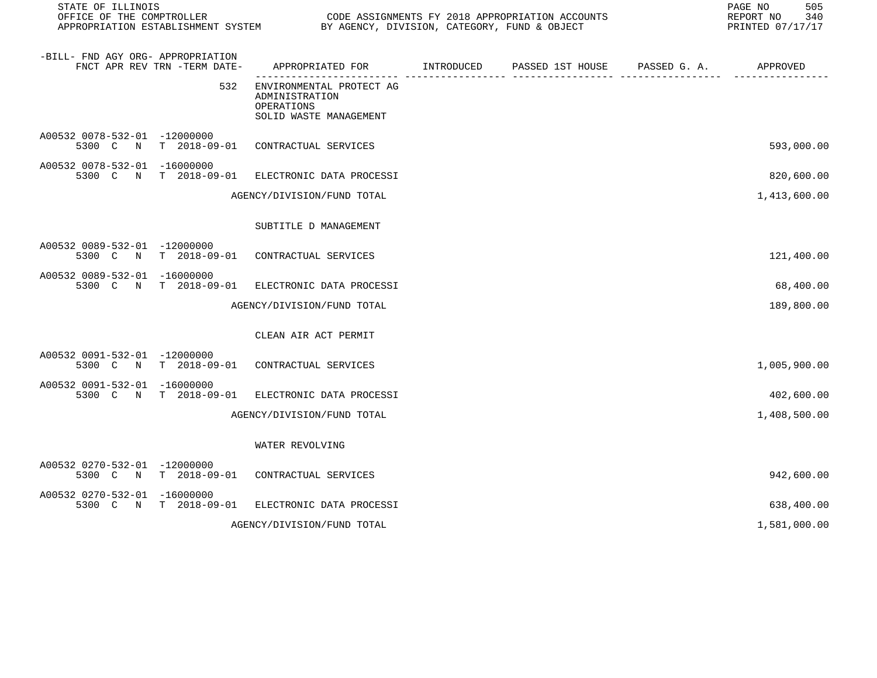| STATE OF ILLINOIS<br>OFFICE OF THE COMPTROLLER        |                              | APPROPRIATION ESTABLISHMENT SYSTEM BY AGENCY, DIVISION, CATEGORY, FUND & OBJECT    | CODE ASSIGNMENTS FY 2018 APPROPRIATION ACCOUNTS                | 505<br>PAGE NO<br>REPORT NO<br>340<br>PRINTED 07/17/17 |
|-------------------------------------------------------|------------------------------|------------------------------------------------------------------------------------|----------------------------------------------------------------|--------------------------------------------------------|
| -BILL- FND AGY ORG- APPROPRIATION                     | FNCT APR REV TRN -TERM DATE- | APPROPRIATED FOR INTRODUCED<br>------------------- ----                            | PASSED 1ST HOUSE PASSED G. A. APPROVED<br>--------------- ---- |                                                        |
|                                                       | 532                          | ENVIRONMENTAL PROTECT AG<br>ADMINISTRATION<br>OPERATIONS<br>SOLID WASTE MANAGEMENT |                                                                |                                                        |
| A00532 0078-532-01 -12000000<br>5300 C<br>$\mathbb N$ | $T = 2018 - 09 - 01$         | CONTRACTUAL SERVICES                                                               |                                                                | 593,000.00                                             |
| A00532 0078-532-01 -16000000                          | 5300 C N T 2018-09-01        | ELECTRONIC DATA PROCESSI                                                           |                                                                | 820,600.00                                             |
|                                                       |                              | AGENCY/DIVISION/FUND TOTAL                                                         |                                                                | 1,413,600.00                                           |
|                                                       |                              | SUBTITLE D MANAGEMENT                                                              |                                                                |                                                        |
| A00532 0089-532-01 -12000000                          | 5300 C N T 2018-09-01        | CONTRACTUAL SERVICES                                                               |                                                                | 121,400.00                                             |
| A00532 0089-532-01 -16000000<br>5300 C N              | T 2018-09-01                 | ELECTRONIC DATA PROCESSI                                                           |                                                                | 68,400.00                                              |
|                                                       |                              | AGENCY/DIVISION/FUND TOTAL                                                         |                                                                | 189,800.00                                             |
|                                                       |                              | CLEAN AIR ACT PERMIT                                                               |                                                                |                                                        |
| A00532 0091-532-01 -12000000                          | 5300 C N T 2018-09-01        | CONTRACTUAL SERVICES                                                               |                                                                | 1,005,900.00                                           |
| A00532 0091-532-01 -16000000                          | 5300 C N T 2018-09-01        | ELECTRONIC DATA PROCESSI                                                           |                                                                | 402,600.00                                             |
|                                                       |                              | AGENCY/DIVISION/FUND TOTAL                                                         |                                                                | 1,408,500.00                                           |
|                                                       |                              | WATER REVOLVING                                                                    |                                                                |                                                        |
| A00532 0270-532-01 -12000000<br>5300 C N              |                              | T 2018-09-01 CONTRACTUAL SERVICES                                                  |                                                                | 942,600.00                                             |
| A00532 0270-532-01 -16000000                          | 5300 C N T 2018-09-01        | ELECTRONIC DATA PROCESSI                                                           |                                                                | 638,400.00                                             |
|                                                       |                              | AGENCY/DIVISION/FUND TOTAL                                                         |                                                                | 1,581,000.00                                           |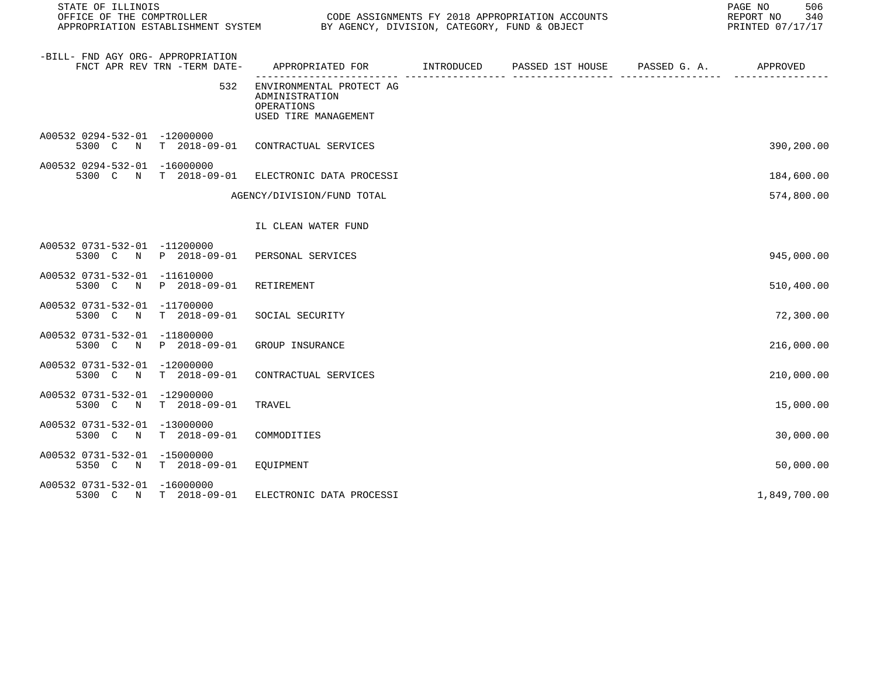| STATE OF ILLINOIS                 |                              | CODE ASSIGNMENTS FY 2018 APPROPRIATION ACCOUNTS                                  |  |  |  | 506<br>PAGE NO<br>REPORT NO<br>340<br>PRINTED 07/17/17 |
|-----------------------------------|------------------------------|----------------------------------------------------------------------------------|--|--|--|--------------------------------------------------------|
| -BILL- FND AGY ORG- APPROPRIATION | FNCT APR REV TRN -TERM DATE- | APPROPRIATED FOR TINTRODUCED PASSED 1ST HOUSE PASSED G. A.                       |  |  |  | APPROVED                                               |
|                                   | 532                          | ENVIRONMENTAL PROTECT AG<br>ADMINISTRATION<br>OPERATIONS<br>USED TIRE MANAGEMENT |  |  |  |                                                        |
| A00532 0294-532-01 -12000000      | 5300 C N T 2018-09-01        | CONTRACTUAL SERVICES                                                             |  |  |  | 390,200.00                                             |
| A00532 0294-532-01 -16000000      | 5300 C N T 2018-09-01        | ELECTRONIC DATA PROCESSI                                                         |  |  |  | 184,600.00                                             |
|                                   |                              | AGENCY/DIVISION/FUND TOTAL                                                       |  |  |  | 574,800.00                                             |
|                                   |                              | IL CLEAN WATER FUND                                                              |  |  |  |                                                        |
| A00532 0731-532-01 -11200000      | 5300 C N P 2018-09-01        | PERSONAL SERVICES                                                                |  |  |  | 945,000.00                                             |
| A00532 0731-532-01 -11610000      | 5300 C N P 2018-09-01        | RETIREMENT                                                                       |  |  |  | 510,400.00                                             |
| A00532 0731-532-01 -11700000      | 5300 C N T 2018-09-01        | SOCIAL SECURITY                                                                  |  |  |  | 72,300.00                                              |
| A00532 0731-532-01 -11800000      | 5300 C N P 2018-09-01        | GROUP INSURANCE                                                                  |  |  |  | 216,000.00                                             |
| A00532 0731-532-01 -12000000      | 5300 C N T 2018-09-01        | CONTRACTUAL SERVICES                                                             |  |  |  | 210,000.00                                             |
| A00532 0731-532-01 -12900000      | 5300 C N T 2018-09-01        | TRAVEL                                                                           |  |  |  | 15,000.00                                              |
| A00532 0731-532-01 -13000000      | 5300 C N T 2018-09-01        | COMMODITIES                                                                      |  |  |  | 30,000.00                                              |
| A00532 0731-532-01 -15000000      | 5350 C N T 2018-09-01        | EQUIPMENT                                                                        |  |  |  | 50,000.00                                              |
| A00532 0731-532-01 -16000000      | 5300 C N T 2018-09-01        | ELECTRONIC DATA PROCESSI                                                         |  |  |  | 1,849,700.00                                           |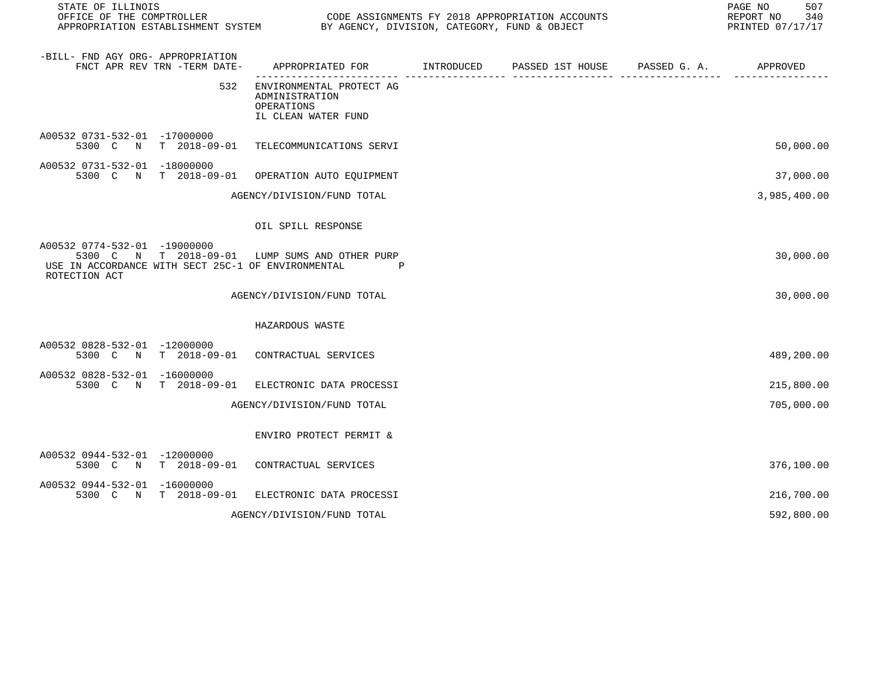| STATE OF ILLINOIS<br>OFFICE OF THE COMPTROLLER                                                      |                              | APPROPRIATION ESTABLISHMENT SYSTEM BY AGENCY, DIVISION, CATEGORY, FUND & OBJECT | CODE ASSIGNMENTS FY 2018 APPROPRIATION ACCOUNTS | 507<br>PAGE NO<br>REPORT NO 340<br>PRINTED 07/17/17 |
|-----------------------------------------------------------------------------------------------------|------------------------------|---------------------------------------------------------------------------------|-------------------------------------------------|-----------------------------------------------------|
| -BILL- FND AGY ORG- APPROPRIATION                                                                   | FNCT APR REV TRN -TERM DATE- | APPROPRIATED FOR INTRODUCED PASSED 1ST HOUSE PASSED G. A.                       |                                                 | APPROVED                                            |
|                                                                                                     | 532                          | ENVIRONMENTAL PROTECT AG<br>ADMINISTRATION<br>OPERATIONS<br>IL CLEAN WATER FUND |                                                 |                                                     |
| A00532 0731-532-01 -17000000                                                                        |                              | 5300 C N T 2018-09-01 TELECOMMUNICATIONS SERVI                                  |                                                 | 50,000.00                                           |
| A00532 0731-532-01 -18000000                                                                        |                              | 5300 C N T 2018-09-01 OPERATION AUTO EOUIPMENT                                  |                                                 | 37,000.00                                           |
|                                                                                                     |                              | AGENCY/DIVISION/FUND TOTAL                                                      |                                                 | 3,985,400.00                                        |
|                                                                                                     |                              | OIL SPILL RESPONSE                                                              |                                                 |                                                     |
| A00532 0774-532-01 -19000000<br>USE IN ACCORDANCE WITH SECT 25C-1 OF ENVIRONMENTAL<br>ROTECTION ACT |                              | 5300 C N T 2018-09-01 LUMP SUMS AND OTHER PURP<br>$\mathbf{P}$                  |                                                 | 30,000.00                                           |
|                                                                                                     |                              | AGENCY/DIVISION/FUND TOTAL                                                      |                                                 | 30,000.00                                           |
|                                                                                                     |                              | HAZARDOUS WASTE                                                                 |                                                 |                                                     |
| A00532 0828-532-01 -12000000                                                                        |                              | 5300 C N T 2018-09-01 CONTRACTUAL SERVICES                                      |                                                 | 489,200.00                                          |
| A00532 0828-532-01 -16000000                                                                        |                              | 5300 C N T 2018-09-01 ELECTRONIC DATA PROCESSI                                  |                                                 | 215,800.00                                          |
|                                                                                                     |                              | AGENCY/DIVISION/FUND TOTAL                                                      |                                                 | 705,000.00                                          |
|                                                                                                     |                              | ENVIRO PROTECT PERMIT &                                                         |                                                 |                                                     |
| A00532 0944-532-01 -12000000                                                                        |                              | 5300 C N T 2018-09-01 CONTRACTUAL SERVICES                                      |                                                 | 376,100.00                                          |
| A00532 0944-532-01 -16000000                                                                        |                              | 5300 C N T 2018-09-01 ELECTRONIC DATA PROCESSI                                  |                                                 | 216,700.00                                          |
|                                                                                                     |                              | AGENCY/DIVISION/FUND TOTAL                                                      |                                                 | 592,800.00                                          |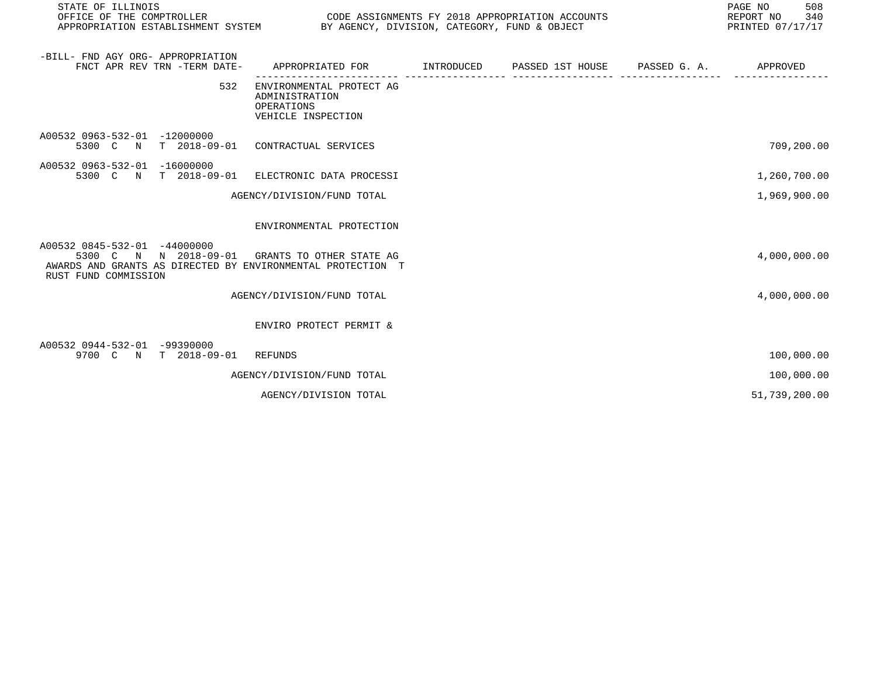| STATE OF ILLINOIS<br>OFFICE OF THE COMPTROLLER                                                                                                                        | PAGE NO<br>CODE ASSIGNMENTS FY 2018 APPROPRIATION ACCOUNTS<br>REPORT NO<br>APPROPRIATION ESTABLISHMENT SYSTEM BY AGENCY, DIVISION, CATEGORY, FUND & OBJECT<br>PRINTED 07/17/17 |  |  |  |               |  |
|-----------------------------------------------------------------------------------------------------------------------------------------------------------------------|--------------------------------------------------------------------------------------------------------------------------------------------------------------------------------|--|--|--|---------------|--|
| -BILL- FND AGY ORG- APPROPRIATION<br>FNCT APR REV TRN -TERM DATE-                                                                                                     | APPROPRIATED FOR        INTRODUCED      PASSED 1ST HOUSE      PASSED G. A.          APPROVED                                                                                   |  |  |  |               |  |
| 532                                                                                                                                                                   | ENVIRONMENTAL PROTECT AG<br>ADMINISTRATION<br>OPERATIONS<br>VEHICLE INSPECTION                                                                                                 |  |  |  |               |  |
| A00532 0963-532-01 -12000000<br>5300 C N T 2018-09-01 CONTRACTUAL SERVICES                                                                                            |                                                                                                                                                                                |  |  |  | 709,200.00    |  |
| A00532 0963-532-01 -16000000<br>5300 C N T 2018-09-01 ELECTRONIC DATA PROCESSI                                                                                        |                                                                                                                                                                                |  |  |  | 1,260,700.00  |  |
|                                                                                                                                                                       | AGENCY/DIVISION/FUND TOTAL                                                                                                                                                     |  |  |  | 1,969,900.00  |  |
|                                                                                                                                                                       | ENVIRONMENTAL PROTECTION                                                                                                                                                       |  |  |  |               |  |
| A00532 0845-532-01 -44000000<br>5300 C N N 2018-09-01 GRANTS TO OTHER STATE AG<br>AWARDS AND GRANTS AS DIRECTED BY ENVIRONMENTAL PROTECTION T<br>RUST FUND COMMISSION |                                                                                                                                                                                |  |  |  | 4,000,000.00  |  |
|                                                                                                                                                                       | AGENCY/DIVISION/FUND TOTAL                                                                                                                                                     |  |  |  | 4,000,000.00  |  |
|                                                                                                                                                                       | ENVIRO PROTECT PERMIT &                                                                                                                                                        |  |  |  |               |  |
| A00532 0944-532-01 -99390000<br>9700 C N T 2018-09-01 REFUNDS                                                                                                         |                                                                                                                                                                                |  |  |  | 100,000.00    |  |
|                                                                                                                                                                       | AGENCY/DIVISION/FUND TOTAL                                                                                                                                                     |  |  |  | 100,000.00    |  |
|                                                                                                                                                                       | AGENCY/DIVISION TOTAL                                                                                                                                                          |  |  |  | 51,739,200.00 |  |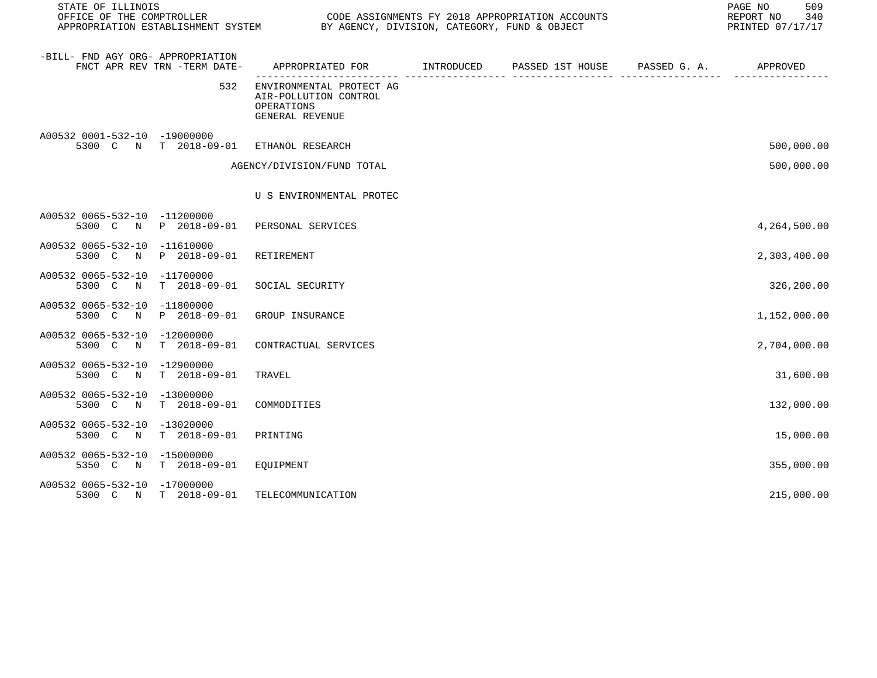| STATE OF ILLINOIS                 |                              |                                                                                    |  |  | 509<br>PAGE NO<br>REPORT NO 340<br>PRINTED 07/17/17 |              |
|-----------------------------------|------------------------------|------------------------------------------------------------------------------------|--|--|-----------------------------------------------------|--------------|
| -BILL- FND AGY ORG- APPROPRIATION | FNCT APR REV TRN -TERM DATE- | APPROPRIATED FOR TINTRODUCED PASSED 1ST HOUSE PASSED G.A. APPROVED                 |  |  |                                                     |              |
|                                   | 532                          | ENVIRONMENTAL PROTECT AG<br>AIR-POLLUTION CONTROL<br>OPERATIONS<br>GENERAL REVENUE |  |  |                                                     |              |
| A00532 0001-532-10 -19000000      |                              | 5300 C N T 2018-09-01 ETHANOL RESEARCH                                             |  |  |                                                     | 500,000.00   |
|                                   |                              | AGENCY/DIVISION/FUND TOTAL                                                         |  |  |                                                     | 500,000.00   |
|                                   |                              | U S ENVIRONMENTAL PROTEC                                                           |  |  |                                                     |              |
| A00532 0065-532-10 -11200000      |                              | 5300 C N P 2018-09-01 PERSONAL SERVICES                                            |  |  |                                                     | 4,264,500.00 |
| A00532 0065-532-10 -11610000      | 5300 C N P 2018-09-01        | RETIREMENT                                                                         |  |  |                                                     | 2,303,400.00 |
| A00532 0065-532-10 -11700000      |                              | 5300 C N T 2018-09-01 SOCIAL SECURITY                                              |  |  |                                                     | 326,200.00   |
| A00532 0065-532-10 -11800000      |                              | 5300 C N P 2018-09-01 GROUP INSURANCE                                              |  |  |                                                     | 1,152,000.00 |
| A00532 0065-532-10 -12000000      |                              | 5300 C N T 2018-09-01 CONTRACTUAL SERVICES                                         |  |  |                                                     | 2,704,000.00 |
| A00532 0065-532-10 -12900000      | 5300 C N T 2018-09-01        | TRAVEL                                                                             |  |  |                                                     | 31,600.00    |
| A00532 0065-532-10 -13000000      | 5300 C N T 2018-09-01        | COMMODITIES                                                                        |  |  |                                                     | 132,000.00   |
| A00532 0065-532-10 -13020000      | 5300 C N T 2018-09-01        | PRINTING                                                                           |  |  |                                                     | 15,000.00    |
| A00532 0065-532-10 -15000000      | 5350 C N T 2018-09-01        | EOUIPMENT                                                                          |  |  |                                                     | 355,000.00   |
| A00532 0065-532-10 -17000000      | 5300 C N T 2018-09-01        | TELECOMMUNICATION                                                                  |  |  |                                                     | 215,000.00   |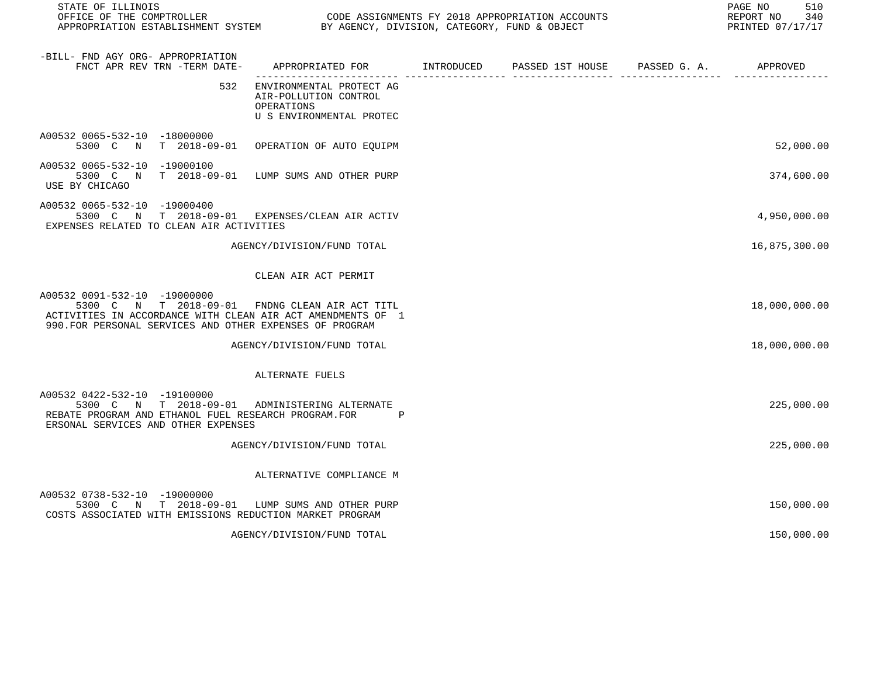| STATE OF ILLINOIS                                                                                                                                                                | PAGE NO<br>CODE ASSIGNMENTS FY 2018 APPROPRIATION ACCOUNTS<br>REPORT NO<br>PRINTED 07/17/17 |             |                                        |                                   |               |  |
|----------------------------------------------------------------------------------------------------------------------------------------------------------------------------------|---------------------------------------------------------------------------------------------|-------------|----------------------------------------|-----------------------------------|---------------|--|
| -BILL- FND AGY ORG- APPROPRIATION<br>FNCT APR REV TRN -TERM DATE-                                                                                                                | APPROPRIATED FOR INTRODUCED<br>----------------- ----                                       | --------- - | PASSED 1ST HOUSE PASSED G. A. APPROVED | __________ ______________________ |               |  |
| 532                                                                                                                                                                              | ENVIRONMENTAL PROTECT AG<br>AIR-POLLUTION CONTROL<br>OPERATIONS<br>U S ENVIRONMENTAL PROTEC |             |                                        |                                   |               |  |
| A00532 0065-532-10 -18000000<br>5300 C N T 2018-09-01                                                                                                                            | OPERATION OF AUTO EQUIPM                                                                    |             |                                        |                                   | 52,000.00     |  |
| A00532 0065-532-10 -19000100<br>5300 C N T 2018-09-01<br>USE BY CHICAGO                                                                                                          | LUMP SUMS AND OTHER PURP                                                                    |             |                                        |                                   | 374,600.00    |  |
| A00532 0065-532-10 -19000400<br>5300 C N T 2018-09-01 EXPENSES/CLEAN AIR ACTIV<br>EXPENSES RELATED TO CLEAN AIR ACTIVITIES                                                       |                                                                                             |             |                                        |                                   | 4,950,000.00  |  |
|                                                                                                                                                                                  | AGENCY/DIVISION/FUND TOTAL                                                                  |             |                                        |                                   | 16,875,300.00 |  |
|                                                                                                                                                                                  | CLEAN AIR ACT PERMIT                                                                        |             |                                        |                                   |               |  |
| A00532 0091-532-10 -19000000<br>5300 C N T 2018-09-01<br>ACTIVITIES IN ACCORDANCE WITH CLEAN AIR ACT AMENDMENTS OF 1<br>990. FOR PERSONAL SERVICES AND OTHER EXPENSES OF PROGRAM | FNDNG CLEAN AIR ACT TITL                                                                    |             |                                        |                                   | 18,000,000.00 |  |
|                                                                                                                                                                                  | AGENCY/DIVISION/FUND TOTAL                                                                  |             |                                        |                                   | 18,000,000.00 |  |
|                                                                                                                                                                                  | ALTERNATE FUELS                                                                             |             |                                        |                                   |               |  |
| A00532 0422-532-10 -19100000<br>5300 C N T 2018-09-01 ADMINISTERING ALTERNATE<br>REBATE PROGRAM AND ETHANOL FUEL RESEARCH PROGRAM. FOR<br>ERSONAL SERVICES AND OTHER EXPENSES    | $\mathbf{P}$                                                                                |             |                                        |                                   | 225,000.00    |  |
|                                                                                                                                                                                  | AGENCY/DIVISION/FUND TOTAL                                                                  |             |                                        |                                   | 225,000.00    |  |
|                                                                                                                                                                                  | ALTERNATIVE COMPLIANCE M                                                                    |             |                                        |                                   |               |  |
| A00532 0738-532-10 -19000000<br>5300 C N T 2018-09-01<br>COSTS ASSOCIATED WITH EMISSIONS REDUCTION MARKET PROGRAM                                                                | LUMP SUMS AND OTHER PURP                                                                    |             |                                        |                                   | 150,000.00    |  |
|                                                                                                                                                                                  | AGENCY/DIVISION/FUND TOTAL                                                                  |             |                                        |                                   | 150,000.00    |  |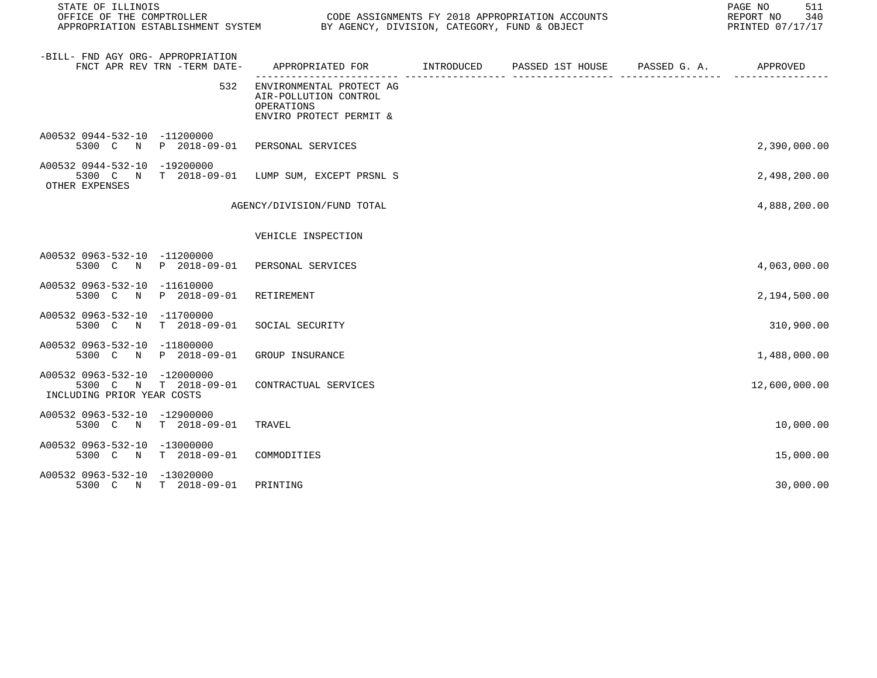| STATE OF ILLINOIS                                                                                        |                                                                                               |  |  |  | 511<br>PAGE NO<br>340<br>REPORT NO<br>PRINTED 07/17/17 |
|----------------------------------------------------------------------------------------------------------|-----------------------------------------------------------------------------------------------|--|--|--|--------------------------------------------------------|
| -BILL- FND AGY ORG- APPROPRIATION<br>FNCT APR REV TRN -TERM DATE-                                        | APPROPRIATED FOR         INTRODUCED      PASSED 1ST HOUSE      PASSED G. A.          APPROVED |  |  |  |                                                        |
| 532                                                                                                      | ENVIRONMENTAL PROTECT AG<br>AIR-POLLUTION CONTROL<br>OPERATIONS<br>ENVIRO PROTECT PERMIT &    |  |  |  |                                                        |
| A00532 0944-532-10 -11200000<br>5300 C N P 2018-09-01 PERSONAL SERVICES                                  |                                                                                               |  |  |  | 2,390,000.00                                           |
| A00532 0944-532-10 -19200000<br>5300 C N T 2018-09-01 LUMP SUM, EXCEPT PRSNL S<br>OTHER EXPENSES         |                                                                                               |  |  |  | 2,498,200.00                                           |
|                                                                                                          | AGENCY/DIVISION/FUND TOTAL                                                                    |  |  |  | 4,888,200.00                                           |
|                                                                                                          | VEHICLE INSPECTION                                                                            |  |  |  |                                                        |
| A00532 0963-532-10 -11200000<br>5300 C N P 2018-09-01 PERSONAL SERVICES                                  |                                                                                               |  |  |  | 4,063,000.00                                           |
| A00532 0963-532-10 -11610000<br>5300 C N P 2018-09-01 RETIREMENT                                         |                                                                                               |  |  |  | 2,194,500.00                                           |
| A00532 0963-532-10 -11700000<br>5300 C N T 2018-09-01                                                    | SOCIAL SECURITY                                                                               |  |  |  | 310,900.00                                             |
| A00532 0963-532-10 -11800000<br>5300 C N P 2018-09-01                                                    | GROUP INSURANCE                                                                               |  |  |  | 1,488,000.00                                           |
| A00532 0963-532-10 -12000000<br>5300 C N T 2018-09-01 CONTRACTUAL SERVICES<br>INCLUDING PRIOR YEAR COSTS |                                                                                               |  |  |  | 12,600,000.00                                          |
| A00532 0963-532-10 -12900000<br>5300 C N T 2018-09-01 TRAVEL                                             |                                                                                               |  |  |  | 10,000.00                                              |
| A00532 0963-532-10 -13000000<br>5300 C N T 2018-09-01 COMMODITIES                                        |                                                                                               |  |  |  | 15,000.00                                              |
| A00532 0963-532-10 -13020000<br>5300 C N T 2018-09-01                                                    | PRINTING                                                                                      |  |  |  | 30,000.00                                              |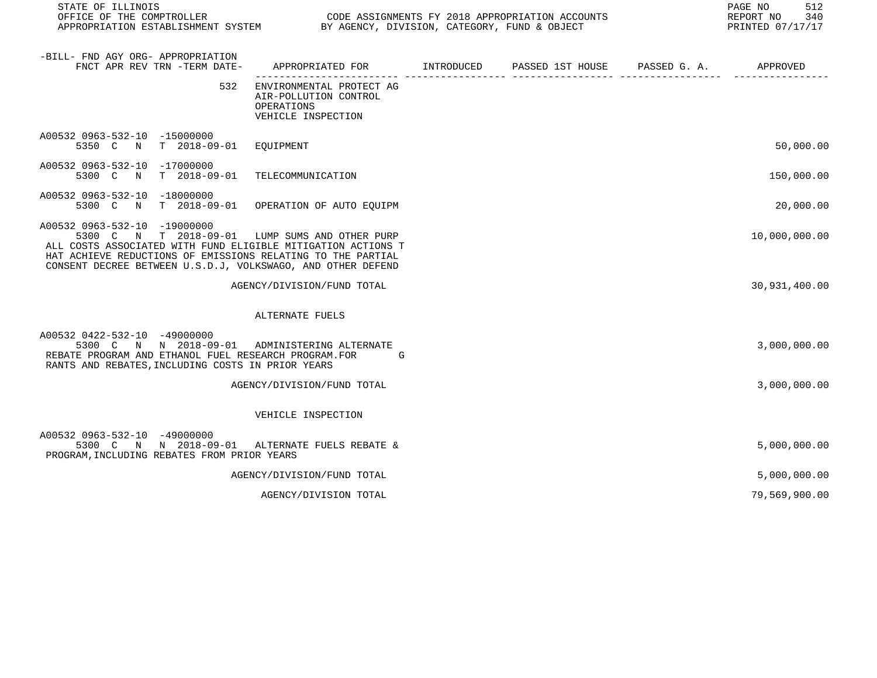| STATE OF ILLINOIS<br>OFFICE OF THE COMPTROLLER<br>APPROPRIATION ESTABLISHMENT SYSTEM BY AGENCY, DIVISION, CATEGORY, FUND & OBJECT                                                                                                                                            |                                                                                           |  | 512<br>PAGE NO<br>REPORT NO 340<br>PRINTED 07/17/17 |
|------------------------------------------------------------------------------------------------------------------------------------------------------------------------------------------------------------------------------------------------------------------------------|-------------------------------------------------------------------------------------------|--|-----------------------------------------------------|
| -BILL- FND AGY ORG- APPROPRIATION<br>FNCT APR REV TRN -TERM DATE-                                                                                                                                                                                                            | APPROPRIATED FOR        INTRODUCED     PASSED 1ST HOUSE     PASSED G. A.         APPROVED |  |                                                     |
| 532                                                                                                                                                                                                                                                                          | ENVIRONMENTAL PROTECT AG<br>AIR-POLLUTION CONTROL<br>OPERATIONS<br>VEHICLE INSPECTION     |  |                                                     |
| A00532 0963-532-10 -15000000<br>5350 C N T 2018-09-01 EQUIPMENT                                                                                                                                                                                                              |                                                                                           |  | 50,000.00                                           |
| A00532 0963-532-10 -17000000<br>5300 C N T 2018-09-01                                                                                                                                                                                                                        | TELECOMMUNICATION                                                                         |  | 150,000.00                                          |
| A00532 0963-532-10 -18000000<br>5300 C N T 2018-09-01 OPERATION OF AUTO EQUIPM                                                                                                                                                                                               |                                                                                           |  | 20,000.00                                           |
| A00532 0963-532-10 -19000000<br>5300 C N T 2018-09-01 LUMP SUMS AND OTHER PURP<br>ALL COSTS ASSOCIATED WITH FUND ELIGIBLE MITIGATION ACTIONS T<br>HAT ACHIEVE REDUCTIONS OF EMISSIONS RELATING TO THE PARTIAL<br>CONSENT DECREE BETWEEN U.S.D.J, VOLKSWAGO, AND OTHER DEFEND |                                                                                           |  | 10,000,000.00                                       |
|                                                                                                                                                                                                                                                                              | AGENCY/DIVISION/FUND TOTAL                                                                |  | 30,931,400.00                                       |
|                                                                                                                                                                                                                                                                              | ALTERNATE FUELS                                                                           |  |                                                     |
| A00532 0422-532-10 -49000000<br>5300 C N N 2018-09-01 ADMINISTERING ALTERNATE<br>REBATE PROGRAM AND ETHANOL FUEL RESEARCH PROGRAM. FOR<br>RANTS AND REBATES, INCLUDING COSTS IN PRIOR YEARS                                                                                  | die G                                                                                     |  | 3,000,000.00                                        |
|                                                                                                                                                                                                                                                                              | AGENCY/DIVISION/FUND TOTAL                                                                |  | 3,000,000.00                                        |
|                                                                                                                                                                                                                                                                              | VEHICLE INSPECTION                                                                        |  |                                                     |
| A00532 0963-532-10 -49000000<br>5300 C N N 2018-09-01 ALTERNATE FUELS REBATE &<br>PROGRAM, INCLUDING REBATES FROM PRIOR YEARS                                                                                                                                                |                                                                                           |  | 5,000,000.00                                        |
|                                                                                                                                                                                                                                                                              | AGENCY/DIVISION/FUND TOTAL                                                                |  | 5,000,000.00                                        |
|                                                                                                                                                                                                                                                                              | AGENCY/DIVISION TOTAL                                                                     |  | 79,569,900.00                                       |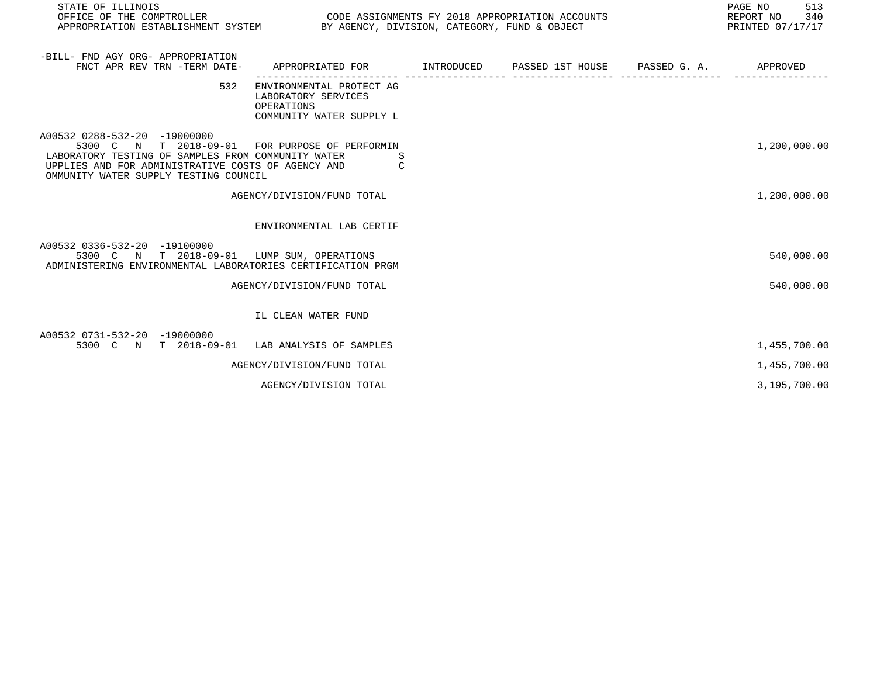| STATE OF ILLINOIS<br>OFFICE OF THE COMPTROLLER<br>CODE ASSIGNMENTS FY 2018 APPROPRIATION ACCOUNTS<br>APPROPRIATION ESTABLISHMENT SYSTEM BY AGENCY, DIVISION, CATEGORY, FUND & OBJECT                       |                                                                                           |  |  | PAGE NO<br>513<br>REPORT NO<br>340<br>PRINTED 07/17/17 |              |
|------------------------------------------------------------------------------------------------------------------------------------------------------------------------------------------------------------|-------------------------------------------------------------------------------------------|--|--|--------------------------------------------------------|--------------|
| -BILL- FND AGY ORG- APPROPRIATION<br>FNCT APR REV TRN -TERM DATE-                                                                                                                                          | APPROPRIATED FOR TINTRODUCED PASSED 1ST HOUSE                                             |  |  | PASSED G. A.                                           | APPROVED     |
| 532                                                                                                                                                                                                        | ENVIRONMENTAL PROTECT AG<br>LABORATORY SERVICES<br>OPERATIONS<br>COMMUNITY WATER SUPPLY L |  |  |                                                        |              |
| A00532 0288-532-20 -19000000<br>5300 C N T 2018-09-01<br>LABORATORY TESTING OF SAMPLES FROM COMMUNITY WATER<br>UPPLIES AND FOR ADMINISTRATIVE COSTS OF AGENCY AND<br>OMMUNITY WATER SUPPLY TESTING COUNCIL | FOR PURPOSE OF PERFORMIN<br>S<br>C                                                        |  |  |                                                        | 1,200,000.00 |
|                                                                                                                                                                                                            | AGENCY/DIVISION/FUND TOTAL                                                                |  |  |                                                        | 1,200,000.00 |
|                                                                                                                                                                                                            | ENVIRONMENTAL LAB CERTIF                                                                  |  |  |                                                        |              |
| A00532 0336-532-20 -19100000<br>5300 C N T 2018-09-01 LUMP SUM, OPERATIONS<br>ADMINISTERING ENVIRONMENTAL LABORATORIES CERTIFICATION PRGM                                                                  |                                                                                           |  |  |                                                        | 540,000.00   |
|                                                                                                                                                                                                            | AGENCY/DIVISION/FUND TOTAL                                                                |  |  |                                                        | 540,000.00   |
|                                                                                                                                                                                                            | IL CLEAN WATER FUND                                                                       |  |  |                                                        |              |
| A00532 0731-532-20 -19000000<br>5300 C N T 2018-09-01 LAB ANALYSIS OF SAMPLES                                                                                                                              |                                                                                           |  |  |                                                        | 1,455,700.00 |
|                                                                                                                                                                                                            | AGENCY/DIVISION/FUND TOTAL                                                                |  |  |                                                        | 1,455,700.00 |
|                                                                                                                                                                                                            | AGENCY/DIVISION TOTAL                                                                     |  |  |                                                        | 3,195,700.00 |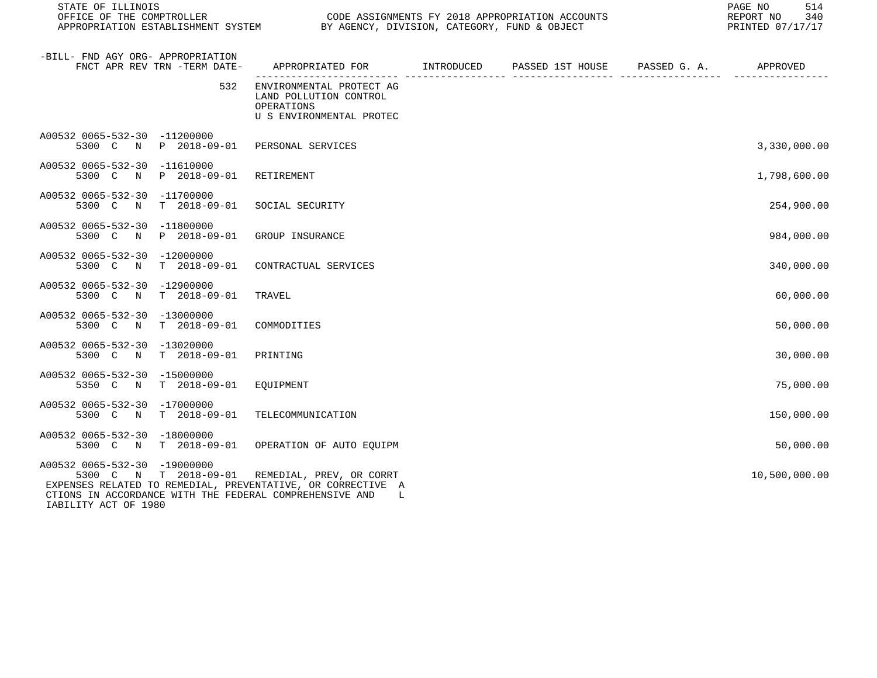| STATE OF ILLINOIS                                     |                              | CODE ASSIGNMENTS FY 2018 APPROPRIATION ACCOUNTS                                                                                                                               |  |  |  | 514<br>PAGE NO<br>340<br>REPORT NO<br>PRINTED 07/17/17 |  |
|-------------------------------------------------------|------------------------------|-------------------------------------------------------------------------------------------------------------------------------------------------------------------------------|--|--|--|--------------------------------------------------------|--|
| -BILL- FND AGY ORG- APPROPRIATION                     | FNCT APR REV TRN -TERM DATE- | APPROPRIATED FOR TINTRODUCED PASSED 1ST HOUSE PASSED G. A.                                                                                                                    |  |  |  | APPROVED                                               |  |
|                                                       | 532                          | ENVIRONMENTAL PROTECT AG<br>LAND POLLUTION CONTROL<br>OPERATIONS<br>U S ENVIRONMENTAL PROTEC                                                                                  |  |  |  |                                                        |  |
| A00532 0065-532-30 -11200000<br>5300 C                | N P 2018-09-01               | PERSONAL SERVICES                                                                                                                                                             |  |  |  | 3,330,000.00                                           |  |
| A00532 0065-532-30 -11610000<br>5300 C N P 2018-09-01 |                              | RETIREMENT                                                                                                                                                                    |  |  |  | 1,798,600.00                                           |  |
| A00532 0065-532-30 -11700000<br>5300 C N T 2018-09-01 |                              | SOCIAL SECURITY                                                                                                                                                               |  |  |  | 254,900.00                                             |  |
| A00532 0065-532-30 -11800000<br>5300 C N P 2018-09-01 |                              | GROUP INSURANCE                                                                                                                                                               |  |  |  | 984,000.00                                             |  |
| A00532 0065-532-30 -12000000<br>5300 C N T 2018-09-01 |                              | CONTRACTUAL SERVICES                                                                                                                                                          |  |  |  | 340,000.00                                             |  |
| A00532 0065-532-30 -12900000<br>5300 C N              | $T = 2018 - 09 - 01$         | TRAVEL                                                                                                                                                                        |  |  |  | 60,000.00                                              |  |
| A00532 0065-532-30 -13000000<br>5300 C N T 2018-09-01 |                              | COMMODITIES                                                                                                                                                                   |  |  |  | 50,000.00                                              |  |
| A00532 0065-532-30 -13020000<br>5300 C N T 2018-09-01 |                              | PRINTING                                                                                                                                                                      |  |  |  | 30,000.00                                              |  |
| A00532 0065-532-30 -15000000<br>5350 C N T 2018-09-01 |                              | EOUIPMENT                                                                                                                                                                     |  |  |  | 75,000.00                                              |  |
| A00532 0065-532-30 -17000000<br>5300 C N T 2018-09-01 |                              | TELECOMMUNICATION                                                                                                                                                             |  |  |  | 150,000.00                                             |  |
| A00532 0065-532-30 -18000000<br>5300 C N T 2018-09-01 |                              | OPERATION OF AUTO EQUIPM                                                                                                                                                      |  |  |  | 50,000.00                                              |  |
| A00532 0065-532-30 -19000000<br>IABILITY ACT OF 1980  |                              | 5300 C N T 2018-09-01 REMEDIAL, PREV, OR CORRT<br>EXPENSES RELATED TO REMEDIAL, PREVENTATIVE, OR CORRECTIVE A<br>CTIONS IN ACCORDANCE WITH THE FEDERAL COMPREHENSIVE AND<br>L |  |  |  | 10,500,000.00                                          |  |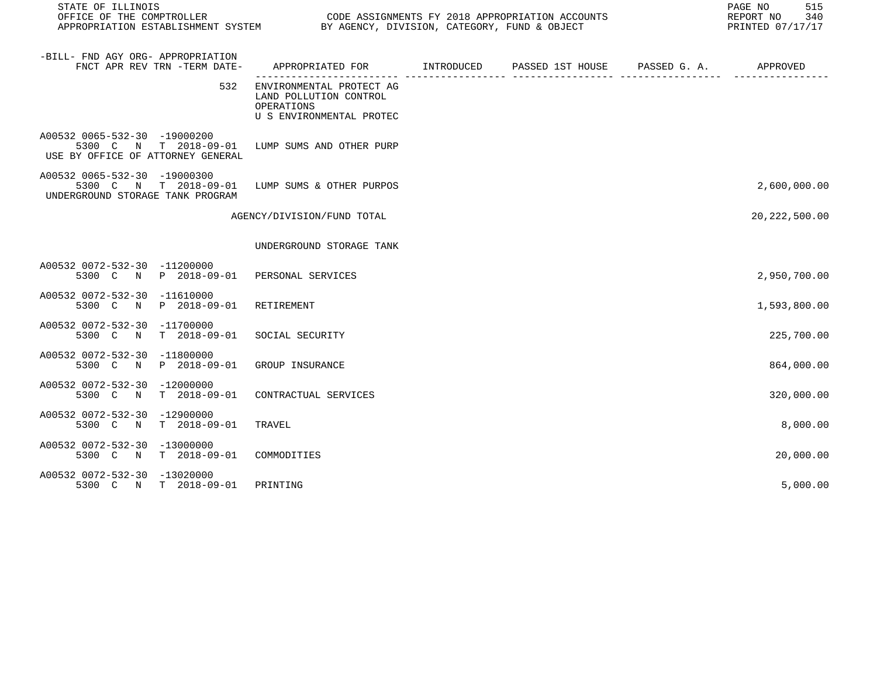| STATE OF ILLINOIS<br>OFFICE OF THE COMPTROLLER<br>APPROPRIATION ESTABLISHMENT SYSTEM BY AGENCY, DIVISION, CATEGORY, FUND & OBJECT | CODE ASSIGNMENTS FY 2018 APPROPRIATION ACCOUNTS                                              |                  |                       | PAGE NO<br>515<br>REPORT NO<br>340<br>PRINTED 07/17/17 |
|-----------------------------------------------------------------------------------------------------------------------------------|----------------------------------------------------------------------------------------------|------------------|-----------------------|--------------------------------------------------------|
| -BILL- FND AGY ORG- APPROPRIATION<br>FNCT APR REV TRN -TERM DATE-                                                                 | APPROPRIATED FOR INTRODUCED                                                                  | PASSED 1ST HOUSE | PASSED G. A. APPROVED |                                                        |
| 532                                                                                                                               | ENVIRONMENTAL PROTECT AG<br>LAND POLLUTION CONTROL<br>OPERATIONS<br>U S ENVIRONMENTAL PROTEC |                  |                       |                                                        |
| A00532 0065-532-30 -19000200<br>5300 C N T 2018-09-01<br>USE BY OFFICE OF ATTORNEY GENERAL                                        | LUMP SUMS AND OTHER PURP                                                                     |                  |                       |                                                        |
| A00532 0065-532-30 -19000300<br>5300 C N T 2018-09-01<br>UNDERGROUND STORAGE TANK PROGRAM                                         | LUMP SUMS & OTHER PURPOS                                                                     |                  |                       | 2,600,000.00                                           |
|                                                                                                                                   | AGENCY/DIVISION/FUND TOTAL                                                                   |                  |                       | 20, 222, 500.00                                        |
|                                                                                                                                   | UNDERGROUND STORAGE TANK                                                                     |                  |                       |                                                        |
| A00532 0072-532-30 -11200000<br>5300 C N P 2018-09-01 PERSONAL SERVICES                                                           |                                                                                              |                  |                       | 2,950,700.00                                           |
| A00532 0072-532-30 -11610000<br>P 2018-09-01<br>5300 C N                                                                          | RETIREMENT                                                                                   |                  |                       | 1,593,800.00                                           |
| A00532 0072-532-30 -11700000<br>5300 C N<br>T 2018-09-01                                                                          | SOCIAL SECURITY                                                                              |                  |                       | 225,700.00                                             |
| A00532 0072-532-30 -11800000<br>5300 C N P 2018-09-01                                                                             | GROUP INSURANCE                                                                              |                  |                       | 864,000.00                                             |
| A00532 0072-532-30 -12000000<br>5300 C N<br>T 2018-09-01                                                                          | CONTRACTUAL SERVICES                                                                         |                  |                       | 320,000.00                                             |
| A00532 0072-532-30 -12900000<br>$T = 2018 - 09 - 01$<br>5300 C N                                                                  | TRAVEL                                                                                       |                  |                       | 8,000.00                                               |
| A00532 0072-532-30 -13000000<br>$T$ 2018-09-01<br>5300 C N                                                                        | COMMODITIES                                                                                  |                  |                       | 20,000.00                                              |
| A00532 0072-532-30 -13020000<br>5300 C N T 2018-09-01                                                                             | PRINTING                                                                                     |                  |                       | 5,000.00                                               |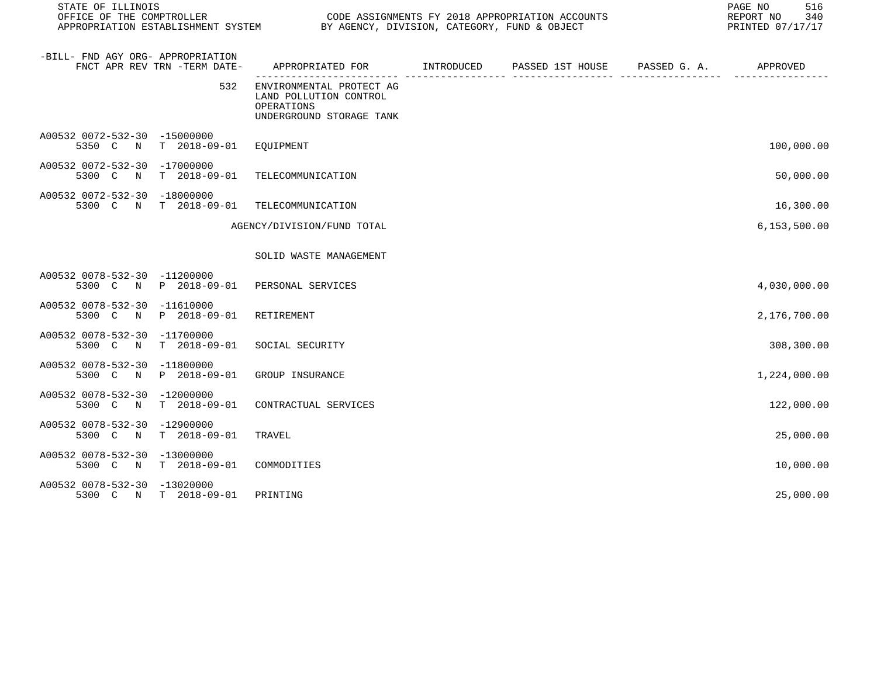| STATE OF ILLINOIS                           |                              |                                                                                              | PAGE NO<br>516<br>REPORT NO<br>340<br>PRINTED 07/17/17 |  |                |
|---------------------------------------------|------------------------------|----------------------------------------------------------------------------------------------|--------------------------------------------------------|--|----------------|
| -BILL- FND AGY ORG- APPROPRIATION           | FNCT APR REV TRN -TERM DATE- | APPROPRIATED FOR        INTRODUCED      PASSED 1ST HOUSE      PASSED G. A.          APPROVED |                                                        |  |                |
|                                             | 532                          | ENVIRONMENTAL PROTECT AG<br>LAND POLLUTION CONTROL<br>OPERATIONS<br>UNDERGROUND STORAGE TANK |                                                        |  |                |
| A00532 0072-532-30 -15000000                | 5350 C N T 2018-09-01        | EQUIPMENT                                                                                    |                                                        |  | 100,000.00     |
| A00532 0072-532-30 -17000000<br>5300 C N    | T 2018-09-01                 | TELECOMMUNICATION                                                                            |                                                        |  | 50,000.00      |
| A00532 0072-532-30 -18000000<br>5300 C N    | $T = 2018 - 09 - 01$         | TELECOMMUNICATION                                                                            |                                                        |  | 16,300.00      |
|                                             |                              | AGENCY/DIVISION/FUND TOTAL                                                                   |                                                        |  | 6, 153, 500.00 |
|                                             |                              | SOLID WASTE MANAGEMENT                                                                       |                                                        |  |                |
| A00532 0078-532-30 -11200000                | 5300 C N P 2018-09-01        | PERSONAL SERVICES                                                                            |                                                        |  | 4,030,000.00   |
| A00532 0078-532-30 -11610000<br>5300 C<br>N | P 2018-09-01                 | RETIREMENT                                                                                   |                                                        |  | 2,176,700.00   |
| A00532 0078-532-30 -11700000<br>5300 C<br>N | $T = 2018 - 09 - 01$         | SOCIAL SECURITY                                                                              |                                                        |  | 308,300.00     |
| A00532 0078-532-30 -11800000<br>5300 C N    | P 2018-09-01                 | GROUP INSURANCE                                                                              |                                                        |  | 1,224,000.00   |
| A00532 0078-532-30 -12000000<br>5300 C N    | $T = 2018 - 09 - 01$         | CONTRACTUAL SERVICES                                                                         |                                                        |  | 122,000.00     |
| A00532 0078-532-30 -12900000<br>5300 C N    | $T = 2018 - 09 - 01$         | TRAVEL                                                                                       |                                                        |  | 25,000.00      |
| A00532 0078-532-30 -13000000<br>5300 C N    | $T$ 2018-09-01               | COMMODITIES                                                                                  |                                                        |  | 10,000.00      |
| A00532 0078-532-30 -13020000                | 5300 C N T 2018-09-01        | PRINTING                                                                                     |                                                        |  | 25,000.00      |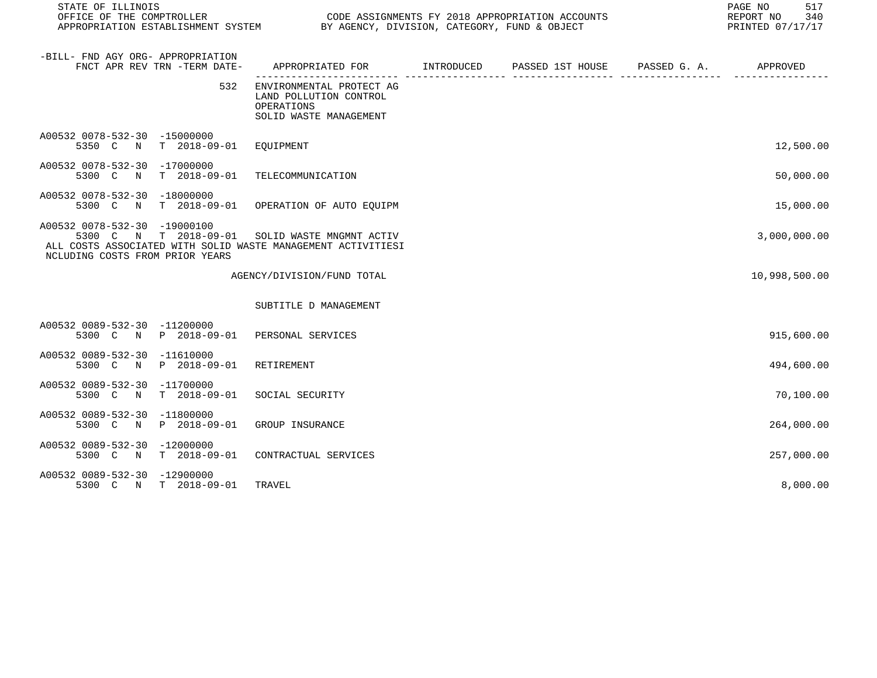| STATE OF ILLINOIS                                                                                                                                        |                                                                                            |  | 517<br>PAGE NO<br>340<br>REPORT NO<br>PRINTED 07/17/17 |
|----------------------------------------------------------------------------------------------------------------------------------------------------------|--------------------------------------------------------------------------------------------|--|--------------------------------------------------------|
| -BILL- FND AGY ORG- APPROPRIATION<br>FNCT APR REV TRN -TERM DATE-                                                                                        | APPROPRIATED FOR        INTRODUCED     PASSED 1ST HOUSE     PASSED G. A.        APPROVED   |  |                                                        |
| 532                                                                                                                                                      | ENVIRONMENTAL PROTECT AG<br>LAND POLLUTION CONTROL<br>OPERATIONS<br>SOLID WASTE MANAGEMENT |  |                                                        |
| A00532 0078-532-30 -15000000<br>5350 C N T 2018-09-01 EQUIPMENT                                                                                          |                                                                                            |  | 12,500.00                                              |
| A00532 0078-532-30 -17000000<br>5300 C<br>N                                                                                                              | T 2018-09-01 TELECOMMUNICATION                                                             |  | 50,000.00                                              |
| A00532 0078-532-30 -18000000<br>5300 C<br>N                                                                                                              | T 2018-09-01 OPERATION OF AUTO EQUIPM                                                      |  | 15,000.00                                              |
| A00532 0078-532-30 -19000100<br>5300 C N T 2018-09-01<br>ALL COSTS ASSOCIATED WITH SOLID WASTE MANAGEMENT ACTIVITIESI<br>NCLUDING COSTS FROM PRIOR YEARS | SOLID WASTE MNGMNT ACTIV                                                                   |  | 3,000,000.00                                           |
|                                                                                                                                                          | AGENCY/DIVISION/FUND TOTAL                                                                 |  | 10,998,500.00                                          |
|                                                                                                                                                          | SUBTITLE D MANAGEMENT                                                                      |  |                                                        |
| A00532 0089-532-30 -11200000<br>5300 C N P 2018-09-01 PERSONAL SERVICES                                                                                  |                                                                                            |  | 915,600.00                                             |
| A00532 0089-532-30 -11610000<br>5300 C N P 2018-09-01                                                                                                    | RETIREMENT                                                                                 |  | 494,600.00                                             |
| A00532 0089-532-30 -11700000<br>T 2018-09-01<br>5300 C N                                                                                                 | SOCIAL SECURITY                                                                            |  | 70,100.00                                              |
| A00532 0089-532-30 -11800000<br>5300 C N P 2018-09-01                                                                                                    | GROUP INSURANCE                                                                            |  | 264,000.00                                             |
| A00532 0089-532-30 -12000000<br>T 2018-09-01<br>5300 C<br>$\mathbb N$                                                                                    | CONTRACTUAL SERVICES                                                                       |  | 257,000.00                                             |
| A00532 0089-532-30 -12900000<br>5300 C N T 2018-09-01                                                                                                    | TRAVEL                                                                                     |  | 8,000.00                                               |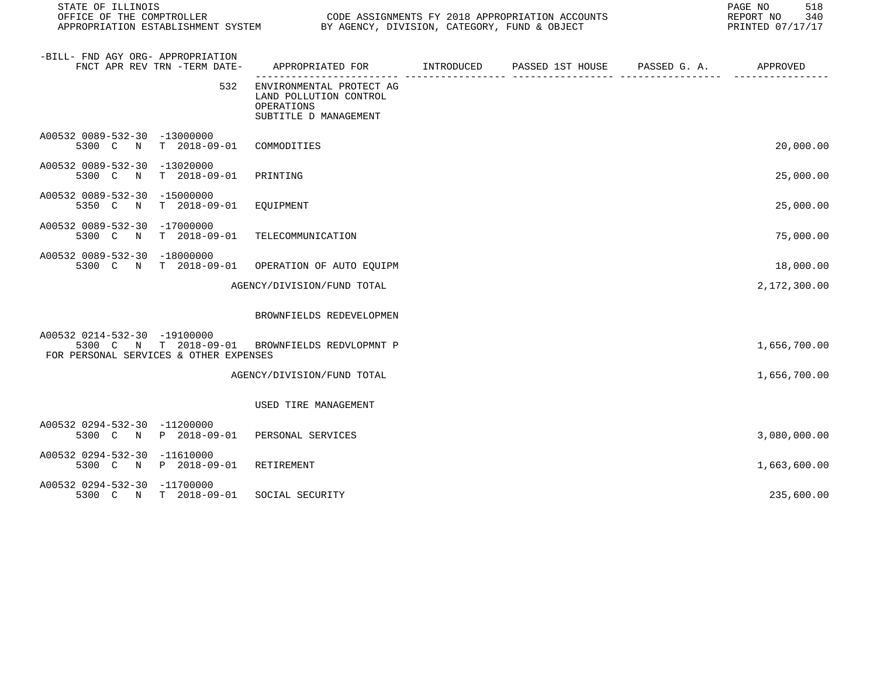| STATE OF ILLINOIS                                                                                                        |                                                                                           |                               | PAGE NO<br>518<br>340<br>REPORT NO<br>PRINTED 07/17/17 |
|--------------------------------------------------------------------------------------------------------------------------|-------------------------------------------------------------------------------------------|-------------------------------|--------------------------------------------------------|
| -BILL- FND AGY ORG- APPROPRIATION<br>FNCT APR REV TRN -TERM DATE-                                                        | APPROPRIATED FOR INTRODUCED                                                               | PASSED 1ST HOUSE PASSED G. A. | APPROVED                                               |
| 532                                                                                                                      | ENVIRONMENTAL PROTECT AG<br>LAND POLLUTION CONTROL<br>OPERATIONS<br>SUBTITLE D MANAGEMENT |                               |                                                        |
| A00532 0089-532-30 -13000000<br>5300 C N T 2018-09-01                                                                    | COMMODITIES                                                                               |                               | 20,000.00                                              |
| A00532 0089-532-30 -13020000<br>T 2018-09-01<br>5300 C<br>$\mathbb N$                                                    | PRINTING                                                                                  |                               | 25,000.00                                              |
| A00532 0089-532-30 -15000000<br>5350 C<br>T 2018-09-01 EQUIPMENT<br>$\mathbb N$                                          |                                                                                           |                               | 25,000.00                                              |
| A00532 0089-532-30 -17000000<br>N T 2018-09-01<br>5300 C                                                                 | TELECOMMUNICATION                                                                         |                               | 75,000.00                                              |
| A00532 0089-532-30 -18000000<br>5300 C N T 2018-09-01 OPERATION OF AUTO EQUIPM                                           |                                                                                           |                               | 18,000.00                                              |
|                                                                                                                          | AGENCY/DIVISION/FUND TOTAL                                                                |                               | 2,172,300.00                                           |
|                                                                                                                          | BROWNFIELDS REDEVELOPMEN                                                                  |                               |                                                        |
| A00532 0214-532-30 -19100000<br>5300 C N T 2018-09-01 BROWNFIELDS REDVLOPMNT P<br>FOR PERSONAL SERVICES & OTHER EXPENSES |                                                                                           |                               | 1,656,700.00                                           |
|                                                                                                                          | AGENCY/DIVISION/FUND TOTAL                                                                |                               | 1,656,700.00                                           |
|                                                                                                                          | USED TIRE MANAGEMENT                                                                      |                               |                                                        |
| A00532 0294-532-30 -11200000<br>5300 C N P 2018-09-01 PERSONAL SERVICES                                                  |                                                                                           |                               | 3,080,000.00                                           |
| A00532 0294-532-30 -11610000<br>5300 C N P 2018-09-01                                                                    | RETIREMENT                                                                                |                               | 1,663,600.00                                           |
| A00532 0294-532-30 -11700000<br>5300 C N T 2018-09-01                                                                    | SOCIAL SECURITY                                                                           |                               | 235,600.00                                             |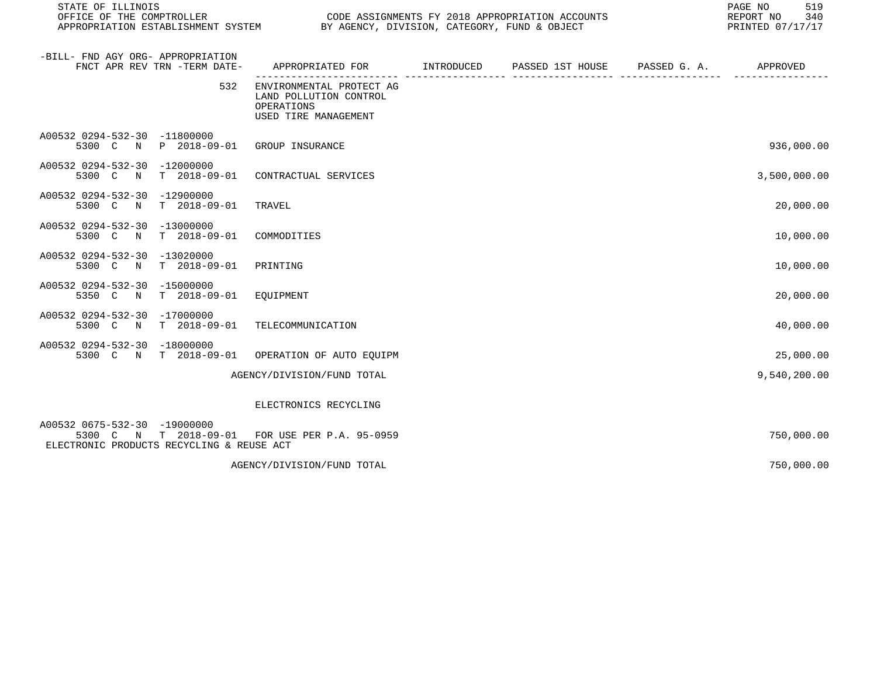| STATE OF ILLINOIS<br>OFFICE OF THE COMPTROLLER<br>OFFICE OF THE COMPTROLLER<br>APPROPRIATION ESTABLISHMENT SYSTEM BY AGENCY, DIVISION, CATEGORY, FUND & OBJECT | CODE ASSIGNMENTS FY 2018 APPROPRIATION ACCOUNTS                                          | 519<br>PAGE NO<br>REPORT NO<br>340<br>PRINTED 07/17/17 |                                                                                            |              |              |
|----------------------------------------------------------------------------------------------------------------------------------------------------------------|------------------------------------------------------------------------------------------|--------------------------------------------------------|--------------------------------------------------------------------------------------------|--------------|--------------|
| -BILL- FND AGY ORG- APPROPRIATION<br>FNCT APR REV TRN -TERM DATE-                                                                                              | APPROPRIATED FOR                                                                         | INTRODUCED                                             | PASSED 1ST HOUSE<br>.comune concerted contrary concerted concerted concerted concerted and | PASSED G. A. | APPROVED     |
| 532                                                                                                                                                            | ENVIRONMENTAL PROTECT AG<br>LAND POLLUTION CONTROL<br>OPERATIONS<br>USED TIRE MANAGEMENT |                                                        |                                                                                            |              |              |
| A00532 0294-532-30 -11800000<br>P 2018-09-01<br>5300 C<br>N                                                                                                    | GROUP INSURANCE                                                                          |                                                        |                                                                                            |              | 936,000.00   |
| A00532 0294-532-30<br>-12000000<br>5300 C<br>$\mathbb N$<br>T 2018-09-01                                                                                       | CONTRACTUAL SERVICES                                                                     |                                                        |                                                                                            |              | 3,500,000.00 |
| A00532 0294-532-30 -12900000<br>5300 C N<br>T 2018-09-01                                                                                                       | TRAVEL                                                                                   |                                                        |                                                                                            |              | 20,000.00    |
| A00532 0294-532-30 -13000000<br>5300 C N<br>$T = 2018 - 09 - 01$                                                                                               | COMMODITIES                                                                              |                                                        |                                                                                            |              | 10,000.00    |
| A00532 0294-532-30 -13020000<br>5300 C N<br>$T = 2018 - 09 - 01$                                                                                               | PRINTING                                                                                 |                                                        |                                                                                            |              | 10,000.00    |
| A00532 0294-532-30<br>$-15000000$<br>$T$ 2018-09-01<br>5350 C<br>$\mathbb N$                                                                                   | EQUIPMENT                                                                                |                                                        |                                                                                            |              | 20,000.00    |
| A00532 0294-532-30 -17000000<br>T 2018-09-01<br>5300 C N                                                                                                       | TELECOMMUNICATION                                                                        |                                                        |                                                                                            |              | 40,000.00    |
| A00532 0294-532-30 -18000000<br>5300 C N T 2018-09-01                                                                                                          | OPERATION OF AUTO EQUIPM                                                                 |                                                        |                                                                                            |              | 25,000.00    |
|                                                                                                                                                                | AGENCY/DIVISION/FUND TOTAL                                                               |                                                        |                                                                                            |              | 9,540,200.00 |
|                                                                                                                                                                | ELECTRONICS RECYCLING                                                                    |                                                        |                                                                                            |              |              |
| A00532 0675-532-30 -19000000<br>5300 C<br>ELECTRONIC PRODUCTS RECYCLING & REUSE ACT                                                                            | N T 2018-09-01 FOR USE PER P.A. 95-0959                                                  |                                                        |                                                                                            |              | 750,000.00   |
|                                                                                                                                                                | AGENCY/DIVISION/FUND TOTAL                                                               |                                                        |                                                                                            |              | 750,000.00   |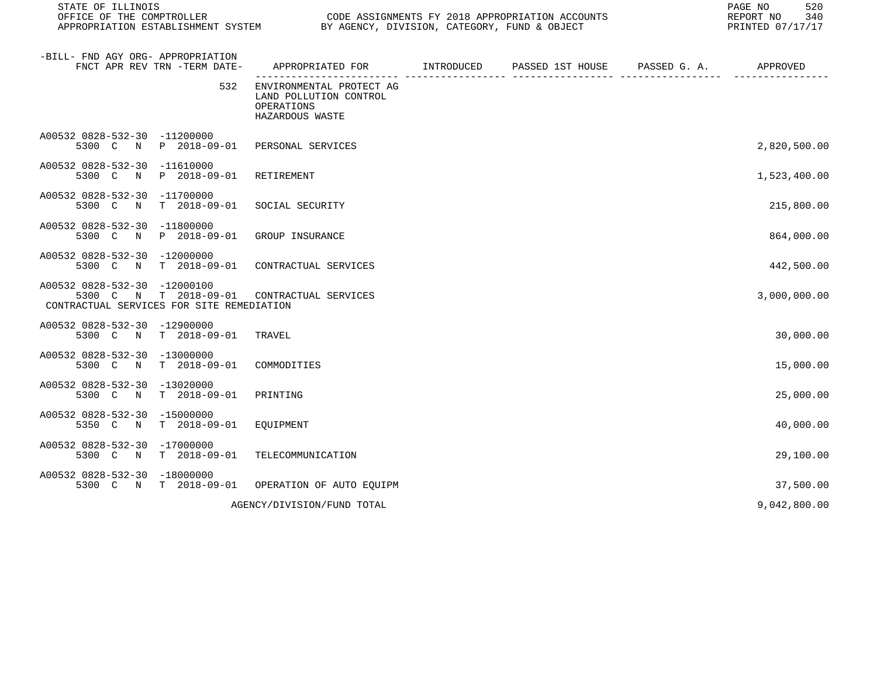| STATE OF ILLINOIS<br>OFFICE OF THE COMPTROLLER<br>APPROPRIATION ESTABLISHMENT SYSTEM BY AGENCY, DIVISION, CATEGORY, FUND & OBJECT | CODE ASSIGNMENTS FY 2018 APPROPRIATION ACCOUNTS                                     | 520<br>PAGE NO<br>340<br>REPORT NO<br>PRINTED 07/17/17 |  |              |
|-----------------------------------------------------------------------------------------------------------------------------------|-------------------------------------------------------------------------------------|--------------------------------------------------------|--|--------------|
| -BILL- FND AGY ORG- APPROPRIATION<br>FNCT APR REV TRN -TERM DATE-                                                                 | APPROPRIATED FOR TINTRODUCED PASSED 1ST HOUSE PASSED G.A.                           |                                                        |  | APPROVED     |
| 532                                                                                                                               | ENVIRONMENTAL PROTECT AG<br>LAND POLLUTION CONTROL<br>OPERATIONS<br>HAZARDOUS WASTE |                                                        |  |              |
| A00532 0828-532-30 -11200000<br>5300 C N P 2018-09-01 PERSONAL SERVICES                                                           |                                                                                     |                                                        |  | 2,820,500.00 |
| A00532 0828-532-30 -11610000<br>5300 C N P 2018-09-01                                                                             | RETIREMENT                                                                          |                                                        |  | 1,523,400.00 |
| A00532 0828-532-30 -11700000<br>5300 C N T 2018-09-01                                                                             | SOCIAL SECURITY                                                                     |                                                        |  | 215,800.00   |
| A00532 0828-532-30 -11800000<br>5300 C N P 2018-09-01                                                                             | GROUP INSURANCE                                                                     |                                                        |  | 864,000.00   |
| A00532 0828-532-30 -12000000<br>5300 C N T 2018-09-01                                                                             | CONTRACTUAL SERVICES                                                                |                                                        |  | 442,500.00   |
| A00532 0828-532-30 -12000100<br>5300 C N T 2018-09-01<br>CONTRACTUAL SERVICES FOR SITE REMEDIATION                                | CONTRACTUAL SERVICES                                                                |                                                        |  | 3,000,000.00 |
| A00532 0828-532-30 -12900000<br>T 2018-09-01<br>5300 C N                                                                          | TRAVEL                                                                              |                                                        |  | 30,000.00    |
| A00532 0828-532-30 -13000000<br>5300 C N T 2018-09-01                                                                             | COMMODITIES                                                                         |                                                        |  | 15,000.00    |
| A00532 0828-532-30 -13020000<br>5300 C N T 2018-09-01                                                                             | PRINTING                                                                            |                                                        |  | 25,000.00    |
| A00532 0828-532-30 -15000000<br>T 2018-09-01<br>5350 C N                                                                          | EOUIPMENT                                                                           |                                                        |  | 40,000.00    |
| A00532 0828-532-30 -17000000<br>5300 C N T 2018-09-01                                                                             | TELECOMMUNICATION                                                                   |                                                        |  | 29,100.00    |
| A00532 0828-532-30 -18000000<br>5300 C N T 2018-09-01                                                                             | OPERATION OF AUTO EOUIPM                                                            |                                                        |  | 37,500.00    |
|                                                                                                                                   | AGENCY/DIVISION/FUND TOTAL                                                          |                                                        |  | 9,042,800.00 |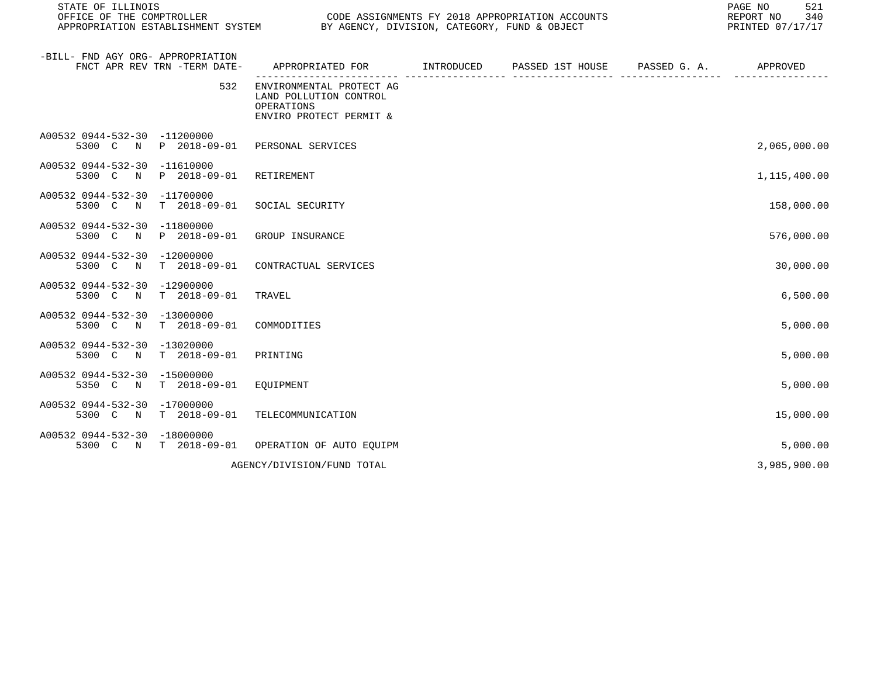| STATE OF ILLINOIS<br>OFFICE OF THE COMPTROLLER<br>OFFICE OF THE COMPTROLLER<br>APPROPRIATION ESTABLISHMENT SYSTEM BY AGENCY, DIVISION, CATEGORY, FUND & OBJECT | CODE ASSIGNMENTS FY 2018 APPROPRIATION ACCOUNTS                                             | 521<br>PAGE NO<br>REPORT NO<br>340<br>PRINTED 07/17/17 |              |              |
|----------------------------------------------------------------------------------------------------------------------------------------------------------------|---------------------------------------------------------------------------------------------|--------------------------------------------------------|--------------|--------------|
| -BILL- FND AGY ORG- APPROPRIATION<br>FNCT APR REV TRN -TERM DATE-                                                                                              | APPROPRIATED FOR INTRODUCED                                                                 | PASSED 1ST HOUSE                                       | PASSED G. A. | APPROVED     |
| 532                                                                                                                                                            | ENVIRONMENTAL PROTECT AG<br>LAND POLLUTION CONTROL<br>OPERATIONS<br>ENVIRO PROTECT PERMIT & |                                                        |              |              |
| A00532 0944-532-30 -11200000<br>5300 C<br>P 2018-09-01<br>N                                                                                                    | PERSONAL SERVICES                                                                           |                                                        |              | 2,065,000.00 |
| A00532 0944-532-30<br>$-11610000$<br>5300 C<br>P 2018-09-01<br>$\mathbb N$                                                                                     | RETIREMENT                                                                                  |                                                        |              | 1,115,400.00 |
| A00532 0944-532-30 -11700000<br>5300 C N<br>T 2018-09-01                                                                                                       | SOCIAL SECURITY                                                                             |                                                        |              | 158,000.00   |
| A00532 0944-532-30 -11800000<br>5300 C N<br>P 2018-09-01                                                                                                       | GROUP INSURANCE                                                                             |                                                        |              | 576,000.00   |
| A00532 0944-532-30 -12000000<br>5300 C N<br>$T = 2018 - 09 - 01$                                                                                               | CONTRACTUAL SERVICES                                                                        |                                                        |              | 30,000.00    |
| A00532 0944-532-30 -12900000<br>$T = 2018 - 09 - 01$<br>5300 C<br>$\mathbb N$                                                                                  | TRAVEL                                                                                      |                                                        |              | 6,500.00     |
| A00532 0944-532-30 -13000000<br>5300 C N<br>T 2018-09-01                                                                                                       | COMMODITIES                                                                                 |                                                        |              | 5,000.00     |
| A00532 0944-532-30 -13020000<br>$T = 2018 - 09 - 01$<br>5300 C N                                                                                               | PRINTING                                                                                    |                                                        |              | 5,000.00     |
| A00532 0944-532-30<br>-15000000<br>$T = 2018 - 09 - 01$<br>5350 C<br>$\mathbb N$                                                                               | EOUIPMENT                                                                                   |                                                        |              | 5,000.00     |
| A00532 0944-532-30 -17000000<br>$T$ 2018-09-01<br>5300 C N                                                                                                     | TELECOMMUNICATION                                                                           |                                                        |              | 15,000.00    |
| A00532 0944-532-30 -18000000<br>5300 C N T 2018-09-01                                                                                                          | OPERATION OF AUTO EOUIPM                                                                    |                                                        |              | 5,000.00     |
|                                                                                                                                                                | AGENCY/DIVISION/FUND TOTAL                                                                  |                                                        |              | 3,985,900.00 |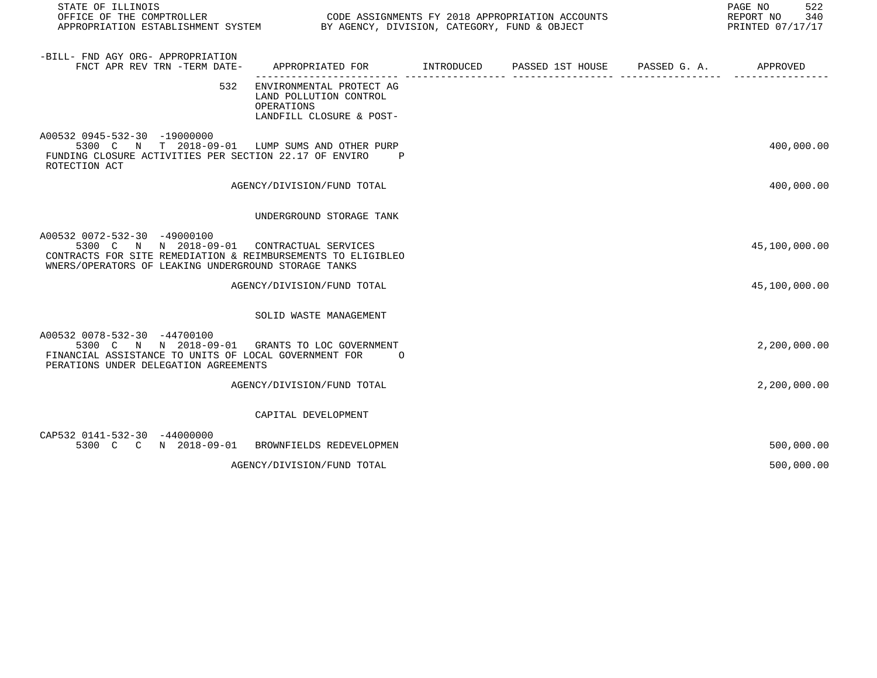| STATE OF ILLINOIS<br>OFFICE OF THE COMPTROLLER<br>APPROPRIATION ESTABLISHMENT SYSTEM BY AGENCY, DIVISION, CATEGORY, FUND & OBJECT                                                                  | CODE ASSIGNMENTS FY 2018 APPROPRIATION ACCOUNTS                                              |  | PAGE NO<br>522<br>REPORT NO 340<br>PRINTED 07/17/17 |
|----------------------------------------------------------------------------------------------------------------------------------------------------------------------------------------------------|----------------------------------------------------------------------------------------------|--|-----------------------------------------------------|
| -BILL- FND AGY ORG- APPROPRIATION<br>FNCT APR REV TRN -TERM DATE-                                                                                                                                  | APPROPRIATED FOR TINTRODUCED PASSED 1ST HOUSE PASSED G.A.                                    |  | APPROVED                                            |
| 532                                                                                                                                                                                                | ENVIRONMENTAL PROTECT AG<br>LAND POLLUTION CONTROL<br>OPERATIONS<br>LANDFILL CLOSURE & POST- |  |                                                     |
| A00532 0945-532-30 -19000000<br>5300 C N T 2018-09-01 LUMP SUMS AND OTHER PURP<br>FUNDING CLOSURE ACTIVITIES PER SECTION 22.17 OF ENVIRO<br>ROTECTION ACT                                          | $\overline{P}$                                                                               |  | 400,000.00                                          |
|                                                                                                                                                                                                    | AGENCY/DIVISION/FUND TOTAL                                                                   |  | 400,000.00                                          |
|                                                                                                                                                                                                    | UNDERGROUND STORAGE TANK                                                                     |  |                                                     |
| A00532 0072-532-30 -49000100<br>5300 C N N 2018-09-01 CONTRACTUAL SERVICES<br>CONTRACTS FOR SITE REMEDIATION & REIMBURSEMENTS TO ELIGIBLEO<br>WNERS/OPERATORS OF LEAKING UNDERGROUND STORAGE TANKS |                                                                                              |  | 45,100,000.00                                       |
|                                                                                                                                                                                                    | AGENCY/DIVISION/FUND TOTAL                                                                   |  | 45,100,000.00                                       |
|                                                                                                                                                                                                    | SOLID WASTE MANAGEMENT                                                                       |  |                                                     |
| A00532 0078-532-30 -44700100<br>5300 C N N 2018-09-01<br>FINANCIAL ASSISTANCE TO UNITS OF LOCAL GOVERNMENT FOR<br>PERATIONS UNDER DELEGATION AGREEMENTS                                            | GRANTS TO LOC GOVERNMENT<br>$\Omega$                                                         |  | 2,200,000.00                                        |
|                                                                                                                                                                                                    | AGENCY/DIVISION/FUND TOTAL                                                                   |  | 2,200,000.00                                        |
|                                                                                                                                                                                                    | CAPITAL DEVELOPMENT                                                                          |  |                                                     |
| CAP532 0141-532-30 -44000000<br>5300 C C N 2018-09-01 BROWNFIELDS REDEVELOPMEN                                                                                                                     |                                                                                              |  | 500,000.00                                          |
|                                                                                                                                                                                                    | AGENCY/DIVISION/FUND TOTAL                                                                   |  | 500,000.00                                          |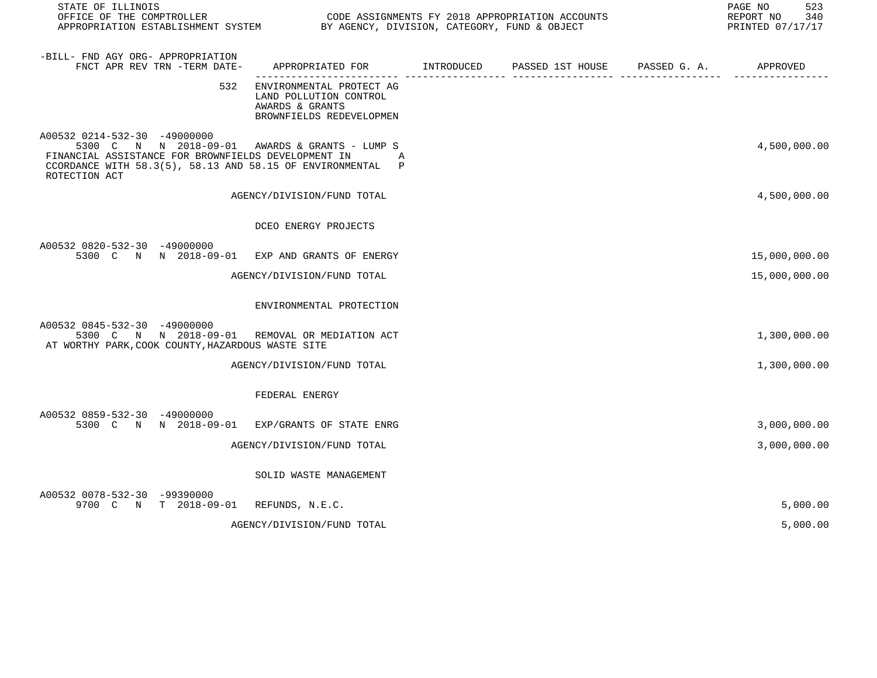| STATE OF ILLINOIS<br>OFFICE OF THE COMPTROLLER<br>APPROPRIATION ESTABLISHMENT SYSTEM BY AGENCY, DIVISION, CATEGORY, FUND & OBJECT                                                                                           |                                                                                                   | CODE ASSIGNMENTS FY 2018 APPROPRIATION ACCOUNTS | 523<br>PAGE NO<br>REPORT NO<br>340<br>PRINTED 07/17/17 |
|-----------------------------------------------------------------------------------------------------------------------------------------------------------------------------------------------------------------------------|---------------------------------------------------------------------------------------------------|-------------------------------------------------|--------------------------------------------------------|
| -BILL- FND AGY ORG- APPROPRIATION<br>FNCT APR REV TRN -TERM DATE-                                                                                                                                                           | APPROPRIATED FOR INTRODUCED                                                                       | PASSED 1ST HOUSE PASSED G. A. APPROVED          |                                                        |
| 532                                                                                                                                                                                                                         | ENVIRONMENTAL PROTECT AG<br>LAND POLLUTION CONTROL<br>AWARDS & GRANTS<br>BROWNFIELDS REDEVELOPMEN |                                                 |                                                        |
| A00532 0214-532-30 -49000000<br>5300 C N N 2018-09-01 AWARDS & GRANTS - LUMP S<br>FINANCIAL ASSISTANCE FOR BROWNFIELDS DEVELOPMENT IN<br>CCORDANCE WITH $58.3(5)$ , $58.13$ AND $58.15$ OF ENVIRONMENTAL P<br>ROTECTION ACT | A                                                                                                 |                                                 | 4,500,000.00                                           |
|                                                                                                                                                                                                                             | AGENCY/DIVISION/FUND TOTAL                                                                        |                                                 | 4,500,000.00                                           |
|                                                                                                                                                                                                                             | DCEO ENERGY PROJECTS                                                                              |                                                 |                                                        |
| A00532 0820-532-30 -49000000<br>5300 C N N 2018-09-01 EXP AND GRANTS OF ENERGY                                                                                                                                              |                                                                                                   |                                                 | 15,000,000.00                                          |
|                                                                                                                                                                                                                             | AGENCY/DIVISION/FUND TOTAL                                                                        |                                                 | 15,000,000.00                                          |
|                                                                                                                                                                                                                             | ENVIRONMENTAL PROTECTION                                                                          |                                                 |                                                        |
| A00532 0845-532-30 -49000000<br>5300 C N N 2018-09-01 REMOVAL OR MEDIATION ACT<br>AT WORTHY PARK, COOK COUNTY, HAZARDOUS WASTE SITE                                                                                         |                                                                                                   |                                                 | 1,300,000.00                                           |
|                                                                                                                                                                                                                             | AGENCY/DIVISION/FUND TOTAL                                                                        |                                                 | 1,300,000.00                                           |
|                                                                                                                                                                                                                             | FEDERAL ENERGY                                                                                    |                                                 |                                                        |
| A00532 0859-532-30 -49000000<br>5300 C N N 2018-09-01                                                                                                                                                                       | EXP/GRANTS OF STATE ENRG                                                                          |                                                 | 3,000,000.00                                           |
|                                                                                                                                                                                                                             | AGENCY/DIVISION/FUND TOTAL                                                                        |                                                 | 3,000,000.00                                           |
|                                                                                                                                                                                                                             | SOLID WASTE MANAGEMENT                                                                            |                                                 |                                                        |
| A00532 0078-532-30 -99390000<br>9700 C N T 2018-09-01 REFUNDS, N.E.C.                                                                                                                                                       |                                                                                                   |                                                 | 5,000.00                                               |
|                                                                                                                                                                                                                             | AGENCY/DIVISION/FUND TOTAL                                                                        |                                                 | 5,000.00                                               |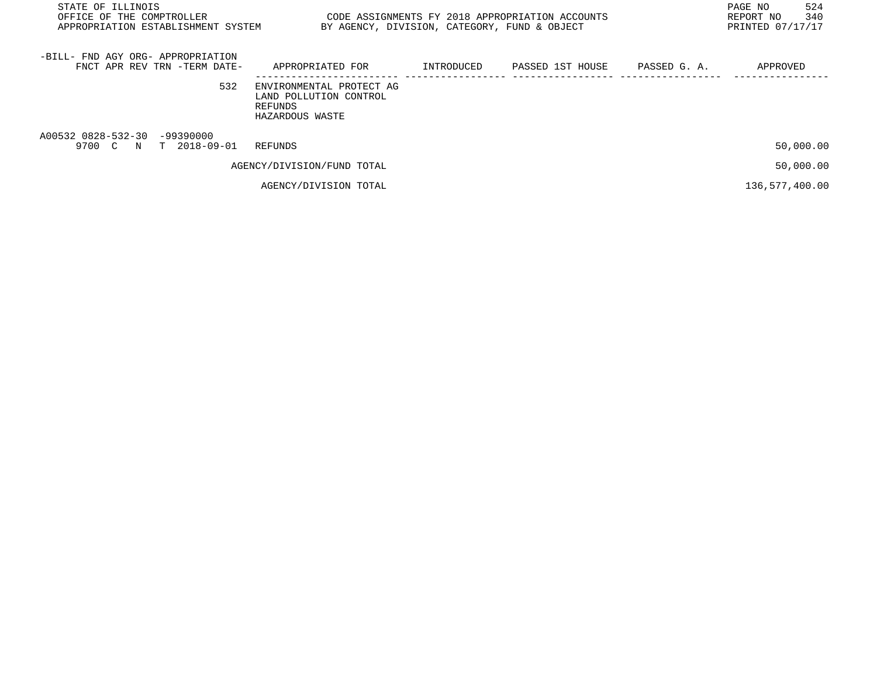| STATE OF ILLINOIS<br>OFFICE OF THE COMPTROLLER<br>APPROPRIATION ESTABLISHMENT SYSTEM | BY AGENCY, DIVISION, CATEGORY, FUND & OBJECT                                     |            | CODE ASSIGNMENTS FY 2018 APPROPRIATION ACCOUNTS |              | 524<br>PAGE NO<br>340<br>REPORT NO<br>PRINTED 07/17/17 |
|--------------------------------------------------------------------------------------|----------------------------------------------------------------------------------|------------|-------------------------------------------------|--------------|--------------------------------------------------------|
| -BILL- FND AGY ORG- APPROPRIATION<br>FNCT APR REV TRN -TERM DATE-                    | APPROPRIATED FOR                                                                 | INTRODUCED | PASSED 1ST HOUSE                                | PASSED G. A. | APPROVED                                               |
| 532                                                                                  | ENVIRONMENTAL PROTECT AG<br>LAND POLLUTION CONTROL<br>REFUNDS<br>HAZARDOUS WASTE |            |                                                 |              |                                                        |
| A00532 0828-532-30<br>$-99390000$<br>9700 C<br>T 2018-09-01<br>N                     | REFUNDS                                                                          |            |                                                 |              | 50,000.00                                              |
|                                                                                      | AGENCY/DIVISION/FUND TOTAL                                                       |            |                                                 |              | 50,000.00                                              |
|                                                                                      | AGENCY/DIVISION TOTAL                                                            |            |                                                 |              | 136,577,400.00                                         |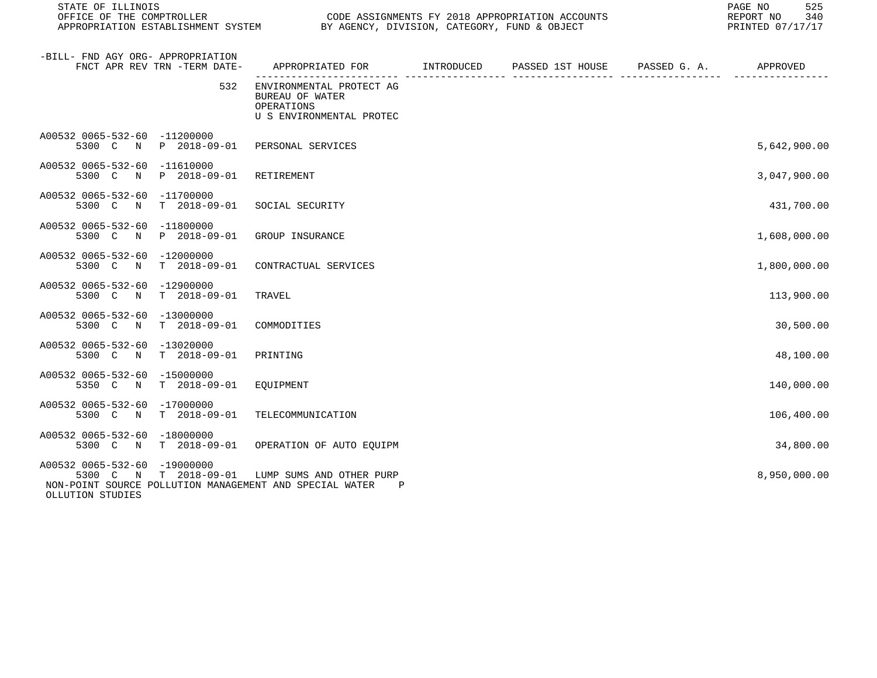| STATE OF ILLINOIS                                                                                                                                               |                                                                                           | REPORT NO<br>PRINTED 07/17/17 |  |  |              |  |
|-----------------------------------------------------------------------------------------------------------------------------------------------------------------|-------------------------------------------------------------------------------------------|-------------------------------|--|--|--------------|--|
| -BILL- FND AGY ORG- APPROPRIATION<br>FNCT APR REV TRN -TERM DATE-                                                                                               | APPROPRIATED FOR        INTRODUCED      PASSED 1ST HOUSE     PASSED G. A.        APPROVED |                               |  |  |              |  |
| 532                                                                                                                                                             | ENVIRONMENTAL PROTECT AG<br>BUREAU OF WATER<br>OPERATIONS<br>U S ENVIRONMENTAL PROTEC     |                               |  |  |              |  |
| A00532 0065-532-60 -11200000<br>5300 C N P 2018-09-01 PERSONAL SERVICES                                                                                         |                                                                                           |                               |  |  | 5,642,900.00 |  |
| A00532 0065-532-60 -11610000<br>5300 C N P 2018-09-01                                                                                                           | RETIREMENT                                                                                |                               |  |  | 3,047,900.00 |  |
| A00532 0065-532-60 -11700000<br>5300 C N T 2018-09-01 SOCIAL SECURITY                                                                                           |                                                                                           |                               |  |  | 431,700.00   |  |
| A00532 0065-532-60 -11800000<br>5300 C N P 2018-09-01                                                                                                           | GROUP INSURANCE                                                                           |                               |  |  | 1,608,000.00 |  |
| A00532 0065-532-60 -12000000<br>5300 C N T 2018-09-01 CONTRACTUAL SERVICES                                                                                      |                                                                                           |                               |  |  | 1,800,000.00 |  |
| A00532 0065-532-60 -12900000<br>5300 C N T 2018-09-01                                                                                                           | TRAVEL                                                                                    |                               |  |  | 113,900.00   |  |
| A00532 0065-532-60 -13000000<br>5300 C N T 2018-09-01 COMMODITIES                                                                                               |                                                                                           |                               |  |  | 30,500.00    |  |
| A00532 0065-532-60 -13020000<br>5300 C N T 2018-09-01                                                                                                           | PRINTING                                                                                  |                               |  |  | 48,100.00    |  |
| A00532 0065-532-60 -15000000<br>5350 C N T 2018-09-01                                                                                                           | EQUIPMENT                                                                                 |                               |  |  | 140,000.00   |  |
| A00532 0065-532-60 -17000000<br>5300 C N T 2018-09-01                                                                                                           | TELECOMMUNICATION                                                                         |                               |  |  | 106,400.00   |  |
| A00532 0065-532-60 -18000000<br>5300 C N T 2018-09-01 OPERATION OF AUTO EQUIPM                                                                                  |                                                                                           |                               |  |  | 34,800.00    |  |
| A00532 0065-532-60 -19000000<br>5300 C N T 2018-09-01 LUMP SUMS AND OTHER PURP<br>NON-POINT SOURCE POLLUTION MANAGEMENT AND SPECIAL WATER P<br>OLLUTION STUDIES |                                                                                           |                               |  |  | 8,950,000.00 |  |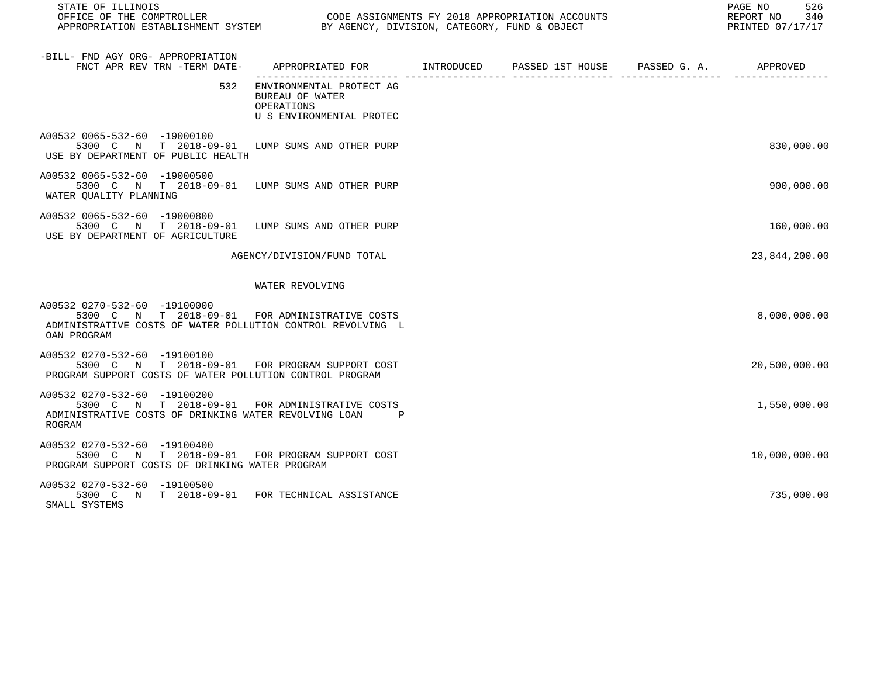| STATE OF ILLINOIS<br>OFFICE OF THE COMPTROLLER CODE ASSIGNMENTS FY 2018 APPROPRIATION ACCOUNTS<br>APPROPRIATION ESTABLISHMENT SYSTEM BY AGENCY, DIVISION, CATEGORY, FUND & OBJECT |                                                                                           |  | 526<br>PAGE NO<br>REPORT NO 340<br>PRINTED 07/17/17 |
|-----------------------------------------------------------------------------------------------------------------------------------------------------------------------------------|-------------------------------------------------------------------------------------------|--|-----------------------------------------------------|
| -BILL- FND AGY ORG- APPROPRIATION<br>FNCT APR REV TRN -TERM DATE-                                                                                                                 | APPROPRIATED FOR        INTRODUCED     PASSED 1ST HOUSE     PASSED G. A.         APPROVED |  |                                                     |
| 532                                                                                                                                                                               | ENVIRONMENTAL PROTECT AG<br>BUREAU OF WATER<br>OPERATIONS<br>U S ENVIRONMENTAL PROTEC     |  |                                                     |
| A00532 0065-532-60 -19000100<br>5300 C N T 2018-09-01 LUMP SUMS AND OTHER PURP<br>USE BY DEPARTMENT OF PUBLIC HEALTH                                                              |                                                                                           |  | 830,000.00                                          |
| A00532 0065-532-60 -19000500<br>5300 C N T 2018-09-01 LUMP SUMS AND OTHER PURP<br>WATER QUALITY PLANNING                                                                          |                                                                                           |  | 900,000.00                                          |
| A00532 0065-532-60 -19000800<br>5300 C N T 2018-09-01 LUMP SUMS AND OTHER PURP<br>USE BY DEPARTMENT OF AGRICULTURE                                                                |                                                                                           |  | 160,000.00                                          |
|                                                                                                                                                                                   | AGENCY/DIVISION/FUND TOTAL                                                                |  | 23,844,200.00                                       |
|                                                                                                                                                                                   | WATER REVOLVING                                                                           |  |                                                     |
| A00532 0270-532-60 -19100000<br>5300 C N T 2018-09-01 FOR ADMINISTRATIVE COSTS<br>ADMINISTRATIVE COSTS OF WATER POLLUTION CONTROL REVOLVING L<br>OAN PROGRAM                      |                                                                                           |  | 8,000,000.00                                        |
| A00532 0270-532-60 -19100100<br>5300 C N T 2018-09-01 FOR PROGRAM SUPPORT COST<br>PROGRAM SUPPORT COSTS OF WATER POLLUTION CONTROL PROGRAM                                        |                                                                                           |  | 20,500,000.00                                       |
| A00532 0270-532-60 -19100200<br>5300 C N T 2018-09-01 FOR ADMINISTRATIVE COSTS<br>ADMINISTRATIVE COSTS OF DRINKING WATER REVOLVING LOAN<br>ROGRAM                                 |                                                                                           |  | 1,550,000.00                                        |
| A00532 0270-532-60 -19100400<br>5300 C N T 2018-09-01 FOR PROGRAM SUPPORT COST<br>PROGRAM SUPPORT COSTS OF DRINKING WATER PROGRAM                                                 |                                                                                           |  | 10,000,000.00                                       |
| A00532 0270-532-60 -19100500<br>5300 C N T 2018-09-01 FOR TECHNICAL ASSISTANCE<br>SMALL SYSTEMS                                                                                   |                                                                                           |  | 735,000.00                                          |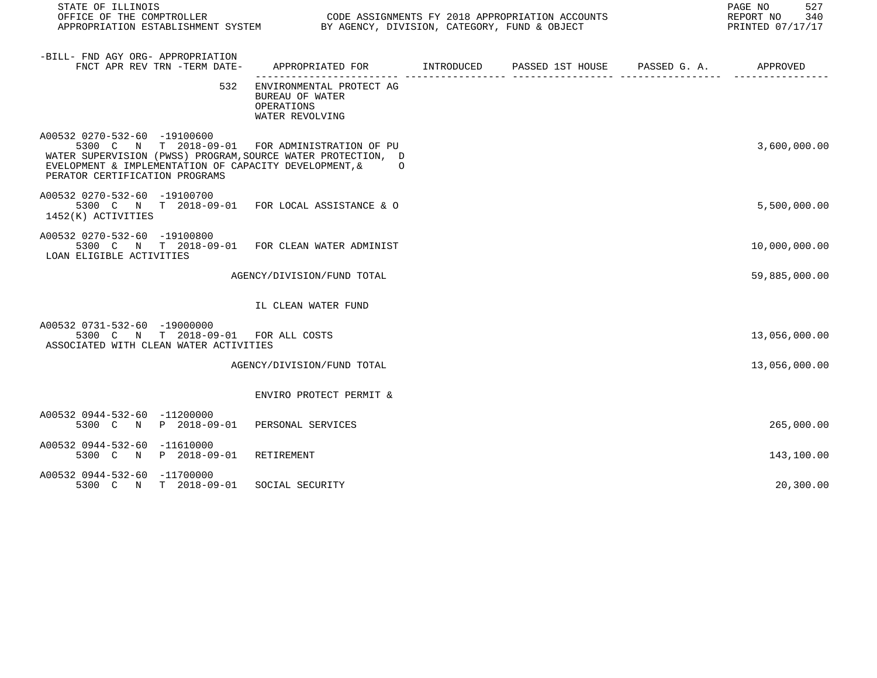| STATE OF ILLINOIS<br>OFFICE OF THE COMPTROLLER<br>OFFICE OF THE COMPTROLLER<br>APPROPRIATION ESTABLISHMENT SYSTEM BY AGENCY, DIVISION, CATEGORY, FUND & OBJECT                                                                               |                                                                                          | CODE ASSIGNMENTS FY 2018 APPROPRIATION ACCOUNTS                       | 527<br>PAGE NO<br>REPORT NO<br>340<br>PRINTED 07/17/17 |
|----------------------------------------------------------------------------------------------------------------------------------------------------------------------------------------------------------------------------------------------|------------------------------------------------------------------------------------------|-----------------------------------------------------------------------|--------------------------------------------------------|
| -BILL- FND AGY ORG- APPROPRIATION<br>FNCT APR REV TRN -TERM DATE-                                                                                                                                                                            | APPROPRIATED FOR        INTRODUCED     PASSED 1ST HOUSE     PASSED G. A.        APPROVED |                                                                       |                                                        |
|                                                                                                                                                                                                                                              | 532 ENVIRONMENTAL PROTECT AG<br>BUREAU OF WATER<br>OPERATIONS<br>WATER REVOLVING         | .coordeceptible.com/deceptible.com/interference/accessive-coordinate- |                                                        |
| A00532 0270-532-60 -19100600<br>5300 C N T 2018-09-01 FOR ADMINISTRATION OF PU<br>WATER SUPERVISION (PWSS) PROGRAM, SOURCE WATER PROTECTION, D<br>EVELOPMENT & IMPLEMENTATION OF CAPACITY DEVELOPMENT, & 0<br>PERATOR CERTIFICATION PROGRAMS |                                                                                          |                                                                       | 3,600,000.00                                           |
| A00532 0270-532-60 -19100700<br>5300 C N T 2018-09-01 FOR LOCAL ASSISTANCE & O<br>1452(K) ACTIVITIES                                                                                                                                         |                                                                                          |                                                                       | 5,500,000.00                                           |
| A00532 0270-532-60 -19100800<br>5300 C N T 2018-09-01 FOR CLEAN WATER ADMINIST<br>LOAN ELIGIBLE ACTIVITIES                                                                                                                                   |                                                                                          |                                                                       | 10,000,000.00                                          |
|                                                                                                                                                                                                                                              | AGENCY/DIVISION/FUND TOTAL                                                               |                                                                       | 59,885,000.00                                          |
|                                                                                                                                                                                                                                              | IL CLEAN WATER FUND                                                                      |                                                                       |                                                        |
| A00532 0731-532-60 -19000000<br>5300 C N T 2018-09-01 FOR ALL COSTS<br>ASSOCIATED WITH CLEAN WATER ACTIVITIES                                                                                                                                |                                                                                          |                                                                       | 13,056,000.00                                          |
|                                                                                                                                                                                                                                              | AGENCY/DIVISION/FUND TOTAL                                                               |                                                                       | 13,056,000.00                                          |
|                                                                                                                                                                                                                                              | ENVIRO PROTECT PERMIT &                                                                  |                                                                       |                                                        |
| A00532 0944-532-60 -11200000<br>5300 C N P 2018-09-01 PERSONAL SERVICES                                                                                                                                                                      |                                                                                          |                                                                       | 265,000.00                                             |
| A00532 0944-532-60 -11610000<br>5300 C N P 2018-09-01 RETIREMENT                                                                                                                                                                             |                                                                                          |                                                                       | 143,100.00                                             |
| A00532 0944-532-60 -11700000<br>5300 C N T 2018-09-01 SOCIAL SECURITY                                                                                                                                                                        |                                                                                          |                                                                       | 20,300.00                                              |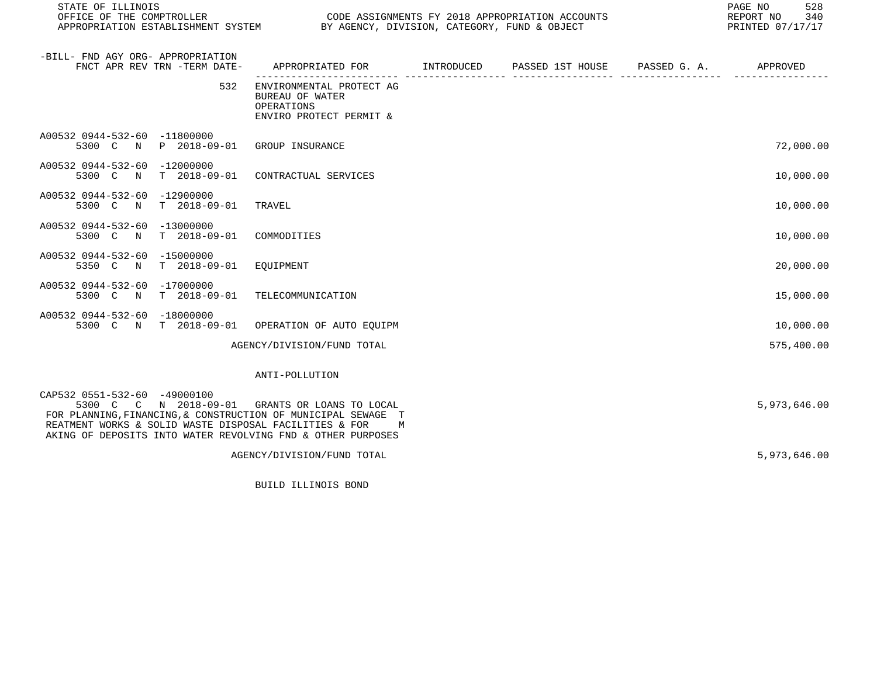| STATE OF ILLINOIS                                                                                                                                                                                                                                                        |                                                                                      |  |  |  |              |
|--------------------------------------------------------------------------------------------------------------------------------------------------------------------------------------------------------------------------------------------------------------------------|--------------------------------------------------------------------------------------|--|--|--|--------------|
| -BILL- FND AGY ORG- APPROPRIATION<br>FNCT APR REV TRN -TERM DATE-                                                                                                                                                                                                        | APPROPRIATED FOR TINTRODUCED PASSED 1ST HOUSE PASSED G.A.                            |  |  |  | APPROVED     |
| 532                                                                                                                                                                                                                                                                      | ENVIRONMENTAL PROTECT AG<br>BUREAU OF WATER<br>OPERATIONS<br>ENVIRO PROTECT PERMIT & |  |  |  |              |
| A00532 0944-532-60 -11800000<br>5300 C N P 2018-09-01 GROUP INSURANCE                                                                                                                                                                                                    |                                                                                      |  |  |  | 72,000.00    |
| A00532 0944-532-60 -12000000<br>T 2018-09-01<br>5300 C N                                                                                                                                                                                                                 | CONTRACTUAL SERVICES                                                                 |  |  |  | 10,000.00    |
| A00532 0944-532-60 -12900000<br>$T = 2018 - 09 - 01$<br>5300 C N                                                                                                                                                                                                         | TRAVEL                                                                               |  |  |  | 10,000.00    |
| A00532 0944-532-60<br>$-13000000$<br>T 2018-09-01<br>5300 C N                                                                                                                                                                                                            | COMMODITIES                                                                          |  |  |  | 10,000.00    |
| A00532 0944-532-60 -15000000<br>5350 C N<br>T 2018-09-01 EQUIPMENT                                                                                                                                                                                                       |                                                                                      |  |  |  | 20,000.00    |
| A00532 0944-532-60 -17000000<br>5300 C N T 2018-09-01 TELECOMMUNICATION                                                                                                                                                                                                  |                                                                                      |  |  |  | 15,000.00    |
| A00532 0944-532-60 -18000000<br>5300 C N T 2018-09-01 OPERATION OF AUTO EQUIPM                                                                                                                                                                                           |                                                                                      |  |  |  | 10,000.00    |
|                                                                                                                                                                                                                                                                          | AGENCY/DIVISION/FUND TOTAL                                                           |  |  |  | 575,400.00   |
|                                                                                                                                                                                                                                                                          | ANTI-POLLUTION                                                                       |  |  |  |              |
| CAP532 0551-532-60 -49000100<br>5300 C C N 2018-09-01 GRANTS OR LOANS TO LOCAL<br>FOR PLANNING, FINANCING, & CONSTRUCTION OF MUNICIPAL SEWAGE T<br>REATMENT WORKS & SOLID WASTE DISPOSAL FACILITIES & FOR<br>AKING OF DEPOSITS INTO WATER REVOLVING FND & OTHER PURPOSES | M                                                                                    |  |  |  | 5,973,646.00 |
|                                                                                                                                                                                                                                                                          | AGENCY/DIVISION/FUND TOTAL                                                           |  |  |  | 5,973,646.00 |

BUILD ILLINOIS BOND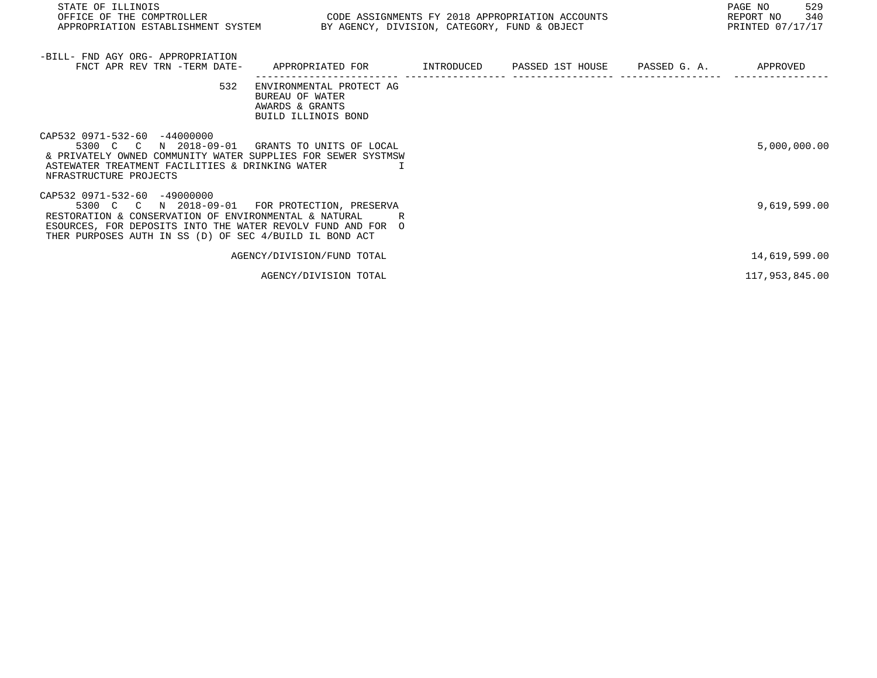| STATE OF ILLINOIS<br>OFFICE OF THE COMPTROLLER<br>APPROPRIATION ESTABLISHMENT SYSTEM BY AGENCY, DIVISION, CATEGORY, FUND & OBJECT                                                                                                                                 | CODE ASSIGNMENTS FY 2018 APPROPRIATION ACCOUNTS                                       |  | 529<br>PAGE NO<br>340<br>REPORT NO<br>PRINTED 07/17/17 |
|-------------------------------------------------------------------------------------------------------------------------------------------------------------------------------------------------------------------------------------------------------------------|---------------------------------------------------------------------------------------|--|--------------------------------------------------------|
| -BILL- FND AGY ORG- APPROPRIATION<br>FNCT APR REV TRN -TERM DATE- APPROPRIATED FOR METRODUCED PASSED 1ST HOUSE PASSED G. A. APPROVED                                                                                                                              |                                                                                       |  |                                                        |
| 532                                                                                                                                                                                                                                                               | ENVIRONMENTAL PROTECT AG<br>BUREAU OF WATER<br>AWARDS & GRANTS<br>BUILD ILLINOIS BOND |  |                                                        |
| CAP532 0971-532-60 -44000000<br>5300 C C N 2018-09-01<br>& PRIVATELY OWNED COMMUNITY WATER SUPPLIES FOR SEWER SYSTMSW<br>ASTEWATER TREATMENT FACILITIES & DRINKING WATER<br>NFRASTRUCTURE PROJECTS                                                                | GRANTS TO UNITS OF LOCAL                                                              |  | 5,000,000.00                                           |
| CAP532 0971-532-60 -49000000<br>5300 C C N 2018-09-01 FOR PROTECTION, PRESERVA<br>RESTORATION & CONSERVATION OF ENVIRONMENTAL & NATURAL<br>ESOURCES, FOR DEPOSITS INTO THE WATER REVOLV FUND AND FOR O<br>THER PURPOSES AUTH IN SS (D) OF SEC 4/BUILD IL BOND ACT |                                                                                       |  | 9,619,599.00                                           |
|                                                                                                                                                                                                                                                                   | AGENCY/DIVISION/FUND TOTAL                                                            |  | 14,619,599.00                                          |
|                                                                                                                                                                                                                                                                   | AGENCY/DIVISION TOTAL                                                                 |  | 117,953,845.00                                         |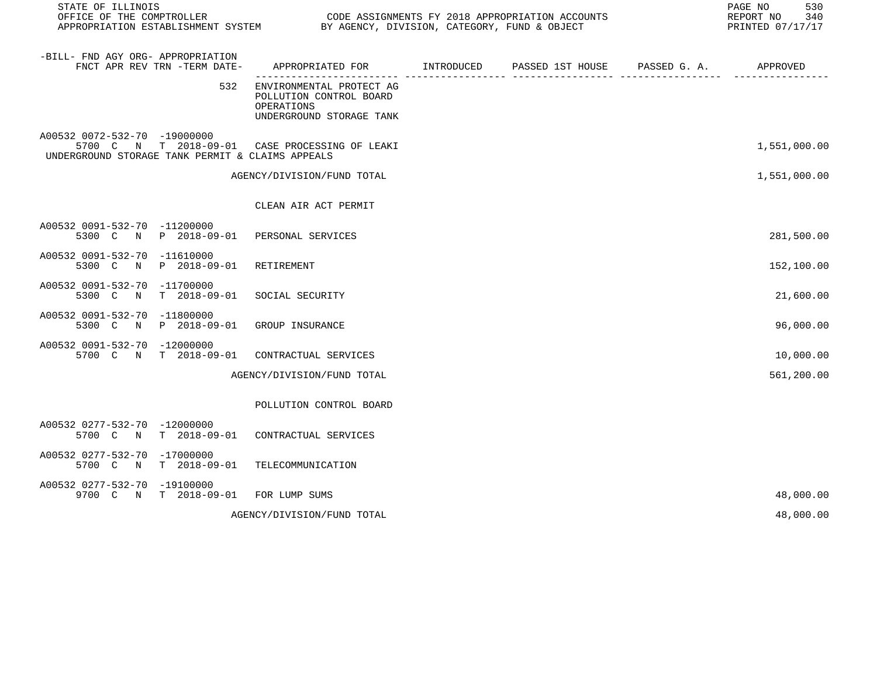| STATE OF ILLINOIS<br>OFFICE OF THE COMPTROLLER<br>APPROPRIATION ESTABLISHMENT SYSTEM BY AGENCY, DIVISION, CATEGORY, FUND & OBJECT  |                                                                                               |            | CODE ASSIGNMENTS FY 2018 APPROPRIATION ACCOUNTS |               | 530<br>PAGE NO<br>REPORT NO<br>340<br>PRINTED 07/17/17 |
|------------------------------------------------------------------------------------------------------------------------------------|-----------------------------------------------------------------------------------------------|------------|-------------------------------------------------|---------------|--------------------------------------------------------|
| -BILL- FND AGY ORG- APPROPRIATION<br>FNCT APR REV TRN -TERM DATE-                                                                  | APPROPRIATED FOR                                                                              | INTRODUCED | PASSED 1ST HOUSE PASSED G. A.                   | ---- -------- | APPROVED                                               |
| 532                                                                                                                                | ENVIRONMENTAL PROTECT AG<br>POLLUTION CONTROL BOARD<br>OPERATIONS<br>UNDERGROUND STORAGE TANK |            |                                                 |               |                                                        |
| A00532 0072-532-70 -19000000<br>5700 C N T 2018-09-01 CASE PROCESSING OF LEAKI<br>UNDERGROUND STORAGE TANK PERMIT & CLAIMS APPEALS |                                                                                               |            |                                                 |               | 1,551,000.00                                           |
|                                                                                                                                    | AGENCY/DIVISION/FUND TOTAL                                                                    |            |                                                 |               | 1,551,000.00                                           |
|                                                                                                                                    | CLEAN AIR ACT PERMIT                                                                          |            |                                                 |               |                                                        |
| A00532 0091-532-70 -11200000<br>5300 C N P 2018-09-01                                                                              | PERSONAL SERVICES                                                                             |            |                                                 |               | 281,500.00                                             |
| A00532 0091-532-70 -11610000<br>P 2018-09-01<br>5300 C N                                                                           | RETIREMENT                                                                                    |            |                                                 |               | 152,100.00                                             |
| A00532 0091-532-70 -11700000<br>5300 C N<br>$T = 2018 - 09 - 01$                                                                   | SOCIAL SECURITY                                                                               |            |                                                 |               | 21,600.00                                              |
| A00532 0091-532-70 -11800000<br>5300 C N P 2018-09-01                                                                              | GROUP INSURANCE                                                                               |            |                                                 |               | 96,000.00                                              |
| A00532 0091-532-70 -12000000<br>5700 C N T 2018-09-01 CONTRACTUAL SERVICES                                                         |                                                                                               |            |                                                 |               | 10,000.00                                              |
|                                                                                                                                    | AGENCY/DIVISION/FUND TOTAL                                                                    |            |                                                 |               | 561,200.00                                             |
|                                                                                                                                    | POLLUTION CONTROL BOARD                                                                       |            |                                                 |               |                                                        |
| A00532 0277-532-70 -12000000<br>5700 C N<br>T 2018-09-01                                                                           | CONTRACTUAL SERVICES                                                                          |            |                                                 |               |                                                        |
| A00532 0277-532-70 -17000000<br>$T = 2018 - 09 - 01$<br>5700 C N                                                                   | TELECOMMUNICATION                                                                             |            |                                                 |               |                                                        |
| A00532 0277-532-70 -19100000<br>9700 C N T 2018-09-01                                                                              | FOR LUMP SUMS                                                                                 |            |                                                 |               | 48,000.00                                              |
|                                                                                                                                    | AGENCY/DIVISION/FUND TOTAL                                                                    |            |                                                 |               | 48,000.00                                              |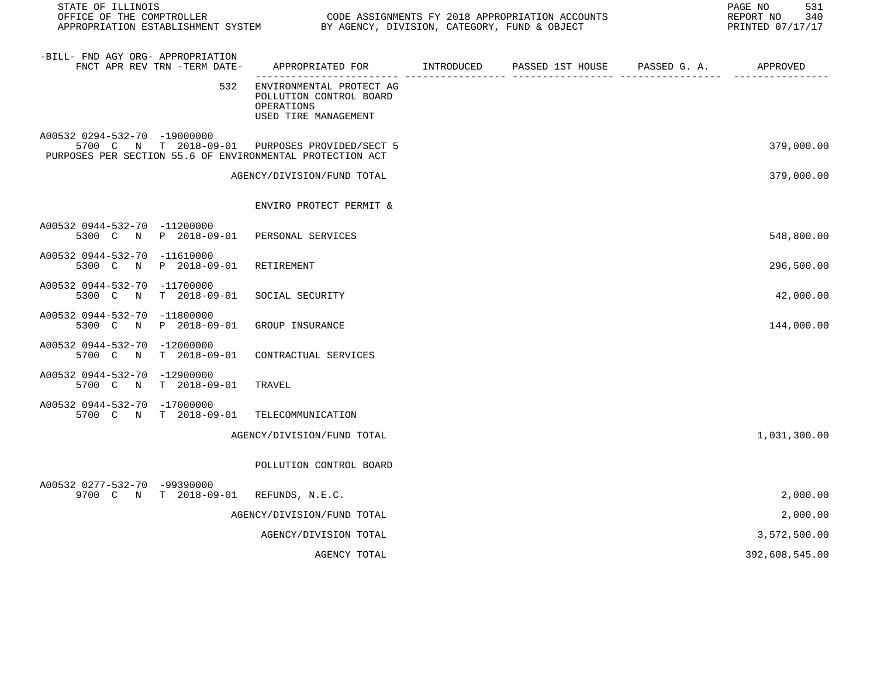| STATE OF ILLINOIS<br>OFFICE OF THE COMPTROLLER<br>APPROPRIATION ESTABLISHMENT SYSTEM |                              | BY AGENCY, DIVISION, CATEGORY, FUND & OBJECT                                                                | CODE ASSIGNMENTS FY 2018 APPROPRIATION ACCOUNTS | 531<br>PAGE NO<br>340<br>REPORT NO<br>PRINTED 07/17/17 |
|--------------------------------------------------------------------------------------|------------------------------|-------------------------------------------------------------------------------------------------------------|-------------------------------------------------|--------------------------------------------------------|
| -BILL- FND AGY ORG- APPROPRIATION                                                    | FNCT APR REV TRN -TERM DATE- | APPROPRIATED FOR TINTRODUCED PASSED 1ST HOUSE PASSED G.A.                                                   |                                                 | APPROVED                                               |
|                                                                                      | 532                          | ENVIRONMENTAL PROTECT AG<br>POLLUTION CONTROL BOARD<br>OPERATIONS<br>USED TIRE MANAGEMENT                   |                                                 |                                                        |
| A00532 0294-532-70 -19000000                                                         |                              | 5700 C N T 2018-09-01 PURPOSES PROVIDED/SECT 5<br>PURPOSES PER SECTION 55.6 OF ENVIRONMENTAL PROTECTION ACT |                                                 | 379,000.00                                             |
|                                                                                      |                              | AGENCY/DIVISION/FUND TOTAL                                                                                  |                                                 | 379,000.00                                             |
|                                                                                      |                              | ENVIRO PROTECT PERMIT &                                                                                     |                                                 |                                                        |
| A00532 0944-532-70 -11200000                                                         | 5300 C N P 2018-09-01        | PERSONAL SERVICES                                                                                           |                                                 | 548,800.00                                             |
| A00532 0944-532-70 -11610000                                                         | 5300 C N P 2018-09-01        | RETIREMENT                                                                                                  |                                                 | 296,500.00                                             |
| A00532 0944-532-70 -11700000                                                         | 5300 C N T 2018-09-01        | SOCIAL SECURITY                                                                                             |                                                 | 42,000.00                                              |
| A00532 0944-532-70 -11800000                                                         | 5300 C N P 2018-09-01        | GROUP INSURANCE                                                                                             |                                                 | 144,000.00                                             |
| A00532 0944-532-70 -12000000                                                         | 5700 C N T 2018-09-01        | CONTRACTUAL SERVICES                                                                                        |                                                 |                                                        |
| A00532 0944-532-70 -12900000                                                         | 5700 C N T 2018-09-01        | TRAVEL                                                                                                      |                                                 |                                                        |
| A00532 0944-532-70 -17000000                                                         | 5700 C N T 2018-09-01        | TELECOMMUNICATION                                                                                           |                                                 |                                                        |
|                                                                                      |                              | AGENCY/DIVISION/FUND TOTAL                                                                                  |                                                 | 1,031,300.00                                           |
|                                                                                      |                              | POLLUTION CONTROL BOARD                                                                                     |                                                 |                                                        |
| A00532 0277-532-70 -99390000                                                         |                              | 9700 C N T 2018-09-01 REFUNDS, N.E.C.                                                                       |                                                 | 2,000.00                                               |
|                                                                                      |                              | AGENCY/DIVISION/FUND TOTAL                                                                                  |                                                 | 2,000.00                                               |
|                                                                                      |                              | AGENCY/DIVISION TOTAL                                                                                       |                                                 | 3,572,500.00                                           |
|                                                                                      |                              | AGENCY TOTAL                                                                                                |                                                 | 392,608,545.00                                         |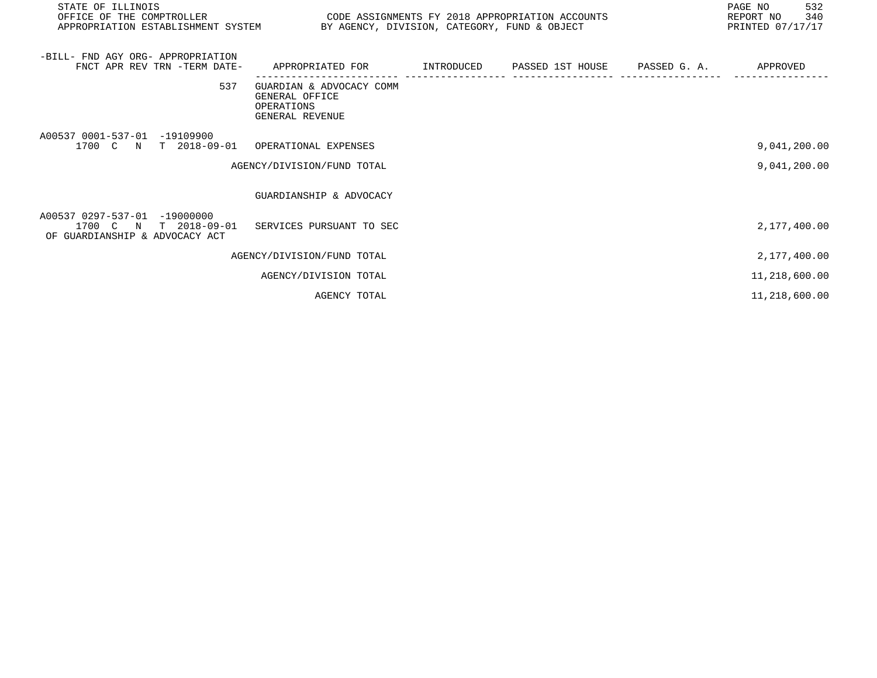| STATE OF ILLINOIS<br>OFFICE OF THE COMPTROLLER<br>APPROPRIATION ESTABLISHMENT SYSTEM BY AGENCY, DIVISION, CATEGORY, FUND & OBJECT | CODE ASSIGNMENTS FY 2018 APPROPRIATION ACCOUNTS                                        |  | 532<br>PAGE NO<br>340<br>REPORT NO<br>PRINTED 07/17/17 |
|-----------------------------------------------------------------------------------------------------------------------------------|----------------------------------------------------------------------------------------|--|--------------------------------------------------------|
| -BILL- FND AGY ORG- APPROPRIATION<br>FNCT APR REV TRN -TERM DATE-                                                                 | APPROPRIATED FOR       INTRODUCED     PASSED 1ST HOUSE     PASSED G. A.       APPROVED |  |                                                        |
| 537                                                                                                                               | GUARDIAN & ADVOCACY COMM<br>GENERAL OFFICE<br>OPERATIONS<br>GENERAL REVENUE            |  |                                                        |
| A00537 0001-537-01 -19109900<br>1700 C N T 2018-09-01 OPERATIONAL EXPENSES                                                        |                                                                                        |  | 9,041,200.00                                           |
|                                                                                                                                   | AGENCY/DIVISION/FUND TOTAL                                                             |  | 9,041,200.00                                           |
|                                                                                                                                   | GUARDIANSHIP & ADVOCACY                                                                |  |                                                        |
| A00537 0297-537-01 -19000000<br>1700 C N T 2018-09-01 SERVICES PURSUANT TO SEC<br>OF GUARDIANSHIP & ADVOCACY ACT                  |                                                                                        |  | 2,177,400.00                                           |
|                                                                                                                                   | AGENCY/DIVISION/FUND TOTAL                                                             |  | 2,177,400.00                                           |
|                                                                                                                                   | AGENCY/DIVISION TOTAL                                                                  |  | 11,218,600.00                                          |
|                                                                                                                                   | AGENCY TOTAL                                                                           |  | 11,218,600.00                                          |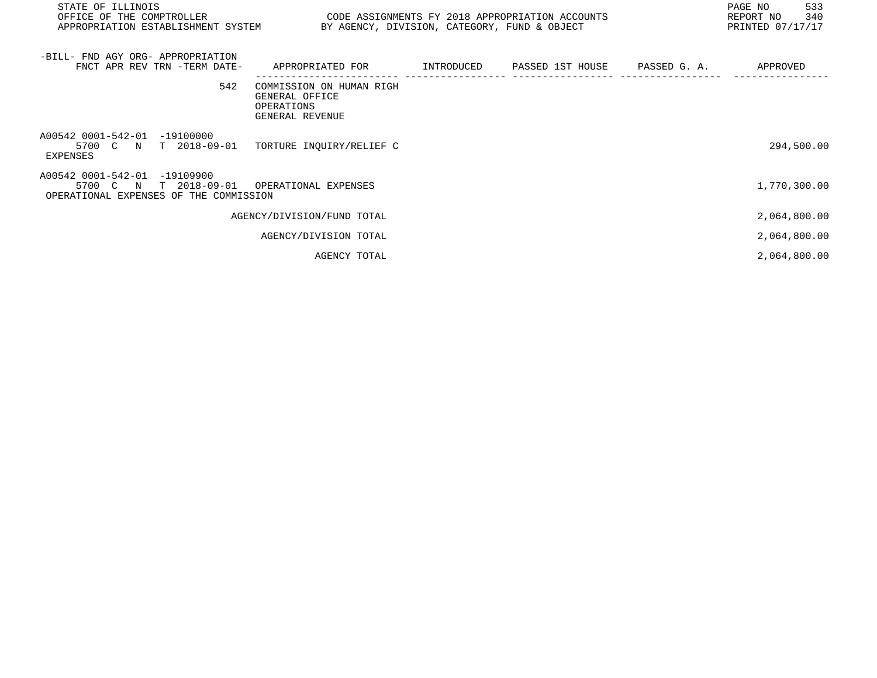| STATE OF ILLINOIS<br>OFFICE OF THE COMPTROLLER<br>APPROPRIATION ESTABLISHMENT SYSTEM                                                      | CODE ASSIGNMENTS FY 2018 APPROPRIATION ACCOUNTS                             | BY AGENCY, DIVISION, CATEGORY, FUND & OBJECT | 533<br>PAGE NO<br>REPORT NO 340<br>PRINTED 07/17/17 |
|-------------------------------------------------------------------------------------------------------------------------------------------|-----------------------------------------------------------------------------|----------------------------------------------|-----------------------------------------------------|
| -BILL- FND AGY ORG- APPROPRIATION<br>FNCT APR REV TRN -TERM DATE- APPROPRIATED FOR TINTRODUCED PASSED 1ST HOUSE PASSED G. A. THE APPROVED |                                                                             |                                              |                                                     |
| 542                                                                                                                                       | COMMISSION ON HUMAN RIGH<br>GENERAL OFFICE<br>OPERATIONS<br>GENERAL REVENUE |                                              |                                                     |
| A00542 0001-542-01 -19100000<br>5700 C N T 2018-09-01<br>EXPENSES                                                                         | TORTURE INQUIRY/RELIEF C                                                    |                                              | 294,500.00                                          |
| A00542 0001-542-01 -19109900<br>5700 C N T 2018-09-01<br>OPERATIONAL EXPENSES OF THE COMMISSION                                           | OPERATIONAL EXPENSES                                                        |                                              | 1,770,300.00                                        |
|                                                                                                                                           | AGENCY/DIVISION/FUND TOTAL                                                  |                                              | 2,064,800.00                                        |
|                                                                                                                                           | AGENCY/DIVISION TOTAL                                                       |                                              | 2,064,800.00                                        |
|                                                                                                                                           | AGENCY TOTAL                                                                |                                              | 2,064,800.00                                        |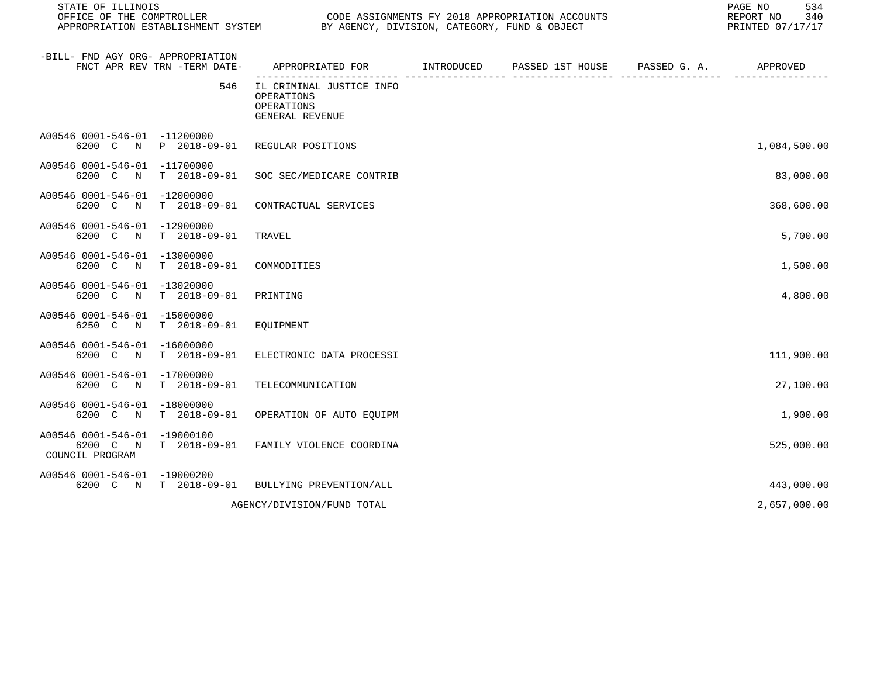| STATE OF ILLINOIS<br>OFFICE OF THE COMPTROLLER              |                              | APPROPRIATION ESTABLISHMENT SYSTEM BY AGENCY, DIVISION, CATEGORY, FUND & OBJECT            | CODE ASSIGNMENTS FY 2018 APPROPRIATION ACCOUNTS |                       | 534<br>PAGE NO<br>REPORT NO<br>340<br>PRINTED 07/17/17 |
|-------------------------------------------------------------|------------------------------|--------------------------------------------------------------------------------------------|-------------------------------------------------|-----------------------|--------------------------------------------------------|
| -BILL- FND AGY ORG- APPROPRIATION                           | FNCT APR REV TRN -TERM DATE- | APPROPRIATED FOR INTRODUCED PASSED 1ST HOUSE<br>----------------- ------------------ -- -- |                                                 | PASSED G. A. APPROVED |                                                        |
|                                                             | 546                          | IL CRIMINAL JUSTICE INFO<br>OPERATIONS<br>OPERATIONS<br>GENERAL REVENUE                    |                                                 |                       |                                                        |
| A00546 0001-546-01 -11200000                                | 6200 C N P 2018-09-01        | REGULAR POSITIONS                                                                          |                                                 |                       | 1,084,500.00                                           |
| A00546 0001-546-01 -11700000<br>6200 C N                    | T 2018-09-01                 | SOC SEC/MEDICARE CONTRIB                                                                   |                                                 |                       | 83,000.00                                              |
| A00546 0001-546-01 -12000000<br>6200 C N                    | T 2018-09-01                 | CONTRACTUAL SERVICES                                                                       |                                                 |                       | 368,600.00                                             |
| A00546 0001-546-01 -12900000<br>6200 C N                    | T 2018-09-01                 | TRAVEL                                                                                     |                                                 |                       | 5,700.00                                               |
| A00546 0001-546-01 -13000000<br>6200 C<br>$\mathbb N$       | T 2018-09-01                 | COMMODITIES                                                                                |                                                 |                       | 1,500.00                                               |
| A00546 0001-546-01<br>6200 C<br>$\mathbb N$                 | $-13020000$<br>T 2018-09-01  | PRINTING                                                                                   |                                                 |                       | 4,800.00                                               |
| A00546 0001-546-01 -15000000                                | 6250 C N T 2018-09-01        | EQUIPMENT                                                                                  |                                                 |                       |                                                        |
| A00546 0001-546-01 -16000000                                | 6200 C N T 2018-09-01        | ELECTRONIC DATA PROCESSI                                                                   |                                                 |                       | 111,900.00                                             |
| A00546 0001-546-01 -17000000<br>6200 C N                    | T 2018-09-01                 | TELECOMMUNICATION                                                                          |                                                 |                       | 27,100.00                                              |
| A00546 0001-546-01 -18000000<br>6200 C N                    | T 2018-09-01                 | OPERATION OF AUTO EQUIPM                                                                   |                                                 |                       | 1,900.00                                               |
| A00546 0001-546-01 -19000100<br>6200 C N<br>COUNCIL PROGRAM | T 2018-09-01                 | FAMILY VIOLENCE COORDINA                                                                   |                                                 |                       | 525,000.00                                             |
| A00546 0001-546-01 -19000200                                | 6200 C N T 2018-09-01        | BULLYING PREVENTION/ALL                                                                    |                                                 |                       | 443,000.00                                             |
|                                                             |                              | AGENCY/DIVISION/FUND TOTAL                                                                 |                                                 |                       | 2,657,000.00                                           |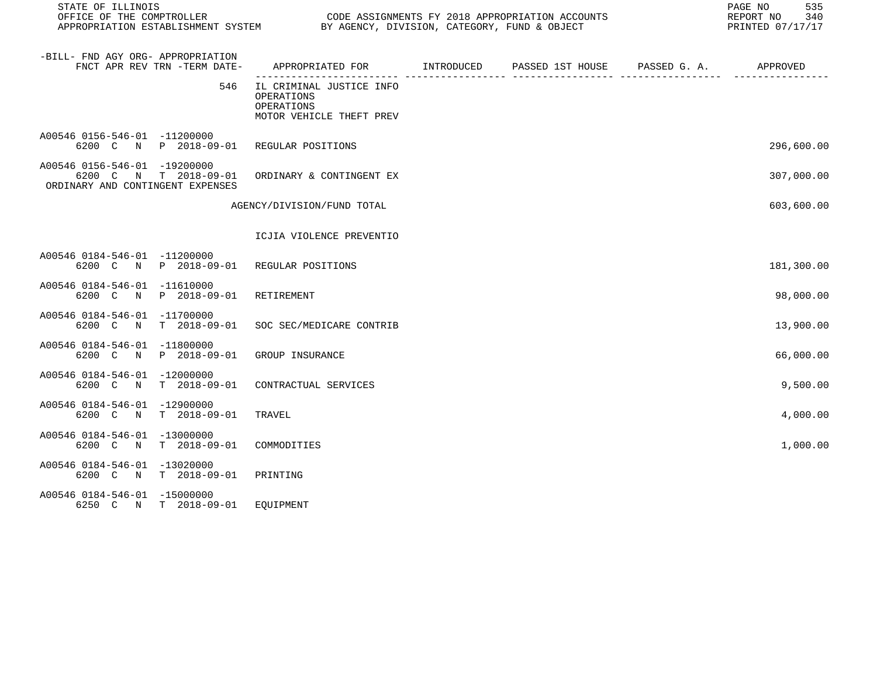| STATE OF ILLINOIS<br>OFFICE OF THE COMPTROLLER<br>CODE ASSIGNMENTS FY 2018 APPROPRIATION ACCOUNTS |                                                                                  |  |                               | 535<br>PAGE NO<br>340<br>REPORT NO<br>PRINTED 07/17/17 |            |
|---------------------------------------------------------------------------------------------------|----------------------------------------------------------------------------------|--|-------------------------------|--------------------------------------------------------|------------|
| -BILL- FND AGY ORG- APPROPRIATION<br>FNCT APR REV TRN -TERM DATE-                                 | APPROPRIATED FOR INTRODUCED                                                      |  | PASSED 1ST HOUSE PASSED G. A. |                                                        | APPROVED   |
| 546                                                                                               | IL CRIMINAL JUSTICE INFO<br>OPERATIONS<br>OPERATIONS<br>MOTOR VEHICLE THEFT PREV |  |                               |                                                        |            |
| A00546 0156-546-01 -11200000<br>6200 C<br>P 2018-09-01<br>$\mathbf N$                             | REGULAR POSITIONS                                                                |  |                               |                                                        | 296,600.00 |
| A00546 0156-546-01 -19200000<br>6200 C<br>N T 2018-09-01<br>ORDINARY AND CONTINGENT EXPENSES      | ORDINARY & CONTINGENT EX                                                         |  |                               |                                                        | 307,000.00 |
|                                                                                                   | AGENCY/DIVISION/FUND TOTAL                                                       |  |                               |                                                        | 603,600.00 |
|                                                                                                   | ICJIA VIOLENCE PREVENTIO                                                         |  |                               |                                                        |            |
| A00546 0184-546-01 -11200000<br>N P 2018-09-01 REGULAR POSITIONS<br>6200 C                        |                                                                                  |  |                               |                                                        | 181,300.00 |
| A00546 0184-546-01 -11610000<br>P 2018-09-01<br>6200 C<br>$\mathbb N$                             | RETIREMENT                                                                       |  |                               |                                                        | 98,000.00  |
| A00546 0184-546-01 -11700000<br>6200 C N<br>T 2018-09-01                                          | SOC SEC/MEDICARE CONTRIB                                                         |  |                               |                                                        | 13,900.00  |
| A00546 0184-546-01 -11800000<br>P 2018-09-01<br>6200 C N                                          | GROUP INSURANCE                                                                  |  |                               |                                                        | 66,000.00  |
| A00546 0184-546-01 -12000000<br>$T = 2018 - 09 - 01$<br>6200 C N                                  | CONTRACTUAL SERVICES                                                             |  |                               |                                                        | 9,500.00   |
| A00546 0184-546-01 -12900000<br>6200 C<br>T 2018-09-01<br>N                                       | TRAVEL                                                                           |  |                               |                                                        | 4,000.00   |
| A00546 0184-546-01 -13000000<br>6200 C<br>N<br>$T = 2018 - 09 - 01$                               | COMMODITIES                                                                      |  |                               |                                                        | 1,000.00   |
| A00546 0184-546-01 -13020000<br>6200 C N T 2018-09-01                                             | PRINTING                                                                         |  |                               |                                                        |            |
| A00546 0184-546-01 -15000000<br>6250 C N T 2018-09-01                                             | EOUIPMENT                                                                        |  |                               |                                                        |            |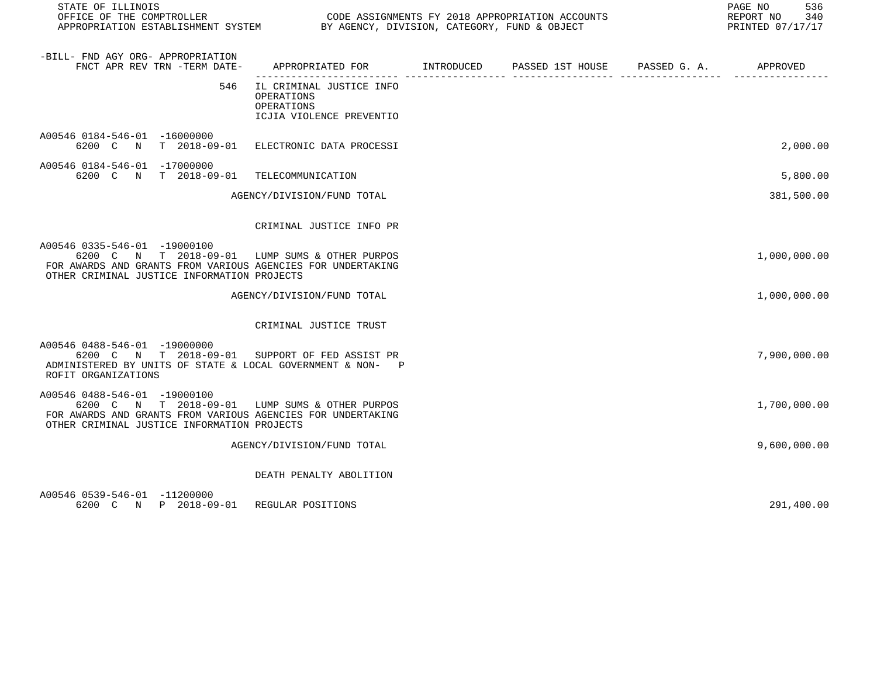| STATE OF ILLINOIS                                                                                                                                                                            | OFFICE OF THE COMPTROLLER<br>CODE ASSIGNMENTS FY 2018 APPROPRIATION ACCOUNTS<br>APPROPRIATION ESTABLISHMENT SYSTEM BY AGENCY, DIVISION, CATEGORY, FUND & OBJECT |  |  |  | 536<br>PAGE NO<br>REPORT NO<br>340<br>PRINTED 07/17/17 |  |
|----------------------------------------------------------------------------------------------------------------------------------------------------------------------------------------------|-----------------------------------------------------------------------------------------------------------------------------------------------------------------|--|--|--|--------------------------------------------------------|--|
| -BILL- FND AGY ORG- APPROPRIATION<br>FNCT APR REV TRN -TERM DATE-                                                                                                                            | APPROPRIATED FOR        INTRODUCED     PASSED 1ST HOUSE    PASSED G. A.        APPROVED                                                                         |  |  |  |                                                        |  |
| 546                                                                                                                                                                                          | IL CRIMINAL JUSTICE INFO<br>OPERATIONS<br>OPERATIONS<br>ICJIA VIOLENCE PREVENTIO                                                                                |  |  |  |                                                        |  |
| A00546 0184-546-01 -16000000<br>6200 C N T 2018-09-01 ELECTRONIC DATA PROCESSI                                                                                                               |                                                                                                                                                                 |  |  |  | 2,000.00                                               |  |
| A00546 0184-546-01 -17000000<br>6200 C N T 2018-09-01                                                                                                                                        | TELECOMMUNICATION                                                                                                                                               |  |  |  | 5,800.00                                               |  |
|                                                                                                                                                                                              | AGENCY/DIVISION/FUND TOTAL                                                                                                                                      |  |  |  | 381,500.00                                             |  |
|                                                                                                                                                                                              | CRIMINAL JUSTICE INFO PR                                                                                                                                        |  |  |  |                                                        |  |
| A00546 0335-546-01 -19000100<br>6200 C N T 2018-09-01 LUMP SUMS & OTHER PURPOS<br>FOR AWARDS AND GRANTS FROM VARIOUS AGENCIES FOR UNDERTAKING<br>OTHER CRIMINAL JUSTICE INFORMATION PROJECTS |                                                                                                                                                                 |  |  |  | 1,000,000.00                                           |  |
|                                                                                                                                                                                              | AGENCY/DIVISION/FUND TOTAL                                                                                                                                      |  |  |  | 1,000,000.00                                           |  |
|                                                                                                                                                                                              | CRIMINAL JUSTICE TRUST                                                                                                                                          |  |  |  |                                                        |  |
| A00546 0488-546-01 -19000000<br>6200 C N T 2018-09-01 SUPPORT OF FED ASSIST PR<br>ADMINISTERED BY UNITS OF STATE & LOCAL GOVERNMENT & NON- P<br>ROFIT ORGANIZATIONS                          |                                                                                                                                                                 |  |  |  | 7,900,000.00                                           |  |
| A00546 0488-546-01 -19000100<br>6200 C N T 2018-09-01 LUMP SUMS & OTHER PURPOS<br>FOR AWARDS AND GRANTS FROM VARIOUS AGENCIES FOR UNDERTAKING<br>OTHER CRIMINAL JUSTICE INFORMATION PROJECTS |                                                                                                                                                                 |  |  |  | 1,700,000.00                                           |  |
|                                                                                                                                                                                              | AGENCY/DIVISION/FUND TOTAL                                                                                                                                      |  |  |  | 9,600,000.00                                           |  |
|                                                                                                                                                                                              | DEATH PENALTY ABOLITION                                                                                                                                         |  |  |  |                                                        |  |
| A00546 0539-546-01 -11200000<br>6200 C N P 2018-09-01 REGULAR POSITIONS                                                                                                                      |                                                                                                                                                                 |  |  |  | 291,400.00                                             |  |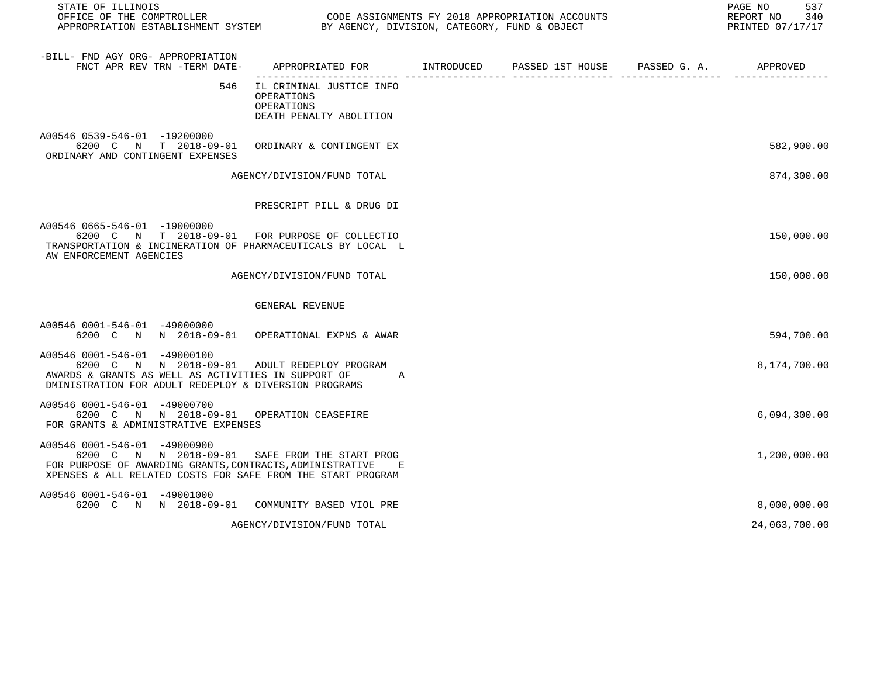| STATE OF ILLINOIS                                                                                                                                                                                          |                                                                                     |  | 537<br>PAGE NO                    |
|------------------------------------------------------------------------------------------------------------------------------------------------------------------------------------------------------------|-------------------------------------------------------------------------------------|--|-----------------------------------|
| OFFICE OF THE COMPTROLLER<br>OFFICE OF THE COMPTROLLER<br>APPROPRIATION ESTABLISHMENT SYSTEM BY AGENCY, DIVISION, CATEGORY, FUND & OBJECT                                                                  |                                                                                     |  | REPORT NO 340<br>PRINTED 07/17/17 |
|                                                                                                                                                                                                            |                                                                                     |  |                                   |
| -BILL- FND AGY ORG- APPROPRIATION<br>FNCT APR REV TRN -TERM DATE- APPROPRIATED FOR TINTRODUCED PASSED 1ST HOUSE PASSED G. A. APPROVED                                                                      |                                                                                     |  |                                   |
|                                                                                                                                                                                                            | 546 IL CRIMINAL JUSTICE INFO<br>OPERATIONS<br>OPERATIONS<br>DEATH PENALTY ABOLITION |  |                                   |
| A00546 0539-546-01 -19200000<br>6200 C N T 2018-09-01 ORDINARY & CONTINGENT EX<br>ORDINARY AND CONTINGENT EXPENSES                                                                                         |                                                                                     |  | 582,900.00                        |
|                                                                                                                                                                                                            | AGENCY/DIVISION/FUND TOTAL                                                          |  | 874,300.00                        |
|                                                                                                                                                                                                            | PRESCRIPT PILL & DRUG DI                                                            |  |                                   |
| A00546 0665-546-01 -19000000<br>6200 C N T 2018-09-01 FOR PURPOSE OF COLLECTIO<br>TRANSPORTATION & INCINERATION OF PHARMACEUTICALS BY LOCAL L<br>AW ENFORCEMENT AGENCIES                                   |                                                                                     |  | 150,000.00                        |
|                                                                                                                                                                                                            | AGENCY/DIVISION/FUND TOTAL                                                          |  | 150,000.00                        |
|                                                                                                                                                                                                            | GENERAL REVENUE                                                                     |  |                                   |
| A00546 0001-546-01 -49000000<br>6200 C N N 2018-09-01 OPERATIONAL EXPNS & AWAR                                                                                                                             |                                                                                     |  | 594,700.00                        |
| A00546 0001-546-01 -49000100<br>6200 C N N 2018-09-01 ADULT REDEPLOY PROGRAM<br>AWARDS & GRANTS AS WELL AS ACTIVITIES IN SUPPORT OF A<br>DMINISTRATION FOR ADULT REDEPLOY & DIVERSION PROGRAMS             |                                                                                     |  | 8,174,700.00                      |
| A00546 0001-546-01 -49000700<br>6200 C N N 2018-09-01 OPERATION CEASEFIRE<br>FOR GRANTS & ADMINISTRATIVE EXPENSES                                                                                          |                                                                                     |  | 6,094,300.00                      |
| A00546 0001-546-01 -49000900<br>6200 C N N 2018-09-01 SAFE FROM THE START PROG<br>FOR PURPOSE OF AWARDING GRANTS, CONTRACTS, ADMINISTRATIVE<br>XPENSES & ALL RELATED COSTS FOR SAFE FROM THE START PROGRAM |                                                                                     |  | 1,200,000.00                      |
| A00546 0001-546-01 -49001000<br>6200 C N N 2018-09-01 COMMUNITY BASED VIOL PRE                                                                                                                             |                                                                                     |  | 8,000,000.00                      |

AGENCY/DIVISION/FUND TOTAL 24,063,700.00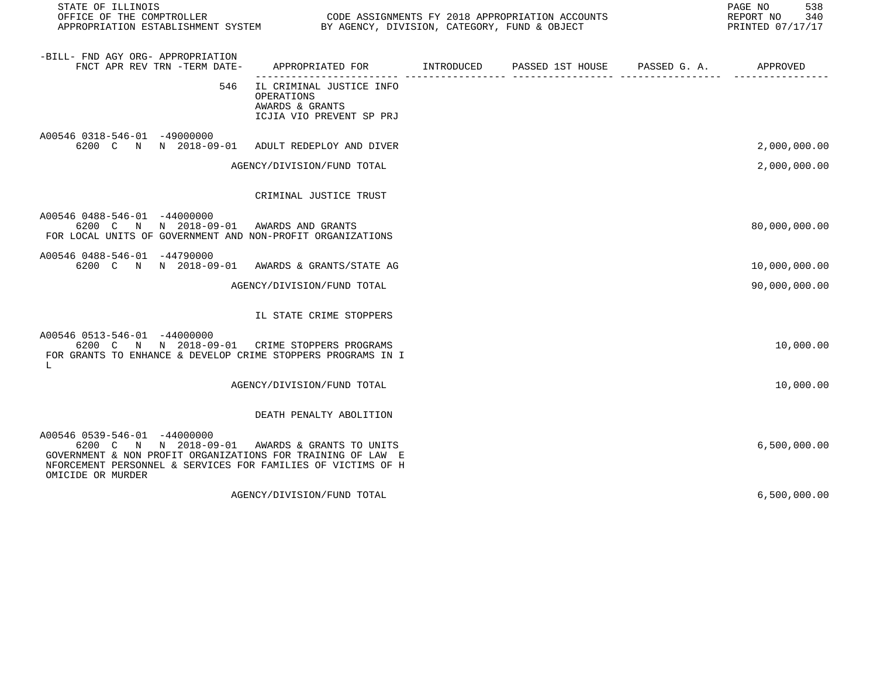| STATE OF ILLINOIS                                                                                                                                                                                         |                                                                                       |  | 538<br>PAGE NO<br>REPORT NO<br>340<br>PRINTED 07/17/17 |
|-----------------------------------------------------------------------------------------------------------------------------------------------------------------------------------------------------------|---------------------------------------------------------------------------------------|--|--------------------------------------------------------|
| -BILL- FND AGY ORG- APPROPRIATION<br>FNCT APR REV TRN -TERM DATE-                                                                                                                                         | APPROPRIATED FOR INTRODUCED PASSED 1ST HOUSE PASSED G. A.                             |  | APPROVED                                               |
| 546                                                                                                                                                                                                       | IL CRIMINAL JUSTICE INFO<br>OPERATIONS<br>AWARDS & GRANTS<br>ICJIA VIO PREVENT SP PRJ |  |                                                        |
| A00546 0318-546-01 -49000000<br>6200 C N N 2018-09-01 ADULT REDEPLOY AND DIVER                                                                                                                            |                                                                                       |  | 2,000,000.00                                           |
|                                                                                                                                                                                                           | AGENCY/DIVISION/FUND TOTAL                                                            |  | 2,000,000.00                                           |
|                                                                                                                                                                                                           | CRIMINAL JUSTICE TRUST                                                                |  |                                                        |
| A00546 0488-546-01 -44000000<br>6200 C N N 2018-09-01<br>FOR LOCAL UNITS OF GOVERNMENT AND NON-PROFIT ORGANIZATIONS                                                                                       | AWARDS AND GRANTS                                                                     |  | 80,000,000.00                                          |
| A00546 0488-546-01 -44790000<br>6200 C N N 2018-09-01 AWARDS & GRANTS/STATE AG                                                                                                                            |                                                                                       |  | 10,000,000.00                                          |
|                                                                                                                                                                                                           | AGENCY/DIVISION/FUND TOTAL                                                            |  | 90,000,000.00                                          |
|                                                                                                                                                                                                           | IL STATE CRIME STOPPERS                                                               |  |                                                        |
| A00546 0513-546-01 -44000000<br>6200 C N N 2018-09-01 CRIME STOPPERS PROGRAMS<br>FOR GRANTS TO ENHANCE & DEVELOP CRIME STOPPERS PROGRAMS IN I<br>T.                                                       |                                                                                       |  | 10,000.00                                              |
|                                                                                                                                                                                                           | AGENCY/DIVISION/FUND TOTAL                                                            |  | 10,000.00                                              |
|                                                                                                                                                                                                           | DEATH PENALTY ABOLITION                                                               |  |                                                        |
| A00546 0539-546-01 -44000000<br>6200 C N N 2018-09-01<br>GOVERNMENT & NON PROFIT ORGANIZATIONS FOR TRAINING OF LAW E<br>NFORCEMENT PERSONNEL & SERVICES FOR FAMILIES OF VICTIMS OF H<br>OMICIDE OR MURDER | AWARDS & GRANTS TO UNITS                                                              |  | 6,500,000.00                                           |
|                                                                                                                                                                                                           | AGENCY/DIVISION/FUND TOTAL                                                            |  | 6,500,000.00                                           |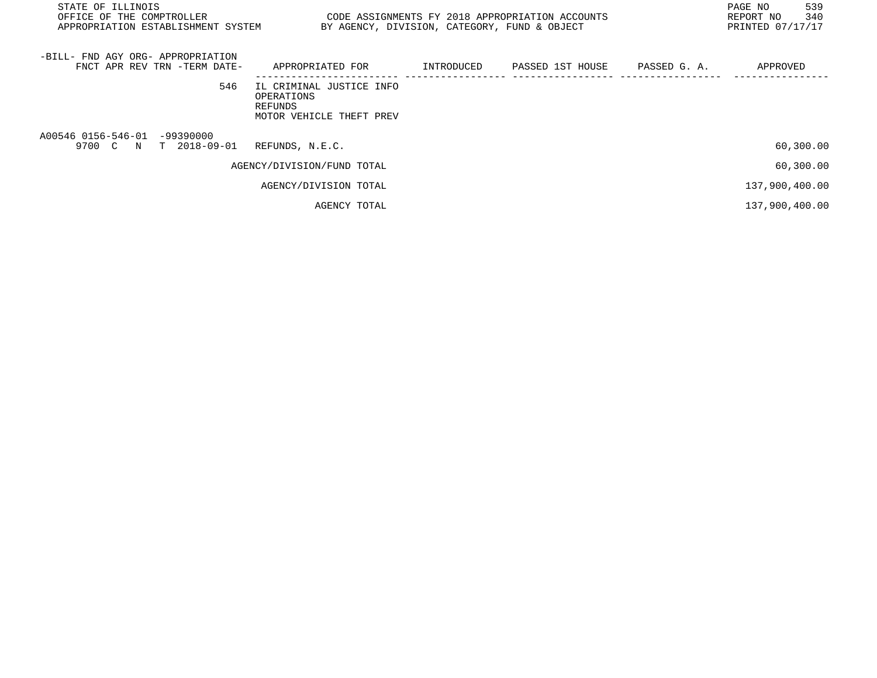| STATE OF ILLINOIS<br>OFFICE OF THE COMPTROLLER<br>APPROPRIATION ESTABLISHMENT SYSTEM BY AGENCY, DIVISION, CATEGORY, FUND & OBJECT | CODE ASSIGNMENTS FY 2018 APPROPRIATION ACCOUNTS                               |  | PAGE NO<br>REPORT NO<br>PRINTED 07/17/17 | 539<br>340 |
|-----------------------------------------------------------------------------------------------------------------------------------|-------------------------------------------------------------------------------|--|------------------------------------------|------------|
| -BILL- FND AGY ORG- APPROPRIATION<br>FNCT APR REV TRN -TERM DATE-                                                                 | APPROPRIATED FOR                                                              |  | APPROVED                                 |            |
| 546                                                                                                                               | IL CRIMINAL JUSTICE INFO<br>OPERATIONS<br>REFUNDS<br>MOTOR VEHICLE THEFT PREV |  |                                          |            |
| A00546 0156-546-01 -99390000<br>9700 C N T 2018-09-01                                                                             | REFUNDS, N.E.C.                                                               |  | 60,300.00                                |            |
|                                                                                                                                   | AGENCY/DIVISION/FUND TOTAL                                                    |  | 60,300.00                                |            |
|                                                                                                                                   | AGENCY/DIVISION TOTAL                                                         |  | 137,900,400.00                           |            |
|                                                                                                                                   | AGENCY TOTAL                                                                  |  | 137,900,400.00                           |            |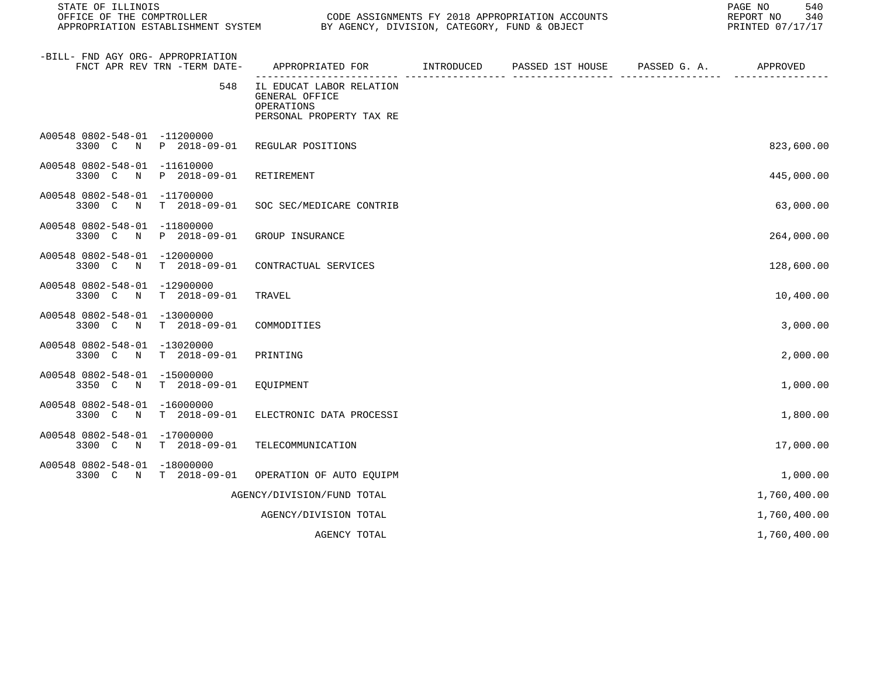| STATE OF ILLINOIS<br>OFFICE OF THE COMPTROLLER<br>APPROPRIATION ESTABLISHMENT SYSTEM |                              | BY AGENCY, DIVISION, CATEGORY, FUND & OBJECT                                         | CODE ASSIGNMENTS FY 2018 APPROPRIATION ACCOUNTS | 540<br>PAGE NO<br>340<br>REPORT NO<br>PRINTED 07/17/17 |
|--------------------------------------------------------------------------------------|------------------------------|--------------------------------------------------------------------------------------|-------------------------------------------------|--------------------------------------------------------|
| -BILL- FND AGY ORG- APPROPRIATION                                                    | FNCT APR REV TRN -TERM DATE- | APPROPRIATED FOR TINTRODUCED PASSED 1ST HOUSE PASSED G. A. APPROVED                  |                                                 |                                                        |
|                                                                                      | 548                          | IL EDUCAT LABOR RELATION<br>GENERAL OFFICE<br>OPERATIONS<br>PERSONAL PROPERTY TAX RE |                                                 |                                                        |
| A00548 0802-548-01 -11200000                                                         | 3300 C N P 2018-09-01        | REGULAR POSITIONS                                                                    |                                                 | 823,600.00                                             |
| A00548 0802-548-01 -11610000<br>3300 C N                                             | P 2018-09-01                 | RETIREMENT                                                                           |                                                 | 445,000.00                                             |
| A00548 0802-548-01 -11700000<br>3300 C<br>$\mathbb N$                                | $T = 2018 - 09 - 01$         | SOC SEC/MEDICARE CONTRIB                                                             |                                                 | 63,000.00                                              |
| A00548 0802-548-01 -11800000<br>3300 C<br>$\mathbb N$                                | P 2018-09-01                 | GROUP INSURANCE                                                                      |                                                 | 264,000.00                                             |
| A00548 0802-548-01 -12000000<br>3300 C<br>$\mathbb N$                                | T 2018-09-01                 | CONTRACTUAL SERVICES                                                                 |                                                 | 128,600.00                                             |
| A00548 0802-548-01 -12900000<br>3300 C<br>$\mathbb N$                                | T 2018-09-01                 | TRAVEL                                                                               |                                                 | 10,400.00                                              |
| A00548 0802-548-01 -13000000<br>3300 C<br>N                                          | T 2018-09-01                 | COMMODITIES                                                                          |                                                 | 3,000.00                                               |
| A00548 0802-548-01 -13020000<br>$\mathbb N$<br>3300 C                                | $T = 2018 - 09 - 01$         | PRINTING                                                                             |                                                 | 2,000.00                                               |
| A00548 0802-548-01 -15000000<br>3350 C N                                             | T 2018-09-01                 | EQUIPMENT                                                                            |                                                 | 1,000.00                                               |
| A00548 0802-548-01 -16000000                                                         | 3300 C N T 2018-09-01        | ELECTRONIC DATA PROCESSI                                                             |                                                 | 1,800.00                                               |
| A00548 0802-548-01 -17000000                                                         | 3300 C N T 2018-09-01        | TELECOMMUNICATION                                                                    |                                                 | 17,000.00                                              |
| A00548 0802-548-01 -18000000                                                         | 3300 C N T 2018-09-01        | OPERATION OF AUTO EQUIPM                                                             |                                                 | 1,000.00                                               |
|                                                                                      |                              | AGENCY/DIVISION/FUND TOTAL                                                           |                                                 | 1,760,400.00                                           |
|                                                                                      |                              | AGENCY/DIVISION TOTAL                                                                |                                                 | 1,760,400.00                                           |
|                                                                                      |                              | AGENCY TOTAL                                                                         |                                                 | 1,760,400.00                                           |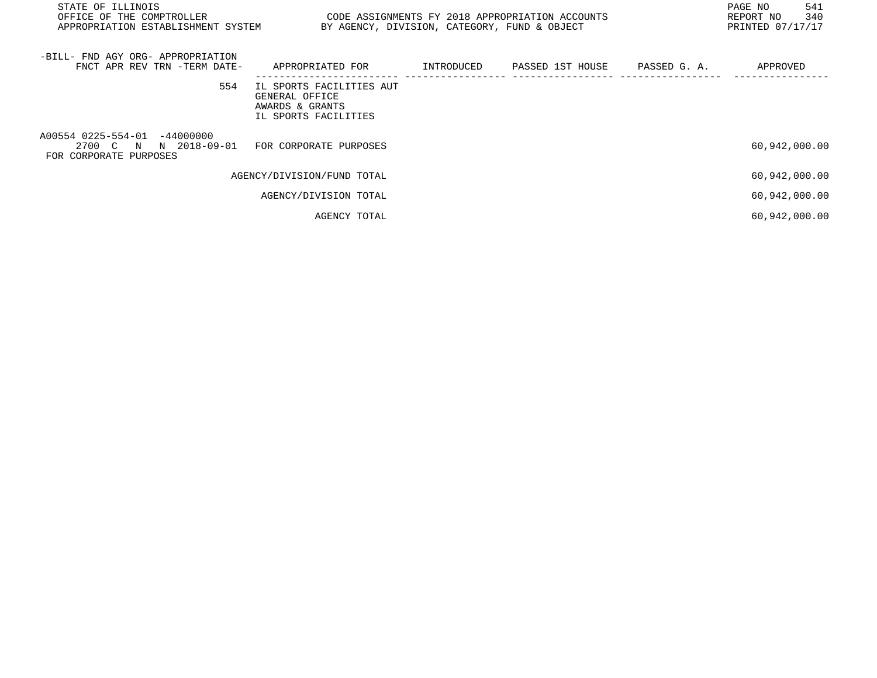| STATE OF ILLINOIS<br>OFFICE OF THE COMPTROLLER<br>CODE ASSIGNMENTS FY 2018 APPROPRIATION ACCOUNTS<br>APPROPRIATION ESTABLISHMENT SYSTEM<br>BY AGENCY, DIVISION, CATEGORY, FUND & OBJECT |                                                                                       |            |                  |              |               | 541<br>340<br>PRINTED 07/17/17 |
|-----------------------------------------------------------------------------------------------------------------------------------------------------------------------------------------|---------------------------------------------------------------------------------------|------------|------------------|--------------|---------------|--------------------------------|
| -BILL- FND AGY ORG- APPROPRIATION<br>FNCT APR REV TRN -TERM DATE-                                                                                                                       | APPROPRIATED FOR                                                                      | INTRODUCED | PASSED 1ST HOUSE | PASSED G. A. | APPROVED      |                                |
| 554                                                                                                                                                                                     | IL SPORTS FACILITIES AUT<br>GENERAL OFFICE<br>AWARDS & GRANTS<br>IL SPORTS FACILITIES |            |                  |              |               |                                |
| A00554 0225-554-01 -44000000<br>2700 C N N 2018-09-01<br>FOR CORPORATE PURPOSES                                                                                                         | FOR CORPORATE PURPOSES                                                                |            |                  |              | 60,942,000.00 |                                |
|                                                                                                                                                                                         | AGENCY/DIVISION/FUND TOTAL                                                            |            |                  |              | 60,942,000.00 |                                |
|                                                                                                                                                                                         | AGENCY/DIVISION TOTAL                                                                 |            |                  |              | 60,942,000.00 |                                |
|                                                                                                                                                                                         | AGENCY TOTAL                                                                          |            |                  |              | 60,942,000.00 |                                |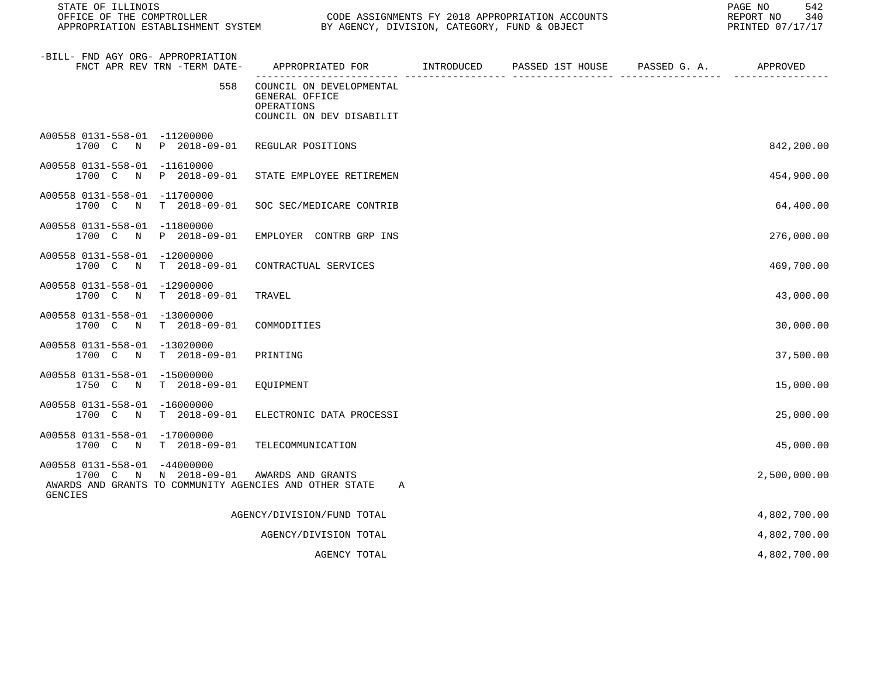| STATE OF ILLINOIS<br>OFFICE OF THE COMPTROLLER<br>APPROPRIATION ESTABLISHMENT SYSTEM BY AGENCY, DIVISION, CATEGORY, FUND & OBJECT  |                                                                                      | CODE ASSIGNMENTS FY 2018 APPROPRIATION ACCOUNTS | 542<br>PAGE NO<br>340<br>REPORT NO<br>PRINTED 07/17/17 |
|------------------------------------------------------------------------------------------------------------------------------------|--------------------------------------------------------------------------------------|-------------------------------------------------|--------------------------------------------------------|
| -BILL- FND AGY ORG- APPROPRIATION<br>FNCT APR REV TRN -TERM DATE-                                                                  | APPROPRIATED FOR INTRODUCED PASSED 1ST HOUSE PASSED G. A. APPROVED                   |                                                 |                                                        |
| 558                                                                                                                                | COUNCIL ON DEVELOPMENTAL<br>GENERAL OFFICE<br>OPERATIONS<br>COUNCIL ON DEV DISABILIT |                                                 |                                                        |
| A00558 0131-558-01 -11200000<br>P 2018-09-01<br>1700 C N                                                                           | REGULAR POSITIONS                                                                    |                                                 | 842,200.00                                             |
| A00558 0131-558-01 -11610000<br>1700 C N<br>P 2018-09-01                                                                           | STATE EMPLOYEE RETIREMEN                                                             |                                                 | 454,900.00                                             |
| A00558 0131-558-01 -11700000<br>1700 C N<br>T 2018-09-01                                                                           | SOC SEC/MEDICARE CONTRIB                                                             |                                                 | 64,400.00                                              |
| A00558 0131-558-01 -11800000<br>P 2018-09-01<br>1700 C N                                                                           | EMPLOYER CONTRB GRP INS                                                              |                                                 | 276,000.00                                             |
| A00558 0131-558-01 -12000000<br>T 2018-09-01<br>1700 C N                                                                           | CONTRACTUAL SERVICES                                                                 |                                                 | 469,700.00                                             |
| A00558 0131-558-01 -12900000<br>T 2018-09-01<br>1700 C N                                                                           | TRAVEL                                                                               |                                                 | 43,000.00                                              |
| A00558 0131-558-01 -13000000<br>T 2018-09-01<br>1700 C N                                                                           | COMMODITIES                                                                          |                                                 | 30,000.00                                              |
| A00558 0131-558-01 -13020000<br>1700 C N<br>T 2018-09-01                                                                           | PRINTING                                                                             |                                                 | 37,500.00                                              |
| A00558 0131-558-01 -15000000<br>T 2018-09-01<br>1750 C N                                                                           | EQUIPMENT                                                                            |                                                 | 15,000.00                                              |
| A00558 0131-558-01 -16000000<br>1700 C N<br>T 2018-09-01                                                                           | ELECTRONIC DATA PROCESSI                                                             |                                                 | 25,000.00                                              |
| A00558 0131-558-01 -17000000<br>1700 C N<br>T 2018-09-01                                                                           | TELECOMMUNICATION                                                                    |                                                 | 45,000.00                                              |
| A00558 0131-558-01 -44000000<br>1700 C N N 2018-09-01<br>AWARDS AND GRANTS TO COMMUNITY AGENCIES AND OTHER STATE<br><b>GENCIES</b> | AWARDS AND GRANTS<br>A                                                               |                                                 | 2,500,000.00                                           |
|                                                                                                                                    | AGENCY/DIVISION/FUND TOTAL                                                           |                                                 | 4,802,700.00                                           |
|                                                                                                                                    | AGENCY/DIVISION TOTAL                                                                |                                                 | 4,802,700.00                                           |
|                                                                                                                                    | AGENCY TOTAL                                                                         |                                                 | 4,802,700.00                                           |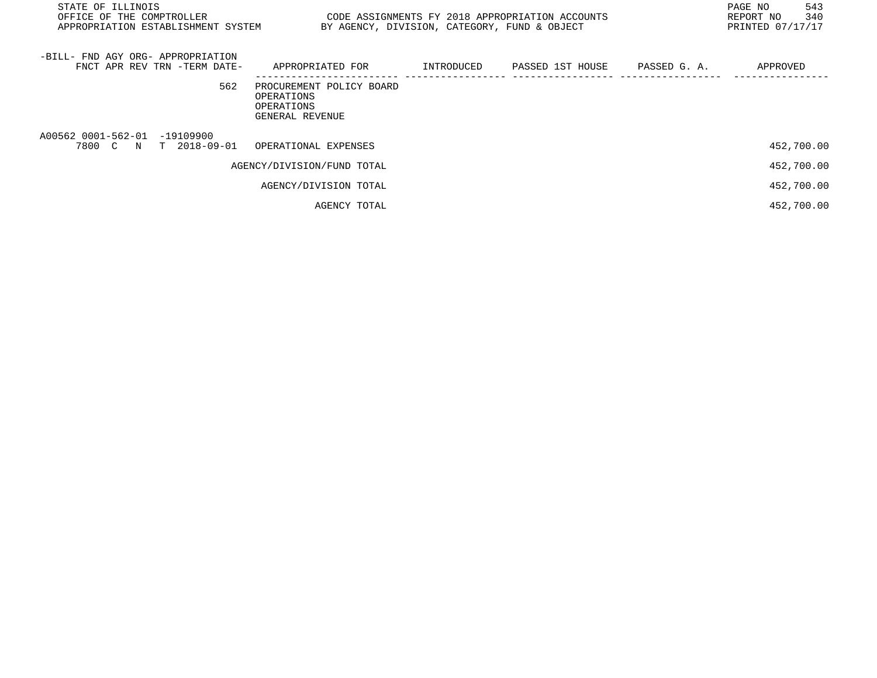| STATE OF ILLINOIS<br>OFFICE OF THE COMPTROLLER<br>APPROPRIATION ESTABLISHMENT SYSTEM | CODE ASSIGNMENTS FY 2018 APPROPRIATION ACCOUNTS<br>BY AGENCY, DIVISION, CATEGORY, FUND & OBJECT |            |                  |              | 543<br>PAGE NO<br>340<br>REPORT NO<br>PRINTED 07/17/17 |
|--------------------------------------------------------------------------------------|-------------------------------------------------------------------------------------------------|------------|------------------|--------------|--------------------------------------------------------|
| -BILL- FND AGY ORG- APPROPRIATION<br>FNCT APR REV TRN -TERM DATE-                    | APPROPRIATED FOR                                                                                | INTRODUCED | PASSED 1ST HOUSE | PASSED G. A. | APPROVED                                               |
| 562                                                                                  | PROCUREMENT POLICY BOARD<br>OPERATIONS<br>OPERATIONS<br>GENERAL REVENUE                         |            |                  |              |                                                        |
| A00562 0001-562-01 -19109900<br>7800 C N<br>T 2018-09-01                             | OPERATIONAL EXPENSES                                                                            |            |                  |              | 452,700.00                                             |
|                                                                                      | AGENCY/DIVISION/FUND TOTAL                                                                      |            |                  |              | 452,700.00                                             |
|                                                                                      | AGENCY/DIVISION TOTAL                                                                           |            |                  |              | 452,700.00                                             |
|                                                                                      | AGENCY TOTAL                                                                                    |            |                  |              | 452,700.00                                             |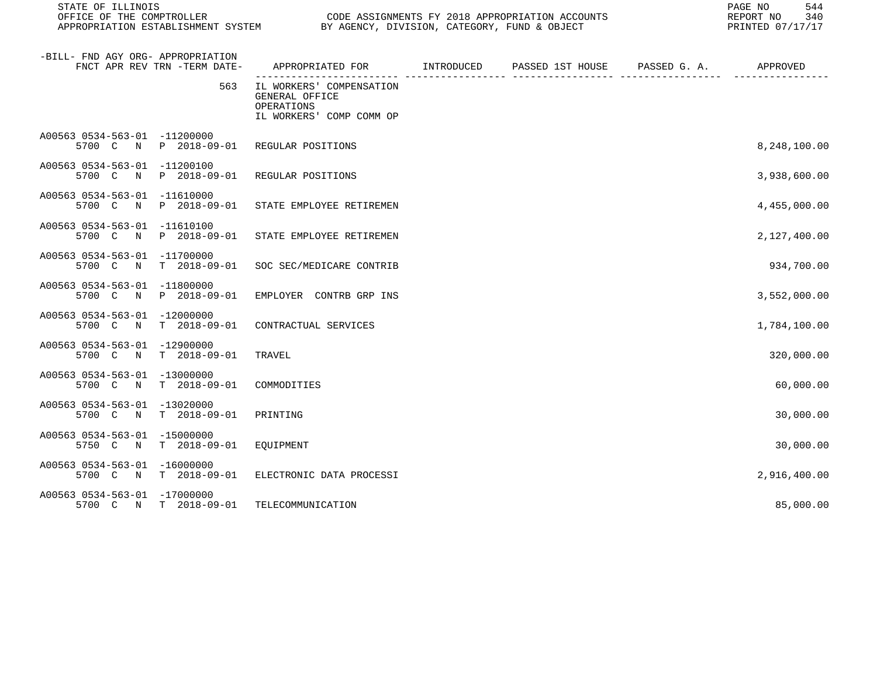| STATE OF ILLINOIS<br>OFFICE OF THE COMPTROLLER |                              | CODE ASSIGNMENTS FY 2018 APPROPRIATION ACCOUNTS<br>APPROPRIATION ESTABLISHMENT SYSTEM BY AGENCY, DIVISION, CATEGORY, FUND & OBJECT |  |  |  | PAGE NO<br>544<br>REPORT NO 340<br>PRINTED 07/17/17 |
|------------------------------------------------|------------------------------|------------------------------------------------------------------------------------------------------------------------------------|--|--|--|-----------------------------------------------------|
| -BILL- FND AGY ORG- APPROPRIATION              | FNCT APR REV TRN -TERM DATE- | APPROPRIATED FOR        INTRODUCED     PASSED 1ST HOUSE     PASSED G. A.         APPROVED                                          |  |  |  |                                                     |
|                                                | 563                          | IL WORKERS' COMPENSATION<br>GENERAL OFFICE<br>OPERATIONS<br>IL WORKERS' COMP COMM OP                                               |  |  |  |                                                     |
| A00563 0534-563-01 -11200000                   | 5700 C N P 2018-09-01        | REGULAR POSITIONS                                                                                                                  |  |  |  | 8,248,100.00                                        |
| A00563 0534-563-01 -11200100                   | 5700 C N P 2018-09-01        | REGULAR POSITIONS                                                                                                                  |  |  |  | 3,938,600.00                                        |
| A00563 0534-563-01 -11610000                   | 5700 C N P 2018-09-01        | STATE EMPLOYEE RETIREMEN                                                                                                           |  |  |  | 4,455,000.00                                        |
| A00563 0534-563-01 -11610100<br>5700 C         | N P 2018-09-01               | STATE EMPLOYEE RETIREMEN                                                                                                           |  |  |  | 2,127,400.00                                        |
| A00563 0534-563-01 -11700000<br>5700 C N       | T 2018-09-01                 | SOC SEC/MEDICARE CONTRIB                                                                                                           |  |  |  | 934,700.00                                          |
| A00563 0534-563-01 -11800000                   | 5700 C N P 2018-09-01        | EMPLOYER CONTRB GRP INS                                                                                                            |  |  |  | 3,552,000.00                                        |
| A00563 0534-563-01 -12000000                   | 5700 C N T 2018-09-01        | CONTRACTUAL SERVICES                                                                                                               |  |  |  | 1,784,100.00                                        |
| A00563 0534-563-01 -12900000                   | 5700 C N T 2018-09-01        | TRAVEL                                                                                                                             |  |  |  | 320,000.00                                          |
| A00563 0534-563-01 -13000000                   | 5700 C N T 2018-09-01        | COMMODITIES                                                                                                                        |  |  |  | 60,000.00                                           |
| A00563 0534-563-01 -13020000<br>5700 C N       | T 2018-09-01                 | PRINTING                                                                                                                           |  |  |  | 30,000.00                                           |
| A00563 0534-563-01 -15000000                   | 5750 C N T 2018-09-01        | EOUIPMENT                                                                                                                          |  |  |  | 30,000.00                                           |
| A00563 0534-563-01 -16000000                   | 5700 C N T 2018-09-01        | ELECTRONIC DATA PROCESSI                                                                                                           |  |  |  | 2,916,400.00                                        |
| A00563 0534-563-01 -17000000                   | 5700 C N T 2018-09-01        | TELECOMMUNICATION                                                                                                                  |  |  |  | 85,000.00                                           |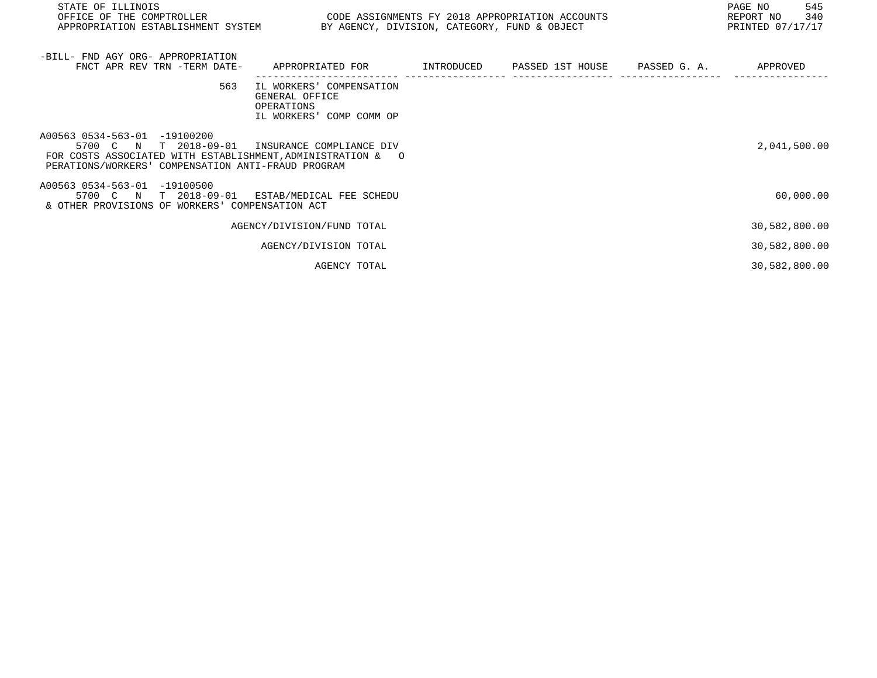| STATE OF ILLINOIS<br>OFFICE OF THE COMPTROLLER CODE ASSIGNMENTS FY 2018 APPROPRIATION ACCOUNTS<br>APPROPRIATION ESTABLISHMENT SYSTEM BY AGENCY, DIVISION, CATEGORY, FUND & OBJECT                   |                                                                                      |  | 545<br>PAGE NO<br>REPORT NO<br>340<br>PRINTED 07/17/17 |
|-----------------------------------------------------------------------------------------------------------------------------------------------------------------------------------------------------|--------------------------------------------------------------------------------------|--|--------------------------------------------------------|
| -BILL- FND AGY ORG- APPROPRIATION<br>FNCT APR REV TRN -TERM DATE- APPROPRIATED FOR TINTRODUCED PASSED 1ST HOUSE PASSED G.A.                                                                         |                                                                                      |  | APPROVED                                               |
| 563                                                                                                                                                                                                 | IL WORKERS' COMPENSATION<br>GENERAL OFFICE<br>OPERATIONS<br>IL WORKERS' COMP COMM OP |  |                                                        |
| A00563 0534-563-01 -19100200<br>5700 C N T 2018-09-01 INSURANCE COMPLIANCE DIV<br>FOR COSTS ASSOCIATED WITH ESTABLISHMENT, ADMINISTRATION & 0<br>PERATIONS/WORKERS' COMPENSATION ANTI-FRAUD PROGRAM |                                                                                      |  | 2,041,500.00                                           |
| A00563 0534-563-01 -19100500<br>5700 C N T 2018-09-01 ESTAB/MEDICAL FEE SCHEDU<br>& OTHER PROVISIONS OF WORKERS' COMPENSATION ACT                                                                   |                                                                                      |  | 60,000.00                                              |
|                                                                                                                                                                                                     | AGENCY/DIVISION/FUND TOTAL                                                           |  | 30,582,800.00                                          |
|                                                                                                                                                                                                     | AGENCY/DIVISION TOTAL                                                                |  | 30,582,800.00                                          |
|                                                                                                                                                                                                     |                                                                                      |  |                                                        |

AGENCY TOTAL 30,582,800.00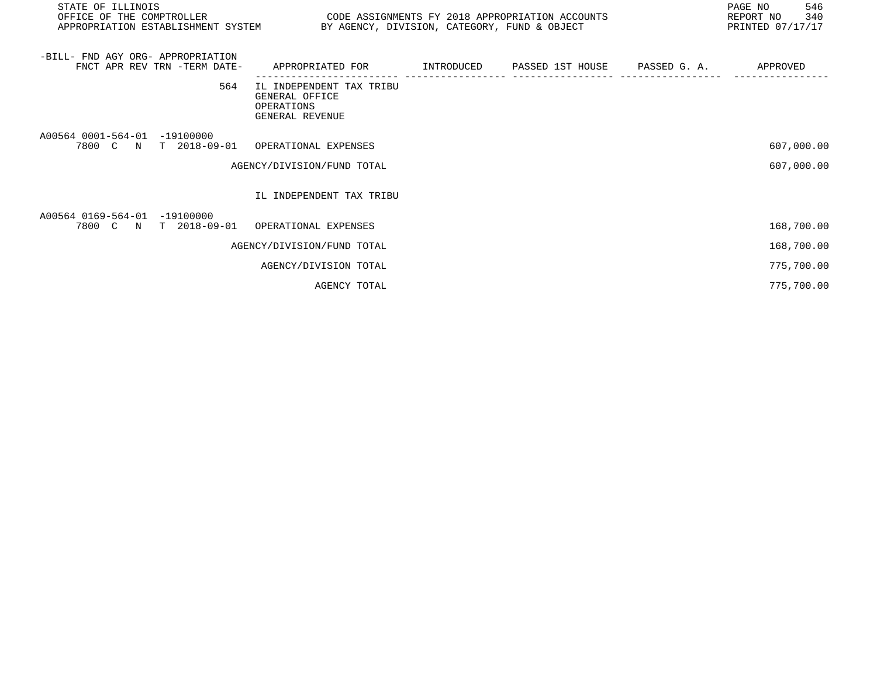| STATE OF ILLINOIS<br>OFFICE OF THE COMPTROLLER<br>APPROPRIATION ESTABLISHMENT SYSTEM | CODE ASSIGNMENTS FY 2018 APPROPRIATION ACCOUNTS<br>BY AGENCY, DIVISION, CATEGORY, FUND & OBJECT |                                         | 546<br>PAGE NO<br>REPORT NO 340<br>PRINTED 07/17/17 |
|--------------------------------------------------------------------------------------|-------------------------------------------------------------------------------------------------|-----------------------------------------|-----------------------------------------------------|
| -BILL- FND AGY ORG- APPROPRIATION<br>FNCT APR REV TRN -TERM DATE-                    | APPROPRIATED FOR                                                                                | INTRODUCED PASSED 1ST HOUSE PASSED G.A. | APPROVED                                            |
| 564                                                                                  | IL INDEPENDENT TAX TRIBU<br>GENERAL OFFICE<br>OPERATIONS<br>GENERAL REVENUE                     |                                         |                                                     |
| A00564 0001-564-01 -19100000<br>7800 C N T 2018-09-01 OPERATIONAL EXPENSES           | AGENCY/DIVISION/FUND TOTAL                                                                      |                                         | 607,000.00<br>607,000.00                            |
|                                                                                      | IL INDEPENDENT TAX TRIBU                                                                        |                                         |                                                     |
| A00564 0169-564-01 -19100000<br>7800 C N T 2018-09-01                                | OPERATIONAL EXPENSES                                                                            |                                         | 168,700.00                                          |
|                                                                                      | AGENCY/DIVISION/FUND TOTAL                                                                      |                                         | 168,700.00                                          |
|                                                                                      | AGENCY/DIVISION TOTAL                                                                           |                                         | 775,700.00                                          |
|                                                                                      | AGENCY TOTAL                                                                                    |                                         | 775,700.00                                          |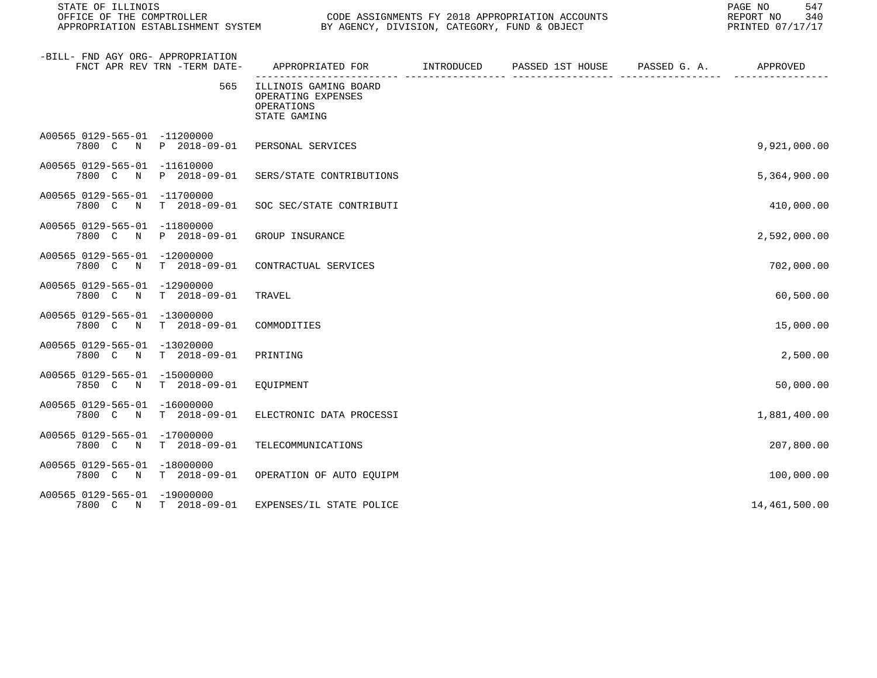| STATE OF ILLINOIS<br>CODE ASSIGNMENTS FY 2018 APPROPRIATION ACCOUNTS<br>OFFICE OF THE COMPTROLLER<br>APPROPRIATION ESTABLISHMENT SYSTEM BY AGENCY, DIVISION, CATEGORY, FUND & OBJECT |                                                                           |  |  | 547<br>PAGE NO<br>340<br>REPORT NO<br>PRINTED 07/17/17 |
|--------------------------------------------------------------------------------------------------------------------------------------------------------------------------------------|---------------------------------------------------------------------------|--|--|--------------------------------------------------------|
| -BILL- FND AGY ORG- APPROPRIATION<br>FNCT APR REV TRN -TERM DATE-                                                                                                                    | APPROPRIATED FOR TINTRODUCED PASSED 1ST HOUSE PASSED G.A.                 |  |  | APPROVED                                               |
| 565                                                                                                                                                                                  | ILLINOIS GAMING BOARD<br>OPERATING EXPENSES<br>OPERATIONS<br>STATE GAMING |  |  |                                                        |
| A00565 0129-565-01 -11200000<br>P 2018-09-01<br>7800 C<br>$\mathbb N$                                                                                                                | PERSONAL SERVICES                                                         |  |  | 9,921,000.00                                           |
| A00565 0129-565-01 -11610000<br>7800 C N P 2018-09-01                                                                                                                                | SERS/STATE CONTRIBUTIONS                                                  |  |  | 5,364,900.00                                           |
| A00565 0129-565-01 -11700000<br>T 2018-09-01<br>7800 C N                                                                                                                             | SOC SEC/STATE CONTRIBUTI                                                  |  |  | 410,000.00                                             |
| A00565 0129-565-01 -11800000<br>7800 C N P 2018-09-01                                                                                                                                | GROUP INSURANCE                                                           |  |  | 2,592,000.00                                           |
| A00565 0129-565-01 -12000000<br>7800 C<br>N<br>T 2018-09-01                                                                                                                          | CONTRACTUAL SERVICES                                                      |  |  | 702,000.00                                             |
| A00565 0129-565-01 -12900000<br>7800 C<br>$\mathbb N$<br>$T = 2018 - 09 - 01$                                                                                                        | TRAVEL                                                                    |  |  | 60,500.00                                              |
| A00565 0129-565-01 -13000000<br>7800 C N T 2018-09-01                                                                                                                                | COMMODITIES                                                               |  |  | 15,000.00                                              |
| A00565 0129-565-01 -13020000<br>$T = 2018 - 09 - 01$<br>7800 C N                                                                                                                     | PRINTING                                                                  |  |  | 2,500.00                                               |
| A00565 0129-565-01 -15000000<br>7850 C N<br>$T = 2018 - 09 - 01$                                                                                                                     | EQUIPMENT                                                                 |  |  | 50,000.00                                              |
| A00565 0129-565-01 -16000000<br>7800 C N<br>T 2018-09-01                                                                                                                             | ELECTRONIC DATA PROCESSI                                                  |  |  | 1,881,400.00                                           |
| A00565 0129-565-01 -17000000<br>T 2018-09-01<br>7800 C<br>N                                                                                                                          | TELECOMMUNICATIONS                                                        |  |  | 207,800.00                                             |
| A00565 0129-565-01 -18000000<br>7800 C N T 2018-09-01                                                                                                                                | OPERATION OF AUTO EQUIPM                                                  |  |  | 100,000.00                                             |
| A00565 0129-565-01 -19000000<br>7800 C N T 2018-09-01                                                                                                                                | EXPENSES/IL STATE POLICE                                                  |  |  | 14,461,500.00                                          |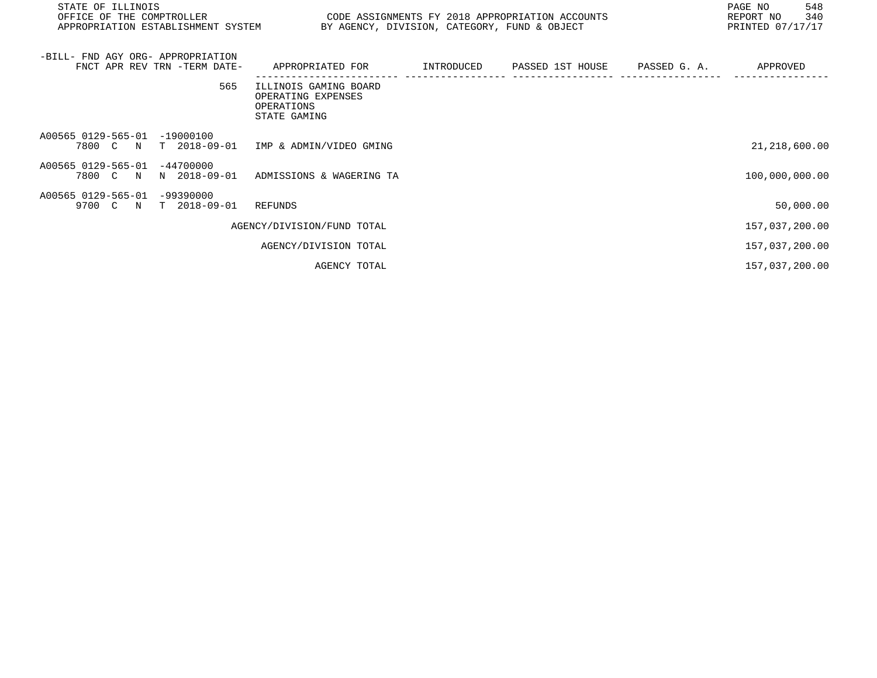| STATE OF ILLINOIS<br>OFFICE OF THE COMPTROLLER<br>APPROPRIATION ESTABLISHMENT SYSTEM BY AGENCY, DIVISION, CATEGORY, FUND & OBJECT | CODE ASSIGNMENTS FY 2018 APPROPRIATION ACCOUNTS                           |            |                  |              | PAGE NO<br>548<br>340<br>REPORT NO<br>PRINTED 07/17/17 |
|-----------------------------------------------------------------------------------------------------------------------------------|---------------------------------------------------------------------------|------------|------------------|--------------|--------------------------------------------------------|
| -BILL- FND AGY ORG- APPROPRIATION<br>FNCT APR REV TRN -TERM DATE-                                                                 | APPROPRIATED FOR                                                          | INTRODUCED | PASSED 1ST HOUSE | PASSED G. A. | APPROVED                                               |
| 565                                                                                                                               | ILLINOIS GAMING BOARD<br>OPERATING EXPENSES<br>OPERATIONS<br>STATE GAMING |            |                  |              |                                                        |
| A00565 0129-565-01<br>$-19000100$<br>7800 C N                                                                                     | T 2018-09-01 IMP & ADMIN/VIDEO GMING                                      |            |                  |              | 21, 218, 600.00                                        |
| A00565 0129-565-01<br>$-44700000$<br>7800 C N<br>N 2018-09-01                                                                     | ADMISSIONS & WAGERING TA                                                  |            |                  |              | 100,000,000.00                                         |
| A00565 0129-565-01<br>-99390000<br>9700 C N<br>T 2018-09-01                                                                       | REFUNDS                                                                   |            |                  |              | 50,000.00                                              |
|                                                                                                                                   | AGENCY/DIVISION/FUND TOTAL                                                |            |                  |              | 157,037,200.00                                         |
|                                                                                                                                   | AGENCY/DIVISION TOTAL                                                     |            |                  |              | 157,037,200.00                                         |
|                                                                                                                                   | AGENCY TOTAL                                                              |            |                  |              | 157,037,200.00                                         |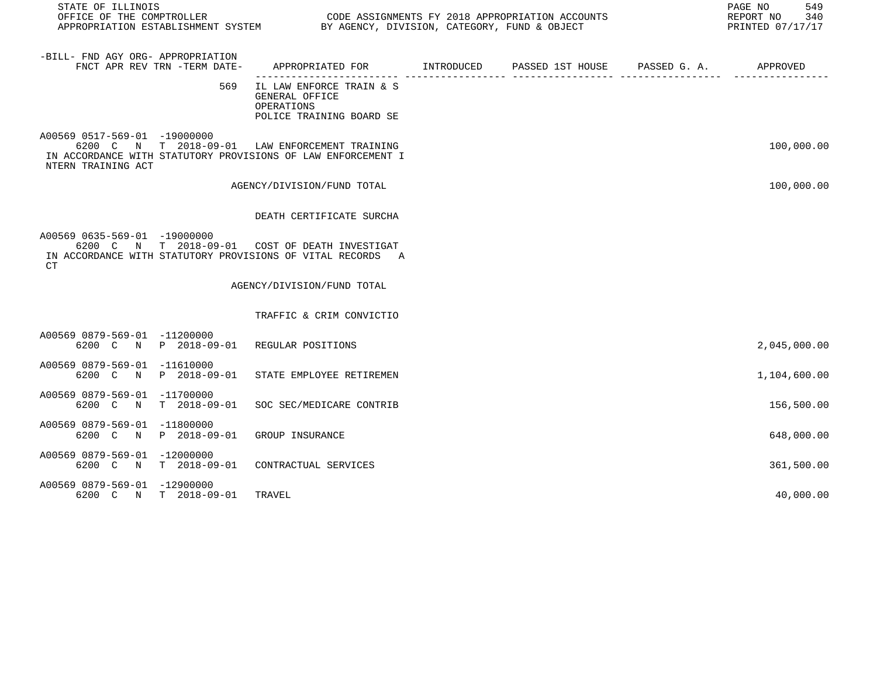| STATE OF ILLINOIS<br>OFFICE OF THE COMPTROLLER<br>APPROPRIATION ESTABLISHMENT SYSTEM BY AGENCY, DIVISION, CATEGORY, FUND & OBJECT                                    |                                                                                      | CODE ASSIGNMENTS FY 2018 APPROPRIATION ACCOUNTS | 549<br>PAGE NO<br>REPORT NO<br>340<br>PRINTED 07/17/17 |
|----------------------------------------------------------------------------------------------------------------------------------------------------------------------|--------------------------------------------------------------------------------------|-------------------------------------------------|--------------------------------------------------------|
| -BILL- FND AGY ORG- APPROPRIATION<br>FNCT APR REV TRN -TERM DATE-                                                                                                    | APPROPRIATED FOR INTRODUCED                                                          | PASSED 1ST HOUSE PASSED G. A.                   | APPROVED                                               |
| 569                                                                                                                                                                  | IL LAW ENFORCE TRAIN & S<br>GENERAL OFFICE<br>OPERATIONS<br>POLICE TRAINING BOARD SE |                                                 |                                                        |
| A00569 0517-569-01 -19000000<br>6200 C N T 2018-09-01 LAW ENFORCEMENT TRAINING<br>IN ACCORDANCE WITH STATUTORY PROVISIONS OF LAW ENFORCEMENT I<br>NTERN TRAINING ACT |                                                                                      |                                                 | 100,000.00                                             |
|                                                                                                                                                                      | AGENCY/DIVISION/FUND TOTAL                                                           |                                                 | 100,000.00                                             |
|                                                                                                                                                                      | DEATH CERTIFICATE SURCHA                                                             |                                                 |                                                        |
| A00569 0635-569-01 -19000000<br>6200 C N T 2018-09-01 COST OF DEATH INVESTIGAT<br>IN ACCORDANCE WITH STATUTORY PROVISIONS OF VITAL RECORDS A<br>CT                   |                                                                                      |                                                 |                                                        |
|                                                                                                                                                                      | AGENCY/DIVISION/FUND TOTAL                                                           |                                                 |                                                        |
|                                                                                                                                                                      | TRAFFIC & CRIM CONVICTIO                                                             |                                                 |                                                        |
| A00569 0879-569-01 -11200000<br>6200 C N P 2018-09-01 REGULAR POSITIONS                                                                                              |                                                                                      |                                                 | 2,045,000.00                                           |
| A00569 0879-569-01 -11610000<br>6200 C N P 2018-09-01                                                                                                                | STATE EMPLOYEE RETIREMEN                                                             |                                                 | 1,104,600.00                                           |
| A00569 0879-569-01 -11700000<br>6200 C N T 2018-09-01 SOC SEC/MEDICARE CONTRIB                                                                                       |                                                                                      |                                                 | 156,500.00                                             |
| A00569 0879-569-01 -11800000<br>6200 C N P 2018-09-01 GROUP INSURANCE                                                                                                |                                                                                      |                                                 | 648,000.00                                             |
| A00569 0879-569-01 -12000000<br>6200 C N T 2018-09-01 CONTRACTUAL SERVICES                                                                                           |                                                                                      |                                                 | 361,500.00                                             |
| A00569 0879-569-01 -12900000<br>6200 C N T 2018-09-01                                                                                                                | TRAVEL                                                                               |                                                 | 40,000.00                                              |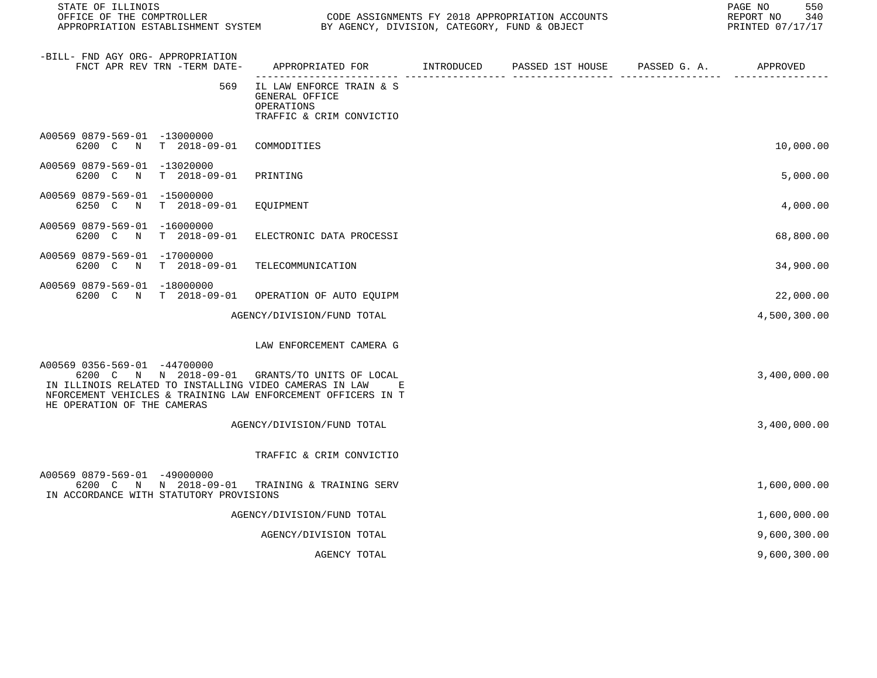| STATE OF ILLINOIS<br>OFFICE OF THE COMPTROLLER                                                                                                                                                                                          |                                                                                          | CODE ASSIGNMENTS FY 2018 APPROPRIATION ACCOUNTS | 550<br>PAGE NO<br>340<br>REPORT NO<br>PRINTED 07/17/17 |
|-----------------------------------------------------------------------------------------------------------------------------------------------------------------------------------------------------------------------------------------|------------------------------------------------------------------------------------------|-------------------------------------------------|--------------------------------------------------------|
| -BILL- FND AGY ORG- APPROPRIATION<br>FNCT APR REV TRN -TERM DATE-                                                                                                                                                                       | APPROPRIATED FOR        INTRODUCED     PASSED 1ST HOUSE     PASSED G. A.        APPROVED |                                                 |                                                        |
| 569                                                                                                                                                                                                                                     | IL LAW ENFORCE TRAIN & S<br>GENERAL OFFICE<br>OPERATIONS<br>TRAFFIC & CRIM CONVICTIO     |                                                 |                                                        |
| A00569 0879-569-01 -13000000<br>6200 C N T 2018-09-01                                                                                                                                                                                   | COMMODITIES                                                                              |                                                 | 10,000.00                                              |
| A00569 0879-569-01 -13020000<br>6200 C<br>$\mathbb N$<br>T 2018-09-01                                                                                                                                                                   | PRINTING                                                                                 |                                                 | 5,000.00                                               |
| A00569 0879-569-01 -15000000<br>6250 C<br>N<br>T 2018-09-01                                                                                                                                                                             | EQUIPMENT                                                                                |                                                 | 4,000.00                                               |
| A00569 0879-569-01 -16000000<br>6200 C N<br>T 2018-09-01                                                                                                                                                                                | ELECTRONIC DATA PROCESSI                                                                 |                                                 | 68,800.00                                              |
| A00569 0879-569-01 -17000000<br>6200 C N T 2018-09-01 TELECOMMUNICATION                                                                                                                                                                 |                                                                                          |                                                 | 34,900.00                                              |
| A00569 0879-569-01 -18000000<br>6200 C N T 2018-09-01 OPERATION OF AUTO EQUIPM                                                                                                                                                          |                                                                                          |                                                 | 22,000.00                                              |
|                                                                                                                                                                                                                                         | AGENCY/DIVISION/FUND TOTAL                                                               |                                                 | 4,500,300.00                                           |
|                                                                                                                                                                                                                                         | LAW ENFORCEMENT CAMERA G                                                                 |                                                 |                                                        |
| A00569 0356-569-01 -44700000<br>6200 C N N 2018-09-01 GRANTS/TO UNITS OF LOCAL<br>IN ILLINOIS RELATED TO INSTALLING VIDEO CAMERAS IN LAW<br>NFORCEMENT VEHICLES & TRAINING LAW ENFORCEMENT OFFICERS IN T<br>HE OPERATION OF THE CAMERAS | Ε                                                                                        |                                                 | 3,400,000.00                                           |
|                                                                                                                                                                                                                                         | AGENCY/DIVISION/FUND TOTAL                                                               |                                                 | 3,400,000.00                                           |
|                                                                                                                                                                                                                                         | TRAFFIC & CRIM CONVICTIO                                                                 |                                                 |                                                        |
| A00569 0879-569-01 -49000000<br>6200 C N N 2018-09-01 TRAINING & TRAINING SERV<br>IN ACCORDANCE WITH STATUTORY PROVISIONS                                                                                                               |                                                                                          |                                                 | 1,600,000.00                                           |
|                                                                                                                                                                                                                                         | AGENCY/DIVISION/FUND TOTAL                                                               |                                                 | 1,600,000.00                                           |
|                                                                                                                                                                                                                                         | AGENCY/DIVISION TOTAL                                                                    |                                                 | 9,600,300.00                                           |
|                                                                                                                                                                                                                                         | AGENCY TOTAL                                                                             |                                                 | 9,600,300.00                                           |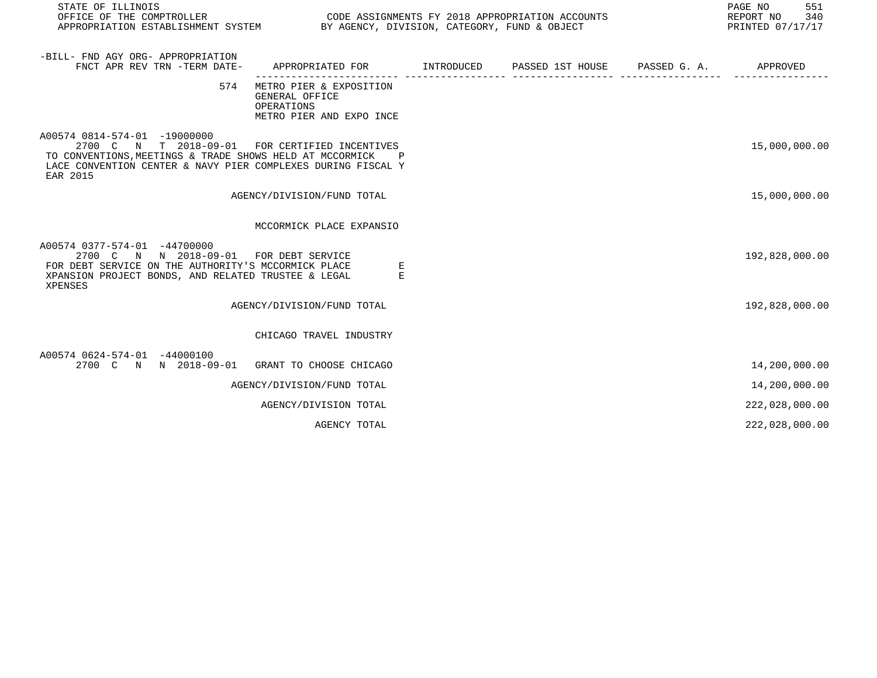| STATE OF ILLINOIS<br>OFFICE OF THE COMPTROLLER<br>APPROPRIATION ESTABLISHMENT SYSTEM BY AGENCY, DIVISION, CATEGORY, FUND & OBJECT                                                                                      | CODE ASSIGNMENTS FY 2018 APPROPRIATION ACCOUNTS                                     |  | 551<br>PAGE NO<br>REPORT NO<br>340<br>PRINTED 07/17/17 |
|------------------------------------------------------------------------------------------------------------------------------------------------------------------------------------------------------------------------|-------------------------------------------------------------------------------------|--|--------------------------------------------------------|
| -BILL- FND AGY ORG- APPROPRIATION<br>FNCT APR REV TRN -TERM DATE-                                                                                                                                                      | APPROPRIATED FOR TNTRODUCED PASSED 1ST HOUSE PASSED G. A.                           |  | APPROVED                                               |
| 574                                                                                                                                                                                                                    | METRO PIER & EXPOSITION<br>GENERAL OFFICE<br>OPERATIONS<br>METRO PIER AND EXPO INCE |  |                                                        |
| A00574 0814-574-01 -19000000<br>2700 C N T 2018-09-01 FOR CERTIFIED INCENTIVES<br>TO CONVENTIONS, MEETINGS & TRADE SHOWS HELD AT MCCORMICK<br>LACE CONVENTION CENTER & NAVY PIER COMPLEXES DURING FISCAL Y<br>EAR 2015 |                                                                                     |  | 15,000,000.00                                          |
|                                                                                                                                                                                                                        | AGENCY/DIVISION/FUND TOTAL                                                          |  | 15,000,000.00                                          |
|                                                                                                                                                                                                                        | MCCORMICK PLACE EXPANSIO                                                            |  |                                                        |
| A00574 0377-574-01 -44700000<br>2700 C N N 2018-09-01<br>FOR DEBT SERVICE ON THE AUTHORITY'S MCCORMICK PLACE<br>XPANSION PROJECT BONDS, AND RELATED TRUSTEE & LEGAL<br>XPENSES                                         | FOR DEBT SERVICE<br>Е<br>E                                                          |  | 192,828,000.00                                         |
|                                                                                                                                                                                                                        | AGENCY/DIVISION/FUND TOTAL                                                          |  | 192,828,000.00                                         |
|                                                                                                                                                                                                                        | CHICAGO TRAVEL INDUSTRY                                                             |  |                                                        |
| A00574 0624-574-01 -44000100<br>2700 C N N 2018-09-01                                                                                                                                                                  | GRANT TO CHOOSE CHICAGO                                                             |  | 14,200,000.00                                          |
|                                                                                                                                                                                                                        | AGENCY/DIVISION/FUND TOTAL                                                          |  | 14,200,000.00                                          |
|                                                                                                                                                                                                                        | AGENCY/DIVISION TOTAL                                                               |  | 222,028,000.00                                         |
|                                                                                                                                                                                                                        | AGENCY TOTAL                                                                        |  | 222,028,000.00                                         |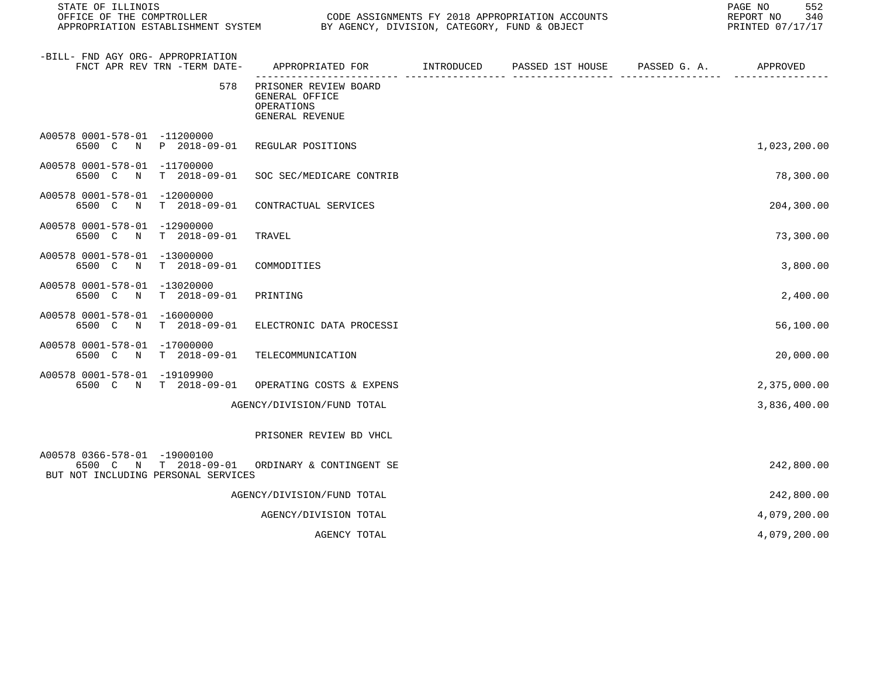| STATE OF ILLINOIS<br>OFFICE OF THE COMPTROLLER                      | APPROPRIATION ESTABLISHMENT SYSTEM | BY AGENCY, DIVISION, CATEGORY, FUND & OBJECT                             |              | CODE ASSIGNMENTS FY 2018 APPROPRIATION ACCOUNTS | 552<br>PAGE NO<br>340<br>REPORT NO<br>PRINTED 07/17/17 |
|---------------------------------------------------------------------|------------------------------------|--------------------------------------------------------------------------|--------------|-------------------------------------------------|--------------------------------------------------------|
| -BILL- FND AGY ORG- APPROPRIATION                                   | FNCT APR REV TRN -TERM DATE-       | APPROPRIATED FOR INTRODUCED                                              |              | PASSED 1ST HOUSE PASSED G. A.                   | APPROVED                                               |
|                                                                     | 578                                | PRISONER REVIEW BOARD<br>GENERAL OFFICE<br>OPERATIONS<br>GENERAL REVENUE | ---------- - | ------------- ----                              |                                                        |
| A00578 0001-578-01 -11200000                                        | 6500 C N P 2018-09-01              | REGULAR POSITIONS                                                        |              |                                                 | 1,023,200.00                                           |
| A00578 0001-578-01 -11700000<br>6500 C N                            | T 2018-09-01                       | SOC SEC/MEDICARE CONTRIB                                                 |              |                                                 | 78,300.00                                              |
| A00578 0001-578-01 -12000000<br>6500 C N                            | $T = 2018 - 09 - 01$               | CONTRACTUAL SERVICES                                                     |              |                                                 | 204,300.00                                             |
| A00578 0001-578-01 -12900000<br>6500 C N                            | T 2018-09-01                       | TRAVEL                                                                   |              |                                                 | 73,300.00                                              |
| A00578 0001-578-01 -13000000<br>6500 C N                            | $T = 2018 - 09 - 01$               | COMMODITIES                                                              |              |                                                 | 3,800.00                                               |
| A00578 0001-578-01 -13020000<br>6500 C<br>N                         | T 2018-09-01                       | PRINTING                                                                 |              |                                                 | 2,400.00                                               |
| A00578 0001-578-01 -16000000<br>6500 C N                            | T 2018-09-01                       | ELECTRONIC DATA PROCESSI                                                 |              |                                                 | 56,100.00                                              |
| A00578 0001-578-01 -17000000<br>6500 C N                            | T 2018-09-01                       | TELECOMMUNICATION                                                        |              |                                                 | 20,000.00                                              |
| A00578 0001-578-01 -19109900                                        | 6500 C N T 2018-09-01              | OPERATING COSTS & EXPENS                                                 |              |                                                 | 2,375,000.00                                           |
|                                                                     |                                    | AGENCY/DIVISION/FUND TOTAL                                               |              |                                                 | 3,836,400.00                                           |
|                                                                     |                                    | PRISONER REVIEW BD VHCL                                                  |              |                                                 |                                                        |
| A00578 0366-578-01 -19000100<br>BUT NOT INCLUDING PERSONAL SERVICES |                                    | 6500 C N T 2018-09-01 ORDINARY & CONTINGENT SE                           |              |                                                 | 242,800.00                                             |
|                                                                     |                                    | AGENCY/DIVISION/FUND TOTAL                                               |              |                                                 | 242,800.00                                             |
|                                                                     |                                    | AGENCY/DIVISION TOTAL                                                    |              |                                                 | 4,079,200.00                                           |
|                                                                     |                                    | AGENCY TOTAL                                                             |              |                                                 | 4,079,200.00                                           |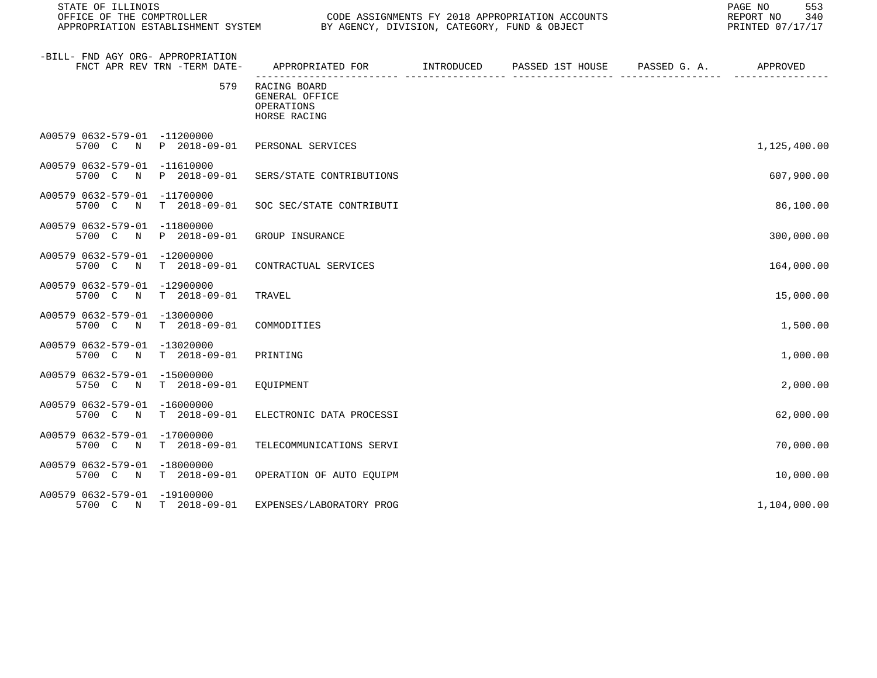| STATE OF ILLINOIS                        |                              |                                                                                             |  | 553<br>PAGE NO<br>REPORT NO<br>340<br>PRINTED 07/17/17 |              |
|------------------------------------------|------------------------------|---------------------------------------------------------------------------------------------|--|--------------------------------------------------------|--------------|
| -BILL- FND AGY ORG- APPROPRIATION        | FNCT APR REV TRN -TERM DATE- | APPROPRIATED FOR         INTRODUCED      PASSED 1ST HOUSE     PASSED G. A.         APPROVED |  |                                                        |              |
|                                          | 579                          | RACING BOARD<br>GENERAL OFFICE<br>OPERATIONS<br>HORSE RACING                                |  |                                                        |              |
| A00579 0632-579-01 -11200000             |                              | 5700 C N P 2018-09-01 PERSONAL SERVICES                                                     |  |                                                        | 1,125,400.00 |
| A00579 0632-579-01 -11610000             | 5700 C N P 2018-09-01        | SERS/STATE CONTRIBUTIONS                                                                    |  |                                                        | 607,900.00   |
| A00579 0632-579-01 -11700000<br>5700 C N | T 2018-09-01                 | SOC SEC/STATE CONTRIBUTI                                                                    |  |                                                        | 86,100.00    |
| A00579 0632-579-01 -11800000             | 5700 C N P 2018-09-01        | GROUP INSURANCE                                                                             |  |                                                        | 300,000.00   |
| A00579 0632-579-01 -12000000<br>5700 C N | T 2018-09-01                 | CONTRACTUAL SERVICES                                                                        |  |                                                        | 164,000.00   |
| A00579 0632-579-01 -12900000             | 5700 C N T 2018-09-01        | TRAVEL                                                                                      |  |                                                        | 15,000.00    |
| A00579 0632-579-01 -13000000             | 5700 C N T 2018-09-01        | COMMODITIES                                                                                 |  |                                                        | 1,500.00     |
| A00579 0632-579-01 -13020000             | 5700 C N T 2018-09-01        | PRINTING                                                                                    |  |                                                        | 1,000.00     |
| A00579 0632-579-01 -15000000             | 5750 C N T 2018-09-01        | EOUIPMENT                                                                                   |  |                                                        | 2,000.00     |
| A00579 0632-579-01 -16000000             | 5700 C N T 2018-09-01        | ELECTRONIC DATA PROCESSI                                                                    |  |                                                        | 62,000.00    |
| A00579 0632-579-01 -17000000<br>5700 C N | T 2018-09-01                 | TELECOMMUNICATIONS SERVI                                                                    |  |                                                        | 70,000.00    |
| A00579 0632-579-01 -18000000             | 5700 C N T 2018-09-01        | OPERATION OF AUTO EQUIPM                                                                    |  |                                                        | 10,000.00    |
| A00579 0632-579-01 -19100000             | 5700 C N T 2018-09-01        | EXPENSES/LABORATORY PROG                                                                    |  |                                                        | 1,104,000.00 |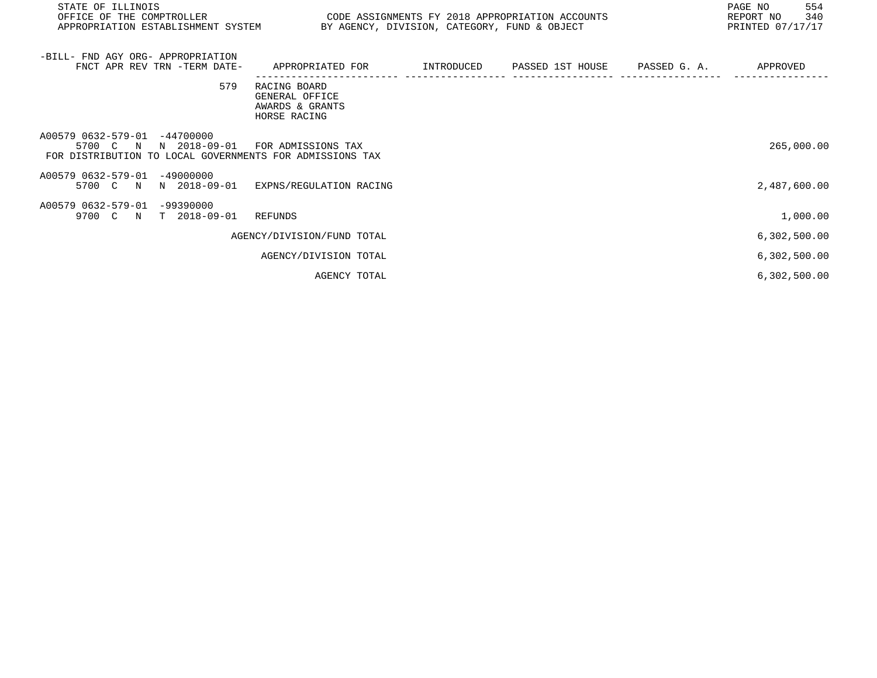| STATE OF ILLINOIS<br>OFFICE OF THE COMPTROLLER<br>APPROPRIATION ESTABLISHMENT SYSTEM BY AGENCY, DIVISION, CATEGORY, FUND & OBJECT | CODE ASSIGNMENTS FY 2018 APPROPRIATION ACCOUNTS                                 |  | 554<br>PAGE NO<br>340<br>REPORT NO<br>PRINTED 07/17/17 |
|-----------------------------------------------------------------------------------------------------------------------------------|---------------------------------------------------------------------------------|--|--------------------------------------------------------|
| -BILL- FND AGY ORG- APPROPRIATION<br>FNCT APR REV TRN -TERM DATE-                                                                 | APPROPRIATED FOR      INTRODUCED   PASSED 1ST HOUSE    PASSED G.A.     APPROVED |  |                                                        |
| 579                                                                                                                               | RACING BOARD<br>GENERAL OFFICE<br>AWARDS & GRANTS<br>HORSE RACING               |  |                                                        |
| A00579 0632-579-01 -44700000<br>5700 C N N 2018-09-01<br>FOR DISTRIBUTION TO LOCAL GOVERNMENTS FOR ADMISSIONS TAX                 | FOR ADMISSIONS TAX                                                              |  | 265,000.00                                             |
| A00579 0632-579-01 -49000000<br>N 2018-09-01<br>5700 C N                                                                          | EXPNS/REGULATION RACING                                                         |  | 2,487,600.00                                           |
| A00579 0632-579-01 -99390000<br>9700 C N T 2018-09-01                                                                             | REFUNDS                                                                         |  | 1,000.00                                               |
|                                                                                                                                   | AGENCY/DIVISION/FUND TOTAL                                                      |  | 6,302,500.00                                           |
|                                                                                                                                   | AGENCY/DIVISION TOTAL                                                           |  | 6,302,500.00                                           |
|                                                                                                                                   | AGENCY TOTAL                                                                    |  | 6,302,500.00                                           |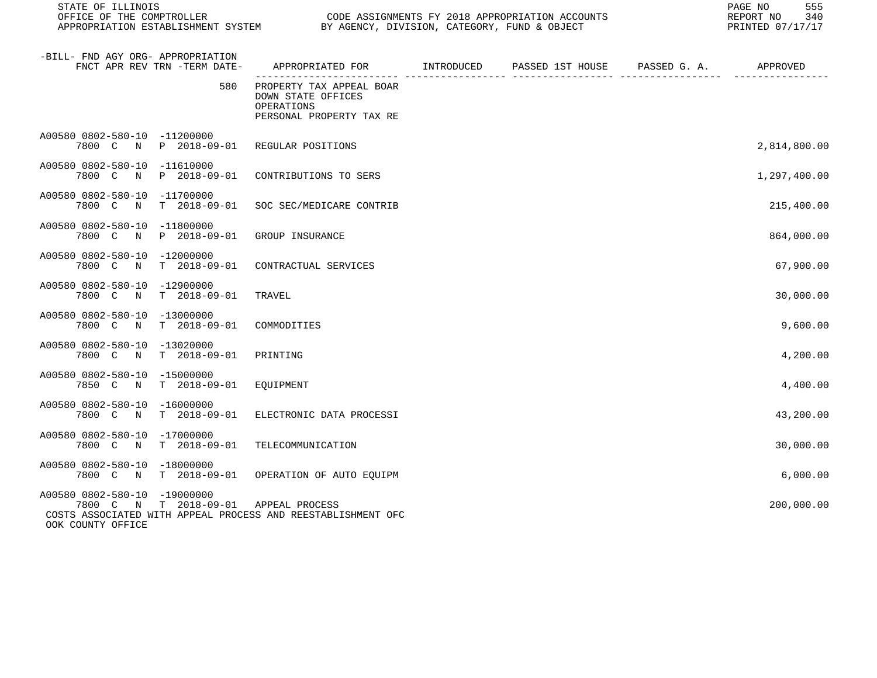| STATE OF ILLINOIS<br>OFFICE OF THE COMPTROLLER                                                                                             |                                                                                          | CODE ASSIGNMENTS FY 2018 APPROPRIATION ACCOUNTS | 555<br>PAGE NO<br>REPORT NO<br>340<br>PRINTED 07/17/17 |
|--------------------------------------------------------------------------------------------------------------------------------------------|------------------------------------------------------------------------------------------|-------------------------------------------------|--------------------------------------------------------|
| -BILL- FND AGY ORG- APPROPRIATION<br>FNCT APR REV TRN -TERM DATE-                                                                          | APPROPRIATED FOR INTRODUCED                                                              | PASSED 1ST HOUSE PASSED G. A. APPROVED          |                                                        |
| 580                                                                                                                                        | PROPERTY TAX APPEAL BOAR<br>DOWN STATE OFFICES<br>OPERATIONS<br>PERSONAL PROPERTY TAX RE |                                                 |                                                        |
| A00580 0802-580-10 -11200000<br>7800 C N P 2018-09-01                                                                                      | REGULAR POSITIONS                                                                        |                                                 | 2,814,800.00                                           |
| A00580 0802-580-10 -11610000<br>7800 C N<br>P 2018-09-01                                                                                   | CONTRIBUTIONS TO SERS                                                                    |                                                 | 1,297,400.00                                           |
| A00580 0802-580-10 -11700000<br>7800 C N<br>$T = 2018 - 09 - 01$                                                                           | SOC SEC/MEDICARE CONTRIB                                                                 |                                                 | 215,400.00                                             |
| A00580 0802-580-10 -11800000<br>P 2018-09-01<br>7800 C<br>$\mathbb N$                                                                      | GROUP INSURANCE                                                                          |                                                 | 864,000.00                                             |
| A00580 0802-580-10 -12000000<br>7800 C N<br>T 2018-09-01                                                                                   | CONTRACTUAL SERVICES                                                                     |                                                 | 67,900.00                                              |
| A00580 0802-580-10 -12900000<br>7800 C N T 2018-09-01                                                                                      | TRAVEL                                                                                   |                                                 | 30,000.00                                              |
| A00580 0802-580-10 -13000000<br>7800 C N T 2018-09-01                                                                                      | COMMODITIES                                                                              |                                                 | 9,600.00                                               |
| A00580 0802-580-10 -13020000<br>$T = 2018 - 09 - 01$<br>7800 C N                                                                           | PRINTING                                                                                 |                                                 | 4,200.00                                               |
| A00580 0802-580-10 -15000000<br>7850 C N<br>$T = 2018 - 09 - 01$                                                                           | EQUIPMENT                                                                                |                                                 | 4,400.00                                               |
| A00580 0802-580-10 -16000000<br>T 2018-09-01<br>7800 C N                                                                                   | ELECTRONIC DATA PROCESSI                                                                 |                                                 | 43,200.00                                              |
| A00580 0802-580-10 -17000000<br>7800 C N<br>T 2018-09-01                                                                                   | TELECOMMUNICATION                                                                        |                                                 | 30,000.00                                              |
| A00580 0802-580-10 -18000000<br>T 2018-09-01<br>7800 C N                                                                                   | OPERATION OF AUTO EQUIPM                                                                 |                                                 | 6,000.00                                               |
| A00580 0802-580-10 -19000000<br>7800 C N T 2018-09-01<br>COSTS ASSOCIATED WITH APPEAL PROCESS AND REESTABLISHMENT OFC<br>OOK COUNTY OFFICE | APPEAL PROCESS                                                                           |                                                 | 200,000.00                                             |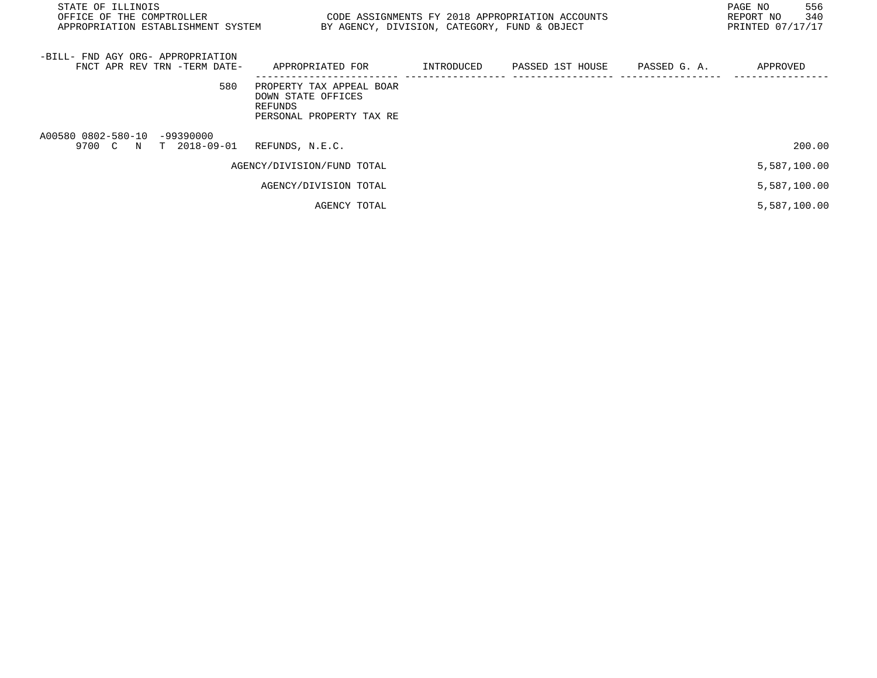| STATE OF ILLINOIS<br>OFFICE OF THE COMPTROLLER THE STATE STATE OF ASSIGNMENTS FY 2018 APPROPRIATION ACCOUNTS<br>APPROPRIATION ESTABLISHMENT SYSTEM | BY AGENCY, DIVISION, CATEGORY, FUND & OBJECT                                          | 556<br>PAGE NO<br>340<br>REPORT NO<br>PRINTED 07/17/17 |                               |  |              |
|----------------------------------------------------------------------------------------------------------------------------------------------------|---------------------------------------------------------------------------------------|--------------------------------------------------------|-------------------------------|--|--------------|
| -BILL- FND AGY ORG- APPROPRIATION<br>FNCT APR REV TRN -TERM DATE-                                                                                  | APPROPRIATED FOR                                                                      | INTRODUCED                                             | PASSED 1ST HOUSE PASSED G. A. |  | APPROVED     |
| 580                                                                                                                                                | PROPERTY TAX APPEAL BOAR<br>DOWN STATE OFFICES<br>REFUNDS<br>PERSONAL PROPERTY TAX RE |                                                        |                               |  |              |
| A00580 0802-580-10 -99390000<br>9700 C N T 2018-09-01                                                                                              | REFUNDS, N.E.C.                                                                       |                                                        |                               |  | 200.00       |
|                                                                                                                                                    | AGENCY/DIVISION/FUND TOTAL                                                            |                                                        |                               |  | 5,587,100.00 |
|                                                                                                                                                    | AGENCY/DIVISION TOTAL                                                                 |                                                        |                               |  | 5,587,100.00 |
|                                                                                                                                                    | AGENCY TOTAL                                                                          |                                                        |                               |  | 5,587,100.00 |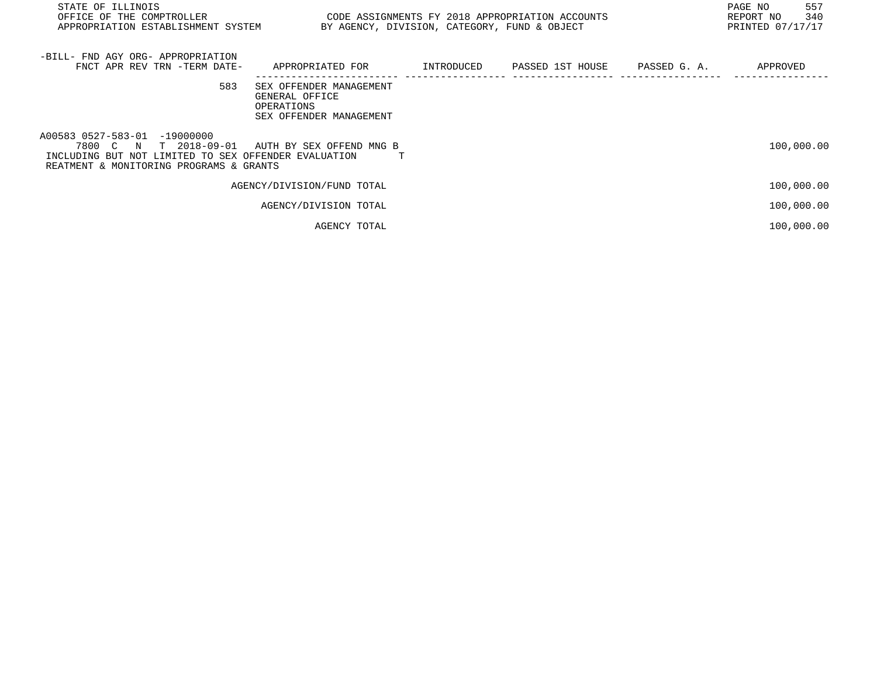| STATE OF ILLINOIS<br>OFFICE OF THE COMPTROLLER THE SERIES TO CODE ASSIGNMENTS FY 2018 APPROPRIATION ACCOUNTS<br>APPROPRIATION ESTABLISHMENT SYSTEM                                |                                                                                        | BY AGENCY, DIVISION, CATEGORY, FUND & OBJECT | 557<br>PAGE NO<br>340<br>REPORT NO<br>PRINTED 07/17/17 |
|-----------------------------------------------------------------------------------------------------------------------------------------------------------------------------------|----------------------------------------------------------------------------------------|----------------------------------------------|--------------------------------------------------------|
| -BILL- FND AGY ORG- APPROPRIATION<br>FNCT APR REV TRN -TERM DATE-                                                                                                                 | APPROPRIATED FOR       INTRODUCED     PASSED 1ST HOUSE     PASSED G. A.       APPROVED |                                              |                                                        |
| 583                                                                                                                                                                               | SEX OFFENDER MANAGEMENT<br>GENERAL OFFICE<br>OPERATIONS<br>SEX OFFENDER MANAGEMENT     |                                              |                                                        |
| A00583 0527-583-01 -19000000<br>7800 C N T 2018-09-01 AUTH BY SEX OFFEND MNG B<br>INCLUDING BUT NOT LIMITED TO SEX OFFENDER EVALUATION<br>REATMENT & MONITORING PROGRAMS & GRANTS |                                                                                        |                                              | 100,000.00                                             |
|                                                                                                                                                                                   | AGENCY/DIVISION/FUND TOTAL                                                             |                                              | 100,000.00                                             |
|                                                                                                                                                                                   | AGENCY/DIVISION TOTAL                                                                  |                                              | 100,000.00                                             |
|                                                                                                                                                                                   | AGENCY TOTAL                                                                           |                                              | 100,000.00                                             |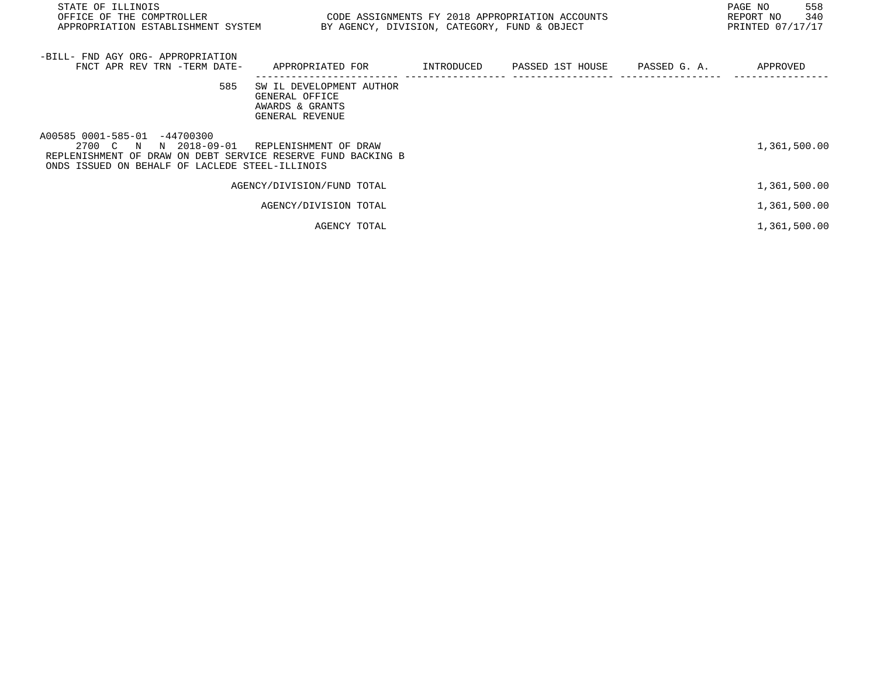| STATE OF ILLINOIS<br>OFFICE OF THE COMPTROLLER<br>APPROPRIATION ESTABLISHMENT SYSTEM                                                                                     | CODE ASSIGNMENTS FY 2018 APPROPRIATION ACCOUNTS<br>BY AGENCY, DIVISION, CATEGORY, FUND & OBJECT |  | 558<br>PAGE NO<br>340<br>REPORT NO<br>PRINTED 07/17/17 |
|--------------------------------------------------------------------------------------------------------------------------------------------------------------------------|-------------------------------------------------------------------------------------------------|--|--------------------------------------------------------|
| -BILL- FND AGY ORG- APPROPRIATION<br>FNCT APR REV TRN -TERM DATE-                                                                                                        | APPROPRIATED FOR      INTRODUCED    PASSED 1ST HOUSE    PASSED G. A.                            |  | APPROVED                                               |
| 585                                                                                                                                                                      | SW IL DEVELOPMENT AUTHOR<br>GENERAL OFFICE<br>AWARDS & GRANTS<br>GENERAL REVENUE                |  |                                                        |
| A00585 0001-585-01 -44700300<br>2700 C N N 2018-09-01<br>REPLENISHMENT OF DRAW ON DEBT SERVICE RESERVE FUND BACKING B<br>ONDS ISSUED ON BEHALF OF LACLEDE STEEL-ILLINOIS | REPLENISHMENT OF DRAW                                                                           |  | 1,361,500.00                                           |
|                                                                                                                                                                          | AGENCY/DIVISION/FUND TOTAL                                                                      |  | 1,361,500.00                                           |
|                                                                                                                                                                          | AGENCY/DIVISION TOTAL                                                                           |  | 1,361,500.00                                           |
|                                                                                                                                                                          | AGENCY TOTAL                                                                                    |  | 1,361,500.00                                           |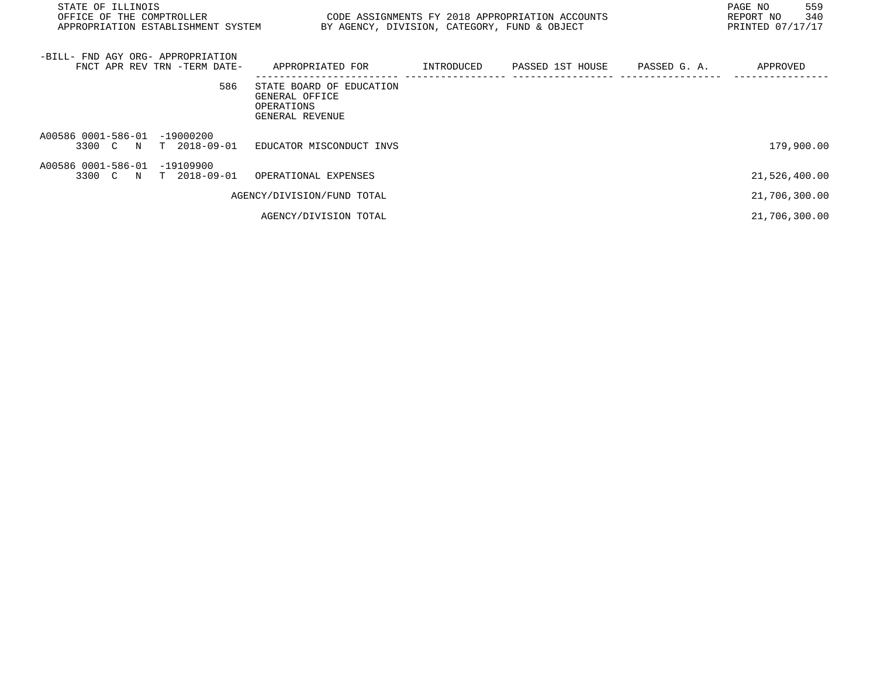| STATE OF ILLINOIS<br>OFFICE OF THE COMPTROLLER<br>APPROPRIATION ESTABLISHMENT SYSTEM BY AGENCY, DIVISION, CATEGORY, FUND & OBJECT |                                                                             | CODE ASSIGNMENTS FY 2018 APPROPRIATION ACCOUNTS | 559<br>PAGE NO<br>340<br>REPORT NO<br>PRINTED 07/17/17 |
|-----------------------------------------------------------------------------------------------------------------------------------|-----------------------------------------------------------------------------|-------------------------------------------------|--------------------------------------------------------|
| -BILL- FND AGY ORG- APPROPRIATION<br>FNCT APR REV TRN -TERM DATE-                                                                 | APPROPRIATED FOR      INTRODUCED   PASSED 1ST HOUSE   PASSED G. A.          |                                                 | APPROVED                                               |
| 586                                                                                                                               | STATE BOARD OF EDUCATION<br>GENERAL OFFICE<br>OPERATIONS<br>GENERAL REVENUE |                                                 |                                                        |
| A00586 0001-586-01 -19000200<br>3300 C N T 2018-09-01 EDUCATOR MISCONDUCT INVS                                                    |                                                                             |                                                 | 179,900.00                                             |
| A00586 0001-586-01 -19109900<br>3300 C N T 2018-09-01 OPERATIONAL EXPENSES                                                        |                                                                             |                                                 | 21,526,400.00                                          |
|                                                                                                                                   | AGENCY/DIVISION/FUND TOTAL                                                  |                                                 | 21,706,300.00                                          |
|                                                                                                                                   | AGENCY/DIVISION TOTAL                                                       |                                                 | 21,706,300.00                                          |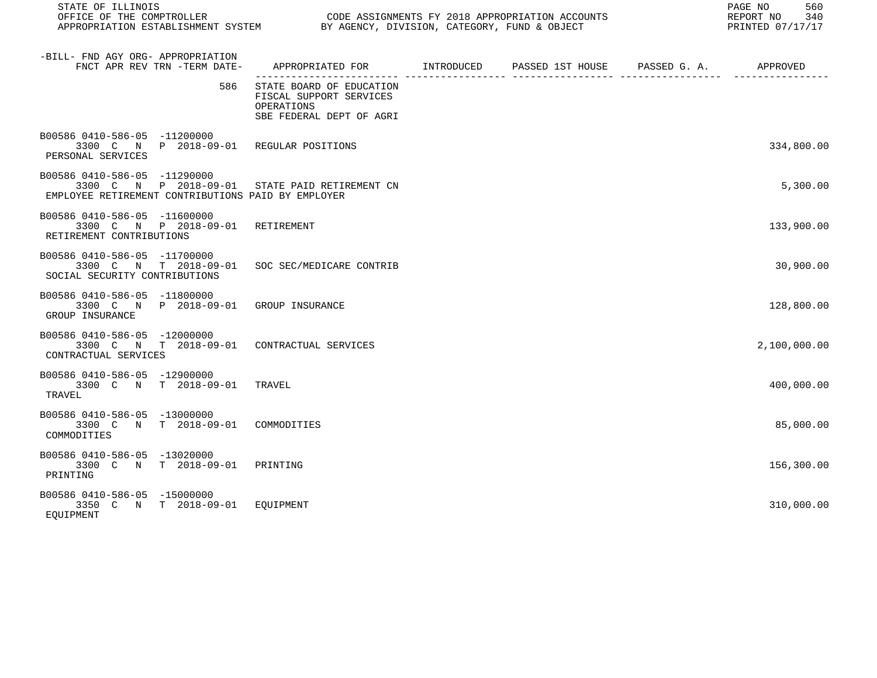| STATE OF ILLINOIS                                                                                                                    |                                                                                               |  | 560<br>PAGE NO<br>REPORT NO<br>340<br>PRINTED 07/17/17 |
|--------------------------------------------------------------------------------------------------------------------------------------|-----------------------------------------------------------------------------------------------|--|--------------------------------------------------------|
| -BILL- FND AGY ORG- APPROPRIATION<br>FNCT APR REV TRN -TERM DATE-                                                                    | APPROPRIATED FOR        INTRODUCED      PASSED 1ST HOUSE     PASSED G. A.         APPROVED    |  |                                                        |
| 586                                                                                                                                  | STATE BOARD OF EDUCATION<br>FISCAL SUPPORT SERVICES<br>OPERATIONS<br>SBE FEDERAL DEPT OF AGRI |  |                                                        |
| B00586 0410-586-05 -11200000<br>3300 C N P 2018-09-01 REGULAR POSITIONS<br>PERSONAL SERVICES                                         |                                                                                               |  | 334,800.00                                             |
| B00586 0410-586-05 -11290000<br>3300 C N P 2018-09-01 STATE PAID RETIREMENT CN<br>EMPLOYEE RETIREMENT CONTRIBUTIONS PAID BY EMPLOYER |                                                                                               |  | 5,300.00                                               |
| B00586 0410-586-05 -11600000<br>3300 C N P 2018-09-01<br>RETIREMENT CONTRIBUTIONS                                                    | RETIREMENT                                                                                    |  | 133,900.00                                             |
| B00586 0410-586-05 -11700000<br>3300 C N T 2018-09-01<br>SOCIAL SECURITY CONTRIBUTIONS                                               | SOC SEC/MEDICARE CONTRIB                                                                      |  | 30,900.00                                              |
| B00586 0410-586-05 -11800000<br>3300 C N P 2018-09-01 GROUP INSURANCE<br>GROUP INSURANCE                                             |                                                                                               |  | 128,800.00                                             |
| B00586 0410-586-05 -12000000<br>3300 C N T 2018-09-01 CONTRACTUAL SERVICES<br>CONTRACTUAL SERVICES                                   |                                                                                               |  | 2,100,000.00                                           |
| B00586 0410-586-05 -12900000<br>3300 C N T 2018-09-01<br>TRAVEL                                                                      | TRAVEL                                                                                        |  | 400,000.00                                             |
| B00586 0410-586-05 -13000000<br>3300 C N T 2018-09-01<br>COMMODITIES                                                                 | COMMODITIES                                                                                   |  | 85,000.00                                              |
| B00586 0410-586-05 -13020000<br>3300 C N T 2018-09-01 PRINTING<br>PRINTING                                                           |                                                                                               |  | 156,300.00                                             |
| B00586 0410-586-05 -15000000<br>3350 C N T 2018-09-01 EQUIPMENT<br>EOUIPMENT                                                         |                                                                                               |  | 310,000.00                                             |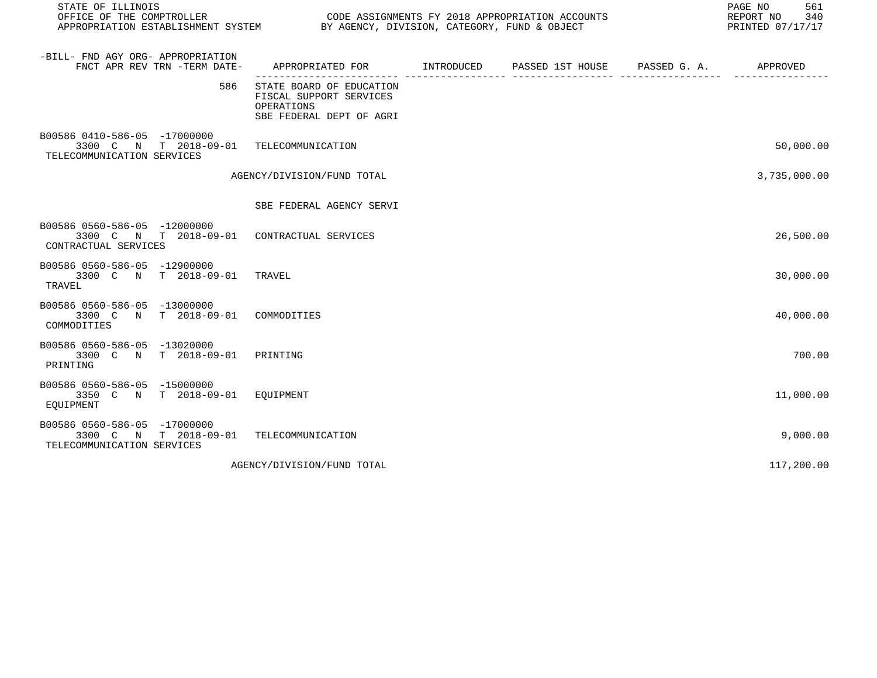| STATE OF ILLINOIS<br>OFFICE OF THE COMPTROLLER<br>APPROPRIATION ESTABLISHMENT SYSTEM               |                                                                                               |                  |              | 561<br>PAGE NO<br>REPORT NO<br>340<br>PRINTED 07/17/17 |
|----------------------------------------------------------------------------------------------------|-----------------------------------------------------------------------------------------------|------------------|--------------|--------------------------------------------------------|
| -BILL- FND AGY ORG- APPROPRIATION<br>FNCT APR REV TRN -TERM DATE-                                  | APPROPRIATED FOR INTRODUCED                                                                   | PASSED 1ST HOUSE | PASSED G. A. | APPROVED                                               |
| 586                                                                                                | STATE BOARD OF EDUCATION<br>FISCAL SUPPORT SERVICES<br>OPERATIONS<br>SBE FEDERAL DEPT OF AGRI |                  |              |                                                        |
| B00586 0410-586-05 -17000000<br>3300 C N T 2018-09-01<br>TELECOMMUNICATION SERVICES                | TELECOMMUNICATION                                                                             |                  |              | 50,000.00                                              |
|                                                                                                    | AGENCY/DIVISION/FUND TOTAL                                                                    |                  |              | 3,735,000.00                                           |
|                                                                                                    | SBE FEDERAL AGENCY SERVI                                                                      |                  |              |                                                        |
| B00586 0560-586-05 -12000000<br>3300 C N T 2018-09-01 CONTRACTUAL SERVICES<br>CONTRACTUAL SERVICES |                                                                                               |                  |              | 26,500.00                                              |
| B00586 0560-586-05 -12900000<br>3300 C N T 2018-09-01<br>TRAVEL                                    | TRAVEL                                                                                        |                  |              | 30,000.00                                              |
| B00586 0560-586-05 -13000000<br>3300 C N T 2018-09-01<br>COMMODITIES                               | COMMODITIES                                                                                   |                  |              | 40,000.00                                              |
| B00586 0560-586-05 -13020000<br>3300 C N T 2018-09-01<br>PRINTING                                  | PRINTING                                                                                      |                  |              | 700.00                                                 |
| B00586 0560-586-05 -15000000<br>3350 C N T 2018-09-01 EOUIPMENT<br>EOUIPMENT                       |                                                                                               |                  |              | 11,000.00                                              |
| B00586 0560-586-05 -17000000<br>T 2018-09-01<br>3300 C N<br>TELECOMMUNICATION SERVICES             | TELECOMMUNICATION                                                                             |                  |              | 9,000.00                                               |
|                                                                                                    | AGENCY/DIVISION/FUND TOTAL                                                                    |                  |              | 117,200.00                                             |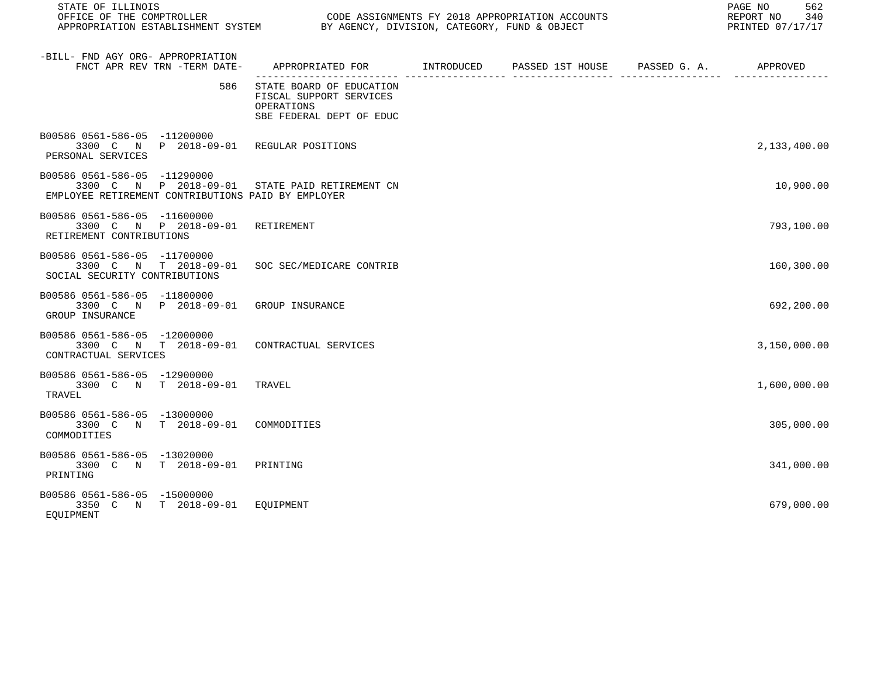| STATE OF ILLINOIS                                                                                                                    |                                                                                               |  | PAGE NO<br>562<br>REPORT NO<br>340<br>PRINTED 07/17/17 |
|--------------------------------------------------------------------------------------------------------------------------------------|-----------------------------------------------------------------------------------------------|--|--------------------------------------------------------|
| -BILL- FND AGY ORG- APPROPRIATION<br>FNCT APR REV TRN -TERM DATE-                                                                    | APPROPRIATED FOR       INTRODUCED     PASSED 1ST HOUSE     PASSED G. A.        APPROVED       |  |                                                        |
| 586                                                                                                                                  | STATE BOARD OF EDUCATION<br>FISCAL SUPPORT SERVICES<br>OPERATIONS<br>SBE FEDERAL DEPT OF EDUC |  |                                                        |
| B00586 0561-586-05 -11200000<br>3300 C N P 2018-09-01 REGULAR POSITIONS<br>PERSONAL SERVICES                                         |                                                                                               |  | 2,133,400.00                                           |
| B00586 0561-586-05 -11290000<br>3300 C N P 2018-09-01 STATE PAID RETIREMENT CN<br>EMPLOYEE RETIREMENT CONTRIBUTIONS PAID BY EMPLOYER |                                                                                               |  | 10,900.00                                              |
| B00586 0561-586-05 -11600000<br>3300 C N P 2018-09-01<br>RETIREMENT CONTRIBUTIONS                                                    | RETIREMENT                                                                                    |  | 793,100.00                                             |
| B00586 0561-586-05 -11700000<br>3300 C N T 2018-09-01<br>SOCIAL SECURITY CONTRIBUTIONS                                               | SOC SEC/MEDICARE CONTRIB                                                                      |  | 160,300.00                                             |
| B00586 0561-586-05 -11800000<br>3300 C N P 2018-09-01 GROUP INSURANCE<br>GROUP INSURANCE                                             |                                                                                               |  | 692,200.00                                             |
| B00586 0561-586-05 -12000000<br>3300 C N T 2018-09-01<br>CONTRACTUAL SERVICES                                                        | CONTRACTUAL SERVICES                                                                          |  | 3,150,000.00                                           |
| B00586 0561-586-05 -12900000<br>3300 C N T 2018-09-01<br>TRAVEL                                                                      | TRAVEL                                                                                        |  | 1,600,000.00                                           |
| B00586 0561-586-05 -13000000<br>T 2018-09-01<br>3300 C N<br>COMMODITIES                                                              | COMMODITIES                                                                                   |  | 305,000.00                                             |
| B00586 0561-586-05 -13020000<br>3300 C N T 2018-09-01<br>PRINTING                                                                    | PRINTING                                                                                      |  | 341,000.00                                             |
| B00586 0561-586-05 -15000000<br>3350 C N T 2018-09-01 EOUIPMENT<br>EOUIPMENT                                                         |                                                                                               |  | 679,000.00                                             |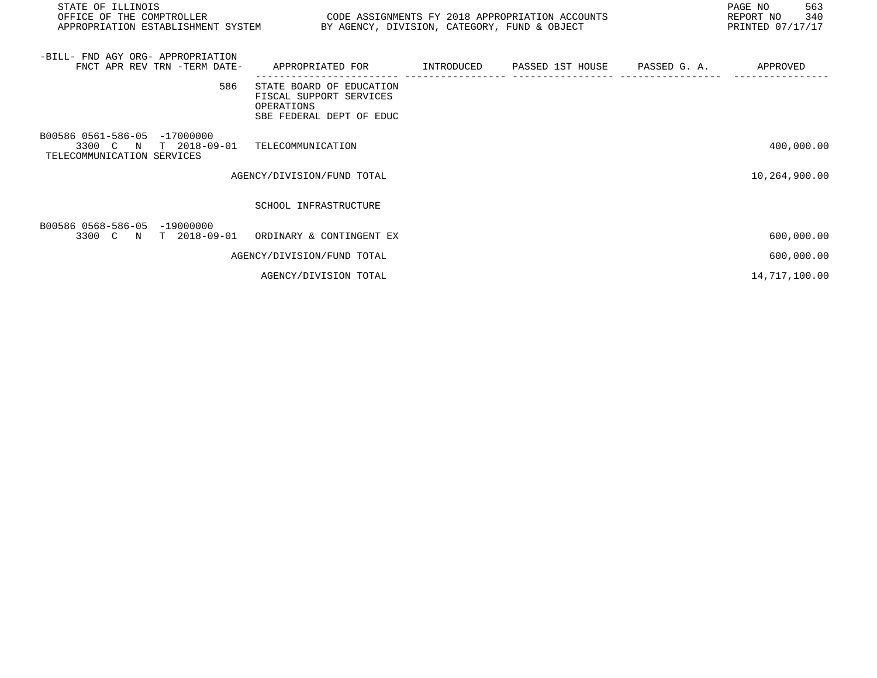| STATE OF ILLINOIS<br>OFFICE OF THE COMPTROLLER<br>APPROPRIATION ESTABLISHMENT SYSTEM     | CODE ASSIGNMENTS FY 2018 APPROPRIATION ACCOUNTS<br>BY AGENCY, DIVISION, CATEGORY, FUND & OBJECT |  | PAGE NO<br>563<br>340<br>REPORT NO<br>PRINTED 07/17/17 |
|------------------------------------------------------------------------------------------|-------------------------------------------------------------------------------------------------|--|--------------------------------------------------------|
| -BILL- FND AGY ORG- APPROPRIATION<br>FNCT APR REV TRN -TERM DATE-                        | APPROPRIATED FOR         INTRODUCED     PASSED 1ST HOUSE     PASSED G. A.                       |  | APPROVED                                               |
| 586                                                                                      | STATE BOARD OF EDUCATION<br>FISCAL SUPPORT SERVICES<br>OPERATIONS<br>SBE FEDERAL DEPT OF EDUC   |  |                                                        |
| B00586 0561-586-05 -17000000<br>$T$ 2018-09-01<br>3300 C N<br>TELECOMMUNICATION SERVICES | TELECOMMUNICATION                                                                               |  | 400,000.00                                             |
|                                                                                          | AGENCY/DIVISION/FUND TOTAL                                                                      |  | 10,264,900.00                                          |
|                                                                                          | SCHOOL INFRASTRUCTURE                                                                           |  |                                                        |
| B00586 0568-586-05 -19000000<br>3300 C N T 2018-09-01                                    | ORDINARY & CONTINGENT EX                                                                        |  | 600,000.00                                             |
|                                                                                          | AGENCY/DIVISION/FUND TOTAL                                                                      |  | 600,000.00                                             |
|                                                                                          | AGENCY/DIVISION TOTAL                                                                           |  | 14,717,100.00                                          |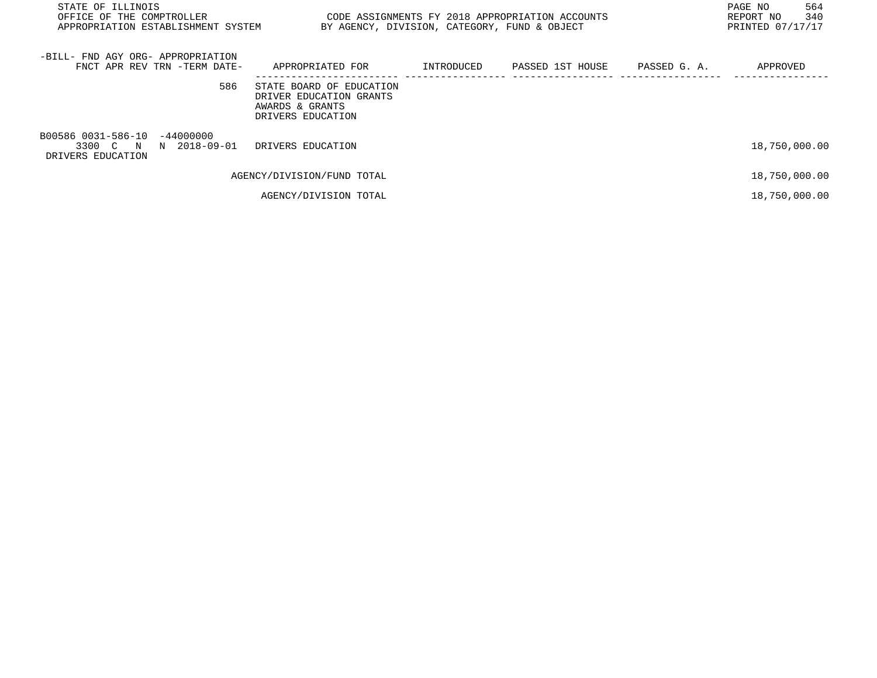| STATE OF ILLINOIS<br>OFFICE OF THE COMPTROLLER<br>APPROPRIATION ESTABLISHMENT SYSTEM | CODE ASSIGNMENTS FY 2018 APPROPRIATION ACCOUNTS<br>BY AGENCY, DIVISION, CATEGORY, FUND & OBJECT | PAGE NO<br>564<br>340<br>REPORT NO<br>PRINTED 07/17/17 |  |               |
|--------------------------------------------------------------------------------------|-------------------------------------------------------------------------------------------------|--------------------------------------------------------|--|---------------|
| -BILL- FND AGY ORG- APPROPRIATION<br>FNCT APR REV TRN -TERM DATE-                    | APPROPRIATED FOR                                                                                | INTRODUCED PASSED 1ST HOUSE PASSED G.A.                |  | APPROVED      |
| 586                                                                                  | STATE BOARD OF EDUCATION<br>DRIVER EDUCATION GRANTS<br>AWARDS & GRANTS<br>DRIVERS EDUCATION     |                                                        |  |               |
| B00586 0031-586-10 -44000000<br>3300 C N N 2018-09-01<br>DRIVERS EDUCATION           | DRIVERS EDUCATION                                                                               |                                                        |  | 18,750,000.00 |
|                                                                                      | AGENCY/DIVISION/FUND TOTAL                                                                      |                                                        |  | 18,750,000.00 |
|                                                                                      | AGENCY/DIVISION TOTAL                                                                           |                                                        |  | 18,750,000.00 |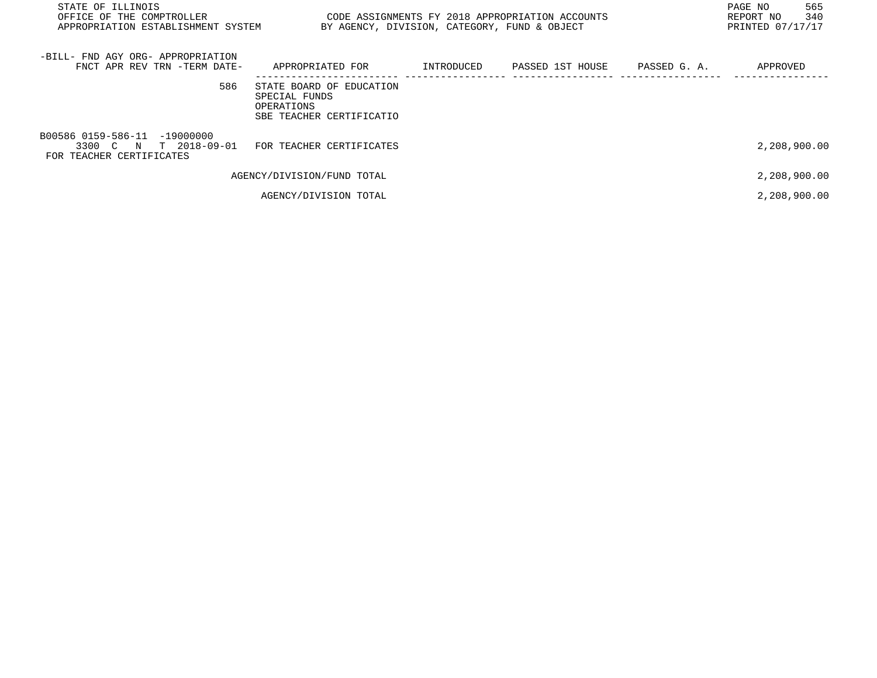| STATE OF ILLINOIS<br>CODE ASSIGNMENTS FY 2018 APPROPRIATION ACCOUNTS<br>OFFICE OF THE COMPTROLLER<br>APPROPRIATION ESTABLISHMENT SYSTEM<br>BY AGENCY, DIVISION, CATEGORY, FUND & OBJECT |                                                                                     |            |                  |              |              |
|-----------------------------------------------------------------------------------------------------------------------------------------------------------------------------------------|-------------------------------------------------------------------------------------|------------|------------------|--------------|--------------|
| -BILL- FND AGY ORG- APPROPRIATION<br>FNCT APR REV TRN -TERM DATE-                                                                                                                       | APPROPRIATED FOR                                                                    | INTRODUCED | PASSED 1ST HOUSE | PASSED G. A. | APPROVED     |
| 586                                                                                                                                                                                     | STATE BOARD OF EDUCATION<br>SPECIAL FUNDS<br>OPERATIONS<br>SBE TEACHER CERTIFICATIO |            |                  |              |              |
| B00586 0159-586-11 -19000000<br>3300 C N T 2018-09-01<br>FOR TEACHER CERTIFICATES                                                                                                       | FOR TEACHER CERTIFICATES                                                            |            |                  |              | 2,208,900.00 |
|                                                                                                                                                                                         | AGENCY/DIVISION/FUND TOTAL                                                          |            |                  |              | 2,208,900.00 |
|                                                                                                                                                                                         | AGENCY/DIVISION TOTAL                                                               |            |                  |              | 2,208,900.00 |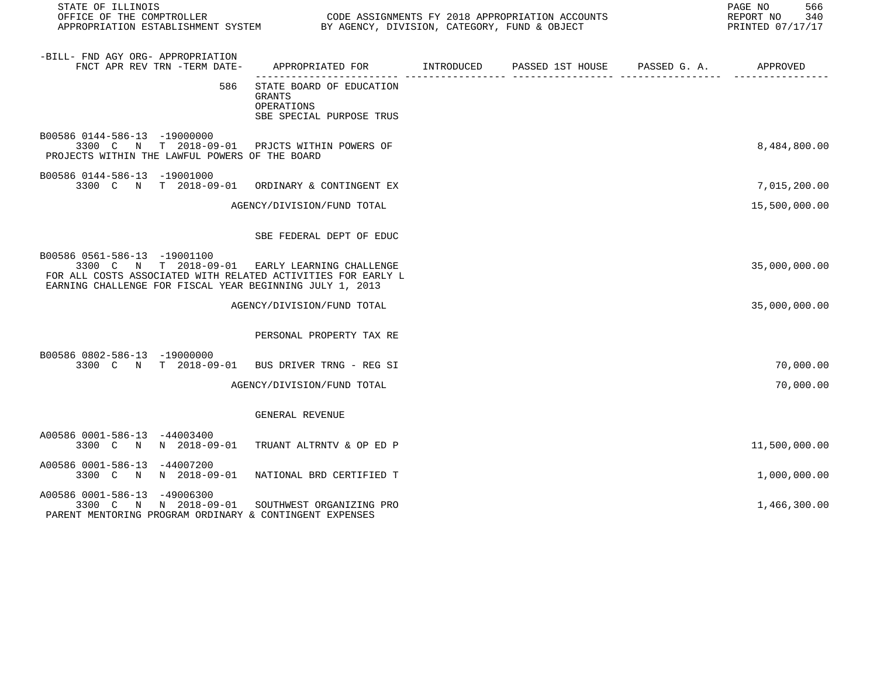| STATE OF ILLINOIS                                                              | OFFICE OF THE COMPTROLLER<br>CODE ASSIGNMENTS FY 2018 APPROPRIATION ACCOUNTS<br>APPROPRIATION ESTABLISHMENT SYSTEM BY AGENCY, DIVISION, CATEGORY, FUND & OBJECT |                                                                                                                                                                            |  |  |  | PAGE NO<br>566<br>REPORT NO 340<br>PRINTED 07/17/17 |
|--------------------------------------------------------------------------------|-----------------------------------------------------------------------------------------------------------------------------------------------------------------|----------------------------------------------------------------------------------------------------------------------------------------------------------------------------|--|--|--|-----------------------------------------------------|
| -BILL- FND AGY ORG- APPROPRIATION                                              | FNCT APR REV TRN -TERM DATE-                                                                                                                                    | APPROPRIATED FOR        INTRODUCED      PASSED 1ST HOUSE     PASSED G. A.         APPROVED                                                                                 |  |  |  |                                                     |
|                                                                                | 586                                                                                                                                                             | STATE BOARD OF EDUCATION<br>GRANTS<br>OPERATIONS<br>SBE SPECIAL PURPOSE TRUS                                                                                               |  |  |  |                                                     |
| B00586 0144-586-13 -19000000<br>PROJECTS WITHIN THE LAWFUL POWERS OF THE BOARD |                                                                                                                                                                 | 3300 C N T 2018-09-01 PRJCTS WITHIN POWERS OF                                                                                                                              |  |  |  | 8,484,800.00                                        |
| B00586 0144-586-13 -19001000                                                   |                                                                                                                                                                 | 3300 C N T 2018-09-01 ORDINARY & CONTINGENT EX                                                                                                                             |  |  |  | 7,015,200.00                                        |
|                                                                                |                                                                                                                                                                 | AGENCY/DIVISION/FUND TOTAL                                                                                                                                                 |  |  |  | 15,500,000.00                                       |
|                                                                                |                                                                                                                                                                 | SBE FEDERAL DEPT OF EDUC                                                                                                                                                   |  |  |  |                                                     |
| B00586 0561-586-13 -19001100                                                   |                                                                                                                                                                 | 3300 C N T 2018-09-01 EARLY LEARNING CHALLENGE<br>FOR ALL COSTS ASSOCIATED WITH RELATED ACTIVITIES FOR EARLY L<br>EARNING CHALLENGE FOR FISCAL YEAR BEGINNING JULY 1, 2013 |  |  |  | 35,000,000.00                                       |
|                                                                                |                                                                                                                                                                 | AGENCY/DIVISION/FUND TOTAL                                                                                                                                                 |  |  |  | 35,000,000.00                                       |
|                                                                                |                                                                                                                                                                 | PERSONAL PROPERTY TAX RE                                                                                                                                                   |  |  |  |                                                     |
| B00586 0802-586-13 -19000000                                                   |                                                                                                                                                                 | 3300 C N T 2018-09-01 BUS DRIVER TRNG - REG SI                                                                                                                             |  |  |  | 70,000.00                                           |
|                                                                                |                                                                                                                                                                 | AGENCY/DIVISION/FUND TOTAL                                                                                                                                                 |  |  |  | 70,000.00                                           |
|                                                                                |                                                                                                                                                                 | GENERAL REVENUE                                                                                                                                                            |  |  |  |                                                     |
| A00586 0001-586-13 -44003400                                                   |                                                                                                                                                                 | 3300 C N N 2018-09-01 TRUANT ALTRNTV & OP ED P                                                                                                                             |  |  |  | 11,500,000.00                                       |
| A00586 0001-586-13 -44007200                                                   |                                                                                                                                                                 | 3300 C N N 2018-09-01 NATIONAL BRD CERTIFIED T                                                                                                                             |  |  |  | 1,000,000.00                                        |
| A00586 0001-586-13 -49006300                                                   |                                                                                                                                                                 | 3300 C N N 2018-09-01 SOUTHWEST ORGANIZING PRO<br>PARENT MENTORING PROGRAM ORDINARY & CONTINGENT EXPENSES                                                                  |  |  |  | 1,466,300.00                                        |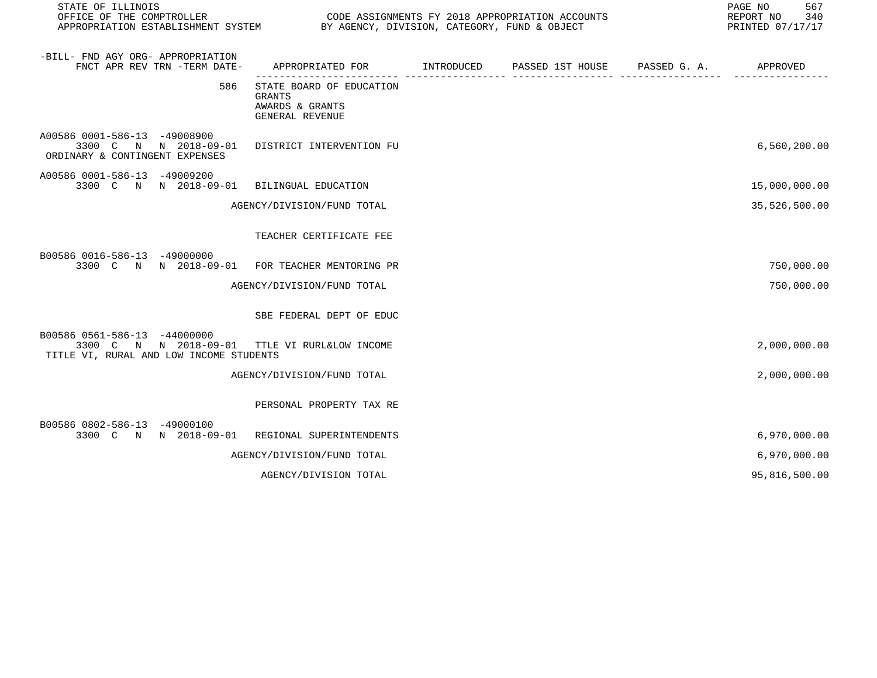| STATE OF ILLINOIS<br>OFFICE OF THE COMPTROLLER<br>APPROPRIATION ESTABLISHMENT SYSTEM BY AGENCY, DIVISION, CATEGORY, FUND & OBJECT | 567<br>PAGE NO<br>REPORT NO<br>340<br>PRINTED 07/17/17                          |              |                       |               |
|-----------------------------------------------------------------------------------------------------------------------------------|---------------------------------------------------------------------------------|--------------|-----------------------|---------------|
| -BILL- FND AGY ORG- APPROPRIATION<br>FNCT APR REV TRN -TERM DATE-                                                                 | APPROPRIATED FOR INTRODUCED PASSED 1ST HOUSE                                    | . <u>.</u> . | PASSED G. A. APPROVED |               |
| 586                                                                                                                               | STATE BOARD OF EDUCATION<br><b>GRANTS</b><br>AWARDS & GRANTS<br>GENERAL REVENUE |              |                       |               |
| A00586 0001-586-13 -49008900<br>3300 C N N 2018-09-01<br>ORDINARY & CONTINGENT EXPENSES                                           | DISTRICT INTERVENTION FU                                                        |              |                       | 6,560,200.00  |
| A00586 0001-586-13 -49009200<br>3300 C N N 2018-09-01 BILINGUAL EDUCATION                                                         |                                                                                 |              |                       | 15,000,000.00 |
|                                                                                                                                   | AGENCY/DIVISION/FUND TOTAL                                                      |              |                       | 35,526,500.00 |
|                                                                                                                                   | TEACHER CERTIFICATE FEE                                                         |              |                       |               |
| B00586 0016-586-13 -49000000<br>3300 C N N 2018-09-01 FOR TEACHER MENTORING PR                                                    |                                                                                 |              |                       | 750,000.00    |
|                                                                                                                                   | AGENCY/DIVISION/FUND TOTAL                                                      |              |                       | 750,000.00    |
|                                                                                                                                   | SBE FEDERAL DEPT OF EDUC                                                        |              |                       |               |
| B00586 0561-586-13 -44000000<br>3300 C N N 2018-09-01<br>TITLE VI, RURAL AND LOW INCOME STUDENTS                                  | TTLE VI RURL&LOW INCOME                                                         |              |                       | 2,000,000.00  |
|                                                                                                                                   | AGENCY/DIVISION/FUND TOTAL                                                      |              |                       | 2,000,000.00  |
|                                                                                                                                   | PERSONAL PROPERTY TAX RE                                                        |              |                       |               |
| B00586 0802-586-13 -49000100<br>3300 C N N 2018-09-01                                                                             | REGIONAL SUPERINTENDENTS                                                        |              |                       | 6,970,000.00  |
|                                                                                                                                   | AGENCY/DIVISION/FUND TOTAL                                                      |              |                       | 6,970,000.00  |
|                                                                                                                                   | AGENCY/DIVISION TOTAL                                                           |              |                       | 95,816,500.00 |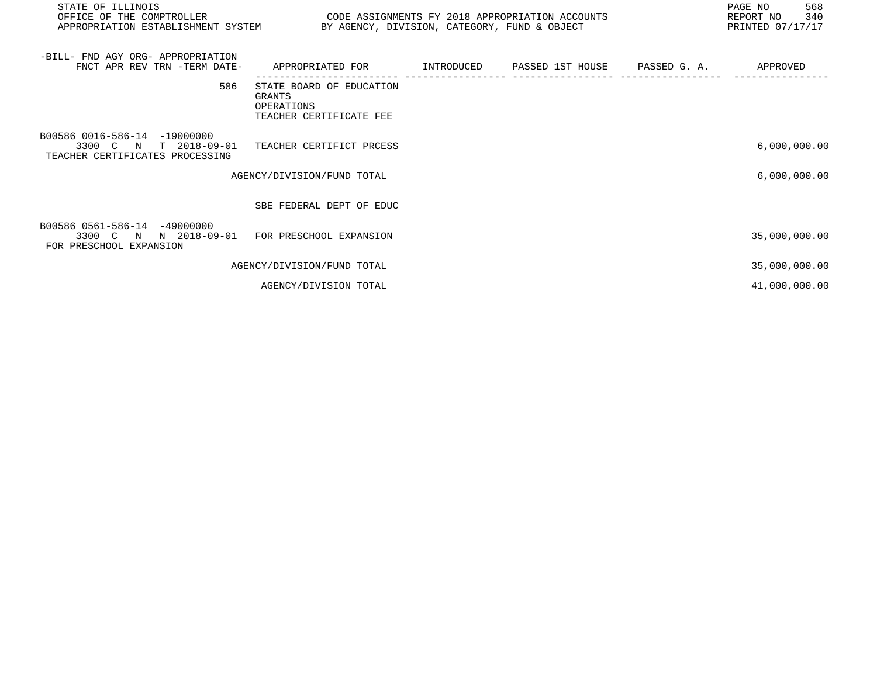| STATE OF ILLINOIS<br>OFFICE OF THE COMPTROLLER<br>APPROPRIATION ESTABLISHMENT SYSTEM                             | CODE ASSIGNMENTS FY 2018 APPROPRIATION ACCOUNTS<br>BY AGENCY, DIVISION, CATEGORY, FUND & OBJECT | 568<br>PAGE NO<br>340<br>REPORT NO<br>PRINTED 07/17/17 |                  |              |               |
|------------------------------------------------------------------------------------------------------------------|-------------------------------------------------------------------------------------------------|--------------------------------------------------------|------------------|--------------|---------------|
| -BILL- FND AGY ORG- APPROPRIATION<br>FNCT APR REV TRN -TERM DATE-                                                | APPROPRIATED FOR                                                                                | INTRODUCED                                             | PASSED 1ST HOUSE | PASSED G. A. | APPROVED      |
| 586                                                                                                              | STATE BOARD OF EDUCATION<br>GRANTS<br>OPERATIONS<br>TEACHER CERTIFICATE FEE                     |                                                        |                  |              |               |
| B00586 0016-586-14 -19000000<br>3300 C<br>$T = 2018 - 09 - 01$<br>$\mathbb N$<br>TEACHER CERTIFICATES PROCESSING | TEACHER CERTIFICT PRCESS                                                                        |                                                        |                  |              | 6,000,000.00  |
|                                                                                                                  | AGENCY/DIVISION/FUND TOTAL                                                                      |                                                        |                  |              | 6,000,000.00  |
|                                                                                                                  | SBE FEDERAL DEPT OF EDUC                                                                        |                                                        |                  |              |               |
| B00586 0561-586-14<br>-49000000<br>N 2018-09-01<br>3300 C<br>$\mathbb N$<br>FOR PRESCHOOL EXPANSION              | FOR PRESCHOOL EXPANSION                                                                         |                                                        |                  |              | 35,000,000.00 |
|                                                                                                                  | AGENCY/DIVISION/FUND TOTAL                                                                      |                                                        |                  |              | 35,000,000.00 |
|                                                                                                                  | AGENCY/DIVISION TOTAL                                                                           |                                                        |                  |              | 41,000,000.00 |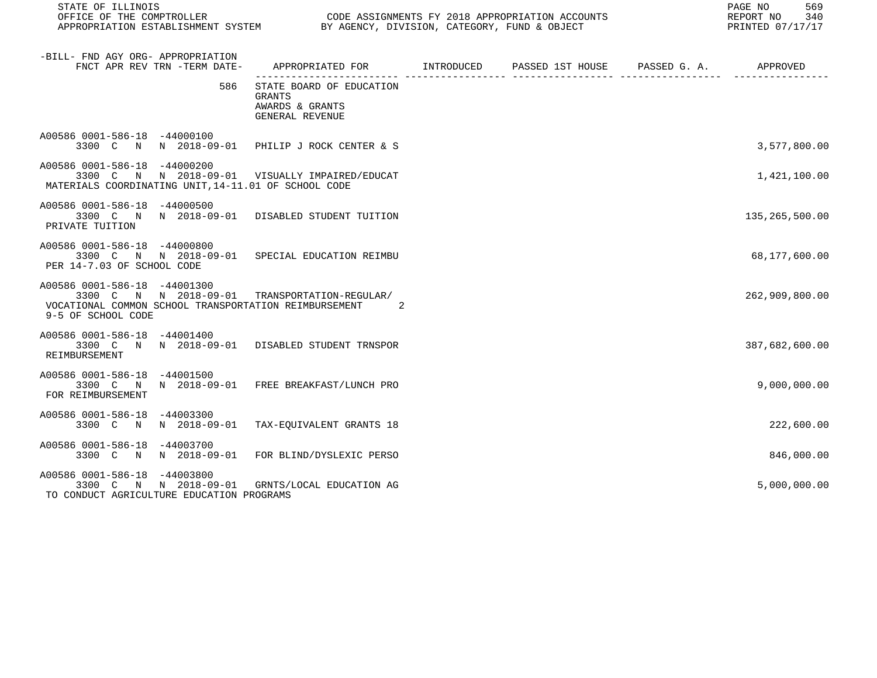STATE OF ILLINOIS<br>
STATE OF THE COMPTROLLER
OF THE COMPTROLLER

OFFICE OF THE COMPTROLLER

SHOPERING AND CODE ASSIGNMENTS FY 2018 APPROPRIATION ACCOUNTS

CODE ASSIGNMENTS FY 2018 APPROPRIATION ACCOUNTS FOR THE REPORT NO 340 (2018)<br>BY AGENCY, DIVISION, CATEGORY, FUND & OBJECT APPROPRIATION ESTABLISHMENT SYSTEM BY AGENCY, DIVISION, CATEGORY, FUND & OBJECT

| -BILL- FND AGY ORG- APPROPRIATION<br>FNCT APR REV TRN -TERM DATE-                                                           | APPROPRIATED FOR TNTRODUCED PASSED 1ST HOUSE PASSED G.A.                        |  | APPROVED       |
|-----------------------------------------------------------------------------------------------------------------------------|---------------------------------------------------------------------------------|--|----------------|
| 586                                                                                                                         | STATE BOARD OF EDUCATION<br><b>GRANTS</b><br>AWARDS & GRANTS<br>GENERAL REVENUE |  |                |
| A00586 0001-586-18 -44000100<br>3300 C N N 2018-09-01 PHILIP J ROCK CENTER & S                                              |                                                                                 |  | 3,577,800.00   |
| A00586 0001-586-18 -44000200<br>3300 C<br>MATERIALS COORDINATING UNIT, 14-11.01 OF SCHOOL CODE                              | N N 2018-09-01 VISUALLY IMPAIRED/EDUCAT                                         |  | 1,421,100.00   |
| A00586 0001-586-18 -44000500<br>3300 C N<br>PRIVATE TUITION                                                                 | N 2018-09-01 DISABLED STUDENT TUITION                                           |  | 135,265,500.00 |
| A00586 0001-586-18 -44000800<br>3300 C N N 2018-09-01 SPECIAL EDUCATION REIMBU<br>PER 14-7.03 OF SCHOOL CODE                |                                                                                 |  | 68,177,600.00  |
| A00586 0001-586-18 -44001300<br>3300 C<br>VOCATIONAL COMMON SCHOOL TRANSPORTATION REIMBURSEMENT<br>9-5 OF SCHOOL CODE       | N N 2018-09-01 TRANSPORTATION-REGULAR/<br>-2                                    |  | 262,909,800.00 |
| A00586 0001-586-18 -44001400<br>3300 C N N 2018-09-01 DISABLED STUDENT TRNSPOR<br>REIMBURSEMENT                             |                                                                                 |  | 387,682,600.00 |
| A00586 0001-586-18<br>$-44001500$<br>3300 C N<br>FOR REIMBURSEMENT                                                          | N 2018-09-01 FREE BREAKFAST/LUNCH PRO                                           |  | 9,000,000.00   |
| A00586 0001-586-18<br>-44003300<br>3300 C N                                                                                 | N 2018-09-01 TAX-EQUIVALENT GRANTS 18                                           |  | 222,600.00     |
| A00586 0001-586-18 -44003700<br>3300 C N                                                                                    | N 2018-09-01 FOR BLIND/DYSLEXIC PERSO                                           |  | 846,000.00     |
| A00586 0001-586-18 -44003800<br>3300 C N N 2018-09-01 GRNTS/LOCAL EDUCATION AG<br>TO CONDUCT AGRICULTURE EDUCATION PROGRAMS |                                                                                 |  | 5,000,000.00   |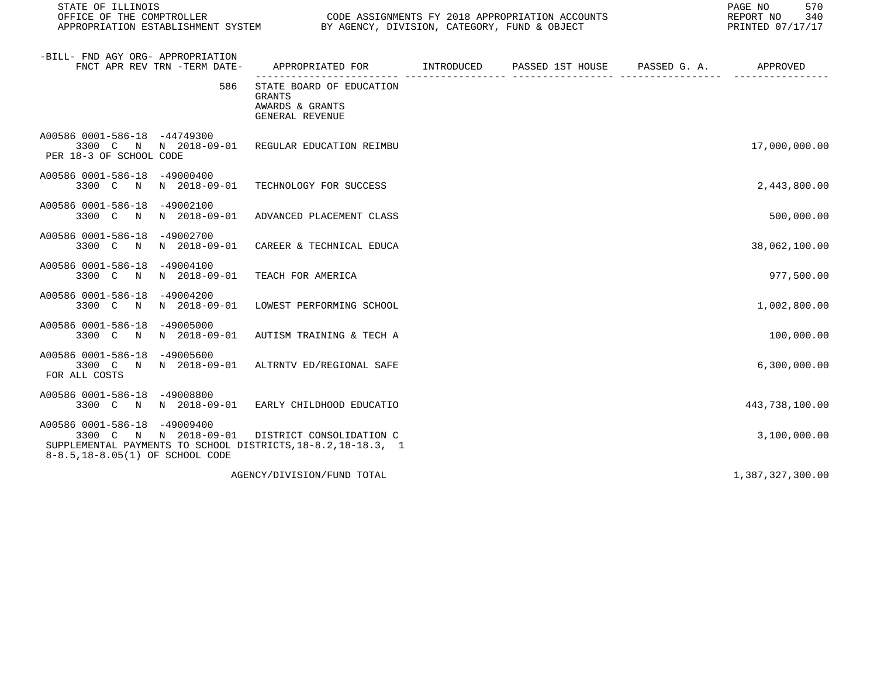STATE OF ILLINOIS<br>
STATE OF THE COMPTROLLER
OF THE COMPTROLLER

OFFICE OF THE COMPTROLLER

SHOPERING AND CODE ASSIGNMENTS FY 2018 APPROPRIATION ACCOUNTS

CODE ASSIGNMENTS FY 2018 APPROPRIATION ACCOUNTS FOR THE REPORT NO 340 REPORT NO 340 SAN AGENCY, DIVISION, CATEGORY, FUND & OBJECT APPROPRIATION ESTABLISHMENT SYSTEM BY AGENCY, DIVISION, CATEGORY, FUND & OBJECT

| -BILL- FND AGY ORG- APPROPRIATION<br>FNCT APR REV TRN -TERM DATE-                                                                                         |     | APPROPRIATED FOR INTRODUCED                                                     | PASSED 1ST HOUSE | PASSED G. A. | APPROVED         |
|-----------------------------------------------------------------------------------------------------------------------------------------------------------|-----|---------------------------------------------------------------------------------|------------------|--------------|------------------|
|                                                                                                                                                           | 586 | STATE BOARD OF EDUCATION<br><b>GRANTS</b><br>AWARDS & GRANTS<br>GENERAL REVENUE |                  |              |                  |
| A00586 0001-586-18 -44749300<br>3300 C N N 2018-09-01<br>PER 18-3 OF SCHOOL CODE                                                                          |     | REGULAR EDUCATION REIMBU                                                        |                  |              | 17,000,000.00    |
| A00586 0001-586-18<br>-49000400<br>N 2018-09-01<br>3300 C N                                                                                               |     | TECHNOLOGY FOR SUCCESS                                                          |                  |              | 2,443,800.00     |
| A00586 0001-586-18 -49002100<br>N 2018-09-01<br>3300 C<br>N                                                                                               |     | ADVANCED PLACEMENT CLASS                                                        |                  |              | 500,000.00       |
| A00586 0001-586-18<br>$-49002700$<br>3300 C N                                                                                                             |     | N 2018-09-01 CAREER & TECHNICAL EDUCA                                           |                  |              | 38,062,100.00    |
| A00586 0001-586-18<br>-49004100<br>3300 C N<br>N 2018-09-01                                                                                               |     | TEACH FOR AMERICA                                                               |                  |              | 977,500.00       |
| A00586 0001-586-18<br>-49004200<br>N 2018-09-01<br>3300 C N                                                                                               |     | LOWEST PERFORMING SCHOOL                                                        |                  |              | 1,002,800.00     |
| A00586 0001-586-18<br>-49005000<br>3300 C N<br>N 2018-09-01                                                                                               |     | AUTISM TRAINING & TECH A                                                        |                  |              | 100,000.00       |
| A00586 0001-586-18<br>-49005600<br>3300 C<br>FOR ALL COSTS                                                                                                |     | N N 2018-09-01 ALTRNTV ED/REGIONAL SAFE                                         |                  |              | 6,300,000.00     |
| A00586 0001-586-18 -49008800<br>3300 C N                                                                                                                  |     | N 2018-09-01 EARLY CHILDHOOD EDUCATIO                                           |                  |              | 443,738,100.00   |
| A00586 0001-586-18 -49009400<br>3300 C N N 2018-09-01<br>SUPPLEMENTAL PAYMENTS TO SCHOOL DISTRICTS, 18-8.2, 18-18.3, 1<br>8-8.5,18-8.05(1) OF SCHOOL CODE |     | DISTRICT CONSOLIDATION C                                                        |                  |              | 3,100,000.00     |
|                                                                                                                                                           |     | AGENCY/DIVISION/FUND TOTAL                                                      |                  |              | 1,387,327,300.00 |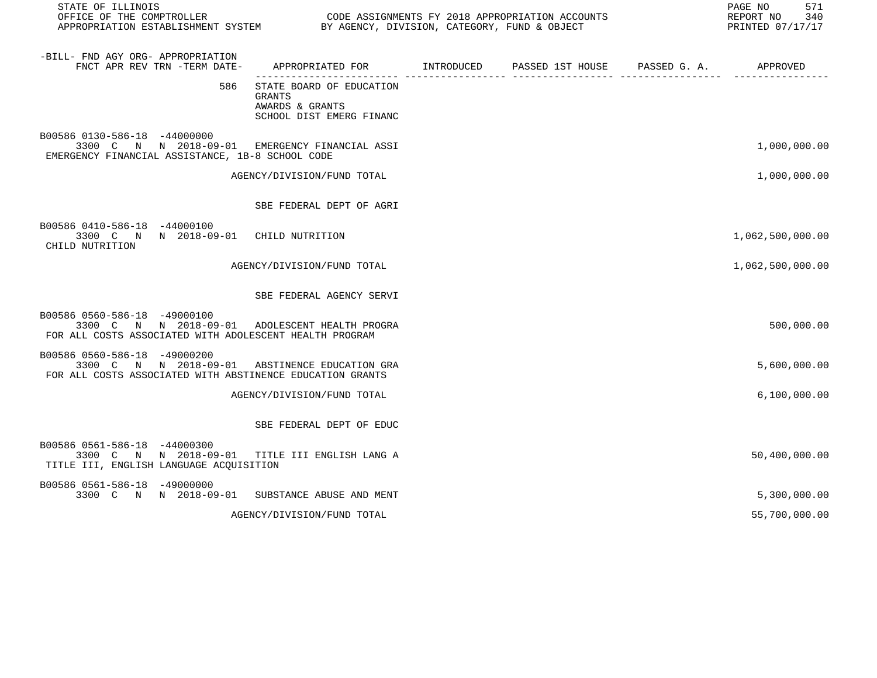| STATE OF ILLINOIS                                                                                                                           | OFFICE OF THE COMPTROLLER<br>APPROPRIATION ESTABLISHMENT SYSTEM BY AGENCY, DIVISION, CATEGORY, FUND & OBJECT |  |                  |                       |                  |
|---------------------------------------------------------------------------------------------------------------------------------------------|--------------------------------------------------------------------------------------------------------------|--|------------------|-----------------------|------------------|
| -BILL- FND AGY ORG- APPROPRIATION<br>FNCT APR REV TRN -TERM DATE-                                                                           | APPROPRIATED FOR INTRODUCED                                                                                  |  | PASSED 1ST HOUSE | PASSED G. A. APPROVED |                  |
| 586                                                                                                                                         | STATE BOARD OF EDUCATION<br><b>GRANTS</b><br>AWARDS & GRANTS<br>SCHOOL DIST EMERG FINANC                     |  |                  |                       |                  |
| B00586 0130-586-18 -44000000<br>3300 C N N 2018-09-01 EMERGENCY FINANCIAL ASSI<br>EMERGENCY FINANCIAL ASSISTANCE, 1B-8 SCHOOL CODE          |                                                                                                              |  |                  |                       | 1,000,000.00     |
|                                                                                                                                             | AGENCY/DIVISION/FUND TOTAL                                                                                   |  |                  |                       | 1,000,000.00     |
|                                                                                                                                             | SBE FEDERAL DEPT OF AGRI                                                                                     |  |                  |                       |                  |
| B00586 0410-586-18 -44000100<br>3300 C N N 2018-09-01 CHILD NUTRITION<br>CHILD NUTRITION                                                    |                                                                                                              |  |                  |                       | 1,062,500,000.00 |
|                                                                                                                                             | AGENCY/DIVISION/FUND TOTAL                                                                                   |  |                  |                       | 1,062,500,000.00 |
|                                                                                                                                             | SBE FEDERAL AGENCY SERVI                                                                                     |  |                  |                       |                  |
| B00586 0560-586-18 -49000100<br>3300 C N N 2018-09-01 ADOLESCENT HEALTH PROGRA<br>FOR ALL COSTS ASSOCIATED WITH ADOLESCENT HEALTH PROGRAM   |                                                                                                              |  |                  |                       | 500,000.00       |
| B00586 0560-586-18 -49000200<br>3300 C N N 2018-09-01 ABSTINENCE EDUCATION GRA<br>FOR ALL COSTS ASSOCIATED WITH ABSTINENCE EDUCATION GRANTS |                                                                                                              |  |                  |                       | 5,600,000.00     |
|                                                                                                                                             | AGENCY/DIVISION/FUND TOTAL                                                                                   |  |                  |                       | 6, 100, 000.00   |
|                                                                                                                                             | SBE FEDERAL DEPT OF EDUC                                                                                     |  |                  |                       |                  |
| B00586 0561-586-18 -44000300<br>3300 C N N 2018-09-01 TITLE III ENGLISH LANG A<br>TITLE III, ENGLISH LANGUAGE ACQUISITION                   |                                                                                                              |  |                  |                       | 50,400,000.00    |
| B00586 0561-586-18 -49000000<br>3300 C N N 2018-09-01 SUBSTANCE ABUSE AND MENT                                                              |                                                                                                              |  |                  |                       | 5,300,000.00     |
|                                                                                                                                             | AGENCY/DIVISION/FUND TOTAL                                                                                   |  |                  |                       | 55,700,000.00    |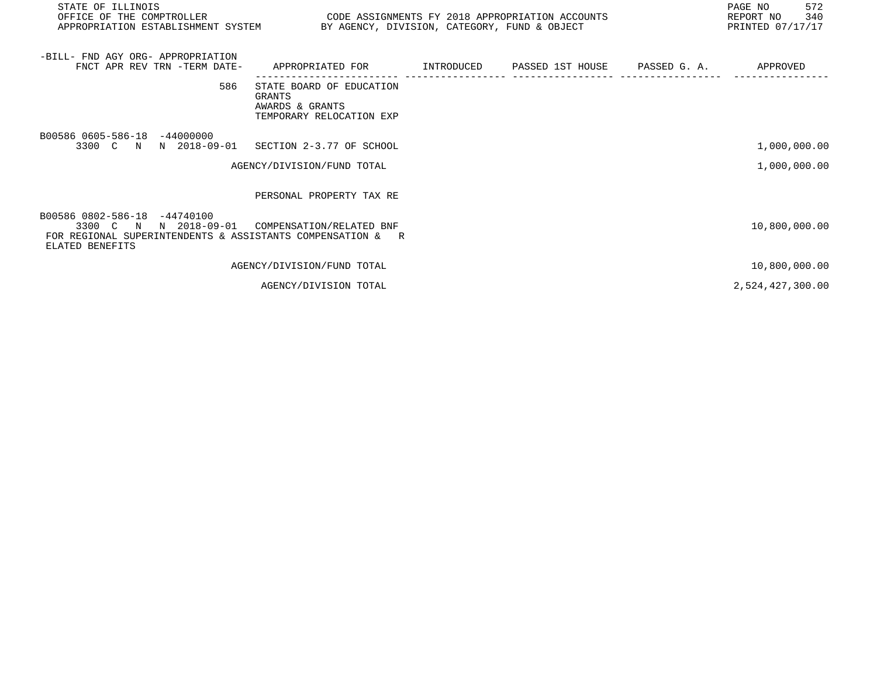| STATE OF ILLINOIS<br>OFFICE OF THE COMPTROLLER CODE ASSIGNMENTS FY 2018 APPROPRIATION ACCOUNTS<br>APPROPRIATION ESTABLISHMENT SYSTEM BY AGENCY, DIVISION, CATEGORY, FUND & OBJECT |                                                                                              |  | PAGE NO<br>572<br>REPORT NO 340<br>PRINTED 07/17/17 |
|-----------------------------------------------------------------------------------------------------------------------------------------------------------------------------------|----------------------------------------------------------------------------------------------|--|-----------------------------------------------------|
| -BILL- FND AGY ORG- APPROPRIATION<br>FNCT APR REV TRN -TERM DATE-                                                                                                                 | APPROPRIATED FOR        INTRODUCED      PASSED 1ST HOUSE      PASSED G. A.          APPROVED |  |                                                     |
| 586                                                                                                                                                                               | STATE BOARD OF EDUCATION<br>GRANTS<br>AWARDS & GRANTS<br>TEMPORARY RELOCATION EXP            |  |                                                     |
| B00586 0605-586-18 -44000000<br>3300 C N N 2018-09-01 SECTION 2-3.77 OF SCHOOL                                                                                                    |                                                                                              |  | 1,000,000.00                                        |
|                                                                                                                                                                                   | AGENCY/DIVISION/FUND TOTAL                                                                   |  | 1,000,000.00                                        |
|                                                                                                                                                                                   | PERSONAL PROPERTY TAX RE                                                                     |  |                                                     |
| B00586 0802-586-18 -44740100<br>3300 C N N 2018-09-01 COMPENSATION/RELATED BNF<br>FOR REGIONAL SUPERINTENDENTS & ASSISTANTS COMPENSATION & R<br>ELATED BENEFITS                   |                                                                                              |  | 10,800,000.00                                       |
|                                                                                                                                                                                   | AGENCY/DIVISION/FUND TOTAL                                                                   |  | 10,800,000.00                                       |
|                                                                                                                                                                                   | AGENCY/DIVISION TOTAL                                                                        |  | 2,524,427,300.00                                    |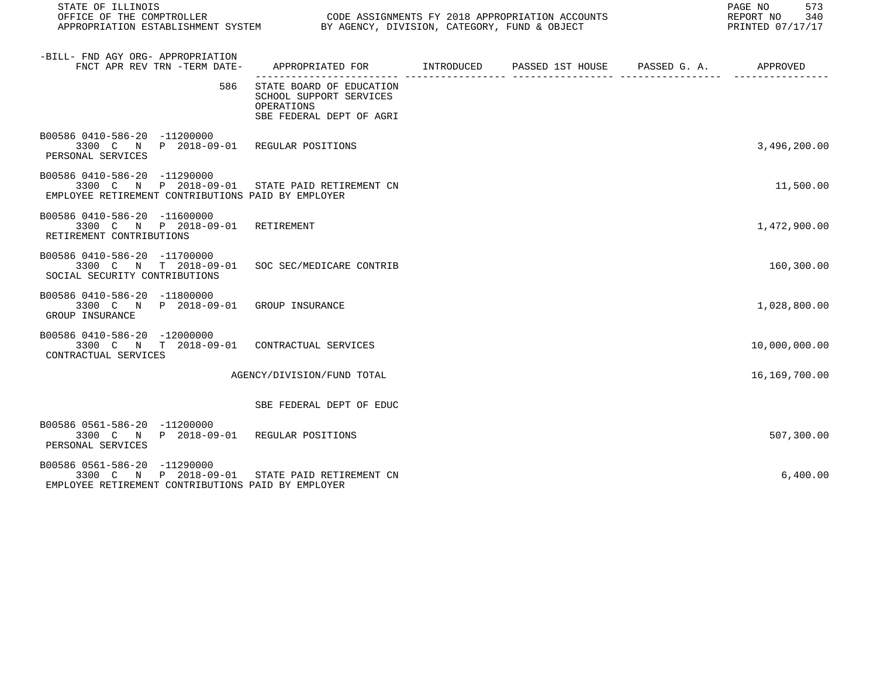| STATE OF ILLINOIS<br>OFFICE OF THE COMPTROLLER CODE ASSIGNMENTS FY 2018 APPROPRIATION ACCOUNTS<br>APPROPRIATION ESTABLISHMENT SYSTEM BY AGENCY, DIVISION, CATEGORY, FUND & OBJECT |                                                                                               |  | PAGE NO 573<br>REPORT NO 340<br>PRINTED 07/17/17 |
|-----------------------------------------------------------------------------------------------------------------------------------------------------------------------------------|-----------------------------------------------------------------------------------------------|--|--------------------------------------------------|
| -BILL- FND AGY ORG- APPROPRIATION<br>FNCT APR REV TRN -TERM DATE-                                                                                                                 | APPROPRIATED FOR        INTRODUCED      PASSED 1ST HOUSE     PASSED G. A.         APPROVED    |  |                                                  |
| 586                                                                                                                                                                               | STATE BOARD OF EDUCATION<br>SCHOOL SUPPORT SERVICES<br>OPERATIONS<br>SBE FEDERAL DEPT OF AGRI |  |                                                  |
| B00586 0410-586-20 -11200000<br>3300 C N P 2018-09-01 REGULAR POSITIONS<br>PERSONAL SERVICES                                                                                      |                                                                                               |  | 3,496,200.00                                     |
| B00586 0410-586-20 -11290000<br>3300 C N P 2018-09-01 STATE PAID RETIREMENT CN<br>EMPLOYEE RETIREMENT CONTRIBUTIONS PAID BY EMPLOYER                                              |                                                                                               |  | 11,500.00                                        |
| B00586 0410-586-20 -11600000<br>3300 C N P 2018-09-01 RETIREMENT<br>RETIREMENT CONTRIBUTIONS                                                                                      |                                                                                               |  | 1,472,900.00                                     |
| B00586 0410-586-20 -11700000<br>3300 C N T 2018-09-01 SOC SEC/MEDICARE CONTRIB<br>SOCIAL SECURITY CONTRIBUTIONS                                                                   |                                                                                               |  | 160,300.00                                       |
| B00586 0410-586-20 -11800000<br>3300 C N P 2018-09-01 GROUP INSURANCE<br>GROUP INSURANCE                                                                                          |                                                                                               |  | 1,028,800.00                                     |
| B00586 0410-586-20 -12000000<br>3300 C N T 2018-09-01 CONTRACTUAL SERVICES<br>CONTRACTUAL SERVICES                                                                                |                                                                                               |  | 10,000,000.00                                    |
|                                                                                                                                                                                   | AGENCY/DIVISION/FUND TOTAL                                                                    |  | 16,169,700.00                                    |
|                                                                                                                                                                                   | SBE FEDERAL DEPT OF EDUC                                                                      |  |                                                  |
| B00586 0561-586-20 -11200000<br>3300 C N P 2018-09-01 REGULAR POSITIONS<br>PERSONAL SERVICES                                                                                      |                                                                                               |  | 507,300.00                                       |
| B00586 0561-586-20 -11290000<br>3300 C N P 2018-09-01 STATE PAID RETIREMENT CN<br>EMPLOYEE RETIREMENT CONTRIBUTIONS PAID BY EMPLOYER                                              |                                                                                               |  | 6,400.00                                         |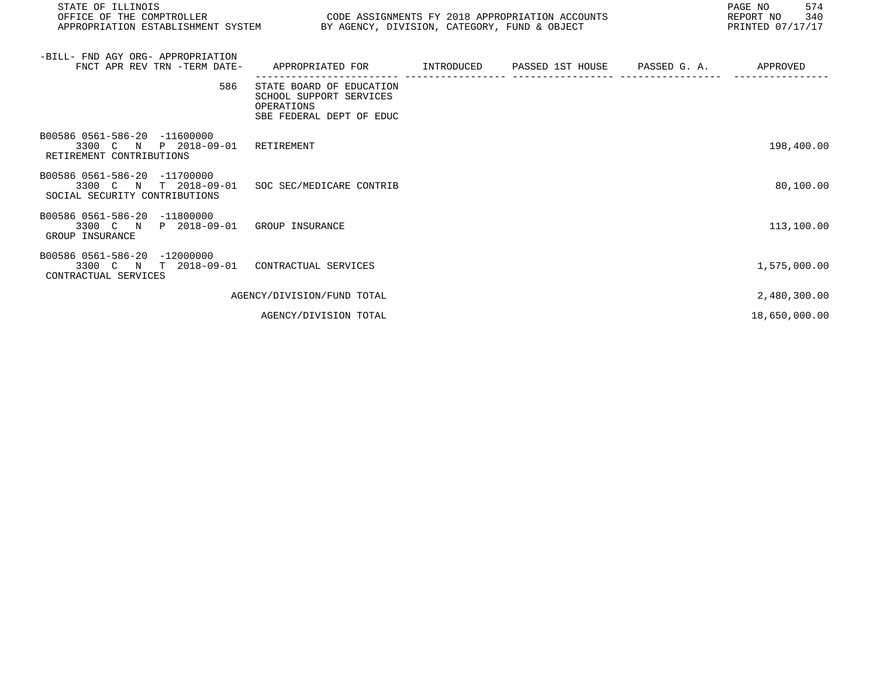| STATE OF ILLINOIS<br>OFFICE OF THE COMPTROLLER<br>APPROPRIATION ESTABLISHMENT SYSTEM BY AGENCY, DIVISION, CATEGORY, FUND & OBJECT | CODE ASSIGNMENTS FY 2018 APPROPRIATION ACCOUNTS                                               |  | PAGE NO<br>574<br>REPORT NO<br>340<br>PRINTED 07/17/17 |
|-----------------------------------------------------------------------------------------------------------------------------------|-----------------------------------------------------------------------------------------------|--|--------------------------------------------------------|
| -BILL- FND AGY ORG- APPROPRIATION<br>FNCT APR REV TRN -TERM DATE-                                                                 | APPROPRIATED FOR TINTRODUCED PASSED 1ST HOUSE PASSED G. A. THEROVED                           |  |                                                        |
| 586                                                                                                                               | STATE BOARD OF EDUCATION<br>SCHOOL SUPPORT SERVICES<br>OPERATIONS<br>SBE FEDERAL DEPT OF EDUC |  |                                                        |
| B00586 0561-586-20 -11600000<br>3300 C N P 2018-09-01<br>RETIREMENT CONTRIBUTIONS                                                 | RETIREMENT                                                                                    |  | 198,400.00                                             |
| B00586 0561-586-20 -11700000<br>3300 C N T 2018-09-01<br>SOCIAL SECURITY CONTRIBUTIONS                                            | SOC SEC/MEDICARE CONTRIB                                                                      |  | 80,100.00                                              |
| B00586 0561-586-20 -11800000<br>3300 C N P 2018-09-01 GROUP INSURANCE<br>GROUP INSURANCE                                          |                                                                                               |  | 113,100.00                                             |
| B00586 0561-586-20 -12000000<br>3300 C N T 2018-09-01<br>CONTRACTUAL SERVICES                                                     | CONTRACTUAL SERVICES                                                                          |  | 1,575,000.00                                           |
|                                                                                                                                   | AGENCY/DIVISION/FUND TOTAL                                                                    |  | 2,480,300.00                                           |
|                                                                                                                                   | AGENCY/DIVISION TOTAL                                                                         |  | 18,650,000.00                                          |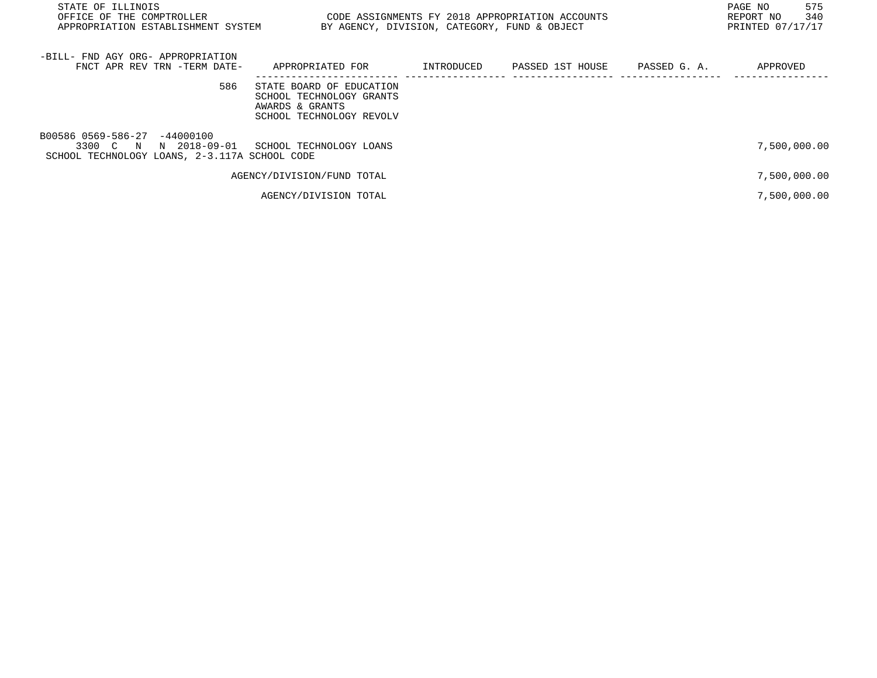| STATE OF ILLINOIS<br>OFFICE OF THE COMPTROLLER<br>APPROPRIATION ESTABLISHMENT SYSTEM                      | CODE ASSIGNMENTS FY 2018 APPROPRIATION ACCOUNTS<br>BY AGENCY, DIVISION, CATEGORY, FUND & OBJECT     |            |                               | PAGE NO<br>575<br>340<br>REPORT NO<br>PRINTED 07/17/17 |
|-----------------------------------------------------------------------------------------------------------|-----------------------------------------------------------------------------------------------------|------------|-------------------------------|--------------------------------------------------------|
| -BILL- FND AGY ORG- APPROPRIATION<br>FNCT APR REV TRN -TERM DATE-                                         | APPROPRIATED FOR                                                                                    | INTRODUCED | PASSED 1ST HOUSE PASSED G. A. | APPROVED                                               |
| 586                                                                                                       | STATE BOARD OF EDUCATION<br>SCHOOL TECHNOLOGY GRANTS<br>AWARDS & GRANTS<br>SCHOOL TECHNOLOGY REVOLV |            |                               |                                                        |
| B00586 0569-586-27 -44000100<br>3300 C N<br>N 2018-09-01<br>SCHOOL TECHNOLOGY LOANS, 2-3.117A SCHOOL CODE | SCHOOL TECHNOLOGY LOANS                                                                             |            |                               | 7,500,000.00                                           |
|                                                                                                           | AGENCY/DIVISION/FUND TOTAL                                                                          |            |                               | 7,500,000.00                                           |
|                                                                                                           | AGENCY/DIVISION TOTAL                                                                               |            |                               | 7,500,000.00                                           |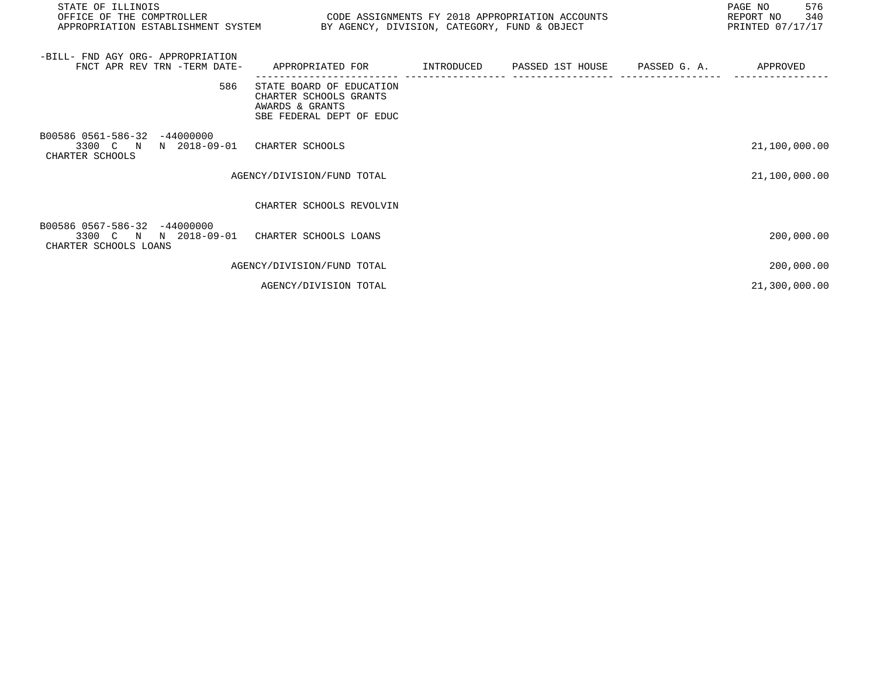| STATE OF ILLINOIS<br>OFFICE OF THE COMPTROLLER CODE ASSIGNMENTS FY 2018 APPROPRIATION ACCOUNTS<br>APPROPRIATION ESTABLISHMENT SYSTEM BY AGENCY, DIVISION, CATEGORY, FUND & OBJECT |                                                                                                   |  | 576<br>PAGE NO<br>REPORT NO 340<br>PRINTED 07/17/17 |
|-----------------------------------------------------------------------------------------------------------------------------------------------------------------------------------|---------------------------------------------------------------------------------------------------|--|-----------------------------------------------------|
| -BILL- FND AGY ORG- APPROPRIATION<br>FNCT APR REV TRN -TERM DATE-                                                                                                                 | APPROPRIATED FOR      INTRODUCED   PASSED 1ST HOUSE   PASSED G.A.     APPROVED                    |  |                                                     |
| 586                                                                                                                                                                               | STATE BOARD OF EDUCATION<br>CHARTER SCHOOLS GRANTS<br>AWARDS & GRANTS<br>SBE FEDERAL DEPT OF EDUC |  |                                                     |
| B00586 0561-586-32 -44000000<br>3300 C N N 2018-09-01<br>CHARTER SCHOOLS                                                                                                          | CHARTER SCHOOLS                                                                                   |  | 21,100,000.00                                       |
|                                                                                                                                                                                   | AGENCY/DIVISION/FUND TOTAL                                                                        |  | 21,100,000.00                                       |
|                                                                                                                                                                                   | CHARTER SCHOOLS REVOLVIN                                                                          |  |                                                     |
| B00586 0567-586-32 -44000000<br>3300 C N N 2018-09-01 CHARTER SCHOOLS LOANS<br>CHARTER SCHOOLS LOANS                                                                              |                                                                                                   |  | 200,000.00                                          |
|                                                                                                                                                                                   | AGENCY/DIVISION/FUND TOTAL                                                                        |  | 200,000.00                                          |
|                                                                                                                                                                                   | AGENCY/DIVISION TOTAL                                                                             |  | 21,300,000.00                                       |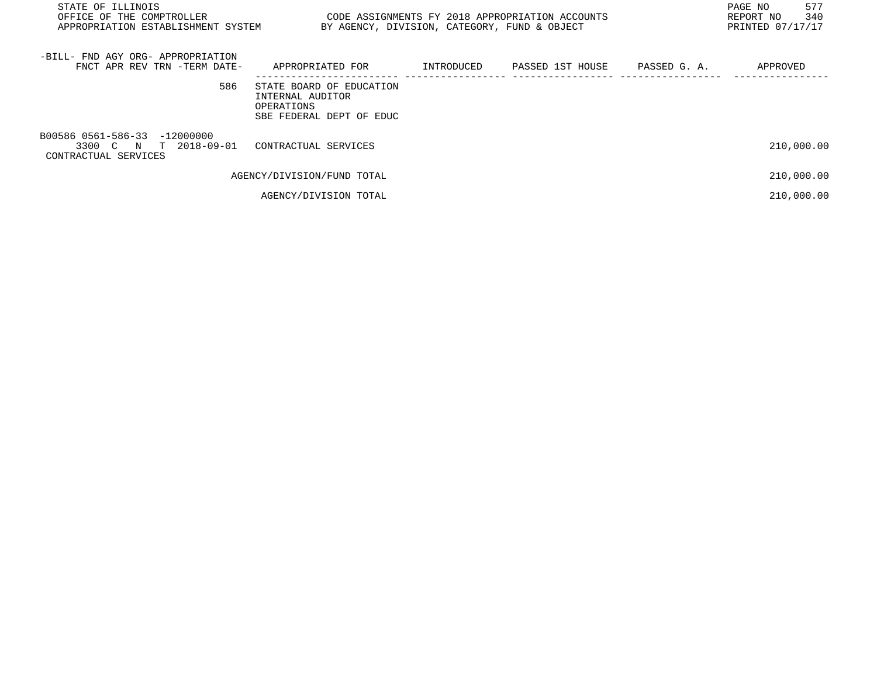| STATE OF ILLINOIS<br>OFFICE OF THE COMPTROLLER<br>APPROPRIATION ESTABLISHMENT SYSTEM | BY AGENCY, DIVISION, CATEGORY, FUND & OBJECT                                           |            | CODE ASSIGNMENTS FY 2018 APPROPRIATION ACCOUNTS |              | PAGE NO<br>577<br>340<br>REPORT NO<br>PRINTED 07/17/17 |
|--------------------------------------------------------------------------------------|----------------------------------------------------------------------------------------|------------|-------------------------------------------------|--------------|--------------------------------------------------------|
| -BILL- FND AGY ORG- APPROPRIATION<br>FNCT APR REV TRN -TERM DATE-                    | APPROPRIATED FOR                                                                       | INTRODUCED | PASSED 1ST HOUSE                                | PASSED G. A. | APPROVED                                               |
| 586                                                                                  | STATE BOARD OF EDUCATION<br>INTERNAL AUDITOR<br>OPERATIONS<br>SBE FEDERAL DEPT OF EDUC |            |                                                 |              |                                                        |
| B00586 0561-586-33 -12000000<br>3300 C N T 2018-09-01<br>CONTRACTUAL SERVICES        | CONTRACTUAL SERVICES                                                                   |            |                                                 |              | 210,000.00                                             |
|                                                                                      | AGENCY/DIVISION/FUND TOTAL                                                             |            |                                                 |              | 210,000.00                                             |
|                                                                                      | AGENCY/DIVISION TOTAL                                                                  |            |                                                 |              | 210,000.00                                             |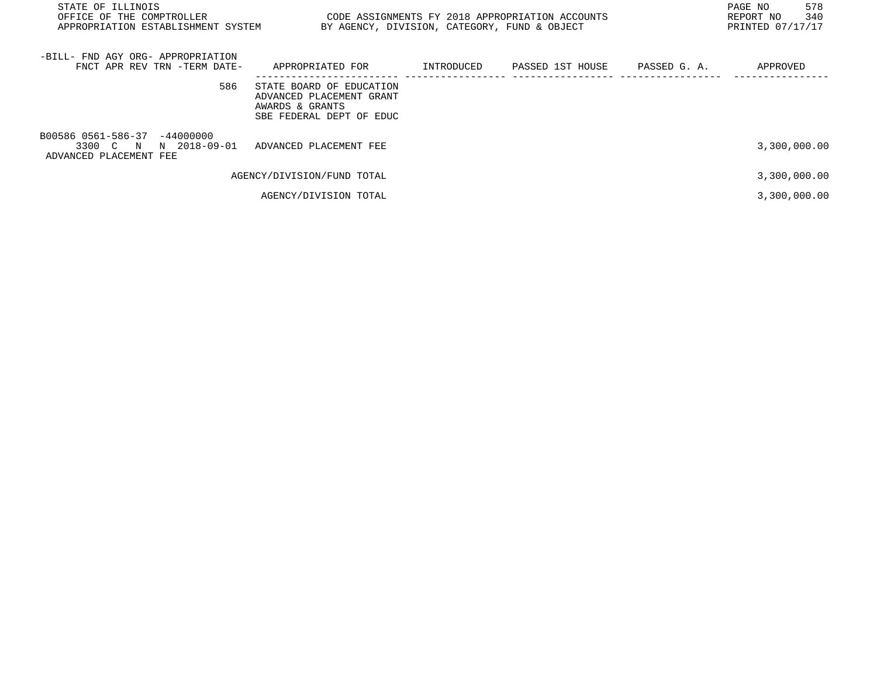| STATE OF ILLINOIS<br>OFFICE OF THE COMPTROLLER<br>APPROPRIATION ESTABLISHMENT SYSTEM | CODE ASSIGNMENTS FY 2018 APPROPRIATION ACCOUNTS<br>BY AGENCY, DIVISION, CATEGORY, FUND & OBJECT     |            |                  |              | 578<br>PAGE NO<br>340<br>REPORT NO<br>PRINTED 07/17/17 |
|--------------------------------------------------------------------------------------|-----------------------------------------------------------------------------------------------------|------------|------------------|--------------|--------------------------------------------------------|
| -BILL- FND AGY ORG- APPROPRIATION<br>FNCT APR REV TRN -TERM DATE-                    | APPROPRIATED FOR                                                                                    | INTRODUCED | PASSED 1ST HOUSE | PASSED G. A. | APPROVED                                               |
| 586                                                                                  | STATE BOARD OF EDUCATION<br>ADVANCED PLACEMENT GRANT<br>AWARDS & GRANTS<br>SBE FEDERAL DEPT OF EDUC |            |                  |              |                                                        |
| B00586 0561-586-37 -44000000<br>3300 C N N 2018-09-01<br>ADVANCED PLACEMENT FEE      | ADVANCED PLACEMENT FEE                                                                              |            |                  |              | 3,300,000.00                                           |
|                                                                                      | AGENCY/DIVISION/FUND TOTAL                                                                          |            |                  |              | 3,300,000.00                                           |
|                                                                                      | AGENCY/DIVISION TOTAL                                                                               |            |                  |              | 3,300,000.00                                           |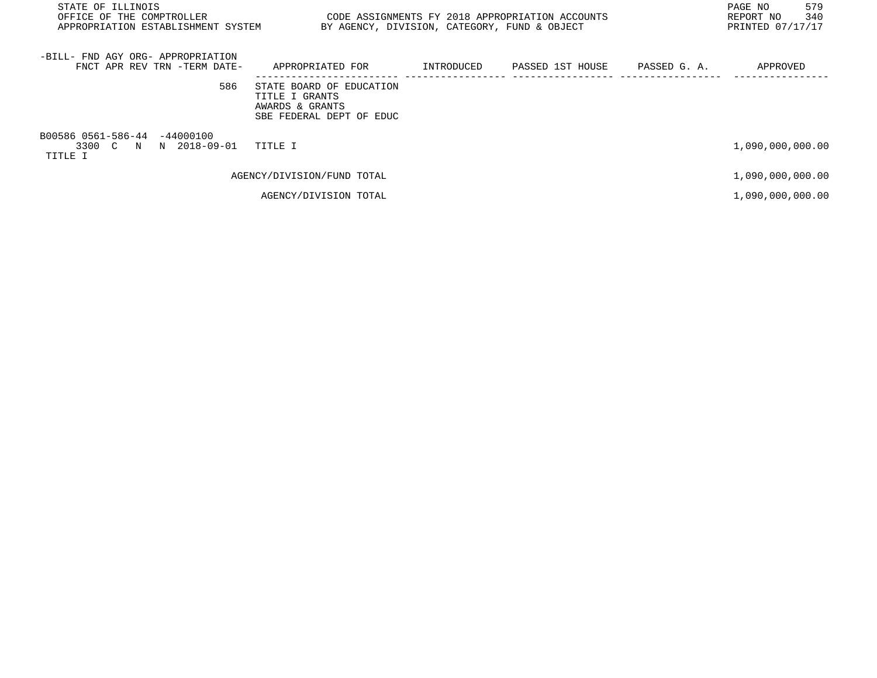| STATE OF ILLINOIS<br>OFFICE OF THE COMPTROLLER<br>APPROPRIATION ESTABLISHMENT SYSTEM | BY AGENCY, DIVISION, CATEGORY, FUND & OBJECT                                              | CODE ASSIGNMENTS FY 2018 APPROPRIATION ACCOUNTS |              | 579<br>PAGE NO<br>340<br>REPORT NO<br>PRINTED 07/17/17 |
|--------------------------------------------------------------------------------------|-------------------------------------------------------------------------------------------|-------------------------------------------------|--------------|--------------------------------------------------------|
| -BILL- FND AGY ORG- APPROPRIATION<br>FNCT APR REV TRN -TERM DATE-                    | APPROPRIATED FOR                                                                          | INTRODUCED PASSED 1ST HOUSE                     | PASSED G. A. | APPROVED                                               |
| 586                                                                                  | STATE BOARD OF EDUCATION<br>TITLE I GRANTS<br>AWARDS & GRANTS<br>SBE FEDERAL DEPT OF EDUC |                                                 |              |                                                        |
| B00586 0561-586-44 -44000100<br>3300 C N N 2018-09-01<br>TITLE I                     | TITLE I                                                                                   |                                                 |              | 1,090,000,000.00                                       |
|                                                                                      | AGENCY/DIVISION/FUND TOTAL                                                                |                                                 |              | 1,090,000,000.00                                       |
|                                                                                      | AGENCY/DIVISION TOTAL                                                                     |                                                 |              | 1,090,000,000.00                                       |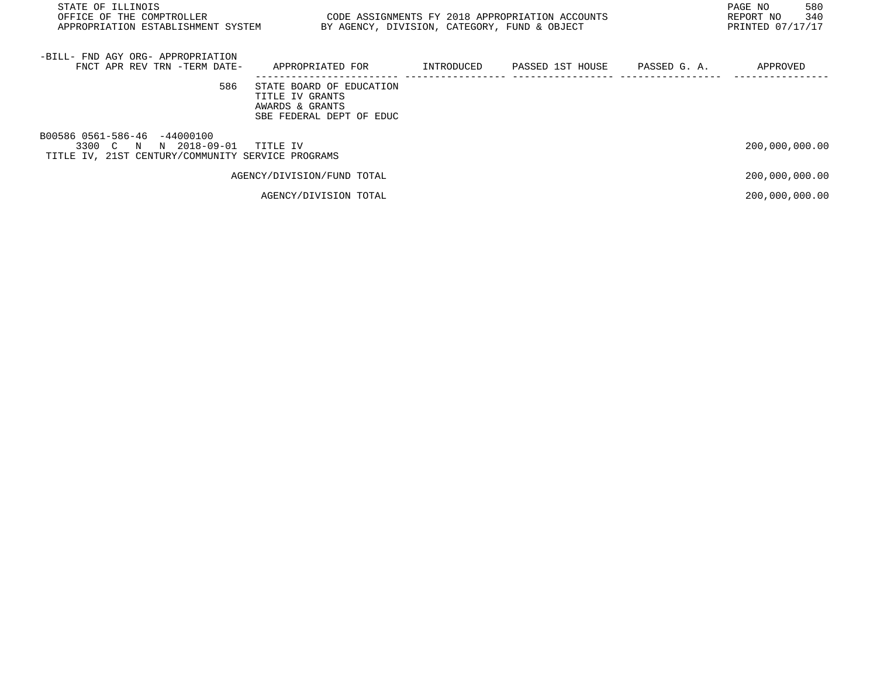| STATE OF ILLINOIS<br>OFFICE OF THE COMPTROLLER<br>APPROPRIATION ESTABLISHMENT SYSTEM                          | BY AGENCY, DIVISION, CATEGORY, FUND & OBJECT                                               |            | CODE ASSIGNMENTS FY 2018 APPROPRIATION ACCOUNTS |              | 580<br>PAGE NO<br>340<br>REPORT NO<br>PRINTED 07/17/17 |
|---------------------------------------------------------------------------------------------------------------|--------------------------------------------------------------------------------------------|------------|-------------------------------------------------|--------------|--------------------------------------------------------|
| -BILL- FND AGY ORG- APPROPRIATION<br>FNCT APR REV TRN -TERM DATE-                                             | APPROPRIATED FOR                                                                           | INTRODUCED | PASSED 1ST HOUSE                                | PASSED G. A. | APPROVED                                               |
| 586                                                                                                           | STATE BOARD OF EDUCATION<br>TITLE IV GRANTS<br>AWARDS & GRANTS<br>SBE FEDERAL DEPT OF EDUC |            |                                                 |              |                                                        |
| B00586 0561-586-46 -44000100<br>N 2018-09-01<br>3300 C N<br>TITLE IV, 21ST CENTURY/COMMUNITY SERVICE PROGRAMS | TITLE IV                                                                                   |            |                                                 |              | 200,000,000.00                                         |
|                                                                                                               | AGENCY/DIVISION/FUND TOTAL                                                                 |            |                                                 |              | 200,000,000.00                                         |
|                                                                                                               | AGENCY/DIVISION TOTAL                                                                      |            |                                                 |              | 200,000,000.00                                         |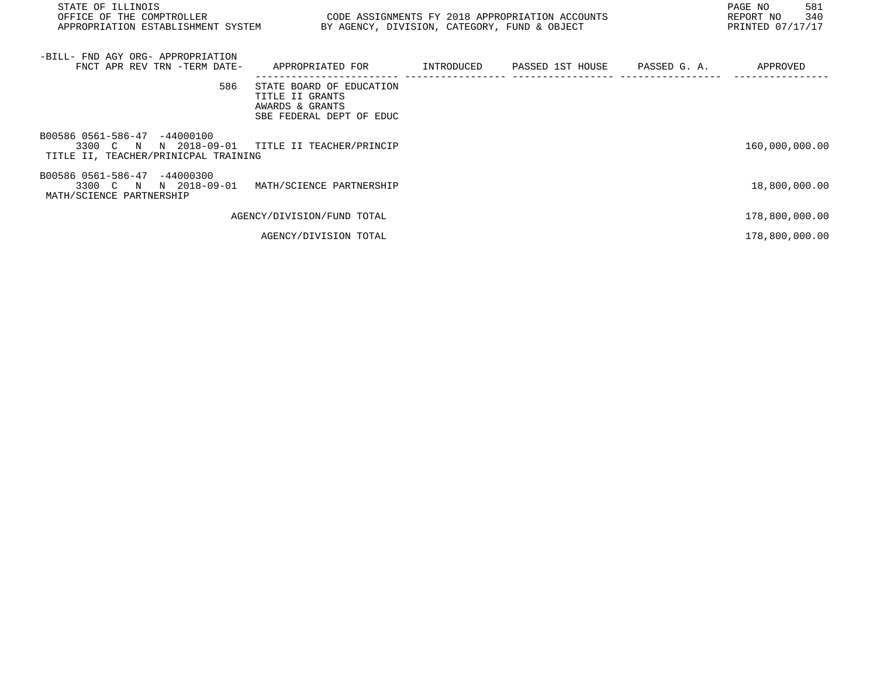| STATE OF ILLINOIS<br>OFFICE OF THE COMPTROLLER<br>APPROPRIATION ESTABLISHMENT SYSTEM             | CODE ASSIGNMENTS FY 2018 APPROPRIATION ACCOUNTS                                            |            | BY AGENCY, DIVISION, CATEGORY, FUND & OBJECT |              | PAGE NO<br>581<br>340<br>REPORT NO<br>PRINTED 07/17/17 |
|--------------------------------------------------------------------------------------------------|--------------------------------------------------------------------------------------------|------------|----------------------------------------------|--------------|--------------------------------------------------------|
| -BILL- FND AGY ORG- APPROPRIATION<br>FNCT APR REV TRN -TERM DATE-                                | APPROPRIATED FOR                                                                           | INTRODUCED | PASSED 1ST HOUSE                             | PASSED G. A. | APPROVED                                               |
| 586                                                                                              | STATE BOARD OF EDUCATION<br>TITLE II GRANTS<br>AWARDS & GRANTS<br>SBE FEDERAL DEPT OF EDUC |            |                                              |              |                                                        |
| B00586 0561-586-47 -44000100<br>3300 C N<br>N 2018-09-01<br>TITLE II, TEACHER/PRINICPAL TRAINING | TITLE II TEACHER/PRINCIP                                                                   |            |                                              |              | 160,000,000.00                                         |
| B00586 0561-586-47 -44000300<br>3300 C N<br>N 2018-09-01<br>MATH/SCIENCE PARTNERSHIP             | MATH/SCIENCE PARTNERSHIP                                                                   |            |                                              |              | 18,800,000.00                                          |
|                                                                                                  | AGENCY/DIVISION/FUND TOTAL                                                                 |            |                                              |              | 178,800,000.00                                         |
|                                                                                                  | AGENCY/DIVISION TOTAL                                                                      |            |                                              |              | 178,800,000.00                                         |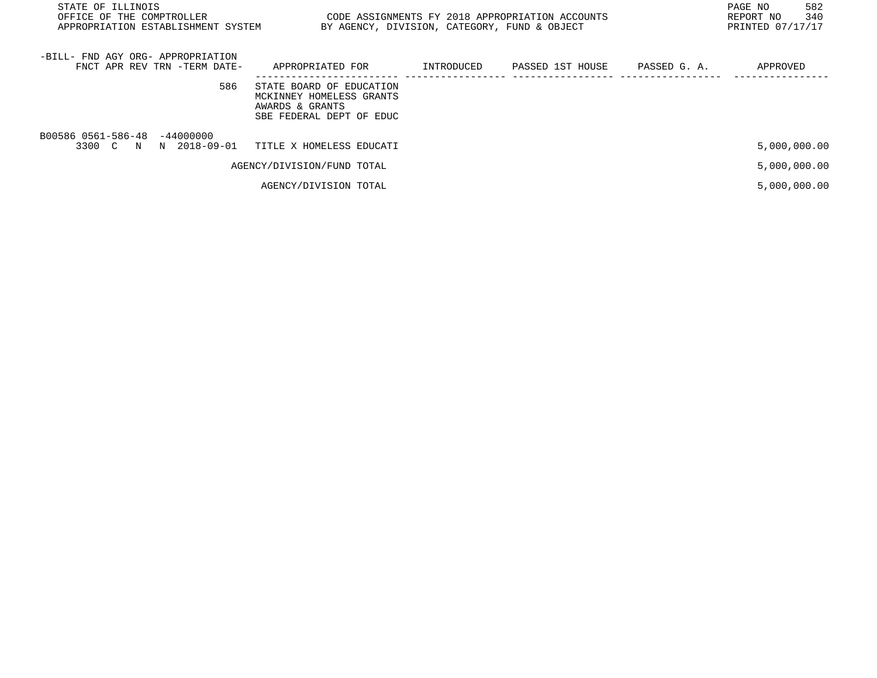| STATE OF ILLINOIS<br>OFFICE OF THE COMPTROLLER<br>APPROPRIATION ESTABLISHMENT SYSTEM | BY AGENCY, DIVISION, CATEGORY, FUND & OBJECT                                                        |            | CODE ASSIGNMENTS FY 2018 APPROPRIATION ACCOUNTS |              | 582<br>PAGE NO<br>340<br>REPORT NO<br>PRINTED 07/17/17 |
|--------------------------------------------------------------------------------------|-----------------------------------------------------------------------------------------------------|------------|-------------------------------------------------|--------------|--------------------------------------------------------|
| -BILL- FND AGY ORG- APPROPRIATION<br>FNCT APR REV TRN -TERM DATE-                    | APPROPRIATED FOR                                                                                    | INTRODUCED | PASSED 1ST HOUSE                                | PASSED G. A. | APPROVED                                               |
| 586                                                                                  | STATE BOARD OF EDUCATION<br>MCKINNEY HOMELESS GRANTS<br>AWARDS & GRANTS<br>SBE FEDERAL DEPT OF EDUC |            |                                                 |              |                                                        |
| B00586 0561-586-48 -44000000<br>3300 C N N 2018-09-01                                | TITLE X HOMELESS EDUCATI                                                                            |            |                                                 |              | 5,000,000.00                                           |
|                                                                                      | AGENCY/DIVISION/FUND TOTAL                                                                          |            |                                                 |              | 5,000,000.00                                           |
|                                                                                      | AGENCY/DIVISION TOTAL                                                                               |            |                                                 |              | 5,000,000.00                                           |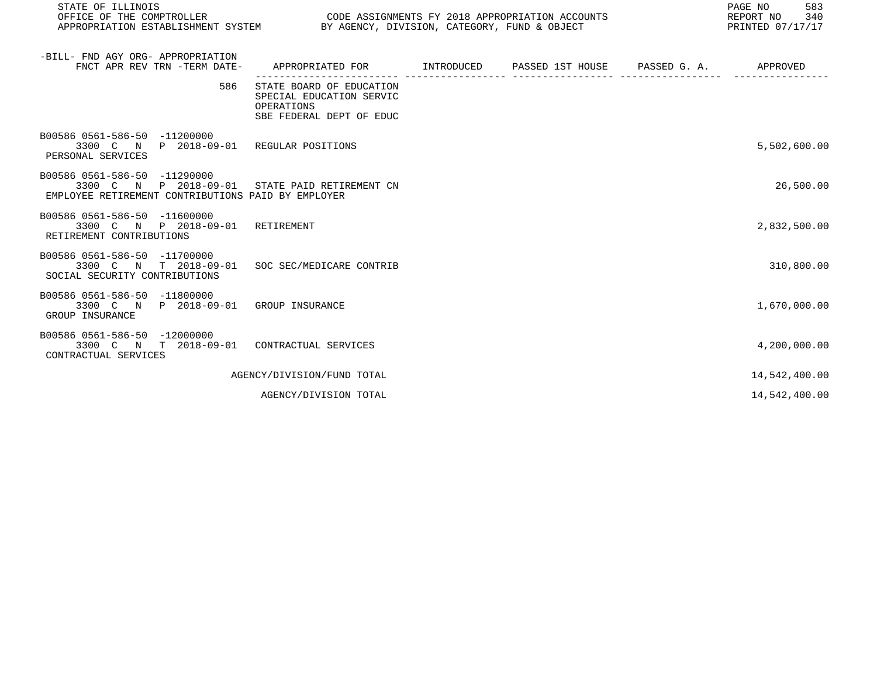| STATE OF ILLINOIS<br>OFFICE OF THE COMPTROLLER                                                                                       |                                                                                                | CODE ASSIGNMENTS FY 2018 APPROPRIATION ACCOUNTS<br>APPROPRIATION ESTABLISHMENT SYSTEM BY AGENCY, DIVISION, CATEGORY, FUND & OBJECT<br>PRINTED 07/17/17 |                  |                       |               |  |
|--------------------------------------------------------------------------------------------------------------------------------------|------------------------------------------------------------------------------------------------|--------------------------------------------------------------------------------------------------------------------------------------------------------|------------------|-----------------------|---------------|--|
| -BILL- FND AGY ORG- APPROPRIATION<br>FNCT APR REV TRN -TERM DATE-                                                                    | APPROPRIATED FOR INTRODUCED                                                                    |                                                                                                                                                        | PASSED 1ST HOUSE | PASSED G. A. APPROVED |               |  |
| 586                                                                                                                                  | STATE BOARD OF EDUCATION<br>SPECIAL EDUCATION SERVIC<br>OPERATIONS<br>SBE FEDERAL DEPT OF EDUC |                                                                                                                                                        |                  |                       |               |  |
| B00586 0561-586-50 -11200000<br>3300 C N P 2018-09-01 REGULAR POSITIONS<br>PERSONAL SERVICES                                         |                                                                                                |                                                                                                                                                        |                  |                       | 5,502,600.00  |  |
| B00586 0561-586-50 -11290000<br>3300 C N P 2018-09-01 STATE PAID RETIREMENT CN<br>EMPLOYEE RETIREMENT CONTRIBUTIONS PAID BY EMPLOYER |                                                                                                |                                                                                                                                                        |                  |                       | 26,500.00     |  |
| B00586 0561-586-50 -11600000<br>3300 C N P 2018-09-01 RETIREMENT<br>RETIREMENT CONTRIBUTIONS                                         |                                                                                                |                                                                                                                                                        |                  |                       | 2,832,500.00  |  |
| B00586 0561-586-50 -11700000<br>3300 C N T 2018-09-01 SOC SEC/MEDICARE CONTRIB<br>SOCIAL SECURITY CONTRIBUTIONS                      |                                                                                                |                                                                                                                                                        |                  |                       | 310,800.00    |  |
| B00586 0561-586-50 -11800000<br>3300 C N P 2018-09-01 GROUP INSURANCE<br>GROUP INSURANCE                                             |                                                                                                |                                                                                                                                                        |                  |                       | 1,670,000.00  |  |
| B00586 0561-586-50 -12000000<br>3300 C N T 2018-09-01 CONTRACTUAL SERVICES<br>CONTRACTUAL SERVICES                                   |                                                                                                |                                                                                                                                                        |                  |                       | 4,200,000.00  |  |
|                                                                                                                                      | AGENCY/DIVISION/FUND TOTAL                                                                     |                                                                                                                                                        |                  |                       | 14,542,400.00 |  |
|                                                                                                                                      | AGENCY/DIVISION TOTAL                                                                          |                                                                                                                                                        |                  |                       | 14,542,400.00 |  |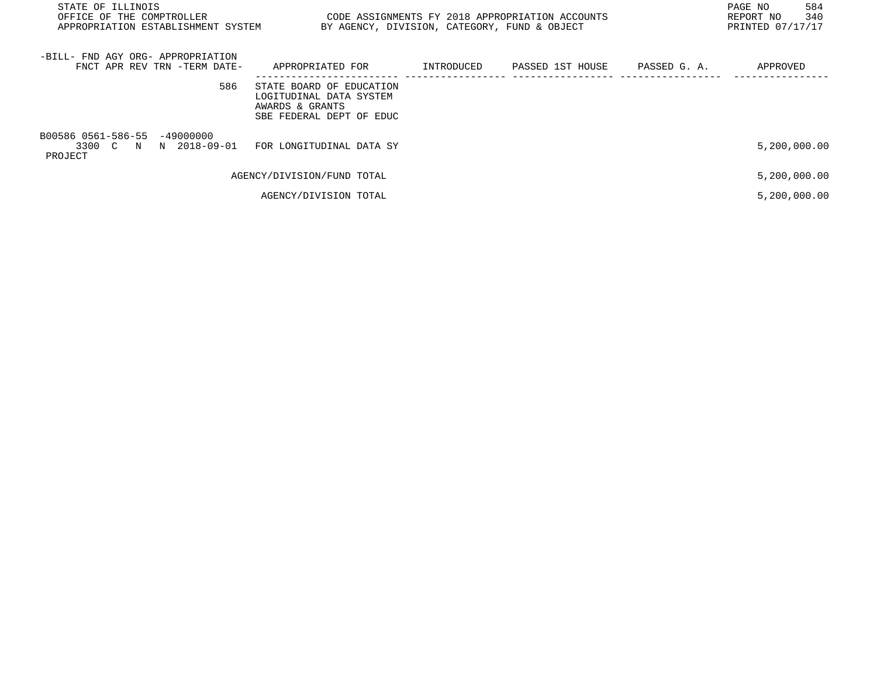| STATE OF ILLINOIS<br>OFFICE OF THE COMPTROLLER<br>APPROPRIATION ESTABLISHMENT SYSTEM |                                                                                                    | BY AGENCY, DIVISION, CATEGORY, FUND & OBJECT | CODE ASSIGNMENTS FY 2018 APPROPRIATION ACCOUNTS |              | PAGE NO<br>584<br>340<br>REPORT NO<br>PRINTED 07/17/17 |
|--------------------------------------------------------------------------------------|----------------------------------------------------------------------------------------------------|----------------------------------------------|-------------------------------------------------|--------------|--------------------------------------------------------|
| -BILL- FND AGY ORG- APPROPRIATION<br>FNCT APR REV TRN -TERM DATE-                    | APPROPRIATED FOR                                                                                   | INTRODUCED                                   | PASSED 1ST HOUSE                                | PASSED G. A. | APPROVED                                               |
| 586                                                                                  | STATE BOARD OF EDUCATION<br>LOGITUDINAL DATA SYSTEM<br>AWARDS & GRANTS<br>SBE FEDERAL DEPT OF EDUC |                                              |                                                 |              |                                                        |
| B00586 0561-586-55 -49000000<br>3300 C N N 2018-09-01<br>PROJECT                     | FOR LONGITUDINAL DATA SY                                                                           |                                              |                                                 |              | 5,200,000.00                                           |
|                                                                                      | AGENCY/DIVISION/FUND TOTAL                                                                         |                                              |                                                 |              | 5,200,000.00                                           |
|                                                                                      | AGENCY/DIVISION TOTAL                                                                              |                                              |                                                 |              | 5,200,000.00                                           |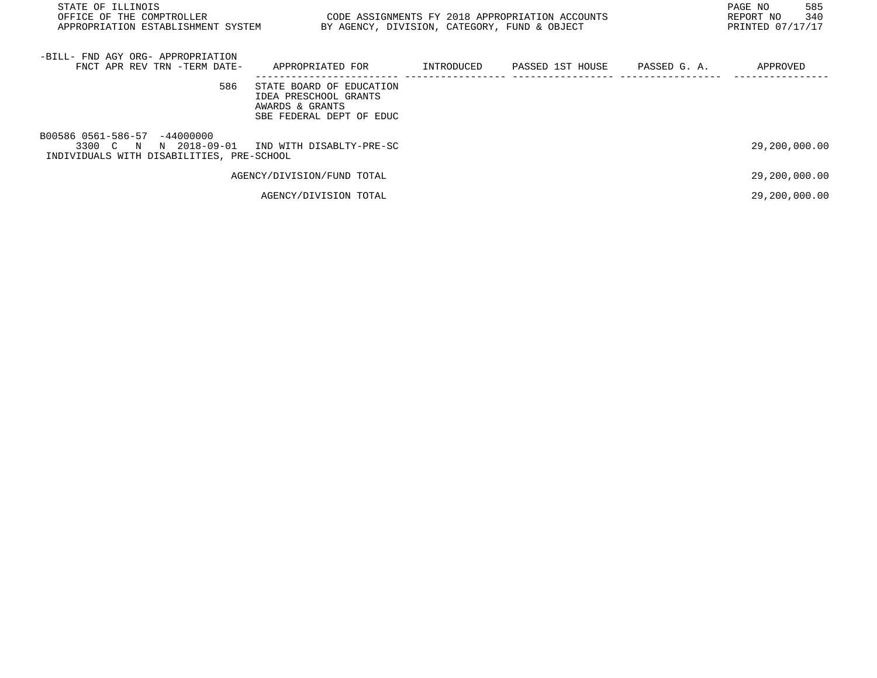| STATE OF ILLINOIS<br>OFFICE OF THE COMPTROLLER<br>APPROPRIATION ESTABLISHMENT SYSTEM  | BY AGENCY, DIVISION, CATEGORY, FUND & OBJECT                                                     |            | CODE ASSIGNMENTS FY 2018 APPROPRIATION ACCOUNTS |              | PAGE NO<br>585<br>340<br>REPORT NO<br>PRINTED 07/17/17 |
|---------------------------------------------------------------------------------------|--------------------------------------------------------------------------------------------------|------------|-------------------------------------------------|--------------|--------------------------------------------------------|
| -BILL- FND AGY ORG- APPROPRIATION<br>FNCT APR REV TRN -TERM DATE-                     | APPROPRIATED FOR                                                                                 | INTRODUCED | PASSED 1ST HOUSE                                | PASSED G. A. | APPROVED                                               |
| 586                                                                                   | STATE BOARD OF EDUCATION<br>IDEA PRESCHOOL GRANTS<br>AWARDS & GRANTS<br>SBE FEDERAL DEPT OF EDUC |            |                                                 |              |                                                        |
| B00586 0561-586-57 -44000000<br>3300 C N<br>INDIVIDUALS WITH DISABILITIES, PRE-SCHOOL | N 2018-09-01 IND WITH DISABLTY-PRE-SC                                                            |            |                                                 |              | 29,200,000.00                                          |
|                                                                                       | AGENCY/DIVISION/FUND TOTAL                                                                       |            |                                                 |              | 29,200,000.00                                          |
|                                                                                       | AGENCY/DIVISION TOTAL                                                                            |            |                                                 |              | 29,200,000.00                                          |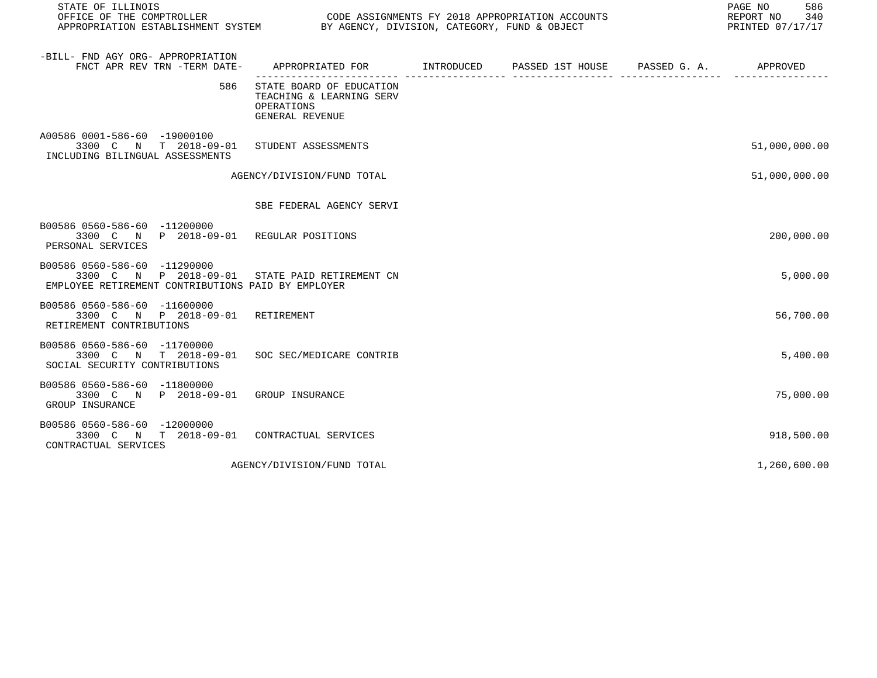| STATE OF ILLINOIS                                                                                                                    |                                                                                          |  | 586<br>PAGE NO<br>REPORT NO 340<br>PRINTED 07/17/17 |
|--------------------------------------------------------------------------------------------------------------------------------------|------------------------------------------------------------------------------------------|--|-----------------------------------------------------|
| -BILL- FND AGY ORG- APPROPRIATION<br>FNCT APR REV TRN -TERM DATE-                                                                    | APPROPRIATED FOR        INTRODUCED     PASSED 1ST HOUSE     PASSED G. A.        APPROVED |  |                                                     |
| 586                                                                                                                                  | STATE BOARD OF EDUCATION<br>TEACHING & LEARNING SERV<br>OPERATIONS<br>GENERAL REVENUE    |  |                                                     |
| A00586 0001-586-60 -19000100<br>3300 C N T 2018-09-01<br>INCLUDING BILINGUAL ASSESSMENTS                                             | STUDENT ASSESSMENTS                                                                      |  | 51,000,000.00                                       |
|                                                                                                                                      | AGENCY/DIVISION/FUND TOTAL                                                               |  | 51,000,000.00                                       |
|                                                                                                                                      | SBE FEDERAL AGENCY SERVI                                                                 |  |                                                     |
| B00586 0560-586-60 -11200000<br>3300 C N P 2018-09-01 REGULAR POSITIONS<br>PERSONAL SERVICES                                         |                                                                                          |  | 200,000.00                                          |
| B00586 0560-586-60 -11290000<br>3300 C N P 2018-09-01 STATE PAID RETIREMENT CN<br>EMPLOYEE RETIREMENT CONTRIBUTIONS PAID BY EMPLOYER |                                                                                          |  | 5,000.00                                            |
| B00586 0560-586-60 -11600000<br>3300 C N P 2018-09-01 RETIREMENT<br>RETIREMENT CONTRIBUTIONS                                         |                                                                                          |  | 56,700.00                                           |
| B00586 0560-586-60 -11700000<br>3300 C N T 2018-09-01<br>SOCIAL SECURITY CONTRIBUTIONS                                               | SOC SEC/MEDICARE CONTRIB                                                                 |  | 5,400.00                                            |
| B00586 0560-586-60 -11800000<br>3300 C N P 2018-09-01 GROUP INSURANCE<br>GROUP INSURANCE                                             |                                                                                          |  | 75,000.00                                           |
| B00586 0560-586-60 -12000000<br>3300 C N T 2018-09-01 CONTRACTUAL SERVICES<br>CONTRACTUAL SERVICES                                   |                                                                                          |  | 918,500.00                                          |
|                                                                                                                                      | AGENCY/DIVISION/FUND TOTAL                                                               |  | 1,260,600.00                                        |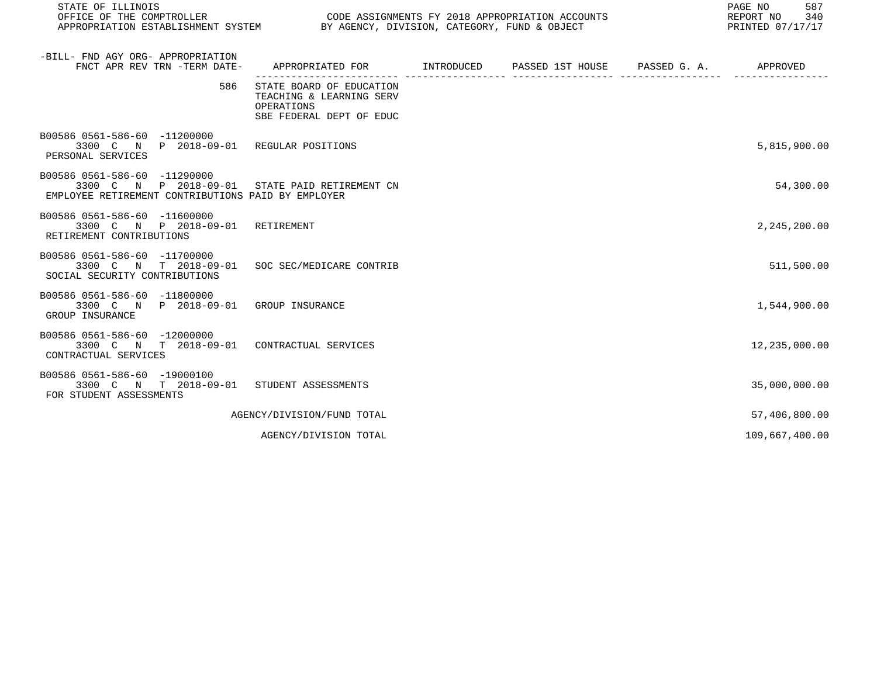| STATE OF ILLINOIS<br>OFFICE OF THE COMPTROLLER<br>CODE ASSIGNMENTS FY 2018 APPROPRIATION ACCOUNTS<br>APPROPRIATION ESTABLISHMENT SYSTEM BY AGENCY, DIVISION, CATEGORY, FUND & OBJECT |                                                                                                |  |  |  | 587<br>PAGE NO<br>REPORT NO<br>340<br>PRINTED 07/17/17 |
|--------------------------------------------------------------------------------------------------------------------------------------------------------------------------------------|------------------------------------------------------------------------------------------------|--|--|--|--------------------------------------------------------|
| -BILL- FND AGY ORG- APPROPRIATION<br>FNCT APR REV TRN -TERM DATE-                                                                                                                    | APPROPRIATED FOR       INTRODUCED     PASSED 1ST HOUSE    PASSED G. A.        APPROVED         |  |  |  |                                                        |
| 586                                                                                                                                                                                  | STATE BOARD OF EDUCATION<br>TEACHING & LEARNING SERV<br>OPERATIONS<br>SBE FEDERAL DEPT OF EDUC |  |  |  |                                                        |
| B00586 0561-586-60 -11200000<br>3300 C N P 2018-09-01 REGULAR POSITIONS<br>PERSONAL SERVICES                                                                                         |                                                                                                |  |  |  | 5,815,900.00                                           |
| B00586 0561-586-60 -11290000<br>3300 C N P 2018-09-01<br>EMPLOYEE RETIREMENT CONTRIBUTIONS PAID BY EMPLOYER                                                                          | STATE PAID RETIREMENT CN                                                                       |  |  |  | 54,300.00                                              |
| B00586 0561-586-60 -11600000<br>3300 C N P 2018-09-01<br>RETIREMENT CONTRIBUTIONS                                                                                                    | RETIREMENT                                                                                     |  |  |  | 2,245,200.00                                           |
| B00586 0561-586-60 -11700000<br>3300 C N T 2018-09-01<br>SOCIAL SECURITY CONTRIBUTIONS                                                                                               | SOC SEC/MEDICARE CONTRIB                                                                       |  |  |  | 511,500.00                                             |
| B00586 0561-586-60 -11800000<br>3300 C N P 2018-09-01 GROUP INSURANCE<br>GROUP INSURANCE                                                                                             |                                                                                                |  |  |  | 1,544,900.00                                           |
| B00586 0561-586-60 -12000000<br>3300 C N T 2018-09-01<br>CONTRACTUAL SERVICES                                                                                                        | CONTRACTUAL SERVICES                                                                           |  |  |  | 12,235,000.00                                          |
| B00586 0561-586-60 -19000100<br>3300 C N T 2018-09-01 STUDENT ASSESSMENTS<br>FOR STUDENT ASSESSMENTS                                                                                 |                                                                                                |  |  |  | 35,000,000.00                                          |
|                                                                                                                                                                                      | AGENCY/DIVISION/FUND TOTAL                                                                     |  |  |  | 57,406,800.00                                          |
|                                                                                                                                                                                      | AGENCY/DIVISION TOTAL                                                                          |  |  |  | 109,667,400.00                                         |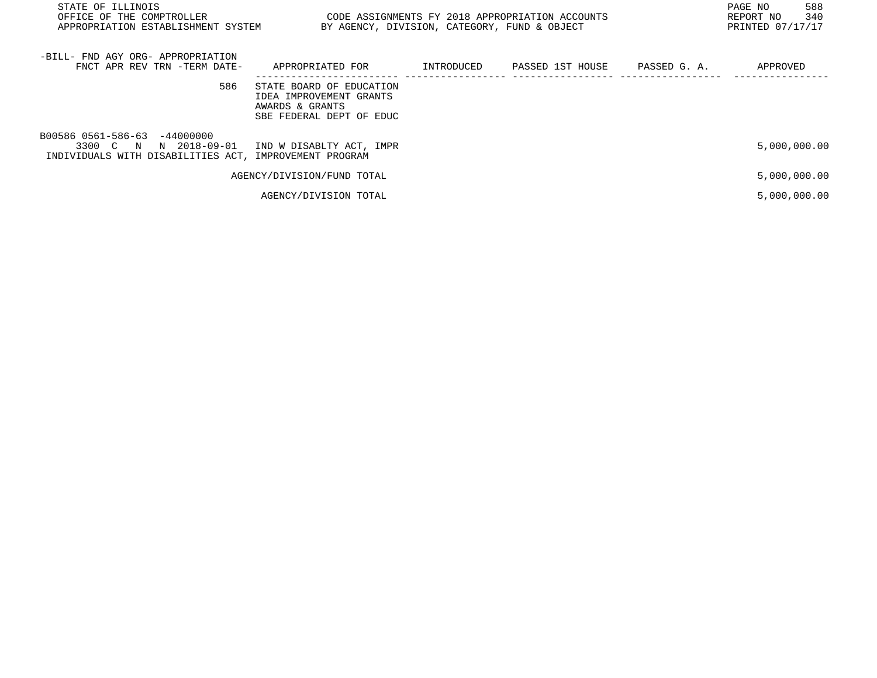| STATE OF ILLINOIS<br>OFFICE OF THE COMPTROLLER<br>APPROPRIATION ESTABLISHMENT SYSTEM                               | CODE ASSIGNMENTS FY 2018 APPROPRIATION ACCOUNTS<br>BY AGENCY, DIVISION, CATEGORY, FUND & OBJECT    |            |                  |              | PAGE NO<br>588<br>340<br>REPORT NO<br>PRINTED 07/17/17 |
|--------------------------------------------------------------------------------------------------------------------|----------------------------------------------------------------------------------------------------|------------|------------------|--------------|--------------------------------------------------------|
| -BILL- FND AGY ORG- APPROPRIATION<br>FNCT APR REV TRN -TERM DATE-                                                  | APPROPRIATED FOR                                                                                   | INTRODUCED | PASSED 1ST HOUSE | PASSED G. A. | APPROVED                                               |
| 586                                                                                                                | STATE BOARD OF EDUCATION<br>IDEA IMPROVEMENT GRANTS<br>AWARDS & GRANTS<br>SBE FEDERAL DEPT OF EDUC |            |                  |              |                                                        |
| B00586 0561-586-63 -44000000<br>3300 C N<br>N 2018-09-01<br>INDIVIDUALS WITH DISABILITIES ACT, IMPROVEMENT PROGRAM | IND W DISABLTY ACT, IMPR                                                                           |            |                  |              | 5,000,000.00                                           |
|                                                                                                                    | AGENCY/DIVISION/FUND TOTAL                                                                         |            |                  |              | 5,000,000.00                                           |
|                                                                                                                    | AGENCY/DIVISION TOTAL                                                                              |            |                  |              | 5,000,000.00                                           |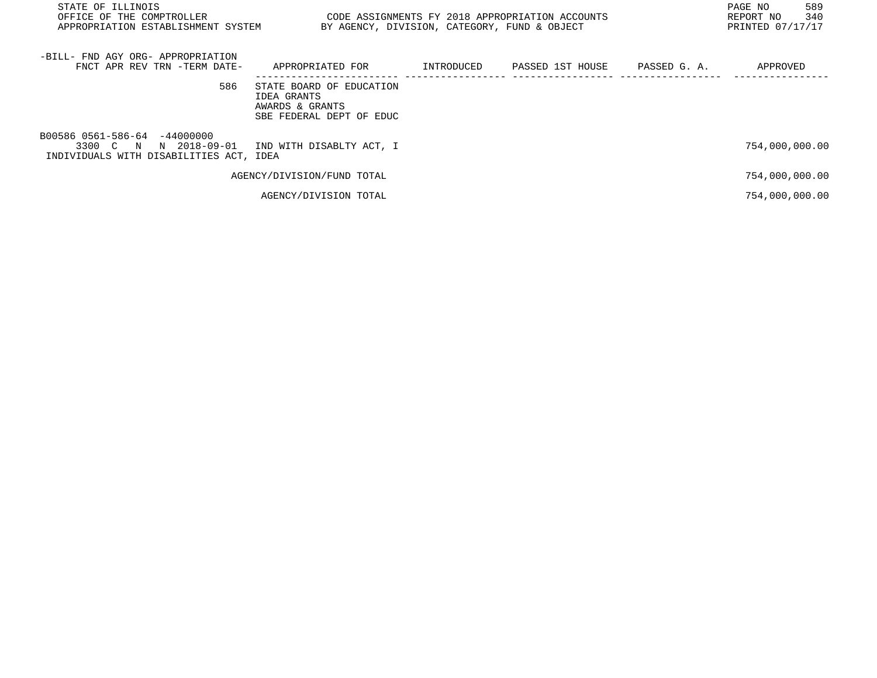| PAGE NO<br>STATE OF ILLINOIS<br>CODE ASSIGNMENTS FY 2018 APPROPRIATION ACCOUNTS<br>OFFICE OF THE COMPTROLLER<br>REPORT NO<br>PRINTED 07/17/17<br>BY AGENCY, DIVISION, CATEGORY, FUND & OBJECT<br>APPROPRIATION ESTABLISHMENT SYSTEM |                                                                                        |            |                  |              |                |
|-------------------------------------------------------------------------------------------------------------------------------------------------------------------------------------------------------------------------------------|----------------------------------------------------------------------------------------|------------|------------------|--------------|----------------|
| -BILL- FND AGY ORG- APPROPRIATION<br>FNCT APR REV TRN -TERM DATE-                                                                                                                                                                   | APPROPRIATED FOR                                                                       | INTRODUCED | PASSED 1ST HOUSE | PASSED G. A. | APPROVED       |
| 586                                                                                                                                                                                                                                 | STATE BOARD OF EDUCATION<br>IDEA GRANTS<br>AWARDS & GRANTS<br>SBE FEDERAL DEPT OF EDUC |            |                  |              |                |
| B00586 0561-586-64 -44000000<br>3300 C N N 2018-09-01<br>INDIVIDUALS WITH DISABILITIES ACT, IDEA                                                                                                                                    | IND WITH DISABLTY ACT, I                                                               |            |                  |              | 754,000,000.00 |
|                                                                                                                                                                                                                                     | AGENCY/DIVISION/FUND TOTAL                                                             |            |                  |              | 754,000,000.00 |
|                                                                                                                                                                                                                                     | AGENCY/DIVISION TOTAL                                                                  |            |                  |              | 754,000,000.00 |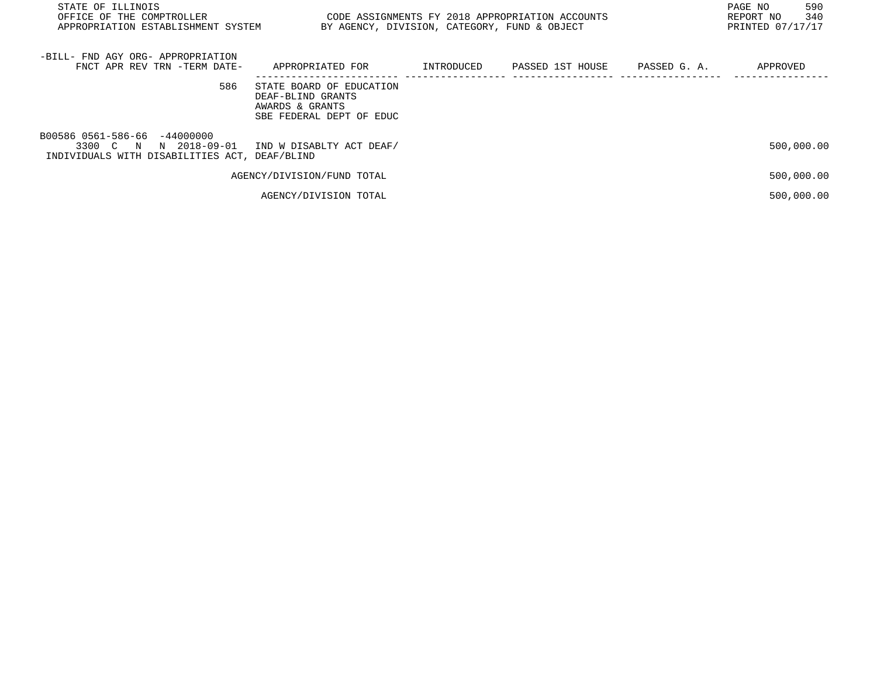| STATE OF ILLINOIS<br>OFFICE OF THE COMPTROLLER<br>APPROPRIATION ESTABLISHMENT SYSTEM           | CODE ASSIGNMENTS FY 2018 APPROPRIATION ACCOUNTS<br>BY AGENCY, DIVISION, CATEGORY, FUND & OBJECT |            |                  |              | PAGE NO<br>590<br>340<br>REPORT NO<br>PRINTED 07/17/17 |
|------------------------------------------------------------------------------------------------|-------------------------------------------------------------------------------------------------|------------|------------------|--------------|--------------------------------------------------------|
| -BILL- FND AGY ORG- APPROPRIATION<br>FNCT APR REV TRN -TERM DATE-                              | APPROPRIATED FOR                                                                                | INTRODUCED | PASSED 1ST HOUSE | PASSED G. A. | APPROVED                                               |
| 586                                                                                            | STATE BOARD OF EDUCATION<br>DEAF-BLIND GRANTS<br>AWARDS & GRANTS<br>SBE FEDERAL DEPT OF EDUC    |            |                  |              |                                                        |
| B00586 0561-586-66 -44000000<br>3300 C N<br>N 2018-09-01<br>INDIVIDUALS WITH DISABILITIES ACT. | IND W DISABLTY ACT DEAF/<br>DEAF/BLIND                                                          |            |                  |              | 500,000.00                                             |
|                                                                                                | AGENCY/DIVISION/FUND TOTAL                                                                      |            |                  |              | 500,000.00                                             |
|                                                                                                | AGENCY/DIVISION TOTAL                                                                           |            |                  |              | 500,000.00                                             |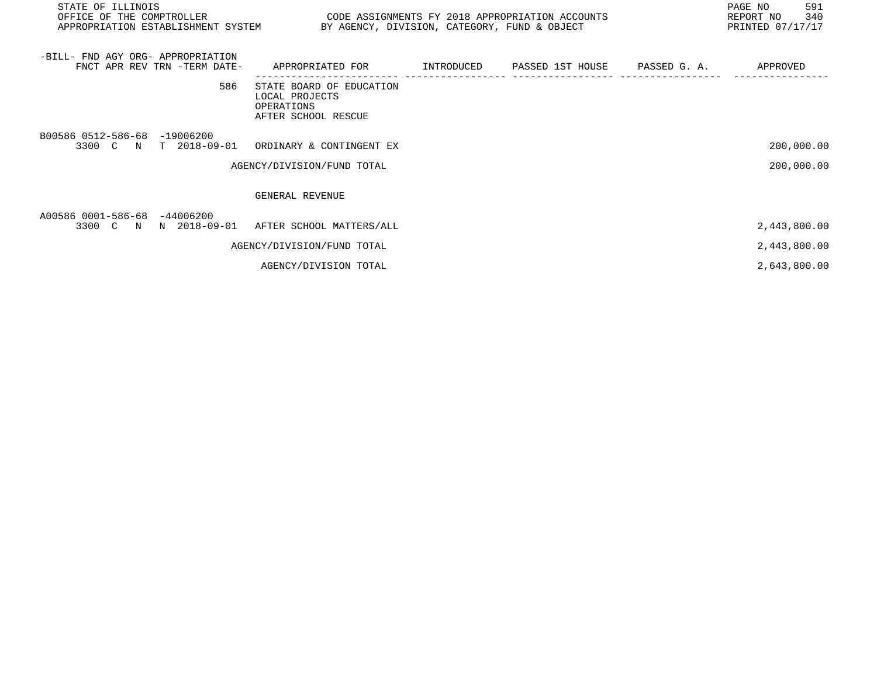| STATE OF ILLINOIS<br>OFFICE OF THE COMPTROLLER<br>APPROPRIATION ESTABLISHMENT SYSTEM BY AGENCY, DIVISION, CATEGORY, FUND & OBJECT | CODE ASSIGNMENTS FY 2018 APPROPRIATION ACCOUNTS                                 |  |              | PAGE NO<br>591<br>340<br>REPORT NO<br>PRINTED 07/17/17 |
|-----------------------------------------------------------------------------------------------------------------------------------|---------------------------------------------------------------------------------|--|--------------|--------------------------------------------------------|
| -BILL- FND AGY ORG- APPROPRIATION<br>FNCT APR REV TRN -TERM DATE-                                                                 | APPROPRIATED FOR          INTRODUCED      PASSED 1ST HOUSE                      |  | PASSED G. A. | APPROVED                                               |
| 586                                                                                                                               | STATE BOARD OF EDUCATION<br>LOCAL PROJECTS<br>OPERATIONS<br>AFTER SCHOOL RESCUE |  |              |                                                        |
| B00586 0512-586-68 -19006200<br>3300 C N T 2018-09-01                                                                             | ORDINARY & CONTINGENT EX                                                        |  |              | 200,000.00                                             |
|                                                                                                                                   | AGENCY/DIVISION/FUND TOTAL                                                      |  |              | 200,000.00                                             |
|                                                                                                                                   | GENERAL REVENUE                                                                 |  |              |                                                        |
| A00586 0001-586-68 -44006200<br>3300 C N N 2018-09-01 AFTER SCHOOL MATTERS/ALL                                                    |                                                                                 |  |              | 2,443,800.00                                           |
|                                                                                                                                   | AGENCY/DIVISION/FUND TOTAL                                                      |  |              | 2,443,800.00                                           |
|                                                                                                                                   | AGENCY/DIVISION TOTAL                                                           |  |              | 2,643,800.00                                           |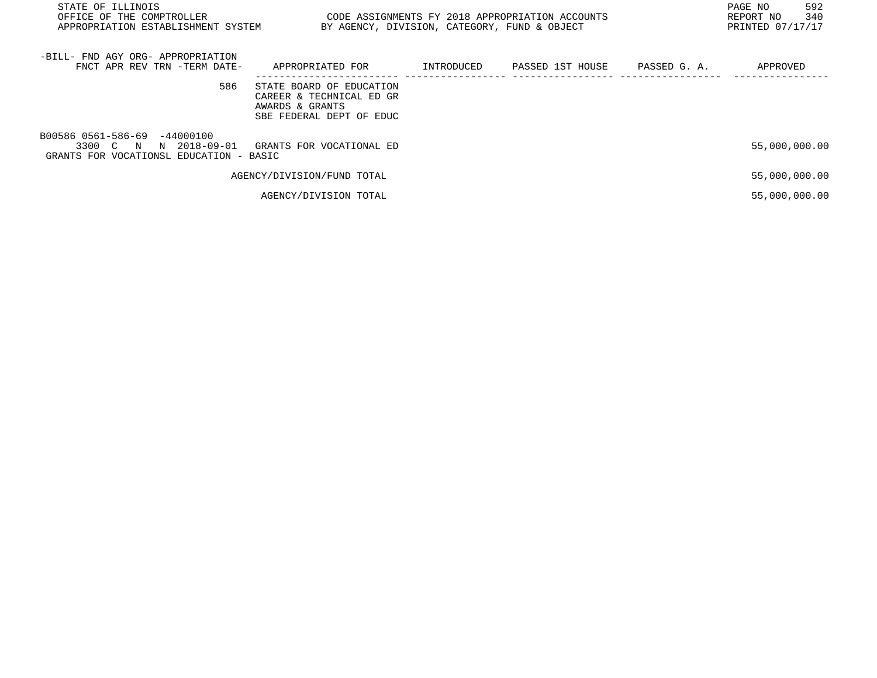| STATE OF ILLINOIS<br>OFFICE OF THE COMPTROLLER                                                      | CODE ASSIGNMENTS FY 2018 APPROPRIATION ACCOUNTS<br>APPROPRIATION ESTABLISHMENT SYSTEM<br>BY AGENCY, DIVISION, CATEGORY, FUND & OBJECT |            |                  |              |               |
|-----------------------------------------------------------------------------------------------------|---------------------------------------------------------------------------------------------------------------------------------------|------------|------------------|--------------|---------------|
| -BILL- FND AGY ORG- APPROPRIATION<br>FNCT APR REV TRN -TERM DATE-                                   | APPROPRIATED FOR                                                                                                                      | INTRODUCED | PASSED 1ST HOUSE | PASSED G. A. | APPROVED      |
| 586                                                                                                 | STATE BOARD OF EDUCATION<br>CAREER & TECHNICAL ED GR<br>AWARDS & GRANTS<br>SBE FEDERAL DEPT OF EDUC                                   |            |                  |              |               |
| B00586 0561-586-69 -44000100<br>3300 C N<br>N 2018-09-01<br>GRANTS FOR VOCATIONSL EDUCATION - BASIC | GRANTS FOR VOCATIONAL ED                                                                                                              |            |                  |              | 55,000,000.00 |
|                                                                                                     | AGENCY/DIVISION/FUND TOTAL                                                                                                            |            |                  |              | 55,000,000.00 |
|                                                                                                     | AGENCY/DIVISION TOTAL                                                                                                                 |            |                  |              | 55,000,000.00 |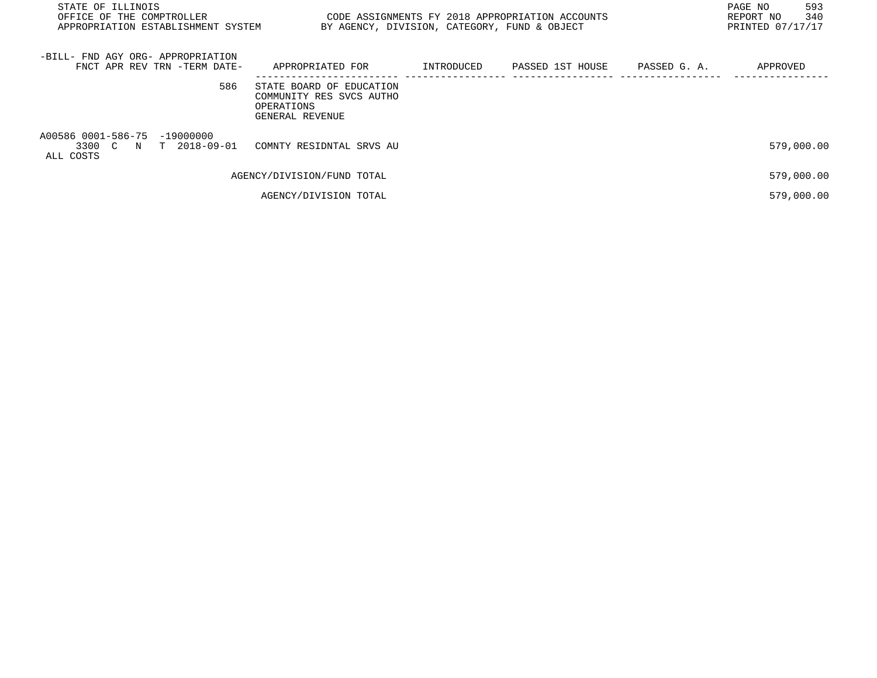| STATE OF ILLINOIS<br>CODE ASSIGNMENTS FY 2018 APPROPRIATION ACCOUNTS<br>OFFICE OF THE COMPTROLLER<br>APPROPRIATION ESTABLISHMENT SYSTEM<br>BY AGENCY, DIVISION, CATEGORY, FUND & OBJECT |                                                                                       |            |                  |              | 593<br>PAGE NO<br>340<br>REPORT NO<br>PRINTED 07/17/17 |
|-----------------------------------------------------------------------------------------------------------------------------------------------------------------------------------------|---------------------------------------------------------------------------------------|------------|------------------|--------------|--------------------------------------------------------|
| -BILL- FND AGY ORG- APPROPRIATION<br>FNCT APR REV TRN -TERM DATE-                                                                                                                       | APPROPRIATED FOR                                                                      | INTRODUCED | PASSED 1ST HOUSE | PASSED G. A. | APPROVED                                               |
| 586                                                                                                                                                                                     | STATE BOARD OF EDUCATION<br>COMMUNITY RES SVCS AUTHO<br>OPERATIONS<br>GENERAL REVENUE |            |                  |              |                                                        |
| A00586 0001-586-75 -19000000<br>3300 C N T 2018-09-01<br>ALL COSTS                                                                                                                      | COMNTY RESIDNTAL SRVS AU                                                              |            |                  |              | 579,000.00                                             |
|                                                                                                                                                                                         | AGENCY/DIVISION/FUND TOTAL                                                            |            |                  |              | 579,000.00                                             |
|                                                                                                                                                                                         | AGENCY/DIVISION TOTAL                                                                 |            |                  |              | 579,000.00                                             |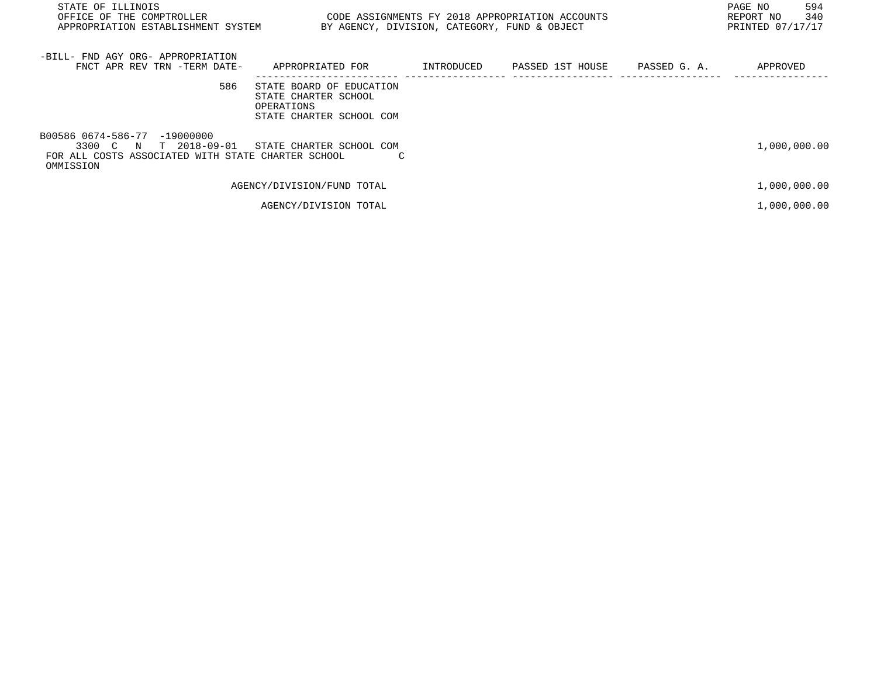| STATE OF ILLINOIS<br>OFFICE OF THE COMPTROLLER THE STATE STATE ON THE CODE ASSIGNMENTS FY 2018 APPROPRIATION ACCOUNTS<br>APPROPRIATION ESTABLISHMENT SYSTEM BY AGENCY, DIVISION, CATEGORY, FUND & OBJECT |                                                                                            |  | 594<br>PAGE NO<br>340<br>REPORT NO<br>PRINTED 07/17/17 |
|----------------------------------------------------------------------------------------------------------------------------------------------------------------------------------------------------------|--------------------------------------------------------------------------------------------|--|--------------------------------------------------------|
| -BILL- FND AGY ORG- APPROPRIATION<br>FNCT APR REV TRN -TERM DATE-                                                                                                                                        | APPROPRIATED FOR                                                                           |  | APPROVED                                               |
| 586                                                                                                                                                                                                      | STATE BOARD OF EDUCATION<br>STATE CHARTER SCHOOL<br>OPERATIONS<br>STATE CHARTER SCHOOL COM |  |                                                        |
| B00586 0674-586-77 -19000000<br>T 2018-09-01<br>3300 C N<br>FOR ALL COSTS ASSOCIATED WITH STATE CHARTER SCHOOL<br>OMMISSION                                                                              | STATE CHARTER SCHOOL COM                                                                   |  | 1,000,000.00                                           |
|                                                                                                                                                                                                          | AGENCY/DIVISION/FUND TOTAL                                                                 |  | 1,000,000.00                                           |
|                                                                                                                                                                                                          | AGENCY/DIVISION TOTAL                                                                      |  | 1,000,000.00                                           |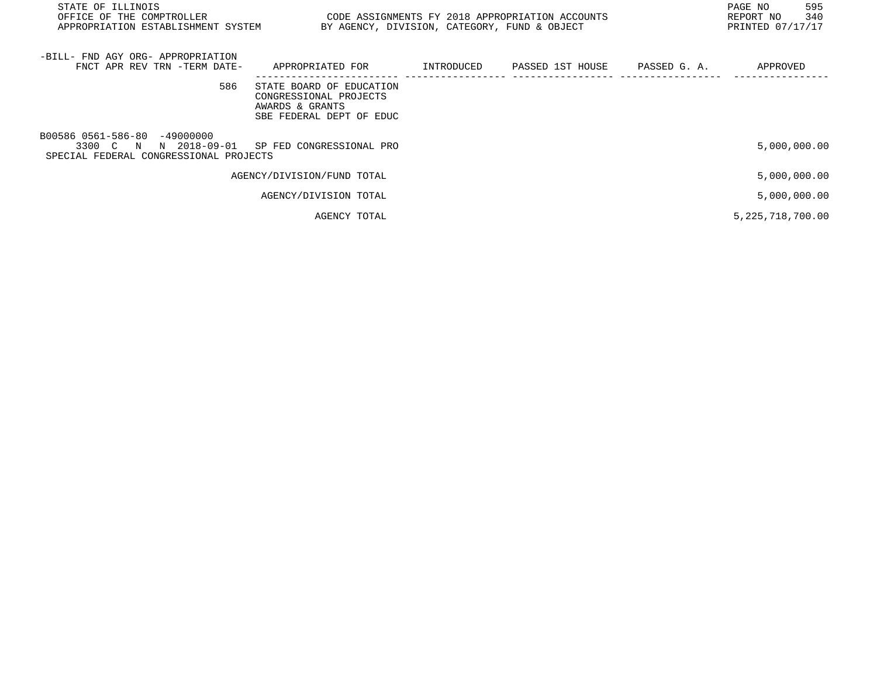| STATE OF ILLINOIS<br>OFFICE OF THE COMPTROLLER<br>APPROPRIATION ESTABLISHMENT SYSTEM            |                                                                                                   | BY AGENCY, DIVISION, CATEGORY, FUND & OBJECT | CODE ASSIGNMENTS FY 2018 APPROPRIATION ACCOUNTS | 595<br>PAGE NO<br>340<br>REPORT NO<br>PRINTED 07/17/17 |
|-------------------------------------------------------------------------------------------------|---------------------------------------------------------------------------------------------------|----------------------------------------------|-------------------------------------------------|--------------------------------------------------------|
| -BILL- FND AGY ORG- APPROPRIATION<br>FNCT APR REV TRN -TERM DATE-                               | APPROPRIATED FOR                                                                                  | INTRODUCED                                   | PASSED 1ST HOUSE PASSED G. A.                   | APPROVED                                               |
| 586                                                                                             | STATE BOARD OF EDUCATION<br>CONGRESSIONAL PROJECTS<br>AWARDS & GRANTS<br>SBE FEDERAL DEPT OF EDUC |                                              |                                                 |                                                        |
| B00586 0561-586-80 -49000000<br>3300 C N N 2018-09-01<br>SPECIAL FEDERAL CONGRESSIONAL PROJECTS | SP FED CONGRESSIONAL PRO                                                                          |                                              |                                                 | 5,000,000.00                                           |
|                                                                                                 | AGENCY/DIVISION/FUND TOTAL                                                                        |                                              |                                                 | 5,000,000.00                                           |
|                                                                                                 | AGENCY/DIVISION TOTAL                                                                             |                                              |                                                 | 5,000,000.00                                           |
|                                                                                                 | AGENCY TOTAL                                                                                      |                                              |                                                 | 5, 225, 718, 700.00                                    |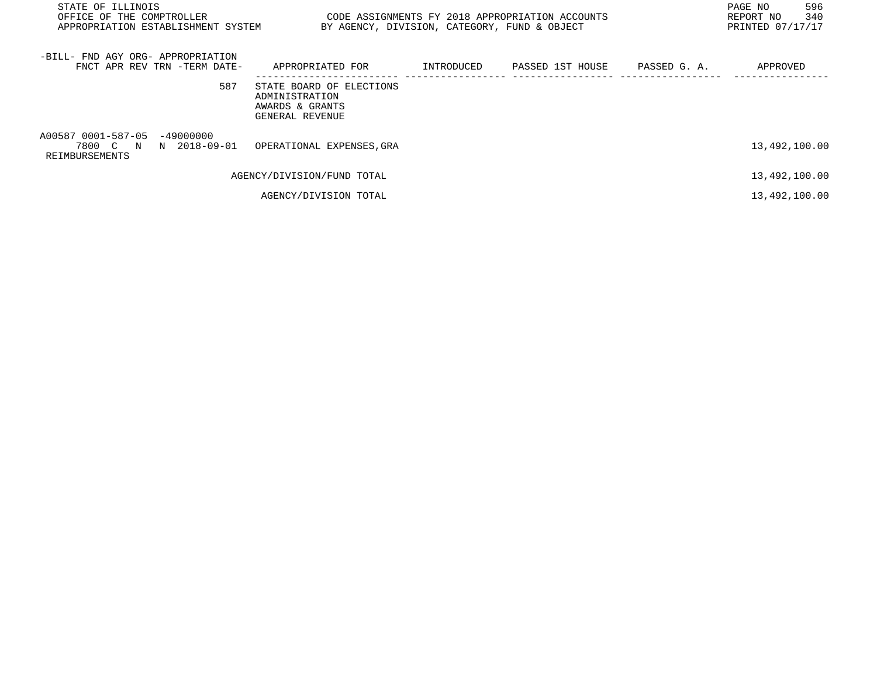| STATE OF ILLINOIS<br>OFFICE OF THE COMPTROLLER<br>APPROPRIATION ESTABLISHMENT SYSTEM |                                                                                  | BY AGENCY, DIVISION, CATEGORY, FUND & OBJECT | CODE ASSIGNMENTS FY 2018 APPROPRIATION ACCOUNTS |              | 596<br>PAGE NO<br>340<br>REPORT NO<br>PRINTED 07/17/17 |
|--------------------------------------------------------------------------------------|----------------------------------------------------------------------------------|----------------------------------------------|-------------------------------------------------|--------------|--------------------------------------------------------|
| -BILL- FND AGY ORG- APPROPRIATION<br>FNCT APR REV TRN -TERM DATE-                    | APPROPRIATED FOR                                                                 |                                              | INTRODUCED PASSED 1ST HOUSE                     | PASSED G. A. | APPROVED                                               |
| 587                                                                                  | STATE BOARD OF ELECTIONS<br>ADMINISTRATION<br>AWARDS & GRANTS<br>GENERAL REVENUE |                                              |                                                 |              |                                                        |
| A00587 0001-587-05 -49000000<br>7800 C N N 2018-09-01<br>REIMBURSEMENTS              | OPERATIONAL EXPENSES, GRA                                                        |                                              |                                                 |              | 13,492,100.00                                          |
|                                                                                      | AGENCY/DIVISION/FUND TOTAL                                                       |                                              |                                                 |              | 13,492,100.00                                          |
|                                                                                      | AGENCY/DIVISION TOTAL                                                            |                                              |                                                 |              | 13,492,100.00                                          |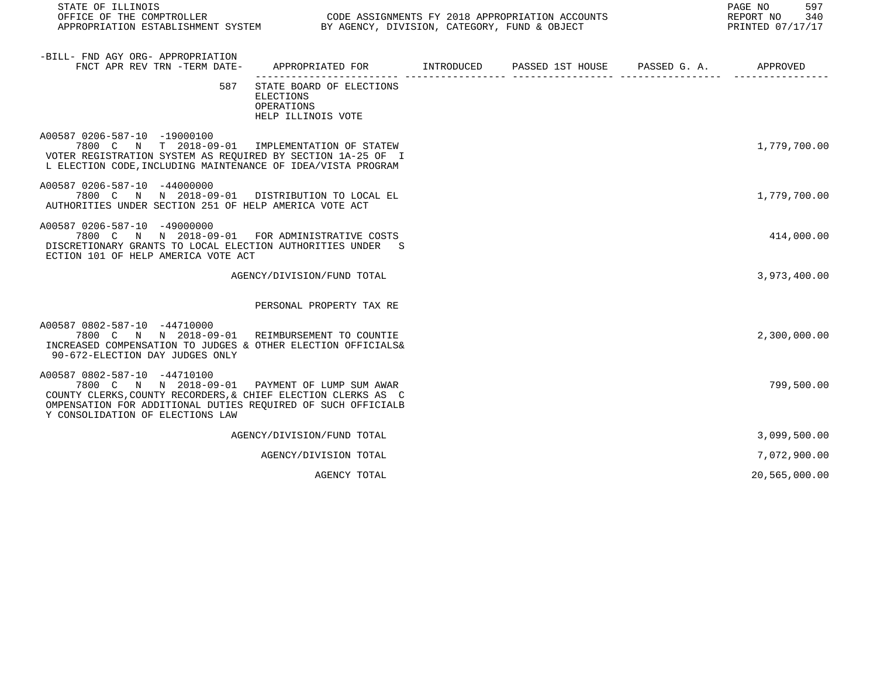| STATE OF ILLINOIS<br>OFFICE OF THE COMPTROLLER<br>CODE ASSIGNMENTS FY 2018 APPROPRIATION ACCOUNTS<br>APPROPRIATION ESTABLISHMENT SYSTEM BY AGENCY, DIVISION, CATEGORY, FUND & OBJECT                                       |                                                                                            |  |  |  |               |  |
|----------------------------------------------------------------------------------------------------------------------------------------------------------------------------------------------------------------------------|--------------------------------------------------------------------------------------------|--|--|--|---------------|--|
| -BILL- FND AGY ORG- APPROPRIATION<br>FNCT APR REV TRN -TERM DATE-                                                                                                                                                          | APPROPRIATED FOR        INTRODUCED      PASSED 1ST HOUSE     PASSED G. A.         APPROVED |  |  |  |               |  |
| 587                                                                                                                                                                                                                        | STATE BOARD OF ELECTIONS<br>ELECTIONS<br>OPERATIONS<br>HELP ILLINOIS VOTE                  |  |  |  |               |  |
| A00587 0206-587-10 -19000100<br>7800 C N T 2018-09-01 IMPLEMENTATION OF STATEW<br>VOTER REGISTRATION SYSTEM AS REOUIRED BY SECTION 1A-25 OF I<br>L ELECTION CODE, INCLUDING MAINTENANCE OF IDEA/VISTA PROGRAM              |                                                                                            |  |  |  | 1,779,700.00  |  |
| A00587 0206-587-10 -44000000<br>7800 C N N 2018-09-01 DISTRIBUTION TO LOCAL EL<br>AUTHORITIES UNDER SECTION 251 OF HELP AMERICA VOTE ACT                                                                                   |                                                                                            |  |  |  | 1,779,700.00  |  |
| A00587 0206-587-10 -49000000<br>7800 C N N 2018-09-01 FOR ADMINISTRATIVE COSTS<br>DISCRETIONARY GRANTS TO LOCAL ELECTION AUTHORITIES UNDER S<br>ECTION 101 OF HELP AMERICA VOTE ACT                                        |                                                                                            |  |  |  | 414,000.00    |  |
|                                                                                                                                                                                                                            | AGENCY/DIVISION/FUND TOTAL                                                                 |  |  |  | 3,973,400.00  |  |
|                                                                                                                                                                                                                            | PERSONAL PROPERTY TAX RE                                                                   |  |  |  |               |  |
| A00587 0802-587-10 -44710000<br>7800 C N N 2018-09-01 REIMBURSEMENT TO COUNTIE<br>INCREASED COMPENSATION TO JUDGES & OTHER ELECTION OFFICIALS&<br>90-672-ELECTION DAY JUDGES ONLY                                          |                                                                                            |  |  |  | 2,300,000.00  |  |
| A00587 0802-587-10 -44710100<br>7800 C N N 2018-09-01<br>COUNTY CLERKS, COUNTY RECORDERS, & CHIEF ELECTION CLERKS AS C<br>OMPENSATION FOR ADDITIONAL DUTIES REOUIRED OF SUCH OFFICIALB<br>Y CONSOLIDATION OF ELECTIONS LAW | PAYMENT OF LUMP SUM AWAR                                                                   |  |  |  | 799,500.00    |  |
|                                                                                                                                                                                                                            | AGENCY/DIVISION/FUND TOTAL                                                                 |  |  |  | 3,099,500.00  |  |
|                                                                                                                                                                                                                            | AGENCY/DIVISION TOTAL                                                                      |  |  |  | 7,072,900.00  |  |
|                                                                                                                                                                                                                            | AGENCY TOTAL                                                                               |  |  |  | 20,565,000.00 |  |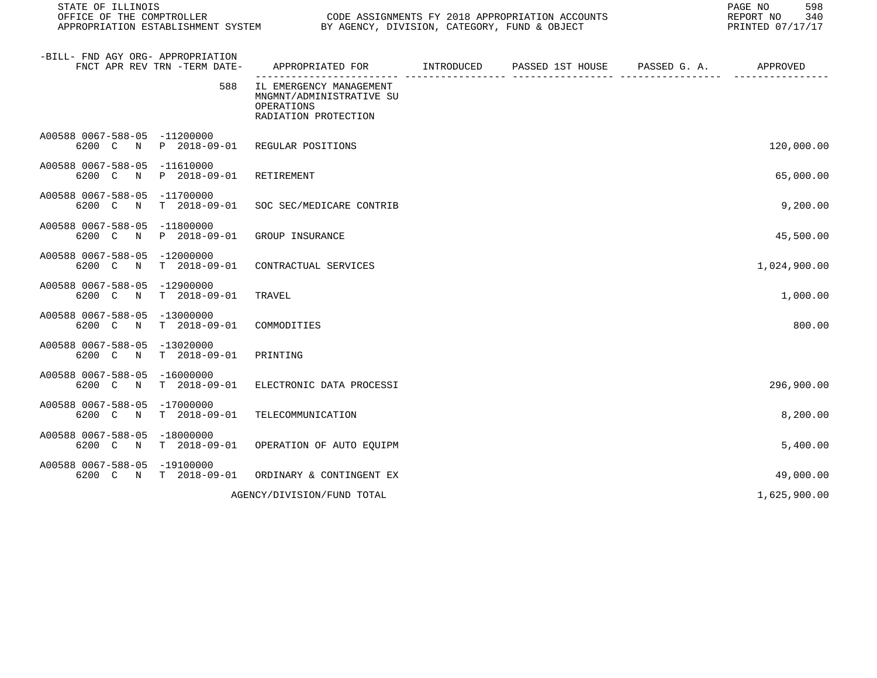| STATE OF ILLINOIS<br>OFFICE OF THE COMPTROLLER<br>APPROPRIATION ESTABLISHMENT SYSTEM | PAGE NO<br>CODE ASSIGNMENTS FY 2018 APPROPRIATION ACCOUNTS<br>REPORT NO<br>BY AGENCY, DIVISION, CATEGORY, FUND & OBJECT<br>PRINTED 07/17/17 |  |                                         |  |              |  |
|--------------------------------------------------------------------------------------|---------------------------------------------------------------------------------------------------------------------------------------------|--|-----------------------------------------|--|--------------|--|
| -BILL- FND AGY ORG- APPROPRIATION<br>FNCT APR REV TRN -TERM DATE-                    | APPROPRIATED FOR                                                                                                                            |  | INTRODUCED PASSED 1ST HOUSE PASSED G.A. |  | APPROVED     |  |
| 588                                                                                  | IL EMERGENCY MANAGEMENT<br>MNGMNT/ADMINISTRATIVE SU<br>OPERATIONS<br>RADIATION PROTECTION                                                   |  |                                         |  |              |  |
| A00588 0067-588-05 -11200000<br>6200 C N<br>P 2018-09-01                             | REGULAR POSITIONS                                                                                                                           |  |                                         |  | 120,000.00   |  |
| A00588 0067-588-05 -11610000<br>P 2018-09-01<br>6200 C<br>$\mathbb N$                | RETIREMENT                                                                                                                                  |  |                                         |  | 65,000.00    |  |
| A00588 0067-588-05 -11700000<br>$T = 2018 - 09 - 01$<br>6200 C<br>$\mathbb N$        | SOC SEC/MEDICARE CONTRIB                                                                                                                    |  |                                         |  | 9,200.00     |  |
| A00588 0067-588-05<br>$-11800000$<br>6200 C<br>$\mathbb N$<br>P 2018-09-01           | GROUP INSURANCE                                                                                                                             |  |                                         |  | 45,500.00    |  |
| A00588 0067-588-05<br>-12000000<br>$T = 2018 - 09 - 01$<br>6200 C N                  | CONTRACTUAL SERVICES                                                                                                                        |  |                                         |  | 1,024,900.00 |  |
| A00588 0067-588-05<br>-12900000<br>$T = 2018 - 09 - 01$<br>6200 C<br>$\mathbb N$     | TRAVEL                                                                                                                                      |  |                                         |  | 1,000.00     |  |
| A00588 0067-588-05 -13000000<br>$T = 2018 - 09 - 01$<br>6200 C<br>$\mathbb N$        | COMMODITIES                                                                                                                                 |  |                                         |  | 800.00       |  |
| A00588 0067-588-05<br>$-13020000$<br>6200 C<br>$\mathbf N$<br>$T = 2018 - 09 - 01$   | PRINTING                                                                                                                                    |  |                                         |  |              |  |
| A00588 0067-588-05<br>$-16000000$<br>$T = 2018 - 09 - 01$<br>6200 C N                | ELECTRONIC DATA PROCESSI                                                                                                                    |  |                                         |  | 296,900.00   |  |
| A00588 0067-588-05<br>$-17000000$<br>$T = 2018 - 09 - 01$<br>6200 C<br>$\mathbb N$   | TELECOMMUNICATION                                                                                                                           |  |                                         |  | 8,200.00     |  |
| A00588 0067-588-05 -18000000<br>6200 C<br>$T = 2018 - 09 - 01$<br>$\mathbb N$        | OPERATION OF AUTO EQUIPM                                                                                                                    |  |                                         |  | 5,400.00     |  |
| A00588 0067-588-05<br>$-19100000$<br>N T 2018-09-01<br>6200 C                        | ORDINARY & CONTINGENT EX                                                                                                                    |  |                                         |  | 49,000.00    |  |
|                                                                                      | AGENCY/DIVISION/FUND TOTAL                                                                                                                  |  |                                         |  | 1,625,900.00 |  |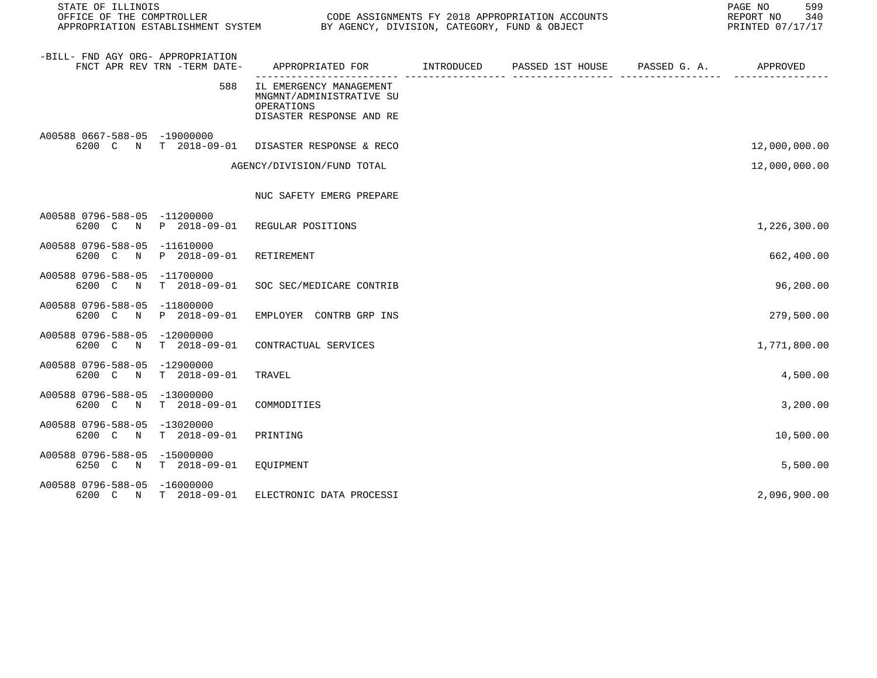| STATE OF ILLINOIS<br>OFFICE OF THE COMPTROLLER<br>CODE ASSIGNMENTS FY 2018 APPROPRIATION ACCOUNTS<br>APPROPRIATION ESTABLISHMENT SYSTEM BY AGENCY, DIVISION, CATEGORY, FUND & OBJECT |                                                                                               |  |  |  | 599<br>PAGE NO<br>REPORT NO<br>340<br>PRINTED 07/17/17 |
|--------------------------------------------------------------------------------------------------------------------------------------------------------------------------------------|-----------------------------------------------------------------------------------------------|--|--|--|--------------------------------------------------------|
| -BILL- FND AGY ORG- APPROPRIATION<br>FNCT APR REV TRN -TERM DATE-                                                                                                                    | APPROPRIATED FOR        INTRODUCED     PASSED 1ST HOUSE     PASSED G. A.         APPROVED     |  |  |  |                                                        |
| 588                                                                                                                                                                                  | IL EMERGENCY MANAGEMENT<br>MNGMNT/ADMINISTRATIVE SU<br>OPERATIONS<br>DISASTER RESPONSE AND RE |  |  |  |                                                        |
| A00588 0667-588-05 -19000000<br>6200 C N T 2018-09-01 DISASTER RESPONSE & RECO                                                                                                       |                                                                                               |  |  |  | 12,000,000.00                                          |
|                                                                                                                                                                                      | AGENCY/DIVISION/FUND TOTAL                                                                    |  |  |  | 12,000,000.00                                          |
|                                                                                                                                                                                      | NUC SAFETY EMERG PREPARE                                                                      |  |  |  |                                                        |
| A00588 0796-588-05 -11200000<br>6200 C N P 2018-09-01 REGULAR POSITIONS                                                                                                              |                                                                                               |  |  |  | 1,226,300.00                                           |
| A00588 0796-588-05 -11610000<br>6200 C N<br>P 2018-09-01                                                                                                                             | RETIREMENT                                                                                    |  |  |  | 662,400.00                                             |
| A00588 0796-588-05 -11700000<br>6200 C N<br>T 2018-09-01                                                                                                                             | SOC SEC/MEDICARE CONTRIB                                                                      |  |  |  | 96,200.00                                              |
| A00588 0796-588-05 -11800000<br>P 2018-09-01<br>6200 C<br>$\mathbb N$                                                                                                                | EMPLOYER CONTRB GRP INS                                                                       |  |  |  | 279,500.00                                             |
| A00588 0796-588-05 -12000000<br>6200 C N<br>T 2018-09-01                                                                                                                             | CONTRACTUAL SERVICES                                                                          |  |  |  | 1,771,800.00                                           |
| A00588 0796-588-05 -12900000<br>$T = 2018 - 09 - 01$<br>6200 C N                                                                                                                     | TRAVEL                                                                                        |  |  |  | 4,500.00                                               |
| A00588 0796-588-05 -13000000<br>6200 C N<br>T 2018-09-01                                                                                                                             | COMMODITIES                                                                                   |  |  |  | 3,200.00                                               |
| A00588 0796-588-05 -13020000<br>$T = 2018 - 09 - 01$<br>6200 C N                                                                                                                     | PRINTING                                                                                      |  |  |  | 10,500.00                                              |
| A00588 0796-588-05 -15000000<br>6250 C N<br>T 2018-09-01                                                                                                                             | EQUIPMENT                                                                                     |  |  |  | 5,500.00                                               |
| A00588 0796-588-05 -16000000<br>6200 C N T 2018-09-01                                                                                                                                | ELECTRONIC DATA PROCESSI                                                                      |  |  |  | 2,096,900.00                                           |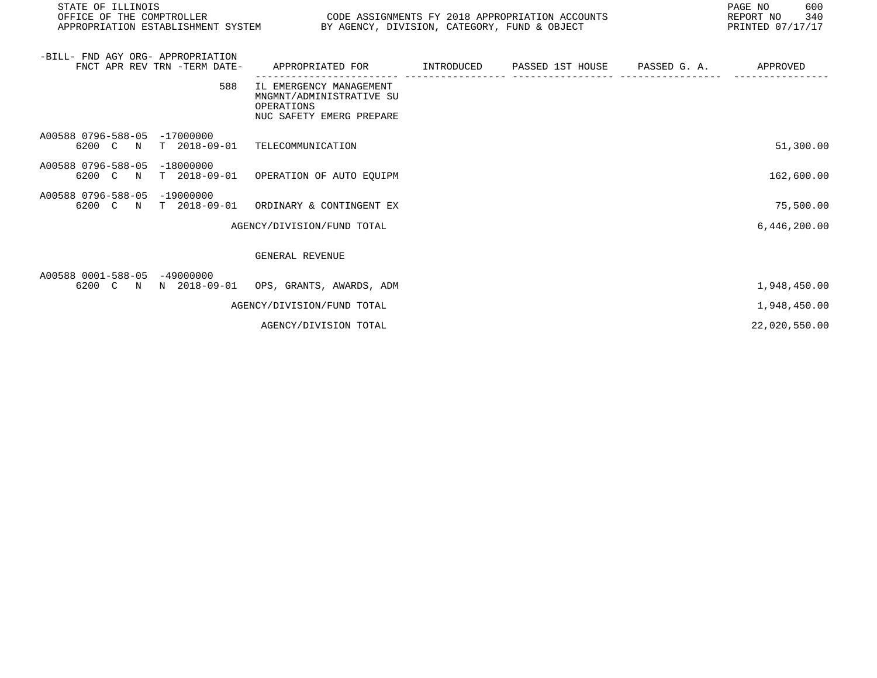| STATE OF ILLINOIS<br>OFFICE OF THE COMPTROLLER<br>CODE ASSIGNMENTS FY 2018 APPROPRIATION ACCOUNTS<br>BY AGENCY, DIVISION, CATEGORY, FUND & OBJECT<br>APPROPRIATION ESTABLISHMENT SYSTEM |                                     |                                                                                               |  |                             | PAGE NO<br>600<br>REPORT NO<br>340<br>PRINTED 07/17/17 |               |
|-----------------------------------------------------------------------------------------------------------------------------------------------------------------------------------------|-------------------------------------|-----------------------------------------------------------------------------------------------|--|-----------------------------|--------------------------------------------------------|---------------|
| -BILL- FND AGY ORG- APPROPRIATION                                                                                                                                                       | FNCT APR REV TRN -TERM DATE-        | APPROPRIATED FOR                                                                              |  | INTRODUCED PASSED 1ST HOUSE | PASSED G. A.                                           | APPROVED      |
|                                                                                                                                                                                         | 588                                 | IL EMERGENCY MANAGEMENT<br>MNGMNT/ADMINISTRATIVE SU<br>OPERATIONS<br>NUC SAFETY EMERG PREPARE |  |                             |                                                        |               |
| A00588 0796-588-05 -17000000<br>6200 C N                                                                                                                                                | $T = 2018 - 09 - 01$                | TELECOMMUNICATION                                                                             |  |                             |                                                        | 51,300.00     |
| A00588 0796-588-05<br>6200 C<br>$\mathbf N$                                                                                                                                             | $-18000000$<br>$T = 2018 - 09 - 01$ | OPERATION OF AUTO EQUIPM                                                                      |  |                             |                                                        | 162,600.00    |
| A00588 0796-588-05 -19000000<br>6200 C N                                                                                                                                                | $T$ 2018-09-01                      | ORDINARY & CONTINGENT EX                                                                      |  |                             |                                                        | 75,500.00     |
|                                                                                                                                                                                         |                                     | AGENCY/DIVISION/FUND TOTAL                                                                    |  |                             |                                                        | 6,446,200.00  |
|                                                                                                                                                                                         |                                     | <b>GENERAL REVENUE</b>                                                                        |  |                             |                                                        |               |
| A00588 0001-588-05 -49000000                                                                                                                                                            | 6200 C N N 2018-09-01               | OPS, GRANTS, AWARDS, ADM                                                                      |  |                             |                                                        | 1,948,450.00  |
|                                                                                                                                                                                         |                                     | AGENCY/DIVISION/FUND TOTAL                                                                    |  |                             |                                                        | 1,948,450.00  |
|                                                                                                                                                                                         |                                     | AGENCY/DIVISION TOTAL                                                                         |  |                             |                                                        | 22,020,550.00 |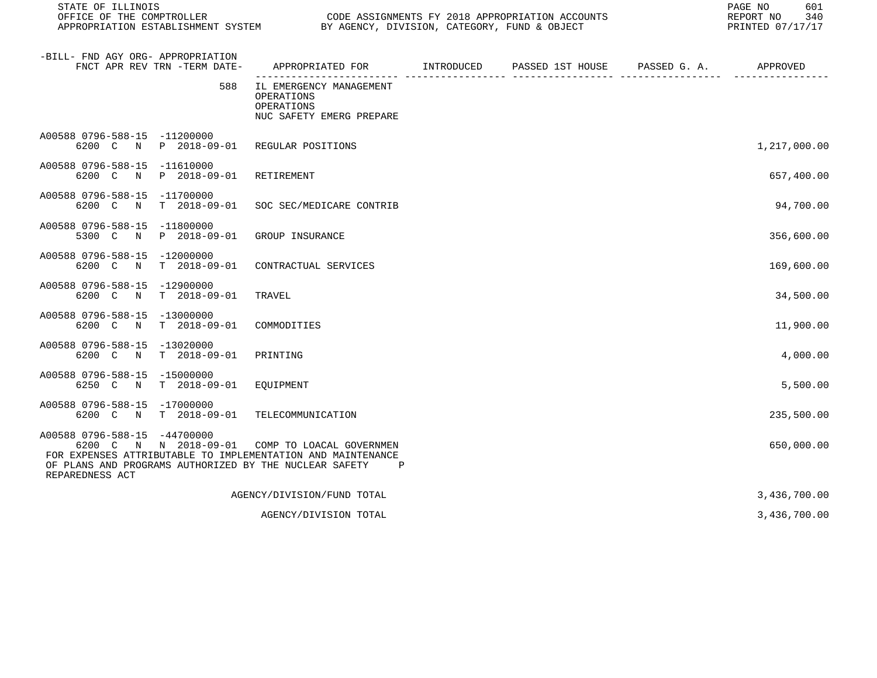| STATE OF ILLINOIS                                                                                                                                                                                 |                                                                                 | REPORT NO<br>PRINTED 07/17/17 |                               |  |              |  |
|---------------------------------------------------------------------------------------------------------------------------------------------------------------------------------------------------|---------------------------------------------------------------------------------|-------------------------------|-------------------------------|--|--------------|--|
| -BILL- FND AGY ORG- APPROPRIATION<br>FNCT APR REV TRN -TERM DATE-                                                                                                                                 | APPROPRIATED FOR<br>__________________________                                  | INTRODUCED                    | PASSED 1ST HOUSE PASSED G. A. |  | APPROVED     |  |
| 588                                                                                                                                                                                               | IL EMERGENCY MANAGEMENT<br>OPERATIONS<br>OPERATIONS<br>NUC SAFETY EMERG PREPARE |                               |                               |  |              |  |
| A00588 0796-588-15 -11200000<br>6200 C N P 2018-09-01 REGULAR POSITIONS                                                                                                                           |                                                                                 |                               |                               |  | 1,217,000.00 |  |
| A00588 0796-588-15 -11610000<br>P 2018-09-01<br>6200 C<br>N                                                                                                                                       | RETIREMENT                                                                      |                               |                               |  | 657,400.00   |  |
| A00588 0796-588-15 -11700000<br>6200 C N<br>T 2018-09-01                                                                                                                                          | SOC SEC/MEDICARE CONTRIB                                                        |                               |                               |  | 94,700.00    |  |
| A00588 0796-588-15 -11800000<br>5300 C N P 2018-09-01                                                                                                                                             | GROUP INSURANCE                                                                 |                               |                               |  | 356,600.00   |  |
| A00588 0796-588-15 -12000000<br>6200 C N T 2018-09-01                                                                                                                                             | CONTRACTUAL SERVICES                                                            |                               |                               |  | 169,600.00   |  |
| A00588 0796-588-15 -12900000<br>6200 C N<br>$T = 2018 - 09 - 01$                                                                                                                                  | TRAVEL                                                                          |                               |                               |  | 34,500.00    |  |
| A00588 0796-588-15 -13000000<br>6200 C N<br>T 2018-09-01                                                                                                                                          | COMMODITIES                                                                     |                               |                               |  | 11,900.00    |  |
| A00588 0796-588-15 -13020000<br>T 2018-09-01<br>6200 C N                                                                                                                                          | PRINTING                                                                        |                               |                               |  | 4,000.00     |  |
| A00588 0796-588-15<br>$-15000000$<br>6250 C N<br>T 2018-09-01                                                                                                                                     | EOUIPMENT                                                                       |                               |                               |  | 5,500.00     |  |
| A00588 0796-588-15 -17000000<br>6200 C N T 2018-09-01                                                                                                                                             | TELECOMMUNICATION                                                               |                               |                               |  | 235,500.00   |  |
| A00588 0796-588-15 -44700000<br>6200 C N N 2018-09-01<br>FOR EXPENSES ATTRIBUTABLE TO IMPLEMENTATION AND MAINTENANCE<br>OF PLANS AND PROGRAMS AUTHORIZED BY THE NUCLEAR SAFETY<br>REPAREDNESS ACT | COMP TO LOACAL GOVERNMEN<br>Ρ                                                   |                               |                               |  | 650,000.00   |  |
|                                                                                                                                                                                                   | AGENCY/DIVISION/FUND TOTAL                                                      |                               |                               |  | 3,436,700.00 |  |
|                                                                                                                                                                                                   | AGENCY/DIVISION TOTAL                                                           |                               |                               |  | 3,436,700.00 |  |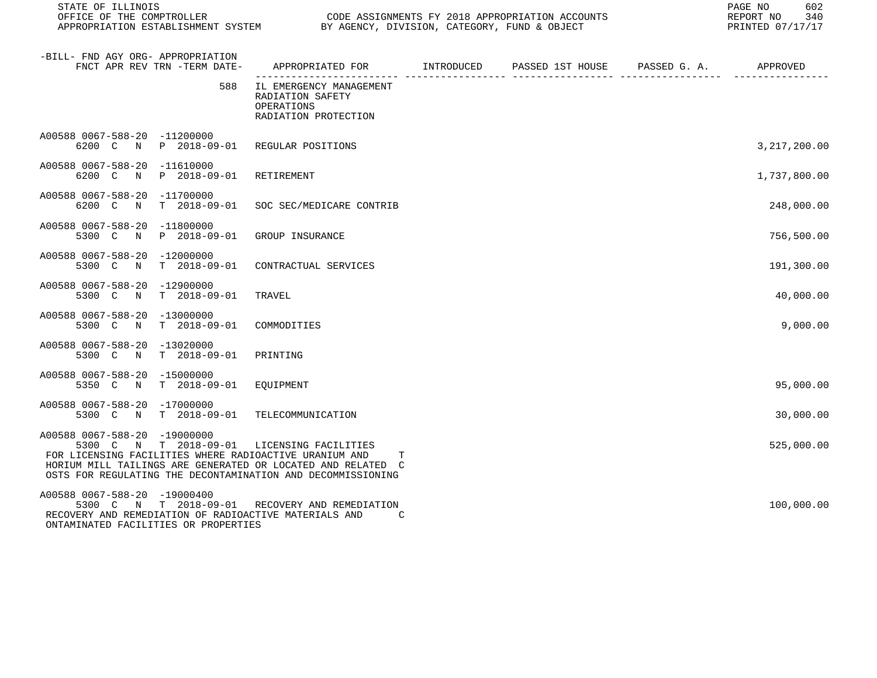| STATE OF ILLINOIS                                                                                                                                                                                                                                                  |                                                                                           |  |  | 602<br>PAGE NO<br>REPORT NO<br>340<br>PRINTED 07/17/17 |
|--------------------------------------------------------------------------------------------------------------------------------------------------------------------------------------------------------------------------------------------------------------------|-------------------------------------------------------------------------------------------|--|--|--------------------------------------------------------|
| -BILL- FND AGY ORG- APPROPRIATION<br>FNCT APR REV TRN -TERM DATE-                                                                                                                                                                                                  | APPROPRIATED FOR        INTRODUCED     PASSED 1ST HOUSE     PASSED G. A.         APPROVED |  |  |                                                        |
| 588                                                                                                                                                                                                                                                                | IL EMERGENCY MANAGEMENT<br>RADIATION SAFETY<br>OPERATIONS<br>RADIATION PROTECTION         |  |  |                                                        |
| A00588 0067-588-20 -11200000<br>6200 C N P 2018-09-01                                                                                                                                                                                                              | REGULAR POSITIONS                                                                         |  |  | 3,217,200.00                                           |
| A00588 0067-588-20 -11610000<br>6200 C<br>N<br>P 2018-09-01                                                                                                                                                                                                        | RETIREMENT                                                                                |  |  | 1,737,800.00                                           |
| A00588 0067-588-20<br>-11700000<br>6200 C<br>$T = 2018 - 09 - 01$<br>N                                                                                                                                                                                             | SOC SEC/MEDICARE CONTRIB                                                                  |  |  | 248,000.00                                             |
| A00588 0067-588-20 -11800000<br>P 2018-09-01<br>5300 C<br>$\mathbb N$                                                                                                                                                                                              | GROUP INSURANCE                                                                           |  |  | 756,500.00                                             |
| A00588 0067-588-20 -12000000<br>5300 C N T 2018-09-01                                                                                                                                                                                                              | CONTRACTUAL SERVICES                                                                      |  |  | 191,300.00                                             |
| A00588 0067-588-20 -12900000<br>5300 C N T 2018-09-01                                                                                                                                                                                                              | TRAVEL                                                                                    |  |  | 40,000.00                                              |
| A00588 0067-588-20 -13000000<br>$T$ 2018-09-01<br>5300 C N                                                                                                                                                                                                         | COMMODITIES                                                                               |  |  | 9,000.00                                               |
| A00588 0067-588-20 -13020000<br>5300 C N<br>$T = 2018 - 09 - 01$                                                                                                                                                                                                   | PRINTING                                                                                  |  |  |                                                        |
| A00588 0067-588-20 -15000000<br>$T$ 2018-09-01<br>5350 C N                                                                                                                                                                                                         | EOUIPMENT                                                                                 |  |  | 95,000.00                                              |
| A00588 0067-588-20 -17000000<br>5300 C N T 2018-09-01                                                                                                                                                                                                              | TELECOMMUNICATION                                                                         |  |  | 30,000.00                                              |
| A00588 0067-588-20 -19000000<br>5300 C N T 2018-09-01 LICENSING FACILITIES<br>FOR LICENSING FACILITIES WHERE RADIOACTIVE URANIUM AND<br>HORIUM MILL TAILINGS ARE GENERATED OR LOCATED AND RELATED C<br>OSTS FOR REGULATING THE DECONTAMINATION AND DECOMMISSIONING | Т                                                                                         |  |  | 525,000.00                                             |
| A00588 0067-588-20 -19000400<br>5300 C N T 2018-09-01 RECOVERY AND REMEDIATION<br>RECOVERY AND REMEDIATION OF RADIOACTIVE MATERIALS AND<br>ONTAMINATED FACILITIES OR PROPERTIES                                                                                    | C                                                                                         |  |  | 100,000.00                                             |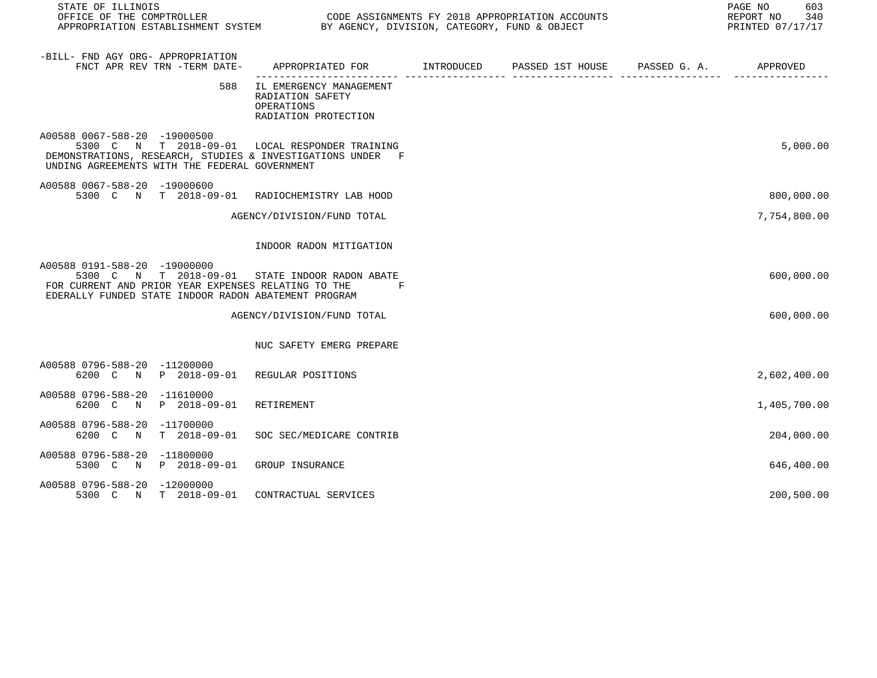| STATE OF ILLINOIS<br>OFFICE OF THE COMPTROLLER<br>APPROPRIATION ESTABLISHMENT SYSTEM BY AGENCY, DIVISION, CATEGORY, FUND & OBJECT                                                             | CODE ASSIGNMENTS FY 2018 APPROPRIATION ACCOUNTS                                            |  | 603<br>PAGE NO<br>REPORT NO 340<br>PRINTED 07/17/17 |
|-----------------------------------------------------------------------------------------------------------------------------------------------------------------------------------------------|--------------------------------------------------------------------------------------------|--|-----------------------------------------------------|
| -BILL- FND AGY ORG- APPROPRIATION<br>FNCT APR REV TRN -TERM DATE-                                                                                                                             | APPROPRIATED FOR        INTRODUCED      PASSED 1ST HOUSE     PASSED G. A.         APPROVED |  |                                                     |
| 588                                                                                                                                                                                           | IL EMERGENCY MANAGEMENT<br>RADIATION SAFETY<br>OPERATIONS<br>RADIATION PROTECTION          |  |                                                     |
| A00588 0067-588-20 -19000500<br>5300 C N T 2018-09-01 LOCAL RESPONDER TRAINING<br>DEMONSTRATIONS, RESEARCH, STUDIES & INVESTIGATIONS UNDER F<br>UNDING AGREEMENTS WITH THE FEDERAL GOVERNMENT |                                                                                            |  | 5,000.00                                            |
| A00588 0067-588-20 -19000600<br>5300 C N T 2018-09-01 RADIOCHEMISTRY LAB HOOD                                                                                                                 |                                                                                            |  | 800,000.00                                          |
|                                                                                                                                                                                               | AGENCY/DIVISION/FUND TOTAL                                                                 |  | 7,754,800.00                                        |
|                                                                                                                                                                                               | INDOOR RADON MITIGATION                                                                    |  |                                                     |
| A00588 0191-588-20 -19000000<br>5300 C N T 2018-09-01 STATE INDOOR RADON ABATE<br>FOR CURRENT AND PRIOR YEAR EXPENSES RELATING TO THE<br>EDERALLY FUNDED STATE INDOOR RADON ABATEMENT PROGRAM | $\mathbf{F}$ and $\mathbf{F}$                                                              |  | 600,000.00                                          |
|                                                                                                                                                                                               | AGENCY/DIVISION/FUND TOTAL                                                                 |  | 600,000.00                                          |
|                                                                                                                                                                                               | NUC SAFETY EMERG PREPARE                                                                   |  |                                                     |
| A00588 0796-588-20 -11200000<br>6200 C N P 2018-09-01 REGULAR POSITIONS                                                                                                                       |                                                                                            |  | 2,602,400.00                                        |
| A00588 0796-588-20 -11610000<br>6200 C N P 2018-09-01                                                                                                                                         | RETIREMENT                                                                                 |  | 1,405,700.00                                        |
| A00588 0796-588-20 -11700000<br>6200 C N<br>T 2018-09-01                                                                                                                                      | SOC SEC/MEDICARE CONTRIB                                                                   |  | 204,000.00                                          |
| A00588 0796-588-20 -11800000<br>5300 C N P 2018-09-01                                                                                                                                         | GROUP INSURANCE                                                                            |  | 646,400.00                                          |
| A00588 0796-588-20 -12000000<br>5300 C N T 2018-09-01                                                                                                                                         | CONTRACTUAL SERVICES                                                                       |  | 200,500.00                                          |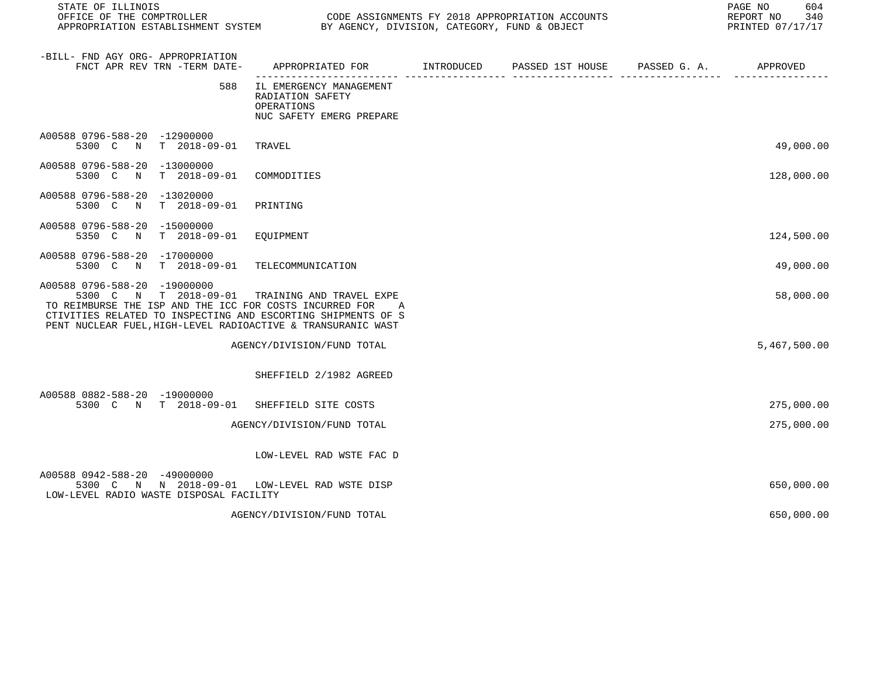| STATE OF ILLINOIS<br>OFFICE OF THE COMPTROLLER<br>APPROPRIATION ESTABLISHMENT SYSTEM                                                                                                                                                             |                                                                                       | CODE ASSIGNMENTS FY 2018 APPROPRIATION ACCOUNTS<br>BY AGENCY, DIVISION, CATEGORY, FUND & OBJECT |                  |              |              |  |
|--------------------------------------------------------------------------------------------------------------------------------------------------------------------------------------------------------------------------------------------------|---------------------------------------------------------------------------------------|-------------------------------------------------------------------------------------------------|------------------|--------------|--------------|--|
| -BILL- FND AGY ORG- APPROPRIATION<br>FNCT APR REV TRN -TERM DATE-                                                                                                                                                                                | APPROPRIATED FOR INTRODUCED                                                           |                                                                                                 | PASSED 1ST HOUSE | PASSED G. A. | APPROVED     |  |
| 588                                                                                                                                                                                                                                              | IL EMERGENCY MANAGEMENT<br>RADIATION SAFETY<br>OPERATIONS<br>NUC SAFETY EMERG PREPARE |                                                                                                 |                  |              |              |  |
| A00588 0796-588-20 -12900000<br>T 2018-09-01<br>5300 C<br>$\mathbb N$                                                                                                                                                                            | TRAVEL                                                                                |                                                                                                 |                  |              | 49,000.00    |  |
| A00588 0796-588-20 -13000000<br>$T = 2018 - 09 - 01$<br>5300 C<br>N                                                                                                                                                                              | COMMODITIES                                                                           |                                                                                                 |                  |              | 128,000.00   |  |
| A00588 0796-588-20<br>$-13020000$<br>T 2018-09-01<br>5300 C N                                                                                                                                                                                    | PRINTING                                                                              |                                                                                                 |                  |              |              |  |
| A00588 0796-588-20<br>$-15000000$<br>T 2018-09-01<br>5350 C<br>$\mathbb N$                                                                                                                                                                       | EQUIPMENT                                                                             |                                                                                                 |                  |              | 124,500.00   |  |
| A00588 0796-588-20 -17000000<br>T 2018-09-01<br>5300 C<br>$\mathbb N$                                                                                                                                                                            | TELECOMMUNICATION                                                                     |                                                                                                 |                  |              | 49,000.00    |  |
| A00588 0796-588-20 -19000000<br>5300 C N T 2018-09-01<br>TO REIMBURSE THE ISP AND THE ICC FOR COSTS INCURRED FOR<br>CTIVITIES RELATED TO INSPECTING AND ESCORTING SHIPMENTS OF S<br>PENT NUCLEAR FUEL, HIGH-LEVEL RADIOACTIVE & TRANSURANIC WAST | TRAINING AND TRAVEL EXPE<br>A                                                         |                                                                                                 |                  |              | 58,000.00    |  |
|                                                                                                                                                                                                                                                  | AGENCY/DIVISION/FUND TOTAL                                                            |                                                                                                 |                  |              | 5,467,500.00 |  |
|                                                                                                                                                                                                                                                  | SHEFFIELD 2/1982 AGREED                                                               |                                                                                                 |                  |              |              |  |
| A00588 0882-588-20 -19000000<br>5300 C N T 2018-09-01                                                                                                                                                                                            | SHEFFIELD SITE COSTS                                                                  |                                                                                                 |                  |              | 275,000.00   |  |
|                                                                                                                                                                                                                                                  | AGENCY/DIVISION/FUND TOTAL                                                            |                                                                                                 |                  |              | 275,000.00   |  |
|                                                                                                                                                                                                                                                  | LOW-LEVEL RAD WSTE FAC D                                                              |                                                                                                 |                  |              |              |  |
| A00588 0942-588-20 -49000000<br>5300 C N N 2018-09-01<br>LOW-LEVEL RADIO WASTE DISPOSAL FACILITY                                                                                                                                                 | LOW-LEVEL RAD WSTE DISP                                                               |                                                                                                 |                  |              | 650,000.00   |  |
|                                                                                                                                                                                                                                                  | AGENCY/DIVISION/FUND TOTAL                                                            |                                                                                                 |                  |              | 650,000.00   |  |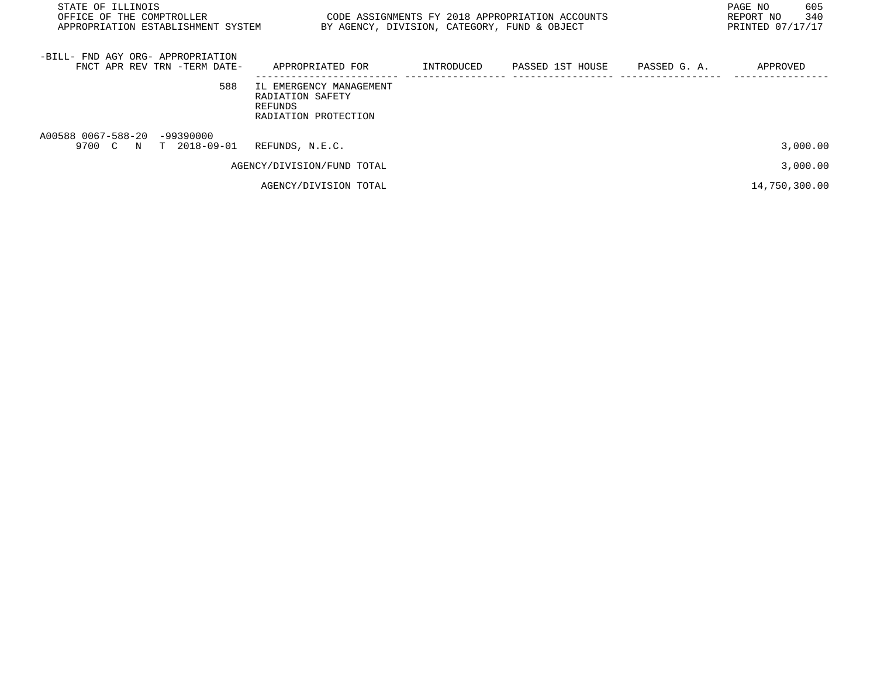| STATE OF ILLINOIS<br>OFFICE OF THE COMPTROLLER<br>APPROPRIATION ESTABLISHMENT SYSTEM |                                                                                | 605<br>PAGE NO<br>340<br>REPORT NO<br>PRINTED 07/17/17 |                  |              |               |
|--------------------------------------------------------------------------------------|--------------------------------------------------------------------------------|--------------------------------------------------------|------------------|--------------|---------------|
| -BILL- FND AGY ORG- APPROPRIATION<br>FNCT APR REV TRN -TERM DATE-                    | APPROPRIATED FOR                                                               | INTRODUCED                                             | PASSED 1ST HOUSE | PASSED G. A. | APPROVED      |
| 588                                                                                  | IL EMERGENCY MANAGEMENT<br>RADIATION SAFETY<br>REFUNDS<br>RADIATION PROTECTION |                                                        |                  |              |               |
| A00588 0067-588-20 -99390000<br>9700 C N T 2018-09-01                                | REFUNDS, N.E.C.                                                                |                                                        |                  |              | 3,000.00      |
|                                                                                      | AGENCY/DIVISION/FUND TOTAL                                                     |                                                        |                  |              | 3,000.00      |
|                                                                                      | AGENCY/DIVISION TOTAL                                                          |                                                        |                  |              | 14,750,300.00 |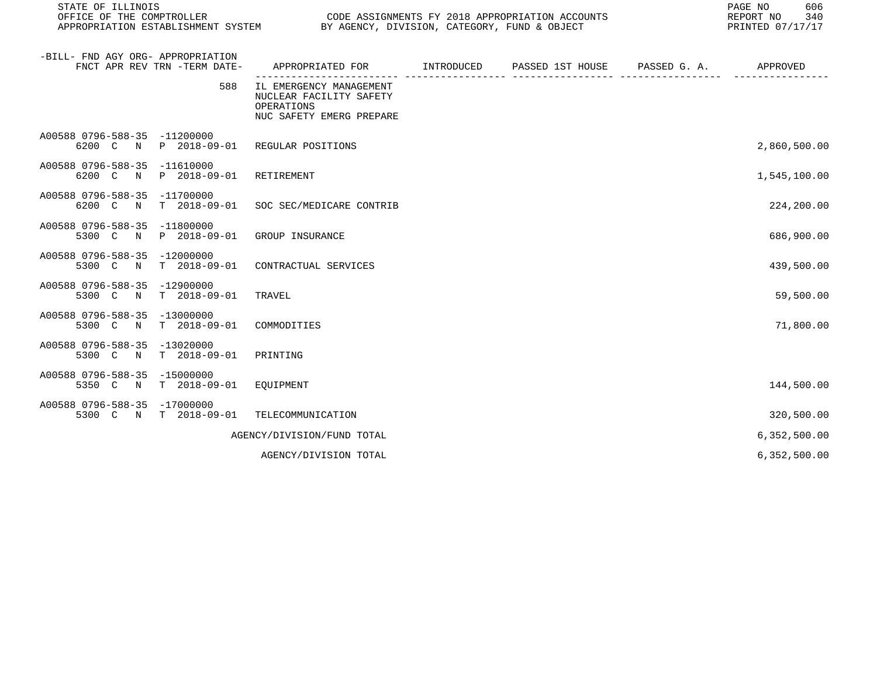| STATE OF ILLINOIS<br>OFFICE OF THE COMPTROLLER<br>CODE ASSIGNMENTS FY 2018 APPROPRIATION ACCOUNTS<br>APPROPRIATION ESTABLISHMENT SYSTEM<br>BY AGENCY, DIVISION, CATEGORY, FUND & OBJECT |                      |                                                                                              |  |                  |              | 606<br>PAGE NO<br>REPORT NO<br>340<br>PRINTED 07/17/17 |
|-----------------------------------------------------------------------------------------------------------------------------------------------------------------------------------------|----------------------|----------------------------------------------------------------------------------------------|--|------------------|--------------|--------------------------------------------------------|
| -BILL- FND AGY ORG- APPROPRIATION<br>FNCT APR REV TRN -TERM DATE-                                                                                                                       |                      | APPROPRIATED FOR INTRODUCED                                                                  |  | PASSED 1ST HOUSE | PASSED G. A. | APPROVED                                               |
|                                                                                                                                                                                         | 588                  | IL EMERGENCY MANAGEMENT<br>NUCLEAR FACILITY SAFETY<br>OPERATIONS<br>NUC SAFETY EMERG PREPARE |  |                  |              |                                                        |
| A00588 0796-588-35 -11200000<br>6200 C N                                                                                                                                                | P 2018-09-01         | REGULAR POSITIONS                                                                            |  |                  |              | 2,860,500.00                                           |
| A00588 0796-588-35 -11610000<br>6200 C<br>$\mathbb N$                                                                                                                                   | P 2018-09-01         | RETIREMENT                                                                                   |  |                  |              | 1,545,100.00                                           |
| A00588 0796-588-35<br>-11700000<br>6200 C<br>$\mathbb N$                                                                                                                                | $T = 2018 - 09 - 01$ | SOC SEC/MEDICARE CONTRIB                                                                     |  |                  |              | 224,200.00                                             |
| A00588 0796-588-35<br>$-11800000$<br>5300 C<br>$\mathbb N$                                                                                                                              | P 2018-09-01         | GROUP INSURANCE                                                                              |  |                  |              | 686,900.00                                             |
| A00588 0796-588-35<br>$-12000000$<br>5300 C<br>$\mathbb N$                                                                                                                              | $T = 2018 - 09 - 01$ | CONTRACTUAL SERVICES                                                                         |  |                  |              | 439,500.00                                             |
| A00588 0796-588-35<br>$-12900000$<br>5300 C<br>N                                                                                                                                        | $T = 2018 - 09 - 01$ | TRAVEL                                                                                       |  |                  |              | 59,500.00                                              |
| A00588 0796-588-35 -13000000<br>5300 C<br>$\mathbb N$                                                                                                                                   | $T = 2018 - 09 - 01$ | COMMODITIES                                                                                  |  |                  |              | 71,800.00                                              |
| A00588 0796-588-35<br>$-13020000$<br>5300 C N                                                                                                                                           | $T = 2018 - 09 - 01$ | PRINTING                                                                                     |  |                  |              |                                                        |
| A00588 0796-588-35 -15000000<br>5350 C<br>$\mathbb N$                                                                                                                                   | $T = 2018 - 09 - 01$ | EQUIPMENT                                                                                    |  |                  |              | 144,500.00                                             |
| A00588 0796-588-35<br>-17000000<br>5300 C<br>$\mathbf N$                                                                                                                                | T 2018-09-01         | TELECOMMUNICATION                                                                            |  |                  |              | 320,500.00                                             |
|                                                                                                                                                                                         |                      | AGENCY/DIVISION/FUND TOTAL                                                                   |  |                  |              | 6,352,500.00                                           |
|                                                                                                                                                                                         |                      | AGENCY/DIVISION TOTAL                                                                        |  |                  |              | 6,352,500.00                                           |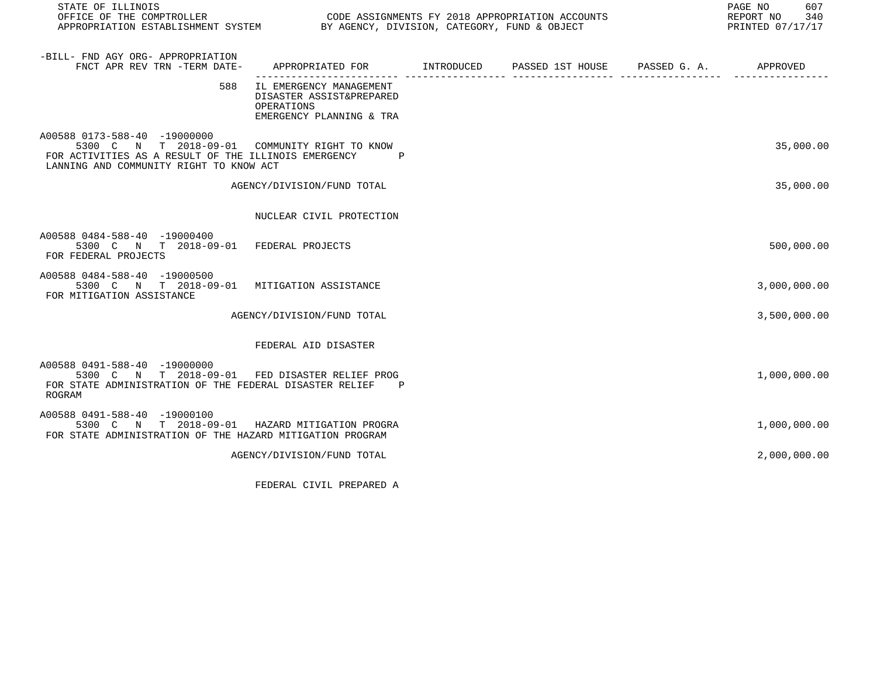| STATE OF ILLINOIS<br>OFFICE OF THE COMPTROLLER<br>APPROPRIATION ESTABLISHMENT SYSTEM BY AGENCY, DIVISION, CATEGORY, FUND & OBJECT                                                | CODE ASSIGNMENTS FY 2018 APPROPRIATION ACCOUNTS                                               |  | PAGE NO<br>607<br>REPORT NO 340<br>PRINTED 07/17/17 |
|----------------------------------------------------------------------------------------------------------------------------------------------------------------------------------|-----------------------------------------------------------------------------------------------|--|-----------------------------------------------------|
| -BILL- FND AGY ORG- APPROPRIATION<br>FNCT APR REV TRN -TERM DATE-                                                                                                                | APPROPRIATED FOR         INTRODUCED      PASSED 1ST HOUSE     PASSED G. A.         APPROVED   |  |                                                     |
| 588                                                                                                                                                                              | IL EMERGENCY MANAGEMENT<br>DISASTER ASSIST&PREPARED<br>OPERATIONS<br>EMERGENCY PLANNING & TRA |  |                                                     |
| A00588 0173-588-40 -19000000<br>5300 C N T 2018-09-01 COMMUNITY RIGHT TO KNOW<br>FOR ACTIVITIES AS A RESULT OF THE ILLINOIS EMERGENCY<br>LANNING AND COMMUNITY RIGHT TO KNOW ACT | $\mathbf P$                                                                                   |  | 35,000.00                                           |
|                                                                                                                                                                                  | AGENCY/DIVISION/FUND TOTAL                                                                    |  | 35,000.00                                           |
|                                                                                                                                                                                  | NUCLEAR CIVIL PROTECTION                                                                      |  |                                                     |
| A00588 0484-588-40 -19000400<br>5300 C N T 2018-09-01 FEDERAL PROJECTS<br>FOR FEDERAL PROJECTS                                                                                   |                                                                                               |  | 500,000.00                                          |
| A00588 0484-588-40 -19000500<br>5300 C N T 2018-09-01 MITIGATION ASSISTANCE<br>FOR MITIGATION ASSISTANCE                                                                         |                                                                                               |  | 3,000,000.00                                        |
|                                                                                                                                                                                  | AGENCY/DIVISION/FUND TOTAL                                                                    |  | 3,500,000.00                                        |
|                                                                                                                                                                                  | FEDERAL AID DISASTER                                                                          |  |                                                     |
| A00588 0491-588-40 -19000000<br>5300 C N T 2018-09-01<br>FOR STATE ADMINISTRATION OF THE FEDERAL DISASTER RELIEF<br>ROGRAM                                                       | FED DISASTER RELIEF PROG<br>P                                                                 |  | 1,000,000.00                                        |
| A00588 0491-588-40 -19000100<br>5300 C N T 2018-09-01 HAZARD MITIGATION PROGRA<br>FOR STATE ADMINISTRATION OF THE HAZARD MITIGATION PROGRAM                                      |                                                                                               |  | 1,000,000.00                                        |
|                                                                                                                                                                                  | AGENCY/DIVISION/FUND TOTAL                                                                    |  | 2,000,000.00                                        |

FEDERAL CIVIL PREPARED A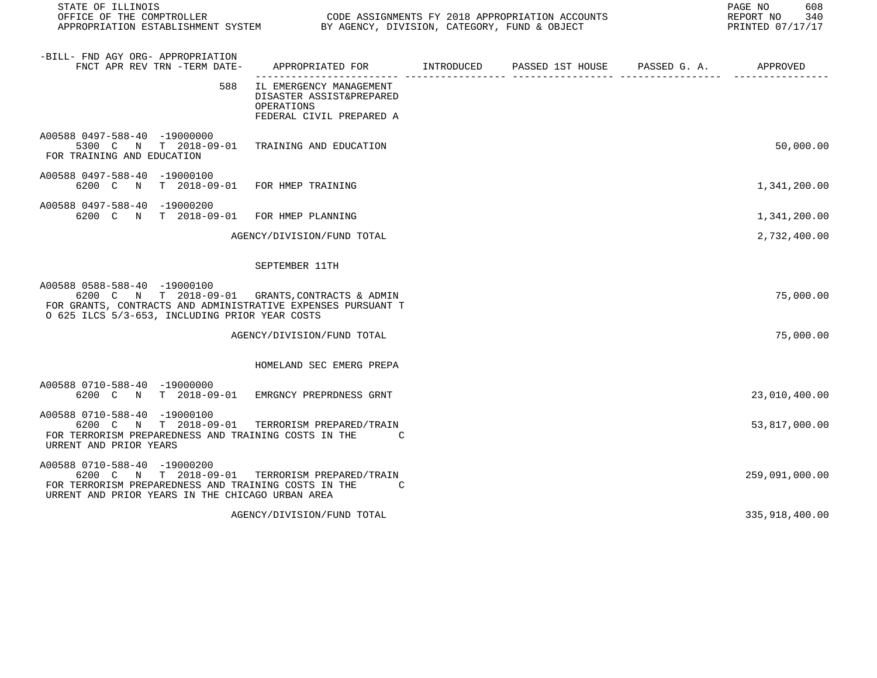| STATE OF ILLINOIS<br>OFFICE OF THE COMPTROLLER CODE ASSIGNMENTS FY 2018 APPROPRIATION ACCOUNTS<br>APPROPRIATION ESTABLISHMENT SYSTEM BY AGENCY, DIVISION, CATEGORY, FUND & OBJECT                 |                                                                                               | PAGE NO<br>608<br>REPORT NO 340<br>PRINTED 07/17/17 |  |                |
|---------------------------------------------------------------------------------------------------------------------------------------------------------------------------------------------------|-----------------------------------------------------------------------------------------------|-----------------------------------------------------|--|----------------|
| -BILL- FND AGY ORG- APPROPRIATION<br>FNCT APR REV TRN -TERM DATE-                                                                                                                                 | APPROPRIATED FOR TINTRODUCED PASSED 1ST HOUSE PASSED G.A. APPROVED                            |                                                     |  |                |
| 588                                                                                                                                                                                               | IL EMERGENCY MANAGEMENT<br>DISASTER ASSIST&PREPARED<br>OPERATIONS<br>FEDERAL CIVIL PREPARED A |                                                     |  |                |
| A00588 0497-588-40 -19000000<br>5300 C N T 2018-09-01 TRAINING AND EDUCATION<br>FOR TRAINING AND EDUCATION                                                                                        |                                                                                               |                                                     |  | 50,000.00      |
| A00588 0497-588-40 -19000100<br>6200 C N                                                                                                                                                          | T 2018-09-01 FOR HMEP TRAINING                                                                |                                                     |  | 1,341,200.00   |
| A00588 0497-588-40 -19000200<br>6200 C N T 2018-09-01 FOR HMEP PLANNING                                                                                                                           |                                                                                               |                                                     |  | 1,341,200.00   |
|                                                                                                                                                                                                   | AGENCY/DIVISION/FUND TOTAL                                                                    |                                                     |  | 2,732,400.00   |
|                                                                                                                                                                                                   | SEPTEMBER 11TH                                                                                |                                                     |  |                |
| A00588 0588-588-40 -19000100<br>6200 C N T 2018-09-01 GRANTS, CONTRACTS & ADMIN<br>FOR GRANTS, CONTRACTS AND ADMINISTRATIVE EXPENSES PURSUANT T<br>O 625 ILCS 5/3-653, INCLUDING PRIOR YEAR COSTS |                                                                                               |                                                     |  | 75,000.00      |
|                                                                                                                                                                                                   | AGENCY/DIVISION/FUND TOTAL                                                                    |                                                     |  | 75,000.00      |
|                                                                                                                                                                                                   | HOMELAND SEC EMERG PREPA                                                                      |                                                     |  |                |
| A00588 0710-588-40 -19000000<br>6200 C N T 2018-09-01 EMRGNCY PREPRDNESS GRNT                                                                                                                     |                                                                                               |                                                     |  | 23,010,400.00  |
| A00588 0710-588-40 -19000100<br>6200 C N T 2018-09-01 TERRORISM PREPARED/TRAIN<br>FOR TERRORISM PREPAREDNESS AND TRAINING COSTS IN THE<br>URRENT AND PRIOR YEARS                                  | $\overline{c}$                                                                                |                                                     |  | 53,817,000.00  |
| A00588 0710-588-40 -19000200<br>6200 C N T 2018-09-01 TERRORISM PREPARED/TRAIN<br>FOR TERRORISM PREPAREDNESS AND TRAINING COSTS IN THE C<br>URRENT AND PRIOR YEARS IN THE CHICAGO URBAN AREA      |                                                                                               |                                                     |  | 259,091,000.00 |
|                                                                                                                                                                                                   | AGENCY/DIVISION/FUND TOTAL                                                                    |                                                     |  | 335,918,400.00 |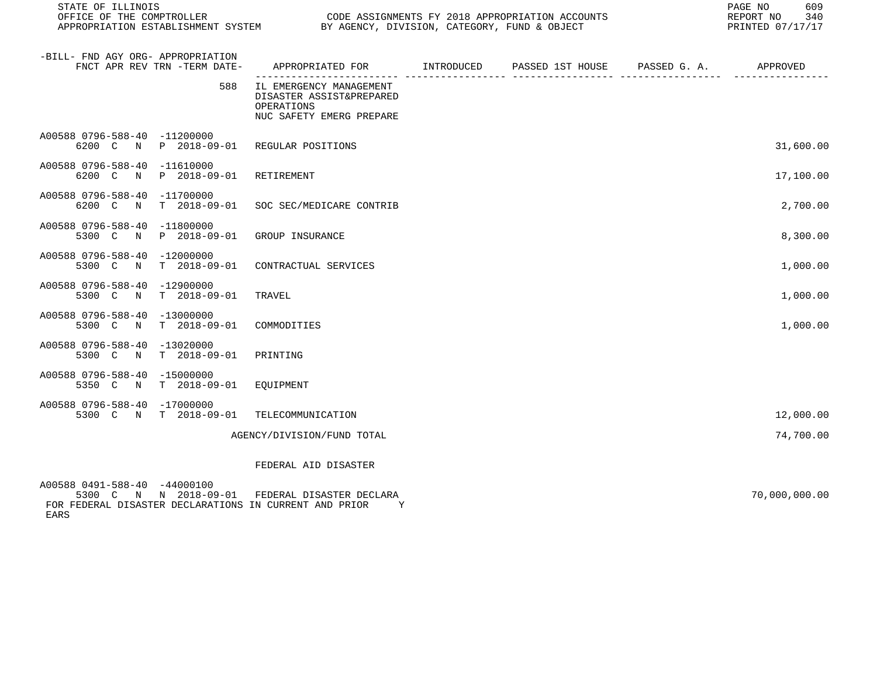| STATE OF ILLINOIS<br>OFFICE OF THE COMPTROLLER<br>OUDE ASSIGNMENTS FI 2016 APPROPRIATION ACCORDINATION ESTABLISHMENT SYSTEM BY AGENCY, DIVISION, CATEGORY, FUND & OBJECT | CODE ASSIGNMENTS FY 2018 APPROPRIATION ACCOUNTS                                               | 609<br>PAGE NO<br>REPORT NO<br>340<br>PRINTED 07/17/17 |  |               |
|--------------------------------------------------------------------------------------------------------------------------------------------------------------------------|-----------------------------------------------------------------------------------------------|--------------------------------------------------------|--|---------------|
| -BILL- FND AGY ORG- APPROPRIATION<br>FNCT APR REV TRN -TERM DATE-                                                                                                        | APPROPRIATED FOR        INTRODUCED     PASSED 1ST HOUSE     PASSED G. A.         APPROVED     |                                                        |  |               |
| 588                                                                                                                                                                      | IL EMERGENCY MANAGEMENT<br>DISASTER ASSIST&PREPARED<br>OPERATIONS<br>NUC SAFETY EMERG PREPARE |                                                        |  |               |
| A00588 0796-588-40 -11200000<br>6200 C N P 2018-09-01 REGULAR POSITIONS                                                                                                  |                                                                                               |                                                        |  | 31,600.00     |
| A00588 0796-588-40 -11610000<br>6200 C N<br>P 2018-09-01                                                                                                                 | RETIREMENT                                                                                    |                                                        |  | 17,100.00     |
| A00588 0796-588-40 -11700000<br>6200 C N<br>T 2018-09-01                                                                                                                 | SOC SEC/MEDICARE CONTRIB                                                                      |                                                        |  | 2,700.00      |
| A00588 0796-588-40 -11800000<br>P 2018-09-01<br>5300 C<br>$\mathbb N$                                                                                                    | GROUP INSURANCE                                                                               |                                                        |  | 8,300.00      |
| A00588 0796-588-40 -12000000<br>5300 C N<br>T 2018-09-01                                                                                                                 | CONTRACTUAL SERVICES                                                                          |                                                        |  | 1,000.00      |
| A00588 0796-588-40 -12900000<br>T 2018-09-01<br>5300 C N                                                                                                                 | TRAVEL                                                                                        |                                                        |  | 1,000.00      |
| A00588 0796-588-40 -13000000<br>T 2018-09-01<br>5300 C N                                                                                                                 | COMMODITIES                                                                                   |                                                        |  | 1,000.00      |
| A00588 0796-588-40 -13020000<br>T 2018-09-01<br>5300 C<br>$\mathbb N$                                                                                                    | PRINTING                                                                                      |                                                        |  |               |
| A00588 0796-588-40 -15000000<br>5350 C N T 2018-09-01                                                                                                                    | EQUIPMENT                                                                                     |                                                        |  |               |
| A00588 0796-588-40 -17000000<br>5300 C N T 2018-09-01                                                                                                                    | TELECOMMUNICATION                                                                             |                                                        |  | 12,000.00     |
|                                                                                                                                                                          | AGENCY/DIVISION/FUND TOTAL                                                                    |                                                        |  | 74,700.00     |
|                                                                                                                                                                          | FEDERAL AID DISASTER                                                                          |                                                        |  |               |
| A00588 0491-588-40 -44000100<br>5300 C N N 2018-09-01                                                                                                                    | FEDERAL DISASTER DECLARA                                                                      |                                                        |  | 70,000,000.00 |

FOR FEDERAL DISASTER DECLARATIONS IN CURRENT AND PRIOR Y

EARS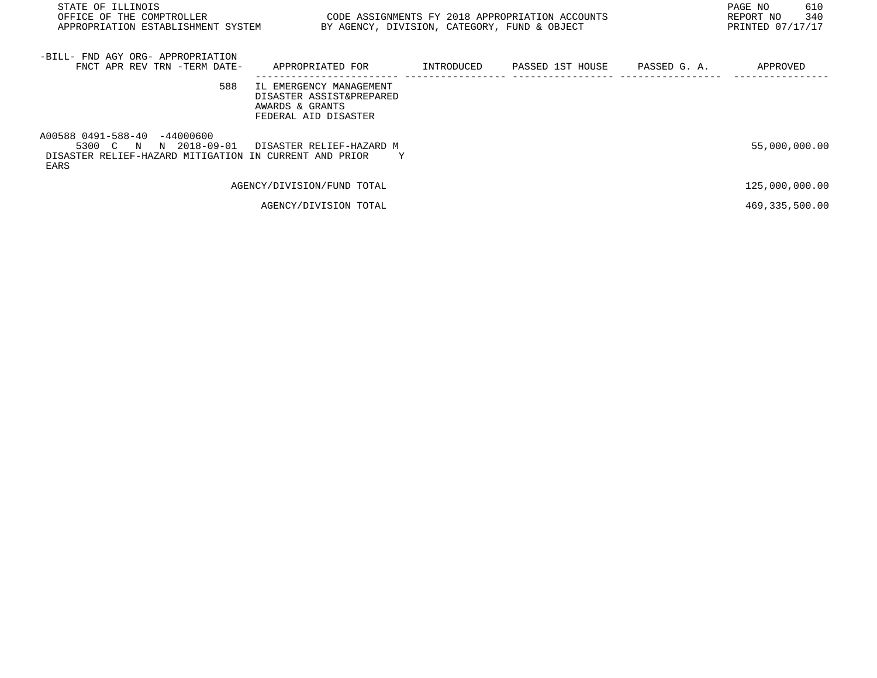| STATE OF ILLINOIS<br>OFFICE OF THE COMPTROLLER<br>APPROPRIATION ESTABLISHMENT SYSTEM                                       | CODE ASSIGNMENTS FY 2018 APPROPRIATION ACCOUNTS<br>BY AGENCY, DIVISION, CATEGORY, FUND & OBJECT |            |                               | 610<br>PAGE NO<br>340<br>REPORT NO<br>PRINTED 07/17/17 |
|----------------------------------------------------------------------------------------------------------------------------|-------------------------------------------------------------------------------------------------|------------|-------------------------------|--------------------------------------------------------|
| -BILL- FND AGY ORG- APPROPRIATION<br>FNCT APR REV TRN -TERM DATE-                                                          | APPROPRIATED FOR                                                                                | INTRODUCED | PASSED 1ST HOUSE PASSED G. A. | APPROVED                                               |
| 588                                                                                                                        | IL EMERGENCY MANAGEMENT<br>DISASTER ASSIST&PREPARED<br>AWARDS & GRANTS<br>FEDERAL AID DISASTER  |            |                               |                                                        |
| A00588 0491-588-40 -44000600<br>N 2018-09-01<br>5300 C N<br>DISASTER RELIEF-HAZARD MITIGATION IN CURRENT AND PRIOR<br>EARS | DISASTER RELIEF-HAZARD M<br>Y                                                                   |            |                               | 55,000,000.00                                          |
|                                                                                                                            | AGENCY/DIVISION/FUND TOTAL                                                                      |            |                               | 125,000,000.00                                         |
|                                                                                                                            | AGENCY/DIVISION TOTAL                                                                           |            |                               | 469, 335, 500.00                                       |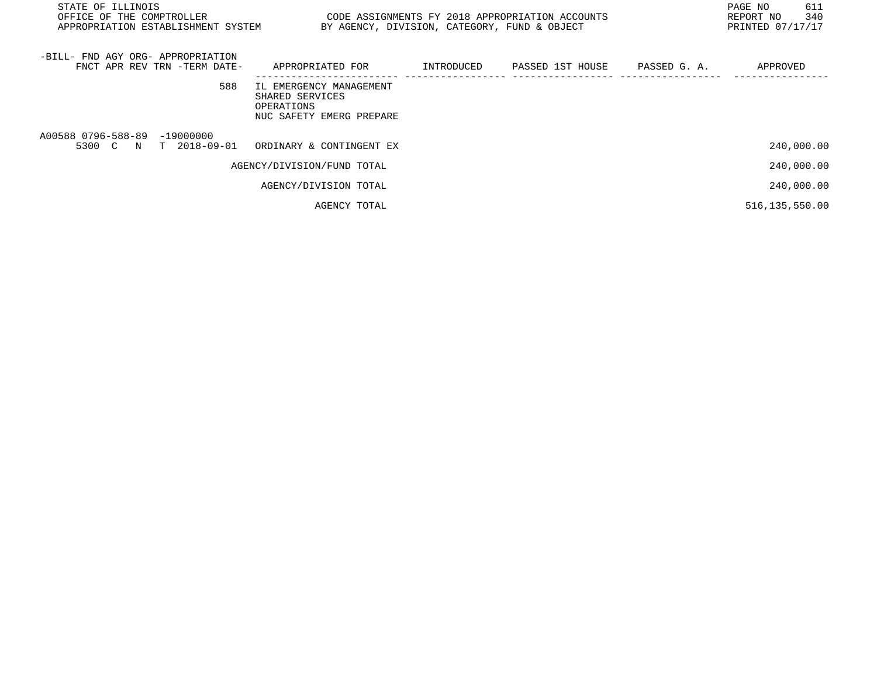| STATE OF ILLINOIS<br>OFFICE OF THE COMPTROLLER<br>APPROPRIATION ESTABLISHMENT SYSTEM | CODE ASSIGNMENTS FY 2018 APPROPRIATION ACCOUNTS                                      |            | BY AGENCY, DIVISION, CATEGORY, FUND & OBJECT |              | 611<br>PAGE NO<br>340<br>REPORT NO<br>PRINTED 07/17/17 |
|--------------------------------------------------------------------------------------|--------------------------------------------------------------------------------------|------------|----------------------------------------------|--------------|--------------------------------------------------------|
| -BILL- FND AGY ORG- APPROPRIATION<br>FNCT APR REV TRN -TERM DATE-                    | APPROPRIATED FOR                                                                     | INTRODUCED | PASSED 1ST HOUSE                             | PASSED G. A. | APPROVED                                               |
| 588                                                                                  | IL EMERGENCY MANAGEMENT<br>SHARED SERVICES<br>OPERATIONS<br>NUC SAFETY EMERG PREPARE |            |                                              |              |                                                        |
| A00588 0796-588-89 -19000000<br>5300 C N T 2018-09-01                                | ORDINARY & CONTINGENT EX                                                             |            |                                              |              | 240,000.00                                             |
|                                                                                      | AGENCY/DIVISION/FUND TOTAL                                                           |            |                                              |              | 240,000.00                                             |
|                                                                                      | AGENCY/DIVISION TOTAL                                                                |            |                                              |              | 240,000.00                                             |
|                                                                                      | AGENCY TOTAL                                                                         |            |                                              |              | 516,135,550.00                                         |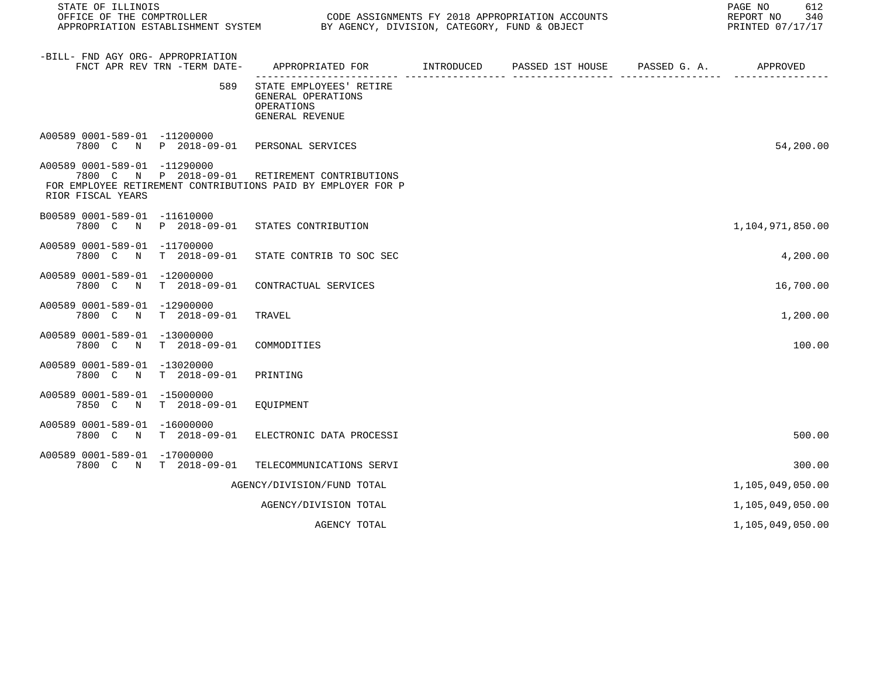| STATE OF ILLINOIS                                                                                                                                                   |                                                                                | PAGE NO<br>REPORT NO<br>PRINTED 07/17/17 |                  |                       |                  |  |
|---------------------------------------------------------------------------------------------------------------------------------------------------------------------|--------------------------------------------------------------------------------|------------------------------------------|------------------|-----------------------|------------------|--|
| -BILL- FND AGY ORG- APPROPRIATION<br>FNCT APR REV TRN -TERM DATE-                                                                                                   | APPROPRIATED FOR INTRODUCED                                                    |                                          | PASSED 1ST HOUSE | PASSED G. A. APPROVED |                  |  |
| 589                                                                                                                                                                 | STATE EMPLOYEES' RETIRE<br>GENERAL OPERATIONS<br>OPERATIONS<br>GENERAL REVENUE |                                          |                  |                       |                  |  |
| A00589 0001-589-01 -11200000<br>7800 C N P 2018-09-01 PERSONAL SERVICES                                                                                             |                                                                                |                                          |                  |                       | 54,200.00        |  |
| A00589 0001-589-01 -11290000<br>7800 C N P 2018-09-01 RETIREMENT CONTRIBUTIONS<br>FOR EMPLOYEE RETIREMENT CONTRIBUTIONS PAID BY EMPLOYER FOR P<br>RIOR FISCAL YEARS |                                                                                |                                          |                  |                       |                  |  |
| B00589 0001-589-01 -11610000<br>7800 C N P 2018-09-01 STATES CONTRIBUTION                                                                                           |                                                                                |                                          |                  |                       | 1,104,971,850.00 |  |
| A00589 0001-589-01 -11700000<br>7800 C N T 2018-09-01                                                                                                               | STATE CONTRIB TO SOC SEC                                                       |                                          |                  |                       | 4,200.00         |  |
| A00589 0001-589-01 -12000000<br>7800 C N<br>T 2018-09-01                                                                                                            | CONTRACTUAL SERVICES                                                           |                                          |                  |                       | 16,700.00        |  |
| A00589 0001-589-01 -12900000<br>$T = 2018 - 09 - 01$<br>7800 C N                                                                                                    | TRAVEL                                                                         |                                          |                  |                       | 1,200.00         |  |
| A00589 0001-589-01 -13000000<br>7800 C N<br>T 2018-09-01                                                                                                            | COMMODITIES                                                                    |                                          |                  |                       | 100.00           |  |
| A00589 0001-589-01 -13020000<br>7800 C N<br>T 2018-09-01                                                                                                            | PRINTING                                                                       |                                          |                  |                       |                  |  |
| A00589 0001-589-01 -15000000<br>7850 C N T 2018-09-01                                                                                                               | EOUIPMENT                                                                      |                                          |                  |                       |                  |  |
| A00589 0001-589-01 -16000000<br>7800 C N<br>T 2018-09-01                                                                                                            | ELECTRONIC DATA PROCESSI                                                       |                                          |                  |                       | 500.00           |  |
| A00589 0001-589-01 -17000000<br>7800 C N T 2018-09-01                                                                                                               | TELECOMMUNICATIONS SERVI                                                       |                                          |                  |                       | 300.00           |  |
|                                                                                                                                                                     | AGENCY/DIVISION/FUND TOTAL                                                     |                                          |                  |                       | 1,105,049,050.00 |  |
|                                                                                                                                                                     | AGENCY/DIVISION TOTAL                                                          |                                          |                  |                       | 1,105,049,050.00 |  |
|                                                                                                                                                                     | AGENCY TOTAL                                                                   |                                          |                  |                       | 1,105,049,050.00 |  |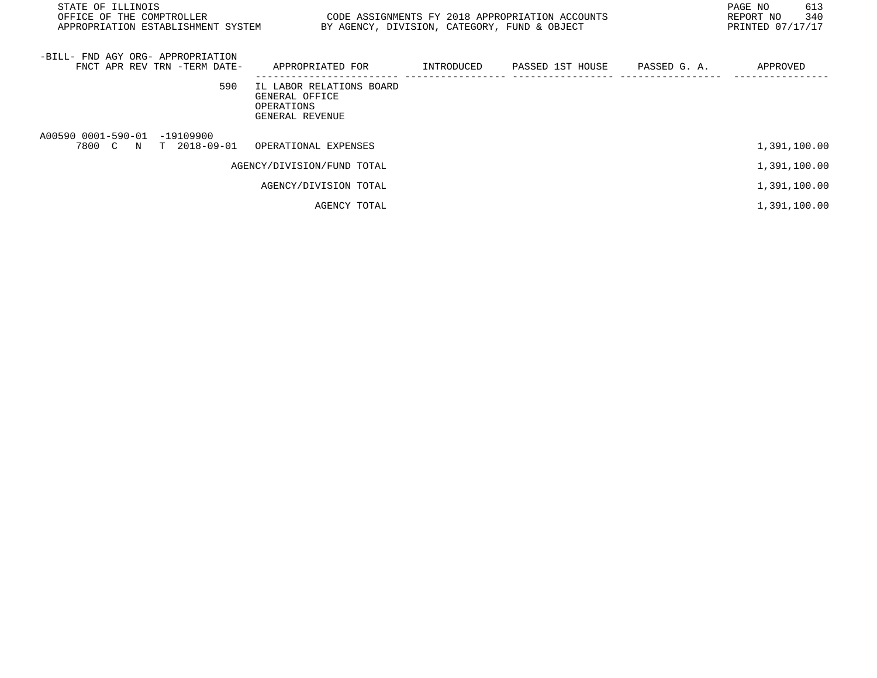| STATE OF ILLINOIS<br>OFFICE OF THE COMPTROLLER<br>APPROPRIATION ESTABLISHMENT SYSTEM | CODE ASSIGNMENTS FY 2018 APPROPRIATION ACCOUNTS                             | BY AGENCY, DIVISION, CATEGORY, FUND & OBJECT |                  |              | 613<br>PAGE NO<br>340<br>REPORT NO<br>PRINTED 07/17/17 |
|--------------------------------------------------------------------------------------|-----------------------------------------------------------------------------|----------------------------------------------|------------------|--------------|--------------------------------------------------------|
| -BILL- FND AGY ORG- APPROPRIATION<br>FNCT APR REV TRN -TERM DATE-                    | APPROPRIATED FOR                                                            | INTRODUCED                                   | PASSED 1ST HOUSE | PASSED G. A. | APPROVED                                               |
| 590                                                                                  | IL LABOR RELATIONS BOARD<br>GENERAL OFFICE<br>OPERATIONS<br>GENERAL REVENUE |                                              |                  |              |                                                        |
| A00590 0001-590-01 -19109900<br>7800 C N T 2018-09-01                                | OPERATIONAL EXPENSES                                                        |                                              |                  |              | 1,391,100.00                                           |
|                                                                                      | AGENCY/DIVISION/FUND TOTAL                                                  |                                              |                  |              | 1,391,100.00                                           |
|                                                                                      | AGENCY/DIVISION TOTAL                                                       |                                              |                  |              | 1,391,100.00                                           |
|                                                                                      | AGENCY TOTAL                                                                |                                              |                  |              | 1,391,100.00                                           |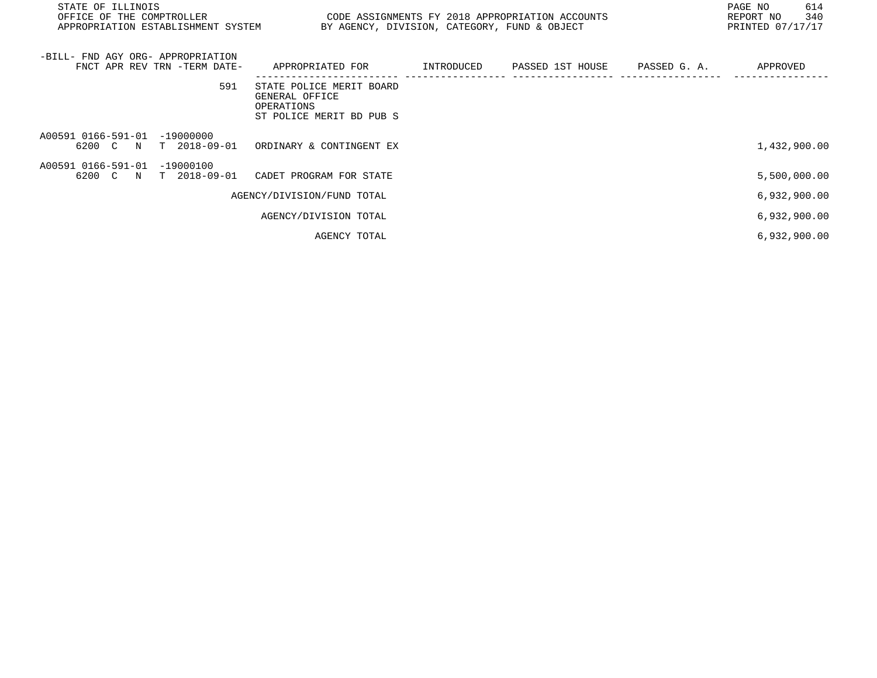| STATE OF ILLINOIS<br>OFFICE OF THE COMPTROLLER THE SERIES ON THE CODE ASSIGNMENTS FY 2018 APPROPRIATION ACCOUNTS<br>APPROPRIATION ESTABLISHMENT SYSTEM BY AGENCY, DIVISION, CATEGORY, FUND & OBJECT |                                                                                      |  | 614<br>PAGE NO<br>REPORT NO 340<br>PRINTED 07/17/17 |
|-----------------------------------------------------------------------------------------------------------------------------------------------------------------------------------------------------|--------------------------------------------------------------------------------------|--|-----------------------------------------------------|
| -BILL- FND AGY ORG- APPROPRIATION<br>FNCT APR REV TRN -TERM DATE-     APPROPRIATED FOR        INTRODUCED     PASSED 1ST HOUSE     PASSED G. A.                                                      |                                                                                      |  | APPROVED                                            |
| 591                                                                                                                                                                                                 | STATE POLICE MERIT BOARD<br>GENERAL OFFICE<br>OPERATIONS<br>ST POLICE MERIT BD PUB S |  |                                                     |
| A00591 0166-591-01 -19000000<br>6200 C N T 2018-09-01 ORDINARY & CONTINGENT EX                                                                                                                      |                                                                                      |  | 1,432,900.00                                        |
| A00591 0166-591-01 -19000100<br>6200 C N T 2018-09-01 CADET PROGRAM FOR STATE                                                                                                                       |                                                                                      |  | 5,500,000.00                                        |
|                                                                                                                                                                                                     | AGENCY/DIVISION/FUND TOTAL                                                           |  | 6,932,900.00                                        |
|                                                                                                                                                                                                     | AGENCY/DIVISION TOTAL                                                                |  | 6,932,900.00                                        |
|                                                                                                                                                                                                     | AGENCY TOTAL                                                                         |  | 6,932,900.00                                        |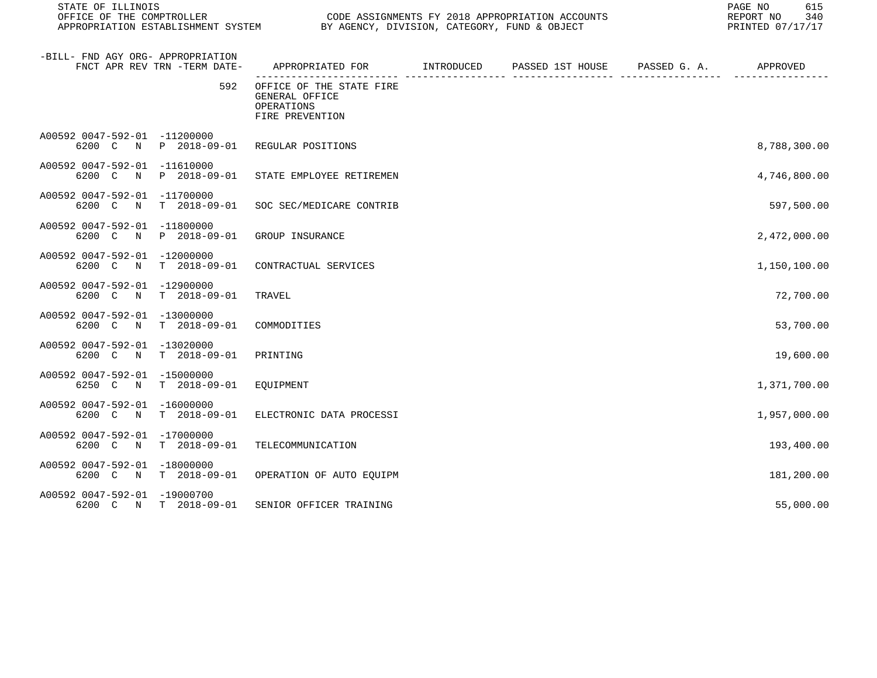| STATE OF ILLINOIS<br>OFFICE OF THE COMPTROLLER<br>OFFICE OF THE COMPTROLLER<br>APPROPRIATION ESTABLISHMENT SYSTEM BY AGENCY, DIVISION, CATEGORY, FUND & OBJECT | CODE ASSIGNMENTS FY 2018 APPROPRIATION ACCOUNTS                             | 615<br>PAGE NO<br>340<br>REPORT NO<br>PRINTED 07/17/17 |  |              |
|----------------------------------------------------------------------------------------------------------------------------------------------------------------|-----------------------------------------------------------------------------|--------------------------------------------------------|--|--------------|
| -BILL- FND AGY ORG- APPROPRIATION<br>FNCT APR REV TRN -TERM DATE-                                                                                              | APPROPRIATED FOR TINTRODUCED PASSED 1ST HOUSE PASSED G.A.                   |                                                        |  | APPROVED     |
| 592                                                                                                                                                            | OFFICE OF THE STATE FIRE<br>GENERAL OFFICE<br>OPERATIONS<br>FIRE PREVENTION |                                                        |  |              |
| A00592 0047-592-01 -11200000<br>6200 C N P 2018-09-01 REGULAR POSITIONS                                                                                        |                                                                             |                                                        |  | 8,788,300.00 |
| A00592 0047-592-01 -11610000<br>6200 C N P 2018-09-01 STATE EMPLOYEE RETIREMEN                                                                                 |                                                                             |                                                        |  | 4,746,800.00 |
| A00592 0047-592-01 -11700000<br>6200 C N T 2018-09-01                                                                                                          | SOC SEC/MEDICARE CONTRIB                                                    |                                                        |  | 597,500.00   |
| A00592 0047-592-01 -11800000<br>6200 C N P 2018-09-01                                                                                                          | GROUP INSURANCE                                                             |                                                        |  | 2,472,000.00 |
| A00592 0047-592-01 -12000000<br>6200 C N T 2018-09-01                                                                                                          | CONTRACTUAL SERVICES                                                        |                                                        |  | 1,150,100.00 |
| A00592 0047-592-01 -12900000<br>T 2018-09-01<br>6200 C N                                                                                                       | TRAVEL                                                                      |                                                        |  | 72,700.00    |
| A00592 0047-592-01 -13000000<br>6200 C N T 2018-09-01                                                                                                          | COMMODITIES                                                                 |                                                        |  | 53,700.00    |
| A00592 0047-592-01 -13020000<br>6200 C N T 2018-09-01                                                                                                          | PRINTING                                                                    |                                                        |  | 19,600.00    |
| A00592 0047-592-01 -15000000<br>6250 C N T 2018-09-01                                                                                                          | EOUIPMENT                                                                   |                                                        |  | 1,371,700.00 |
| A00592 0047-592-01 -16000000<br>6200 C N T 2018-09-01                                                                                                          | ELECTRONIC DATA PROCESSI                                                    |                                                        |  | 1,957,000.00 |
| A00592 0047-592-01 -17000000<br>6200 C N<br>T 2018-09-01                                                                                                       | TELECOMMUNICATION                                                           |                                                        |  | 193,400.00   |
| A00592 0047-592-01 -18000000<br>6200 C N T 2018-09-01                                                                                                          | OPERATION OF AUTO EQUIPM                                                    |                                                        |  | 181,200.00   |
| A00592 0047-592-01 -19000700<br>6200 C N T 2018-09-01                                                                                                          | SENIOR OFFICER TRAINING                                                     |                                                        |  | 55,000.00    |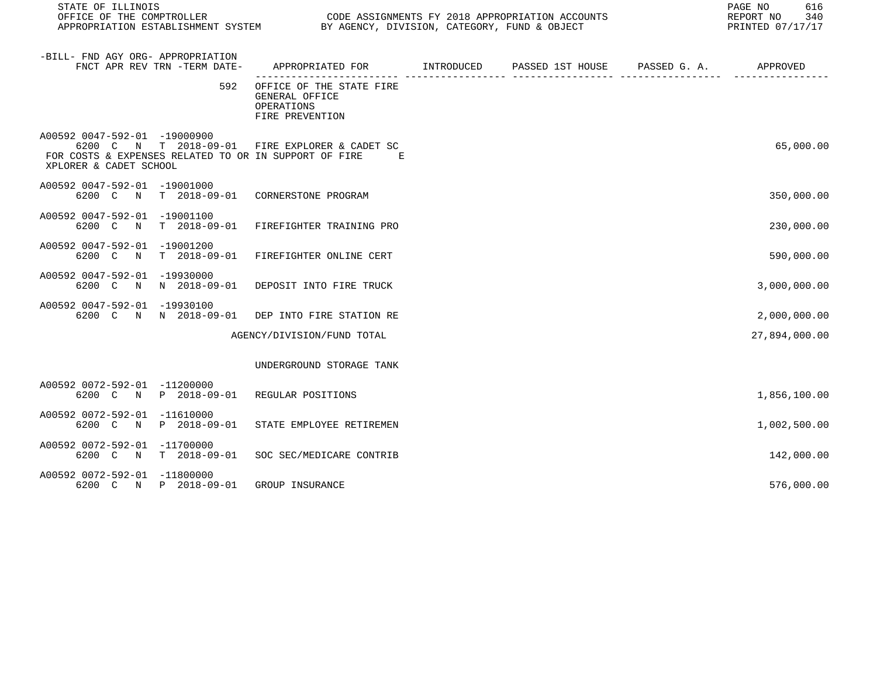| STATE OF ILLINOIS<br>OFFICE OF THE COMPTROLLER<br>APPROPRIATION ESTABLISHMENT SYSTEM BY AGENCY, DIVISION, CATEGORY, FUND & OBJECT                                 | CODE ASSIGNMENTS FY 2018 APPROPRIATION ACCOUNTS                             |  | PAGE NO<br>616<br>REPORT NO<br>340<br>PRINTED 07/17/17 |
|-------------------------------------------------------------------------------------------------------------------------------------------------------------------|-----------------------------------------------------------------------------|--|--------------------------------------------------------|
| -BILL- FND AGY ORG- APPROPRIATION<br>FNCT APR REV TRN -TERM DATE-                                                                                                 | APPROPRIATED FOR TNTRODUCED PASSED 1ST HOUSE PASSED G. A.                   |  | APPROVED                                               |
| 592                                                                                                                                                               | OFFICE OF THE STATE FIRE<br>GENERAL OFFICE<br>OPERATIONS<br>FIRE PREVENTION |  |                                                        |
| A00592 0047-592-01 -19000900<br>6200 C N T 2018-09-01 FIRE EXPLORER & CADET SC<br>FOR COSTS & EXPENSES RELATED TO OR IN SUPPORT OF FIRE<br>XPLORER & CADET SCHOOL | E                                                                           |  | 65,000.00                                              |
| A00592 0047-592-01 -19001000<br>6200 C N T 2018-09-01 CORNERSTONE PROGRAM                                                                                         |                                                                             |  | 350,000.00                                             |
| A00592 0047-592-01 -19001100<br>6200 C N T 2018-09-01                                                                                                             | FIREFIGHTER TRAINING PRO                                                    |  | 230,000.00                                             |
| A00592 0047-592-01 -19001200<br>T 2018-09-01<br>6200 C<br>$\mathbb N$                                                                                             | FIREFIGHTER ONLINE CERT                                                     |  | 590,000.00                                             |
| A00592 0047-592-01 -19930000<br>6200 C N N 2018-09-01                                                                                                             | DEPOSIT INTO FIRE TRUCK                                                     |  | 3,000,000.00                                           |
| A00592 0047-592-01 -19930100<br>6200 C N N 2018-09-01                                                                                                             | DEP INTO FIRE STATION RE                                                    |  | 2,000,000.00                                           |
|                                                                                                                                                                   | AGENCY/DIVISION/FUND TOTAL                                                  |  | 27,894,000.00                                          |
|                                                                                                                                                                   | UNDERGROUND STORAGE TANK                                                    |  |                                                        |
| A00592 0072-592-01 -11200000<br>6200 C N P 2018-09-01                                                                                                             | REGULAR POSITIONS                                                           |  | 1,856,100.00                                           |
| A00592 0072-592-01 -11610000<br>6200 C<br>P 2018-09-01<br>N                                                                                                       | STATE EMPLOYEE RETIREMEN                                                    |  | 1,002,500.00                                           |
| A00592 0072-592-01 -11700000<br>6200 C N T 2018-09-01                                                                                                             | SOC SEC/MEDICARE CONTRIB                                                    |  | 142,000.00                                             |
| A00592 0072-592-01 -11800000<br>6200 C N P 2018-09-01                                                                                                             | GROUP INSURANCE                                                             |  | 576,000.00                                             |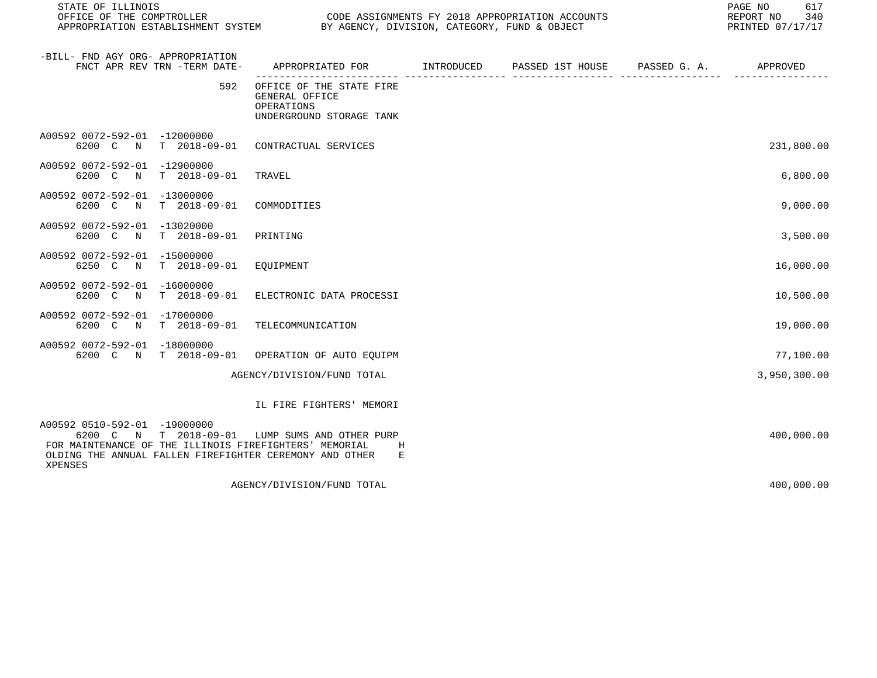| STATE OF ILLINOIS<br>OFFICE OF THE COMPTROLLER CONDUCTER CODE ASSIGNMENTS FY 2018 APPROPRIATION ACCOUNTS<br>APPROPRIATION ESTABLISHMENT SYSTEM BY AGENCY, DIVISION, CATEGORY, FUND & OBJECT                    |                                                                                          | 617<br>PAGE NO<br>REPORT NO<br>340<br>PRINTED 07/17/17 |  |              |
|----------------------------------------------------------------------------------------------------------------------------------------------------------------------------------------------------------------|------------------------------------------------------------------------------------------|--------------------------------------------------------|--|--------------|
| -BILL- FND AGY ORG- APPROPRIATION<br>FNCT APR REV TRN -TERM DATE-                                                                                                                                              | APPROPRIATED FOR       INTRODUCED     PASSED 1ST HOUSE     PASSED G. A.         APPROVED |                                                        |  |              |
| 592                                                                                                                                                                                                            | OFFICE OF THE STATE FIRE<br>GENERAL OFFICE<br>OPERATIONS<br>UNDERGROUND STORAGE TANK     |                                                        |  |              |
| A00592 0072-592-01 -12000000<br>6200 C N T 2018-09-01                                                                                                                                                          | CONTRACTUAL SERVICES                                                                     |                                                        |  | 231,800.00   |
| A00592 0072-592-01 -12900000<br>6200 C<br>$\mathbb N$<br>$T = 2018 - 09 - 01$                                                                                                                                  | TRAVEL                                                                                   |                                                        |  | 6,800.00     |
| A00592 0072-592-01 -13000000<br>6200 C N<br>T 2018-09-01                                                                                                                                                       | COMMODITIES                                                                              |                                                        |  | 9,000.00     |
| A00592 0072-592-01 -13020000<br>T 2018-09-01<br>6200 C N                                                                                                                                                       | PRINTING                                                                                 |                                                        |  | 3,500.00     |
| A00592 0072-592-01 -15000000<br>6250 C N<br>T 2018-09-01                                                                                                                                                       | EQUIPMENT                                                                                |                                                        |  | 16,000.00    |
| A00592 0072-592-01 -16000000<br>T 2018-09-01<br>6200 C<br>$\mathbb N$                                                                                                                                          | ELECTRONIC DATA PROCESSI                                                                 |                                                        |  | 10,500.00    |
| A00592 0072-592-01 -17000000<br>6200 C N T 2018-09-01                                                                                                                                                          | TELECOMMUNICATION                                                                        |                                                        |  | 19,000.00    |
| A00592 0072-592-01 -18000000<br>6200 C N T 2018-09-01                                                                                                                                                          | OPERATION OF AUTO EQUIPM                                                                 |                                                        |  | 77,100.00    |
|                                                                                                                                                                                                                | AGENCY/DIVISION/FUND TOTAL                                                               |                                                        |  | 3,950,300.00 |
|                                                                                                                                                                                                                | IL FIRE FIGHTERS' MEMORI                                                                 |                                                        |  |              |
| A00592 0510-592-01 -19000000<br>6200 C N T 2018-09-01 LUMP SUMS AND OTHER PURP<br>FOR MAINTENANCE OF THE ILLINOIS FIREFIGHTERS' MEMORIAL<br>OLDING THE ANNUAL FALLEN FIREFIGHTER CEREMONY AND OTHER<br>XPENSES | Н<br>Е                                                                                   |                                                        |  | 400,000.00   |
|                                                                                                                                                                                                                | AGENCY/DIVISION/FUND TOTAL                                                               |                                                        |  | 400,000.00   |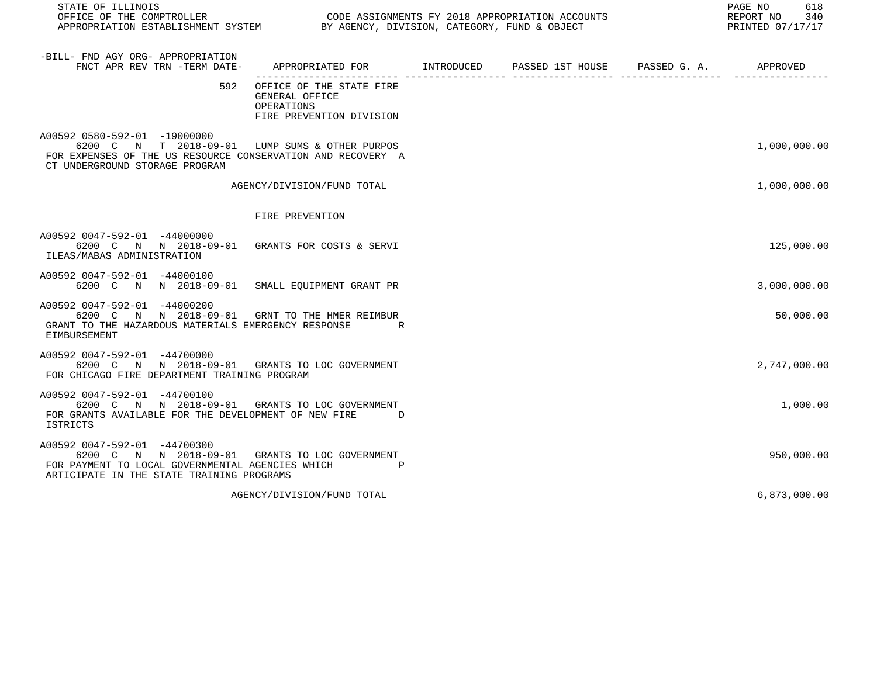| STATE OF ILLINOIS                                                                                                                                                               |                                                                                          |  | PAGE NO<br>618<br>REPORT NO<br>340<br>PRINTED 07/17/17 |
|---------------------------------------------------------------------------------------------------------------------------------------------------------------------------------|------------------------------------------------------------------------------------------|--|--------------------------------------------------------|
| -BILL- FND AGY ORG- APPROPRIATION<br>FNCT APR REV TRN -TERM DATE-                                                                                                               | APPROPRIATED FOR INTRODUCED PASSED 1ST HOUSE PASSED G.A.                                 |  | APPROVED                                               |
|                                                                                                                                                                                 | 592 OFFICE OF THE STATE FIRE<br>GENERAL OFFICE<br>OPERATIONS<br>FIRE PREVENTION DIVISION |  |                                                        |
| A00592 0580-592-01 -19000000<br>6200 C N T 2018-09-01 LUMP SUMS & OTHER PURPOS<br>FOR EXPENSES OF THE US RESOURCE CONSERVATION AND RECOVERY A<br>CT UNDERGROUND STORAGE PROGRAM |                                                                                          |  | 1,000,000.00                                           |
|                                                                                                                                                                                 | AGENCY/DIVISION/FUND TOTAL                                                               |  | 1,000,000.00                                           |
|                                                                                                                                                                                 | FIRE PREVENTION                                                                          |  |                                                        |
| A00592 0047-592-01 -44000000<br>6200 C N N 2018-09-01 GRANTS FOR COSTS & SERVI<br>ILEAS/MABAS ADMINISTRATION                                                                    |                                                                                          |  | 125,000.00                                             |
| A00592 0047-592-01 -44000100<br>6200 C N N 2018-09-01 SMALL EQUIPMENT GRANT PR                                                                                                  |                                                                                          |  | 3,000,000.00                                           |
| A00592 0047-592-01 -44000200<br>6200 C N N 2018-09-01 GRNT TO THE HMER REIMBUR<br>GRANT TO THE HAZARDOUS MATERIALS EMERGENCY RESPONSE<br>EIMBURSEMENT                           | R                                                                                        |  | 50,000.00                                              |
| A00592 0047-592-01 -44700000<br>6200 C N N 2018-09-01 GRANTS TO LOC GOVERNMENT<br>FOR CHICAGO FIRE DEPARTMENT TRAINING PROGRAM                                                  |                                                                                          |  | 2,747,000.00                                           |
| A00592 0047-592-01 -44700100<br>6200 C N N 2018-09-01 GRANTS TO LOC GOVERNMENT<br>FOR GRANTS AVAILABLE FOR THE DEVELOPMENT OF NEW FIRE D<br>ISTRICTS                            |                                                                                          |  | 1,000.00                                               |
| A00592 0047-592-01 -44700300<br>6200 C N N 2018-09-01 GRANTS TO LOC GOVERNMENT<br>FOR PAYMENT TO LOCAL GOVERNMENTAL AGENCIES WHICH<br>ARTICIPATE IN THE STATE TRAINING PROGRAMS | $_{\rm P}$                                                                               |  | 950,000.00                                             |
|                                                                                                                                                                                 | AGENCY/DIVISION/FUND TOTAL                                                               |  | 6,873,000.00                                           |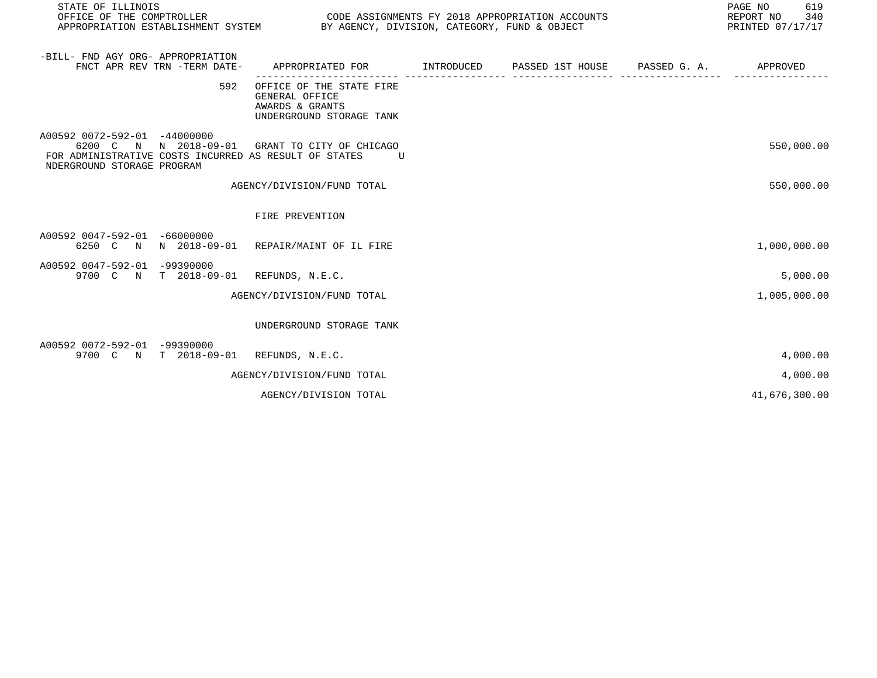| STATE OF ILLINOIS<br>OFFICE OF THE COMPTROLLER<br>APPROPRIATION ESTABLISHMENT SYSTEM BY AGENCY, DIVISION, CATEGORY, FUND & OBJECT                                     |                                                                                           | CODE ASSIGNMENTS FY 2018 APPROPRIATION ACCOUNTS |              | 619<br>PAGE NO<br>REPORT NO<br>340<br>PRINTED 07/17/17 |
|-----------------------------------------------------------------------------------------------------------------------------------------------------------------------|-------------------------------------------------------------------------------------------|-------------------------------------------------|--------------|--------------------------------------------------------|
| -BILL- FND AGY ORG- APPROPRIATION<br>FNCT APR REV TRN -TERM DATE-                                                                                                     | APPROPRIATED FOR         INTRODUCED      PASSED 1ST HOUSE                                 |                                                 | PASSED G. A. | APPROVED                                               |
| 592                                                                                                                                                                   | OFFICE OF THE STATE FIRE<br>GENERAL OFFICE<br>AWARDS & GRANTS<br>UNDERGROUND STORAGE TANK |                                                 |              |                                                        |
| A00592 0072-592-01 -44000000<br>6200 C N N 2018-09-01 GRANT TO CITY OF CHICAGO<br>FOR ADMINISTRATIVE COSTS INCURRED AS RESULT OF STATES<br>NDERGROUND STORAGE PROGRAM | $\overline{U}$                                                                            |                                                 |              | 550,000.00                                             |
|                                                                                                                                                                       | AGENCY/DIVISION/FUND TOTAL                                                                |                                                 |              | 550,000.00                                             |
|                                                                                                                                                                       | FIRE PREVENTION                                                                           |                                                 |              |                                                        |
| A00592 0047-592-01 -66000000<br>6250 C N N 2018-09-01 REPAIR/MAINT OF IL FIRE                                                                                         |                                                                                           |                                                 |              | 1,000,000.00                                           |
| A00592 0047-592-01 -99390000<br>9700 C N T 2018-09-01 REFUNDS, N.E.C.                                                                                                 |                                                                                           |                                                 |              | 5,000.00                                               |
|                                                                                                                                                                       | AGENCY/DIVISION/FUND TOTAL                                                                |                                                 |              | 1,005,000.00                                           |
|                                                                                                                                                                       | UNDERGROUND STORAGE TANK                                                                  |                                                 |              |                                                        |
| A00592 0072-592-01 -99390000<br>9700 C N T 2018-09-01 REFUNDS, N.E.C.                                                                                                 |                                                                                           |                                                 |              | 4,000.00                                               |
|                                                                                                                                                                       | AGENCY/DIVISION/FUND TOTAL                                                                |                                                 |              | 4,000.00                                               |
|                                                                                                                                                                       | AGENCY/DIVISION TOTAL                                                                     |                                                 |              | 41,676,300.00                                          |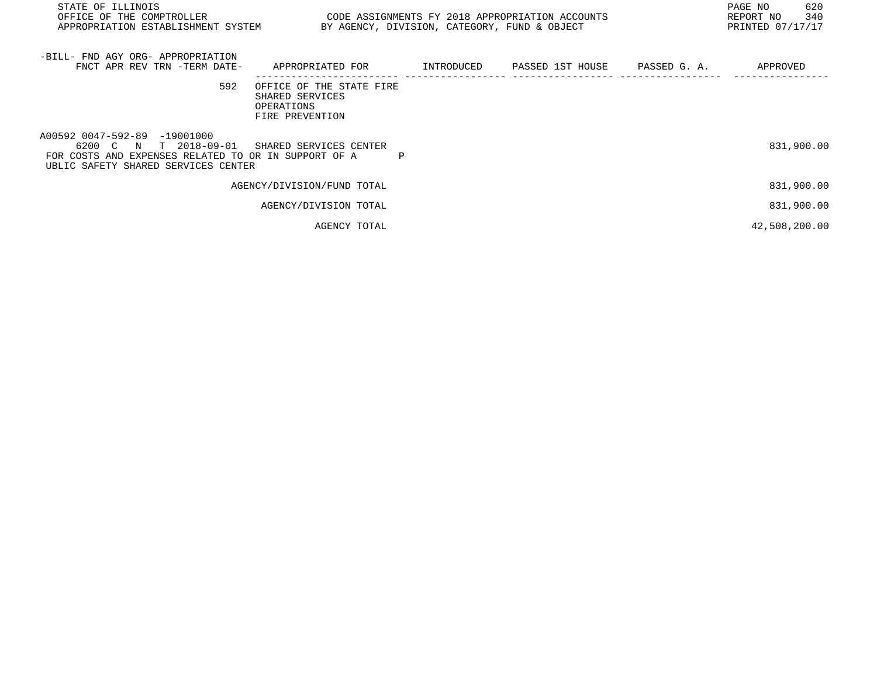| STATE OF ILLINOIS<br>OFFICE OF THE COMPTROLLER<br>APPROPRIATION ESTABLISHMENT SYSTEM                                                                                        | CODE ASSIGNMENTS FY 2018 APPROPRIATION ACCOUNTS<br>BY AGENCY, DIVISION, CATEGORY, FUND & OBJECT |  | PAGE NO<br>620<br>340<br>REPORT NO<br>PRINTED 07/17/17 |
|-----------------------------------------------------------------------------------------------------------------------------------------------------------------------------|-------------------------------------------------------------------------------------------------|--|--------------------------------------------------------|
| -BILL- FND AGY ORG- APPROPRIATION<br>FNCT APR REV TRN -TERM DATE- APPROPRIATED FOR TINTRODUCED PASSED 1ST HOUSE PASSED G.A.                                                 |                                                                                                 |  | APPROVED                                               |
| 592                                                                                                                                                                         | OFFICE OF THE STATE FIRE<br>SHARED SERVICES<br>OPERATIONS<br>FIRE PREVENTION                    |  |                                                        |
| A00592 0047-592-89 -19001000<br>6200 C N T 2018-09-01 SHARED SERVICES CENTER<br>FOR COSTS AND EXPENSES RELATED TO OR IN SUPPORT OF A<br>UBLIC SAFETY SHARED SERVICES CENTER |                                                                                                 |  | 831,900.00                                             |
|                                                                                                                                                                             | AGENCY/DIVISION/FUND TOTAL                                                                      |  | 831,900.00                                             |
|                                                                                                                                                                             | AGENCY/DIVISION TOTAL                                                                           |  | 831,900.00                                             |
|                                                                                                                                                                             | AGENCY TOTAL                                                                                    |  | 42,508,200.00                                          |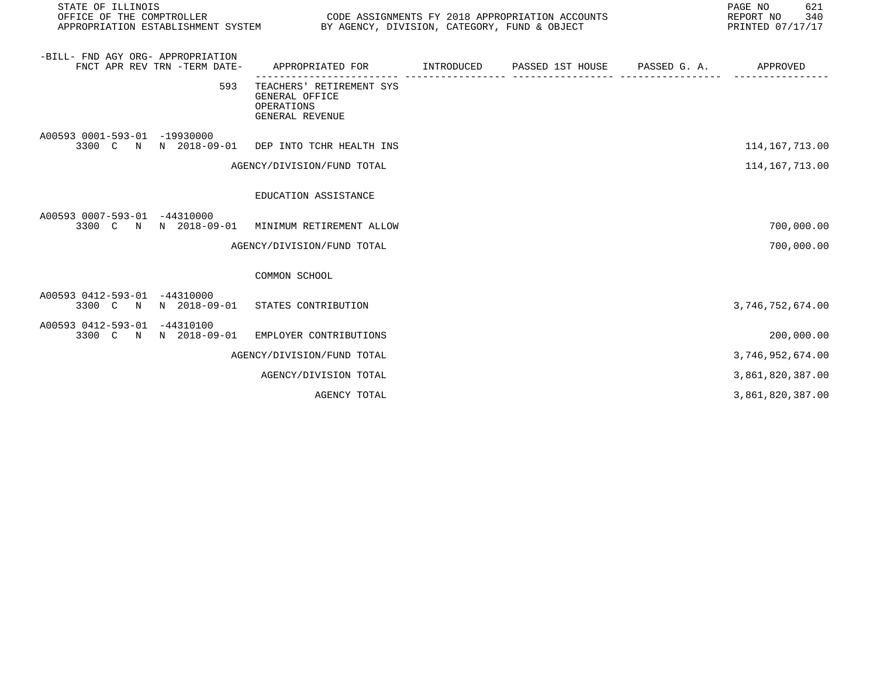| STATE OF ILLINOIS<br>OFFICE OF THE COMPTROLLER<br>CODE ASSIGNMENTS FY 2018 APPROPRIATION ACCOUNTS<br>APPROPRIATION ESTABLISHMENT SYSTEM BY AGENCY, DIVISION, CATEGORY, FUND & OBJECT |                                                                             |                   |  |  | 621<br>PAGE NO<br>340<br>REPORT NO<br>PRINTED 07/17/17 |  |
|--------------------------------------------------------------------------------------------------------------------------------------------------------------------------------------|-----------------------------------------------------------------------------|-------------------|--|--|--------------------------------------------------------|--|
| -BILL- FND AGY ORG- APPROPRIATION<br>FNCT APR REV TRN -TERM DATE-                                                                                                                    | APPROPRIATED FOR TINTRODUCED PASSED 1ST HOUSE PASSED G. A.                  | ------------ ---- |  |  | APPROVED                                               |  |
| 593                                                                                                                                                                                  | TEACHERS' RETIREMENT SYS<br>GENERAL OFFICE<br>OPERATIONS<br>GENERAL REVENUE |                   |  |  |                                                        |  |
| A00593 0001-593-01 -19930000<br>3300 C N N 2018-09-01 DEP INTO TCHR HEALTH INS                                                                                                       |                                                                             |                   |  |  | 114,167,713.00                                         |  |
|                                                                                                                                                                                      | AGENCY/DIVISION/FUND TOTAL                                                  |                   |  |  | 114, 167, 713.00                                       |  |
|                                                                                                                                                                                      | EDUCATION ASSISTANCE                                                        |                   |  |  |                                                        |  |
| A00593 0007-593-01 -44310000<br>3300 C N N 2018-09-01                                                                                                                                | MINIMUM RETIREMENT ALLOW                                                    |                   |  |  | 700,000.00                                             |  |
|                                                                                                                                                                                      | AGENCY/DIVISION/FUND TOTAL                                                  |                   |  |  | 700,000.00                                             |  |
|                                                                                                                                                                                      | COMMON SCHOOL                                                               |                   |  |  |                                                        |  |
| A00593 0412-593-01 -44310000<br>3300 C N N 2018-09-01 STATES CONTRIBUTION                                                                                                            |                                                                             |                   |  |  | 3,746,752,674.00                                       |  |
| A00593 0412-593-01 -44310100<br>3300 C N N 2018-09-01                                                                                                                                | EMPLOYER CONTRIBUTIONS                                                      |                   |  |  | 200,000.00                                             |  |
|                                                                                                                                                                                      | AGENCY/DIVISION/FUND TOTAL                                                  |                   |  |  | 3,746,952,674.00                                       |  |
|                                                                                                                                                                                      | AGENCY/DIVISION TOTAL                                                       |                   |  |  | 3,861,820,387.00                                       |  |
|                                                                                                                                                                                      | AGENCY TOTAL                                                                |                   |  |  | 3,861,820,387.00                                       |  |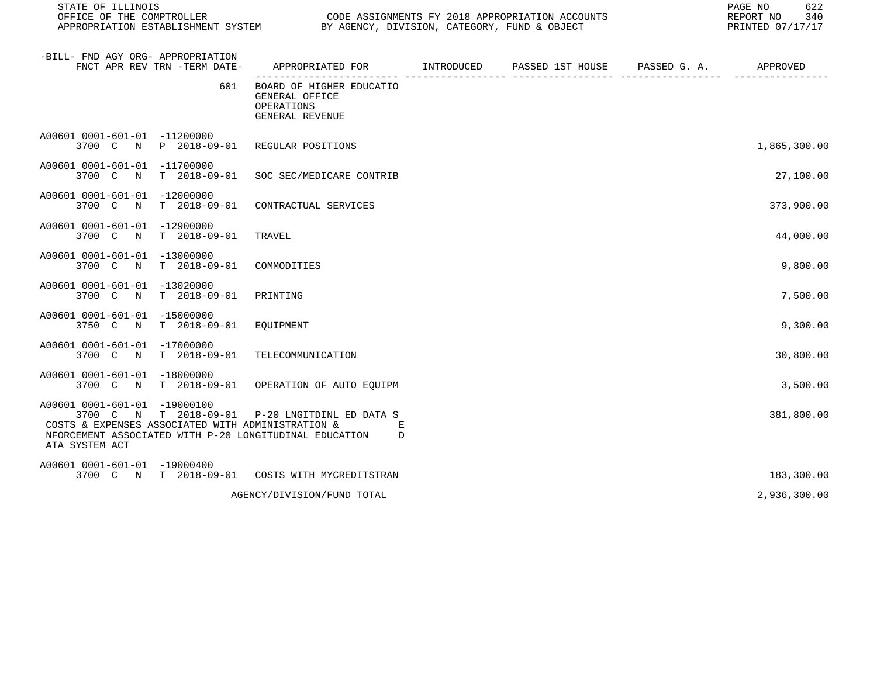| STATE OF ILLINOIS<br>OFFICE OF THE COMPTROLLER<br>APPROPRIATION ESTABLISHMENT SYSTEM BY AGENCY, DIVISION, CATEGORY, FUND & OBJECT                                                                                 | CODE ASSIGNMENTS FY 2018 APPROPRIATION ACCOUNTS                                         | 622<br>PAGE NO<br>REPORT NO 340<br>PRINTED 07/17/17 |  |              |
|-------------------------------------------------------------------------------------------------------------------------------------------------------------------------------------------------------------------|-----------------------------------------------------------------------------------------|-----------------------------------------------------|--|--------------|
| -BILL- FND AGY ORG- APPROPRIATION<br>FNCT APR REV TRN -TERM DATE-                                                                                                                                                 | APPROPRIATED FOR       INTRODUCED     PASSED 1ST HOUSE     PASSED G. A.        APPROVED |                                                     |  |              |
| 601                                                                                                                                                                                                               | BOARD OF HIGHER EDUCATIO<br>GENERAL OFFICE<br>OPERATIONS<br>GENERAL REVENUE             |                                                     |  |              |
| A00601 0001-601-01 -11200000<br>3700 C N P 2018-09-01 REGULAR POSITIONS                                                                                                                                           |                                                                                         |                                                     |  | 1,865,300.00 |
| A00601 0001-601-01 -11700000<br>3700 C N T 2018-09-01 SOC SEC/MEDICARE CONTRIB                                                                                                                                    |                                                                                         |                                                     |  | 27,100.00    |
| A00601 0001-601-01 -12000000<br>3700 C N T 2018-09-01 CONTRACTUAL SERVICES                                                                                                                                        |                                                                                         |                                                     |  | 373,900.00   |
| A00601 0001-601-01 -12900000<br>3700 C N T 2018-09-01                                                                                                                                                             | TRAVEL                                                                                  |                                                     |  | 44,000.00    |
| A00601 0001-601-01 -13000000<br>3700 C N T 2018-09-01                                                                                                                                                             | COMMODITIES                                                                             |                                                     |  | 9,800.00     |
| A00601 0001-601-01 -13020000<br>3700 C N T 2018-09-01                                                                                                                                                             | PRINTING                                                                                |                                                     |  | 7,500.00     |
| A00601 0001-601-01 -15000000<br>3750 C N T 2018-09-01 EOUIPMENT                                                                                                                                                   |                                                                                         |                                                     |  | 9,300.00     |
| A00601 0001-601-01 -17000000<br>3700 C N T 2018-09-01 TELECOMMUNICATION                                                                                                                                           |                                                                                         |                                                     |  | 30,800.00    |
| A00601 0001-601-01 -18000000<br>3700 C N T 2018-09-01 OPERATION OF AUTO EQUIPM                                                                                                                                    |                                                                                         |                                                     |  | 3,500.00     |
| A00601 0001-601-01 -19000100<br>3700 C N T 2018-09-01 P-20 LNGITDINL ED DATA S<br>COSTS & EXPENSES ASSOCIATED WITH ADMINISTRATION &<br>NFORCEMENT ASSOCIATED WITH P-20 LONGITUDINAL EDUCATION D<br>ATA SYSTEM ACT | E                                                                                       |                                                     |  | 381,800.00   |
| A00601 0001-601-01 -19000400<br>3700 C N T 2018-09-01 COSTS WITH MYCREDITSTRAN                                                                                                                                    |                                                                                         |                                                     |  | 183,300.00   |
|                                                                                                                                                                                                                   | AGENCY/DIVISION/FUND TOTAL                                                              |                                                     |  | 2,936,300.00 |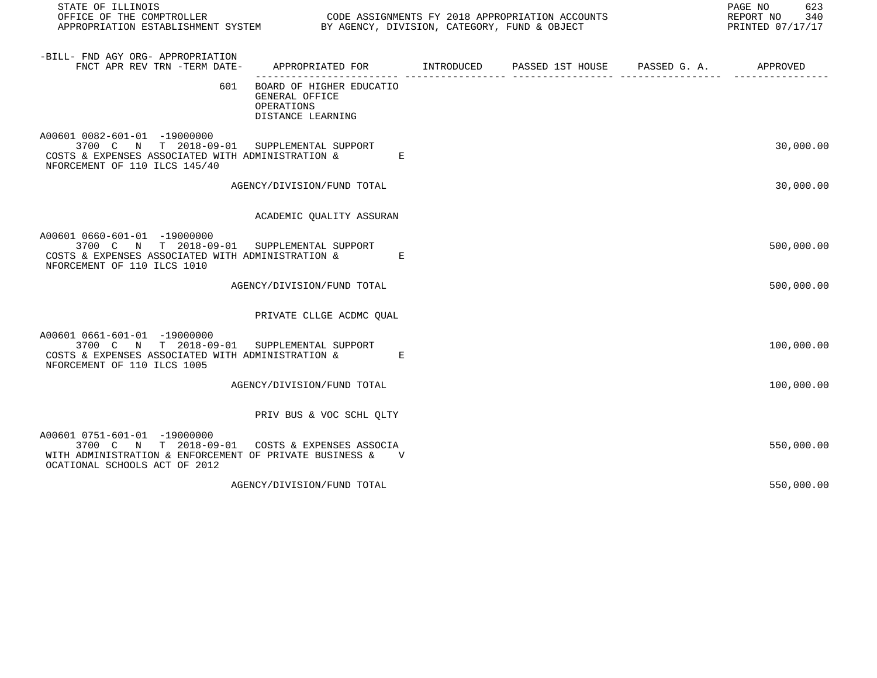| STATE OF ILLINOIS                                                                                                                                                            |                                                                                          |  | PAGE NO<br>623<br>REPORT NO<br>340<br>PRINTED 07/17/17 |
|------------------------------------------------------------------------------------------------------------------------------------------------------------------------------|------------------------------------------------------------------------------------------|--|--------------------------------------------------------|
| -BILL- FND AGY ORG- APPROPRIATION<br>FNCT APR REV TRN -TERM DATE-                                                                                                            | APPROPRIATED FOR       INTRODUCED     PASSED 1ST HOUSE     PASSED G. A.         APPROVED |  |                                                        |
| 601                                                                                                                                                                          | BOARD OF HIGHER EDUCATIO<br>GENERAL OFFICE<br>OPERATIONS<br>DISTANCE LEARNING            |  |                                                        |
| A00601 0082-601-01 -19000000<br>3700 C N T 2018-09-01 SUPPLEMENTAL SUPPORT<br>COSTS & EXPENSES ASSOCIATED WITH ADMINISTRATION &<br>NFORCEMENT OF 110 ILCS 145/40             | Е                                                                                        |  | 30,000.00                                              |
|                                                                                                                                                                              | AGENCY/DIVISION/FUND TOTAL                                                               |  | 30,000.00                                              |
|                                                                                                                                                                              | ACADEMIC QUALITY ASSURAN                                                                 |  |                                                        |
| A00601 0660-601-01 -19000000<br>3700 C N T 2018-09-01 SUPPLEMENTAL SUPPORT<br>COSTS & EXPENSES ASSOCIATED WITH ADMINISTRATION &<br>NFORCEMENT OF 110 ILCS 1010               | Е                                                                                        |  | 500,000.00                                             |
|                                                                                                                                                                              | AGENCY/DIVISION/FUND TOTAL                                                               |  | 500,000.00                                             |
|                                                                                                                                                                              | PRIVATE CLLGE ACDMC QUAL                                                                 |  |                                                        |
| A00601 0661-601-01 -19000000<br>3700 C N T 2018-09-01 SUPPLEMENTAL SUPPORT<br>COSTS & EXPENSES ASSOCIATED WITH ADMINISTRATION &<br>NFORCEMENT OF 110 ILCS 1005               | E                                                                                        |  | 100,000.00                                             |
|                                                                                                                                                                              | AGENCY/DIVISION/FUND TOTAL                                                               |  | 100,000.00                                             |
|                                                                                                                                                                              | PRIV BUS & VOC SCHL QLTY                                                                 |  |                                                        |
| A00601 0751-601-01 -19000000<br>3700 C N T 2018-09-01 COSTS & EXPENSES ASSOCIA<br>WITH ADMINISTRATION & ENFORCEMENT OF PRIVATE BUSINESS & V<br>OCATIONAL SCHOOLS ACT OF 2012 |                                                                                          |  | 550,000.00                                             |
|                                                                                                                                                                              | AGENCY/DIVISION/FUND TOTAL                                                               |  | 550,000.00                                             |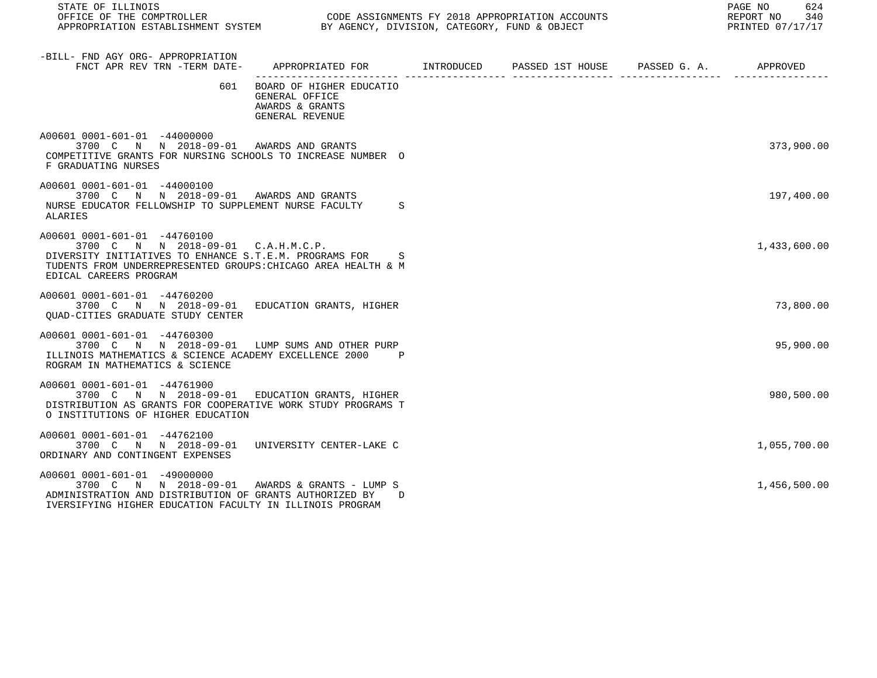| STATE OF ILLINOIS<br>OFFICE OF THE COMPTROLLER CONDUCTER CODE ASSIGNMENTS FY 2018 APPROPRIATION ACCOUNTS<br>APPROPRIATION ESTABLISHMENT SYSTEM BY AGENCY, DIVISION, CATEGORY, FUND & OBJECT                             |                                                                                      |  | PAGE NO<br>624<br>REPORT NO 340<br>PRINTED 07/17/17 |
|-------------------------------------------------------------------------------------------------------------------------------------------------------------------------------------------------------------------------|--------------------------------------------------------------------------------------|--|-----------------------------------------------------|
| -BILL- FND AGY ORG- APPROPRIATION<br>FNCT APR REV TRN -TERM DATE- APPROPRIATED FOR METAL INTRODUCED PASSED 1ST HOUSE PASSED G. A. APPROVED                                                                              |                                                                                      |  |                                                     |
|                                                                                                                                                                                                                         | 601 BOARD OF HIGHER EDUCATIO<br>GENERAL OFFICE<br>AWARDS & GRANTS<br>GENERAL REVENUE |  |                                                     |
| A00601 0001-601-01 -44000000<br>3700 C N N 2018-09-01 AWARDS AND GRANTS<br>COMPETITIVE GRANTS FOR NURSING SCHOOLS TO INCREASE NUMBER O<br>F GRADUATING NURSES                                                           |                                                                                      |  | 373,900.00                                          |
| A00601 0001-601-01 -44000100<br>3700 C N N 2018-09-01 AWARDS AND GRANTS<br>NURSE EDUCATOR FELLOWSHIP TO SUPPLEMENT NURSE FACULTY<br>ALARIES                                                                             | S.                                                                                   |  | 197,400.00                                          |
| A00601 0001-601-01 -44760100<br>3700 C N N 2018-09-01 C.A.H.M.C.P.<br>DIVERSITY INITIATIVES TO ENHANCE S.T.E.M. PROGRAMS FOR<br>TUDENTS FROM UNDERREPRESENTED GROUPS: CHICAGO AREA HEALTH & M<br>EDICAL CAREERS PROGRAM | S                                                                                    |  | 1,433,600.00                                        |
| A00601 0001-601-01 -44760200<br>3700 C N N 2018-09-01 EDUCATION GRANTS, HIGHER<br>OUAD-CITIES GRADUATE STUDY CENTER                                                                                                     |                                                                                      |  | 73,800.00                                           |
| A00601 0001-601-01 -44760300<br>3700 C N N 2018-09-01 LUMP SUMS AND OTHER PURP<br>ILLINOIS MATHEMATICS & SCIENCE ACADEMY EXCELLENCE 2000<br>ROGRAM IN MATHEMATICS & SCIENCE                                             | $\mathbb{P}$                                                                         |  | 95,900.00                                           |
| A00601 0001-601-01 -44761900<br>3700 C N N 2018-09-01 EDUCATION GRANTS, HIGHER<br>DISTRIBUTION AS GRANTS FOR COOPERATIVE WORK STUDY PROGRAMS T<br>O INSTITUTIONS OF HIGHER EDUCATION                                    |                                                                                      |  | 980,500.00                                          |
| A00601 0001-601-01 -44762100<br>3700 C N N 2018-09-01 UNIVERSITY CENTER-LAKE C<br>ORDINARY AND CONTINGENT EXPENSES                                                                                                      |                                                                                      |  | 1,055,700.00                                        |
| A00601 0001-601-01 -49000000<br>3700 C N N 2018-09-01<br>ADMINISTRATION AND DISTRIBUTION OF GRANTS AUTHORIZED BY<br>IVERSIFYING HIGHER EDUCATION FACULTY IN ILLINOIS PROGRAM                                            | AWARDS & GRANTS - LUMP S<br>D                                                        |  | 1,456,500.00                                        |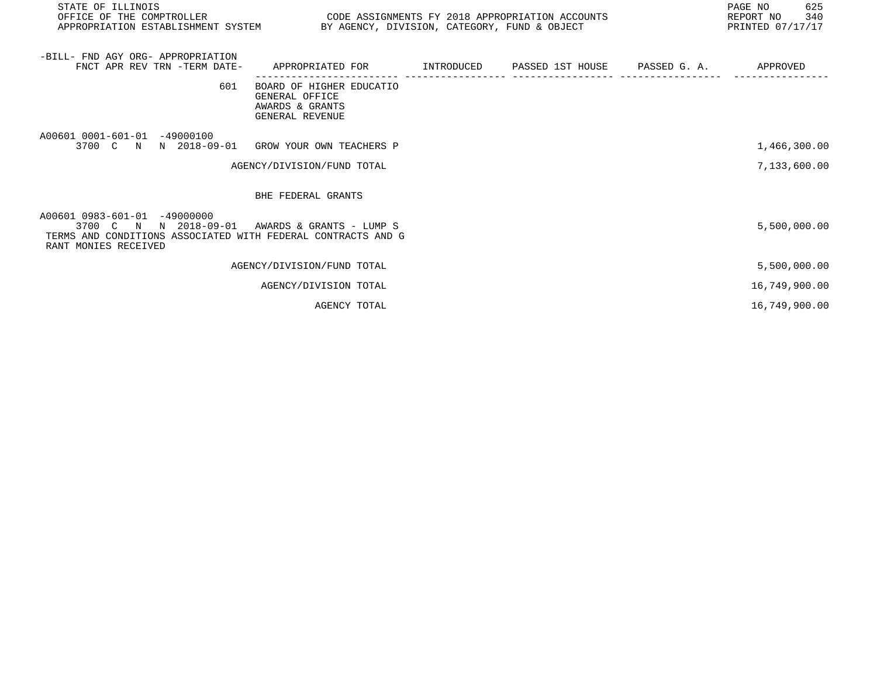| STATE OF ILLINOIS<br>OFFICE OF THE COMPTROLLER<br>APPROPRIATION ESTABLISHMENT SYSTEM BY AGENCY, DIVISION, CATEGORY, FUND & OBJECT                                      | CODE ASSIGNMENTS FY 2018 APPROPRIATION ACCOUNTS                                           |  | 625<br>PAGE NO<br>340<br>REPORT NO<br>PRINTED 07/17/17 |
|------------------------------------------------------------------------------------------------------------------------------------------------------------------------|-------------------------------------------------------------------------------------------|--|--------------------------------------------------------|
| -BILL- FND AGY ORG- APPROPRIATION<br>FNCT APR REV TRN -TERM DATE-                                                                                                      | APPROPRIATED FOR        INTRODUCED     PASSED 1ST HOUSE     PASSED G. A.         APPROVED |  |                                                        |
| 601                                                                                                                                                                    | BOARD OF HIGHER EDUCATIO<br>GENERAL OFFICE<br>AWARDS & GRANTS<br>GENERAL REVENUE          |  |                                                        |
| A00601 0001-601-01 -49000100<br>3700 C N N 2018-09-01 GROW YOUR OWN TEACHERS P                                                                                         |                                                                                           |  | 1,466,300.00                                           |
|                                                                                                                                                                        | AGENCY/DIVISION/FUND TOTAL                                                                |  | 7,133,600.00                                           |
|                                                                                                                                                                        | BHE FEDERAL GRANTS                                                                        |  |                                                        |
| A00601 0983-601-01 -49000000<br>3700 C N N 2018-09-01 AWARDS & GRANTS - LUMP S<br>TERMS AND CONDITIONS ASSOCIATED WITH FEDERAL CONTRACTS AND G<br>RANT MONIES RECEIVED |                                                                                           |  | 5,500,000.00                                           |
|                                                                                                                                                                        | AGENCY/DIVISION/FUND TOTAL                                                                |  | 5,500,000.00                                           |
|                                                                                                                                                                        | AGENCY/DIVISION TOTAL                                                                     |  | 16,749,900.00                                          |
|                                                                                                                                                                        | AGENCY TOTAL                                                                              |  | 16,749,900.00                                          |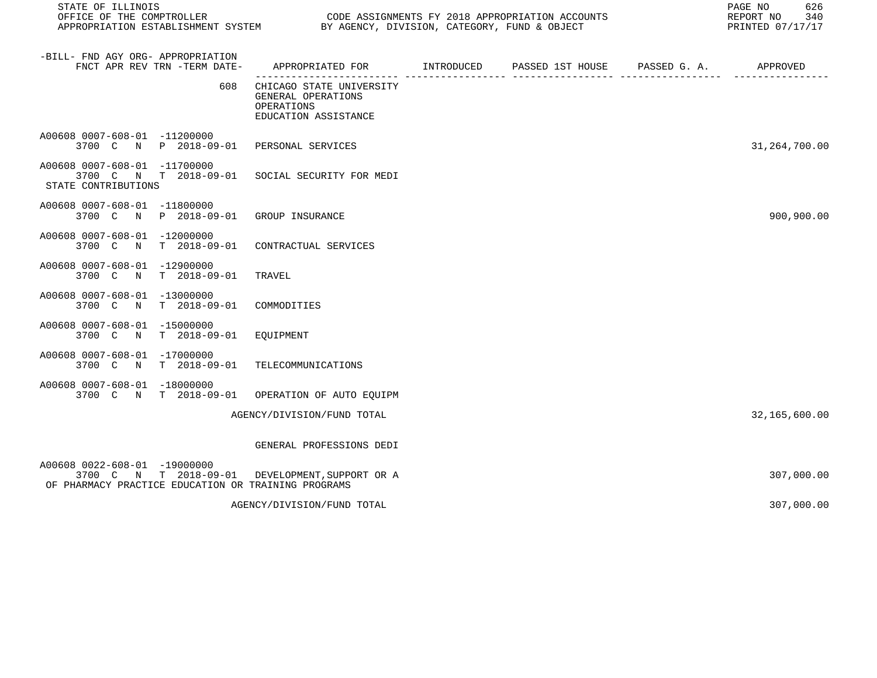| STATE OF ILLINOIS                                                                                                                      |                                                                                              | PAGE NO<br>626<br>REPORT NO<br>340<br>PRINTED 07/17/17 |  |               |
|----------------------------------------------------------------------------------------------------------------------------------------|----------------------------------------------------------------------------------------------|--------------------------------------------------------|--|---------------|
| -BILL- FND AGY ORG- APPROPRIATION<br>FNCT APR REV TRN -TERM DATE-                                                                      | APPROPRIATED FOR        INTRODUCED      PASSED 1ST HOUSE      PASSED G. A.          APPROVED |                                                        |  |               |
| 608                                                                                                                                    | CHICAGO STATE UNIVERSITY<br>GENERAL OPERATIONS<br>OPERATIONS<br>EDUCATION ASSISTANCE         |                                                        |  |               |
| A00608 0007-608-01 -11200000<br>3700 C N P 2018-09-01                                                                                  | PERSONAL SERVICES                                                                            |                                                        |  | 31,264,700.00 |
| A00608 0007-608-01 -11700000<br>3700 C N T 2018-09-01<br>STATE CONTRIBUTIONS                                                           | SOCIAL SECURITY FOR MEDI                                                                     |                                                        |  |               |
| A00608 0007-608-01 -11800000<br>3700 C N P 2018-09-01                                                                                  | GROUP INSURANCE                                                                              |                                                        |  | 900,900.00    |
| A00608 0007-608-01 -12000000<br>T 2018-09-01<br>3700 C N                                                                               | CONTRACTUAL SERVICES                                                                         |                                                        |  |               |
| A00608 0007-608-01 -12900000<br>$T$ 2018-09-01<br>3700 C N                                                                             | TRAVEL                                                                                       |                                                        |  |               |
| A00608 0007-608-01 -13000000<br>T 2018-09-01<br>3700 C<br>N                                                                            | COMMODITIES                                                                                  |                                                        |  |               |
| A00608 0007-608-01 -15000000<br>3700 C N<br>T 2018-09-01                                                                               | EQUIPMENT                                                                                    |                                                        |  |               |
| A00608 0007-608-01 -17000000<br>3700 C N T 2018-09-01                                                                                  | TELECOMMUNICATIONS                                                                           |                                                        |  |               |
| A00608 0007-608-01 -18000000<br>3700 C N T 2018-09-01 OPERATION OF AUTO EQUIPM                                                         |                                                                                              |                                                        |  |               |
|                                                                                                                                        | AGENCY/DIVISION/FUND TOTAL                                                                   |                                                        |  | 32,165,600.00 |
|                                                                                                                                        | GENERAL PROFESSIONS DEDI                                                                     |                                                        |  |               |
| A00608 0022-608-01 -19000000<br>3700 C N T 2018-09-01 DEVELOPMENT, SUPPORT OR A<br>OF PHARMACY PRACTICE EDUCATION OR TRAINING PROGRAMS |                                                                                              |                                                        |  | 307,000.00    |
|                                                                                                                                        | AGENCY/DIVISION/FUND TOTAL                                                                   |                                                        |  | 307,000.00    |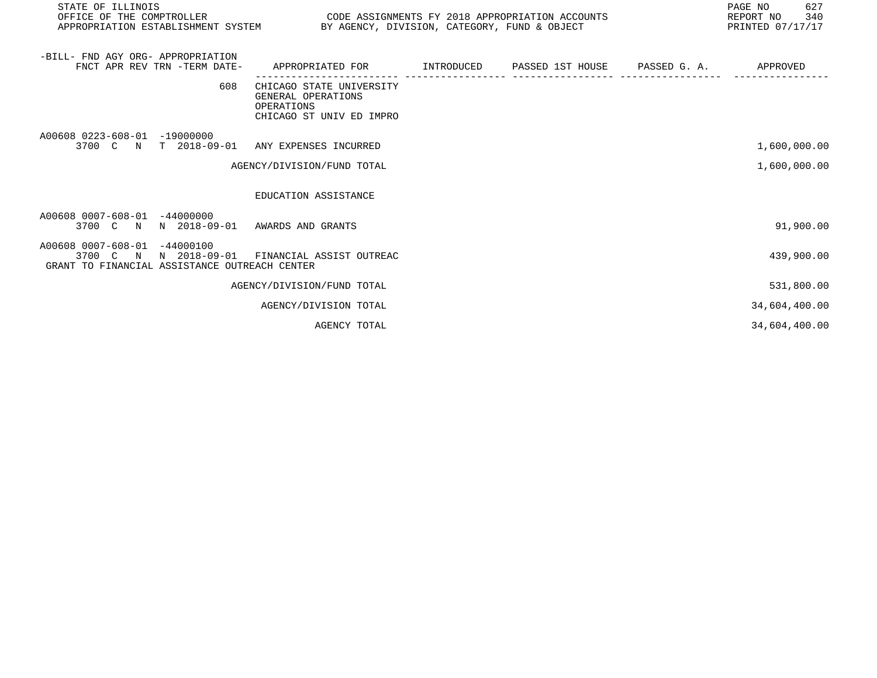| STATE OF ILLINOIS<br>OFFICE OF THE COMPTROLLER<br>APPROPRIATION ESTABLISHMENT SYSTEM BY AGENCY, DIVISION, CATEGORY, FUND & OBJECT | CODE ASSIGNMENTS FY 2018 APPROPRIATION ACCOUNTS                                          | 627<br>PAGE NO<br>340<br>REPORT NO<br>PRINTED 07/17/17 |                               |  |               |
|-----------------------------------------------------------------------------------------------------------------------------------|------------------------------------------------------------------------------------------|--------------------------------------------------------|-------------------------------|--|---------------|
| -BILL- FND AGY ORG- APPROPRIATION<br>FNCT APR REV TRN -TERM DATE-                                                                 | APPROPRIATED FOR                                                                         | INTRODUCED                                             | PASSED 1ST HOUSE PASSED G. A. |  | APPROVED      |
| 608                                                                                                                               | CHICAGO STATE UNIVERSITY<br>GENERAL OPERATIONS<br>OPERATIONS<br>CHICAGO ST UNIV ED IMPRO |                                                        |                               |  |               |
| A00608 0223-608-01 -19000000<br>3700 C N T 2018-09-01 ANY EXPENSES INCURRED                                                       |                                                                                          |                                                        |                               |  | 1,600,000.00  |
|                                                                                                                                   | AGENCY/DIVISION/FUND TOTAL                                                               |                                                        |                               |  | 1,600,000.00  |
|                                                                                                                                   | EDUCATION ASSISTANCE                                                                     |                                                        |                               |  |               |
| A00608 0007-608-01 -44000000<br>3700 C N N 2018-09-01 AWARDS AND GRANTS                                                           |                                                                                          |                                                        |                               |  | 91,900.00     |
| A00608 0007-608-01 -44000100<br>3700 C N N 2018-09-01 FINANCIAL ASSIST OUTREAC<br>GRANT TO FINANCIAL ASSISTANCE OUTREACH CENTER   |                                                                                          |                                                        |                               |  | 439,900.00    |
|                                                                                                                                   | AGENCY/DIVISION/FUND TOTAL                                                               |                                                        |                               |  | 531,800.00    |
|                                                                                                                                   | AGENCY/DIVISION TOTAL                                                                    |                                                        |                               |  | 34,604,400.00 |
|                                                                                                                                   | AGENCY TOTAL                                                                             |                                                        |                               |  | 34,604,400.00 |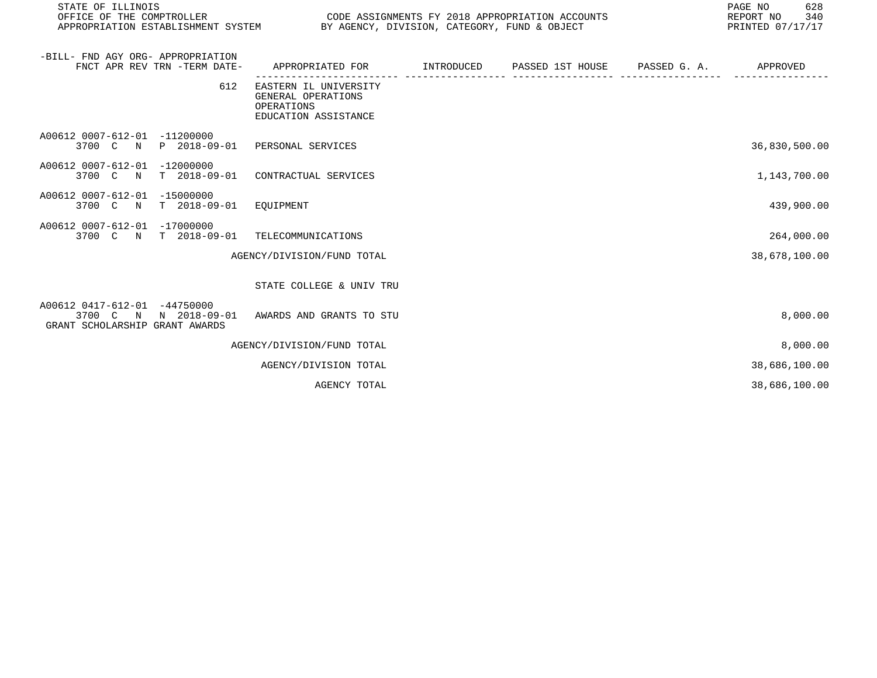| STATE OF ILLINOIS<br>OFFICE OF THE COMPTROLLER<br>CODE ASSIGNMENTS FY 2018 APPROPRIATION ACCOUNTS<br>APPROPRIATION ESTABLISHMENT SYSTEM BY AGENCY, DIVISION, CATEGORY, FUND & OBJECT |                                                                                   |            |                  |              |               |
|--------------------------------------------------------------------------------------------------------------------------------------------------------------------------------------|-----------------------------------------------------------------------------------|------------|------------------|--------------|---------------|
| -BILL- FND AGY ORG- APPROPRIATION<br>FNCT APR REV TRN -TERM DATE-                                                                                                                    | APPROPRIATED FOR                                                                  | INTRODUCED | PASSED 1ST HOUSE | PASSED G. A. | APPROVED      |
| 612                                                                                                                                                                                  | EASTERN IL UNIVERSITY<br>GENERAL OPERATIONS<br>OPERATIONS<br>EDUCATION ASSISTANCE |            |                  |              |               |
| A00612 0007-612-01 -11200000<br>3700 C N P 2018-09-01                                                                                                                                | PERSONAL SERVICES                                                                 |            |                  |              | 36,830,500.00 |
| A00612 0007-612-01 -12000000<br>3700 C N                                                                                                                                             | T 2018-09-01 CONTRACTUAL SERVICES                                                 |            |                  |              | 1,143,700.00  |
| A00612 0007-612-01 -15000000<br>T 2018-09-01 EQUIPMENT<br>3700 C N                                                                                                                   |                                                                                   |            |                  |              | 439,900.00    |
| A00612 0007-612-01 -17000000<br>3700 C N T 2018-09-01                                                                                                                                | TELECOMMUNICATIONS                                                                |            |                  |              | 264,000.00    |
|                                                                                                                                                                                      | AGENCY/DIVISION/FUND TOTAL                                                        |            |                  |              | 38,678,100.00 |
|                                                                                                                                                                                      | STATE COLLEGE & UNIV TRU                                                          |            |                  |              |               |
| A00612 0417-612-01 -44750000<br>3700 C N N 2018-09-01<br>GRANT SCHOLARSHIP GRANT AWARDS                                                                                              | AWARDS AND GRANTS TO STU                                                          |            |                  |              | 8,000.00      |
|                                                                                                                                                                                      | AGENCY/DIVISION/FUND TOTAL                                                        |            |                  |              | 8,000.00      |
|                                                                                                                                                                                      | AGENCY/DIVISION TOTAL                                                             |            |                  |              | 38,686,100.00 |
|                                                                                                                                                                                      | AGENCY TOTAL                                                                      |            |                  |              | 38,686,100.00 |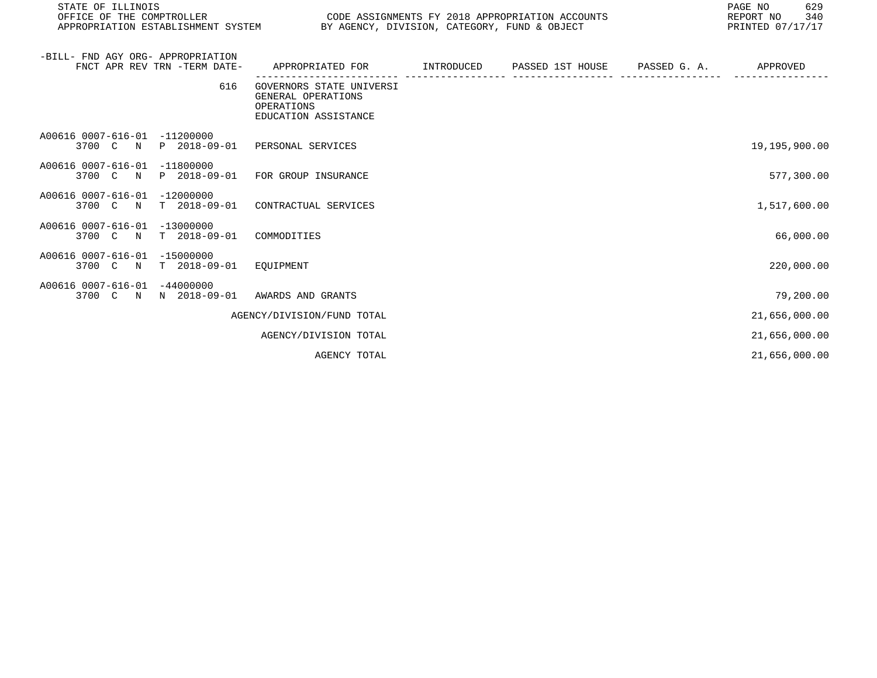| STATE OF ILLINOIS<br>OFFICE OF THE COMPTROLLER<br>CODE ASSIGNMENTS FY 2018 APPROPRIATION ACCOUNTS<br>APPROPRIATION ESTABLISHMENT SYSTEM BY AGENCY, DIVISION, CATEGORY, FUND & OBJECT |                                                                                      |            |                               |  | 629<br>PAGE NO<br>REPORT NO<br>340<br>PRINTED 07/17/17 |
|--------------------------------------------------------------------------------------------------------------------------------------------------------------------------------------|--------------------------------------------------------------------------------------|------------|-------------------------------|--|--------------------------------------------------------|
| -BILL- FND AGY ORG- APPROPRIATION<br>FNCT APR REV TRN -TERM DATE-                                                                                                                    | APPROPRIATED FOR                                                                     | INTRODUCED | PASSED 1ST HOUSE PASSED G. A. |  | APPROVED                                               |
| 616                                                                                                                                                                                  | GOVERNORS STATE UNIVERSI<br>GENERAL OPERATIONS<br>OPERATIONS<br>EDUCATION ASSISTANCE |            |                               |  |                                                        |
| A00616 0007-616-01 -11200000<br>3700 C N P 2018-09-01 PERSONAL SERVICES                                                                                                              |                                                                                      |            |                               |  | 19,195,900.00                                          |
| A00616 0007-616-01 -11800000<br>3700 C N P 2018-09-01 FOR GROUP INSURANCE                                                                                                            |                                                                                      |            |                               |  | 577,300.00                                             |
| A00616 0007-616-01 -12000000<br>3700 C N T 2018-09-01 CONTRACTUAL SERVICES                                                                                                           |                                                                                      |            |                               |  | 1,517,600.00                                           |
| A00616 0007-616-01 -13000000<br>T 2018-09-01 COMMODITIES<br>3700 C N                                                                                                                 |                                                                                      |            |                               |  | 66,000.00                                              |
| A00616 0007-616-01 -15000000<br>3700 C N T 2018-09-01 EQUIPMENT                                                                                                                      |                                                                                      |            |                               |  | 220,000.00                                             |
| A00616 0007-616-01 -44000000<br>3700 C N N 2018-09-01 AWARDS AND GRANTS                                                                                                              |                                                                                      |            |                               |  | 79,200.00                                              |
|                                                                                                                                                                                      | AGENCY/DIVISION/FUND TOTAL                                                           |            |                               |  | 21,656,000.00                                          |
|                                                                                                                                                                                      | AGENCY/DIVISION TOTAL                                                                |            |                               |  | 21,656,000.00                                          |
|                                                                                                                                                                                      | AGENCY TOTAL                                                                         |            |                               |  | 21,656,000.00                                          |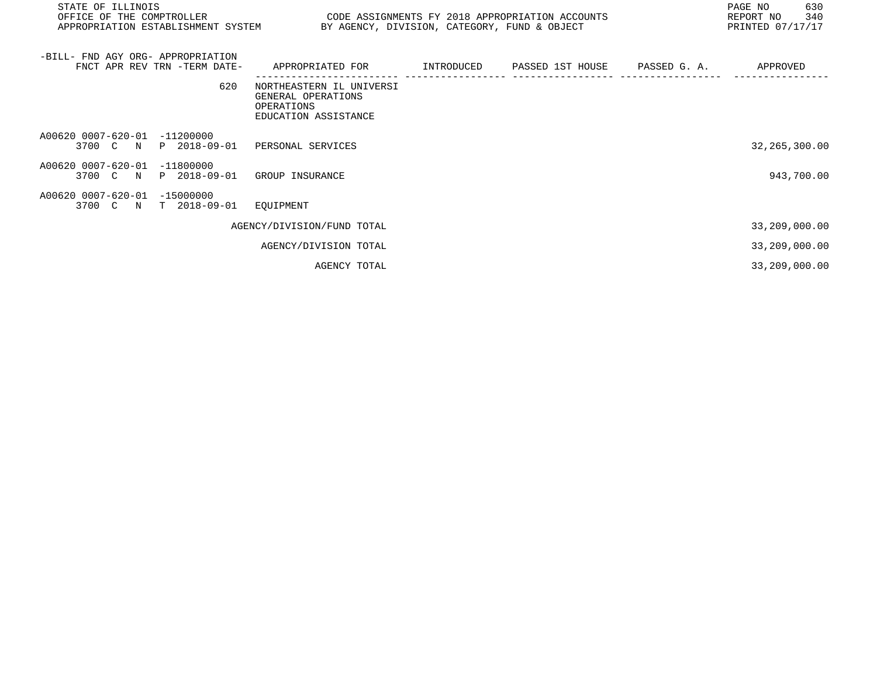| STATE OF ILLINOIS<br>OFFICE OF THE COMPTROLLER                          | PAGE NO<br>CODE ASSIGNMENTS FY 2018 APPROPRIATION ACCOUNTS<br>REPORT NO<br>APPROPRIATION ESTABLISHMENT SYSTEM BY AGENCY, DIVISION, CATEGORY, FUND & OBJECT<br>PRINTED 07/17/17 |  |  |  |                 |
|-------------------------------------------------------------------------|--------------------------------------------------------------------------------------------------------------------------------------------------------------------------------|--|--|--|-----------------|
| -BILL- FND AGY ORG- APPROPRIATION<br>FNCT APR REV TRN -TERM DATE-       | APPROPRIATED FOR          INTRODUCED      PASSED 1ST HOUSE     PASSED G. A.          APPROVED                                                                                  |  |  |  |                 |
| 620                                                                     | NORTHEASTERN IL UNIVERSI<br>GENERAL OPERATIONS<br>OPERATIONS<br>EDUCATION ASSISTANCE                                                                                           |  |  |  |                 |
| A00620 0007-620-01 -11200000<br>3700 C N P 2018-09-01 PERSONAL SERVICES |                                                                                                                                                                                |  |  |  | 32, 265, 300.00 |
| A00620 0007-620-01 -11800000<br>3700 C N P 2018-09-01 GROUP INSURANCE   |                                                                                                                                                                                |  |  |  | 943,700.00      |
| A00620 0007-620-01 -15000000<br>3700 C N T 2018-09-01 EQUIPMENT         |                                                                                                                                                                                |  |  |  |                 |
|                                                                         | AGENCY/DIVISION/FUND TOTAL                                                                                                                                                     |  |  |  | 33,209,000.00   |
|                                                                         | AGENCY/DIVISION TOTAL                                                                                                                                                          |  |  |  | 33,209,000.00   |
|                                                                         | AGENCY TOTAL                                                                                                                                                                   |  |  |  | 33,209,000.00   |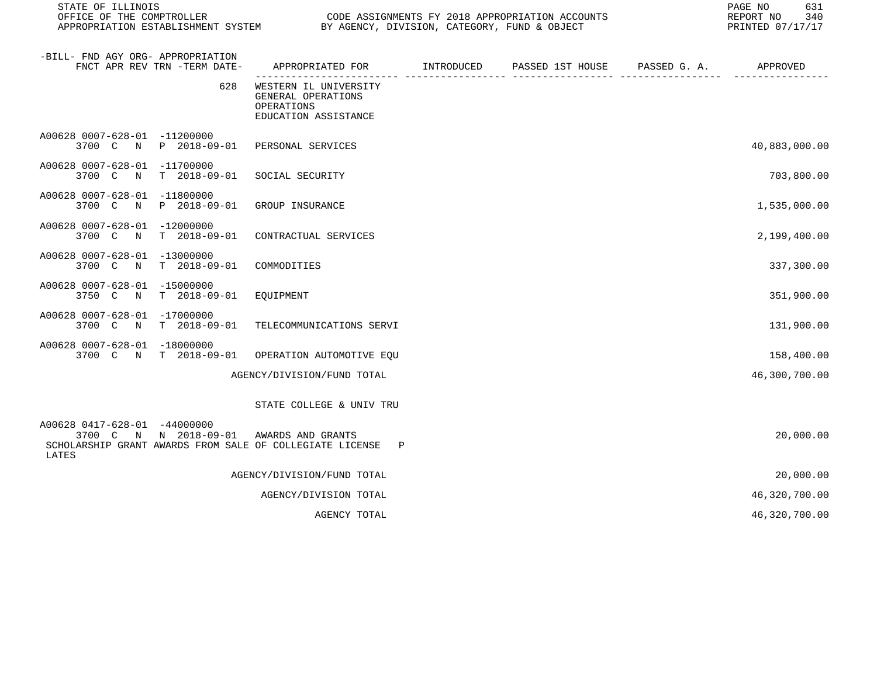| STATE OF ILLINOIS<br>OFFICE OF THE COMPTROLLER<br>APPROPRIATION ESTABLISHMENT SYSTEM                                       | PAGE NO<br>CODE ASSIGNMENTS FY 2018 APPROPRIATION ACCOUNTS<br>REPORT NO<br>BY AGENCY, DIVISION, CATEGORY, FUND & OBJECT<br>PRINTED 07/17/17 |            |                  |              |               |
|----------------------------------------------------------------------------------------------------------------------------|---------------------------------------------------------------------------------------------------------------------------------------------|------------|------------------|--------------|---------------|
| -BILL- FND AGY ORG- APPROPRIATION<br>FNCT APR REV TRN -TERM DATE-                                                          | APPROPRIATED FOR                                                                                                                            | INTRODUCED | PASSED 1ST HOUSE | PASSED G. A. | APPROVED      |
| 628                                                                                                                        | WESTERN IL UNIVERSITY<br>GENERAL OPERATIONS<br>OPERATIONS<br>EDUCATION ASSISTANCE                                                           |            |                  |              |               |
| A00628 0007-628-01 -11200000<br>3700 C N P 2018-09-01                                                                      | PERSONAL SERVICES                                                                                                                           |            |                  |              | 40,883,000.00 |
| A00628 0007-628-01 -11700000<br>3700 C<br>$\mathbb N$<br>T 2018-09-01                                                      | SOCIAL SECURITY                                                                                                                             |            |                  |              | 703,800.00    |
| A00628 0007-628-01 -11800000<br>P 2018-09-01<br>3700 C N                                                                   | GROUP INSURANCE                                                                                                                             |            |                  |              | 1,535,000.00  |
| A00628 0007-628-01 -12000000<br>3700 C N T 2018-09-01                                                                      | CONTRACTUAL SERVICES                                                                                                                        |            |                  |              | 2,199,400.00  |
| A00628 0007-628-01 -13000000<br>$T = 2018 - 09 - 01$<br>3700 C N                                                           | COMMODITIES                                                                                                                                 |            |                  |              | 337,300.00    |
| A00628 0007-628-01 -15000000<br>3750 C N<br>T 2018-09-01                                                                   | EQUIPMENT                                                                                                                                   |            |                  |              | 351,900.00    |
| A00628 0007-628-01 -17000000<br>$T = 2018 - 09 - 01$<br>3700 C N                                                           | TELECOMMUNICATIONS SERVI                                                                                                                    |            |                  |              | 131,900.00    |
| A00628 0007-628-01 -18000000<br>3700 C N T 2018-09-01                                                                      | OPERATION AUTOMOTIVE EQU                                                                                                                    |            |                  |              | 158,400.00    |
|                                                                                                                            | AGENCY/DIVISION/FUND TOTAL                                                                                                                  |            |                  |              | 46,300,700.00 |
|                                                                                                                            | STATE COLLEGE & UNIV TRU                                                                                                                    |            |                  |              |               |
| A00628 0417-628-01 -44000000<br>3700 C N N 2018-09-01<br>SCHOLARSHIP GRANT AWARDS FROM SALE OF COLLEGIATE LICENSE<br>LATES | AWARDS AND GRANTS<br>$\mathbf{P}$                                                                                                           |            |                  |              | 20,000.00     |
|                                                                                                                            | AGENCY/DIVISION/FUND TOTAL                                                                                                                  |            |                  |              | 20,000.00     |
|                                                                                                                            | AGENCY/DIVISION TOTAL                                                                                                                       |            |                  |              | 46,320,700.00 |
|                                                                                                                            | AGENCY TOTAL                                                                                                                                |            |                  |              | 46,320,700.00 |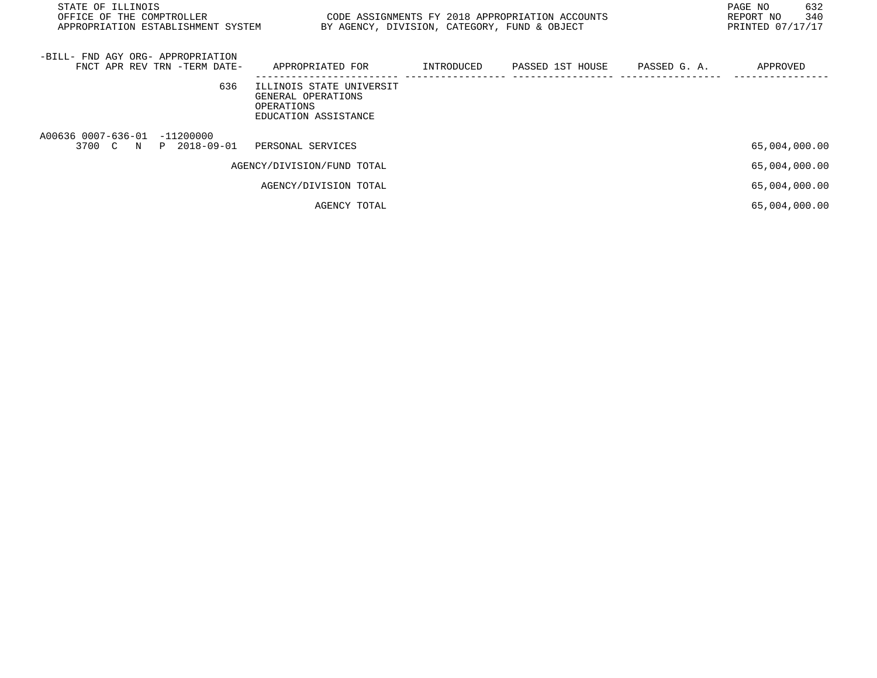| STATE OF ILLINOIS<br>OFFICE OF THE COMPTROLLER<br>APPROPRIATION ESTABLISHMENT SYSTEM | CODE ASSIGNMENTS FY 2018 APPROPRIATION ACCOUNTS                                      | BY AGENCY, DIVISION, CATEGORY, FUND & OBJECT |                  |              | 632<br>PAGE NO<br>340<br>REPORT NO<br>PRINTED 07/17/17 |
|--------------------------------------------------------------------------------------|--------------------------------------------------------------------------------------|----------------------------------------------|------------------|--------------|--------------------------------------------------------|
| -BILL- FND AGY ORG- APPROPRIATION<br>FNCT APR REV TRN -TERM DATE-                    | APPROPRIATED FOR                                                                     | INTRODUCED                                   | PASSED 1ST HOUSE | PASSED G. A. | APPROVED                                               |
| 636                                                                                  | ILLINOIS STATE UNIVERSIT<br>GENERAL OPERATIONS<br>OPERATIONS<br>EDUCATION ASSISTANCE |                                              |                  |              |                                                        |
| A00636 0007-636-01 -11200000<br>3700 C N P 2018-09-01                                | PERSONAL SERVICES                                                                    |                                              |                  |              | 65,004,000.00                                          |
|                                                                                      | AGENCY/DIVISION/FUND TOTAL                                                           |                                              |                  |              | 65,004,000.00                                          |
|                                                                                      | AGENCY/DIVISION TOTAL                                                                |                                              |                  |              | 65,004,000.00                                          |
|                                                                                      | AGENCY TOTAL                                                                         |                                              |                  |              | 65,004,000.00                                          |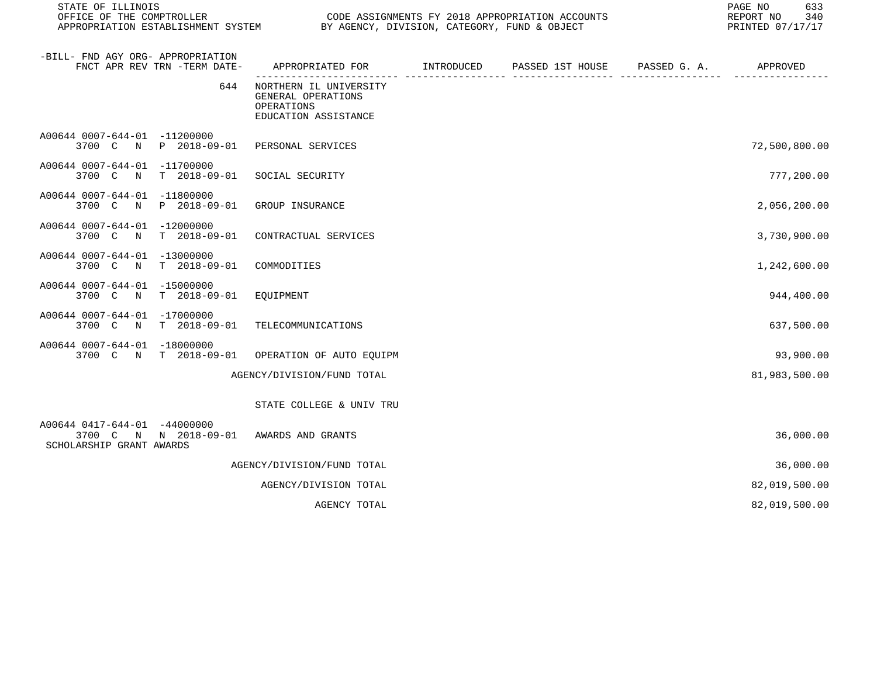| STATE OF ILLINOIS<br>OFFICE OF THE COMPTROLLER<br>APPROPRIATION ESTABLISHMENT SYSTEM |                                                                                    | CODE ASSIGNMENTS FY 2018 APPROPRIATION ACCOUNTS<br>BY AGENCY, DIVISION, CATEGORY, FUND & OBJECT |                  |              | PAGE NO<br>633<br>340<br>REPORT NO<br>PRINTED 07/17/17 |
|--------------------------------------------------------------------------------------|------------------------------------------------------------------------------------|-------------------------------------------------------------------------------------------------|------------------|--------------|--------------------------------------------------------|
| -BILL- FND AGY ORG- APPROPRIATION<br>FNCT APR REV TRN -TERM DATE-                    | APPROPRIATED FOR                                                                   | INTRODUCED                                                                                      | PASSED 1ST HOUSE | PASSED G. A. | APPROVED                                               |
| 644                                                                                  | NORTHERN IL UNIVERSITY<br>GENERAL OPERATIONS<br>OPERATIONS<br>EDUCATION ASSISTANCE |                                                                                                 |                  |              |                                                        |
| A00644 0007-644-01 -11200000<br>3700 C N<br>P 2018-09-01                             | PERSONAL SERVICES                                                                  |                                                                                                 |                  |              | 72,500,800.00                                          |
| A00644 0007-644-01 -11700000<br>3700 C N T 2018-09-01                                | SOCIAL SECURITY                                                                    |                                                                                                 |                  |              | 777,200.00                                             |
| A00644 0007-644-01 -11800000<br>3700 C N P 2018-09-01                                | GROUP INSURANCE                                                                    |                                                                                                 |                  |              | 2,056,200.00                                           |
| A00644 0007-644-01 -12000000<br>T 2018-09-01<br>3700 C N                             | CONTRACTUAL SERVICES                                                               |                                                                                                 |                  |              | 3,730,900.00                                           |
| A00644 0007-644-01 -13000000<br>$T = 2018 - 09 - 01$<br>3700 C N                     | COMMODITIES                                                                        |                                                                                                 |                  |              | 1,242,600.00                                           |
| A00644 0007-644-01 -15000000<br>3700 C<br>$\mathbb N$<br>T 2018-09-01                | EQUIPMENT                                                                          |                                                                                                 |                  |              | 944,400.00                                             |
| A00644 0007-644-01 -17000000<br>3700 C N T 2018-09-01                                | TELECOMMUNICATIONS                                                                 |                                                                                                 |                  |              | 637,500.00                                             |
| A00644 0007-644-01 -18000000<br>3700 C N T 2018-09-01                                | OPERATION OF AUTO EQUIPM                                                           |                                                                                                 |                  |              | 93,900.00                                              |
|                                                                                      | AGENCY/DIVISION/FUND TOTAL                                                         |                                                                                                 |                  |              | 81,983,500.00                                          |
|                                                                                      | STATE COLLEGE & UNIV TRU                                                           |                                                                                                 |                  |              |                                                        |
| A00644 0417-644-01 -44000000<br>3700 C N N 2018-09-01<br>SCHOLARSHIP GRANT AWARDS    | AWARDS AND GRANTS                                                                  |                                                                                                 |                  |              | 36,000.00                                              |
|                                                                                      | AGENCY/DIVISION/FUND TOTAL                                                         |                                                                                                 |                  |              | 36,000.00                                              |
|                                                                                      | AGENCY/DIVISION TOTAL                                                              |                                                                                                 |                  |              | 82,019,500.00                                          |
|                                                                                      | AGENCY TOTAL                                                                       |                                                                                                 |                  |              | 82,019,500.00                                          |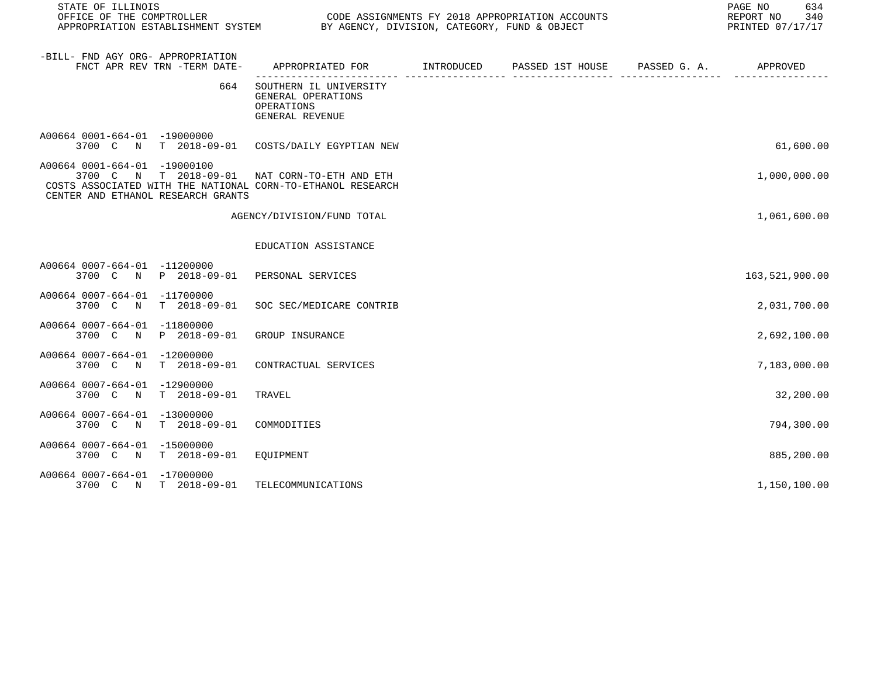| STATE OF ILLINOIS<br>OFFICE OF THE COMPTROLLER<br>APPROPRIATION ESTABLISHMENT SYSTEM BY AGENCY, DIVISION, CATEGORY, FUND & OBJECT                                                  | CODE ASSIGNMENTS FY 2018 APPROPRIATION ACCOUNTS                                          | 634<br>PAGE NO<br>340<br>REPORT NO<br>PRINTED 07/17/17 |  |                |
|------------------------------------------------------------------------------------------------------------------------------------------------------------------------------------|------------------------------------------------------------------------------------------|--------------------------------------------------------|--|----------------|
| -BILL- FND AGY ORG- APPROPRIATION<br>FNCT APR REV TRN -TERM DATE-                                                                                                                  | APPROPRIATED FOR        INTRODUCED     PASSED 1ST HOUSE     PASSED G. A.        APPROVED |                                                        |  |                |
| 664                                                                                                                                                                                | SOUTHERN IL UNIVERSITY<br>GENERAL OPERATIONS<br>OPERATIONS<br>GENERAL REVENUE            |                                                        |  |                |
| A00664 0001-664-01 -19000000<br>3700 C N T 2018-09-01 COSTS/DAILY EGYPTIAN NEW                                                                                                     |                                                                                          |                                                        |  | 61,600.00      |
| A00664 0001-664-01 -19000100<br>3700 C N T 2018-09-01 NAT CORN-TO-ETH AND ETH<br>COSTS ASSOCIATED WITH THE NATIONAL CORN-TO-ETHANOL RESEARCH<br>CENTER AND ETHANOL RESEARCH GRANTS |                                                                                          |                                                        |  | 1,000,000.00   |
|                                                                                                                                                                                    | AGENCY/DIVISION/FUND TOTAL                                                               |                                                        |  | 1,061,600.00   |
|                                                                                                                                                                                    | EDUCATION ASSISTANCE                                                                     |                                                        |  |                |
| A00664 0007-664-01 -11200000<br>3700 C N P 2018-09-01 PERSONAL SERVICES                                                                                                            |                                                                                          |                                                        |  | 163,521,900.00 |
| A00664 0007-664-01 -11700000<br>T 2018-09-01<br>3700 C N                                                                                                                           | SOC SEC/MEDICARE CONTRIB                                                                 |                                                        |  | 2,031,700.00   |
| A00664 0007-664-01 -11800000<br>P 2018-09-01<br>3700 C N                                                                                                                           | GROUP INSURANCE                                                                          |                                                        |  | 2,692,100.00   |
| A00664 0007-664-01 -12000000<br>3700 C N T 2018-09-01                                                                                                                              | CONTRACTUAL SERVICES                                                                     |                                                        |  | 7,183,000.00   |
| A00664 0007-664-01 -12900000<br>$T = 2018 - 09 - 01$<br>3700 C N                                                                                                                   | TRAVEL                                                                                   |                                                        |  | 32,200.00      |
| A00664 0007-664-01 -13000000<br>3700 C N<br>T 2018-09-01                                                                                                                           | COMMODITIES                                                                              |                                                        |  | 794,300.00     |
| A00664 0007-664-01 -15000000<br>3700 C N<br>T 2018-09-01                                                                                                                           | EOUIPMENT                                                                                |                                                        |  | 885,200.00     |
| A00664 0007-664-01 -17000000<br>3700 C N T 2018-09-01                                                                                                                              | TELECOMMUNICATIONS                                                                       |                                                        |  | 1,150,100.00   |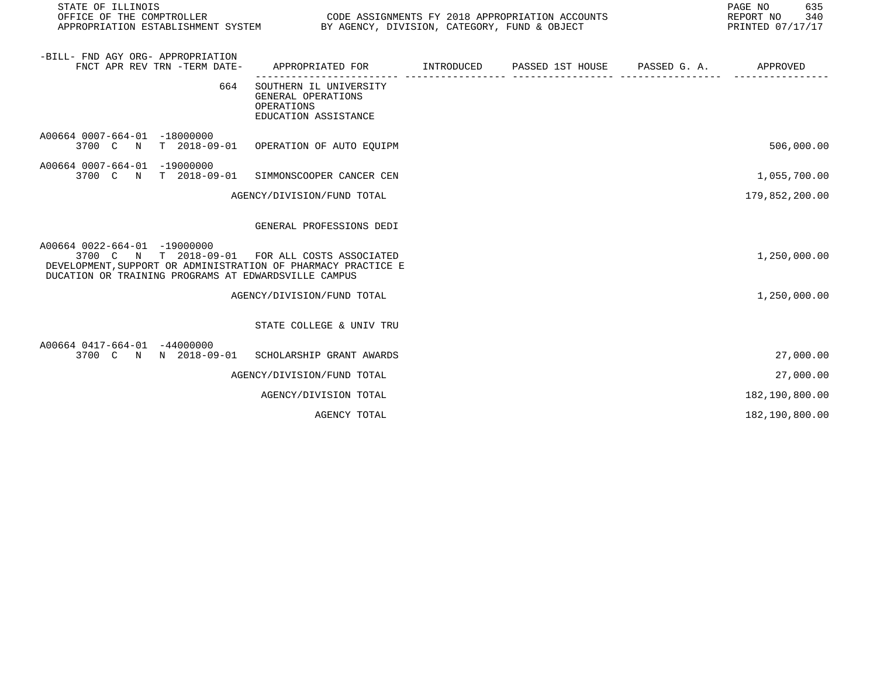| STATE OF ILLINOIS<br>CODE ASSIGNMENTS FY 2018 APPROPRIATION ACCOUNTS<br>OFFICE OF THE COMPTROLLER<br>APPROPRIATION ESTABLISHMENT SYSTEM BY AGENCY, DIVISION, CATEGORY, FUND & OBJECT                    |                                                                                           |  |  |  | 635<br>PAGE NO<br>REPORT NO<br>340<br>PRINTED 07/17/17 |  |
|---------------------------------------------------------------------------------------------------------------------------------------------------------------------------------------------------------|-------------------------------------------------------------------------------------------|--|--|--|--------------------------------------------------------|--|
| -BILL- FND AGY ORG- APPROPRIATION<br>FNCT APR REV TRN -TERM DATE-                                                                                                                                       | APPROPRIATED FOR        INTRODUCED     PASSED 1ST HOUSE     PASSED G. A.         APPROVED |  |  |  |                                                        |  |
| 664                                                                                                                                                                                                     | SOUTHERN IL UNIVERSITY<br>GENERAL OPERATIONS<br>OPERATIONS<br>EDUCATION ASSISTANCE        |  |  |  |                                                        |  |
| A00664 0007-664-01 -18000000<br>3700 C N T 2018-09-01 OPERATION OF AUTO EQUIPM                                                                                                                          |                                                                                           |  |  |  | 506,000.00                                             |  |
| A00664 0007-664-01 -19000000<br>3700 C N T 2018-09-01 SIMMONSCOOPER CANCER CEN                                                                                                                          |                                                                                           |  |  |  | 1,055,700.00                                           |  |
|                                                                                                                                                                                                         | AGENCY/DIVISION/FUND TOTAL                                                                |  |  |  | 179,852,200.00                                         |  |
|                                                                                                                                                                                                         | GENERAL PROFESSIONS DEDI                                                                  |  |  |  |                                                        |  |
| A00664 0022-664-01 -19000000<br>3700 C N T 2018-09-01 FOR ALL COSTS ASSOCIATED<br>DEVELOPMENT, SUPPORT OR ADMINISTRATION OF PHARMACY PRACTICE E<br>DUCATION OR TRAINING PROGRAMS AT EDWARDSVILLE CAMPUS |                                                                                           |  |  |  | 1,250,000.00                                           |  |
|                                                                                                                                                                                                         | AGENCY/DIVISION/FUND TOTAL                                                                |  |  |  | 1,250,000.00                                           |  |
|                                                                                                                                                                                                         | STATE COLLEGE & UNIV TRU                                                                  |  |  |  |                                                        |  |
| A00664 0417-664-01 -44000000<br>3700 C N N 2018-09-01 SCHOLARSHIP GRANT AWARDS                                                                                                                          |                                                                                           |  |  |  | 27,000.00                                              |  |
|                                                                                                                                                                                                         | AGENCY/DIVISION/FUND TOTAL                                                                |  |  |  | 27,000.00                                              |  |
|                                                                                                                                                                                                         | AGENCY/DIVISION TOTAL                                                                     |  |  |  | 182,190,800.00                                         |  |
|                                                                                                                                                                                                         | AGENCY TOTAL                                                                              |  |  |  | 182,190,800.00                                         |  |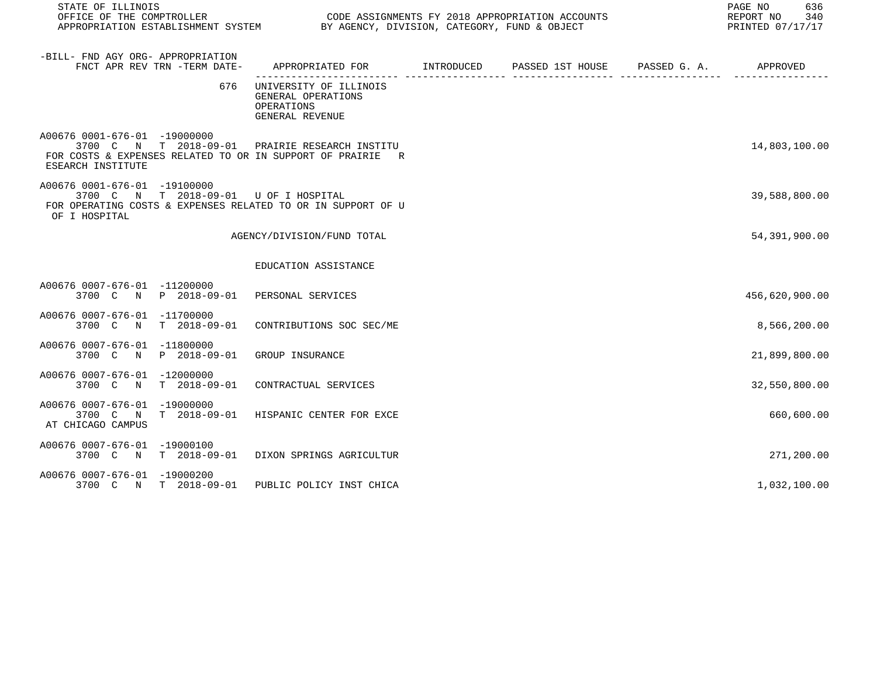| STATE OF ILLINOIS<br>OFFICE OF THE COMPTROLLER                    |     | CODE ASSIGNMENTS FY 2018 APPROPRIATION ACCOUNTS<br>APPROPRIATION ESTABLISHMENT SYSTEM BY AGENCY, DIVISION, CATEGORY, FUND & OBJECT<br>PRINTED 07/17/17 |  |  |  |                |
|-------------------------------------------------------------------|-----|--------------------------------------------------------------------------------------------------------------------------------------------------------|--|--|--|----------------|
| -BILL- FND AGY ORG- APPROPRIATION<br>FNCT APR REV TRN -TERM DATE- |     | APPROPRIATED FOR        INTRODUCED      PASSED 1ST HOUSE      PASSED G. A.          APPROVED                                                           |  |  |  |                |
|                                                                   | 676 | UNIVERSITY OF ILLINOIS<br>GENERAL OPERATIONS<br>OPERATIONS<br>GENERAL REVENUE                                                                          |  |  |  |                |
| A00676 0001-676-01 -19000000<br>ESEARCH INSTITUTE                 |     | 3700 C N T 2018-09-01 PRAIRIE RESEARCH INSTITU<br>FOR COSTS & EXPENSES RELATED TO OR IN SUPPORT OF PRAIRIE R                                           |  |  |  | 14,803,100.00  |
| A00676 0001-676-01 -19100000<br>OF I HOSPITAL                     |     | 3700 C N T 2018-09-01 U OF I HOSPITAL<br>FOR OPERATING COSTS & EXPENSES RELATED TO OR IN SUPPORT OF U                                                  |  |  |  | 39,588,800.00  |
|                                                                   |     | AGENCY/DIVISION/FUND TOTAL                                                                                                                             |  |  |  | 54,391,900.00  |
|                                                                   |     | EDUCATION ASSISTANCE                                                                                                                                   |  |  |  |                |
| A00676 0007-676-01 -11200000                                      |     | 3700 C N P 2018-09-01 PERSONAL SERVICES                                                                                                                |  |  |  | 456,620,900.00 |
| A00676 0007-676-01 -11700000                                      |     | 3700 C N T 2018-09-01 CONTRIBUTIONS SOC SEC/ME                                                                                                         |  |  |  | 8,566,200.00   |
| A00676 0007-676-01 -11800000<br>3700 C N P 2018-09-01             |     | GROUP INSURANCE                                                                                                                                        |  |  |  | 21,899,800.00  |
| A00676 0007-676-01 -12000000                                      |     | 3700 C N T 2018-09-01 CONTRACTUAL SERVICES                                                                                                             |  |  |  | 32,550,800.00  |
| A00676 0007-676-01 -19000000<br>3700 C<br>AT CHICAGO CAMPUS       |     | N T 2018-09-01 HISPANIC CENTER FOR EXCE                                                                                                                |  |  |  | 660,600.00     |
| A00676 0007-676-01 -19000100                                      |     | 3700 C N T 2018-09-01 DIXON SPRINGS AGRICULTUR                                                                                                         |  |  |  | 271,200.00     |
| A00676 0007-676-01 -19000200                                      |     | 3700 C N T 2018-09-01 PUBLIC POLICY INST CHICA                                                                                                         |  |  |  | 1,032,100.00   |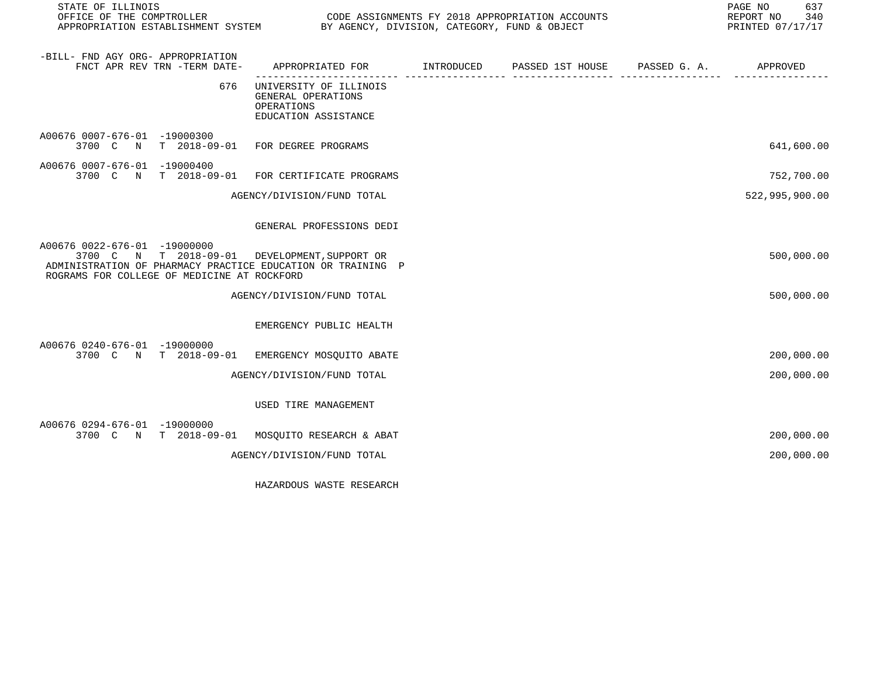| STATE OF ILLINOIS                                                                                                                                                                           |                                                                                            |  | PAGE NO<br>637<br>REPORT NO 340<br>PRINTED 07/17/17 |
|---------------------------------------------------------------------------------------------------------------------------------------------------------------------------------------------|--------------------------------------------------------------------------------------------|--|-----------------------------------------------------|
| -BILL- FND AGY ORG- APPROPRIATION<br>FNCT APR REV TRN -TERM DATE-                                                                                                                           | APPROPRIATED FOR         INTRODUCED      PASSED 1ST HOUSE     PASSED G. A.        APPROVED |  |                                                     |
| 676                                                                                                                                                                                         | UNIVERSITY OF ILLINOIS<br>GENERAL OPERATIONS<br>OPERATIONS<br>EDUCATION ASSISTANCE         |  |                                                     |
| A00676 0007-676-01 -19000300<br>3700 C N T 2018-09-01 FOR DEGREE PROGRAMS                                                                                                                   |                                                                                            |  | 641,600.00                                          |
| A00676 0007-676-01 -19000400<br>3700 C N T 2018-09-01 FOR CERTIFICATE PROGRAMS                                                                                                              |                                                                                            |  | 752,700.00                                          |
|                                                                                                                                                                                             | AGENCY/DIVISION/FUND TOTAL                                                                 |  | 522,995,900.00                                      |
|                                                                                                                                                                                             | GENERAL PROFESSIONS DEDI                                                                   |  |                                                     |
| A00676 0022-676-01 -19000000<br>3700 C N T 2018-09-01 DEVELOPMENT, SUPPORT OR<br>ADMINISTRATION OF PHARMACY PRACTICE EDUCATION OR TRAINING P<br>ROGRAMS FOR COLLEGE OF MEDICINE AT ROCKFORD |                                                                                            |  | 500,000.00                                          |
|                                                                                                                                                                                             | AGENCY/DIVISION/FUND TOTAL                                                                 |  | 500,000.00                                          |
|                                                                                                                                                                                             | EMERGENCY PUBLIC HEALTH                                                                    |  |                                                     |
| A00676 0240-676-01 -19000000<br>3700 C N T 2018-09-01                                                                                                                                       | EMERGENCY MOSQUITO ABATE                                                                   |  | 200,000.00                                          |
|                                                                                                                                                                                             | AGENCY/DIVISION/FUND TOTAL                                                                 |  | 200,000.00                                          |
|                                                                                                                                                                                             | USED TIRE MANAGEMENT                                                                       |  |                                                     |
| A00676 0294-676-01 -19000000<br>3700 C N T 2018-09-01 MOSQUITO RESEARCH & ABAT                                                                                                              |                                                                                            |  | 200,000.00                                          |
|                                                                                                                                                                                             | AGENCY/DIVISION/FUND TOTAL                                                                 |  | 200,000.00                                          |
|                                                                                                                                                                                             |                                                                                            |  |                                                     |

HAZARDOUS WASTE RESEARCH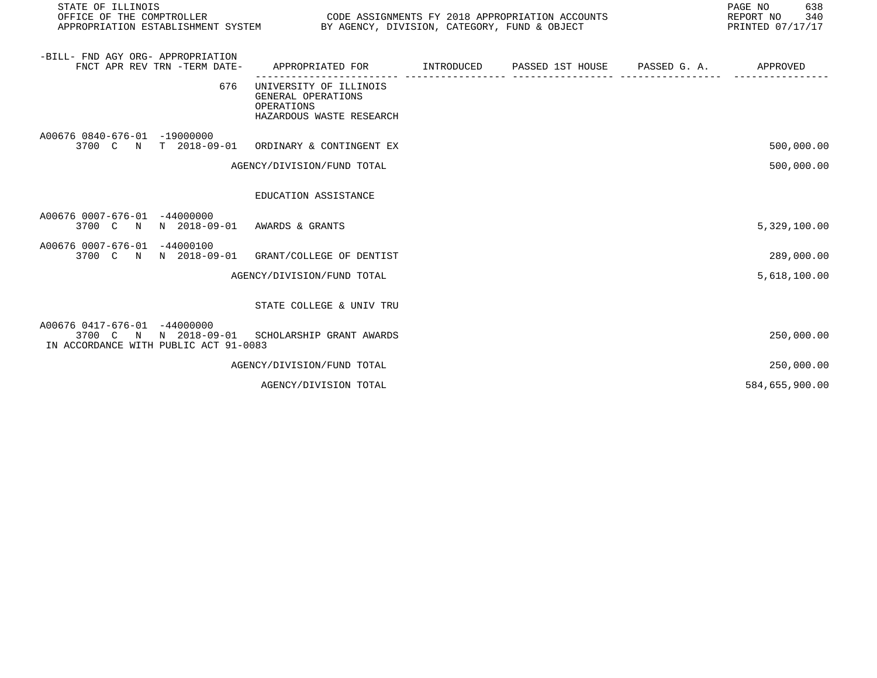| STATE OF ILLINOIS<br>OFFICE OF THE COMPTROLLER<br>APPROPRIATION ESTABLISHMENT SYSTEM BY AGENCY, DIVISION, CATEGORY, FUND & OBJECT |                                                                                        |                   | CODE ASSIGNMENTS FY 2018 APPROPRIATION ACCOUNTS |              | PAGE NO<br>638<br>REPORT NO<br>340<br>PRINTED 07/17/17 |
|-----------------------------------------------------------------------------------------------------------------------------------|----------------------------------------------------------------------------------------|-------------------|-------------------------------------------------|--------------|--------------------------------------------------------|
| -BILL- FND AGY ORG- APPROPRIATION<br>FNCT APR REV TRN -TERM DATE-                                                                 | APPROPRIATED FOR                                                                       | <b>INTRODUCED</b> | PASSED 1ST HOUSE                                | PASSED G. A. | APPROVED                                               |
| 676                                                                                                                               | UNIVERSITY OF ILLINOIS<br>GENERAL OPERATIONS<br>OPERATIONS<br>HAZARDOUS WASTE RESEARCH |                   |                                                 |              |                                                        |
| A00676 0840-676-01 -19000000<br>3700 C N T 2018-09-01                                                                             | ORDINARY & CONTINGENT EX                                                               |                   |                                                 |              | 500,000.00                                             |
|                                                                                                                                   | AGENCY/DIVISION/FUND TOTAL                                                             |                   |                                                 |              | 500,000.00                                             |
|                                                                                                                                   | EDUCATION ASSISTANCE                                                                   |                   |                                                 |              |                                                        |
| A00676 0007-676-01 -44000000<br>N 2018-09-01<br>3700 C<br>N                                                                       | AWARDS & GRANTS                                                                        |                   |                                                 |              | 5,329,100.00                                           |
| A00676 0007-676-01 -44000100<br>3700 C N N 2018-09-01                                                                             | GRANT/COLLEGE OF DENTIST                                                               |                   |                                                 |              | 289,000.00                                             |
|                                                                                                                                   | AGENCY/DIVISION/FUND TOTAL                                                             |                   |                                                 |              | 5,618,100.00                                           |
|                                                                                                                                   | STATE COLLEGE & UNIV TRU                                                               |                   |                                                 |              |                                                        |
| A00676 0417-676-01<br>$-44000000$<br>3700 C N N 2018-09-01 SCHOLARSHIP GRANT AWARDS<br>IN ACCORDANCE WITH PUBLIC ACT 91-0083      |                                                                                        |                   |                                                 |              | 250,000.00                                             |
|                                                                                                                                   | AGENCY/DIVISION/FUND TOTAL                                                             |                   |                                                 |              | 250,000.00                                             |
|                                                                                                                                   | AGENCY/DIVISION TOTAL                                                                  |                   |                                                 |              | 584,655,900.00                                         |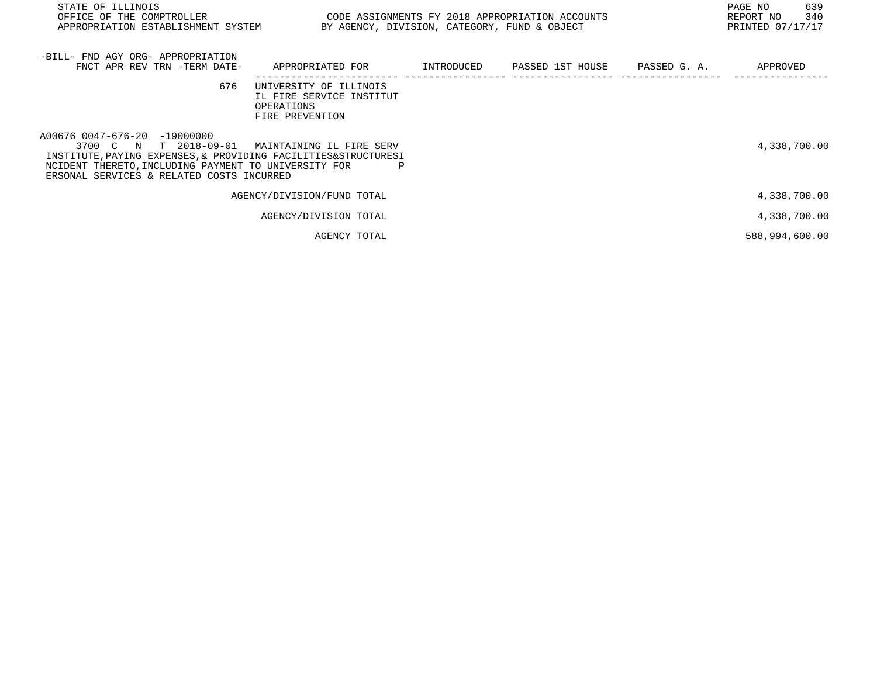| STATE OF ILLINOIS<br>OFFICE OF THE COMPTROLLER<br>APPROPRIATION ESTABLISHMENT SYSTEM                                                                                                                                         | CODE ASSIGNMENTS FY 2018 APPROPRIATION ACCOUNTS<br>BY AGENCY, DIVISION, CATEGORY, FUND & OBJECT |            |                               | PAGE NO<br>639<br>340<br>REPORT NO<br>PRINTED 07/17/17 |
|------------------------------------------------------------------------------------------------------------------------------------------------------------------------------------------------------------------------------|-------------------------------------------------------------------------------------------------|------------|-------------------------------|--------------------------------------------------------|
| -BILL- FND AGY ORG- APPROPRIATION<br>FNCT APR REV TRN -TERM DATE-                                                                                                                                                            | APPROPRIATED FOR                                                                                | INTRODUCED | PASSED 1ST HOUSE PASSED G. A. | APPROVED                                               |
| 676                                                                                                                                                                                                                          | UNIVERSITY OF ILLINOIS<br>IL FIRE SERVICE INSTITUT<br>OPERATIONS<br>FIRE PREVENTION             |            |                               |                                                        |
| A00676 0047-676-20 -19000000<br>3700 C N T 2018-09-01<br>INSTITUTE, PAYING EXPENSES, & PROVIDING FACILITIES&STRUCTURESI<br>NCIDENT THERETO, INCLUDING PAYMENT TO UNIVERSITY FOR<br>ERSONAL SERVICES & RELATED COSTS INCURRED | MAINTAINING IL FIRE SERV                                                                        |            |                               | 4,338,700.00                                           |
|                                                                                                                                                                                                                              | AGENCY/DIVISION/FUND TOTAL                                                                      |            |                               | 4,338,700.00                                           |
|                                                                                                                                                                                                                              | AGENCY/DIVISION TOTAL                                                                           |            |                               | 4,338,700.00                                           |
|                                                                                                                                                                                                                              | AGENCY TOTAL                                                                                    |            |                               | 588,994,600.00                                         |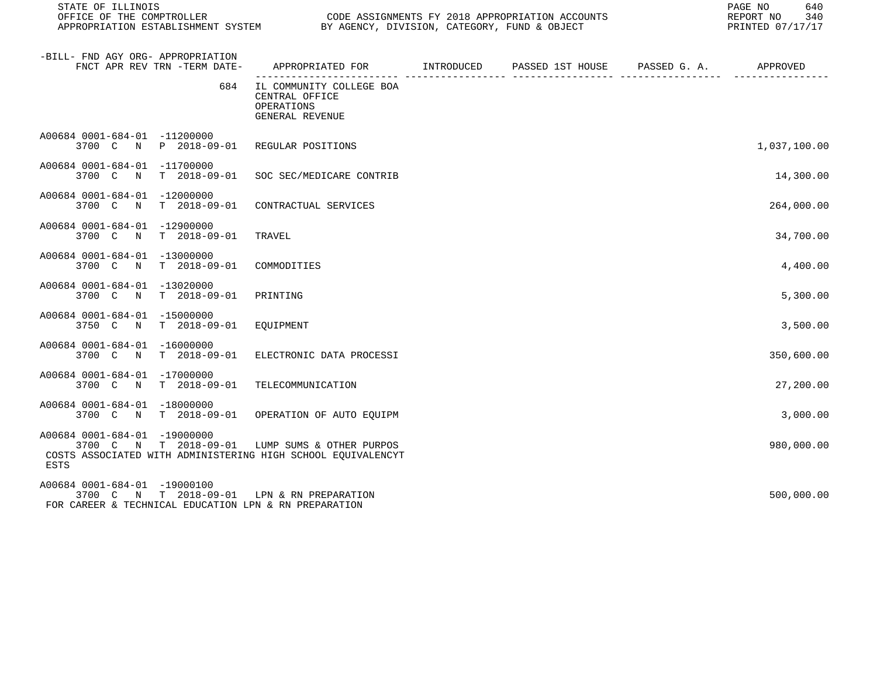| STATE OF ILLINOIS                                                                                                                                      |                                                                                            |  | PAGE NO<br>640<br>REPORT NO 340<br>PRINTED 07/17/17 |  |
|--------------------------------------------------------------------------------------------------------------------------------------------------------|--------------------------------------------------------------------------------------------|--|-----------------------------------------------------|--|
| -BILL- FND AGY ORG- APPROPRIATION<br>FNCT APR REV TRN -TERM DATE-                                                                                      | APPROPRIATED FOR        INTRODUCED      PASSED 1ST HOUSE     PASSED G. A.         APPROVED |  |                                                     |  |
| 684                                                                                                                                                    | IL COMMUNITY COLLEGE BOA<br>CENTRAL OFFICE<br>OPERATIONS<br>GENERAL REVENUE                |  |                                                     |  |
| A00684 0001-684-01 -11200000<br>3700 C N P 2018-09-01 REGULAR POSITIONS                                                                                |                                                                                            |  | 1,037,100.00                                        |  |
| A00684 0001-684-01 -11700000<br>3700 C N T 2018-09-01 SOC SEC/MEDICARE CONTRIB                                                                         |                                                                                            |  | 14,300.00                                           |  |
| A00684 0001-684-01 -12000000<br>3700 C N T 2018-09-01                                                                                                  | CONTRACTUAL SERVICES                                                                       |  | 264,000.00                                          |  |
| A00684 0001-684-01 -12900000<br>3700 C N T 2018-09-01                                                                                                  | TRAVEL                                                                                     |  | 34,700.00                                           |  |
| A00684 0001-684-01 -13000000<br>3700 C N T 2018-09-01                                                                                                  | COMMODITIES                                                                                |  | 4,400.00                                            |  |
| A00684 0001-684-01 -13020000<br>3700 C N T 2018-09-01 PRINTING                                                                                         |                                                                                            |  | 5,300.00                                            |  |
| A00684 0001-684-01 -15000000<br>3750 C N T 2018-09-01                                                                                                  | EOUIPMENT                                                                                  |  | 3,500.00                                            |  |
| A00684 0001-684-01 -16000000<br>3700 C N T 2018-09-01 ELECTRONIC DATA PROCESSI                                                                         |                                                                                            |  | 350,600.00                                          |  |
| A00684 0001-684-01 -17000000<br>3700 C N T 2018-09-01 TELECOMMUNICATION                                                                                |                                                                                            |  | 27,200.00                                           |  |
| A00684 0001-684-01 -18000000<br>3700 C N T 2018-09-01 OPERATION OF AUTO EQUIPM                                                                         |                                                                                            |  | 3,000.00                                            |  |
| A00684 0001-684-01 -19000000<br>3700 C N T 2018-09-01 LUMP SUMS & OTHER PURPOS<br>COSTS ASSOCIATED WITH ADMINISTERING HIGH SCHOOL EQUIVALENCYT<br>ESTS |                                                                                            |  | 980,000.00                                          |  |
| A00684 0001-684-01 -19000100<br>3700 C N T 2018-09-01 LPN & RN PREPARATION<br>FOR CAREER & TECHNICAL EDUCATION LPN & RN PREPARATION                    |                                                                                            |  | 500,000.00                                          |  |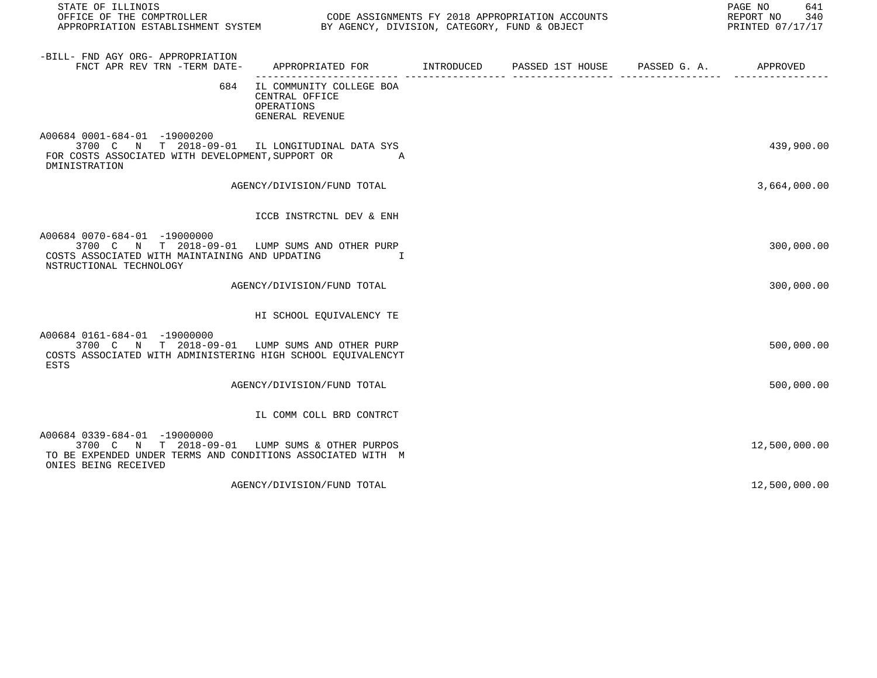| STATE OF ILLINOIS<br>OFFICE OF THE COMPTROLLER CONDER SOLUTION CODE ASSIGNMENTS FY 2018 APPROPRIATION ACCOUNTS<br>APPROPRIATION ESTABLISHMENT SYSTEM BY AGENCY, DIVISION, CATEGORY, FUND & OBJECT |                                                                             |  | PAGE NO<br>641<br>REPORT NO 340<br>PRINTED 07/17/17 |
|---------------------------------------------------------------------------------------------------------------------------------------------------------------------------------------------------|-----------------------------------------------------------------------------|--|-----------------------------------------------------|
| -BILL- FND AGY ORG- APPROPRIATION<br>FNCT APR REV TRN -TERM DATE- APPROPRIATED FOR MITRODUCED PASSED 1ST HOUSE PASSED G. A. APPROVED                                                              |                                                                             |  |                                                     |
| 684                                                                                                                                                                                               | IL COMMUNITY COLLEGE BOA<br>CENTRAL OFFICE<br>OPERATIONS<br>GENERAL REVENUE |  |                                                     |
| A00684 0001-684-01 -19000200<br>3700 C N T 2018-09-01 IL LONGITUDINAL DATA SYS<br>FOR COSTS ASSOCIATED WITH DEVELOPMENT, SUPPORT OR A<br>DMINISTRATION                                            |                                                                             |  | 439,900.00                                          |
|                                                                                                                                                                                                   | AGENCY/DIVISION/FUND TOTAL                                                  |  | 3,664,000.00                                        |
|                                                                                                                                                                                                   | ICCB INSTRCTNL DEV & ENH                                                    |  |                                                     |
| A00684 0070-684-01 -19000000<br>3700 C N T 2018-09-01 LUMP SUMS AND OTHER PURP<br>COSTS ASSOCIATED WITH MAINTAINING AND UPDATING<br>NSTRUCTIONAL TECHNOLOGY                                       | I                                                                           |  | 300,000.00                                          |
|                                                                                                                                                                                                   | AGENCY/DIVISION/FUND TOTAL                                                  |  | 300,000.00                                          |
|                                                                                                                                                                                                   | HI SCHOOL EQUIVALENCY TE                                                    |  |                                                     |
| A00684 0161-684-01 -19000000<br>3700 C N T 2018-09-01 LUMP SUMS AND OTHER PURP<br>COSTS ASSOCIATED WITH ADMINISTERING HIGH SCHOOL EOUIVALENCYT<br><b>ESTS</b>                                     |                                                                             |  | 500,000.00                                          |
|                                                                                                                                                                                                   | AGENCY/DIVISION/FUND TOTAL                                                  |  | 500,000.00                                          |
|                                                                                                                                                                                                   | IL COMM COLL BRD CONTRCT                                                    |  |                                                     |
| A00684 0339-684-01 -19000000<br>3700 C N T 2018-09-01 LUMP SUMS & OTHER PURPOS<br>TO BE EXPENDED UNDER TERMS AND CONDITIONS ASSOCIATED WITH M<br>ONIES BEING RECEIVED                             |                                                                             |  | 12,500,000.00                                       |
|                                                                                                                                                                                                   | AGENCY/DIVISION/FUND TOTAL                                                  |  | 12,500,000.00                                       |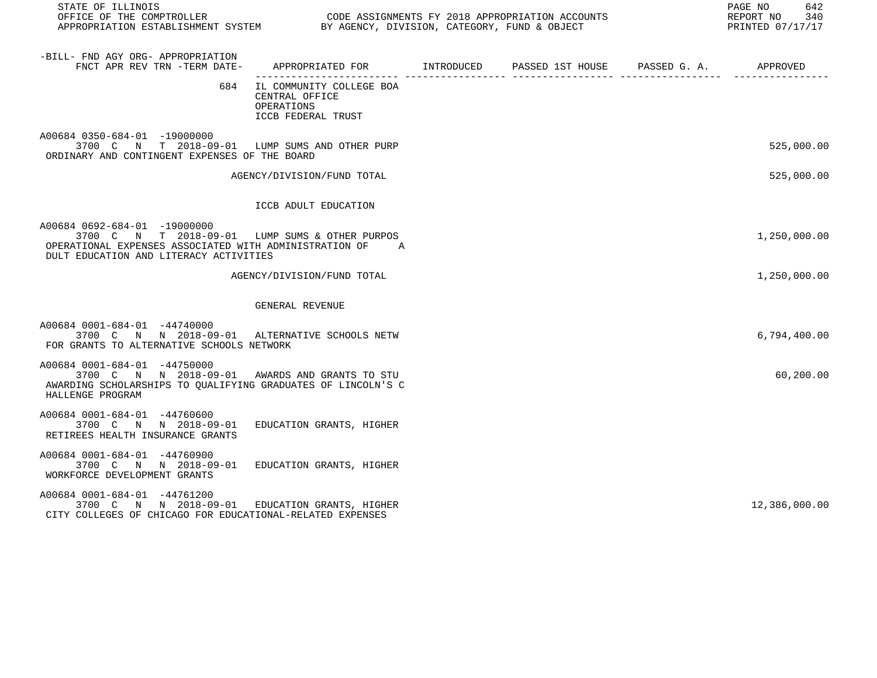| STATE OF ILLINOIS<br>OFFICE OF THE COMPTROLLER<br>APPROPRIATION ESTABLISHMENT SYSTEM BY AGENCY, DIVISION, CATEGORY, FUND & OBJECT                                                    |                                                                                |  | PAGE NO<br>642<br>REPORT NO<br>340<br>PRINTED 07/17/17 |
|--------------------------------------------------------------------------------------------------------------------------------------------------------------------------------------|--------------------------------------------------------------------------------|--|--------------------------------------------------------|
| -BILL- FND AGY ORG- APPROPRIATION<br>FNCT APR REV TRN -TERM DATE-                                                                                                                    | APPROPRIATED FOR INTRODUCED PASSED 1ST HOUSE PASSED G. A.                      |  | APPROVED                                               |
| 684                                                                                                                                                                                  | IL COMMUNITY COLLEGE BOA<br>CENTRAL OFFICE<br>OPERATIONS<br>ICCB FEDERAL TRUST |  |                                                        |
| A00684 0350-684-01 -19000000<br>3700 C N T 2018-09-01 LUMP SUMS AND OTHER PURP<br>ORDINARY AND CONTINGENT EXPENSES OF THE BOARD                                                      |                                                                                |  | 525,000.00                                             |
|                                                                                                                                                                                      | AGENCY/DIVISION/FUND TOTAL                                                     |  | 525,000.00                                             |
|                                                                                                                                                                                      | ICCB ADULT EDUCATION                                                           |  |                                                        |
| A00684 0692-684-01 -19000000<br>3700 C N T 2018-09-01 LUMP SUMS & OTHER PURPOS<br>OPERATIONAL EXPENSES ASSOCIATED WITH ADMINISTRATION OF A<br>DULT EDUCATION AND LITERACY ACTIVITIES |                                                                                |  | 1,250,000.00                                           |
|                                                                                                                                                                                      | AGENCY/DIVISION/FUND TOTAL                                                     |  | 1,250,000.00                                           |
|                                                                                                                                                                                      | GENERAL REVENUE                                                                |  |                                                        |
| A00684 0001-684-01 -44740000<br>3700 C N N 2018-09-01 ALTERNATIVE SCHOOLS NETW<br>FOR GRANTS TO ALTERNATIVE SCHOOLS NETWORK                                                          |                                                                                |  | 6,794,400.00                                           |
| A00684 0001-684-01 -44750000<br>3700 C N N 2018-09-01 AWARDS AND GRANTS TO STU<br>AWARDING SCHOLARSHIPS TO OUALIFYING GRADUATES OF LINCOLN'S C<br>HALLENGE PROGRAM                   |                                                                                |  | 60,200.00                                              |
| A00684 0001-684-01 -44760600<br>3700 C N N 2018-09-01<br>RETIREES HEALTH INSURANCE GRANTS                                                                                            | EDUCATION GRANTS, HIGHER                                                       |  |                                                        |
| A00684 0001-684-01 -44760900<br>3700 C N N 2018-09-01 EDUCATION GRANTS, HIGHER<br>WORKFORCE DEVELOPMENT GRANTS                                                                       |                                                                                |  |                                                        |
| A00684 0001-684-01 -44761200<br>3700 C N N 2018-09-01 EDUCATION GRANTS, HIGHER<br>CITY COLLEGES OF CHICAGO FOR EDUCATIONAL-RELATED EXPENSES                                          |                                                                                |  | 12,386,000.00                                          |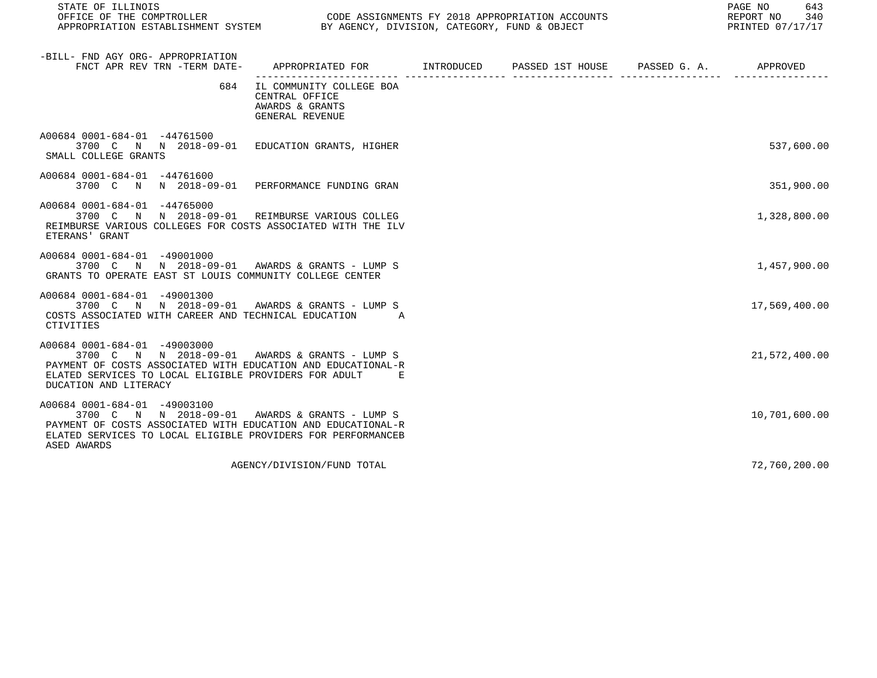| STATE OF ILLINOIS<br>OFFICE OF THE COMPTROLLER<br>OFFICE OF THE COMPTROLLER<br>APPROPRIATION ESTABLISHMENT SYSTEM BY AGENCY, DIVISION, CATEGORY, FUND & OBJECT                                                                     |                                                                                      |  | 643<br>PAGE NO<br>REPORT NO<br>340<br>PRINTED 07/17/17 |
|------------------------------------------------------------------------------------------------------------------------------------------------------------------------------------------------------------------------------------|--------------------------------------------------------------------------------------|--|--------------------------------------------------------|
| -BILL- FND AGY ORG- APPROPRIATION<br>FNCT APR REV TRN -TERM DATE- APPROPRIATED FOR MET INTRODUCED PASSED 1ST HOUSE PASSED G. A. APPROVED                                                                                           |                                                                                      |  |                                                        |
|                                                                                                                                                                                                                                    | 684 IL COMMUNITY COLLEGE BOA<br>CENTRAL OFFICE<br>AWARDS & GRANTS<br>GENERAL REVENUE |  |                                                        |
| A00684 0001-684-01 -44761500<br>3700 C N N 2018-09-01 EDUCATION GRANTS, HIGHER<br>SMALL COLLEGE GRANTS                                                                                                                             |                                                                                      |  | 537,600.00                                             |
| A00684 0001-684-01 -44761600<br>3700 C N N 2018-09-01 PERFORMANCE FUNDING GRAN                                                                                                                                                     |                                                                                      |  | 351,900.00                                             |
| A00684 0001-684-01 -44765000<br>3700 C N N 2018-09-01 REIMBURSE VARIOUS COLLEG<br>REIMBURSE VARIOUS COLLEGES FOR COSTS ASSOCIATED WITH THE ILV<br>ETERANS' GRANT                                                                   |                                                                                      |  | 1,328,800.00                                           |
| A00684 0001-684-01 -49001000<br>3700 C N N 2018-09-01 AWARDS & GRANTS - LUMP S<br>GRANTS TO OPERATE EAST ST LOUIS COMMUNITY COLLEGE CENTER                                                                                         |                                                                                      |  | 1,457,900.00                                           |
| A00684 0001-684-01 -49001300<br>3700 C N N 2018-09-01 AWARDS & GRANTS - LUMP S<br>COSTS ASSOCIATED WITH CAREER AND TECHNICAL EDUCATION A<br>CTIVITIES                                                                              |                                                                                      |  | 17,569,400.00                                          |
| A00684 0001-684-01 -49003000<br>3700 C N N 2018-09-01 AWARDS & GRANTS - LUMP S<br>PAYMENT OF COSTS ASSOCIATED WITH EDUCATION AND EDUCATIONAL-R<br>ELATED SERVICES TO LOCAL ELIGIBLE PROVIDERS FOR ADULT E<br>DUCATION AND LITERACY |                                                                                      |  | 21,572,400.00                                          |
| A00684 0001-684-01 -49003100<br>3700 C N N 2018-09-01 AWARDS & GRANTS - LUMP S<br>PAYMENT OF COSTS ASSOCIATED WITH EDUCATION AND EDUCATIONAL-R<br>ELATED SERVICES TO LOCAL ELIGIBLE PROVIDERS FOR PERFORMANCEB<br>ASED AWARDS      |                                                                                      |  | 10,701,600.00                                          |
|                                                                                                                                                                                                                                    | AGENCY/DIVISION/FUND TOTAL                                                           |  | 72,760,200.00                                          |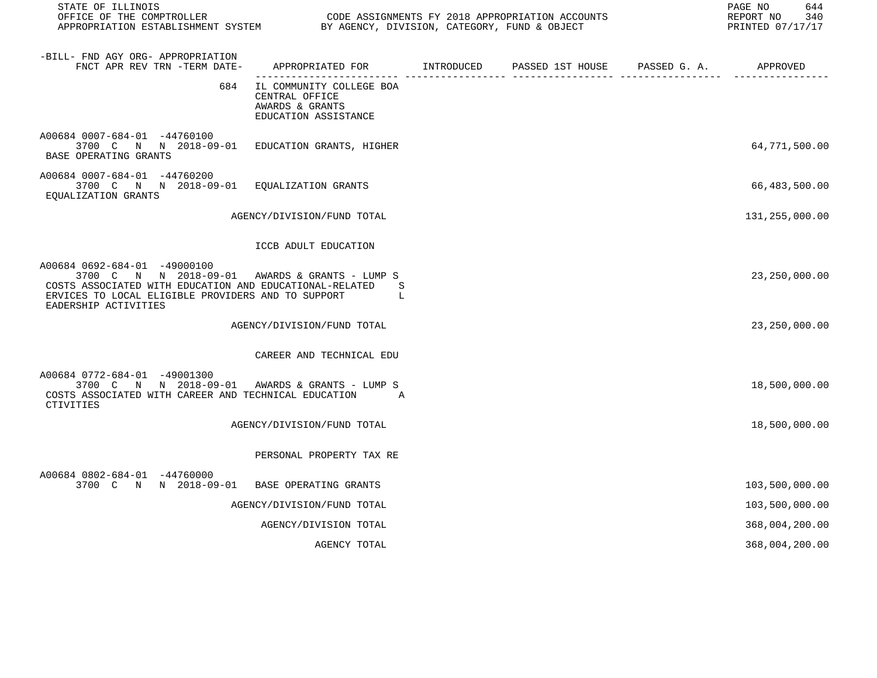| STATE OF ILLINOIS                                                                                                                                                                                                       |                                                                                            |  | 644<br>PAGE NO<br>REPORT NO<br>340<br>PRINTED 07/17/17 |
|-------------------------------------------------------------------------------------------------------------------------------------------------------------------------------------------------------------------------|--------------------------------------------------------------------------------------------|--|--------------------------------------------------------|
| -BILL- FND AGY ORG- APPROPRIATION<br>FNCT APR REV TRN -TERM DATE-                                                                                                                                                       | APPROPRIATED FOR        INTRODUCED      PASSED 1ST HOUSE     PASSED G. A.         APPROVED |  |                                                        |
| 684                                                                                                                                                                                                                     | IL COMMUNITY COLLEGE BOA<br>CENTRAL OFFICE<br>AWARDS & GRANTS<br>EDUCATION ASSISTANCE      |  |                                                        |
| A00684 0007-684-01 -44760100<br>3700 C N N 2018-09-01 EDUCATION GRANTS, HIGHER<br>BASE OPERATING GRANTS                                                                                                                 |                                                                                            |  | 64,771,500.00                                          |
| A00684 0007-684-01 -44760200<br>3700 C N N 2018-09-01 EOUALIZATION GRANTS<br>EQUALIZATION GRANTS                                                                                                                        |                                                                                            |  | 66,483,500.00                                          |
|                                                                                                                                                                                                                         | AGENCY/DIVISION/FUND TOTAL                                                                 |  | 131,255,000.00                                         |
|                                                                                                                                                                                                                         | ICCB ADULT EDUCATION                                                                       |  |                                                        |
| A00684 0692-684-01 -49000100<br>3700 C N N 2018-09-01 AWARDS & GRANTS - LUMP S<br>COSTS ASSOCIATED WITH EDUCATION AND EDUCATIONAL-RELATED<br>ERVICES TO LOCAL ELIGIBLE PROVIDERS AND TO SUPPORT<br>EADERSHIP ACTIVITIES | S<br>L                                                                                     |  | 23, 250, 000.00                                        |
|                                                                                                                                                                                                                         | AGENCY/DIVISION/FUND TOTAL                                                                 |  | 23, 250, 000.00                                        |
|                                                                                                                                                                                                                         | CAREER AND TECHNICAL EDU                                                                   |  |                                                        |
| A00684 0772-684-01 -49001300<br>3700 C N N 2018-09-01 AWARDS & GRANTS - LUMP S<br>COSTS ASSOCIATED WITH CAREER AND TECHNICAL EDUCATION<br><b>CTIVITIES</b>                                                              | $\overline{A}$                                                                             |  | 18,500,000.00                                          |
|                                                                                                                                                                                                                         | AGENCY/DIVISION/FUND TOTAL                                                                 |  | 18,500,000.00                                          |
|                                                                                                                                                                                                                         | PERSONAL PROPERTY TAX RE                                                                   |  |                                                        |
| A00684 0802-684-01 -44760000<br>3700 C N N 2018-09-01 BASE OPERATING GRANTS                                                                                                                                             |                                                                                            |  | 103,500,000.00                                         |
|                                                                                                                                                                                                                         | AGENCY/DIVISION/FUND TOTAL                                                                 |  | 103,500,000.00                                         |
|                                                                                                                                                                                                                         | AGENCY/DIVISION TOTAL                                                                      |  | 368,004,200.00                                         |
|                                                                                                                                                                                                                         | AGENCY TOTAL                                                                               |  | 368,004,200.00                                         |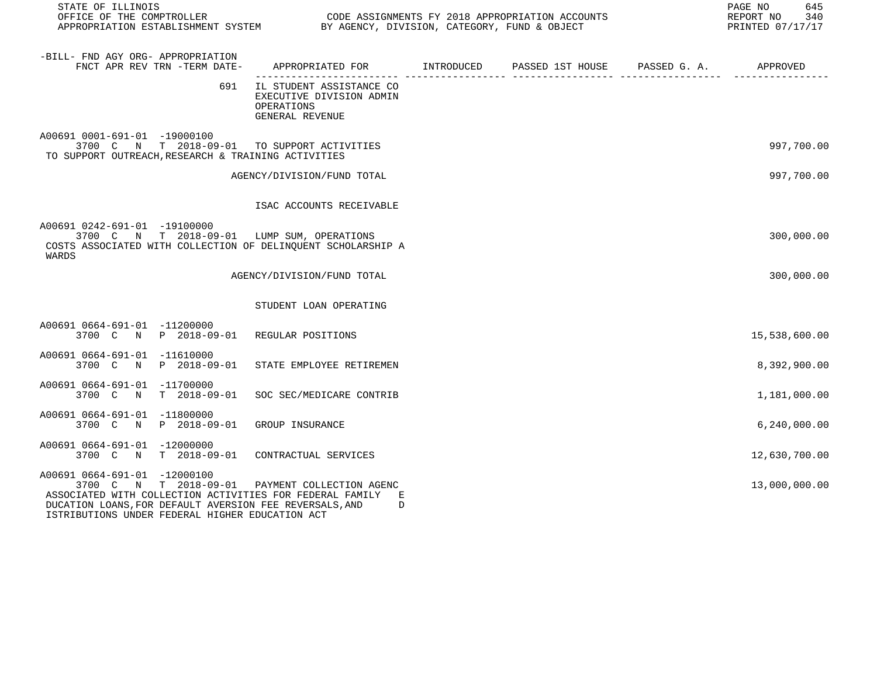| STATE OF ILLINOIS<br>OFFICE OF THE COMPTROLLER CODE ASSIGNMENTS FY 2018 APPROPRIATION ACCOUNTS<br>APPROPRIATION ESTABLISHMENT SYSTEM BY AGENCY, DIVISION, CATEGORY, FUND & OBJECT                                                                          |                                                                                            |  | 645<br>PAGE NO<br>REPORT NO 340<br>PRINTED 07/17/17 |
|------------------------------------------------------------------------------------------------------------------------------------------------------------------------------------------------------------------------------------------------------------|--------------------------------------------------------------------------------------------|--|-----------------------------------------------------|
| -BILL- FND AGY ORG- APPROPRIATION<br>FNCT APR REV TRN -TERM DATE-                                                                                                                                                                                          | APPROPRIATED FOR        INTRODUCED      PASSED 1ST HOUSE     PASSED G. A.         APPROVED |  |                                                     |
| 691                                                                                                                                                                                                                                                        | IL STUDENT ASSISTANCE CO<br>EXECUTIVE DIVISION ADMIN<br>OPERATIONS<br>GENERAL REVENUE      |  |                                                     |
| A00691 0001-691-01 -19000100<br>3700 C N T 2018-09-01 TO SUPPORT ACTIVITIES<br>TO SUPPORT OUTREACH, RESEARCH & TRAINING ACTIVITIES                                                                                                                         |                                                                                            |  | 997,700.00                                          |
|                                                                                                                                                                                                                                                            | AGENCY/DIVISION/FUND TOTAL                                                                 |  | 997,700.00                                          |
|                                                                                                                                                                                                                                                            | ISAC ACCOUNTS RECEIVABLE                                                                   |  |                                                     |
| A00691 0242-691-01 -19100000<br>3700 C N T 2018-09-01 LUMP SUM, OPERATIONS<br>COSTS ASSOCIATED WITH COLLECTION OF DELINOUENT SCHOLARSHIP A<br>WARDS                                                                                                        |                                                                                            |  | 300,000.00                                          |
|                                                                                                                                                                                                                                                            | AGENCY/DIVISION/FUND TOTAL                                                                 |  | 300,000.00                                          |
|                                                                                                                                                                                                                                                            | STUDENT LOAN OPERATING                                                                     |  |                                                     |
| A00691 0664-691-01 -11200000<br>3700 C N P 2018-09-01 REGULAR POSITIONS                                                                                                                                                                                    |                                                                                            |  | 15,538,600.00                                       |
| A00691 0664-691-01 -11610000<br>3700 C N P 2018-09-01 STATE EMPLOYEE RETIREMEN                                                                                                                                                                             |                                                                                            |  | 8,392,900.00                                        |
| A00691 0664-691-01 -11700000<br>3700 C N T 2018-09-01 SOC SEC/MEDICARE CONTRIB                                                                                                                                                                             |                                                                                            |  | 1,181,000.00                                        |
| A00691 0664-691-01 -11800000<br>3700 C N P 2018-09-01 GROUP INSURANCE                                                                                                                                                                                      |                                                                                            |  | 6, 240, 000.00                                      |
| A00691 0664-691-01 -12000000<br>3700 C N T 2018-09-01 CONTRACTUAL SERVICES                                                                                                                                                                                 |                                                                                            |  | 12,630,700.00                                       |
| A00691 0664-691-01 -12000100<br>3700 C N T 2018-09-01 PAYMENT COLLECTION AGENC<br>ASSOCIATED WITH COLLECTION ACTIVITIES FOR FEDERAL FAMILY E<br>DUCATION LOANS, FOR DEFAULT AVERSION FEE REVERSALS, AND<br>ISTRIBUTIONS UNDER FEDERAL HIGHER EDUCATION ACT | D                                                                                          |  | 13,000,000.00                                       |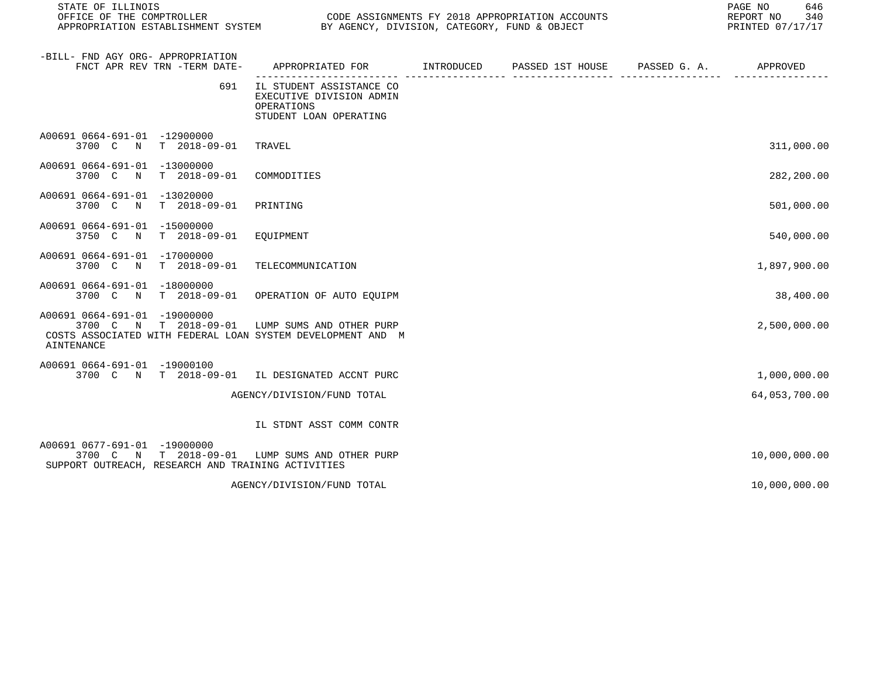| STATE OF ILLINOIS                                                                                                                    |                                                                                              |  | PAGE NO<br>646<br>REPORT NO<br>340<br>PRINTED 07/17/17 |
|--------------------------------------------------------------------------------------------------------------------------------------|----------------------------------------------------------------------------------------------|--|--------------------------------------------------------|
| -BILL- FND AGY ORG- APPROPRIATION<br>FNCT APR REV TRN -TERM DATE-                                                                    | APPROPRIATED FOR       INTRODUCED     PASSED 1ST HOUSE     PASSED G. A.         APPROVED     |  |                                                        |
| 691                                                                                                                                  | IL STUDENT ASSISTANCE CO<br>EXECUTIVE DIVISION ADMIN<br>OPERATIONS<br>STUDENT LOAN OPERATING |  |                                                        |
| A00691 0664-691-01 -12900000<br>3700 C N T 2018-09-01                                                                                | TRAVEL                                                                                       |  | 311,000.00                                             |
| A00691 0664-691-01 -13000000<br>3700 C N T 2018-09-01                                                                                | COMMODITIES                                                                                  |  | 282,200.00                                             |
| A00691 0664-691-01 -13020000<br>3700 C N<br>T 2018-09-01                                                                             | PRINTING                                                                                     |  | 501,000.00                                             |
| A00691 0664-691-01 -15000000<br>3750 C N T 2018-09-01                                                                                | EOUIPMENT                                                                                    |  | 540,000.00                                             |
| A00691 0664-691-01 -17000000<br>3700 C N T 2018-09-01                                                                                | TELECOMMUNICATION                                                                            |  | 1,897,900.00                                           |
| A00691 0664-691-01 -18000000<br>3700 C N T 2018-09-01 OPERATION OF AUTO EOUIPM                                                       |                                                                                              |  | 38,400.00                                              |
| A00691 0664-691-01 -19000000<br>3700 C<br>COSTS ASSOCIATED WITH FEDERAL LOAN SYSTEM DEVELOPMENT AND M<br>AINTENANCE                  | N T 2018-09-01 LUMP SUMS AND OTHER PURP                                                      |  | 2,500,000.00                                           |
| A00691 0664-691-01 -19000100<br>3700 C N T 2018-09-01 IL DESIGNATED ACCNT PURC                                                       |                                                                                              |  | 1,000,000.00                                           |
|                                                                                                                                      | AGENCY/DIVISION/FUND TOTAL                                                                   |  | 64,053,700.00                                          |
|                                                                                                                                      | IL STDNT ASST COMM CONTR                                                                     |  |                                                        |
| A00691 0677-691-01 -19000000<br>3700 C N T 2018-09-01 LUMP SUMS AND OTHER PURP<br>SUPPORT OUTREACH, RESEARCH AND TRAINING ACTIVITIES |                                                                                              |  | 10,000,000.00                                          |
|                                                                                                                                      | AGENCY/DIVISION/FUND TOTAL                                                                   |  | 10,000,000.00                                          |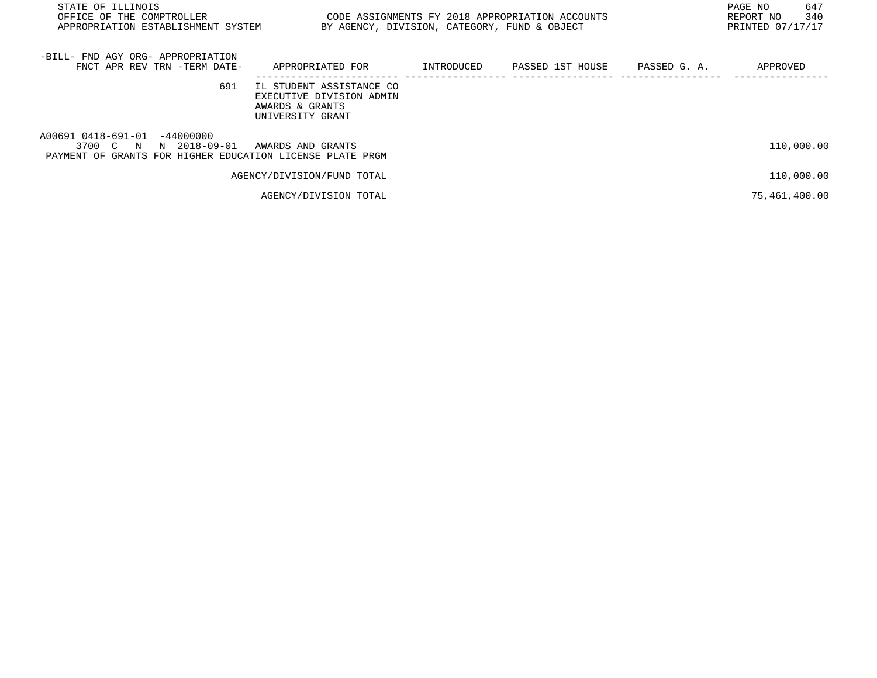| STATE OF ILLINOIS<br>OFFICE OF THE COMPTROLLER<br>APPROPRIATION ESTABLISHMENT SYSTEM                                  | CODE ASSIGNMENTS FY 2018 APPROPRIATION ACCOUNTS<br>BY AGENCY, DIVISION, CATEGORY, FUND & OBJECT |            |                  |              | 647<br>PAGE NO<br>340<br>REPORT NO<br>PRINTED 07/17/17 |
|-----------------------------------------------------------------------------------------------------------------------|-------------------------------------------------------------------------------------------------|------------|------------------|--------------|--------------------------------------------------------|
| -BILL- FND AGY ORG- APPROPRIATION<br>FNCT APR REV TRN -TERM DATE-                                                     | APPROPRIATED FOR                                                                                | INTRODUCED | PASSED 1ST HOUSE | PASSED G. A. | APPROVED                                               |
| 691                                                                                                                   | IL STUDENT ASSISTANCE CO<br>EXECUTIVE DIVISION ADMIN<br>AWARDS & GRANTS<br>UNIVERSITY GRANT     |            |                  |              |                                                        |
| A00691 0418-691-01 -44000000<br>3700 C N<br>N 2018-09-01<br>PAYMENT OF GRANTS FOR HIGHER EDUCATION LICENSE PLATE PRGM | AWARDS AND GRANTS                                                                               |            |                  |              | 110,000.00                                             |
|                                                                                                                       | AGENCY/DIVISION/FUND TOTAL                                                                      |            |                  |              | 110,000.00                                             |
|                                                                                                                       | AGENCY/DIVISION TOTAL                                                                           |            |                  |              | 75,461,400.00                                          |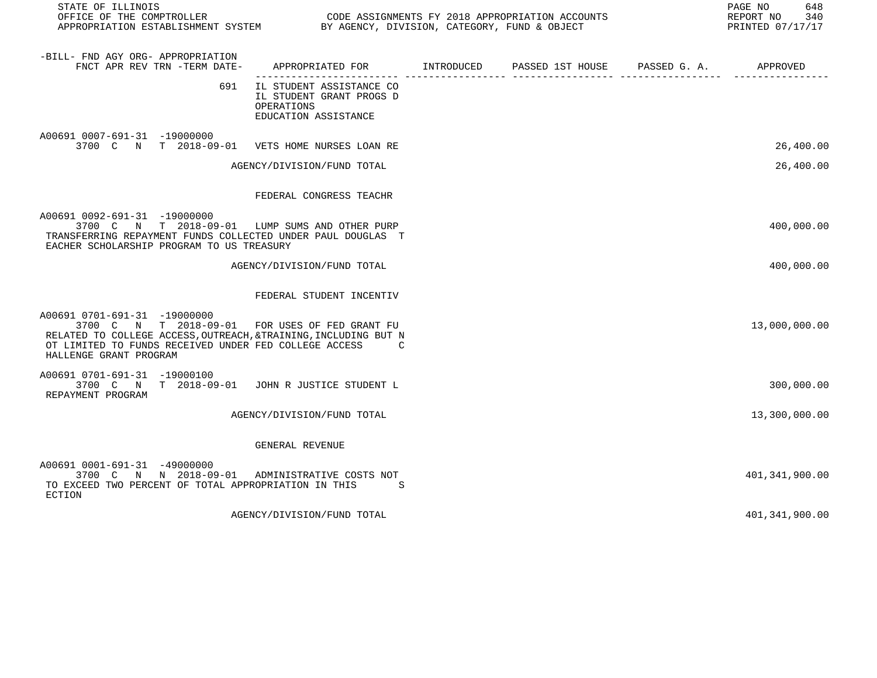| STATE OF ILLINOIS                                                                                                                                                                                                                    |                                                                                            |                                        | PAGE NO<br>648<br>REPORT NO<br>340<br>PRINTED 07/17/17 |
|--------------------------------------------------------------------------------------------------------------------------------------------------------------------------------------------------------------------------------------|--------------------------------------------------------------------------------------------|----------------------------------------|--------------------------------------------------------|
| -BILL- FND AGY ORG- APPROPRIATION<br>FNCT APR REV TRN -TERM DATE-                                                                                                                                                                    | APPROPRIATED FOR INTRODUCED                                                                | PASSED 1ST HOUSE PASSED G. A. APPROVED |                                                        |
| 691                                                                                                                                                                                                                                  | IL STUDENT ASSISTANCE CO<br>IL STUDENT GRANT PROGS D<br>OPERATIONS<br>EDUCATION ASSISTANCE |                                        |                                                        |
| A00691 0007-691-31 -19000000<br>3700 C N T 2018-09-01 VETS HOME NURSES LOAN RE                                                                                                                                                       |                                                                                            |                                        | 26,400.00                                              |
|                                                                                                                                                                                                                                      | AGENCY/DIVISION/FUND TOTAL                                                                 |                                        | 26,400.00                                              |
|                                                                                                                                                                                                                                      | FEDERAL CONGRESS TEACHR                                                                    |                                        |                                                        |
| A00691 0092-691-31 -19000000<br>3700 C N T 2018-09-01 LUMP SUMS AND OTHER PURP<br>TRANSFERRING REPAYMENT FUNDS COLLECTED UNDER PAUL DOUGLAS T<br>EACHER SCHOLARSHIP PROGRAM TO US TREASURY                                           |                                                                                            |                                        | 400,000.00                                             |
|                                                                                                                                                                                                                                      | AGENCY/DIVISION/FUND TOTAL                                                                 |                                        | 400,000.00                                             |
|                                                                                                                                                                                                                                      | FEDERAL STUDENT INCENTIV                                                                   |                                        |                                                        |
| A00691 0701-691-31 -19000000<br>3700 C N T 2018-09-01 FOR USES OF FED GRANT FU<br>RELATED TO COLLEGE ACCESS, OUTREACH, &TRAINING, INCLUDING BUT N<br>OT LIMITED TO FUNDS RECEIVED UNDER FED COLLEGE ACCESS<br>HALLENGE GRANT PROGRAM | $\overline{C}$                                                                             |                                        | 13,000,000.00                                          |
| A00691 0701-691-31 -19000100<br>3700 C N T 2018-09-01 JOHN R JUSTICE STUDENT L<br>REPAYMENT PROGRAM                                                                                                                                  |                                                                                            |                                        | 300,000.00                                             |
|                                                                                                                                                                                                                                      | AGENCY/DIVISION/FUND TOTAL                                                                 |                                        | 13,300,000.00                                          |
|                                                                                                                                                                                                                                      | GENERAL REVENUE                                                                            |                                        |                                                        |
| A00691 0001-691-31 -49000000<br>3700 C N N 2018-09-01 ADMINISTRATIVE COSTS NOT<br>TO EXCEED TWO PERCENT OF TOTAL APPROPRIATION IN THIS<br>ECTION                                                                                     | -S                                                                                         |                                        | 401, 341, 900.00                                       |
|                                                                                                                                                                                                                                      | AGENCY/DIVISION/FUND TOTAL                                                                 |                                        | 401,341,900.00                                         |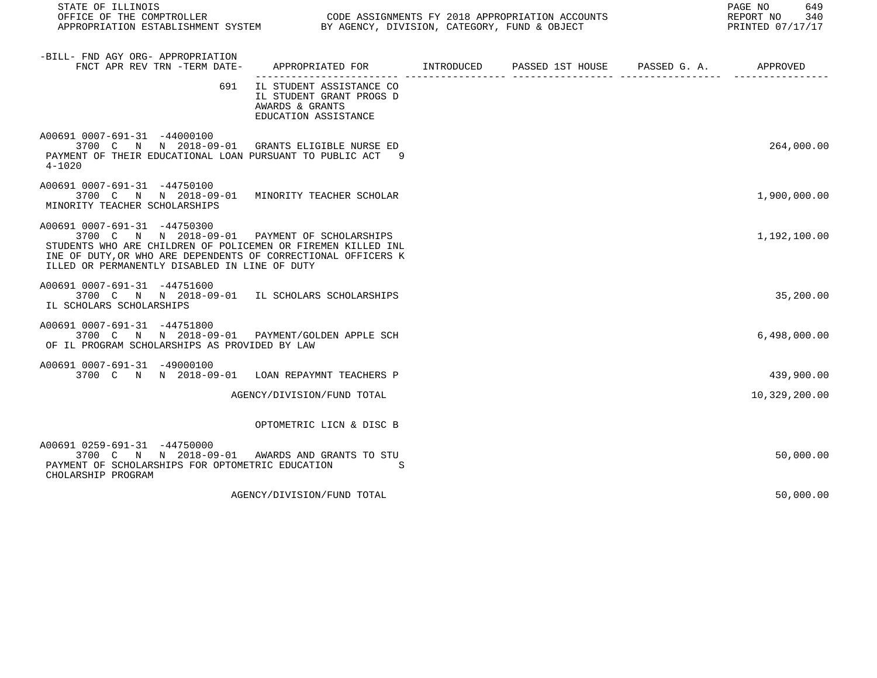| STATE OF ILLINOIS<br>OFFICE OF THE COMPTROLLER<br>APPROPRIATION ESTABLISHMENT SYSTEM BY AGENCY, DIVISION, CATEGORY, FUND & OBJECT                                                                                                                               |                                                                                                 | CODE ASSIGNMENTS FY 2018 APPROPRIATION ACCOUNTS | PAGE NO<br>649<br>REPORT NO 340<br>PRINTED 07/17/17 |
|-----------------------------------------------------------------------------------------------------------------------------------------------------------------------------------------------------------------------------------------------------------------|-------------------------------------------------------------------------------------------------|-------------------------------------------------|-----------------------------------------------------|
| -BILL- FND AGY ORG- APPROPRIATION<br>FNCT APR REV TRN -TERM DATE-                                                                                                                                                                                               | APPROPRIATED FOR        INTRODUCED      PASSED 1ST HOUSE     PASSED G. A.         APPROVED      |                                                 |                                                     |
| 691                                                                                                                                                                                                                                                             | IL STUDENT ASSISTANCE CO<br>IL STUDENT GRANT PROGS D<br>AWARDS & GRANTS<br>EDUCATION ASSISTANCE |                                                 |                                                     |
| A00691 0007-691-31 -44000100<br>3700 C N N 2018-09-01 GRANTS ELIGIBLE NURSE ED<br>PAYMENT OF THEIR EDUCATIONAL LOAN PURSUANT TO PUBLIC ACT 9<br>4-1020                                                                                                          |                                                                                                 |                                                 | 264,000.00                                          |
| A00691 0007-691-31 -44750100<br>3700 C N N 2018-09-01 MINORITY TEACHER SCHOLAR<br>MINORITY TEACHER SCHOLARSHIPS                                                                                                                                                 |                                                                                                 |                                                 | 1,900,000.00                                        |
| A00691 0007-691-31 -44750300<br>3700 C N N 2018-09-01 PAYMENT OF SCHOLARSHIPS<br>STUDENTS WHO ARE CHILDREN OF POLICEMEN OR FIREMEN KILLED INL<br>INE OF DUTY, OR WHO ARE DEPENDENTS OF CORRECTIONAL OFFICERS K<br>ILLED OR PERMANENTLY DISABLED IN LINE OF DUTY |                                                                                                 |                                                 | 1,192,100.00                                        |
| A00691 0007-691-31 -44751600<br>3700 C N N 2018-09-01 IL SCHOLARS SCHOLARSHIPS<br>IL SCHOLARS SCHOLARSHIPS                                                                                                                                                      |                                                                                                 |                                                 | 35,200.00                                           |
| A00691 0007-691-31 -44751800<br>3700 C N N 2018-09-01 PAYMENT/GOLDEN APPLE SCH<br>OF IL PROGRAM SCHOLARSHIPS AS PROVIDED BY LAW                                                                                                                                 |                                                                                                 |                                                 | 6,498,000.00                                        |
| A00691 0007-691-31 -49000100<br>3700 C N N 2018-09-01 LOAN REPAYMNT TEACHERS P                                                                                                                                                                                  |                                                                                                 |                                                 | 439,900.00                                          |
|                                                                                                                                                                                                                                                                 | AGENCY/DIVISION/FUND TOTAL                                                                      |                                                 | 10,329,200.00                                       |
|                                                                                                                                                                                                                                                                 | OPTOMETRIC LICN & DISC B                                                                        |                                                 |                                                     |
| A00691 0259-691-31 -44750000<br>3700 C N N 2018-09-01 AWARDS AND GRANTS TO STU<br>PAYMENT OF SCHOLARSHIPS FOR OPTOMETRIC EDUCATION<br>CHOLARSHIP PROGRAM                                                                                                        | S                                                                                               |                                                 | 50,000.00                                           |
|                                                                                                                                                                                                                                                                 | AGENCY/DIVISION/FUND TOTAL                                                                      |                                                 | 50,000.00                                           |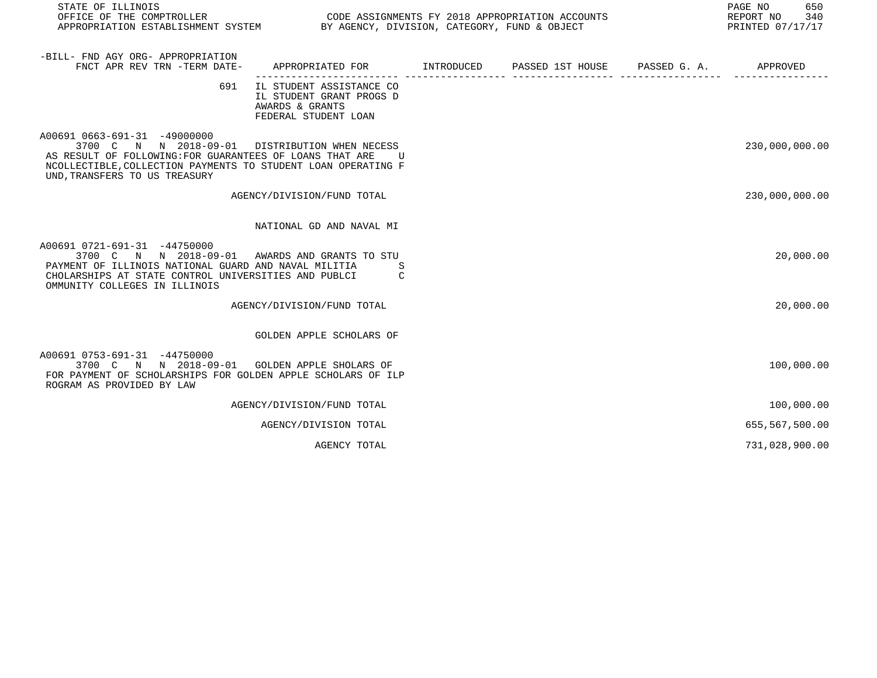| STATE OF ILLINOIS<br>OFFICE OF THE COMPTROLLER<br>APPROPRIATION ESTABLISHMENT SYSTEM                                                                                                                                | CODE ASSIGNMENTS FY 2018 APPROPRIATION ACCOUNTS<br>BY AGENCY, DIVISION, CATEGORY, FUND & OBJECT |                  |              | PAGE NO<br>650<br>REPORT NO<br>340<br>PRINTED 07/17/17 |
|---------------------------------------------------------------------------------------------------------------------------------------------------------------------------------------------------------------------|-------------------------------------------------------------------------------------------------|------------------|--------------|--------------------------------------------------------|
| -BILL- FND AGY ORG- APPROPRIATION<br>FNCT APR REV TRN -TERM DATE-                                                                                                                                                   | APPROPRIATED FOR INTRODUCED                                                                     | PASSED 1ST HOUSE | PASSED G. A. | APPROVED                                               |
| 691                                                                                                                                                                                                                 | IL STUDENT ASSISTANCE CO<br>IL STUDENT GRANT PROGS D<br>AWARDS & GRANTS<br>FEDERAL STUDENT LOAN |                  |              |                                                        |
| A00691 0663-691-31 -49000000<br>3700 C N N 2018-09-01<br>AS RESULT OF FOLLOWING: FOR GUARANTEES OF LOANS THAT ARE<br>NCOLLECTIBLE, COLLECTION PAYMENTS TO STUDENT LOAN OPERATING F<br>UND, TRANSFERS TO US TREASURY | DISTRIBUTION WHEN NECESS<br>U                                                                   |                  |              | 230,000,000.00                                         |
|                                                                                                                                                                                                                     | AGENCY/DIVISION/FUND TOTAL                                                                      |                  |              | 230,000,000.00                                         |
|                                                                                                                                                                                                                     | NATIONAL GD AND NAVAL MI                                                                        |                  |              |                                                        |
| A00691 0721-691-31 -44750000<br>3700 C N N 2018-09-01<br>PAYMENT OF ILLINOIS NATIONAL GUARD AND NAVAL MILITIA<br>CHOLARSHIPS AT STATE CONTROL UNIVERSITIES AND PUBLCI<br>OMMUNITY COLLEGES IN ILLINOIS              | AWARDS AND GRANTS TO STU<br>C                                                                   |                  |              | 20,000.00                                              |
|                                                                                                                                                                                                                     | AGENCY/DIVISION/FUND TOTAL                                                                      |                  |              | 20,000.00                                              |
|                                                                                                                                                                                                                     | GOLDEN APPLE SCHOLARS OF                                                                        |                  |              |                                                        |
| A00691 0753-691-31 -44750000<br>3700 C N N 2018-09-01<br>FOR PAYMENT OF SCHOLARSHIPS FOR GOLDEN APPLE SCHOLARS OF ILP<br>ROGRAM AS PROVIDED BY LAW                                                                  | <b>GOLDEN APPLE SHOLARS OF</b>                                                                  |                  |              | 100,000.00                                             |
|                                                                                                                                                                                                                     | AGENCY/DIVISION/FUND TOTAL                                                                      |                  |              | 100,000.00                                             |
|                                                                                                                                                                                                                     | AGENCY/DIVISION TOTAL                                                                           |                  |              | 655,567,500.00                                         |
|                                                                                                                                                                                                                     | AGENCY TOTAL                                                                                    |                  |              | 731,028,900.00                                         |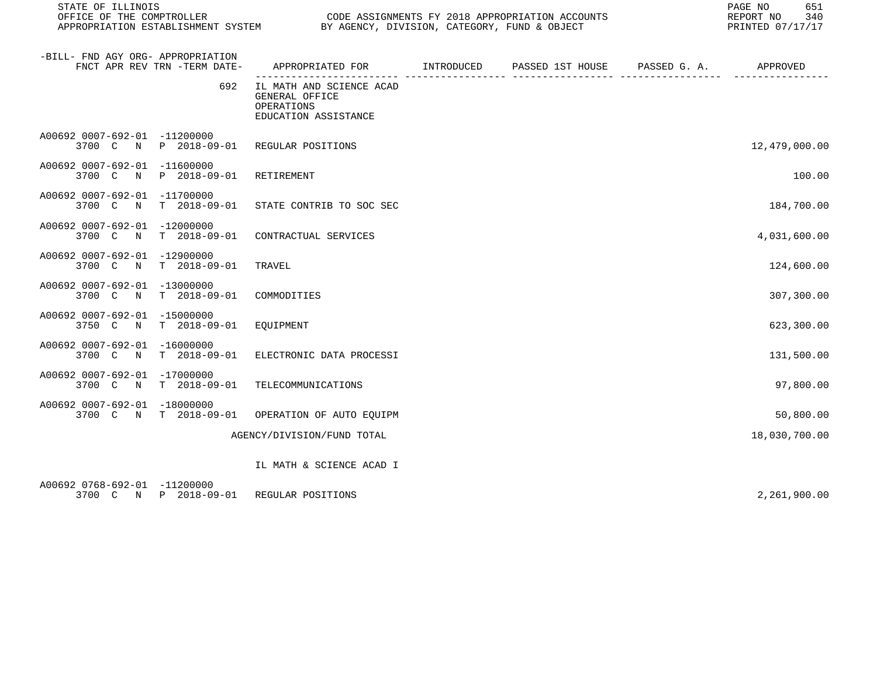| STATE OF ILLINOIS                                                 |              |                                                                                           | PAGE NO<br>651<br>REPORT NO<br>340<br>PRINTED 07/17/17 |  |               |
|-------------------------------------------------------------------|--------------|-------------------------------------------------------------------------------------------|--------------------------------------------------------|--|---------------|
| -BILL- FND AGY ORG- APPROPRIATION<br>FNCT APR REV TRN -TERM DATE- |              | APPROPRIATED FOR        INTRODUCED     PASSED 1ST HOUSE     PASSED G. A.         APPROVED |                                                        |  |               |
|                                                                   | 692          | IL MATH AND SCIENCE ACAD<br>GENERAL OFFICE<br>OPERATIONS<br>EDUCATION ASSISTANCE          |                                                        |  |               |
| A00692 0007-692-01 -11200000                                      |              | 3700 C N P 2018-09-01 REGULAR POSITIONS                                                   |                                                        |  | 12,479,000.00 |
| A00692 0007-692-01 -11600000<br>3700 C N P 2018-09-01             |              | RETIREMENT                                                                                |                                                        |  | 100.00        |
| A00692 0007-692-01 -11700000<br>3700 C N                          | T 2018-09-01 | STATE CONTRIB TO SOC SEC                                                                  |                                                        |  | 184,700.00    |
| A00692 0007-692-01 -12000000<br>3700 C N T 2018-09-01             |              | CONTRACTUAL SERVICES                                                                      |                                                        |  | 4,031,600.00  |
| A00692 0007-692-01 -12900000<br>3700 C N T 2018-09-01             |              | TRAVEL                                                                                    |                                                        |  | 124,600.00    |
| A00692 0007-692-01 -13000000<br>3700 C N                          | T 2018-09-01 | COMMODITIES                                                                               |                                                        |  | 307,300.00    |
| A00692 0007-692-01 -15000000<br>3750 C N T 2018-09-01             |              | EOUIPMENT                                                                                 |                                                        |  | 623,300.00    |
| A00692 0007-692-01 -16000000<br>3700 C N T 2018-09-01             |              | ELECTRONIC DATA PROCESSI                                                                  |                                                        |  | 131,500.00    |
| A00692 0007-692-01 -17000000<br>3700 C N T 2018-09-01             |              | TELECOMMUNICATIONS                                                                        |                                                        |  | 97,800.00     |
| A00692 0007-692-01 -18000000<br>3700 C N T 2018-09-01             |              | OPERATION OF AUTO EQUIPM                                                                  |                                                        |  | 50,800.00     |
|                                                                   |              | AGENCY/DIVISION/FUND TOTAL                                                                |                                                        |  | 18,030,700.00 |
|                                                                   |              | IL MATH & SCIENCE ACAD I                                                                  |                                                        |  |               |
| A00692 0768-692-01 -11200000                                      |              |                                                                                           |                                                        |  |               |

3700 C N P 2018-09-01 REGULAR POSITIONS 2,261,900.00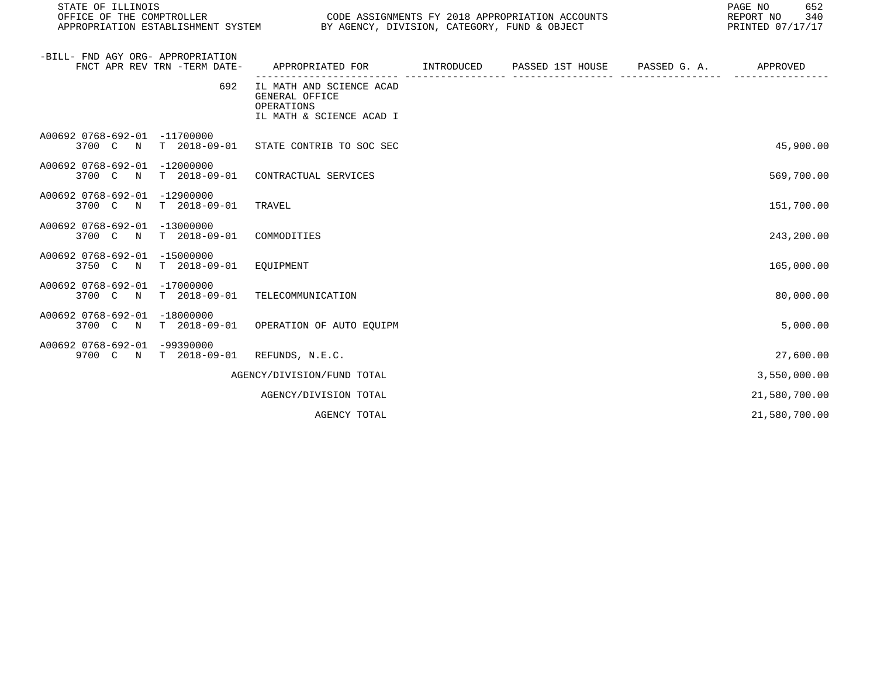| STATE OF ILLINOIS<br>OFFICE OF THE COMPTROLLER<br>CODE ASSIGNMENTS FY 2018 APPROPRIATION ACCOUNTS<br>APPROPRIATION ESTABLISHMENT SYSTEM BY AGENCY, DIVISION, CATEGORY, FUND & OBJECT |                                                                                         |  |  | 652<br>PAGE NO<br>REPORT NO<br>340<br>PRINTED 07/17/17 |  |
|--------------------------------------------------------------------------------------------------------------------------------------------------------------------------------------|-----------------------------------------------------------------------------------------|--|--|--------------------------------------------------------|--|
| -BILL- FND AGY ORG- APPROPRIATION<br>FNCT APR REV TRN -TERM DATE-                                                                                                                    | APPROPRIATED FOR       INTRODUCED     PASSED 1ST HOUSE     PASSED G. A.        APPROVED |  |  |                                                        |  |
| 692                                                                                                                                                                                  | IL MATH AND SCIENCE ACAD<br>GENERAL OFFICE<br>OPERATIONS<br>IL MATH & SCIENCE ACAD I    |  |  |                                                        |  |
| A00692 0768-692-01 -11700000<br>3700 C N T 2018-09-01 STATE CONTRIB TO SOC SEC                                                                                                       |                                                                                         |  |  | 45,900.00                                              |  |
| A00692 0768-692-01 -12000000<br>$T$ 2018-09-01<br>3700 C N                                                                                                                           | CONTRACTUAL SERVICES                                                                    |  |  | 569,700.00                                             |  |
| A00692 0768-692-01 -12900000<br>3700 C N<br>T 2018-09-01                                                                                                                             | TRAVEL                                                                                  |  |  | 151,700.00                                             |  |
| A00692 0768-692-01 -13000000<br>T 2018-09-01<br>3700 C N                                                                                                                             | COMMODITIES                                                                             |  |  | 243,200.00                                             |  |
| A00692 0768-692-01 -15000000<br>T 2018-09-01<br>3750 C<br>$\mathbb N$                                                                                                                | EQUIPMENT                                                                               |  |  | 165,000.00                                             |  |
| A00692 0768-692-01 -17000000<br>3700 C N T 2018-09-01                                                                                                                                | TELECOMMUNICATION                                                                       |  |  | 80,000.00                                              |  |
| A00692 0768-692-01 -18000000<br>3700 C N T 2018-09-01 OPERATION OF AUTO EQUIPM                                                                                                       |                                                                                         |  |  | 5,000.00                                               |  |
| A00692 0768-692-01 -99390000<br>9700 C N T 2018-09-01                                                                                                                                | REFUNDS, N.E.C.                                                                         |  |  | 27,600.00                                              |  |
|                                                                                                                                                                                      | AGENCY/DIVISION/FUND TOTAL                                                              |  |  | 3,550,000.00                                           |  |
|                                                                                                                                                                                      | AGENCY/DIVISION TOTAL                                                                   |  |  | 21,580,700.00                                          |  |
|                                                                                                                                                                                      | AGENCY TOTAL                                                                            |  |  | 21,580,700.00                                          |  |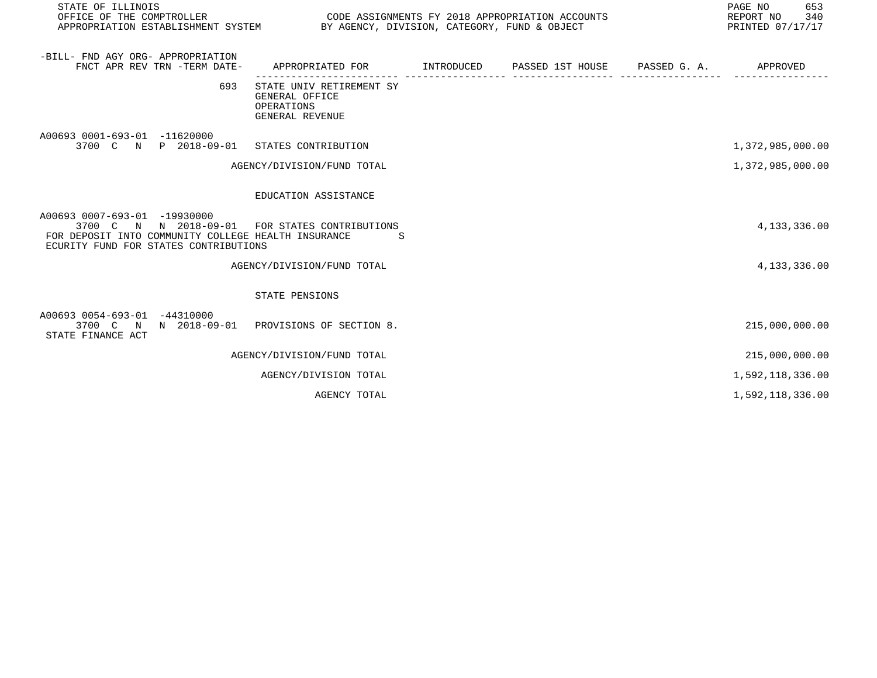| STATE OF ILLINOIS<br>OFFICE OF THE COMPTROLLER<br>APPROPRIATION ESTABLISHMENT SYSTEM BY AGENCY, DIVISION, CATEGORY, FUND & OBJECT                                              |                                                                                           | CODE ASSIGNMENTS FY 2018 APPROPRIATION ACCOUNTS | 653<br>PAGE NO<br>REPORT NO 340<br>PRINTED 07/17/17 |
|--------------------------------------------------------------------------------------------------------------------------------------------------------------------------------|-------------------------------------------------------------------------------------------|-------------------------------------------------|-----------------------------------------------------|
| -BILL- FND AGY ORG- APPROPRIATION<br>FNCT APR REV TRN -TERM DATE-                                                                                                              | APPROPRIATED FOR        INTRODUCED     PASSED 1ST HOUSE     PASSED G. A.         APPROVED |                                                 |                                                     |
| 693                                                                                                                                                                            | STATE UNIV RETIREMENT SY<br>GENERAL OFFICE<br>OPERATIONS<br>GENERAL REVENUE               |                                                 |                                                     |
| A00693 0001-693-01 -11620000<br>3700 C N P 2018-09-01 STATES CONTRIBUTION                                                                                                      |                                                                                           |                                                 | 1,372,985,000.00                                    |
|                                                                                                                                                                                | AGENCY/DIVISION/FUND TOTAL                                                                |                                                 | 1,372,985,000.00                                    |
|                                                                                                                                                                                | EDUCATION ASSISTANCE                                                                      |                                                 |                                                     |
| A00693 0007-693-01 -19930000<br>3700 C N N 2018-09-01 FOR STATES CONTRIBUTIONS<br>FOR DEPOSIT INTO COMMUNITY COLLEGE HEALTH INSURANCE<br>ECURITY FUND FOR STATES CONTRIBUTIONS | S.                                                                                        |                                                 | 4,133,336.00                                        |
|                                                                                                                                                                                | AGENCY/DIVISION/FUND TOTAL                                                                |                                                 | 4, 133, 336.00                                      |
|                                                                                                                                                                                | STATE PENSIONS                                                                            |                                                 |                                                     |
| A00693 0054-693-01 -44310000<br>3700 C N N 2018-09-01 PROVISIONS OF SECTION 8.<br>STATE FINANCE ACT                                                                            |                                                                                           |                                                 | 215,000,000.00                                      |
|                                                                                                                                                                                | AGENCY/DIVISION/FUND TOTAL                                                                |                                                 | 215,000,000.00                                      |
|                                                                                                                                                                                | AGENCY/DIVISION TOTAL                                                                     |                                                 | 1,592,118,336.00                                    |
|                                                                                                                                                                                | AGENCY TOTAL                                                                              |                                                 | 1,592,118,336.00                                    |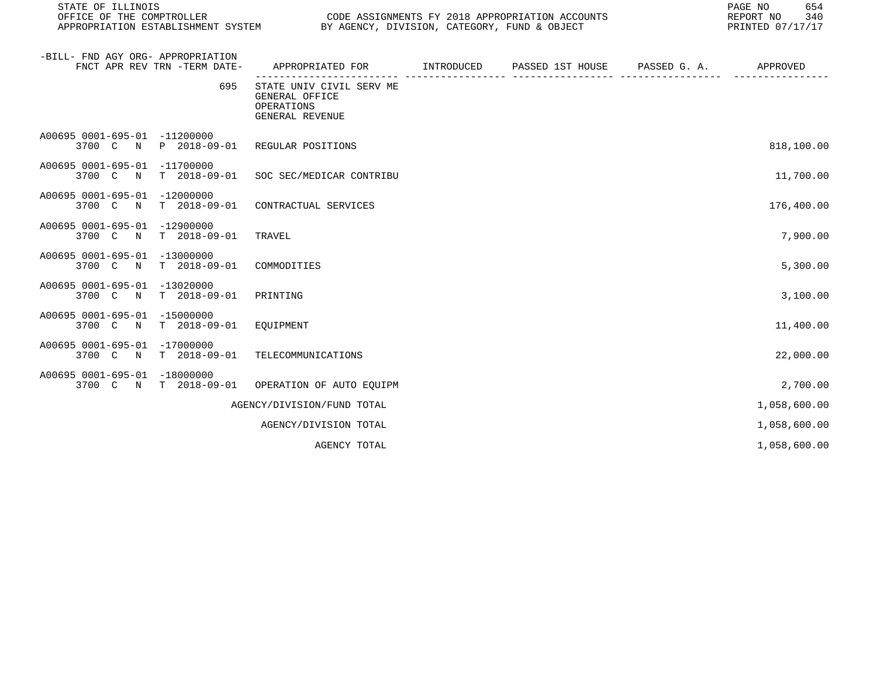| STATE OF ILLINOIS<br>OFFICE OF THE COMPTROLLER        |                              | CODE ASSIGNMENTS FY 2018 APPROPRIATION ACCOUNTS<br>APPROPRIATION ESTABLISHMENT SYSTEM BY AGENCY, DIVISION, CATEGORY, FUND & OBJECT |            |  | 654<br>PAGE NO<br>340<br>REPORT NO<br>PRINTED 07/17/17 |
|-------------------------------------------------------|------------------------------|------------------------------------------------------------------------------------------------------------------------------------|------------|--|--------------------------------------------------------|
| -BILL- FND AGY ORG- APPROPRIATION                     | FNCT APR REV TRN -TERM DATE- | APPROPRIATED FOR       INTRODUCED     PASSED 1ST HOUSE     PASSED G. A.         APPROVED                                           |            |  |                                                        |
|                                                       | 695                          | . _ _ _ _ _ _ _ _ _ _ _ _ _ _ _<br>STATE UNIV CIVIL SERV ME<br>GENERAL OFFICE<br>OPERATIONS<br>GENERAL REVENUE                     | . <u>.</u> |  |                                                        |
| A00695 0001-695-01 -11200000                          |                              | 3700 C N P 2018-09-01 REGULAR POSITIONS                                                                                            |            |  | 818,100.00                                             |
| A00695 0001-695-01 -11700000<br>3700 C N              |                              | T 2018-09-01 SOC SEC/MEDICAR CONTRIBU                                                                                              |            |  | 11,700.00                                              |
| A00695 0001-695-01 -12000000                          | 3700 C N T 2018-09-01        | CONTRACTUAL SERVICES                                                                                                               |            |  | 176,400.00                                             |
| A00695 0001-695-01 -12900000<br>3700 C<br>$\mathbb N$ | T 2018-09-01                 | TRAVEL                                                                                                                             |            |  | 7,900.00                                               |
| A00695 0001-695-01 -13000000                          | 3700 C N T 2018-09-01        | COMMODITIES                                                                                                                        |            |  | 5,300.00                                               |
| A00695 0001-695-01 -13020000<br>3700 C<br>N           | T 2018-09-01                 | PRINTING                                                                                                                           |            |  | 3,100.00                                               |
| A00695 0001-695-01 -15000000                          | 3700 C N T 2018-09-01        | EOUIPMENT                                                                                                                          |            |  | 11,400.00                                              |
| A00695 0001-695-01 -17000000<br>3700 C N              |                              | T 2018-09-01 TELECOMMUNICATIONS                                                                                                    |            |  | 22,000.00                                              |
| A00695 0001-695-01 -18000000                          |                              | 3700 C N T 2018-09-01 OPERATION OF AUTO EQUIPM                                                                                     |            |  | 2,700.00                                               |
|                                                       |                              | AGENCY/DIVISION/FUND TOTAL                                                                                                         |            |  | 1,058,600.00                                           |
|                                                       |                              | AGENCY/DIVISION TOTAL                                                                                                              |            |  | 1,058,600.00                                           |

AGENCY TOTAL 1,058,600.00